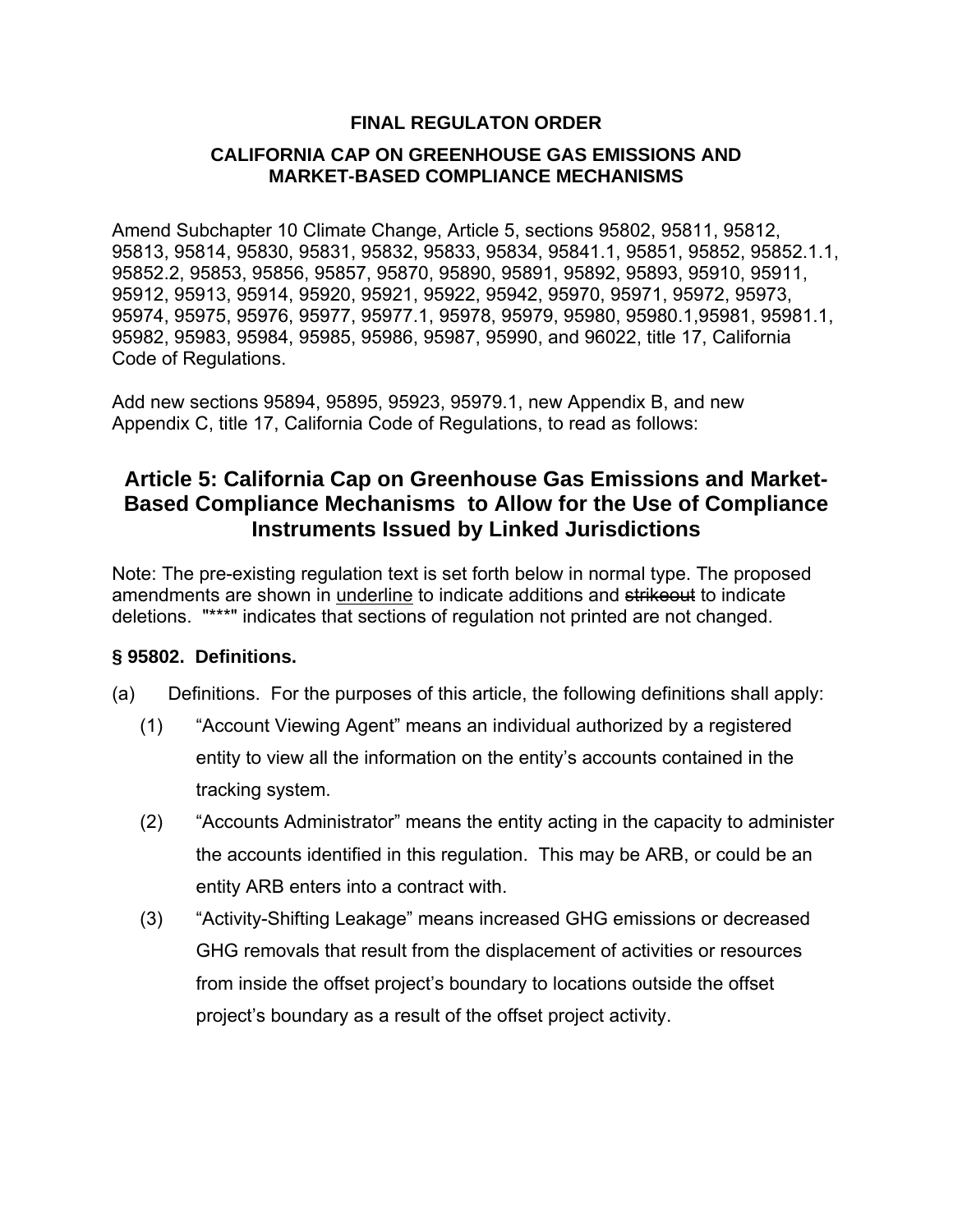## **FINAL REGULATON ORDER**

## **CALIFORNIA CAP ON GREENHOUSE GAS EMISSIONS AND MARKET-BASED COMPLIANCE MECHANISMS**

Amend Subchapter 10 Climate Change, Article 5, sections 95802, 95811, 95812, 95813, 95814, 95830, 95831, 95832, 95833, 95834, 95841.1, 95851, 95852, 95852.1.1, 95852.2, 95853, 95856, 95857, 95870, 95890, 95891, 95892, 95893, 95910, 95911, 95912, 95913, 95914, 95920, 95921, 95922, 95942, 95970, 95971, 95972, 95973, 95974, 95975, 95976, 95977, 95977.1, 95978, 95979, 95980, 95980.1,95981, 95981.1, 95982, 95983, 95984, 95985, 95986, 95987, 95990, and 96022, title 17, California Code of Regulations.

Add new sections 95894, 95895, 95923, 95979.1, new Appendix B, and new Appendix C, title 17, California Code of Regulations, to read as follows:

## **Article 5: California Cap on Greenhouse Gas Emissions and Market-Based Compliance Mechanisms to Allow for the Use of Compliance Instruments Issued by Linked Jurisdictions**

Note: The pre-existing regulation text is set forth below in normal type. The proposed amendments are shown in underline to indicate additions and strikeout to indicate deletions. "\*\*\*" indicates that sections of regulation not printed are not changed.

## **§ 95802. Definitions.**

- (a) Definitions. For the purposes of this article, the following definitions shall apply:
	- (1) "Account Viewing Agent" means an individual authorized by a registered entity to view all the information on the entity's accounts contained in the tracking system.
	- (2) "Accounts Administrator" means the entity acting in the capacity to administer the accounts identified in this regulation. This may be ARB, or could be an entity ARB enters into a contract with.
	- (3) "Activity-Shifting Leakage" means increased GHG emissions or decreased GHG removals that result from the displacement of activities or resources from inside the offset project's boundary to locations outside the offset project's boundary as a result of the offset project activity.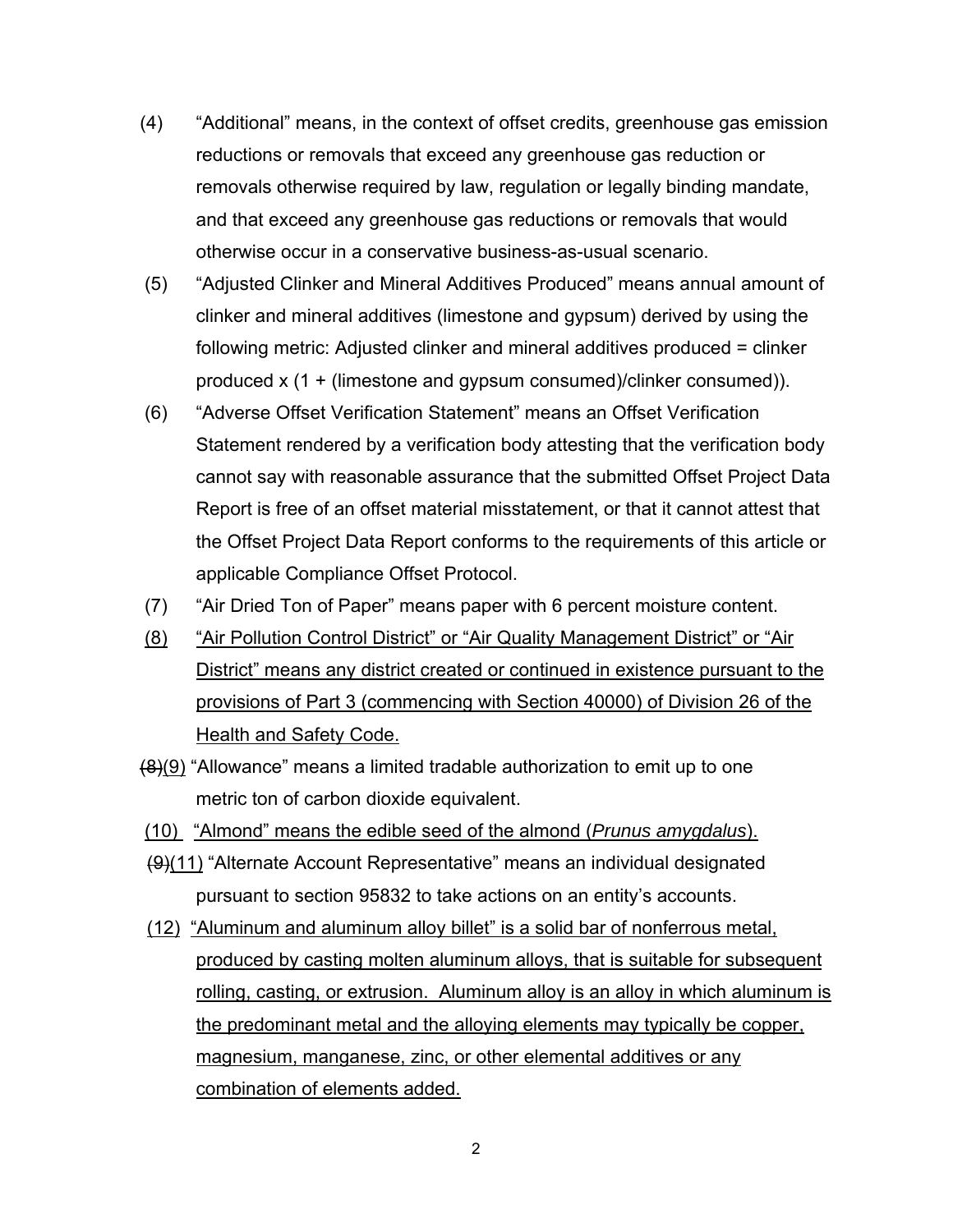- (4) "Additional" means, in the context of offset credits, greenhouse gas emission reductions or removals that exceed any greenhouse gas reduction or removals otherwise required by law, regulation or legally binding mandate, and that exceed any greenhouse gas reductions or removals that would otherwise occur in a conservative business-as-usual scenario.
- (5) "Adjusted Clinker and Mineral Additives Produced" means annual amount of clinker and mineral additives (limestone and gypsum) derived by using the following metric: Adjusted clinker and mineral additives produced = clinker produced x (1 + (limestone and gypsum consumed)/clinker consumed)).
- (6) "Adverse Offset Verification Statement" means an Offset Verification Statement rendered by a verification body attesting that the verification body cannot say with reasonable assurance that the submitted Offset Project Data Report is free of an offset material misstatement, or that it cannot attest that the Offset Project Data Report conforms to the requirements of this article or applicable Compliance Offset Protocol.
- (7) "Air Dried Ton of Paper" means paper with 6 percent moisture content.
- (8) "Air Pollution Control District" or "Air Quality Management District" or "Air District" means any district created or continued in existence pursuant to the provisions of Part 3 (commencing with Section 40000) of Division 26 of the Health and Safety Code.
- (8)(9) "Allowance" means a limited tradable authorization to emit up to one metric ton of carbon dioxide equivalent.
- (10) "Almond" means the edible seed of the almond (*Prunus amygdalus*).
- (9)(11) "Alternate Account Representative" means an individual designated pursuant to section 95832 to take actions on an entity's accounts.
- (12) "Aluminum and aluminum alloy billet" is a solid bar of nonferrous metal, produced by casting molten aluminum alloys, that is suitable for subsequent rolling, casting, or extrusion. Aluminum alloy is an alloy in which aluminum is the predominant metal and the alloying elements may typically be copper, magnesium, manganese, zinc, or other elemental additives or any combination of elements added.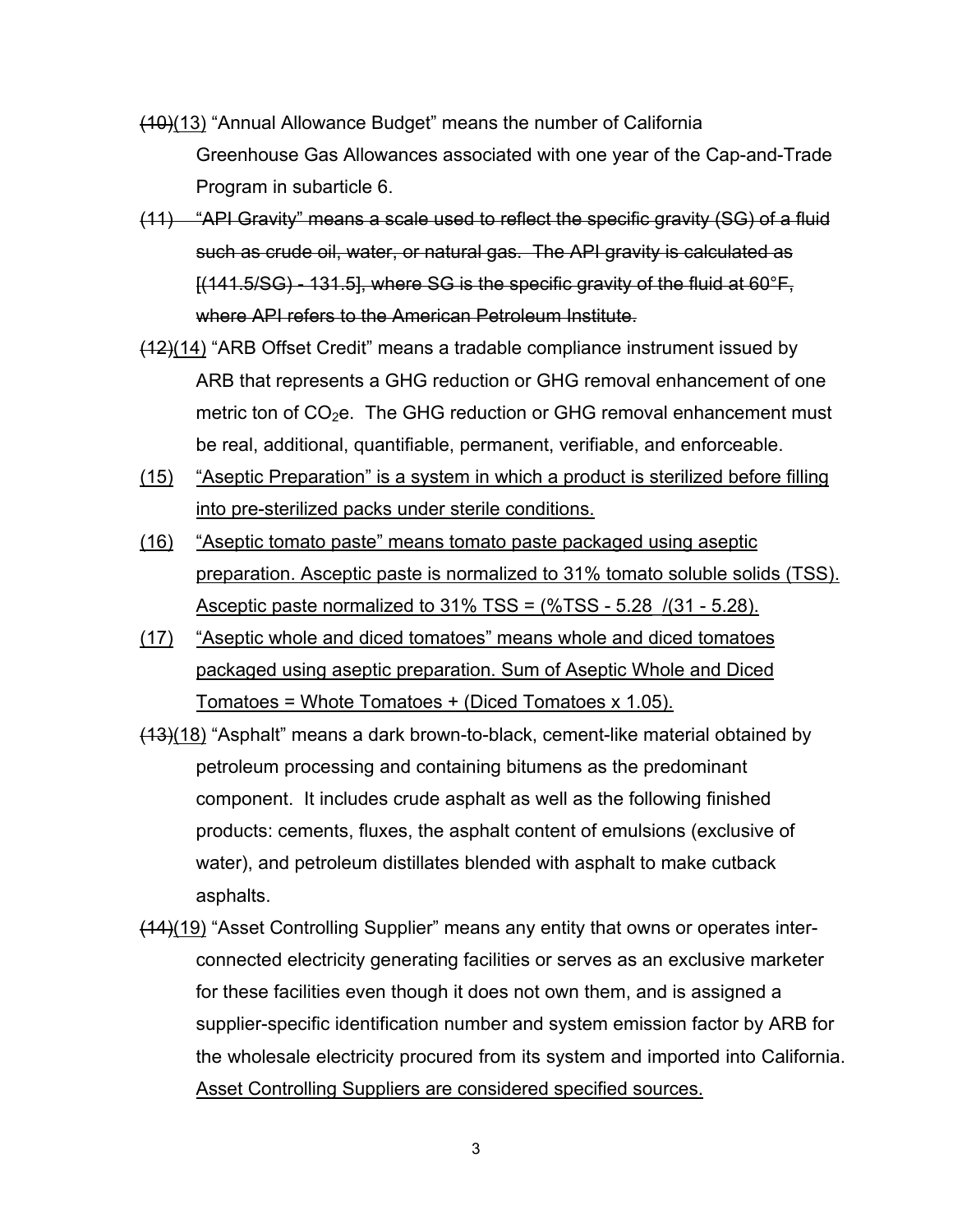- (10)(13) "Annual Allowance Budget" means the number of California Greenhouse Gas Allowances associated with one year of the Cap-and-Trade Program in subarticle 6.
- (11) "API Gravity" means a scale used to reflect the specific gravity (SG) of a fluid such as crude oil, water, or natural gas. The API gravity is calculated as [(141.5/SG) - 131.5], where SG is the specific gravity of the fluid at 60°F, where API refers to the American Petroleum Institute.
- (12)(14) "ARB Offset Credit" means a tradable compliance instrument issued by ARB that represents a GHG reduction or GHG removal enhancement of one metric ton of  $CO<sub>2</sub>e$ . The GHG reduction or GHG removal enhancement must be real, additional, quantifiable, permanent, verifiable, and enforceable.
- (15) "Aseptic Preparation" is a system in which a product is sterilized before filling into pre-sterilized packs under sterile conditions.
- (16) "Aseptic tomato paste" means tomato paste packaged using aseptic preparation. Asceptic paste is normalized to 31% tomato soluble solids (TSS). Asceptic paste normalized to  $31\%$  TSS =  $(\%$ TSS - 5.28  $/(31 - 5.28)$ .
- (17) "Aseptic whole and diced tomatoes" means whole and diced tomatoes packaged using aseptic preparation. Sum of Aseptic Whole and Diced Tomatoes = Whote Tomatoes + (Diced Tomatoes x 1.05).
- (13)(18) "Asphalt" means a dark brown-to-black, cement-like material obtained by petroleum processing and containing bitumens as the predominant component. It includes crude asphalt as well as the following finished products: cements, fluxes, the asphalt content of emulsions (exclusive of water), and petroleum distillates blended with asphalt to make cutback asphalts.
- (14)(19) "Asset Controlling Supplier" means any entity that owns or operates interconnected electricity generating facilities or serves as an exclusive marketer for these facilities even though it does not own them, and is assigned a supplier-specific identification number and system emission factor by ARB for the wholesale electricity procured from its system and imported into California. Asset Controlling Suppliers are considered specified sources.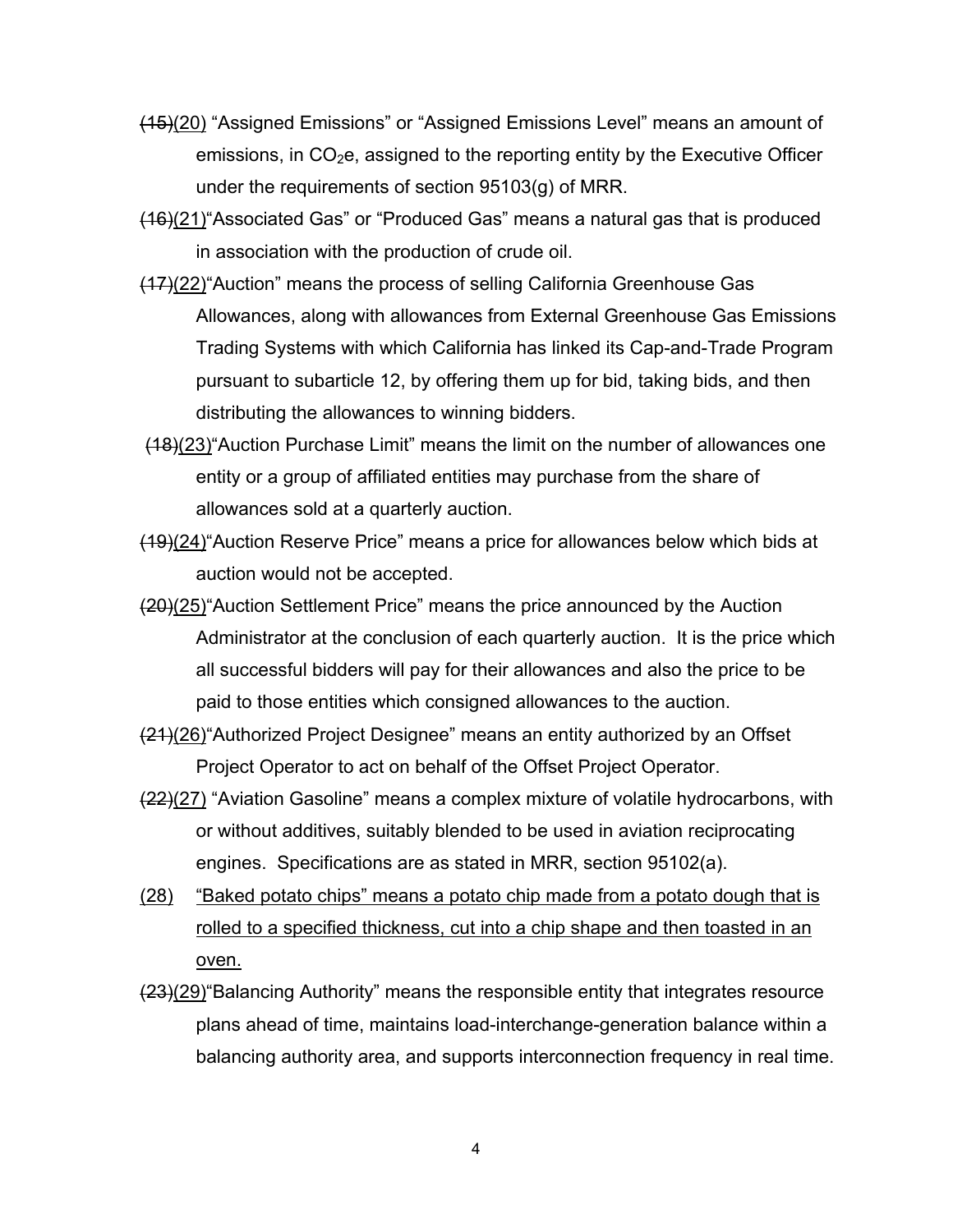- (15)(20) "Assigned Emissions" or "Assigned Emissions Level" means an amount of emissions, in  $CO<sub>2</sub>e$ , assigned to the reporting entity by the Executive Officer under the requirements of section 95103(g) of MRR.
- (16)(21)"Associated Gas" or "Produced Gas" means a natural gas that is produced in association with the production of crude oil.
- (17)(22)"Auction" means the process of selling California Greenhouse Gas Allowances, along with allowances from External Greenhouse Gas Emissions Trading Systems with which California has linked its Cap-and-Trade Program pursuant to subarticle 12, by offering them up for bid, taking bids, and then distributing the allowances to winning bidders.
- (18)(23)"Auction Purchase Limit" means the limit on the number of allowances one entity or a group of affiliated entities may purchase from the share of allowances sold at a quarterly auction.
- (19)(24)"Auction Reserve Price" means a price for allowances below which bids at auction would not be accepted.
- (20)(25)"Auction Settlement Price" means the price announced by the Auction Administrator at the conclusion of each quarterly auction. It is the price which all successful bidders will pay for their allowances and also the price to be paid to those entities which consigned allowances to the auction.
- (21)(26)"Authorized Project Designee" means an entity authorized by an Offset Project Operator to act on behalf of the Offset Project Operator.
- (22)(27) "Aviation Gasoline" means a complex mixture of volatile hydrocarbons, with or without additives, suitably blended to be used in aviation reciprocating engines. Specifications are as stated in MRR, section 95102(a).
- (28) "Baked potato chips" means a potato chip made from a potato dough that is rolled to a specified thickness, cut into a chip shape and then toasted in an oven.
- (23)(29) Balancing Authority" means the responsible entity that integrates resource plans ahead of time, maintains load-interchange-generation balance within a balancing authority area, and supports interconnection frequency in real time.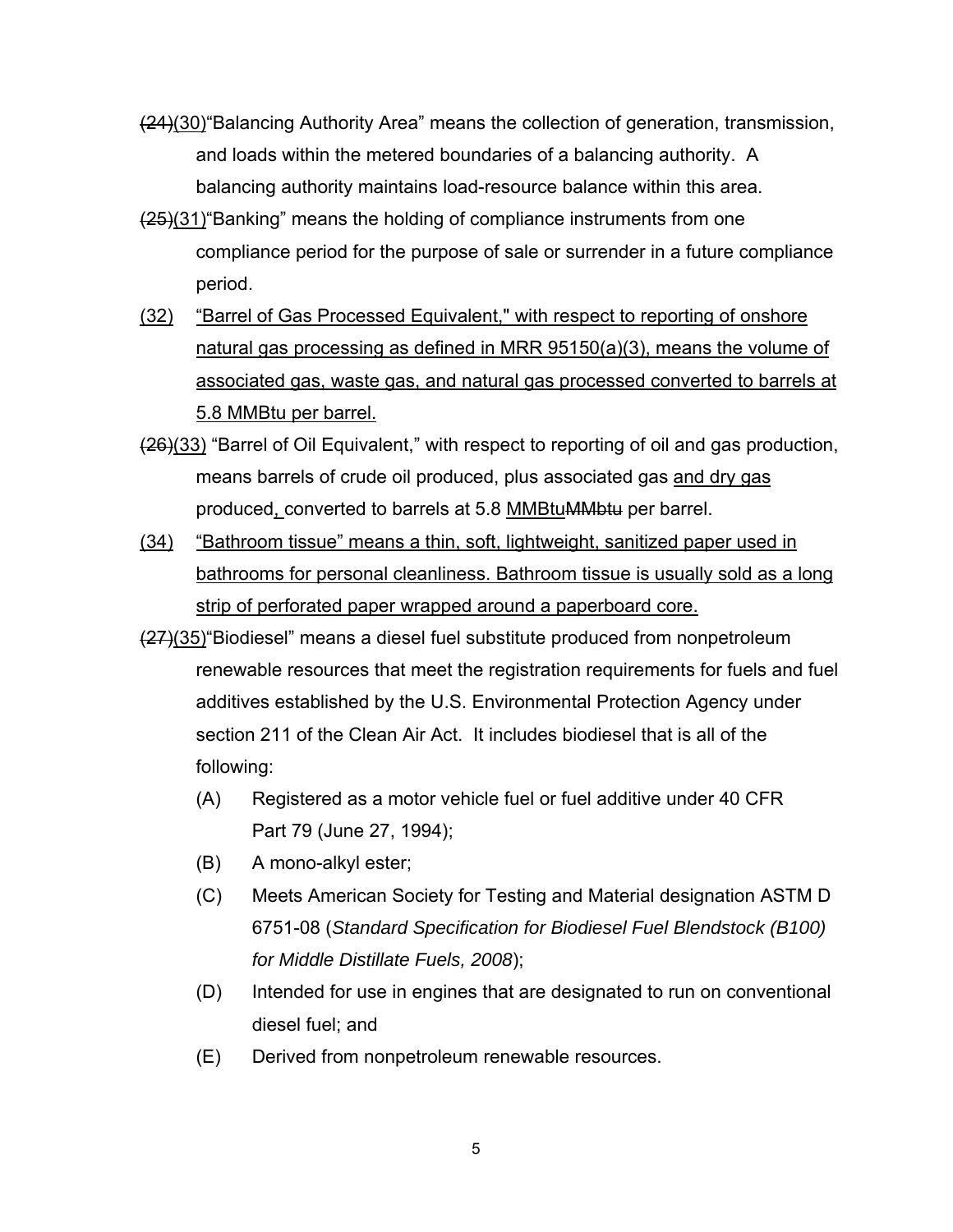- (24)(30)"Balancing Authority Area" means the collection of generation, transmission, and loads within the metered boundaries of a balancing authority. A balancing authority maintains load-resource balance within this area.
- (25)(31)"Banking" means the holding of compliance instruments from one compliance period for the purpose of sale or surrender in a future compliance period.
- (32) "Barrel of Gas Processed Equivalent," with respect to reporting of onshore natural gas processing as defined in MRR 95150(a)(3), means the volume of associated gas, waste gas, and natural gas processed converted to barrels at 5.8 MMBtu per barrel.
- (26)(33) "Barrel of Oil Equivalent," with respect to reporting of oil and gas production, means barrels of crude oil produced, plus associated gas and dry gas produced, converted to barrels at 5.8 MMBtuMMbtu per barrel.
- (34) "Bathroom tissue" means a thin, soft, lightweight, sanitized paper used in bathrooms for personal cleanliness. Bathroom tissue is usually sold as a long strip of perforated paper wrapped around a paperboard core.
- (27)(35)"Biodiesel" means a diesel fuel substitute produced from nonpetroleum renewable resources that meet the registration requirements for fuels and fuel additives established by the U.S. Environmental Protection Agency under section 211 of the Clean Air Act. It includes biodiesel that is all of the following:
	- (A) Registered as a motor vehicle fuel or fuel additive under 40 CFR Part 79 (June 27, 1994);
	- (B) A mono-alkyl ester;
	- (C) Meets American Society for Testing and Material designation ASTM D 6751-08 (*Standard Specification for Biodiesel Fuel Blendstock (B100) for Middle Distillate Fuels, 2008*);
	- (D) Intended for use in engines that are designated to run on conventional diesel fuel; and
	- (E) Derived from nonpetroleum renewable resources.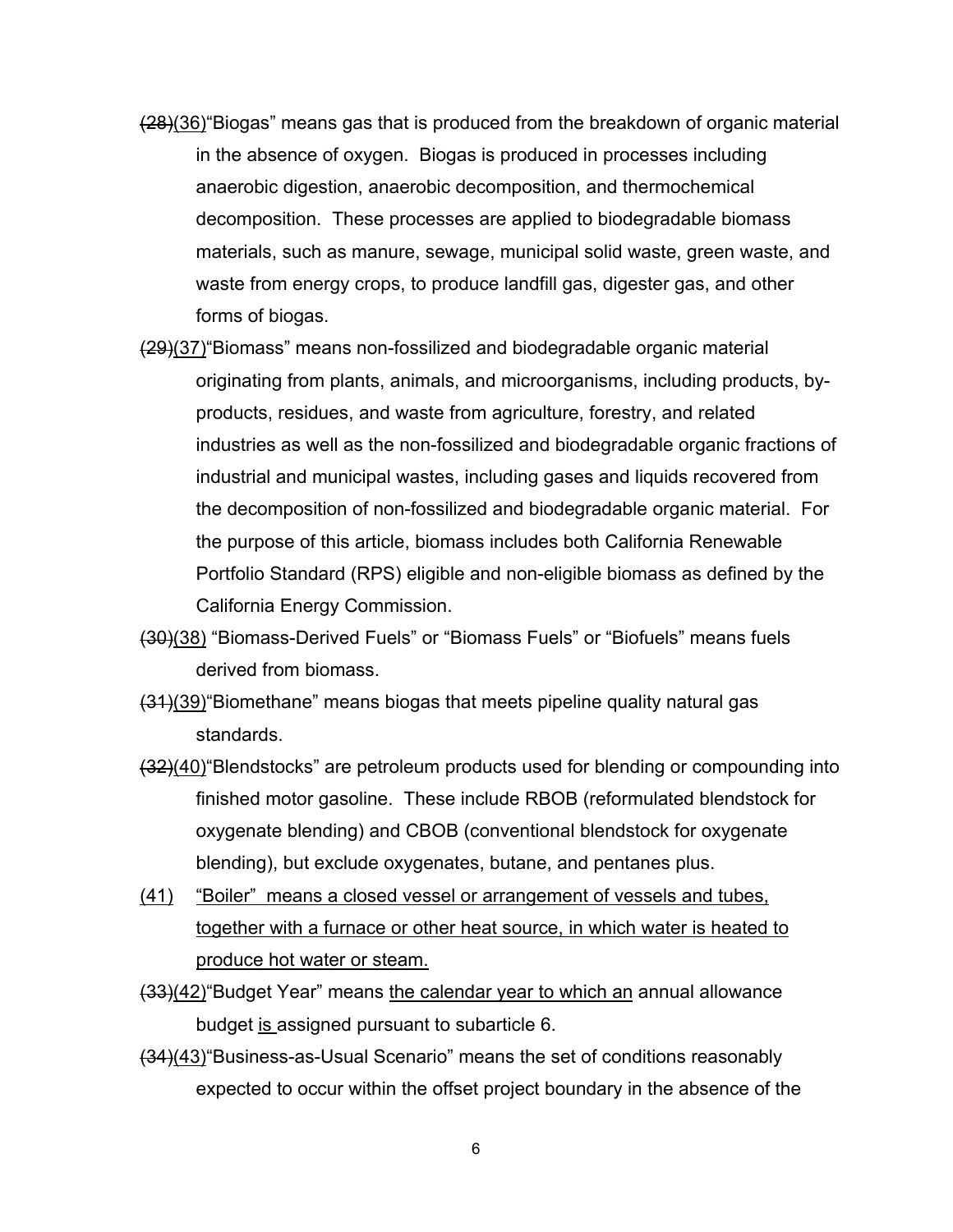- (28)(36)"Biogas" means gas that is produced from the breakdown of organic material in the absence of oxygen. Biogas is produced in processes including anaerobic digestion, anaerobic decomposition, and thermochemical decomposition. These processes are applied to biodegradable biomass materials, such as manure, sewage, municipal solid waste, green waste, and waste from energy crops, to produce landfill gas, digester gas, and other forms of biogas.
- (29)(37)"Biomass" means non-fossilized and biodegradable organic material originating from plants, animals, and microorganisms, including products, byproducts, residues, and waste from agriculture, forestry, and related industries as well as the non-fossilized and biodegradable organic fractions of industrial and municipal wastes, including gases and liquids recovered from the decomposition of non-fossilized and biodegradable organic material. For the purpose of this article, biomass includes both California Renewable Portfolio Standard (RPS) eligible and non-eligible biomass as defined by the California Energy Commission.
- (30)(38) "Biomass-Derived Fuels" or "Biomass Fuels" or "Biofuels" means fuels derived from biomass.
- (31)(39)"Biomethane" means biogas that meets pipeline quality natural gas standards.
- (32)(40)"Blendstocks" are petroleum products used for blending or compounding into finished motor gasoline. These include RBOB (reformulated blendstock for oxygenate blending) and CBOB (conventional blendstock for oxygenate blending), but exclude oxygenates, butane, and pentanes plus.
- (41) "Boiler" means a closed vessel or arrangement of vessels and tubes, together with a furnace or other heat source, in which water is heated to produce hot water or steam.
- (33)(42) "Budget Year" means the calendar year to which an annual allowance budget is assigned pursuant to subarticle 6.
- (34)(43)"Business-as-Usual Scenario" means the set of conditions reasonably expected to occur within the offset project boundary in the absence of the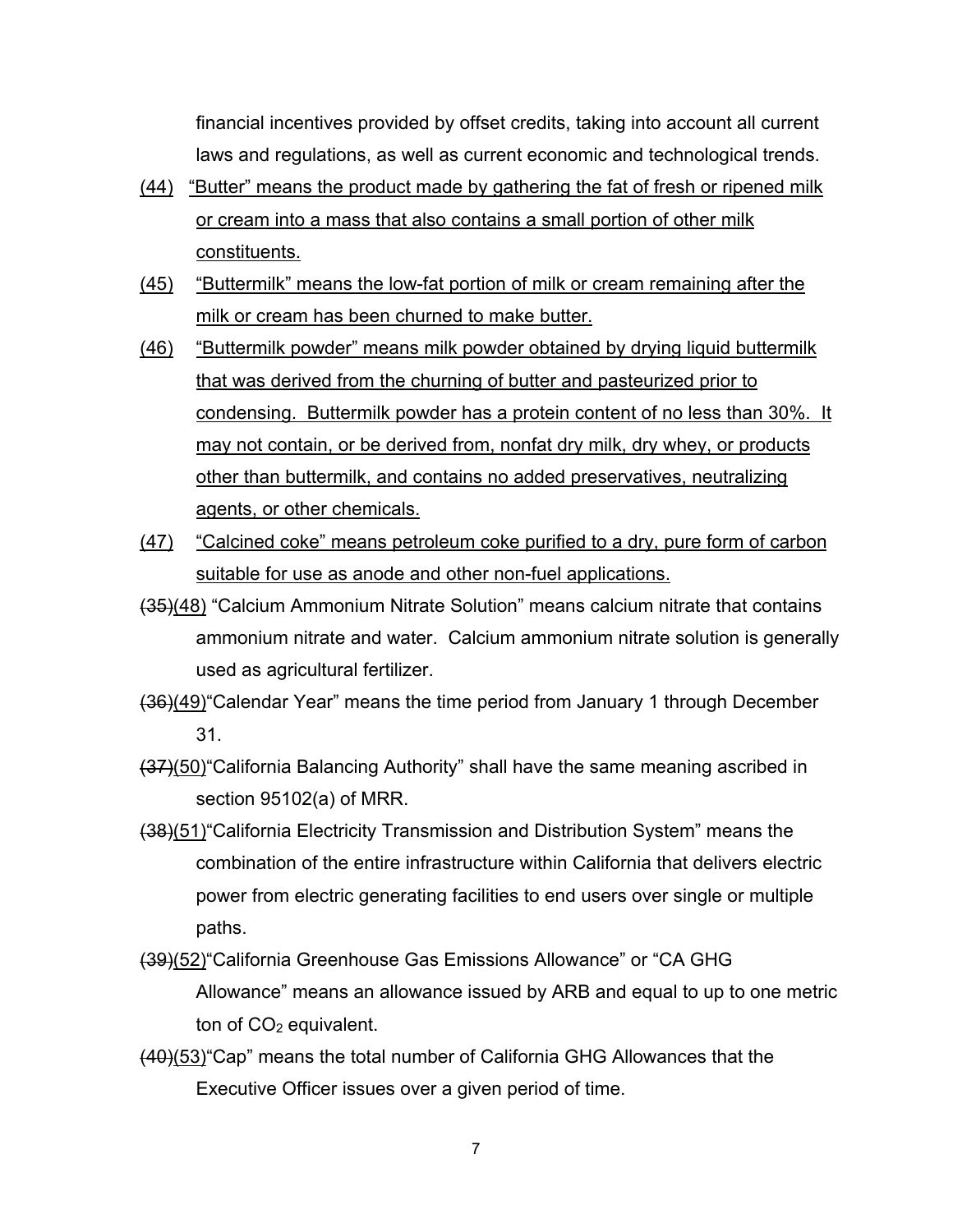financial incentives provided by offset credits, taking into account all current laws and regulations, as well as current economic and technological trends.

- (44) "Butter" means the product made by gathering the fat of fresh or ripened milk or cream into a mass that also contains a small portion of other milk constituents.
- (45) "Buttermilk" means the low-fat portion of milk or cream remaining after the milk or cream has been churned to make butter.
- (46) "Buttermilk powder" means milk powder obtained by drying liquid buttermilk that was derived from the churning of butter and pasteurized prior to condensing. Buttermilk powder has a protein content of no less than 30%. It may not contain, or be derived from, nonfat dry milk, dry whey, or products other than buttermilk, and contains no added preservatives, neutralizing agents, or other chemicals.
- (47) "Calcined coke" means petroleum coke purified to a dry, pure form of carbon suitable for use as anode and other non-fuel applications.
- (35)(48) "Calcium Ammonium Nitrate Solution" means calcium nitrate that contains ammonium nitrate and water. Calcium ammonium nitrate solution is generally used as agricultural fertilizer.
- (36)(49)"Calendar Year" means the time period from January 1 through December 31.
- (37)(50)"California Balancing Authority" shall have the same meaning ascribed in section 95102(a) of MRR.
- (38)(51)"California Electricity Transmission and Distribution System" means the combination of the entire infrastructure within California that delivers electric power from electric generating facilities to end users over single or multiple paths.
- (39)(52)"California Greenhouse Gas Emissions Allowance" or "CA GHG Allowance" means an allowance issued by ARB and equal to up to one metric ton of  $CO<sub>2</sub>$  equivalent.
- (40)(53)"Cap" means the total number of California GHG Allowances that the Executive Officer issues over a given period of time.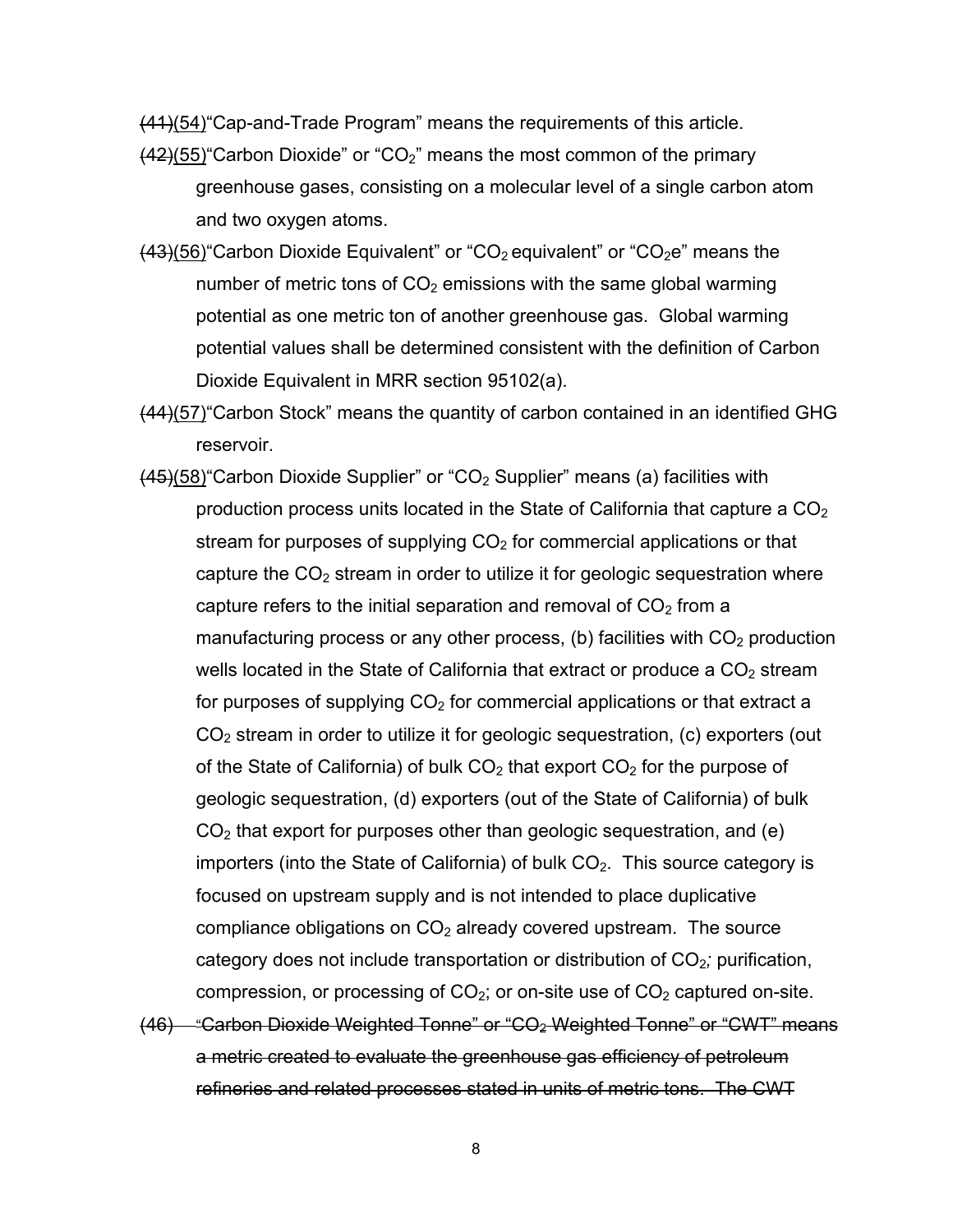(41)(54)"Cap-and-Trade Program" means the requirements of this article.

- $(42)(55)$  Carbon Dioxide" or "CO<sub>2</sub>" means the most common of the primary greenhouse gases, consisting on a molecular level of a single carbon atom and two oxygen atoms.
- $(43)(56)$  Carbon Dioxide Equivalent" or "CO<sub>2</sub> equivalent" or "CO<sub>2</sub>e" means the number of metric tons of  $CO<sub>2</sub>$  emissions with the same global warming potential as one metric ton of another greenhouse gas. Global warming potential values shall be determined consistent with the definition of Carbon Dioxide Equivalent in MRR section 95102(a).
- (44)(57)"Carbon Stock" means the quantity of carbon contained in an identified GHG reservoir.
- $(45)(58)$  Carbon Dioxide Supplier" or "CO<sub>2</sub> Supplier" means (a) facilities with production process units located in the State of California that capture a  $CO<sub>2</sub>$ stream for purposes of supplying  $CO<sub>2</sub>$  for commercial applications or that capture the  $CO<sub>2</sub>$  stream in order to utilize it for geologic sequestration where capture refers to the initial separation and removal of  $CO<sub>2</sub>$  from a manufacturing process or any other process, (b) facilities with  $CO<sub>2</sub>$  production wells located in the State of California that extract or produce a  $CO<sub>2</sub>$  stream for purposes of supplying  $CO<sub>2</sub>$  for commercial applications or that extract a  $CO<sub>2</sub>$  stream in order to utilize it for geologic sequestration, (c) exporters (out of the State of California) of bulk  $CO<sub>2</sub>$  that export  $CO<sub>2</sub>$  for the purpose of geologic sequestration, (d) exporters (out of the State of California) of bulk  $CO<sub>2</sub>$  that export for purposes other than geologic sequestration, and (e) importers (into the State of California) of bulk  $CO<sub>2</sub>$ . This source category is focused on upstream supply and is not intended to place duplicative compliance obligations on  $CO<sub>2</sub>$  already covered upstream. The source category does not include transportation or distribution of CO2*;* purification, compression, or processing of  $CO<sub>2</sub>$ ; or on-site use of  $CO<sub>2</sub>$  captured on-site.
- (46) "Carbon Dioxide Weighted Tonne" or "CO2 Weighted Tonne" or "CWT" means a metric created to evaluate the greenhouse gas efficiency of petroleum refineries and related processes stated in units of metric tons. The CWT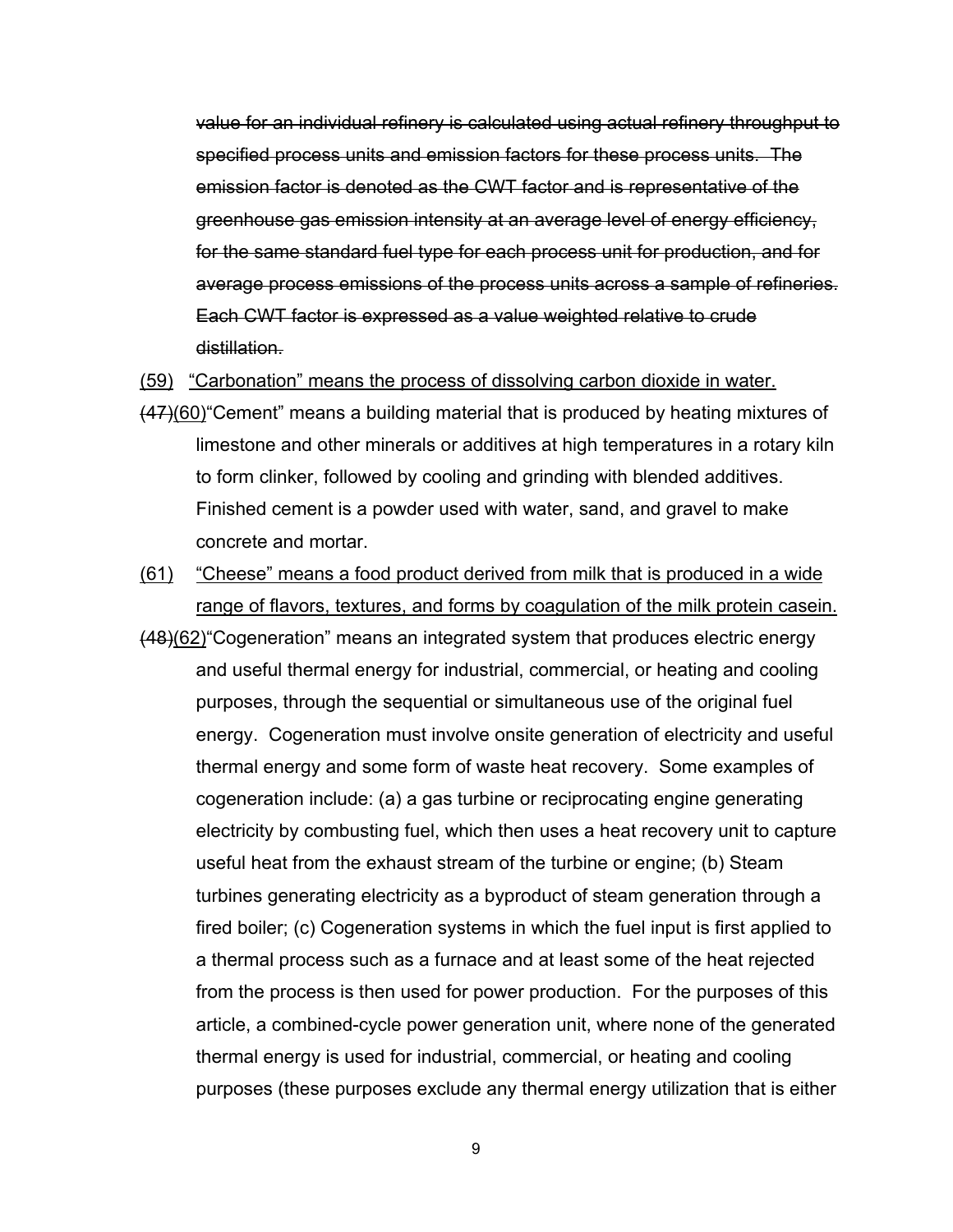value for an individual refinery is calculated using actual refinery throughput to specified process units and emission factors for these process units. The emission factor is denoted as the CWT factor and is representative of the greenhouse gas emission intensity at an average level of energy efficiency, for the same standard fuel type for each process unit for production, and for average process emissions of the process units across a sample of refineries. Each CWT factor is expressed as a value weighted relative to crude distillation.

(59) "Carbonation" means the process of dissolving carbon dioxide in water.

- (47)(60)"Cement" means a building material that is produced by heating mixtures of limestone and other minerals or additives at high temperatures in a rotary kiln to form clinker, followed by cooling and grinding with blended additives. Finished cement is a powder used with water, sand, and gravel to make concrete and mortar.
- (61) "Cheese" means a food product derived from milk that is produced in a wide range of flavors, textures, and forms by coagulation of the milk protein casein.
- (48)(62)"Cogeneration" means an integrated system that produces electric energy and useful thermal energy for industrial, commercial, or heating and cooling purposes, through the sequential or simultaneous use of the original fuel energy. Cogeneration must involve onsite generation of electricity and useful thermal energy and some form of waste heat recovery. Some examples of cogeneration include: (a) a gas turbine or reciprocating engine generating electricity by combusting fuel, which then uses a heat recovery unit to capture useful heat from the exhaust stream of the turbine or engine; (b) Steam turbines generating electricity as a byproduct of steam generation through a fired boiler; (c) Cogeneration systems in which the fuel input is first applied to a thermal process such as a furnace and at least some of the heat rejected from the process is then used for power production. For the purposes of this article, a combined-cycle power generation unit, where none of the generated thermal energy is used for industrial, commercial, or heating and cooling purposes (these purposes exclude any thermal energy utilization that is either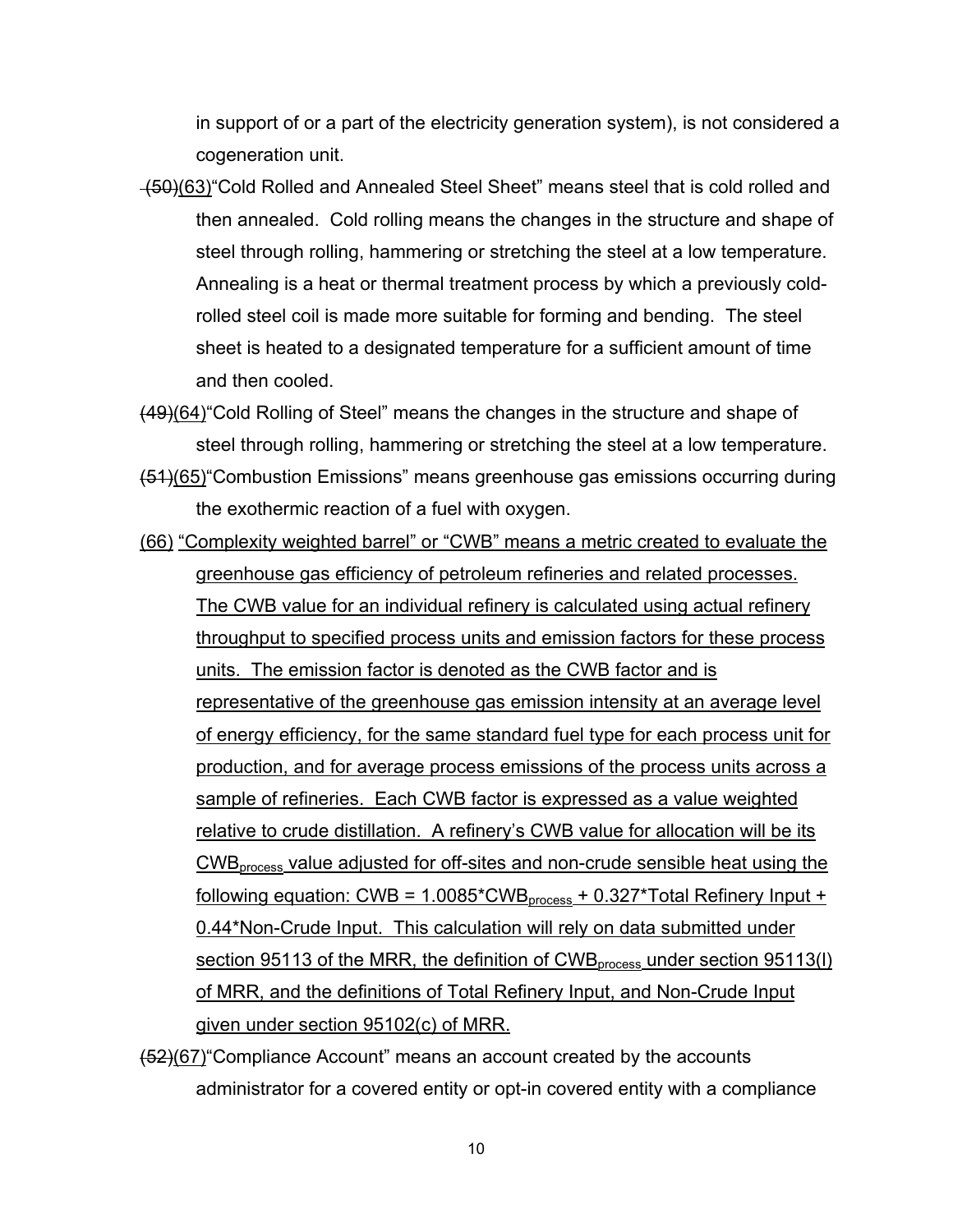in support of or a part of the electricity generation system), is not considered a cogeneration unit.

- $(50)(63)$  Cold Rolled and Annealed Steel Sheet" means steel that is cold rolled and then annealed. Cold rolling means the changes in the structure and shape of steel through rolling, hammering or stretching the steel at a low temperature. Annealing is a heat or thermal treatment process by which a previously coldrolled steel coil is made more suitable for forming and bending. The steel sheet is heated to a designated temperature for a sufficient amount of time and then cooled.
- (49)(64)"Cold Rolling of Steel" means the changes in the structure and shape of steel through rolling, hammering or stretching the steel at a low temperature.
- (51)(65)"Combustion Emissions" means greenhouse gas emissions occurring during the exothermic reaction of a fuel with oxygen.
- (66) "Complexity weighted barrel" or "CWB" means a metric created to evaluate the greenhouse gas efficiency of petroleum refineries and related processes. The CWB value for an individual refinery is calculated using actual refinery throughput to specified process units and emission factors for these process units. The emission factor is denoted as the CWB factor and is representative of the greenhouse gas emission intensity at an average level of energy efficiency, for the same standard fuel type for each process unit for production, and for average process emissions of the process units across a sample of refineries. Each CWB factor is expressed as a value weighted relative to crude distillation. A refinery's CWB value for allocation will be its CWBprocess value adjusted for off-sites and non-crude sensible heat using the <u>following equation: CWB = 1.0085\*CWB<sub>process</sub> + 0.327\*Total Refinery Input +</u> 0.44\*Non-Crude Input. This calculation will rely on data submitted under section 95113 of the MRR, the definition of  $\text{CWB}_{\text{process}}$  under section 95113(I) of MRR, and the definitions of Total Refinery Input, and Non-Crude Input given under section 95102(c) of MRR.
- (52)(67)"Compliance Account" means an account created by the accounts administrator for a covered entity or opt-in covered entity with a compliance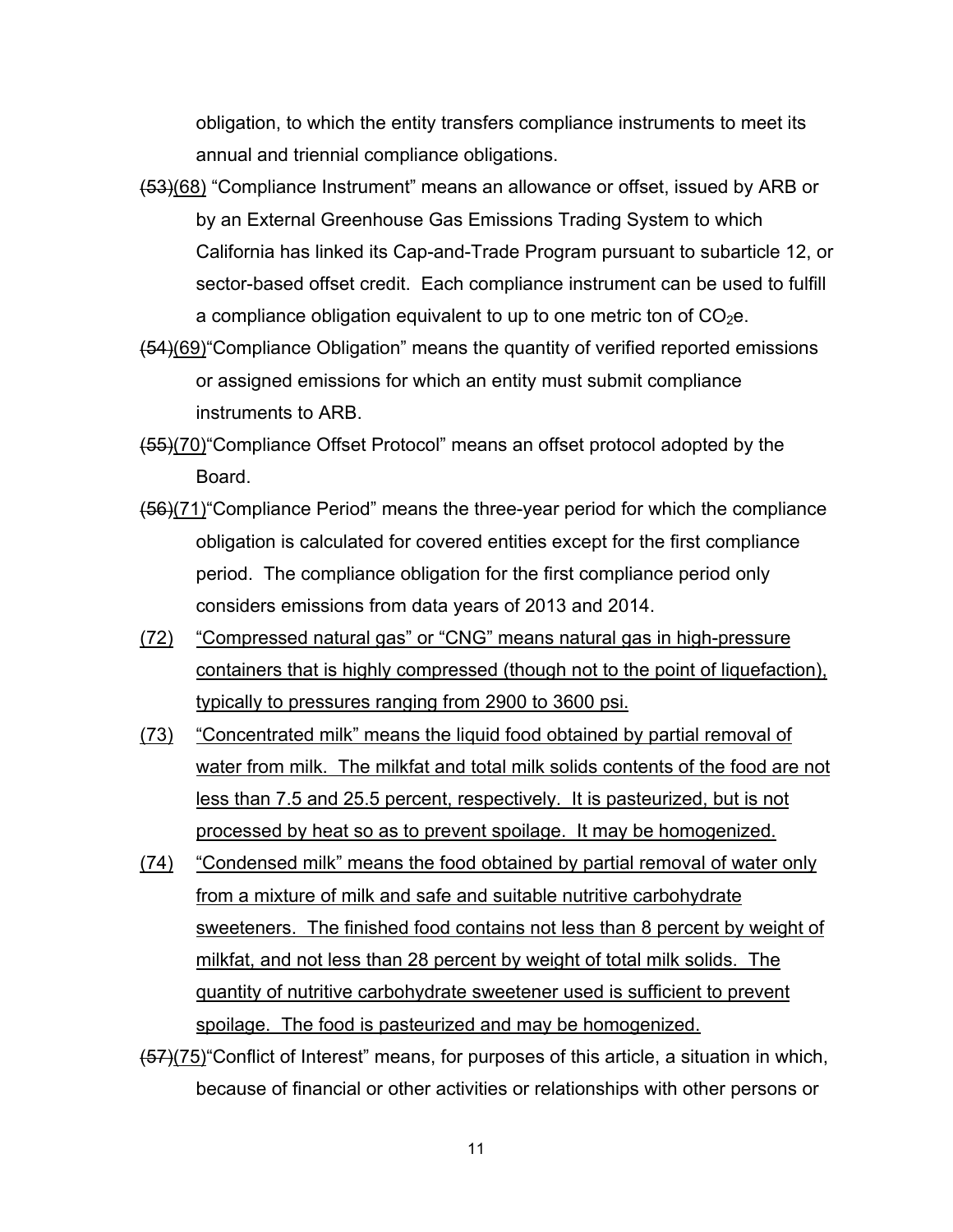obligation, to which the entity transfers compliance instruments to meet its annual and triennial compliance obligations.

- (53)(68) "Compliance Instrument" means an allowance or offset, issued by ARB or by an External Greenhouse Gas Emissions Trading System to which California has linked its Cap-and-Trade Program pursuant to subarticle 12, or sector-based offset credit. Each compliance instrument can be used to fulfill a compliance obligation equivalent to up to one metric ton of  $CO<sub>2</sub>e$ .
- (54)(69)"Compliance Obligation" means the quantity of verified reported emissions or assigned emissions for which an entity must submit compliance instruments to ARB.
- (55)(70)"Compliance Offset Protocol" means an offset protocol adopted by the Board.
- (56)(71)"Compliance Period" means the three-year period for which the compliance obligation is calculated for covered entities except for the first compliance period. The compliance obligation for the first compliance period only considers emissions from data years of 2013 and 2014.
- (72) "Compressed natural gas" or "CNG" means natural gas in high-pressure containers that is highly compressed (though not to the point of liquefaction), typically to pressures ranging from 2900 to 3600 psi.
- (73) "Concentrated milk" means the liquid food obtained by partial removal of water from milk. The milkfat and total milk solids contents of the food are not less than 7.5 and 25.5 percent, respectively. It is pasteurized, but is not processed by heat so as to prevent spoilage. It may be homogenized.
- (74) "Condensed milk" means the food obtained by partial removal of water only from a mixture of milk and safe and suitable nutritive carbohydrate sweeteners. The finished food contains not less than 8 percent by weight of milkfat, and not less than 28 percent by weight of total milk solids. The quantity of nutritive carbohydrate sweetener used is sufficient to prevent spoilage. The food is pasteurized and may be homogenized.
- (57)(75)"Conflict of Interest" means, for purposes of this article, a situation in which, because of financial or other activities or relationships with other persons or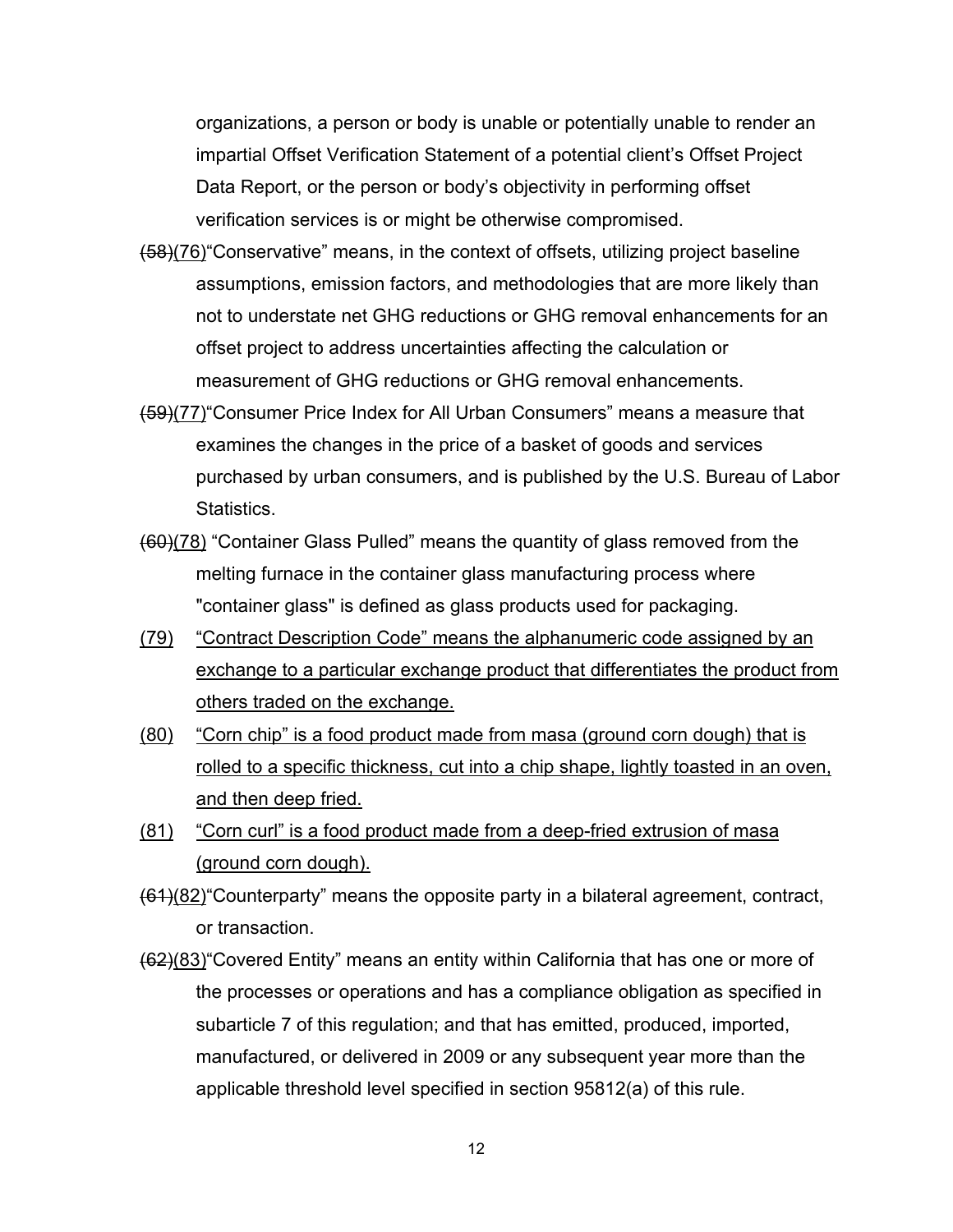organizations, a person or body is unable or potentially unable to render an impartial Offset Verification Statement of a potential client's Offset Project Data Report, or the person or body's objectivity in performing offset verification services is or might be otherwise compromised.

- (58)(76)"Conservative" means, in the context of offsets, utilizing project baseline assumptions, emission factors, and methodologies that are more likely than not to understate net GHG reductions or GHG removal enhancements for an offset project to address uncertainties affecting the calculation or measurement of GHG reductions or GHG removal enhancements.
- (59)(77)"Consumer Price Index for All Urban Consumers" means a measure that examines the changes in the price of a basket of goods and services purchased by urban consumers, and is published by the U.S. Bureau of Labor Statistics.
- (60)(78) "Container Glass Pulled" means the quantity of glass removed from the melting furnace in the container glass manufacturing process where "container glass" is defined as glass products used for packaging.
- (79) "Contract Description Code" means the alphanumeric code assigned by an exchange to a particular exchange product that differentiates the product from others traded on the exchange.
- (80) "Corn chip" is a food product made from masa (ground corn dough) that is rolled to a specific thickness, cut into a chip shape, lightly toasted in an oven, and then deep fried.
- (81) "Corn curl" is a food product made from a deep-fried extrusion of masa (ground corn dough).
- (61)(82)"Counterparty" means the opposite party in a bilateral agreement, contract, or transaction.
- (62)(83)"Covered Entity" means an entity within California that has one or more of the processes or operations and has a compliance obligation as specified in subarticle 7 of this regulation; and that has emitted, produced, imported, manufactured, or delivered in 2009 or any subsequent year more than the applicable threshold level specified in section 95812(a) of this rule.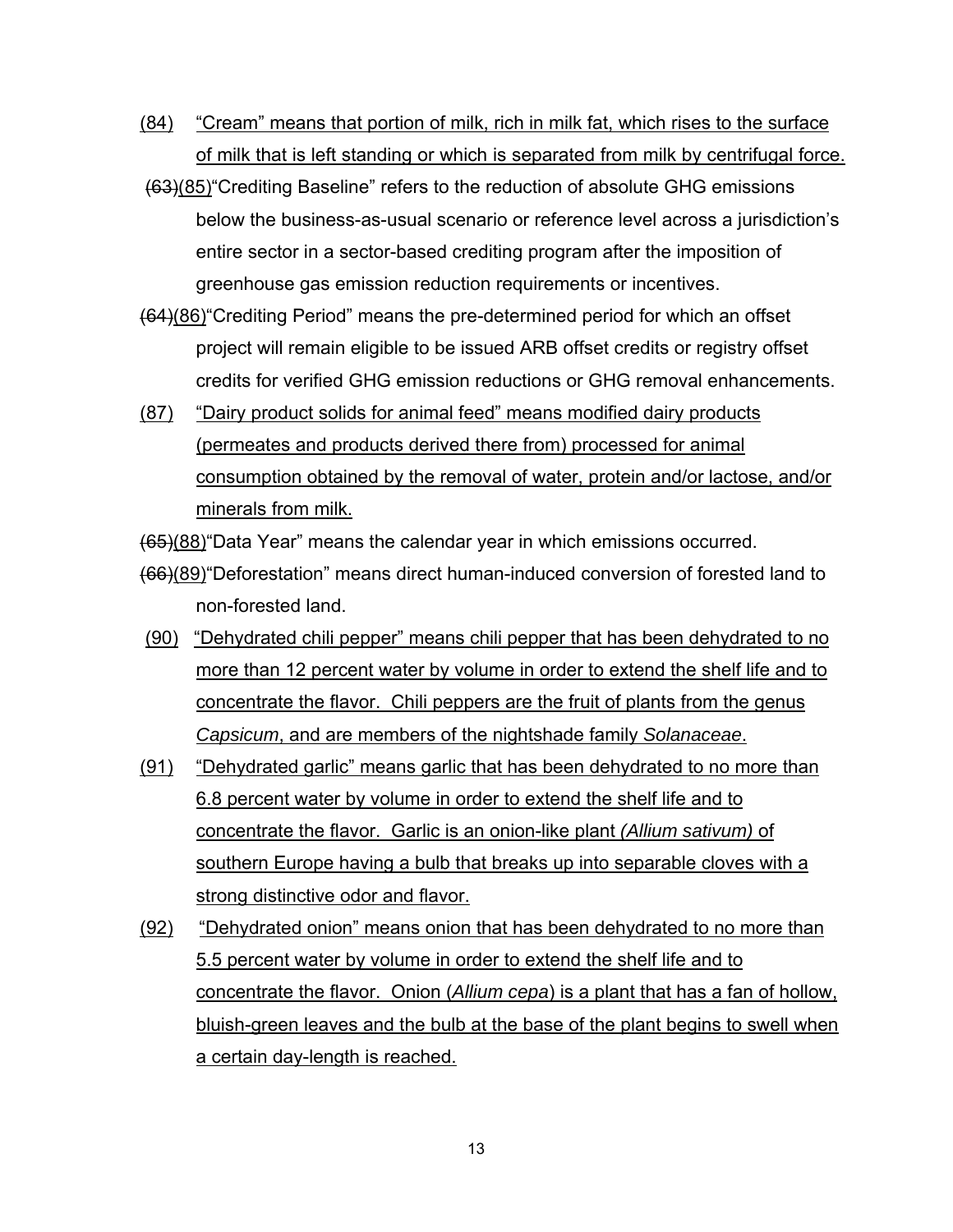- (84) "Cream" means that portion of milk, rich in milk fat, which rises to the surface of milk that is left standing or which is separated from milk by centrifugal force.
- (63)(85)"Crediting Baseline" refers to the reduction of absolute GHG emissions below the business-as-usual scenario or reference level across a jurisdiction's entire sector in a sector-based crediting program after the imposition of greenhouse gas emission reduction requirements or incentives.
- (64)(86)"Crediting Period" means the pre-determined period for which an offset project will remain eligible to be issued ARB offset credits or registry offset credits for verified GHG emission reductions or GHG removal enhancements.
- (87) "Dairy product solids for animal feed" means modified dairy products (permeates and products derived there from) processed for animal consumption obtained by the removal of water, protein and/or lactose, and/or minerals from milk.

(65)(88)"Data Year" means the calendar year in which emissions occurred.

- (66)(89)"Deforestation" means direct human-induced conversion of forested land to non-forested land.
- (90) "Dehydrated chili pepper" means chili pepper that has been dehydrated to no more than 12 percent water by volume in order to extend the shelf life and to concentrate the flavor. Chili peppers are the fruit of plants from the genus *Capsicum*, and are members of the nightshade family *Solanaceae*.
- (91) "Dehydrated garlic" means garlic that has been dehydrated to no more than 6.8 percent water by volume in order to extend the shelf life and to concentrate the flavor. Garlic is an onion-like plant *(Allium sativum)* of southern Europe having a bulb that breaks up into separable cloves with a strong distinctive odor and flavor.
- (92) "Dehydrated onion" means onion that has been dehydrated to no more than 5.5 percent water by volume in order to extend the shelf life and to concentrate the flavor. Onion (*Allium cepa*) is a plant that has a fan of hollow, bluish-green leaves and the bulb at the base of the plant begins to swell when a certain day-length is reached.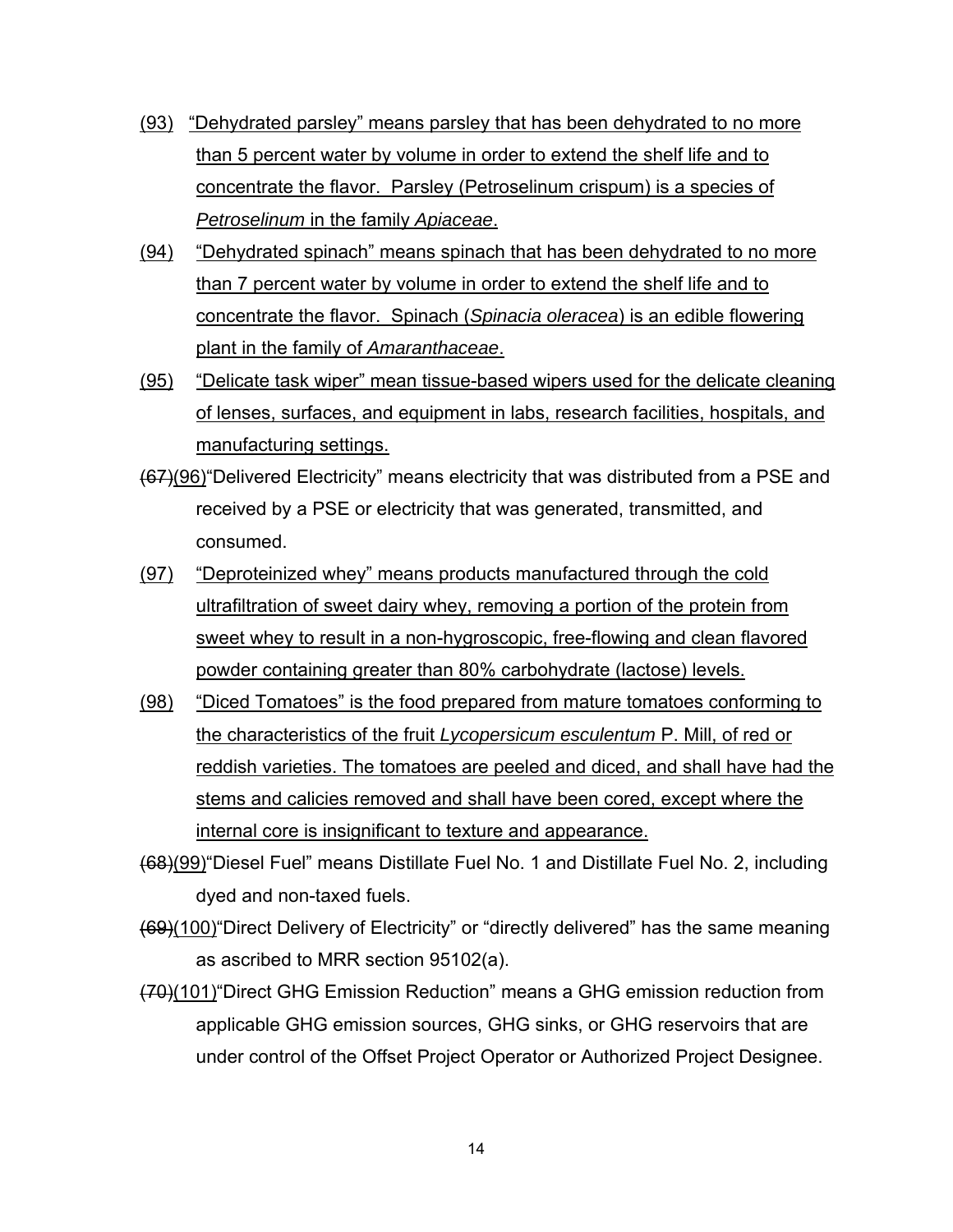- (93) "Dehydrated parsley" means parsley that has been dehydrated to no more than 5 percent water by volume in order to extend the shelf life and to concentrate the flavor. Parsley (Petroselinum crispum) is a species of *Petroselinum* in the family *Apiaceae*.
- (94) "Dehydrated spinach" means spinach that has been dehydrated to no more than 7 percent water by volume in order to extend the shelf life and to concentrate the flavor. Spinach (*Spinacia oleracea*) is an edible flowering plant in the family of *Amaranthaceae*.
- (95) "Delicate task wiper" mean tissue-based wipers used for the delicate cleaning of lenses, surfaces, and equipment in labs, research facilities, hospitals, and manufacturing settings.
- (67)(96)"Delivered Electricity" means electricity that was distributed from a PSE and received by a PSE or electricity that was generated, transmitted, and consumed.
- (97) "Deproteinized whey" means products manufactured through the cold ultrafiltration of sweet dairy whey, removing a portion of the protein from sweet whey to result in a non-hygroscopic, free-flowing and clean flavored powder containing greater than 80% carbohydrate (lactose) levels.
- (98) "Diced Tomatoes" is the food prepared from mature tomatoes conforming to the characteristics of the fruit *Lycopersicum esculentum* P. Mill, of red or reddish varieties. The tomatoes are peeled and diced, and shall have had the stems and calicies removed and shall have been cored, except where the internal core is insignificant to texture and appearance.
- (68)(99)"Diesel Fuel" means Distillate Fuel No. 1 and Distillate Fuel No. 2, including dyed and non-taxed fuels.
- (69)(100)"Direct Delivery of Electricity" or "directly delivered" has the same meaning as ascribed to MRR section 95102(a).
- (70)(101)"Direct GHG Emission Reduction" means a GHG emission reduction from applicable GHG emission sources, GHG sinks, or GHG reservoirs that are under control of the Offset Project Operator or Authorized Project Designee.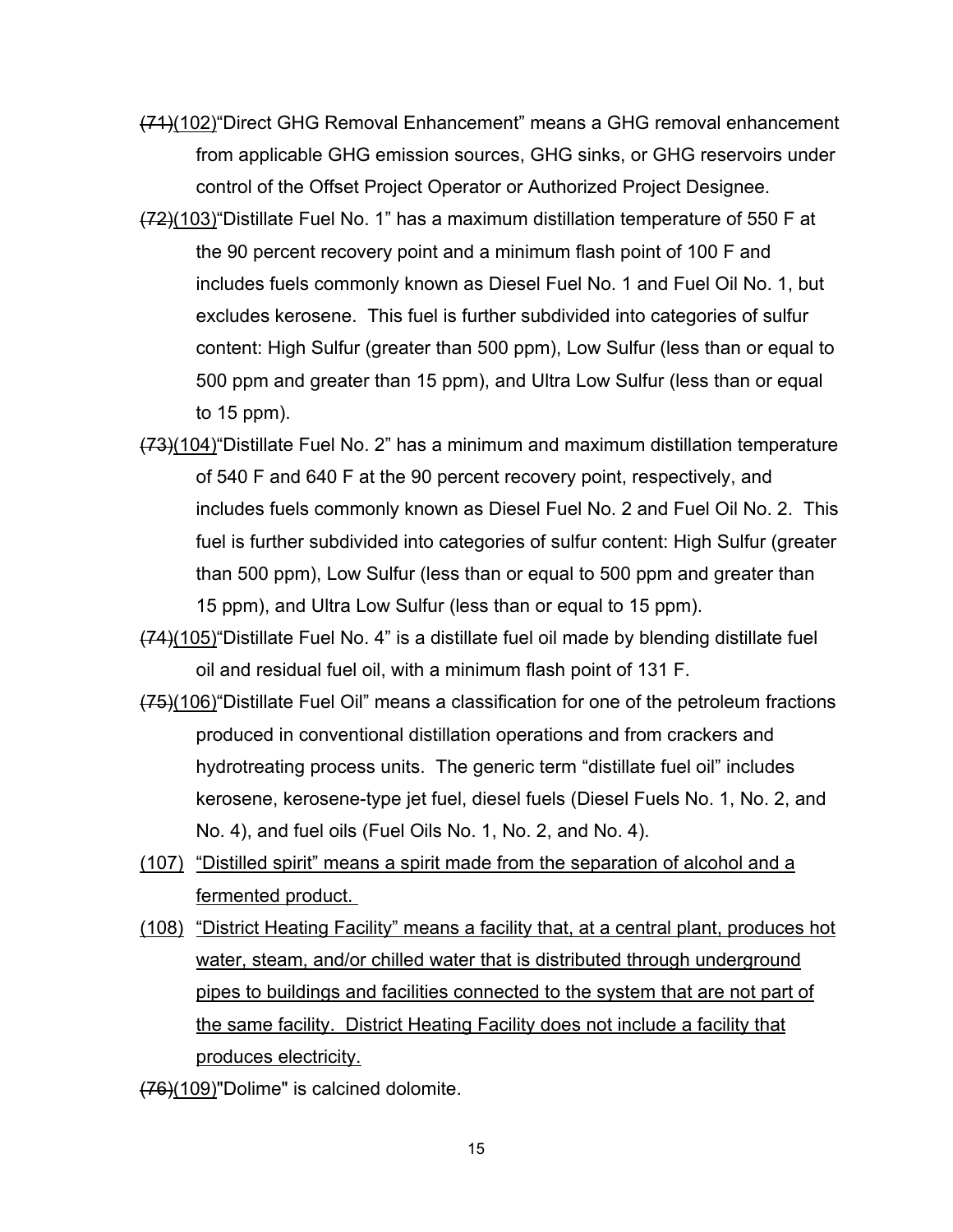- (71)(102)"Direct GHG Removal Enhancement" means a GHG removal enhancement from applicable GHG emission sources, GHG sinks, or GHG reservoirs under control of the Offset Project Operator or Authorized Project Designee.
- (72)(103)"Distillate Fuel No. 1" has a maximum distillation temperature of 550 F at the 90 percent recovery point and a minimum flash point of 100 F and includes fuels commonly known as Diesel Fuel No. 1 and Fuel Oil No. 1, but excludes kerosene. This fuel is further subdivided into categories of sulfur content: High Sulfur (greater than 500 ppm), Low Sulfur (less than or equal to 500 ppm and greater than 15 ppm), and Ultra Low Sulfur (less than or equal to 15 ppm).
- (73)(104)"Distillate Fuel No. 2" has a minimum and maximum distillation temperature of 540 F and 640 F at the 90 percent recovery point, respectively, and includes fuels commonly known as Diesel Fuel No. 2 and Fuel Oil No. 2. This fuel is further subdivided into categories of sulfur content: High Sulfur (greater than 500 ppm), Low Sulfur (less than or equal to 500 ppm and greater than 15 ppm), and Ultra Low Sulfur (less than or equal to 15 ppm).
- (74)(105)"Distillate Fuel No. 4" is a distillate fuel oil made by blending distillate fuel oil and residual fuel oil, with a minimum flash point of 131 F.
- (75)(106)"Distillate Fuel Oil" means a classification for one of the petroleum fractions produced in conventional distillation operations and from crackers and hydrotreating process units. The generic term "distillate fuel oil" includes kerosene, kerosene-type jet fuel, diesel fuels (Diesel Fuels No. 1, No. 2, and No. 4), and fuel oils (Fuel Oils No. 1, No. 2, and No. 4).
- (107) "Distilled spirit" means a spirit made from the separation of alcohol and a fermented product.
- (108) "District Heating Facility" means a facility that, at a central plant, produces hot water, steam, and/or chilled water that is distributed through underground pipes to buildings and facilities connected to the system that are not part of the same facility. District Heating Facility does not include a facility that produces electricity.
- (76)(109)"Dolime" is calcined dolomite.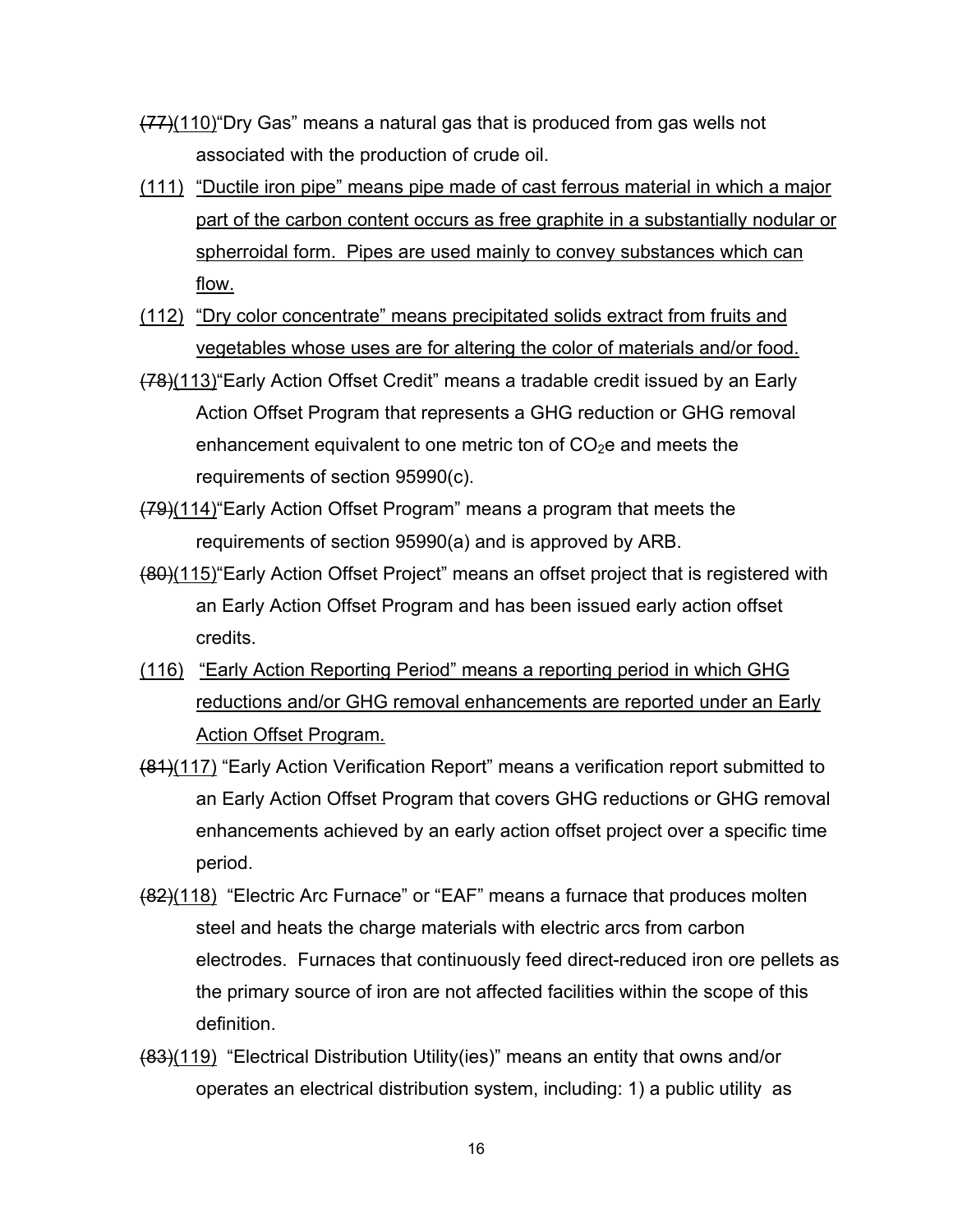- $(77)(110)$  Dry Gas" means a natural gas that is produced from gas wells not associated with the production of crude oil.
- (111) "Ductile iron pipe" means pipe made of cast ferrous material in which a major part of the carbon content occurs as free graphite in a substantially nodular or spherroidal form. Pipes are used mainly to convey substances which can flow.
- (112) "Dry color concentrate" means precipitated solids extract from fruits and vegetables whose uses are for altering the color of materials and/or food.
- (78)(113)"Early Action Offset Credit" means a tradable credit issued by an Early Action Offset Program that represents a GHG reduction or GHG removal enhancement equivalent to one metric ton of  $CO<sub>2</sub>e$  and meets the requirements of section 95990(c).
- (79)(114)"Early Action Offset Program" means a program that meets the requirements of section 95990(a) and is approved by ARB.
- (80)(115)"Early Action Offset Project" means an offset project that is registered with an Early Action Offset Program and has been issued early action offset credits.
- (116) "Early Action Reporting Period" means a reporting period in which GHG reductions and/or GHG removal enhancements are reported under an Early Action Offset Program.
- (81)(117) "Early Action Verification Report" means a verification report submitted to an Early Action Offset Program that covers GHG reductions or GHG removal enhancements achieved by an early action offset project over a specific time period.
- (82)(118) "Electric Arc Furnace" or "EAF" means a furnace that produces molten steel and heats the charge materials with electric arcs from carbon electrodes. Furnaces that continuously feed direct-reduced iron ore pellets as the primary source of iron are not affected facilities within the scope of this definition.
- (83)(119) "Electrical Distribution Utility(ies)" means an entity that owns and/or operates an electrical distribution system, including: 1) a public utility as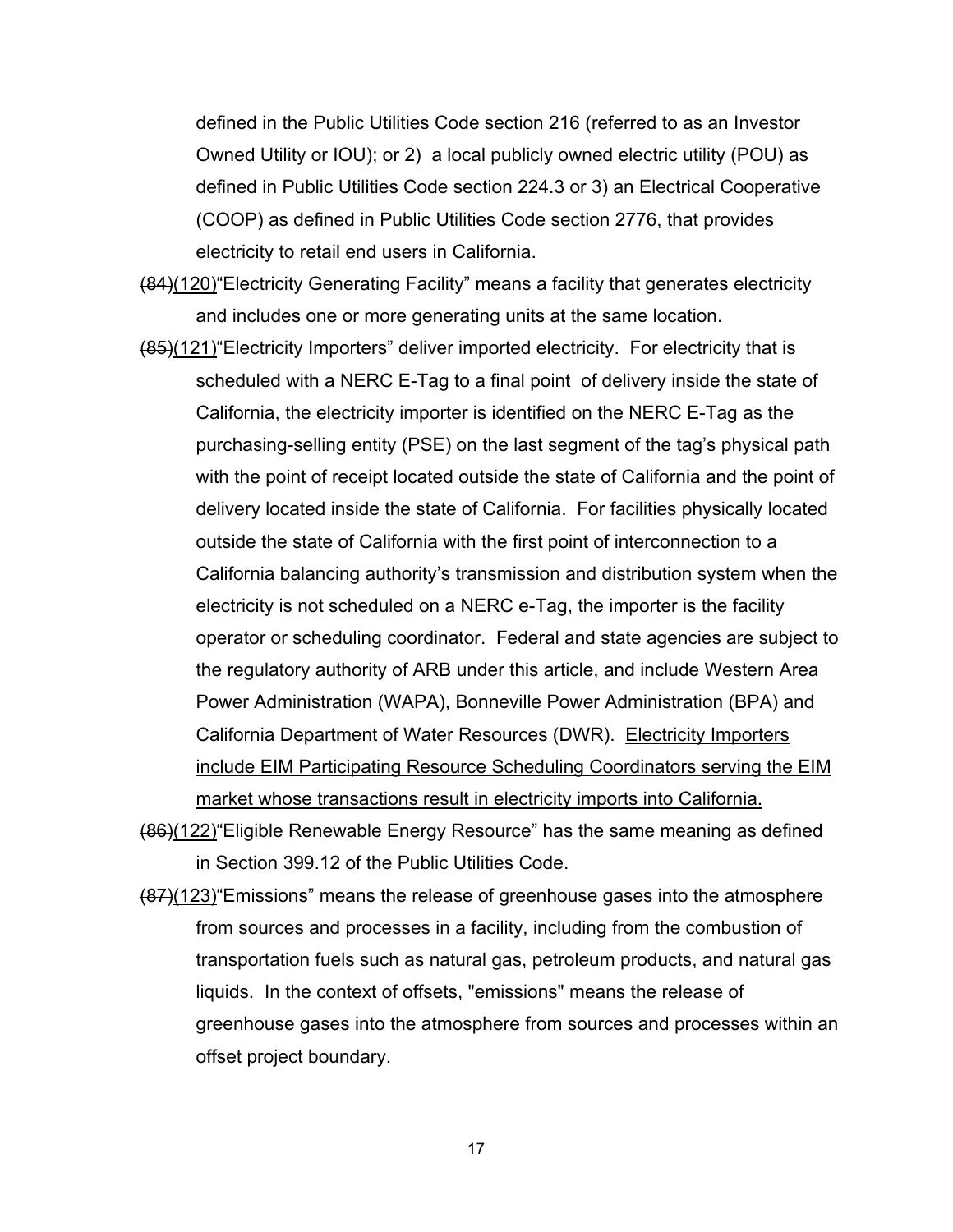defined in the Public Utilities Code section 216 (referred to as an Investor Owned Utility or IOU); or 2) a local publicly owned electric utility (POU) as defined in Public Utilities Code section 224.3 or 3) an Electrical Cooperative (COOP) as defined in Public Utilities Code section 2776, that provides electricity to retail end users in California.

- (84)(120)"Electricity Generating Facility" means a facility that generates electricity and includes one or more generating units at the same location.
- (85)(121) Electricity Importers" deliver imported electricity. For electricity that is scheduled with a NERC E-Tag to a final point of delivery inside the state of California, the electricity importer is identified on the NERC E-Tag as the purchasing-selling entity (PSE) on the last segment of the tag's physical path with the point of receipt located outside the state of California and the point of delivery located inside the state of California. For facilities physically located outside the state of California with the first point of interconnection to a California balancing authority's transmission and distribution system when the electricity is not scheduled on a NERC e-Tag, the importer is the facility operator or scheduling coordinator. Federal and state agencies are subject to the regulatory authority of ARB under this article, and include Western Area Power Administration (WAPA), Bonneville Power Administration (BPA) and California Department of Water Resources (DWR). Electricity Importers include EIM Participating Resource Scheduling Coordinators serving the EIM market whose transactions result in electricity imports into California.
- (86)(122)"Eligible Renewable Energy Resource" has the same meaning as defined in Section 399.12 of the Public Utilities Code.
- (87)(123)"Emissions" means the release of greenhouse gases into the atmosphere from sources and processes in a facility, including from the combustion of transportation fuels such as natural gas, petroleum products, and natural gas liquids. In the context of offsets, "emissions" means the release of greenhouse gases into the atmosphere from sources and processes within an offset project boundary.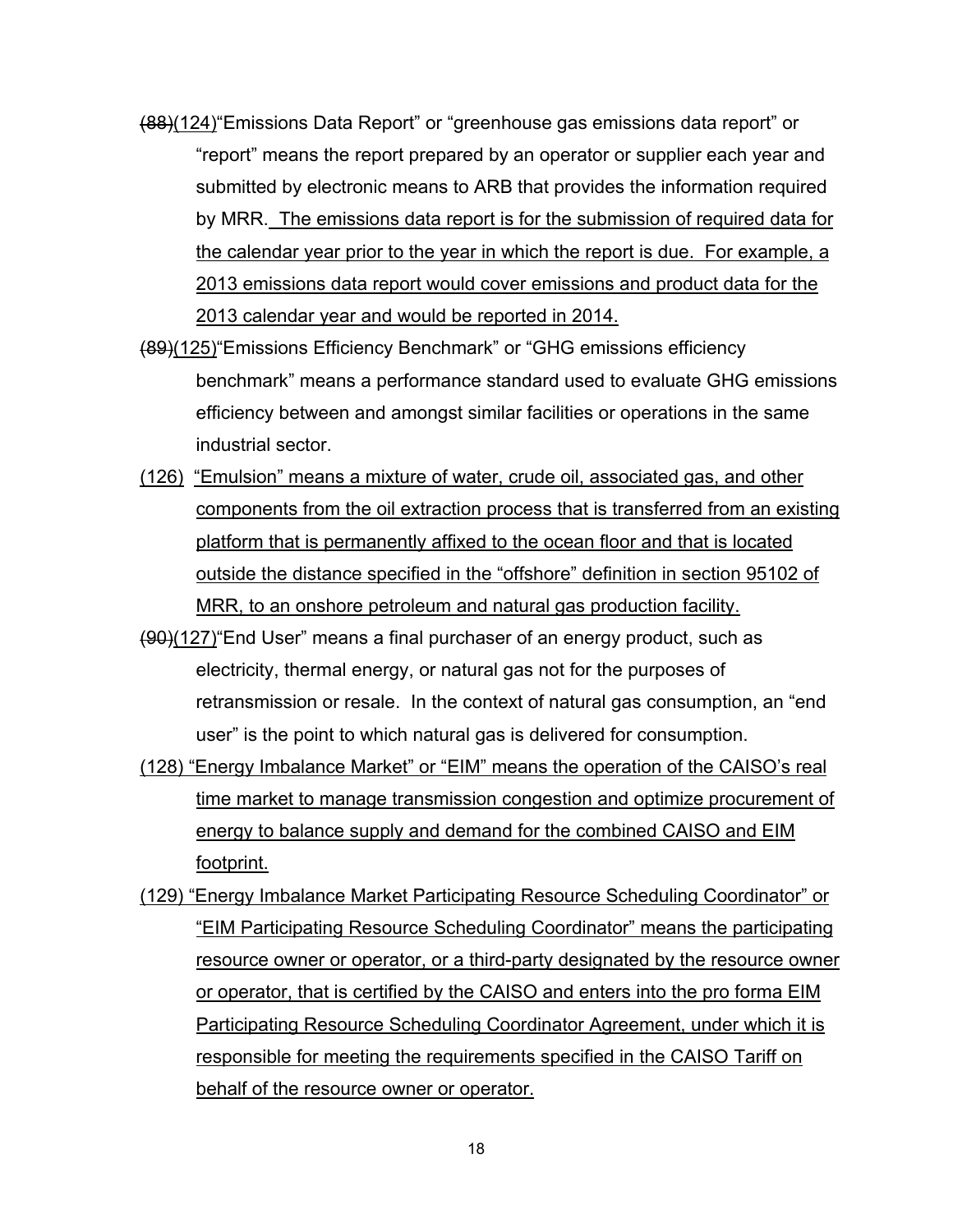- (88)(124)"Emissions Data Report" or "greenhouse gas emissions data report" or "report" means the report prepared by an operator or supplier each year and submitted by electronic means to ARB that provides the information required by MRR. The emissions data report is for the submission of required data for the calendar year prior to the year in which the report is due. For example, a 2013 emissions data report would cover emissions and product data for the 2013 calendar year and would be reported in 2014.
- (89)(125)"Emissions Efficiency Benchmark" or "GHG emissions efficiency benchmark" means a performance standard used to evaluate GHG emissions efficiency between and amongst similar facilities or operations in the same industrial sector.
- (126) "Emulsion" means a mixture of water, crude oil, associated gas, and other components from the oil extraction process that is transferred from an existing platform that is permanently affixed to the ocean floor and that is located outside the distance specified in the "offshore" definition in section 95102 of MRR, to an onshore petroleum and natural gas production facility.
- (90)(127)"End User" means a final purchaser of an energy product, such as electricity, thermal energy, or natural gas not for the purposes of retransmission or resale. In the context of natural gas consumption, an "end user" is the point to which natural gas is delivered for consumption.
- (128) "Energy Imbalance Market" or "EIM" means the operation of the CAISO's real time market to manage transmission congestion and optimize procurement of energy to balance supply and demand for the combined CAISO and EIM footprint.
- (129) "Energy Imbalance Market Participating Resource Scheduling Coordinator" or "EIM Participating Resource Scheduling Coordinator" means the participating resource owner or operator, or a third-party designated by the resource owner or operator, that is certified by the CAISO and enters into the pro forma EIM Participating Resource Scheduling Coordinator Agreement, under which it is responsible for meeting the requirements specified in the CAISO Tariff on behalf of the resource owner or operator.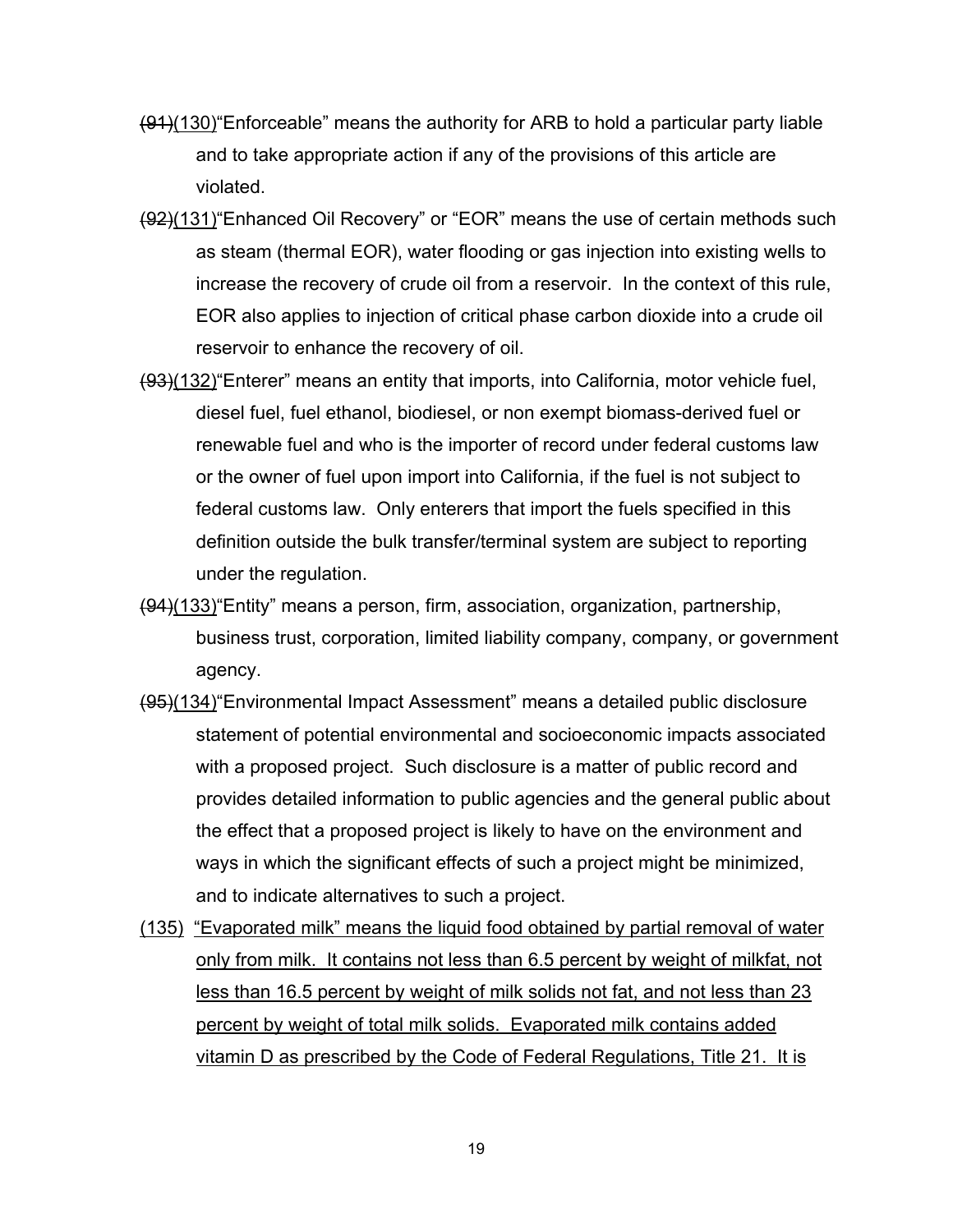- (91)(130)"Enforceable" means the authority for ARB to hold a particular party liable and to take appropriate action if any of the provisions of this article are violated.
- (92)(131)"Enhanced Oil Recovery" or "EOR" means the use of certain methods such as steam (thermal EOR), water flooding or gas injection into existing wells to increase the recovery of crude oil from a reservoir. In the context of this rule, EOR also applies to injection of critical phase carbon dioxide into a crude oil reservoir to enhance the recovery of oil.
- (93)(132)"Enterer" means an entity that imports, into California, motor vehicle fuel, diesel fuel, fuel ethanol, biodiesel, or non exempt biomass-derived fuel or renewable fuel and who is the importer of record under federal customs law or the owner of fuel upon import into California, if the fuel is not subject to federal customs law. Only enterers that import the fuels specified in this definition outside the bulk transfer/terminal system are subject to reporting under the regulation.
- (94)(133)"Entity" means a person, firm, association, organization, partnership, business trust, corporation, limited liability company, company, or government agency.
- (95)(134)"Environmental Impact Assessment" means a detailed public disclosure statement of potential environmental and socioeconomic impacts associated with a proposed project. Such disclosure is a matter of public record and provides detailed information to public agencies and the general public about the effect that a proposed project is likely to have on the environment and ways in which the significant effects of such a project might be minimized, and to indicate alternatives to such a project.
- (135) "Evaporated milk" means the liquid food obtained by partial removal of water only from milk. It contains not less than 6.5 percent by weight of milkfat, not less than 16.5 percent by weight of milk solids not fat, and not less than 23 percent by weight of total milk solids. Evaporated milk contains added vitamin D as prescribed by the Code of Federal Regulations, Title 21. It is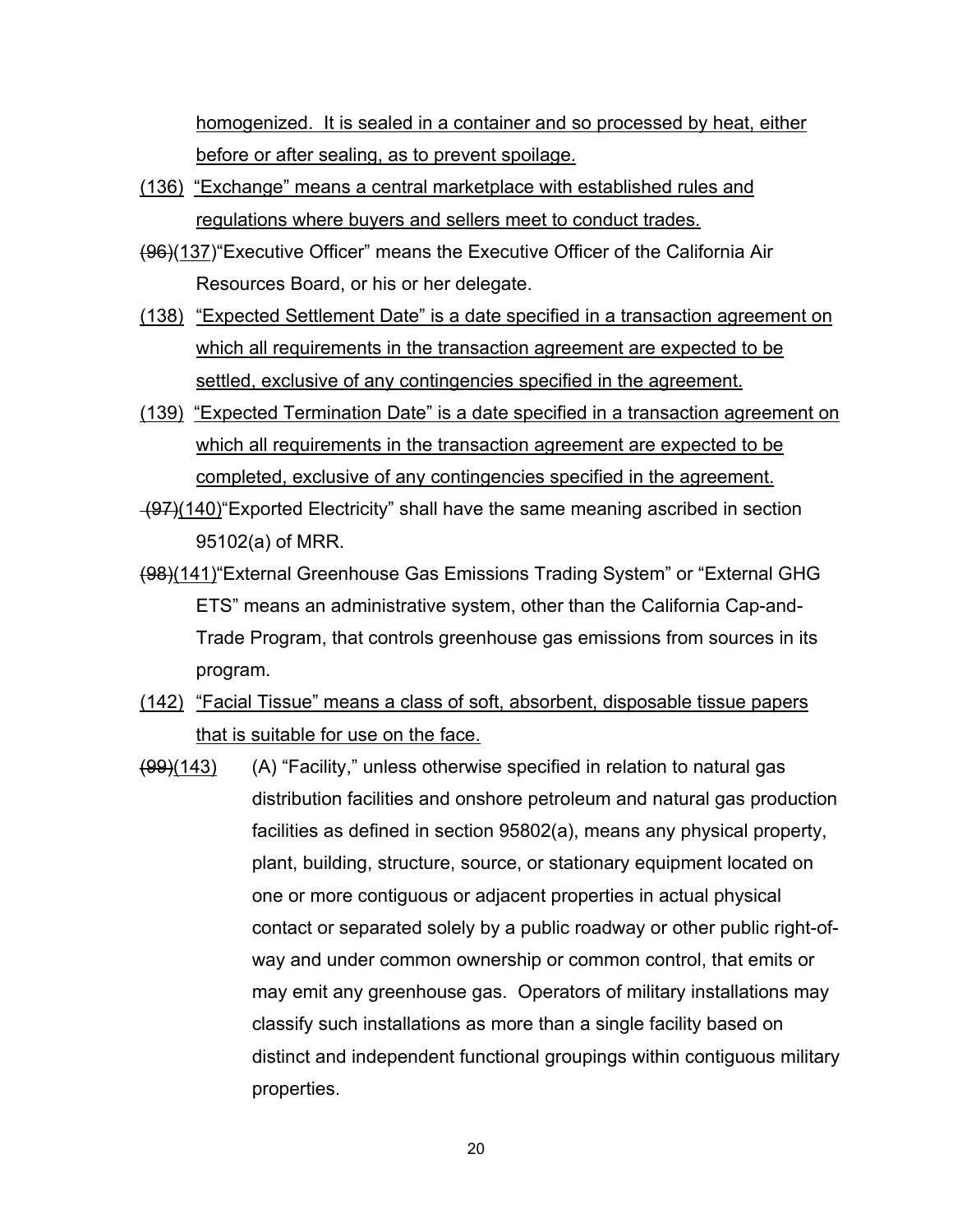homogenized. It is sealed in a container and so processed by heat, either before or after sealing, as to prevent spoilage.

- (136) "Exchange" means a central marketplace with established rules and regulations where buyers and sellers meet to conduct trades.
- (96)(137)"Executive Officer" means the Executive Officer of the California Air Resources Board, or his or her delegate.
- (138) "Expected Settlement Date" is a date specified in a transaction agreement on which all requirements in the transaction agreement are expected to be settled, exclusive of any contingencies specified in the agreement.
- (139) "Expected Termination Date" is a date specified in a transaction agreement on which all requirements in the transaction agreement are expected to be completed, exclusive of any contingencies specified in the agreement.
- (97)(140)"Exported Electricity" shall have the same meaning ascribed in section 95102(a) of MRR.
- (98)(141)"External Greenhouse Gas Emissions Trading System" or "External GHG ETS" means an administrative system, other than the California Cap-and-Trade Program, that controls greenhouse gas emissions from sources in its program.
- (142) "Facial Tissue" means a class of soft, absorbent, disposable tissue papers that is suitable for use on the face.
- $(99)(143)$  (A) "Facility," unless otherwise specified in relation to natural gas distribution facilities and onshore petroleum and natural gas production facilities as defined in section 95802(a), means any physical property, plant, building, structure, source, or stationary equipment located on one or more contiguous or adjacent properties in actual physical contact or separated solely by a public roadway or other public right-ofway and under common ownership or common control, that emits or may emit any greenhouse gas. Operators of military installations may classify such installations as more than a single facility based on distinct and independent functional groupings within contiguous military properties.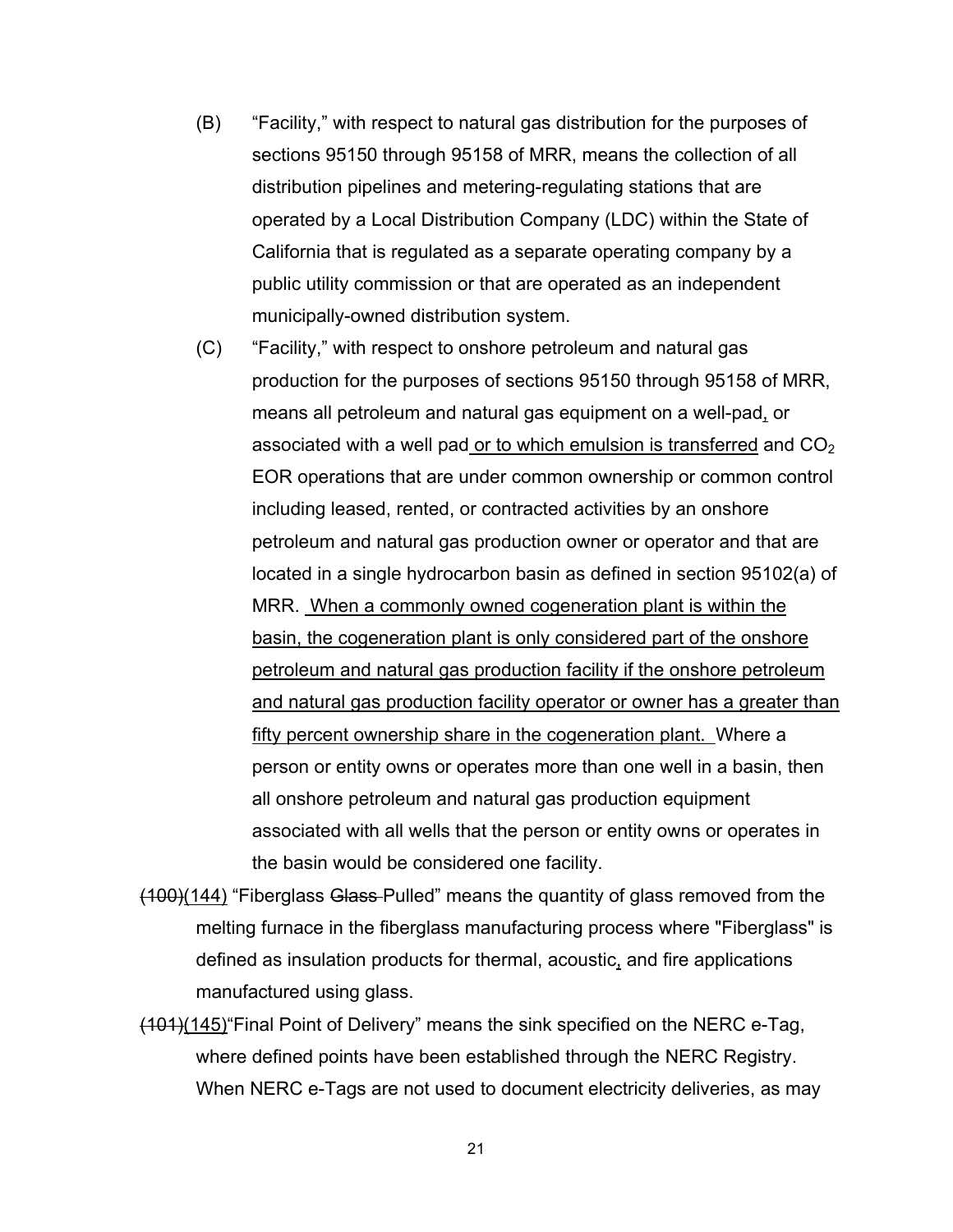- (B) "Facility," with respect to natural gas distribution for the purposes of sections 95150 through 95158 of MRR, means the collection of all distribution pipelines and metering-regulating stations that are operated by a Local Distribution Company (LDC) within the State of California that is regulated as a separate operating company by a public utility commission or that are operated as an independent municipally-owned distribution system.
- (C) "Facility," with respect to onshore petroleum and natural gas production for the purposes of sections 95150 through 95158 of MRR, means all petroleum and natural gas equipment on a well-pad, or associated with a well pad or to which emulsion is transferred and  $CO<sub>2</sub>$ EOR operations that are under common ownership or common control including leased, rented, or contracted activities by an onshore petroleum and natural gas production owner or operator and that are located in a single hydrocarbon basin as defined in section 95102(a) of MRR. When a commonly owned cogeneration plant is within the basin, the cogeneration plant is only considered part of the onshore petroleum and natural gas production facility if the onshore petroleum and natural gas production facility operator or owner has a greater than fifty percent ownership share in the cogeneration plant. Where a person or entity owns or operates more than one well in a basin, then all onshore petroleum and natural gas production equipment associated with all wells that the person or entity owns or operates in the basin would be considered one facility.
- (100)(144) "Fiberglass Glass Pulled" means the quantity of glass removed from the melting furnace in the fiberglass manufacturing process where "Fiberglass" is defined as insulation products for thermal, acoustic, and fire applications manufactured using glass.
- (101)(145)"Final Point of Delivery" means the sink specified on the NERC e-Tag, where defined points have been established through the NERC Registry. When NERC e-Tags are not used to document electricity deliveries, as may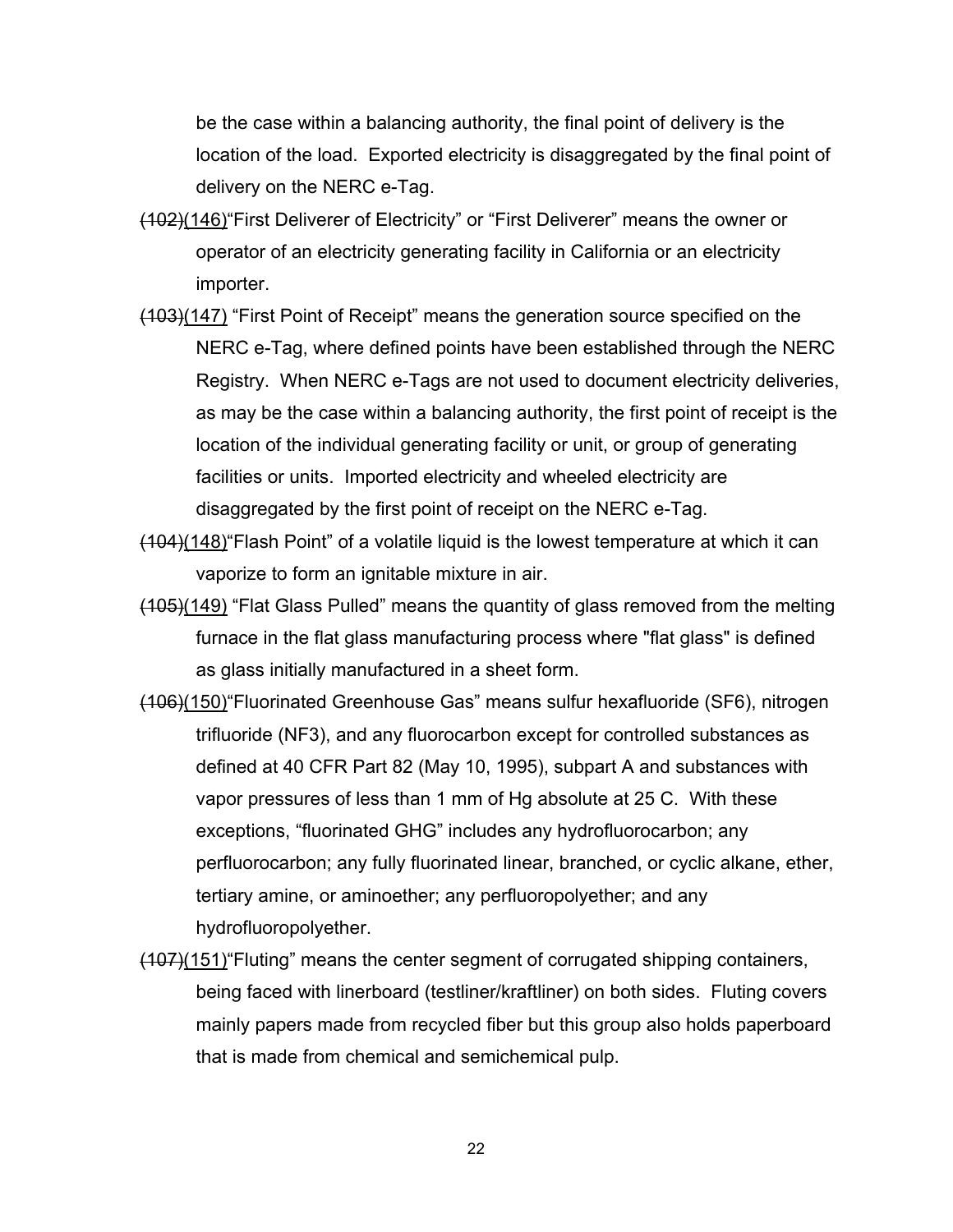be the case within a balancing authority, the final point of delivery is the location of the load. Exported electricity is disaggregated by the final point of delivery on the NERC e-Tag.

- (102)(146)"First Deliverer of Electricity" or "First Deliverer" means the owner or operator of an electricity generating facility in California or an electricity importer.
- (103)(147) "First Point of Receipt" means the generation source specified on the NERC e-Tag, where defined points have been established through the NERC Registry. When NERC e-Tags are not used to document electricity deliveries, as may be the case within a balancing authority, the first point of receipt is the location of the individual generating facility or unit, or group of generating facilities or units. Imported electricity and wheeled electricity are disaggregated by the first point of receipt on the NERC e-Tag.
- (104)(148)"Flash Point" of a volatile liquid is the lowest temperature at which it can vaporize to form an ignitable mixture in air.
- (105)(149) "Flat Glass Pulled" means the quantity of glass removed from the melting furnace in the flat glass manufacturing process where "flat glass" is defined as glass initially manufactured in a sheet form.
- (106)(150)"Fluorinated Greenhouse Gas" means sulfur hexafluoride (SF6), nitrogen trifluoride (NF3), and any fluorocarbon except for controlled substances as defined at 40 CFR Part 82 (May 10, 1995), subpart A and substances with vapor pressures of less than 1 mm of Hg absolute at 25 C. With these exceptions, "fluorinated GHG" includes any hydrofluorocarbon; any perfluorocarbon; any fully fluorinated linear, branched, or cyclic alkane, ether, tertiary amine, or aminoether; any perfluoropolyether; and any hydrofluoropolyether.
- (107)(151)"Fluting" means the center segment of corrugated shipping containers, being faced with linerboard (testliner/kraftliner) on both sides. Fluting covers mainly papers made from recycled fiber but this group also holds paperboard that is made from chemical and semichemical pulp.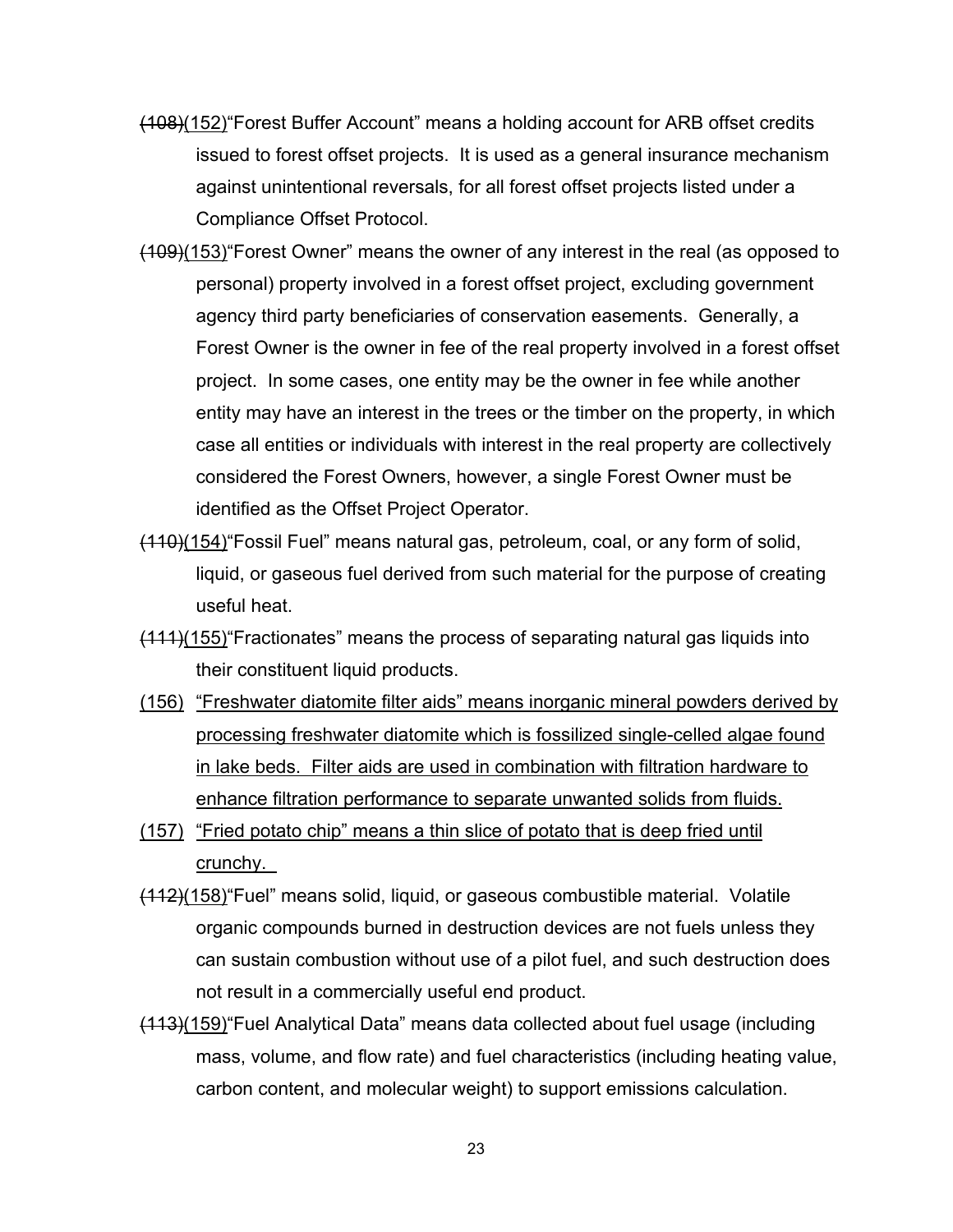- (108)(152)"Forest Buffer Account" means a holding account for ARB offset credits issued to forest offset projects. It is used as a general insurance mechanism against unintentional reversals, for all forest offset projects listed under a Compliance Offset Protocol.
- (109)(153)"Forest Owner" means the owner of any interest in the real (as opposed to personal) property involved in a forest offset project, excluding government agency third party beneficiaries of conservation easements. Generally, a Forest Owner is the owner in fee of the real property involved in a forest offset project. In some cases, one entity may be the owner in fee while another entity may have an interest in the trees or the timber on the property, in which case all entities or individuals with interest in the real property are collectively considered the Forest Owners, however, a single Forest Owner must be identified as the Offset Project Operator.
- (110)(154)"Fossil Fuel" means natural gas, petroleum, coal, or any form of solid, liquid, or gaseous fuel derived from such material for the purpose of creating useful heat.
- (111)(155)"Fractionates" means the process of separating natural gas liquids into their constituent liquid products.
- (156) "Freshwater diatomite filter aids" means inorganic mineral powders derived by processing freshwater diatomite which is fossilized single-celled algae found in lake beds. Filter aids are used in combination with filtration hardware to enhance filtration performance to separate unwanted solids from fluids.
- (157) "Fried potato chip" means a thin slice of potato that is deep fried until crunchy.
- (112)(158)"Fuel" means solid, liquid, or gaseous combustible material. Volatile organic compounds burned in destruction devices are not fuels unless they can sustain combustion without use of a pilot fuel, and such destruction does not result in a commercially useful end product.
- (113)(159)"Fuel Analytical Data" means data collected about fuel usage (including mass, volume, and flow rate) and fuel characteristics (including heating value, carbon content, and molecular weight) to support emissions calculation.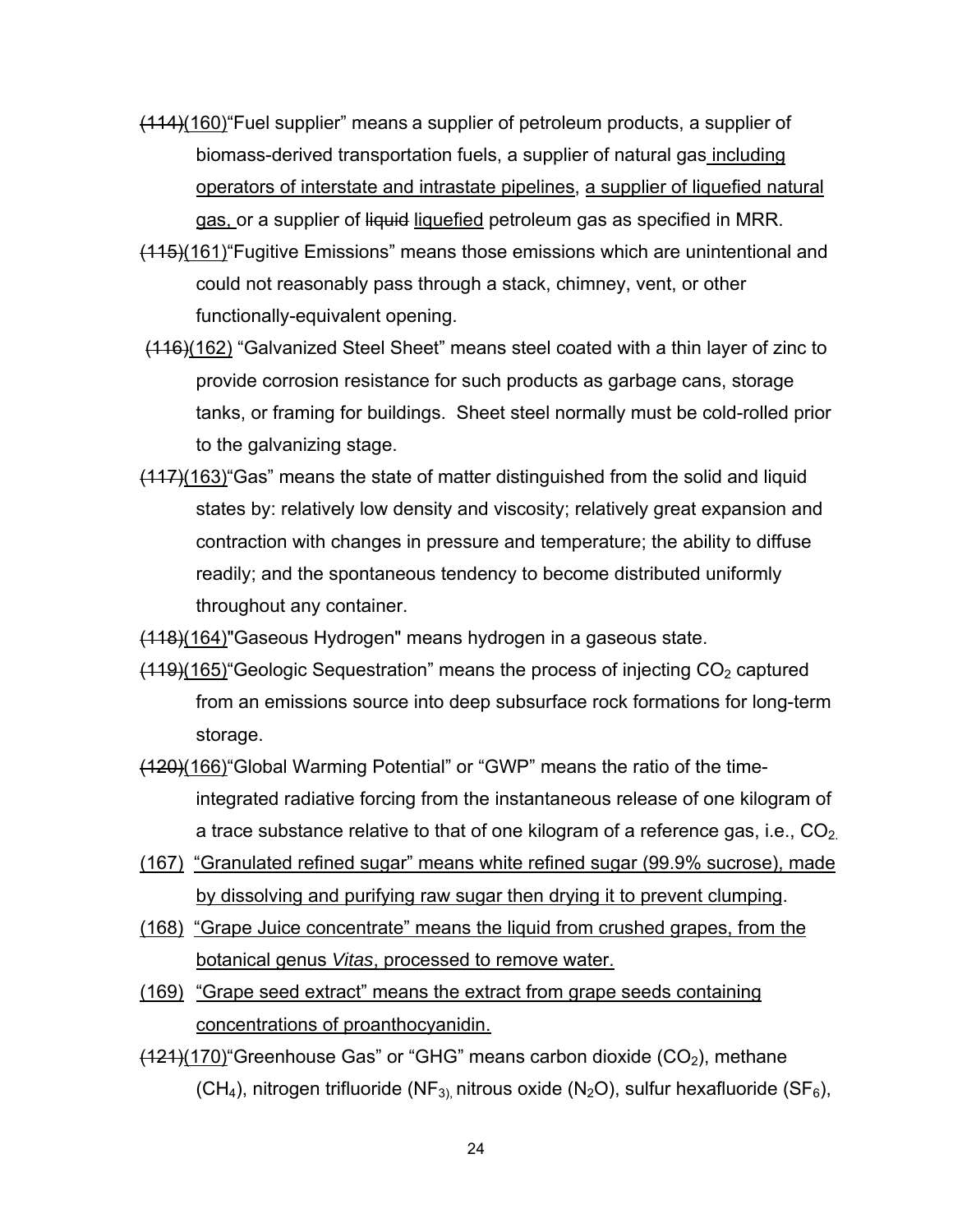- (114)(160)"Fuel supplier" means a supplier of petroleum products, a supplier of biomass-derived transportation fuels, a supplier of natural gas including operators of interstate and intrastate pipelines, a supplier of liquefied natural gas, or a supplier of liquid liquefied petroleum gas as specified in MRR.
- (115)(161)"Fugitive Emissions" means those emissions which are unintentional and could not reasonably pass through a stack, chimney, vent, or other functionally-equivalent opening.
- (116)(162) "Galvanized Steel Sheet" means steel coated with a thin layer of zinc to provide corrosion resistance for such products as garbage cans, storage tanks, or framing for buildings. Sheet steel normally must be cold-rolled prior to the galvanizing stage.
- (117)(163)"Gas" means the state of matter distinguished from the solid and liquid states by: relatively low density and viscosity; relatively great expansion and contraction with changes in pressure and temperature; the ability to diffuse readily; and the spontaneous tendency to become distributed uniformly throughout any container.
- (118)(164)"Gaseous Hydrogen" means hydrogen in a gaseous state.
- $(119)(165)$  Geologic Sequestration" means the process of injecting  $CO<sub>2</sub>$  captured from an emissions source into deep subsurface rock formations for long-term storage.
- (120)(166)"Global Warming Potential" or "GWP" means the ratio of the timeintegrated radiative forcing from the instantaneous release of one kilogram of a trace substance relative to that of one kilogram of a reference gas, i.e.,  $CO<sub>2</sub>$
- (167) "Granulated refined sugar" means white refined sugar (99.9% sucrose), made by dissolving and purifying raw sugar then drying it to prevent clumping.
- (168) "Grape Juice concentrate" means the liquid from crushed grapes, from the botanical genus *Vitas*, processed to remove water.
- (169) "Grape seed extract" means the extract from grape seeds containing concentrations of proanthocyanidin.
- $(121)(170)$  Greenhouse Gas" or "GHG" means carbon dioxide  $(CO<sub>2</sub>)$ , methane (CH<sub>4</sub>), nitrogen trifluoride (NF<sub>3),</sub> nitrous oxide (N<sub>2</sub>O), sulfur hexafluoride (SF<sub>6</sub>),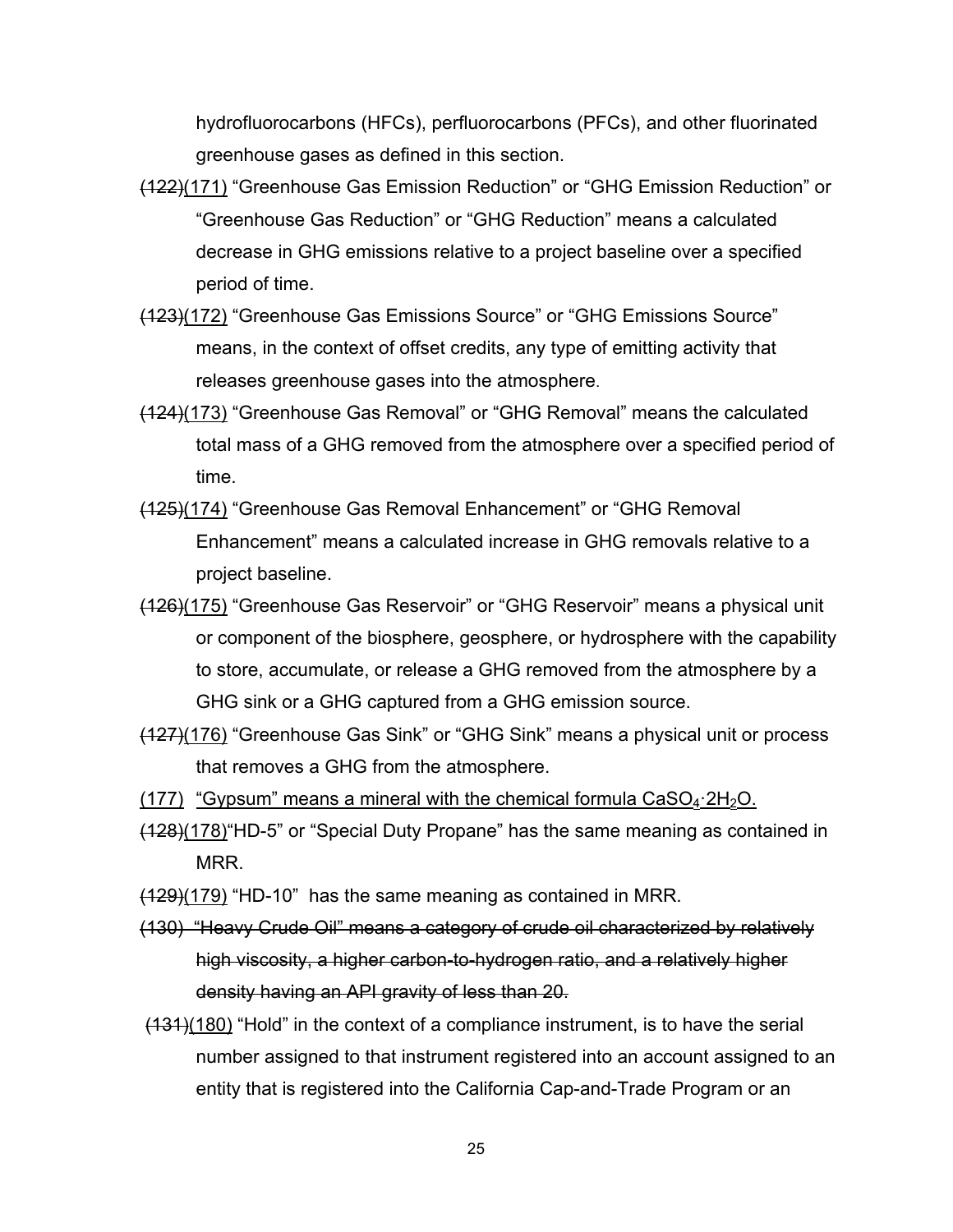hydrofluorocarbons (HFCs), perfluorocarbons (PFCs), and other fluorinated greenhouse gases as defined in this section.

- (122)(171) "Greenhouse Gas Emission Reduction" or "GHG Emission Reduction" or "Greenhouse Gas Reduction" or "GHG Reduction" means a calculated decrease in GHG emissions relative to a project baseline over a specified period of time.
- (123)(172) "Greenhouse Gas Emissions Source" or "GHG Emissions Source" means, in the context of offset credits, any type of emitting activity that releases greenhouse gases into the atmosphere.
- (124)(173) "Greenhouse Gas Removal" or "GHG Removal" means the calculated total mass of a GHG removed from the atmosphere over a specified period of time.
- (125)(174) "Greenhouse Gas Removal Enhancement" or "GHG Removal Enhancement" means a calculated increase in GHG removals relative to a project baseline.
- (126)(175) "Greenhouse Gas Reservoir" or "GHG Reservoir" means a physical unit or component of the biosphere, geosphere, or hydrosphere with the capability to store, accumulate, or release a GHG removed from the atmosphere by a GHG sink or a GHG captured from a GHG emission source.
- (127)(176) "Greenhouse Gas Sink" or "GHG Sink" means a physical unit or process that removes a GHG from the atmosphere.
- (177) "Gypsum" means a mineral with the chemical formula  $CaSO<sub>4</sub>$ :  $2H<sub>2</sub>O$ .
- (128)(178)"HD-5" or "Special Duty Propane" has the same meaning as contained in MRR.
- $(129)(179)$  "HD-10" has the same meaning as contained in MRR.
- (130) "Heavy Crude Oil" means a category of crude oil characterized by relatively high viscosity, a higher carbon-to-hydrogen ratio, and a relatively higher density having an API gravity of less than 20.
- $(131)(180)$  "Hold" in the context of a compliance instrument, is to have the serial number assigned to that instrument registered into an account assigned to an entity that is registered into the California Cap-and-Trade Program or an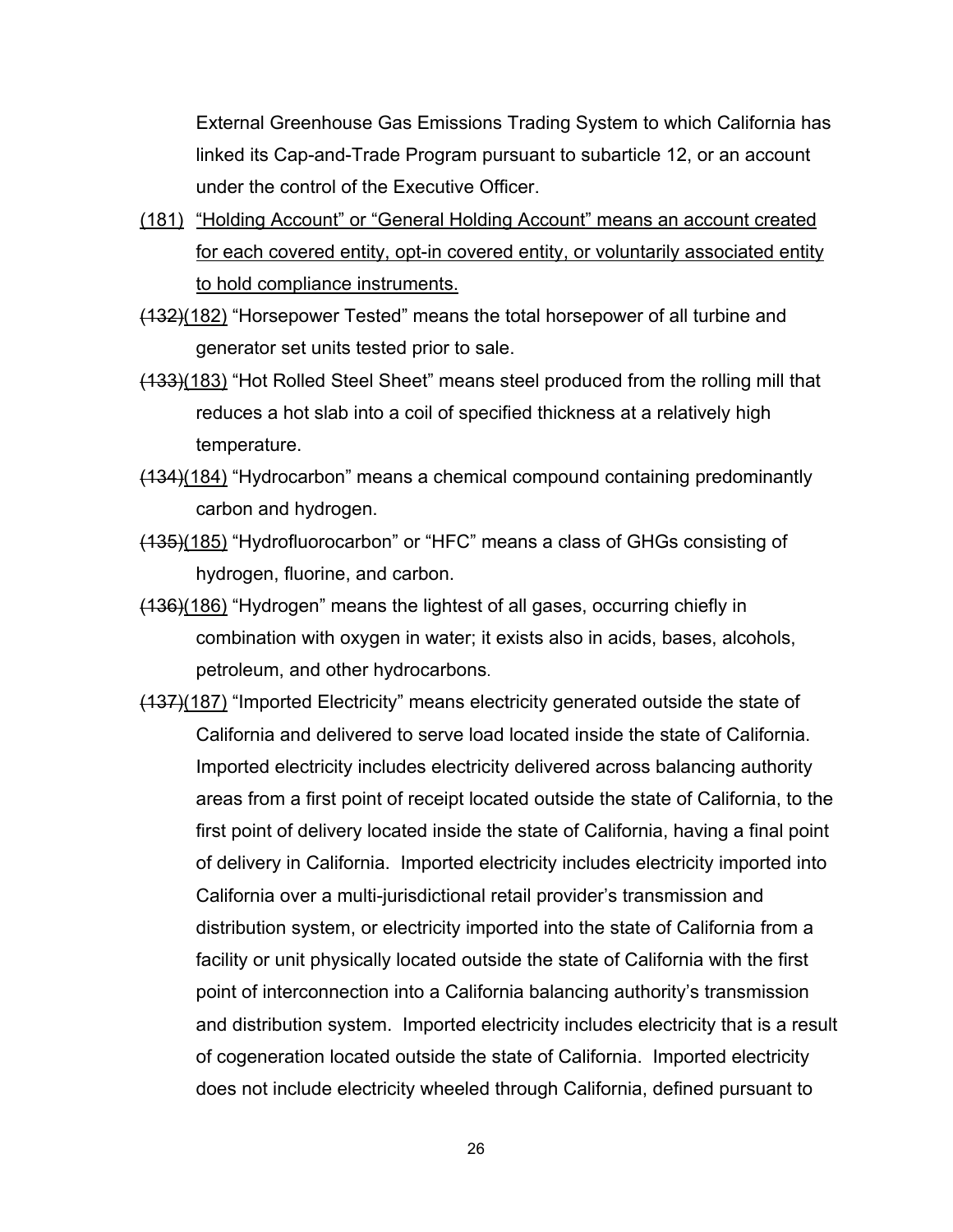External Greenhouse Gas Emissions Trading System to which California has linked its Cap-and-Trade Program pursuant to subarticle 12, or an account under the control of the Executive Officer.

- (181) "Holding Account" or "General Holding Account" means an account created for each covered entity, opt-in covered entity, or voluntarily associated entity to hold compliance instruments.
- (132)(182) "Horsepower Tested" means the total horsepower of all turbine and generator set units tested prior to sale.
- (133)(183) "Hot Rolled Steel Sheet" means steel produced from the rolling mill that reduces a hot slab into a coil of specified thickness at a relatively high temperature.
- (134)(184) "Hydrocarbon" means a chemical compound containing predominantly carbon and hydrogen.
- (135)(185) "Hydrofluorocarbon" or "HFC" means a class of GHGs consisting of hydrogen, fluorine, and carbon.
- (136)(186) "Hydrogen" means the lightest of all gases, occurring chiefly in combination with oxygen in water; it exists also in acids, bases, alcohols, petroleum, and other hydrocarbons.
- (137)(187) "Imported Electricity" means electricity generated outside the state of California and delivered to serve load located inside the state of California. Imported electricity includes electricity delivered across balancing authority areas from a first point of receipt located outside the state of California, to the first point of delivery located inside the state of California, having a final point of delivery in California. Imported electricity includes electricity imported into California over a multi-jurisdictional retail provider's transmission and distribution system, or electricity imported into the state of California from a facility or unit physically located outside the state of California with the first point of interconnection into a California balancing authority's transmission and distribution system. Imported electricity includes electricity that is a result of cogeneration located outside the state of California. Imported electricity does not include electricity wheeled through California, defined pursuant to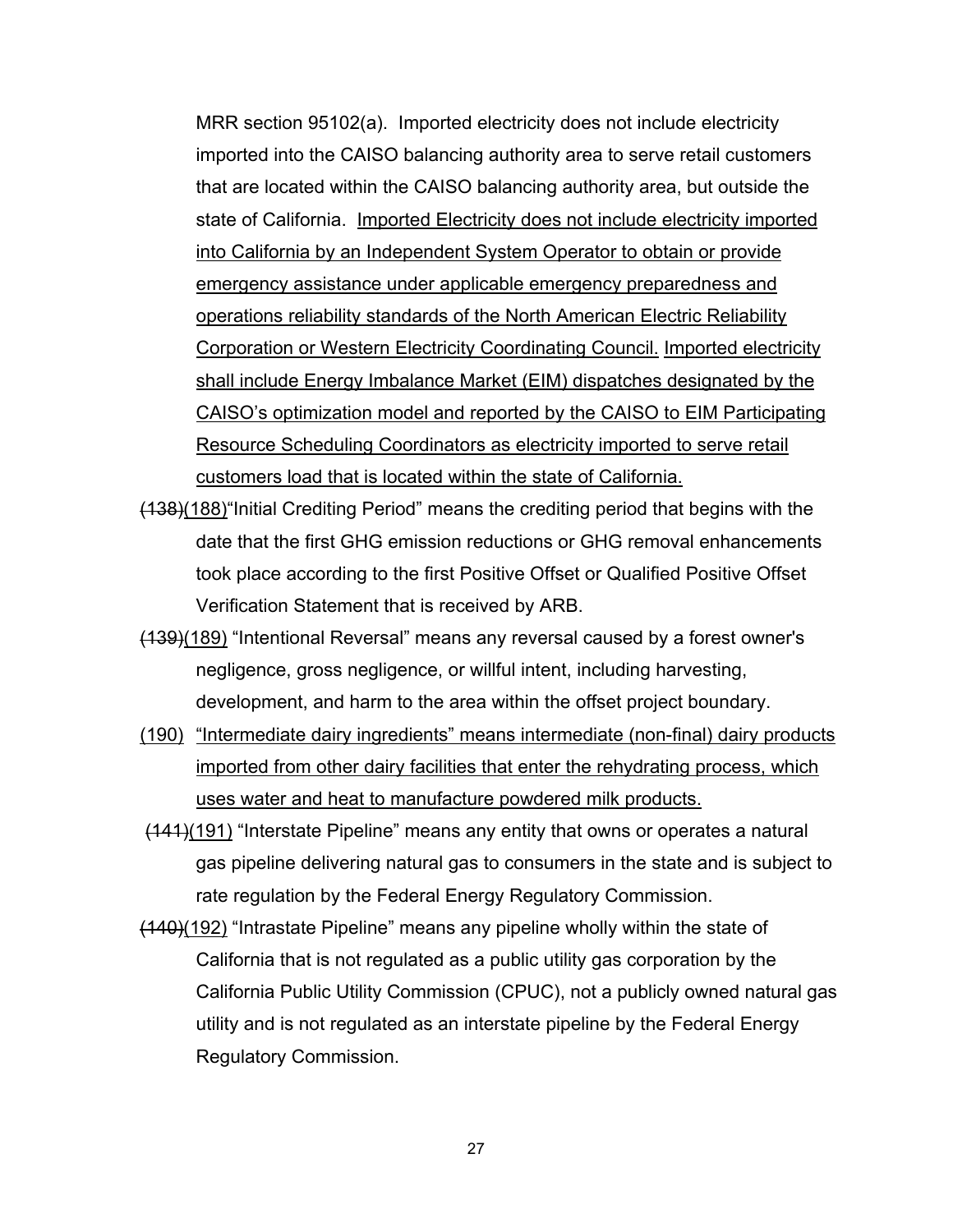MRR section 95102(a). Imported electricity does not include electricity imported into the CAISO balancing authority area to serve retail customers that are located within the CAISO balancing authority area, but outside the state of California. Imported Electricity does not include electricity imported into California by an Independent System Operator to obtain or provide emergency assistance under applicable emergency preparedness and operations reliability standards of the North American Electric Reliability Corporation or Western Electricity Coordinating Council. Imported electricity shall include Energy Imbalance Market (EIM) dispatches designated by the CAISO's optimization model and reported by the CAISO to EIM Participating Resource Scheduling Coordinators as electricity imported to serve retail customers load that is located within the state of California.

- (138)(188)"Initial Crediting Period" means the crediting period that begins with the date that the first GHG emission reductions or GHG removal enhancements took place according to the first Positive Offset or Qualified Positive Offset Verification Statement that is received by ARB.
- (139)(189) "Intentional Reversal" means any reversal caused by a forest owner's negligence, gross negligence, or willful intent, including harvesting, development, and harm to the area within the offset project boundary.
- (190) "Intermediate dairy ingredients" means intermediate (non-final) dairy products imported from other dairy facilities that enter the rehydrating process, which uses water and heat to manufacture powdered milk products.
- (141)(191) "Interstate Pipeline" means any entity that owns or operates a natural gas pipeline delivering natural gas to consumers in the state and is subject to rate regulation by the Federal Energy Regulatory Commission.
- (140)(192) "Intrastate Pipeline" means any pipeline wholly within the state of California that is not regulated as a public utility gas corporation by the California Public Utility Commission (CPUC), not a publicly owned natural gas utility and is not regulated as an interstate pipeline by the Federal Energy Regulatory Commission.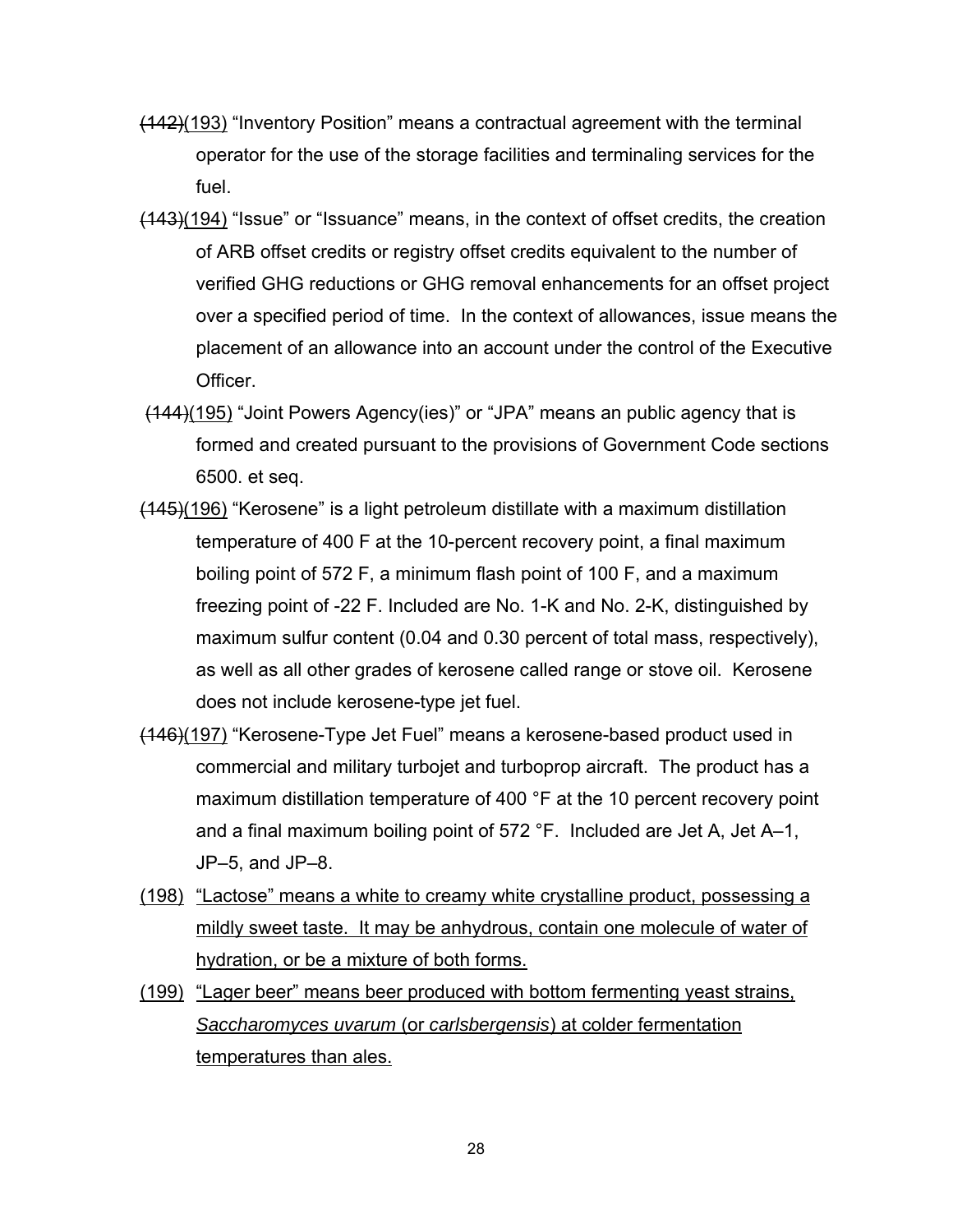- (142)(193) "Inventory Position" means a contractual agreement with the terminal operator for the use of the storage facilities and terminaling services for the fuel.
- (143)(194) "Issue" or "Issuance" means, in the context of offset credits, the creation of ARB offset credits or registry offset credits equivalent to the number of verified GHG reductions or GHG removal enhancements for an offset project over a specified period of time. In the context of allowances, issue means the placement of an allowance into an account under the control of the Executive Officer.
- (144)(195) "Joint Powers Agency(ies)" or "JPA" means an public agency that is formed and created pursuant to the provisions of Government Code sections 6500. et seq.
- (145)(196) "Kerosene" is a light petroleum distillate with a maximum distillation temperature of 400 F at the 10-percent recovery point, a final maximum boiling point of 572 F, a minimum flash point of 100 F, and a maximum freezing point of -22 F. Included are No. 1-K and No. 2-K, distinguished by maximum sulfur content (0.04 and 0.30 percent of total mass, respectively), as well as all other grades of kerosene called range or stove oil. Kerosene does not include kerosene-type jet fuel.
- (146)(197) "Kerosene-Type Jet Fuel" means a kerosene-based product used in commercial and military turbojet and turboprop aircraft. The product has a maximum distillation temperature of 400 °F at the 10 percent recovery point and a final maximum boiling point of 572 °F. Included are Jet A, Jet A–1, JP–5, and JP–8.
- (198) "Lactose" means a white to creamy white crystalline product, possessing a mildly sweet taste. It may be anhydrous, contain one molecule of water of hydration, or be a mixture of both forms.
- (199) "Lager beer" means beer produced with bottom fermenting yeast strains, *Saccharomyces uvarum* (or *carlsbergensis*) at colder fermentation temperatures than ales.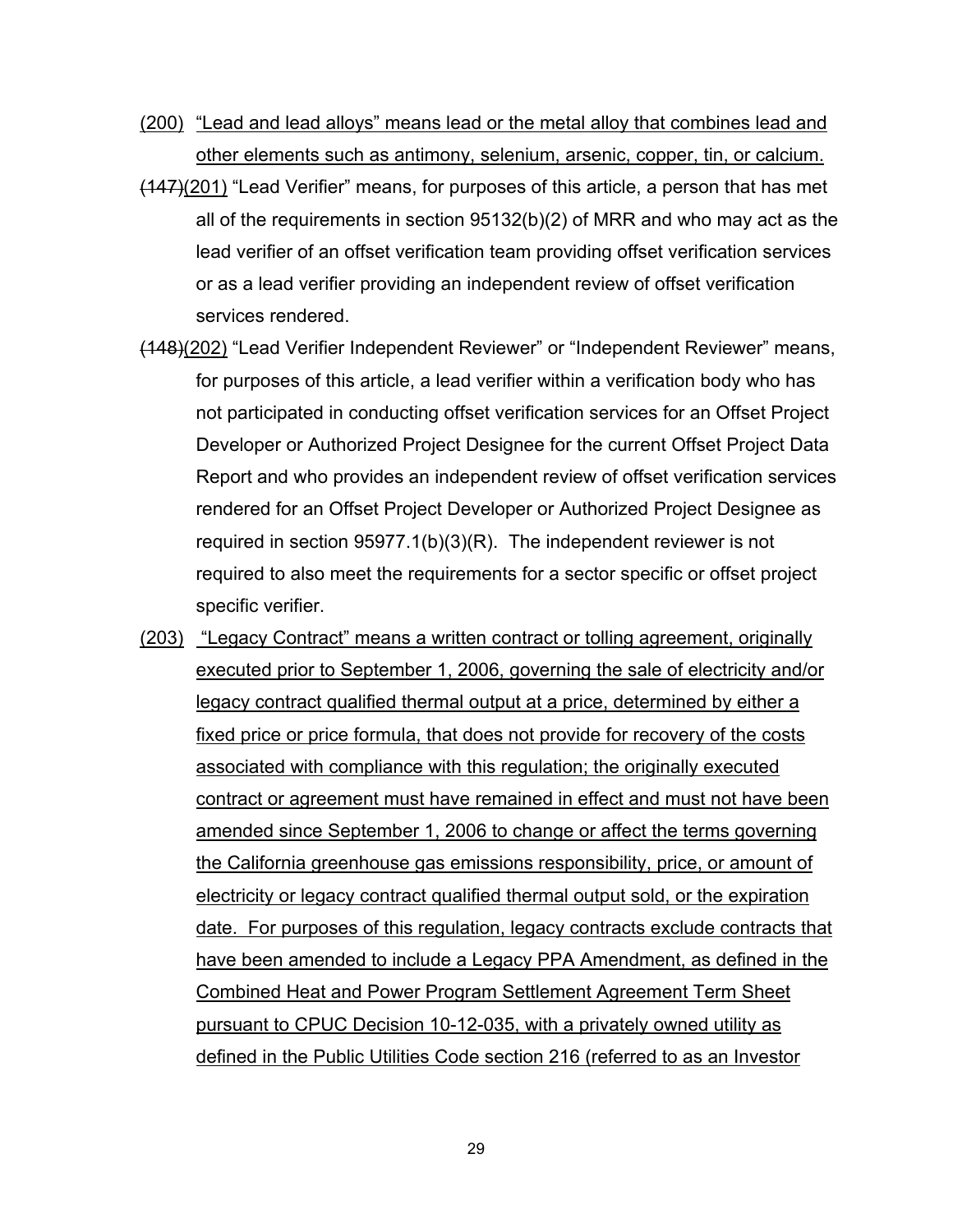- (200) "Lead and lead alloys" means lead or the metal alloy that combines lead and other elements such as antimony, selenium, arsenic, copper, tin, or calcium.
- $(147)(201)$  "Lead Verifier" means, for purposes of this article, a person that has met all of the requirements in section 95132(b)(2) of MRR and who may act as the lead verifier of an offset verification team providing offset verification services or as a lead verifier providing an independent review of offset verification services rendered.
- (148)(202) "Lead Verifier Independent Reviewer" or "Independent Reviewer" means, for purposes of this article, a lead verifier within a verification body who has not participated in conducting offset verification services for an Offset Project Developer or Authorized Project Designee for the current Offset Project Data Report and who provides an independent review of offset verification services rendered for an Offset Project Developer or Authorized Project Designee as required in section 95977.1(b)(3)(R). The independent reviewer is not required to also meet the requirements for a sector specific or offset project specific verifier.
- (203) "Legacy Contract" means a written contract or tolling agreement, originally executed prior to September 1, 2006, governing the sale of electricity and/or legacy contract qualified thermal output at a price, determined by either a fixed price or price formula, that does not provide for recovery of the costs associated with compliance with this regulation; the originally executed contract or agreement must have remained in effect and must not have been amended since September 1, 2006 to change or affect the terms governing the California greenhouse gas emissions responsibility, price, or amount of electricity or legacy contract qualified thermal output sold, or the expiration date. For purposes of this regulation, legacy contracts exclude contracts that have been amended to include a Legacy PPA Amendment, as defined in the Combined Heat and Power Program Settlement Agreement Term Sheet pursuant to CPUC Decision 10-12-035, with a privately owned utility as defined in the Public Utilities Code section 216 (referred to as an Investor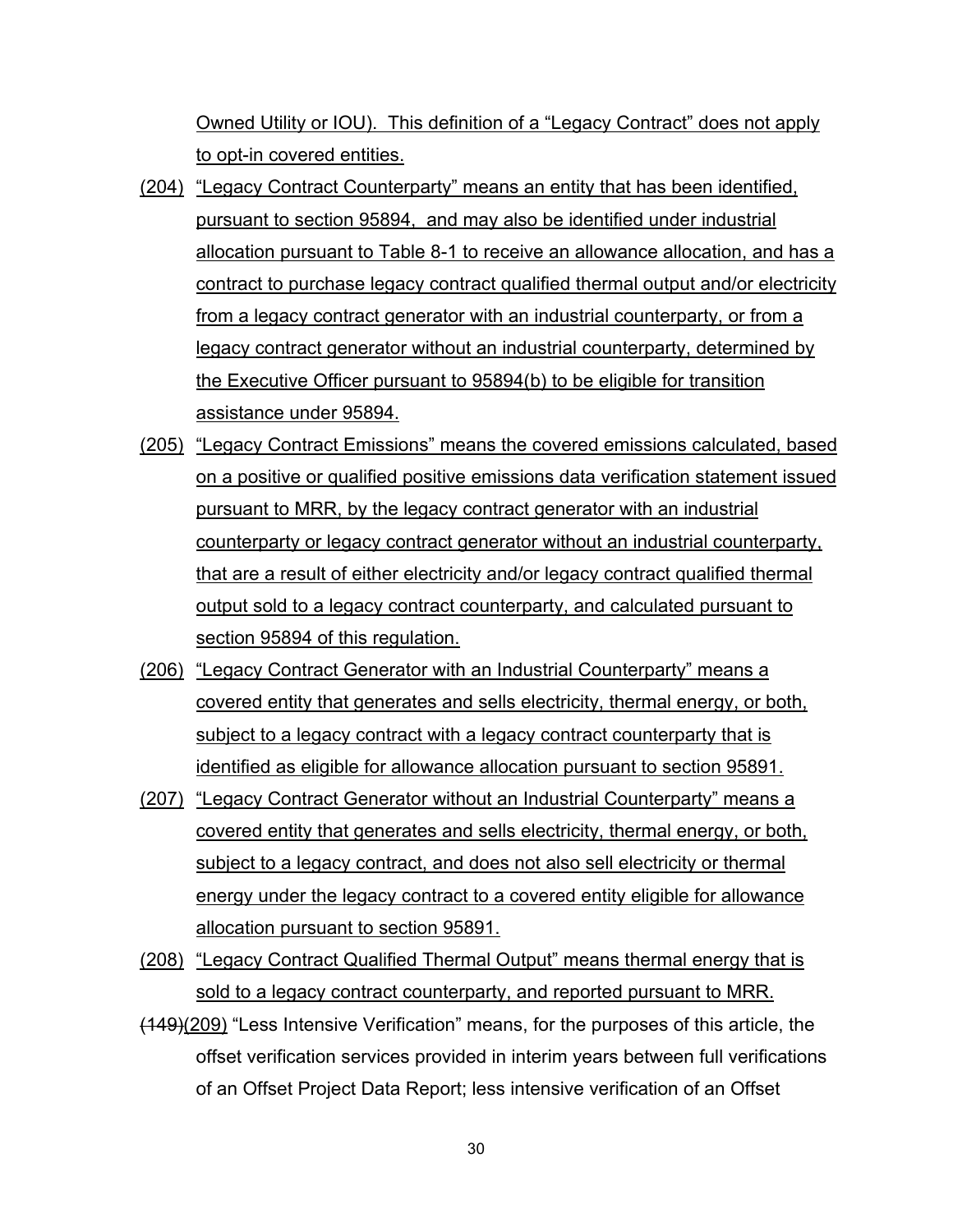Owned Utility or IOU). This definition of a "Legacy Contract" does not apply to opt-in covered entities.

- (204) "Legacy Contract Counterparty" means an entity that has been identified, pursuant to section 95894, and may also be identified under industrial allocation pursuant to Table 8-1 to receive an allowance allocation, and has a contract to purchase legacy contract qualified thermal output and/or electricity from a legacy contract generator with an industrial counterparty, or from a legacy contract generator without an industrial counterparty, determined by the Executive Officer pursuant to 95894(b) to be eligible for transition assistance under 95894.
- (205) "Legacy Contract Emissions" means the covered emissions calculated, based on a positive or qualified positive emissions data verification statement issued pursuant to MRR, by the legacy contract generator with an industrial counterparty or legacy contract generator without an industrial counterparty, that are a result of either electricity and/or legacy contract qualified thermal output sold to a legacy contract counterparty, and calculated pursuant to section 95894 of this regulation.
- (206) "Legacy Contract Generator with an Industrial Counterparty" means a covered entity that generates and sells electricity, thermal energy, or both, subject to a legacy contract with a legacy contract counterparty that is identified as eligible for allowance allocation pursuant to section 95891.
- (207) "Legacy Contract Generator without an Industrial Counterparty" means a covered entity that generates and sells electricity, thermal energy, or both, subject to a legacy contract, and does not also sell electricity or thermal energy under the legacy contract to a covered entity eligible for allowance allocation pursuant to section 95891.
- (208) "Legacy Contract Qualified Thermal Output" means thermal energy that is sold to a legacy contract counterparty, and reported pursuant to MRR.
- (149)(209) "Less Intensive Verification" means, for the purposes of this article, the offset verification services provided in interim years between full verifications of an Offset Project Data Report; less intensive verification of an Offset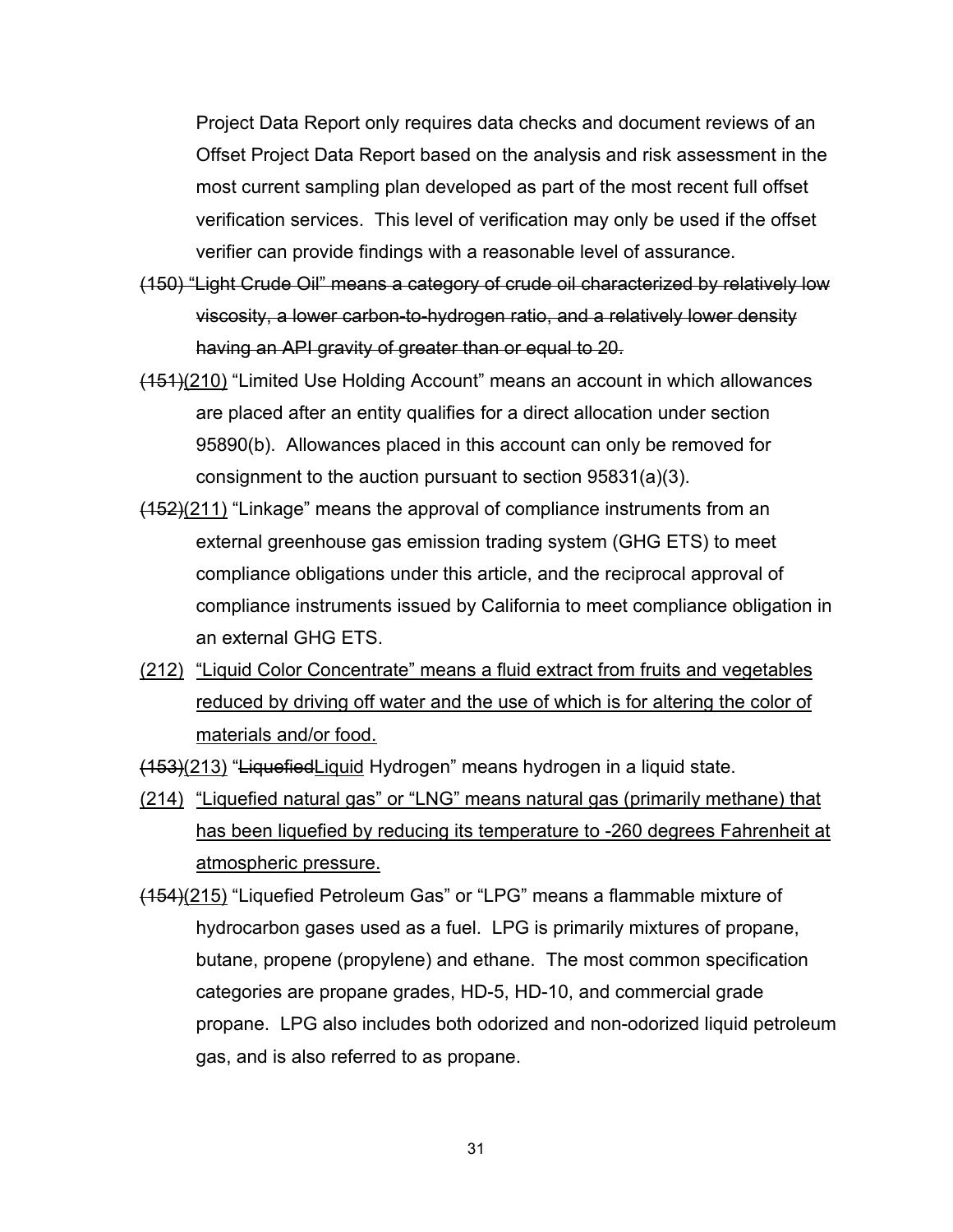Project Data Report only requires data checks and document reviews of an Offset Project Data Report based on the analysis and risk assessment in the most current sampling plan developed as part of the most recent full offset verification services. This level of verification may only be used if the offset verifier can provide findings with a reasonable level of assurance.

- (150) "Light Crude Oil" means a category of crude oil characterized by relatively low viscosity, a lower carbon-to-hydrogen ratio, and a relatively lower density having an API gravity of greater than or equal to 20.
- (151)(210) "Limited Use Holding Account" means an account in which allowances are placed after an entity qualifies for a direct allocation under section 95890(b). Allowances placed in this account can only be removed for consignment to the auction pursuant to section 95831(a)(3).
- $(152)(211)$  "Linkage" means the approval of compliance instruments from an external greenhouse gas emission trading system (GHG ETS) to meet compliance obligations under this article, and the reciprocal approval of compliance instruments issued by California to meet compliance obligation in an external GHG ETS.
- (212) "Liquid Color Concentrate" means a fluid extract from fruits and vegetables reduced by driving off water and the use of which is for altering the color of materials and/or food.

(153)(213) "LiquefiedLiquid Hydrogen" means hydrogen in a liquid state.

- (214) "Liquefied natural gas" or "LNG" means natural gas (primarily methane) that has been liquefied by reducing its temperature to -260 degrees Fahrenheit at atmospheric pressure.
- (154)(215) "Liquefied Petroleum Gas" or "LPG" means a flammable mixture of hydrocarbon gases used as a fuel. LPG is primarily mixtures of propane, butane, propene (propylene) and ethane. The most common specification categories are propane grades, HD-5, HD-10, and commercial grade propane. LPG also includes both odorized and non-odorized liquid petroleum gas, and is also referred to as propane.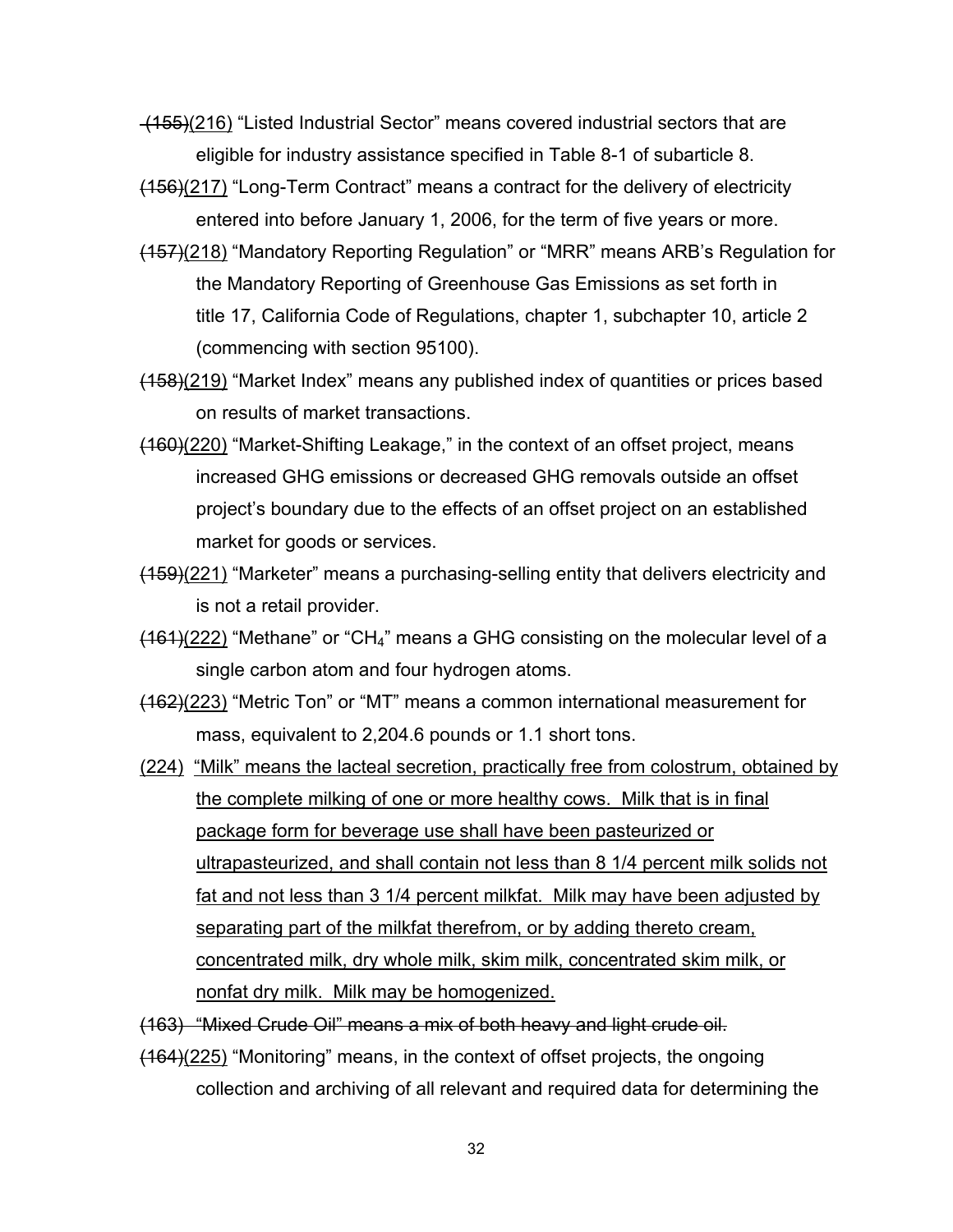(155)(216) "Listed Industrial Sector" means covered industrial sectors that are eligible for industry assistance specified in Table 8-1 of subarticle 8.

- $(156)(217)$  "Long-Term Contract" means a contract for the delivery of electricity entered into before January 1, 2006, for the term of five years or more.
- (157)(218) "Mandatory Reporting Regulation" or "MRR" means ARB's Regulation for the Mandatory Reporting of Greenhouse Gas Emissions as set forth in title 17, California Code of Regulations, chapter 1, subchapter 10, article 2 (commencing with section 95100).
- (158)(219) "Market Index" means any published index of quantities or prices based on results of market transactions.
- (160)(220) "Market-Shifting Leakage," in the context of an offset project, means increased GHG emissions or decreased GHG removals outside an offset project's boundary due to the effects of an offset project on an established market for goods or services.
- (159)(221) "Marketer" means a purchasing-selling entity that delivers electricity and is not a retail provider.
- $(161)(222)$  "Methane" or "CH<sub>4</sub>" means a GHG consisting on the molecular level of a single carbon atom and four hydrogen atoms.
- (162)(223) "Metric Ton" or "MT" means a common international measurement for mass, equivalent to 2,204.6 pounds or 1.1 short tons.
- (224) "Milk" means the lacteal secretion, practically free from colostrum, obtained by the complete milking of one or more healthy cows. Milk that is in final package form for beverage use shall have been pasteurized or ultrapasteurized, and shall contain not less than 8 1/4 percent milk solids not fat and not less than 3 1/4 percent milkfat. Milk may have been adjusted by separating part of the milkfat therefrom, or by adding thereto cream, concentrated milk, dry whole milk, skim milk, concentrated skim milk, or nonfat dry milk. Milk may be homogenized.
- (163) "Mixed Crude Oil" means a mix of both heavy and light crude oil.
- (164)(225) "Monitoring" means, in the context of offset projects, the ongoing collection and archiving of all relevant and required data for determining the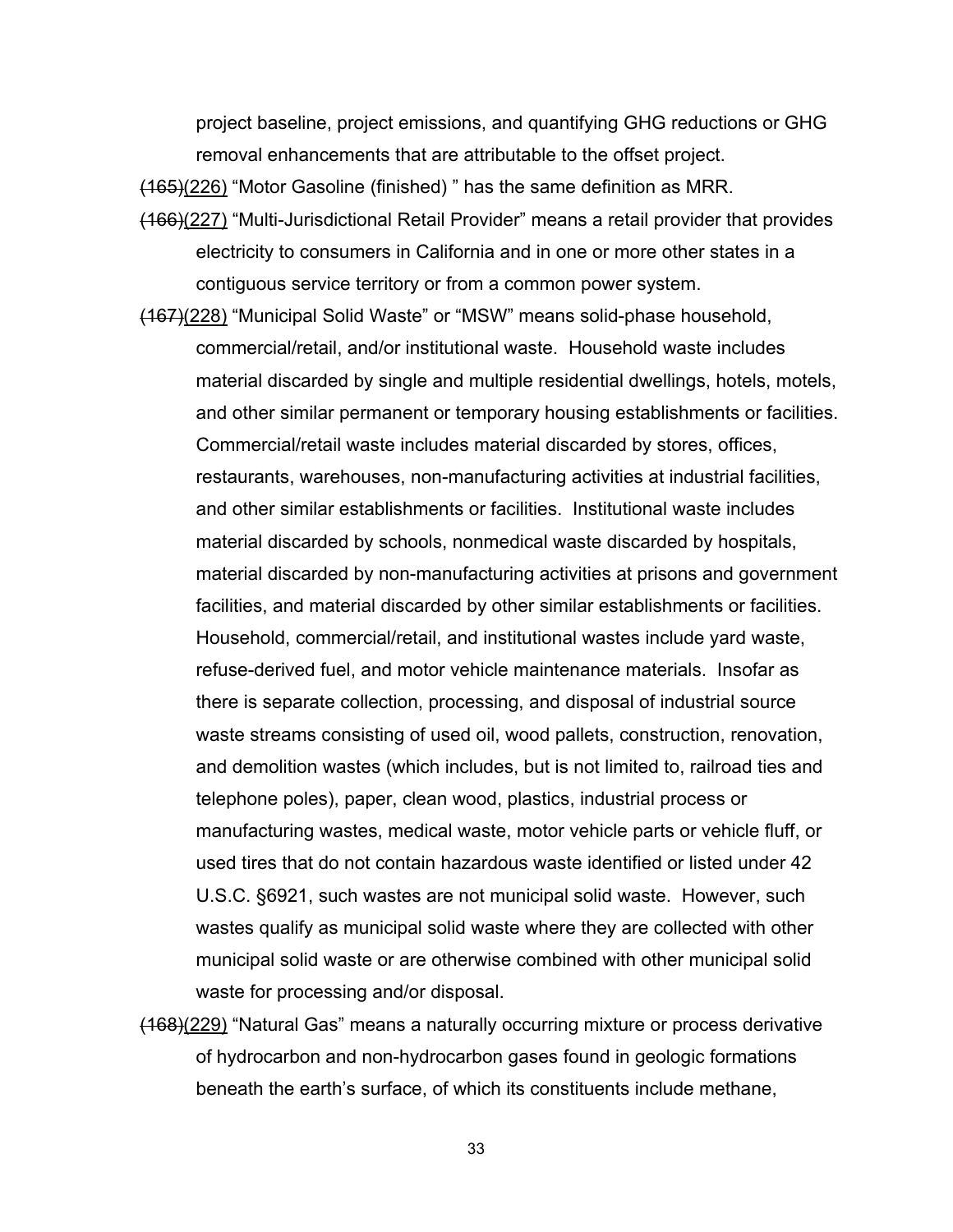project baseline, project emissions, and quantifying GHG reductions or GHG removal enhancements that are attributable to the offset project.

(165)(226) "Motor Gasoline (finished) " has the same definition as MRR.

- (166)(227) "Multi-Jurisdictional Retail Provider" means a retail provider that provides electricity to consumers in California and in one or more other states in a contiguous service territory or from a common power system.
- (167)(228) "Municipal Solid Waste" or "MSW" means solid-phase household, commercial/retail, and/or institutional waste. Household waste includes material discarded by single and multiple residential dwellings, hotels, motels, and other similar permanent or temporary housing establishments or facilities. Commercial/retail waste includes material discarded by stores, offices, restaurants, warehouses, non-manufacturing activities at industrial facilities, and other similar establishments or facilities. Institutional waste includes material discarded by schools, nonmedical waste discarded by hospitals, material discarded by non-manufacturing activities at prisons and government facilities, and material discarded by other similar establishments or facilities. Household, commercial/retail, and institutional wastes include yard waste, refuse-derived fuel, and motor vehicle maintenance materials. Insofar as there is separate collection, processing, and disposal of industrial source waste streams consisting of used oil, wood pallets, construction, renovation, and demolition wastes (which includes, but is not limited to, railroad ties and telephone poles), paper, clean wood, plastics, industrial process or manufacturing wastes, medical waste, motor vehicle parts or vehicle fluff, or used tires that do not contain hazardous waste identified or listed under 42 U.S.C. §6921, such wastes are not municipal solid waste. However, such wastes qualify as municipal solid waste where they are collected with other municipal solid waste or are otherwise combined with other municipal solid waste for processing and/or disposal.
- (168)(229) "Natural Gas" means a naturally occurring mixture or process derivative of hydrocarbon and non-hydrocarbon gases found in geologic formations beneath the earth's surface, of which its constituents include methane,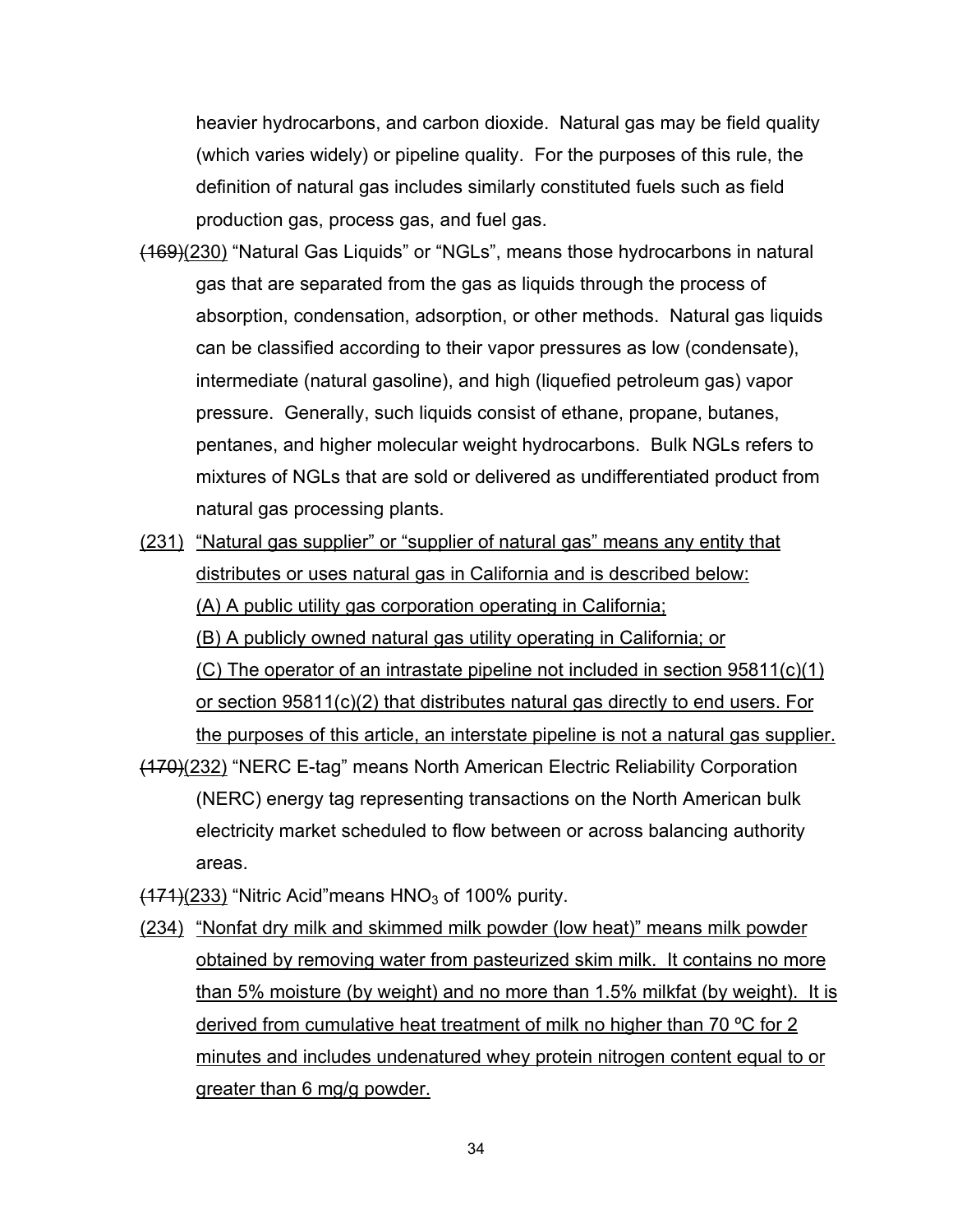heavier hydrocarbons, and carbon dioxide. Natural gas may be field quality (which varies widely) or pipeline quality. For the purposes of this rule, the definition of natural gas includes similarly constituted fuels such as field production gas, process gas, and fuel gas.

- (169)(230) "Natural Gas Liquids" or "NGLs", means those hydrocarbons in natural gas that are separated from the gas as liquids through the process of absorption, condensation, adsorption, or other methods. Natural gas liquids can be classified according to their vapor pressures as low (condensate), intermediate (natural gasoline), and high (liquefied petroleum gas) vapor pressure. Generally, such liquids consist of ethane, propane, butanes, pentanes, and higher molecular weight hydrocarbons. Bulk NGLs refers to mixtures of NGLs that are sold or delivered as undifferentiated product from natural gas processing plants.
- (231) "Natural gas supplier" or "supplier of natural gas" means any entity that distributes or uses natural gas in California and is described below: (A) A public utility gas corporation operating in California; (B) A publicly owned natural gas utility operating in California; or (C) The operator of an intrastate pipeline not included in section 95811(c)(1) or section 95811(c)(2) that distributes natural gas directly to end users. For the purposes of this article, an interstate pipeline is not a natural gas supplier.
- (170)(232) "NERC E-tag" means North American Electric Reliability Corporation (NERC) energy tag representing transactions on the North American bulk electricity market scheduled to flow between or across balancing authority areas.
- $(171)(233)$  "Nitric Acid" means HNO<sub>3</sub> of 100% purity.
- (234) "Nonfat dry milk and skimmed milk powder (low heat)" means milk powder obtained by removing water from pasteurized skim milk. It contains no more than 5% moisture (by weight) and no more than 1.5% milkfat (by weight). It is derived from cumulative heat treatment of milk no higher than 70 ºC for 2 minutes and includes undenatured whey protein nitrogen content equal to or greater than 6 mg/g powder.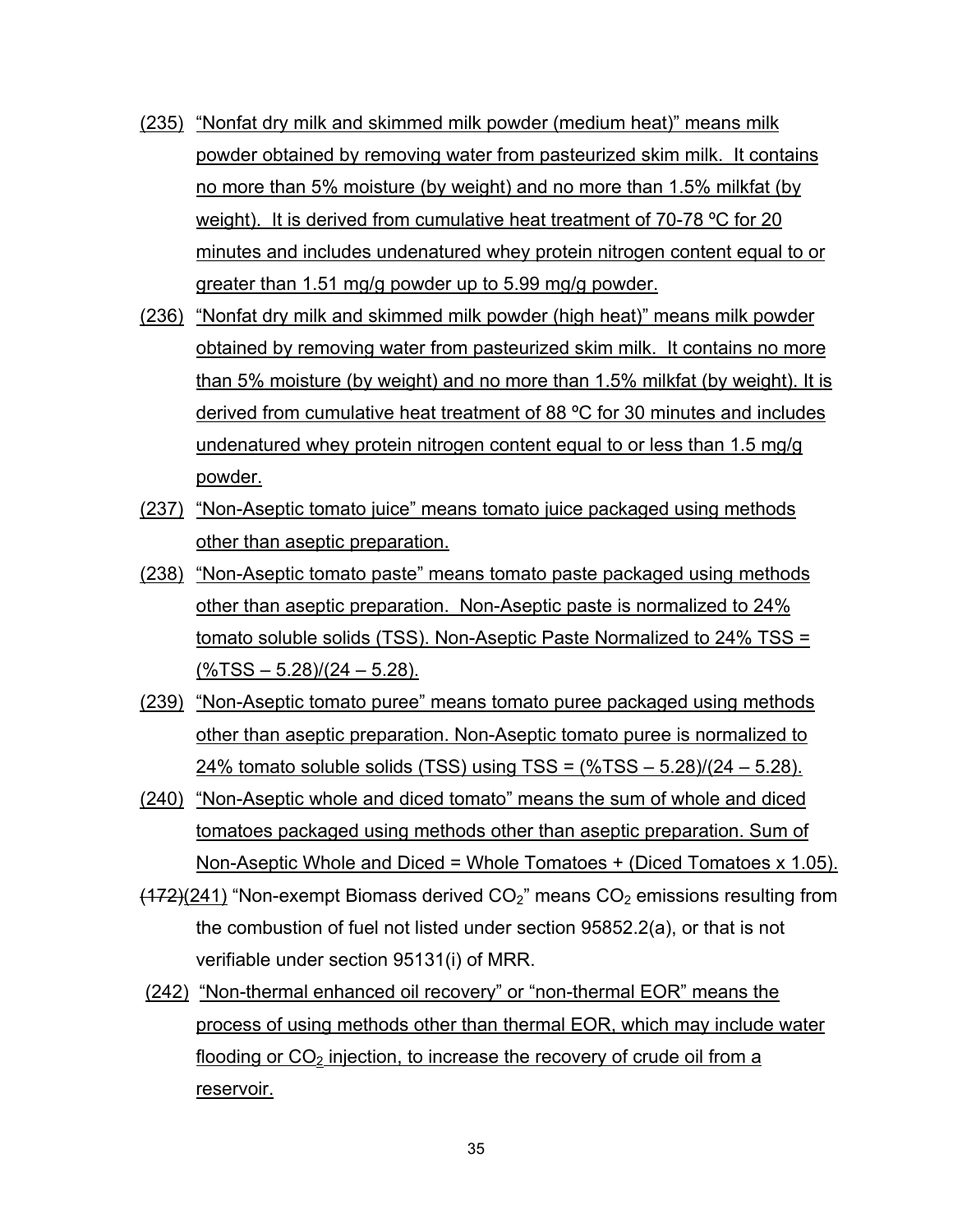- (235) "Nonfat dry milk and skimmed milk powder (medium heat)" means milk powder obtained by removing water from pasteurized skim milk. It contains no more than 5% moisture (by weight) and no more than 1.5% milkfat (by weight). It is derived from cumulative heat treatment of 70-78 ºC for 20 minutes and includes undenatured whey protein nitrogen content equal to or greater than 1.51 mg/g powder up to 5.99 mg/g powder.
- (236) "Nonfat dry milk and skimmed milk powder (high heat)" means milk powder obtained by removing water from pasteurized skim milk. It contains no more than 5% moisture (by weight) and no more than 1.5% milkfat (by weight). It is derived from cumulative heat treatment of 88 ºC for 30 minutes and includes undenatured whey protein nitrogen content equal to or less than 1.5 mg/g powder.
- (237) "Non-Aseptic tomato juice" means tomato juice packaged using methods other than aseptic preparation.
- (238) "Non-Aseptic tomato paste" means tomato paste packaged using methods other than aseptic preparation. Non-Aseptic paste is normalized to 24% tomato soluble solids (TSS). Non-Aseptic Paste Normalized to 24% TSS =  $(\frac{6}{15} - 5.28)/(24 - 5.28)$ .
- (239) "Non-Aseptic tomato puree" means tomato puree packaged using methods other than aseptic preparation. Non-Aseptic tomato puree is normalized to 24% tomato soluble solids (TSS) using TSS = (%TSS – 5.28)/(24 – 5.28).
- (240) "Non-Aseptic whole and diced tomato" means the sum of whole and diced tomatoes packaged using methods other than aseptic preparation. Sum of Non-Aseptic Whole and Diced = Whole Tomatoes + (Diced Tomatoes x 1.05).
- $(172)(241)$  "Non-exempt Biomass derived  $CO<sub>2</sub>$ " means  $CO<sub>2</sub>$  emissions resulting from the combustion of fuel not listed under section 95852.2(a), or that is not verifiable under section 95131(i) of MRR.
- (242) "Non-thermal enhanced oil recovery" or "non-thermal EOR" means the process of using methods other than thermal EOR, which may include water flooding or  $CO<sub>2</sub>$  injection, to increase the recovery of crude oil from a reservoir.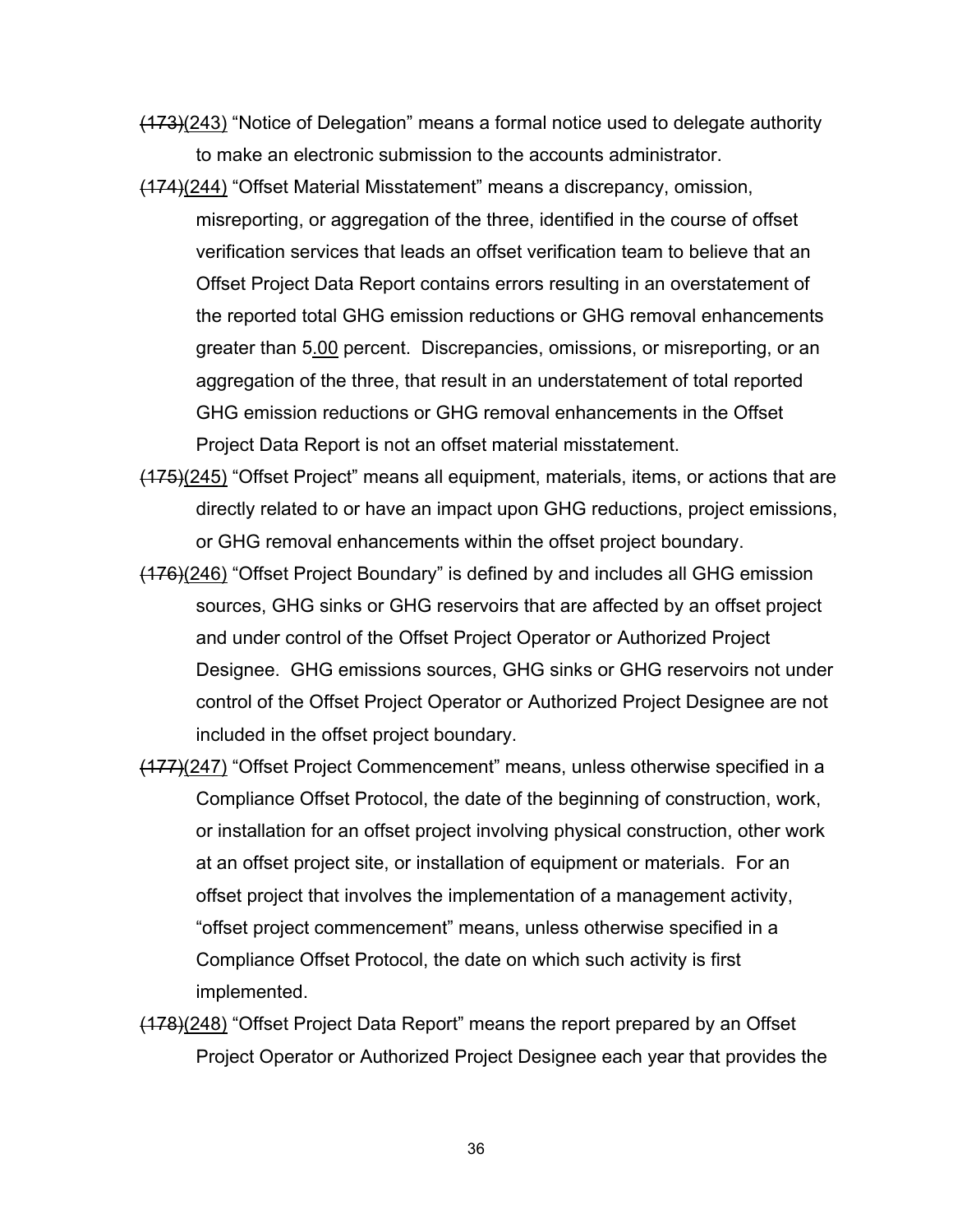(173)(243) "Notice of Delegation" means a formal notice used to delegate authority to make an electronic submission to the accounts administrator.

- (174)(244) "Offset Material Misstatement" means a discrepancy, omission, misreporting, or aggregation of the three, identified in the course of offset verification services that leads an offset verification team to believe that an Offset Project Data Report contains errors resulting in an overstatement of the reported total GHG emission reductions or GHG removal enhancements greater than 5.00 percent. Discrepancies, omissions, or misreporting, or an aggregation of the three, that result in an understatement of total reported GHG emission reductions or GHG removal enhancements in the Offset Project Data Report is not an offset material misstatement.
- (175)(245) "Offset Project" means all equipment, materials, items, or actions that are directly related to or have an impact upon GHG reductions, project emissions, or GHG removal enhancements within the offset project boundary.
- (176)(246) "Offset Project Boundary" is defined by and includes all GHG emission sources, GHG sinks or GHG reservoirs that are affected by an offset project and under control of the Offset Project Operator or Authorized Project Designee. GHG emissions sources, GHG sinks or GHG reservoirs not under control of the Offset Project Operator or Authorized Project Designee are not included in the offset project boundary.
- (177)(247) "Offset Project Commencement" means, unless otherwise specified in a Compliance Offset Protocol, the date of the beginning of construction, work, or installation for an offset project involving physical construction, other work at an offset project site, or installation of equipment or materials. For an offset project that involves the implementation of a management activity, "offset project commencement" means, unless otherwise specified in a Compliance Offset Protocol, the date on which such activity is first implemented.
- (178)(248) "Offset Project Data Report" means the report prepared by an Offset Project Operator or Authorized Project Designee each year that provides the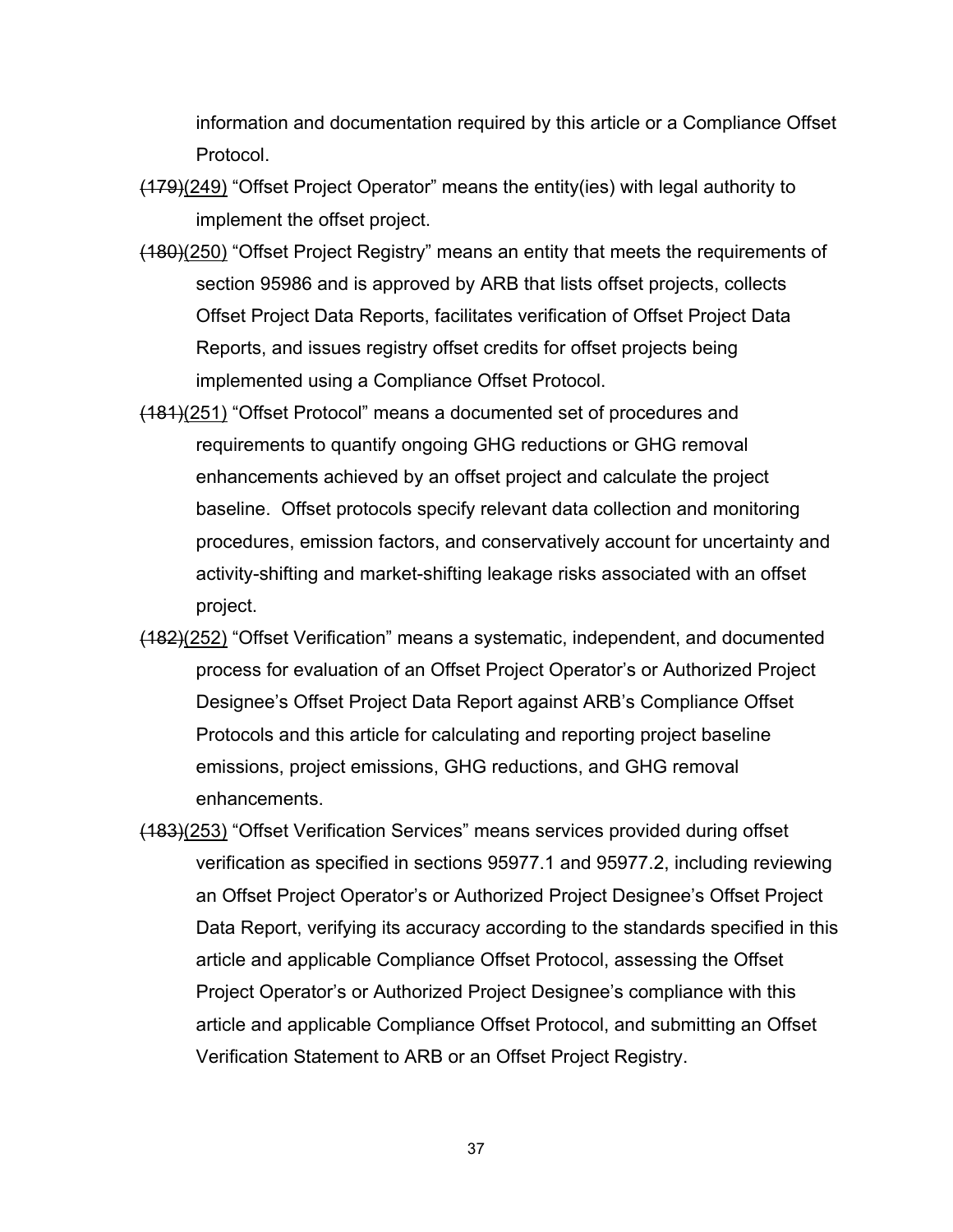information and documentation required by this article or a Compliance Offset Protocol.

- $(179)(249)$  "Offset Project Operator" means the entity(ies) with legal authority to implement the offset project.
- (180)(250) "Offset Project Registry" means an entity that meets the requirements of section 95986 and is approved by ARB that lists offset projects, collects Offset Project Data Reports, facilitates verification of Offset Project Data Reports, and issues registry offset credits for offset projects being implemented using a Compliance Offset Protocol.
- (181)(251) "Offset Protocol" means a documented set of procedures and requirements to quantify ongoing GHG reductions or GHG removal enhancements achieved by an offset project and calculate the project baseline. Offset protocols specify relevant data collection and monitoring procedures, emission factors, and conservatively account for uncertainty and activity-shifting and market-shifting leakage risks associated with an offset project.
- (182)(252) "Offset Verification" means a systematic, independent, and documented process for evaluation of an Offset Project Operator's or Authorized Project Designee's Offset Project Data Report against ARB's Compliance Offset Protocols and this article for calculating and reporting project baseline emissions, project emissions, GHG reductions, and GHG removal enhancements.
- (183)(253) "Offset Verification Services" means services provided during offset verification as specified in sections 95977.1 and 95977.2, including reviewing an Offset Project Operator's or Authorized Project Designee's Offset Project Data Report, verifying its accuracy according to the standards specified in this article and applicable Compliance Offset Protocol, assessing the Offset Project Operator's or Authorized Project Designee's compliance with this article and applicable Compliance Offset Protocol, and submitting an Offset Verification Statement to ARB or an Offset Project Registry.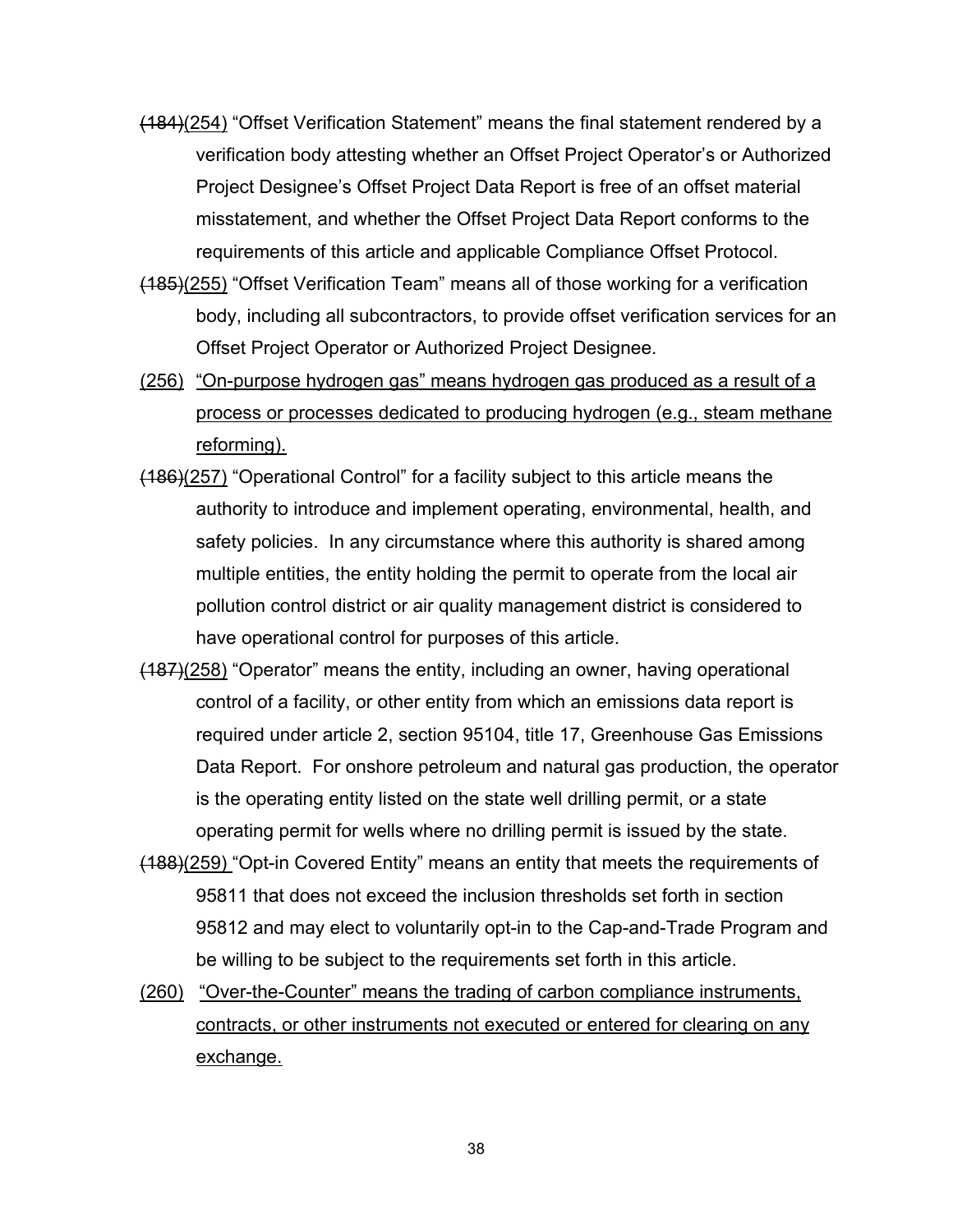- (184)(254) "Offset Verification Statement" means the final statement rendered by a verification body attesting whether an Offset Project Operator's or Authorized Project Designee's Offset Project Data Report is free of an offset material misstatement, and whether the Offset Project Data Report conforms to the requirements of this article and applicable Compliance Offset Protocol.
- (185)(255) "Offset Verification Team" means all of those working for a verification body, including all subcontractors, to provide offset verification services for an Offset Project Operator or Authorized Project Designee.
- (256) "On-purpose hydrogen gas" means hydrogen gas produced as a result of a process or processes dedicated to producing hydrogen (e.g., steam methane reforming).
- (186)(257) "Operational Control" for a facility subject to this article means the authority to introduce and implement operating, environmental, health, and safety policies. In any circumstance where this authority is shared among multiple entities, the entity holding the permit to operate from the local air pollution control district or air quality management district is considered to have operational control for purposes of this article.
- $(187)(258)$  "Operator" means the entity, including an owner, having operational control of a facility, or other entity from which an emissions data report is required under article 2, section 95104, title 17, Greenhouse Gas Emissions Data Report. For onshore petroleum and natural gas production, the operator is the operating entity listed on the state well drilling permit, or a state operating permit for wells where no drilling permit is issued by the state.
- (188)(259) "Opt-in Covered Entity" means an entity that meets the requirements of 95811 that does not exceed the inclusion thresholds set forth in section 95812 and may elect to voluntarily opt-in to the Cap-and-Trade Program and be willing to be subject to the requirements set forth in this article.
- (260) "Over-the-Counter" means the trading of carbon compliance instruments, contracts, or other instruments not executed or entered for clearing on any exchange.

38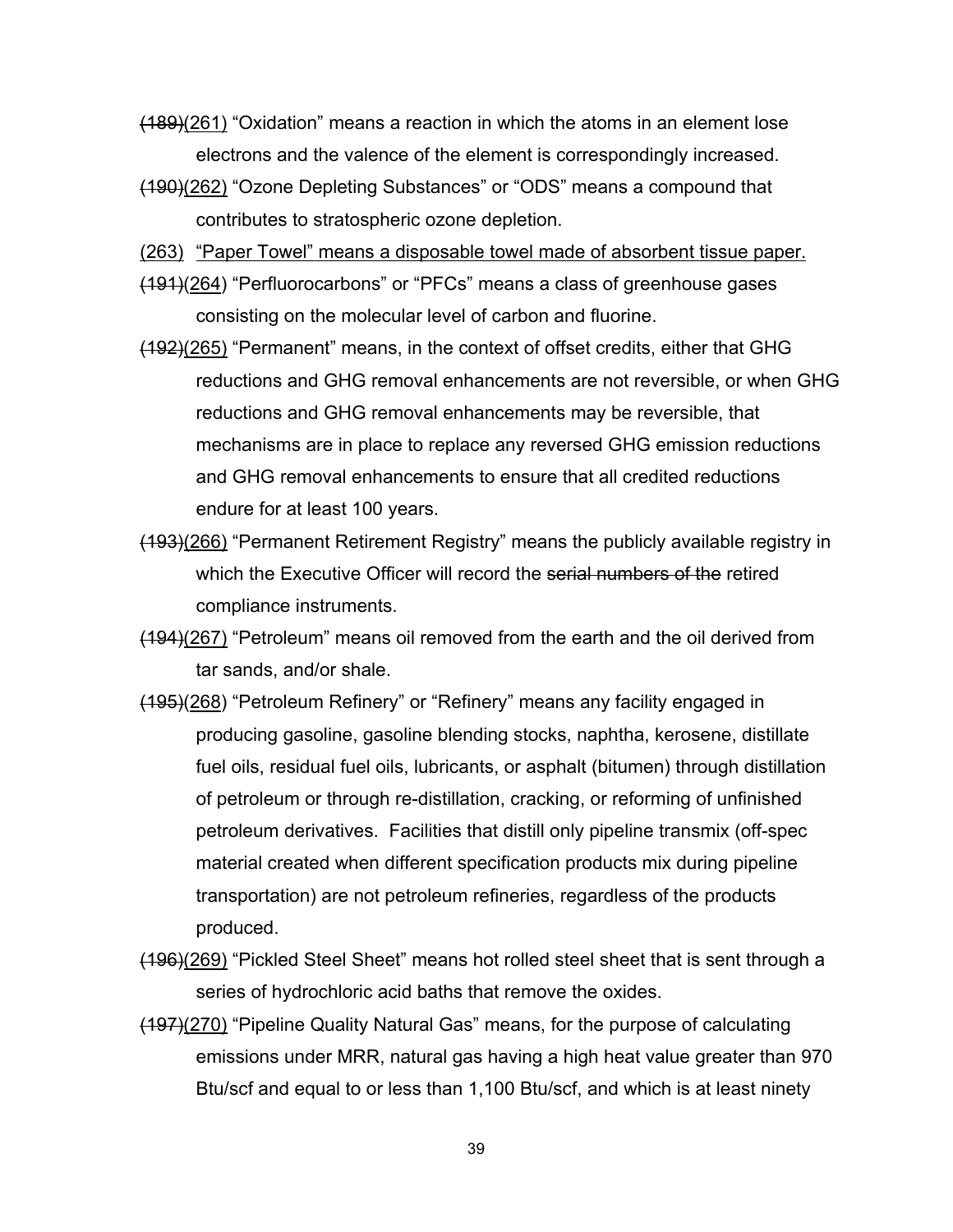- (189)(261) "Oxidation" means a reaction in which the atoms in an element lose electrons and the valence of the element is correspondingly increased.
- (190)(262) "Ozone Depleting Substances" or "ODS" means a compound that contributes to stratospheric ozone depletion.
- (263) "Paper Towel" means a disposable towel made of absorbent tissue paper.
- (191)(264) "Perfluorocarbons" or "PFCs" means a class of greenhouse gases consisting on the molecular level of carbon and fluorine.
- (192)(265) "Permanent" means, in the context of offset credits, either that GHG reductions and GHG removal enhancements are not reversible, or when GHG reductions and GHG removal enhancements may be reversible, that mechanisms are in place to replace any reversed GHG emission reductions and GHG removal enhancements to ensure that all credited reductions endure for at least 100 years.
- (193)(266) "Permanent Retirement Registry" means the publicly available registry in which the Executive Officer will record the serial numbers of the retired compliance instruments.
- (194)(267) "Petroleum" means oil removed from the earth and the oil derived from tar sands, and/or shale.
- (195)(268) "Petroleum Refinery" or "Refinery" means any facility engaged in producing gasoline, gasoline blending stocks, naphtha, kerosene, distillate fuel oils, residual fuel oils, lubricants, or asphalt (bitumen) through distillation of petroleum or through re-distillation, cracking, or reforming of unfinished petroleum derivatives. Facilities that distill only pipeline transmix (off-spec material created when different specification products mix during pipeline transportation) are not petroleum refineries, regardless of the products produced.
- (196)(269) "Pickled Steel Sheet" means hot rolled steel sheet that is sent through a series of hydrochloric acid baths that remove the oxides.
- (197)(270) "Pipeline Quality Natural Gas" means, for the purpose of calculating emissions under MRR, natural gas having a high heat value greater than 970 Btu/scf and equal to or less than 1,100 Btu/scf, and which is at least ninety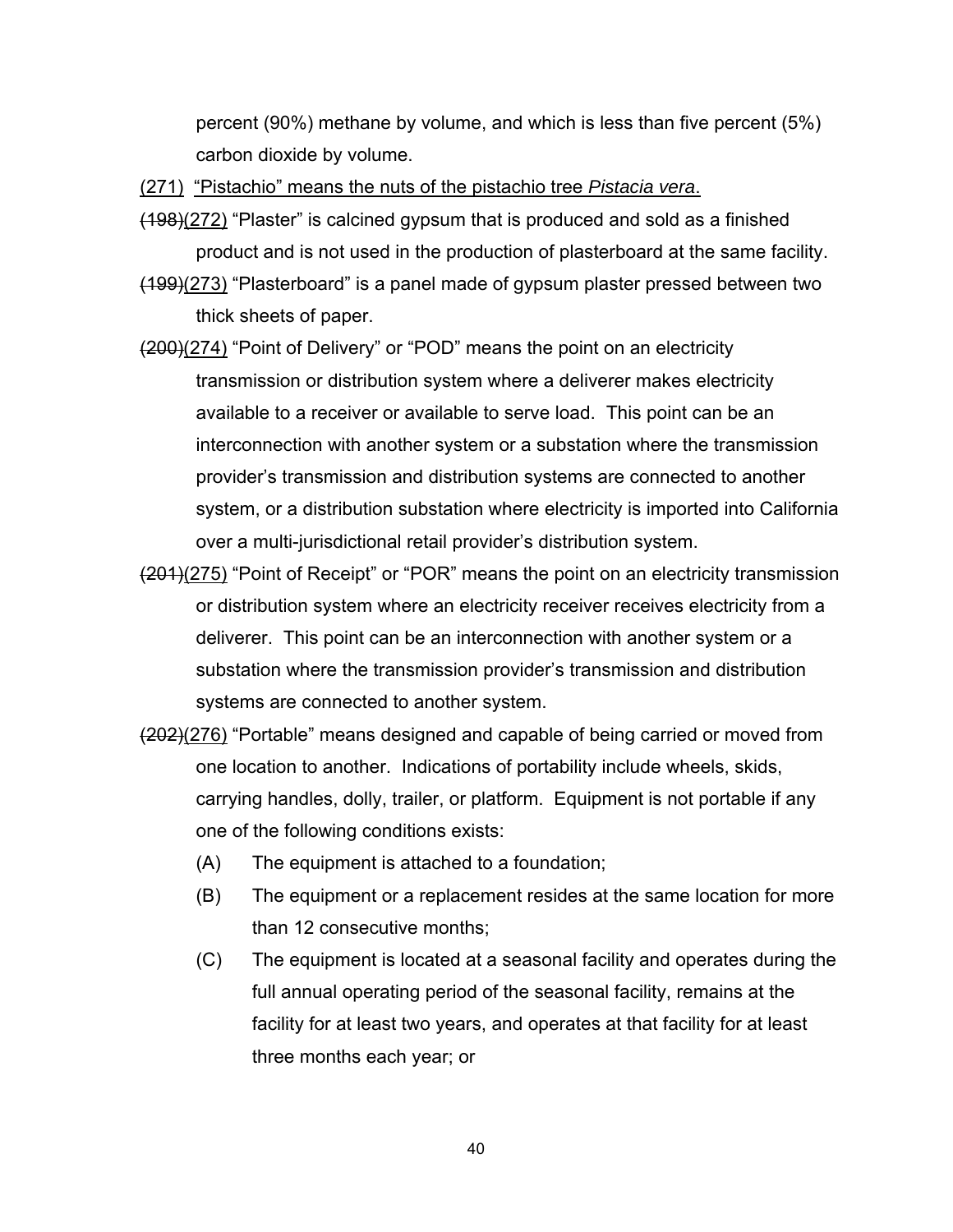percent (90%) methane by volume, and which is less than five percent (5%) carbon dioxide by volume.

(271) "Pistachio" means the nuts of the pistachio tree *Pistacia vera*.

- (198)(272) "Plaster" is calcined gypsum that is produced and sold as a finished product and is not used in the production of plasterboard at the same facility.
- (199)(273) "Plasterboard" is a panel made of gypsum plaster pressed between two thick sheets of paper.
- $(200)(274)$  "Point of Delivery" or "POD" means the point on an electricity transmission or distribution system where a deliverer makes electricity available to a receiver or available to serve load. This point can be an interconnection with another system or a substation where the transmission provider's transmission and distribution systems are connected to another system, or a distribution substation where electricity is imported into California over a multi-jurisdictional retail provider's distribution system.
- (201)(275) "Point of Receipt" or "POR" means the point on an electricity transmission or distribution system where an electricity receiver receives electricity from a deliverer. This point can be an interconnection with another system or a substation where the transmission provider's transmission and distribution systems are connected to another system.
- $(202)(276)$  "Portable" means designed and capable of being carried or moved from one location to another. Indications of portability include wheels, skids, carrying handles, dolly, trailer, or platform. Equipment is not portable if any one of the following conditions exists:
	- (A) The equipment is attached to a foundation;
	- (B) The equipment or a replacement resides at the same location for more than 12 consecutive months;
	- (C) The equipment is located at a seasonal facility and operates during the full annual operating period of the seasonal facility, remains at the facility for at least two years, and operates at that facility for at least three months each year; or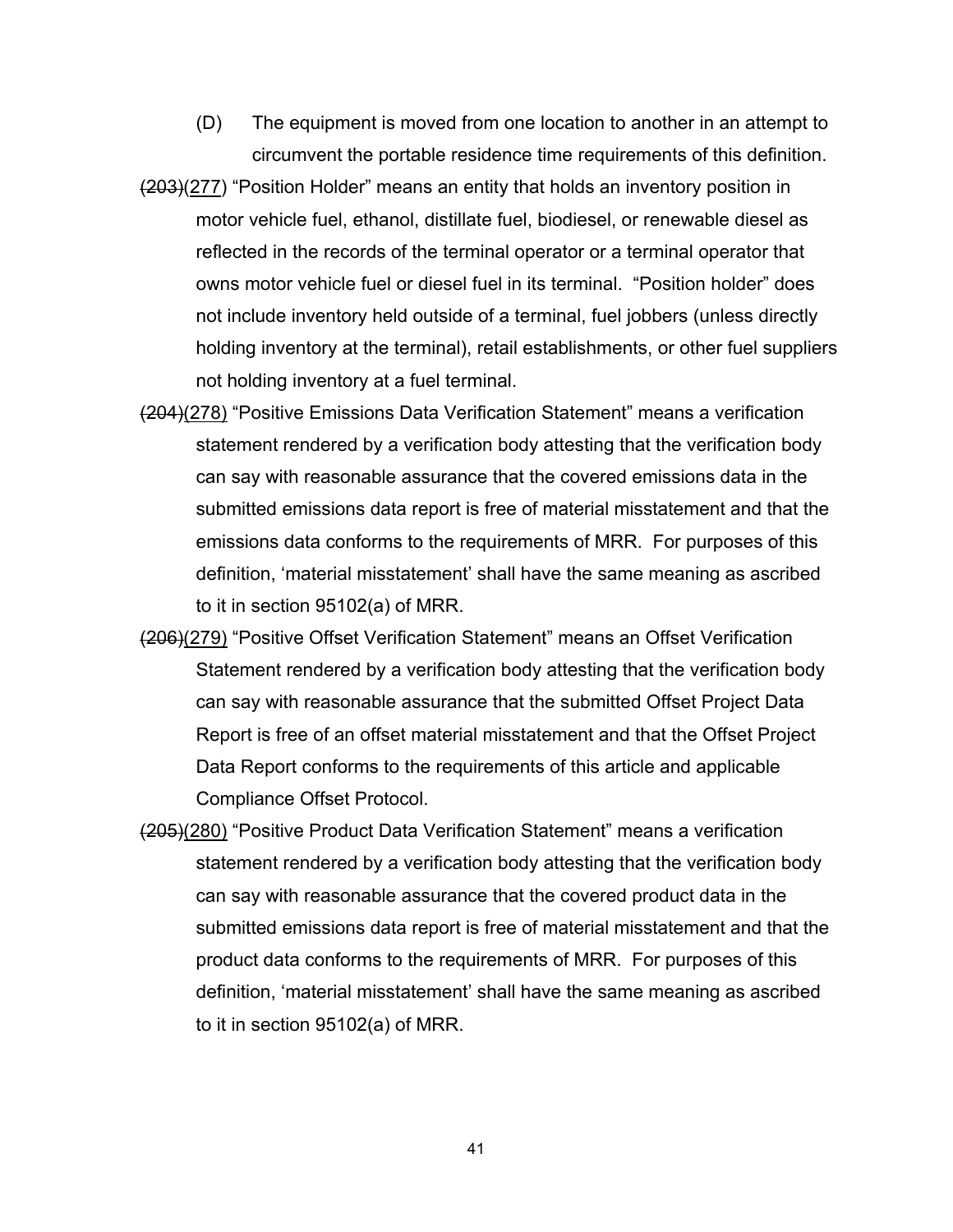- (D) The equipment is moved from one location to another in an attempt to circumvent the portable residence time requirements of this definition.
- (203)(277) "Position Holder" means an entity that holds an inventory position in motor vehicle fuel, ethanol, distillate fuel, biodiesel, or renewable diesel as reflected in the records of the terminal operator or a terminal operator that owns motor vehicle fuel or diesel fuel in its terminal. "Position holder" does not include inventory held outside of a terminal, fuel jobbers (unless directly holding inventory at the terminal), retail establishments, or other fuel suppliers not holding inventory at a fuel terminal.
- (204)(278) "Positive Emissions Data Verification Statement" means a verification statement rendered by a verification body attesting that the verification body can say with reasonable assurance that the covered emissions data in the submitted emissions data report is free of material misstatement and that the emissions data conforms to the requirements of MRR. For purposes of this definition, 'material misstatement' shall have the same meaning as ascribed to it in section 95102(a) of MRR.
- (206)(279) "Positive Offset Verification Statement" means an Offset Verification Statement rendered by a verification body attesting that the verification body can say with reasonable assurance that the submitted Offset Project Data Report is free of an offset material misstatement and that the Offset Project Data Report conforms to the requirements of this article and applicable Compliance Offset Protocol.
- (205)(280) "Positive Product Data Verification Statement" means a verification statement rendered by a verification body attesting that the verification body can say with reasonable assurance that the covered product data in the submitted emissions data report is free of material misstatement and that the product data conforms to the requirements of MRR. For purposes of this definition, 'material misstatement' shall have the same meaning as ascribed to it in section 95102(a) of MRR.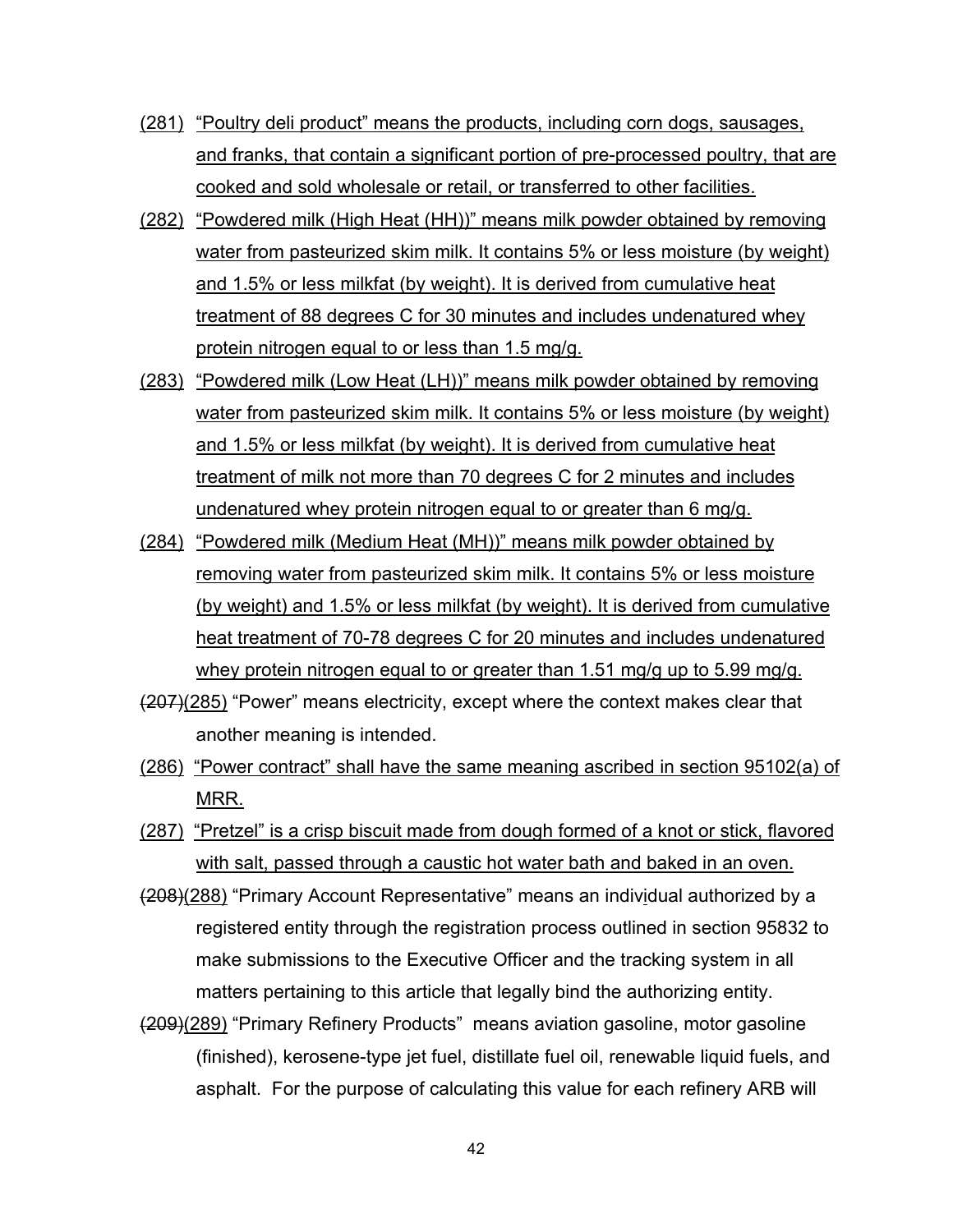- (281) "Poultry deli product" means the products, including corn dogs, sausages, and franks, that contain a significant portion of pre-processed poultry, that are cooked and sold wholesale or retail, or transferred to other facilities.
- (282) "Powdered milk (High Heat (HH))" means milk powder obtained by removing water from pasteurized skim milk. It contains 5% or less moisture (by weight) and 1.5% or less milkfat (by weight). It is derived from cumulative heat treatment of 88 degrees C for 30 minutes and includes undenatured whey protein nitrogen equal to or less than 1.5 mg/g.
- (283) "Powdered milk (Low Heat (LH))" means milk powder obtained by removing water from pasteurized skim milk. It contains 5% or less moisture (by weight) and 1.5% or less milkfat (by weight). It is derived from cumulative heat treatment of milk not more than 70 degrees C for 2 minutes and includes undenatured whey protein nitrogen equal to or greater than 6 mg/g.
- (284) "Powdered milk (Medium Heat (MH))" means milk powder obtained by removing water from pasteurized skim milk. It contains 5% or less moisture (by weight) and 1.5% or less milkfat (by weight). It is derived from cumulative heat treatment of 70-78 degrees C for 20 minutes and includes undenatured whey protein nitrogen equal to or greater than 1.51 mg/g up to 5.99 mg/g.
- (207)(285) "Power" means electricity, except where the context makes clear that another meaning is intended.
- (286) "Power contract" shall have the same meaning ascribed in section 95102(a) of MRR.
- (287) "Pretzel" is a crisp biscuit made from dough formed of a knot or stick, flavored with salt, passed through a caustic hot water bath and baked in an oven.
- (208)(288) "Primary Account Representative" means an individual authorized by a registered entity through the registration process outlined in section 95832 to make submissions to the Executive Officer and the tracking system in all matters pertaining to this article that legally bind the authorizing entity.
- (209)(289) "Primary Refinery Products" means aviation gasoline, motor gasoline (finished), kerosene-type jet fuel, distillate fuel oil, renewable liquid fuels, and asphalt. For the purpose of calculating this value for each refinery ARB will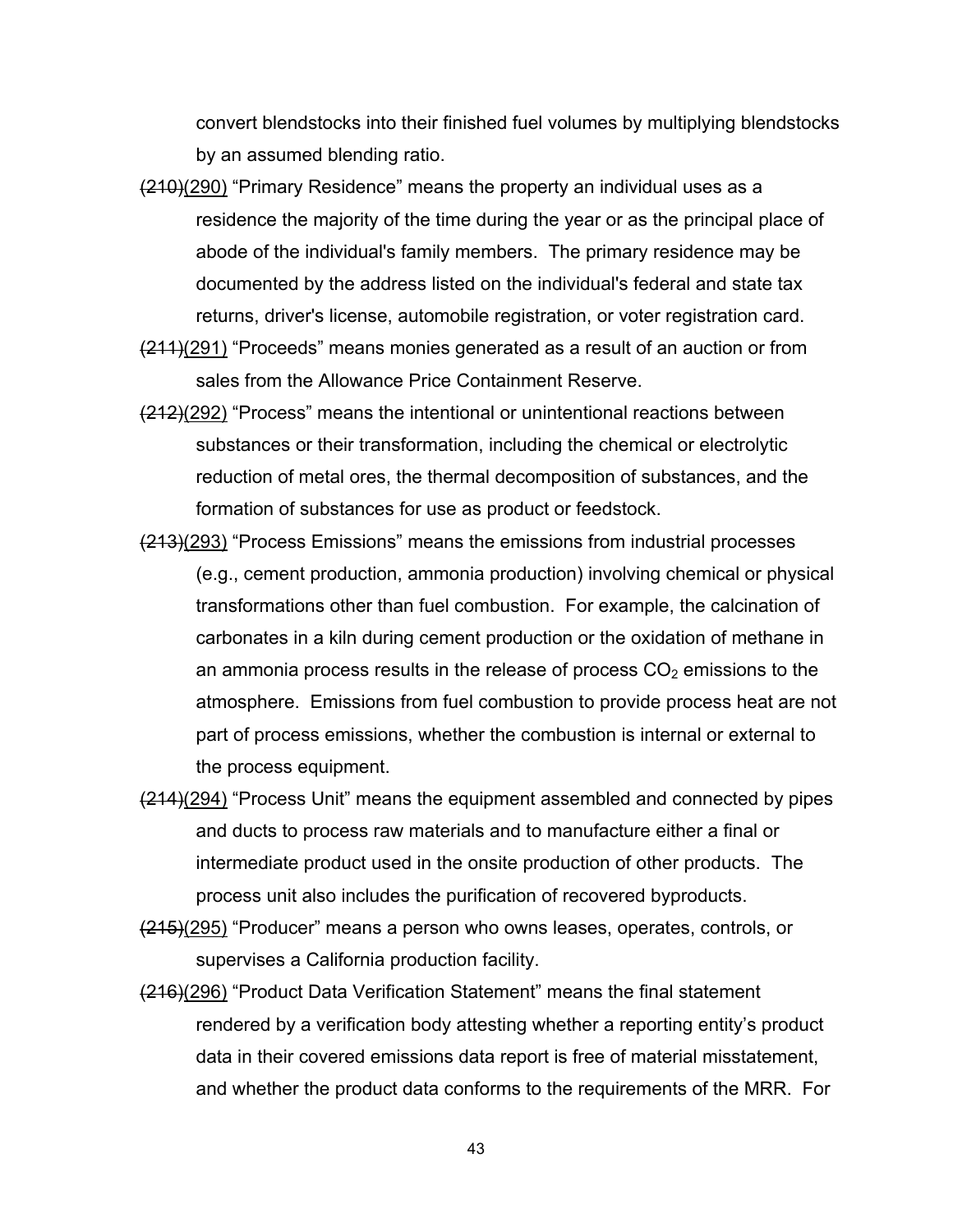convert blendstocks into their finished fuel volumes by multiplying blendstocks by an assumed blending ratio.

- $(210)(290)$  "Primary Residence" means the property an individual uses as a residence the majority of the time during the year or as the principal place of abode of the individual's family members. The primary residence may be documented by the address listed on the individual's federal and state tax returns, driver's license, automobile registration, or voter registration card.
- (211)(291) "Proceeds" means monies generated as a result of an auction or from sales from the Allowance Price Containment Reserve.
- (212)(292) "Process" means the intentional or unintentional reactions between substances or their transformation, including the chemical or electrolytic reduction of metal ores, the thermal decomposition of substances, and the formation of substances for use as product or feedstock.
- (213)(293) "Process Emissions" means the emissions from industrial processes (e.g., cement production, ammonia production) involving chemical or physical transformations other than fuel combustion. For example, the calcination of carbonates in a kiln during cement production or the oxidation of methane in an ammonia process results in the release of process  $CO<sub>2</sub>$  emissions to the atmosphere. Emissions from fuel combustion to provide process heat are not part of process emissions, whether the combustion is internal or external to the process equipment.
- (214)(294) "Process Unit" means the equipment assembled and connected by pipes and ducts to process raw materials and to manufacture either a final or intermediate product used in the onsite production of other products. The process unit also includes the purification of recovered byproducts.
- (215)(295) "Producer" means a person who owns leases, operates, controls, or supervises a California production facility.
- (216)(296) "Product Data Verification Statement" means the final statement rendered by a verification body attesting whether a reporting entity's product data in their covered emissions data report is free of material misstatement, and whether the product data conforms to the requirements of the MRR. For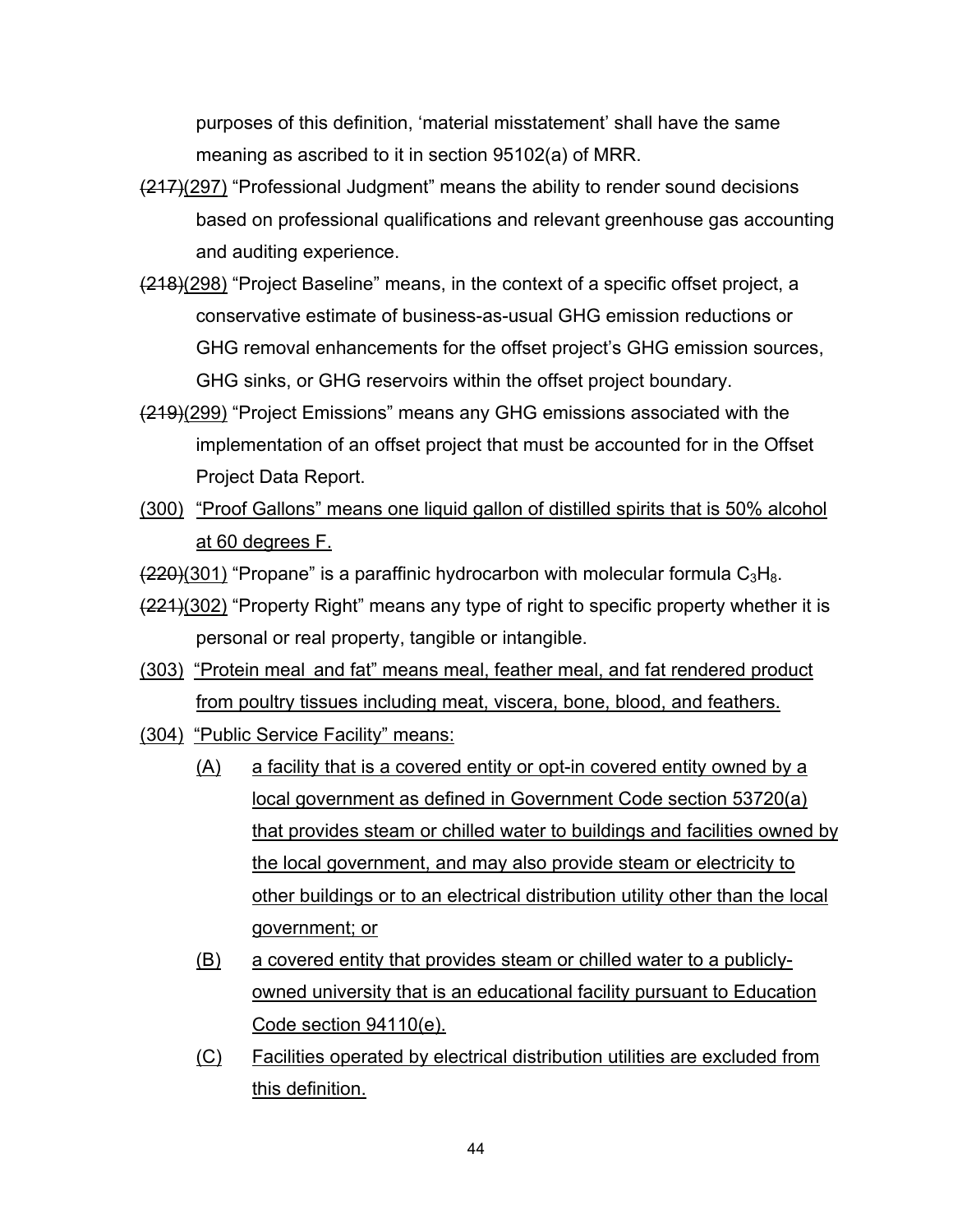purposes of this definition, 'material misstatement' shall have the same meaning as ascribed to it in section 95102(a) of MRR.

- $(217)(297)$  "Professional Judgment" means the ability to render sound decisions based on professional qualifications and relevant greenhouse gas accounting and auditing experience.
- (218)(298) "Project Baseline" means, in the context of a specific offset project, a conservative estimate of business-as-usual GHG emission reductions or GHG removal enhancements for the offset project's GHG emission sources, GHG sinks, or GHG reservoirs within the offset project boundary.
- (219)(299) "Project Emissions" means any GHG emissions associated with the implementation of an offset project that must be accounted for in the Offset Project Data Report.
- (300) "Proof Gallons" means one liquid gallon of distilled spirits that is 50% alcohol at 60 degrees F.

 $(220)(301)$  "Propane" is a paraffinic hydrocarbon with molecular formula  $C_3H_8$ .

- $(221)(302)$  "Property Right" means any type of right to specific property whether it is personal or real property, tangible or intangible.
- (303) "Protein meal and fat" means meal, feather meal, and fat rendered product from poultry tissues including meat, viscera, bone, blood, and feathers.
- (304) "Public Service Facility" means:
	- (A) a facility that is a covered entity or opt-in covered entity owned by a local government as defined in Government Code section 53720(a) that provides steam or chilled water to buildings and facilities owned by the local government, and may also provide steam or electricity to other buildings or to an electrical distribution utility other than the local government; or
	- (B) a covered entity that provides steam or chilled water to a publiclyowned university that is an educational facility pursuant to Education Code section 94110(e).
	- (C) Facilities operated by electrical distribution utilities are excluded from this definition.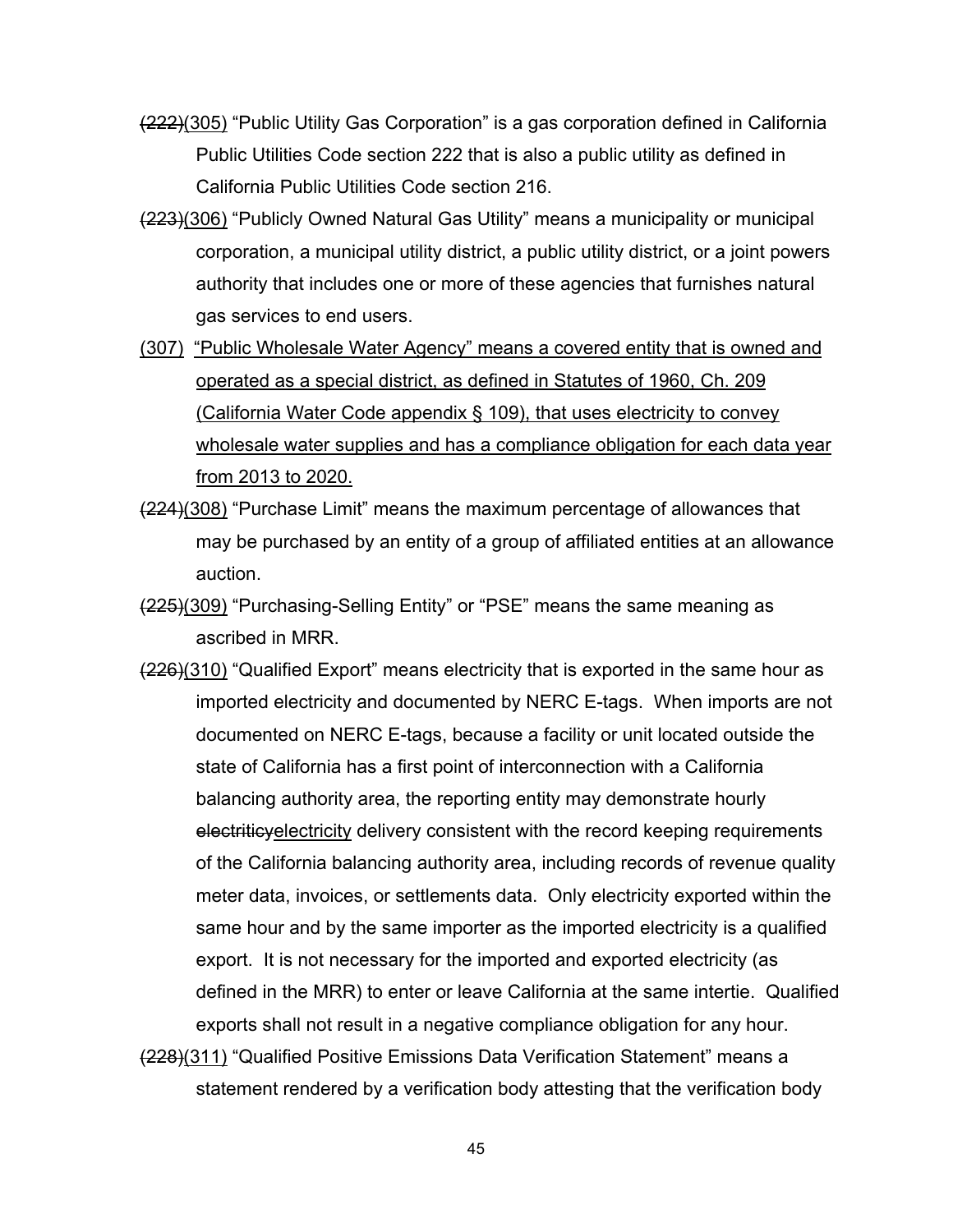- (222)(305) "Public Utility Gas Corporation" is a gas corporation defined in California Public Utilities Code section 222 that is also a public utility as defined in California Public Utilities Code section 216.
- (223)(306) "Publicly Owned Natural Gas Utility" means a municipality or municipal corporation, a municipal utility district, a public utility district, or a joint powers authority that includes one or more of these agencies that furnishes natural gas services to end users.
- (307) "Public Wholesale Water Agency" means a covered entity that is owned and operated as a special district, as defined in Statutes of 1960, Ch. 209 (California Water Code appendix § 109), that uses electricity to convey wholesale water supplies and has a compliance obligation for each data year from 2013 to 2020.
- (224)(308) "Purchase Limit" means the maximum percentage of allowances that may be purchased by an entity of a group of affiliated entities at an allowance auction.
- (225)(309) "Purchasing-Selling Entity" or "PSE" means the same meaning as ascribed in MRR.
- $(226)(310)$  "Qualified Export" means electricity that is exported in the same hour as imported electricity and documented by NERC E-tags. When imports are not documented on NERC E-tags, because a facility or unit located outside the state of California has a first point of interconnection with a California balancing authority area, the reporting entity may demonstrate hourly electriticy electricity delivery consistent with the record keeping requirements of the California balancing authority area, including records of revenue quality meter data, invoices, or settlements data. Only electricity exported within the same hour and by the same importer as the imported electricity is a qualified export. It is not necessary for the imported and exported electricity (as defined in the MRR) to enter or leave California at the same intertie. Qualified exports shall not result in a negative compliance obligation for any hour. (228)(311) "Qualified Positive Emissions Data Verification Statement" means a

statement rendered by a verification body attesting that the verification body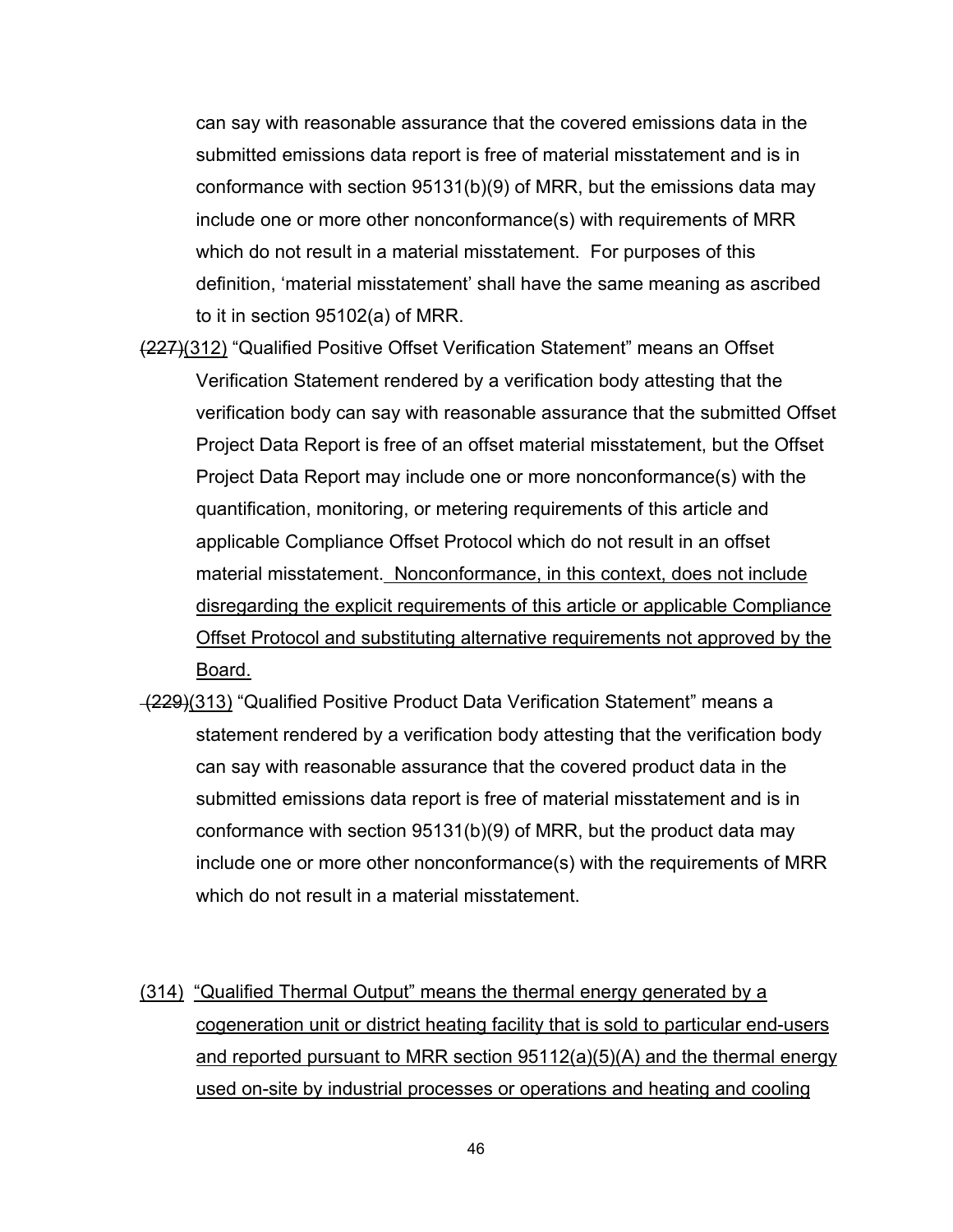can say with reasonable assurance that the covered emissions data in the submitted emissions data report is free of material misstatement and is in conformance with section 95131(b)(9) of MRR, but the emissions data may include one or more other nonconformance(s) with requirements of MRR which do not result in a material misstatement. For purposes of this definition, 'material misstatement' shall have the same meaning as ascribed to it in section 95102(a) of MRR.

- (227)(312) "Qualified Positive Offset Verification Statement" means an Offset Verification Statement rendered by a verification body attesting that the verification body can say with reasonable assurance that the submitted Offset Project Data Report is free of an offset material misstatement, but the Offset Project Data Report may include one or more nonconformance(s) with the quantification, monitoring, or metering requirements of this article and applicable Compliance Offset Protocol which do not result in an offset material misstatement. Nonconformance, in this context, does not include disregarding the explicit requirements of this article or applicable Compliance Offset Protocol and substituting alternative requirements not approved by the Board.
- (229)(313) "Qualified Positive Product Data Verification Statement" means a statement rendered by a verification body attesting that the verification body can say with reasonable assurance that the covered product data in the submitted emissions data report is free of material misstatement and is in conformance with section 95131(b)(9) of MRR, but the product data may include one or more other nonconformance(s) with the requirements of MRR which do not result in a material misstatement.
- (314) "Qualified Thermal Output" means the thermal energy generated by a cogeneration unit or district heating facility that is sold to particular end-users and reported pursuant to MRR section 95112(a)(5)(A) and the thermal energy used on-site by industrial processes or operations and heating and cooling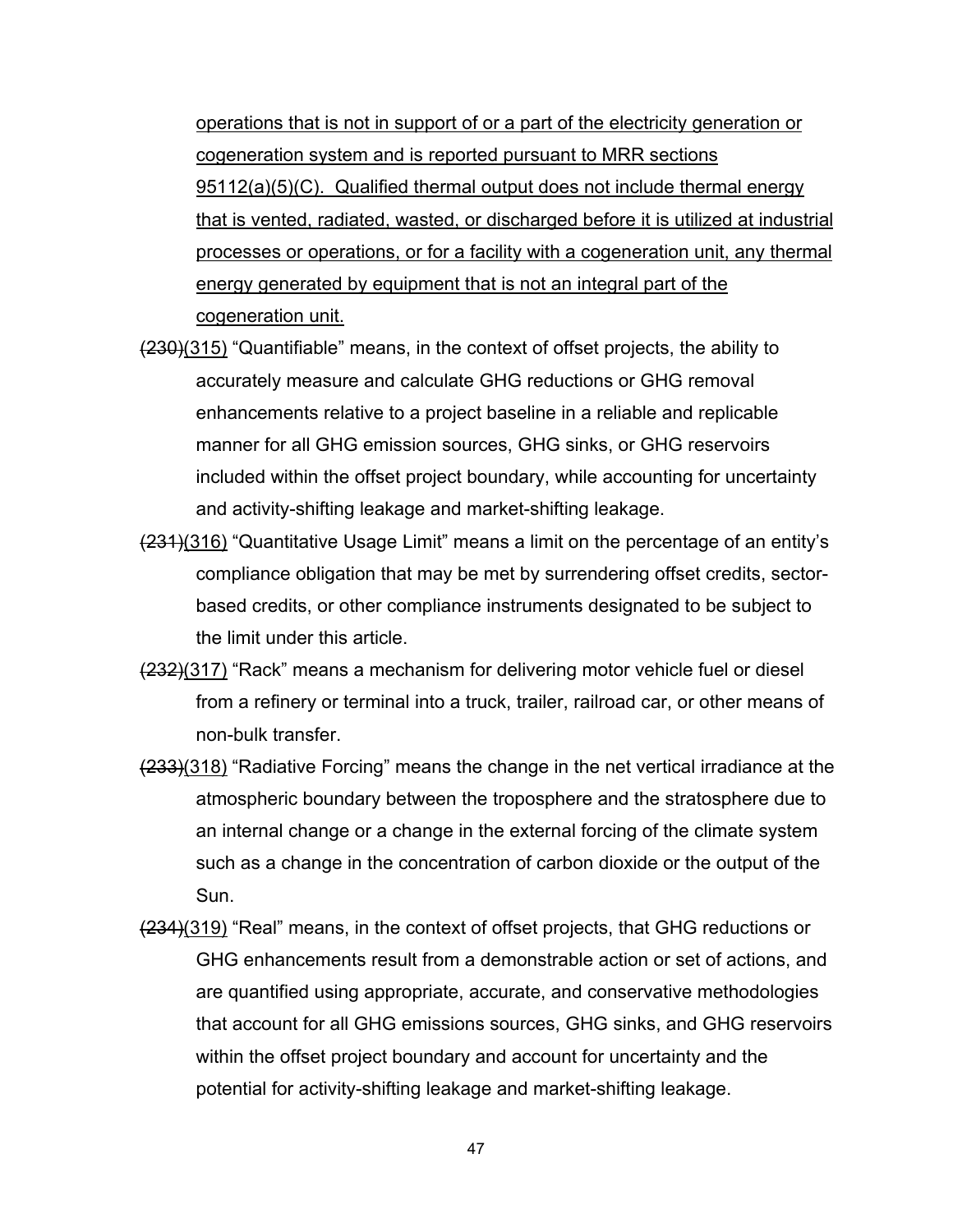operations that is not in support of or a part of the electricity generation or cogeneration system and is reported pursuant to MRR sections 95112(a)(5)(C). Qualified thermal output does not include thermal energy that is vented, radiated, wasted, or discharged before it is utilized at industrial processes or operations, or for a facility with a cogeneration unit, any thermal energy generated by equipment that is not an integral part of the cogeneration unit.

- $(230)(315)$  "Quantifiable" means, in the context of offset projects, the ability to accurately measure and calculate GHG reductions or GHG removal enhancements relative to a project baseline in a reliable and replicable manner for all GHG emission sources, GHG sinks, or GHG reservoirs included within the offset project boundary, while accounting for uncertainty and activity-shifting leakage and market-shifting leakage.
- (231)(316) "Quantitative Usage Limit" means a limit on the percentage of an entity's compliance obligation that may be met by surrendering offset credits, sectorbased credits, or other compliance instruments designated to be subject to the limit under this article.
- (232)(317) "Rack" means a mechanism for delivering motor vehicle fuel or diesel from a refinery or terminal into a truck, trailer, railroad car, or other means of non-bulk transfer.
- (233)(318) "Radiative Forcing" means the change in the net vertical irradiance at the atmospheric boundary between the troposphere and the stratosphere due to an internal change or a change in the external forcing of the climate system such as a change in the concentration of carbon dioxide or the output of the Sun.
- (234)(319) "Real" means, in the context of offset projects, that GHG reductions or GHG enhancements result from a demonstrable action or set of actions, and are quantified using appropriate, accurate, and conservative methodologies that account for all GHG emissions sources, GHG sinks, and GHG reservoirs within the offset project boundary and account for uncertainty and the potential for activity-shifting leakage and market-shifting leakage.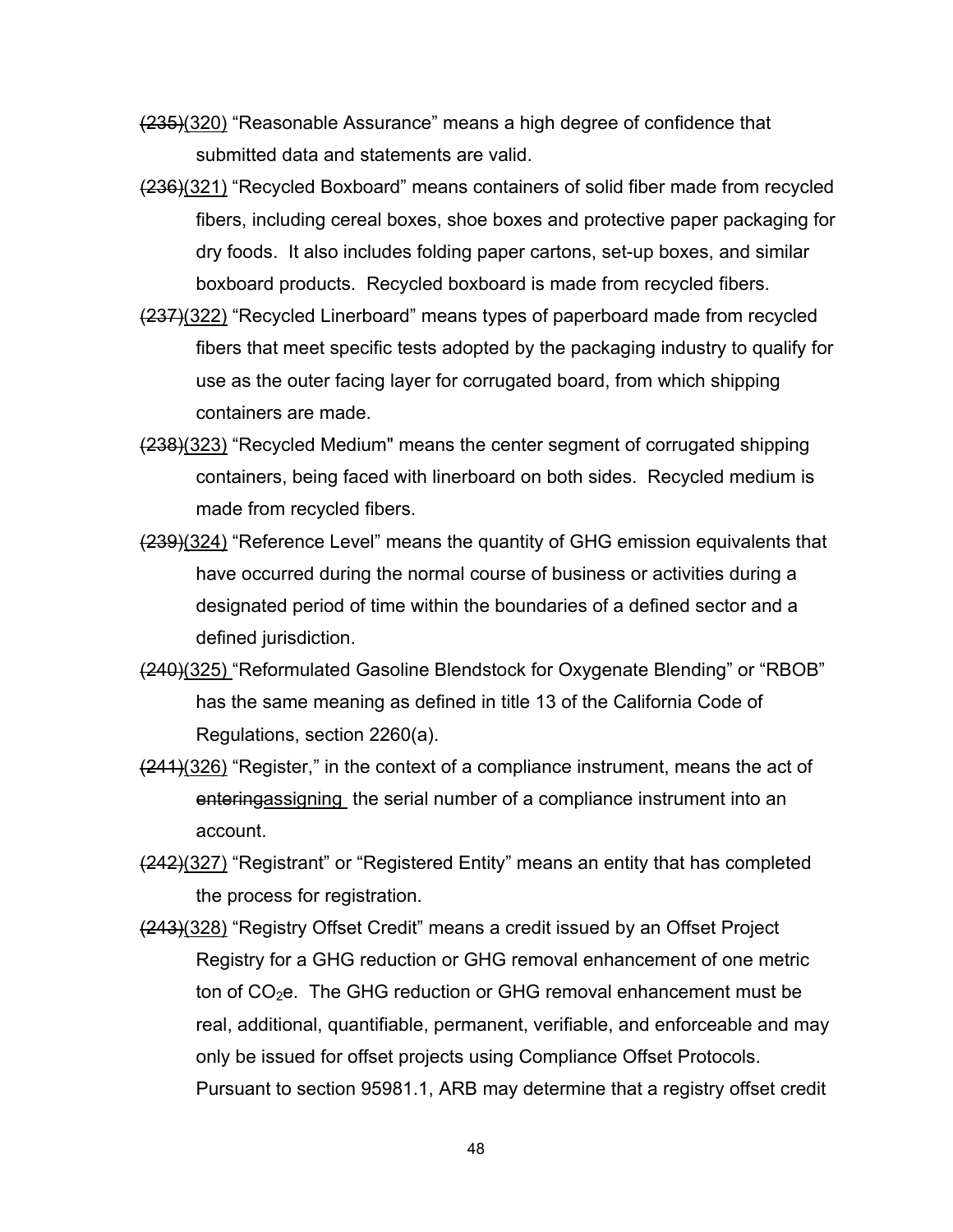- (235)(320) "Reasonable Assurance" means a high degree of confidence that submitted data and statements are valid.
- (236)(321) "Recycled Boxboard" means containers of solid fiber made from recycled fibers, including cereal boxes, shoe boxes and protective paper packaging for dry foods. It also includes folding paper cartons, set-up boxes, and similar boxboard products. Recycled boxboard is made from recycled fibers.
- (237)(322) "Recycled Linerboard" means types of paperboard made from recycled fibers that meet specific tests adopted by the packaging industry to qualify for use as the outer facing layer for corrugated board, from which shipping containers are made.
- (238)(323) "Recycled Medium" means the center segment of corrugated shipping containers, being faced with linerboard on both sides. Recycled medium is made from recycled fibers.
- (239)(324) "Reference Level" means the quantity of GHG emission equivalents that have occurred during the normal course of business or activities during a designated period of time within the boundaries of a defined sector and a defined jurisdiction.
- (240)(325) "Reformulated Gasoline Blendstock for Oxygenate Blending" or "RBOB" has the same meaning as defined in title 13 of the California Code of Regulations, section 2260(a).
- $(241)(326)$  "Register," in the context of a compliance instrument, means the act of entering assigning the serial number of a compliance instrument into an account.
- (242)(327) "Registrant" or "Registered Entity" means an entity that has completed the process for registration.
- (243)(328) "Registry Offset Credit" means a credit issued by an Offset Project Registry for a GHG reduction or GHG removal enhancement of one metric ton of  $CO<sub>2</sub>e$ . The GHG reduction or GHG removal enhancement must be real, additional, quantifiable, permanent, verifiable, and enforceable and may only be issued for offset projects using Compliance Offset Protocols. Pursuant to section 95981.1, ARB may determine that a registry offset credit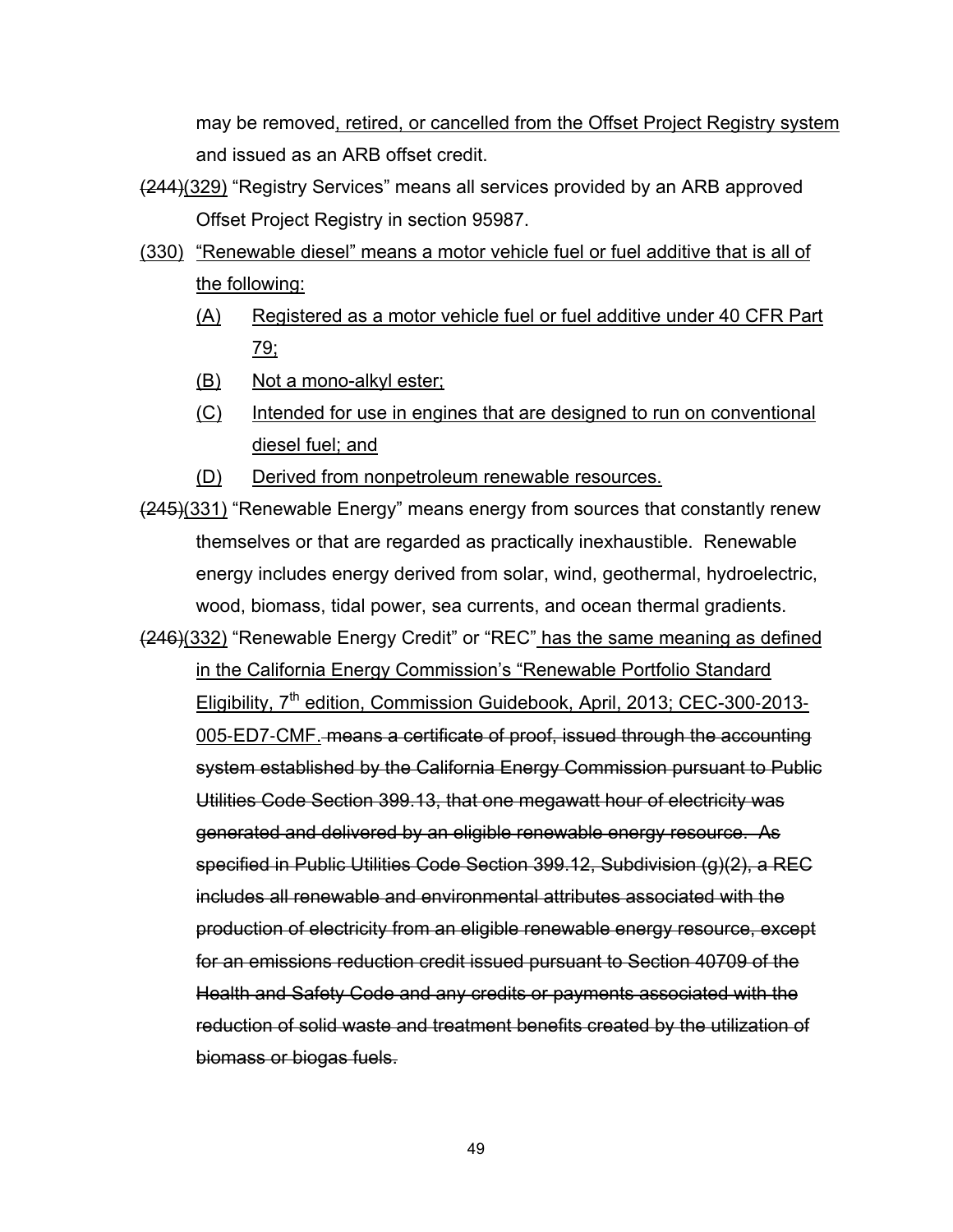may be removed, retired, or cancelled from the Offset Project Registry system and issued as an ARB offset credit.

- (244)(329) "Registry Services" means all services provided by an ARB approved Offset Project Registry in section 95987.
- (330) "Renewable diesel" means a motor vehicle fuel or fuel additive that is all of the following:
	- (A) Registered as a motor vehicle fuel or fuel additive under 40 CFR Part 79;
	- (B) Not a mono-alkyl ester;
	- (C) Intended for use in engines that are designed to run on conventional diesel fuel; and
	- (D) Derived from nonpetroleum renewable resources.
- $(245)(331)$  "Renewable Energy" means energy from sources that constantly renew themselves or that are regarded as practically inexhaustible. Renewable energy includes energy derived from solar, wind, geothermal, hydroelectric, wood, biomass, tidal power, sea currents, and ocean thermal gradients.
- (246)(332) "Renewable Energy Credit" or "REC" has the same meaning as defined in the California Energy Commission's "Renewable Portfolio Standard Eligibility, 7<sup>th</sup> edition, Commission Guidebook, April, 2013; CEC-300-2013-005‐ED7‐CMF. means a certificate of proof, issued through the accounting system established by the California Energy Commission pursuant to Public Utilities Code Section 399.13, that one megawatt hour of electricity was generated and delivered by an eligible renewable energy resource. As specified in Public Utilities Code Section 399.12, Subdivision (g)(2), a REC includes all renewable and environmental attributes associated with the production of electricity from an eligible renewable energy resource, except for an emissions reduction credit issued pursuant to Section 40709 of the Health and Safety Code and any credits or payments associated with the reduction of solid waste and treatment benefits created by the utilization of biomass or biogas fuels.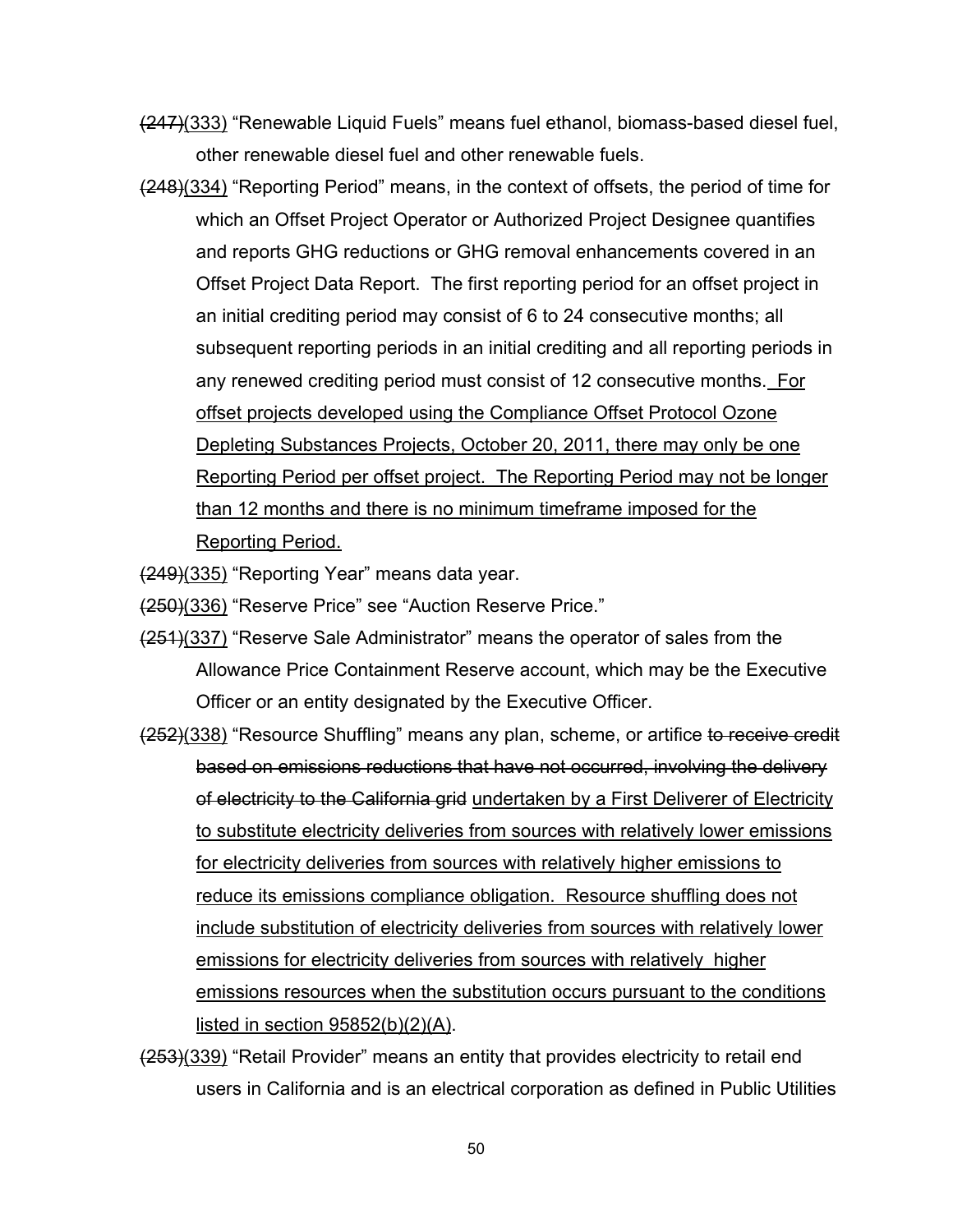- (247)(333) "Renewable Liquid Fuels" means fuel ethanol, biomass-based diesel fuel, other renewable diesel fuel and other renewable fuels.
- (248)(334) "Reporting Period" means, in the context of offsets, the period of time for which an Offset Project Operator or Authorized Project Designee quantifies and reports GHG reductions or GHG removal enhancements covered in an Offset Project Data Report. The first reporting period for an offset project in an initial crediting period may consist of 6 to 24 consecutive months; all subsequent reporting periods in an initial crediting and all reporting periods in any renewed crediting period must consist of 12 consecutive months. For offset projects developed using the Compliance Offset Protocol Ozone Depleting Substances Projects, October 20, 2011, there may only be one Reporting Period per offset project. The Reporting Period may not be longer than 12 months and there is no minimum timeframe imposed for the Reporting Period.

(249)(335) "Reporting Year" means data year.

(250)(336) "Reserve Price" see "Auction Reserve Price."

- (251)(337) "Reserve Sale Administrator" means the operator of sales from the Allowance Price Containment Reserve account, which may be the Executive Officer or an entity designated by the Executive Officer.
- $(252)(338)$  "Resource Shuffling" means any plan, scheme, or artifice to receive credit based on emissions reductions that have not occurred, involving the delivery of electricity to the California grid undertaken by a First Deliverer of Electricity to substitute electricity deliveries from sources with relatively lower emissions for electricity deliveries from sources with relatively higher emissions to reduce its emissions compliance obligation. Resource shuffling does not include substitution of electricity deliveries from sources with relatively lower emissions for electricity deliveries from sources with relatively higher emissions resources when the substitution occurs pursuant to the conditions listed in section  $95852(b)(2)(A)$ .
- (253)(339) "Retail Provider" means an entity that provides electricity to retail end users in California and is an electrical corporation as defined in Public Utilities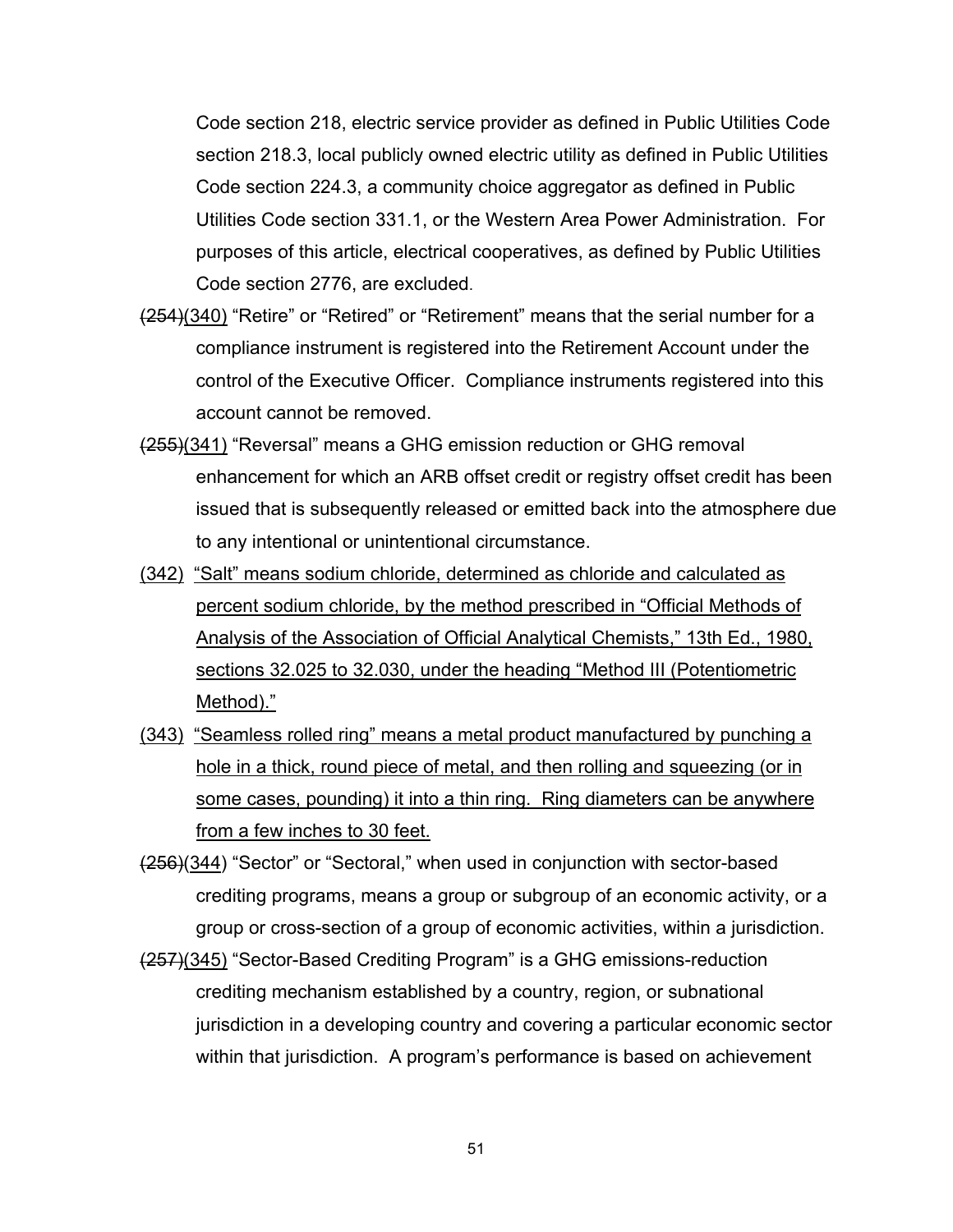Code section 218, electric service provider as defined in Public Utilities Code section 218.3, local publicly owned electric utility as defined in Public Utilities Code section 224.3, a community choice aggregator as defined in Public Utilities Code section 331.1, or the Western Area Power Administration. For purposes of this article, electrical cooperatives, as defined by Public Utilities Code section 2776, are excluded.

- (254)(340) "Retire" or "Retired" or "Retirement" means that the serial number for a compliance instrument is registered into the Retirement Account under the control of the Executive Officer. Compliance instruments registered into this account cannot be removed.
- (255)(341) "Reversal" means a GHG emission reduction or GHG removal enhancement for which an ARB offset credit or registry offset credit has been issued that is subsequently released or emitted back into the atmosphere due to any intentional or unintentional circumstance.
- (342) "Salt" means sodium chloride, determined as chloride and calculated as percent sodium chloride, by the method prescribed in "Official Methods of Analysis of the Association of Official Analytical Chemists," 13th Ed., 1980, sections 32.025 to 32.030, under the heading "Method III (Potentiometric Method)."
- (343) "Seamless rolled ring" means a metal product manufactured by punching a hole in a thick, round piece of metal, and then rolling and squeezing (or in some cases, pounding) it into a thin ring. Ring diameters can be anywhere from a few inches to 30 feet.
- (256)(344) "Sector" or "Sectoral," when used in conjunction with sector-based crediting programs, means a group or subgroup of an economic activity, or a group or cross-section of a group of economic activities, within a jurisdiction.
- (257)(345) "Sector-Based Crediting Program" is a GHG emissions-reduction crediting mechanism established by a country, region, or subnational jurisdiction in a developing country and covering a particular economic sector within that jurisdiction. A program's performance is based on achievement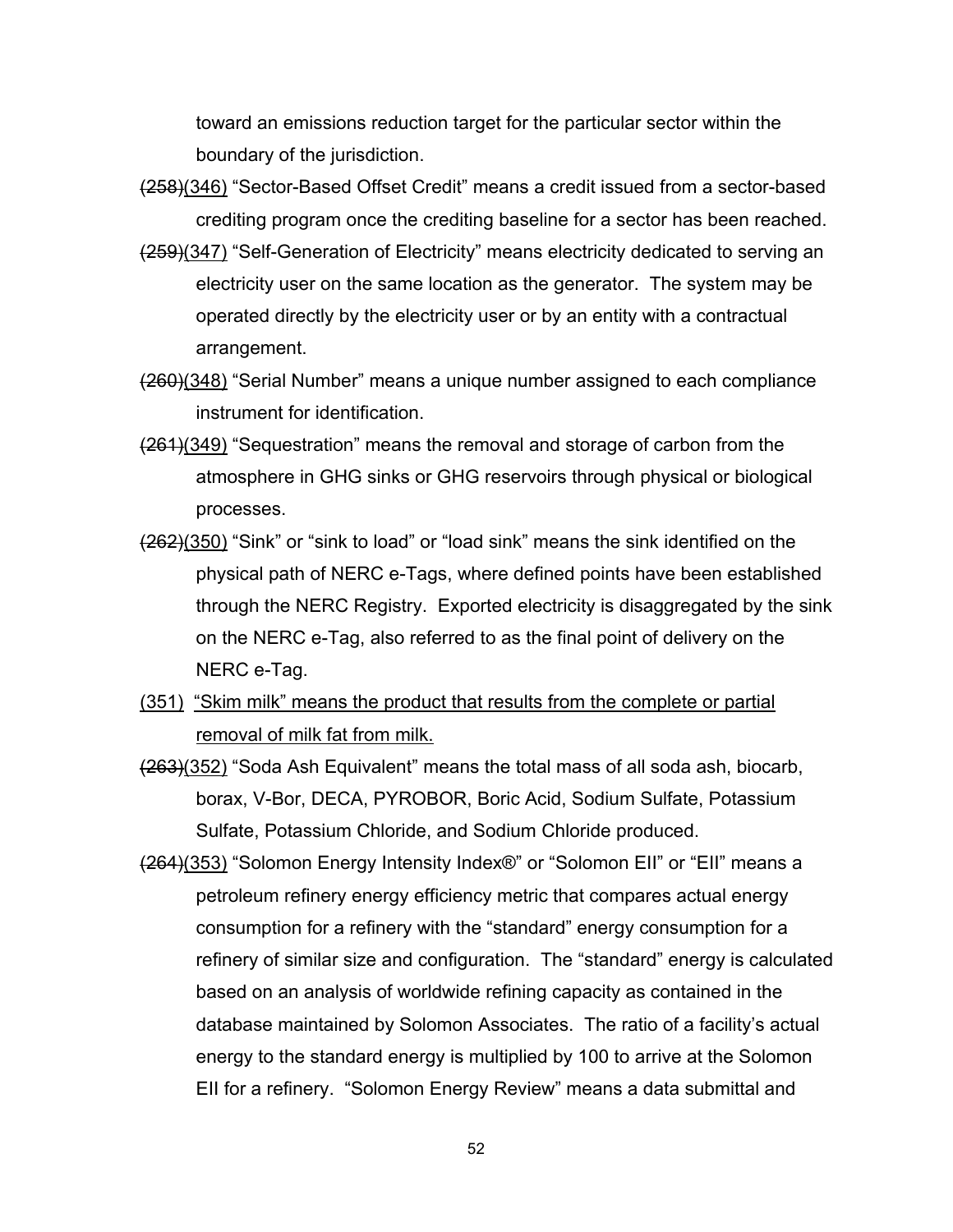toward an emissions reduction target for the particular sector within the boundary of the jurisdiction.

- (258)(346) "Sector-Based Offset Credit" means a credit issued from a sector-based crediting program once the crediting baseline for a sector has been reached.
- $(259)(347)$  "Self-Generation of Electricity" means electricity dedicated to serving an electricity user on the same location as the generator. The system may be operated directly by the electricity user or by an entity with a contractual arrangement.
- (260)(348) "Serial Number" means a unique number assigned to each compliance instrument for identification.
- (261)(349) "Sequestration" means the removal and storage of carbon from the atmosphere in GHG sinks or GHG reservoirs through physical or biological processes.
- (262)(350) "Sink" or "sink to load" or "load sink" means the sink identified on the physical path of NERC e-Tags, where defined points have been established through the NERC Registry. Exported electricity is disaggregated by the sink on the NERC e-Tag, also referred to as the final point of delivery on the NERC e-Tag.
- (351) "Skim milk" means the product that results from the complete or partial removal of milk fat from milk.
- (263)(352) "Soda Ash Equivalent" means the total mass of all soda ash, biocarb, borax, V-Bor, DECA, PYROBOR, Boric Acid, Sodium Sulfate, Potassium Sulfate, Potassium Chloride, and Sodium Chloride produced.
- (264)(353) "Solomon Energy Intensity Index®" or "Solomon EII" or "EII" means a petroleum refinery energy efficiency metric that compares actual energy consumption for a refinery with the "standard" energy consumption for a refinery of similar size and configuration. The "standard" energy is calculated based on an analysis of worldwide refining capacity as contained in the database maintained by Solomon Associates. The ratio of a facility's actual energy to the standard energy is multiplied by 100 to arrive at the Solomon EII for a refinery. "Solomon Energy Review" means a data submittal and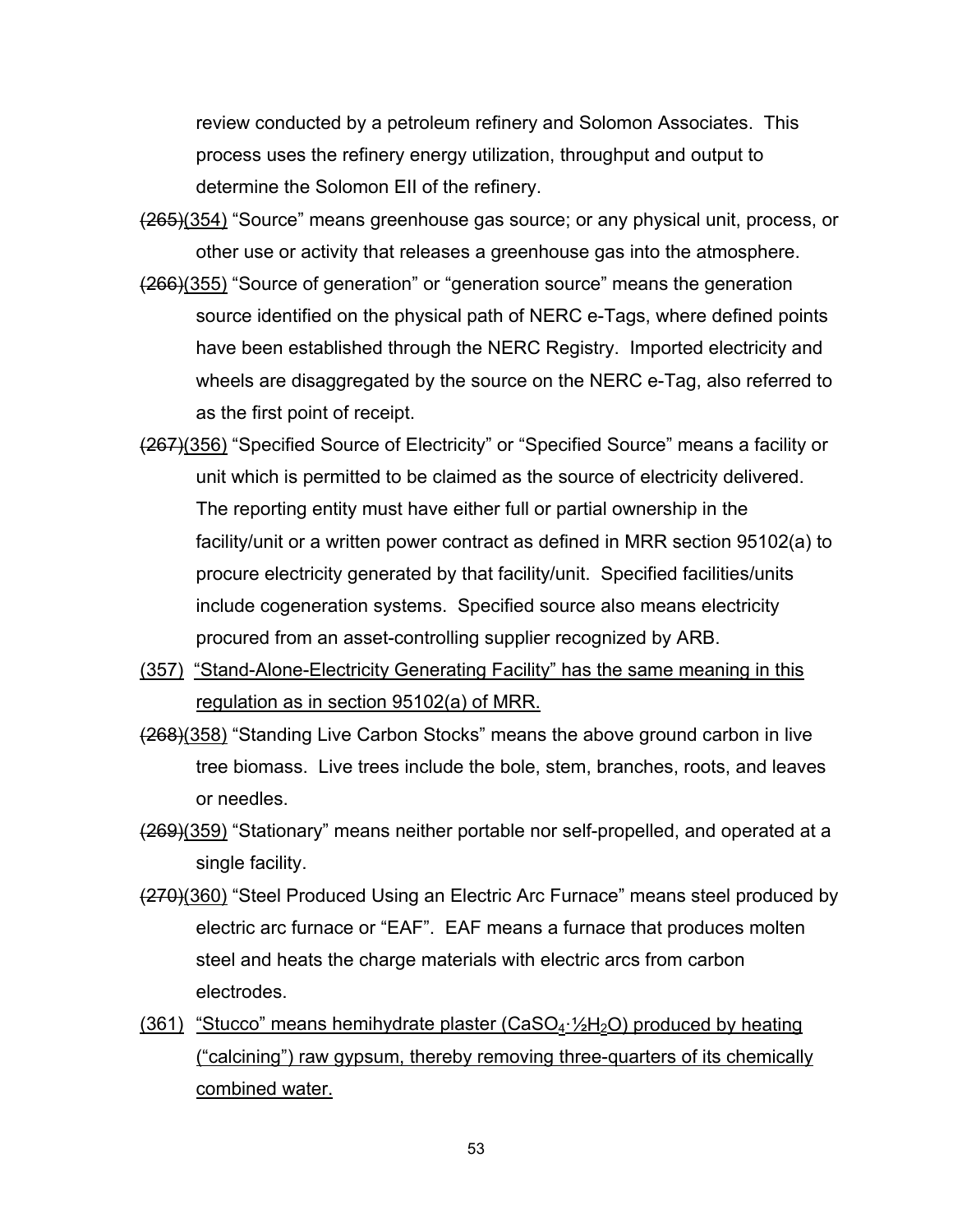review conducted by a petroleum refinery and Solomon Associates. This process uses the refinery energy utilization, throughput and output to determine the Solomon EII of the refinery.

- (265)(354) "Source" means greenhouse gas source; or any physical unit, process, or other use or activity that releases a greenhouse gas into the atmosphere.
- (266)(355) "Source of generation" or "generation source" means the generation source identified on the physical path of NERC e-Tags, where defined points have been established through the NERC Registry. Imported electricity and wheels are disaggregated by the source on the NERC e-Tag, also referred to as the first point of receipt.
- (267)(356) "Specified Source of Electricity" or "Specified Source" means a facility or unit which is permitted to be claimed as the source of electricity delivered. The reporting entity must have either full or partial ownership in the facility/unit or a written power contract as defined in MRR section 95102(a) to procure electricity generated by that facility/unit. Specified facilities/units include cogeneration systems. Specified source also means electricity procured from an asset-controlling supplier recognized by ARB.
- (357) "Stand-Alone-Electricity Generating Facility" has the same meaning in this regulation as in section 95102(a) of MRR.
- (268)(358) "Standing Live Carbon Stocks" means the above ground carbon in live tree biomass. Live trees include the bole, stem, branches, roots, and leaves or needles.
- (269)(359) "Stationary" means neither portable nor self-propelled, and operated at a single facility.
- (270)(360) "Steel Produced Using an Electric Arc Furnace" means steel produced by electric arc furnace or "EAF". EAF means a furnace that produces molten steel and heats the charge materials with electric arcs from carbon electrodes.
- $(361)$  "Stucco" means hemihydrate plaster (CaSO<sub>4</sub>· $1/2H_2O$ ) produced by heating ("calcining") raw gypsum, thereby removing three-quarters of its chemically combined water.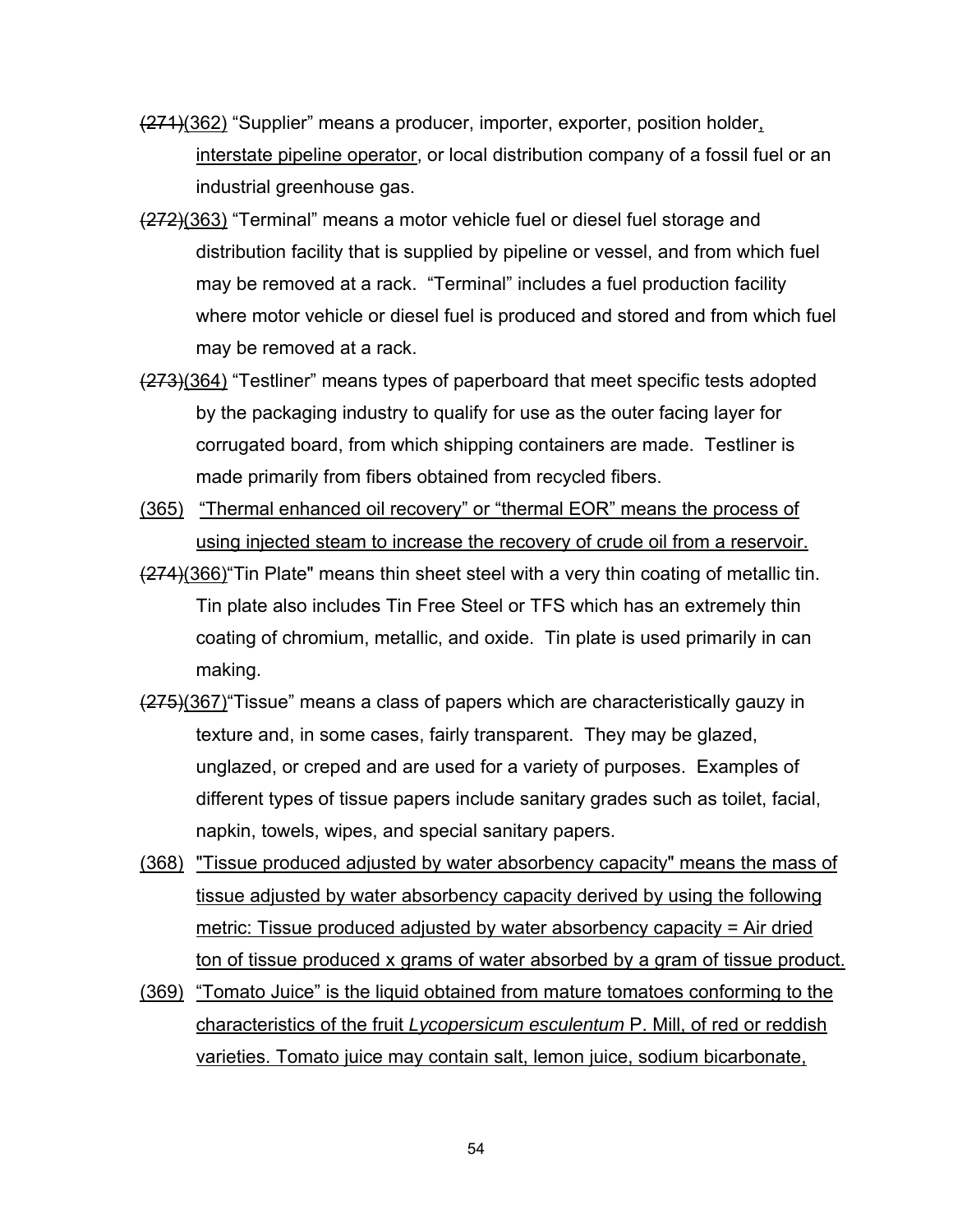- (271)(362) "Supplier" means a producer, importer, exporter, position holder, interstate pipeline operator, or local distribution company of a fossil fuel or an industrial greenhouse gas.
- (272)(363) "Terminal" means a motor vehicle fuel or diesel fuel storage and distribution facility that is supplied by pipeline or vessel, and from which fuel may be removed at a rack. "Terminal" includes a fuel production facility where motor vehicle or diesel fuel is produced and stored and from which fuel may be removed at a rack.
- (273)(364) "Testliner" means types of paperboard that meet specific tests adopted by the packaging industry to qualify for use as the outer facing layer for corrugated board, from which shipping containers are made. Testliner is made primarily from fibers obtained from recycled fibers.
- (365) "Thermal enhanced oil recovery" or "thermal EOR" means the process of using injected steam to increase the recovery of crude oil from a reservoir.
- (274)(366)"Tin Plate" means thin sheet steel with a very thin coating of metallic tin. Tin plate also includes Tin Free Steel or TFS which has an extremely thin coating of chromium, metallic, and oxide. Tin plate is used primarily in can making.
- (275)(367)"Tissue" means a class of papers which are characteristically gauzy in texture and, in some cases, fairly transparent. They may be glazed, unglazed, or creped and are used for a variety of purposes. Examples of different types of tissue papers include sanitary grades such as toilet, facial, napkin, towels, wipes, and special sanitary papers.
- (368) "Tissue produced adjusted by water absorbency capacity" means the mass of tissue adjusted by water absorbency capacity derived by using the following metric: Tissue produced adjusted by water absorbency capacity = Air dried ton of tissue produced x grams of water absorbed by a gram of tissue product.
- (369) "Tomato Juice" is the liquid obtained from mature tomatoes conforming to the characteristics of the fruit *Lycopersicum esculentum* P. Mill, of red or reddish varieties. Tomato juice may contain salt, lemon juice, sodium bicarbonate,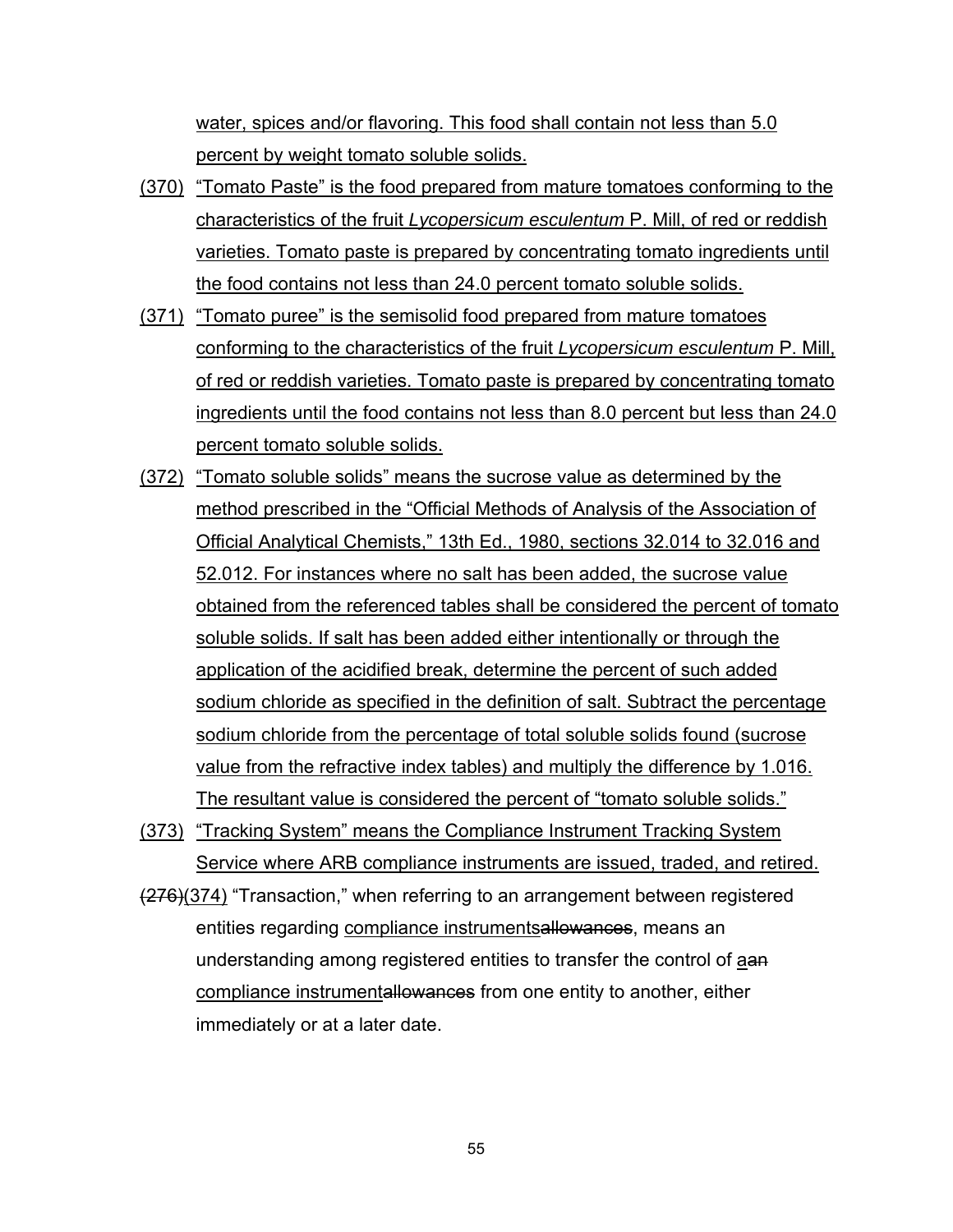water, spices and/or flavoring. This food shall contain not less than 5.0 percent by weight tomato soluble solids.

- (370) "Tomato Paste" is the food prepared from mature tomatoes conforming to the characteristics of the fruit *Lycopersicum esculentum* P. Mill, of red or reddish varieties. Tomato paste is prepared by concentrating tomato ingredients until the food contains not less than 24.0 percent tomato soluble solids.
- (371) "Tomato puree" is the semisolid food prepared from mature tomatoes conforming to the characteristics of the fruit *Lycopersicum esculentum* P. Mill, of red or reddish varieties. Tomato paste is prepared by concentrating tomato ingredients until the food contains not less than 8.0 percent but less than 24.0 percent tomato soluble solids.
- (372) "Tomato soluble solids" means the sucrose value as determined by the method prescribed in the "Official Methods of Analysis of the Association of Official Analytical Chemists," 13th Ed., 1980, sections 32.014 to 32.016 and 52.012. For instances where no salt has been added, the sucrose value obtained from the referenced tables shall be considered the percent of tomato soluble solids. If salt has been added either intentionally or through the application of the acidified break, determine the percent of such added sodium chloride as specified in the definition of salt. Subtract the percentage sodium chloride from the percentage of total soluble solids found (sucrose value from the refractive index tables) and multiply the difference by 1.016. The resultant value is considered the percent of "tomato soluble solids."
- (373) "Tracking System" means the Compliance Instrument Tracking System Service where ARB compliance instruments are issued, traded, and retired.
- (276)(374) "Transaction," when referring to an arrangement between registered entities regarding compliance instrumentsallowances, means an understanding among registered entities to transfer the control of aan compliance instrumentallowances from one entity to another, either immediately or at a later date.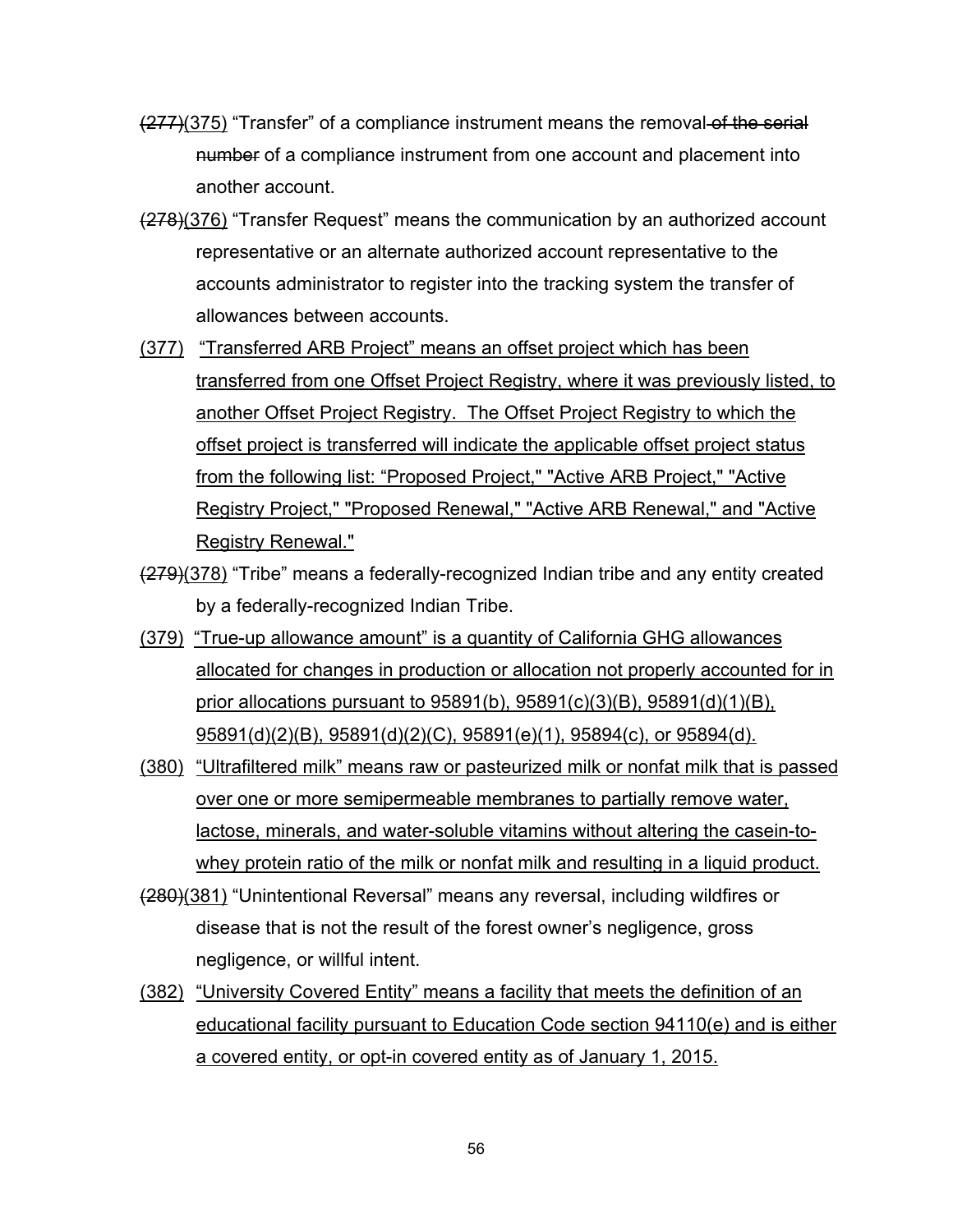- (277)(375) "Transfer" of a compliance instrument means the removal of the serial number of a compliance instrument from one account and placement into another account.
- (278)(376) "Transfer Request" means the communication by an authorized account representative or an alternate authorized account representative to the accounts administrator to register into the tracking system the transfer of allowances between accounts.
- (377) "Transferred ARB Project" means an offset project which has been transferred from one Offset Project Registry, where it was previously listed, to another Offset Project Registry. The Offset Project Registry to which the offset project is transferred will indicate the applicable offset project status from the following list: "Proposed Project," "Active ARB Project," "Active Registry Project," "Proposed Renewal," "Active ARB Renewal," and "Active Registry Renewal."
- (279)(378) "Tribe" means a federally-recognized Indian tribe and any entity created by a federally-recognized Indian Tribe.
- (379) "True-up allowance amount" is a quantity of California GHG allowances allocated for changes in production or allocation not properly accounted for in prior allocations pursuant to 95891(b), 95891(c)(3)(B), 95891(d)(1)(B), 95891(d)(2)(B), 95891(d)(2)(C), 95891(e)(1), 95894(c), or 95894(d).
- (380) "Ultrafiltered milk" means raw or pasteurized milk or nonfat milk that is passed over one or more semipermeable membranes to partially remove water, lactose, minerals, and water-soluble vitamins without altering the casein-towhey protein ratio of the milk or nonfat milk and resulting in a liquid product.
- (280)(381) "Unintentional Reversal" means any reversal, including wildfires or disease that is not the result of the forest owner's negligence, gross negligence, or willful intent.
- (382) "University Covered Entity" means a facility that meets the definition of an educational facility pursuant to Education Code section 94110(e) and is either a covered entity, or opt-in covered entity as of January 1, 2015.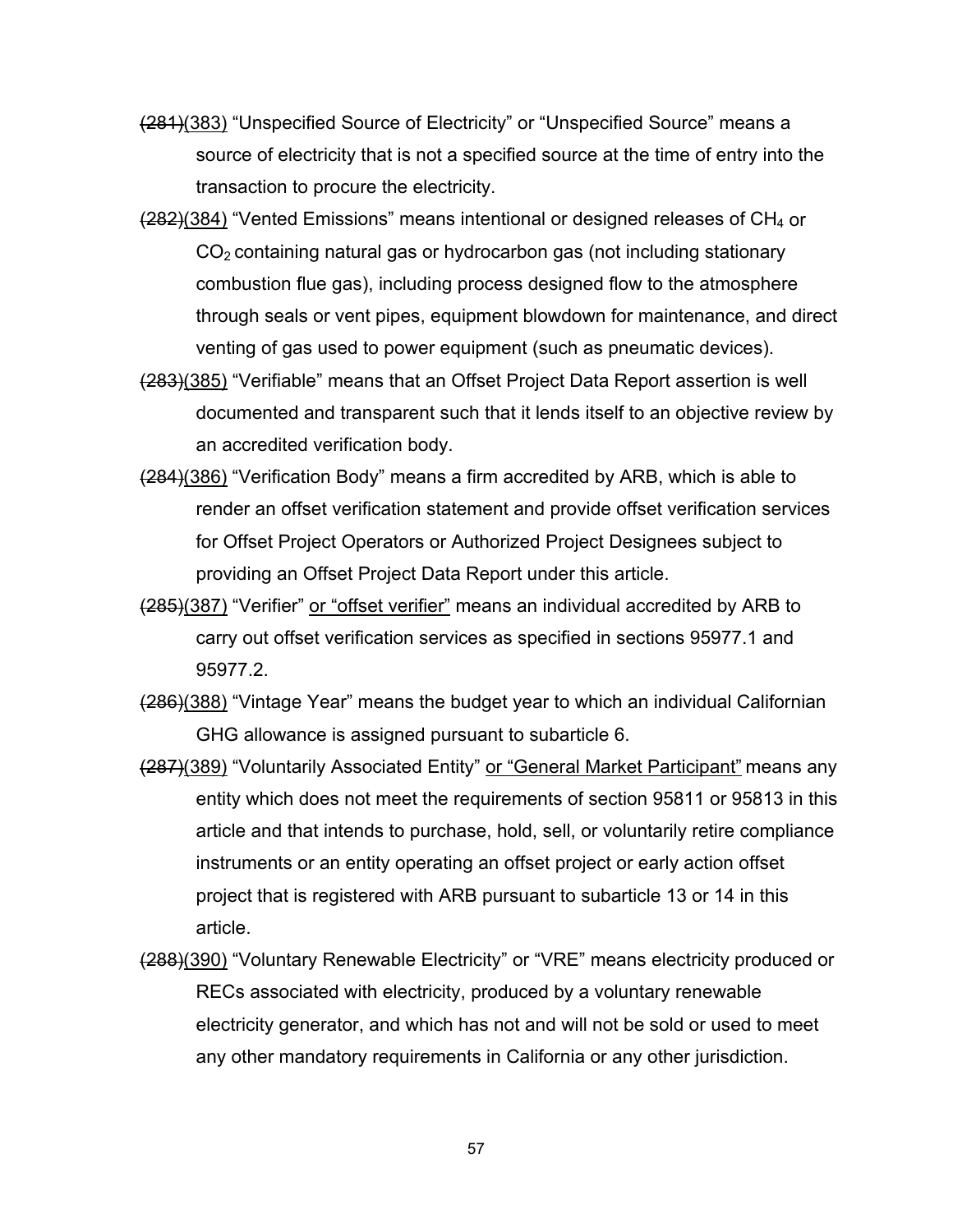- (281)(383) "Unspecified Source of Electricity" or "Unspecified Source" means a source of electricity that is not a specified source at the time of entry into the transaction to procure the electricity.
- (282)(384) "Vented Emissions" means intentional or designed releases of CH4 or  $CO<sub>2</sub>$  containing natural gas or hydrocarbon gas (not including stationary combustion flue gas), including process designed flow to the atmosphere through seals or vent pipes, equipment blowdown for maintenance, and direct venting of gas used to power equipment (such as pneumatic devices).
- (283)(385) "Verifiable" means that an Offset Project Data Report assertion is well documented and transparent such that it lends itself to an objective review by an accredited verification body.
- (284)(386) "Verification Body" means a firm accredited by ARB, which is able to render an offset verification statement and provide offset verification services for Offset Project Operators or Authorized Project Designees subject to providing an Offset Project Data Report under this article.
- (285)(387) "Verifier" or "offset verifier" means an individual accredited by ARB to carry out offset verification services as specified in sections 95977.1 and 95977.2.
- (286)(388) "Vintage Year" means the budget year to which an individual Californian GHG allowance is assigned pursuant to subarticle 6.
- (287)(389) "Voluntarily Associated Entity" or "General Market Participant" means any entity which does not meet the requirements of section 95811 or 95813 in this article and that intends to purchase, hold, sell, or voluntarily retire compliance instruments or an entity operating an offset project or early action offset project that is registered with ARB pursuant to subarticle 13 or 14 in this article.
- (288)(390) "Voluntary Renewable Electricity" or "VRE" means electricity produced or RECs associated with electricity, produced by a voluntary renewable electricity generator, and which has not and will not be sold or used to meet any other mandatory requirements in California or any other jurisdiction.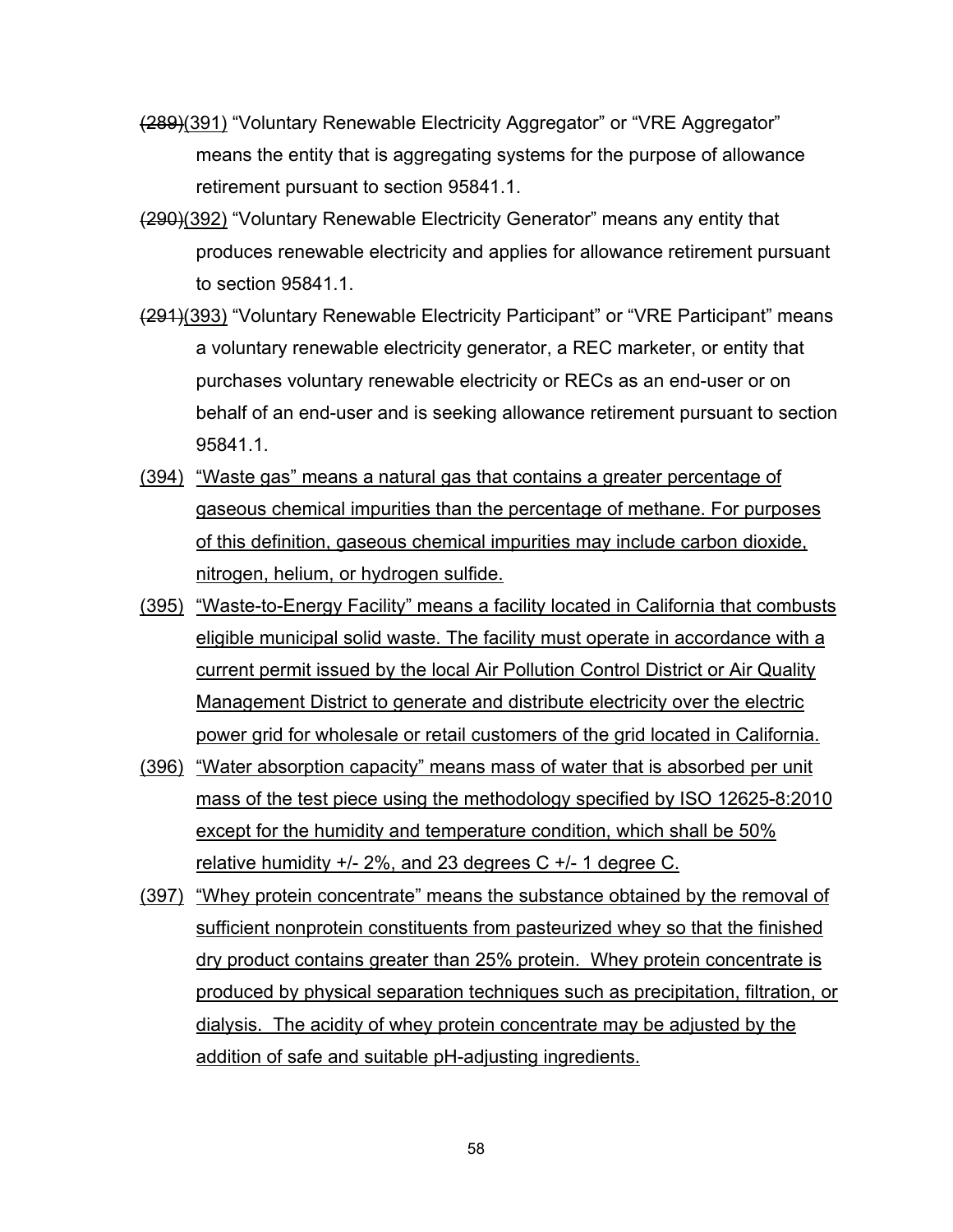- (289)(391) "Voluntary Renewable Electricity Aggregator" or "VRE Aggregator" means the entity that is aggregating systems for the purpose of allowance retirement pursuant to section 95841.1.
- (290)(392) "Voluntary Renewable Electricity Generator" means any entity that produces renewable electricity and applies for allowance retirement pursuant to section 95841.1.
- (291)(393) "Voluntary Renewable Electricity Participant" or "VRE Participant" means a voluntary renewable electricity generator, a REC marketer, or entity that purchases voluntary renewable electricity or RECs as an end-user or on behalf of an end-user and is seeking allowance retirement pursuant to section 95841.1.
- (394) "Waste gas" means a natural gas that contains a greater percentage of gaseous chemical impurities than the percentage of methane. For purposes of this definition, gaseous chemical impurities may include carbon dioxide, nitrogen, helium, or hydrogen sulfide.
- (395) "Waste-to-Energy Facility" means a facility located in California that combusts eligible municipal solid waste. The facility must operate in accordance with a current permit issued by the local Air Pollution Control District or Air Quality Management District to generate and distribute electricity over the electric power grid for wholesale or retail customers of the grid located in California.
- (396) "Water absorption capacity" means mass of water that is absorbed per unit mass of the test piece using the methodology specified by ISO 12625-8:2010 except for the humidity and temperature condition, which shall be 50% relative humidity +/- 2%, and 23 degrees C +/- 1 degree C.
- (397) "Whey protein concentrate" means the substance obtained by the removal of sufficient nonprotein constituents from pasteurized whey so that the finished dry product contains greater than 25% protein. Whey protein concentrate is produced by physical separation techniques such as precipitation, filtration, or dialysis. The acidity of whey protein concentrate may be adjusted by the addition of safe and suitable pH-adjusting ingredients.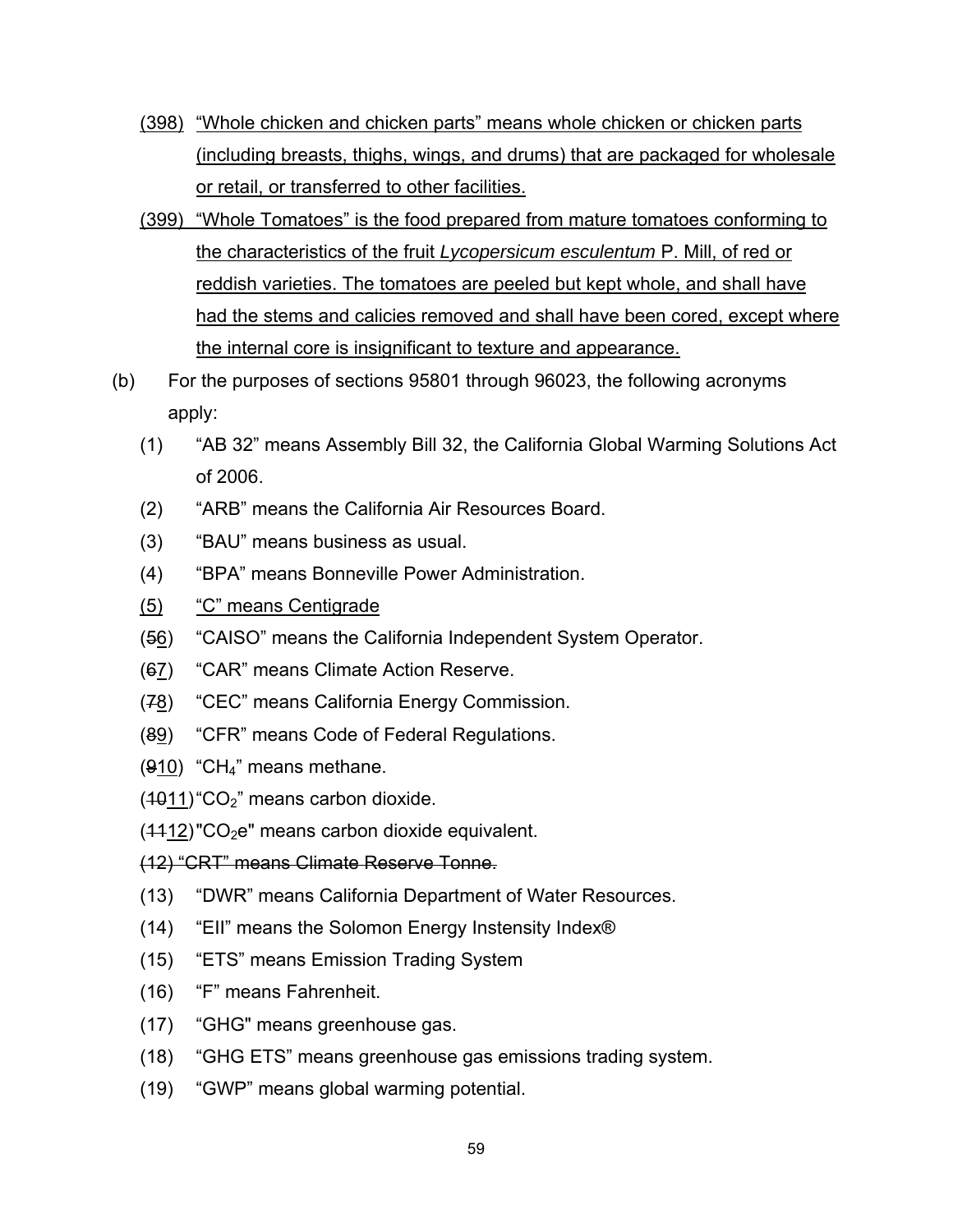- (398) "Whole chicken and chicken parts" means whole chicken or chicken parts (including breasts, thighs, wings, and drums) that are packaged for wholesale or retail, or transferred to other facilities.
- (399) "Whole Tomatoes" is the food prepared from mature tomatoes conforming to the characteristics of the fruit *Lycopersicum esculentum* P. Mill, of red or reddish varieties. The tomatoes are peeled but kept whole, and shall have had the stems and calicies removed and shall have been cored, except where the internal core is insignificant to texture and appearance.
- (b) For the purposes of sections 95801 through 96023, the following acronyms apply:
	- (1) "AB 32" means Assembly Bill 32, the California Global Warming Solutions Act of 2006.
	- (2) "ARB" means the California Air Resources Board.
	- (3) "BAU" means business as usual.
	- (4) "BPA" means Bonneville Power Administration.
	- (5) "C" means Centigrade
	- (56) "CAISO" means the California Independent System Operator.
	- (67) "CAR" means Climate Action Reserve.
	- (78) "CEC" means California Energy Commission.
	- (89) "CFR" means Code of Federal Regulations.
	- (910) "CH4" means methane.
	- $(4011)$  "CO<sub>2</sub>" means carbon dioxide.
	- $(4412)$ "CO<sub>2</sub>e" means carbon dioxide equivalent.

(12) "CRT" means Climate Reserve Tonne.

- (13) "DWR" means California Department of Water Resources.
- (14) "EII" means the Solomon Energy Instensity Index®
- (15) "ETS" means Emission Trading System
- (16) "F" means Fahrenheit.
- (17) "GHG" means greenhouse gas.
- (18) "GHG ETS" means greenhouse gas emissions trading system.
- (19) "GWP" means global warming potential.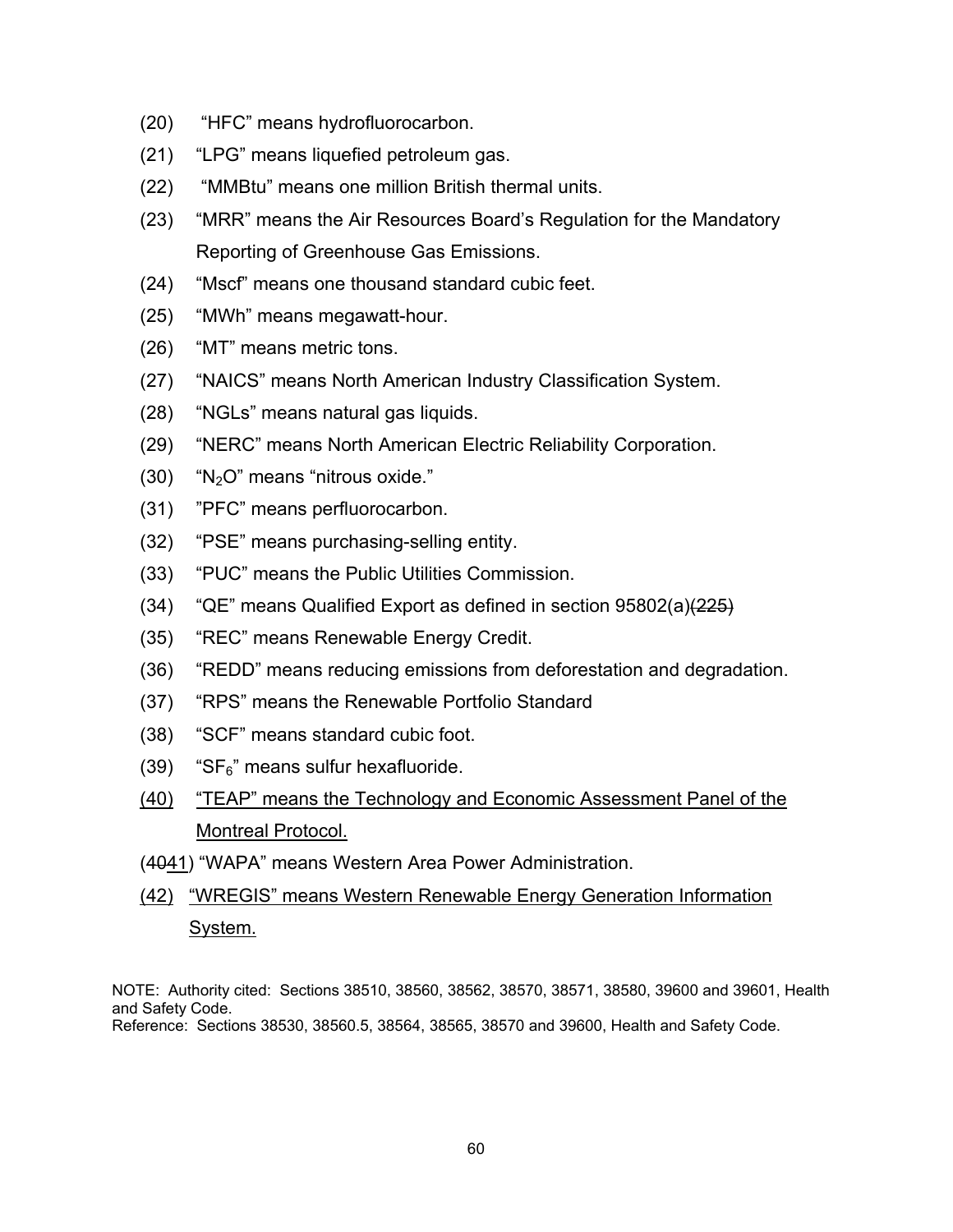- (20) "HFC" means hydrofluorocarbon.
- (21) "LPG" means liquefied petroleum gas.
- (22) "MMBtu" means one million British thermal units.
- (23) "MRR" means the Air Resources Board's Regulation for the Mandatory Reporting of Greenhouse Gas Emissions.
- (24) "Mscf" means one thousand standard cubic feet.
- (25) "MWh" means megawatt-hour.
- (26) "MT" means metric tons.
- (27) "NAICS" means North American Industry Classification System.
- (28) "NGLs" means natural gas liquids.
- (29) "NERC" means North American Electric Reliability Corporation.
- $(30)$  "N<sub>2</sub>O" means "nitrous oxide."
- (31) "PFC" means perfluorocarbon.
- (32) "PSE" means purchasing-selling entity.
- (33) "PUC" means the Public Utilities Commission.
- (34) "QE" means Qualified Export as defined in section  $95802(a)(225)$
- (35) "REC" means Renewable Energy Credit.
- (36) "REDD" means reducing emissions from deforestation and degradation.
- (37) "RPS" means the Renewable Portfolio Standard
- (38) "SCF" means standard cubic foot.
- $(39)$  "SF $_6$ " means sulfur hexafluoride.
- (40) "TEAP" means the Technology and Economic Assessment Panel of the Montreal Protocol.
- (4041) "WAPA" means Western Area Power Administration.
- (42) "WREGIS" means Western Renewable Energy Generation Information System.

NOTE: Authority cited: Sections 38510, 38560, 38562, 38570, 38571, 38580, 39600 and 39601, Health and Safety Code.

Reference: Sections 38530, 38560.5, 38564, 38565, 38570 and 39600, Health and Safety Code.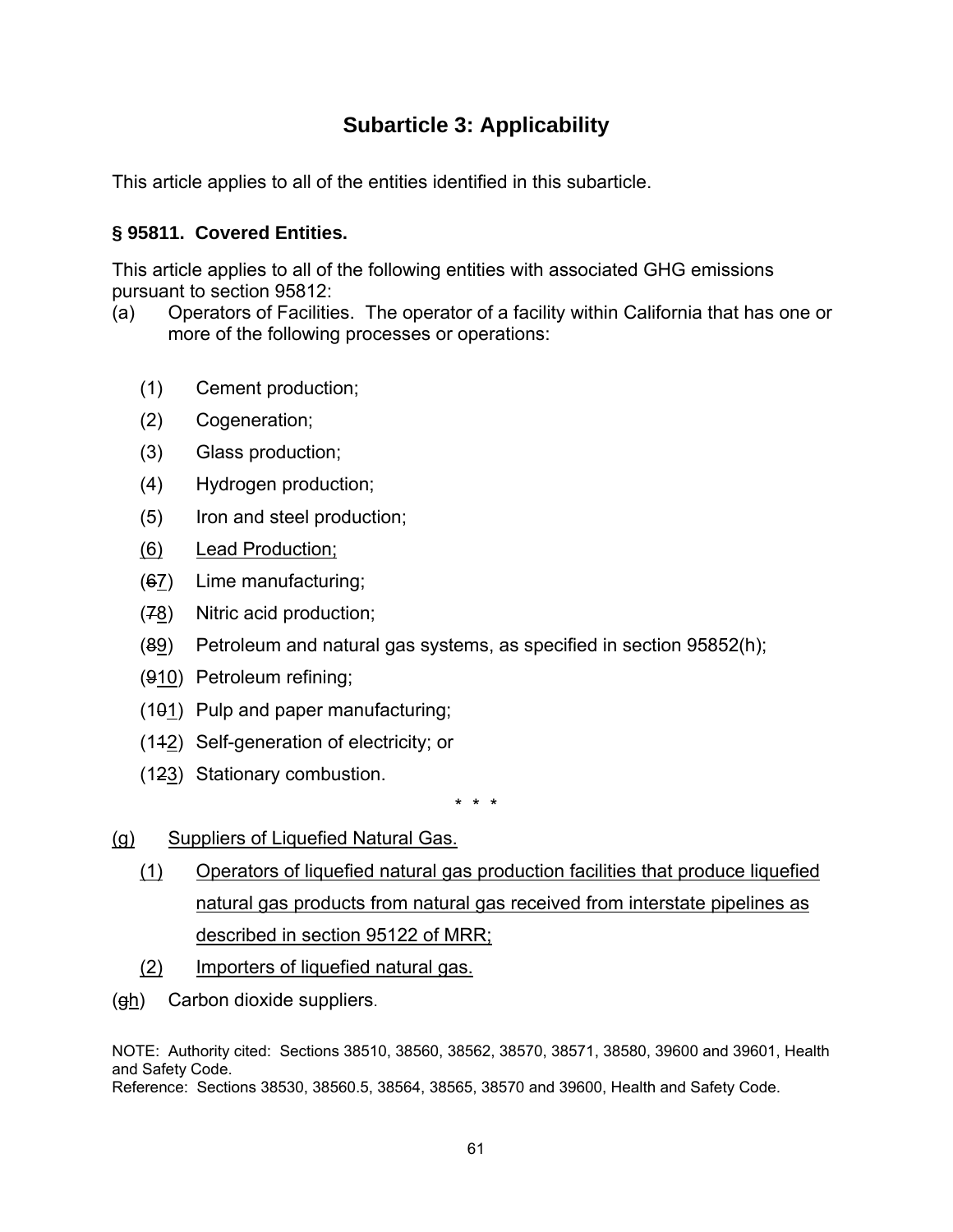# **Subarticle 3: Applicability**

This article applies to all of the entities identified in this subarticle.

### **§ 95811. Covered Entities.**

This article applies to all of the following entities with associated GHG emissions pursuant to section 95812:

- (a) Operators of Facilities. The operator of a facility within California that has one or more of the following processes or operations:
	- (1) Cement production;
	- (2) Cogeneration;
	- (3) Glass production;
	- (4) Hydrogen production;
	- (5) Iron and steel production;
	- (6) Lead Production;
	- (67) Lime manufacturing;
	- (78) Nitric acid production;
	- $(89)$  Petroleum and natural gas systems, as specified in section 95852(h);
	- (910) Petroleum refining;
	- (101) Pulp and paper manufacturing;
	- (112) Self-generation of electricity; or
	- (123) Stationary combustion.

\* \* \*

- (g) Suppliers of Liquefied Natural Gas.
	- (1) Operators of liquefied natural gas production facilities that produce liquefied natural gas products from natural gas received from interstate pipelines as described in section 95122 of MRR;
	- (2) Importers of liquefied natural gas.
- (gh) Carbon dioxide suppliers.

NOTE: Authority cited: Sections 38510, 38560, 38562, 38570, 38571, 38580, 39600 and 39601, Health and Safety Code.

Reference: Sections 38530, 38560.5, 38564, 38565, 38570 and 39600, Health and Safety Code.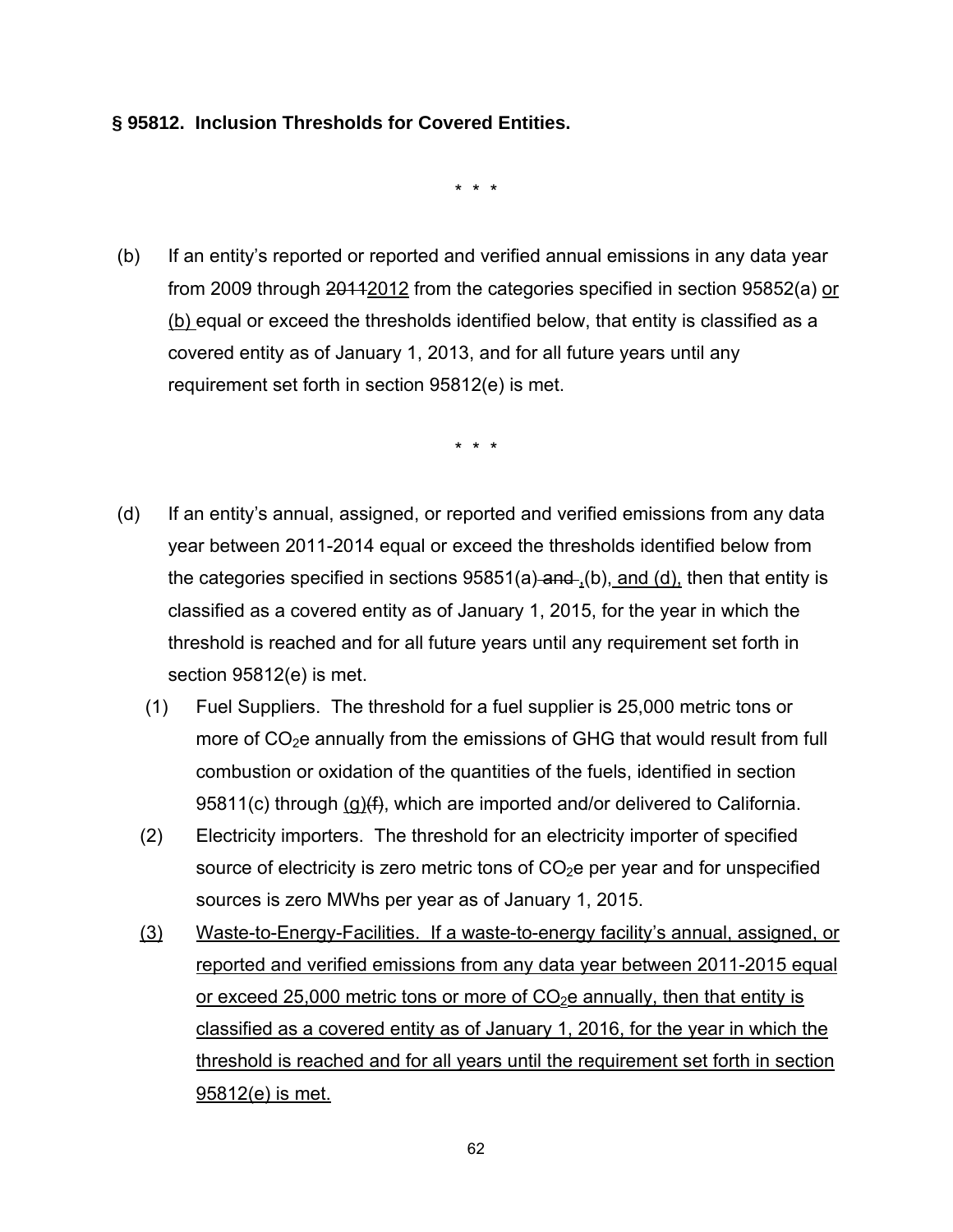#### **§ 95812. Inclusion Thresholds for Covered Entities.**

\* \* \*

 (b) If an entity's reported or reported and verified annual emissions in any data year from 2009 through  $201122$  from the categories specified in section 95852(a) or (b) equal or exceed the thresholds identified below, that entity is classified as a covered entity as of January 1, 2013, and for all future years until any requirement set forth in section 95812(e) is met.

\* \* \*

- (d) If an entity's annual, assigned, or reported and verified emissions from any data year between 2011-2014 equal or exceed the thresholds identified below from the categories specified in sections  $95851(a)$  and  $(0)$ , and  $(d)$ , then that entity is classified as a covered entity as of January 1, 2015, for the year in which the threshold is reached and for all future years until any requirement set forth in section 95812(e) is met.
	- (1) Fuel Suppliers. The threshold for a fuel supplier is 25,000 metric tons or more of  $CO<sub>2</sub>e$  annually from the emissions of GHG that would result from full combustion or oxidation of the quantities of the fuels, identified in section 95811(c) through (g)(f), which are imported and/or delivered to California.
	- (2) Electricity importers. The threshold for an electricity importer of specified source of electricity is zero metric tons of  $CO<sub>2</sub>e$  per year and for unspecified sources is zero MWhs per year as of January 1, 2015.
	- (3) Waste-to-Energy-Facilities. If a waste-to-energy facility's annual, assigned, or reported and verified emissions from any data year between 2011-2015 equal or exceed 25,000 metric tons or more of  $CO<sub>2</sub>e$  annually, then that entity is classified as a covered entity as of January 1, 2016, for the year in which the threshold is reached and for all years until the requirement set forth in section 95812(e) is met.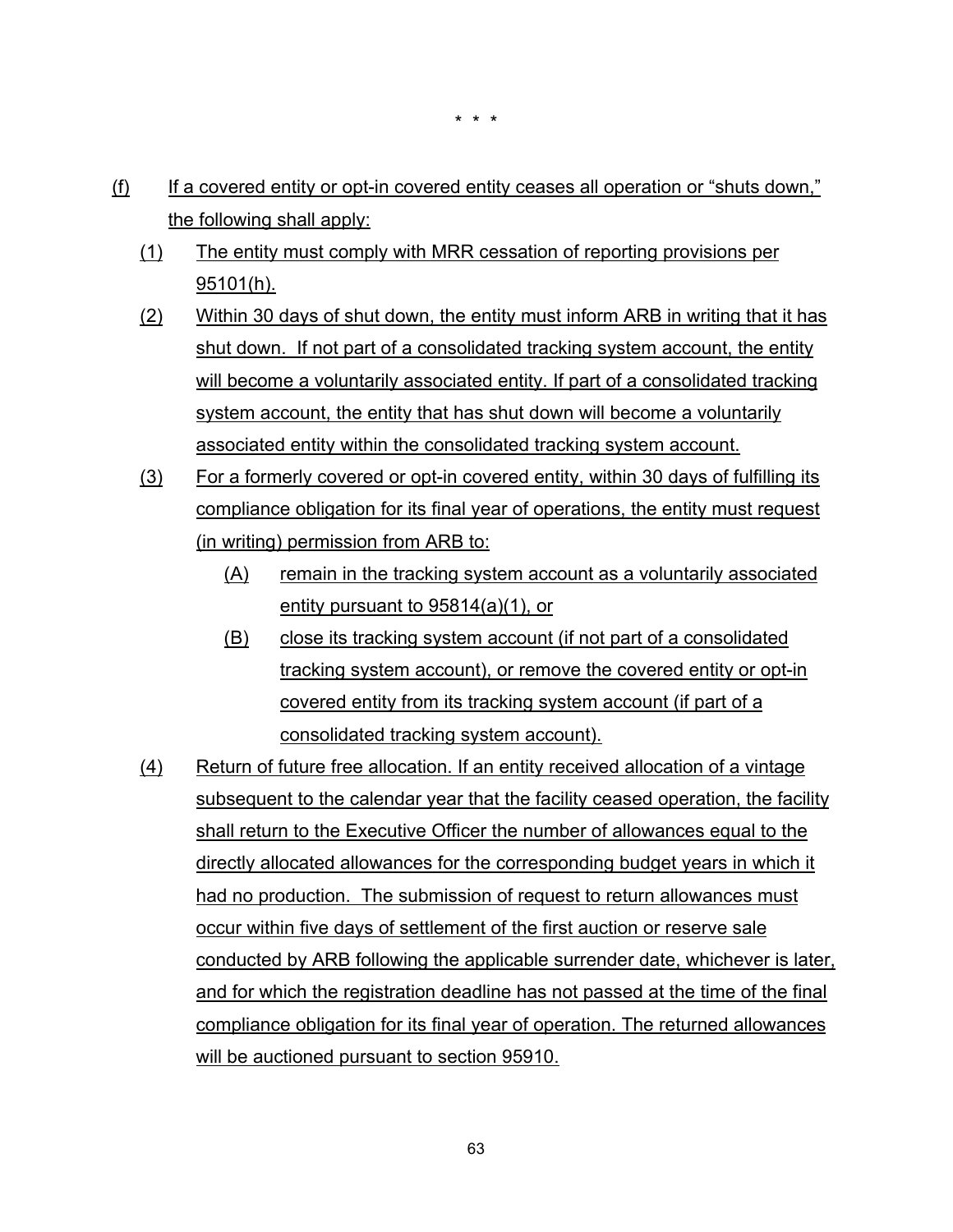- (f) If a covered entity or opt-in covered entity ceases all operation or "shuts down," the following shall apply:
	- (1) The entity must comply with MRR cessation of reporting provisions per 95101(h).
	- (2) Within 30 days of shut down, the entity must inform ARB in writing that it has shut down. If not part of a consolidated tracking system account, the entity will become a voluntarily associated entity. If part of a consolidated tracking system account, the entity that has shut down will become a voluntarily associated entity within the consolidated tracking system account.
	- (3) For a formerly covered or opt-in covered entity, within 30 days of fulfilling its compliance obligation for its final year of operations, the entity must request (in writing) permission from ARB to:
		- (A) remain in the tracking system account as a voluntarily associated entity pursuant to 95814(a)(1), or
		- (B) close its tracking system account (if not part of a consolidated tracking system account), or remove the covered entity or opt-in covered entity from its tracking system account (if part of a consolidated tracking system account).
	- (4) Return of future free allocation. If an entity received allocation of a vintage subsequent to the calendar year that the facility ceased operation, the facility shall return to the Executive Officer the number of allowances equal to the directly allocated allowances for the corresponding budget years in which it had no production. The submission of request to return allowances must occur within five days of settlement of the first auction or reserve sale conducted by ARB following the applicable surrender date, whichever is later, and for which the registration deadline has not passed at the time of the final compliance obligation for its final year of operation. The returned allowances will be auctioned pursuant to section 95910.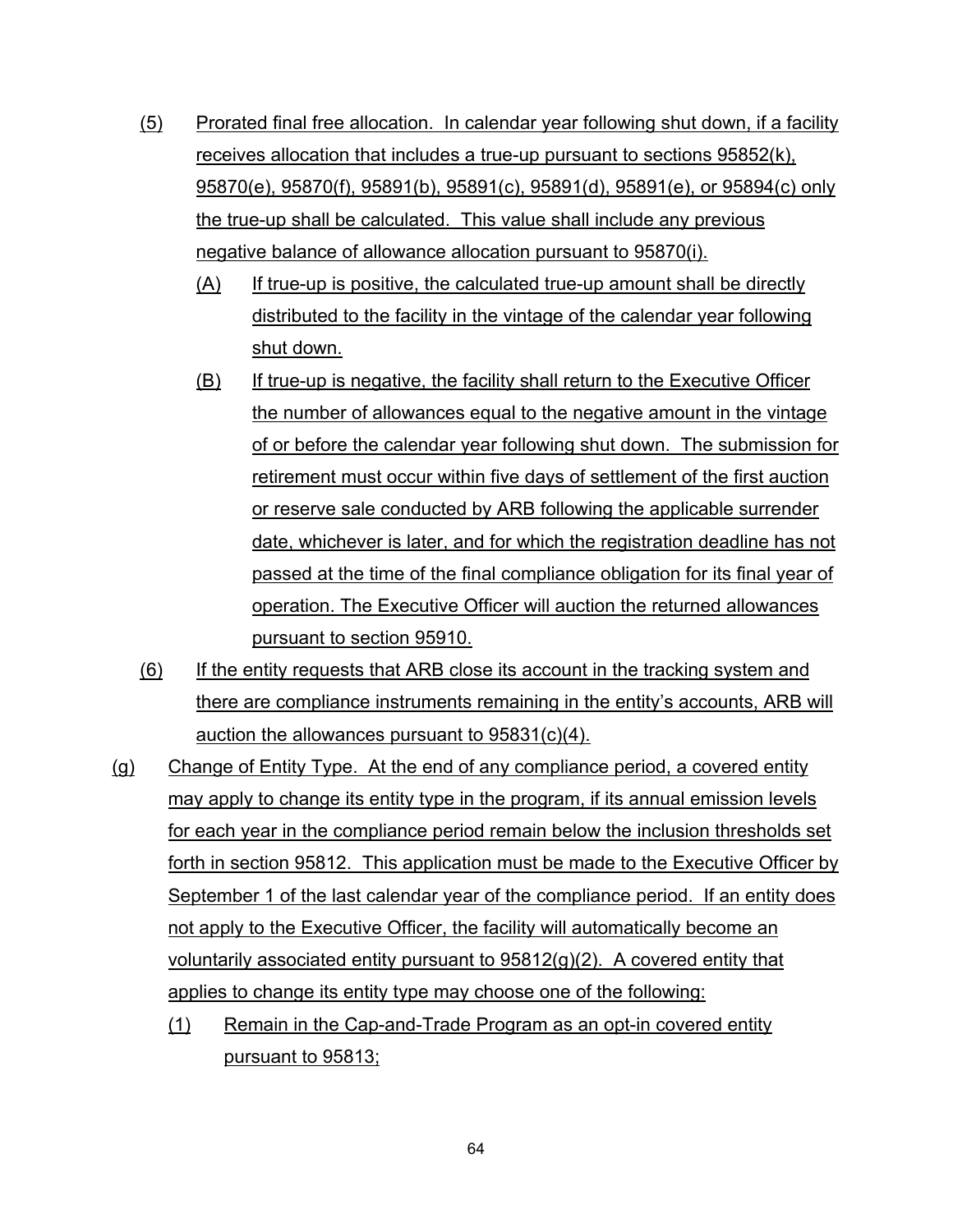- (5) Prorated final free allocation. In calendar year following shut down, if a facility receives allocation that includes a true-up pursuant to sections 95852(k), 95870(e), 95870(f), 95891(b), 95891(c), 95891(d), 95891(e), or 95894(c) only the true-up shall be calculated. This value shall include any previous negative balance of allowance allocation pursuant to 95870(i).
	- (A) If true-up is positive, the calculated true-up amount shall be directly distributed to the facility in the vintage of the calendar year following shut down.
	- (B) If true-up is negative, the facility shall return to the Executive Officer the number of allowances equal to the negative amount in the vintage of or before the calendar year following shut down. The submission for retirement must occur within five days of settlement of the first auction or reserve sale conducted by ARB following the applicable surrender date, whichever is later, and for which the registration deadline has not passed at the time of the final compliance obligation for its final year of operation. The Executive Officer will auction the returned allowances pursuant to section 95910.
- (6) If the entity requests that ARB close its account in the tracking system and there are compliance instruments remaining in the entity's accounts, ARB will auction the allowances pursuant to 95831(c)(4).
- (g) Change of Entity Type. At the end of any compliance period, a covered entity may apply to change its entity type in the program, if its annual emission levels for each year in the compliance period remain below the inclusion thresholds set forth in section 95812. This application must be made to the Executive Officer by September 1 of the last calendar year of the compliance period. If an entity does not apply to the Executive Officer, the facility will automatically become an voluntarily associated entity pursuant to 95812(g)(2). A covered entity that applies to change its entity type may choose one of the following:
	- (1) Remain in the Cap-and-Trade Program as an opt-in covered entity pursuant to 95813;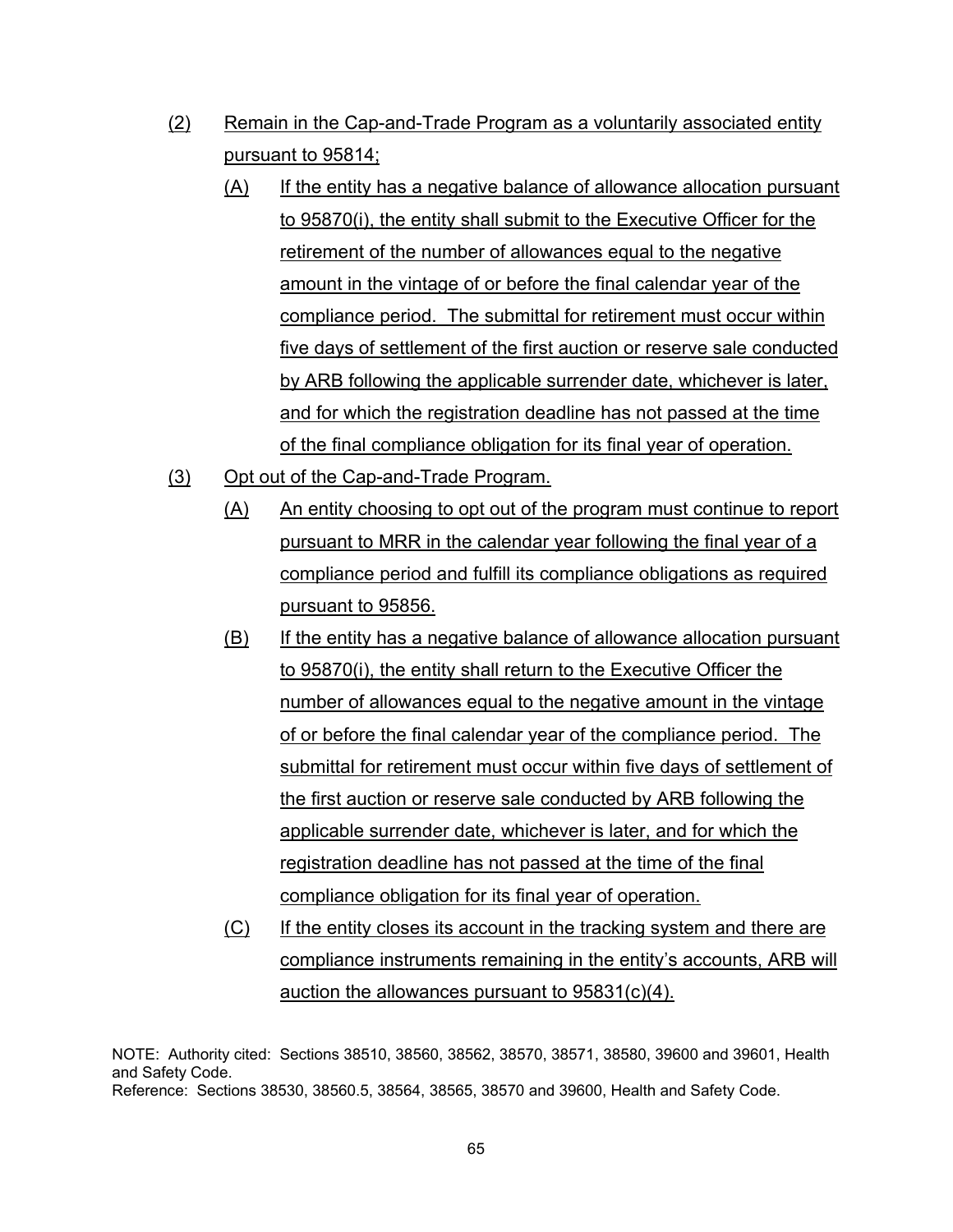- (2) Remain in the Cap-and-Trade Program as a voluntarily associated entity pursuant to 95814;
	- (A) If the entity has a negative balance of allowance allocation pursuant to 95870(i), the entity shall submit to the Executive Officer for the retirement of the number of allowances equal to the negative amount in the vintage of or before the final calendar year of the compliance period. The submittal for retirement must occur within five days of settlement of the first auction or reserve sale conducted by ARB following the applicable surrender date, whichever is later, and for which the registration deadline has not passed at the time of the final compliance obligation for its final year of operation.
- (3) Opt out of the Cap-and-Trade Program.
	- (A) An entity choosing to opt out of the program must continue to report pursuant to MRR in the calendar year following the final year of a compliance period and fulfill its compliance obligations as required pursuant to 95856.
	- (B) If the entity has a negative balance of allowance allocation pursuant to 95870(i), the entity shall return to the Executive Officer the number of allowances equal to the negative amount in the vintage of or before the final calendar year of the compliance period. The submittal for retirement must occur within five days of settlement of the first auction or reserve sale conducted by ARB following the applicable surrender date, whichever is later, and for which the registration deadline has not passed at the time of the final compliance obligation for its final year of operation.
	- (C) If the entity closes its account in the tracking system and there are compliance instruments remaining in the entity's accounts, ARB will auction the allowances pursuant to 95831(c)(4).

NOTE: Authority cited: Sections 38510, 38560, 38562, 38570, 38571, 38580, 39600 and 39601, Health and Safety Code. Reference: Sections 38530, 38560.5, 38564, 38565, 38570 and 39600, Health and Safety Code.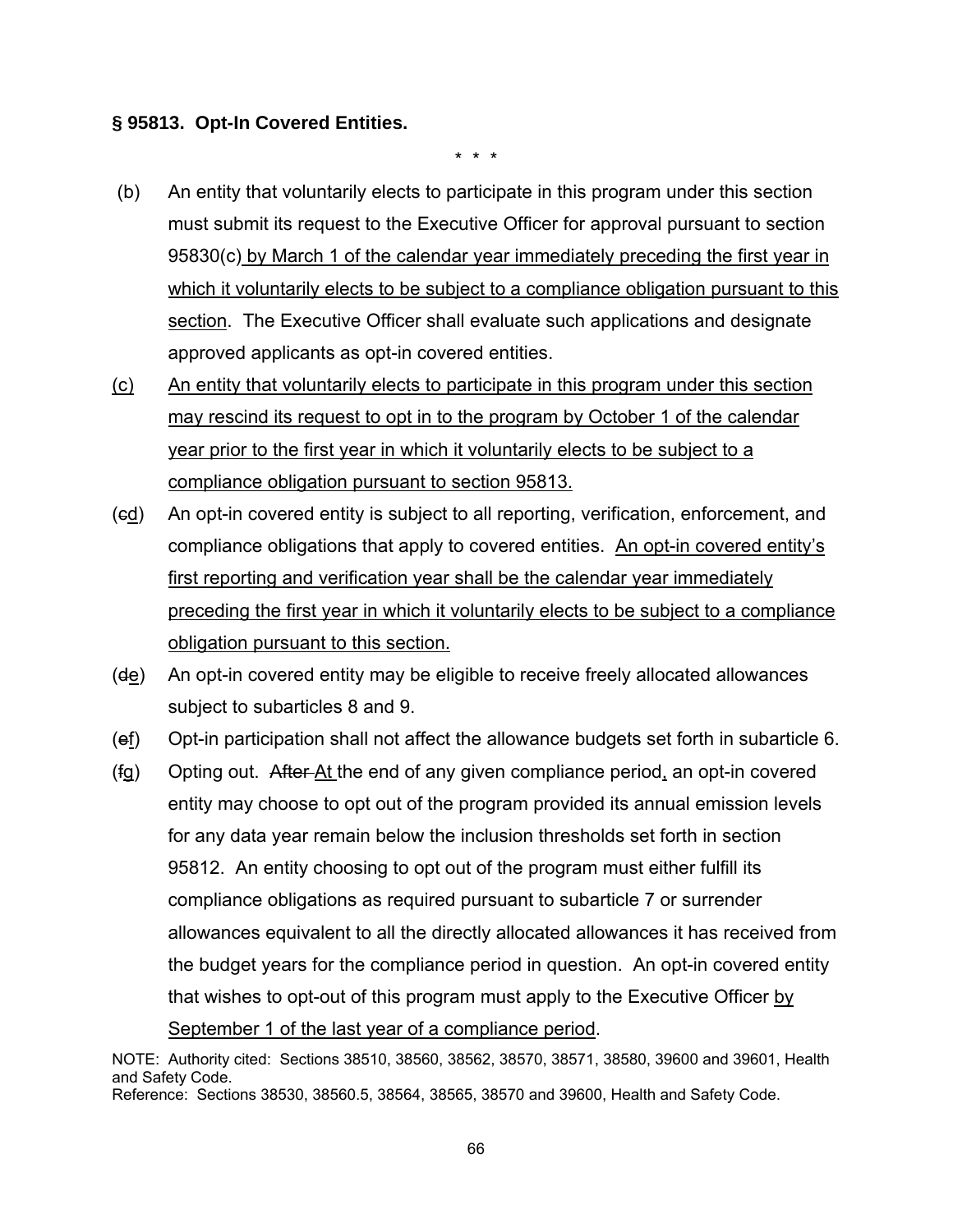#### **§ 95813. Opt-In Covered Entities.**

\* \* \*

- (b) An entity that voluntarily elects to participate in this program under this section must submit its request to the Executive Officer for approval pursuant to section 95830(c) by March 1 of the calendar year immediately preceding the first year in which it voluntarily elects to be subject to a compliance obligation pursuant to this section. The Executive Officer shall evaluate such applications and designate approved applicants as opt-in covered entities.
- (c) An entity that voluntarily elects to participate in this program under this section may rescind its request to opt in to the program by October 1 of the calendar year prior to the first year in which it voluntarily elects to be subject to a compliance obligation pursuant to section 95813.
- (cd) An opt-in covered entity is subject to all reporting, verification, enforcement, and compliance obligations that apply to covered entities. An opt-in covered entity's first reporting and verification year shall be the calendar year immediately preceding the first year in which it voluntarily elects to be subject to a compliance obligation pursuant to this section.
- $(d_e)$  An opt-in covered entity may be eligible to receive freely allocated allowances subject to subarticles 8 and 9.
- (ef) Opt-in participation shall not affect the allowance budgets set forth in subarticle 6.
- (fg) Opting out. After At the end of any given compliance period, an opt-in covered entity may choose to opt out of the program provided its annual emission levels for any data year remain below the inclusion thresholds set forth in section 95812. An entity choosing to opt out of the program must either fulfill its compliance obligations as required pursuant to subarticle 7 or surrender allowances equivalent to all the directly allocated allowances it has received from the budget years for the compliance period in question. An opt-in covered entity that wishes to opt-out of this program must apply to the Executive Officer by September 1 of the last year of a compliance period.

NOTE: Authority cited: Sections 38510, 38560, 38562, 38570, 38571, 38580, 39600 and 39601, Health and Safety Code. Reference: Sections 38530, 38560.5, 38564, 38565, 38570 and 39600, Health and Safety Code.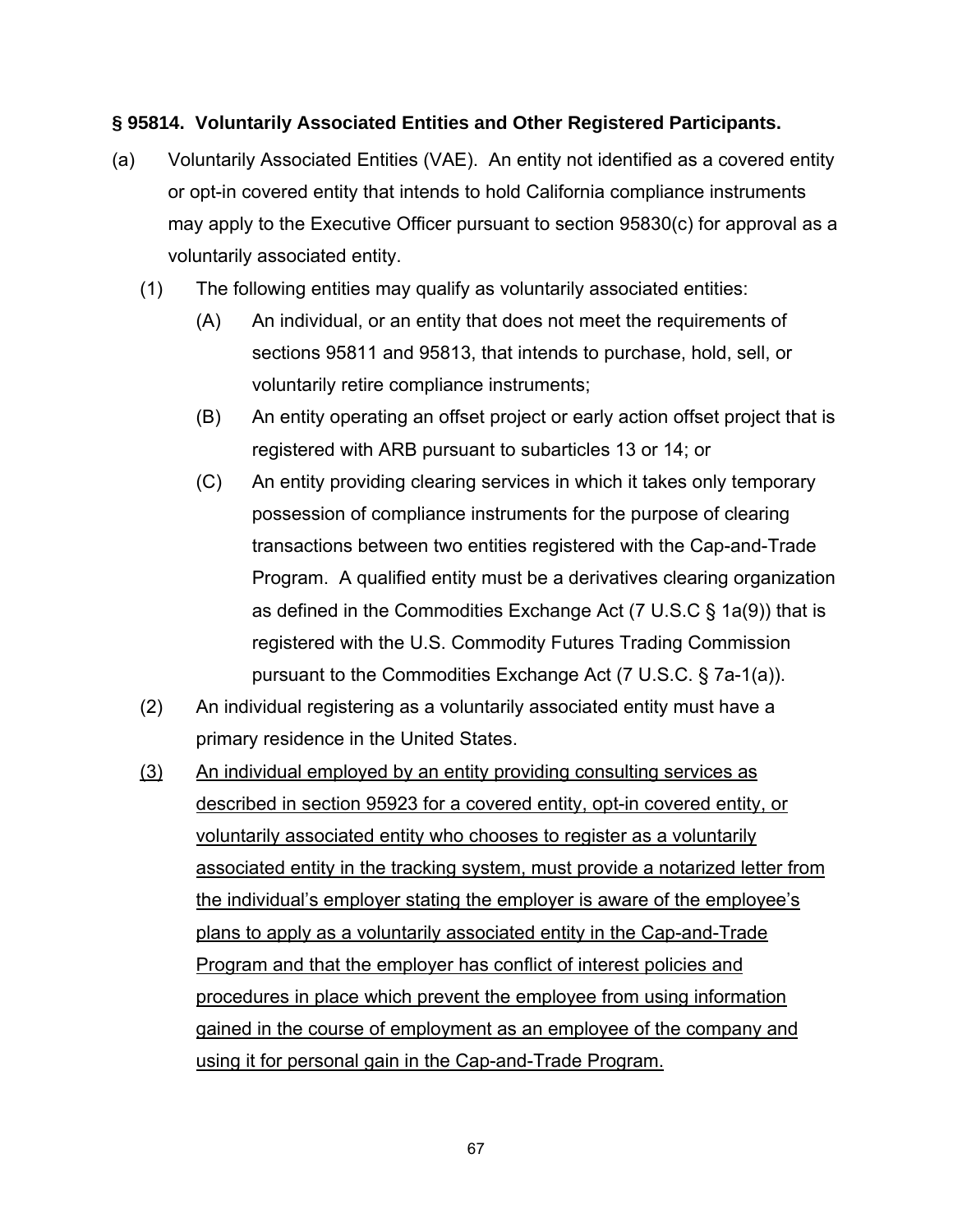### **§ 95814. Voluntarily Associated Entities and Other Registered Participants.**

- (a) Voluntarily Associated Entities (VAE). An entity not identified as a covered entity or opt-in covered entity that intends to hold California compliance instruments may apply to the Executive Officer pursuant to section 95830(c) for approval as a voluntarily associated entity.
	- (1) The following entities may qualify as voluntarily associated entities:
		- (A) An individual, or an entity that does not meet the requirements of sections 95811 and 95813, that intends to purchase, hold, sell, or voluntarily retire compliance instruments;
		- (B) An entity operating an offset project or early action offset project that is registered with ARB pursuant to subarticles 13 or 14; or
		- (C) An entity providing clearing services in which it takes only temporary possession of compliance instruments for the purpose of clearing transactions between two entities registered with the Cap-and-Trade Program. A qualified entity must be a derivatives clearing organization as defined in the Commodities Exchange Act (7 U.S.C § 1a(9)) that is registered with the U.S. Commodity Futures Trading Commission pursuant to the Commodities Exchange Act (7 U.S.C. § 7a-1(a)).
	- (2) An individual registering as a voluntarily associated entity must have a primary residence in the United States.
	- (3) An individual employed by an entity providing consulting services as described in section 95923 for a covered entity, opt-in covered entity, or voluntarily associated entity who chooses to register as a voluntarily associated entity in the tracking system, must provide a notarized letter from the individual's employer stating the employer is aware of the employee's plans to apply as a voluntarily associated entity in the Cap-and-Trade Program and that the employer has conflict of interest policies and procedures in place which prevent the employee from using information gained in the course of employment as an employee of the company and using it for personal gain in the Cap-and-Trade Program.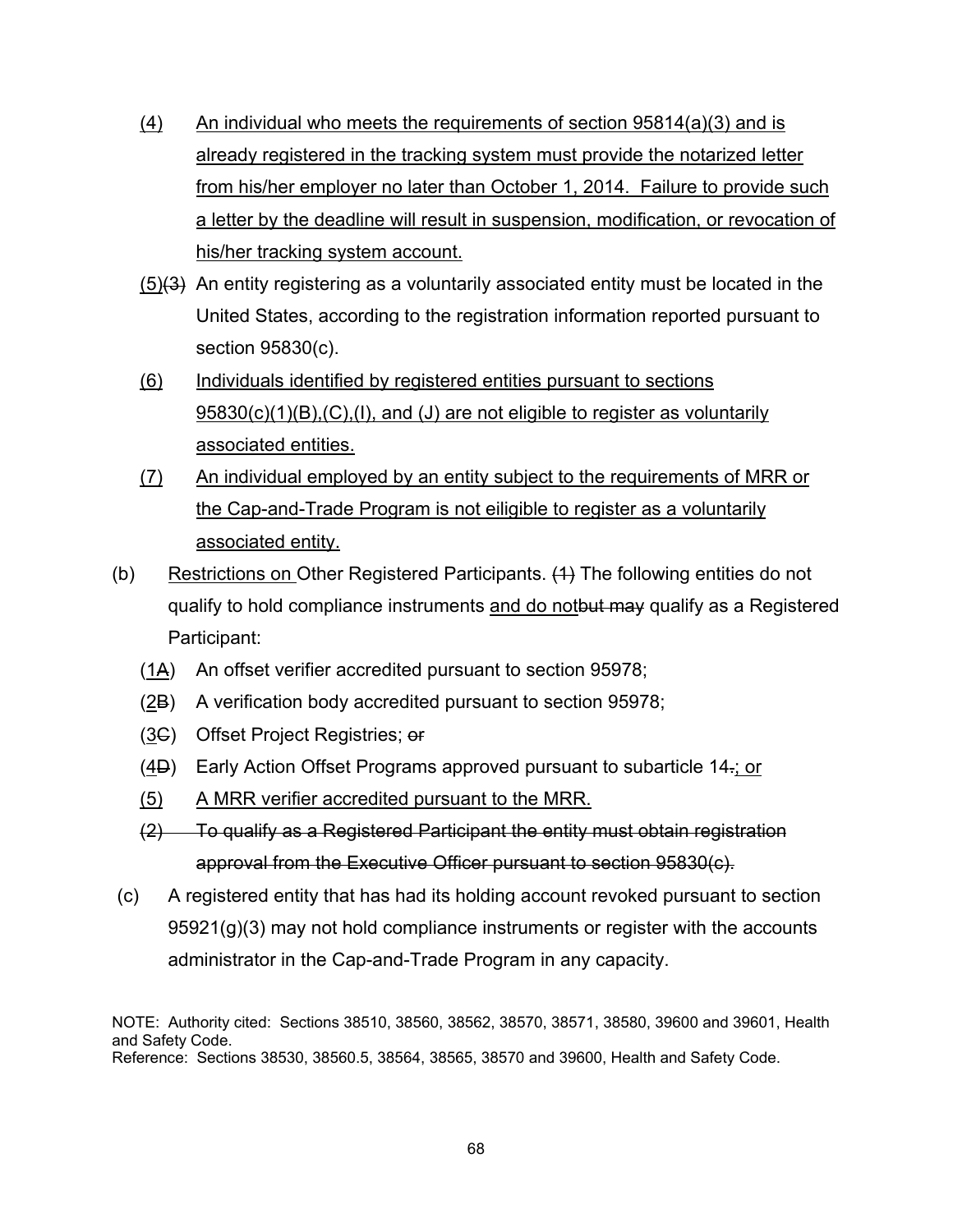- $(4)$  An individual who meets the requirements of section 95814 $(a)(3)$  and is already registered in the tracking system must provide the notarized letter from his/her employer no later than October 1, 2014. Failure to provide such a letter by the deadline will result in suspension, modification, or revocation of his/her tracking system account.
- $(5)(3)$  An entity registering as a voluntarily associated entity must be located in the United States, according to the registration information reported pursuant to section 95830(c).
- (6) Individuals identified by registered entities pursuant to sections 95830(c)(1)(B),(C),(I), and (J) are not eligible to register as voluntarily associated entities.
- (7) An individual employed by an entity subject to the requirements of MRR or the Cap-and-Trade Program is not eiligible to register as a voluntarily associated entity.
- (b) Restrictions on Other Registered Participants. (1) The following entities do not qualify to hold compliance instruments and do notbut may qualify as a Registered Participant:
	- (1A) An offset verifier accredited pursuant to section 95978;
	- (2B) A verification body accredited pursuant to section 95978;
	- (3C) Offset Project Registries; or
	- (4D) Early Action Offset Programs approved pursuant to subarticle 14.; or
	- (5) A MRR verifier accredited pursuant to the MRR.
	- (2) To qualify as a Registered Participant the entity must obtain registration approval from the Executive Officer pursuant to section 95830(c).
- (c) A registered entity that has had its holding account revoked pursuant to section 95921(g)(3) may not hold compliance instruments or register with the accounts administrator in the Cap-and-Trade Program in any capacity.

NOTE: Authority cited: Sections 38510, 38560, 38562, 38570, 38571, 38580, 39600 and 39601, Health and Safety Code. Reference: Sections 38530, 38560.5, 38564, 38565, 38570 and 39600, Health and Safety Code.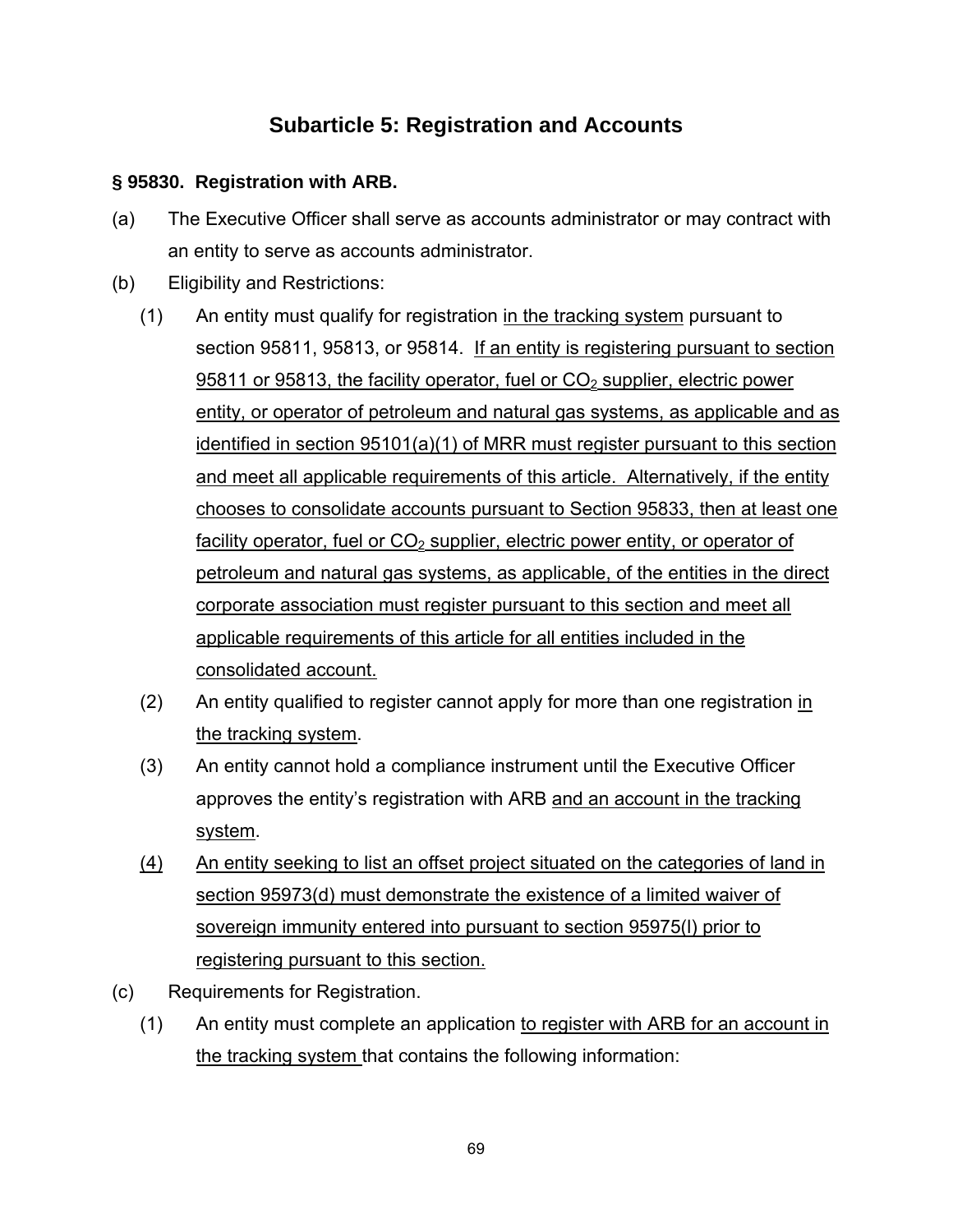## **Subarticle 5: Registration and Accounts**

## **§ 95830. Registration with ARB.**

- (a) The Executive Officer shall serve as accounts administrator or may contract with an entity to serve as accounts administrator.
- (b) Eligibility and Restrictions:
	- (1) An entity must qualify for registration in the tracking system pursuant to section 95811, 95813, or 95814. If an entity is registering pursuant to section 95811 or 95813, the facility operator, fuel or  $CO<sub>2</sub>$  supplier, electric power entity, or operator of petroleum and natural gas systems, as applicable and as identified in section 95101(a)(1) of MRR must register pursuant to this section and meet all applicable requirements of this article. Alternatively, if the entity chooses to consolidate accounts pursuant to Section 95833, then at least one facility operator, fuel or  $CO<sub>2</sub>$  supplier, electric power entity, or operator of petroleum and natural gas systems, as applicable, of the entities in the direct corporate association must register pursuant to this section and meet all applicable requirements of this article for all entities included in the consolidated account.
	- (2) An entity qualified to register cannot apply for more than one registration in the tracking system.
	- (3) An entity cannot hold a compliance instrument until the Executive Officer approves the entity's registration with ARB and an account in the tracking system.
	- (4) An entity seeking to list an offset project situated on the categories of land in section 95973(d) must demonstrate the existence of a limited waiver of sovereign immunity entered into pursuant to section 95975(l) prior to registering pursuant to this section.
- (c) Requirements for Registration.
	- (1) An entity must complete an application to register with ARB for an account in the tracking system that contains the following information: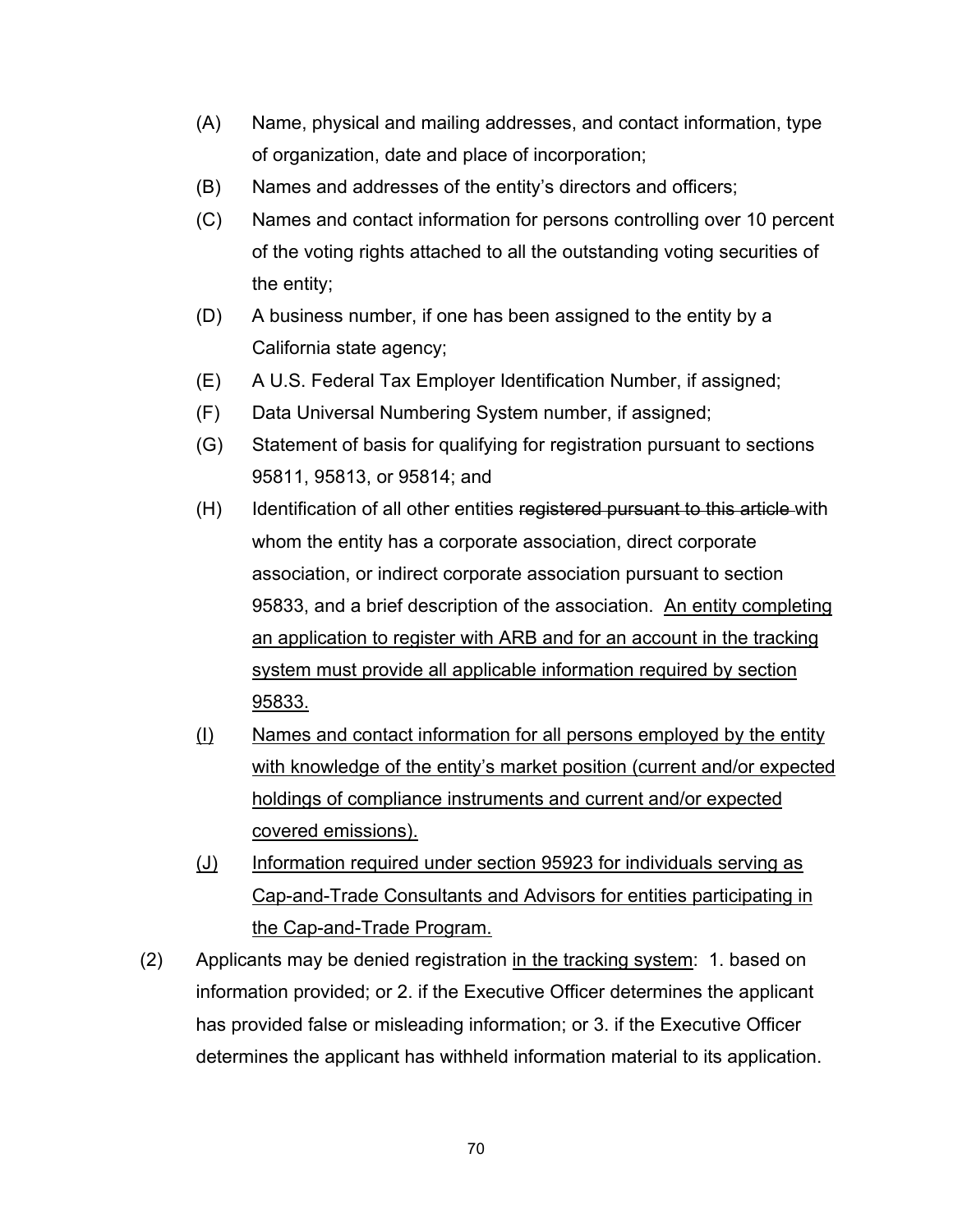- (A) Name, physical and mailing addresses, and contact information, type of organization, date and place of incorporation;
- (B) Names and addresses of the entity's directors and officers;
- (C) Names and contact information for persons controlling over 10 percent of the voting rights attached to all the outstanding voting securities of the entity;
- (D) A business number, if one has been assigned to the entity by a California state agency;
- (E) A U.S. Federal Tax Employer Identification Number, if assigned;
- (F) Data Universal Numbering System number, if assigned;
- (G) Statement of basis for qualifying for registration pursuant to sections 95811, 95813, or 95814; and
- (H) Identification of all other entities registered pursuant to this article with whom the entity has a corporate association, direct corporate association, or indirect corporate association pursuant to section 95833, and a brief description of the association. An entity completing an application to register with ARB and for an account in the tracking system must provide all applicable information required by section 95833.
- (I) Names and contact information for all persons employed by the entity with knowledge of the entity's market position (current and/or expected holdings of compliance instruments and current and/or expected covered emissions).
- (J) Information required under section 95923 for individuals serving as Cap-and-Trade Consultants and Advisors for entities participating in the Cap-and-Trade Program.
- (2) Applicants may be denied registration in the tracking system: 1. based on information provided; or 2. if the Executive Officer determines the applicant has provided false or misleading information; or 3. if the Executive Officer determines the applicant has withheld information material to its application.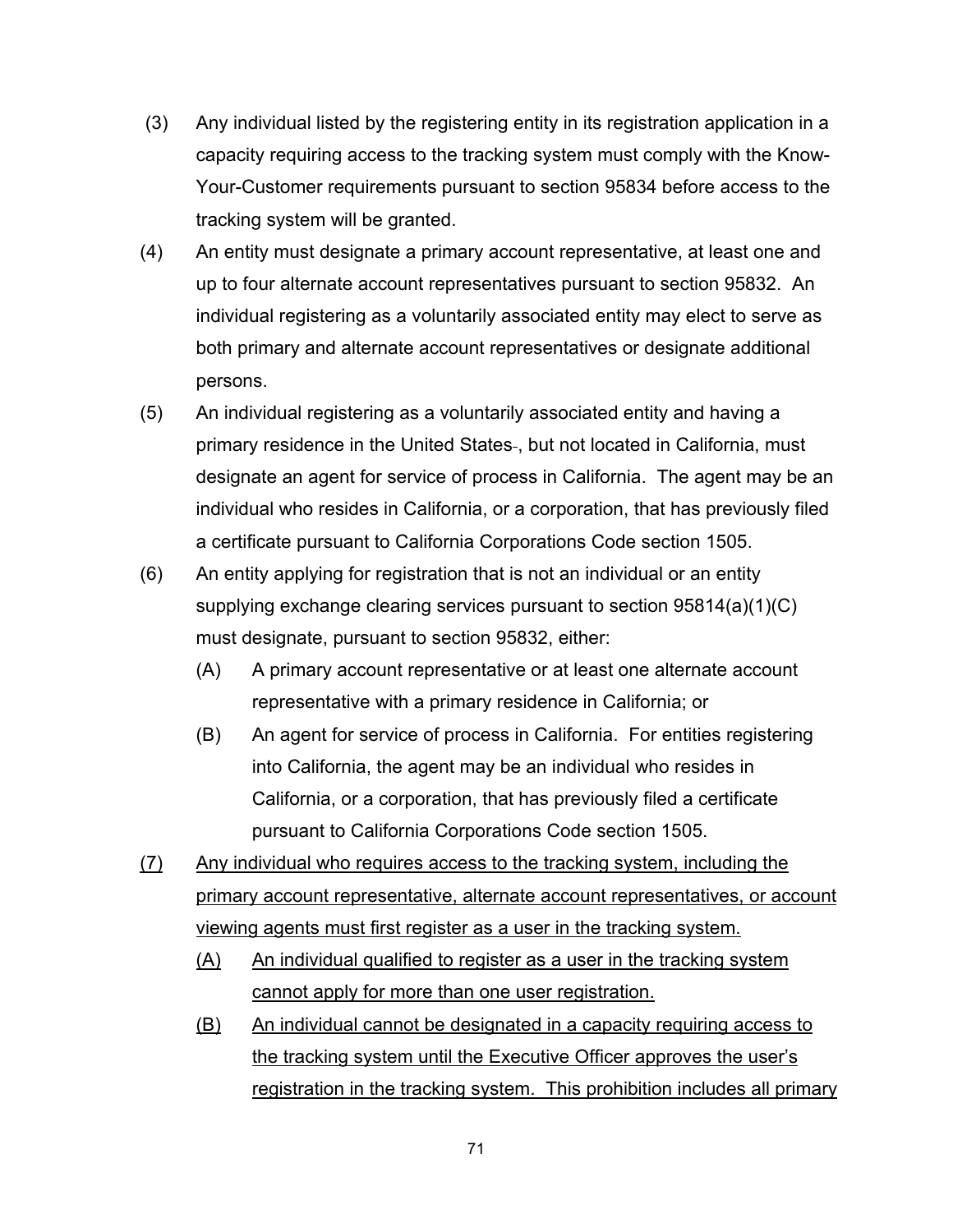- (3) Any individual listed by the registering entity in its registration application in a capacity requiring access to the tracking system must comply with the Know-Your-Customer requirements pursuant to section 95834 before access to the tracking system will be granted.
- (4) An entity must designate a primary account representative, at least one and up to four alternate account representatives pursuant to section 95832. An individual registering as a voluntarily associated entity may elect to serve as both primary and alternate account representatives or designate additional persons.
- (5) An individual registering as a voluntarily associated entity and having a primary residence in the United States , but not located in California, must designate an agent for service of process in California. The agent may be an individual who resides in California, or a corporation, that has previously filed a certificate pursuant to California Corporations Code section 1505.
- (6) An entity applying for registration that is not an individual or an entity supplying exchange clearing services pursuant to section 95814(a)(1)(C) must designate, pursuant to section 95832, either:
	- (A) A primary account representative or at least one alternate account representative with a primary residence in California; or
	- (B) An agent for service of process in California. For entities registering into California, the agent may be an individual who resides in California, or a corporation, that has previously filed a certificate pursuant to California Corporations Code section 1505.
- (7) Any individual who requires access to the tracking system, including the primary account representative, alternate account representatives, or account viewing agents must first register as a user in the tracking system.
	- (A) An individual qualified to register as a user in the tracking system cannot apply for more than one user registration.
	- (B) An individual cannot be designated in a capacity requiring access to the tracking system until the Executive Officer approves the user's registration in the tracking system. This prohibition includes all primary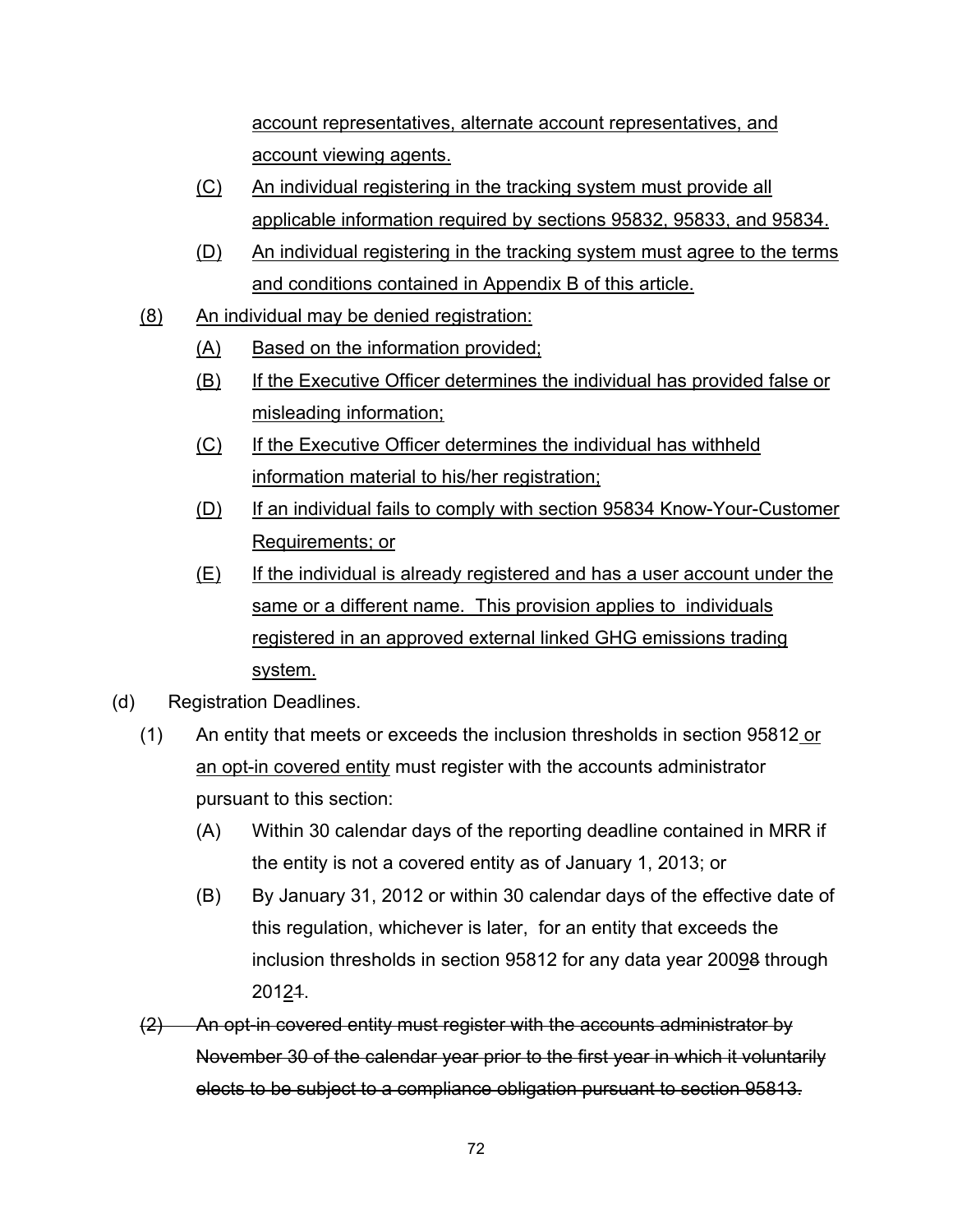account representatives, alternate account representatives, and account viewing agents.

- (C) An individual registering in the tracking system must provide all applicable information required by sections 95832, 95833, and 95834.
- (D) An individual registering in the tracking system must agree to the terms and conditions contained in Appendix B of this article.
- (8) An individual may be denied registration:
	- (A) Based on the information provided;
	- (B) If the Executive Officer determines the individual has provided false or misleading information;
	- (C) If the Executive Officer determines the individual has withheld information material to his/her registration;
	- (D) If an individual fails to comply with section 95834 Know-Your-Customer Requirements; or
	- (E) If the individual is already registered and has a user account under the same or a different name. This provision applies to individuals registered in an approved external linked GHG emissions trading system.
- (d) Registration Deadlines.
	- (1) An entity that meets or exceeds the inclusion thresholds in section 95812 or an opt-in covered entity must register with the accounts administrator pursuant to this section:
		- (A) Within 30 calendar days of the reporting deadline contained in MRR if the entity is not a covered entity as of January 1, 2013; or
		- (B) By January 31, 2012 or within 30 calendar days of the effective date of this regulation, whichever is later, for an entity that exceeds the inclusion thresholds in section 95812 for any data year 20098 through 20121.
	- (2) An opt-in covered entity must register with the accounts administrator by November 30 of the calendar year prior to the first year in which it voluntarily elects to be subject to a compliance obligation pursuant to section 95813.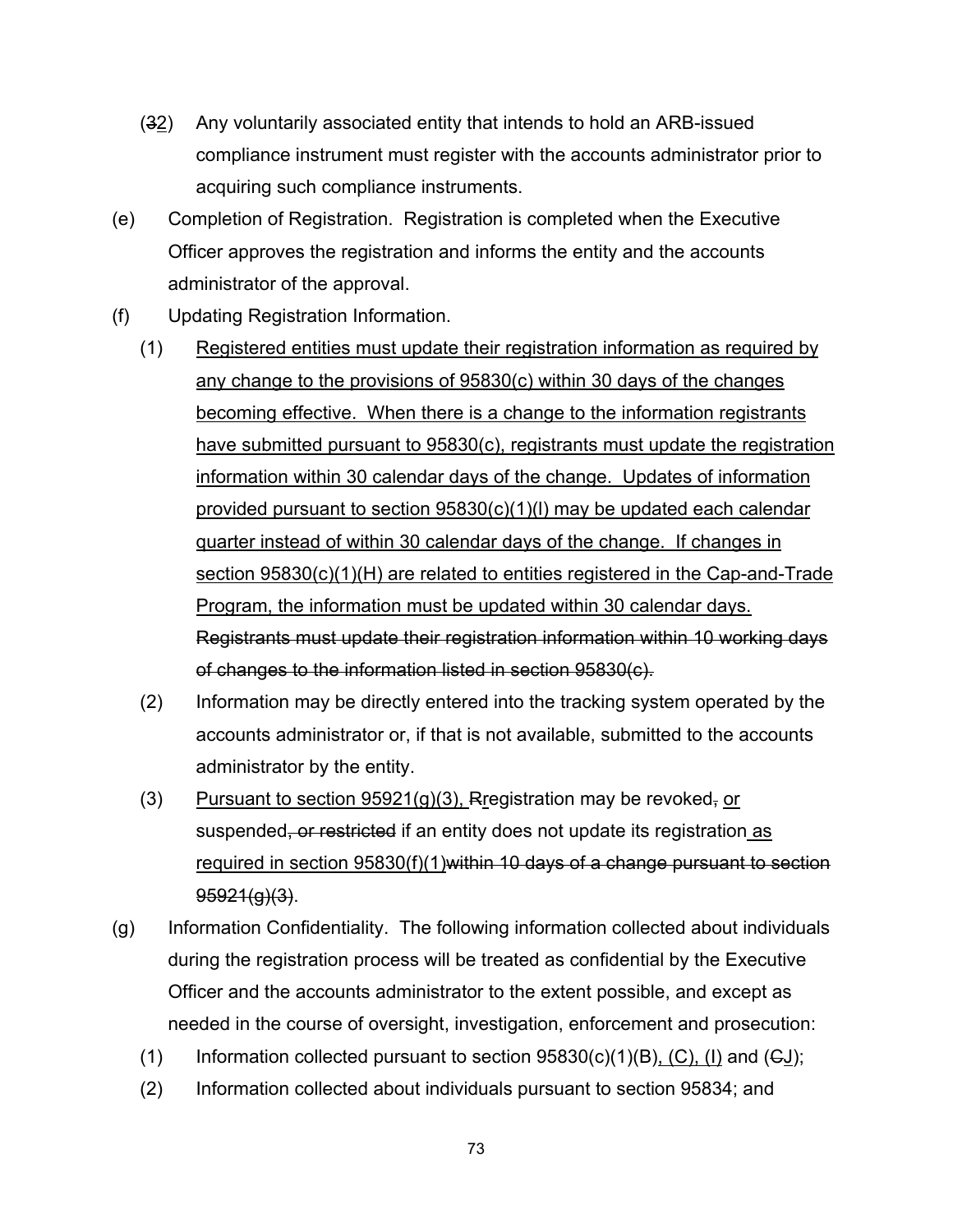- (32) Any voluntarily associated entity that intends to hold an ARB-issued compliance instrument must register with the accounts administrator prior to acquiring such compliance instruments.
- (e) Completion of Registration. Registration is completed when the Executive Officer approves the registration and informs the entity and the accounts administrator of the approval.
- (f) Updating Registration Information.
	- (1) Registered entities must update their registration information as required by any change to the provisions of 95830(c) within 30 days of the changes becoming effective. When there is a change to the information registrants have submitted pursuant to 95830(c), registrants must update the registration information within 30 calendar days of the change. Updates of information provided pursuant to section 95830(c)(1)(l) may be updated each calendar quarter instead of within 30 calendar days of the change. If changes in section 95830(c)(1)(H) are related to entities registered in the Cap-and-Trade Program, the information must be updated within 30 calendar days. Registrants must update their registration information within 10 working days of changes to the information listed in section 95830(c).
	- (2) Information may be directly entered into the tracking system operated by the accounts administrator or, if that is not available, submitted to the accounts administrator by the entity.
	- (3) Pursuant to section  $95921(g)(3)$ , Rregistration may be revoked, or suspended, or restricted if an entity does not update its registration as required in section 95830(f)(1)within 10 days of a change pursuant to section 95921(g)(3).
- (g) Information Confidentiality. The following information collected about individuals during the registration process will be treated as confidential by the Executive Officer and the accounts administrator to the extent possible, and except as needed in the course of oversight, investigation, enforcement and prosecution:
	- (1) Information collected pursuant to section  $95830(c)(1)(B)$ , (C), (I) and (GJ);
	- (2) Information collected about individuals pursuant to section 95834; and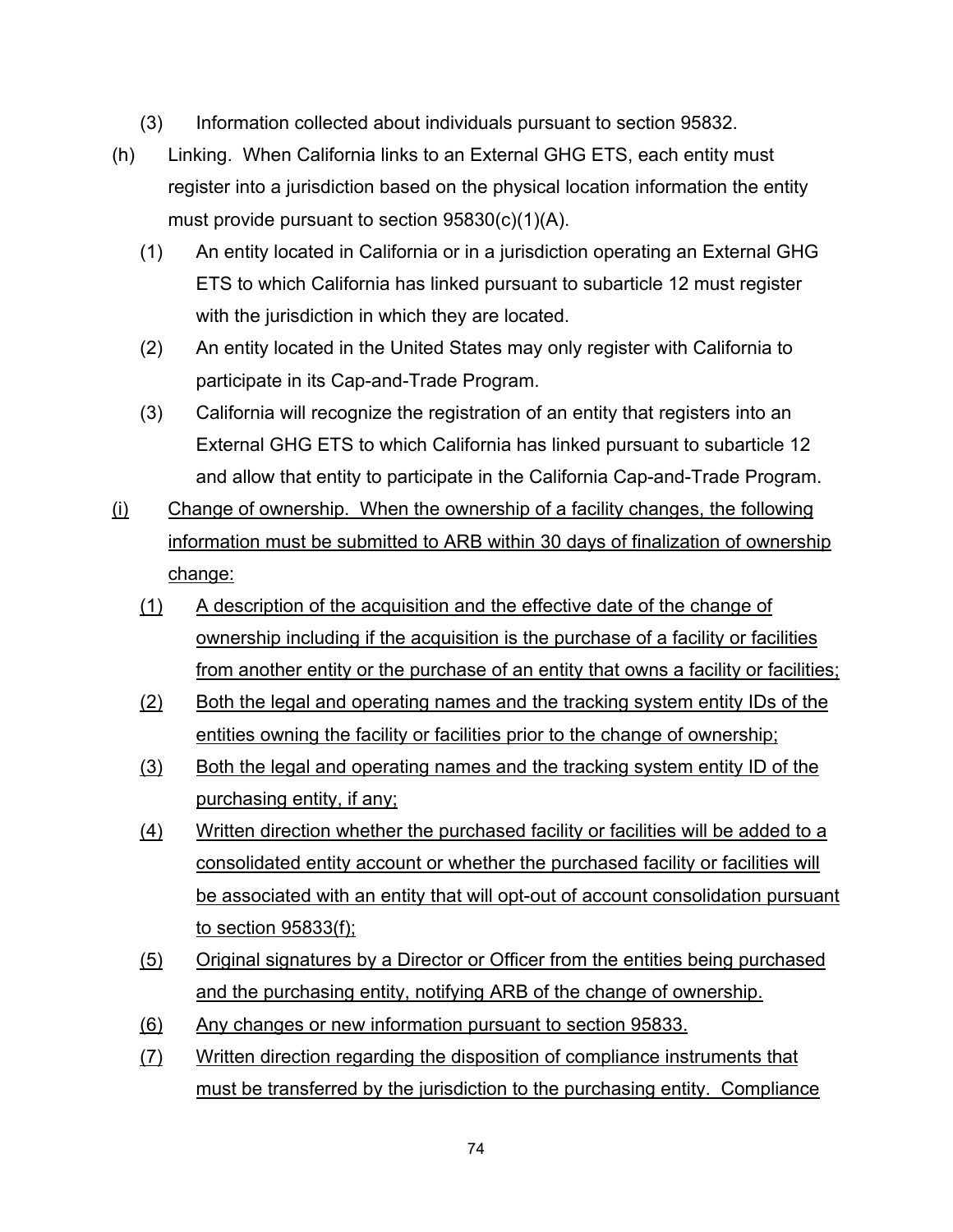- (3) Information collected about individuals pursuant to section 95832.
- (h) Linking. When California links to an External GHG ETS, each entity must register into a jurisdiction based on the physical location information the entity must provide pursuant to section 95830(c)(1)(A).
	- (1) An entity located in California or in a jurisdiction operating an External GHG ETS to which California has linked pursuant to subarticle 12 must register with the jurisdiction in which they are located.
	- (2) An entity located in the United States may only register with California to participate in its Cap-and-Trade Program.
	- (3) California will recognize the registration of an entity that registers into an External GHG ETS to which California has linked pursuant to subarticle 12 and allow that entity to participate in the California Cap-and-Trade Program.
- (i) Change of ownership. When the ownership of a facility changes, the following information must be submitted to ARB within 30 days of finalization of ownership change:
	- (1) A description of the acquisition and the effective date of the change of ownership including if the acquisition is the purchase of a facility or facilities from another entity or the purchase of an entity that owns a facility or facilities;
	- (2) Both the legal and operating names and the tracking system entity IDs of the entities owning the facility or facilities prior to the change of ownership;
	- (3) Both the legal and operating names and the tracking system entity ID of the purchasing entity, if any;
	- (4) Written direction whether the purchased facility or facilities will be added to a consolidated entity account or whether the purchased facility or facilities will be associated with an entity that will opt-out of account consolidation pursuant to section 95833(f);
	- (5) Original signatures by a Director or Officer from the entities being purchased and the purchasing entity, notifying ARB of the change of ownership.
	- (6) Any changes or new information pursuant to section 95833.
	- (7) Written direction regarding the disposition of compliance instruments that must be transferred by the jurisdiction to the purchasing entity. Compliance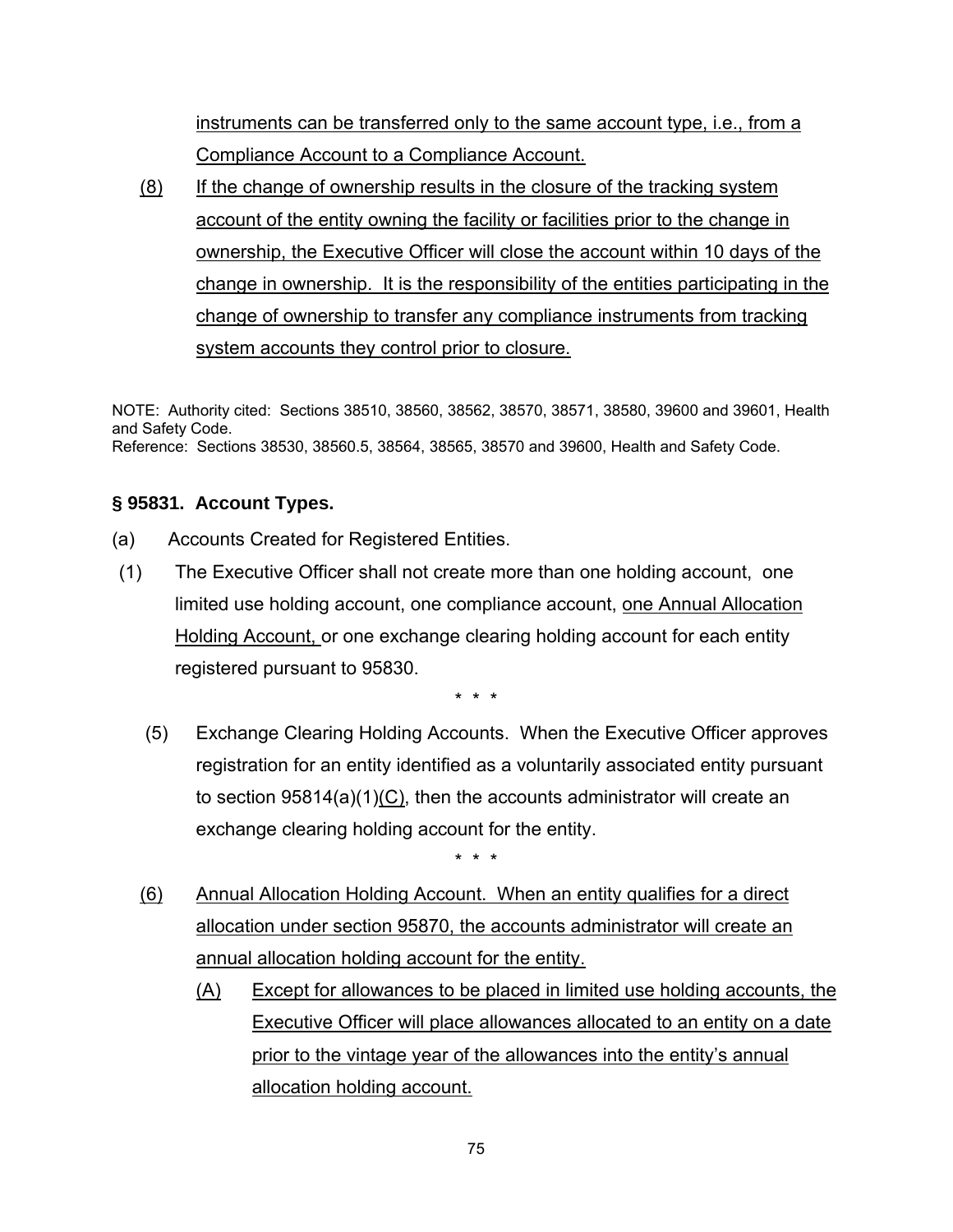instruments can be transferred only to the same account type, i.e., from a Compliance Account to a Compliance Account.

(8) If the change of ownership results in the closure of the tracking system account of the entity owning the facility or facilities prior to the change in ownership, the Executive Officer will close the account within 10 days of the change in ownership. It is the responsibility of the entities participating in the change of ownership to transfer any compliance instruments from tracking system accounts they control prior to closure.

NOTE: Authority cited: Sections 38510, 38560, 38562, 38570, 38571, 38580, 39600 and 39601, Health and Safety Code. Reference: Sections 38530, 38560.5, 38564, 38565, 38570 and 39600, Health and Safety Code.

### **§ 95831. Account Types.**

- (a) Accounts Created for Registered Entities.
- (1) The Executive Officer shall not create more than one holding account, one limited use holding account, one compliance account, one Annual Allocation Holding Account, or one exchange clearing holding account for each entity registered pursuant to 95830.

\* \* \*

 (5) Exchange Clearing Holding Accounts. When the Executive Officer approves registration for an entity identified as a voluntarily associated entity pursuant to section 95814(a)(1)(C), then the accounts administrator will create an exchange clearing holding account for the entity.

- (6) Annual Allocation Holding Account. When an entity qualifies for a direct allocation under section 95870, the accounts administrator will create an annual allocation holding account for the entity.
	- (A) Except for allowances to be placed in limited use holding accounts, the Executive Officer will place allowances allocated to an entity on a date prior to the vintage year of the allowances into the entity's annual allocation holding account.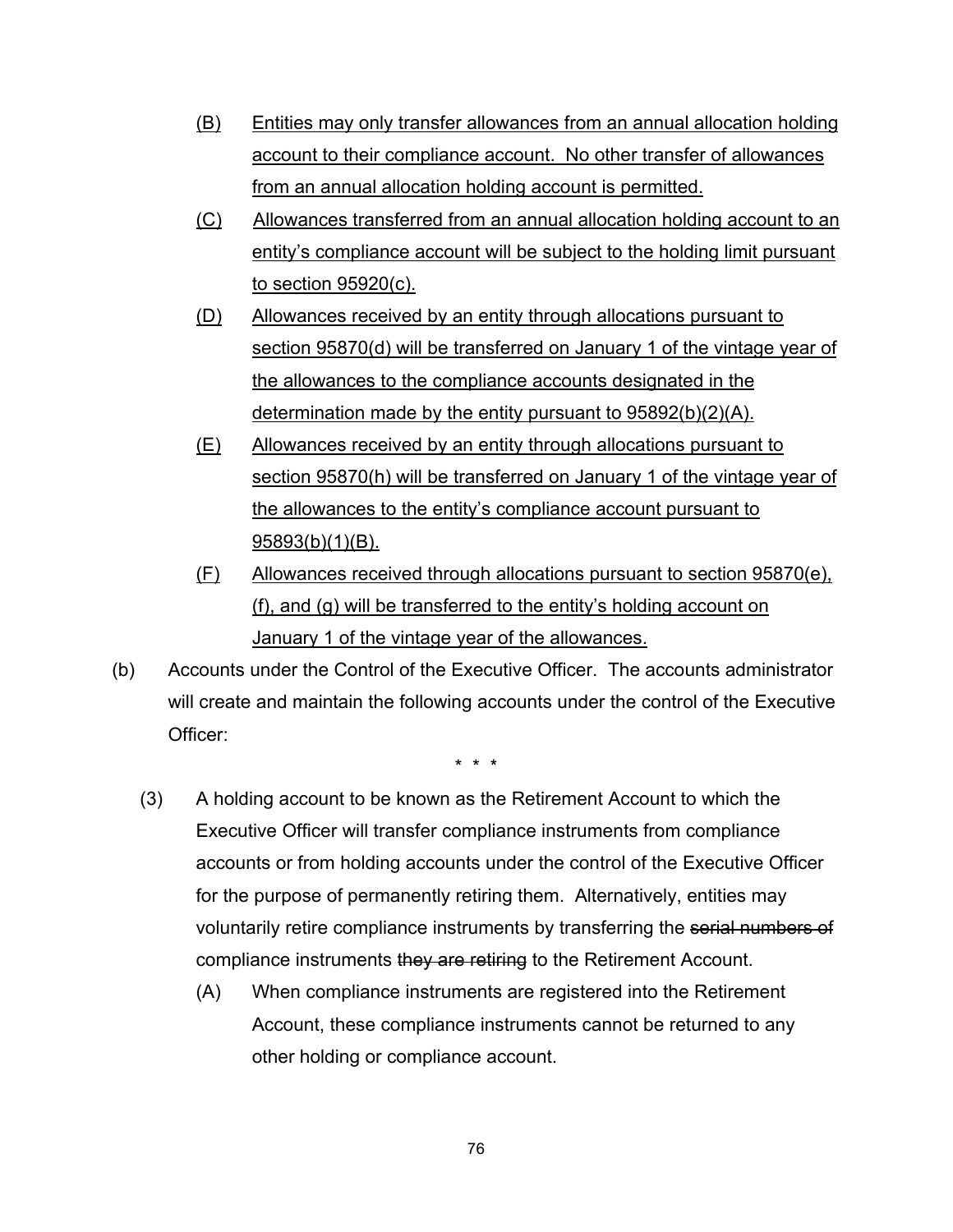- (B) Entities may only transfer allowances from an annual allocation holding account to their compliance account. No other transfer of allowances from an annual allocation holding account is permitted.
- (C) Allowances transferred from an annual allocation holding account to an entity's compliance account will be subject to the holding limit pursuant to section 95920(c).
- (D) Allowances received by an entity through allocations pursuant to section 95870(d) will be transferred on January 1 of the vintage year of the allowances to the compliance accounts designated in the determination made by the entity pursuant to 95892(b)(2)(A).
- (E) Allowances received by an entity through allocations pursuant to section 95870(h) will be transferred on January 1 of the vintage year of the allowances to the entity's compliance account pursuant to 95893(b)(1)(B).
- (F) Allowances received through allocations pursuant to section 95870(e), (f), and (g) will be transferred to the entity's holding account on January 1 of the vintage year of the allowances.
- (b) Accounts under the Control of the Executive Officer. The accounts administrator will create and maintain the following accounts under the control of the Executive Officer:

- (3) A holding account to be known as the Retirement Account to which the Executive Officer will transfer compliance instruments from compliance accounts or from holding accounts under the control of the Executive Officer for the purpose of permanently retiring them. Alternatively, entities may voluntarily retire compliance instruments by transferring the serial numbers of compliance instruments they are retiring to the Retirement Account.
	- (A) When compliance instruments are registered into the Retirement Account, these compliance instruments cannot be returned to any other holding or compliance account.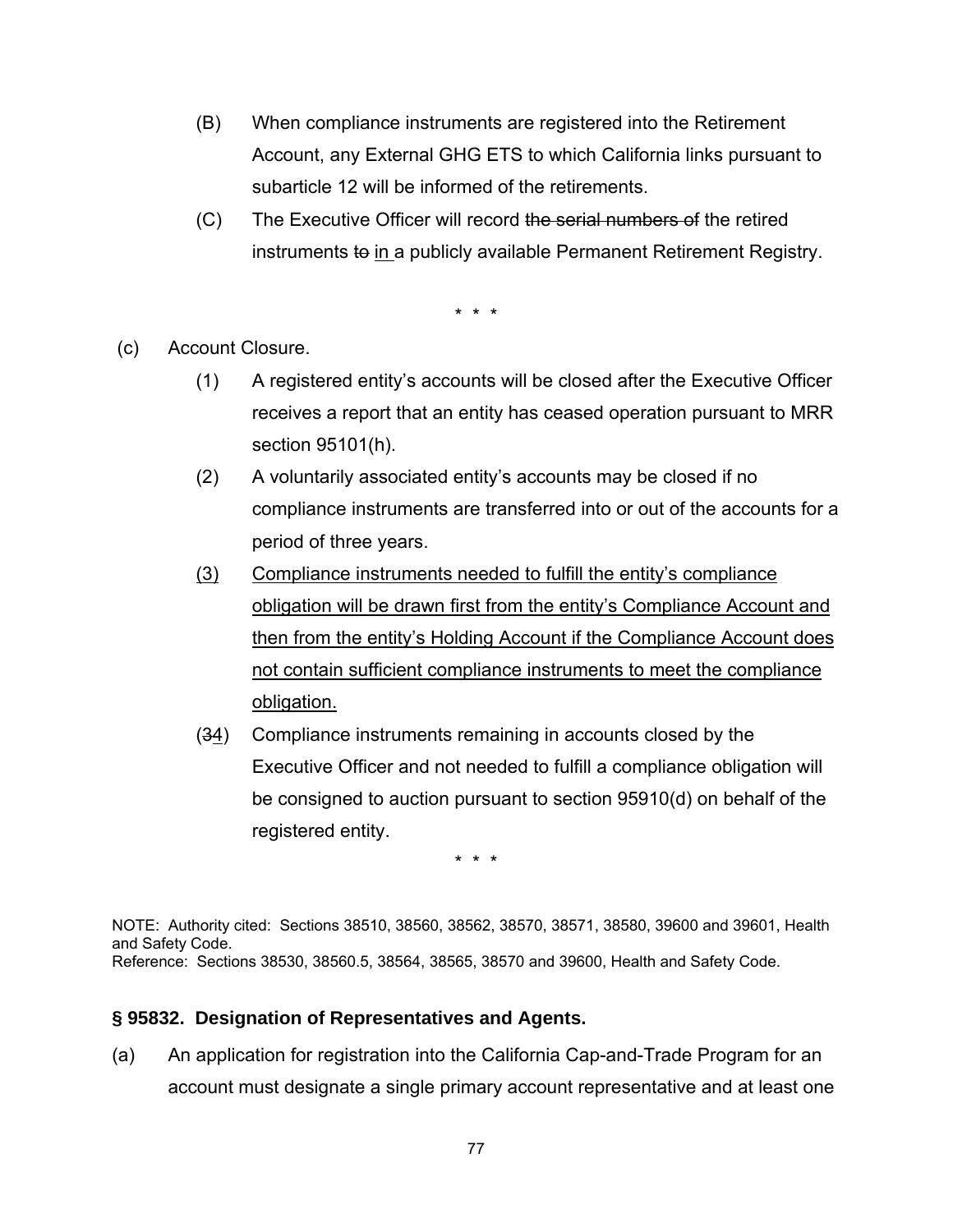- (B) When compliance instruments are registered into the Retirement Account, any External GHG ETS to which California links pursuant to subarticle 12 will be informed of the retirements.
- (C) The Executive Officer will record the serial numbers of the retired instruments to in a publicly available Permanent Retirement Registry.

\* \* \*

(c) Account Closure.

- (1) A registered entity's accounts will be closed after the Executive Officer receives a report that an entity has ceased operation pursuant to MRR section 95101(h).
- (2) A voluntarily associated entity's accounts may be closed if no compliance instruments are transferred into or out of the accounts for a period of three years.
- (3) Compliance instruments needed to fulfill the entity's compliance obligation will be drawn first from the entity's Compliance Account and then from the entity's Holding Account if the Compliance Account does not contain sufficient compliance instruments to meet the compliance obligation.
- (34) Compliance instruments remaining in accounts closed by the Executive Officer and not needed to fulfill a compliance obligation will be consigned to auction pursuant to section 95910(d) on behalf of the registered entity.

\* \* \*

NOTE: Authority cited: Sections 38510, 38560, 38562, 38570, 38571, 38580, 39600 and 39601, Health and Safety Code. Reference: Sections 38530, 38560.5, 38564, 38565, 38570 and 39600, Health and Safety Code.

#### **§ 95832. Designation of Representatives and Agents.**

(a) An application for registration into the California Cap-and-Trade Program for an account must designate a single primary account representative and at least one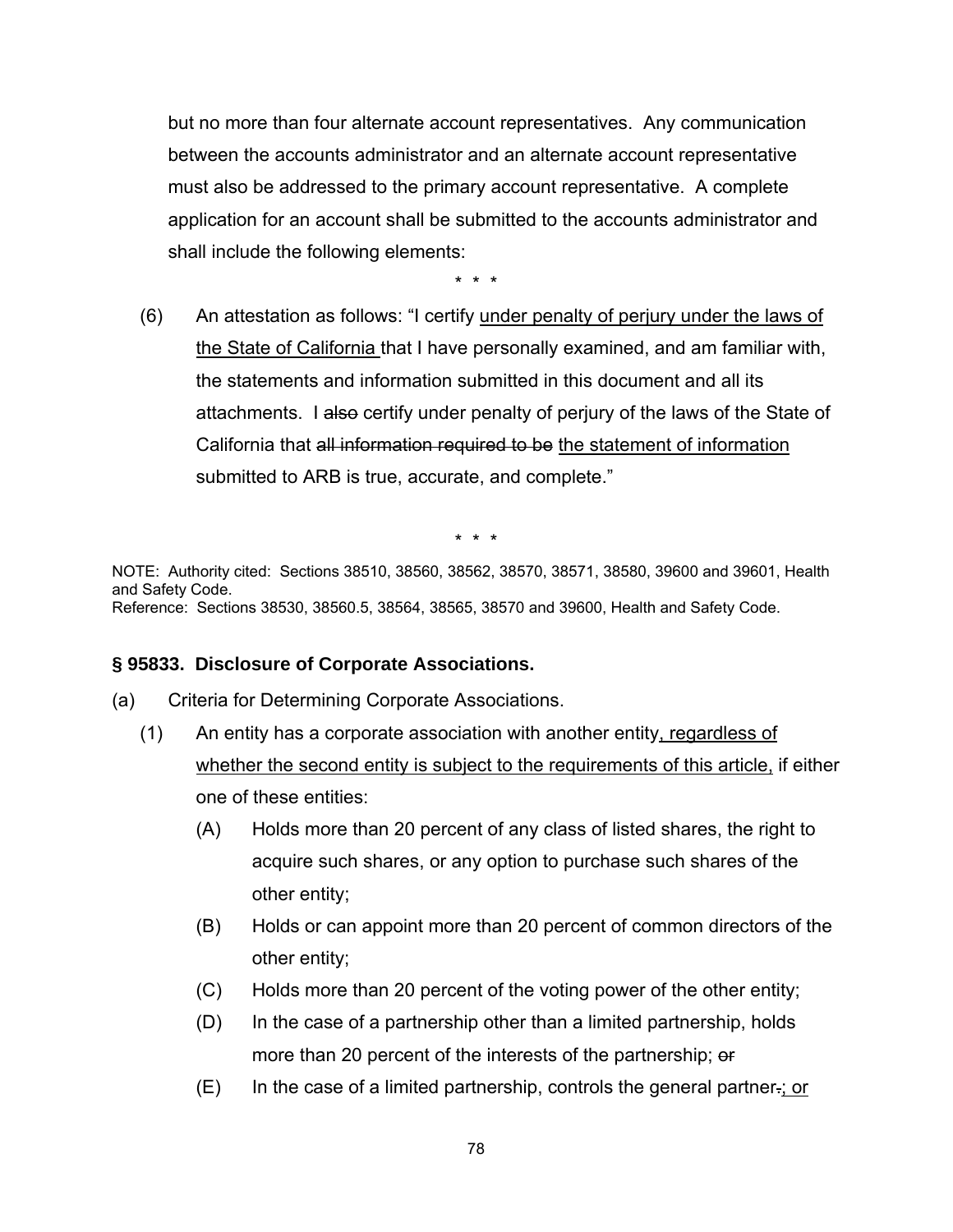but no more than four alternate account representatives. Any communication between the accounts administrator and an alternate account representative must also be addressed to the primary account representative. A complete application for an account shall be submitted to the accounts administrator and shall include the following elements:

\* \* \*

(6) An attestation as follows: "I certify under penalty of perjury under the laws of the State of California that I have personally examined, and am familiar with, the statements and information submitted in this document and all its attachments. I also certify under penalty of perjury of the laws of the State of California that all information required to be the statement of information submitted to ARB is true, accurate, and complete."

\* \* \*

NOTE: Authority cited: Sections 38510, 38560, 38562, 38570, 38571, 38580, 39600 and 39601, Health and Safety Code. Reference: Sections 38530, 38560.5, 38564, 38565, 38570 and 39600, Health and Safety Code.

#### **§ 95833. Disclosure of Corporate Associations.**

- (a) Criteria for Determining Corporate Associations.
	- (1) An entity has a corporate association with another entity, regardless of whether the second entity is subject to the requirements of this article, if either one of these entities:
		- (A) Holds more than 20 percent of any class of listed shares, the right to acquire such shares, or any option to purchase such shares of the other entity;
		- (B) Holds or can appoint more than 20 percent of common directors of the other entity;
		- (C) Holds more than 20 percent of the voting power of the other entity;
		- (D) In the case of a partnership other than a limited partnership, holds more than 20 percent of the interests of the partnership; or
		- (E) In the case of a limited partnership, controls the general partner.; or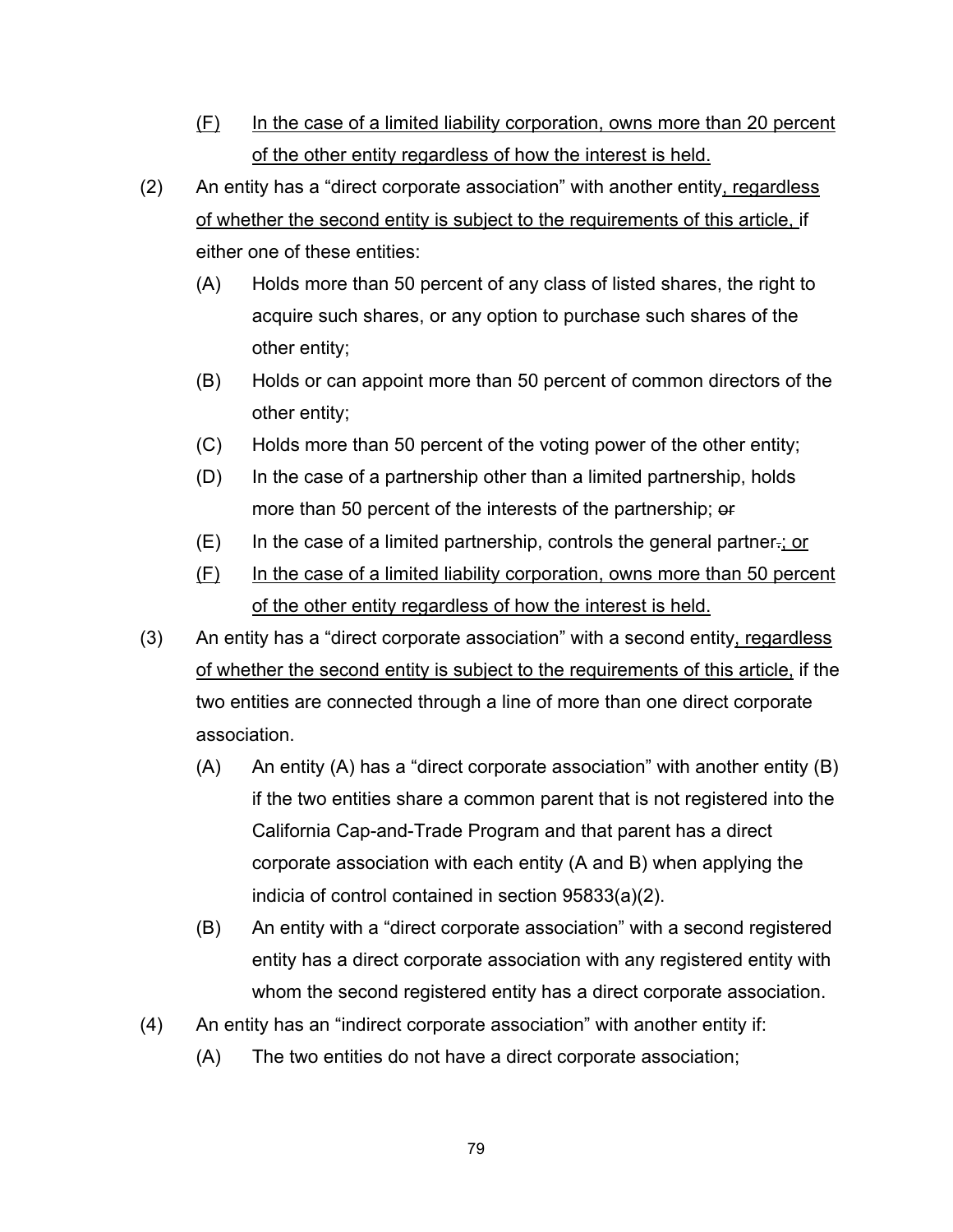- (F) In the case of a limited liability corporation, owns more than 20 percent of the other entity regardless of how the interest is held.
- (2) An entity has a "direct corporate association" with another entity, regardless of whether the second entity is subject to the requirements of this article, if either one of these entities:
	- (A) Holds more than 50 percent of any class of listed shares, the right to acquire such shares, or any option to purchase such shares of the other entity;
	- (B) Holds or can appoint more than 50 percent of common directors of the other entity;
	- (C) Holds more than 50 percent of the voting power of the other entity;
	- (D) In the case of a partnership other than a limited partnership, holds more than 50 percent of the interests of the partnership; or
	- $(E)$  In the case of a limited partnership, controls the general partner-; or
	- (F) In the case of a limited liability corporation, owns more than 50 percent of the other entity regardless of how the interest is held.
- (3) An entity has a "direct corporate association" with a second entity, regardless of whether the second entity is subject to the requirements of this article, if the two entities are connected through a line of more than one direct corporate association.
	- (A) An entity (A) has a "direct corporate association" with another entity (B) if the two entities share a common parent that is not registered into the California Cap-and-Trade Program and that parent has a direct corporate association with each entity (A and B) when applying the indicia of control contained in section 95833(a)(2).
	- (B) An entity with a "direct corporate association" with a second registered entity has a direct corporate association with any registered entity with whom the second registered entity has a direct corporate association.
- (4) An entity has an "indirect corporate association" with another entity if:
	- (A) The two entities do not have a direct corporate association;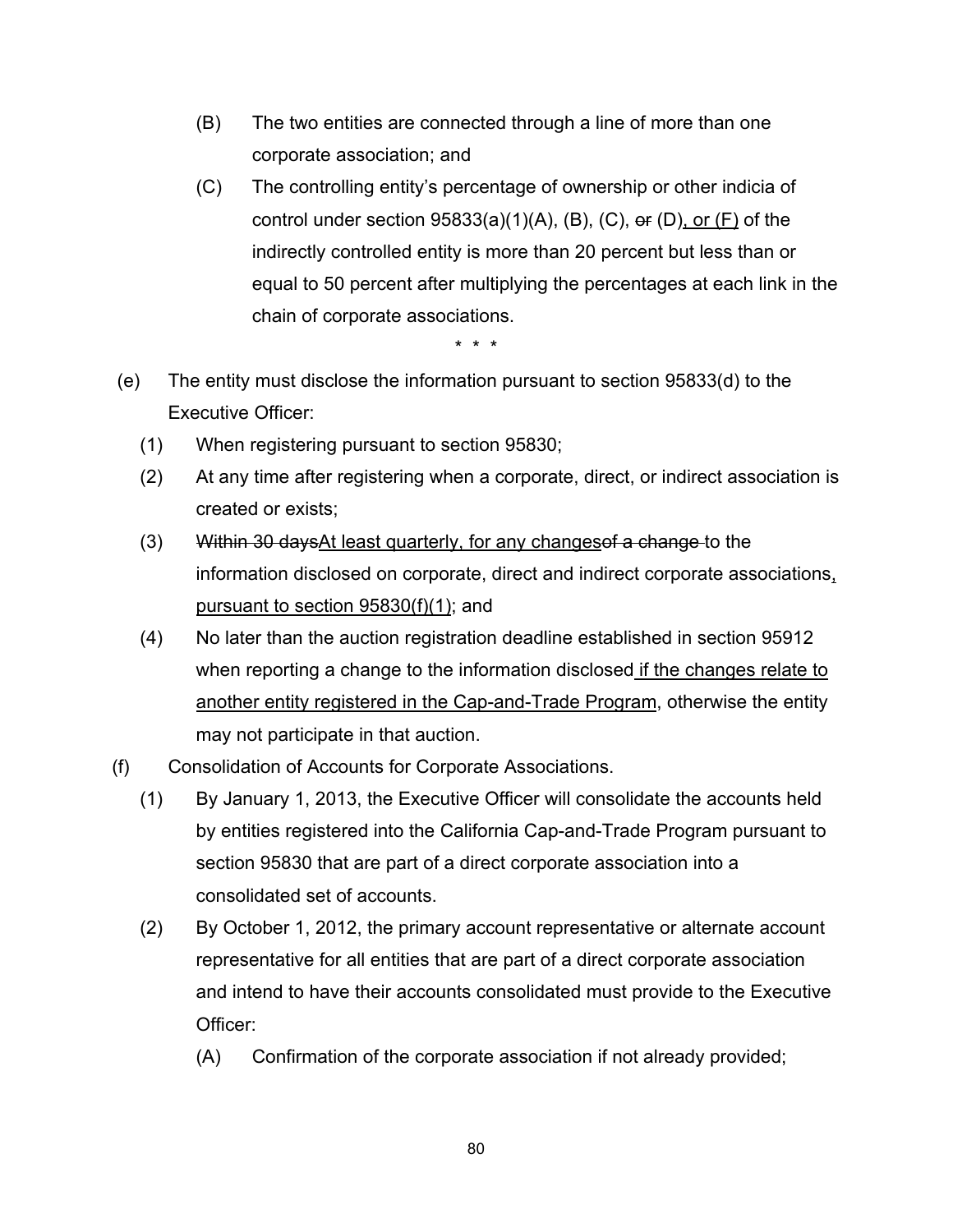- (B) The two entities are connected through a line of more than one corporate association; and
- (C) The controlling entity's percentage of ownership or other indicia of control under section  $95833(a)(1)(A)$ , (B), (C), or (D), or (F) of the indirectly controlled entity is more than 20 percent but less than or equal to 50 percent after multiplying the percentages at each link in the chain of corporate associations.

- (e) The entity must disclose the information pursuant to section 95833(d) to the Executive Officer:
	- (1) When registering pursuant to section 95830;
	- (2) At any time after registering when a corporate, direct, or indirect association is created or exists;
	- (3) Within 30 days At least quarterly, for any changes of a change to the information disclosed on corporate, direct and indirect corporate associations, pursuant to section 95830(f)(1); and
	- (4) No later than the auction registration deadline established in section 95912 when reporting a change to the information disclosed if the changes relate to another entity registered in the Cap-and-Trade Program, otherwise the entity may not participate in that auction.
- (f) Consolidation of Accounts for Corporate Associations.
	- (1) By January 1, 2013, the Executive Officer will consolidate the accounts held by entities registered into the California Cap-and-Trade Program pursuant to section 95830 that are part of a direct corporate association into a consolidated set of accounts.
	- (2) By October 1, 2012, the primary account representative or alternate account representative for all entities that are part of a direct corporate association and intend to have their accounts consolidated must provide to the Executive Officer:
		- (A) Confirmation of the corporate association if not already provided;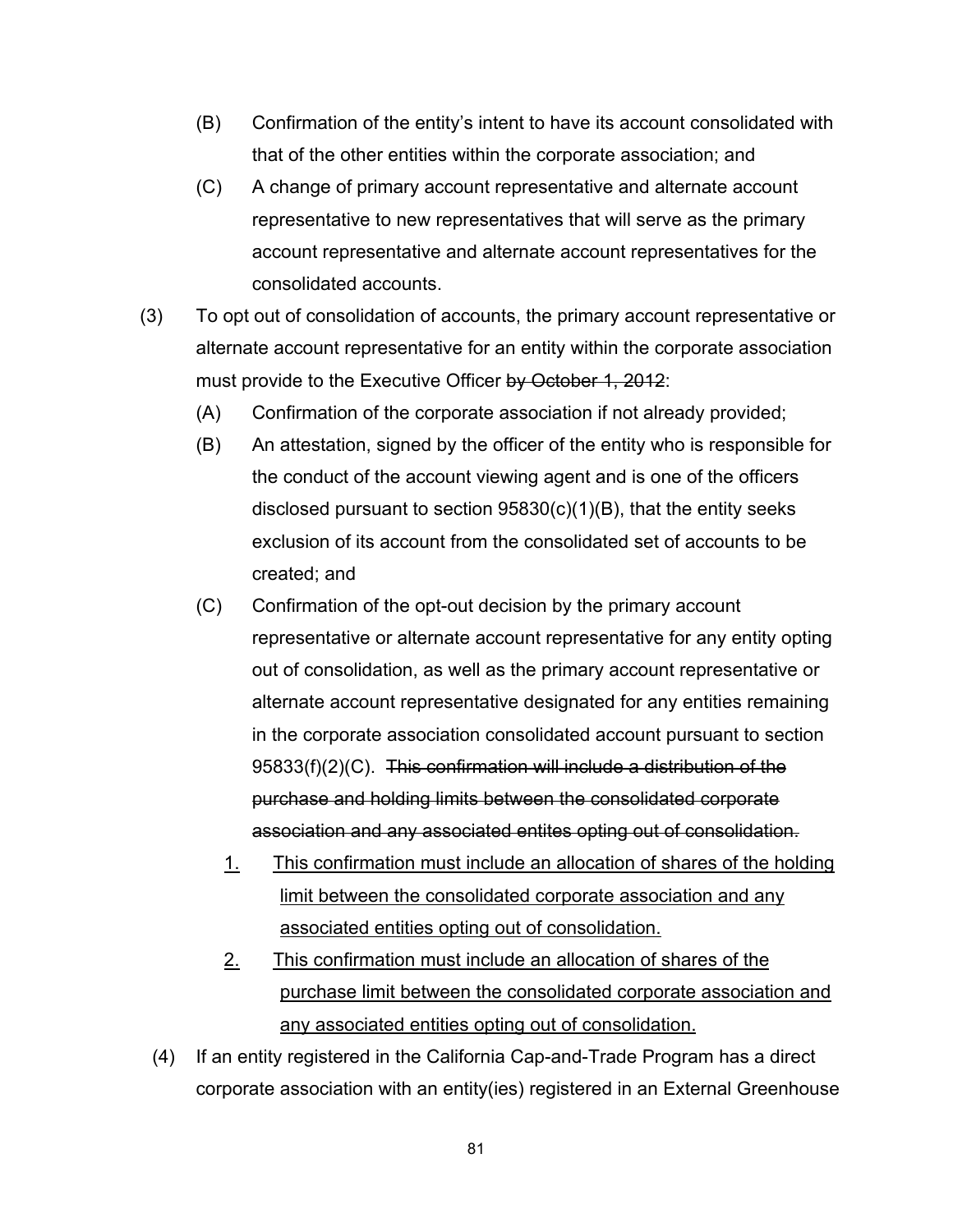- (B) Confirmation of the entity's intent to have its account consolidated with that of the other entities within the corporate association; and
- (C) A change of primary account representative and alternate account representative to new representatives that will serve as the primary account representative and alternate account representatives for the consolidated accounts.
- (3) To opt out of consolidation of accounts, the primary account representative or alternate account representative for an entity within the corporate association must provide to the Executive Officer by October 1, 2012:
	- (A) Confirmation of the corporate association if not already provided;
	- (B) An attestation, signed by the officer of the entity who is responsible for the conduct of the account viewing agent and is one of the officers disclosed pursuant to section 95830(c)(1)(B), that the entity seeks exclusion of its account from the consolidated set of accounts to be created; and
	- (C) Confirmation of the opt-out decision by the primary account representative or alternate account representative for any entity opting out of consolidation, as well as the primary account representative or alternate account representative designated for any entities remaining in the corporate association consolidated account pursuant to section 95833(f)(2)(C). This confirmation will include a distribution of the purchase and holding limits between the consolidated corporate association and any associated entites opting out of consolidation.
		- 1. This confirmation must include an allocation of shares of the holding limit between the consolidated corporate association and any associated entities opting out of consolidation.
		- 2. This confirmation must include an allocation of shares of the purchase limit between the consolidated corporate association and any associated entities opting out of consolidation.
	- (4) If an entity registered in the California Cap-and-Trade Program has a direct corporate association with an entity(ies) registered in an External Greenhouse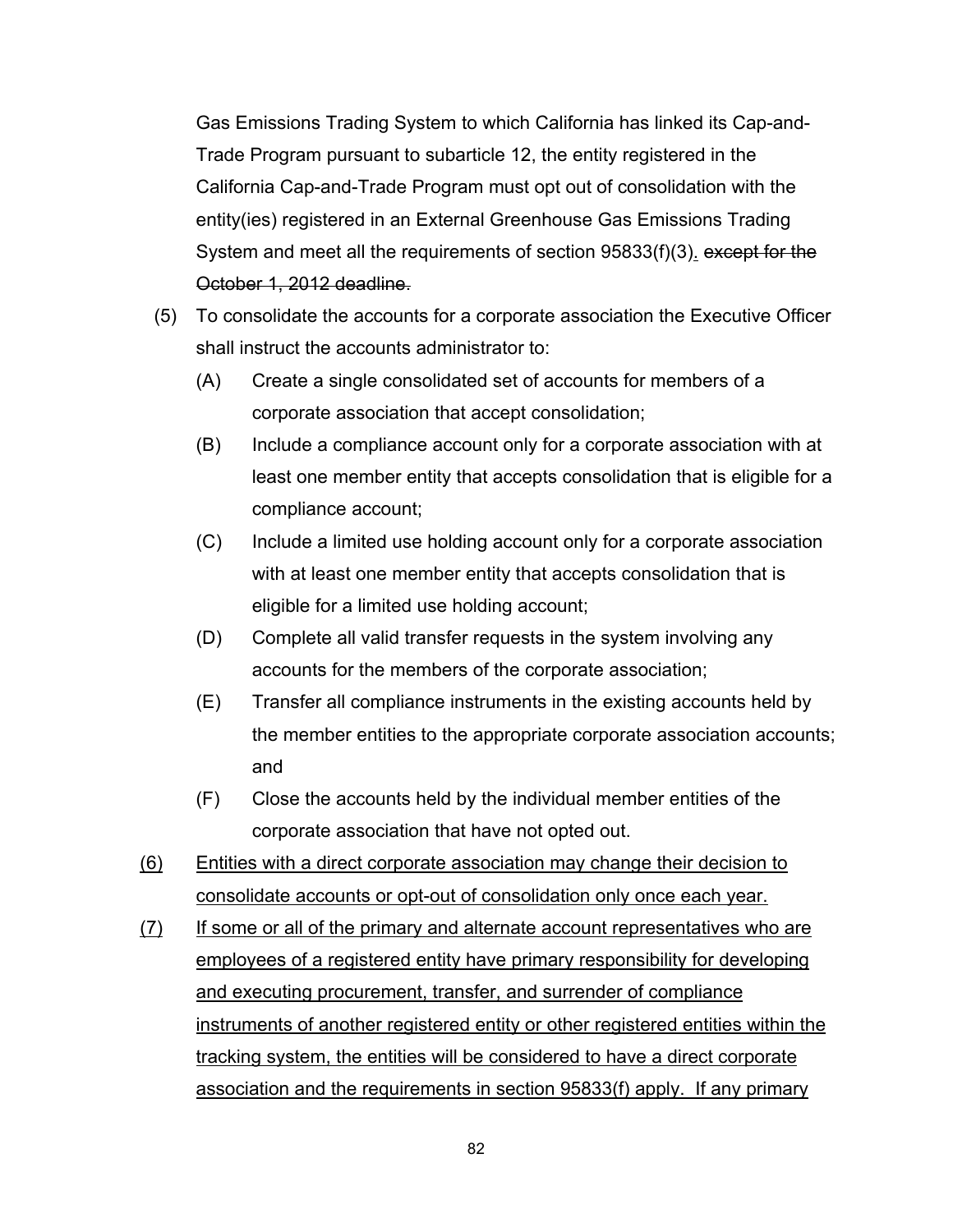Gas Emissions Trading System to which California has linked its Cap-and-Trade Program pursuant to subarticle 12, the entity registered in the California Cap-and-Trade Program must opt out of consolidation with the entity(ies) registered in an External Greenhouse Gas Emissions Trading System and meet all the requirements of section 95833(f)(3), except for the October 1, 2012 deadline.

- (5) To consolidate the accounts for a corporate association the Executive Officer shall instruct the accounts administrator to:
	- (A) Create a single consolidated set of accounts for members of a corporate association that accept consolidation;
	- (B) Include a compliance account only for a corporate association with at least one member entity that accepts consolidation that is eligible for a compliance account;
	- (C) Include a limited use holding account only for a corporate association with at least one member entity that accepts consolidation that is eligible for a limited use holding account;
	- (D) Complete all valid transfer requests in the system involving any accounts for the members of the corporate association;
	- (E) Transfer all compliance instruments in the existing accounts held by the member entities to the appropriate corporate association accounts; and
	- (F) Close the accounts held by the individual member entities of the corporate association that have not opted out.
- (6) Entities with a direct corporate association may change their decision to consolidate accounts or opt-out of consolidation only once each year.
- (7) If some or all of the primary and alternate account representatives who are employees of a registered entity have primary responsibility for developing and executing procurement, transfer, and surrender of compliance instruments of another registered entity or other registered entities within the tracking system, the entities will be considered to have a direct corporate association and the requirements in section 95833(f) apply. If any primary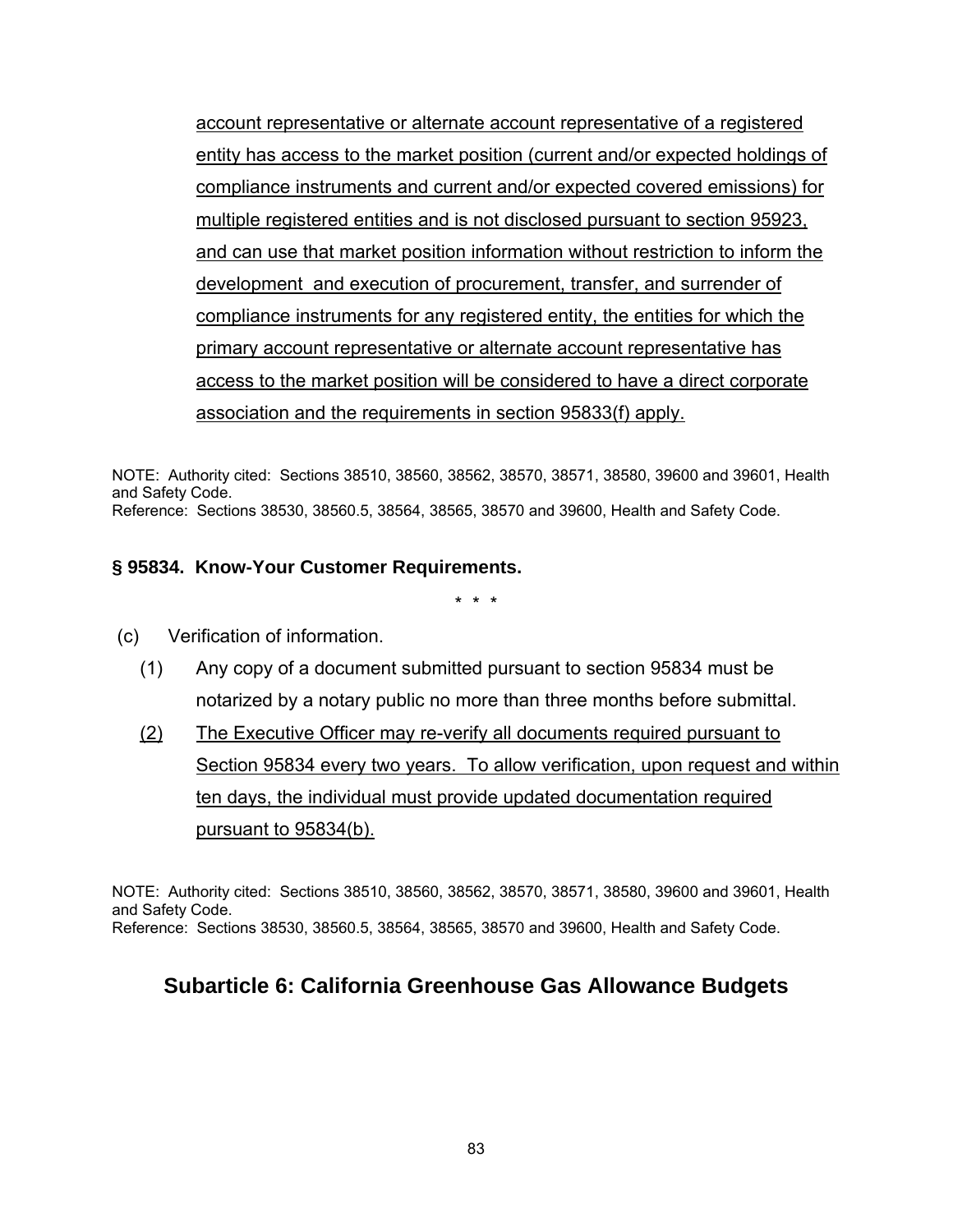account representative or alternate account representative of a registered entity has access to the market position (current and/or expected holdings of compliance instruments and current and/or expected covered emissions) for multiple registered entities and is not disclosed pursuant to section 95923, and can use that market position information without restriction to inform the development and execution of procurement, transfer, and surrender of compliance instruments for any registered entity, the entities for which the primary account representative or alternate account representative has access to the market position will be considered to have a direct corporate association and the requirements in section 95833(f) apply.

NOTE: Authority cited: Sections 38510, 38560, 38562, 38570, 38571, 38580, 39600 and 39601, Health and Safety Code. Reference: Sections 38530, 38560.5, 38564, 38565, 38570 and 39600, Health and Safety Code.

#### **§ 95834. Know-Your Customer Requirements.**

\* \* \*

- (c) Verification of information.
	- (1) Any copy of a document submitted pursuant to section 95834 must be notarized by a notary public no more than three months before submittal.
	- (2) The Executive Officer may re-verify all documents required pursuant to Section 95834 every two years. To allow verification, upon request and within ten days, the individual must provide updated documentation required pursuant to 95834(b).

NOTE: Authority cited: Sections 38510, 38560, 38562, 38570, 38571, 38580, 39600 and 39601, Health and Safety Code. Reference: Sections 38530, 38560.5, 38564, 38565, 38570 and 39600, Health and Safety Code.

## **Subarticle 6: California Greenhouse Gas Allowance Budgets**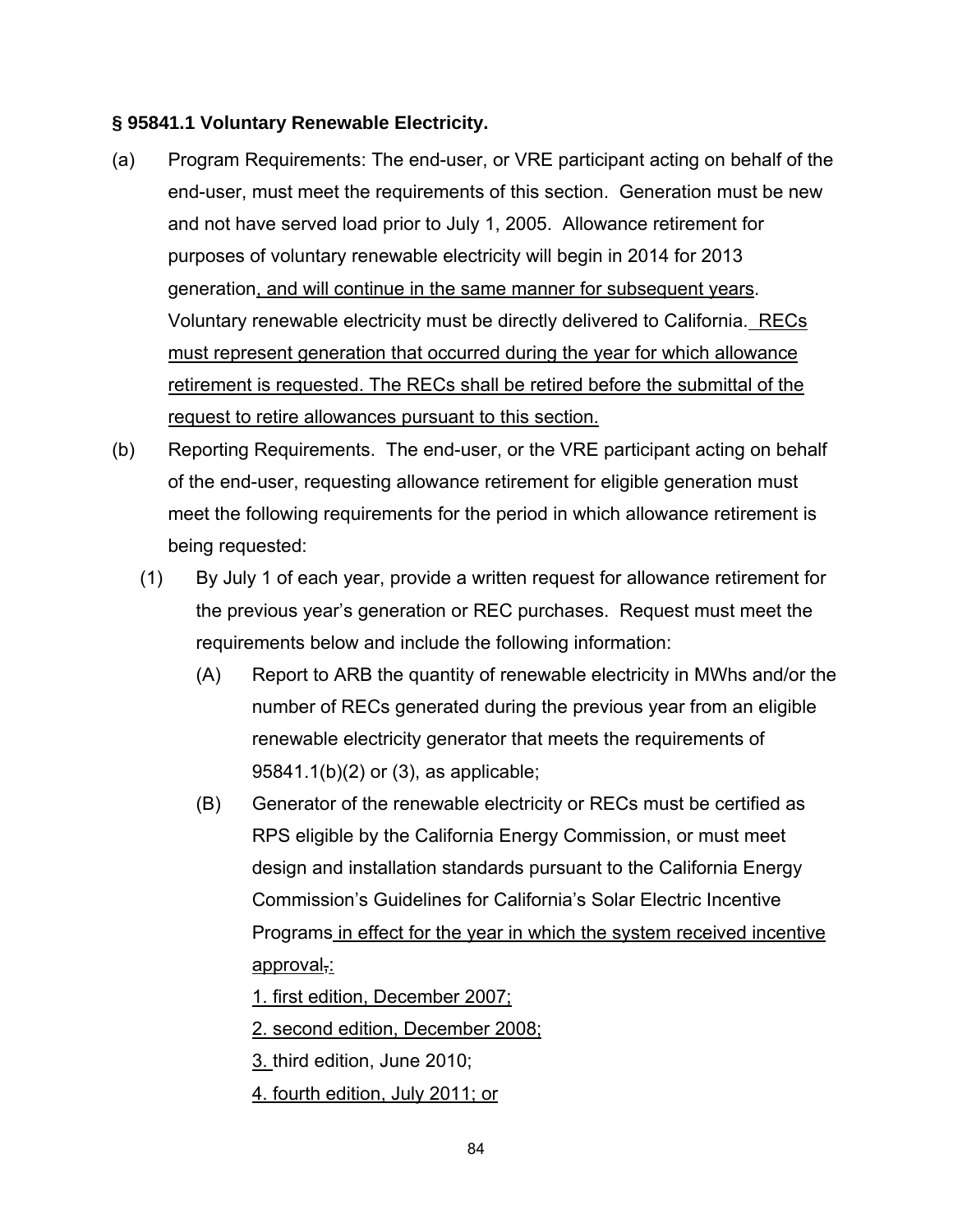#### **§ 95841.1 Voluntary Renewable Electricity.**

- (a) Program Requirements: The end-user, or VRE participant acting on behalf of the end-user, must meet the requirements of this section. Generation must be new and not have served load prior to July 1, 2005. Allowance retirement for purposes of voluntary renewable electricity will begin in 2014 for 2013 generation, and will continue in the same manner for subsequent years. Voluntary renewable electricity must be directly delivered to California. RECs must represent generation that occurred during the year for which allowance retirement is requested. The RECs shall be retired before the submittal of the request to retire allowances pursuant to this section.
- (b) Reporting Requirements. The end-user, or the VRE participant acting on behalf of the end-user, requesting allowance retirement for eligible generation must meet the following requirements for the period in which allowance retirement is being requested:
	- (1) By July 1 of each year, provide a written request for allowance retirement for the previous year's generation or REC purchases. Request must meet the requirements below and include the following information:
		- (A) Report to ARB the quantity of renewable electricity in MWhs and/or the number of RECs generated during the previous year from an eligible renewable electricity generator that meets the requirements of 95841.1(b)(2) or (3), as applicable;
		- (B) Generator of the renewable electricity or RECs must be certified as RPS eligible by the California Energy Commission, or must meet design and installation standards pursuant to the California Energy Commission's Guidelines for California's Solar Electric Incentive Programs in effect for the year in which the system received incentive approval,:

1. first edition, December 2007;

2. second edition, December 2008;

3. third edition, June 2010;

4. fourth edition, July 2011; or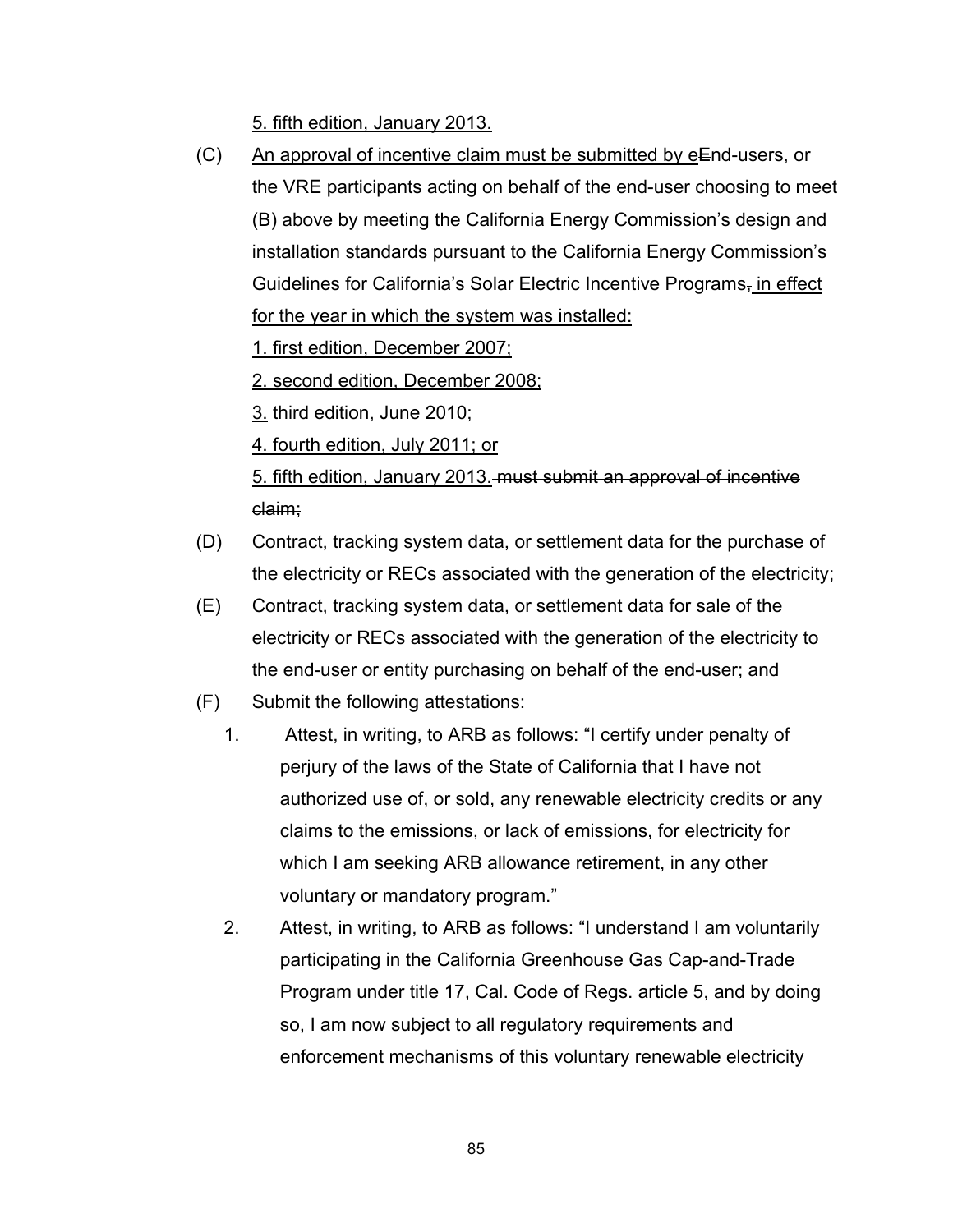5. fifth edition, January 2013.

 $(C)$  An approval of incentive claim must be submitted by eEnd-users, or the VRE participants acting on behalf of the end-user choosing to meet (B) above by meeting the California Energy Commission's design and installation standards pursuant to the California Energy Commission's Guidelines for California's Solar Electric Incentive Programs<sub>7</sub> in effect for the year in which the system was installed:

1. first edition, December 2007;

2. second edition, December 2008;

3. third edition, June 2010;

4. fourth edition, July 2011; or

5. fifth edition, January 2013. must submit an approval of incentive claim;

- (D) Contract, tracking system data, or settlement data for the purchase of the electricity or RECs associated with the generation of the electricity;
- (E) Contract, tracking system data, or settlement data for sale of the electricity or RECs associated with the generation of the electricity to the end-user or entity purchasing on behalf of the end-user; and
- (F) Submit the following attestations:
	- 1. Attest, in writing, to ARB as follows: "I certify under penalty of perjury of the laws of the State of California that I have not authorized use of, or sold, any renewable electricity credits or any claims to the emissions, or lack of emissions, for electricity for which I am seeking ARB allowance retirement, in any other voluntary or mandatory program."
	- 2. Attest, in writing, to ARB as follows: "I understand I am voluntarily participating in the California Greenhouse Gas Cap-and-Trade Program under title 17, Cal. Code of Regs. article 5, and by doing so, I am now subject to all regulatory requirements and enforcement mechanisms of this voluntary renewable electricity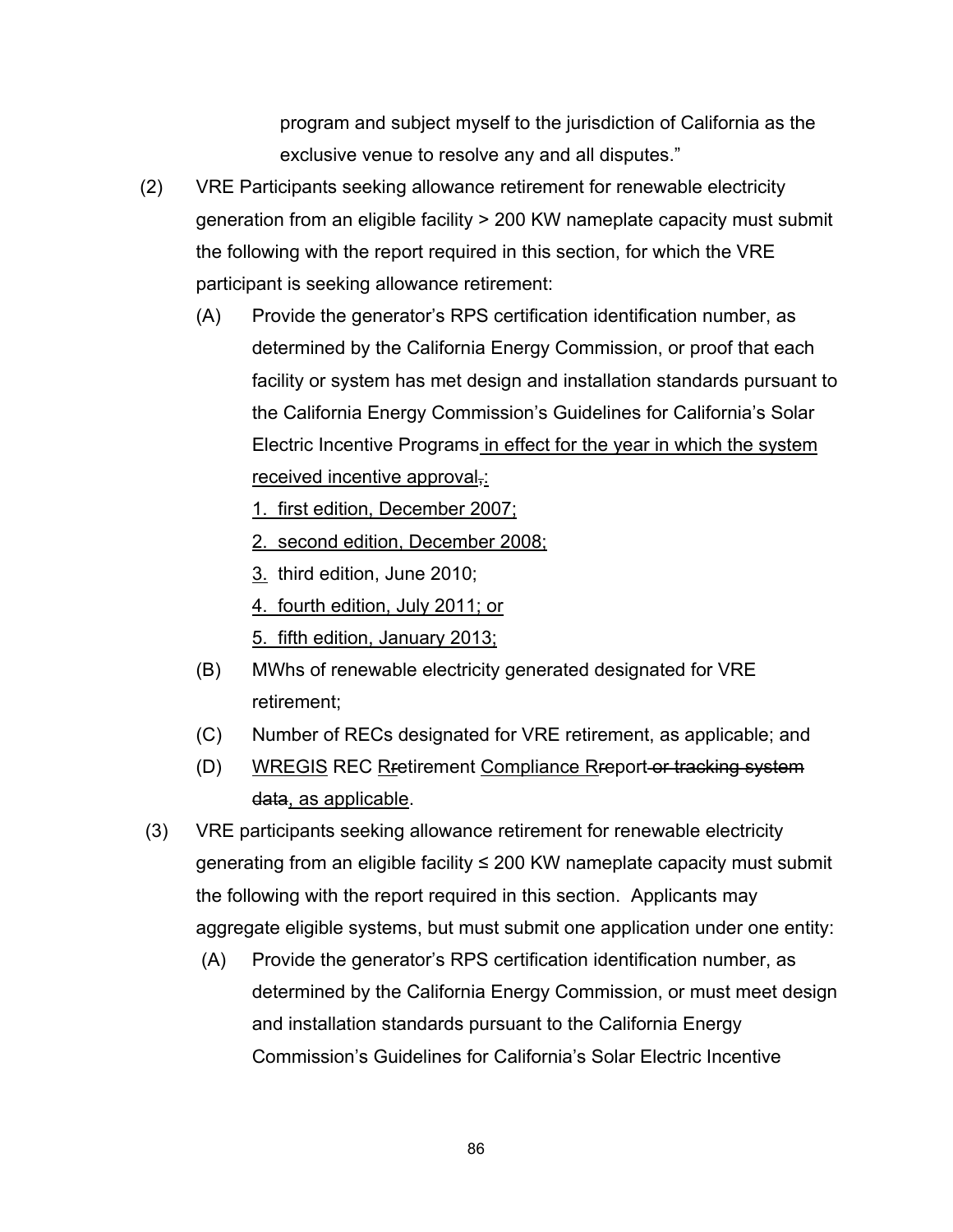program and subject myself to the jurisdiction of California as the exclusive venue to resolve any and all disputes."

- (2) VRE Participants seeking allowance retirement for renewable electricity generation from an eligible facility > 200 KW nameplate capacity must submit the following with the report required in this section, for which the VRE participant is seeking allowance retirement:
	- (A) Provide the generator's RPS certification identification number, as determined by the California Energy Commission, or proof that each facility or system has met design and installation standards pursuant to the California Energy Commission's Guidelines for California's Solar Electric Incentive Programs in effect for the year in which the system received incentive approval,:
		- 1. first edition, December 2007;
		- 2. second edition, December 2008;
		- 3. third edition, June 2010;
		- 4. fourth edition, July 2011; or
		- 5. fifth edition, January 2013;
	- (B) MWhs of renewable electricity generated designated for VRE retirement;
	- (C) Number of RECs designated for VRE retirement, as applicable; and
	- (D) WREGIS REC Retirement Compliance Report or tracking system data, as applicable.
- (3) VRE participants seeking allowance retirement for renewable electricity generating from an eligible facility ≤ 200 KW nameplate capacity must submit the following with the report required in this section. Applicants may aggregate eligible systems, but must submit one application under one entity:
	- (A) Provide the generator's RPS certification identification number, as determined by the California Energy Commission, or must meet design and installation standards pursuant to the California Energy Commission's Guidelines for California's Solar Electric Incentive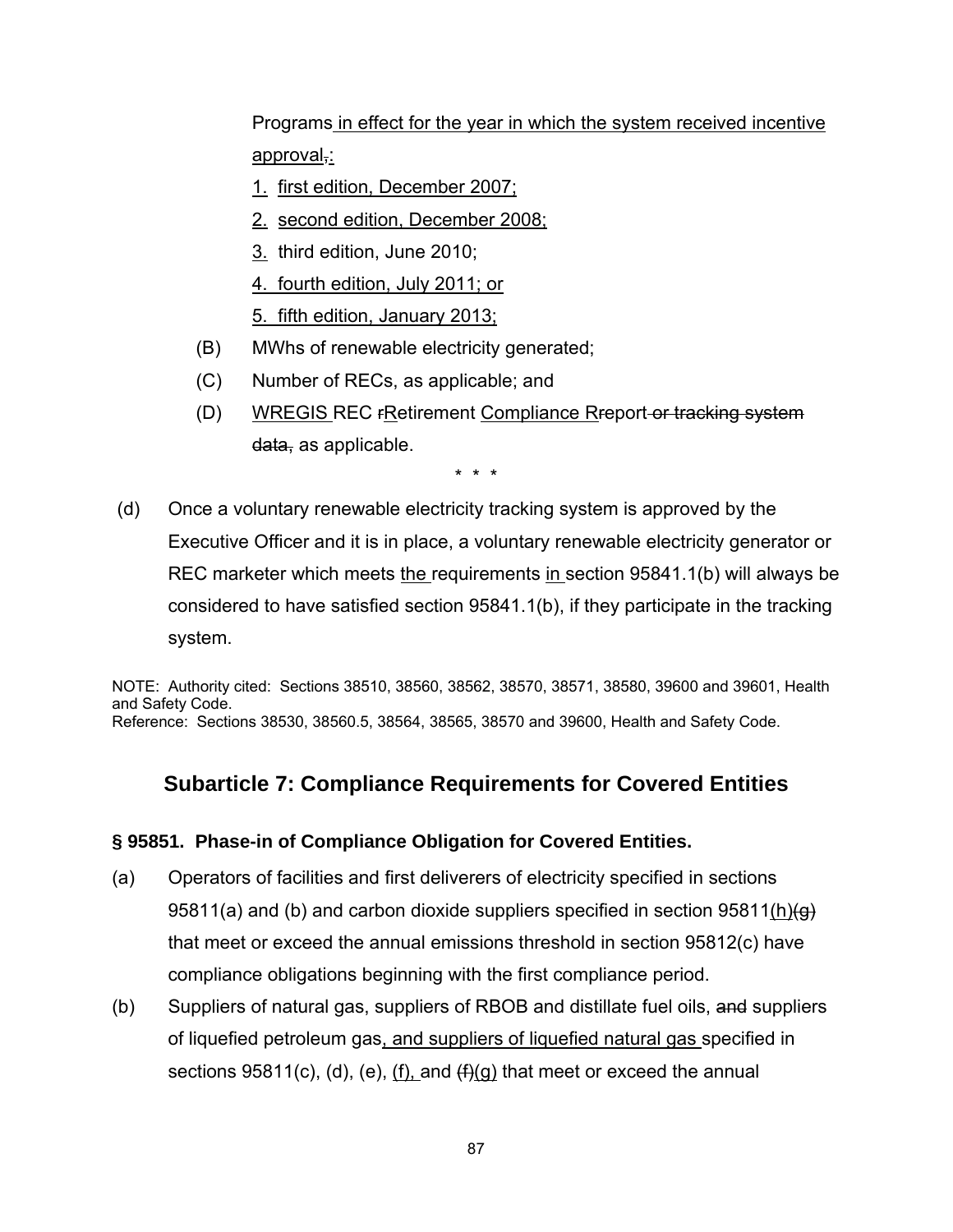Programs in effect for the year in which the system received incentive approval,:

- 1. first edition, December 2007;
- 2. second edition, December 2008;
- 3. third edition, June 2010;
- 4. fourth edition, July 2011; or
- 5. fifth edition, January 2013;
- (B) MWhs of renewable electricity generated;
- (C) Number of RECs, as applicable; and
- (D) WREGIS REC rRetirement Compliance Rreport or tracking system data, as applicable.

\* \* \*

 (d) Once a voluntary renewable electricity tracking system is approved by the Executive Officer and it is in place, a voluntary renewable electricity generator or REC marketer which meets the requirements in section 95841.1(b) will always be considered to have satisfied section 95841.1(b), if they participate in the tracking system.

NOTE: Authority cited: Sections 38510, 38560, 38562, 38570, 38571, 38580, 39600 and 39601, Health and Safety Code. Reference: Sections 38530, 38560.5, 38564, 38565, 38570 and 39600, Health and Safety Code.

# **Subarticle 7: Compliance Requirements for Covered Entities**

#### **§ 95851. Phase-in of Compliance Obligation for Covered Entities.**

- (a) Operators of facilities and first deliverers of electricity specified in sections 95811(a) and (b) and carbon dioxide suppliers specified in section 95811(h) $\leftrightarrow$ that meet or exceed the annual emissions threshold in section 95812(c) have compliance obligations beginning with the first compliance period.
- (b) Suppliers of natural gas, suppliers of RBOB and distillate fuel oils, and suppliers of liquefied petroleum gas, and suppliers of liquefied natural gas specified in sections  $95811(c)$ , (d), (e), (f), and  $(f)(g)$  that meet or exceed the annual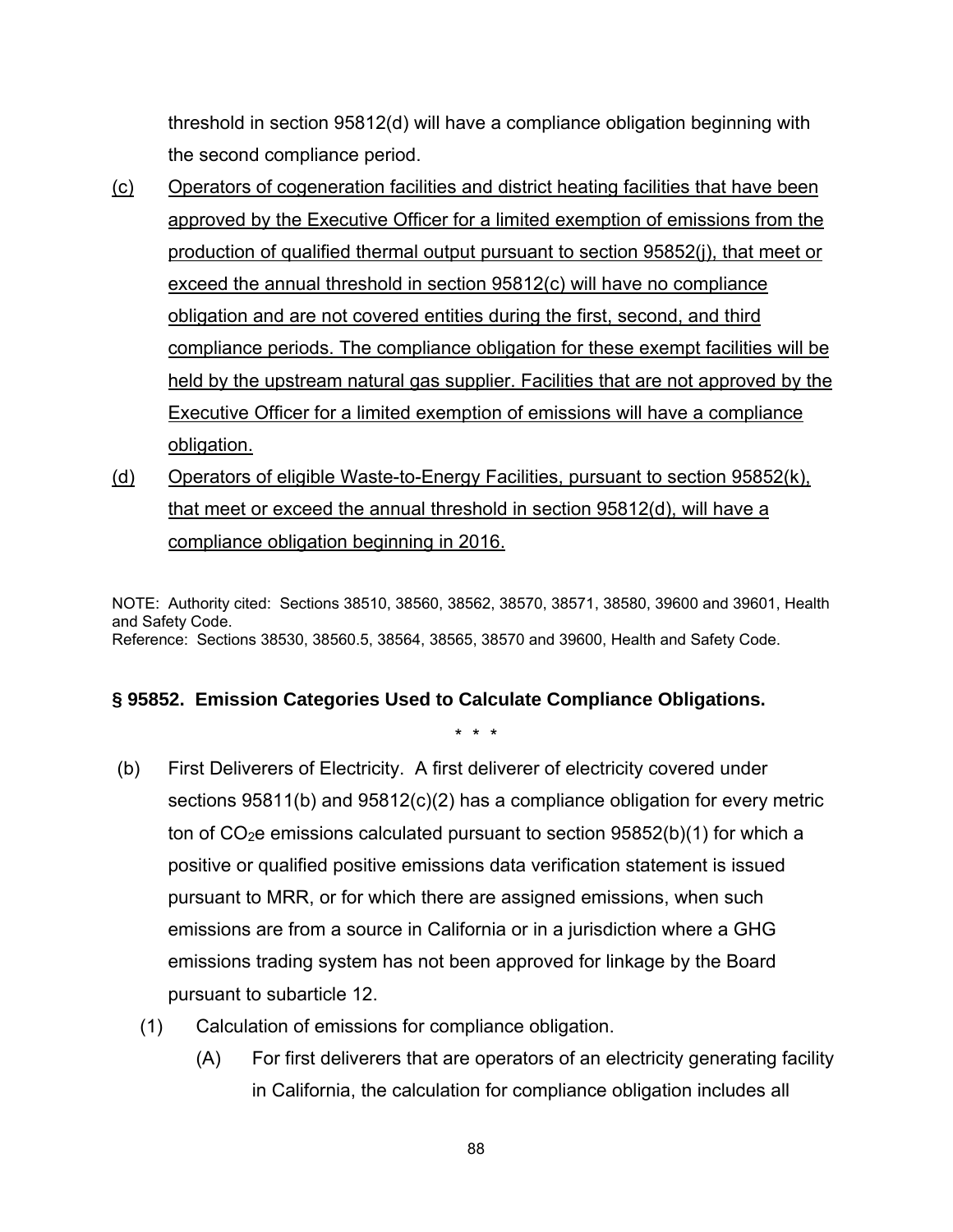threshold in section 95812(d) will have a compliance obligation beginning with the second compliance period.

- (c) Operators of cogeneration facilities and district heating facilities that have been approved by the Executive Officer for a limited exemption of emissions from the production of qualified thermal output pursuant to section 95852(j), that meet or exceed the annual threshold in section 95812(c) will have no compliance obligation and are not covered entities during the first, second, and third compliance periods. The compliance obligation for these exempt facilities will be held by the upstream natural gas supplier. Facilities that are not approved by the Executive Officer for a limited exemption of emissions will have a compliance obligation.
- (d) Operators of eligible Waste-to-Energy Facilities, pursuant to section 95852(k), that meet or exceed the annual threshold in section 95812(d), will have a compliance obligation beginning in 2016.

NOTE: Authority cited: Sections 38510, 38560, 38562, 38570, 38571, 38580, 39600 and 39601, Health and Safety Code. Reference: Sections 38530, 38560.5, 38564, 38565, 38570 and 39600, Health and Safety Code.

#### **§ 95852. Emission Categories Used to Calculate Compliance Obligations.**

- (b) First Deliverers of Electricity. A first deliverer of electricity covered under sections 95811(b) and 95812(c)(2) has a compliance obligation for every metric ton of  $CO<sub>2</sub>e$  emissions calculated pursuant to section 95852(b)(1) for which a positive or qualified positive emissions data verification statement is issued pursuant to MRR, or for which there are assigned emissions, when such emissions are from a source in California or in a jurisdiction where a GHG emissions trading system has not been approved for linkage by the Board pursuant to subarticle 12.
	- (1) Calculation of emissions for compliance obligation.
		- (A) For first deliverers that are operators of an electricity generating facility in California, the calculation for compliance obligation includes all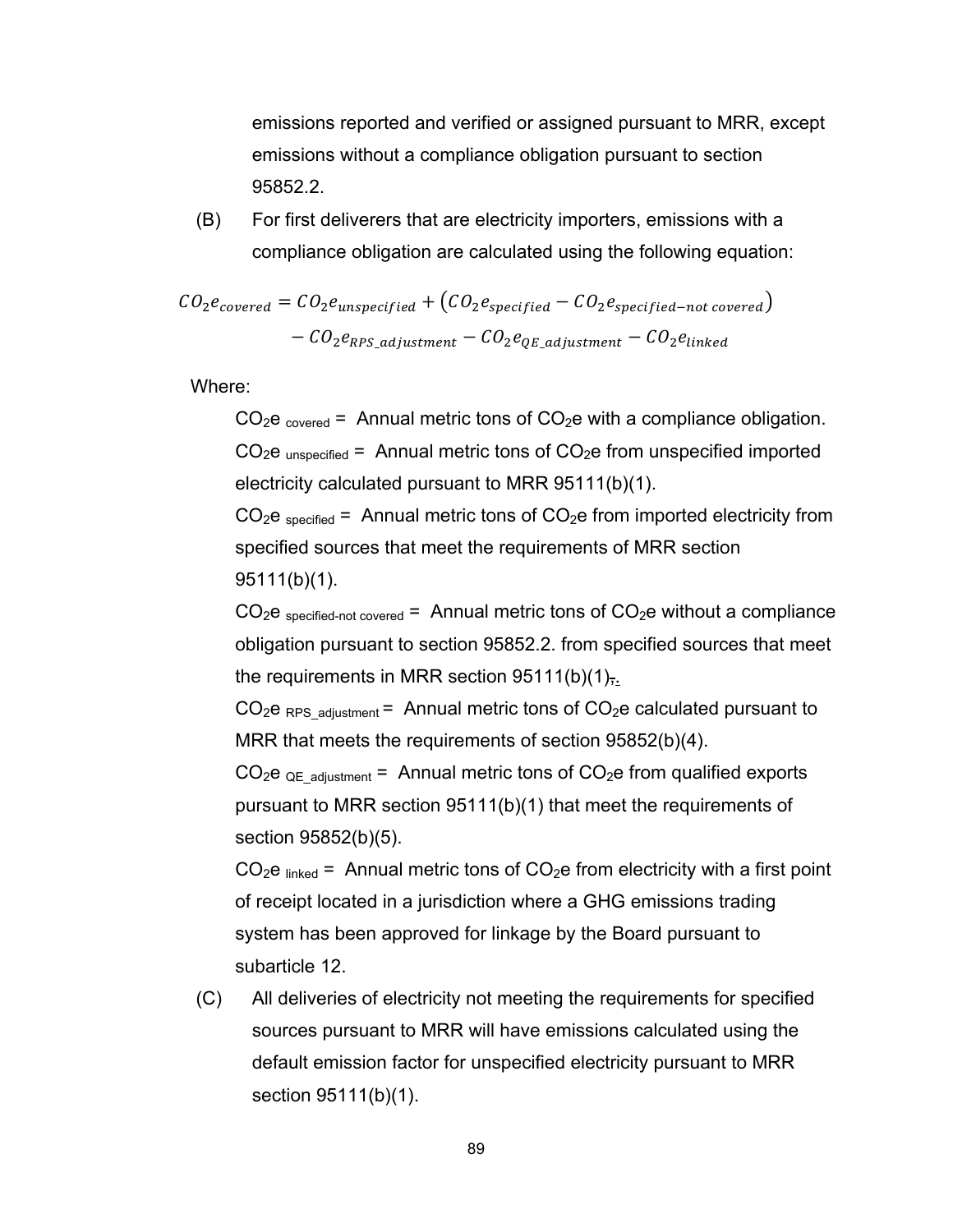emissions reported and verified or assigned pursuant to MRR, except emissions without a compliance obligation pursuant to section 95852.2.

(B) For first deliverers that are electricity importers, emissions with a compliance obligation are calculated using the following equation:

$$
CO_2e_{covered} = CO_2e_{unspecified} + (CO_2e_{specified} - CO_2e_{specified - not covered})
$$

$$
- CO_2e_{RPS\_adjustment} - CO_2e_{QE\_adjustment} - CO_2e_{linked}
$$

Where:

 $CO<sub>2</sub>e<sub>covered</sub>$  = Annual metric tons of  $CO<sub>2</sub>e$  with a compliance obligation.  $CO<sub>2</sub>e<sub>unspecified</sub>$  = Annual metric tons of  $CO<sub>2</sub>e$  from unspecified imported electricity calculated pursuant to MRR 95111(b)(1).

 $CO<sub>2</sub>e<sub>specified</sub>$  = Annual metric tons of  $CO<sub>2</sub>e$  from imported electricity from specified sources that meet the requirements of MRR section 95111(b)(1).

 $CO<sub>2</sub>e<sub>specified-not covered</sub> = Annual metric tons of CO<sub>2</sub>e without a compliance$ obligation pursuant to section 95852.2. from specified sources that meet the requirements in MRR section  $95111(b)(1)$ ,.

 $CO<sub>2</sub>e$ <sub>RPS</sub> <sub>adjustment</sub> = Annual metric tons of  $CO<sub>2</sub>e$  calculated pursuant to MRR that meets the requirements of section 95852(b)(4).

 $CO<sub>2</sub>e<sub>QE adiustment</sub>$  = Annual metric tons of  $CO<sub>2</sub>e$  from qualified exports pursuant to MRR section 95111(b)(1) that meet the requirements of section 95852(b)(5).

 $CO<sub>2</sub>e<sub>linked</sub>$  = Annual metric tons of  $CO<sub>2</sub>e$  from electricity with a first point of receipt located in a jurisdiction where a GHG emissions trading system has been approved for linkage by the Board pursuant to subarticle 12.

(C) All deliveries of electricity not meeting the requirements for specified sources pursuant to MRR will have emissions calculated using the default emission factor for unspecified electricity pursuant to MRR section 95111(b)(1).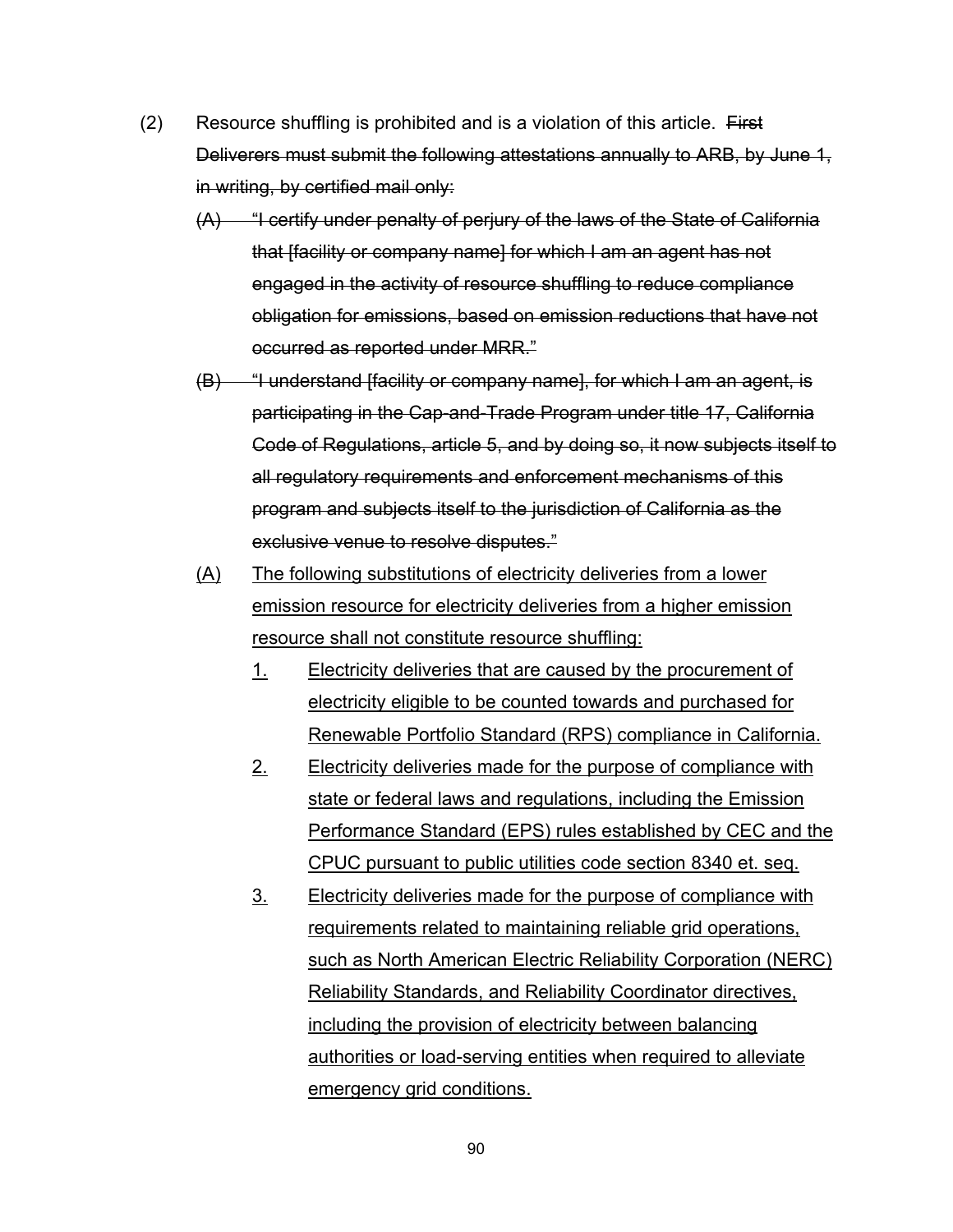- $(2)$  Resource shuffling is prohibited and is a violation of this article. First Deliverers must submit the following attestations annually to ARB, by June 1, in writing, by certified mail only:
	- (A) "I certify under penalty of perjury of the laws of the State of California that [facility or company name] for which I am an agent has not engaged in the activity of resource shuffling to reduce compliance obligation for emissions, based on emission reductions that have not occurred as reported under MRR."
	- (B) "I understand [facility or company name], for which I am an agent, is participating in the Cap-and-Trade Program under title 17, California Code of Regulations, article 5, and by doing so, it now subjects itself to all regulatory requirements and enforcement mechanisms of this program and subjects itself to the jurisdiction of California as the exclusive venue to resolve disputes."
	- (A) The following substitutions of electricity deliveries from a lower emission resource for electricity deliveries from a higher emission resource shall not constitute resource shuffling:
		- 1. Electricity deliveries that are caused by the procurement of electricity eligible to be counted towards and purchased for Renewable Portfolio Standard (RPS) compliance in California.
		- 2. Electricity deliveries made for the purpose of compliance with state or federal laws and regulations, including the Emission Performance Standard (EPS) rules established by CEC and the CPUC pursuant to public utilities code section 8340 et. seq.
		- 3. Electricity deliveries made for the purpose of compliance with requirements related to maintaining reliable grid operations, such as North American Electric Reliability Corporation (NERC) Reliability Standards, and Reliability Coordinator directives, including the provision of electricity between balancing authorities or load-serving entities when required to alleviate emergency grid conditions.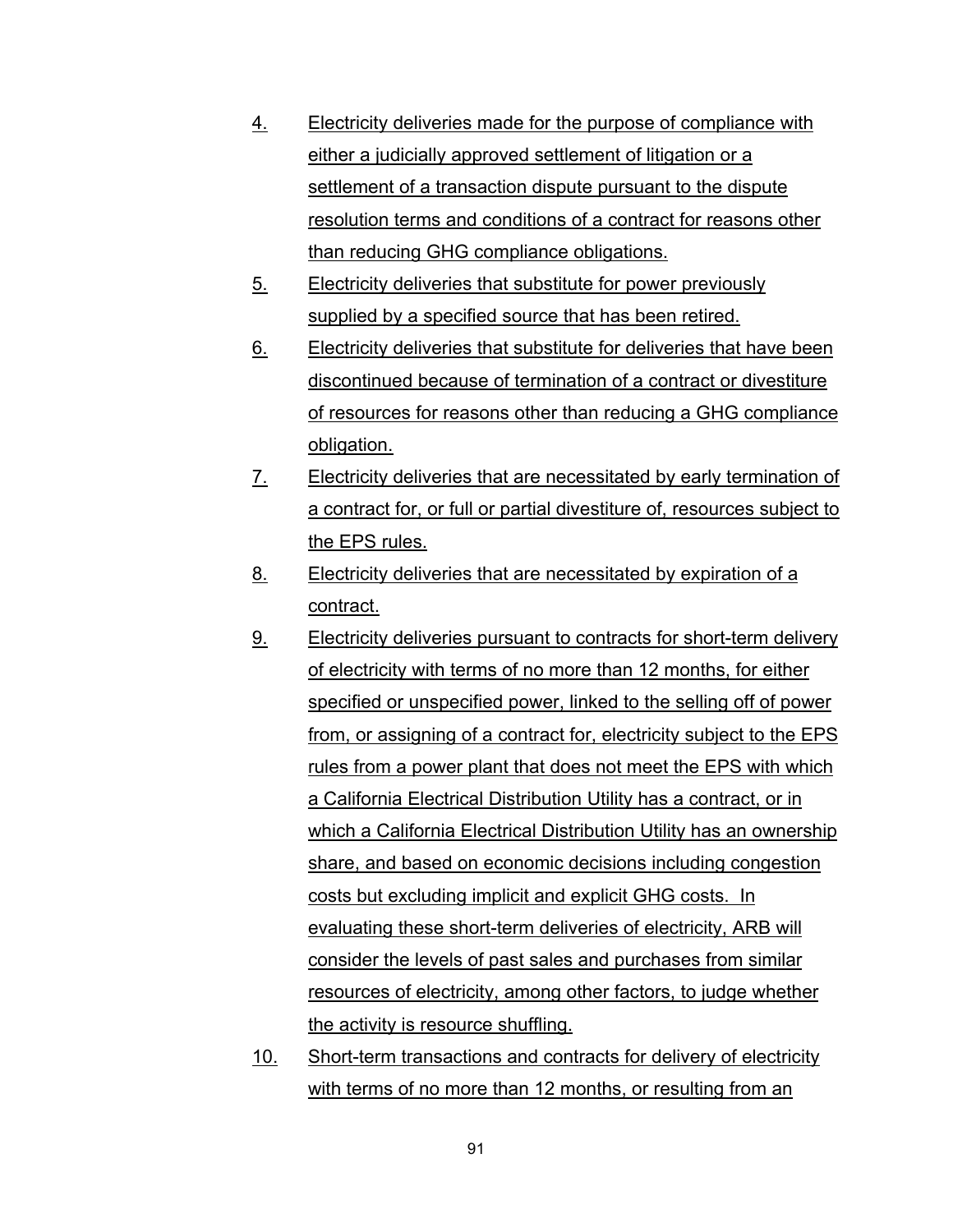- 4. Electricity deliveries made for the purpose of compliance with either a judicially approved settlement of litigation or a settlement of a transaction dispute pursuant to the dispute resolution terms and conditions of a contract for reasons other than reducing GHG compliance obligations.
- 5. Electricity deliveries that substitute for power previously supplied by a specified source that has been retired.
- 6. Electricity deliveries that substitute for deliveries that have been discontinued because of termination of a contract or divestiture of resources for reasons other than reducing a GHG compliance obligation.
- 7. Electricity deliveries that are necessitated by early termination of a contract for, or full or partial divestiture of, resources subject to the EPS rules.
- 8. Electricity deliveries that are necessitated by expiration of a contract.
- 9. Electricity deliveries pursuant to contracts for short-term delivery of electricity with terms of no more than 12 months, for either specified or unspecified power, linked to the selling off of power from, or assigning of a contract for, electricity subject to the EPS rules from a power plant that does not meet the EPS with which a California Electrical Distribution Utility has a contract, or in which a California Electrical Distribution Utility has an ownership share, and based on economic decisions including congestion costs but excluding implicit and explicit GHG costs. In evaluating these short-term deliveries of electricity, ARB will consider the levels of past sales and purchases from similar resources of electricity, among other factors, to judge whether the activity is resource shuffling.
- 10. Short-term transactions and contracts for delivery of electricity with terms of no more than 12 months, or resulting from an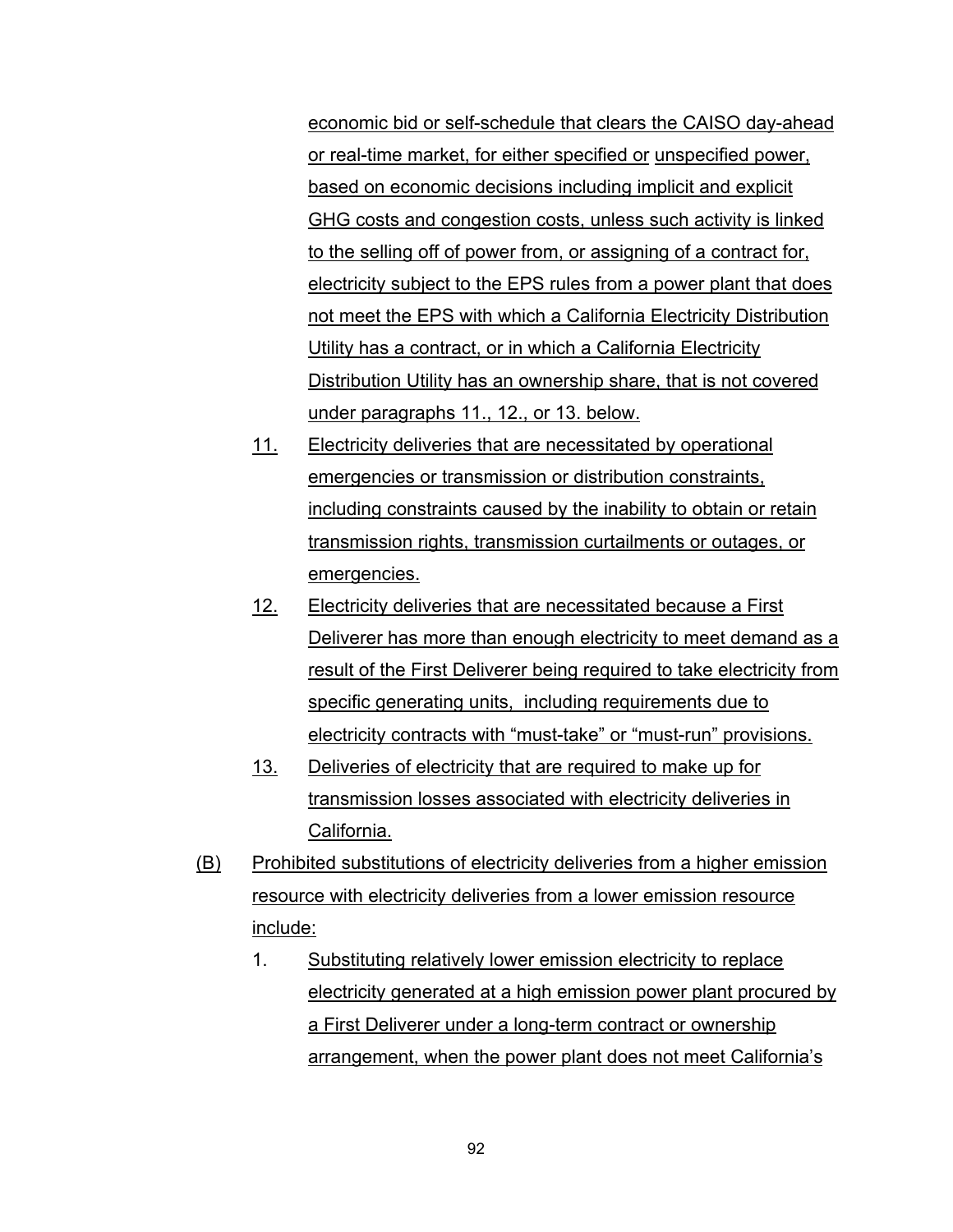economic bid or self-schedule that clears the CAISO day-ahead or real-time market, for either specified or unspecified power, based on economic decisions including implicit and explicit GHG costs and congestion costs, unless such activity is linked to the selling off of power from, or assigning of a contract for, electricity subject to the EPS rules from a power plant that does not meet the EPS with which a California Electricity Distribution Utility has a contract, or in which a California Electricity Distribution Utility has an ownership share, that is not covered under paragraphs 11., 12., or 13. below.

- 11. Electricity deliveries that are necessitated by operational emergencies or transmission or distribution constraints, including constraints caused by the inability to obtain or retain transmission rights, transmission curtailments or outages, or emergencies.
- 12. Electricity deliveries that are necessitated because a First Deliverer has more than enough electricity to meet demand as a result of the First Deliverer being required to take electricity from specific generating units, including requirements due to electricity contracts with "must-take" or "must-run" provisions.
- 13. Deliveries of electricity that are required to make up for transmission losses associated with electricity deliveries in California.
- (B) Prohibited substitutions of electricity deliveries from a higher emission resource with electricity deliveries from a lower emission resource include:
	- 1. Substituting relatively lower emission electricity to replace electricity generated at a high emission power plant procured by a First Deliverer under a long-term contract or ownership arrangement, when the power plant does not meet California's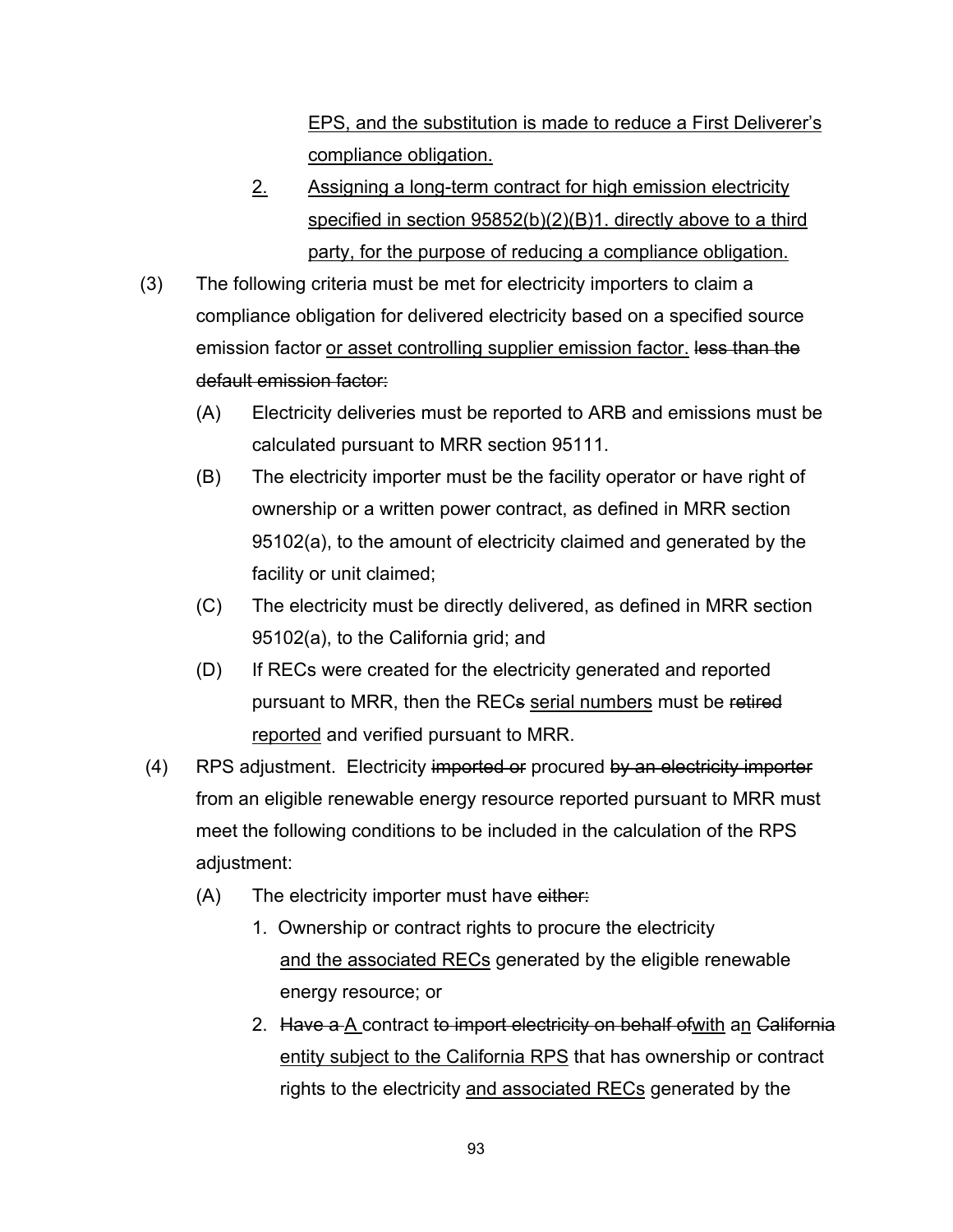EPS, and the substitution is made to reduce a First Deliverer's compliance obligation.

- 2. Assigning a long-term contract for high emission electricity specified in section 95852(b)(2)(B)1. directly above to a third party, for the purpose of reducing a compliance obligation.
- (3) The following criteria must be met for electricity importers to claim a compliance obligation for delivered electricity based on a specified source emission factor or asset controlling supplier emission factor. less than the default emission factor:
	- (A) Electricity deliveries must be reported to ARB and emissions must be calculated pursuant to MRR section 95111.
	- (B) The electricity importer must be the facility operator or have right of ownership or a written power contract, as defined in MRR section 95102(a), to the amount of electricity claimed and generated by the facility or unit claimed;
	- (C) The electricity must be directly delivered, as defined in MRR section 95102(a), to the California grid; and
	- (D) If RECs were created for the electricity generated and reported pursuant to MRR, then the RECs serial numbers must be retired reported and verified pursuant to MRR.
- (4) RPS adjustment. Electricity imported or procured by an electricity importer from an eligible renewable energy resource reported pursuant to MRR must meet the following conditions to be included in the calculation of the RPS adjustment:
	- $(A)$  The electricity importer must have either:
		- 1. Ownership or contract rights to procure the electricity and the associated RECs generated by the eligible renewable energy resource; or
		- 2. Have a A contract to import electricity on behalf of with an California entity subject to the California RPS that has ownership or contract rights to the electricity and associated RECs generated by the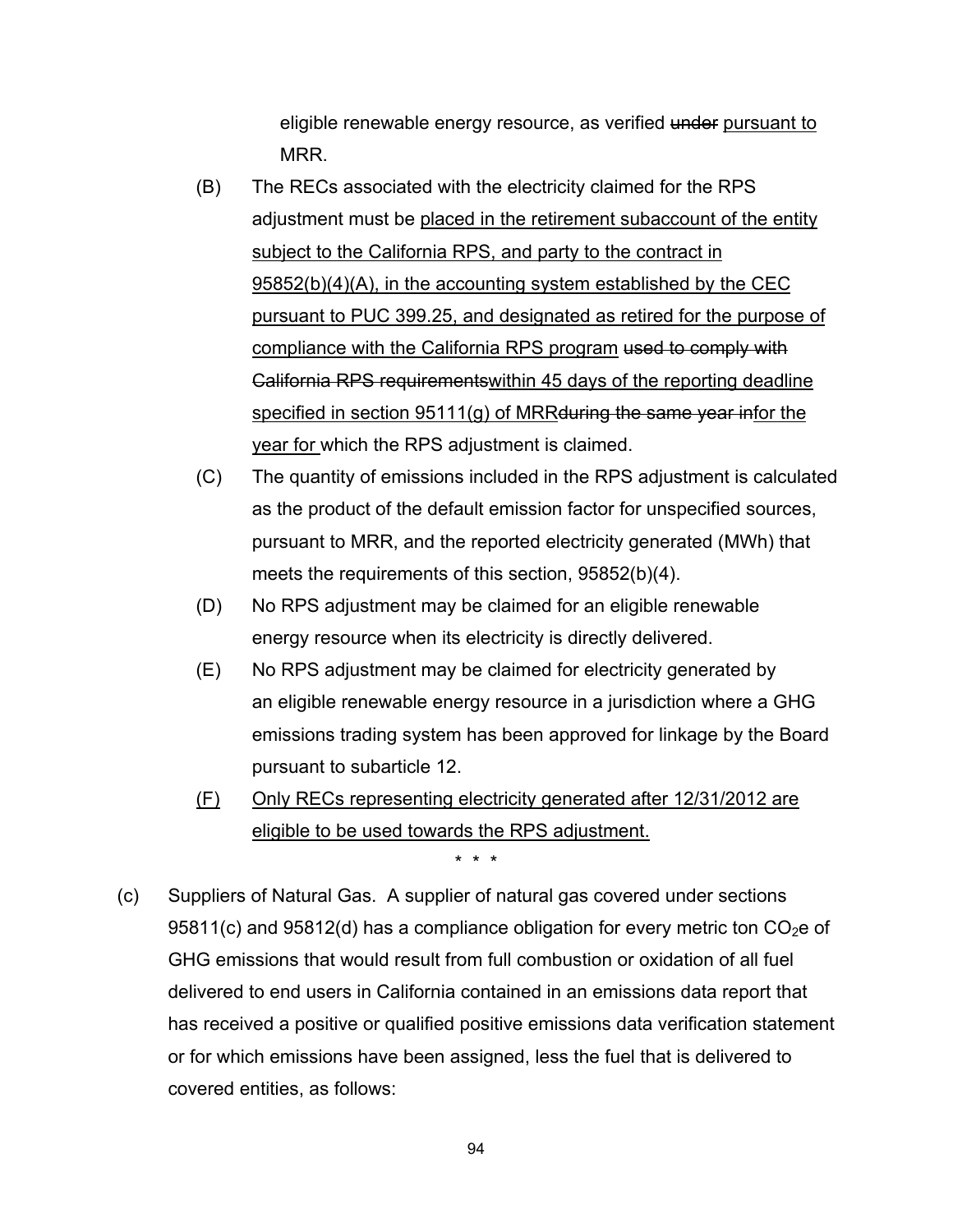eligible renewable energy resource, as verified under pursuant to MRR.

- (B) The RECs associated with the electricity claimed for the RPS adjustment must be placed in the retirement subaccount of the entity subject to the California RPS, and party to the contract in 95852(b)(4)(A), in the accounting system established by the CEC pursuant to PUC 399.25, and designated as retired for the purpose of compliance with the California RPS program used to comply with California RPS requirementswithin 45 days of the reporting deadline specified in section 95111(g) of MRRduring the same year infor the year for which the RPS adjustment is claimed.
- (C) The quantity of emissions included in the RPS adjustment is calculated as the product of the default emission factor for unspecified sources, pursuant to MRR, and the reported electricity generated (MWh) that meets the requirements of this section, 95852(b)(4).
- (D) No RPS adjustment may be claimed for an eligible renewable energy resource when its electricity is directly delivered.
- (E) No RPS adjustment may be claimed for electricity generated by an eligible renewable energy resource in a jurisdiction where a GHG emissions trading system has been approved for linkage by the Board pursuant to subarticle 12.
- (F) Only RECs representing electricity generated after 12/31/2012 are eligible to be used towards the RPS adjustment.

\* \* \*

 (c) Suppliers of Natural Gas. A supplier of natural gas covered under sections 95811(c) and 95812(d) has a compliance obligation for every metric ton  $CO<sub>2</sub>e$  of GHG emissions that would result from full combustion or oxidation of all fuel delivered to end users in California contained in an emissions data report that has received a positive or qualified positive emissions data verification statement or for which emissions have been assigned, less the fuel that is delivered to covered entities, as follows: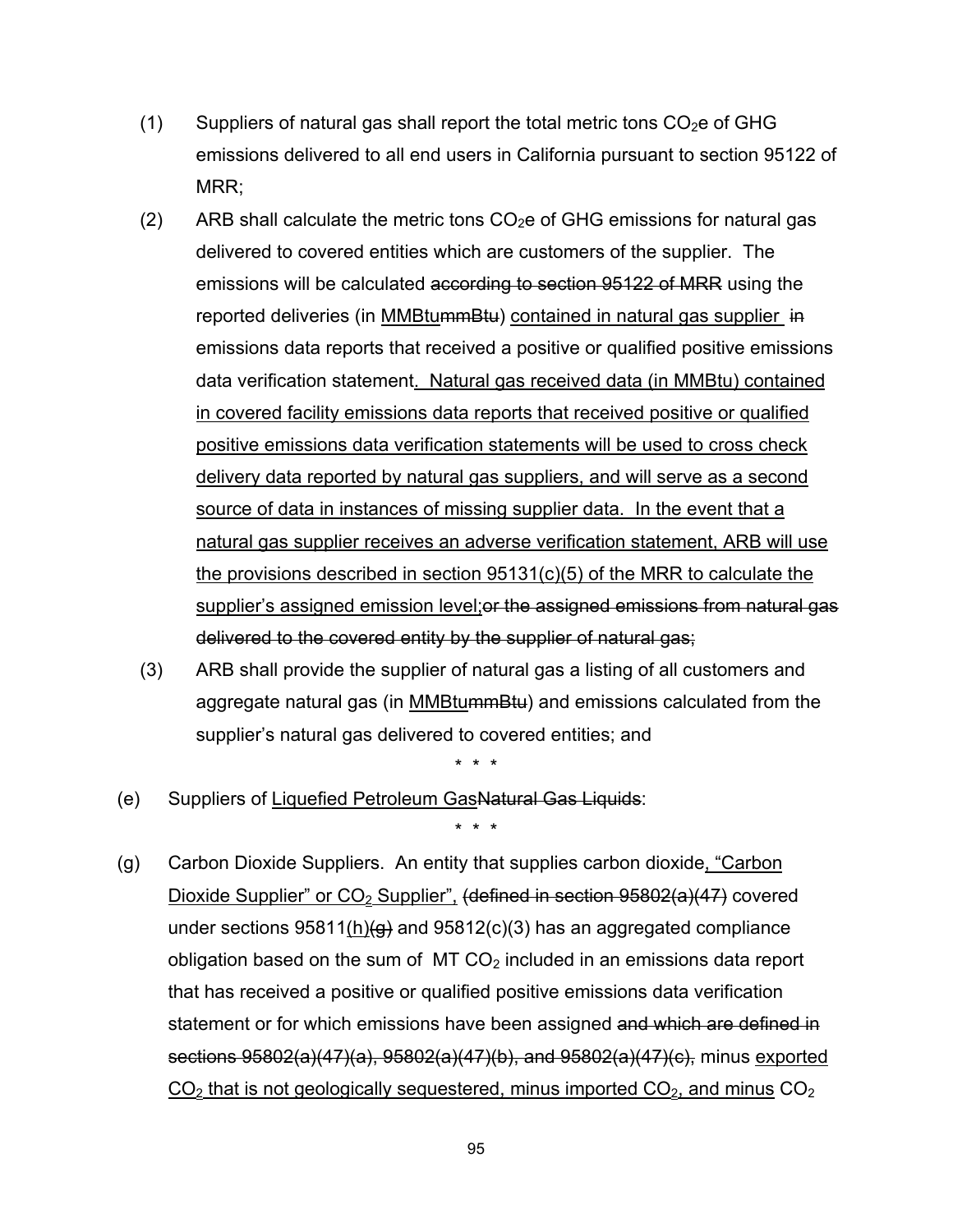- (1) Suppliers of natural gas shall report the total metric tons  $CO<sub>2</sub>e$  of GHG emissions delivered to all end users in California pursuant to section 95122 of MRR;
- (2) ARB shall calculate the metric tons  $CO<sub>2</sub>e$  of GHG emissions for natural gas delivered to covered entities which are customers of the supplier. The emissions will be calculated according to section 95122 of MRR using the reported deliveries (in MMBtummBtu) contained in natural gas supplier in emissions data reports that received a positive or qualified positive emissions data verification statement. Natural gas received data (in MMBtu) contained in covered facility emissions data reports that received positive or qualified positive emissions data verification statements will be used to cross check delivery data reported by natural gas suppliers, and will serve as a second source of data in instances of missing supplier data. In the event that a natural gas supplier receives an adverse verification statement, ARB will use the provisions described in section 95131(c)(5) of the MRR to calculate the supplier's assigned emission level; or the assigned emissions from natural gas delivered to the covered entity by the supplier of natural gas;
- (3) ARB shall provide the supplier of natural gas a listing of all customers and aggregate natural gas (in MMBtummBtu) and emissions calculated from the supplier's natural gas delivered to covered entities; and

\* \* \*

(e) Suppliers of Liquefied Petroleum GasNatural Gas Liquids:

\* \* \*

 (g) Carbon Dioxide Suppliers. An entity that supplies carbon dioxide, "Carbon Dioxide Supplier" or  $CO<sub>2</sub>$  Supplier", (defined in section 95802(a)(47) covered under sections  $95811(h)(g)$  and  $95812(c)(3)$  has an aggregated compliance obligation based on the sum of  $MT CO<sub>2</sub>$  included in an emissions data report that has received a positive or qualified positive emissions data verification statement or for which emissions have been assigned and which are defined in sections 95802(a)(47)(a), 95802(a)(47)(b), and 95802(a)(47)(c), minus exported  $CO<sub>2</sub>$  that is not geologically sequestered, minus imported  $CO<sub>2</sub>$ , and minus  $CO<sub>2</sub>$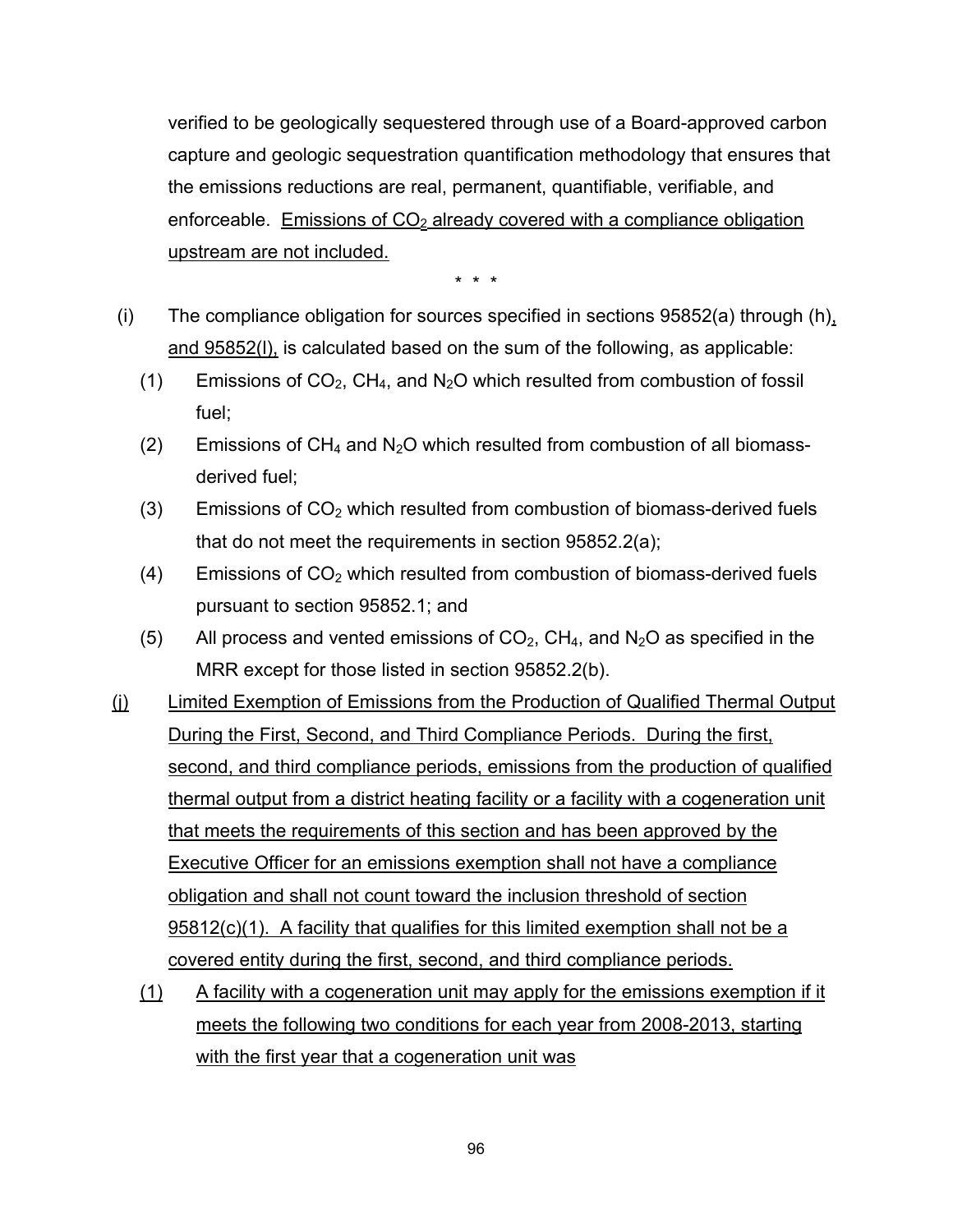verified to be geologically sequestered through use of a Board-approved carbon capture and geologic sequestration quantification methodology that ensures that the emissions reductions are real, permanent, quantifiable, verifiable, and enforceable. Emissions of  $CO<sub>2</sub>$  already covered with a compliance obligation upstream are not included.

- (i) The compliance obligation for sources specified in sections 95852(a) through (h), and 95852(l), is calculated based on the sum of the following, as applicable:
	- (1) Emissions of  $CO<sub>2</sub>$ , CH<sub>4</sub>, and N<sub>2</sub>O which resulted from combustion of fossil fuel;
	- (2) Emissions of  $CH_4$  and  $N_2O$  which resulted from combustion of all biomassderived fuel;
	- $(3)$  Emissions of  $CO<sub>2</sub>$  which resulted from combustion of biomass-derived fuels that do not meet the requirements in section 95852.2(a);
	- $(4)$  Emissions of  $CO<sub>2</sub>$  which resulted from combustion of biomass-derived fuels pursuant to section 95852.1; and
	- (5) All process and vented emissions of  $CO<sub>2</sub>$ , CH<sub>4</sub>, and N<sub>2</sub>O as specified in the MRR except for those listed in section 95852.2(b).
- (j) Limited Exemption of Emissions from the Production of Qualified Thermal Output During the First, Second, and Third Compliance Periods. During the first, second, and third compliance periods, emissions from the production of qualified thermal output from a district heating facility or a facility with a cogeneration unit that meets the requirements of this section and has been approved by the Executive Officer for an emissions exemption shall not have a compliance obligation and shall not count toward the inclusion threshold of section 95812(c)(1). A facility that qualifies for this limited exemption shall not be a covered entity during the first, second, and third compliance periods.
	- (1) A facility with a cogeneration unit may apply for the emissions exemption if it meets the following two conditions for each year from 2008-2013, starting with the first year that a cogeneration unit was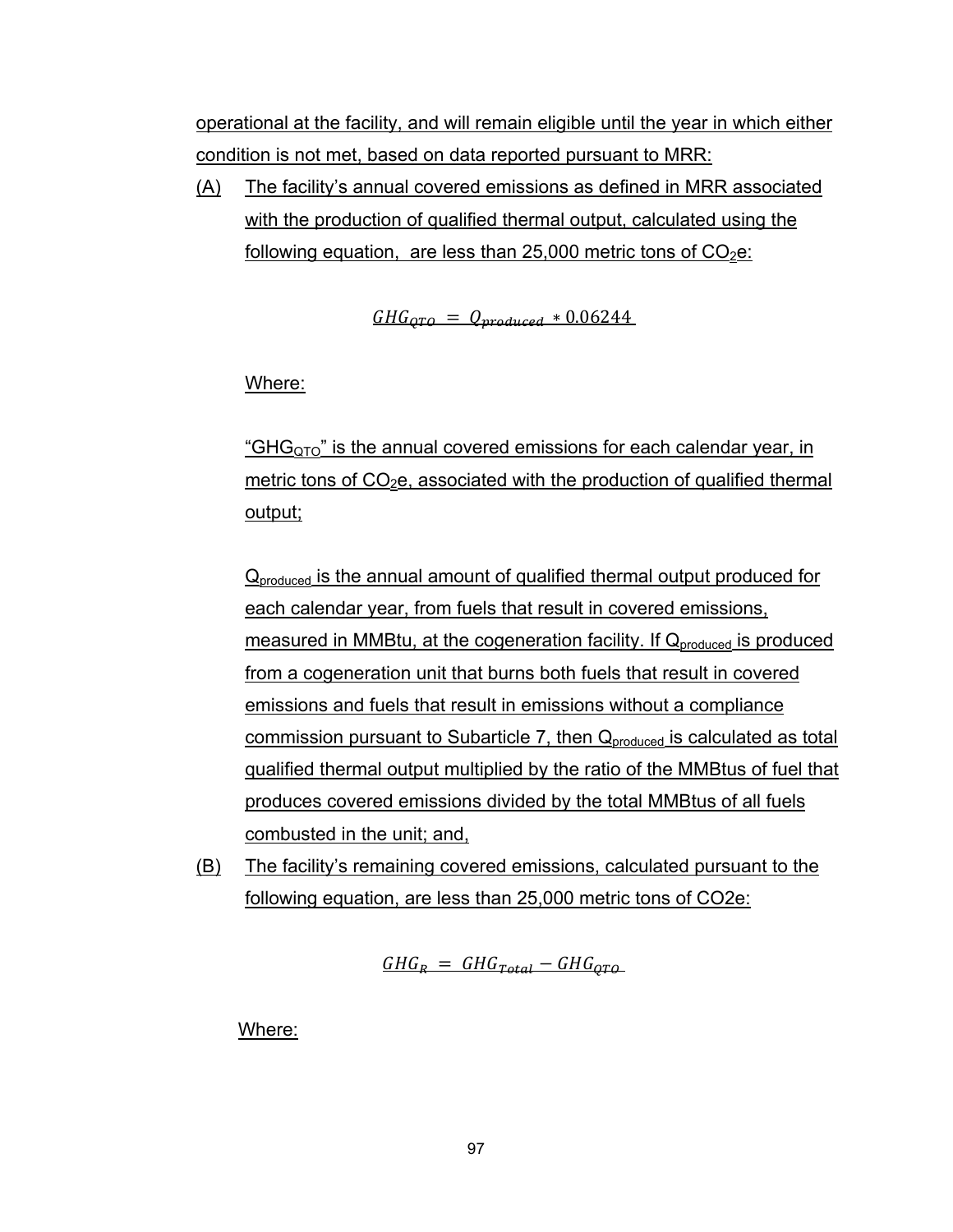operational at the facility, and will remain eligible until the year in which either condition is not met, based on data reported pursuant to MRR:

(A) The facility's annual covered emissions as defined in MRR associated with the production of qualified thermal output, calculated using the following equation, are less than 25,000 metric tons of  $CO<sub>2</sub>e$ .

 $GHG_{OTO} = Q_{produced} * 0.06244$ 

Where:

"GH $G<sub>OTO</sub>$ " is the annual covered emissions for each calendar year, in metric tons of  $CO<sub>2</sub>e$ , associated with the production of qualified thermal output;

Q<sub>produced</sub> is the annual amount of qualified thermal output produced for each calendar year, from fuels that result in covered emissions, measured in MMBtu, at the cogeneration facility. If  $Q_{\text{produced}}$  is produced from a cogeneration unit that burns both fuels that result in covered emissions and fuels that result in emissions without a compliance commission pursuant to Subarticle 7, then  $Q_{\text{produced}}$  is calculated as total qualified thermal output multiplied by the ratio of the MMBtus of fuel that produces covered emissions divided by the total MMBtus of all fuels combusted in the unit; and,

(B) The facility's remaining covered emissions, calculated pursuant to the following equation, are less than 25,000 metric tons of CO2e:

 $GHG<sub>B</sub> = GHG<sub>Total</sub> - GHG<sub>OTA</sub>$ 

Where: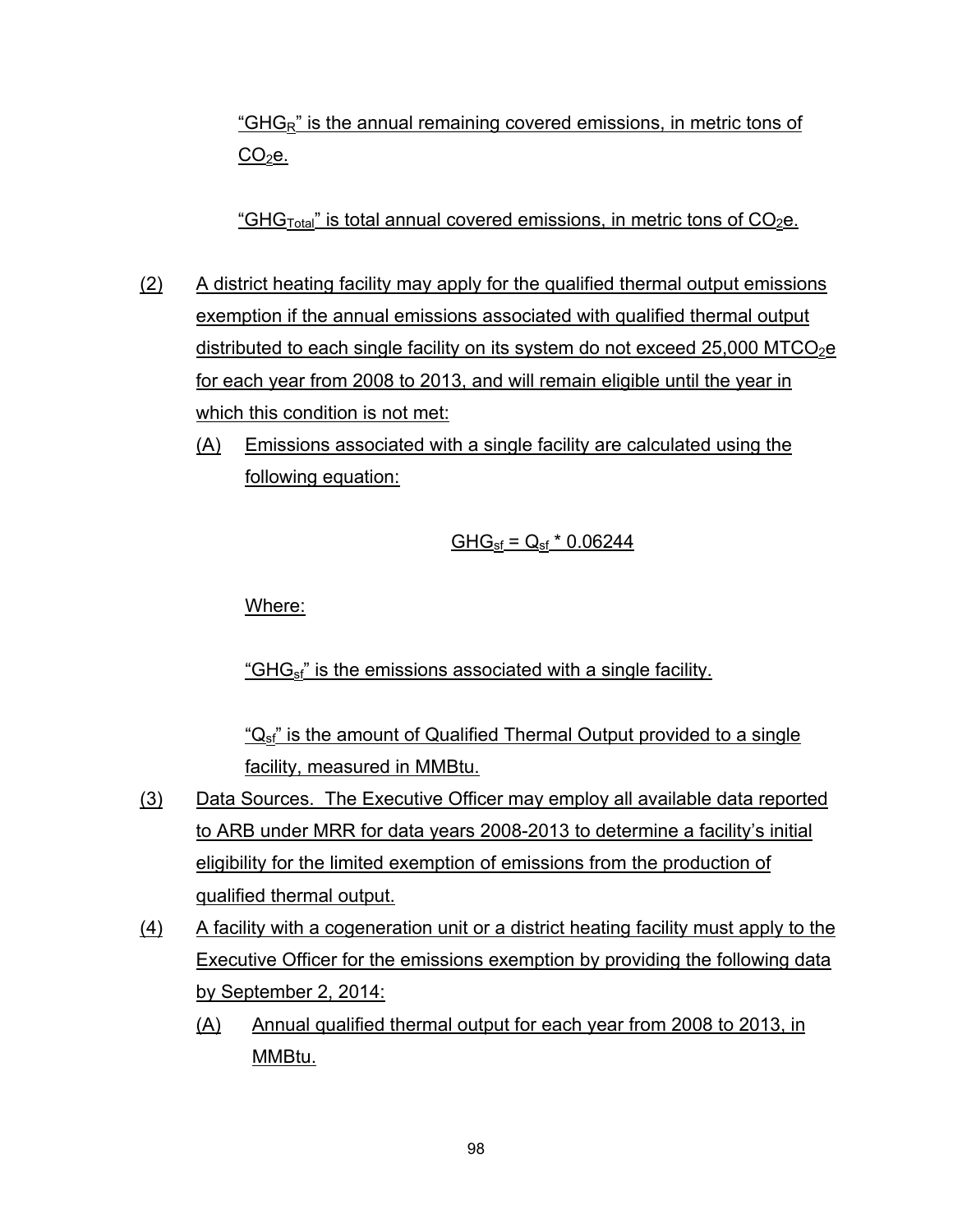"GHG<sub>R</sub>" is the annual remaining covered emissions, in metric tons of  $CO<sub>2</sub>e.$ 

<u>"GHG<sub>Total</sub>" is total annual covered emissions, in metric tons of CO<sub>2</sub>e.</u>

- (2) A district heating facility may apply for the qualified thermal output emissions exemption if the annual emissions associated with qualified thermal output distributed to each single facility on its system do not exceed 25,000 MTCO<sub>2</sub>e for each year from 2008 to 2013, and will remain eligible until the year in which this condition is not met:
	- (A) Emissions associated with a single facility are calculated using the following equation:

## $GHG_{sf} = Q_{sf} * 0.06244$

Where:

"GH $G_{\rm sf}$ " is the emissions associated with a single facility.

" $Q_{sf}$ " is the amount of Qualified Thermal Output provided to a single facility, measured in MMBtu.

- (3) Data Sources. The Executive Officer may employ all available data reported to ARB under MRR for data years 2008-2013 to determine a facility's initial eligibility for the limited exemption of emissions from the production of qualified thermal output.
- (4) A facility with a cogeneration unit or a district heating facility must apply to the Executive Officer for the emissions exemption by providing the following data by September 2, 2014:
	- (A) Annual qualified thermal output for each year from 2008 to 2013, in MMBtu.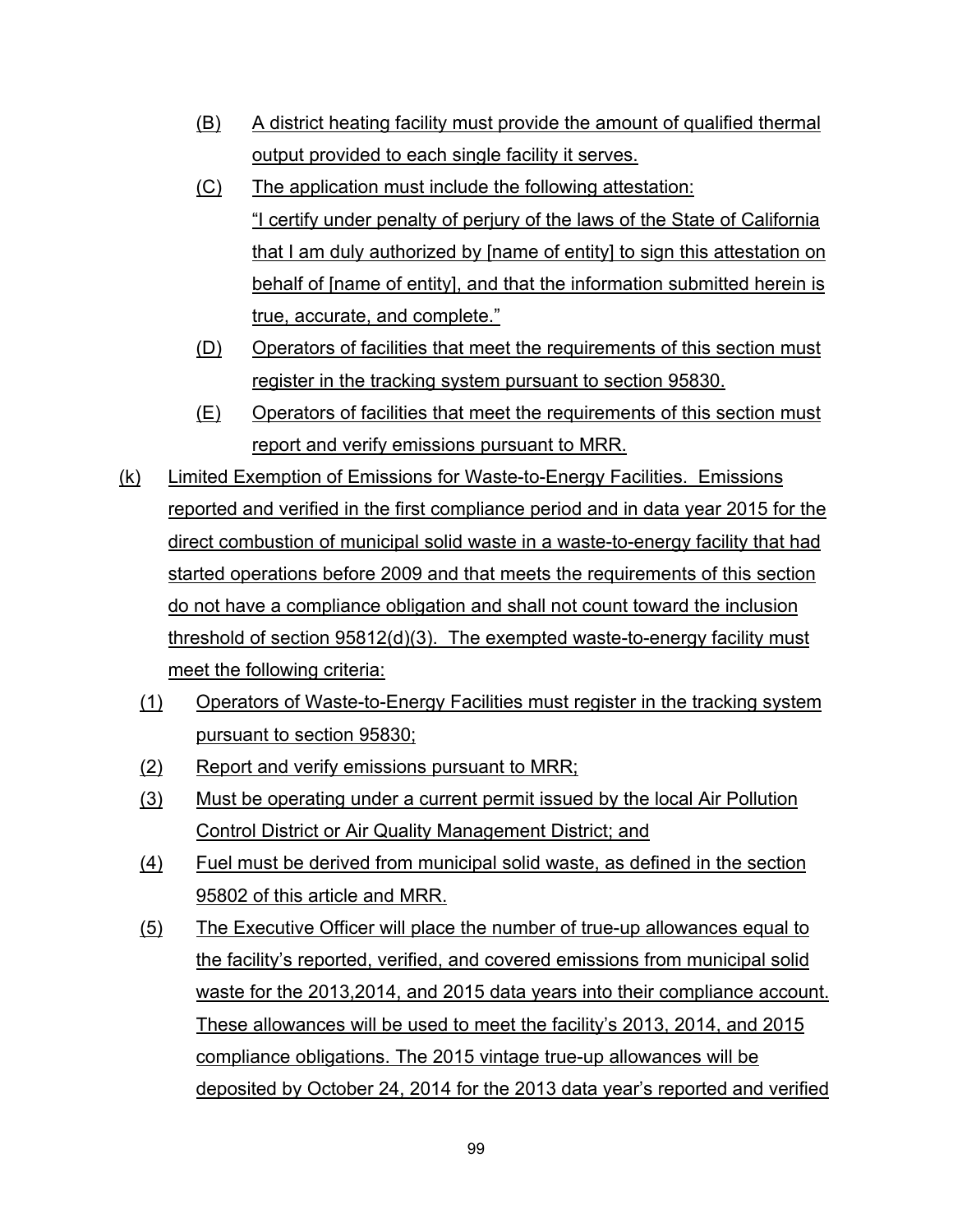- (B) A district heating facility must provide the amount of qualified thermal output provided to each single facility it serves.
- (C) The application must include the following attestation: "I certify under penalty of perjury of the laws of the State of California that I am duly authorized by [name of entity] to sign this attestation on behalf of [name of entity], and that the information submitted herein is true, accurate, and complete."
- (D) Operators of facilities that meet the requirements of this section must register in the tracking system pursuant to section 95830.
- (E) Operators of facilities that meet the requirements of this section must report and verify emissions pursuant to MRR.
- (k) Limited Exemption of Emissions for Waste-to-Energy Facilities. Emissions reported and verified in the first compliance period and in data year 2015 for the direct combustion of municipal solid waste in a waste-to-energy facility that had started operations before 2009 and that meets the requirements of this section do not have a compliance obligation and shall not count toward the inclusion threshold of section 95812(d)(3). The exempted waste-to-energy facility must meet the following criteria:
	- (1) Operators of Waste-to-Energy Facilities must register in the tracking system pursuant to section 95830;
	- (2) Report and verify emissions pursuant to MRR;
	- (3) Must be operating under a current permit issued by the local Air Pollution Control District or Air Quality Management District; and
	- (4) Fuel must be derived from municipal solid waste, as defined in the section 95802 of this article and MRR.
	- (5) The Executive Officer will place the number of true-up allowances equal to the facility's reported, verified, and covered emissions from municipal solid waste for the 2013,2014, and 2015 data years into their compliance account. These allowances will be used to meet the facility's 2013, 2014, and 2015 compliance obligations. The 2015 vintage true-up allowances will be deposited by October 24, 2014 for the 2013 data year's reported and verified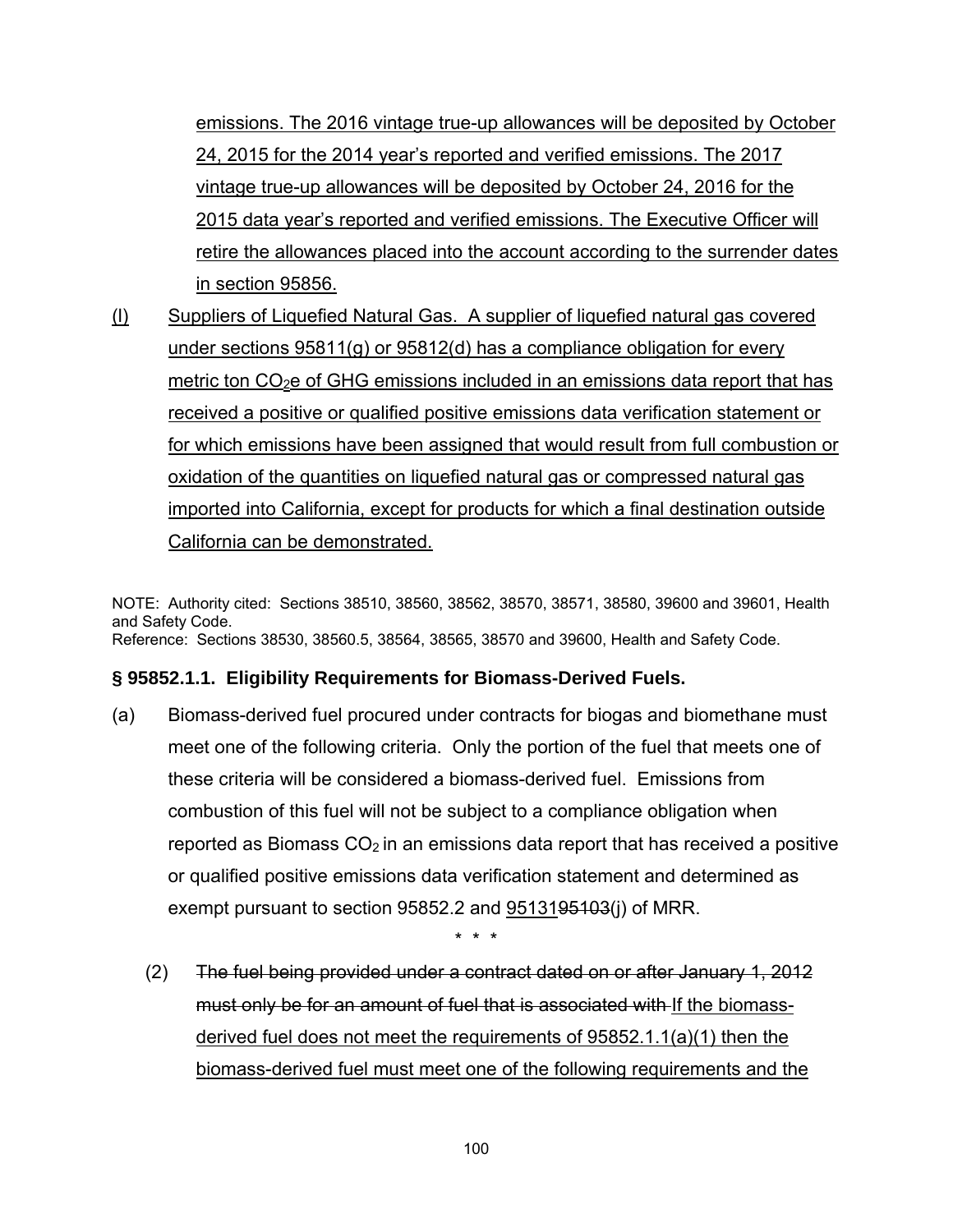emissions. The 2016 vintage true-up allowances will be deposited by October 24, 2015 for the 2014 year's reported and verified emissions. The 2017 vintage true-up allowances will be deposited by October 24, 2016 for the 2015 data year's reported and verified emissions. The Executive Officer will retire the allowances placed into the account according to the surrender dates in section 95856.

(l) Suppliers of Liquefied Natural Gas. A supplier of liquefied natural gas covered under sections 95811(g) or 95812(d) has a compliance obligation for every metric ton  $CO<sub>2</sub>e$  of GHG emissions included in an emissions data report that has received a positive or qualified positive emissions data verification statement or for which emissions have been assigned that would result from full combustion or oxidation of the quantities on liquefied natural gas or compressed natural gas imported into California, except for products for which a final destination outside California can be demonstrated.

NOTE: Authority cited: Sections 38510, 38560, 38562, 38570, 38571, 38580, 39600 and 39601, Health and Safety Code. Reference: Sections 38530, 38560.5, 38564, 38565, 38570 and 39600, Health and Safety Code.

#### **§ 95852.1.1. Eligibility Requirements for Biomass-Derived Fuels.**

(a) Biomass-derived fuel procured under contracts for biogas and biomethane must meet one of the following criteria. Only the portion of the fuel that meets one of these criteria will be considered a biomass-derived fuel. Emissions from combustion of this fuel will not be subject to a compliance obligation when reported as Biomass  $CO<sub>2</sub>$  in an emissions data report that has received a positive or qualified positive emissions data verification statement and determined as exempt pursuant to section 95852.2 and 95131<del>95103</del>(i) of MRR.

\* \* \*

 (2) The fuel being provided under a contract dated on or after January 1, 2012 must only be for an amount of fuel that is associated with If the biomassderived fuel does not meet the requirements of 95852.1.1(a)(1) then the biomass-derived fuel must meet one of the following requirements and the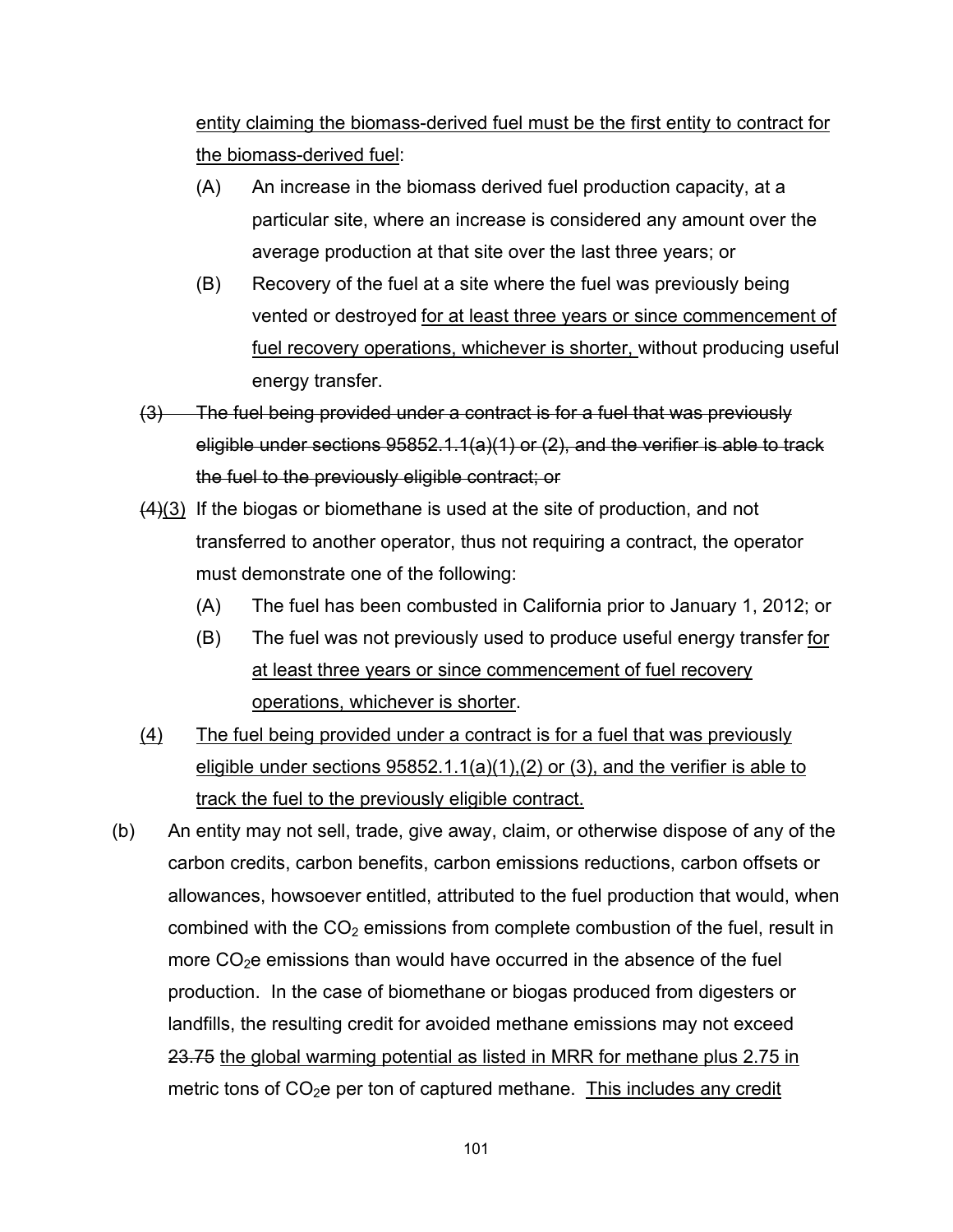entity claiming the biomass-derived fuel must be the first entity to contract for the biomass-derived fuel:

- (A) An increase in the biomass derived fuel production capacity, at a particular site, where an increase is considered any amount over the average production at that site over the last three years; or
- (B) Recovery of the fuel at a site where the fuel was previously being vented or destroyed for at least three years or since commencement of fuel recovery operations, whichever is shorter, without producing useful energy transfer.
- (3) The fuel being provided under a contract is for a fuel that was previously eligible under sections 95852.1.1(a)(1) or (2), and the verifier is able to track the fuel to the previously eligible contract; or
- $(4)(3)$  If the biogas or biomethane is used at the site of production, and not transferred to another operator, thus not requiring a contract, the operator must demonstrate one of the following:
	- (A) The fuel has been combusted in California prior to January 1, 2012; or
	- (B) The fuel was not previously used to produce useful energy transfer for at least three years or since commencement of fuel recovery operations, whichever is shorter.
- (4) The fuel being provided under a contract is for a fuel that was previously eligible under sections 95852.1.1(a)(1),(2) or (3), and the verifier is able to track the fuel to the previously eligible contract.
- (b) An entity may not sell, trade, give away, claim, or otherwise dispose of any of the carbon credits, carbon benefits, carbon emissions reductions, carbon offsets or allowances, howsoever entitled, attributed to the fuel production that would, when combined with the  $CO<sub>2</sub>$  emissions from complete combustion of the fuel, result in more  $CO<sub>2</sub>e$  emissions than would have occurred in the absence of the fuel production. In the case of biomethane or biogas produced from digesters or landfills, the resulting credit for avoided methane emissions may not exceed 23.75 the global warming potential as listed in MRR for methane plus 2.75 in metric tons of  $CO<sub>2</sub>e$  per ton of captured methane. This includes any credit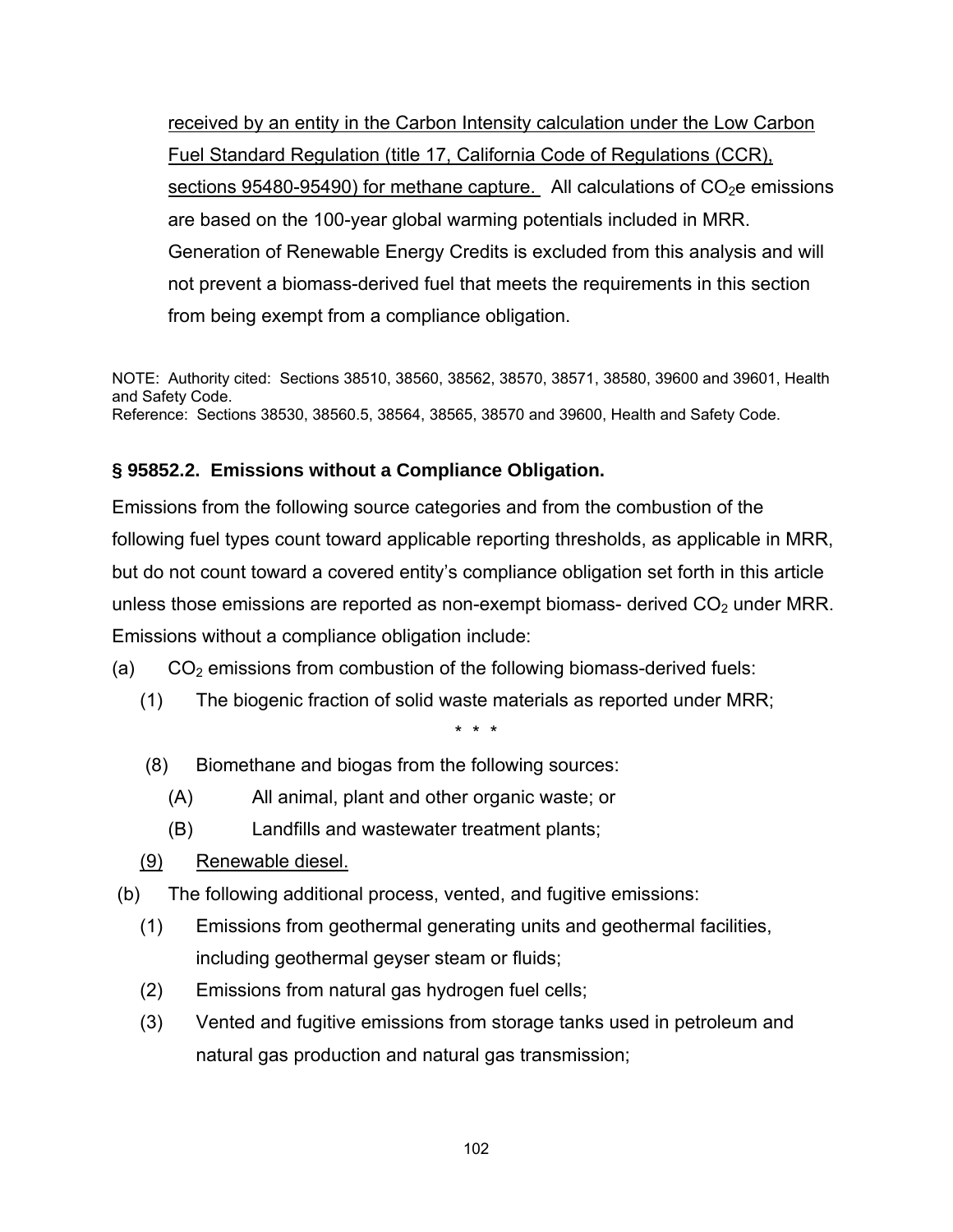received by an entity in the Carbon Intensity calculation under the Low Carbon Fuel Standard Regulation (title 17, California Code of Regulations (CCR), sections  $95480-95490$ ) for methane capture. All calculations of  $CO<sub>2</sub>e$  emissions are based on the 100-year global warming potentials included in MRR. Generation of Renewable Energy Credits is excluded from this analysis and will not prevent a biomass-derived fuel that meets the requirements in this section from being exempt from a compliance obligation.

NOTE: Authority cited: Sections 38510, 38560, 38562, 38570, 38571, 38580, 39600 and 39601, Health and Safety Code. Reference: Sections 38530, 38560.5, 38564, 38565, 38570 and 39600, Health and Safety Code.

## **§ 95852.2. Emissions without a Compliance Obligation.**

Emissions from the following source categories and from the combustion of the following fuel types count toward applicable reporting thresholds, as applicable in MRR, but do not count toward a covered entity's compliance obligation set forth in this article unless those emissions are reported as non-exempt biomass- derived  $CO<sub>2</sub>$  under MRR. Emissions without a compliance obligation include:

- (a)  $CO<sub>2</sub>$  emissions from combustion of the following biomass-derived fuels:
	- (1) The biogenic fraction of solid waste materials as reported under MRR;

- (8) Biomethane and biogas from the following sources:
	- (A) All animal, plant and other organic waste; or
	- (B) Landfills and wastewater treatment plants;
- (9) Renewable diesel.
- (b) The following additional process, vented, and fugitive emissions:
	- (1) Emissions from geothermal generating units and geothermal facilities, including geothermal geyser steam or fluids;
	- (2) Emissions from natural gas hydrogen fuel cells;
	- (3) Vented and fugitive emissions from storage tanks used in petroleum and natural gas production and natural gas transmission;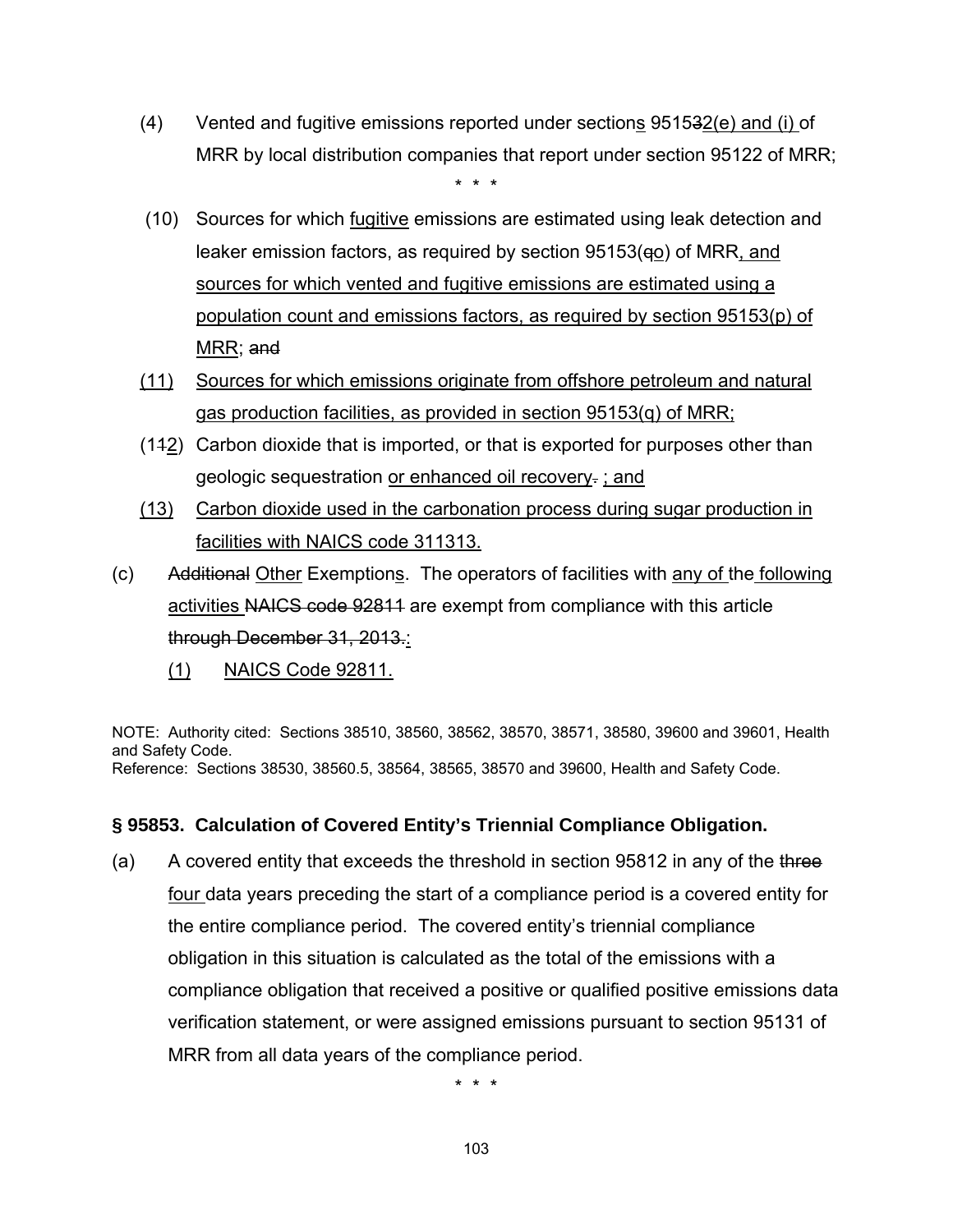(4) Vented and fugitive emissions reported under sections  $951532(e)$  and (i) of MRR by local distribution companies that report under section 95122 of MRR;

\* \* \*

- (10) Sources for which fugitive emissions are estimated using leak detection and leaker emission factors, as required by section  $95153(qo)$  of MRR, and sources for which vented and fugitive emissions are estimated using a population count and emissions factors, as required by section 95153(p) of MRR; and
- (11) Sources for which emissions originate from offshore petroleum and natural gas production facilities, as provided in section 95153(q) of MRR;
- (112) Carbon dioxide that is imported, or that is exported for purposes other than geologic sequestration or enhanced oil recovery. ; and
- (13) Carbon dioxide used in the carbonation process during sugar production in facilities with NAICS code 311313.
- (c) Additional Other Exemptions. The operators of facilities with any of the following activities NAICS code 92811 are exempt from compliance with this article through December 31, 2013.:
	- (1) NAICS Code 92811.

NOTE: Authority cited: Sections 38510, 38560, 38562, 38570, 38571, 38580, 39600 and 39601, Health and Safety Code. Reference: Sections 38530, 38560.5, 38564, 38565, 38570 and 39600, Health and Safety Code.

## **§ 95853. Calculation of Covered Entity's Triennial Compliance Obligation.**

(a) A covered entity that exceeds the threshold in section  $95812$  in any of the three four data years preceding the start of a compliance period is a covered entity for the entire compliance period. The covered entity's triennial compliance obligation in this situation is calculated as the total of the emissions with a compliance obligation that received a positive or qualified positive emissions data verification statement, or were assigned emissions pursuant to section 95131 of MRR from all data years of the compliance period.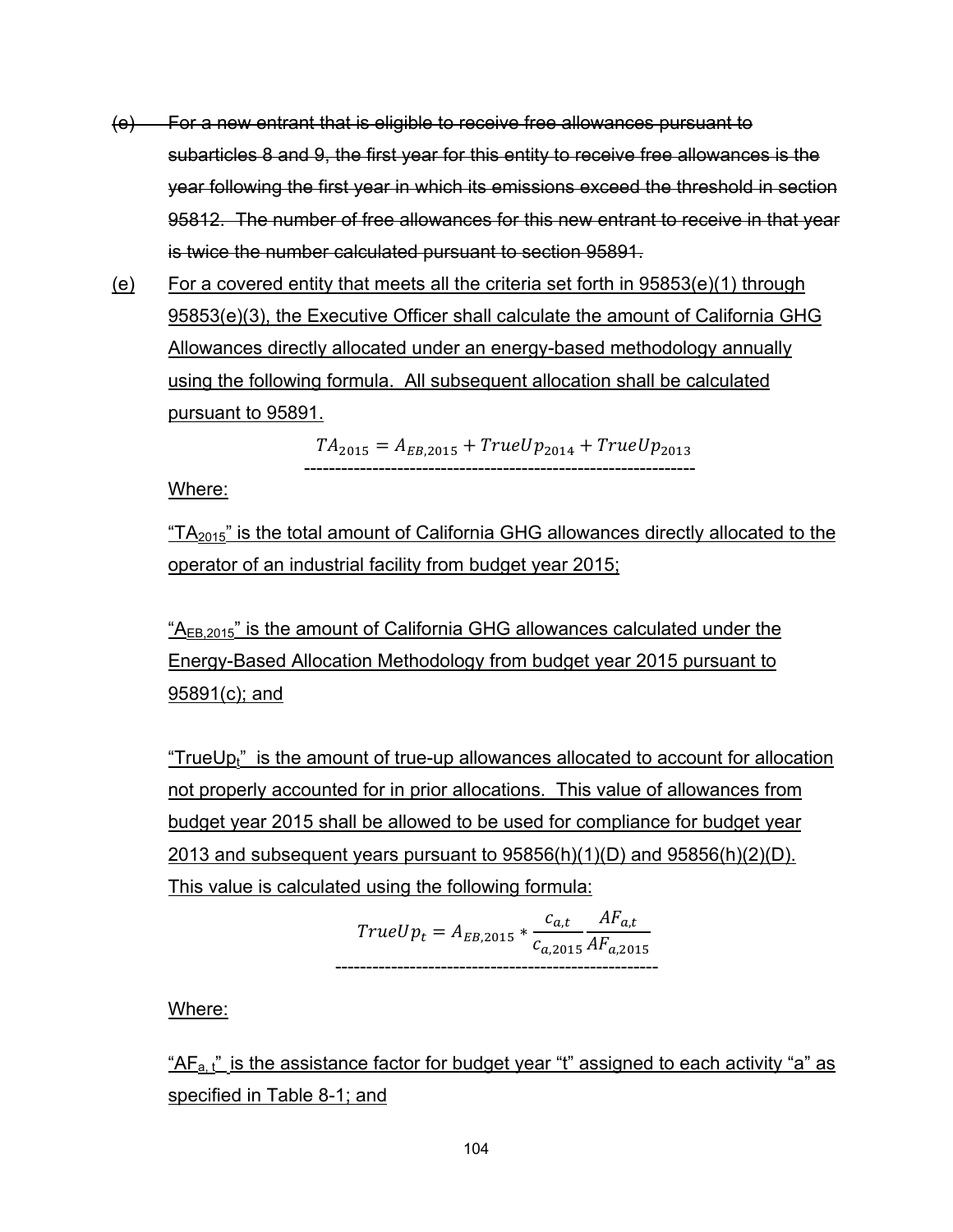- (e) For a new entrant that is eligible to receive free allowances pursuant to subarticles 8 and 9, the first year for this entity to receive free allowances is the year following the first year in which its emissions exceed the threshold in section 95812. The number of free allowances for this new entrant to receive in that year is twice the number calculated pursuant to section 95891.
- (e) For a covered entity that meets all the criteria set forth in 95853(e)(1) through 95853(e)(3), the Executive Officer shall calculate the amount of California GHG Allowances directly allocated under an energy-based methodology annually using the following formula. All subsequent allocation shall be calculated pursuant to 95891.

$$
TA_{2015} = A_{EB,2015} + TrueUp_{2014} + TrueUp_{2013}
$$
.................

Where:

" $TA<sub>2015</sub>$ " is the total amount of California GHG allowances directly allocated to the operator of an industrial facility from budget year 2015;

 $A_{EB,2015}$ " is the amount of California GHG allowances calculated under the Energy-Based Allocation Methodology from budget year 2015 pursuant to 95891(c); and

"TrueUp $<sub>t</sub>$ " is the amount of true-up allowances allocated to account for allocation</sub> not properly accounted for in prior allocations. This value of allowances from budget year 2015 shall be allowed to be used for compliance for budget year 2013 and subsequent years pursuant to  $95856(h)(1)(D)$  and  $95856(h)(2)(D)$ . This value is calculated using the following formula:

$$
TrueUp_t = A_{EB,2015} * \frac{c_{a,t}}{c_{a,2015}} \frac{AF_{a,t}}{AF_{a,2015}}
$$

Where:

" $AF_{a,t}$ " is the assistance factor for budget year "t" assigned to each activity "a" as specified in Table 8-1; and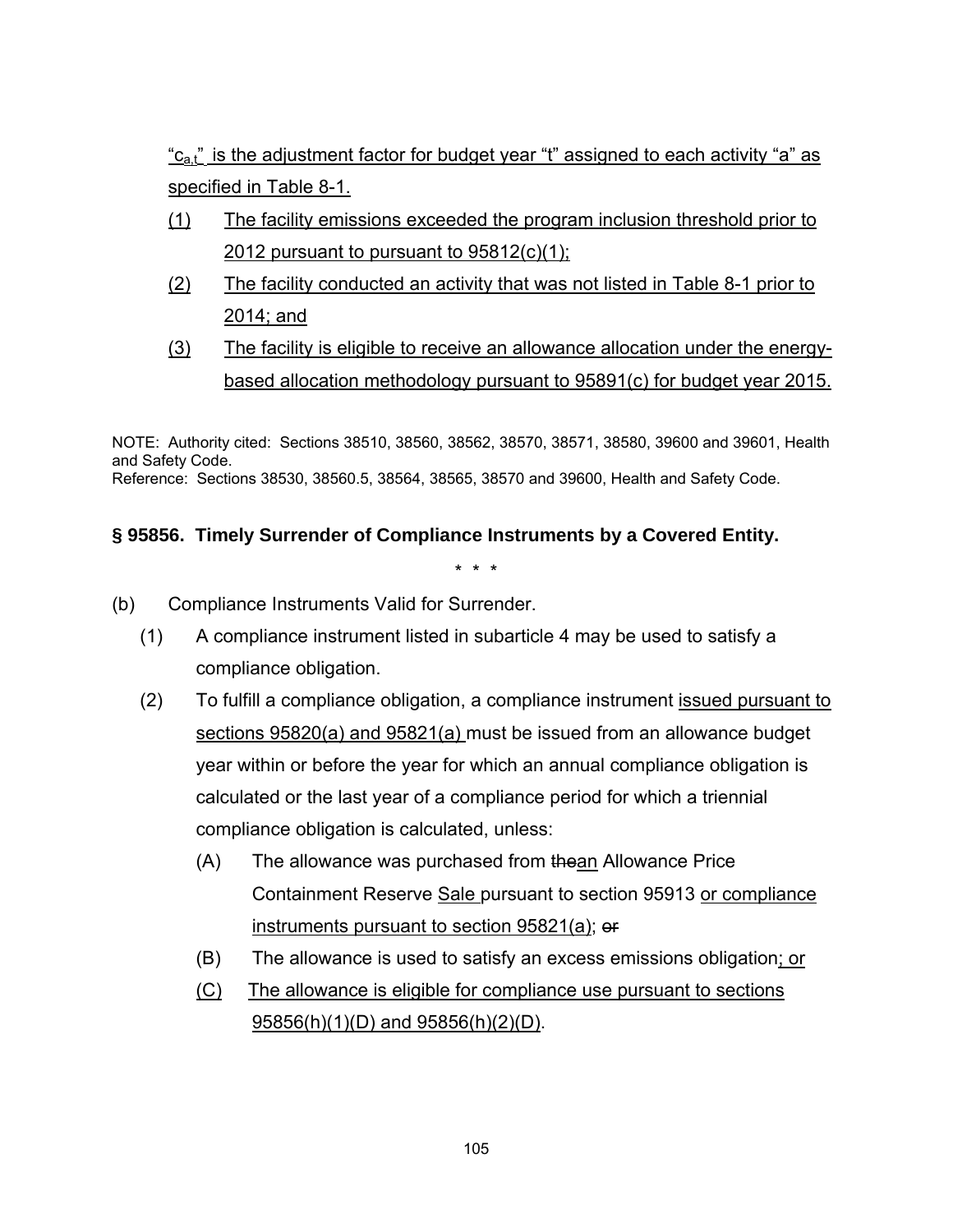" $c_{a}t$ " is the adjustment factor for budget year "t" assigned to each activity "a" as specified in Table 8-1.

- (1) The facility emissions exceeded the program inclusion threshold prior to 2012 pursuant to pursuant to 95812(c)(1);
- (2) The facility conducted an activity that was not listed in Table 8-1 prior to 2014; and
- (3) The facility is eligible to receive an allowance allocation under the energybased allocation methodology pursuant to 95891(c) for budget year 2015.

NOTE: Authority cited: Sections 38510, 38560, 38562, 38570, 38571, 38580, 39600 and 39601, Health and Safety Code. Reference: Sections 38530, 38560.5, 38564, 38565, 38570 and 39600, Health and Safety Code.

## **§ 95856. Timely Surrender of Compliance Instruments by a Covered Entity.**

- (b) Compliance Instruments Valid for Surrender.
	- (1) A compliance instrument listed in subarticle 4 may be used to satisfy a compliance obligation.
	- (2) To fulfill a compliance obligation, a compliance instrument issued pursuant to sections 95820(a) and 95821(a) must be issued from an allowance budget year within or before the year for which an annual compliance obligation is calculated or the last year of a compliance period for which a triennial compliance obligation is calculated, unless:
		- (A) The allowance was purchased from thean Allowance Price Containment Reserve Sale pursuant to section 95913 or compliance instruments pursuant to section 95821(a); or
		- (B) The allowance is used to satisfy an excess emissions obligation; or
		- (C) The allowance is eligible for compliance use pursuant to sections 95856(h)(1)(D) and 95856(h)(2)(D).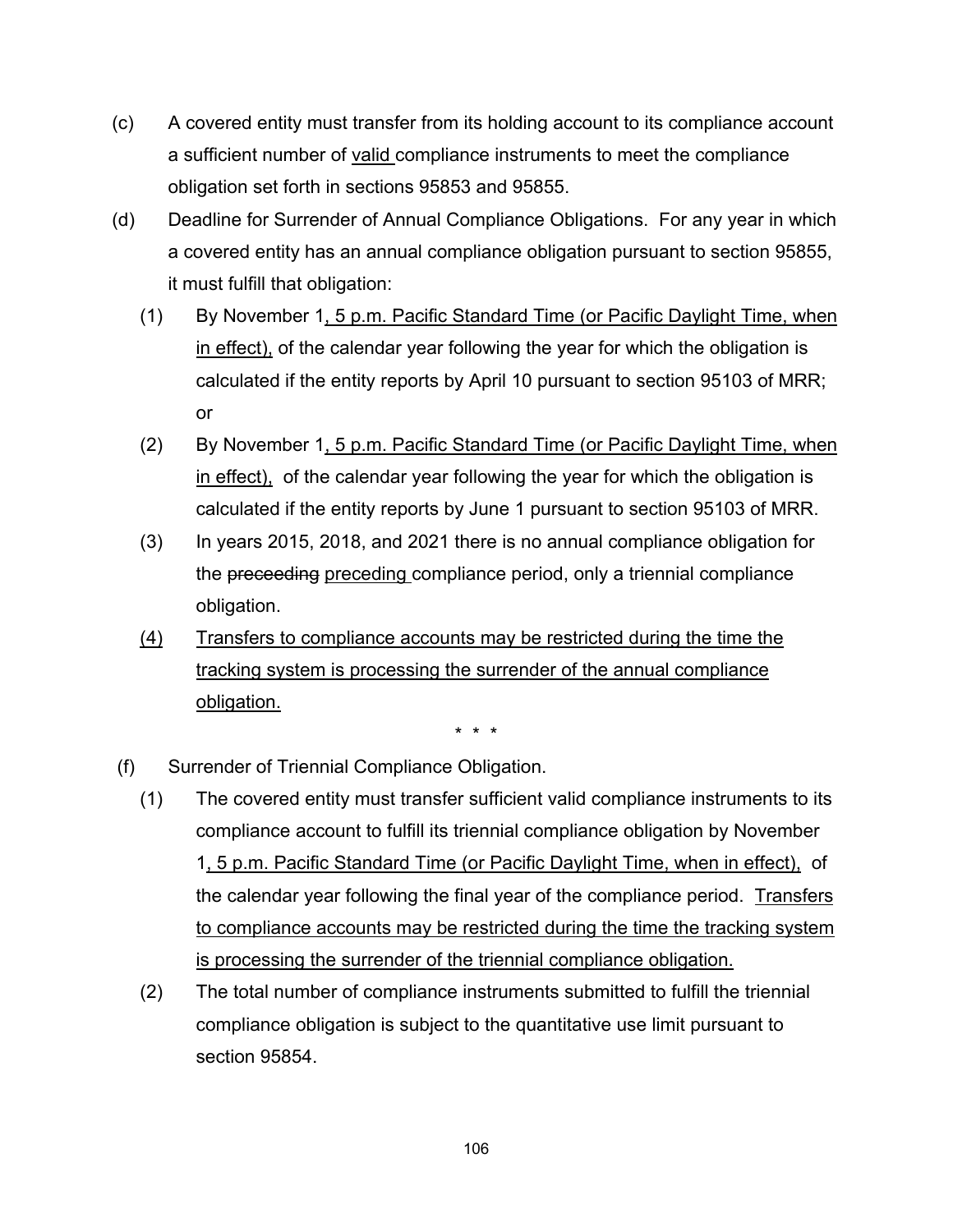- (c) A covered entity must transfer from its holding account to its compliance account a sufficient number of valid compliance instruments to meet the compliance obligation set forth in sections 95853 and 95855.
- (d) Deadline for Surrender of Annual Compliance Obligations. For any year in which a covered entity has an annual compliance obligation pursuant to section 95855, it must fulfill that obligation:
	- (1) By November 1, 5 p.m. Pacific Standard Time (or Pacific Daylight Time, when in effect), of the calendar year following the year for which the obligation is calculated if the entity reports by April 10 pursuant to section 95103 of MRR; or
	- (2) By November 1, 5 p.m. Pacific Standard Time (or Pacific Daylight Time, when in effect), of the calendar year following the year for which the obligation is calculated if the entity reports by June 1 pursuant to section 95103 of MRR.
	- (3) In years 2015, 2018, and 2021 there is no annual compliance obligation for the preceeding preceding compliance period, only a triennial compliance obligation.
	- (4) Transfers to compliance accounts may be restricted during the time the tracking system is processing the surrender of the annual compliance obligation.

- (f) Surrender of Triennial Compliance Obligation.
	- (1) The covered entity must transfer sufficient valid compliance instruments to its compliance account to fulfill its triennial compliance obligation by November 1, 5 p.m. Pacific Standard Time (or Pacific Daylight Time, when in effect), of the calendar year following the final year of the compliance period. Transfers to compliance accounts may be restricted during the time the tracking system is processing the surrender of the triennial compliance obligation.
	- (2) The total number of compliance instruments submitted to fulfill the triennial compliance obligation is subject to the quantitative use limit pursuant to section 95854.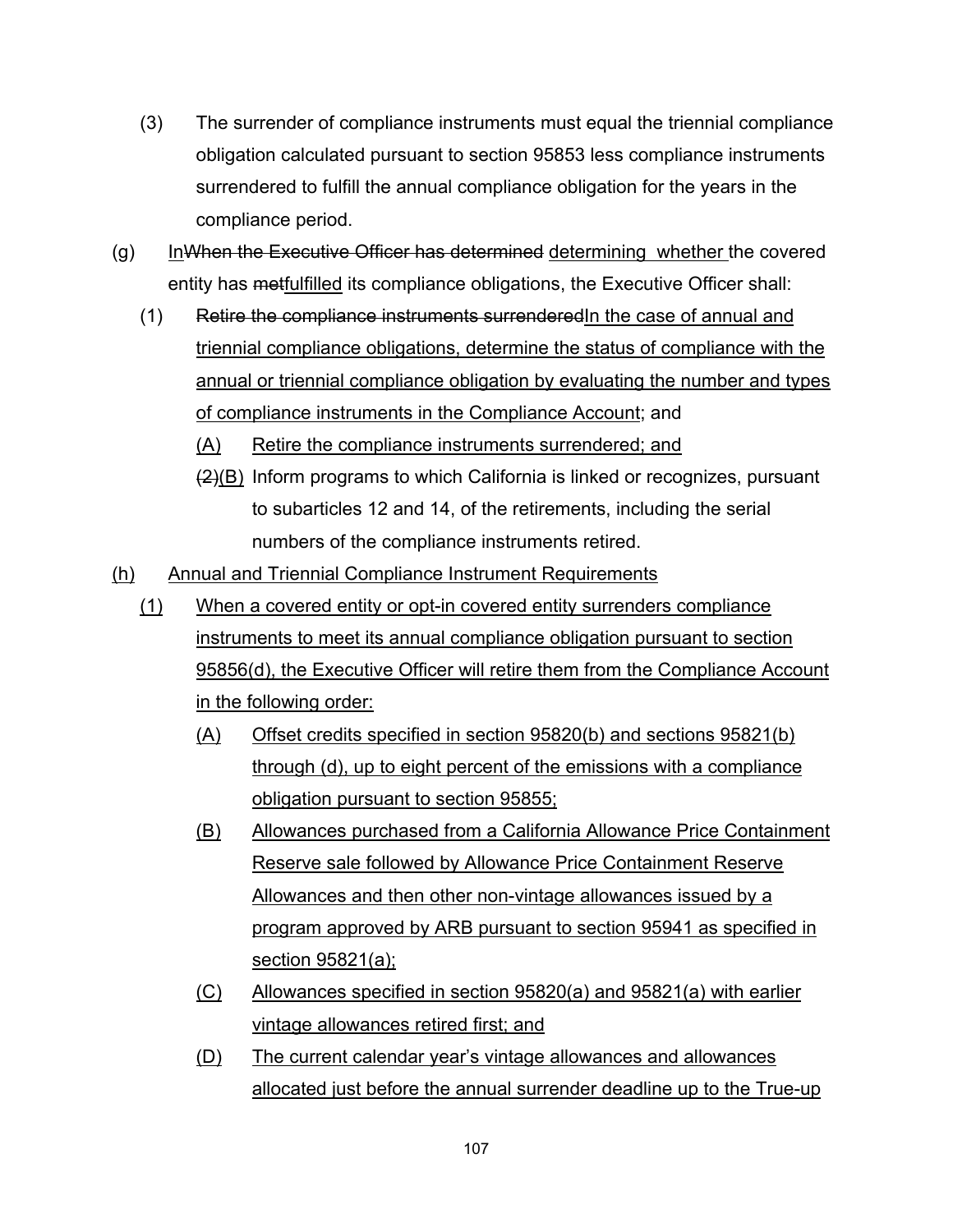- (3) The surrender of compliance instruments must equal the triennial compliance obligation calculated pursuant to section 95853 less compliance instruments surrendered to fulfill the annual compliance obligation for the years in the compliance period.
- $(g)$  InWhen the Executive Officer has determined determining whether the covered entity has metfulfilled its compliance obligations, the Executive Officer shall:
	- (1) Retire the compliance instruments surrenderedIn the case of annual and triennial compliance obligations, determine the status of compliance with the annual or triennial compliance obligation by evaluating the number and types of compliance instruments in the Compliance Account; and
		- (A) Retire the compliance instruments surrendered; and
		- $(2)(B)$  Inform programs to which California is linked or recognizes, pursuant to subarticles 12 and 14, of the retirements, including the serial numbers of the compliance instruments retired.
- (h) Annual and Triennial Compliance Instrument Requirements
	- (1) When a covered entity or opt-in covered entity surrenders compliance instruments to meet its annual compliance obligation pursuant to section 95856(d), the Executive Officer will retire them from the Compliance Account in the following order:
		- (A) Offset credits specified in section 95820(b) and sections 95821(b) through (d), up to eight percent of the emissions with a compliance obligation pursuant to section 95855;
		- (B) Allowances purchased from a California Allowance Price Containment Reserve sale followed by Allowance Price Containment Reserve Allowances and then other non-vintage allowances issued by a program approved by ARB pursuant to section 95941 as specified in section 95821(a);
		- (C) Allowances specified in section 95820(a) and 95821(a) with earlier vintage allowances retired first; and
		- (D) The current calendar year's vintage allowances and allowances allocated just before the annual surrender deadline up to the True-up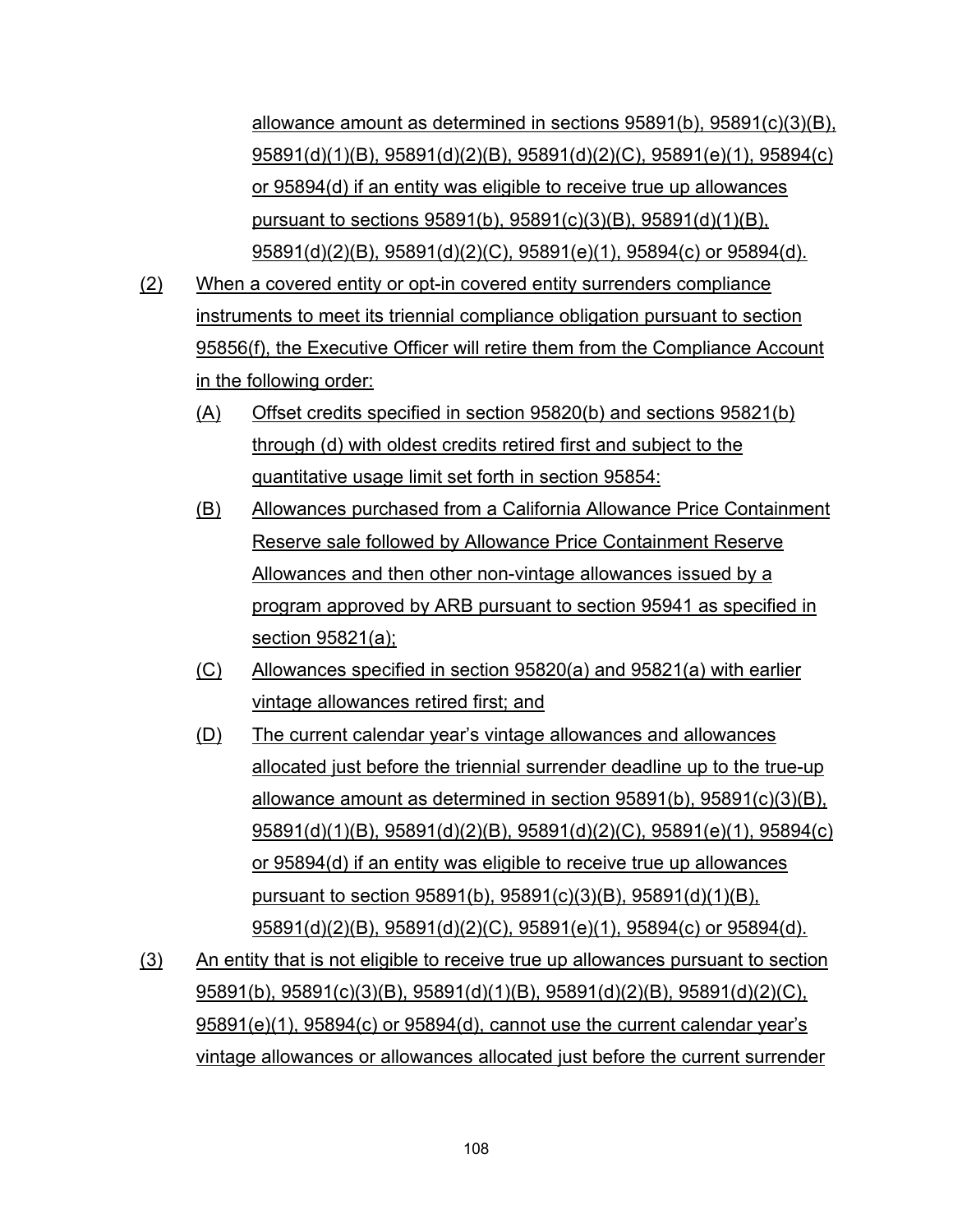allowance amount as determined in sections 95891(b), 95891(c)(3)(B), 95891(d)(1)(B), 95891(d)(2)(B), 95891(d)(2)(C), 95891(e)(1), 95894(c) or 95894(d) if an entity was eligible to receive true up allowances pursuant to sections 95891(b), 95891(c)(3)(B), 95891(d)(1)(B), 95891(d)(2)(B), 95891(d)(2)(C), 95891(e)(1), 95894(c) or 95894(d).

- (2) When a covered entity or opt-in covered entity surrenders compliance instruments to meet its triennial compliance obligation pursuant to section 95856(f), the Executive Officer will retire them from the Compliance Account in the following order:
	- (A) Offset credits specified in section 95820(b) and sections 95821(b) through (d) with oldest credits retired first and subject to the quantitative usage limit set forth in section 95854:
	- (B) Allowances purchased from a California Allowance Price Containment Reserve sale followed by Allowance Price Containment Reserve Allowances and then other non-vintage allowances issued by a program approved by ARB pursuant to section 95941 as specified in section 95821(a);
	- (C) Allowances specified in section 95820(a) and 95821(a) with earlier vintage allowances retired first; and
	- (D) The current calendar year's vintage allowances and allowances allocated just before the triennial surrender deadline up to the true-up allowance amount as determined in section 95891(b), 95891(c)(3)(B), 95891(d)(1)(B), 95891(d)(2)(B), 95891(d)(2)(C), 95891(e)(1), 95894(c) or 95894(d) if an entity was eligible to receive true up allowances pursuant to section 95891(b), 95891(c)(3)(B), 95891(d)(1)(B), 95891(d)(2)(B), 95891(d)(2)(C), 95891(e)(1), 95894(c) or 95894(d).
- (3) An entity that is not eligible to receive true up allowances pursuant to section 95891(b), 95891(c)(3)(B), 95891(d)(1)(B), 95891(d)(2)(B), 95891(d)(2)(C), 95891(e)(1), 95894(c) or 95894(d), cannot use the current calendar year's vintage allowances or allowances allocated just before the current surrender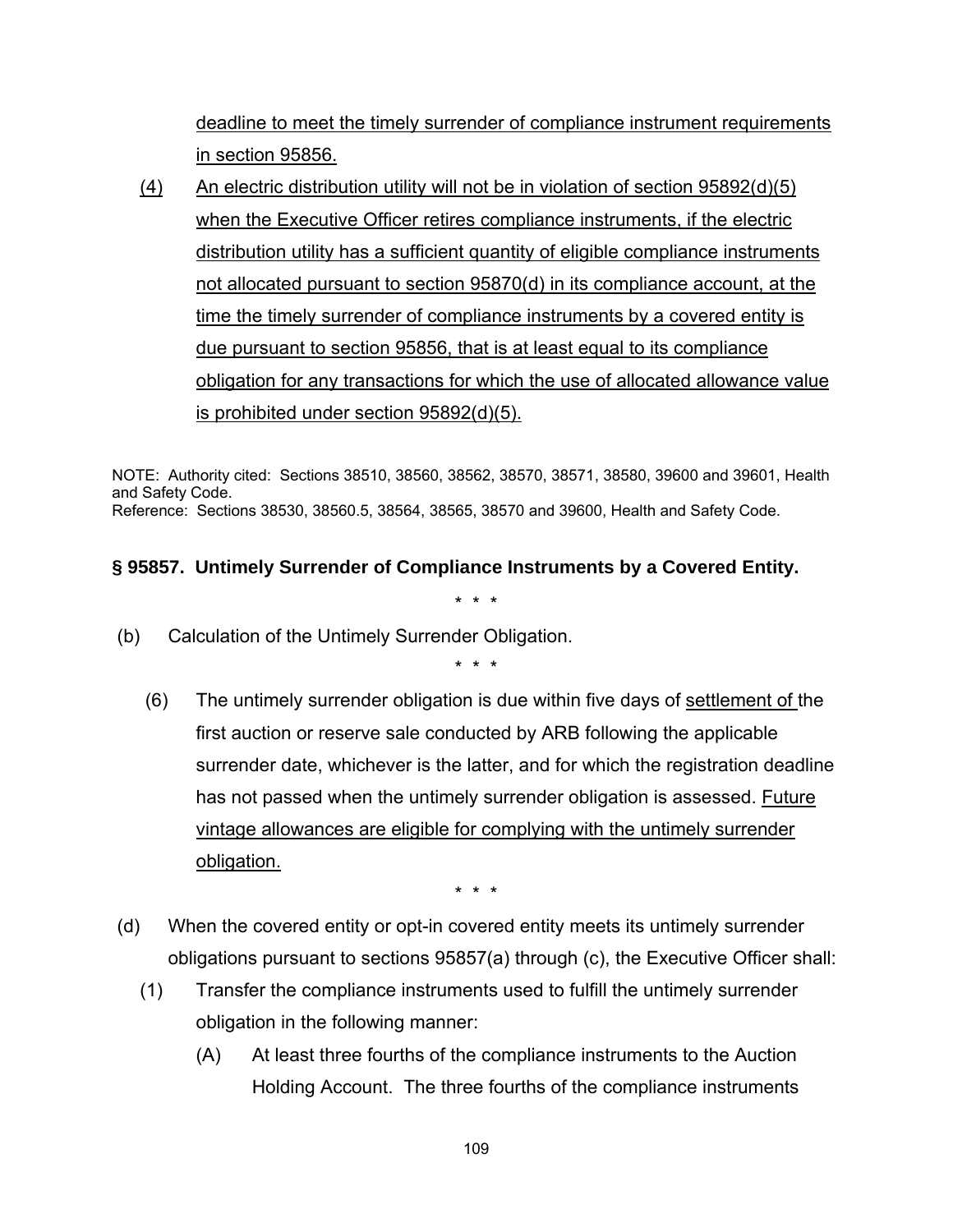deadline to meet the timely surrender of compliance instrument requirements in section 95856.

(4) An electric distribution utility will not be in violation of section 95892(d)(5) when the Executive Officer retires compliance instruments, if the electric distribution utility has a sufficient quantity of eligible compliance instruments not allocated pursuant to section 95870(d) in its compliance account, at the time the timely surrender of compliance instruments by a covered entity is due pursuant to section 95856, that is at least equal to its compliance obligation for any transactions for which the use of allocated allowance value is prohibited under section 95892(d)(5).

NOTE: Authority cited: Sections 38510, 38560, 38562, 38570, 38571, 38580, 39600 and 39601, Health and Safety Code. Reference: Sections 38530, 38560.5, 38564, 38565, 38570 and 39600, Health and Safety Code.

# **§ 95857. Untimely Surrender of Compliance Instruments by a Covered Entity.**

(b) Calculation of the Untimely Surrender Obligation.

\* \* \*

\* \* \*

 (6) The untimely surrender obligation is due within five days of settlement of the first auction or reserve sale conducted by ARB following the applicable surrender date, whichever is the latter, and for which the registration deadline has not passed when the untimely surrender obligation is assessed. Future vintage allowances are eligible for complying with the untimely surrender obligation.

\* \* \*

- (d) When the covered entity or opt-in covered entity meets its untimely surrender obligations pursuant to sections 95857(a) through (c), the Executive Officer shall:
	- (1) Transfer the compliance instruments used to fulfill the untimely surrender obligation in the following manner:
		- (A) At least three fourths of the compliance instruments to the Auction Holding Account. The three fourths of the compliance instruments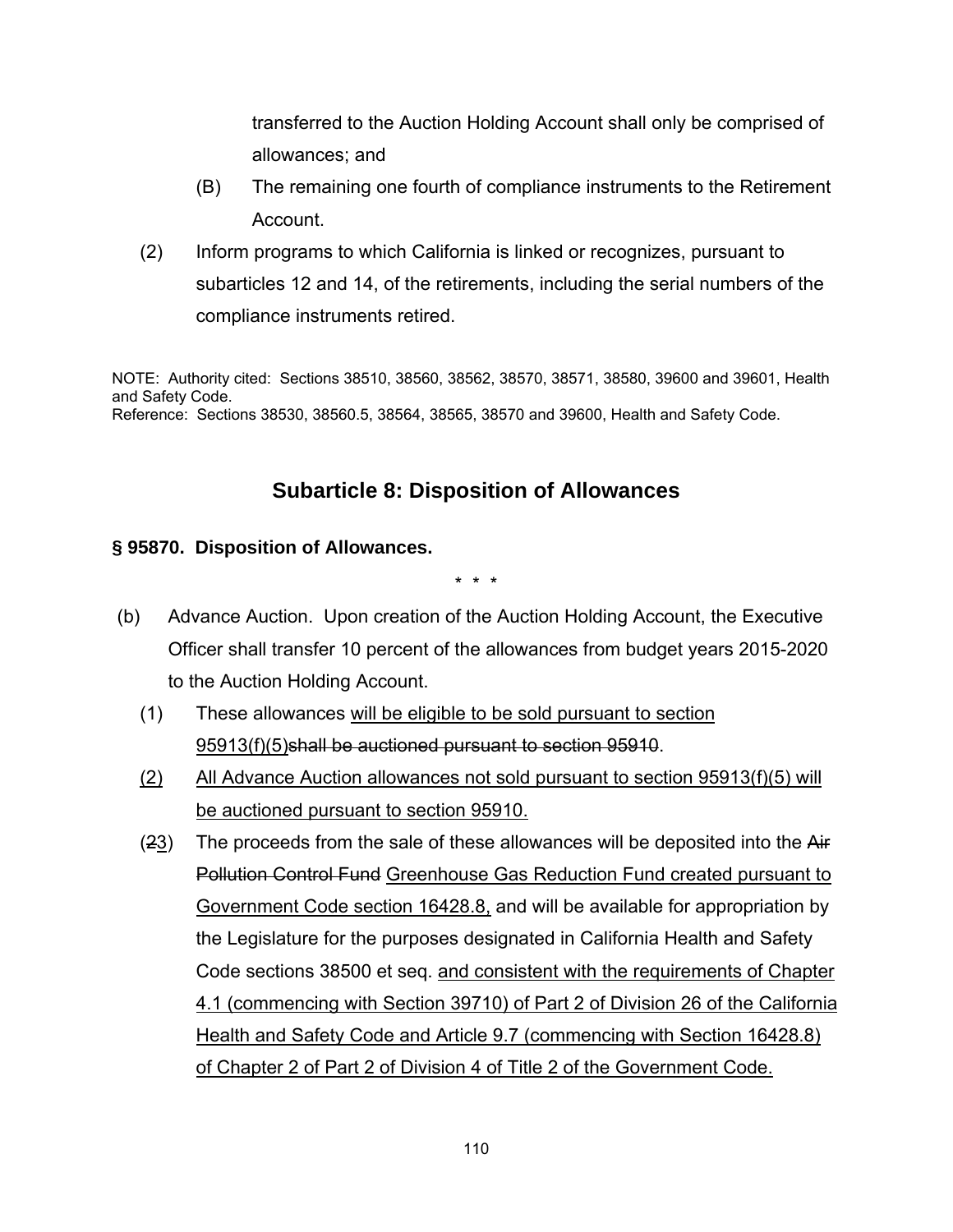transferred to the Auction Holding Account shall only be comprised of allowances; and

- (B) The remaining one fourth of compliance instruments to the Retirement Account.
- (2) Inform programs to which California is linked or recognizes, pursuant to subarticles 12 and 14, of the retirements, including the serial numbers of the compliance instruments retired.

NOTE: Authority cited: Sections 38510, 38560, 38562, 38570, 38571, 38580, 39600 and 39601, Health and Safety Code. Reference: Sections 38530, 38560.5, 38564, 38565, 38570 and 39600, Health and Safety Code.

## **Subarticle 8: Disposition of Allowances**

### **§ 95870. Disposition of Allowances.**

\* \* \*

- (b) Advance Auction. Upon creation of the Auction Holding Account, the Executive Officer shall transfer 10 percent of the allowances from budget years 2015-2020 to the Auction Holding Account.
	- (1) These allowances will be eligible to be sold pursuant to section 95913(f)(5)shall be auctioned pursuant to section 95910.
	- (2) All Advance Auction allowances not sold pursuant to section 95913(f)(5) will be auctioned pursuant to section 95910.
	- (23) The proceeds from the sale of these allowances will be deposited into the Air Pollution Control Fund Greenhouse Gas Reduction Fund created pursuant to Government Code section 16428.8, and will be available for appropriation by the Legislature for the purposes designated in California Health and Safety Code sections 38500 et seq. and consistent with the requirements of Chapter 4.1 (commencing with Section 39710) of Part 2 of Division 26 of the California Health and Safety Code and Article 9.7 (commencing with Section 16428.8) of Chapter 2 of Part 2 of Division 4 of Title 2 of the Government Code.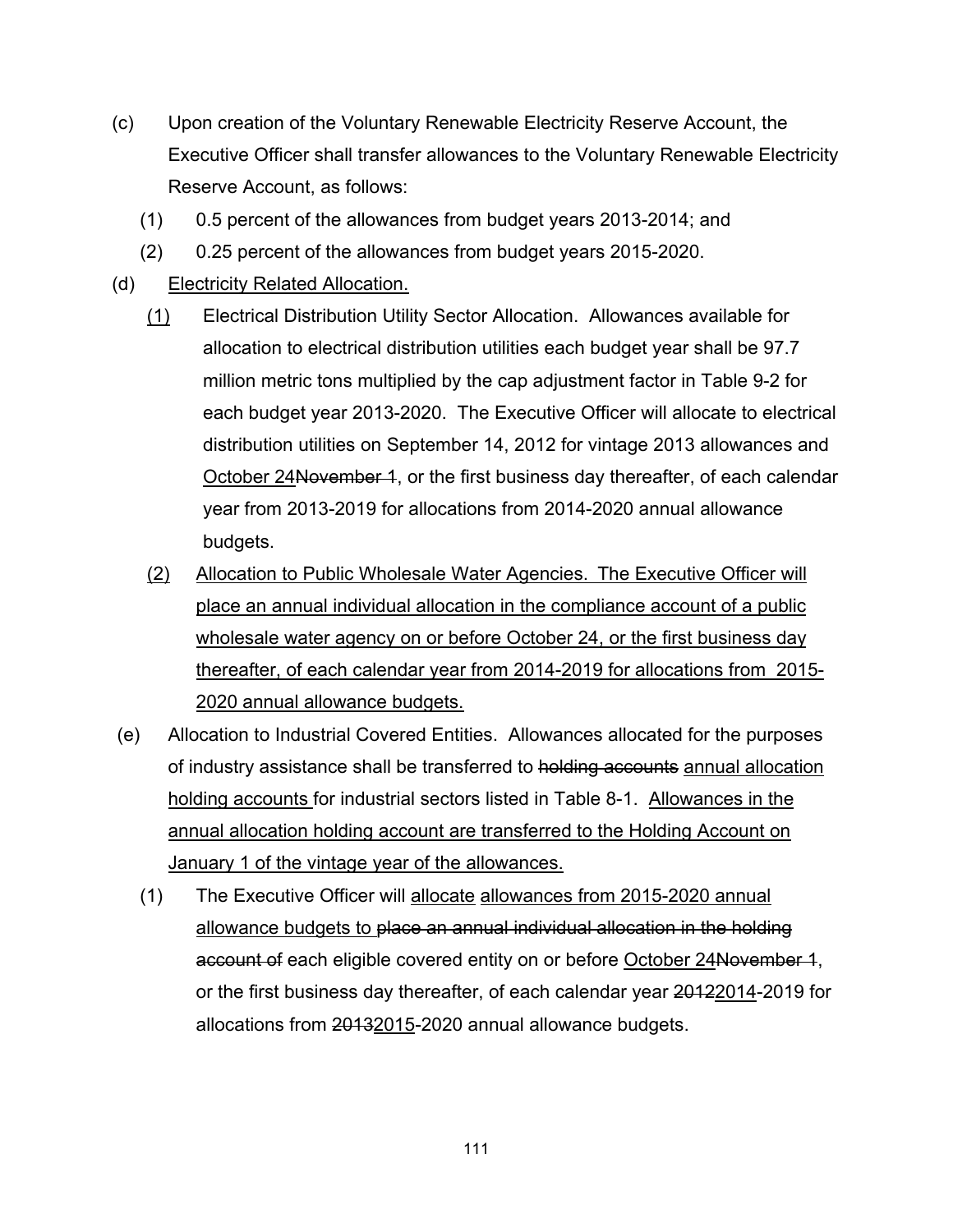- (c) Upon creation of the Voluntary Renewable Electricity Reserve Account, the Executive Officer shall transfer allowances to the Voluntary Renewable Electricity Reserve Account, as follows:
	- (1) 0.5 percent of the allowances from budget years 2013-2014; and
	- (2) 0.25 percent of the allowances from budget years 2015-2020.
- (d) Electricity Related Allocation.
	- (1) Electrical Distribution Utility Sector Allocation. Allowances available for allocation to electrical distribution utilities each budget year shall be 97.7 million metric tons multiplied by the cap adjustment factor in Table 9-2 for each budget year 2013-2020. The Executive Officer will allocate to electrical distribution utilities on September 14, 2012 for vintage 2013 allowances and October 24November 1, or the first business day thereafter, of each calendar year from 2013-2019 for allocations from 2014-2020 annual allowance budgets.
	- (2) Allocation to Public Wholesale Water Agencies. The Executive Officer will place an annual individual allocation in the compliance account of a public wholesale water agency on or before October 24, or the first business day thereafter, of each calendar year from 2014-2019 for allocations from 2015- 2020 annual allowance budgets.
- (e) Allocation to Industrial Covered Entities. Allowances allocated for the purposes of industry assistance shall be transferred to holding accounts annual allocation holding accounts for industrial sectors listed in Table 8-1. Allowances in the annual allocation holding account are transferred to the Holding Account on January 1 of the vintage year of the allowances.
	- (1) The Executive Officer will allocate allowances from 2015-2020 annual allowance budgets to place an annual individual allocation in the holding account of each eligible covered entity on or before October 24November 1, or the first business day thereafter, of each calendar year 20122014-2019 for allocations from 20132015-2020 annual allowance budgets.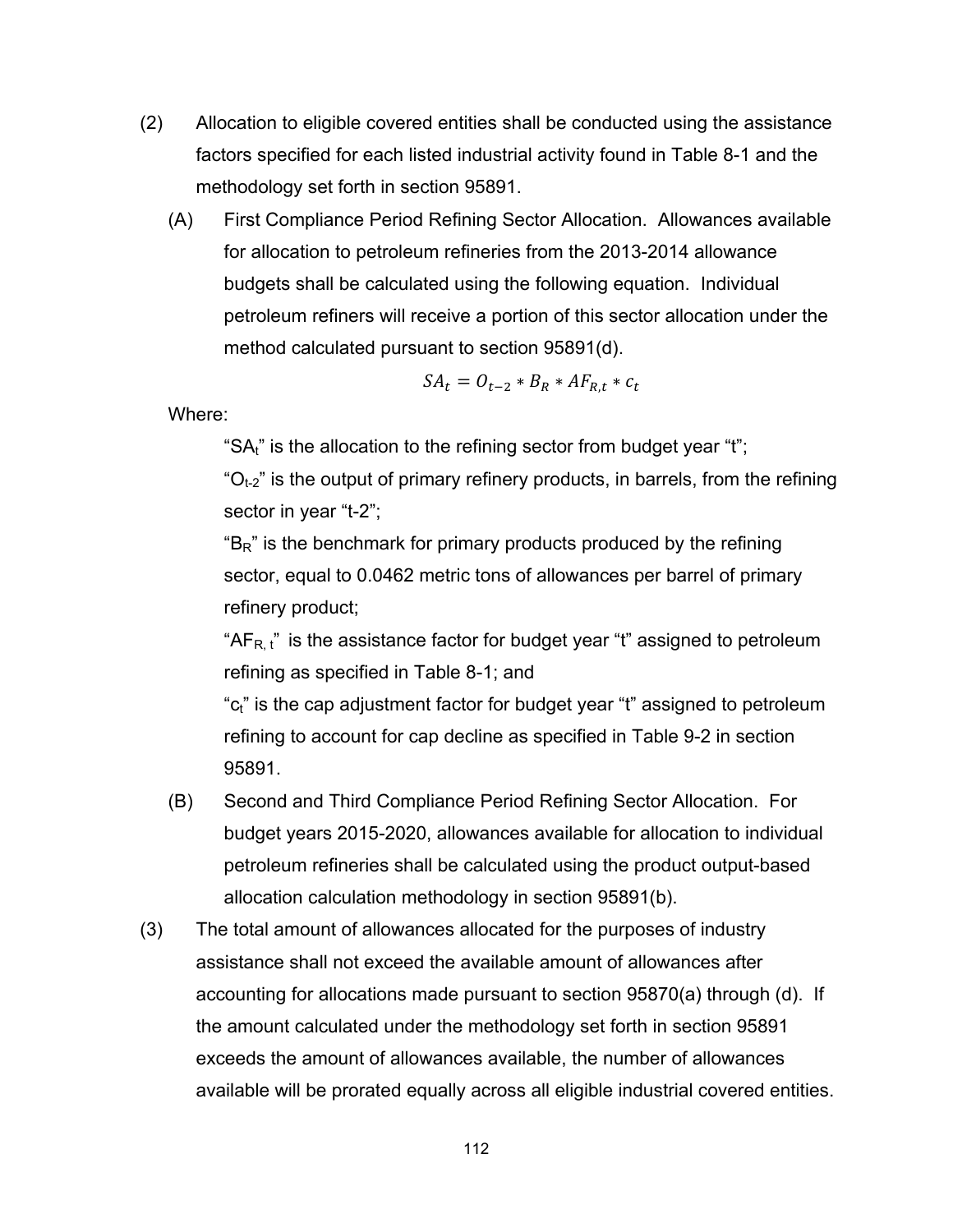- (2) Allocation to eligible covered entities shall be conducted using the assistance factors specified for each listed industrial activity found in Table 8-1 and the methodology set forth in section 95891.
	- (A) First Compliance Period Refining Sector Allocation. Allowances available for allocation to petroleum refineries from the 2013-2014 allowance budgets shall be calculated using the following equation. Individual petroleum refiners will receive a portion of this sector allocation under the method calculated pursuant to section 95891(d).

$$
SA_t = O_{t-2} * B_R * AF_{R,t} * c_t
$$

Where:

"SA<sub>t</sub>" is the allocation to the refining sector from budget year "t";

 $^{\circ}O_{t-2}$ " is the output of primary refinery products, in barrels, from the refining sector in year "t-2";

 $B<sub>R</sub>$ " is the benchmark for primary products produced by the refining sector, equal to 0.0462 metric tons of allowances per barrel of primary refinery product;

" $AF_{R,t}$ " is the assistance factor for budget year "t" assigned to petroleum refining as specified in Table 8-1; and

"c<sub>t</sub>" is the cap adjustment factor for budget year "t" assigned to petroleum refining to account for cap decline as specified in Table 9-2 in section 95891.

- (B) Second and Third Compliance Period Refining Sector Allocation. For budget years 2015-2020, allowances available for allocation to individual petroleum refineries shall be calculated using the product output-based allocation calculation methodology in section 95891(b).
- (3) The total amount of allowances allocated for the purposes of industry assistance shall not exceed the available amount of allowances after accounting for allocations made pursuant to section 95870(a) through (d). If the amount calculated under the methodology set forth in section 95891 exceeds the amount of allowances available, the number of allowances available will be prorated equally across all eligible industrial covered entities.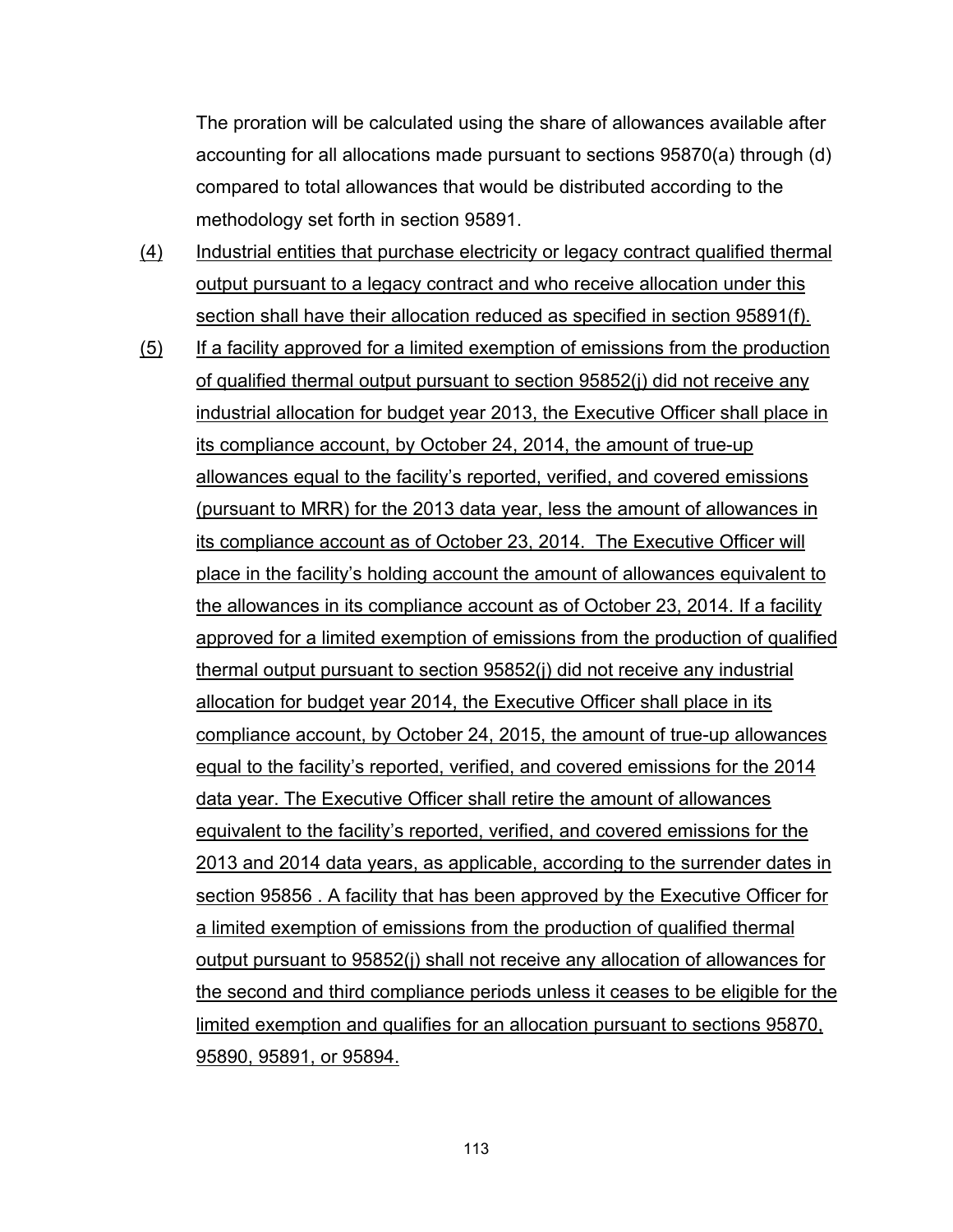The proration will be calculated using the share of allowances available after accounting for all allocations made pursuant to sections 95870(a) through (d) compared to total allowances that would be distributed according to the methodology set forth in section 95891.

- (4) Industrial entities that purchase electricity or legacy contract qualified thermal output pursuant to a legacy contract and who receive allocation under this section shall have their allocation reduced as specified in section 95891(f).
- (5) If a facility approved for a limited exemption of emissions from the production of qualified thermal output pursuant to section 95852(j) did not receive any industrial allocation for budget year 2013, the Executive Officer shall place in its compliance account, by October 24, 2014, the amount of true-up allowances equal to the facility's reported, verified, and covered emissions (pursuant to MRR) for the 2013 data year, less the amount of allowances in its compliance account as of October 23, 2014. The Executive Officer will place in the facility's holding account the amount of allowances equivalent to the allowances in its compliance account as of October 23, 2014. If a facility approved for a limited exemption of emissions from the production of qualified thermal output pursuant to section 95852(j) did not receive any industrial allocation for budget year 2014, the Executive Officer shall place in its compliance account, by October 24, 2015, the amount of true-up allowances equal to the facility's reported, verified, and covered emissions for the 2014 data year. The Executive Officer shall retire the amount of allowances equivalent to the facility's reported, verified, and covered emissions for the 2013 and 2014 data years, as applicable, according to the surrender dates in section 95856 . A facility that has been approved by the Executive Officer for a limited exemption of emissions from the production of qualified thermal output pursuant to 95852(j) shall not receive any allocation of allowances for the second and third compliance periods unless it ceases to be eligible for the limited exemption and qualifies for an allocation pursuant to sections 95870, 95890, 95891, or 95894.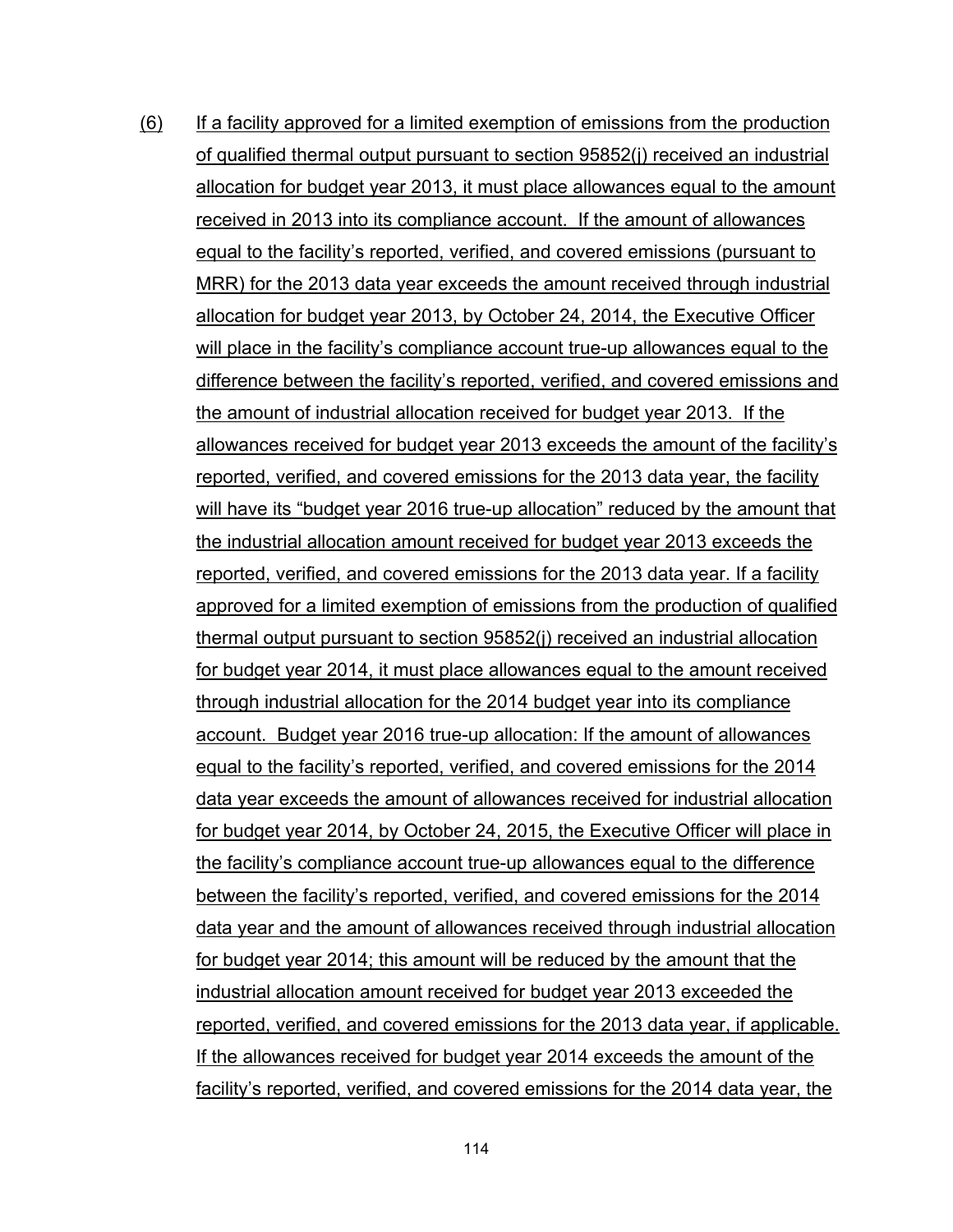(6) If a facility approved for a limited exemption of emissions from the production of qualified thermal output pursuant to section 95852(j) received an industrial allocation for budget year 2013, it must place allowances equal to the amount received in 2013 into its compliance account. If the amount of allowances equal to the facility's reported, verified, and covered emissions (pursuant to MRR) for the 2013 data year exceeds the amount received through industrial allocation for budget year 2013, by October 24, 2014, the Executive Officer will place in the facility's compliance account true-up allowances equal to the difference between the facility's reported, verified, and covered emissions and the amount of industrial allocation received for budget year 2013. If the allowances received for budget year 2013 exceeds the amount of the facility's reported, verified, and covered emissions for the 2013 data year, the facility will have its "budget year 2016 true-up allocation" reduced by the amount that the industrial allocation amount received for budget year 2013 exceeds the reported, verified, and covered emissions for the 2013 data year. If a facility approved for a limited exemption of emissions from the production of qualified thermal output pursuant to section 95852(j) received an industrial allocation for budget year 2014, it must place allowances equal to the amount received through industrial allocation for the 2014 budget year into its compliance account. Budget year 2016 true-up allocation: If the amount of allowances equal to the facility's reported, verified, and covered emissions for the 2014 data year exceeds the amount of allowances received for industrial allocation for budget year 2014, by October 24, 2015, the Executive Officer will place in the facility's compliance account true-up allowances equal to the difference between the facility's reported, verified, and covered emissions for the 2014 data year and the amount of allowances received through industrial allocation for budget year 2014; this amount will be reduced by the amount that the industrial allocation amount received for budget year 2013 exceeded the reported, verified, and covered emissions for the 2013 data year, if applicable. If the allowances received for budget year 2014 exceeds the amount of the facility's reported, verified, and covered emissions for the 2014 data year, the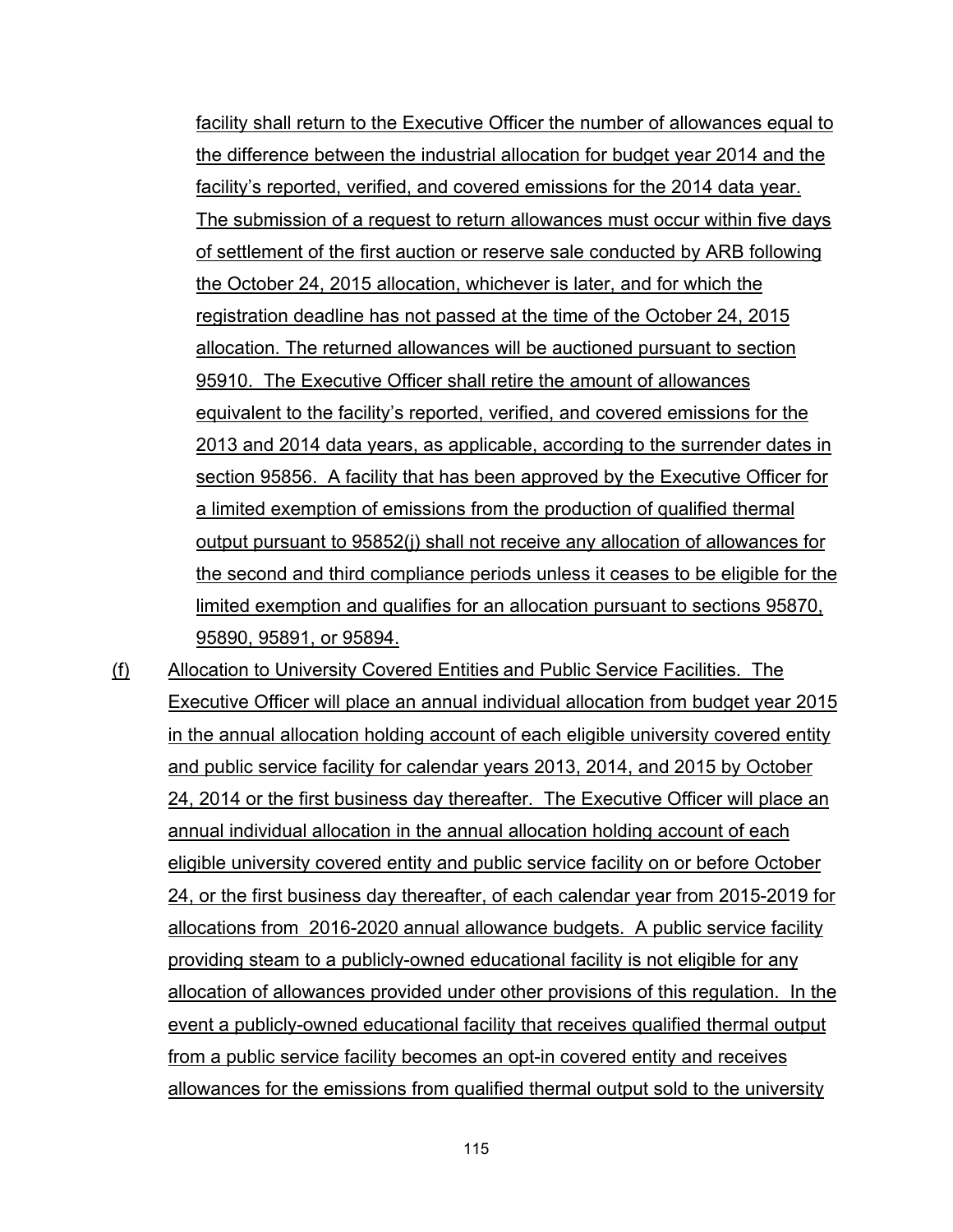facility shall return to the Executive Officer the number of allowances equal to the difference between the industrial allocation for budget year 2014 and the facility's reported, verified, and covered emissions for the 2014 data year. The submission of a request to return allowances must occur within five days of settlement of the first auction or reserve sale conducted by ARB following the October 24, 2015 allocation, whichever is later, and for which the registration deadline has not passed at the time of the October 24, 2015 allocation. The returned allowances will be auctioned pursuant to section 95910. The Executive Officer shall retire the amount of allowances equivalent to the facility's reported, verified, and covered emissions for the 2013 and 2014 data years, as applicable, according to the surrender dates in section 95856. A facility that has been approved by the Executive Officer for a limited exemption of emissions from the production of qualified thermal output pursuant to 95852(j) shall not receive any allocation of allowances for the second and third compliance periods unless it ceases to be eligible for the limited exemption and qualifies for an allocation pursuant to sections 95870, 95890, 95891, or 95894.

(f) Allocation to University Covered Entities and Public Service Facilities. The Executive Officer will place an annual individual allocation from budget year 2015 in the annual allocation holding account of each eligible university covered entity and public service facility for calendar years 2013, 2014, and 2015 by October 24, 2014 or the first business day thereafter. The Executive Officer will place an annual individual allocation in the annual allocation holding account of each eligible university covered entity and public service facility on or before October 24, or the first business day thereafter, of each calendar year from 2015-2019 for allocations from 2016-2020 annual allowance budgets. A public service facility providing steam to a publicly-owned educational facility is not eligible for any allocation of allowances provided under other provisions of this regulation. In the event a publicly-owned educational facility that receives qualified thermal output from a public service facility becomes an opt-in covered entity and receives allowances for the emissions from qualified thermal output sold to the university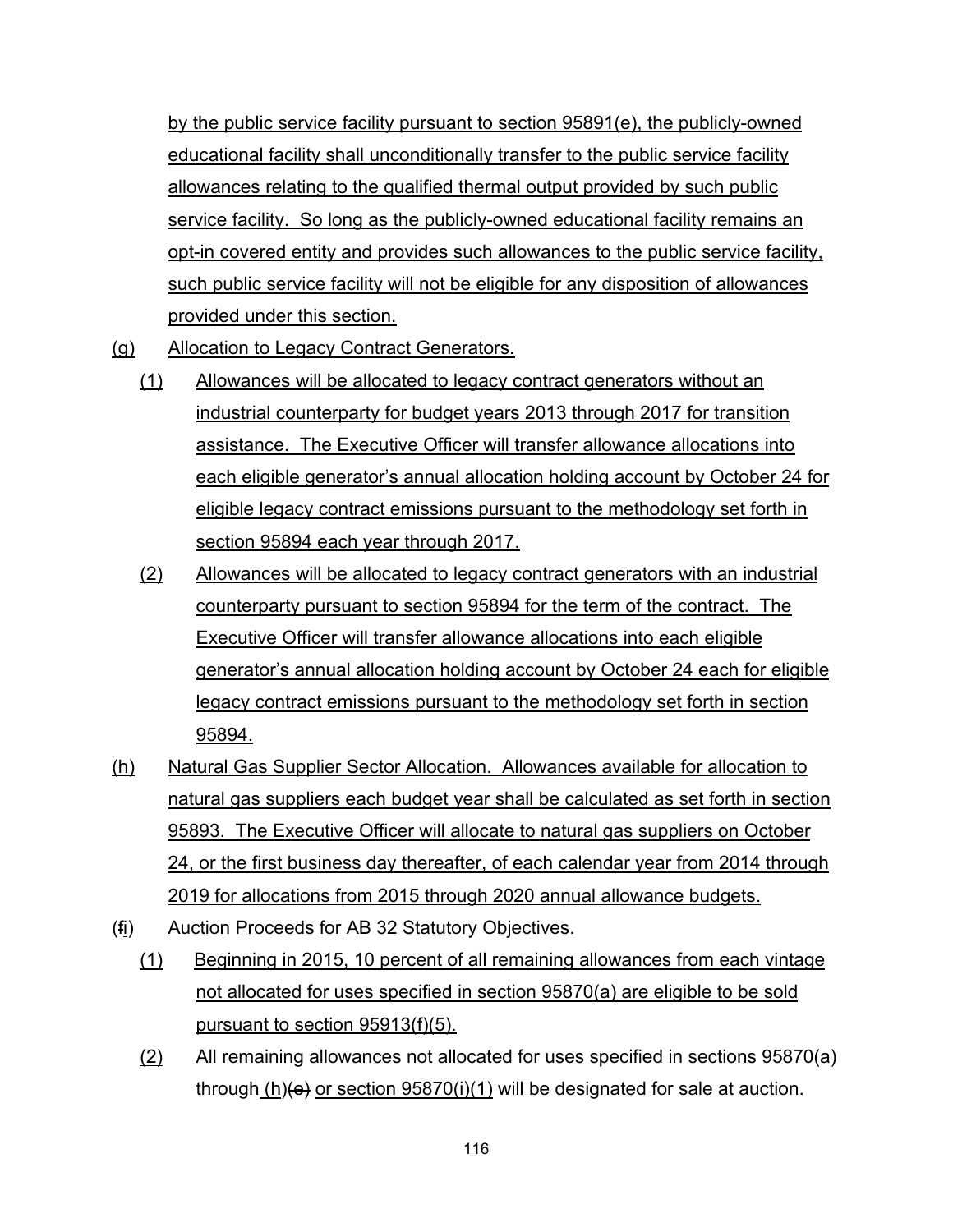by the public service facility pursuant to section 95891(e), the publicly-owned educational facility shall unconditionally transfer to the public service facility allowances relating to the qualified thermal output provided by such public service facility. So long as the publicly-owned educational facility remains an opt-in covered entity and provides such allowances to the public service facility, such public service facility will not be eligible for any disposition of allowances provided under this section.

- (g) Allocation to Legacy Contract Generators.
	- (1) Allowances will be allocated to legacy contract generators without an industrial counterparty for budget years 2013 through 2017 for transition assistance. The Executive Officer will transfer allowance allocations into each eligible generator's annual allocation holding account by October 24 for eligible legacy contract emissions pursuant to the methodology set forth in section 95894 each year through 2017.
	- (2) Allowances will be allocated to legacy contract generators with an industrial counterparty pursuant to section 95894 for the term of the contract. The Executive Officer will transfer allowance allocations into each eligible generator's annual allocation holding account by October 24 each for eligible legacy contract emissions pursuant to the methodology set forth in section 95894.
- (h) Natural Gas Supplier Sector Allocation. Allowances available for allocation to natural gas suppliers each budget year shall be calculated as set forth in section 95893. The Executive Officer will allocate to natural gas suppliers on October 24, or the first business day thereafter, of each calendar year from 2014 through 2019 for allocations from 2015 through 2020 annual allowance budgets.
- (fi) Auction Proceeds for AB 32 Statutory Objectives.
	- (1) Beginning in 2015, 10 percent of all remaining allowances from each vintage not allocated for uses specified in section 95870(a) are eligible to be sold pursuant to section 95913(f)(5).
	- (2) All remaining allowances not allocated for uses specified in sections 95870(a) through  $(h)(e)$  or section 95870(i)(1) will be designated for sale at auction.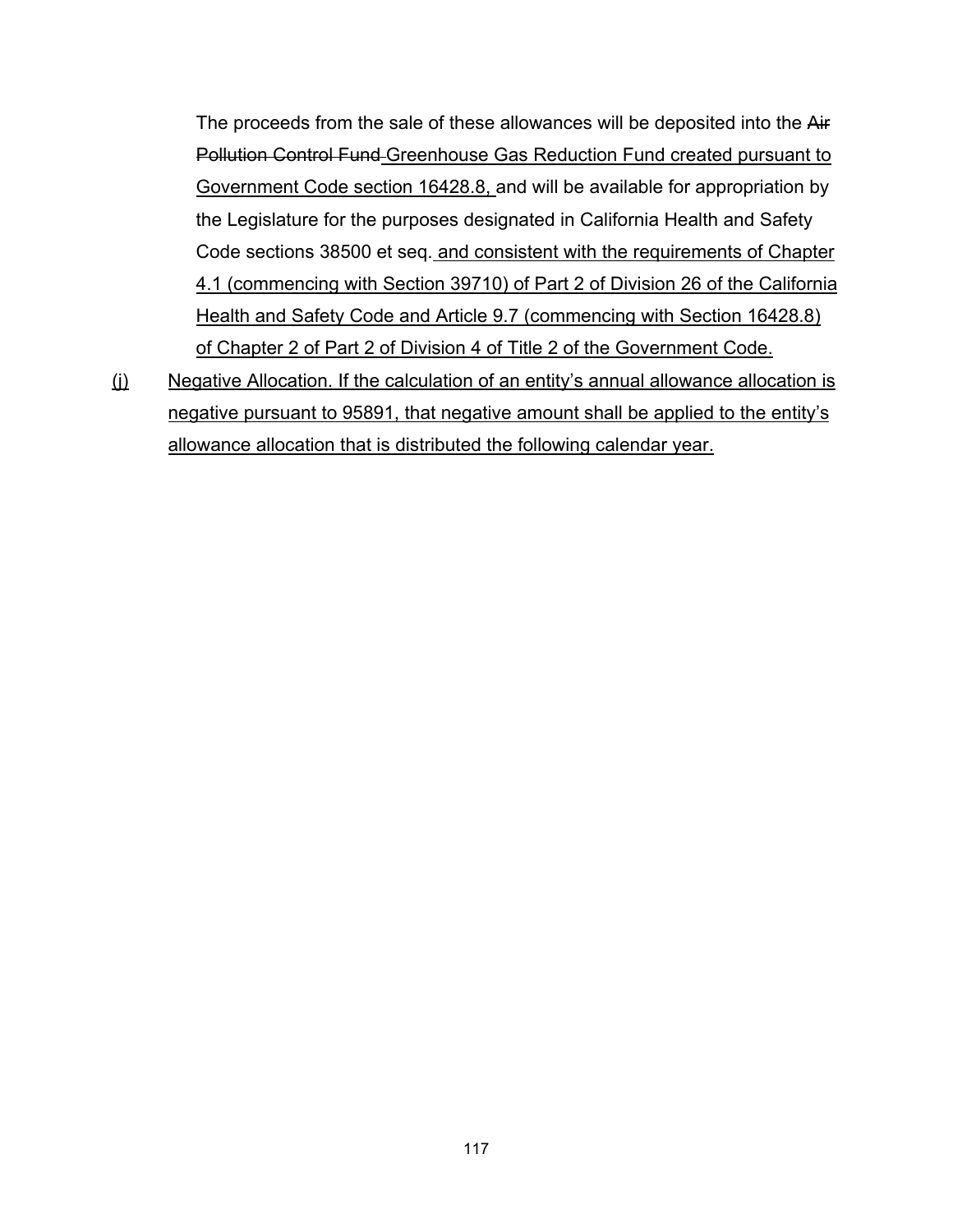The proceeds from the sale of these allowances will be deposited into the Air Pollution Control Fund Greenhouse Gas Reduction Fund created pursuant to Government Code section 16428.8, and will be available for appropriation by the Legislature for the purposes designated in California Health and Safety Code sections 38500 et seq. and consistent with the requirements of Chapter 4.1 (commencing with Section 39710) of Part 2 of Division 26 of the California Health and Safety Code and Article 9.7 (commencing with Section 16428.8) of Chapter 2 of Part 2 of Division 4 of Title 2 of the Government Code.

(j) Negative Allocation. If the calculation of an entity's annual allowance allocation is negative pursuant to 95891, that negative amount shall be applied to the entity's allowance allocation that is distributed the following calendar year.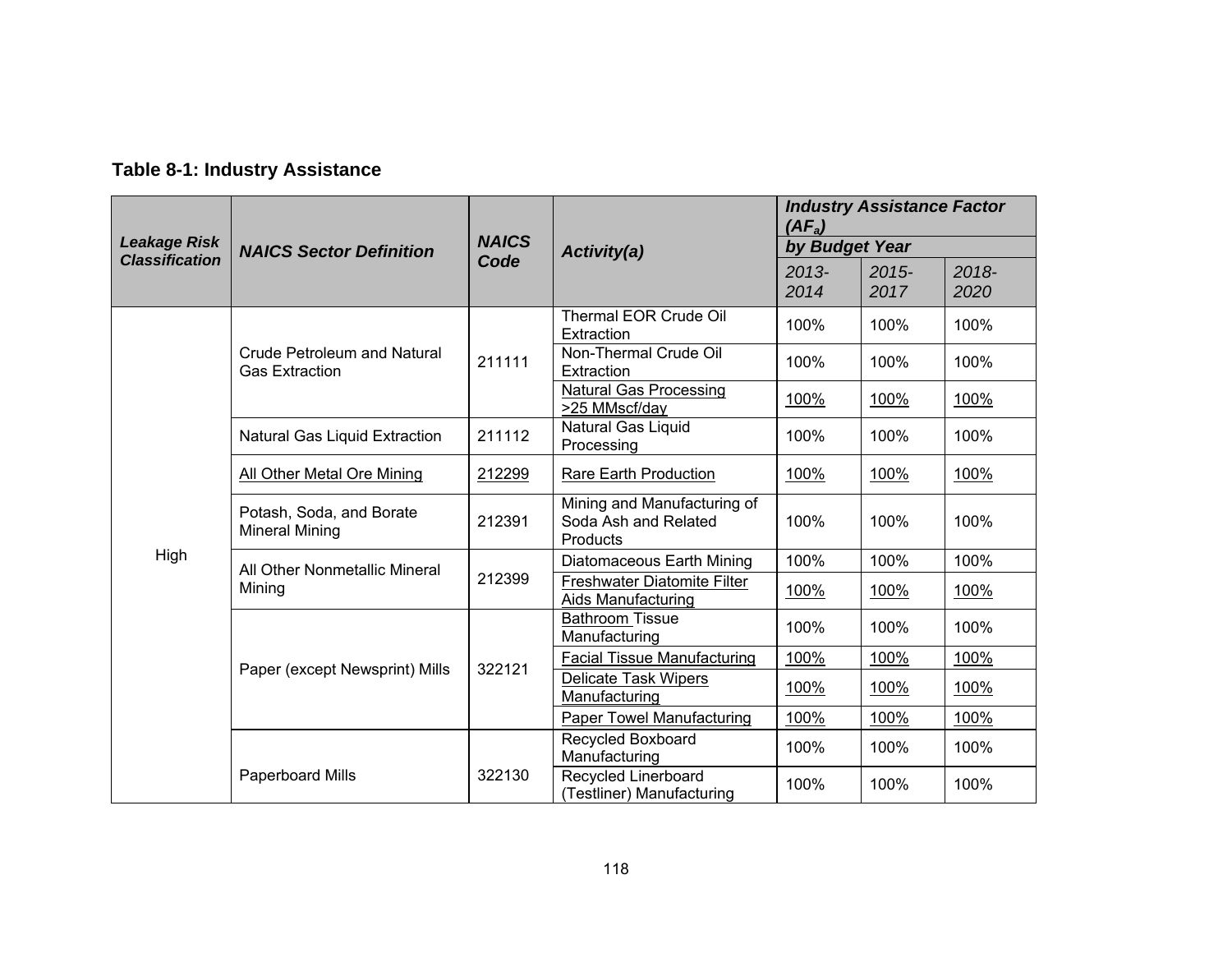## **Table 8-1: Industry Assistance**

|                       |                                                      |                                            |                                                                 |                  | <b>Industry Assistance Factor</b><br>$(AF_a)$ |                  |  |
|-----------------------|------------------------------------------------------|--------------------------------------------|-----------------------------------------------------------------|------------------|-----------------------------------------------|------------------|--|
| <b>Leakage Risk</b>   | <b>NAICS Sector Definition</b>                       | <b>NAICS</b>                               | <b>Activity(a)</b>                                              | by Budget Year   |                                               |                  |  |
| <b>Classification</b> |                                                      | Code                                       |                                                                 | $2013 -$<br>2014 | $2015 -$<br>2017                              | $2018 -$<br>2020 |  |
|                       |                                                      |                                            | Thermal EOR Crude Oil<br>Extraction                             | 100%             | 100%                                          | 100%             |  |
|                       | Crude Petroleum and Natural<br><b>Gas Extraction</b> | 211111                                     | Non-Thermal Crude Oil<br>Extraction                             | 100%             | 100%                                          | 100%             |  |
|                       |                                                      |                                            | <b>Natural Gas Processing</b><br>>25 MMscf/day                  | 100%             | 100%                                          | 100%             |  |
| <b>Mineral Mining</b> | Natural Gas Liquid Extraction                        | Natural Gas Liquid<br>211112<br>Processing |                                                                 | 100%             | 100%                                          | 100%             |  |
|                       | All Other Metal Ore Mining                           | <b>Rare Earth Production</b><br>212299     |                                                                 | 100%             | 100%                                          | 100%             |  |
|                       | Potash, Soda, and Borate                             | 212391                                     | Mining and Manufacturing of<br>Soda Ash and Related<br>Products | 100%             | 100%                                          | 100%             |  |
| High                  | All Other Nonmetallic Mineral<br>Mining              | 212399                                     | Diatomaceous Earth Mining                                       | 100%             | 100%                                          | 100%             |  |
|                       |                                                      |                                            | Freshwater Diatomite Filter<br><b>Aids Manufacturing</b>        | 100%             | 100%                                          | 100%             |  |
|                       |                                                      |                                            | <b>Bathroom Tissue</b><br>Manufacturing                         | 100%             | 100%                                          | 100%             |  |
|                       | Paper (except Newsprint) Mills                       | 322121                                     | <b>Facial Tissue Manufacturing</b>                              | 100%             | 100%                                          | 100%             |  |
|                       |                                                      |                                            | <b>Delicate Task Wipers</b><br>Manufacturing                    | 100%             | 100%                                          | 100%             |  |
|                       |                                                      |                                            | <b>Paper Towel Manufacturing</b>                                | 100%             | 100%                                          | 100%             |  |
|                       |                                                      |                                            | Recycled Boxboard<br>Manufacturing                              | 100%             | 100%                                          | 100%             |  |
|                       | Paperboard Mills                                     | 322130                                     | Recycled Linerboard<br>(Testliner) Manufacturing                | 100%             | 100%                                          | 100%             |  |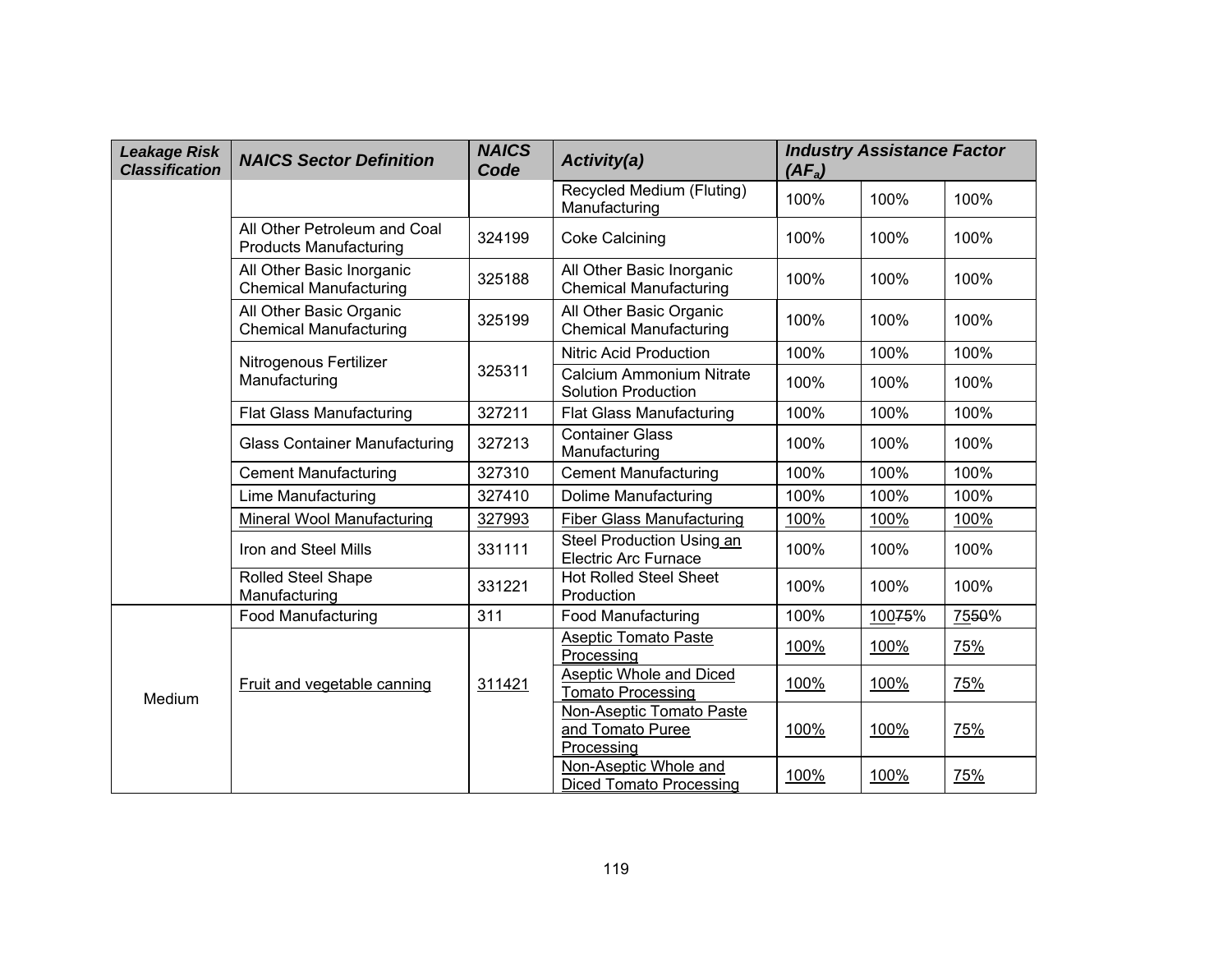| <b>Leakage Risk</b><br><b>Classification</b> | <b>NAICS Sector Definition</b>                                | <b>NAICS</b><br>Code | Activity(a)                                                | $(AF_a)$ | <b>Industry Assistance Factor</b> |            |
|----------------------------------------------|---------------------------------------------------------------|----------------------|------------------------------------------------------------|----------|-----------------------------------|------------|
|                                              |                                                               |                      | Recycled Medium (Fluting)<br>Manufacturing                 | 100%     | 100%                              | 100%       |
|                                              | All Other Petroleum and Coal<br><b>Products Manufacturing</b> | 324199               | <b>Coke Calcining</b>                                      | 100%     | 100%                              | 100%       |
|                                              | All Other Basic Inorganic<br><b>Chemical Manufacturing</b>    | 325188               | All Other Basic Inorganic<br><b>Chemical Manufacturing</b> | 100%     | 100%                              | 100%       |
|                                              | All Other Basic Organic<br><b>Chemical Manufacturing</b>      | 325199               | All Other Basic Organic<br><b>Chemical Manufacturing</b>   | 100%     | 100%                              | 100%       |
|                                              | Nitrogenous Fertilizer                                        |                      | <b>Nitric Acid Production</b>                              | 100%     | 100%                              | 100%       |
|                                              | Manufacturing                                                 | 325311               | Calcium Ammonium Nitrate<br><b>Solution Production</b>     | 100%     | 100%                              | 100%       |
|                                              | <b>Flat Glass Manufacturing</b>                               | 327211               | <b>Flat Glass Manufacturing</b>                            | 100%     | 100%                              | 100%       |
|                                              | <b>Glass Container Manufacturing</b>                          | 327213               | <b>Container Glass</b><br>Manufacturing                    | 100%     | 100%                              | 100%       |
|                                              | <b>Cement Manufacturing</b>                                   | 327310               | <b>Cement Manufacturing</b>                                | 100%     | 100%                              | 100%       |
|                                              | Lime Manufacturing                                            | 327410               | <b>Dolime Manufacturing</b>                                | 100%     | 100%                              | 100%       |
|                                              | Mineral Wool Manufacturing                                    | 327993               | <b>Fiber Glass Manufacturing</b>                           | 100%     | 100%                              | 100%       |
|                                              | Iron and Steel Mills                                          | 331111               | Steel Production Using an<br><b>Electric Arc Furnace</b>   | 100%     | 100%                              | 100%       |
|                                              | <b>Rolled Steel Shape</b><br>Manufacturing                    | 331221               | <b>Hot Rolled Steel Sheet</b><br>Production                | 100%     | 100%                              | 100%       |
|                                              | <b>Food Manufacturing</b>                                     | 311                  | <b>Food Manufacturing</b>                                  | 100%     | 10075%                            | 7550%      |
|                                              |                                                               |                      | <b>Aseptic Tomato Paste</b><br>Processing                  | 100%     | 100%                              | 75%        |
| Medium                                       | Fruit and vegetable canning                                   | 311421               | Aseptic Whole and Diced<br><b>Tomato Processing</b>        | 100%     | 100%                              | 75%        |
|                                              |                                                               |                      | Non-Aseptic Tomato Paste<br>and Tomato Puree<br>Processing | 100%     | 100%                              | 75%        |
|                                              |                                                               |                      | Non-Aseptic Whole and<br><b>Diced Tomato Processing</b>    | 100%     | 100%                              | <u>75%</u> |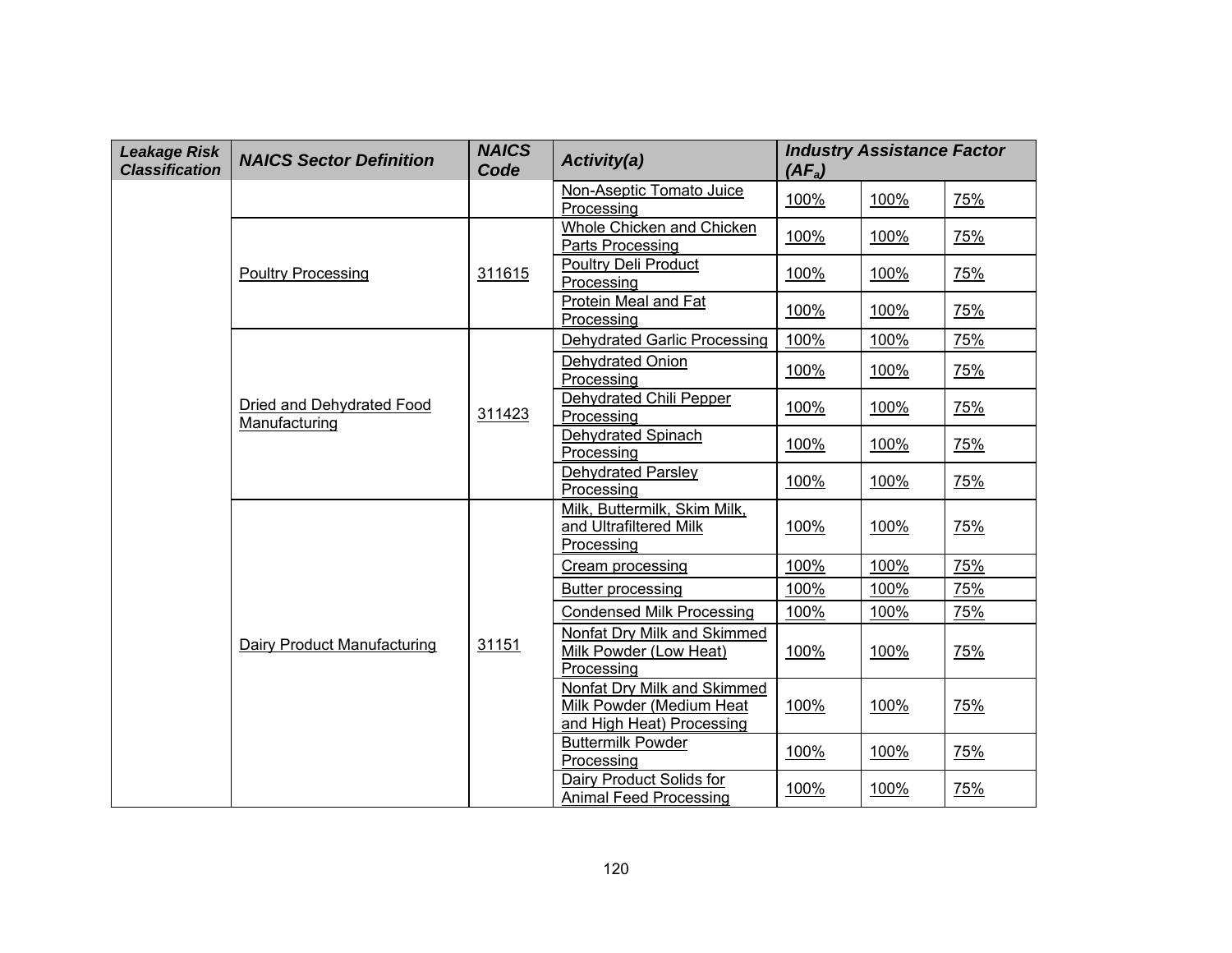| <b>Leakage Risk</b><br><b>Classification</b> | <b>NAICS Sector Definition</b>             | <b>NAICS</b><br>Code | Activity(a)                                                                          | $(AF_a)$ | <b>Industry Assistance Factor</b> |            |
|----------------------------------------------|--------------------------------------------|----------------------|--------------------------------------------------------------------------------------|----------|-----------------------------------|------------|
|                                              |                                            |                      | Non-Aseptic Tomato Juice<br>Processing                                               | 100%     | 100%                              | 75%        |
|                                              |                                            |                      | Whole Chicken and Chicken<br>Parts Processing                                        | 100%     | 100%                              | 75%        |
|                                              | <b>Poultry Processing</b>                  | 311615               | <b>Poultry Deli Product</b><br>Processing                                            | 100%     | 100%                              | 75%        |
|                                              |                                            |                      | Protein Meal and Fat<br>Processing                                                   | 100%     | 100%                              | 75%        |
|                                              |                                            |                      | <b>Dehydrated Garlic Processing</b>                                                  | 100%     | 100%                              | 75%        |
|                                              |                                            |                      | Dehydrated Onion<br>Processing                                                       | 100%     | 100%                              | 75%        |
|                                              | Dried and Dehydrated Food<br>Manufacturing | 311423               | Dehydrated Chili Pepper<br>Processing                                                | 100%     | 100%                              | 75%        |
|                                              |                                            |                      | Dehydrated Spinach<br>Processing                                                     | 100%     | 100%                              | 75%        |
|                                              |                                            |                      | Dehydrated Parsley<br>Processing                                                     | 100%     | 100%                              | 75%        |
|                                              |                                            |                      | Milk, Buttermilk, Skim Milk,<br>and Ultrafiltered Milk<br>Processing                 | 100%     | 100%                              | <b>75%</b> |
|                                              |                                            |                      | Cream processing                                                                     | 100%     | 100%                              | 75%        |
|                                              |                                            |                      | Butter processing                                                                    | 100%     | 100%                              | 75%        |
|                                              |                                            |                      | <b>Condensed Milk Processing</b>                                                     | 100%     | 100%                              | 75%        |
|                                              | Dairy Product Manufacturing                | 31151                | Nonfat Dry Milk and Skimmed<br>Milk Powder (Low Heat)<br>Processing                  | 100%     | 100%                              | 75%        |
|                                              |                                            |                      | Nonfat Dry Milk and Skimmed<br>Milk Powder (Medium Heat<br>and High Heat) Processing | 100%     | 100%                              | 75%        |
|                                              |                                            |                      | <b>Buttermilk Powder</b><br>Processing                                               | 100%     | 100%                              | 75%        |
|                                              |                                            |                      | Dairy Product Solids for<br>Animal Feed Processing                                   | 100%     | 100%                              | 75%        |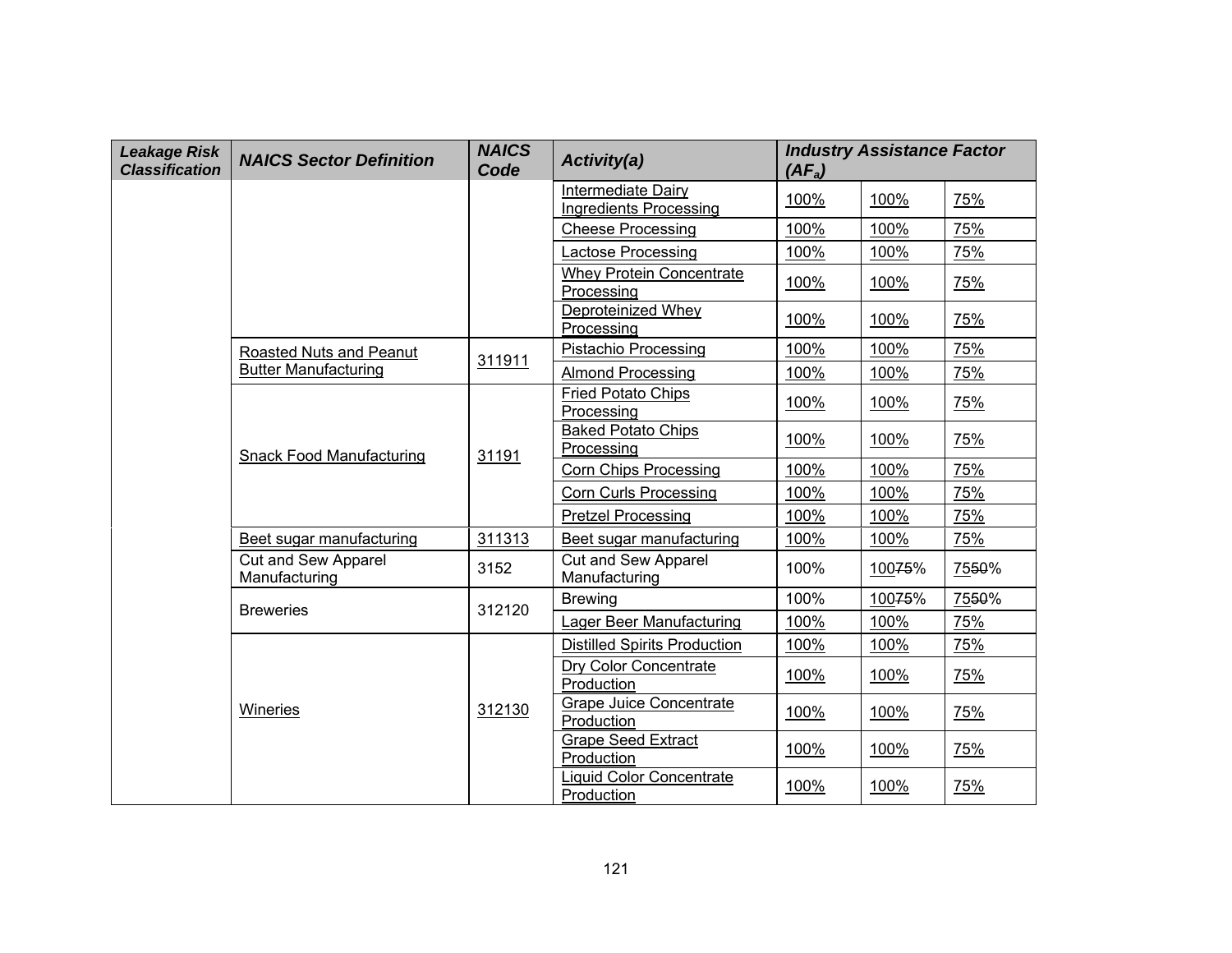| <b>Leakage Risk</b><br><b>Classification</b> | <b>NAICS Sector Definition</b>              | <b>NAICS</b><br>Code | Activity(a)                                         | $(AF_a)$ | <b>Industry Assistance Factor</b> |       |
|----------------------------------------------|---------------------------------------------|----------------------|-----------------------------------------------------|----------|-----------------------------------|-------|
|                                              |                                             |                      | Intermediate Dairy<br><b>Ingredients Processing</b> | 100%     | 100%                              | 75%   |
|                                              |                                             |                      | <b>Cheese Processing</b>                            | 100%     | 100%                              | 75%   |
|                                              |                                             |                      | Lactose Processing                                  | 100%     | 100%                              | 75%   |
|                                              |                                             |                      | Whey Protein Concentrate<br>Processing              | 100%     | 100%                              | 75%   |
|                                              |                                             |                      | Deproteinized Whey<br>Processing                    | 100%     | 100%                              | 75%   |
|                                              | Roasted Nuts and Peanut                     | 311911               | <b>Pistachio Processing</b>                         | 100%     | 100%                              | 75%   |
|                                              | <b>Butter Manufacturing</b>                 |                      | <b>Almond Processing</b>                            | 100%     | 100%                              | 75%   |
|                                              |                                             |                      | <b>Fried Potato Chips</b><br>Processing             | 100%     | 100%                              | 75%   |
|                                              | <b>Snack Food Manufacturing</b>             | 31191                | <b>Baked Potato Chips</b><br>Processing             | 100%     | 100%                              | 75%   |
|                                              |                                             |                      | <b>Corn Chips Processing</b>                        | 100%     | 100%                              | 75%   |
|                                              |                                             |                      | <b>Corn Curls Processing</b>                        | 100%     | 100%                              | 75%   |
|                                              |                                             |                      | <b>Pretzel Processing</b>                           | 100%     | 100%                              | 75%   |
|                                              | Beet sugar manufacturing                    | 311313               | Beet sugar manufacturing                            | 100%     | 100%                              | 75%   |
|                                              | <b>Cut and Sew Apparel</b><br>Manufacturing | 3152                 | Cut and Sew Apparel<br>Manufacturing                | 100%     | 10075%                            | 7550% |
|                                              | <b>Breweries</b>                            | 312120               | <b>Brewing</b>                                      | 100%     | 10075%                            | 7550% |
|                                              |                                             |                      | Lager Beer Manufacturing                            | 100%     | 100%                              | 75%   |
|                                              |                                             |                      | <b>Distilled Spirits Production</b>                 | 100%     | 100%                              | 75%   |
|                                              |                                             |                      | Dry Color Concentrate<br>Production                 | 100%     | 100%                              | 75%   |
|                                              | Wineries                                    | 312130               | <b>Grape Juice Concentrate</b><br>Production        | 100%     | 100%                              | 75%   |
|                                              |                                             |                      | <b>Grape Seed Extract</b><br>Production             | 100%     | 100%                              | 75%   |
|                                              |                                             |                      | <b>Liquid Color Concentrate</b><br>Production       | 100%     | 100%                              | 75%   |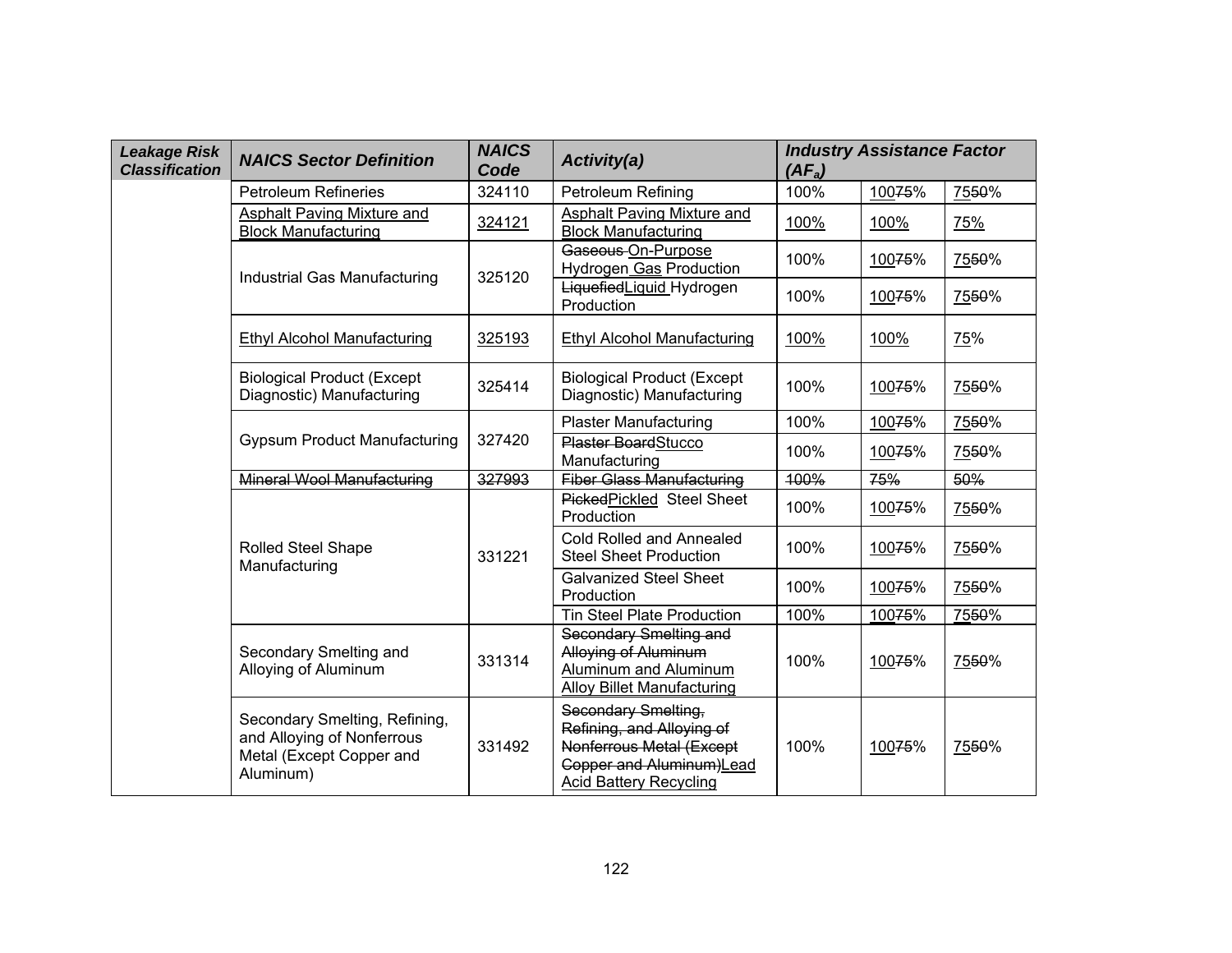| <b>Leakage Risk</b><br><b>Classification</b> | <b>NAICS Sector Definition</b>                                                                       | <b>NAICS</b><br>Code | <b>Activity(a)</b>                                                                                                                                | $(AF_a)$ | <b>Industry Assistance Factor</b> |            |
|----------------------------------------------|------------------------------------------------------------------------------------------------------|----------------------|---------------------------------------------------------------------------------------------------------------------------------------------------|----------|-----------------------------------|------------|
|                                              | <b>Petroleum Refineries</b>                                                                          | 324110               | Petroleum Refining                                                                                                                                | 100%     | 10075%                            | 7550%      |
|                                              | Asphalt Paving Mixture and<br><b>Block Manufacturing</b>                                             | 324121               | Asphalt Paving Mixture and<br><b>Block Manufacturing</b>                                                                                          | 100%     | 100%                              | 75%        |
|                                              | Industrial Gas Manufacturing                                                                         | 325120               | Gaseous-On-Purpose<br>Hydrogen Gas Production                                                                                                     | 100%     | 10075%                            | 7550%      |
|                                              |                                                                                                      |                      | LiquefiedLiquid_Hydrogen<br>Production                                                                                                            | 100%     | 10075%                            | 7550%      |
|                                              | <b>Ethyl Alcohol Manufacturing</b>                                                                   | 325193               | <b>Ethyl Alcohol Manufacturing</b>                                                                                                                | 100%     | 100%                              | <b>75%</b> |
|                                              | <b>Biological Product (Except</b><br>Diagnostic) Manufacturing                                       | 325414               | <b>Biological Product (Except</b><br>Diagnostic) Manufacturing                                                                                    | 100%     | 10075%                            | 7550%      |
|                                              |                                                                                                      | 327420               | <b>Plaster Manufacturing</b>                                                                                                                      | 100%     | 10075%                            | 7550%      |
|                                              | <b>Gypsum Product Manufacturing</b>                                                                  |                      | <b>Plaster BoardStucco</b><br>Manufacturing                                                                                                       | 100%     | 10075%                            | 7550%      |
| Mineral Wool Manufacturing                   |                                                                                                      | 327993               | <b>Fiber Glass Manufacturing</b>                                                                                                                  | 100%     | 75%                               | 50%        |
|                                              |                                                                                                      | 331221               | PickedPickled Steel Sheet<br>Production                                                                                                           | 100%     | 10075%                            | 7550%      |
|                                              | Rolled Steel Shape<br>Manufacturing                                                                  |                      | <b>Cold Rolled and Annealed</b><br><b>Steel Sheet Production</b>                                                                                  | 100%     | 10075%                            | 7550%      |
|                                              |                                                                                                      |                      | <b>Galvanized Steel Sheet</b><br>Production                                                                                                       | 100%     | 10075%                            | 7550%      |
|                                              |                                                                                                      |                      | <b>Tin Steel Plate Production</b>                                                                                                                 | 100%     | 10075%                            | 7550%      |
|                                              | Secondary Smelting and<br>Alloying of Aluminum                                                       | 331314               | Secondary Smelting and<br>Alloying of Aluminum<br>Aluminum and Aluminum<br><b>Alloy Billet Manufacturing</b>                                      | 100%     | 10075%                            | 7550%      |
|                                              | Secondary Smelting, Refining,<br>and Alloying of Nonferrous<br>Metal (Except Copper and<br>Aluminum) | 331492               | Secondary Smelting,<br>Refining, and Alloying of<br>Nonferrous Metal (Except<br><b>Copper and Aluminum)</b> Lead<br><b>Acid Battery Recycling</b> | 100%     | 10075%                            | 7550%      |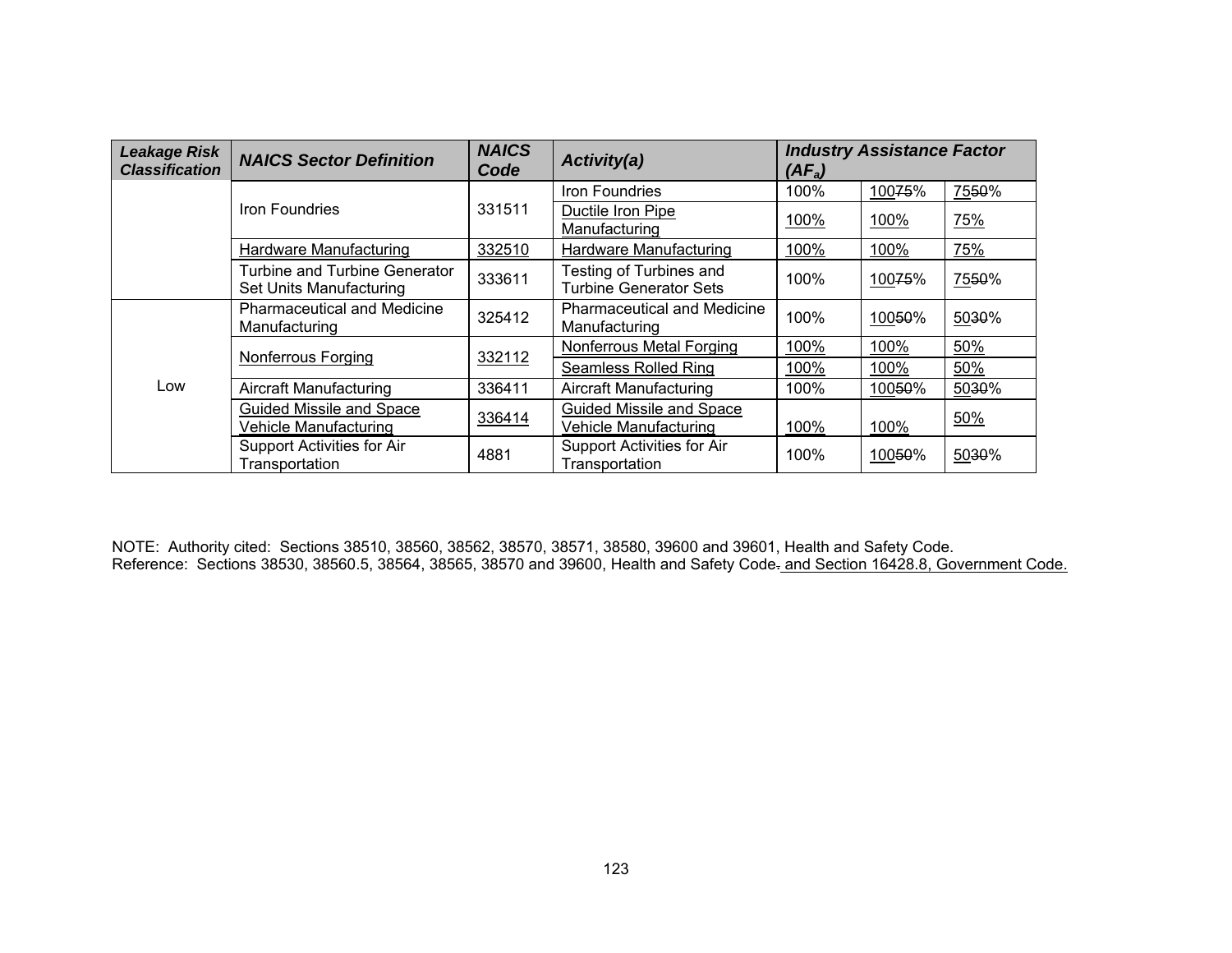| <b>Leakage Risk</b><br><b>Classification</b> | <b>NAICS Sector Definition</b>                                  | <b>NAICS</b><br>Code | Activity(a)                                              | <b>Industry Assistance Factor</b><br>$(AF_a)$ |        |       |
|----------------------------------------------|-----------------------------------------------------------------|----------------------|----------------------------------------------------------|-----------------------------------------------|--------|-------|
|                                              |                                                                 |                      | Iron Foundries                                           | 100%                                          | 10075% | 7550% |
|                                              | Iron Foundries                                                  | 331511               | Ductile Iron Pipe<br>Manufacturing                       | 100%                                          | 100%   | 75%   |
|                                              | 332510<br>Hardware Manufacturing                                |                      | Hardware Manufacturing                                   | 100%                                          | 100%   | 75%   |
|                                              | <b>Turbine and Turbine Generator</b><br>Set Units Manufacturing | 333611               | Testing of Turbines and<br><b>Turbine Generator Sets</b> | 100%                                          | 10075% | 7550% |
|                                              | <b>Pharmaceutical and Medicine</b><br>Manufacturing             | 325412               | <b>Pharmaceutical and Medicine</b><br>Manufacturing      | 100%                                          | 10050% | 5030% |
|                                              | Nonferrous Forging                                              | 332112               | Nonferrous Metal Forging                                 | 100%                                          | 100%   | 50%   |
|                                              |                                                                 |                      | <b>Seamless Rolled Ring</b>                              | 100%                                          | 100%   | 50%   |
| Low                                          | <b>Aircraft Manufacturing</b>                                   | 336411               | <b>Aircraft Manufacturing</b>                            | 100%                                          | 10050% | 5030% |
|                                              | <b>Guided Missile and Space</b><br>Vehicle Manufacturing        | 336414               | Guided Missile and Space<br>Vehicle Manufacturing        | 100%                                          | 100%   | 50%   |
|                                              | Support Activities for Air<br>Transportation                    | 4881                 | Support Activities for Air<br>Transportation             | 100%                                          | 10050% | 5030% |

NOTE: Authority cited: Sections 38510, 38560, 38562, 38570, 38571, 38580, 39600 and 39601, Health and Safety Code. Reference: Sections 38530, 38560.5, 38564, 38565, 38570 and 39600, Health and Safety Code-and Section 16428.8, Government Code.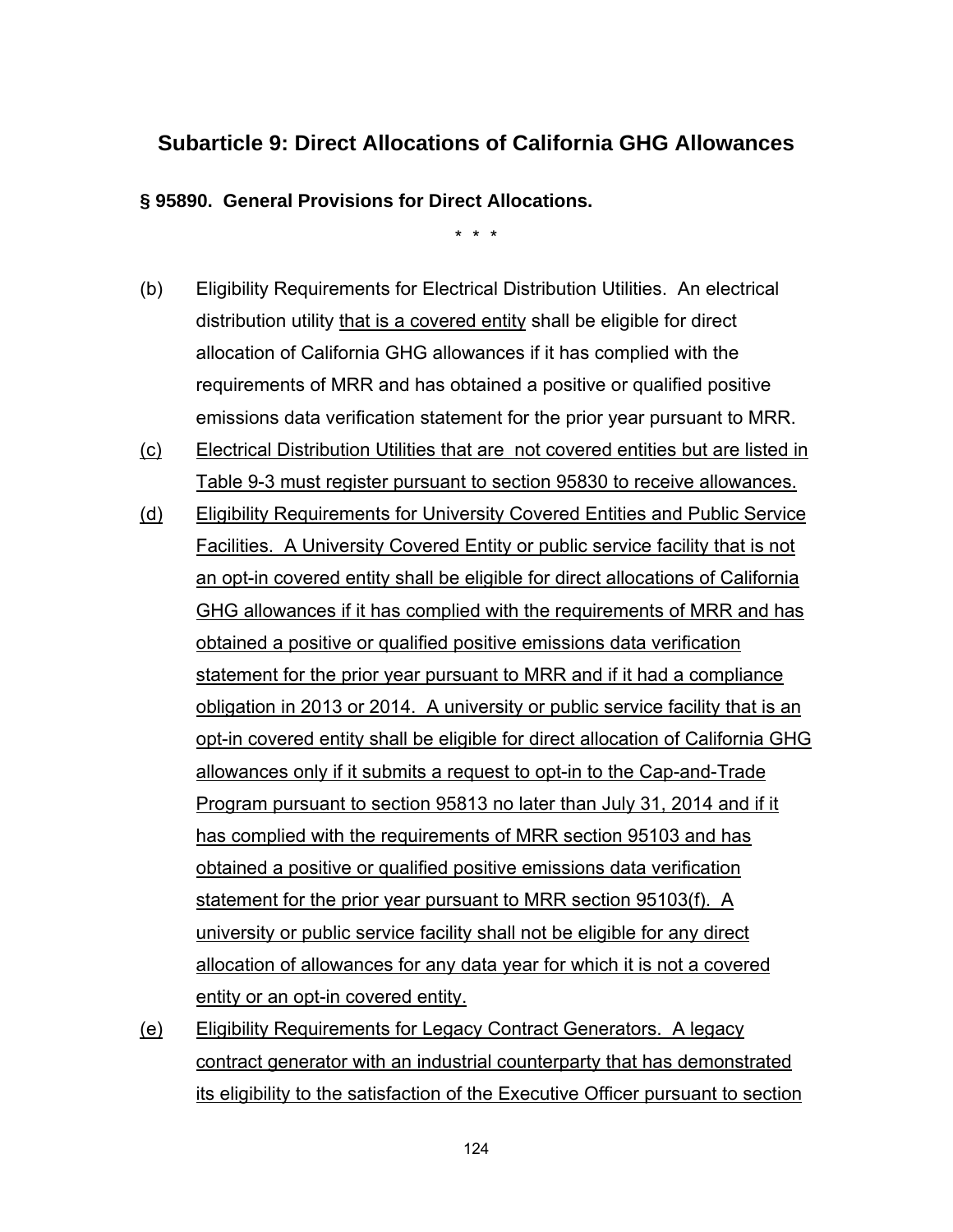### **Subarticle 9: Direct Allocations of California GHG Allowances**

**§ 95890. General Provisions for Direct Allocations.**

\* \* \*

- (b) Eligibility Requirements for Electrical Distribution Utilities. An electrical distribution utility that is a covered entity shall be eligible for direct allocation of California GHG allowances if it has complied with the requirements of MRR and has obtained a positive or qualified positive emissions data verification statement for the prior year pursuant to MRR.
- (c) Electrical Distribution Utilities that are not covered entities but are listed in Table 9-3 must register pursuant to section 95830 to receive allowances.
- (d) Eligibility Requirements for University Covered Entities and Public Service Facilities. A University Covered Entity or public service facility that is not an opt-in covered entity shall be eligible for direct allocations of California GHG allowances if it has complied with the requirements of MRR and has obtained a positive or qualified positive emissions data verification statement for the prior year pursuant to MRR and if it had a compliance obligation in 2013 or 2014. A university or public service facility that is an opt-in covered entity shall be eligible for direct allocation of California GHG allowances only if it submits a request to opt-in to the Cap-and-Trade Program pursuant to section 95813 no later than July 31, 2014 and if it has complied with the requirements of MRR section 95103 and has obtained a positive or qualified positive emissions data verification statement for the prior year pursuant to MRR section 95103(f). A university or public service facility shall not be eligible for any direct allocation of allowances for any data year for which it is not a covered entity or an opt-in covered entity.
- (e) Eligibility Requirements for Legacy Contract Generators. A legacy contract generator with an industrial counterparty that has demonstrated its eligibility to the satisfaction of the Executive Officer pursuant to section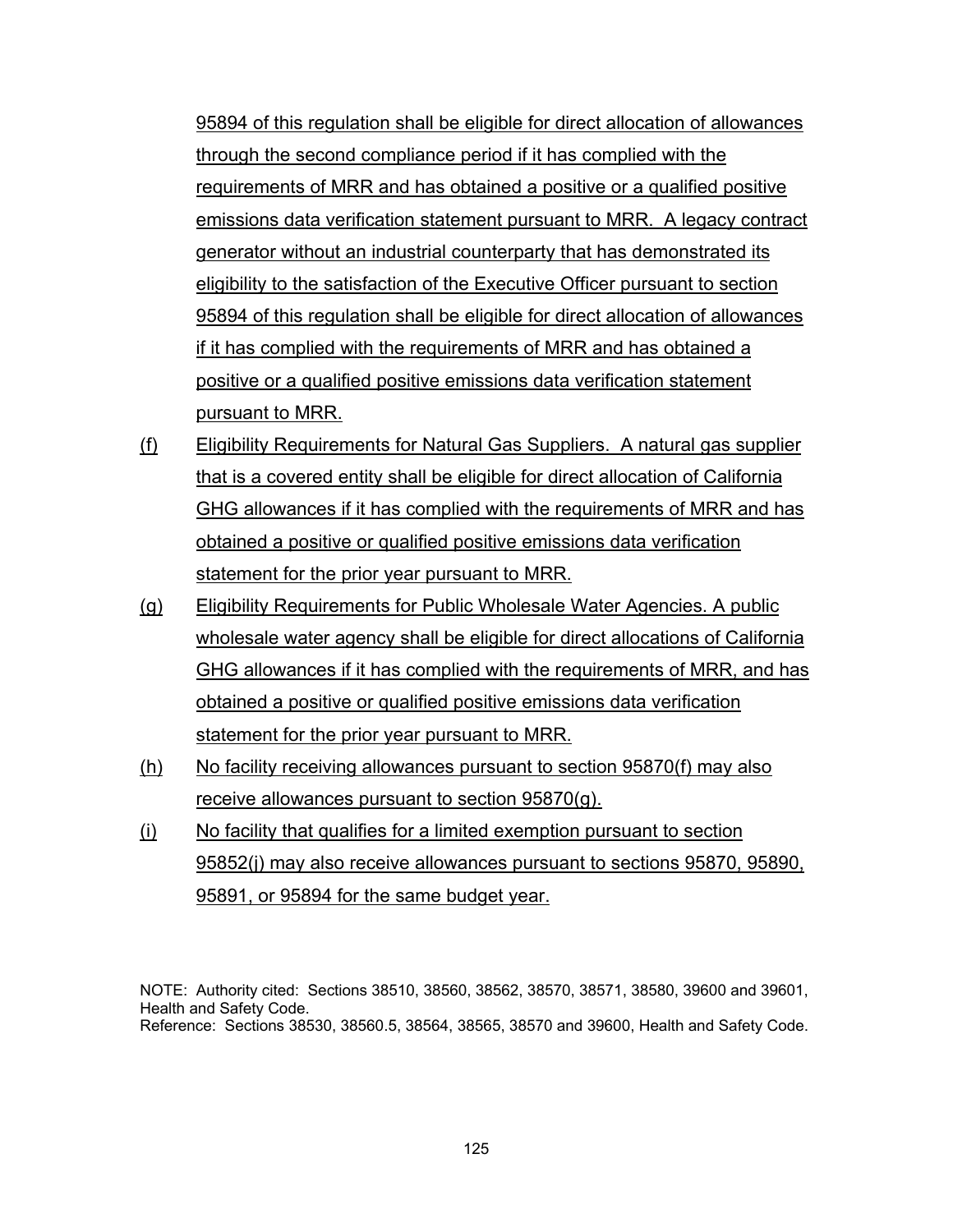95894 of this regulation shall be eligible for direct allocation of allowances through the second compliance period if it has complied with the requirements of MRR and has obtained a positive or a qualified positive emissions data verification statement pursuant to MRR. A legacy contract generator without an industrial counterparty that has demonstrated its eligibility to the satisfaction of the Executive Officer pursuant to section 95894 of this regulation shall be eligible for direct allocation of allowances if it has complied with the requirements of MRR and has obtained a positive or a qualified positive emissions data verification statement pursuant to MRR.

- (f) Eligibility Requirements for Natural Gas Suppliers. A natural gas supplier that is a covered entity shall be eligible for direct allocation of California GHG allowances if it has complied with the requirements of MRR and has obtained a positive or qualified positive emissions data verification statement for the prior year pursuant to MRR.
- (g) Eligibility Requirements for Public Wholesale Water Agencies. A public wholesale water agency shall be eligible for direct allocations of California GHG allowances if it has complied with the requirements of MRR, and has obtained a positive or qualified positive emissions data verification statement for the prior year pursuant to MRR.
- (h) No facility receiving allowances pursuant to section 95870(f) may also receive allowances pursuant to section 95870(g).
- (i) No facility that qualifies for a limited exemption pursuant to section 95852(j) may also receive allowances pursuant to sections 95870, 95890, 95891, or 95894 for the same budget year.

NOTE: Authority cited: Sections 38510, 38560, 38562, 38570, 38571, 38580, 39600 and 39601, Health and Safety Code. Reference: Sections 38530, 38560.5, 38564, 38565, 38570 and 39600, Health and Safety Code.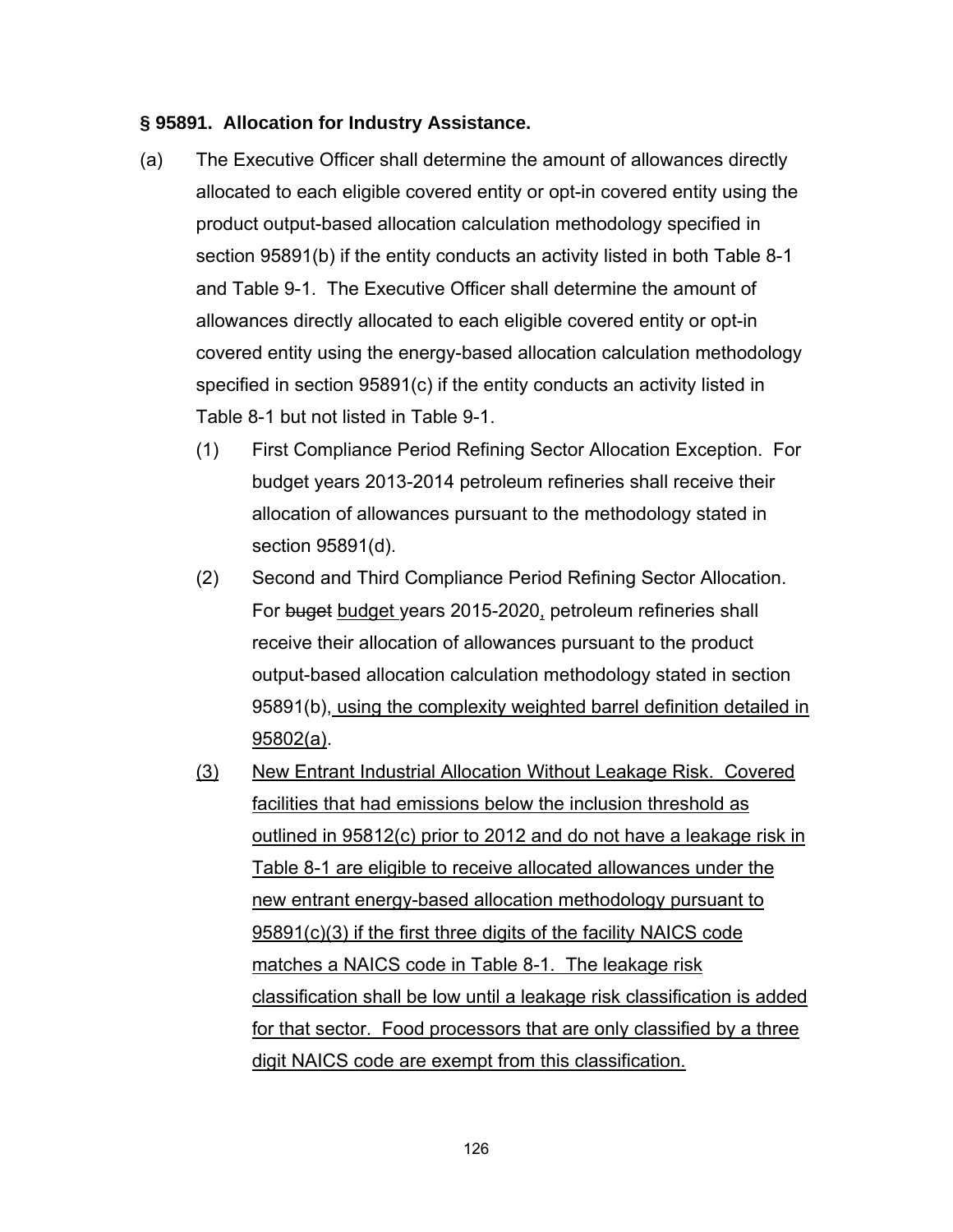#### **§ 95891. Allocation for Industry Assistance.**

- (a) The Executive Officer shall determine the amount of allowances directly allocated to each eligible covered entity or opt-in covered entity using the product output-based allocation calculation methodology specified in section 95891(b) if the entity conducts an activity listed in both Table 8-1 and Table 9-1. The Executive Officer shall determine the amount of allowances directly allocated to each eligible covered entity or opt-in covered entity using the energy-based allocation calculation methodology specified in section 95891(c) if the entity conducts an activity listed in Table 8-1 but not listed in Table 9-1.
	- (1) First Compliance Period Refining Sector Allocation Exception. For budget years 2013-2014 petroleum refineries shall receive their allocation of allowances pursuant to the methodology stated in section 95891(d).
	- (2) Second and Third Compliance Period Refining Sector Allocation. For buget budget years 2015-2020, petroleum refineries shall receive their allocation of allowances pursuant to the product output-based allocation calculation methodology stated in section 95891(b), using the complexity weighted barrel definition detailed in 95802(a).
	- (3) New Entrant Industrial Allocation Without Leakage Risk. Covered facilities that had emissions below the inclusion threshold as outlined in 95812(c) prior to 2012 and do not have a leakage risk in Table 8-1 are eligible to receive allocated allowances under the new entrant energy-based allocation methodology pursuant to 95891(c)(3) if the first three digits of the facility NAICS code matches a NAICS code in Table 8-1. The leakage risk classification shall be low until a leakage risk classification is added for that sector. Food processors that are only classified by a three digit NAICS code are exempt from this classification.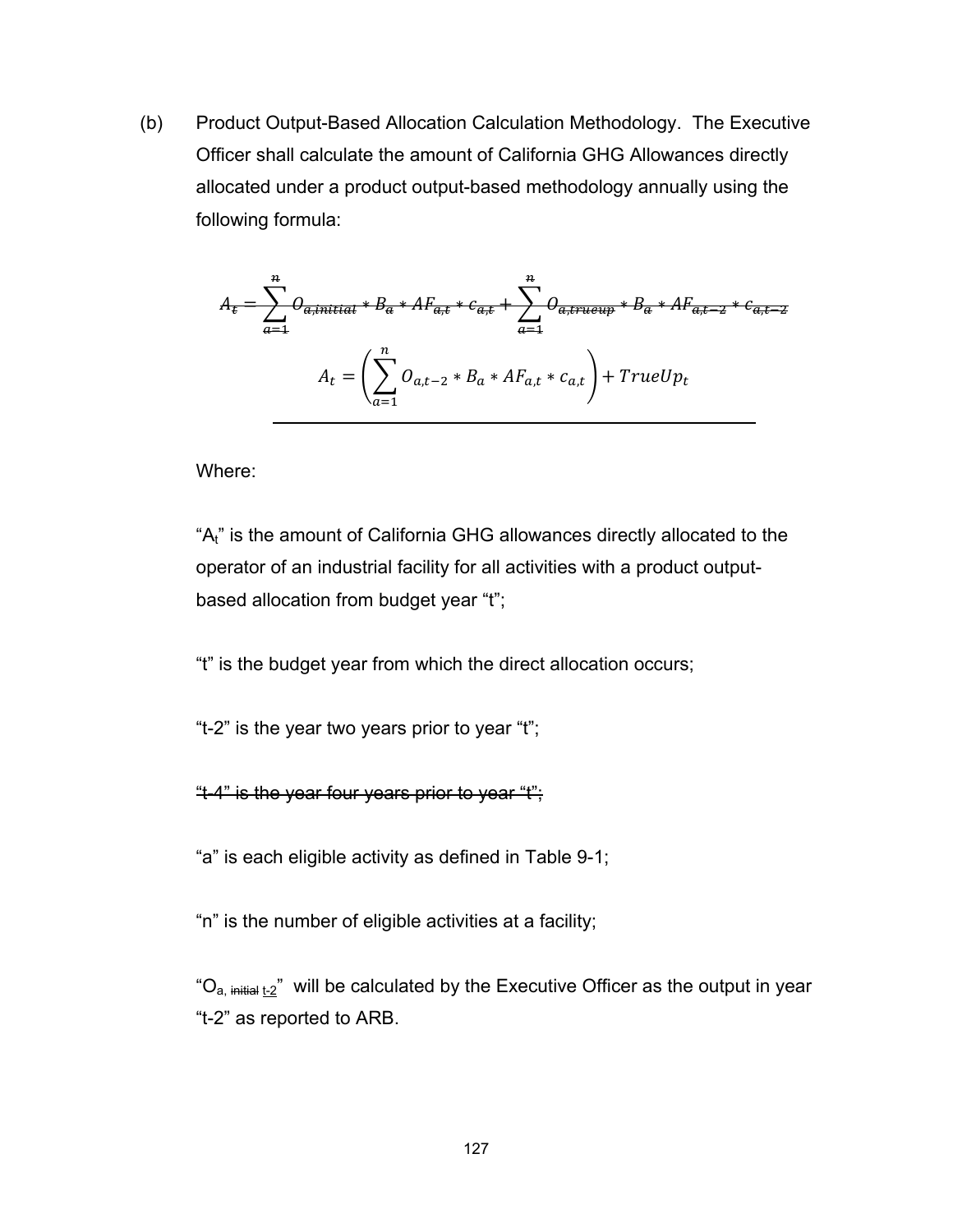(b) Product Output-Based Allocation Calculation Methodology. The Executive Officer shall calculate the amount of California GHG Allowances directly allocated under a product output-based methodology annually using the following formula:

$$
A_{t} = \sum_{a=1}^{n} O_{a,\text{initial}} * B_{a} * AF_{a,t} * c_{a,t} + \sum_{a=1}^{n} O_{a,\text{trueup}} * B_{a} * AF_{a,t-2} * c_{a,t-2}
$$

$$
A_{t} = \left(\sum_{a=1}^{n} O_{a,t-2} * B_{a} * AF_{a,t} * c_{a,t}\right) + TrueUp_{t}
$$

Where:

"A<sub>t"</sub> is the amount of California GHG allowances directly allocated to the operator of an industrial facility for all activities with a product outputbased allocation from budget year "t";

"t" is the budget year from which the direct allocation occurs;

"t-2" is the year two years prior to year "t";

"t-4" is the year four years prior to year "t";

"a" is each eligible activity as defined in Table 9-1;

"n" is the number of eligible activities at a facility;

" $O_{a, \text{ initial } t-2}$ " will be calculated by the Executive Officer as the output in year "t-2" as reported to ARB.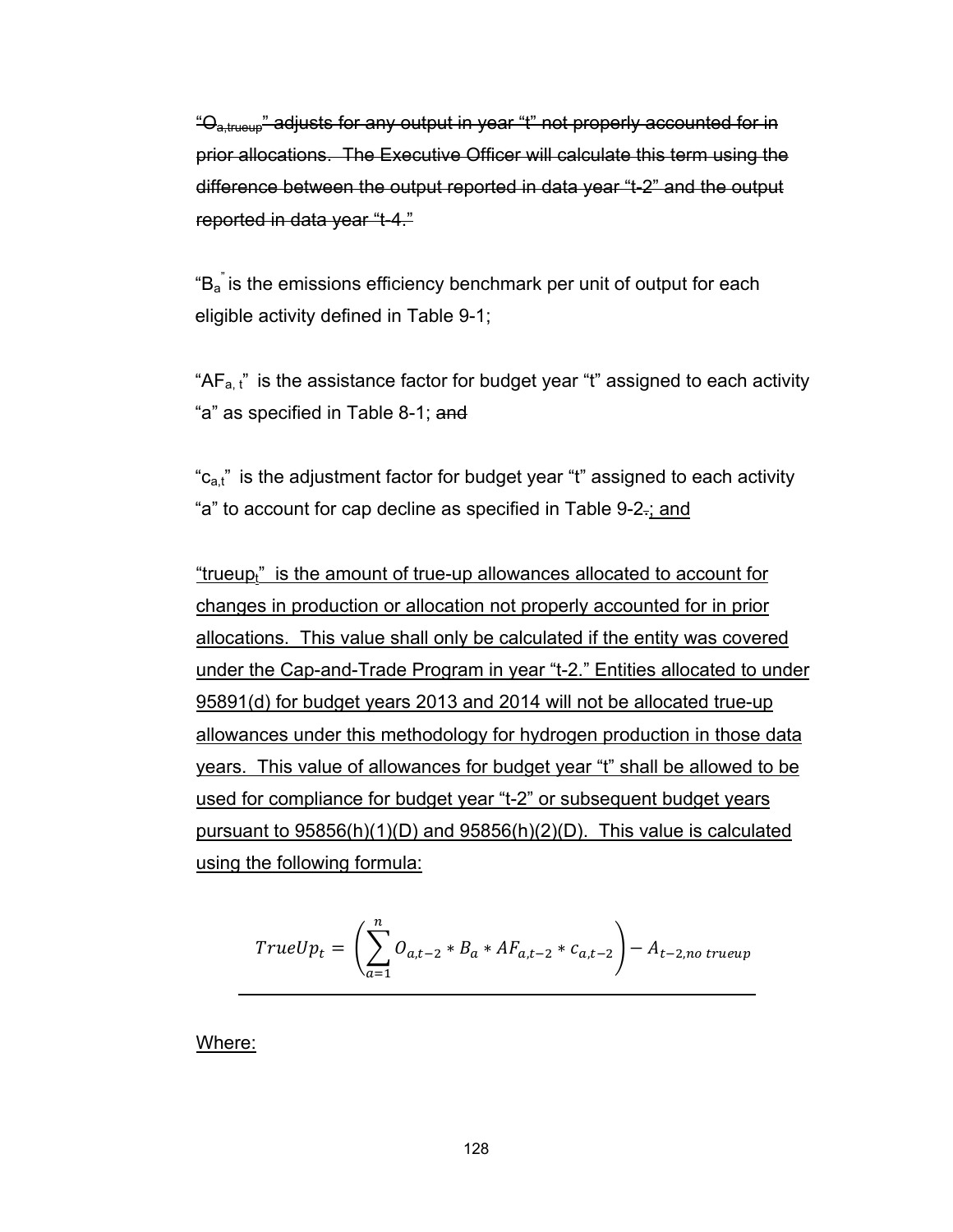"O<sub>a,trueup</sub>" adjusts for any output in year "t" not properly accounted for in prior allocations. The Executive Officer will calculate this term using the difference between the output reported in data year "t-2" and the output reported in data year "t-4."

" $B_a$ " is the emissions efficiency benchmark per unit of output for each eligible activity defined in Table 9-1;

" $AF_{a. t}$ " is the assistance factor for budget year "t" assigned to each activity "a" as specified in Table 8-1; and

" $c_{a,t}$ " is the adjustment factor for budget year "t" assigned to each activity "a" to account for cap decline as specified in Table 9-2.; and

"trueup $<sub>i</sub>$ " is the amount of true-up allowances allocated to account for</sub> changes in production or allocation not properly accounted for in prior allocations. This value shall only be calculated if the entity was covered under the Cap-and-Trade Program in year "t-2." Entities allocated to under 95891(d) for budget years 2013 and 2014 will not be allocated true-up allowances under this methodology for hydrogen production in those data years. This value of allowances for budget year "t" shall be allowed to be used for compliance for budget year "t-2" or subsequent budget years pursuant to 95856(h)(1)(D) and 95856(h)(2)(D). This value is calculated using the following formula:

$$
TrueUp_{t} = \left(\sum_{a=1}^{n} O_{a,t-2} * B_{a} * AF_{a,t-2} * c_{a,t-2}\right) - A_{t-2,no\ trueup}
$$

Where: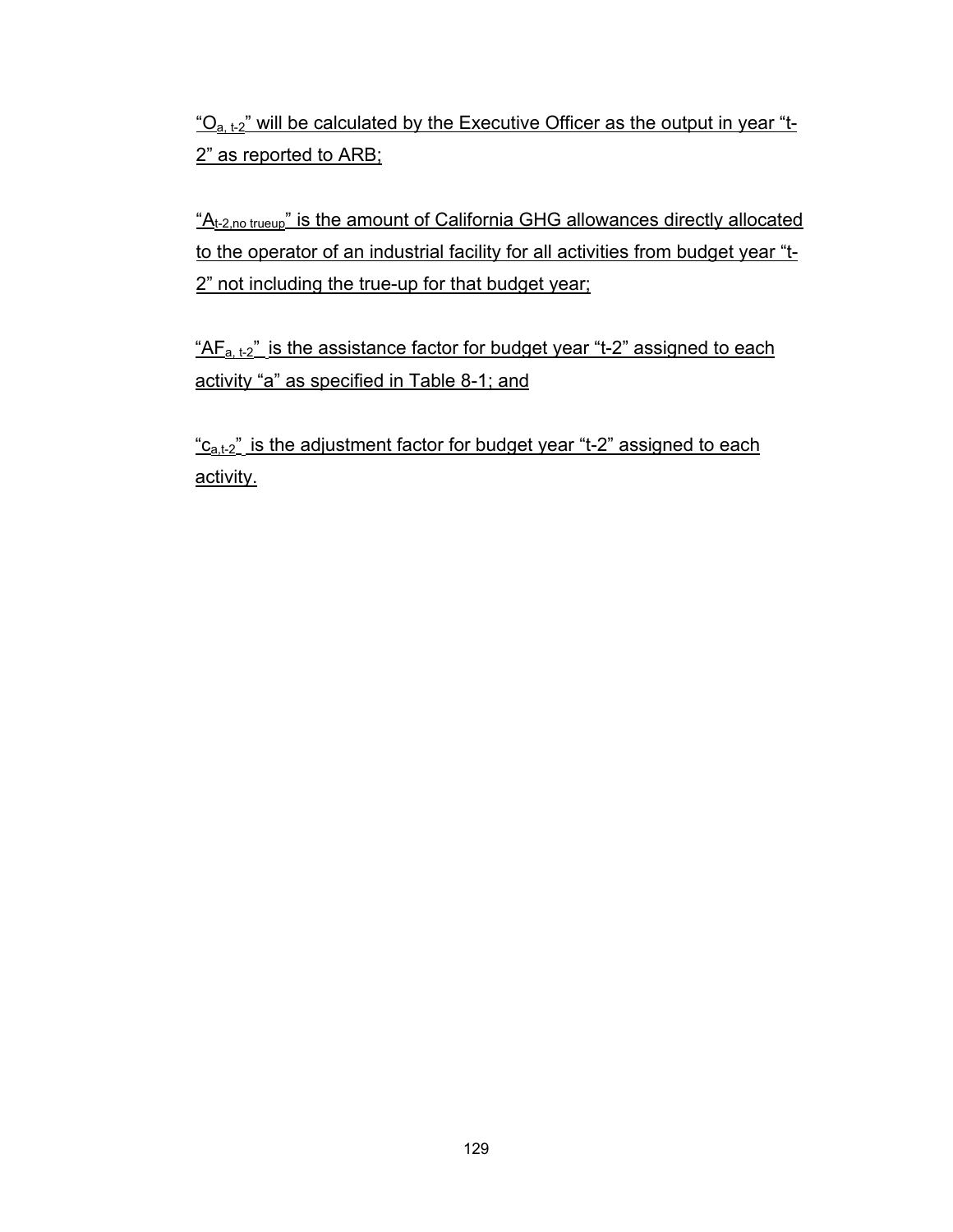$"O_{a,t-2}"$  will be calculated by the Executive Officer as the output in year "t-2" as reported to ARB;

"A<sub>t-2,no trueup</sub>" is the amount of California GHG allowances directly allocated to the operator of an industrial facility for all activities from budget year "t-2" not including the true-up for that budget year;

" $AF<sub>a, t-2</sub>$ " is the assistance factor for budget year "t-2" assigned to each activity "a" as specified in Table 8-1; and

 $C_{a,t-2}$ " is the adjustment factor for budget year "t-2" assigned to each activity.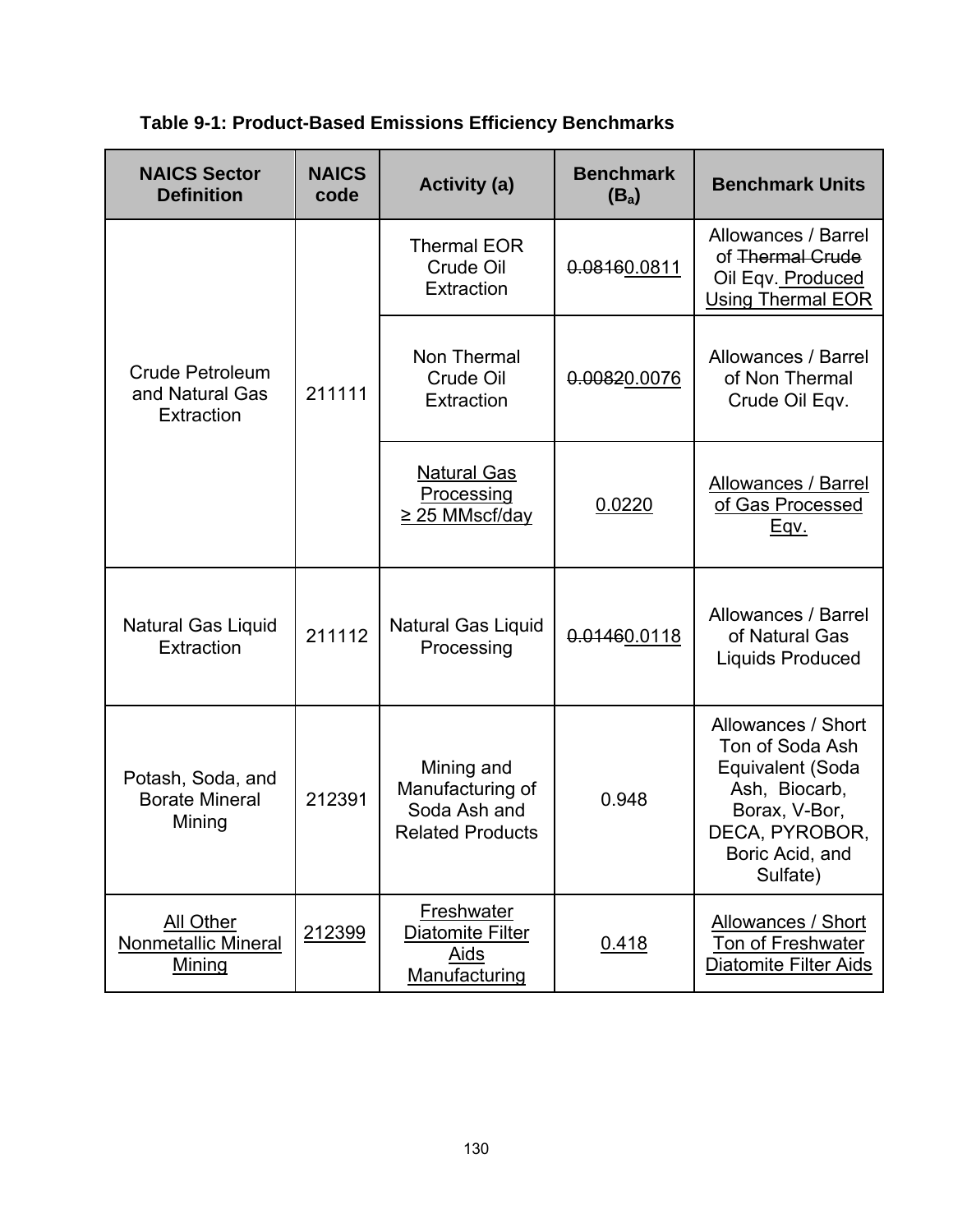| <b>NAICS Sector</b><br><b>Definition</b>             | <b>NAICS</b><br>code | <b>Activity (a)</b>                                                       | <b>Benchmark</b><br>(B <sub>a</sub> ) | <b>Benchmark Units</b>                                                                                                                       |
|------------------------------------------------------|----------------------|---------------------------------------------------------------------------|---------------------------------------|----------------------------------------------------------------------------------------------------------------------------------------------|
| Crude Petroleum<br>and Natural Gas<br>Extraction     | 211111               | <b>Thermal EOR</b><br>Crude Oil<br>Extraction                             | 0.08160.0811                          | Allowances / Barrel<br>of Thermal Grude<br>Oil Eqv. Produced<br><b>Using Thermal EOR</b>                                                     |
|                                                      |                      | Non Thermal<br>Crude Oil<br>Extraction                                    | 0.00820.0076                          | Allowances / Barrel<br>of Non Thermal<br>Crude Oil Eqv.                                                                                      |
|                                                      |                      | <b>Natural Gas</b><br>Processing<br><u>≥ 25 MMscf/day</u>                 | 0.0220                                | Allowances / Barrel<br>of Gas Processed<br><u>Eqv.</u>                                                                                       |
| Natural Gas Liquid<br>Extraction                     | 211112               | <b>Natural Gas Liquid</b><br>Processing                                   | 0.01460.0118                          | Allowances / Barrel<br>of Natural Gas<br><b>Liquids Produced</b>                                                                             |
| Potash, Soda, and<br><b>Borate Mineral</b><br>Mining | 212391               | Mining and<br>Manufacturing of<br>Soda Ash and<br><b>Related Products</b> | 0.948                                 | Allowances / Short<br>Ton of Soda Ash<br>Equivalent (Soda<br>Ash, Biocarb,<br>Borax, V-Bor,<br>DECA, PYROBOR,<br>Boric Acid, and<br>Sulfate) |
| All Other<br>Nonmetallic Mineral<br>Mining           | 212399               | Freshwater<br>Diatomite Filter<br><b>Aids</b><br>Manufacturing            | 0.418                                 | Allowances / Short<br>Ton of Freshwater<br>Diatomite Filter Aids                                                                             |

**Table 9-1: Product-Based Emissions Efficiency Benchmarks**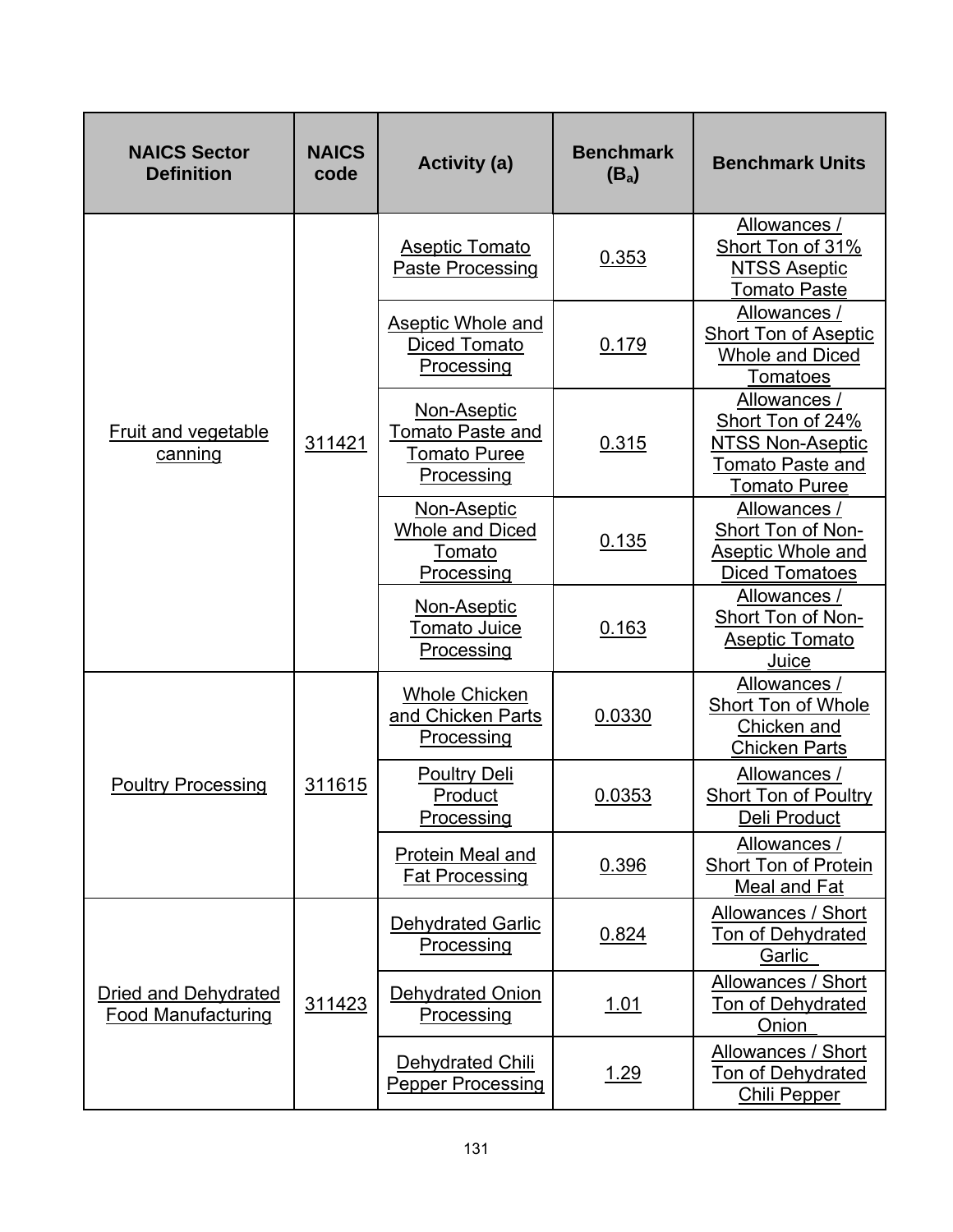| <b>NAICS Sector</b><br><b>Definition</b>                 | <b>NAICS</b><br>code | <b>Activity (a)</b>                                                         | <b>Benchmark</b><br>$(B_a)$ | <b>Benchmark Units</b>                                                                                        |
|----------------------------------------------------------|----------------------|-----------------------------------------------------------------------------|-----------------------------|---------------------------------------------------------------------------------------------------------------|
| Fruit and vegetable<br>canning                           | 311421               | <b>Aseptic Tomato</b><br>Paste Processing                                   | 0.353                       | Allowances /<br>Short Ton of 31%<br>NTSS Aseptic<br>Tomato Paste                                              |
|                                                          |                      | <b>Aseptic Whole and</b><br>Diced Tomato<br>Processing                      | 0.179                       | Allowances /<br><b>Short Ton of Aseptic</b><br>Whole and Diced<br>Tomatoes                                    |
|                                                          |                      | Non-Aseptic<br><b>Tomato Paste and</b><br><b>Tomato Puree</b><br>Processing | 0.315                       | Allowances /<br>Short Ton of 24%<br><b>NTSS Non-Aseptic</b><br><b>Tomato Paste and</b><br><b>Tomato Puree</b> |
|                                                          |                      | Non-Aseptic<br><b>Whole and Diced</b><br>Tomato<br>Processing               | 0.135                       | Allowances /<br>Short Ton of Non-<br>Aseptic Whole and<br><b>Diced Tomatoes</b>                               |
|                                                          |                      | Non-Aseptic<br><b>Tomato Juice</b><br>Processing                            | 0.163                       | Allowances /<br>Short Ton of Non-<br><b>Aseptic Tomato</b><br>Juice                                           |
|                                                          |                      | <b>Whole Chicken</b><br>and Chicken Parts<br>Processing                     | 0.0330                      | Allowances /<br>Short Ton of Whole<br>Chicken and<br><b>Chicken Parts</b>                                     |
| <b>Poultry Processing</b>                                | 311615               | <b>Poultry Deli</b><br>Product<br>Processing                                | 0.0353                      | Allowances /<br><b>Short Ton of Poultry</b><br>Deli Product                                                   |
|                                                          |                      | Protein Meal and<br><b>Fat Processing</b>                                   | 0.396                       | Allowances /<br>Short Ton of Protein<br>Meal and Fat                                                          |
|                                                          |                      | <b>Dehydrated Garlic</b><br>Processing                                      | 0.824                       | Allowances / Short<br><b>Ton of Dehydrated</b><br>Garlic                                                      |
| <b>Dried and Dehydrated</b><br><b>Food Manufacturing</b> | 311423               | <b>Dehydrated Onion</b><br>Processing                                       | <u>1.01</u>                 | Allowances / Short<br>Ton of Dehydrated<br>Onion                                                              |
|                                                          |                      | Dehydrated Chili<br><b>Pepper Processing</b>                                | 1.29                        | Allowances / Short<br><b>Ton of Dehydrated</b><br><b>Chili Pepper</b>                                         |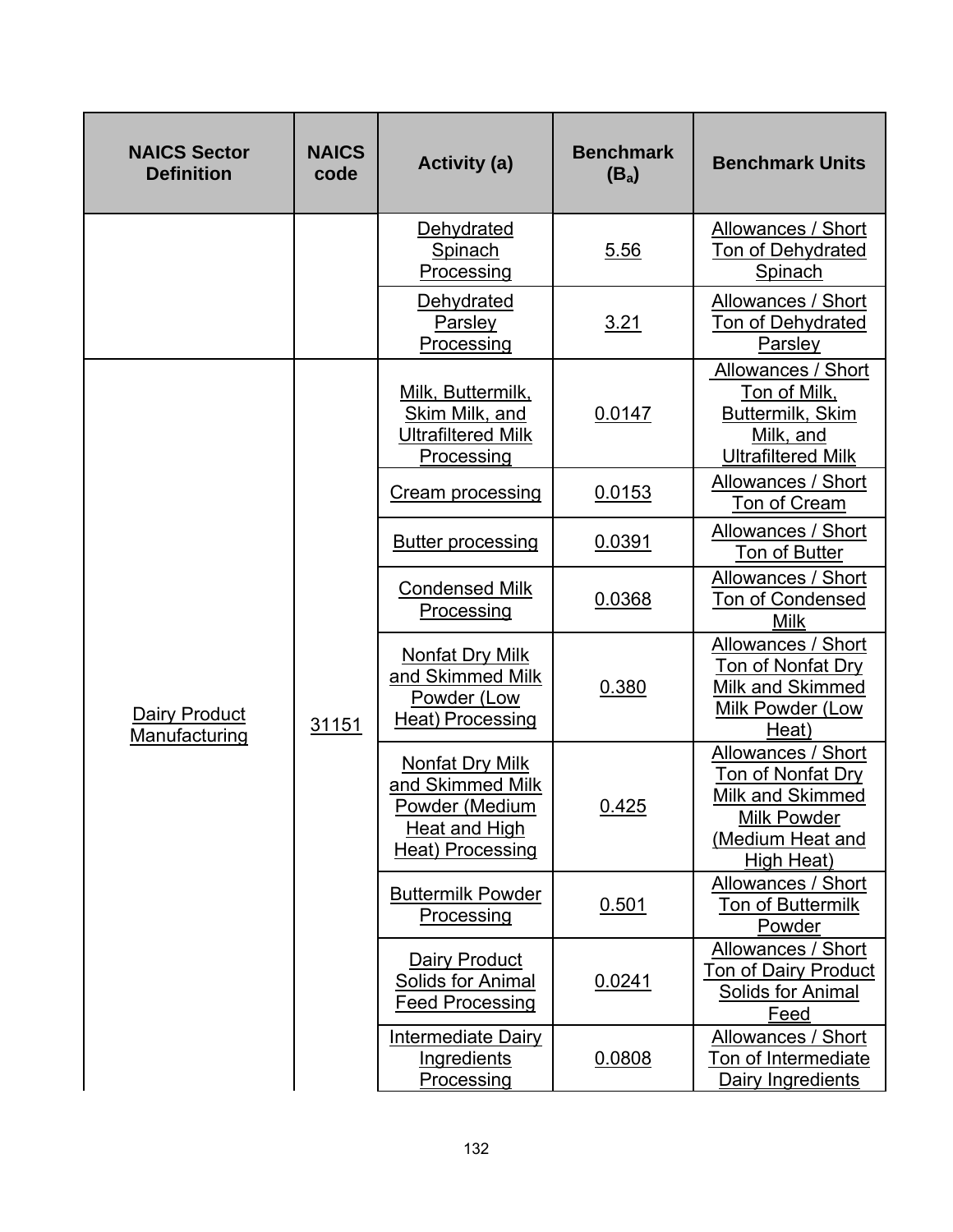| <b>NAICS Sector</b><br><b>Definition</b> | <b>NAICS</b><br>code | <b>Activity (a)</b>                                                                                      | <b>Benchmark</b><br>$(B_a)$                                                   | <b>Benchmark Units</b>                                                                                              |                                                                                                 |
|------------------------------------------|----------------------|----------------------------------------------------------------------------------------------------------|-------------------------------------------------------------------------------|---------------------------------------------------------------------------------------------------------------------|-------------------------------------------------------------------------------------------------|
|                                          |                      | Dehydrated<br>Spinach<br>Processing                                                                      | 5.56                                                                          | Allowances / Short<br>Ton of Dehydrated<br>Spinach                                                                  |                                                                                                 |
|                                          |                      | Dehydrated<br>Parsley<br>Processing                                                                      | <u>3.21</u>                                                                   | Allowances / Short<br><b>Ton of Dehydrated</b><br>Parsley                                                           |                                                                                                 |
|                                          |                      | Milk, Buttermilk,<br>Skim Milk, and<br><b>Ultrafiltered Milk</b><br>Processing                           | 0.0147                                                                        | Allowances / Short<br><u>Ton of Milk,</u><br>Buttermilk, Skim<br>Milk, and<br><b>Ultrafiltered Milk</b>             |                                                                                                 |
|                                          |                      | <b>Cream processing</b>                                                                                  | 0.0153                                                                        | Allowances / Short<br>Ton of Cream                                                                                  |                                                                                                 |
|                                          | 31151                | <b>Butter processing</b>                                                                                 | 0.0391                                                                        | Allowances / Short<br>Ton of Butter                                                                                 |                                                                                                 |
|                                          |                      | <b>Condensed Milk</b><br>Processing                                                                      | 0.0368                                                                        | Allowances / Short<br><b>Ton of Condensed</b><br><b>Milk</b>                                                        |                                                                                                 |
| <b>Dairy Product</b><br>Manufacturing    |                      |                                                                                                          | Nonfat Dry Milk<br>and Skimmed Milk<br>Powder (Low<br><b>Heat) Processing</b> | 0.380                                                                                                               | Allowances / Short<br><b>Ton of Nonfat Dry</b><br>Milk and Skimmed<br>Milk Powder (Low<br>Heat) |
|                                          |                      | <b>Nonfat Dry Milk</b><br>and Skimmed Milk<br>Powder (Medium<br><b>Heat and High</b><br>Heat) Processing | 0.425                                                                         | Allowances / Short<br>Ton of Nonfat Dry<br>Milk and Skimmed<br><b>Milk Powder</b><br>(Medium Heat and<br>High Heat) |                                                                                                 |
|                                          |                      | <b>Buttermilk Powder</b><br>Processing                                                                   | 0.501                                                                         | Allowances / Short<br>Ton of Buttermilk<br>Powder                                                                   |                                                                                                 |
|                                          |                      | <b>Dairy Product</b><br>Solids for Animal<br><b>Feed Processing</b>                                      | 0.0241                                                                        | Allowances / Short<br><b>Ton of Dairy Product</b><br>Solids for Animal<br>Feed                                      |                                                                                                 |
|                                          |                      | <b>Intermediate Dairy</b><br><b>Ingredients</b><br>Processing                                            | 0.0808                                                                        | Allowances / Short<br>Ton of Intermediate<br>Dairy Ingredients                                                      |                                                                                                 |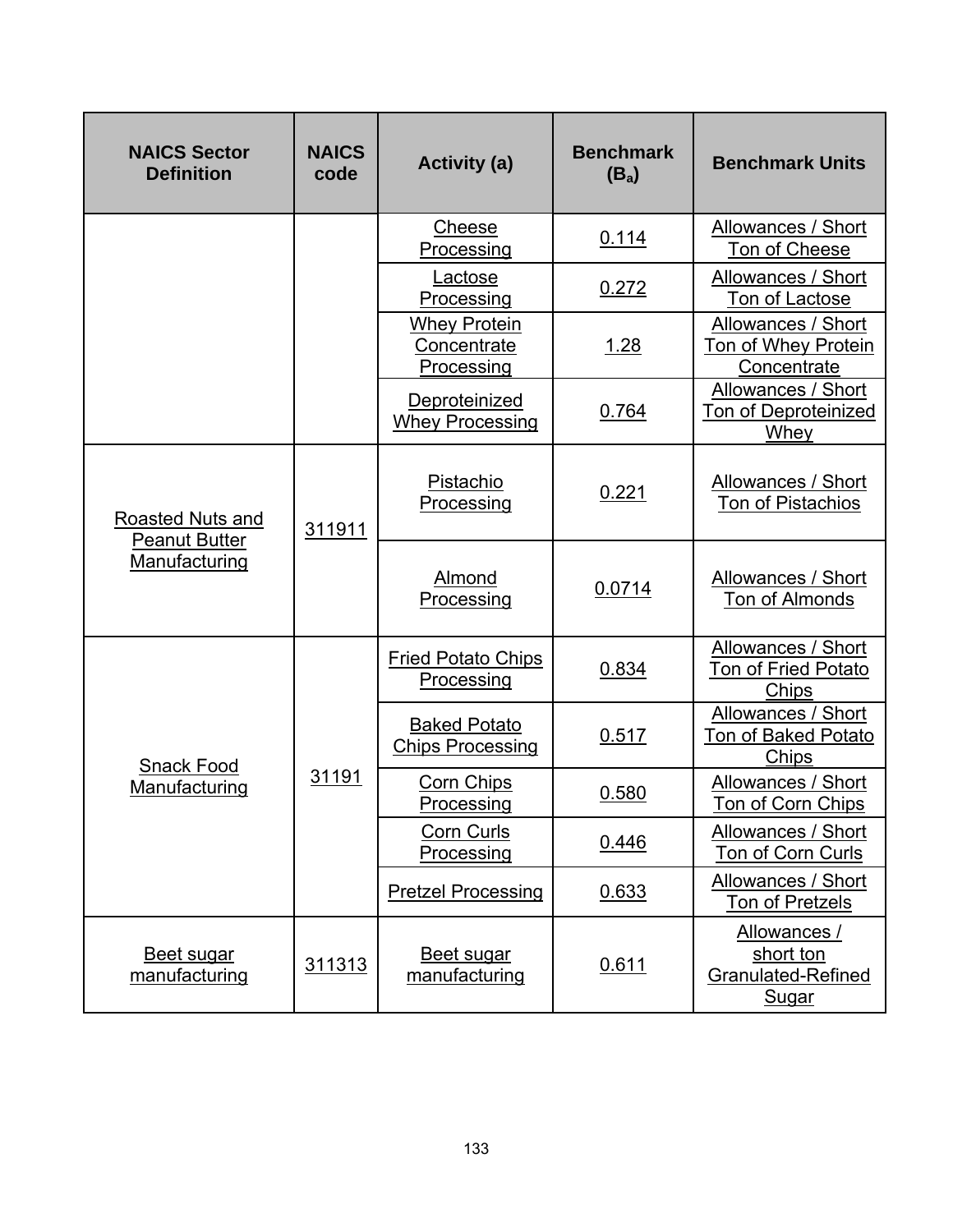| <b>NAICS Sector</b><br><b>Definition</b> | <b>NAICS</b><br>code | <b>Activity (a)</b>                              | <b>Benchmark</b><br>$(B_a)$ | <b>Benchmark Units</b>                                          |
|------------------------------------------|----------------------|--------------------------------------------------|-----------------------------|-----------------------------------------------------------------|
|                                          |                      | Cheese<br>Processing                             | 0.114                       | Allowances / Short<br>Ton of Cheese                             |
|                                          |                      | Lactose<br>Processing                            | 0.272                       | Allowances / Short<br>Ton of Lactose                            |
|                                          |                      | <b>Whey Protein</b><br>Concentrate<br>Processing | 1.28                        | Allowances / Short<br>Ton of Whey Protein<br>Concentrate        |
|                                          |                      | Deproteinized<br><b>Whey Processing</b>          | 0.764                       | Allowances / Short<br><b>Ton of Deproteinized</b><br>Whey       |
| <b>Roasted Nuts and</b>                  | 311911               | Pistachio<br>Processing                          | 0.221                       | Allowances / Short<br>Ton of Pistachios                         |
| <b>Peanut Butter</b><br>Manufacturing    |                      | Almond<br>Processing                             | 0.0714                      | <b>Allowances / Short</b><br>Ton of Almonds                     |
|                                          |                      | <b>Fried Potato Chips</b><br>Processing          | 0.834                       | Allowances / Short<br>Ton of Fried Potato<br>Chips              |
| <b>Snack Food</b>                        |                      | <b>Baked Potato</b><br><b>Chips Processing</b>   | 0.517                       | Allowances / Short<br><b>Ton of Baked Potato</b><br>Chips       |
| Manufacturing                            | 31191                | <b>Corn Chips</b><br>Processing                  | 0.580                       | Allowances / Short<br>Ton of Corn Chips                         |
|                                          |                      | <b>Corn Curls</b><br>Processing                  | 0.446                       | Allowances / Short<br>Ton of Corn Curls                         |
|                                          |                      | <b>Pretzel Processing</b>                        | 0.633                       | <b>Allowances / Short</b><br>Ton of Pretzels                    |
| <b>Beet sugar</b><br>manufacturing       | 311313               | <b>Beet sugar</b><br>manufacturing               | 0.611                       | Allowances /<br>short ton<br>Granulated-Refined<br><b>Sugar</b> |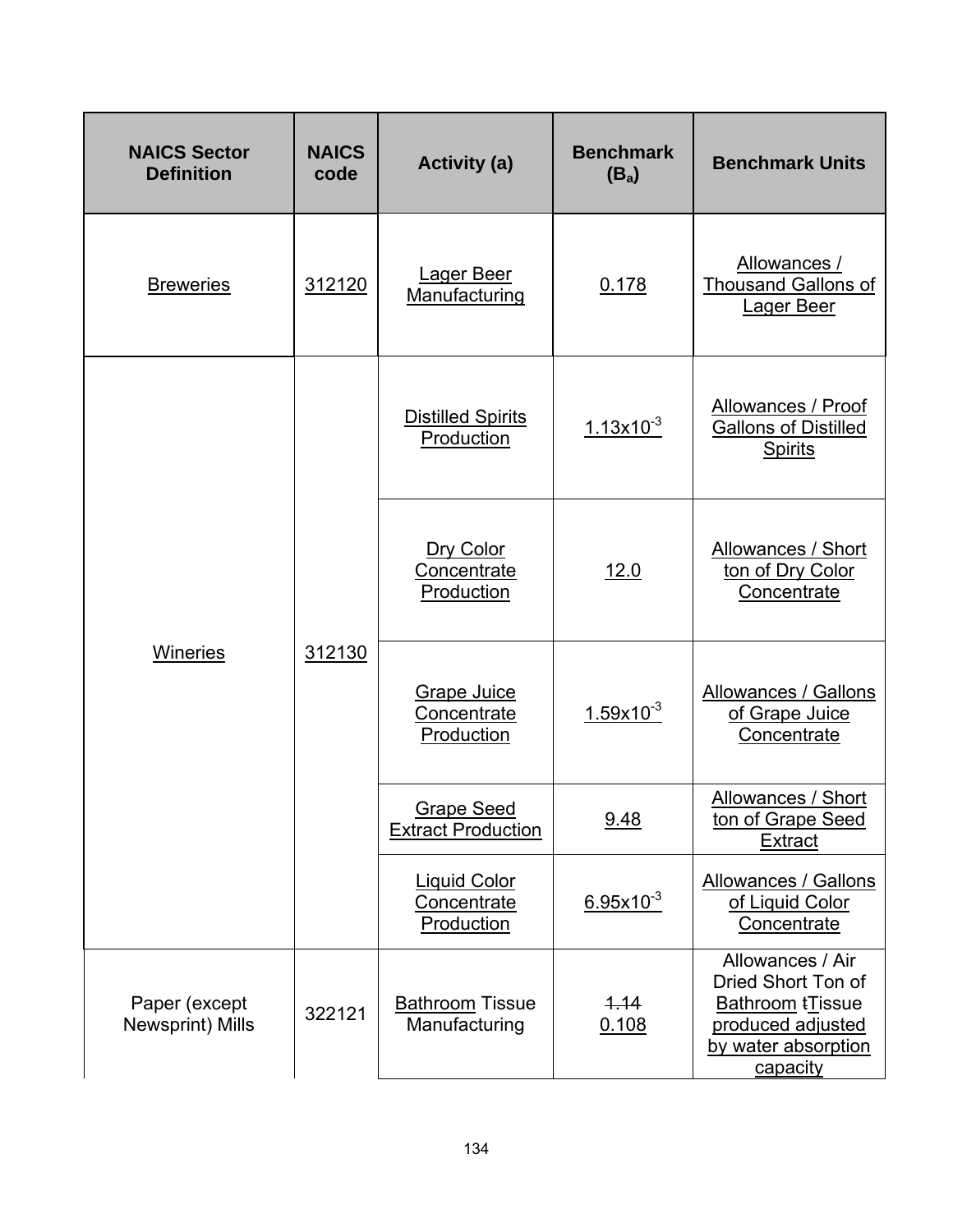| <b>NAICS Sector</b><br><b>Definition</b> | <b>NAICS</b><br>code | <b>Activity (a)</b>                                     | <b>Benchmark</b><br>$(B_a)$ | <b>Benchmark Units</b>                                                                                                    |
|------------------------------------------|----------------------|---------------------------------------------------------|-----------------------------|---------------------------------------------------------------------------------------------------------------------------|
| <b>Breweries</b>                         | 312120               | Lager Beer<br>Manufacturing                             | 0.178                       | Allowances /<br><b>Thousand Gallons of</b><br>Lager Beer                                                                  |
|                                          | 312130               | <b>Distilled Spirits</b><br>Production                  | $1.13x10^{-3}$              | Allowances / Proof<br><b>Gallons of Distilled</b><br><b>Spirits</b>                                                       |
|                                          |                      | Dry Color<br>Concentrate<br>Production                  | 12.0                        | Allowances / Short<br>ton of Dry Color<br>Concentrate                                                                     |
| <b>Wineries</b>                          |                      | <b>Grape Juice</b><br>Concentrate<br>Production         | $1.59x10^{-3}$              | Allowances / Gallons<br>of Grape Juice<br>Concentrate                                                                     |
|                                          |                      | <b>Grape Seed</b><br><b>Extract Production</b>          | 9.48                        | Allowances / Short<br>ton of Grape Seed<br><b>Extract</b>                                                                 |
|                                          |                      | <b>Liquid Color</b><br><b>Concentrate</b><br>Production | $6.95x10^{-3}$              | <b>Allowances / Gallons</b><br>of Liquid Color<br>Concentrate                                                             |
| Paper (except<br>Newsprint) Mills        | 322121               | <b>Bathroom Tissue</b><br>Manufacturing                 | 4.14<br>0.108               | Allowances / Air<br>Dried Short Ton of<br><b>Bathroom tTissue</b><br>produced adjusted<br>by water absorption<br>capacity |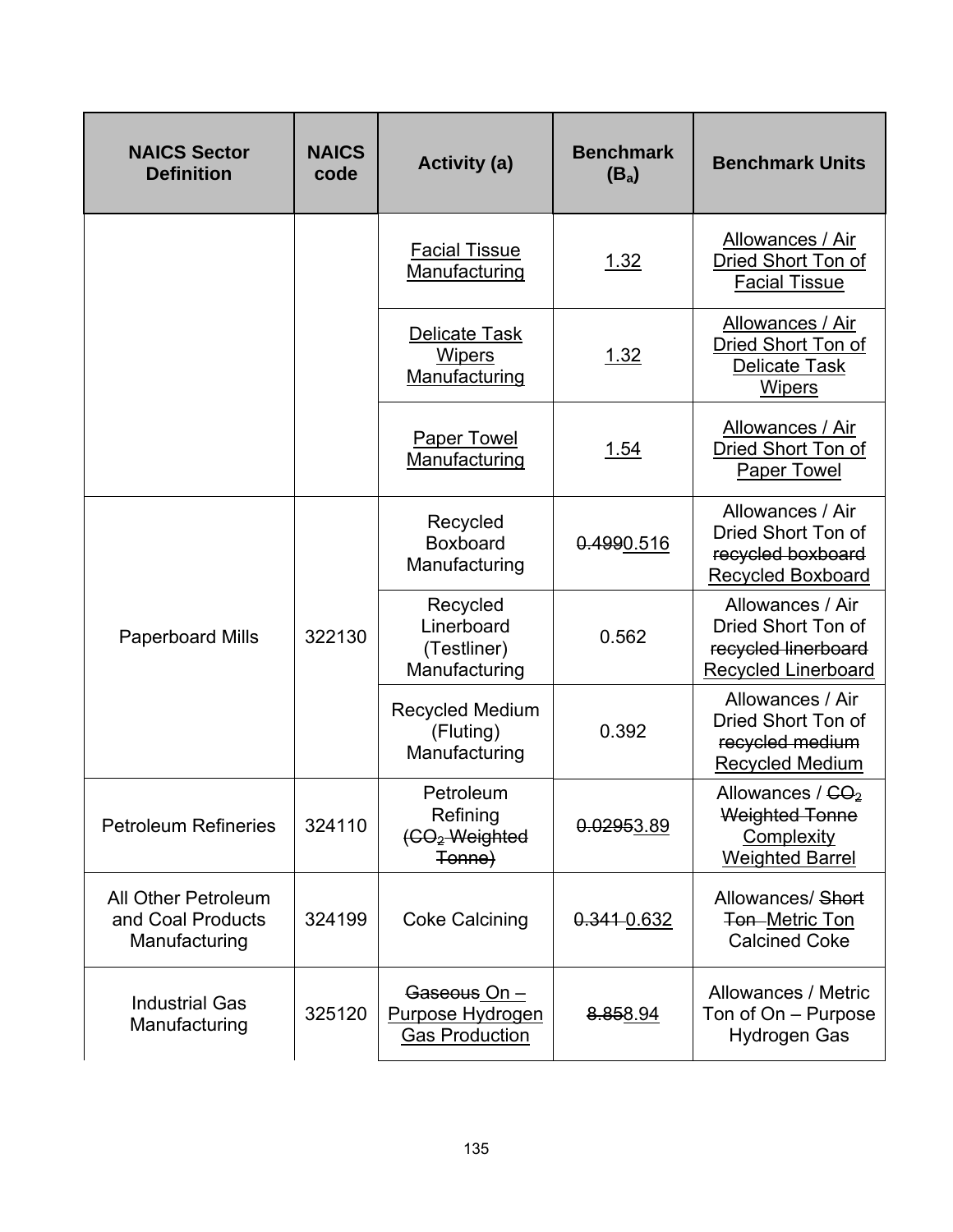| <b>NAICS Sector</b><br><b>Definition</b>                  | <b>NAICS</b><br>code | <b>Activity (a)</b>                                          | <b>Benchmark</b><br>$(B_a)$ | <b>Benchmark Units</b>                                                                      |
|-----------------------------------------------------------|----------------------|--------------------------------------------------------------|-----------------------------|---------------------------------------------------------------------------------------------|
|                                                           |                      | <b>Facial Tissue</b><br>Manufacturing                        | 1.32                        | Allowances / Air<br>Dried Short Ton of<br><b>Facial Tissue</b>                              |
|                                                           |                      | <b>Delicate Task</b><br><b>Wipers</b><br>Manufacturing       | 1.32                        | Allowances / Air<br>Dried Short Ton of<br><b>Delicate Task</b><br><b>Wipers</b>             |
|                                                           |                      | <b>Paper Towel</b><br>Manufacturing                          | <u>1.54</u>                 | Allowances / Air<br>Dried Short Ton of<br><b>Paper Towel</b>                                |
|                                                           | 322130               | Recycled<br>Boxboard<br>Manufacturing                        | 0.4990.516                  | Allowances / Air<br>Dried Short Ton of<br>recycled boxboard<br><b>Recycled Boxboard</b>     |
| <b>Paperboard Mills</b>                                   |                      | Recycled<br>Linerboard<br>(Testliner)<br>Manufacturing       | 0.562                       | Allowances / Air<br>Dried Short Ton of<br>recycled linerboard<br><b>Recycled Linerboard</b> |
|                                                           |                      | Recycled Medium<br>(Fluting)<br>Manufacturing                | 0.392                       | Allowances / Air<br>Dried Short Ton of<br>recycled medium<br><b>Recycled Medium</b>         |
| <b>Petroleum Refineries</b>                               | 324110               | Petroleum<br>Refining<br>(CO <sub>2</sub> Weighted<br>Tonne) | 0.02953.89                  | Allowances / $CO2$<br><b>Weighted Tonne</b><br>Complexity<br><b>Weighted Barrel</b>         |
| All Other Petroleum<br>and Coal Products<br>Manufacturing | 324199               | <b>Coke Calcining</b>                                        | 0.341-0.632                 | Allowances/ Short<br><b>Ton-Metric Ton</b><br><b>Calcined Coke</b>                          |
| <b>Industrial Gas</b><br>Manufacturing                    | 325120               | Gaseous On -<br>Purpose Hydrogen<br><b>Gas Production</b>    | 8.858.94                    | Allowances / Metric<br>Ton of On - Purpose<br>Hydrogen Gas                                  |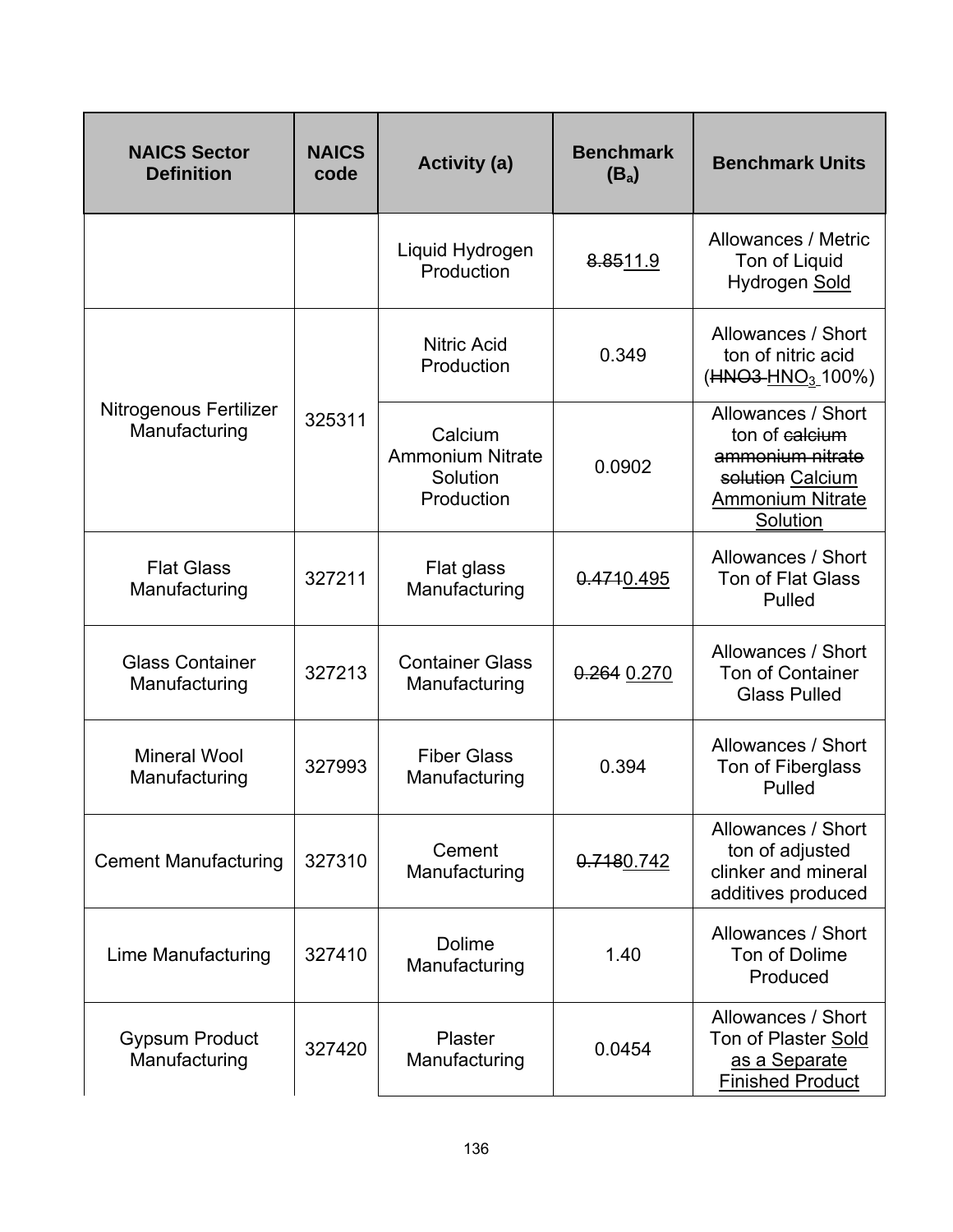| <b>NAICS Sector</b><br><b>Definition</b> | <b>NAICS</b><br>code | <b>Activity (a)</b>                                          | <b>Benchmark</b><br>$(B_a)$ | <b>Benchmark Units</b>                                                                                              |
|------------------------------------------|----------------------|--------------------------------------------------------------|-----------------------------|---------------------------------------------------------------------------------------------------------------------|
|                                          |                      | Liquid Hydrogen<br>Production                                | 8.8511.9                    | Allowances / Metric<br>Ton of Liquid<br>Hydrogen Sold                                                               |
| Nitrogenous Fertilizer<br>Manufacturing  | 325311               | <b>Nitric Acid</b><br>Production                             | 0.349                       | Allowances / Short<br>ton of nitric acid<br>(HNO3-HNO <sub>3</sub> _100%)                                           |
|                                          |                      | Calcium<br><b>Ammonium Nitrate</b><br>Solution<br>Production | 0.0902                      | Allowances / Short<br>ton of calcium<br>ammonium nitrate<br>solution Calcium<br><b>Ammonium Nitrate</b><br>Solution |
| <b>Flat Glass</b><br>Manufacturing       | 327211               | Flat glass<br>Manufacturing                                  | 0.4710.495                  | Allowances / Short<br><b>Ton of Flat Glass</b><br>Pulled                                                            |
| <b>Glass Container</b><br>Manufacturing  | 327213               | <b>Container Glass</b><br>Manufacturing                      | 0.264 0.270                 | Allowances / Short<br><b>Ton of Container</b><br><b>Glass Pulled</b>                                                |
| <b>Mineral Wool</b><br>Manufacturing     | 327993               | <b>Fiber Glass</b><br>Manufacturing                          | 0.394                       | Allowances / Short<br>Ton of Fiberglass<br>Pulled                                                                   |
| <b>Cement Manufacturing</b>              | 327310               | Cement<br>Manufacturing                                      | 0.7180.742                  | Allowances / Short<br>ton of adjusted<br>clinker and mineral<br>additives produced                                  |
| Lime Manufacturing                       | 327410               | <b>Dolime</b><br>Manufacturing                               | 1.40                        | Allowances / Short<br>Ton of Dolime<br>Produced                                                                     |
| <b>Gypsum Product</b><br>Manufacturing   | 327420               | Plaster<br>Manufacturing                                     | 0.0454                      | Allowances / Short<br>Ton of Plaster Sold<br>as a Separate<br><b>Finished Product</b>                               |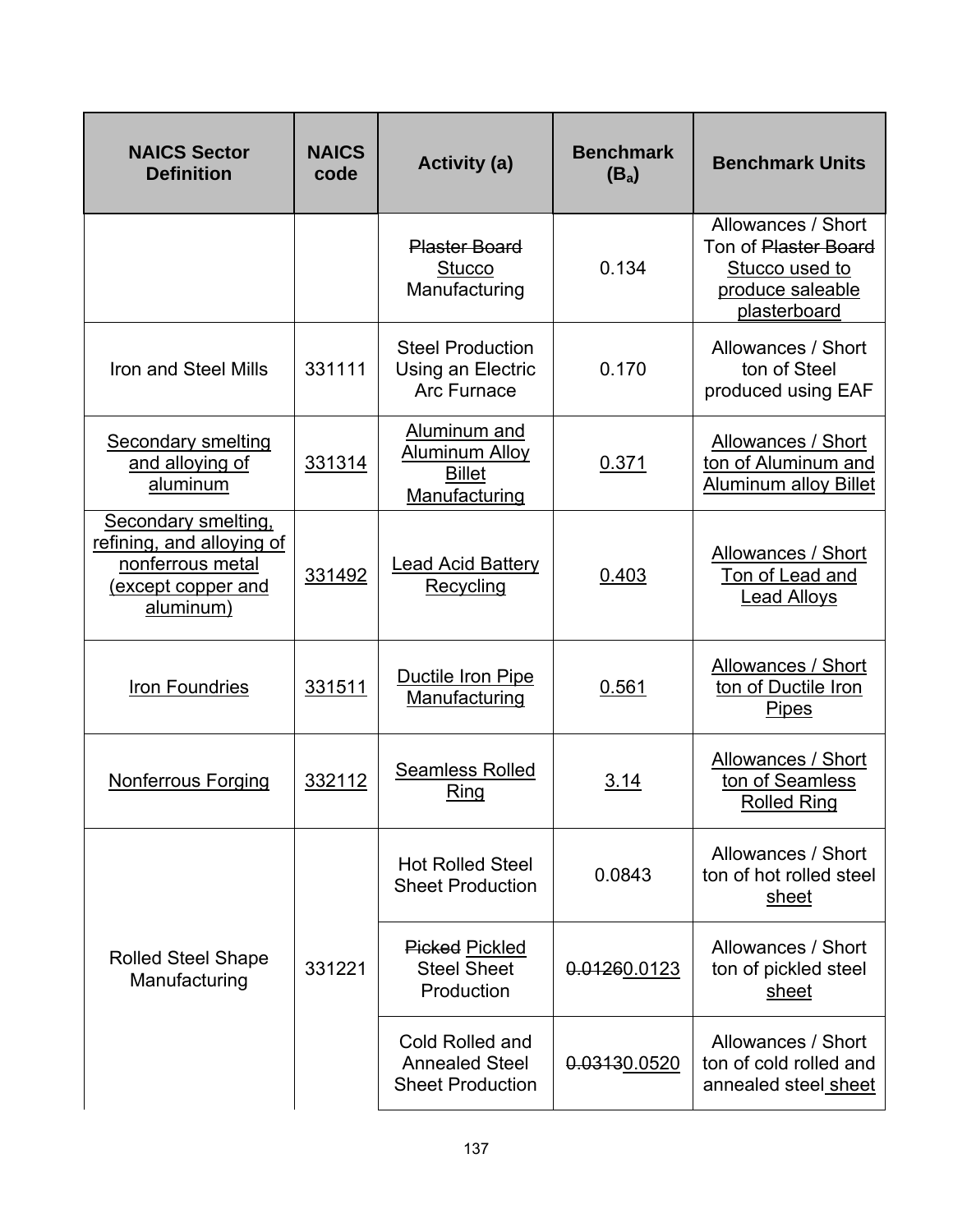| <b>NAICS Sector</b><br><b>Definition</b>                                                                | <b>NAICS</b><br>code | <b>Activity (a)</b>                                                     | <b>Benchmark</b><br>$(B_a)$ | <b>Benchmark Units</b>                                                                           |
|---------------------------------------------------------------------------------------------------------|----------------------|-------------------------------------------------------------------------|-----------------------------|--------------------------------------------------------------------------------------------------|
|                                                                                                         |                      | <b>Plaster Board</b><br><b>Stucco</b><br>Manufacturing                  | 0.134                       | Allowances / Short<br>Ton of Plaster Board<br>Stucco used to<br>produce saleable<br>plasterboard |
| Iron and Steel Mills                                                                                    | 331111               | <b>Steel Production</b><br>Using an Electric<br><b>Arc Furnace</b>      | 0.170                       | Allowances / Short<br>ton of Steel<br>produced using EAF                                         |
| <b>Secondary smelting</b><br>and alloying of<br>aluminum                                                | 331314               | Aluminum and<br><b>Aluminum Alloy</b><br><b>Billet</b><br>Manufacturing | 0.371                       | Allowances / Short<br>ton of Aluminum and<br><b>Aluminum alloy Billet</b>                        |
| Secondary smelting,<br>refining, and alloying of<br>nonferrous metal<br>(except copper and<br>aluminum) | 331492               | <b>Lead Acid Battery</b><br>Recycling                                   | 0.403                       | Allowances / Short<br>Ton of Lead and<br><b>Lead Alloys</b>                                      |
| Iron Foundries                                                                                          | 331511               | Ductile Iron Pipe<br>Manufacturing                                      | 0.561                       | Allowances / Short<br>ton of Ductile Iron<br><b>Pipes</b>                                        |
| Nonferrous Forging                                                                                      | 332112               | <b>Seamless Rolled</b><br><b>Ring</b>                                   | 3.14                        | Allowances / Short<br>ton of Seamless<br><b>Rolled Ring</b>                                      |
|                                                                                                         |                      | <b>Hot Rolled Steel</b><br><b>Sheet Production</b>                      | 0.0843                      | Allowances / Short<br>ton of hot rolled steel<br>sheet                                           |
| <b>Rolled Steel Shape</b><br>Manufacturing                                                              | 331221               | <b>Picked Pickled</b><br><b>Steel Sheet</b><br>Production               | 0.01260.0123                | Allowances / Short<br>ton of pickled steel<br>sheet                                              |
|                                                                                                         |                      | Cold Rolled and<br><b>Annealed Steel</b><br><b>Sheet Production</b>     | 0.03130.0520                | Allowances / Short<br>ton of cold rolled and<br>annealed steel sheet                             |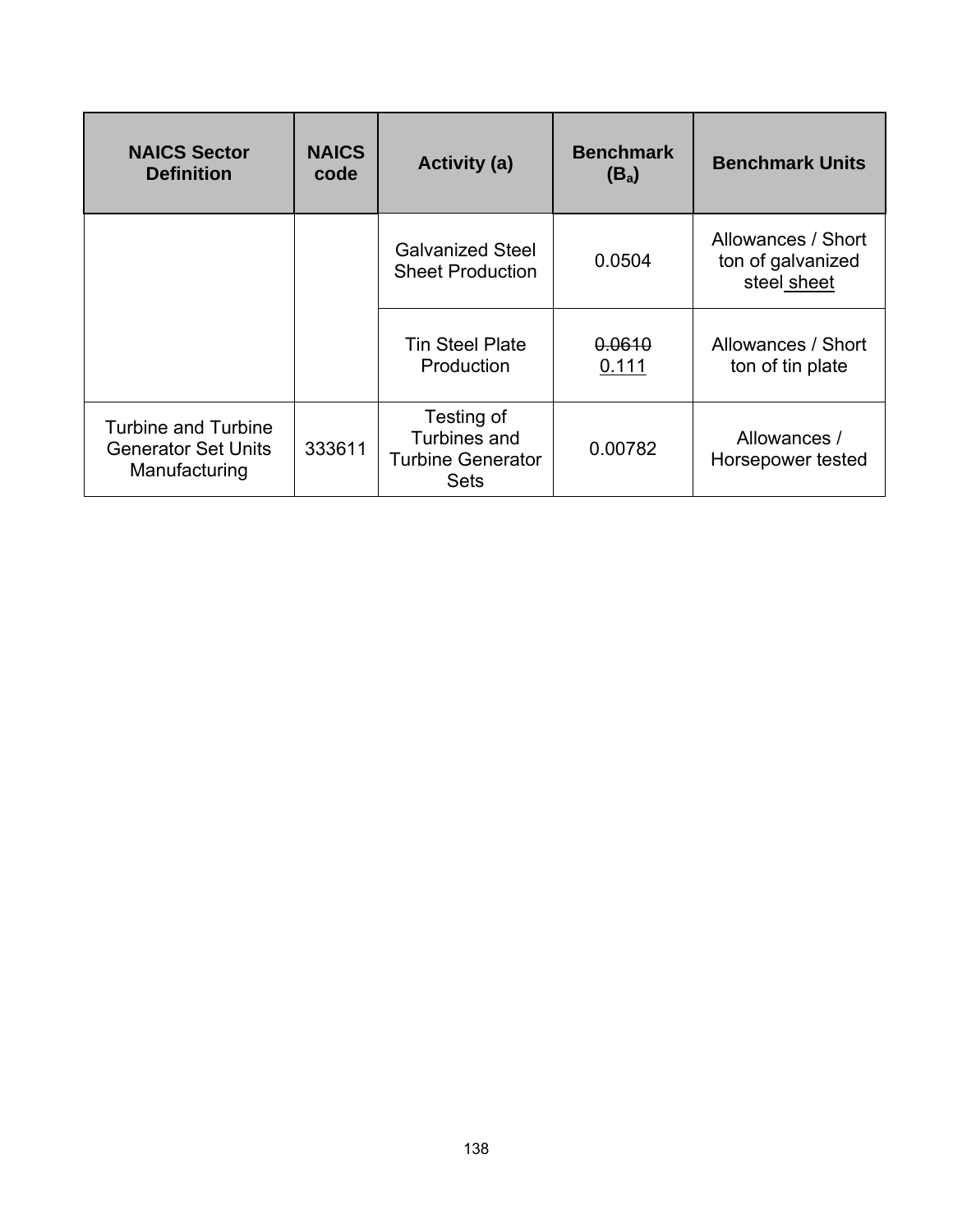| <b>NAICS Sector</b><br><b>Definition</b>                                  | <b>NAICS</b><br>code | <b>Activity (a)</b>                                                   | <b>Benchmark</b><br>$(B_a)$ | <b>Benchmark Units</b>                                 |
|---------------------------------------------------------------------------|----------------------|-----------------------------------------------------------------------|-----------------------------|--------------------------------------------------------|
|                                                                           |                      | <b>Galvanized Steel</b><br><b>Sheet Production</b>                    | 0.0504                      | Allowances / Short<br>ton of galvanized<br>steel sheet |
|                                                                           |                      | <b>Tin Steel Plate</b><br>Production                                  | 0.0610<br>0.111             | Allowances / Short<br>ton of tin plate                 |
| <b>Turbine and Turbine</b><br><b>Generator Set Units</b><br>Manufacturing | 333611               | Testing of<br>Turbines and<br><b>Turbine Generator</b><br><b>Sets</b> | 0.00782                     | Allowances /<br>Horsepower tested                      |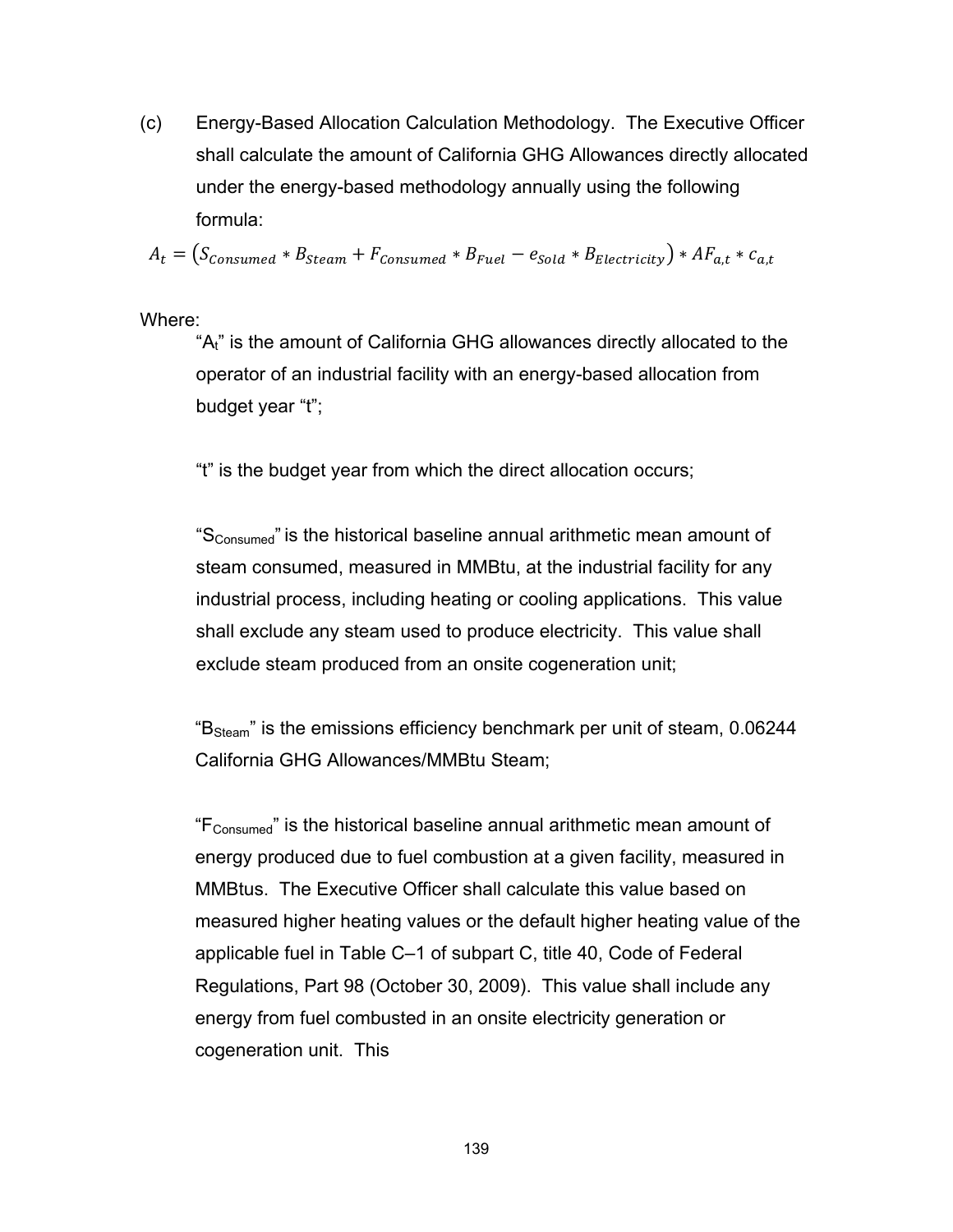(c) Energy-Based Allocation Calculation Methodology. The Executive Officer shall calculate the amount of California GHG Allowances directly allocated under the energy-based methodology annually using the following formula:

 $A_t = (S_{consumed} * B_{Steam} + F_{consumed} * B_{Fuel} - e_{Sold} * B_{Electricity}) * AF_{a,t} * c_{a,t}$ 

Where:

"A<sub>t"</sub> is the amount of California GHG allowances directly allocated to the operator of an industrial facility with an energy-based allocation from budget year "t";

"t" is the budget year from which the direct allocation occurs;

"SConsumed" is the historical baseline annual arithmetic mean amount of steam consumed, measured in MMBtu, at the industrial facility for any industrial process, including heating or cooling applications. This value shall exclude any steam used to produce electricity. This value shall exclude steam produced from an onsite cogeneration unit;

"B<sub>Steam</sub>" is the emissions efficiency benchmark per unit of steam, 0.06244 California GHG Allowances/MMBtu Steam;

"FConsumed" is the historical baseline annual arithmetic mean amount of energy produced due to fuel combustion at a given facility, measured in MMBtus. The Executive Officer shall calculate this value based on measured higher heating values or the default higher heating value of the applicable fuel in Table C–1 of subpart C, title 40, Code of Federal Regulations, Part 98 (October 30, 2009). This value shall include any energy from fuel combusted in an onsite electricity generation or cogeneration unit. This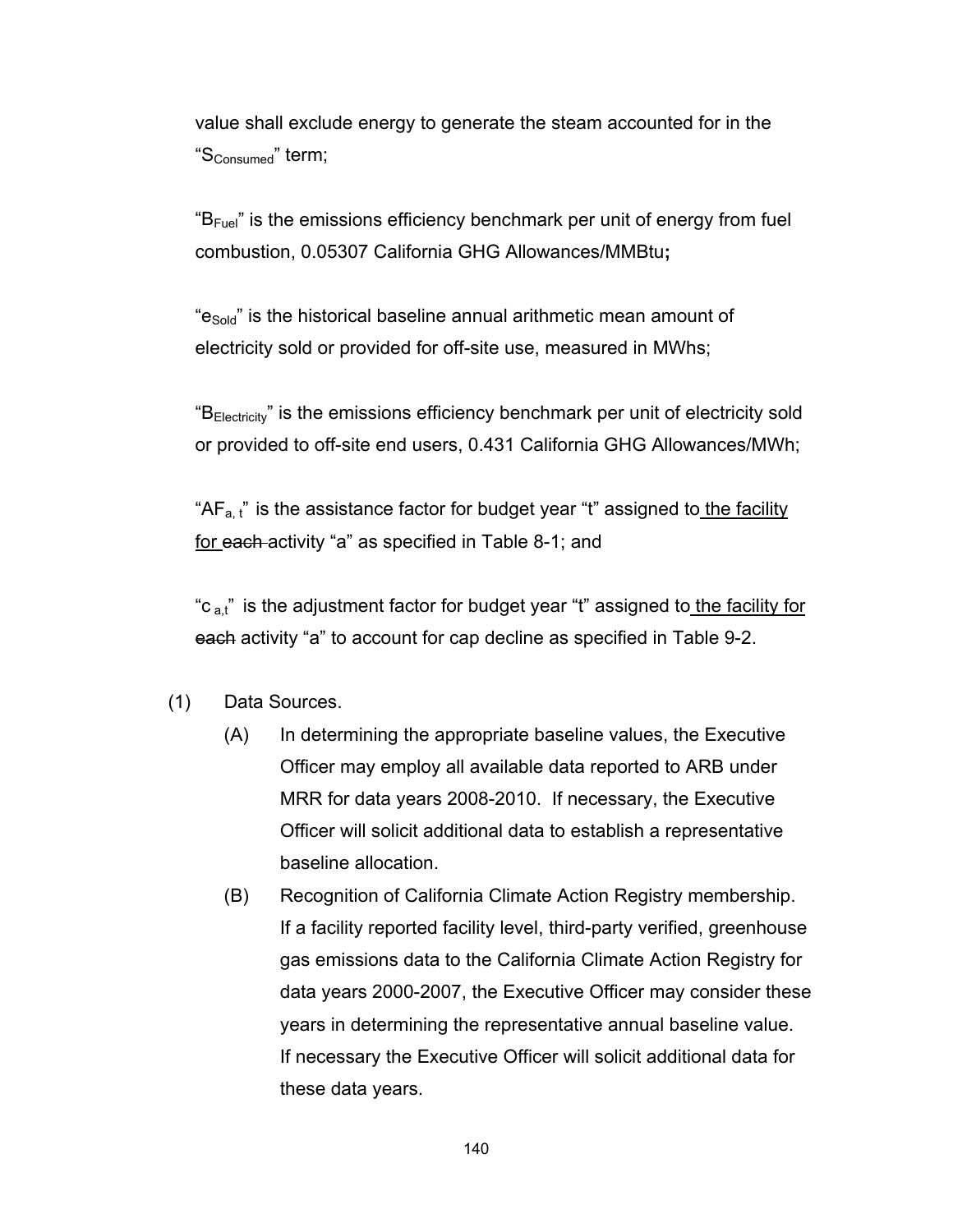value shall exclude energy to generate the steam accounted for in the "SConsumed" term;

 $B_{\text{Fuel}}$ " is the emissions efficiency benchmark per unit of energy from fuel combustion, 0.05307 California GHG Allowances/MMBtu**;** 

"e<sub>Sold</sub>" is the historical baseline annual arithmetic mean amount of electricity sold or provided for off-site use, measured in MWhs;

"B<sub>Electricity</sub>" is the emissions efficiency benchmark per unit of electricity sold or provided to off-site end users, 0.431 California GHG Allowances/MWh;

" $AF<sub>a,t</sub>$ " is the assistance factor for budget year "t" assigned to the facility for each activity "a" as specified in Table 8-1; and

"c  $a_n$ " is the adjustment factor for budget year "t" assigned to the facility for each activity "a" to account for cap decline as specified in Table 9-2.

- (1) Data Sources.
	- (A) In determining the appropriate baseline values, the Executive Officer may employ all available data reported to ARB under MRR for data years 2008-2010. If necessary, the Executive Officer will solicit additional data to establish a representative baseline allocation.
	- (B) Recognition of California Climate Action Registry membership. If a facility reported facility level, third-party verified, greenhouse gas emissions data to the California Climate Action Registry for data years 2000-2007, the Executive Officer may consider these years in determining the representative annual baseline value. If necessary the Executive Officer will solicit additional data for these data years.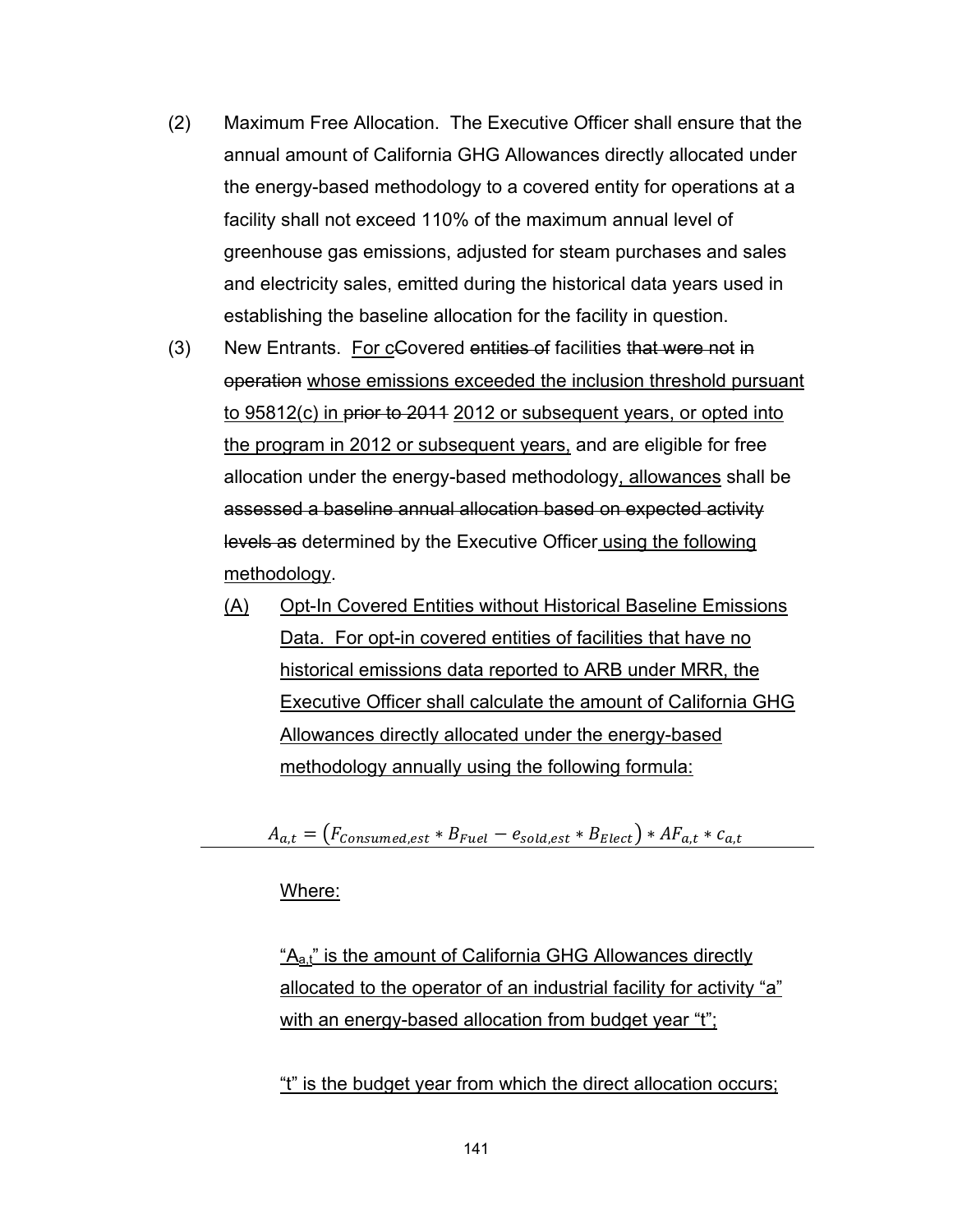- (2) Maximum Free Allocation. The Executive Officer shall ensure that the annual amount of California GHG Allowances directly allocated under the energy-based methodology to a covered entity for operations at a facility shall not exceed 110% of the maximum annual level of greenhouse gas emissions, adjusted for steam purchases and sales and electricity sales, emitted during the historical data years used in establishing the baseline allocation for the facility in question.
- (3) New Entrants. For cGovered entities of facilities that were not in operation whose emissions exceeded the inclusion threshold pursuant to 95812(c) in prior to 2011 2012 or subsequent years, or opted into the program in 2012 or subsequent years, and are eligible for free allocation under the energy-based methodology, allowances shall be assessed a baseline annual allocation based on expected activity levels as determined by the Executive Officer using the following methodology.
	- (A) Opt-In Covered Entities without Historical Baseline Emissions Data. For opt-in covered entities of facilities that have no historical emissions data reported to ARB under MRR, the Executive Officer shall calculate the amount of California GHG Allowances directly allocated under the energy-based methodology annually using the following formula:

 $A_{a,t} = (F_{consumed,est} * B_{Fuel} - e_{solid,est} * B_{Elect}) * AF_{a,t} * c_{a,t}$ 

#### Where:

 $A_{a,t}$ " is the amount of California GHG Allowances directly allocated to the operator of an industrial facility for activity "a" with an energy-based allocation from budget year "t";

"t" is the budget year from which the direct allocation occurs;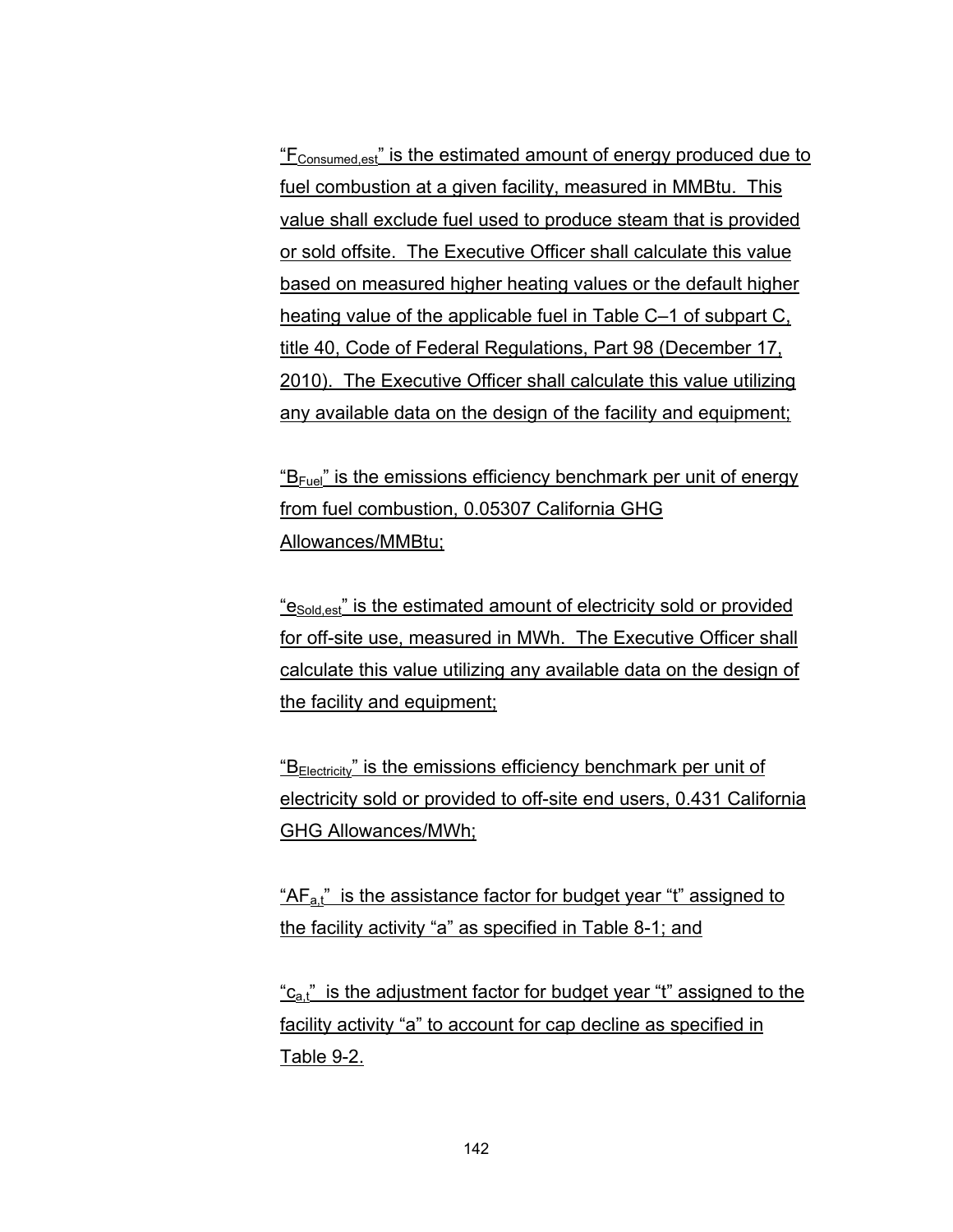"F<sub>Consumed est</sub>" is the estimated amount of energy produced due to fuel combustion at a given facility, measured in MMBtu. This value shall exclude fuel used to produce steam that is provided or sold offsite. The Executive Officer shall calculate this value based on measured higher heating values or the default higher heating value of the applicable fuel in Table C–1 of subpart C, title 40, Code of Federal Regulations, Part 98 (December 17, 2010). The Executive Officer shall calculate this value utilizing any available data on the design of the facility and equipment;

"B<sub>Fuel</sub>" is the emissions efficiency benchmark per unit of energy from fuel combustion, 0.05307 California GHG Allowances/MMBtu;

"e<sub>Sold est</sub>" is the estimated amount of electricity sold or provided for off-site use, measured in MWh. The Executive Officer shall calculate this value utilizing any available data on the design of the facility and equipment;

" $B<sub>Electricity</sub>$ " is the emissions efficiency benchmark per unit of electricity sold or provided to off-site end users, 0.431 California GHG Allowances/MWh;

" $AF_{at}$ " is the assistance factor for budget year "t" assigned to the facility activity "a" as specified in Table 8-1; and

"c<sub>a,t</sub>" is the adjustment factor for budget year "t" assigned to the facility activity "a" to account for cap decline as specified in Table 9-2.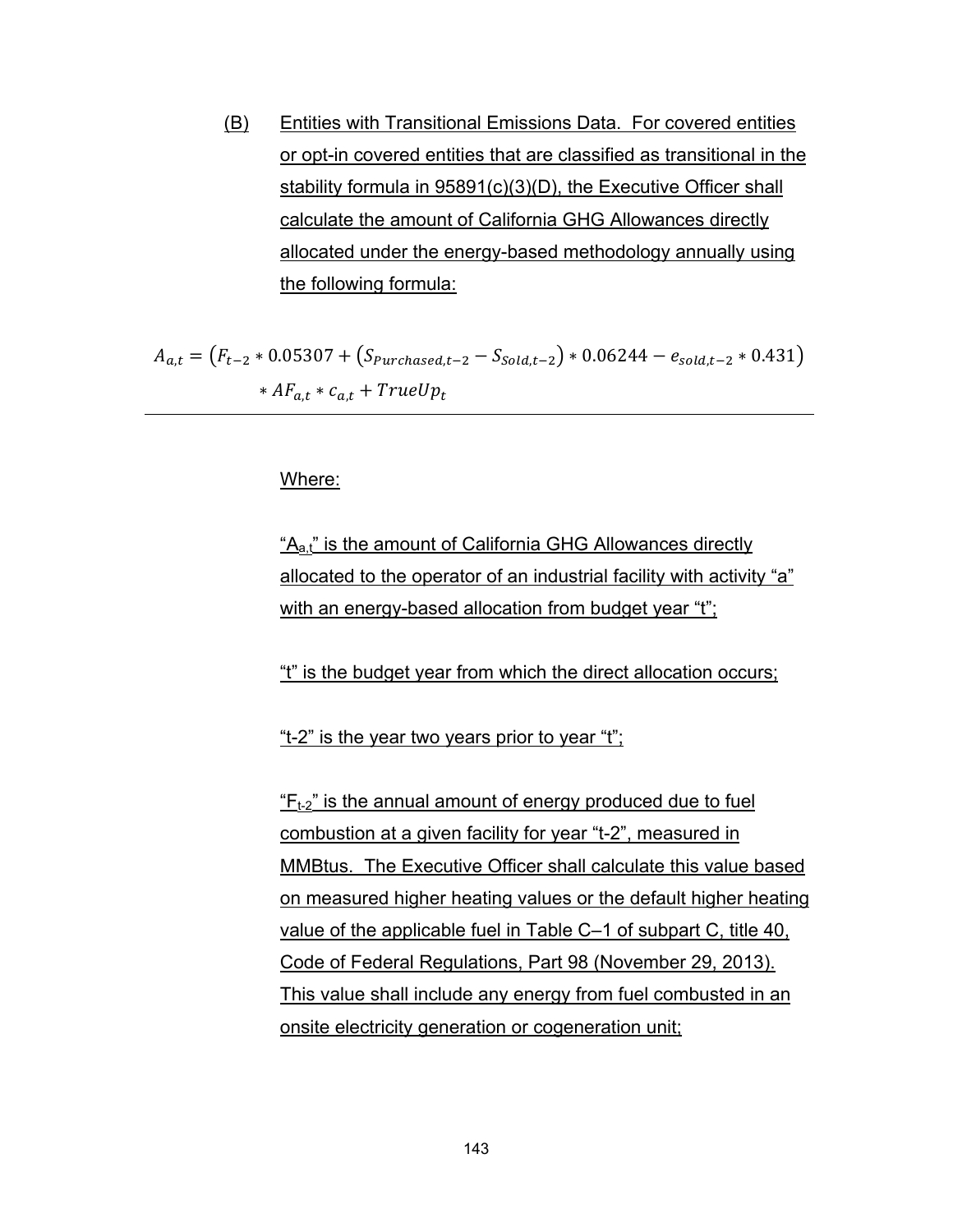(B) Entities with Transitional Emissions Data. For covered entities or opt-in covered entities that are classified as transitional in the stability formula in 95891(c)(3)(D), the Executive Officer shall calculate the amount of California GHG Allowances directly allocated under the energy-based methodology annually using the following formula:

$$
A_{a,t} = (F_{t-2} * 0.05307 + (S_{Purchased,t-2} - S_{Sold,t-2}) * 0.06244 - e_{sold,t-2} * 0.431)
$$
  
 
$$
* AF_{a,t} * c_{a,t} + TrueUp_t
$$

Where:

"A<sub>a,t</sub>" is the amount of California GHG Allowances directly allocated to the operator of an industrial facility with activity "a" with an energy-based allocation from budget year "t";

"t" is the budget year from which the direct allocation occurs;

"t-2" is the year two years prior to year "t";

 $F_{t-2}$ " is the annual amount of energy produced due to fuel combustion at a given facility for year "t-2", measured in MMBtus. The Executive Officer shall calculate this value based on measured higher heating values or the default higher heating value of the applicable fuel in Table C–1 of subpart C, title 40, Code of Federal Regulations, Part 98 (November 29, 2013). This value shall include any energy from fuel combusted in an onsite electricity generation or cogeneration unit;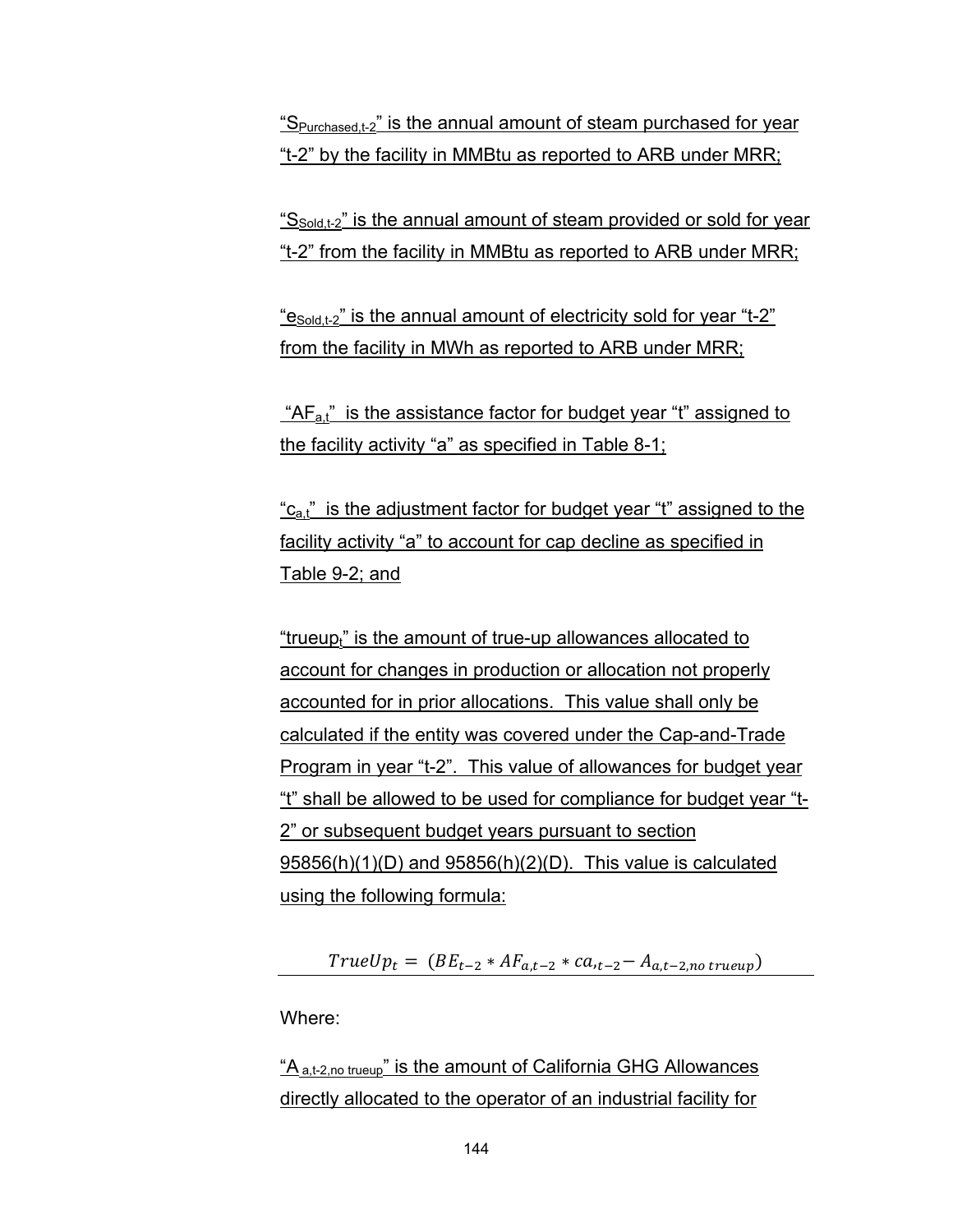" $S<sub>Purchased t-2</sub>$ " is the annual amount of steam purchased for year "t-2" by the facility in MMBtu as reported to ARB under MRR;

"S<sub>Sold,t-2</sub>" is the annual amount of steam provided or sold for year "t-2" from the facility in MMBtu as reported to ARB under MRR;

" $e_{\text{Sold.t-2}}$ " is the annual amount of electricity sold for year "t-2" from the facility in MWh as reported to ARB under MRR;

" $AF_{at}$ " is the assistance factor for budget year "t" assigned to the facility activity "a" as specified in Table 8-1;

" $c_{a}t$ " is the adjustment factor for budget year "t" assigned to the facility activity "a" to account for cap decline as specified in Table 9-2; and

"trueup<sub>t</sub>" is the amount of true-up allowances allocated to account for changes in production or allocation not properly accounted for in prior allocations. This value shall only be calculated if the entity was covered under the Cap-and-Trade Program in year "t-2". This value of allowances for budget year "t" shall be allowed to be used for compliance for budget year "t-2" or subsequent budget years pursuant to section 95856(h)(1)(D) and 95856(h)(2)(D). This value is calculated using the following formula:

 $TrueUp_t = (BE_{t-2} * AF_{a,t-2} * ca_{t-2} - A_{a,t-2,no\ trueup})$ 

Where:

" $A_{a.t-2,no\ true}$ " is the amount of California GHG Allowances directly allocated to the operator of an industrial facility for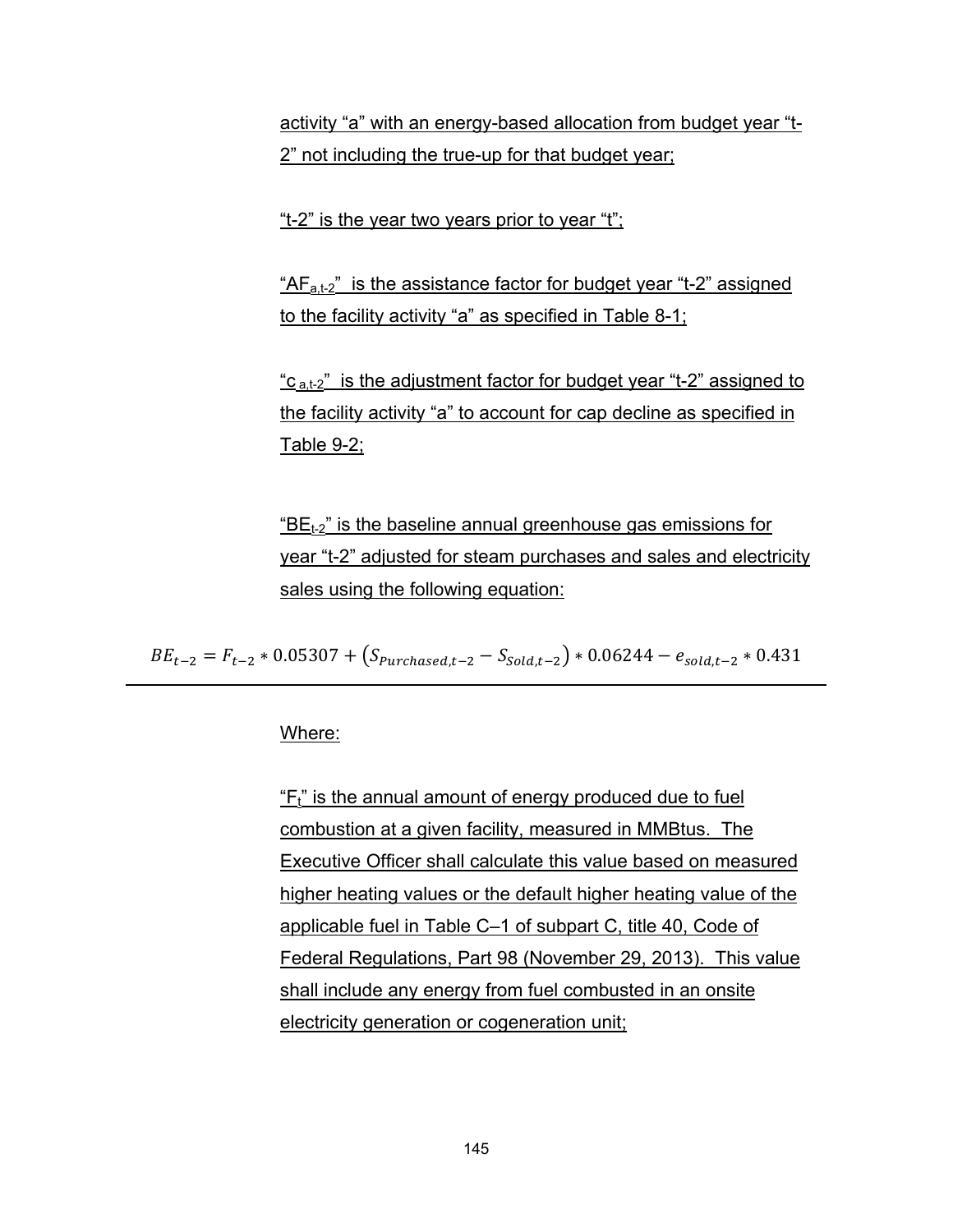activity "a" with an energy-based allocation from budget year "t-2" not including the true-up for that budget year;

"t-2" is the year two years prior to year "t";

 $H_{a,t-2}$ " is the assistance factor for budget year "t-2" assigned to the facility activity "a" as specified in Table 8-1;

" $c_{a,t-2}$ " is the adjustment factor for budget year "t-2" assigned to the facility activity "a" to account for cap decline as specified in Table 9-2;

 $E_{t-2}$ " is the baseline annual greenhouse gas emissions for year "t-2" adjusted for steam purchases and sales and electricity sales using the following equation:

 $BE<sub>t-2</sub> = F<sub>t-2</sub> * 0.05307 + (S<sub>purchased,t-2</sub> - S<sub>Sold,t-2</sub>) * 0.06244 - e<sub>solid,t-2</sub> * 0.431$ 

#### Where:

 $F_t$ " is the annual amount of energy produced due to fuel combustion at a given facility, measured in MMBtus. The Executive Officer shall calculate this value based on measured higher heating values or the default higher heating value of the applicable fuel in Table C–1 of subpart C, title 40, Code of Federal Regulations, Part 98 (November 29, 2013). This value shall include any energy from fuel combusted in an onsite electricity generation or cogeneration unit;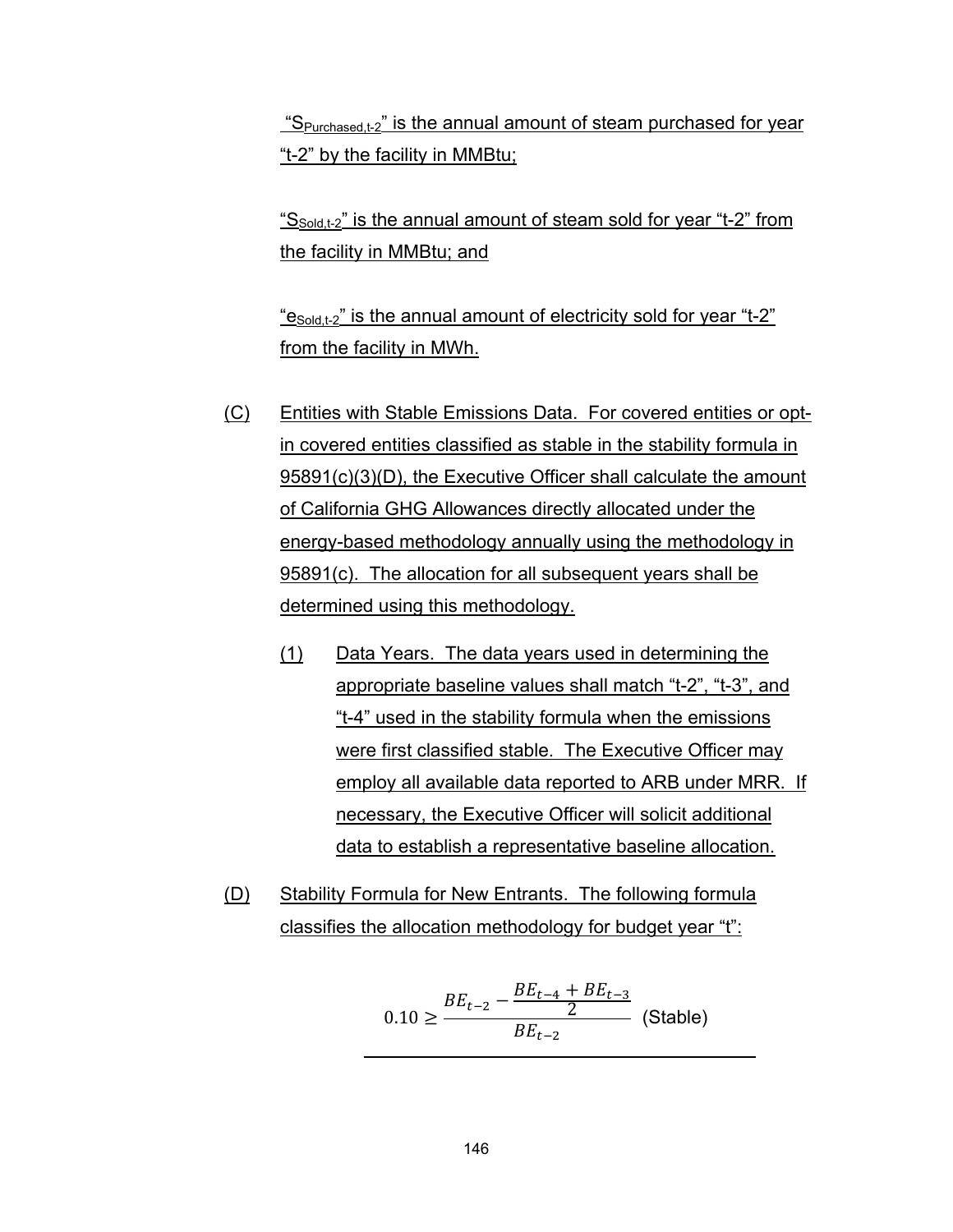" $S<sub>Purchased</sub> t-2$ " is the annual amount of steam purchased for year "t-2" by the facility in MMBtu;

" $S_{\text{Sold.t-2}}$ " is the annual amount of steam sold for year "t-2" from the facility in MMBtu; and

" $e_{\text{Sold.t-2}}$ " is the annual amount of electricity sold for year "t-2" from the facility in MWh.

- (C) Entities with Stable Emissions Data. For covered entities or optin covered entities classified as stable in the stability formula in 95891(c)(3)(D), the Executive Officer shall calculate the amount of California GHG Allowances directly allocated under the energy-based methodology annually using the methodology in 95891(c). The allocation for all subsequent years shall be determined using this methodology.
	- (1) Data Years. The data years used in determining the appropriate baseline values shall match "t-2", "t-3", and "t-4" used in the stability formula when the emissions were first classified stable. The Executive Officer may employ all available data reported to ARB under MRR. If necessary, the Executive Officer will solicit additional data to establish a representative baseline allocation.
- (D) Stability Formula for New Entrants. The following formula classifies the allocation methodology for budget year "t":

$$
0.10 \ge \frac{BE_{t-2} - \frac{BE_{t-4} + BE_{t-3}}{2}}{BE_{t-2}}
$$
 (Stable)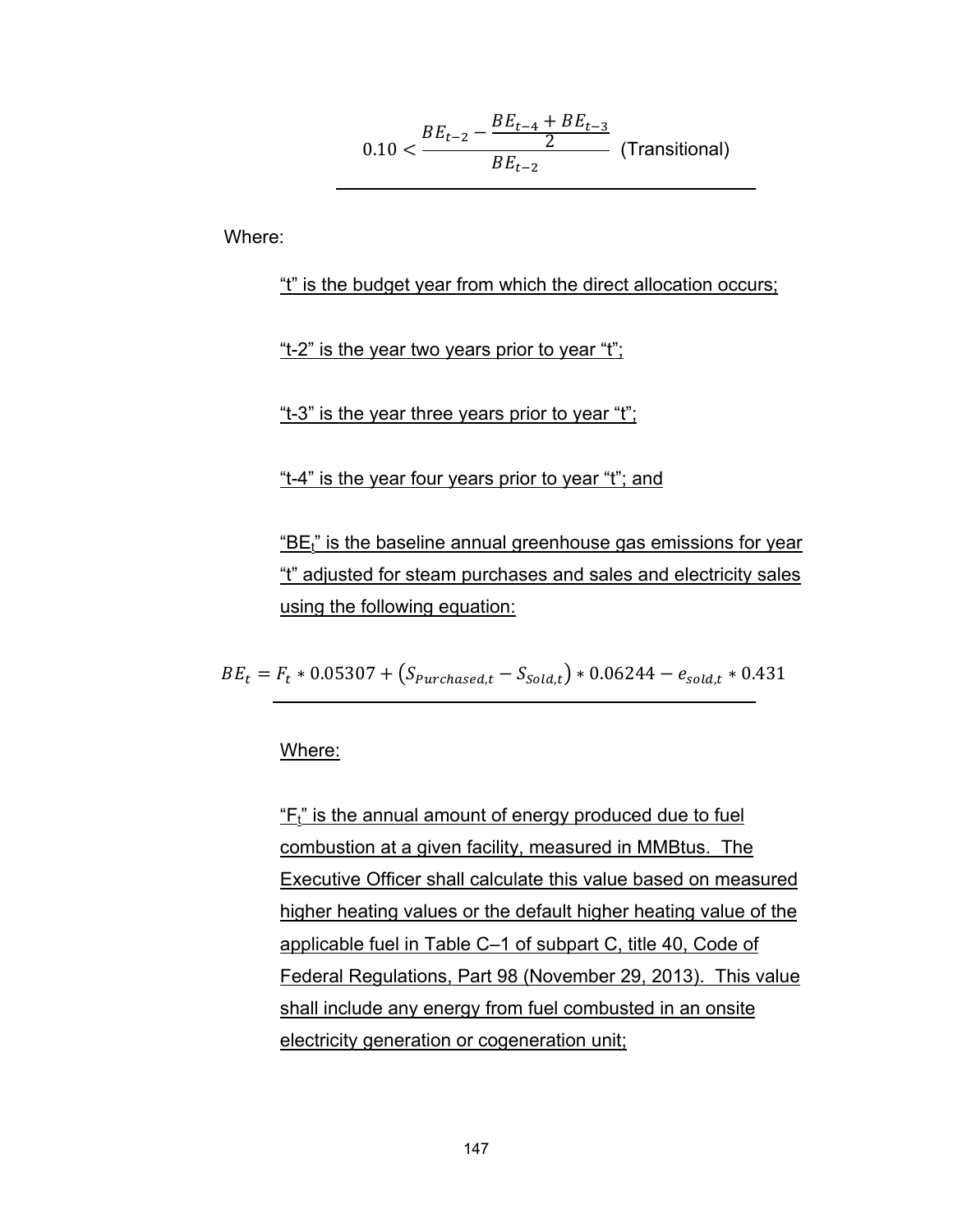$$
0.10 < \frac{BE_{t-2} - \frac{BE_{t-4} + BE_{t-3}}{2}}{BE_{t-2}} \quad \text{(Transitional)}
$$

Where:

"t" is the budget year from which the direct allocation occurs;

"t-2" is the year two years prior to year "t";

"t-3" is the year three years prior to year "t";

"t-4" is the year four years prior to year "t"; and

" $BE<sub>t</sub>$ " is the baseline annual greenhouse gas emissions for year "t" adjusted for steam purchases and sales and electricity sales using the following equation:

 $BE_t = F_t * 0.05307 + (S_{\text{Purchased},t} - S_{\text{fold},t}) * 0.06244 - e_{\text{solid},t} * 0.431$ 

Where:

 $F_t$ " is the annual amount of energy produced due to fuel combustion at a given facility, measured in MMBtus. The Executive Officer shall calculate this value based on measured higher heating values or the default higher heating value of the applicable fuel in Table C–1 of subpart C, title 40, Code of Federal Regulations, Part 98 (November 29, 2013). This value shall include any energy from fuel combusted in an onsite electricity generation or cogeneration unit;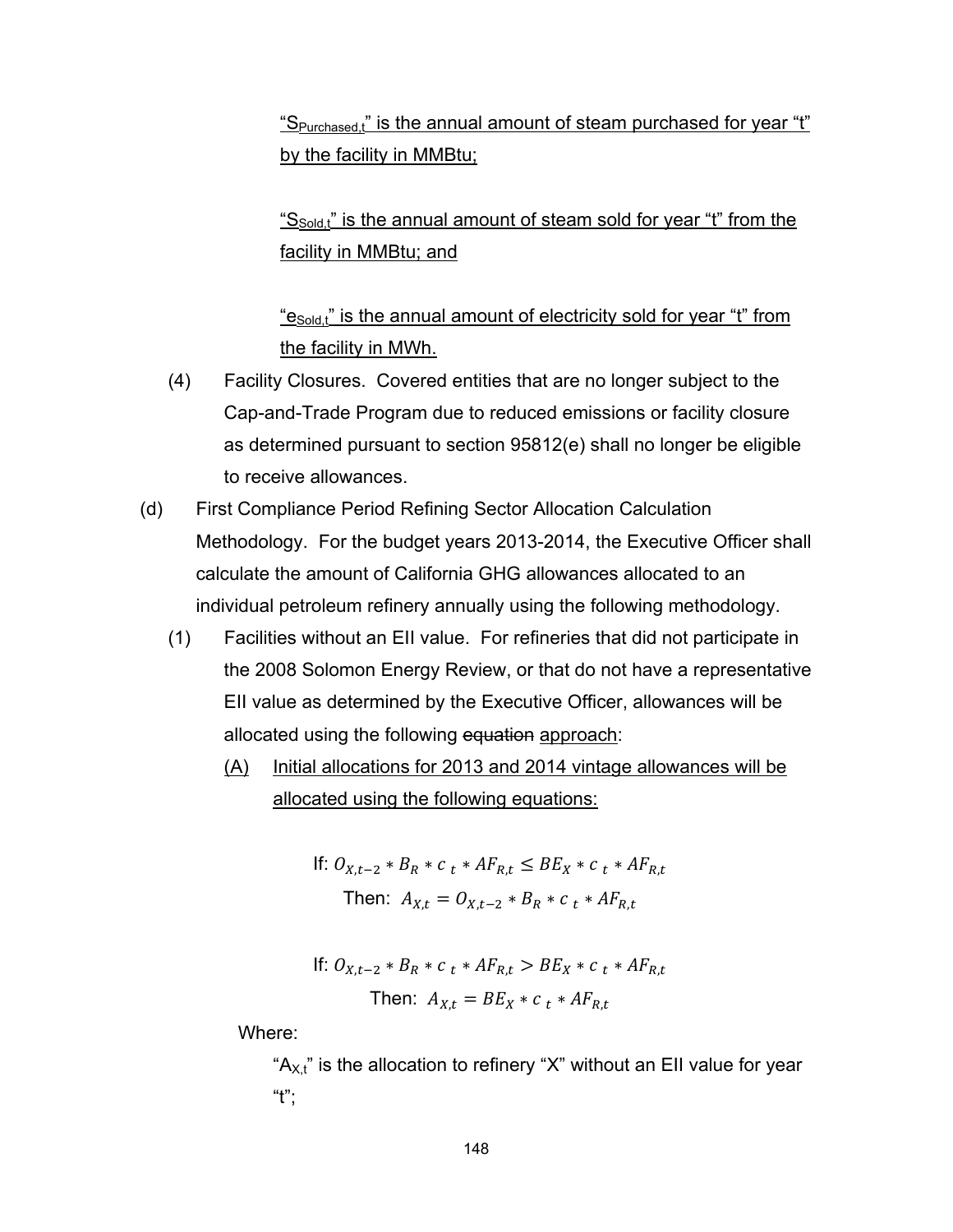" $S<sub>Purchased t</sub>$ " is the annual amount of steam purchased for year "t" by the facility in MMBtu;

"S<sub>Sold,t</sub>" is the annual amount of steam sold for year "t" from the facility in MMBtu; and

" $e_{\text{Sold}}$ " is the annual amount of electricity sold for year "t" from the facility in MWh.

- (4) Facility Closures. Covered entities that are no longer subject to the Cap-and-Trade Program due to reduced emissions or facility closure as determined pursuant to section 95812(e) shall no longer be eligible to receive allowances.
- (d) First Compliance Period Refining Sector Allocation Calculation Methodology. For the budget years 2013-2014, the Executive Officer shall calculate the amount of California GHG allowances allocated to an individual petroleum refinery annually using the following methodology.
	- (1) Facilities without an EII value. For refineries that did not participate in the 2008 Solomon Energy Review, or that do not have a representative EII value as determined by the Executive Officer, allowances will be allocated using the following equation approach:
		- (A) Initial allocations for 2013 and 2014 vintage allowances will be allocated using the following equations:

If: 
$$
O_{X,t-2} * B_R * c_t * AF_{R,t} \le BE_X * c_t * AF_{R,t}
$$
  
Then:  $A_{X,t} = O_{X,t-2} * B_R * c_t * AF_{R,t}$ 

If: 
$$
O_{X,t-2} * B_R * c_t * AF_{R,t} > BE_X * c_t * AF_{R,t}
$$
\nThen:  $A_{X,t} = BE_X * c_t * AF_{R,t}$ 

Where:

" $A_{X,t}$ " is the allocation to refinery "X" without an EII value for year  $"t"$ :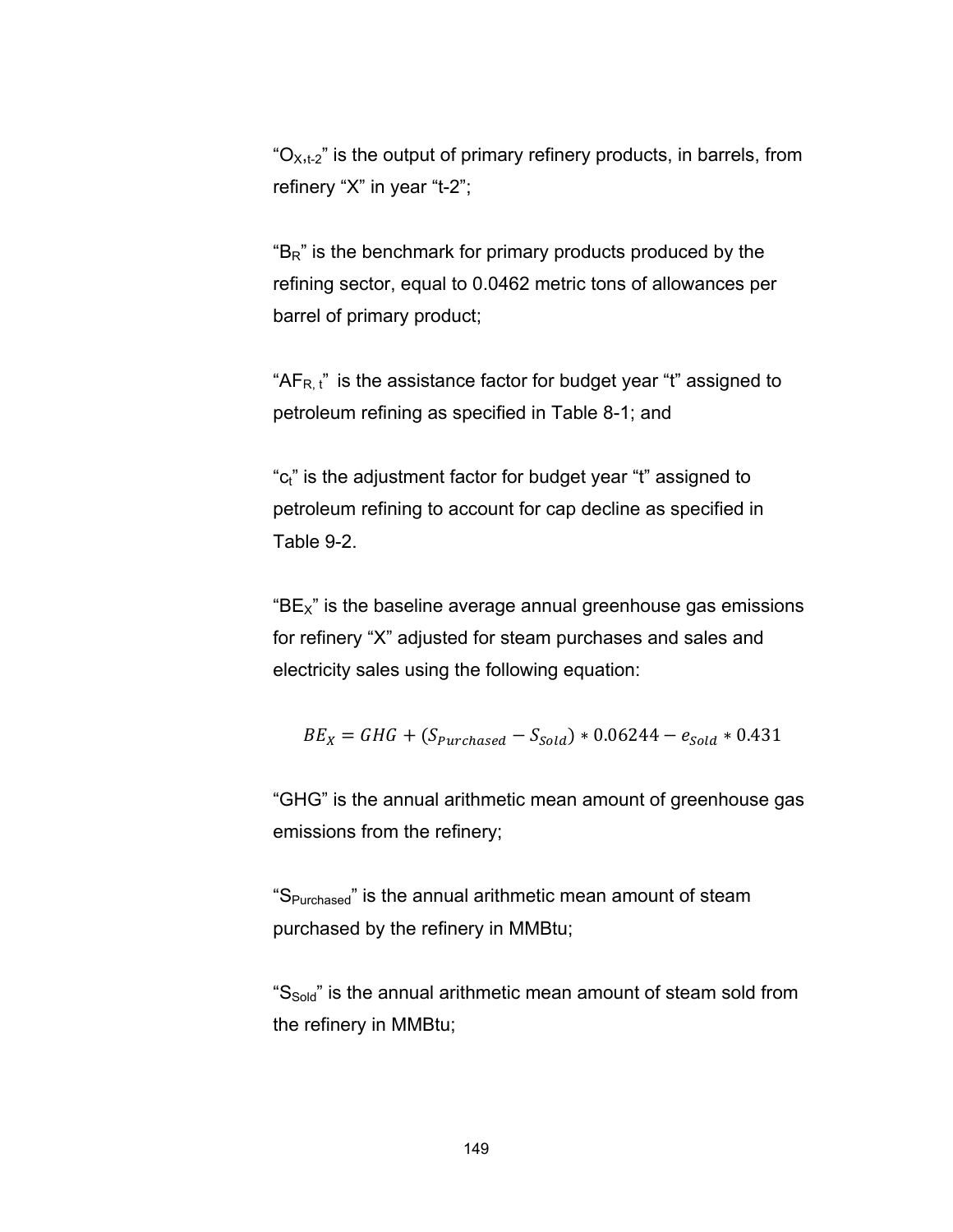" $O_{X,t-2}$ " is the output of primary refinery products, in barrels, from refinery "X" in year "t-2";

 $B_{R}$ " is the benchmark for primary products produced by the refining sector, equal to 0.0462 metric tons of allowances per barrel of primary product;

" $AF_{R, t}$ " is the assistance factor for budget year "t" assigned to petroleum refining as specified in Table 8-1; and

"c<sub>t</sub>" is the adjustment factor for budget year "t" assigned to petroleum refining to account for cap decline as specified in Table 9-2.

" $BE<sub>x</sub>$ " is the baseline average annual greenhouse gas emissions for refinery "X" adjusted for steam purchases and sales and electricity sales using the following equation:

$$
BE_X = GHG + (S_{\text{Purchased}} - S_{\text{Sold}}) * 0.06244 - e_{\text{Sold}} * 0.431
$$

"GHG" is the annual arithmetic mean amount of greenhouse gas emissions from the refinery;

"SPurchased" is the annual arithmetic mean amount of steam purchased by the refinery in MMBtu;

" $S_{\text{Sold}}$ " is the annual arithmetic mean amount of steam sold from the refinery in MMBtu;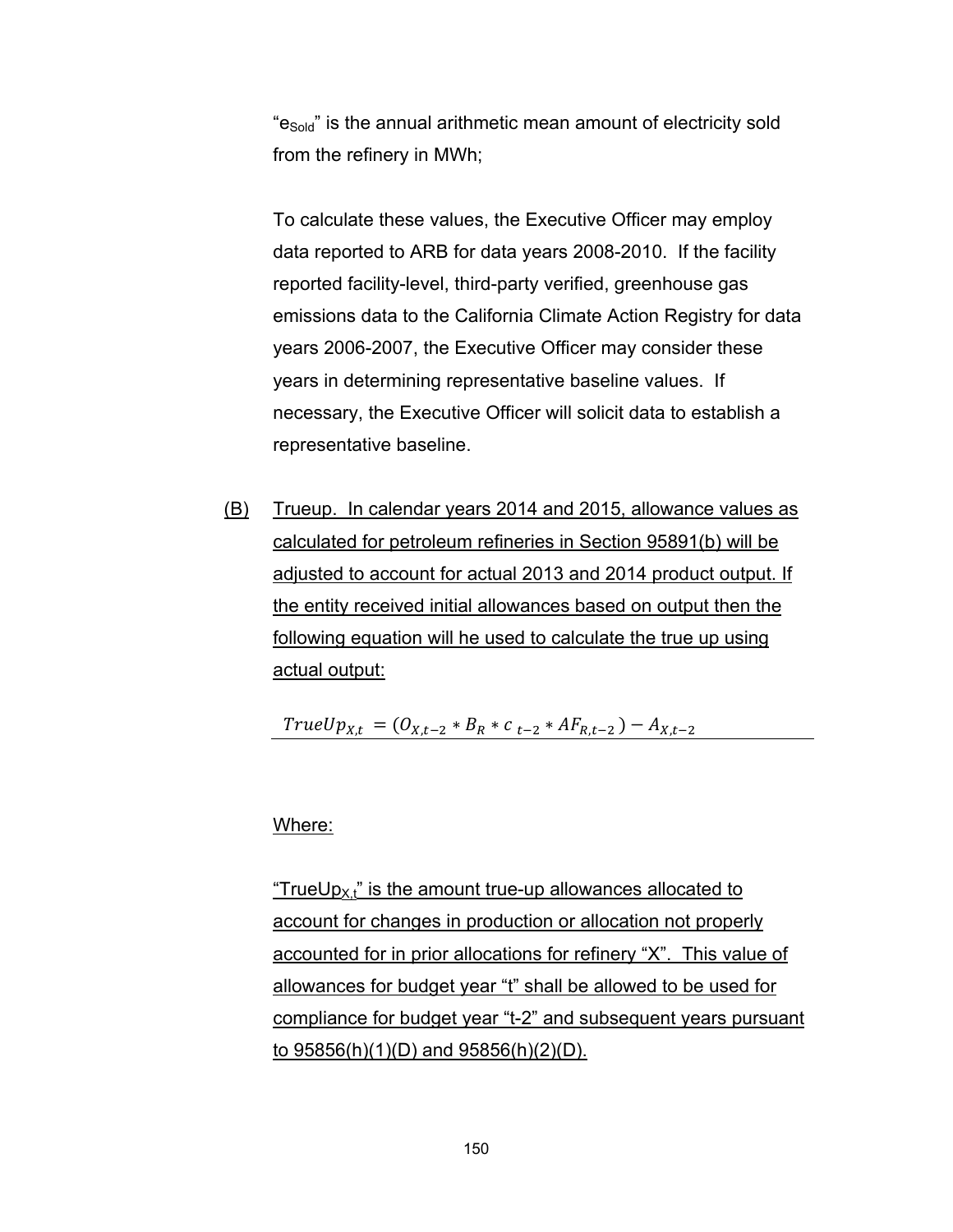"e<sub>Sold</sub>" is the annual arithmetic mean amount of electricity sold from the refinery in MWh;

To calculate these values, the Executive Officer may employ data reported to ARB for data years 2008-2010. If the facility reported facility-level, third-party verified, greenhouse gas emissions data to the California Climate Action Registry for data years 2006-2007, the Executive Officer may consider these years in determining representative baseline values. If necessary, the Executive Officer will solicit data to establish a representative baseline.

(B) Trueup. In calendar years 2014 and 2015, allowance values as calculated for petroleum refineries in Section 95891(b) will be adjusted to account for actual 2013 and 2014 product output. If the entity received initial allowances based on output then the following equation will he used to calculate the true up using actual output:

 $TrueUp_{X,t} = (O_{X,t-2} * B_R * c_{t-2} * AF_{R,t-2}) - A_{X,t-2}$ 

#### Where:

"TrueUp $_{X,t}$ " is the amount true-up allowances allocated to account for changes in production or allocation not properly accounted for in prior allocations for refinery "X". This value of allowances for budget year "t" shall be allowed to be used for compliance for budget year "t-2" and subsequent years pursuant to 95856(h)(1)(D) and 95856(h)(2)(D).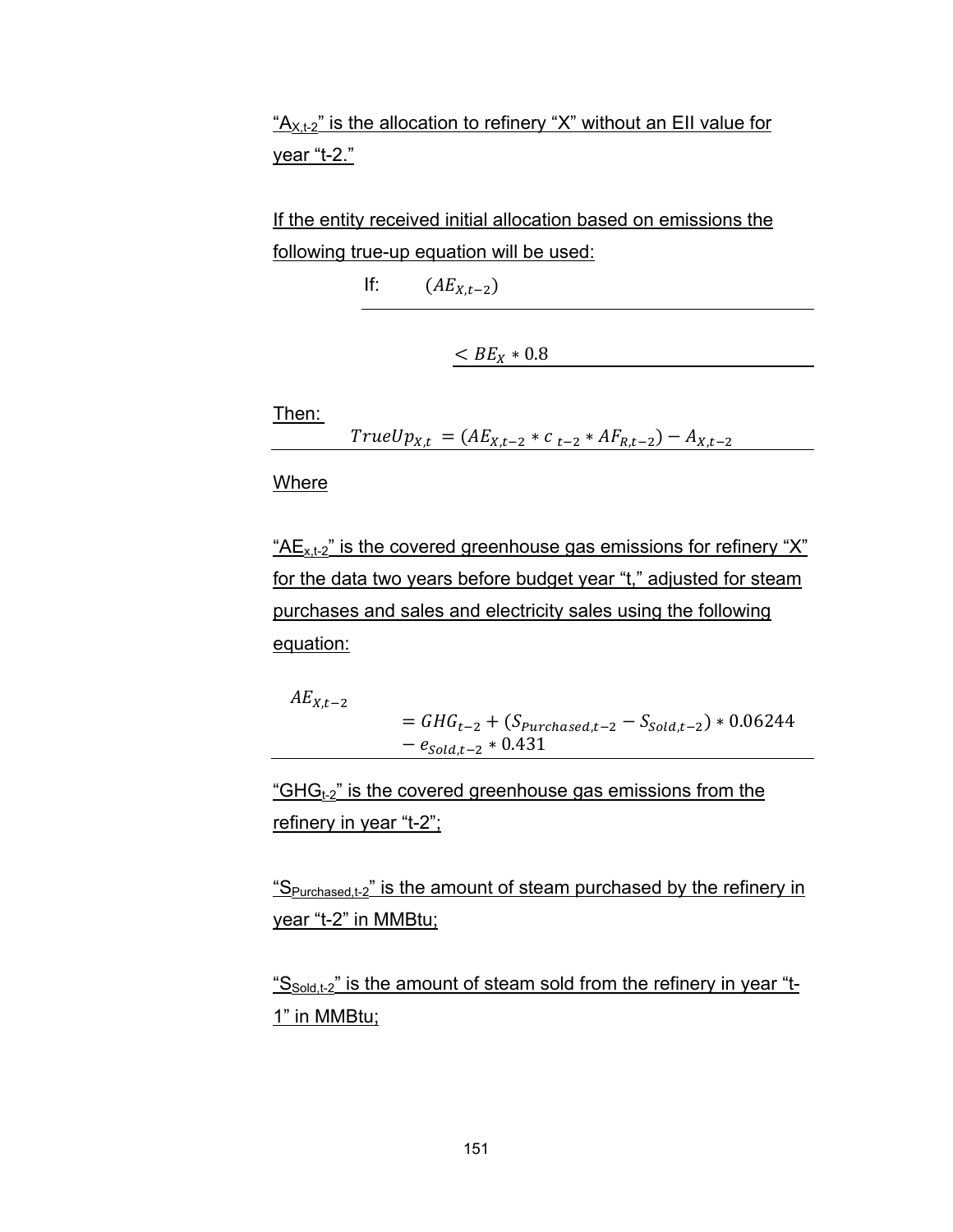" $A_{X,t-2}$ " is the allocation to refinery "X" without an EII value for year "t-2."

If the entity received initial allocation based on emissions the following true-up equation will be used:

If:  $(AE_{X,t-2})$ 

 $\lt{BE_X} * 0.8$ 

Then:

 $TrueUp_{X,t} = (AE_{X,t-2} * c_{t-2} * AF_{R,t-2}) - A_{X,t-2}$ 

Where

" $AE_{x,t-2}$ " is the covered greenhouse gas emissions for refinery "X" for the data two years before budget year "t," adjusted for steam purchases and sales and electricity sales using the following equation:

 $AE_{X,t-2}$  $= GHG_{t-2} + (S_{\text{Purchased},t-2} - S_{\text{Sold},t-2}) * 0.06244$  $-e_{\text{gold}.t-2} * 0.431$ 

"GHG $_{t-2}$ " is the covered greenhouse gas emissions from the refinery in year "t-2";

" $S<sub>Purchased t-2</sub>$ " is the amount of steam purchased by the refinery in year "t-2" in MMBtu;

" $S_{\text{Sold t-2}}$ " is the amount of steam sold from the refinery in year "t-<u>1" in MMBtu;</u>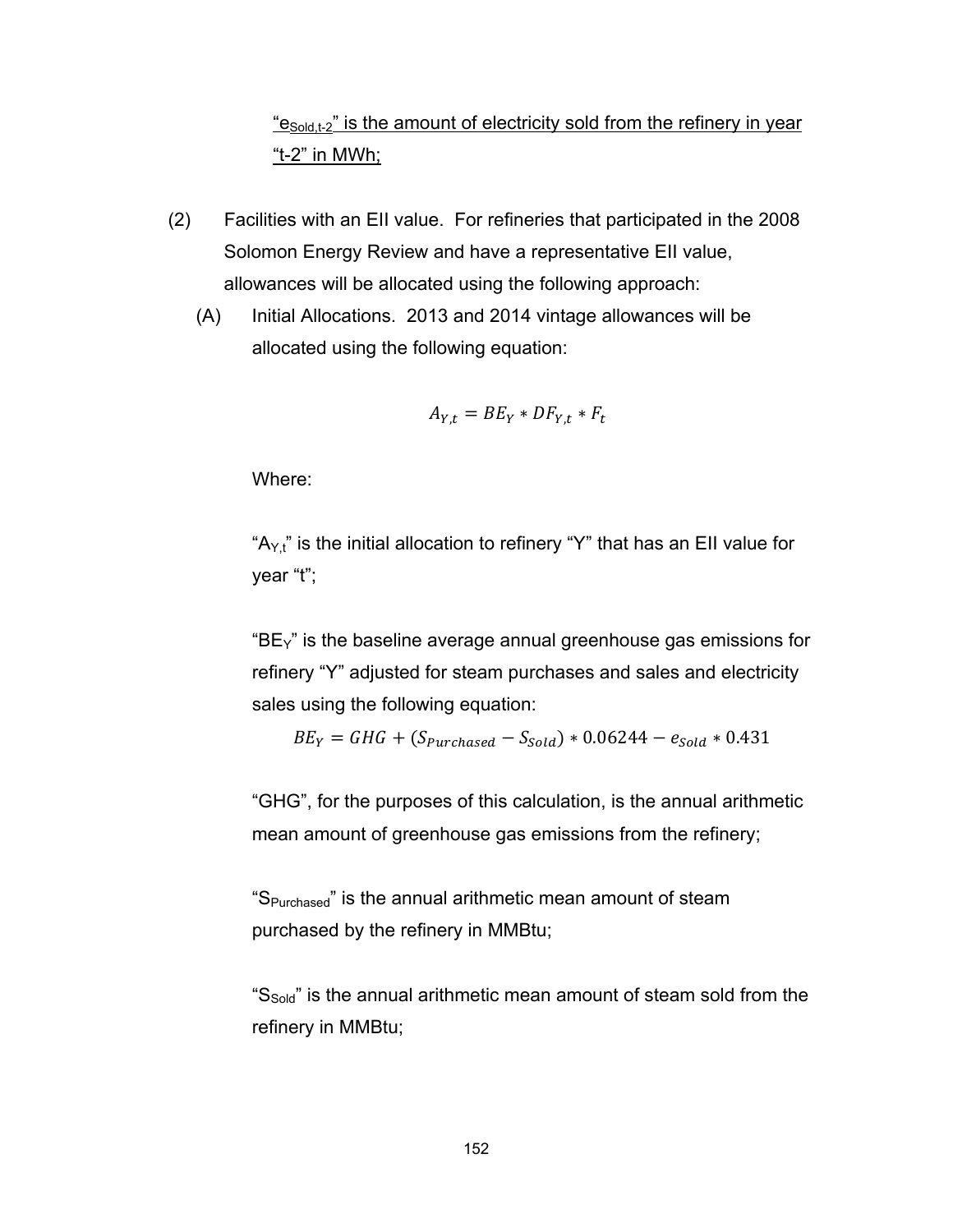## " $e_{\text{Sold t-2}}$ " is the amount of electricity sold from the refinery in year "t-2" in MWh;

- (2) Facilities with an EII value. For refineries that participated in the 2008 Solomon Energy Review and have a representative EII value, allowances will be allocated using the following approach:
	- (A) Initial Allocations. 2013 and 2014 vintage allowances will be allocated using the following equation:

$$
A_{Y,t} = BE_Y * DF_{Y,t} * F_t
$$

Where:

" $A_{Y,t}$ " is the initial allocation to refinery "Y" that has an EII value for year "t";

" $BE<sub>Y</sub>$ " is the baseline average annual greenhouse gas emissions for refinery "Y" adjusted for steam purchases and sales and electricity sales using the following equation:

$$
BE_Y = GHG + (S_{\text{Purchased}} - S_{\text{Sold}}) * 0.06244 - e_{\text{Sold}} * 0.431
$$

"GHG", for the purposes of this calculation, is the annual arithmetic mean amount of greenhouse gas emissions from the refinery;

"SPurchased" is the annual arithmetic mean amount of steam purchased by the refinery in MMBtu;

"S<sub>Sold</sub>" is the annual arithmetic mean amount of steam sold from the refinery in MMBtu;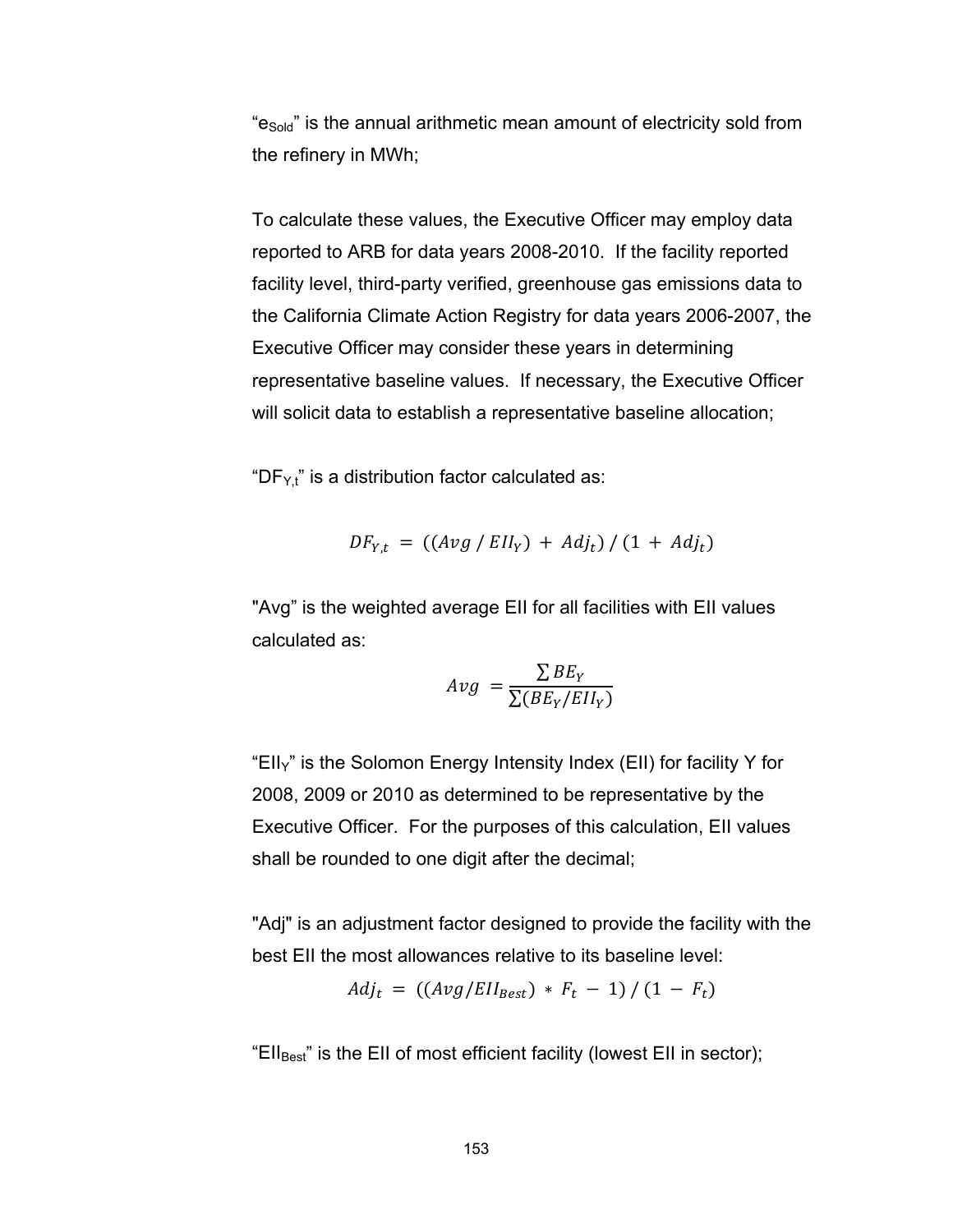"e<sub>Sold</sub>" is the annual arithmetic mean amount of electricity sold from the refinery in MWh;

To calculate these values, the Executive Officer may employ data reported to ARB for data years 2008-2010. If the facility reported facility level, third-party verified, greenhouse gas emissions data to the California Climate Action Registry for data years 2006-2007, the Executive Officer may consider these years in determining representative baseline values. If necessary, the Executive Officer will solicit data to establish a representative baseline allocation;

"DF $Y_t$ " is a distribution factor calculated as:

$$
DF_{Y,t} = ((Avg / Ell_Y) + Adj_t) / (1 + Adj_t)
$$

"Avg" is the weighted average EII for all facilities with EII values calculated as:

$$
Avg = \frac{\sum BE_Y}{\sum (BE_Y/EII_Y)}
$$

"EII $y$ " is the Solomon Energy Intensity Index (EII) for facility Y for 2008, 2009 or 2010 as determined to be representative by the Executive Officer. For the purposes of this calculation, EII values shall be rounded to one digit after the decimal;

"Adj" is an adjustment factor designed to provide the facility with the best EII the most allowances relative to its baseline level:

$$
Adj_t = ((Avg/Ell_{Best}) * F_t - 1) / (1 - F_t)
$$

"Ell<sub>Best</sub>" is the EII of most efficient facility (lowest EII in sector);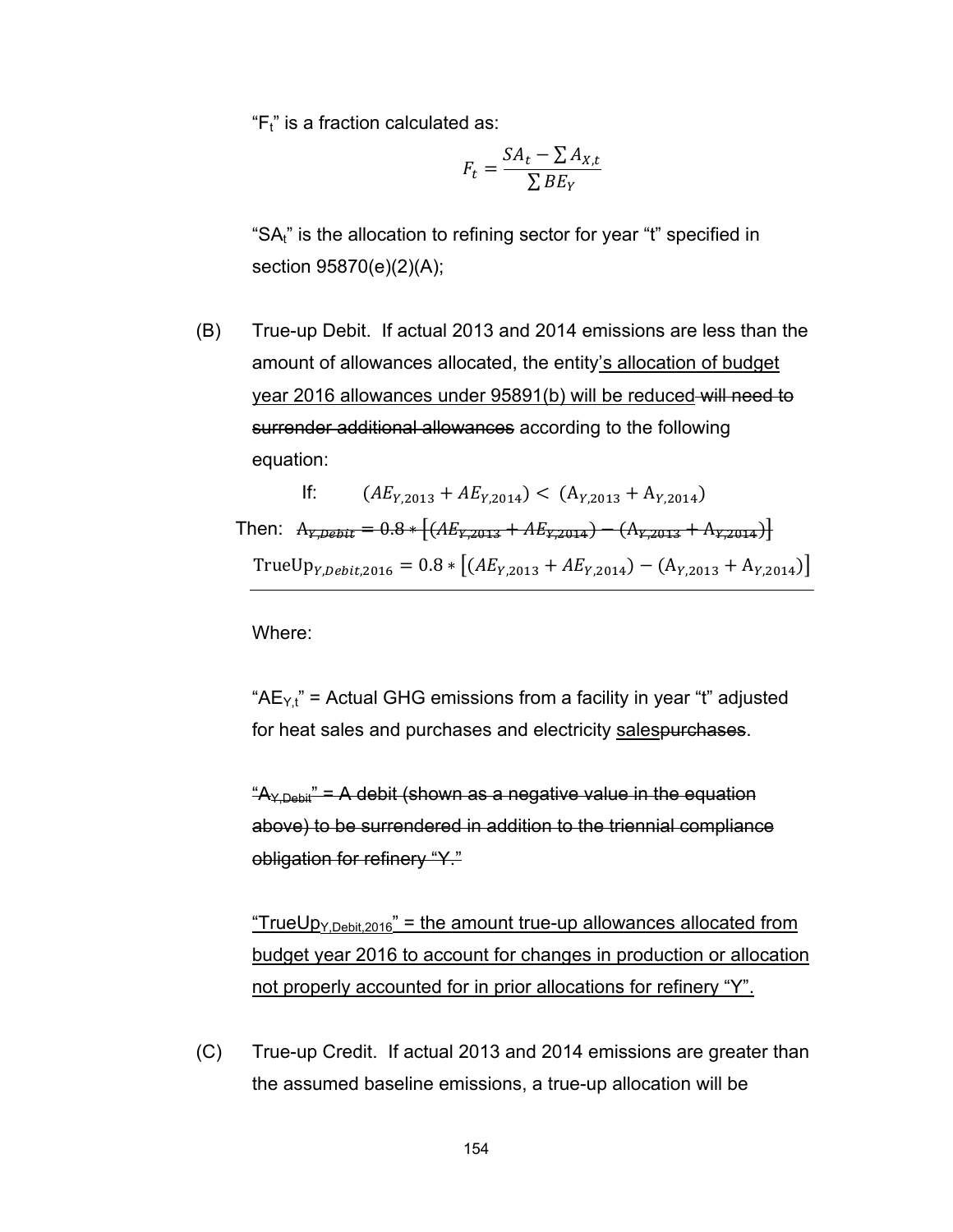" $F_t$ " is a fraction calculated as:

$$
F_t = \frac{SA_t - \sum A_{X,t}}{\sum BE_Y}
$$

"SA<sub>t"</sub> is the allocation to refining sector for year "t" specified in section 95870(e)(2)(A);

(B) True-up Debit. If actual 2013 and 2014 emissions are less than the amount of allowances allocated, the entity's allocation of budget year 2016 allowances under 95891(b) will be reduced will need to surrender additional allowances according to the following equation:

If: 
$$
(AE_{Y,2013} + AE_{Y,2014}) < (A_{Y,2013} + A_{Y,2014})
$$
  
Then:  $A_{Y,Debit} = 0.8 * [(AE_{Y,2013} + AE_{Y,2014}) - (A_{Y,2013} + A_{Y,2014})]$   
TrueUp<sub>Y,Debit,2016</sub> = 0.8 \* [(AE<sub>Y,2013</sub> + AE<sub>Y,2014</sub>) - (A<sub>Y,2013</sub> + A<sub>Y,2014</sub>)]

Where:

" $AE_{Y,t}$ " = Actual GHG emissions from a facility in year "t" adjusted for heat sales and purchases and electricity salespurchases.

 $A_{Y,Debii}$ " = A debit (shown as a negative value in the equation above) to be surrendered in addition to the triennial compliance obligation for refinery "Y."

"TrueUp<sub>Y,Debit,2016</sub>" = the amount true-up allowances allocated from budget year 2016 to account for changes in production or allocation not properly accounted for in prior allocations for refinery "Y".

(C) True-up Credit. If actual 2013 and 2014 emissions are greater than the assumed baseline emissions, a true-up allocation will be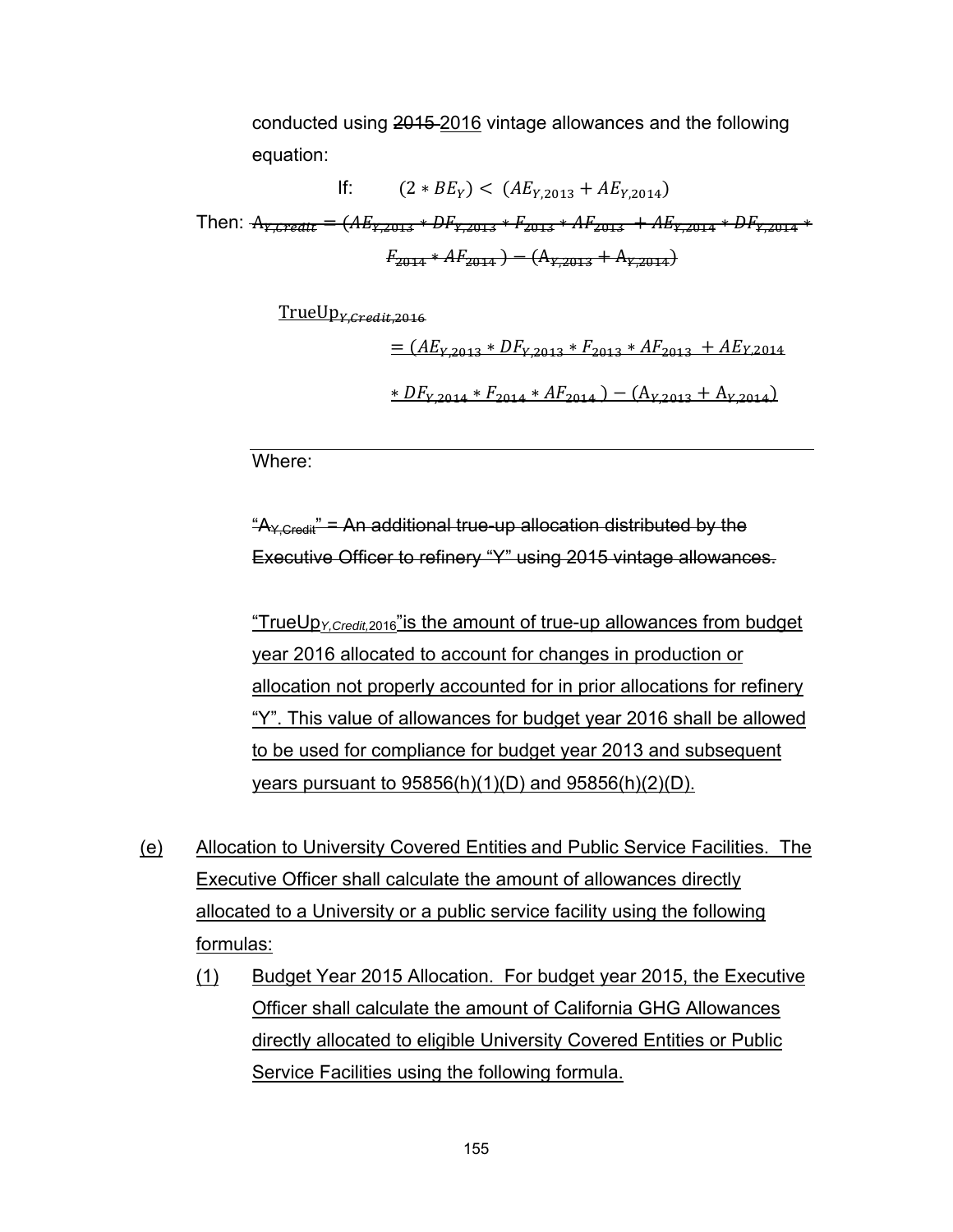conducted using 2015 2016 vintage allowances and the following equation:

If:  $(2 * BE_Y) < (AE_{Y2013} + AE_{Y2014})$ Then:  $A_{Y, Credit} = (AE_{Y, 2013} * DF_{Y, 2013} * F_{2013} * AF_{2013} * AF_{2013} + AE_{Y, 2014} * DF_{Y, 2014} * F_{301})$  $F_{2014} * AF_{2014}$   $- (A_{12013} + A_{12014})$ 

 $TrueUp<sub>V</sub> credit 2016$ 

 $\equiv$  (AE<sub>V</sub> 2013 \* DF<sub>V 2013</sub> \*  $F_{2013}$  \* AF<sub>2013</sub> + AE<sub>V</sub> 2014  $*DF_{Y,2014} * F_{2014} * AF_{2014}) - (A_{Y,2013} + A_{Y,2014})$ 

Where:

 $A_{\text{V} \text{Crad} \ddot{\text{u}}} = An$  additional true-up allocation distributed by the Executive Officer to refinery "Y" using 2015 vintage allowances.

"TrueUp*Y,Credit,*2016"is the amount of true-up allowances from budget year 2016 allocated to account for changes in production or allocation not properly accounted for in prior allocations for refinery "Y". This value of allowances for budget year 2016 shall be allowed to be used for compliance for budget year 2013 and subsequent years pursuant to 95856(h)(1)(D) and 95856(h)(2)(D).

- (e) Allocation to University Covered Entities and Public Service Facilities. The Executive Officer shall calculate the amount of allowances directly allocated to a University or a public service facility using the following formulas:
	- (1) Budget Year 2015 Allocation. For budget year 2015, the Executive Officer shall calculate the amount of California GHG Allowances directly allocated to eligible University Covered Entities or Public Service Facilities using the following formula.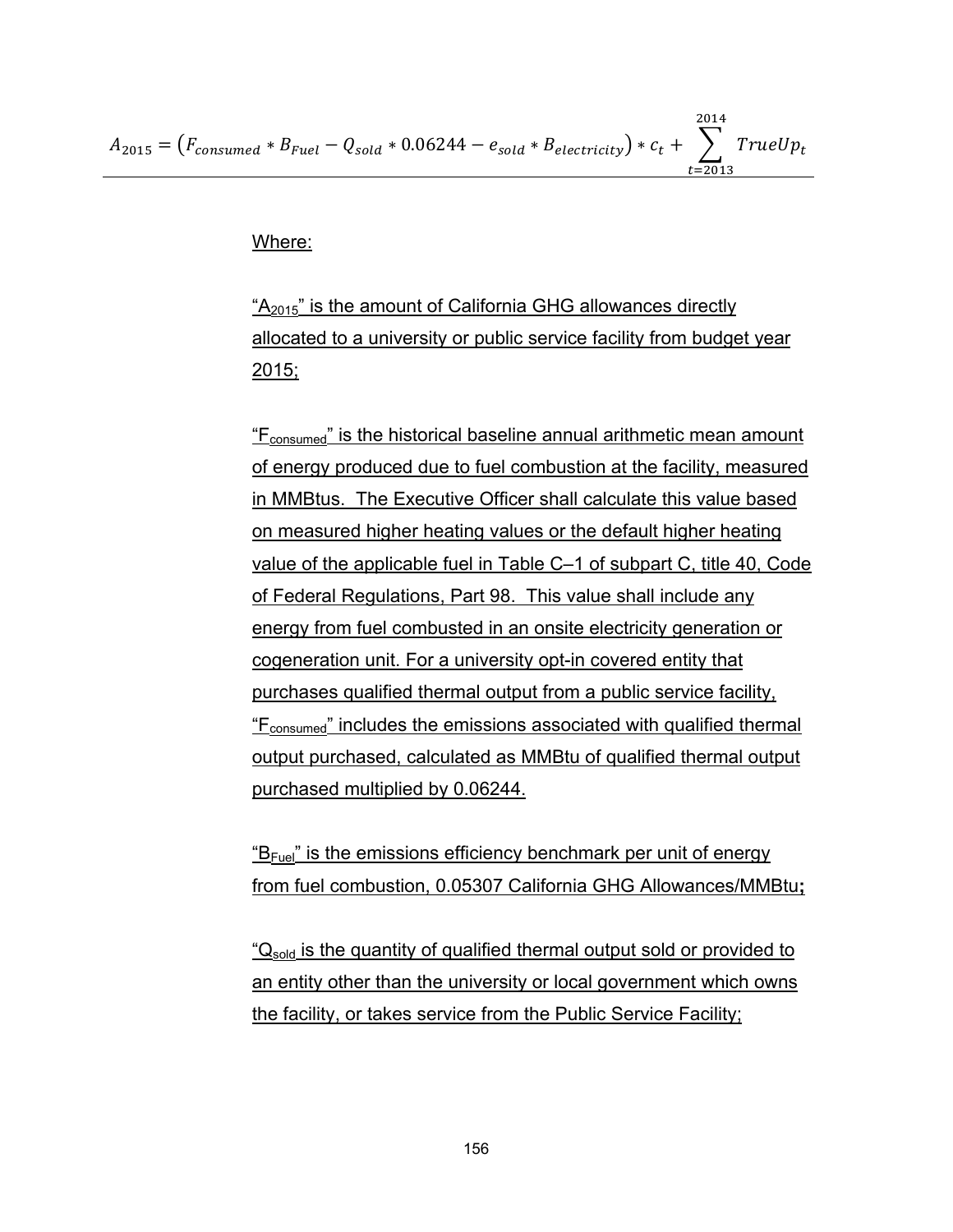Where:

"A<sub>2015</sub>" is the amount of California GHG allowances directly allocated to a university or public service facility from budget year 2015;

"Fconsumed" is the historical baseline annual arithmetic mean amount of energy produced due to fuel combustion at the facility, measured in MMBtus. The Executive Officer shall calculate this value based on measured higher heating values or the default higher heating value of the applicable fuel in Table C–1 of subpart C, title 40, Code of Federal Regulations, Part 98. This value shall include any energy from fuel combusted in an onsite electricity generation or cogeneration unit. For a university opt-in covered entity that purchases qualified thermal output from a public service facility, "Fconsumed" includes the emissions associated with qualified thermal output purchased, calculated as MMBtu of qualified thermal output purchased multiplied by 0.06244.

 $E_{\text{Fuel}}$ " is the emissions efficiency benchmark per unit of energy from fuel combustion, 0.05307 California GHG Allowances/MMBtu**;** 

"Q<sub>sold</sub> is the quantity of qualified thermal output sold or provided to an entity other than the university or local government which owns the facility, or takes service from the Public Service Facility;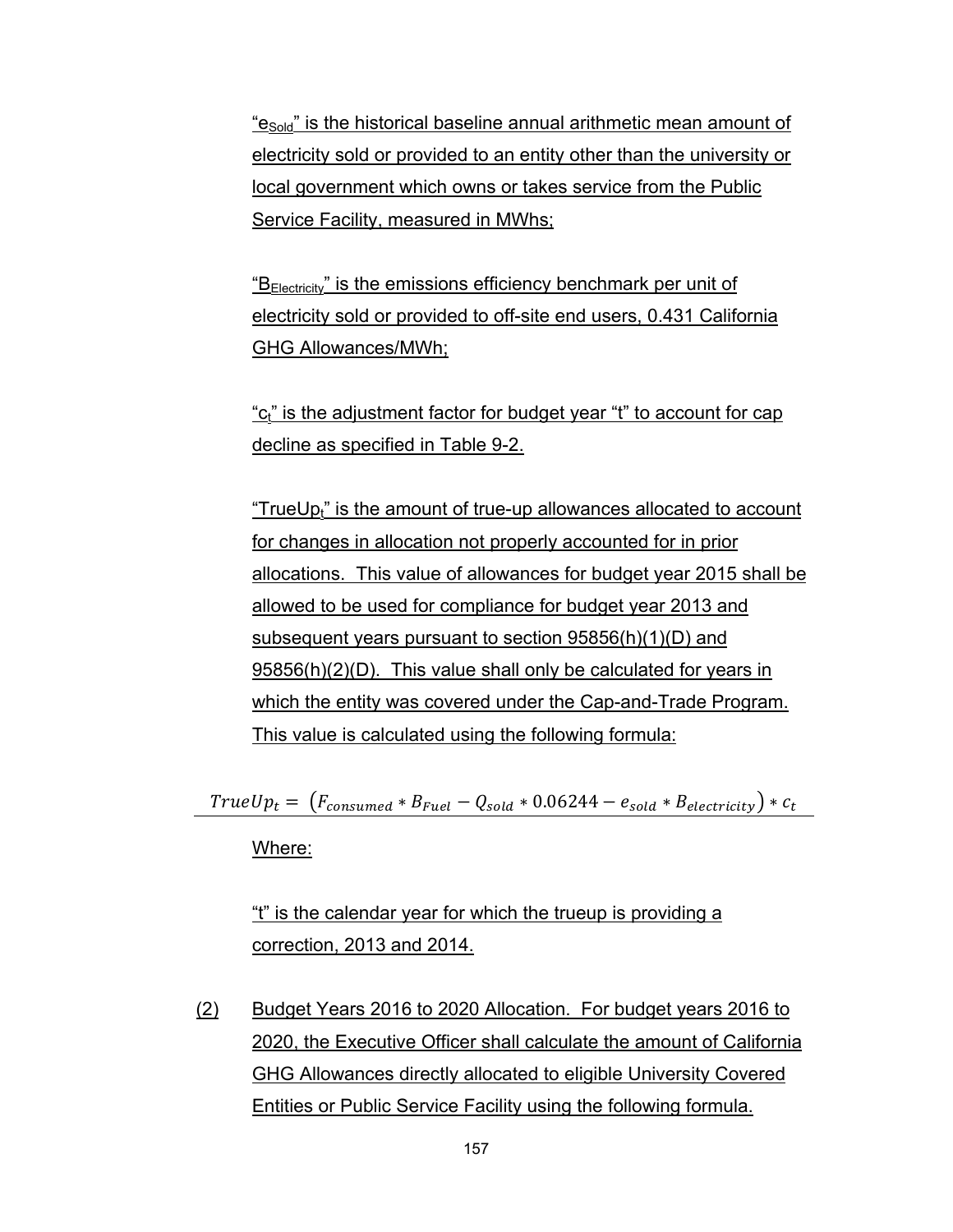"e<sub>Sold</sub>" is the historical baseline annual arithmetic mean amount of electricity sold or provided to an entity other than the university or local government which owns or takes service from the Public Service Facility, measured in MWhs;

 $B_{\text{Electricity}}$ " is the emissions efficiency benchmark per unit of electricity sold or provided to off-site end users, 0.431 California GHG Allowances/MWh;

"c<sub>t</sub>" is the adjustment factor for budget year "t" to account for cap decline as specified in Table 9-2.

"TrueUp<sub>t</sub>" is the amount of true-up allowances allocated to account for changes in allocation not properly accounted for in prior allocations. This value of allowances for budget year 2015 shall be allowed to be used for compliance for budget year 2013 and subsequent years pursuant to section 95856(h)(1)(D) and 95856(h)(2)(D). This value shall only be calculated for years in which the entity was covered under the Cap-and-Trade Program. This value is calculated using the following formula:

 $TrueUp_t = (F_{consumed} * B_{Fuel} - Q_{solid} * 0.06244 - e_{solid} * B_{electricity}) * c_t$ 

Where:

"t" is the calendar year for which the trueup is providing a correction, 2013 and 2014.

(2) Budget Years 2016 to 2020 Allocation. For budget years 2016 to 2020, the Executive Officer shall calculate the amount of California GHG Allowances directly allocated to eligible University Covered Entities or Public Service Facility using the following formula.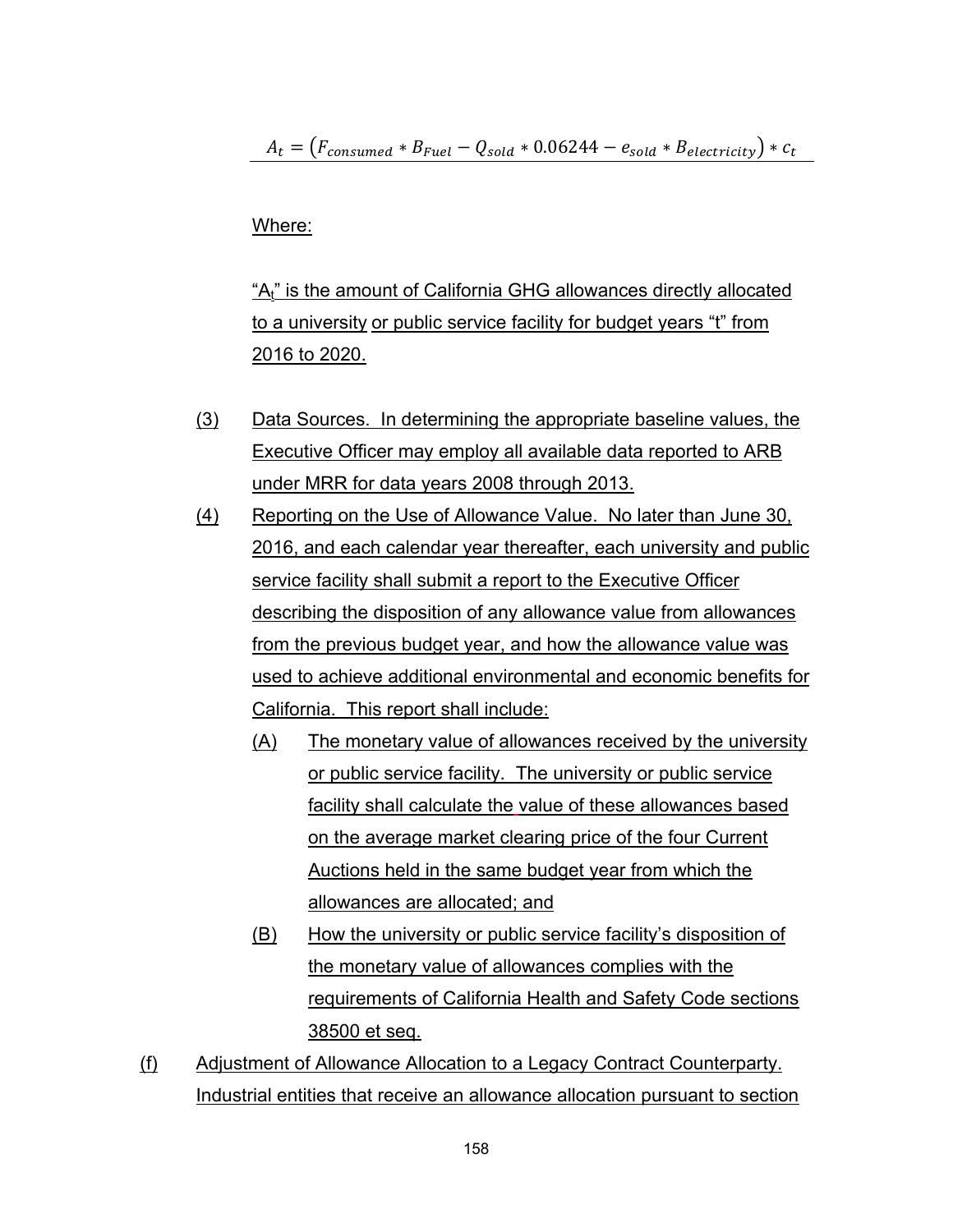$A_t = (F_{consumed} * B_{Fuel} - Q_{solid} * 0.06244 - e_{solid} * B_{electricity}) * c_t$ 

## Where:

"A<sub>t"</sub> is the amount of California GHG allowances directly allocated to a university or public service facility for budget years "t" from 2016 to 2020.

- (3) Data Sources. In determining the appropriate baseline values, the Executive Officer may employ all available data reported to ARB under MRR for data years 2008 through 2013.
- (4) Reporting on the Use of Allowance Value. No later than June 30, 2016, and each calendar year thereafter, each university and public service facility shall submit a report to the Executive Officer describing the disposition of any allowance value from allowances from the previous budget year, and how the allowance value was used to achieve additional environmental and economic benefits for California. This report shall include:
	- (A) The monetary value of allowances received by the university or public service facility. The university or public service facility shall calculate the value of these allowances based on the average market clearing price of the four Current Auctions held in the same budget year from which the allowances are allocated; and
	- (B) How the university or public service facility's disposition of the monetary value of allowances complies with the requirements of California Health and Safety Code sections 38500 et seq.
- (f) Adjustment of Allowance Allocation to a Legacy Contract Counterparty. Industrial entities that receive an allowance allocation pursuant to section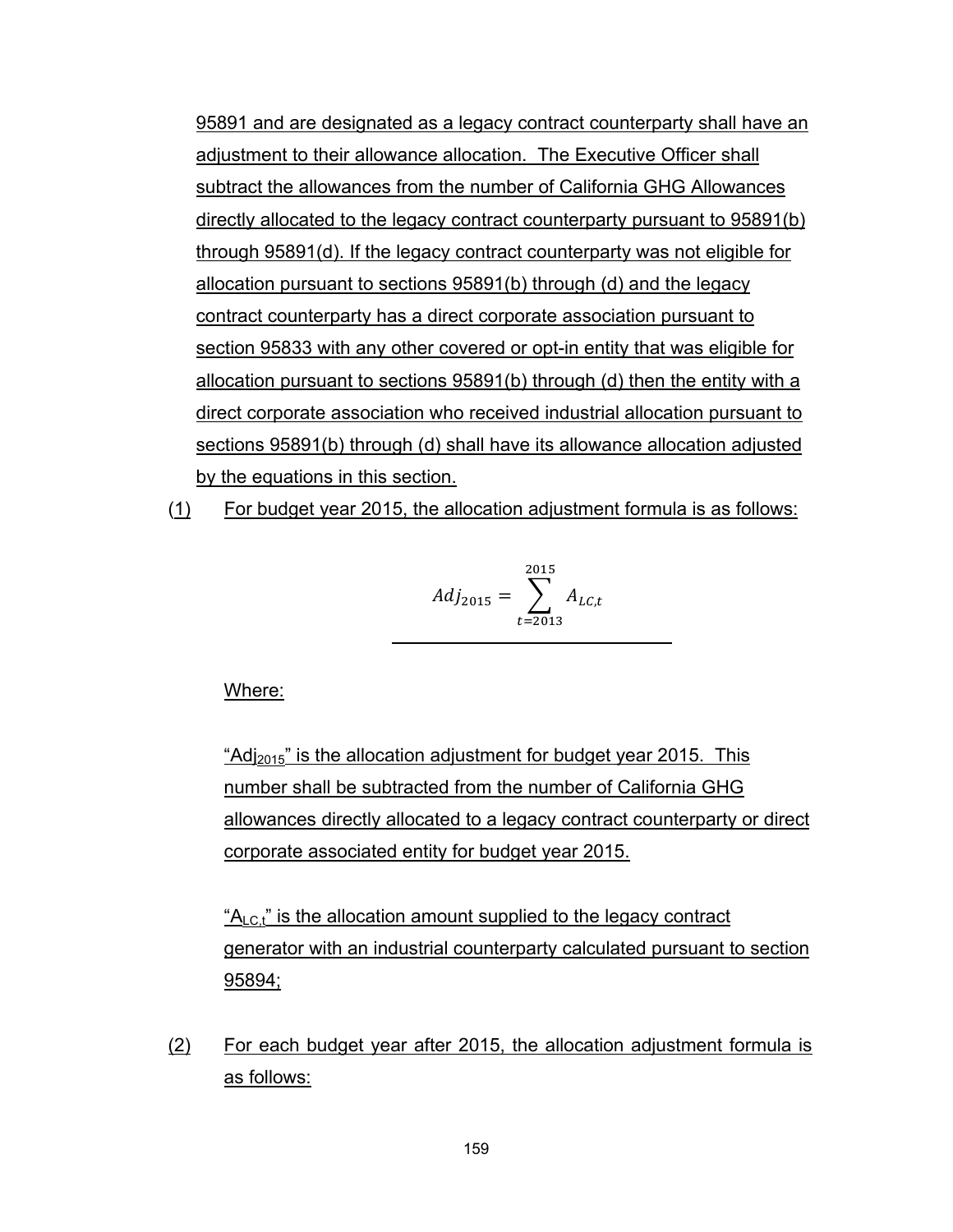95891 and are designated as a legacy contract counterparty shall have an adjustment to their allowance allocation. The Executive Officer shall subtract the allowances from the number of California GHG Allowances directly allocated to the legacy contract counterparty pursuant to 95891(b) through 95891(d). If the legacy contract counterparty was not eligible for allocation pursuant to sections 95891(b) through (d) and the legacy contract counterparty has a direct corporate association pursuant to section 95833 with any other covered or opt-in entity that was eligible for allocation pursuant to sections 95891(b) through (d) then the entity with a direct corporate association who received industrial allocation pursuant to sections 95891(b) through (d) shall have its allowance allocation adjusted by the equations in this section.

(1) For budget year 2015, the allocation adjustment formula is as follows:

$$
Adj_{2015} = \sum_{t=2013}^{2015} A_{LC,t}
$$

Where:

"Adj<sub>2015</sub>" is the allocation adjustment for budget year 2015. This number shall be subtracted from the number of California GHG allowances directly allocated to a legacy contract counterparty or direct corporate associated entity for budget year 2015.

 $A_{\rm LCt}$ " is the allocation amount supplied to the legacy contract generator with an industrial counterparty calculated pursuant to section 95894;

(2) For each budget year after 2015, the allocation adjustment formula is as follows: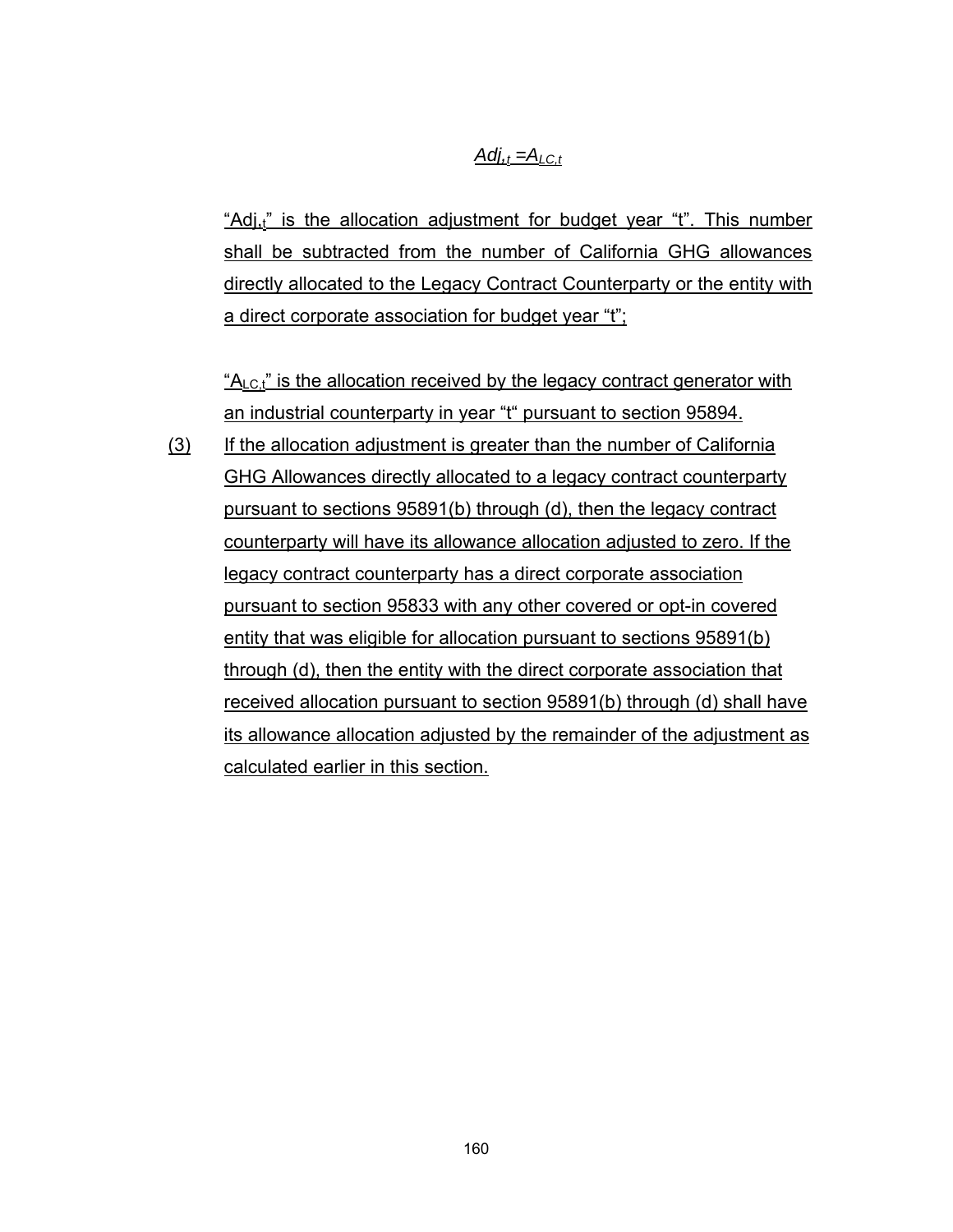## $Adj_{\alpha t} = A_{l} C_t$

"Adj<sub>t</sub>" is the allocation adjustment for budget year "t". This number shall be subtracted from the number of California GHG allowances directly allocated to the Legacy Contract Counterparty or the entity with a direct corporate association for budget year "t";

 $A_{\text{LC},t}$ " is the allocation received by the legacy contract generator with an industrial counterparty in year "t" pursuant to section 95894.

(3) If the allocation adjustment is greater than the number of California GHG Allowances directly allocated to a legacy contract counterparty pursuant to sections 95891(b) through (d), then the legacy contract counterparty will have its allowance allocation adjusted to zero. If the legacy contract counterparty has a direct corporate association pursuant to section 95833 with any other covered or opt-in covered entity that was eligible for allocation pursuant to sections 95891(b) through (d), then the entity with the direct corporate association that received allocation pursuant to section 95891(b) through (d) shall have its allowance allocation adjusted by the remainder of the adjustment as calculated earlier in this section.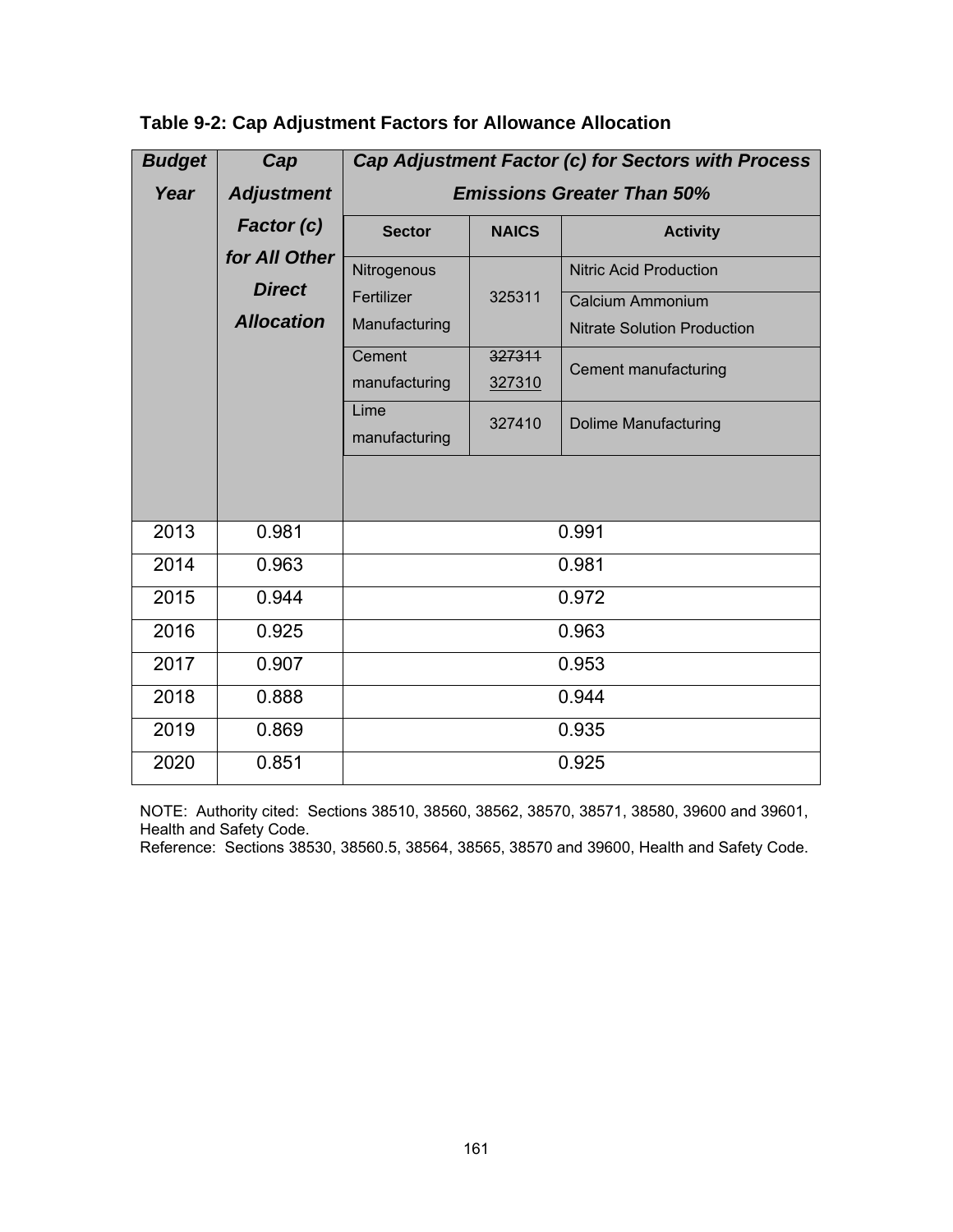| <b>Budget</b> | Cap               | Cap Adjustment Factor (c) for Sectors with Process |              |                                    |  |  |  |  |  |  |  |  |
|---------------|-------------------|----------------------------------------------------|--------------|------------------------------------|--|--|--|--|--|--|--|--|
| Year          | <b>Adjustment</b> | <b>Emissions Greater Than 50%</b>                  |              |                                    |  |  |  |  |  |  |  |  |
|               | Factor (c)        | <b>Sector</b>                                      | <b>NAICS</b> | <b>Activity</b>                    |  |  |  |  |  |  |  |  |
|               | for All Other     | Nitrogenous                                        |              | <b>Nitric Acid Production</b>      |  |  |  |  |  |  |  |  |
|               | <b>Direct</b>     | Fertilizer                                         | 325311       | Calcium Ammonium                   |  |  |  |  |  |  |  |  |
|               | <b>Allocation</b> | Manufacturing                                      |              | <b>Nitrate Solution Production</b> |  |  |  |  |  |  |  |  |
|               |                   | Cement                                             | 327311       | Cement manufacturing               |  |  |  |  |  |  |  |  |
|               |                   | manufacturing                                      | 327310       |                                    |  |  |  |  |  |  |  |  |
|               |                   | Lime<br>manufacturing                              | 327410       | <b>Dolime Manufacturing</b>        |  |  |  |  |  |  |  |  |
|               |                   |                                                    |              |                                    |  |  |  |  |  |  |  |  |
| 2013          | 0.981             |                                                    |              | 0.991                              |  |  |  |  |  |  |  |  |
| 2014          | 0.963             |                                                    |              | 0.981                              |  |  |  |  |  |  |  |  |
| 2015          | 0.944             |                                                    |              | 0.972                              |  |  |  |  |  |  |  |  |
| 2016          | 0.925             |                                                    |              | 0.963                              |  |  |  |  |  |  |  |  |
| 2017          | 0.907             |                                                    |              | 0.953                              |  |  |  |  |  |  |  |  |
| 2018          | 0.888             |                                                    |              | 0.944                              |  |  |  |  |  |  |  |  |
| 2019          | 0.869             |                                                    |              | 0.935                              |  |  |  |  |  |  |  |  |
| 2020          | 0.851             |                                                    |              | 0.925                              |  |  |  |  |  |  |  |  |

| Table 9-2: Cap Adjustment Factors for Allowance Allocation |  |  |  |  |
|------------------------------------------------------------|--|--|--|--|
|------------------------------------------------------------|--|--|--|--|

NOTE: Authority cited: Sections 38510, 38560, 38562, 38570, 38571, 38580, 39600 and 39601, Health and Safety Code.

Reference: Sections 38530, 38560.5, 38564, 38565, 38570 and 39600, Health and Safety Code.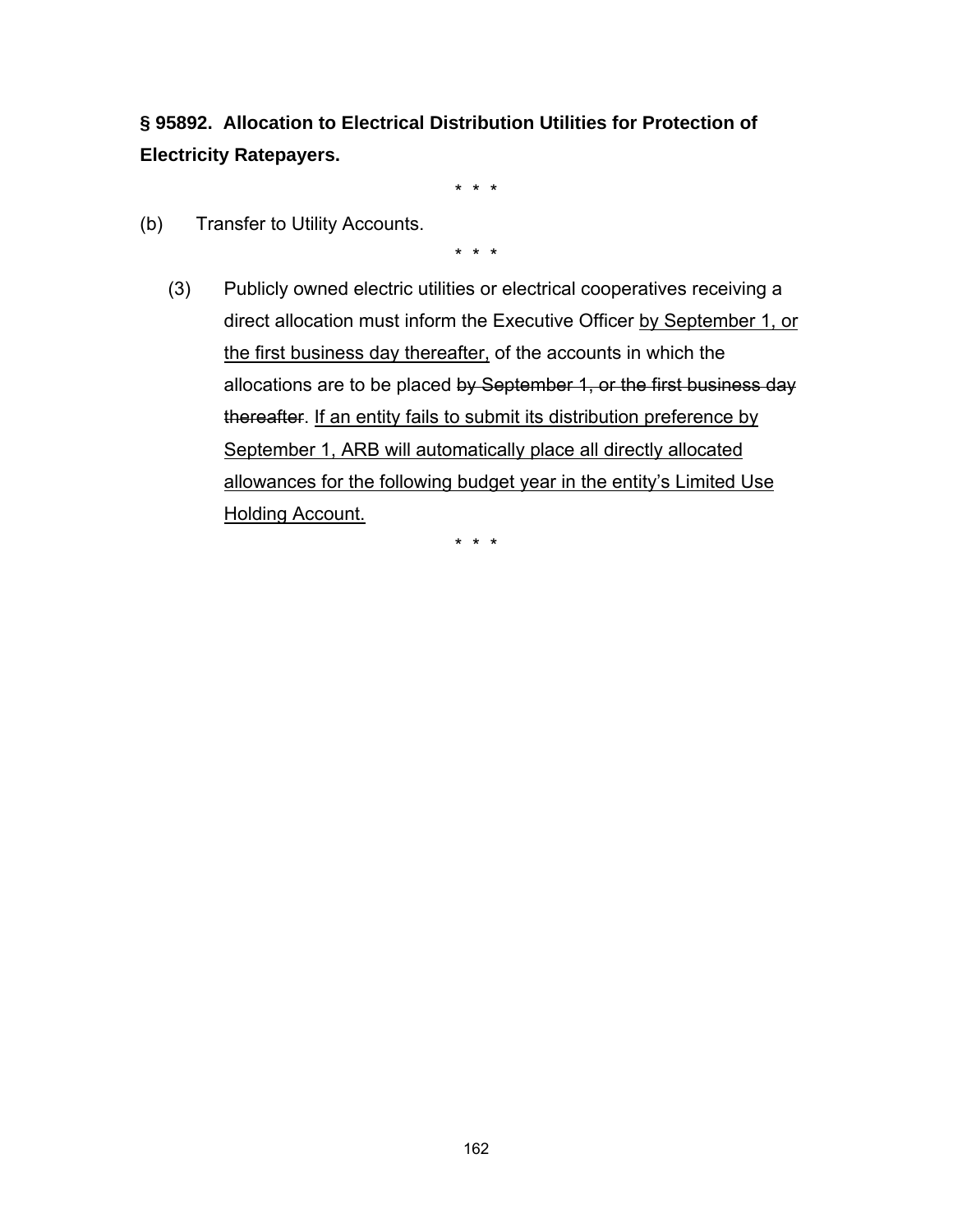**§ 95892. Allocation to Electrical Distribution Utilities for Protection of Electricity Ratepayers.**

\* \* \*

(b) Transfer to Utility Accounts.

\* \* \*

(3) Publicly owned electric utilities or electrical cooperatives receiving a direct allocation must inform the Executive Officer by September 1, or the first business day thereafter, of the accounts in which the allocations are to be placed by September 1, or the first business day thereafter. If an entity fails to submit its distribution preference by September 1, ARB will automatically place all directly allocated allowances for the following budget year in the entity's Limited Use Holding Account.

\* \* \*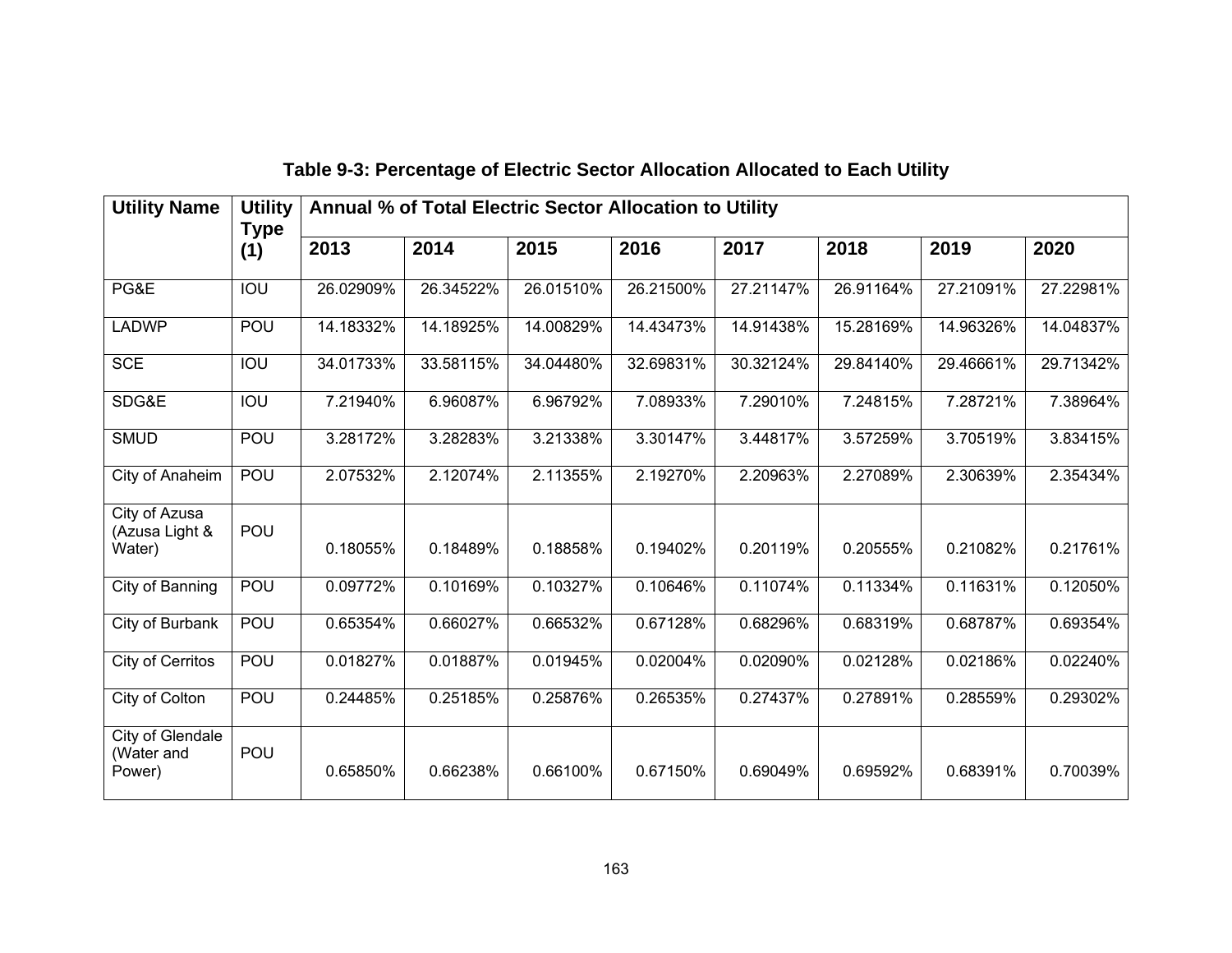| <b>Utility Name</b>                       | <b>Utility</b><br>Annual % of Total Electric Sector Allocation to Utility<br><b>Type</b> |           |           |           |           |           |           |           |           |  |  |
|-------------------------------------------|------------------------------------------------------------------------------------------|-----------|-----------|-----------|-----------|-----------|-----------|-----------|-----------|--|--|
|                                           | (1)                                                                                      | 2013      | 2014      | 2015      | 2016      | 2017      | 2018      | 2019      | 2020      |  |  |
| PG&E                                      | $\overline{100}$                                                                         | 26.02909% | 26.34522% | 26.01510% | 26.21500% | 27.21147% | 26.91164% | 27.21091% | 27.22981% |  |  |
| <b>LADWP</b>                              | POU                                                                                      | 14.18332% | 14.18925% | 14.00829% | 14.43473% | 14.91438% | 15.28169% | 14.96326% | 14.04837% |  |  |
| <b>SCE</b>                                | $\overline{100}$                                                                         | 34.01733% | 33.58115% | 34.04480% | 32.69831% | 30.32124% | 29.84140% | 29.46661% | 29.71342% |  |  |
| SDG&E                                     | IOU                                                                                      | 7.21940%  | 6.96087%  | 6.96792%  | 7.08933%  | 7.29010%  | 7.24815%  | 7.28721%  | 7.38964%  |  |  |
| <b>SMUD</b>                               | POU                                                                                      | 3.28172%  | 3.28283%  | 3.21338%  | 3.30147%  | 3.44817%  | 3.57259%  | 3.70519%  | 3.83415%  |  |  |
| City of Anaheim                           | POU                                                                                      | 2.07532%  | 2.12074%  | 2.11355%  | 2.19270%  | 2.20963%  | 2.27089%  | 2.30639%  | 2.35434%  |  |  |
| City of Azusa<br>(Azusa Light &<br>Water) | POU                                                                                      | 0.18055%  | 0.18489%  | 0.18858%  | 0.19402%  | 0.20119%  | 0.20555%  | 0.21082%  | 0.21761%  |  |  |
| City of Banning                           | POU                                                                                      | 0.09772%  | 0.10169%  | 0.10327%  | 0.10646%  | 0.11074%  | 0.11334%  | 0.11631%  | 0.12050%  |  |  |
| City of Burbank                           | POU                                                                                      | 0.65354%  | 0.66027%  | 0.66532%  | 0.67128%  | 0.68296%  | 0.68319%  | 0.68787%  | 0.69354%  |  |  |
| City of Cerritos                          | POU                                                                                      | 0.01827%  | 0.01887%  | 0.01945%  | 0.02004%  | 0.02090%  | 0.02128%  | 0.02186%  | 0.02240%  |  |  |
| City of Colton                            | POU                                                                                      | 0.24485%  | 0.25185%  | 0.25876%  | 0.26535%  | 0.27437%  | 0.27891%  | 0.28559%  | 0.29302%  |  |  |
| City of Glendale<br>(Water and<br>Power)  | POU                                                                                      | 0.65850%  | 0.66238%  | 0.66100%  | 0.67150%  | 0.69049%  | 0.69592%  | 0.68391%  | 0.70039%  |  |  |

# **Table 9-3: Percentage of Electric Sector Allocation Allocated to Each Utility**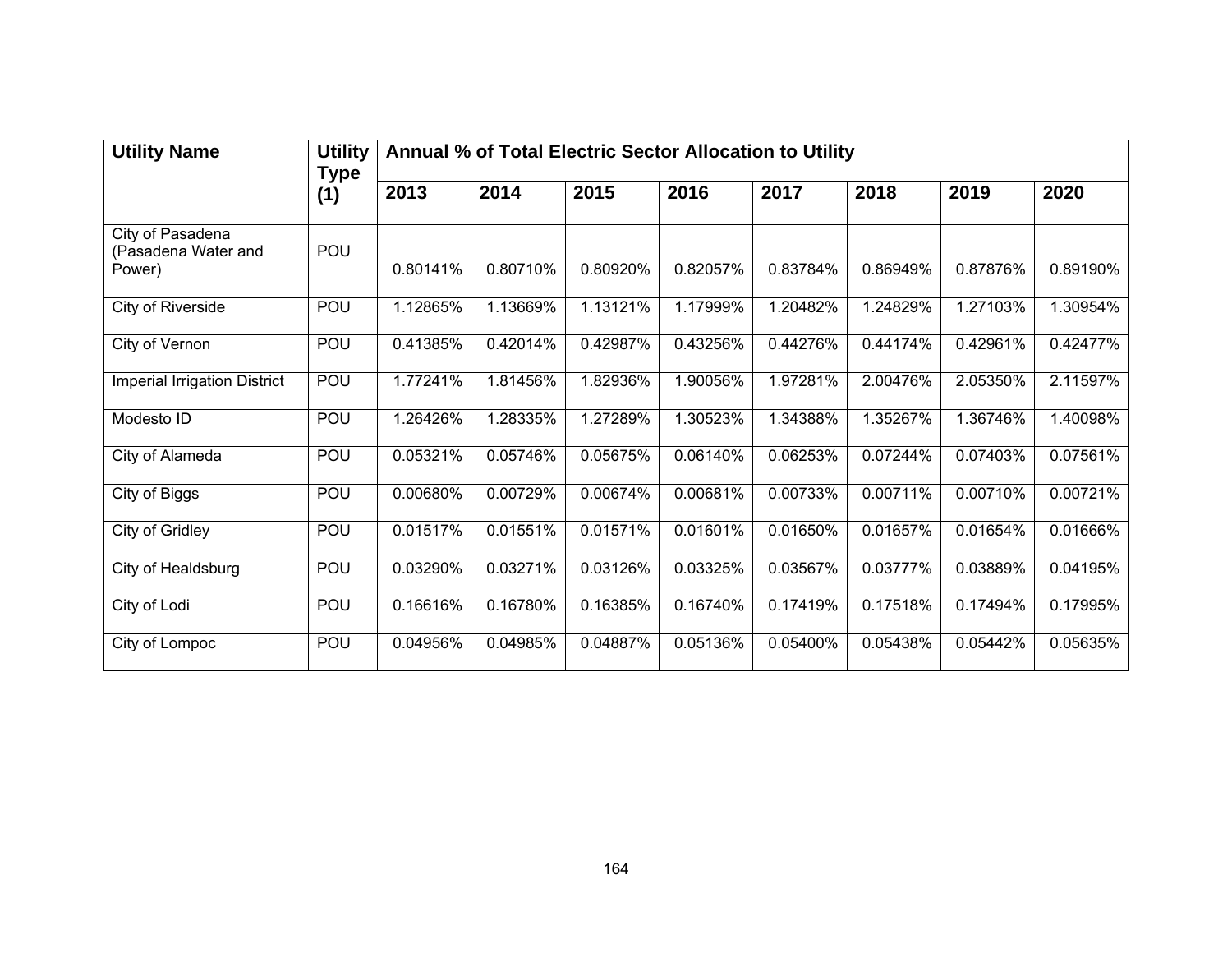| <b>Utility Name</b>                               | <b>Utility</b><br><b>Type</b> | Annual % of Total Electric Sector Allocation to Utility |          |          |          |          |          |          |          |  |
|---------------------------------------------------|-------------------------------|---------------------------------------------------------|----------|----------|----------|----------|----------|----------|----------|--|
|                                                   | (1)                           | 2013                                                    | 2014     | 2015     | 2016     | 2017     | 2018     | 2019     | 2020     |  |
| City of Pasadena<br>(Pasadena Water and<br>Power) | POU                           | 0.80141%                                                | 0.80710% | 0.80920% | 0.82057% | 0.83784% | 0.86949% | 0.87876% | 0.89190% |  |
| City of Riverside                                 | POU                           | 1.12865%                                                | 1.13669% | 1.13121% | 1.17999% | 1.20482% | 1.24829% | 1.27103% | 1.30954% |  |
| City of Vernon                                    | POU                           | 0.41385%                                                | 0.42014% | 0.42987% | 0.43256% | 0.44276% | 0.44174% | 0.42961% | 0.42477% |  |
| <b>Imperial Irrigation District</b>               | POU                           | 1.77241%                                                | 1.81456% | 1.82936% | 1.90056% | 1.97281% | 2.00476% | 2.05350% | 2.11597% |  |
| Modesto ID                                        | POU                           | 1.26426%                                                | 1.28335% | 1.27289% | 1.30523% | 1.34388% | 1.35267% | 1.36746% | 1.40098% |  |
| City of Alameda                                   | POU                           | 0.05321%                                                | 0.05746% | 0.05675% | 0.06140% | 0.06253% | 0.07244% | 0.07403% | 0.07561% |  |
| City of Biggs                                     | POU                           | 0.00680%                                                | 0.00729% | 0.00674% | 0.00681% | 0.00733% | 0.00711% | 0.00710% | 0.00721% |  |
| City of Gridley                                   | POU                           | 0.01517%                                                | 0.01551% | 0.01571% | 0.01601% | 0.01650% | 0.01657% | 0.01654% | 0.01666% |  |
| City of Healdsburg                                | POU                           | 0.03290%                                                | 0.03271% | 0.03126% | 0.03325% | 0.03567% | 0.03777% | 0.03889% | 0.04195% |  |
| City of Lodi                                      | POU                           | 0.16616%                                                | 0.16780% | 0.16385% | 0.16740% | 0.17419% | 0.17518% | 0.17494% | 0.17995% |  |
| City of Lompoc                                    | POU                           | 0.04956%                                                | 0.04985% | 0.04887% | 0.05136% | 0.05400% | 0.05438% | 0.05442% | 0.05635% |  |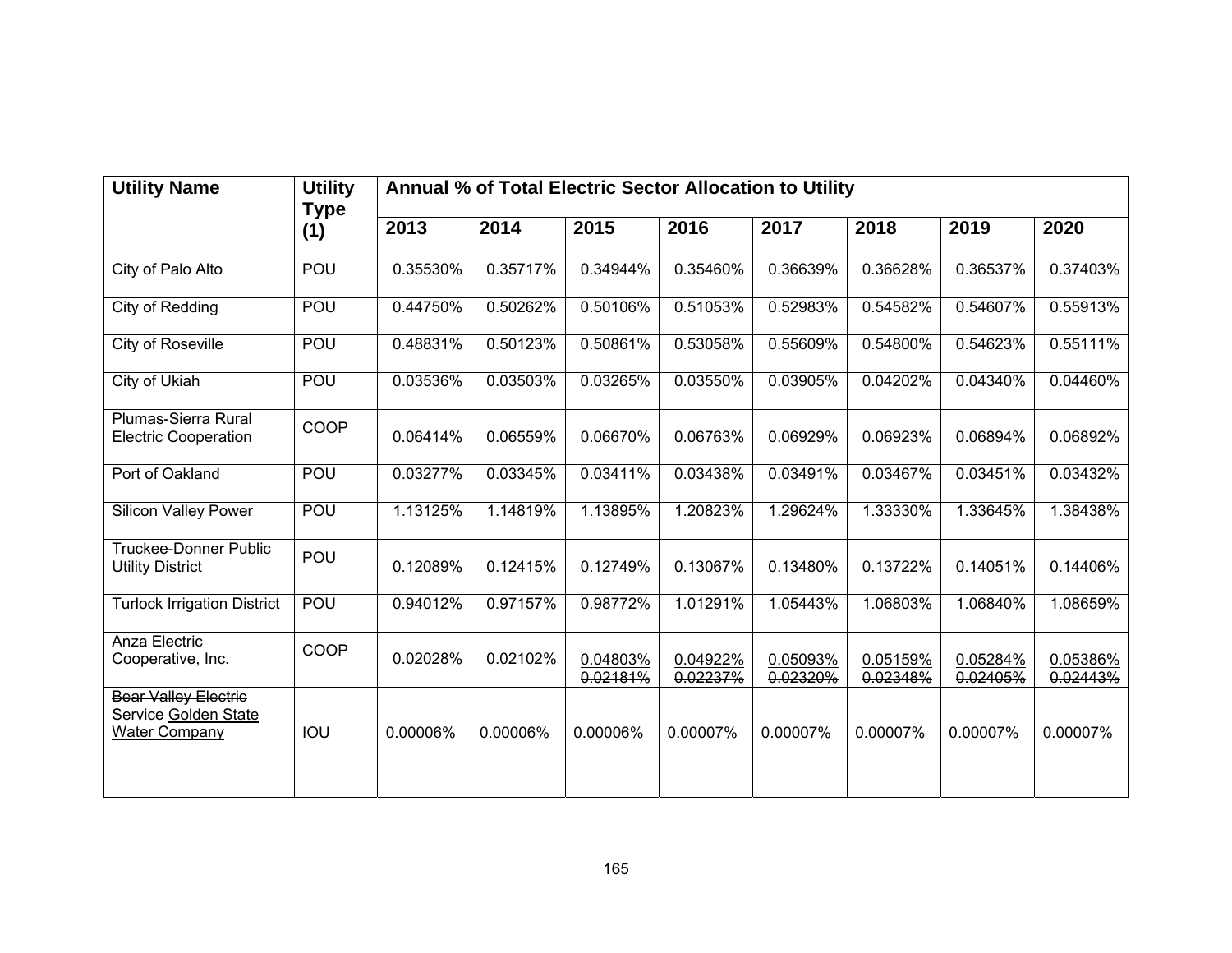| <b>Utility Name</b>                                                         | <b>Utility</b><br><b>Type</b> | Annual % of Total Electric Sector Allocation to Utility |          |                      |                      |                      |                      |                      |                      |  |  |
|-----------------------------------------------------------------------------|-------------------------------|---------------------------------------------------------|----------|----------------------|----------------------|----------------------|----------------------|----------------------|----------------------|--|--|
|                                                                             | (1)                           | 2013                                                    | 2014     | 2015                 | 2016                 | 2017                 | 2018                 | 2019                 | 2020                 |  |  |
| City of Palo Alto                                                           | POU                           | 0.35530%                                                | 0.35717% | 0.34944%             | 0.35460%             | 0.36639%             | 0.36628%             | 0.36537%             | 0.37403%             |  |  |
| City of Redding                                                             | POU                           | 0.44750%                                                | 0.50262% | 0.50106%             | 0.51053%             | 0.52983%             | 0.54582%             | 0.54607%             | 0.55913%             |  |  |
| City of Roseville                                                           | POU                           | 0.48831%                                                | 0.50123% | 0.50861%             | 0.53058%             | 0.55609%             | 0.54800%             | 0.54623%             | 0.55111%             |  |  |
| City of Ukiah                                                               | POU                           | 0.03536%                                                | 0.03503% | 0.03265%             | 0.03550%             | 0.03905%             | 0.04202%             | 0.04340%             | 0.04460%             |  |  |
| Plumas-Sierra Rural<br><b>Electric Cooperation</b>                          | COOP                          | 0.06414%                                                | 0.06559% | 0.06670%             | 0.06763%             | 0.06929%             | 0.06923%             | 0.06894%             | 0.06892%             |  |  |
| Port of Oakland                                                             | POU                           | 0.03277%                                                | 0.03345% | 0.03411%             | 0.03438%             | 0.03491%             | 0.03467%             | 0.03451%             | 0.03432%             |  |  |
| <b>Silicon Valley Power</b>                                                 | POU                           | 1.13125%                                                | 1.14819% | 1.13895%             | 1.20823%             | 1.29624%             | 1.33330%             | 1.33645%             | 1.38438%             |  |  |
| <b>Truckee-Donner Public</b><br><b>Utility District</b>                     | POU                           | 0.12089%                                                | 0.12415% | 0.12749%             | 0.13067%             | 0.13480%             | 0.13722%             | 0.14051%             | 0.14406%             |  |  |
| <b>Turlock Irrigation District</b>                                          | POU                           | 0.94012%                                                | 0.97157% | 0.98772%             | 1.01291%             | 1.05443%             | 1.06803%             | 1.06840%             | 1.08659%             |  |  |
| Anza Electric<br>Cooperative, Inc.                                          | COOP                          | 0.02028%                                                | 0.02102% | 0.04803%<br>0.02181% | 0.04922%<br>0.02237% | 0.05093%<br>0.02320% | 0.05159%<br>0.02348% | 0.05284%<br>0.02405% | 0.05386%<br>0.02443% |  |  |
| <b>Bear Valley Electric</b><br>Service Golden State<br><b>Water Company</b> | IOU                           | 0.00006%                                                | 0.00006% | 0.00006%             | 0.00007%             | 0.00007%             | 0.00007%             | 0.00007%             | 0.00007%             |  |  |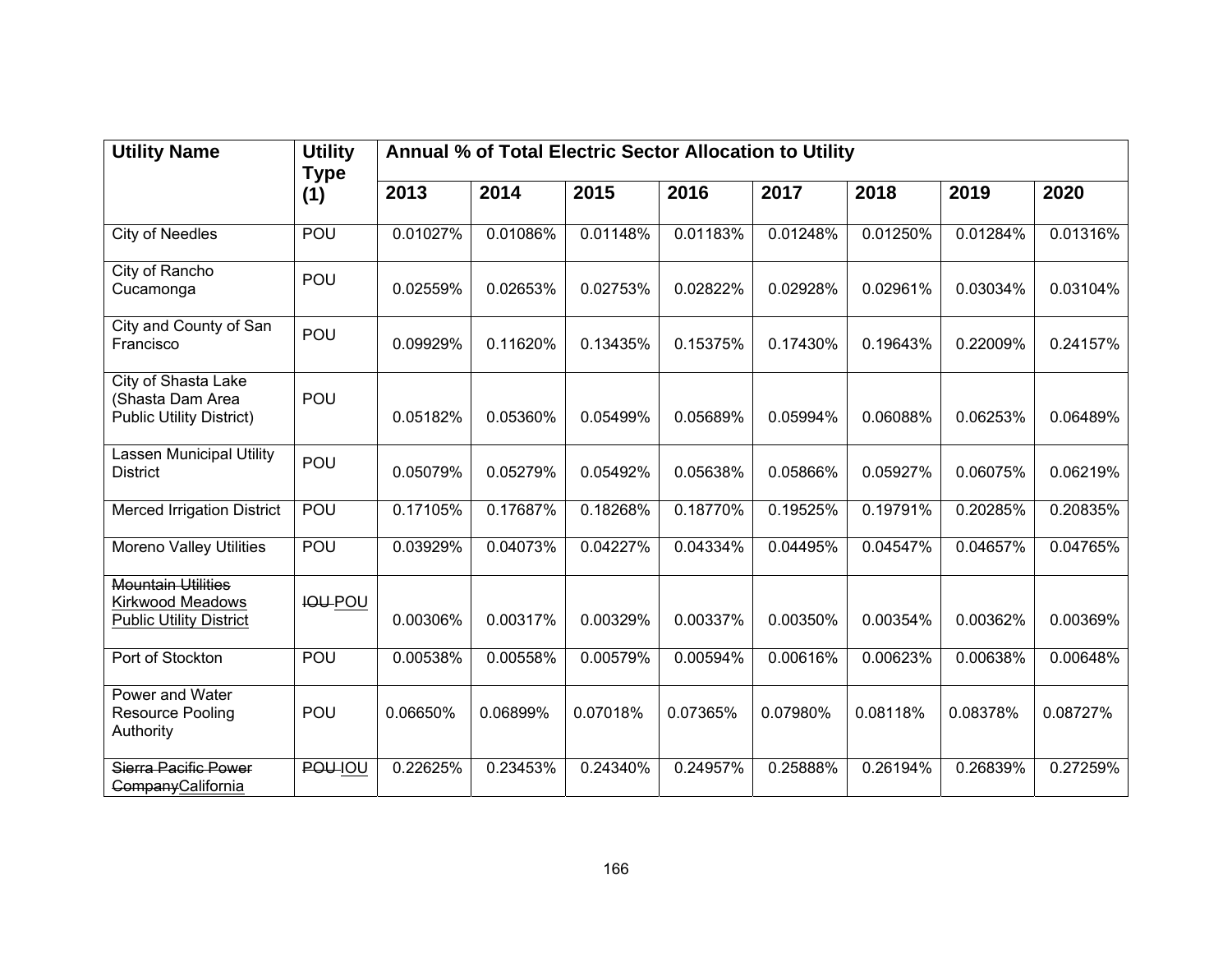| <b>Utility Name</b>                                                             | <b>Utility</b>     | Annual % of Total Electric Sector Allocation to Utility |          |          |          |          |          |          |          |  |
|---------------------------------------------------------------------------------|--------------------|---------------------------------------------------------|----------|----------|----------|----------|----------|----------|----------|--|
|                                                                                 | <b>Type</b><br>(1) | 2013                                                    | 2014     | 2015     | 2016     | 2017     | 2018     | 2019     | 2020     |  |
| <b>City of Needles</b>                                                          | POU                | 0.01027%                                                | 0.01086% | 0.01148% | 0.01183% | 0.01248% | 0.01250% | 0.01284% | 0.01316% |  |
| City of Rancho<br>Cucamonga                                                     | POU                | 0.02559%                                                | 0.02653% | 0.02753% | 0.02822% | 0.02928% | 0.02961% | 0.03034% | 0.03104% |  |
| City and County of San<br>Francisco                                             | POU                | 0.09929%                                                | 0.11620% | 0.13435% | 0.15375% | 0.17430% | 0.19643% | 0.22009% | 0.24157% |  |
| City of Shasta Lake<br>(Shasta Dam Area<br><b>Public Utility District)</b>      | POU                | 0.05182%                                                | 0.05360% | 0.05499% | 0.05689% | 0.05994% | 0.06088% | 0.06253% | 0.06489% |  |
| Lassen Municipal Utility<br><b>District</b>                                     | POU                | 0.05079%                                                | 0.05279% | 0.05492% | 0.05638% | 0.05866% | 0.05927% | 0.06075% | 0.06219% |  |
| <b>Merced Irrigation District</b>                                               | POU                | 0.17105%                                                | 0.17687% | 0.18268% | 0.18770% | 0.19525% | 0.19791% | 0.20285% | 0.20835% |  |
| <b>Moreno Valley Utilities</b>                                                  | <b>POU</b>         | 0.03929%                                                | 0.04073% | 0.04227% | 0.04334% | 0.04495% | 0.04547% | 0.04657% | 0.04765% |  |
| <b>Mountain Utilities</b><br>Kirkwood Meadows<br><b>Public Utility District</b> | <b>IOU-POU</b>     | 0.00306%                                                | 0.00317% | 0.00329% | 0.00337% | 0.00350% | 0.00354% | 0.00362% | 0.00369% |  |
| Port of Stockton                                                                | <b>POU</b>         | 0.00538%                                                | 0.00558% | 0.00579% | 0.00594% | 0.00616% | 0.00623% | 0.00638% | 0.00648% |  |
| Power and Water<br>Resource Pooling<br>Authority                                | POU                | 0.06650%                                                | 0.06899% | 0.07018% | 0.07365% | 0.07980% | 0.08118% | 0.08378% | 0.08727% |  |
| Sierra Pacific Power<br><b>Company</b> California                               | POU-IOU            | 0.22625%                                                | 0.23453% | 0.24340% | 0.24957% | 0.25888% | 0.26194% | 0.26839% | 0.27259% |  |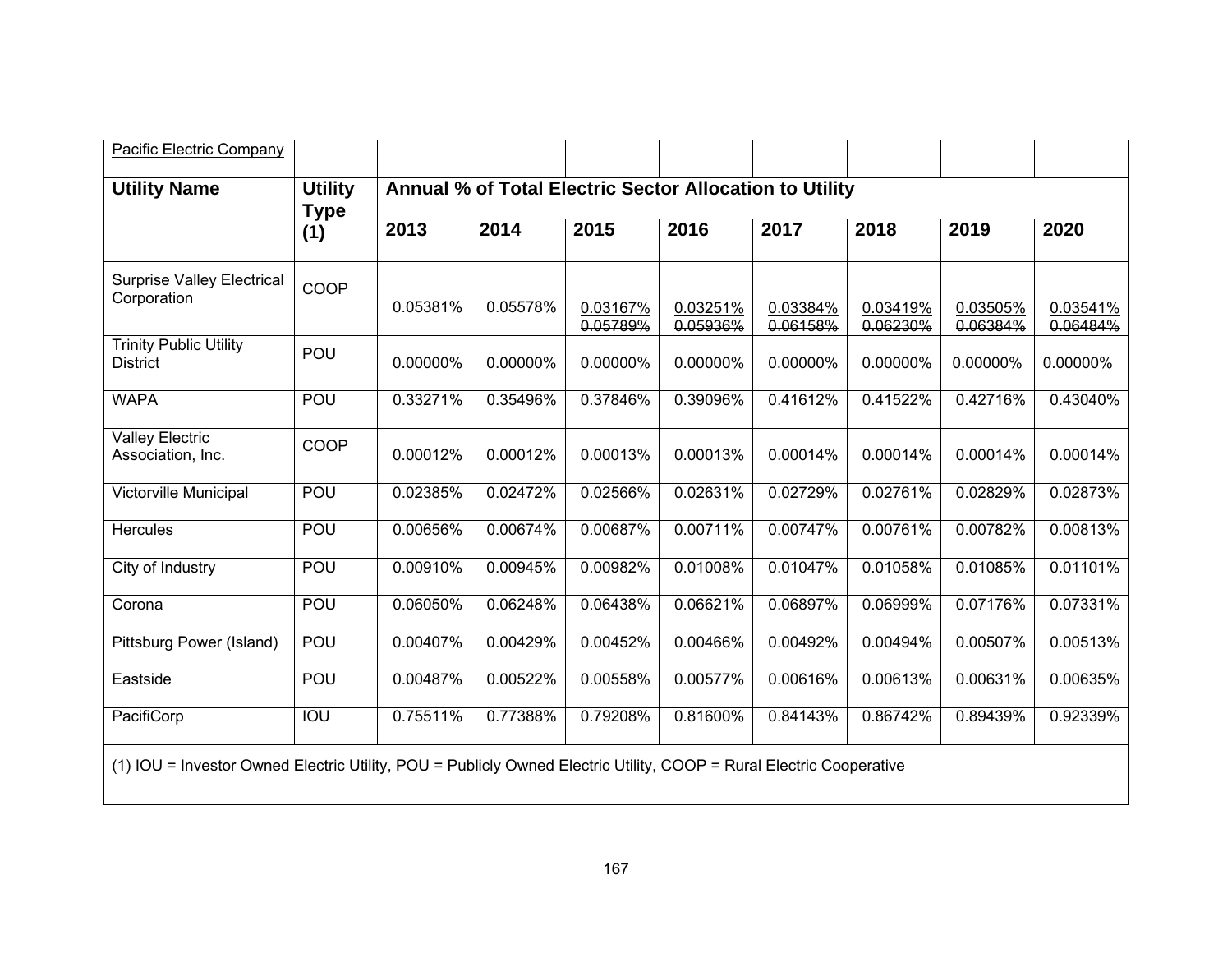| <b>Pacific Electric Company</b>                                                                                     |                               |                                                         |          |                      |                      |                      |                      |                      |                      |  |
|---------------------------------------------------------------------------------------------------------------------|-------------------------------|---------------------------------------------------------|----------|----------------------|----------------------|----------------------|----------------------|----------------------|----------------------|--|
| <b>Utility Name</b>                                                                                                 | <b>Utility</b><br><b>Type</b> | Annual % of Total Electric Sector Allocation to Utility |          |                      |                      |                      |                      |                      |                      |  |
|                                                                                                                     | (1)                           | 2013                                                    | 2014     | 2015                 | 2016                 | 2017                 | 2018                 | 2019                 | 2020                 |  |
| <b>Surprise Valley Electrical</b><br>Corporation                                                                    | COOP                          | 0.05381%                                                | 0.05578% | 0.03167%<br>0.05789% | 0.03251%<br>0.05936% | 0.03384%<br>0.06158% | 0.03419%<br>0.06230% | 0.03505%<br>0.06384% | 0.03541%<br>0.06484% |  |
| <b>Trinity Public Utility</b><br><b>District</b>                                                                    | POU                           | 0.00000%                                                | 0.00000% | 0.00000%             | 0.00000%             | 0.00000%             | 0.00000%             | 0.00000%             | 0.00000%             |  |
| <b>WAPA</b>                                                                                                         | POU                           | 0.33271%                                                | 0.35496% | 0.37846%             | 0.39096%             | 0.41612%             | 0.41522%             | 0.42716%             | 0.43040%             |  |
| <b>Valley Electric</b><br>Association, Inc.                                                                         | COOP                          | 0.00012%                                                | 0.00012% | 0.00013%             | 0.00013%             | 0.00014%             | 0.00014%             | 0.00014%             | 0.00014%             |  |
| <b>Victorville Municipal</b>                                                                                        | POU                           | 0.02385%                                                | 0.02472% | 0.02566%             | 0.02631%             | 0.02729%             | 0.02761%             | 0.02829%             | 0.02873%             |  |
| <b>Hercules</b>                                                                                                     | POU                           | 0.00656%                                                | 0.00674% | 0.00687%             | 0.00711%             | 0.00747%             | 0.00761%             | 0.00782%             | 0.00813%             |  |
| City of Industry                                                                                                    | POU                           | 0.00910%                                                | 0.00945% | 0.00982%             | 0.01008%             | 0.01047%             | 0.01058%             | 0.01085%             | 0.01101%             |  |
| Corona                                                                                                              | POU                           | 0.06050%                                                | 0.06248% | 0.06438%             | 0.06621%             | 0.06897%             | 0.06999%             | 0.07176%             | 0.07331%             |  |
| Pittsburg Power (Island)                                                                                            | POU                           | 0.00407%                                                | 0.00429% | 0.00452%             | 0.00466%             | 0.00492%             | 0.00494%             | 0.00507%             | 0.00513%             |  |
| Eastside                                                                                                            | POU                           | 0.00487%                                                | 0.00522% | 0.00558%             | 0.00577%             | 0.00616%             | 0.00613%             | 0.00631%             | 0.00635%             |  |
| PacifiCorp                                                                                                          | IOU                           | 0.75511%                                                | 0.77388% | 0.79208%             | 0.81600%             | 0.84143%             | 0.86742%             | 0.89439%             | 0.92339%             |  |
| (1) IOU = Investor Owned Electric Utility, POU = Publicly Owned Electric Utility, COOP = Rural Electric Cooperative |                               |                                                         |          |                      |                      |                      |                      |                      |                      |  |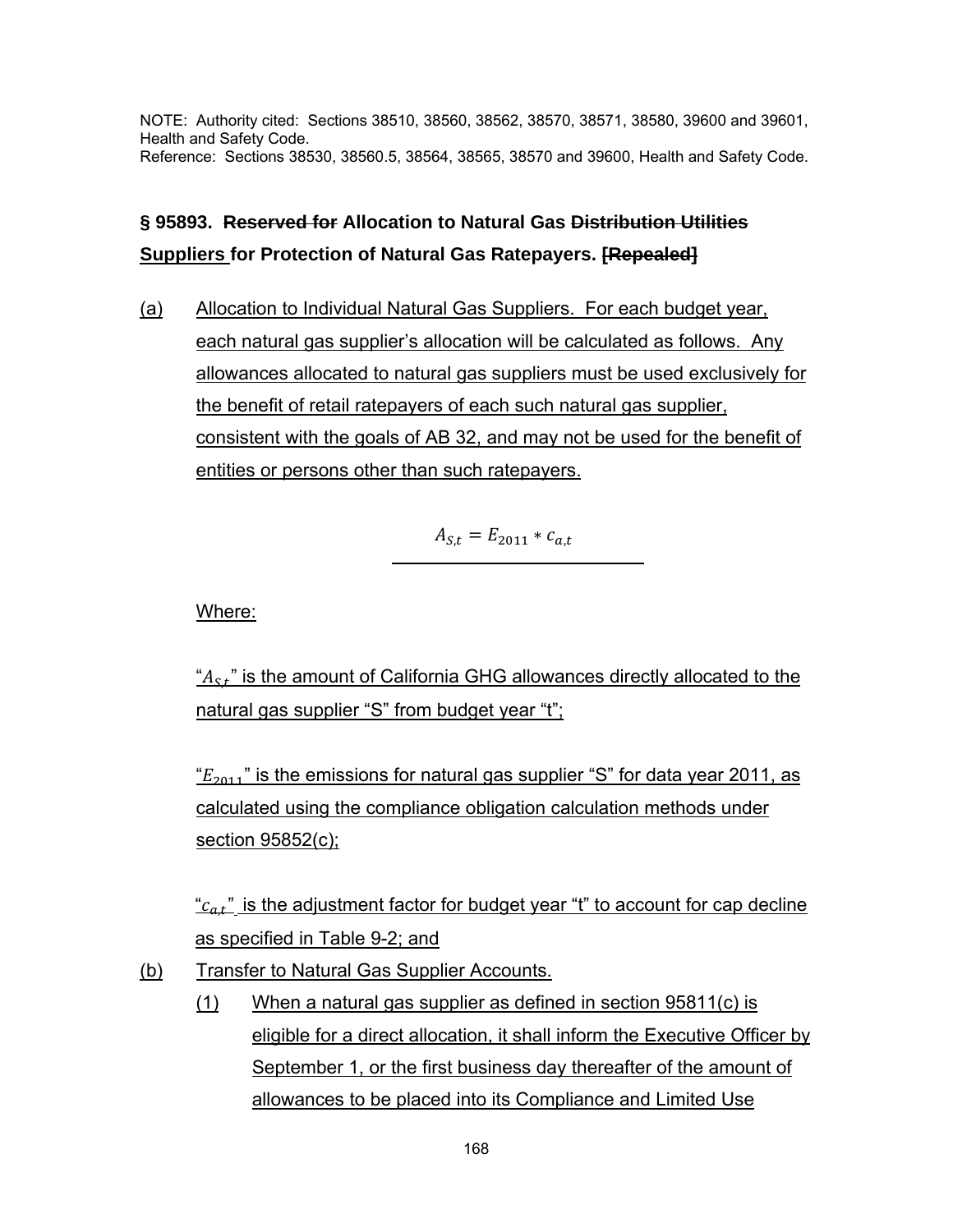NOTE: Authority cited: Sections 38510, 38560, 38562, 38570, 38571, 38580, 39600 and 39601, Health and Safety Code. Reference: Sections 38530, 38560.5, 38564, 38565, 38570 and 39600, Health and Safety Code.

# **§ 95893. Reserved for Allocation to Natural Gas Distribution Utilities Suppliers for Protection of Natural Gas Ratepayers. [Repealed]**

(a) Allocation to Individual Natural Gas Suppliers. For each budget year, each natural gas supplier's allocation will be calculated as follows. Any allowances allocated to natural gas suppliers must be used exclusively for the benefit of retail ratepayers of each such natural gas supplier, consistent with the goals of AB 32, and may not be used for the benefit of entities or persons other than such ratepayers.

 $A_{S,t} = E_{2011} * c_{a,t}$ 

Where:

" $A_{S,f}$ " is the amount of California GHG allowances directly allocated to the natural gas supplier "S" from budget year "t";

" $E_{2011}$ " is the emissions for natural gas supplier "S" for data year 2011, as calculated using the compliance obligation calculation methods under section 95852(c);

" $c_{a,t}$ " is the adjustment factor for budget year "t" to account for cap decline as specified in Table 9-2; and

- (b) Transfer to Natural Gas Supplier Accounts.
	- (1) When a natural gas supplier as defined in section 95811(c) is eligible for a direct allocation, it shall inform the Executive Officer by September 1, or the first business day thereafter of the amount of allowances to be placed into its Compliance and Limited Use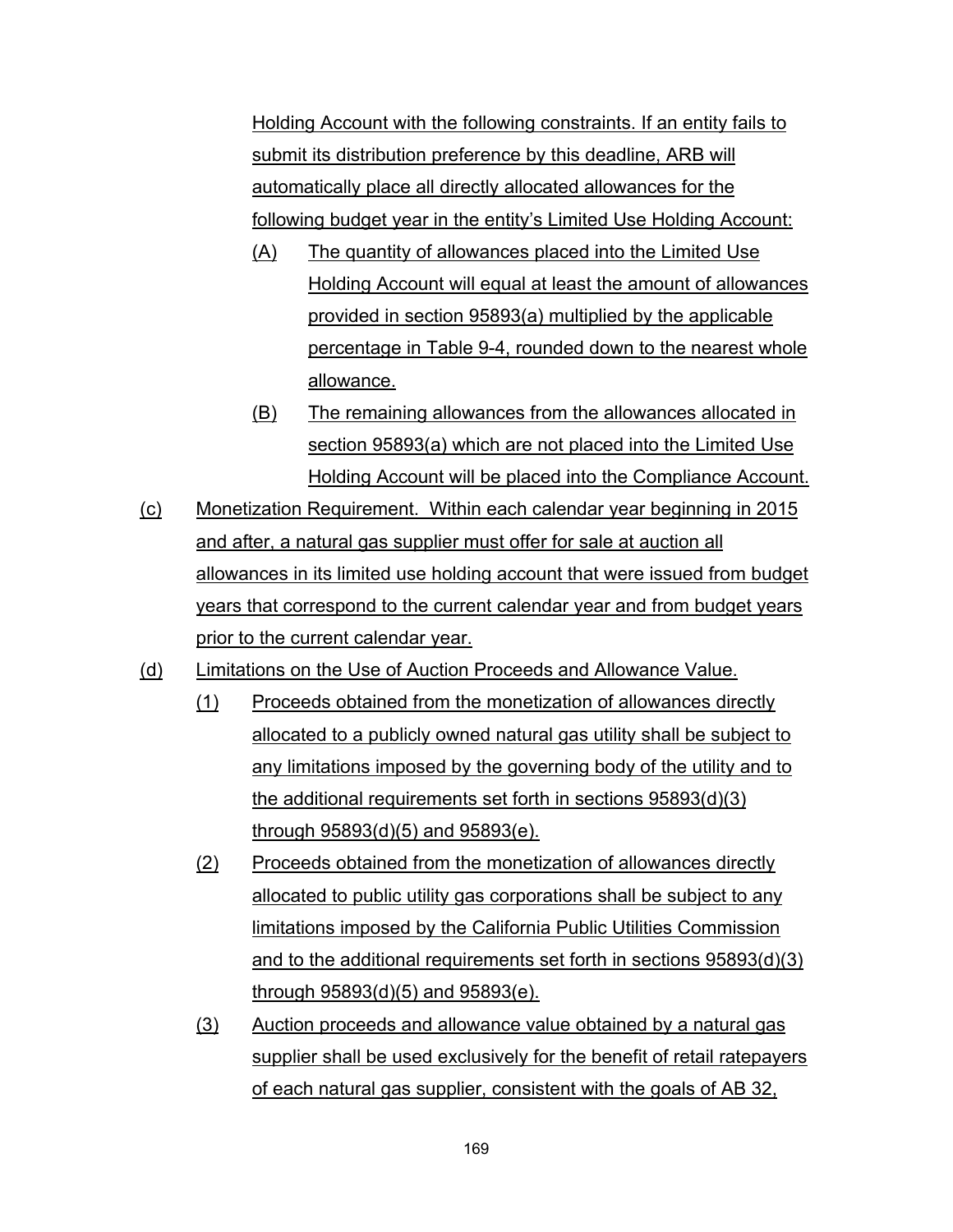Holding Account with the following constraints. If an entity fails to submit its distribution preference by this deadline, ARB will automatically place all directly allocated allowances for the following budget year in the entity's Limited Use Holding Account:

- (A) The quantity of allowances placed into the Limited Use Holding Account will equal at least the amount of allowances provided in section 95893(a) multiplied by the applicable percentage in Table 9-4, rounded down to the nearest whole allowance.
- (B) The remaining allowances from the allowances allocated in section 95893(a) which are not placed into the Limited Use Holding Account will be placed into the Compliance Account.
- (c) Monetization Requirement. Within each calendar year beginning in 2015 and after, a natural gas supplier must offer for sale at auction all allowances in its limited use holding account that were issued from budget years that correspond to the current calendar year and from budget years prior to the current calendar year.
- (d) Limitations on the Use of Auction Proceeds and Allowance Value.
	- (1) Proceeds obtained from the monetization of allowances directly allocated to a publicly owned natural gas utility shall be subject to any limitations imposed by the governing body of the utility and to the additional requirements set forth in sections 95893(d)(3) through 95893(d)(5) and 95893(e).
	- (2) Proceeds obtained from the monetization of allowances directly allocated to public utility gas corporations shall be subject to any limitations imposed by the California Public Utilities Commission and to the additional requirements set forth in sections 95893(d)(3) through 95893(d)(5) and 95893(e).
	- (3) Auction proceeds and allowance value obtained by a natural gas supplier shall be used exclusively for the benefit of retail ratepayers of each natural gas supplier, consistent with the goals of AB 32,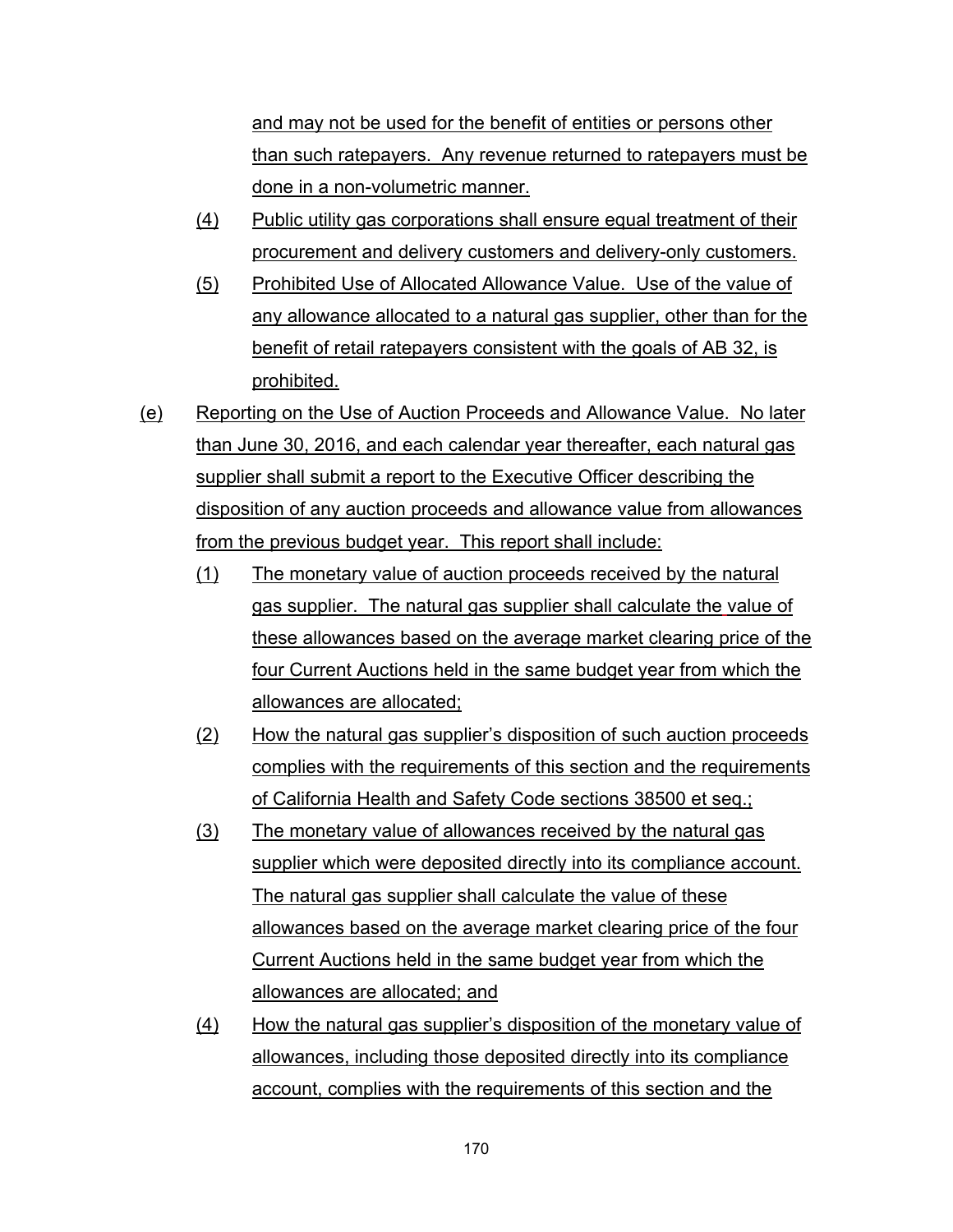and may not be used for the benefit of entities or persons other than such ratepayers. Any revenue returned to ratepayers must be done in a non-volumetric manner.

- (4) Public utility gas corporations shall ensure equal treatment of their procurement and delivery customers and delivery-only customers.
- (5) Prohibited Use of Allocated Allowance Value. Use of the value of any allowance allocated to a natural gas supplier, other than for the benefit of retail ratepayers consistent with the goals of AB 32, is prohibited.
- (e) Reporting on the Use of Auction Proceeds and Allowance Value. No later than June 30, 2016, and each calendar year thereafter, each natural gas supplier shall submit a report to the Executive Officer describing the disposition of any auction proceeds and allowance value from allowances from the previous budget year. This report shall include:
	- (1) The monetary value of auction proceeds received by the natural gas supplier. The natural gas supplier shall calculate the value of these allowances based on the average market clearing price of the four Current Auctions held in the same budget year from which the allowances are allocated;
	- (2) How the natural gas supplier's disposition of such auction proceeds complies with the requirements of this section and the requirements of California Health and Safety Code sections 38500 et seq.;
	- (3) The monetary value of allowances received by the natural gas supplier which were deposited directly into its compliance account. The natural gas supplier shall calculate the value of these allowances based on the average market clearing price of the four Current Auctions held in the same budget year from which the allowances are allocated; and
	- (4) How the natural gas supplier's disposition of the monetary value of allowances, including those deposited directly into its compliance account, complies with the requirements of this section and the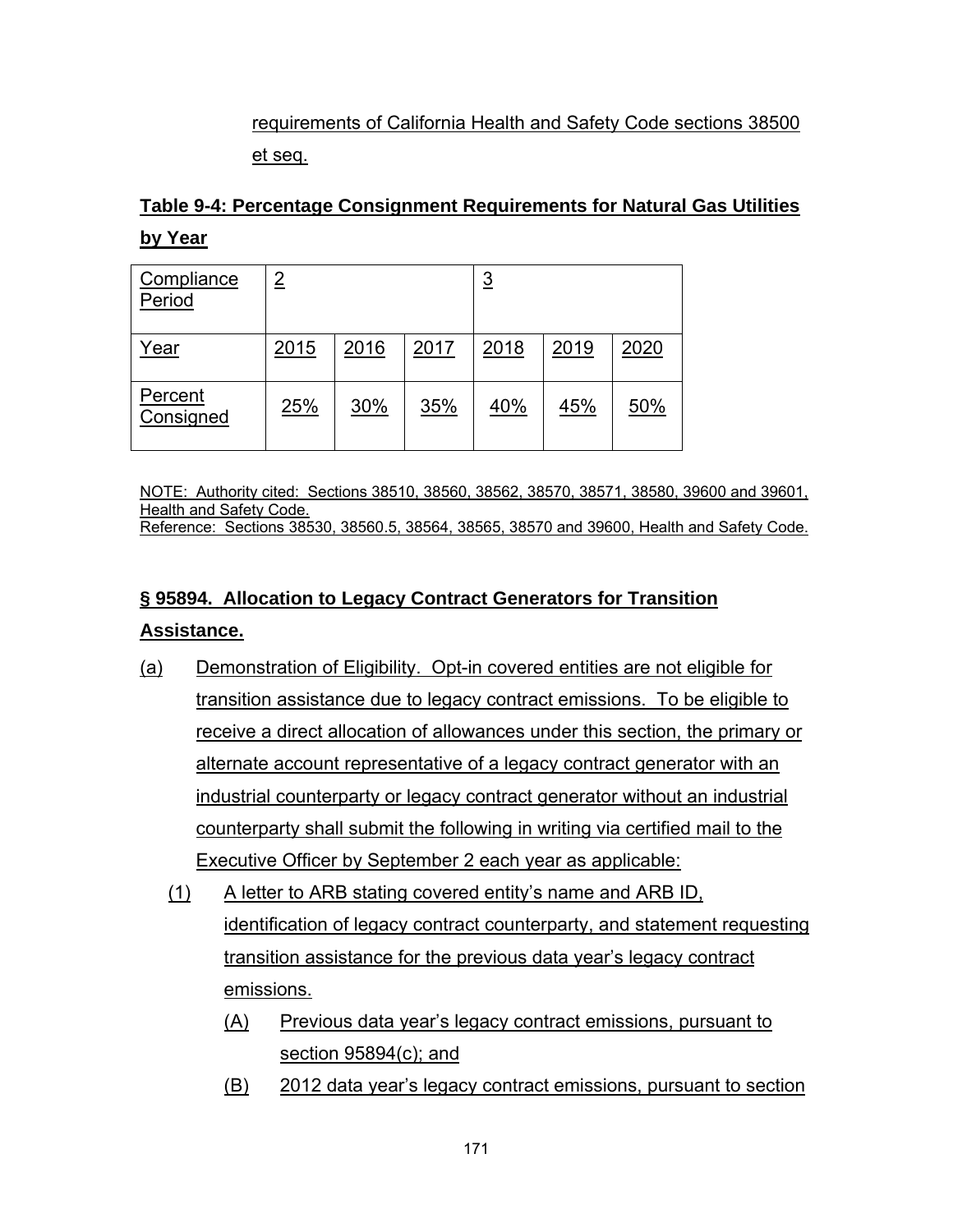## requirements of California Health and Safety Code sections 38500 et seq.

# **Table 9-4: Percentage Consignment Requirements for Natural Gas Utilities by Year**

| Compliance<br>Period | $\overline{2}$ |      |      | <u>3</u> |            |      |  |
|----------------------|----------------|------|------|----------|------------|------|--|
| Year                 | 2015           | 2016 | 2017 | 2018     | 2019       | 2020 |  |
| Percent<br>Consigned | 25%            | 30%  | 35%  | 40%      | <u>45%</u> | 50%  |  |

NOTE: Authority cited: Sections 38510, 38560, 38562, 38570, 38571, 38580, 39600 and 39601, Health and Safety Code.

### Reference: Sections 38530, 38560.5, 38564, 38565, 38570 and 39600, Health and Safety Code.

# **§ 95894. Allocation to Legacy Contract Generators for Transition**

## **Assistance.**

- (a) Demonstration of Eligibility. Opt-in covered entities are not eligible for transition assistance due to legacy contract emissions. To be eligible to receive a direct allocation of allowances under this section, the primary or alternate account representative of a legacy contract generator with an industrial counterparty or legacy contract generator without an industrial counterparty shall submit the following in writing via certified mail to the Executive Officer by September 2 each year as applicable:
	- (1) A letter to ARB stating covered entity's name and ARB ID, identification of legacy contract counterparty, and statement requesting transition assistance for the previous data year's legacy contract emissions.
		- (A) Previous data year's legacy contract emissions, pursuant to section 95894(c); and
		- (B) 2012 data year's legacy contract emissions, pursuant to section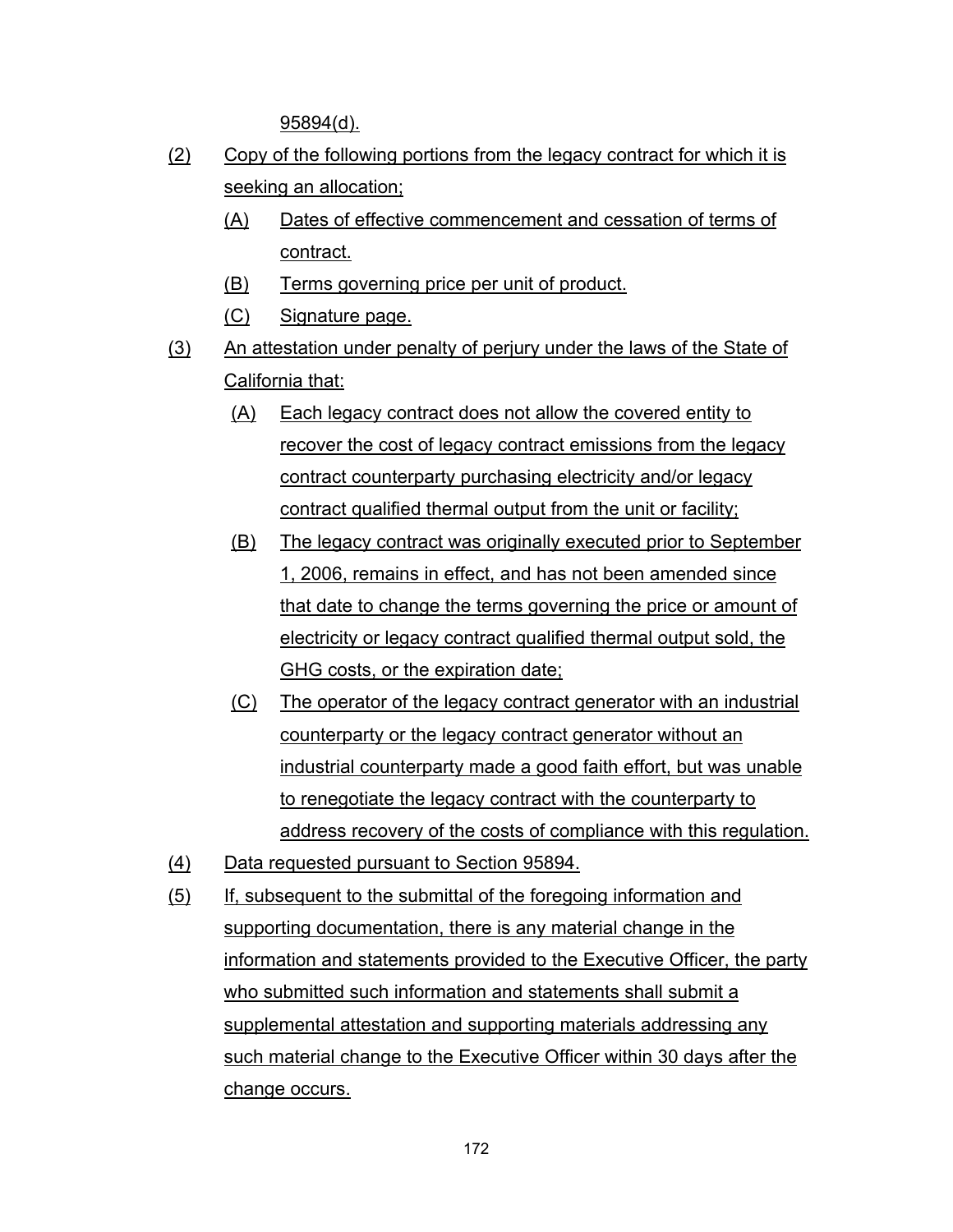95894(d).

- (2) Copy of the following portions from the legacy contract for which it is seeking an allocation;
	- (A) Dates of effective commencement and cessation of terms of contract.
	- (B) Terms governing price per unit of product.
	- (C) Signature page.
- (3) An attestation under penalty of perjury under the laws of the State of California that:
	- (A) Each legacy contract does not allow the covered entity to recover the cost of legacy contract emissions from the legacy contract counterparty purchasing electricity and/or legacy contract qualified thermal output from the unit or facility;
	- (B) The legacy contract was originally executed prior to September 1, 2006, remains in effect, and has not been amended since that date to change the terms governing the price or amount of electricity or legacy contract qualified thermal output sold, the GHG costs, or the expiration date;
	- (C) The operator of the legacy contract generator with an industrial counterparty or the legacy contract generator without an industrial counterparty made a good faith effort, but was unable to renegotiate the legacy contract with the counterparty to address recovery of the costs of compliance with this regulation.
- (4) Data requested pursuant to Section 95894.
- (5) If, subsequent to the submittal of the foregoing information and supporting documentation, there is any material change in the information and statements provided to the Executive Officer, the party who submitted such information and statements shall submit a supplemental attestation and supporting materials addressing any such material change to the Executive Officer within 30 days after the change occurs.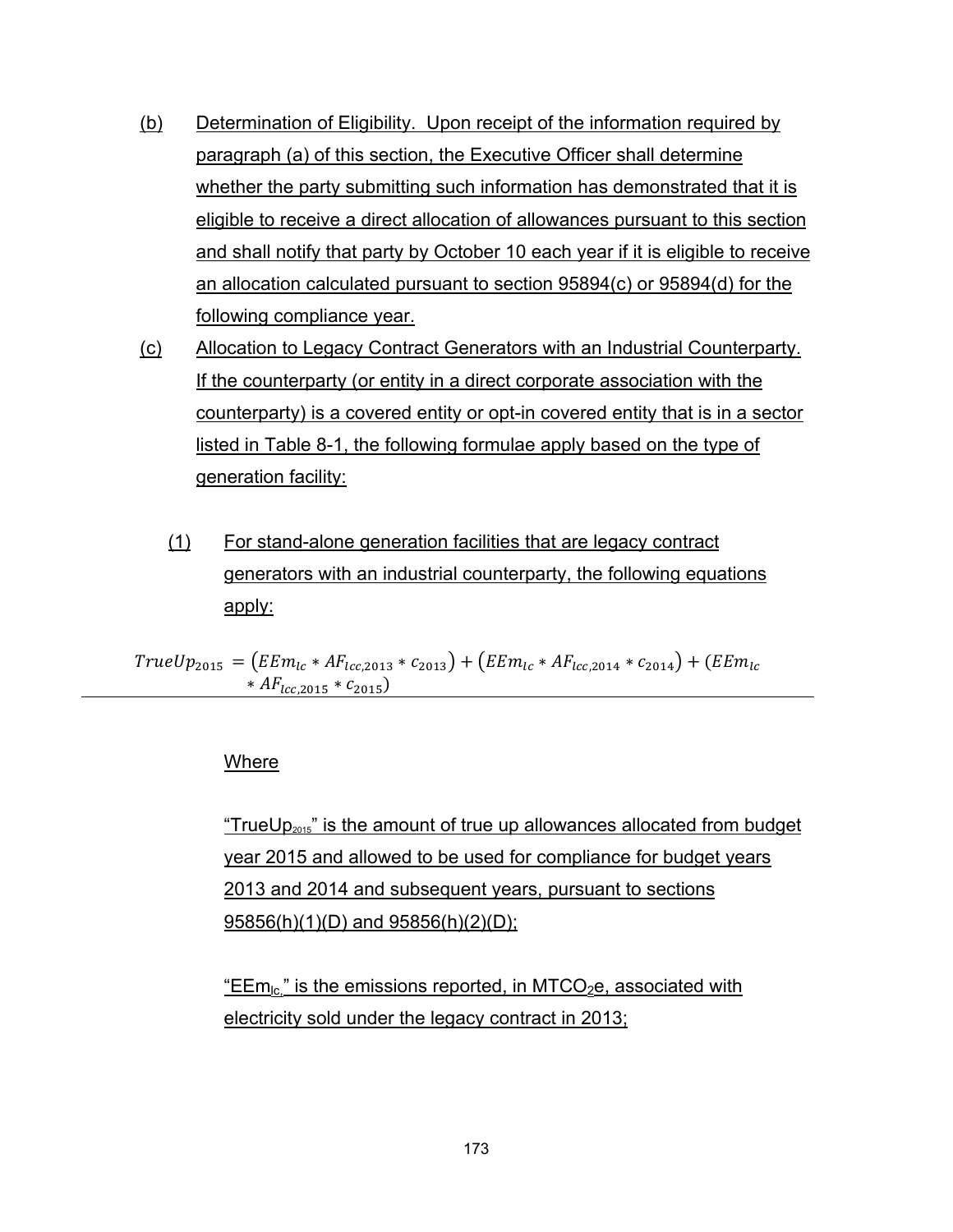- (b) Determination of Eligibility. Upon receipt of the information required by paragraph (a) of this section, the Executive Officer shall determine whether the party submitting such information has demonstrated that it is eligible to receive a direct allocation of allowances pursuant to this section and shall notify that party by October 10 each year if it is eligible to receive an allocation calculated pursuant to section 95894(c) or 95894(d) for the following compliance year.
- (c) Allocation to Legacy Contract Generators with an Industrial Counterparty. If the counterparty (or entity in a direct corporate association with the counterparty) is a covered entity or opt-in covered entity that is in a sector listed in Table 8-1, the following formulae apply based on the type of generation facility:
	- (1) For stand-alone generation facilities that are legacy contract generators with an industrial counterparty, the following equations apply:

 $TrueUp_{2015} = (EEm_{lc} * AF_{lcc,2013} * c_{2013}) + (EEm_{lc} * AF_{lcc,2014} * c_{2014}) + (EEm_{lc} * F_{lcc,2014} * c_{2014})$  $*AF_{lcc, 2015} * C_{2015}$ 

#### Where

"TrueU $p_{2015}$ " is the amount of true up allowances allocated from budget year 2015 and allowed to be used for compliance for budget years 2013 and 2014 and subsequent years, pursuant to sections 95856(h)(1)(D) and 95856(h)(2)(D);

"EEm<sub>lc</sub>" is the emissions reported, in MTCO<sub>2</sub>e, associated with electricity sold under the legacy contract in 2013;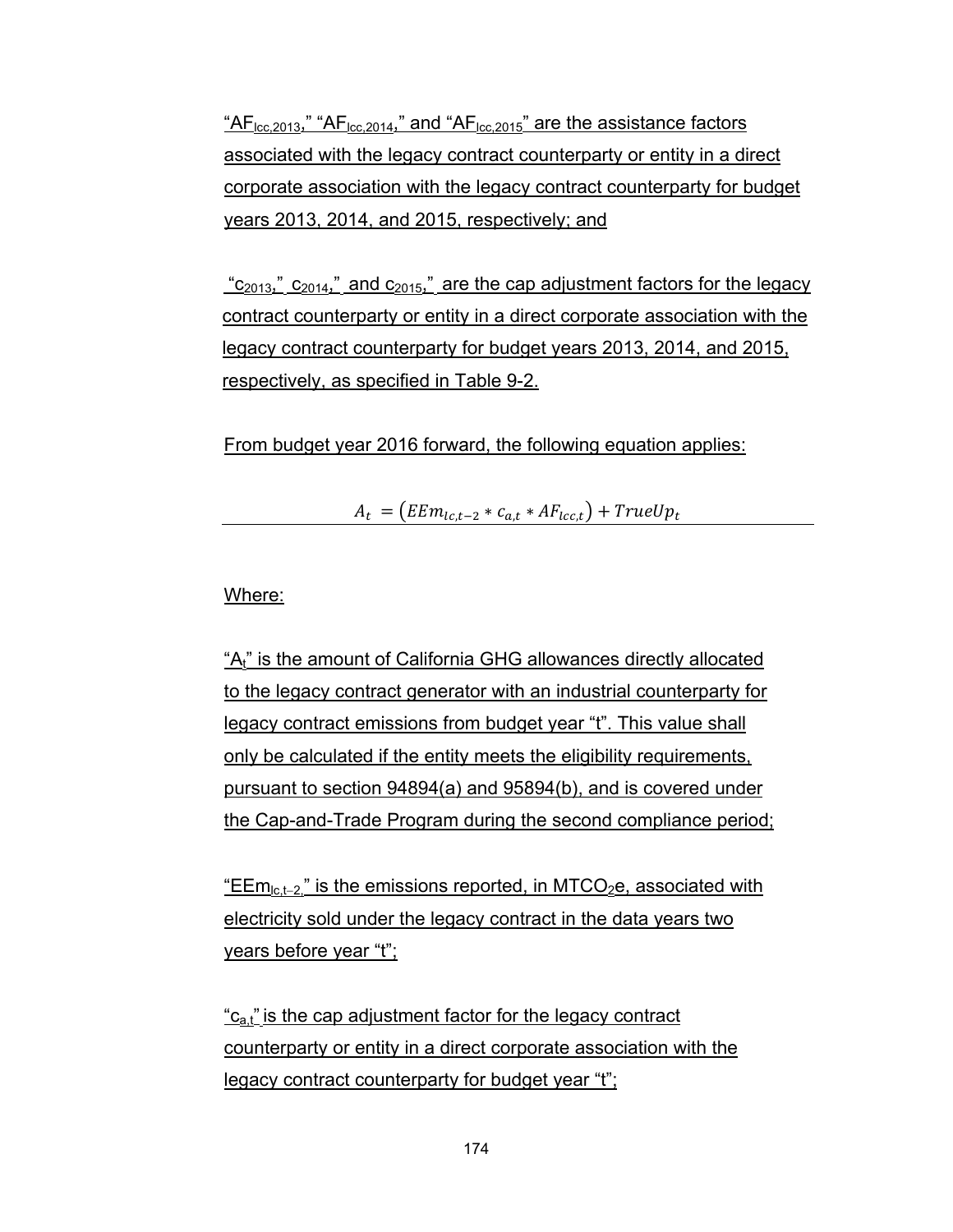" $AF<sub>loc.2013</sub>$ ," "AF<sub>lcc.2014</sub>," and "AF<sub>lcc.2015</sub>" are the assistance factors associated with the legacy contract counterparty or entity in a direct corporate association with the legacy contract counterparty for budget years 2013, 2014, and 2015, respectively; and

 $"c_{2013}"$ ,  $"c_{2014}"$  and  $c_{2015}"$  are the cap adjustment factors for the legacy contract counterparty or entity in a direct corporate association with the legacy contract counterparty for budget years 2013, 2014, and 2015, respectively, as specified in Table 9-2.

From budget year 2016 forward, the following equation applies:

 $A_t = (EEm_{lc,t-2} * c_{a,t} * AF_{lcc,t}) + TrueUp_t$ 

## Where:

"A<sub>t"</sub> is the amount of California GHG allowances directly allocated to the legacy contract generator with an industrial counterparty for legacy contract emissions from budget year "t". This value shall only be calculated if the entity meets the eligibility requirements, pursuant to section 94894(a) and 95894(b), and is covered under the Cap-and-Trade Program during the second compliance period;

"EE $m_{\text{lc},t-2}$ " is the emissions reported, in MTCO<sub>2</sub>e, associated with electricity sold under the legacy contract in the data years two years before year "t";

" $c_{a}t$ " is the cap adjustment factor for the legacy contract counterparty or entity in a direct corporate association with the legacy contract counterparty for budget year "t";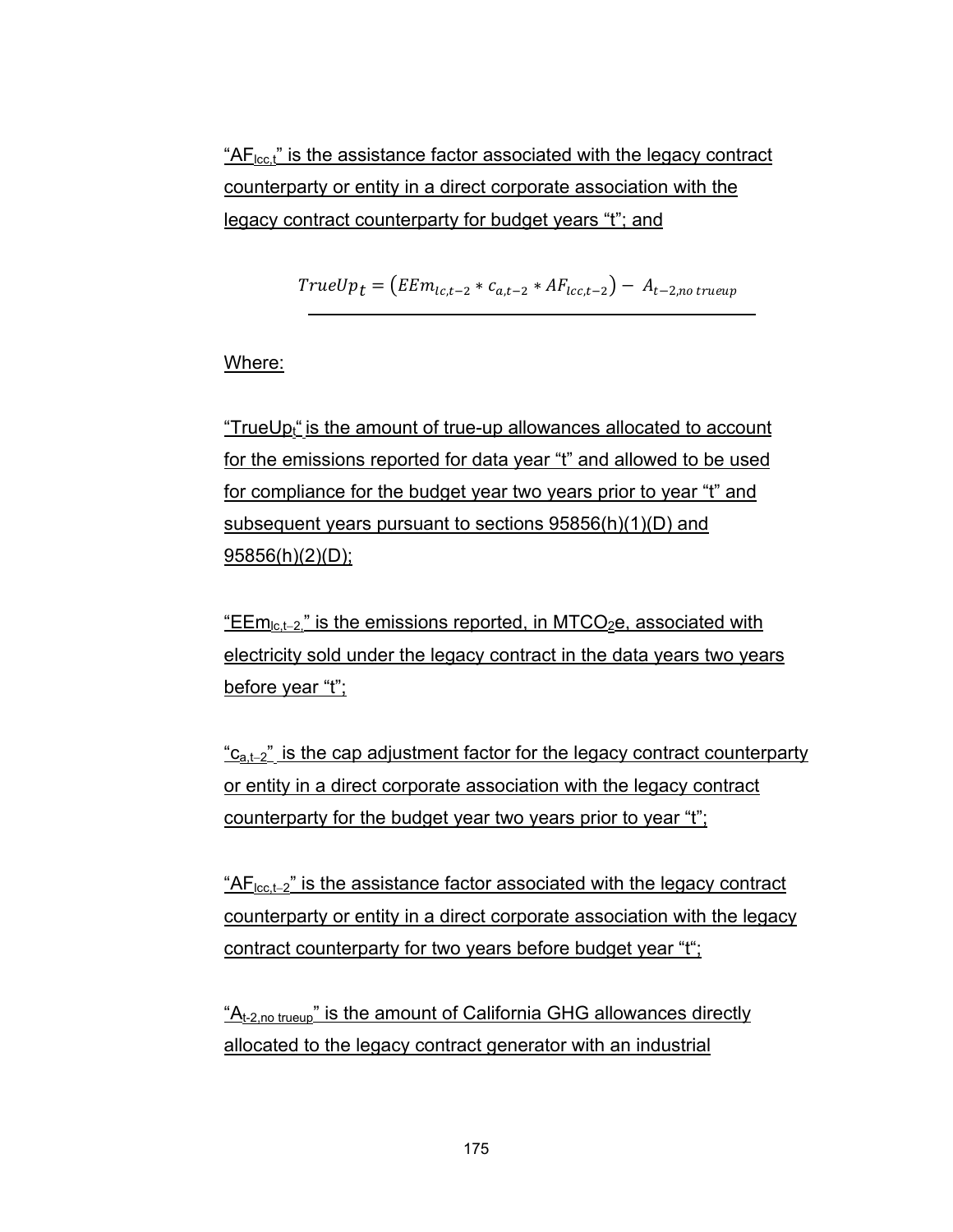" $AF<sub>lcc</sub>$ ," is the assistance factor associated with the legacy contract counterparty or entity in a direct corporate association with the legacy contract counterparty for budget years "t"; and

 $TrueUp_t = (EEm_{lc,t-2} * c_{a,t-2} * AF_{lcc,t-2}) - A_{t-2,no\ true}$ 

Where:

"TrueUp<sub>t</sub>" is the amount of true-up allowances allocated to account for the emissions reported for data year "t" and allowed to be used for compliance for the budget year two years prior to year "t" and subsequent years pursuant to sections 95856(h)(1)(D) and 95856(h)(2)(D);

"EEm<sub>lc,t-2</sub>" is the emissions reported, in MTCO<sub>2</sub>e, associated with electricity sold under the legacy contract in the data years two years before year "t";

 $C_{a,t-2}$ " is the cap adjustment factor for the legacy contract counterparty or entity in a direct corporate association with the legacy contract counterparty for the budget year two years prior to year "t";

 $H_{\text{loc,t-2}}$ " is the assistance factor associated with the legacy contract counterparty or entity in a direct corporate association with the legacy contract counterparty for two years before budget year "t";

 $A_{t-2}$  no trueup" is the amount of California GHG allowances directly allocated to the legacy contract generator with an industrial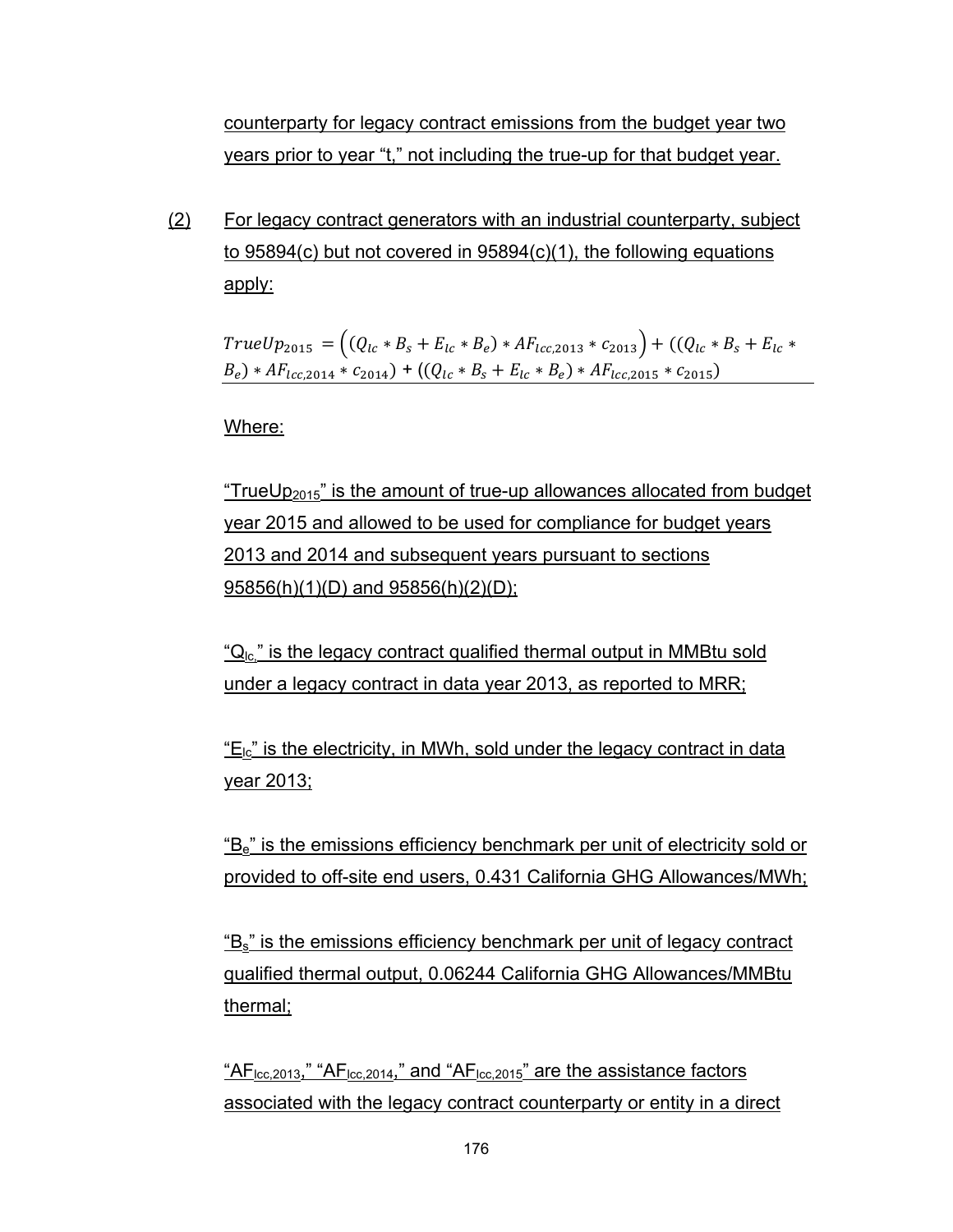counterparty for legacy contract emissions from the budget year two years prior to year "t," not including the true-up for that budget year.

(2) For legacy contract generators with an industrial counterparty, subject to 95894(c) but not covered in 95894(c)(1), the following equations apply:

 $TrueUp_{2015} = ((Q_{lc} * B_s + E_{lc} * B_e) * AF_{lcc,2013} * c_{2013}) + ((Q_{lc} * B_s + E_{lc} * C_e))$  $(B_e) * AF_{lcc,2014} * c_{2014} + ((Q_{lc} * B_s + E_{lc} * B_e) * AF_{lcc,2015} * c_{2015})$ 

Where:

"TrueUp<sub>2015</sub>" is the amount of true-up allowances allocated from budget year 2015 and allowed to be used for compliance for budget years 2013 and 2014 and subsequent years pursuant to sections 95856(h)(1)(D) and 95856(h)(2)(D);

" $Q<sub>1c</sub>$ " is the legacy contract qualified thermal output in MMBtu sold under a legacy contract in data year 2013, as reported to MRR;

 $E_{\text{lc}}$ " is the electricity, in MWh, sold under the legacy contract in data year 2013;

"B<sub>e</sub>" is the emissions efficiency benchmark per unit of electricity sold or provided to off-site end users, 0.431 California GHG Allowances/MWh;

"Bs" is the emissions efficiency benchmark per unit of legacy contract qualified thermal output, 0.06244 California GHG Allowances/MMBtu thermal;

" $AF<sub>loc</sub>$ <sub>2013</sub>," " $AF<sub>loc</sub>$ <sub>2014</sub>," and " $AF<sub>loc</sub>$ <sub>2015</sub>" are the assistance factors associated with the legacy contract counterparty or entity in a direct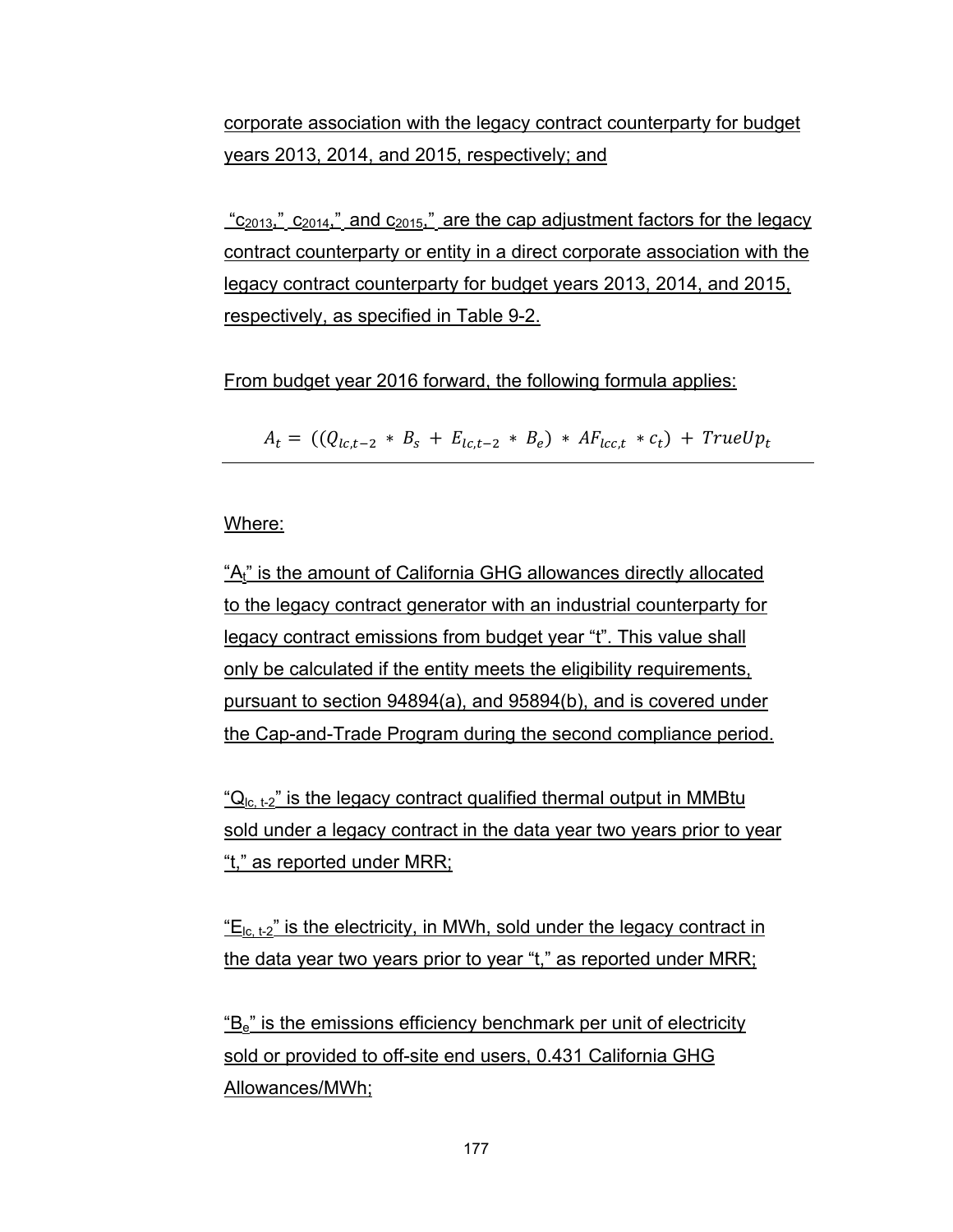corporate association with the legacy contract counterparty for budget years 2013, 2014, and 2015, respectively; and

 $\frac{c_{2013}}{c_{2014}}$   $\frac{c_{2014}}{c_{2014}}$  and  $\frac{c_{2015}}{c_{2015}}$  are the cap adjustment factors for the legacy contract counterparty or entity in a direct corporate association with the legacy contract counterparty for budget years 2013, 2014, and 2015, respectively, as specified in Table 9-2.

From budget year 2016 forward, the following formula applies:

 $A_t = ((Q_{1c,t-2} * B_s + E_{1c,t-2} * B_e) * AF_{1c,t} * c_t) + TrueUp_t$ 

Where:

"A<sub>t"</sub> is the amount of California GHG allowances directly allocated to the legacy contract generator with an industrial counterparty for legacy contract emissions from budget year "t". This value shall only be calculated if the entity meets the eligibility requirements, pursuant to section 94894(a), and 95894(b), and is covered under the Cap-and-Trade Program during the second compliance period.

" $Q<sub>lc</sub>$ ,  $t_2$ " is the legacy contract qualified thermal output in MMBtu sold under a legacy contract in the data year two years prior to year "t," as reported under MRR;

 $E_{\text{lc, t-2}}$  is the electricity, in MWh, sold under the legacy contract in the data year two years prior to year "t," as reported under MRR;

 $B_e$ " is the emissions efficiency benchmark per unit of electricity sold or provided to off-site end users, 0.431 California GHG Allowances/MWh;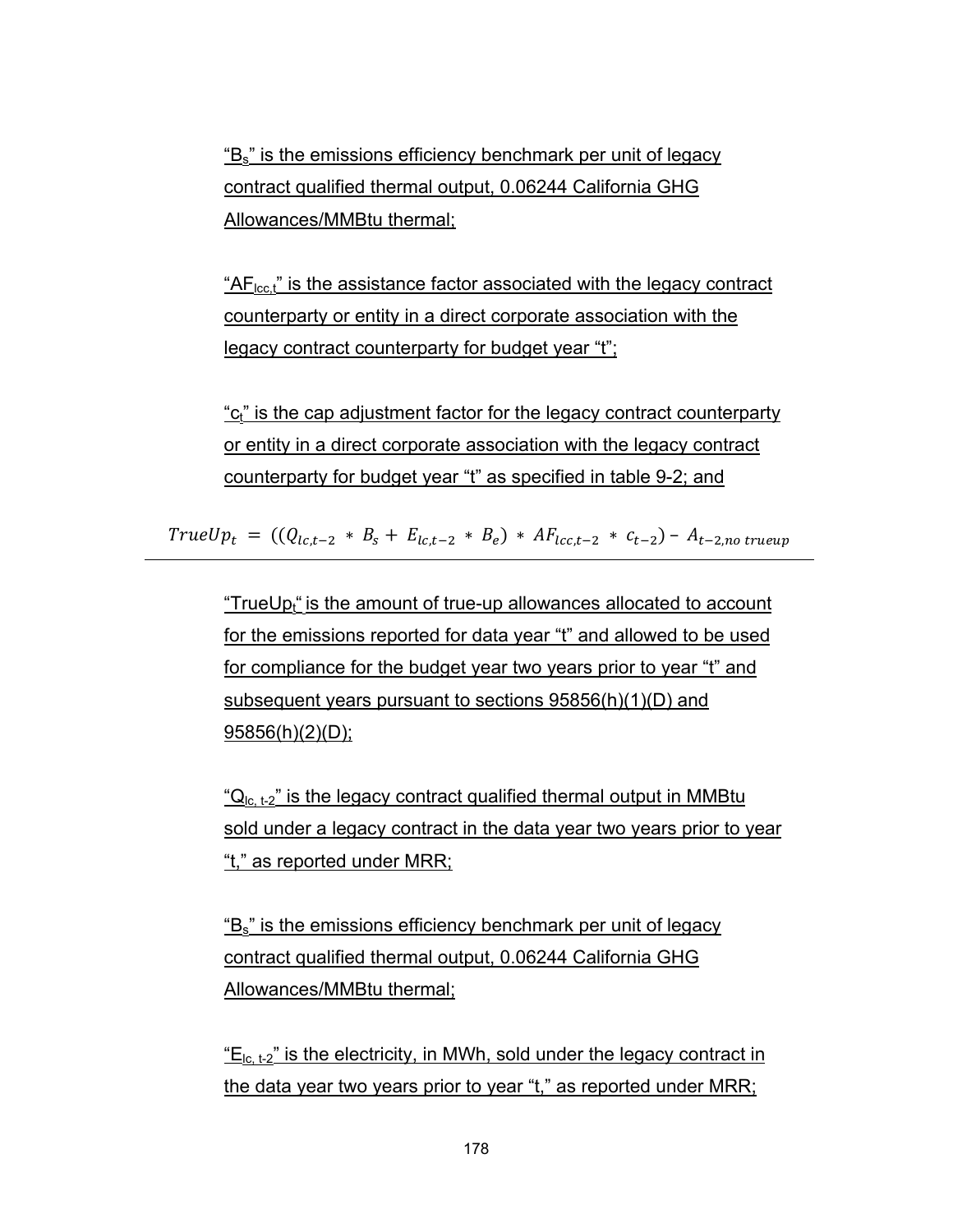"Bs" is the emissions efficiency benchmark per unit of legacy contract qualified thermal output, 0.06244 California GHG Allowances/MMBtu thermal;

 $H_{\text{loc}}$ , is the assistance factor associated with the legacy contract counterparty or entity in a direct corporate association with the legacy contract counterparty for budget year "t";

"c<sub>t</sub>" is the cap adjustment factor for the legacy contract counterparty or entity in a direct corporate association with the legacy contract counterparty for budget year "t" as specified in table 9-2; and

 $TrueUp_t = ((Q_{lct-2} * B_s + E_{lct-2} * B_e) * AF_{lct-2} * c_{t-2}) - A_{t-2,no\ true}$ 

"TrueU $p_t$ " is the amount of true-up allowances allocated to account for the emissions reported for data year "t" and allowed to be used for compliance for the budget year two years prior to year "t" and subsequent years pursuant to sections 95856(h)(1)(D) and  $95856(h)(2)(D)$ ;

"Q<sub>lc, t-2</sub>" is the legacy contract qualified thermal output in MMBtu sold under a legacy contract in the data year two years prior to year "t," as reported under MRR;

"B<sub>s</sub>" is the emissions efficiency benchmark per unit of legacy contract qualified thermal output, 0.06244 California GHG Allowances/MMBtu thermal;

 $E_{\text{lc. t-2}}$  is the electricity, in MWh, sold under the legacy contract in the data year two years prior to year "t," as reported under MRR;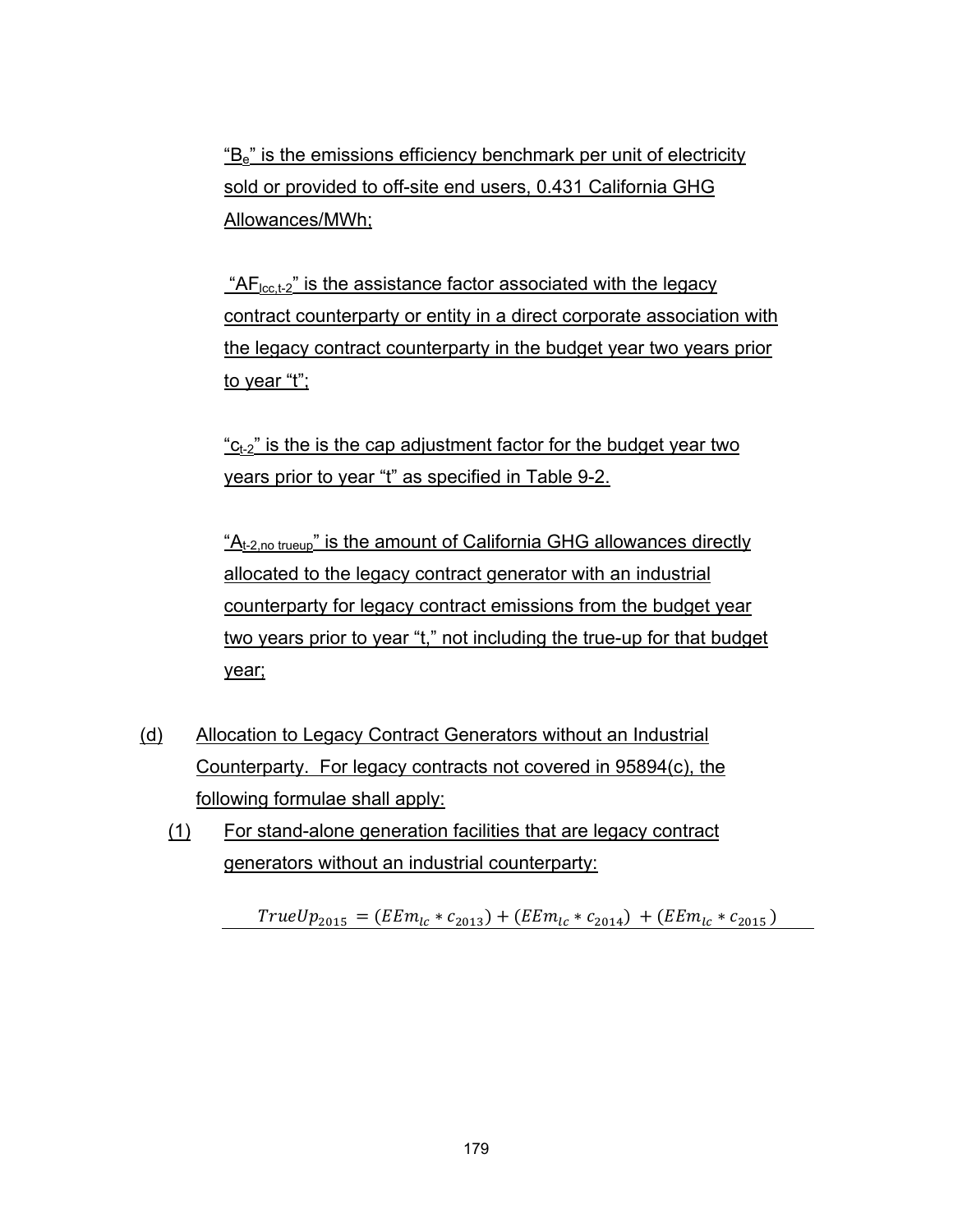"Be" is the emissions efficiency benchmark per unit of electricity sold or provided to off-site end users, 0.431 California GHG Allowances/MWh;

"AF<sub>lcc,t-2</sub>" is the assistance factor associated with the legacy contract counterparty or entity in a direct corporate association with the legacy contract counterparty in the budget year two years prior to year "t";

 $-c_{t-2}$ " is the is the cap adjustment factor for the budget year two years prior to year "t" as specified in Table 9-2.

 $A_{t-2,no\ true\omega}$ " is the amount of California GHG allowances directly allocated to the legacy contract generator with an industrial counterparty for legacy contract emissions from the budget year two years prior to year "t," not including the true-up for that budget year;

- (d) Allocation to Legacy Contract Generators without an Industrial Counterparty. For legacy contracts not covered in 95894(c), the following formulae shall apply:
	- (1) For stand-alone generation facilities that are legacy contract generators without an industrial counterparty:

 $TrueUp_{2015} = (EEm_{lc} * c_{2013}) + (EEm_{lc} * c_{2014}) + (EEm_{lc} * c_{2015})$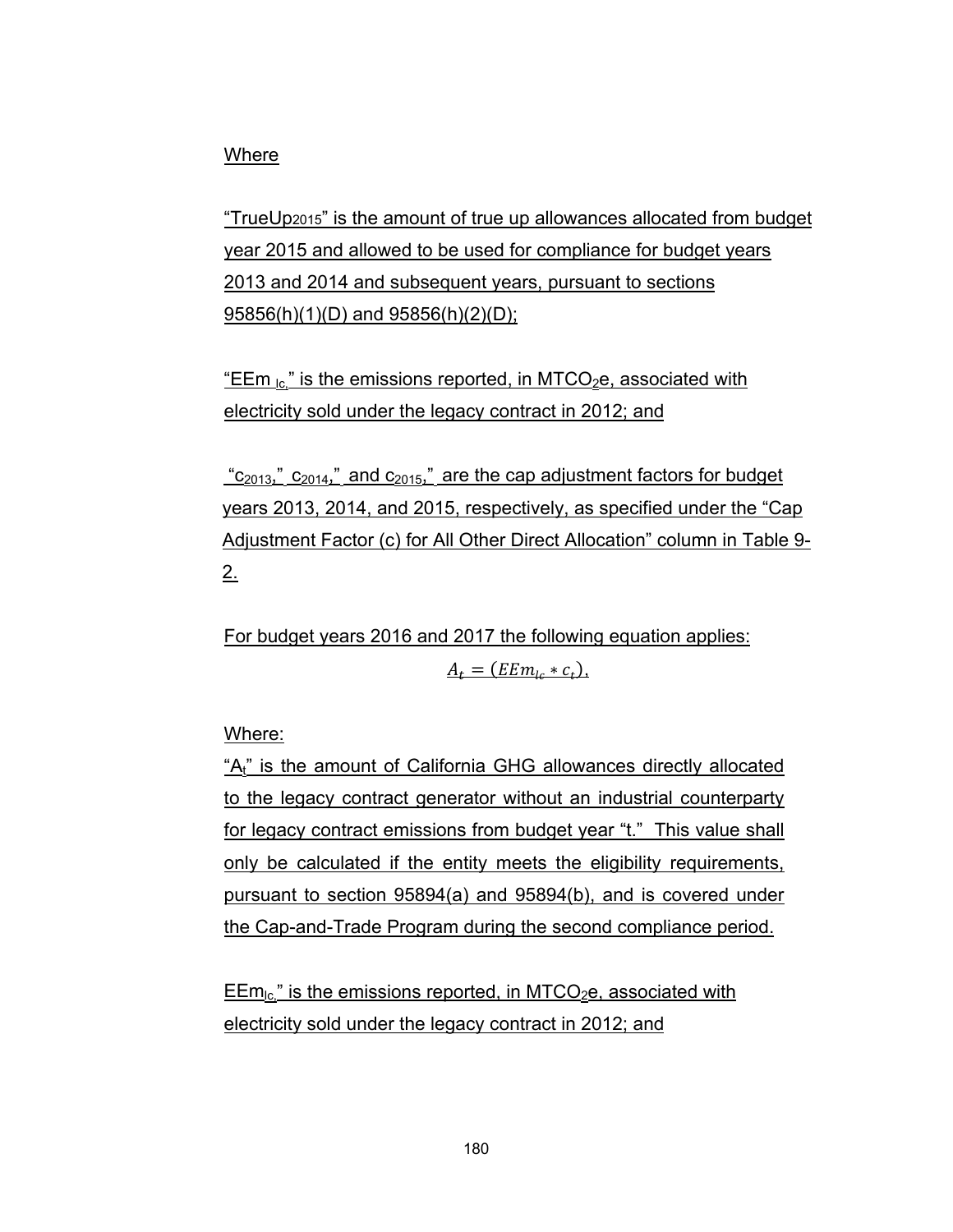## Where

"TrueUp2015" is the amount of true up allowances allocated from budget year 2015 and allowed to be used for compliance for budget years 2013 and 2014 and subsequent years, pursuant to sections 95856(h)(1)(D) and 95856(h)(2)(D);

"EEm  $_{1c}$ " is the emissions reported, in MTCO<sub>2</sub>e, associated with electricity sold under the legacy contract in 2012; and

 $"c_{2013}"$ ,  $c_{2014}"$  and  $c_{2015}"$  are the cap adjustment factors for budget years 2013, 2014, and 2015, respectively, as specified under the "Cap Adjustment Factor (c) for All Other Direct Allocation" column in Table 9-  $2.$ 

For budget years 2016 and 2017 the following equation applies:  $A_t = (EEm_{te} * c_t).$ 

Where:

"A<sub>t"</sub> is the amount of California GHG allowances directly allocated to the legacy contract generator without an industrial counterparty for legacy contract emissions from budget year "t." This value shall only be calculated if the entity meets the eligibility requirements, pursuant to section 95894(a) and 95894(b), and is covered under the Cap-and-Trade Program during the second compliance period.

 $EEm_{lc}$ " is the emissions reported, in MTCO<sub>2</sub>e, associated with electricity sold under the legacy contract in 2012; and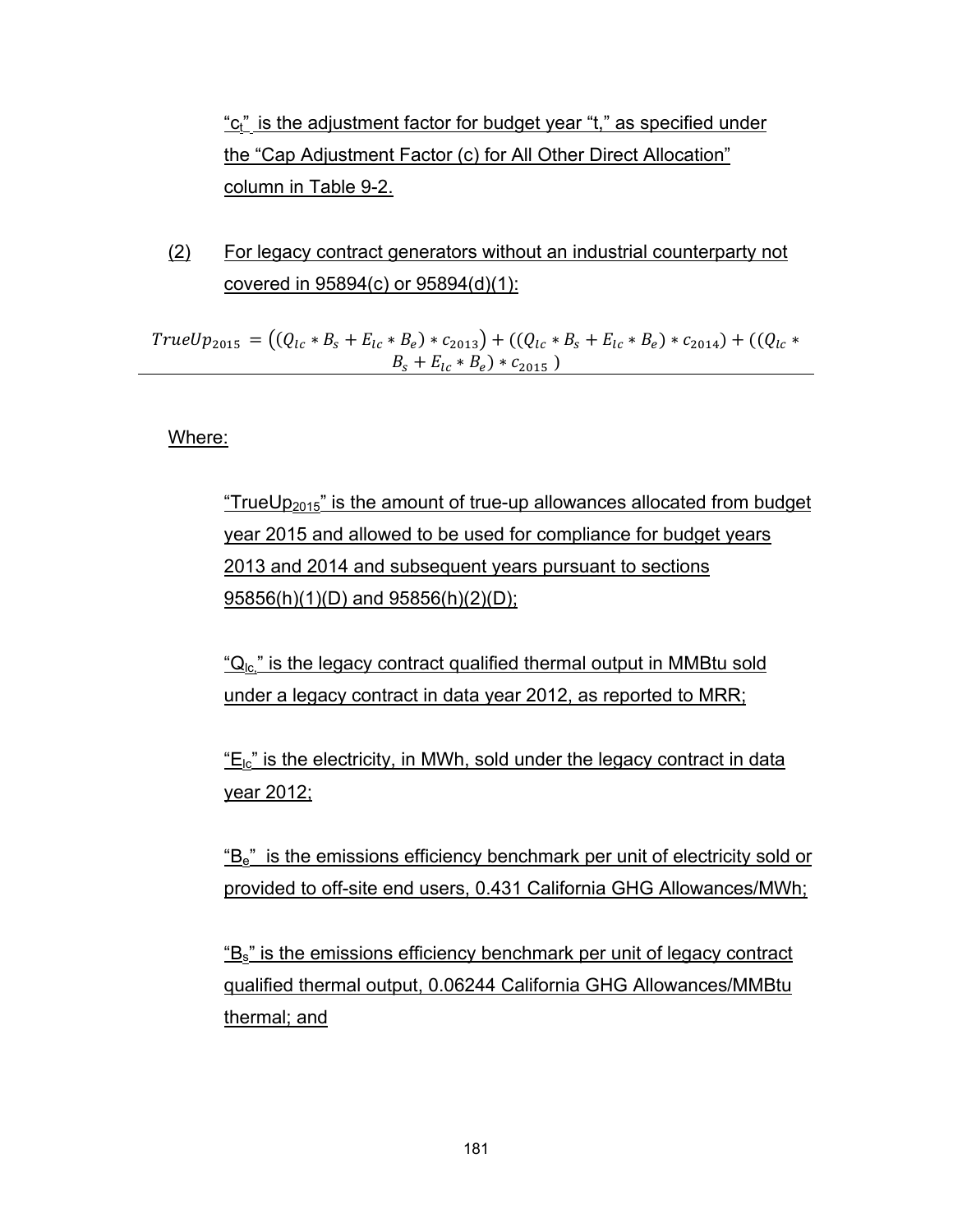"c<sub>t</sub>" is the adjustment factor for budget year "t," as specified under the "Cap Adjustment Factor (c) for All Other Direct Allocation" column in Table 9-2.

(2) For legacy contract generators without an industrial counterparty not covered in 95894(c) or 95894(d)(1):

 $TrueUp_{2015} = ((Q_{lc} * B_s + E_{lc} * B_e) * c_{2013}) + ((Q_{lc} * B_s + E_{lc} * B_e) * c_{2014}) + ((Q_{lc} * B_s + E_{lc} * B_e) * c_{2014})$  $B_s + E_{lc} * B_e) * c_{2015}$ 

Where:

"TrueUp<sub>2015</sub>" is the amount of true-up allowances allocated from budget year 2015 and allowed to be used for compliance for budget years 2013 and 2014 and subsequent years pursuant to sections 95856(h)(1)(D) and 95856(h)(2)(D);

" $Q<sub>1c</sub>$ " is the legacy contract qualified thermal output in MMBtu sold under a legacy contract in data year 2012, as reported to MRR;

 $E_{lc}$ " is the electricity, in MWh, sold under the legacy contract in data year 2012;

 $B_e$ " is the emissions efficiency benchmark per unit of electricity sold or provided to off-site end users, 0.431 California GHG Allowances/MWh;

"Bs" is the emissions efficiency benchmark per unit of legacy contract qualified thermal output, 0.06244 California GHG Allowances/MMBtu thermal; and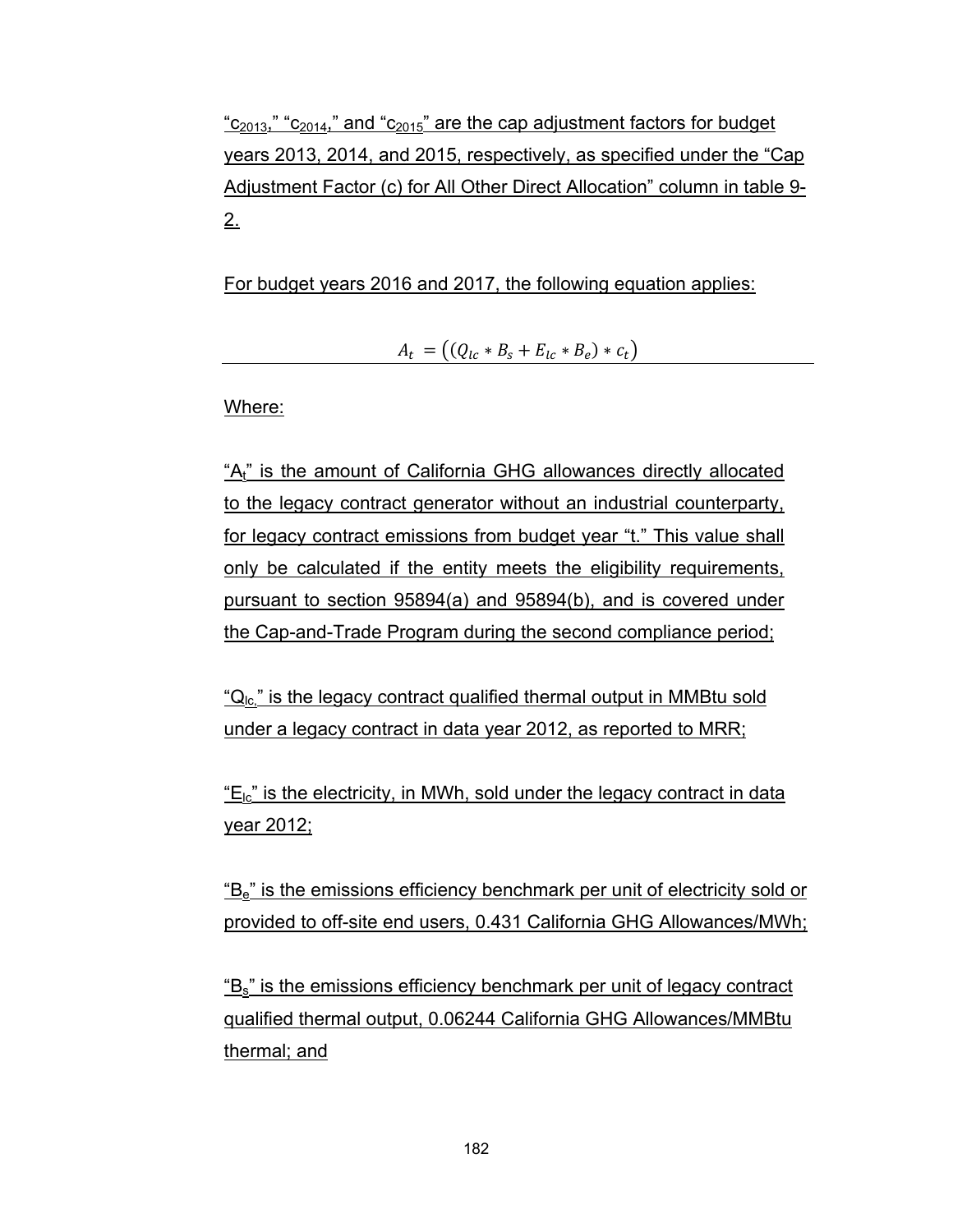$C_{2013}$ ," " $C_{2014}$ ," and " $C_{2015}$ " are the cap adjustment factors for budget years 2013, 2014, and 2015, respectively, as specified under the "Cap Adjustment Factor (c) for All Other Direct Allocation" column in table 9- 2.

For budget years 2016 and 2017, the following equation applies:

 $A_t = ((Q_{lc} * B_s + E_{lc} * B_e) * c_t)$ 

Where:

"A<sub>t</sub>" is the amount of California GHG allowances directly allocated to the legacy contract generator without an industrial counterparty, for legacy contract emissions from budget year "t." This value shall only be calculated if the entity meets the eligibility requirements, pursuant to section 95894(a) and 95894(b), and is covered under the Cap-and-Trade Program during the second compliance period;

" $Q_{lc}$ " is the legacy contract qualified thermal output in MMBtu sold under a legacy contract in data year 2012, as reported to MRR;

 $E_{lc}$ " is the electricity, in MWh, sold under the legacy contract in data year 2012;

"Be" is the emissions efficiency benchmark per unit of electricity sold or provided to off-site end users, 0.431 California GHG Allowances/MWh;

"Bs" is the emissions efficiency benchmark per unit of legacy contract qualified thermal output, 0.06244 California GHG Allowances/MMBtu thermal; and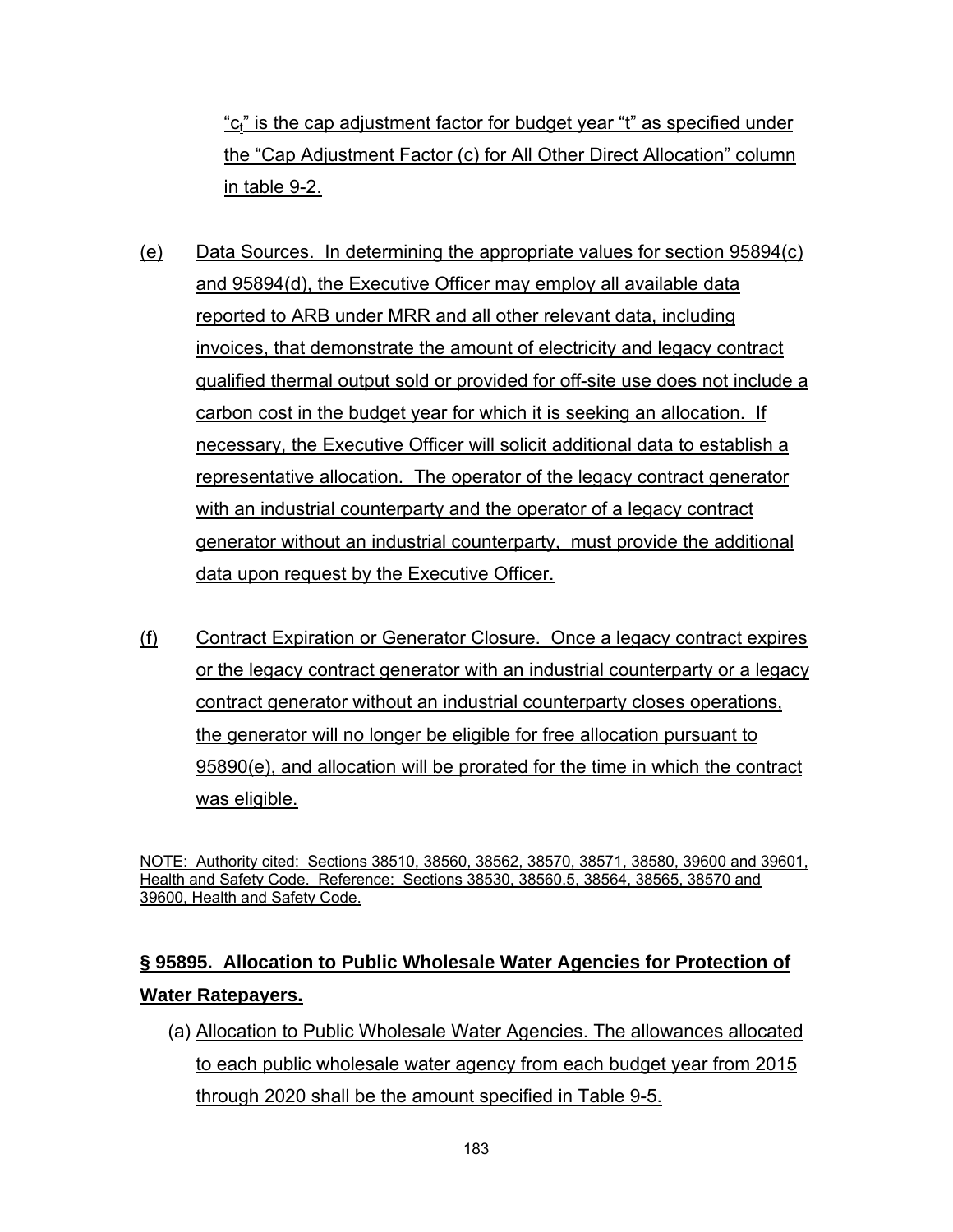"c<sub>t</sub>" is the cap adjustment factor for budget year "t" as specified under the "Cap Adjustment Factor (c) for All Other Direct Allocation" column in table 9-2.

- (e) Data Sources. In determining the appropriate values for section 95894(c) and 95894(d), the Executive Officer may employ all available data reported to ARB under MRR and all other relevant data, including invoices, that demonstrate the amount of electricity and legacy contract qualified thermal output sold or provided for off-site use does not include a carbon cost in the budget year for which it is seeking an allocation. If necessary, the Executive Officer will solicit additional data to establish a representative allocation. The operator of the legacy contract generator with an industrial counterparty and the operator of a legacy contract generator without an industrial counterparty, must provide the additional data upon request by the Executive Officer.
- (f) Contract Expiration or Generator Closure. Once a legacy contract expires or the legacy contract generator with an industrial counterparty or a legacy contract generator without an industrial counterparty closes operations, the generator will no longer be eligible for free allocation pursuant to 95890(e), and allocation will be prorated for the time in which the contract was eligible.

NOTE: Authority cited: Sections 38510, 38560, 38562, 38570, 38571, 38580, 39600 and 39601, Health and Safety Code. Reference: Sections 38530, 38560.5, 38564, 38565, 38570 and 39600, Health and Safety Code.

# **§ 95895. Allocation to Public Wholesale Water Agencies for Protection of Water Ratepayers.**

(a) Allocation to Public Wholesale Water Agencies. The allowances allocated to each public wholesale water agency from each budget year from 2015 through 2020 shall be the amount specified in Table 9-5.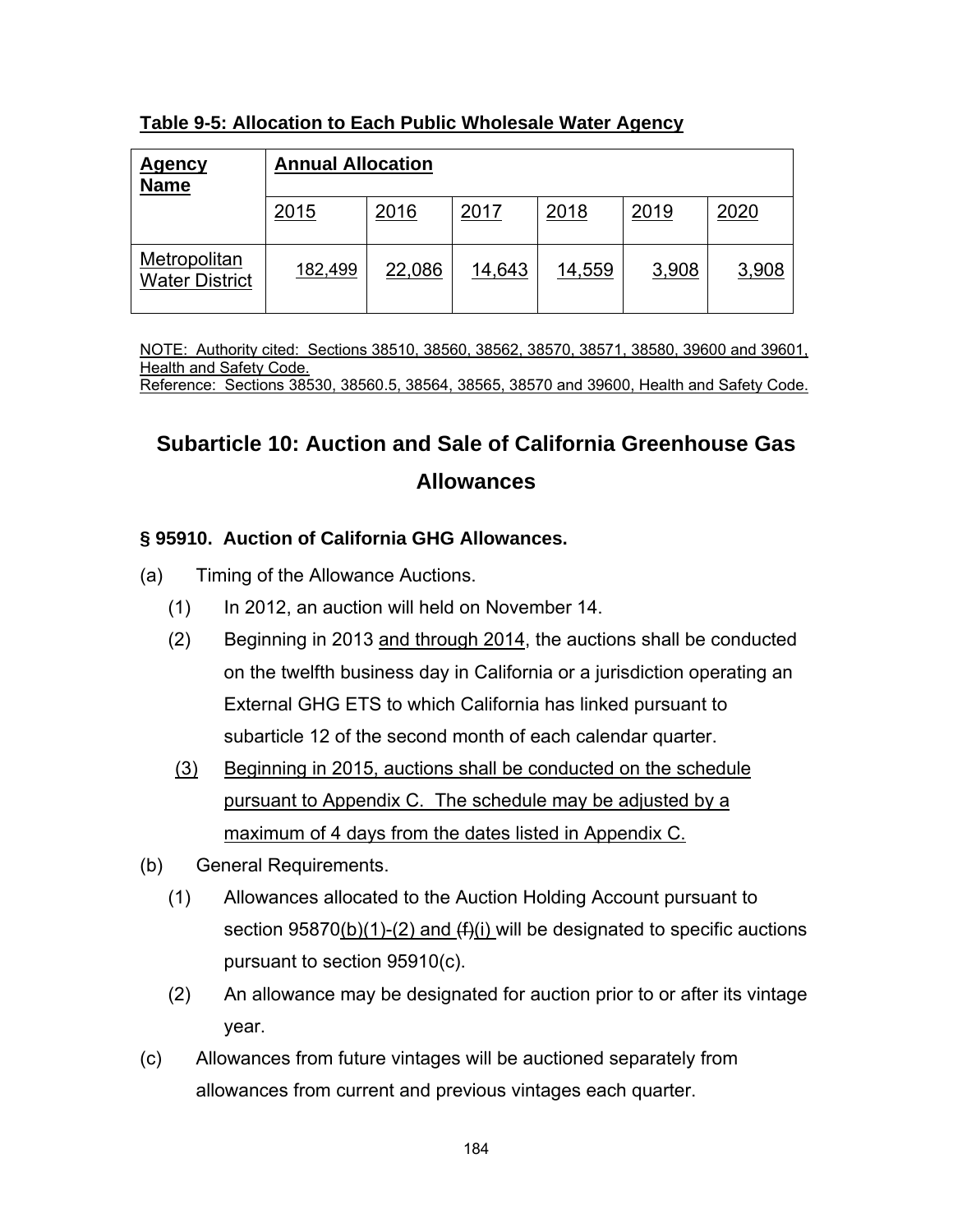| <u>Agency</u><br><b>Name</b>          | <b>Annual Allocation</b> |        |        |        |       |       |
|---------------------------------------|--------------------------|--------|--------|--------|-------|-------|
|                                       | 2015                     | 2016   | 2017   | 2018   | 2019  | 2020  |
| Metropolitan<br><b>Water District</b> | 182,499                  | 22,086 | 14,643 | 14,559 | 3,908 | 3,908 |

#### **Table 9-5: Allocation to Each Public Wholesale Water Agency**

NOTE: Authority cited: Sections 38510, 38560, 38562, 38570, 38571, 38580, 39600 and 39601, Health and Safety Code. Reference: Sections 38530, 38560.5, 38564, 38565, 38570 and 39600, Health and Safety Code.

# **Subarticle 10: Auction and Sale of California Greenhouse Gas Allowances**

## **§ 95910. Auction of California GHG Allowances.**

- (a) Timing of the Allowance Auctions.
	- (1) In 2012, an auction will held on November 14.
	- (2) Beginning in 2013 and through 2014, the auctions shall be conducted on the twelfth business day in California or a jurisdiction operating an External GHG ETS to which California has linked pursuant to subarticle 12 of the second month of each calendar quarter.
	- (3) Beginning in 2015, auctions shall be conducted on the schedule pursuant to Appendix C. The schedule may be adjusted by a maximum of 4 days from the dates listed in Appendix C.
- (b) General Requirements.
	- (1) Allowances allocated to the Auction Holding Account pursuant to section  $95870(b)(1)-(2)$  and  $(f)(i)$  will be designated to specific auctions pursuant to section 95910(c).
	- (2) An allowance may be designated for auction prior to or after its vintage year.
- (c) Allowances from future vintages will be auctioned separately from allowances from current and previous vintages each quarter.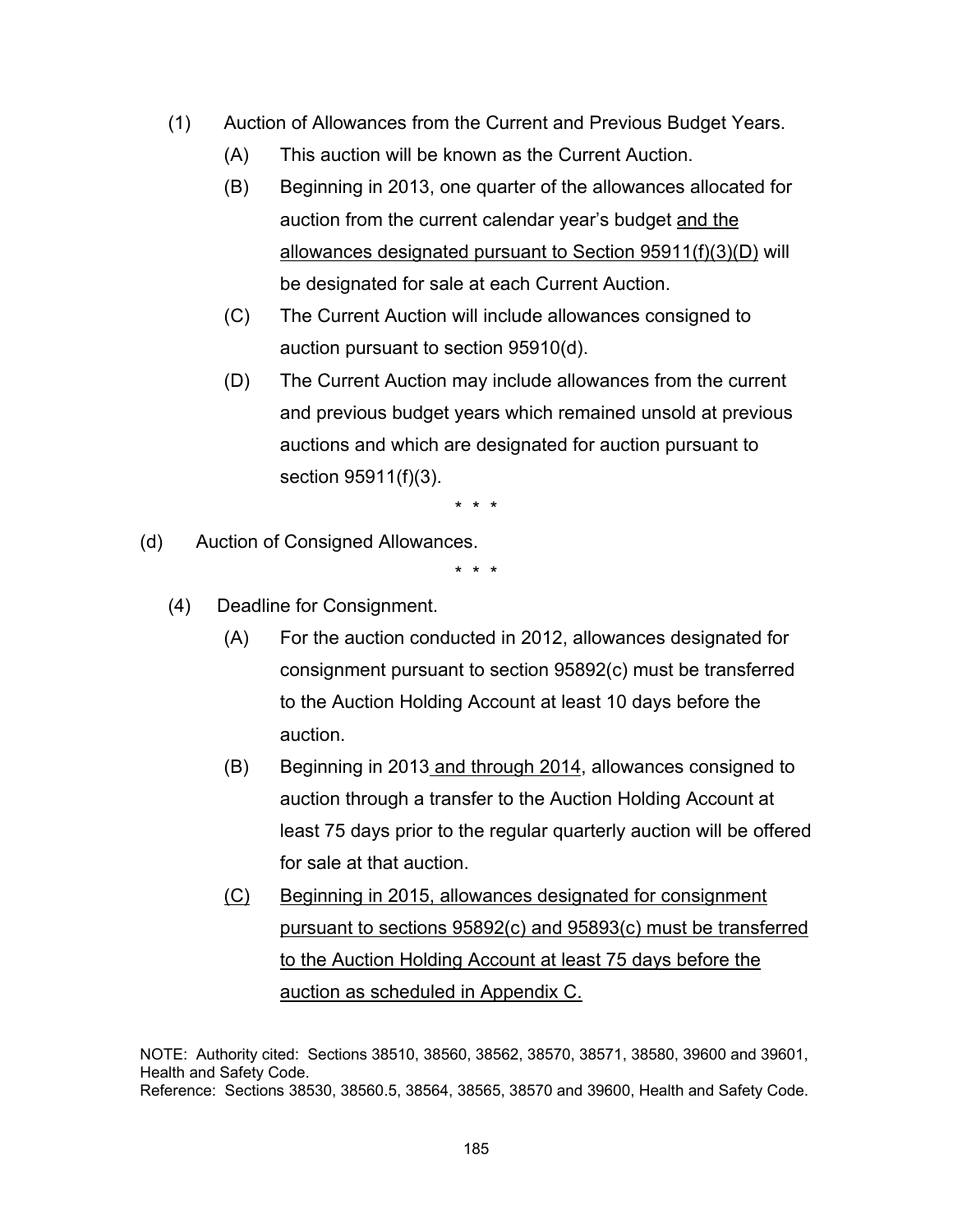- (1) Auction of Allowances from the Current and Previous Budget Years.
	- (A) This auction will be known as the Current Auction.
	- (B) Beginning in 2013, one quarter of the allowances allocated for auction from the current calendar year's budget and the allowances designated pursuant to Section 95911(f)(3)(D) will be designated for sale at each Current Auction.
	- (C) The Current Auction will include allowances consigned to auction pursuant to section 95910(d).
	- (D) The Current Auction may include allowances from the current and previous budget years which remained unsold at previous auctions and which are designated for auction pursuant to section 95911(f)(3).

\* \* \*

(d) Auction of Consigned Allowances.

\* \* \*

- (4) Deadline for Consignment.
	- (A) For the auction conducted in 2012, allowances designated for consignment pursuant to section 95892(c) must be transferred to the Auction Holding Account at least 10 days before the auction.
	- (B) Beginning in 2013 and through 2014, allowances consigned to auction through a transfer to the Auction Holding Account at least 75 days prior to the regular quarterly auction will be offered for sale at that auction.
	- (C) Beginning in 2015, allowances designated for consignment pursuant to sections 95892(c) and 95893(c) must be transferred to the Auction Holding Account at least 75 days before the auction as scheduled in Appendix C.

NOTE: Authority cited: Sections 38510, 38560, 38562, 38570, 38571, 38580, 39600 and 39601, Health and Safety Code. Reference: Sections 38530, 38560.5, 38564, 38565, 38570 and 39600, Health and Safety Code.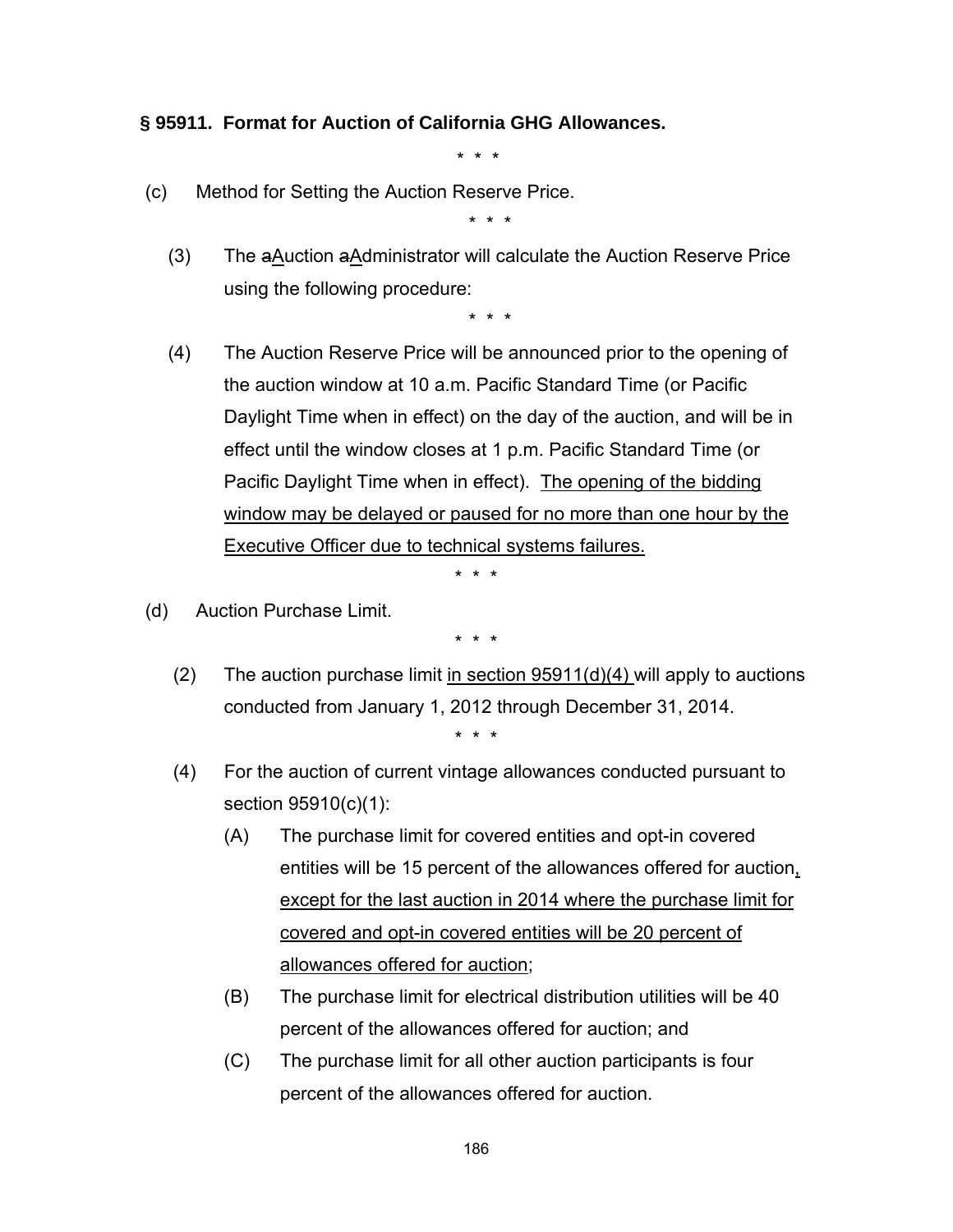### **§ 95911. Format for Auction of California GHG Allowances.**

\* \* \*

(c) Method for Setting the Auction Reserve Price.

\* \* \*

(3) The aAuction aAdministrator will calculate the Auction Reserve Price using the following procedure:

\* \* \*

(4) The Auction Reserve Price will be announced prior to the opening of the auction window at 10 a.m. Pacific Standard Time (or Pacific Daylight Time when in effect) on the day of the auction, and will be in effect until the window closes at 1 p.m. Pacific Standard Time (or Pacific Daylight Time when in effect). The opening of the bidding window may be delayed or paused for no more than one hour by the Executive Officer due to technical systems failures.

\* \* \*

(d) Auction Purchase Limit.

- (2) The auction purchase limit in section  $95911(d)(4)$  will apply to auctions conducted from January 1, 2012 through December 31, 2014. \* \* \*
- (4) For the auction of current vintage allowances conducted pursuant to section 95910(c)(1):
	- (A) The purchase limit for covered entities and opt-in covered entities will be 15 percent of the allowances offered for auction, except for the last auction in 2014 where the purchase limit for covered and opt-in covered entities will be 20 percent of allowances offered for auction;
	- (B) The purchase limit for electrical distribution utilities will be 40 percent of the allowances offered for auction; and
	- (C) The purchase limit for all other auction participants is four percent of the allowances offered for auction.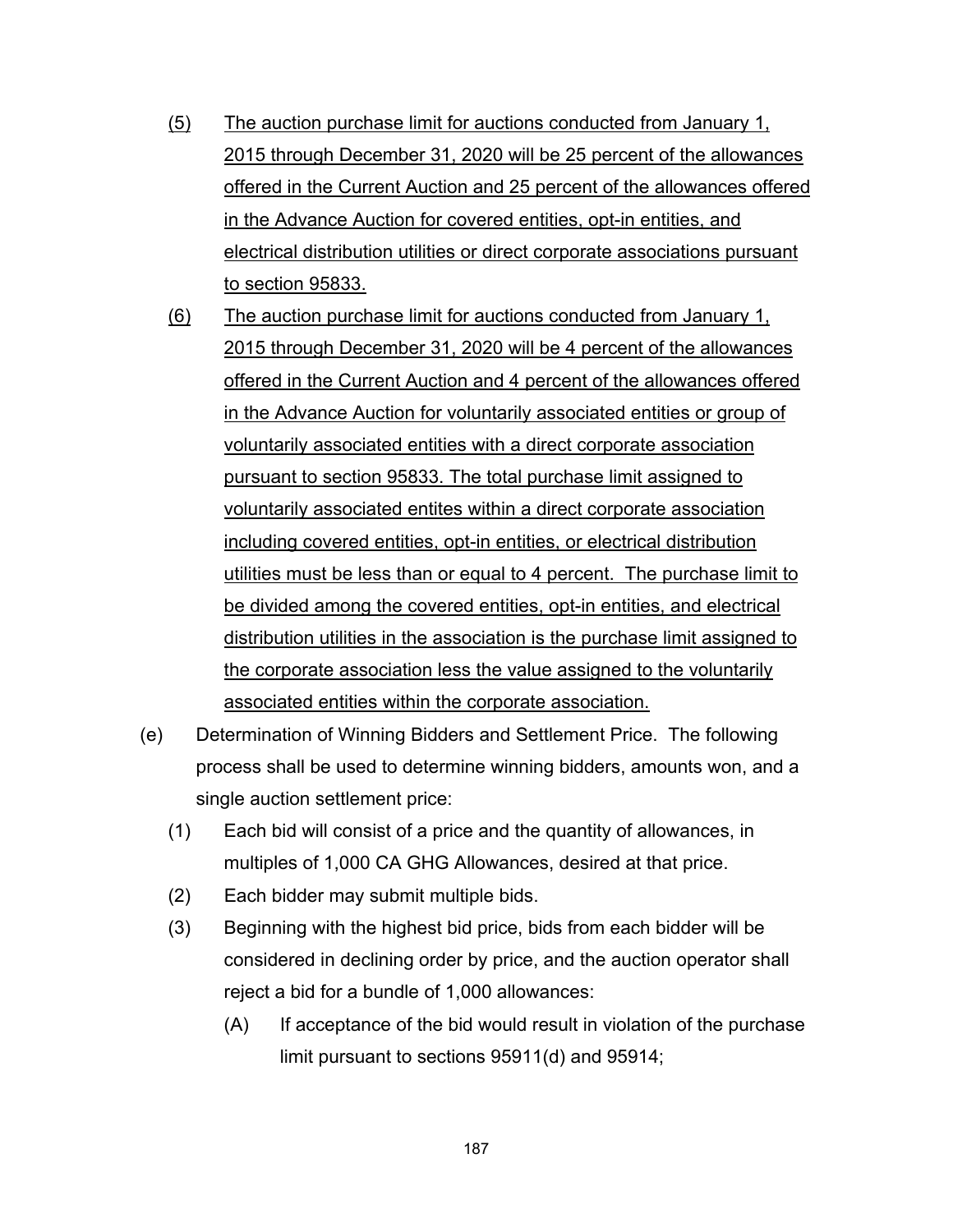- (5) The auction purchase limit for auctions conducted from January 1, 2015 through December 31, 2020 will be 25 percent of the allowances offered in the Current Auction and 25 percent of the allowances offered in the Advance Auction for covered entities, opt-in entities, and electrical distribution utilities or direct corporate associations pursuant to section 95833.
- (6) The auction purchase limit for auctions conducted from January 1, 2015 through December 31, 2020 will be 4 percent of the allowances offered in the Current Auction and 4 percent of the allowances offered in the Advance Auction for voluntarily associated entities or group of voluntarily associated entities with a direct corporate association pursuant to section 95833. The total purchase limit assigned to voluntarily associated entites within a direct corporate association including covered entities, opt-in entities, or electrical distribution utilities must be less than or equal to 4 percent. The purchase limit to be divided among the covered entities, opt-in entities, and electrical distribution utilities in the association is the purchase limit assigned to the corporate association less the value assigned to the voluntarily associated entities within the corporate association.
- (e) Determination of Winning Bidders and Settlement Price. The following process shall be used to determine winning bidders, amounts won, and a single auction settlement price:
	- (1) Each bid will consist of a price and the quantity of allowances, in multiples of 1,000 CA GHG Allowances, desired at that price.
	- (2) Each bidder may submit multiple bids.
	- (3) Beginning with the highest bid price, bids from each bidder will be considered in declining order by price, and the auction operator shall reject a bid for a bundle of 1,000 allowances:
		- (A) If acceptance of the bid would result in violation of the purchase limit pursuant to sections 95911(d) and 95914;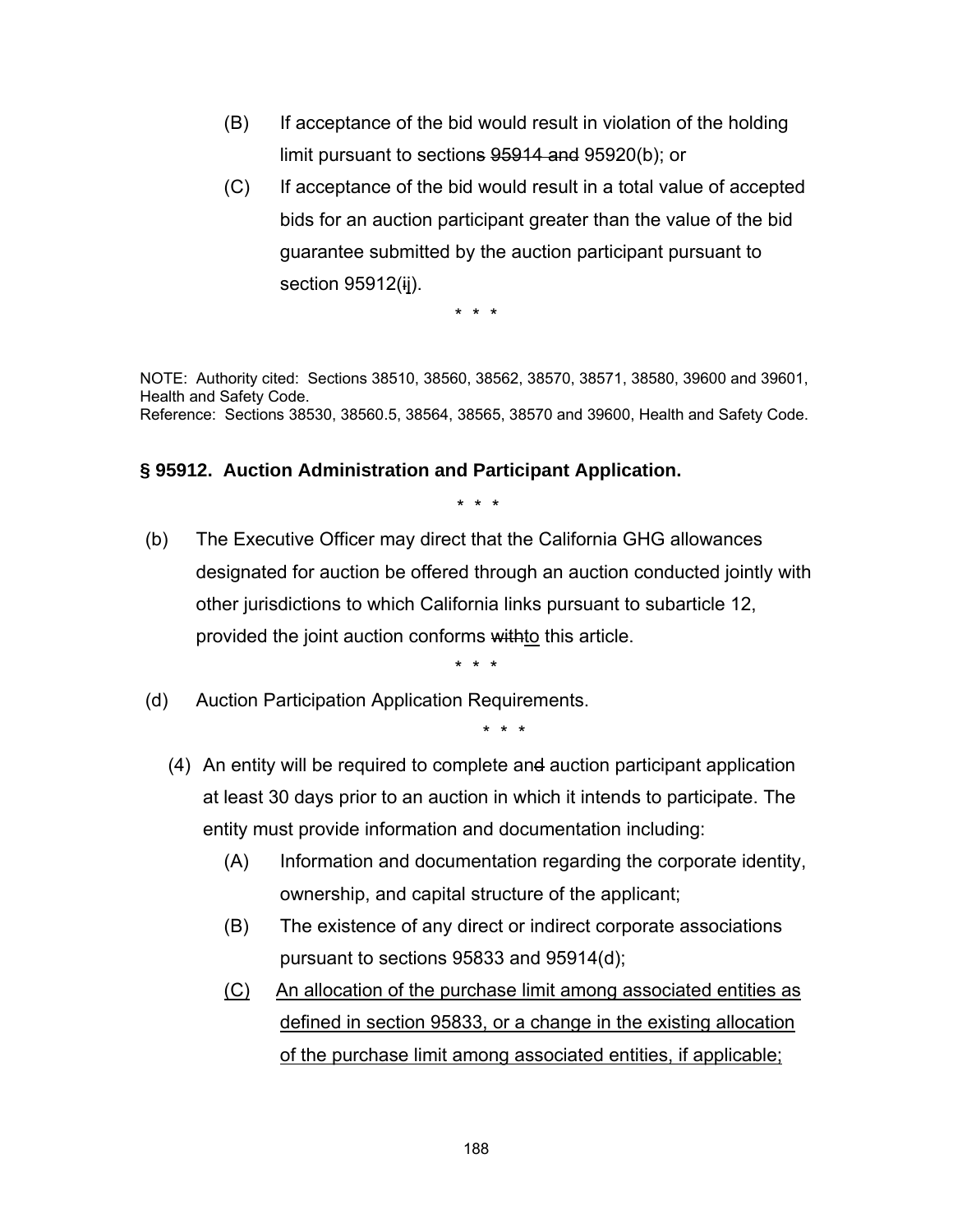- (B) If acceptance of the bid would result in violation of the holding limit pursuant to sections 95914 and 95920(b); or
- (C) If acceptance of the bid would result in a total value of accepted bids for an auction participant greater than the value of the bid guarantee submitted by the auction participant pursuant to section 95912(ij).

\* \* \*

NOTE: Authority cited: Sections 38510, 38560, 38562, 38570, 38571, 38580, 39600 and 39601, Health and Safety Code. Reference: Sections 38530, 38560.5, 38564, 38565, 38570 and 39600, Health and Safety Code.

#### **§ 95912. Auction Administration and Participant Application.**

\* \* \*

 (b) The Executive Officer may direct that the California GHG allowances designated for auction be offered through an auction conducted jointly with other jurisdictions to which California links pursuant to subarticle 12, provided the joint auction conforms withto this article.

\* \* \*

(d) Auction Participation Application Requirements.

- (4) An entity will be required to complete and auction participant application at least 30 days prior to an auction in which it intends to participate. The entity must provide information and documentation including:
	- (A) Information and documentation regarding the corporate identity, ownership, and capital structure of the applicant;
	- (B) The existence of any direct or indirect corporate associations pursuant to sections 95833 and 95914(d);
	- (C) An allocation of the purchase limit among associated entities as defined in section 95833, or a change in the existing allocation of the purchase limit among associated entities, if applicable;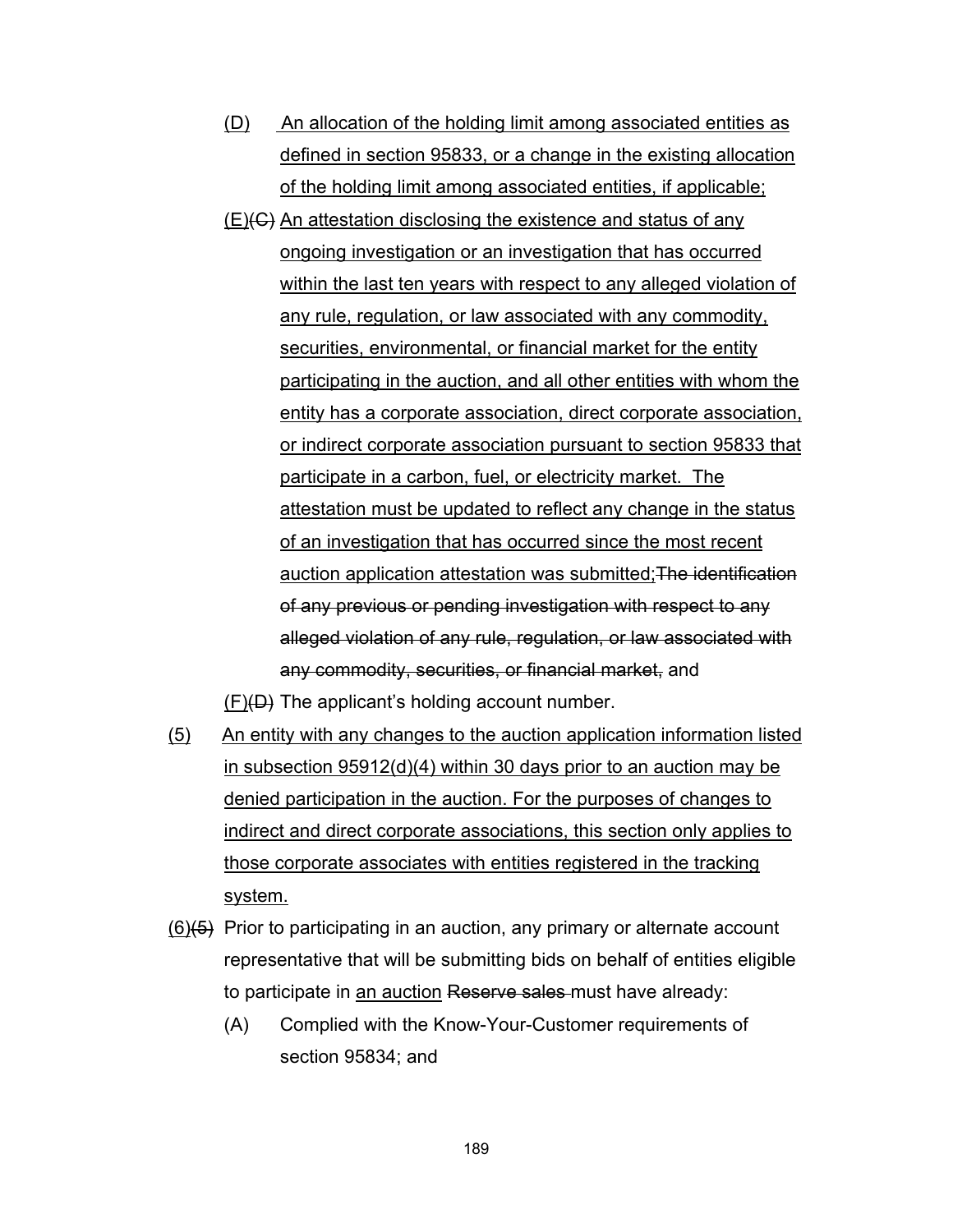- (D) An allocation of the holding limit among associated entities as defined in section 95833, or a change in the existing allocation of the holding limit among associated entities, if applicable;
- $(E)(G)$  An attestation disclosing the existence and status of any ongoing investigation or an investigation that has occurred within the last ten years with respect to any alleged violation of any rule, regulation, or law associated with any commodity, securities, environmental, or financial market for the entity participating in the auction, and all other entities with whom the entity has a corporate association, direct corporate association, or indirect corporate association pursuant to section 95833 that participate in a carbon, fuel, or electricity market. The attestation must be updated to reflect any change in the status of an investigation that has occurred since the most recent auction application attestation was submitted;The identification of any previous or pending investigation with respect to any alleged violation of any rule, regulation, or law associated with any commodity, securities, or financial market, and
- $(F)(D)$  The applicant's holding account number.
- (5) An entity with any changes to the auction application information listed in subsection 95912(d)(4) within 30 days prior to an auction may be denied participation in the auction. For the purposes of changes to indirect and direct corporate associations, this section only applies to those corporate associates with entities registered in the tracking system.
- $(6)$ (5) Prior to participating in an auction, any primary or alternate account representative that will be submitting bids on behalf of entities eligible to participate in an auction Reserve sales must have already:
	- (A) Complied with the Know-Your-Customer requirements of section 95834; and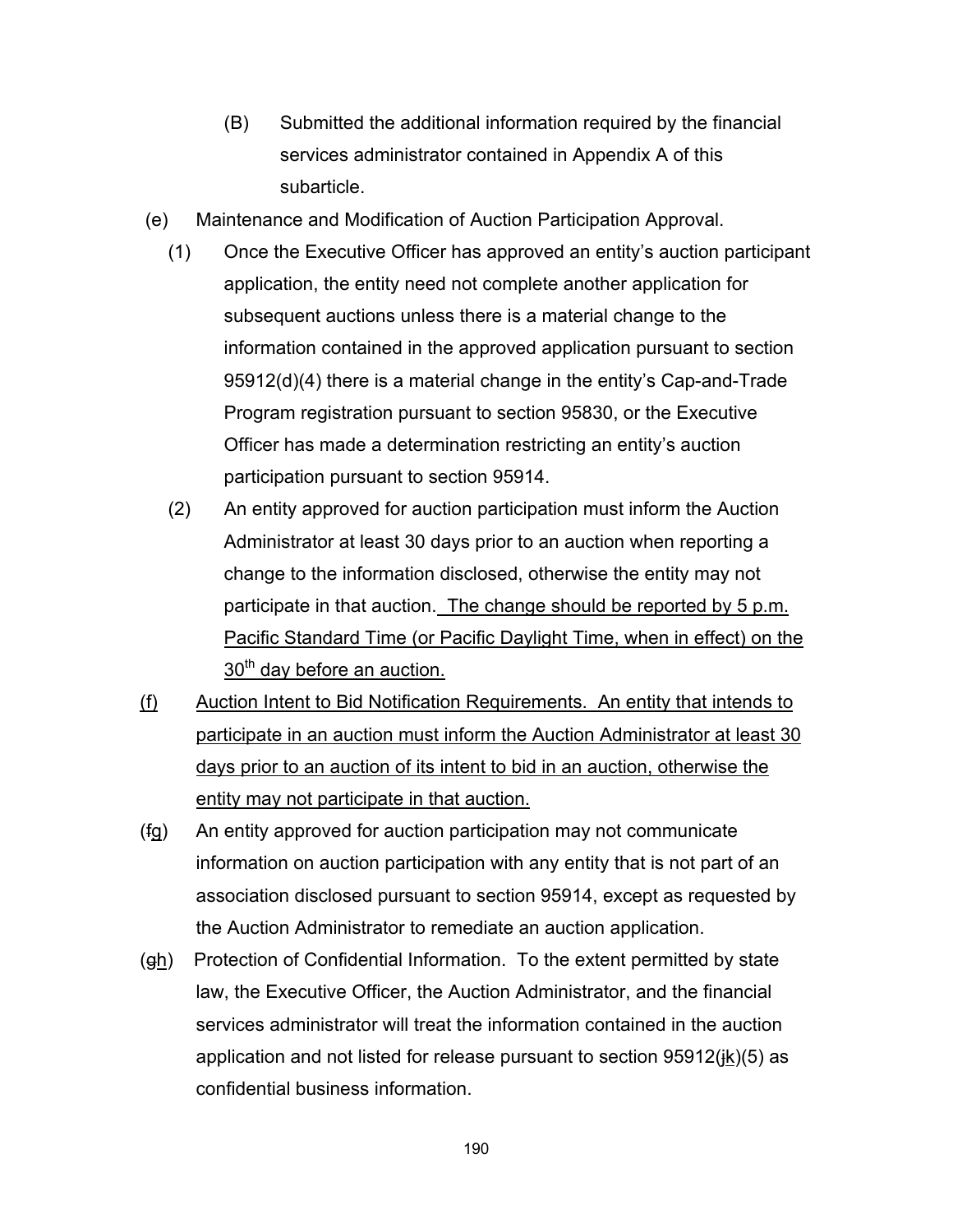- (B) Submitted the additional information required by the financial services administrator contained in Appendix A of this subarticle.
- (e) Maintenance and Modification of Auction Participation Approval.
	- (1) Once the Executive Officer has approved an entity's auction participant application, the entity need not complete another application for subsequent auctions unless there is a material change to the information contained in the approved application pursuant to section 95912(d)(4) there is a material change in the entity's Cap-and-Trade Program registration pursuant to section 95830, or the Executive Officer has made a determination restricting an entity's auction participation pursuant to section 95914.
	- (2) An entity approved for auction participation must inform the Auction Administrator at least 30 days prior to an auction when reporting a change to the information disclosed, otherwise the entity may not participate in that auction. The change should be reported by 5 p.m. Pacific Standard Time (or Pacific Daylight Time, when in effect) on the  $30<sup>th</sup>$  day before an auction.
- (f) Auction Intent to Bid Notification Requirements. An entity that intends to participate in an auction must inform the Auction Administrator at least 30 days prior to an auction of its intent to bid in an auction, otherwise the entity may not participate in that auction.
- (fg) An entity approved for auction participation may not communicate information on auction participation with any entity that is not part of an association disclosed pursuant to section 95914, except as requested by the Auction Administrator to remediate an auction application.
- (gh) Protection of Confidential Information. To the extent permitted by state law, the Executive Officer, the Auction Administrator, and the financial services administrator will treat the information contained in the auction application and not listed for release pursuant to section  $95912(\frac{ik}{6})$  as confidential business information.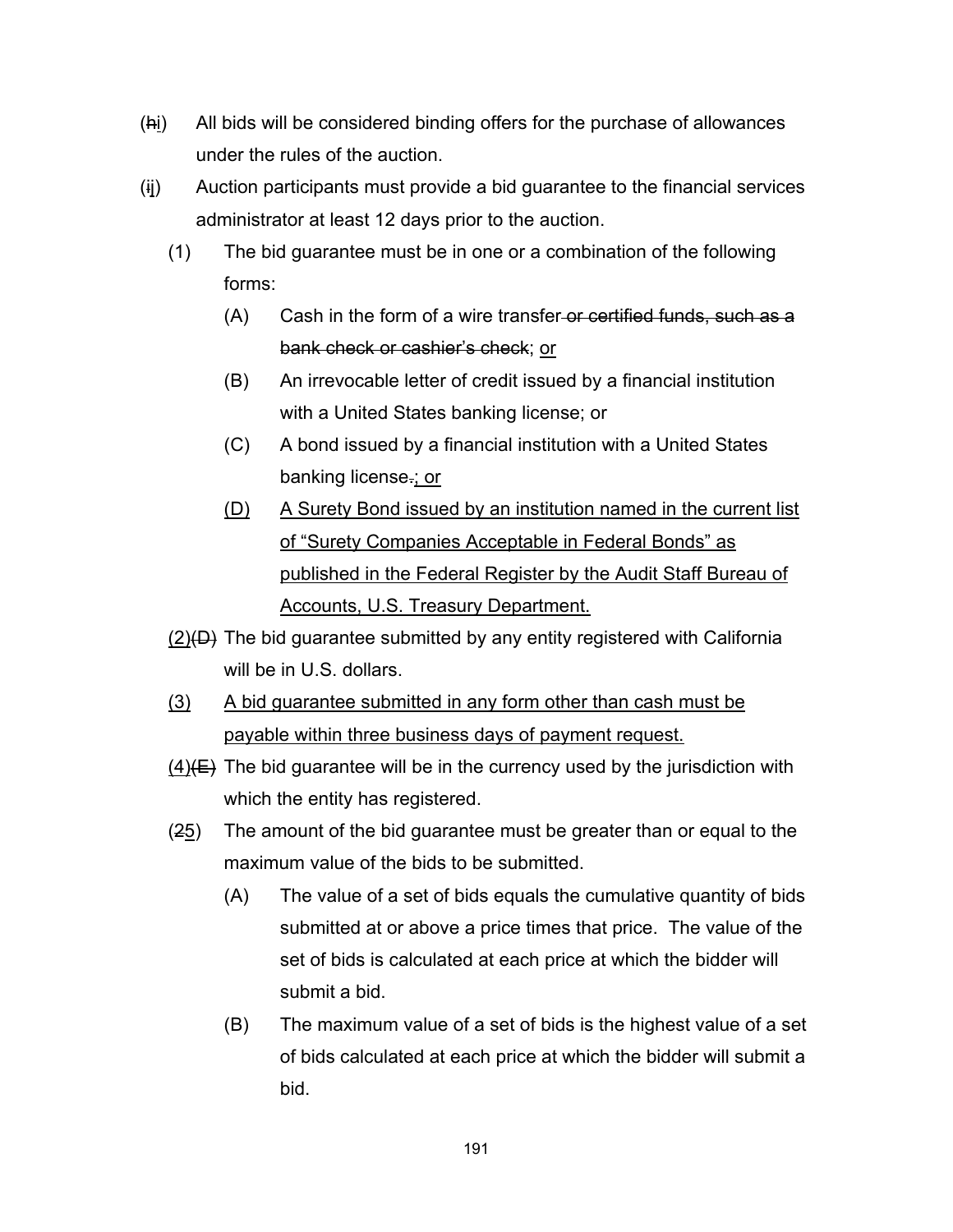- (hi) All bids will be considered binding offers for the purchase of allowances under the rules of the auction.
- (ij) Auction participants must provide a bid guarantee to the financial services administrator at least 12 days prior to the auction.
	- (1) The bid guarantee must be in one or a combination of the following forms:
		- (A) Cash in the form of a wire transfer-or certified funds, such as a bank check or cashier's check; or
		- (B) An irrevocable letter of credit issued by a financial institution with a United States banking license; or
		- (C) A bond issued by a financial institution with a United States banking license.; or
		- (D) A Surety Bond issued by an institution named in the current list of "Surety Companies Acceptable in Federal Bonds" as published in the Federal Register by the Audit Staff Bureau of Accounts, U.S. Treasury Department.
	- $(2)(D)$  The bid guarantee submitted by any entity registered with California will be in U.S. dollars.
	- (3) A bid guarantee submitted in any form other than cash must be payable within three business days of payment request.
	- $(4)(E)$  The bid guarantee will be in the currency used by the jurisdiction with which the entity has registered.
	- (25) The amount of the bid guarantee must be greater than or equal to the maximum value of the bids to be submitted.
		- (A) The value of a set of bids equals the cumulative quantity of bids submitted at or above a price times that price. The value of the set of bids is calculated at each price at which the bidder will submit a bid.
		- (B) The maximum value of a set of bids is the highest value of a set of bids calculated at each price at which the bidder will submit a bid.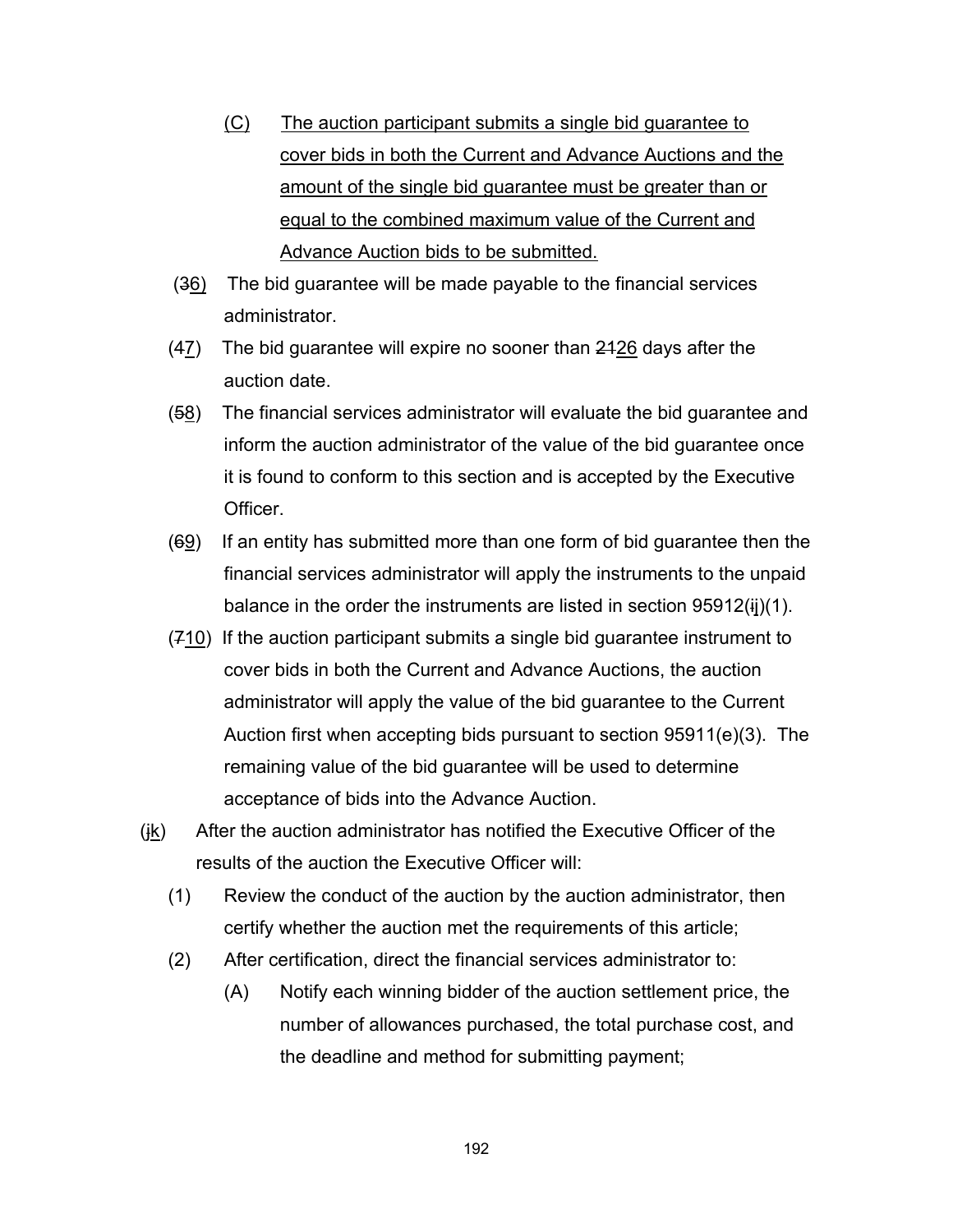- (C) The auction participant submits a single bid guarantee to cover bids in both the Current and Advance Auctions and the amount of the single bid guarantee must be greater than or equal to the combined maximum value of the Current and Advance Auction bids to be submitted.
- (36) The bid guarantee will be made payable to the financial services administrator.
- $(47)$  The bid guarantee will expire no sooner than  $2426$  days after the auction date.
- $(58)$  The financial services administrator will evaluate the bid guarantee and inform the auction administrator of the value of the bid guarantee once it is found to conform to this section and is accepted by the Executive Officer.
- (69) If an entity has submitted more than one form of bid guarantee then the financial services administrator will apply the instruments to the unpaid balance in the order the instruments are listed in section  $95912(ij)(1)$ .
- (710) If the auction participant submits a single bid guarantee instrument to cover bids in both the Current and Advance Auctions, the auction administrator will apply the value of the bid guarantee to the Current Auction first when accepting bids pursuant to section 95911(e)(3). The remaining value of the bid guarantee will be used to determine acceptance of bids into the Advance Auction.
- (jk) After the auction administrator has notified the Executive Officer of the results of the auction the Executive Officer will:
	- (1) Review the conduct of the auction by the auction administrator, then certify whether the auction met the requirements of this article;
	- (2) After certification, direct the financial services administrator to:
		- (A) Notify each winning bidder of the auction settlement price, the number of allowances purchased, the total purchase cost, and the deadline and method for submitting payment;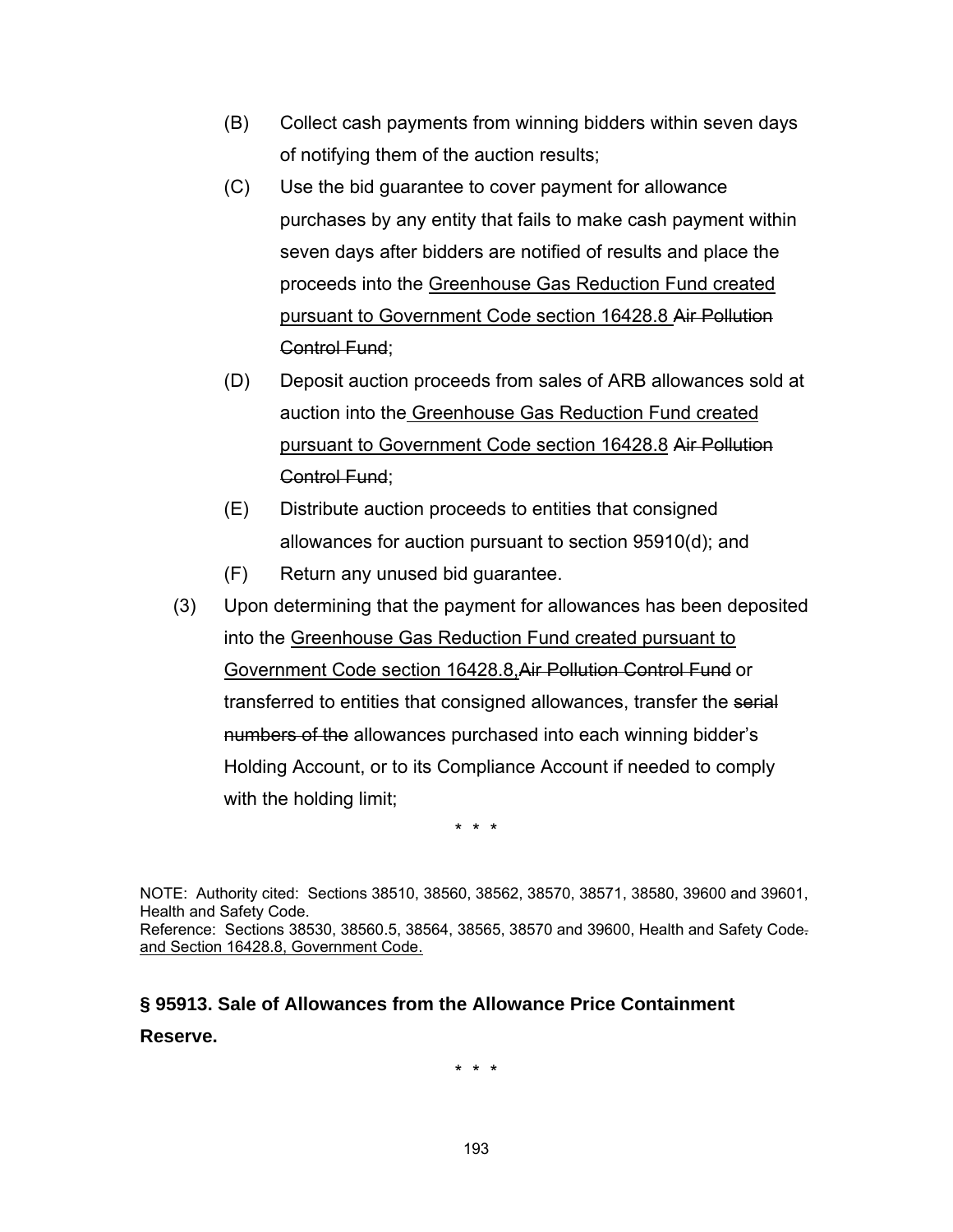- (B) Collect cash payments from winning bidders within seven days of notifying them of the auction results;
- (C) Use the bid guarantee to cover payment for allowance purchases by any entity that fails to make cash payment within seven days after bidders are notified of results and place the proceeds into the Greenhouse Gas Reduction Fund created pursuant to Government Code section 16428.8 Air Pollution Control Fund;
- (D) Deposit auction proceeds from sales of ARB allowances sold at auction into the Greenhouse Gas Reduction Fund created pursuant to Government Code section 16428.8 Air Pollution Control Fund;
- (E) Distribute auction proceeds to entities that consigned allowances for auction pursuant to section 95910(d); and
- (F) Return any unused bid guarantee.
- (3) Upon determining that the payment for allowances has been deposited into the Greenhouse Gas Reduction Fund created pursuant to Government Code section 16428.8,Air Pollution Control Fund or transferred to entities that consigned allowances, transfer the serial numbers of the allowances purchased into each winning bidder's Holding Account, or to its Compliance Account if needed to comply with the holding limit;

\* \* \*

NOTE: Authority cited: Sections 38510, 38560, 38562, 38570, 38571, 38580, 39600 and 39601, Health and Safety Code. Reference: Sections 38530, 38560.5, 38564, 38565, 38570 and 39600, Health and Safety Code. and Section 16428.8, Government Code.

# **§ 95913. Sale of Allowances from the Allowance Price Containment Reserve.**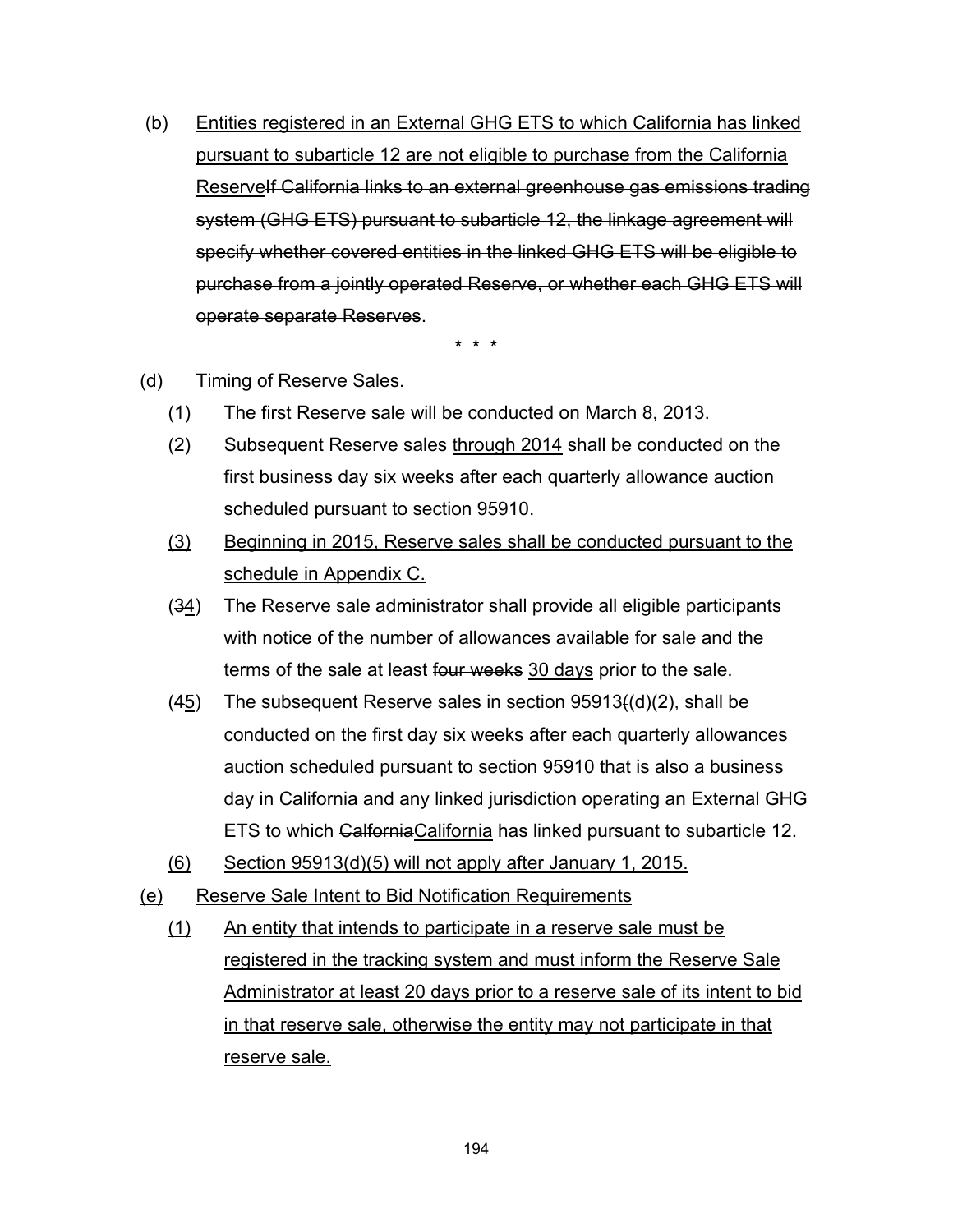(b) Entities registered in an External GHG ETS to which California has linked pursuant to subarticle 12 are not eligible to purchase from the California Reservelf California links to an external greenhouse gas emissions trading system (GHG ETS) pursuant to subarticle 12, the linkage agreement will specify whether covered entities in the linked GHG ETS will be eligible to purchase from a jointly operated Reserve, or whether each GHG ETS will operate separate Reserves.

- (d) Timing of Reserve Sales.
	- (1) The first Reserve sale will be conducted on March 8, 2013.
	- (2) Subsequent Reserve sales through 2014 shall be conducted on the first business day six weeks after each quarterly allowance auction scheduled pursuant to section 95910.
	- (3) Beginning in 2015, Reserve sales shall be conducted pursuant to the schedule in Appendix C.
	- $(34)$  The Reserve sale administrator shall provide all eligible participants with notice of the number of allowances available for sale and the terms of the sale at least four weeks 30 days prior to the sale.
	- (45) The subsequent Reserve sales in section 95913((d)(2), shall be conducted on the first day six weeks after each quarterly allowances auction scheduled pursuant to section 95910 that is also a business day in California and any linked jurisdiction operating an External GHG ETS to which CalforniaCalifornia has linked pursuant to subarticle 12.
	- (6) Section 95913(d)(5) will not apply after January 1, 2015.
- (e) Reserve Sale Intent to Bid Notification Requirements
	- (1) An entity that intends to participate in a reserve sale must be registered in the tracking system and must inform the Reserve Sale Administrator at least 20 days prior to a reserve sale of its intent to bid in that reserve sale, otherwise the entity may not participate in that reserve sale.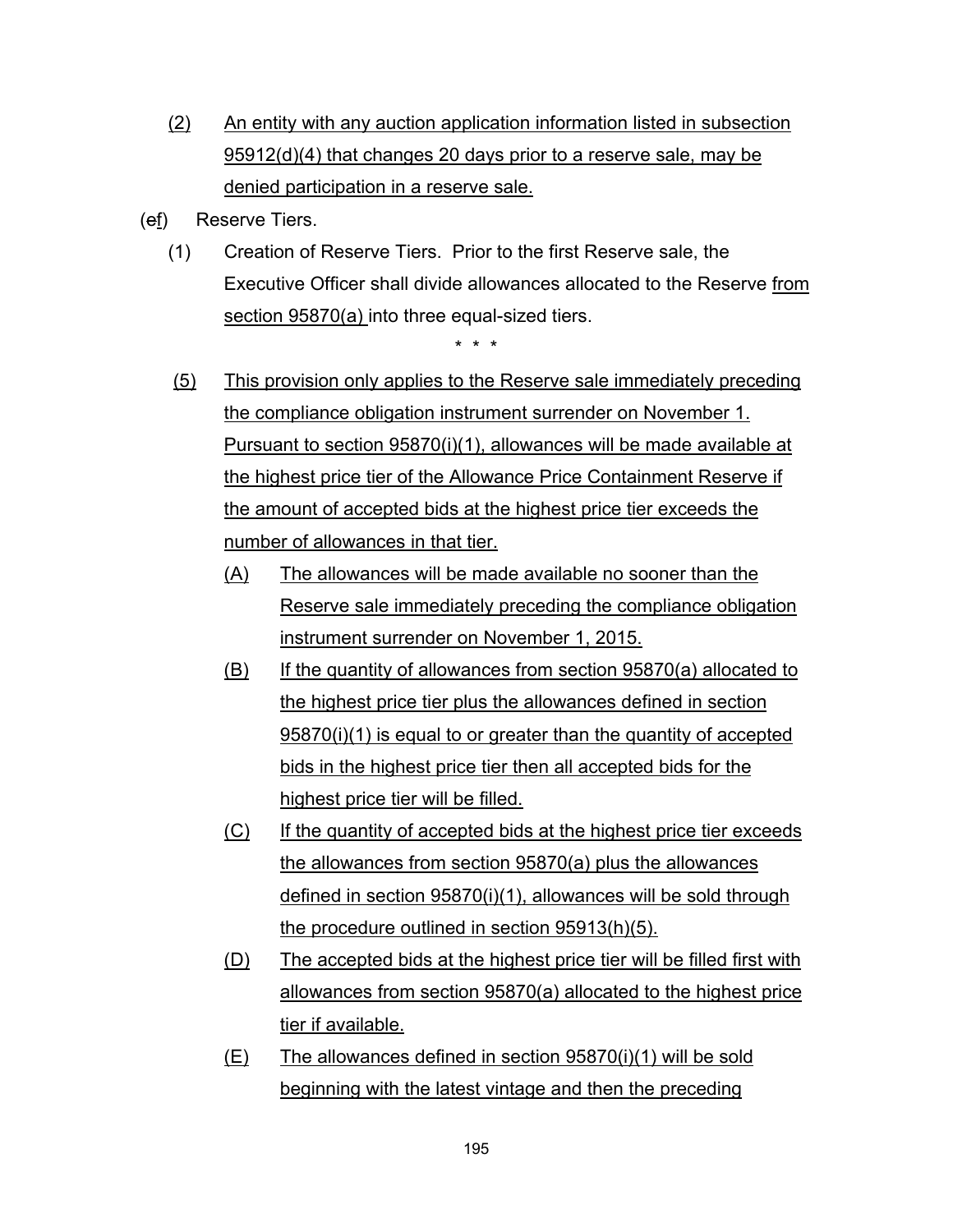- (2) An entity with any auction application information listed in subsection 95912(d)(4) that changes 20 days prior to a reserve sale, may be denied participation in a reserve sale.
- (ef) Reserve Tiers.
	- (1) Creation of Reserve Tiers. Prior to the first Reserve sale, the Executive Officer shall divide allowances allocated to the Reserve from section 95870(a) into three equal-sized tiers.

- (5) This provision only applies to the Reserve sale immediately preceding the compliance obligation instrument surrender on November 1. Pursuant to section 95870(i)(1), allowances will be made available at the highest price tier of the Allowance Price Containment Reserve if the amount of accepted bids at the highest price tier exceeds the number of allowances in that tier.
	- (A) The allowances will be made available no sooner than the Reserve sale immediately preceding the compliance obligation instrument surrender on November 1, 2015.
	- (B) If the quantity of allowances from section 95870(a) allocated to the highest price tier plus the allowances defined in section 95870(i)(1) is equal to or greater than the quantity of accepted bids in the highest price tier then all accepted bids for the highest price tier will be filled.
	- (C) If the quantity of accepted bids at the highest price tier exceeds the allowances from section 95870(a) plus the allowances defined in section 95870(i)(1), allowances will be sold through the procedure outlined in section 95913(h)(5).
	- (D) The accepted bids at the highest price tier will be filled first with allowances from section 95870(a) allocated to the highest price tier if available.
	- (E) The allowances defined in section 95870(i)(1) will be sold beginning with the latest vintage and then the preceding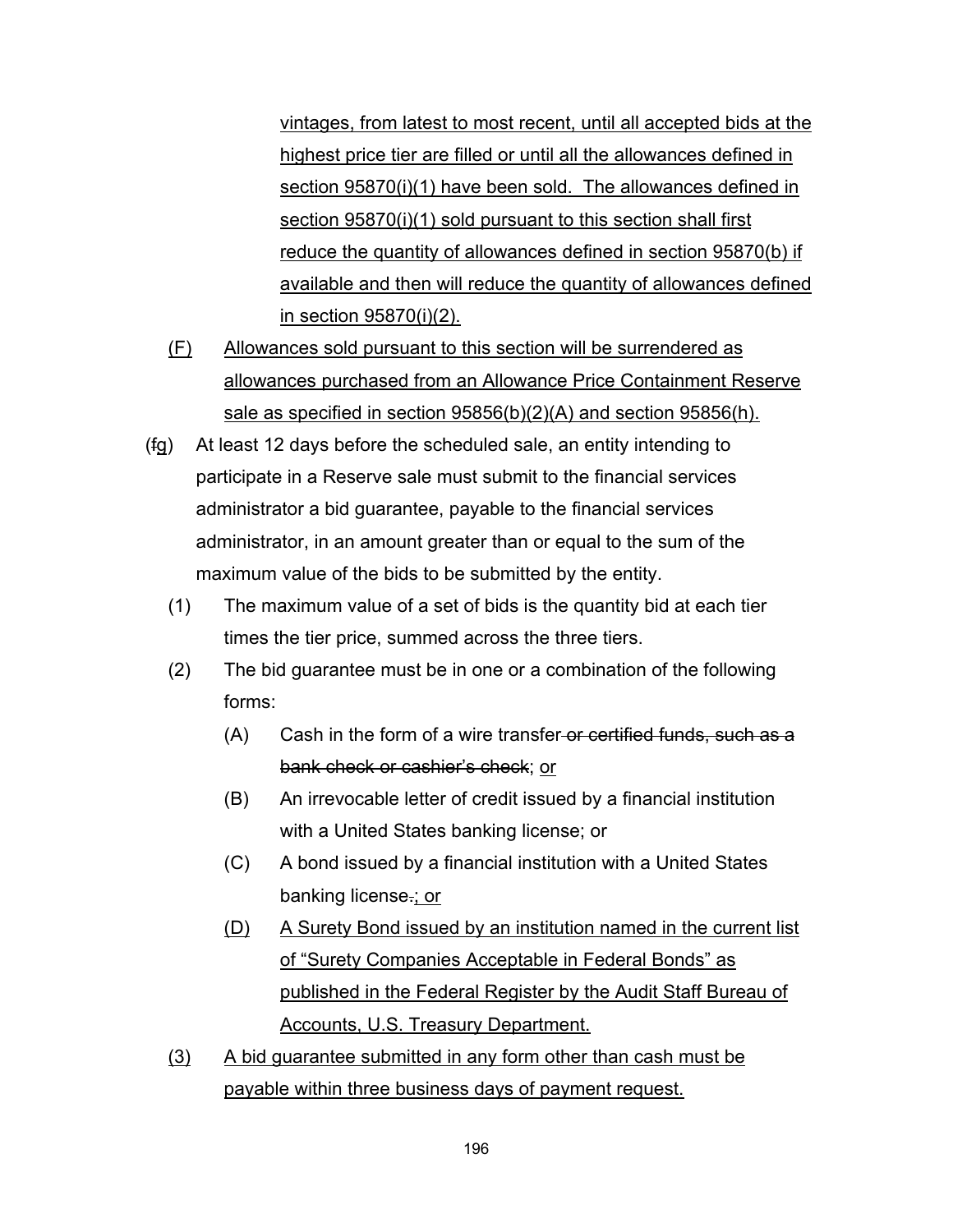vintages, from latest to most recent, until all accepted bids at the highest price tier are filled or until all the allowances defined in section 95870(i)(1) have been sold. The allowances defined in section 95870(i)(1) sold pursuant to this section shall first reduce the quantity of allowances defined in section 95870(b) if available and then will reduce the quantity of allowances defined in section 95870(i)(2).

- (F) Allowances sold pursuant to this section will be surrendered as allowances purchased from an Allowance Price Containment Reserve sale as specified in section 95856(b)(2)(A) and section 95856(h).
- (fg) At least 12 days before the scheduled sale, an entity intending to participate in a Reserve sale must submit to the financial services administrator a bid guarantee, payable to the financial services administrator, in an amount greater than or equal to the sum of the maximum value of the bids to be submitted by the entity.
	- (1) The maximum value of a set of bids is the quantity bid at each tier times the tier price, summed across the three tiers.
	- (2) The bid guarantee must be in one or a combination of the following forms:
		- $(A)$  Cash in the form of a wire transfer-or certified funds, such as a bank check or cashier's check; or
		- (B) An irrevocable letter of credit issued by a financial institution with a United States banking license; or
		- (C) A bond issued by a financial institution with a United States banking license.; or
		- (D) A Surety Bond issued by an institution named in the current list of "Surety Companies Acceptable in Federal Bonds" as published in the Federal Register by the Audit Staff Bureau of Accounts, U.S. Treasury Department.
	- (3) A bid guarantee submitted in any form other than cash must be payable within three business days of payment request.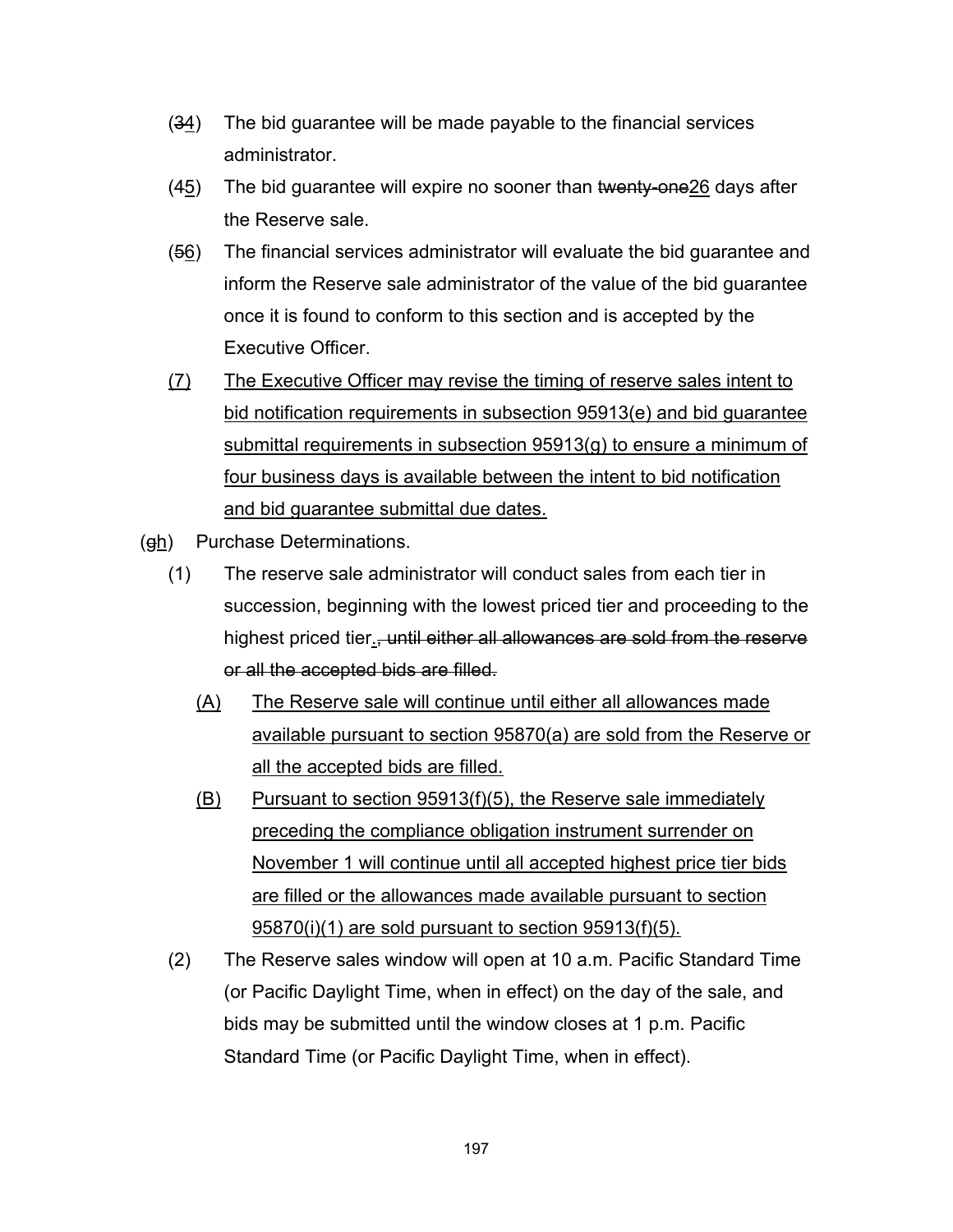- $(34)$  The bid guarantee will be made payable to the financial services administrator.
- $(45)$  The bid guarantee will expire no sooner than twenty-one  $26$  days after the Reserve sale.
- $(56)$  The financial services administrator will evaluate the bid guarantee and inform the Reserve sale administrator of the value of the bid guarantee once it is found to conform to this section and is accepted by the Executive Officer.
- (7) The Executive Officer may revise the timing of reserve sales intent to bid notification requirements in subsection 95913(e) and bid guarantee submittal requirements in subsection 95913(g) to ensure a minimum of four business days is available between the intent to bid notification and bid guarantee submittal due dates.
- (gh) Purchase Determinations.
	- (1) The reserve sale administrator will conduct sales from each tier in succession, beginning with the lowest priced tier and proceeding to the highest priced tier., until either all allowances are sold from the reserve or all the accepted bids are filled.
		- (A) The Reserve sale will continue until either all allowances made available pursuant to section 95870(a) are sold from the Reserve or all the accepted bids are filled.
		- (B) Pursuant to section 95913(f)(5), the Reserve sale immediately preceding the compliance obligation instrument surrender on November 1 will continue until all accepted highest price tier bids are filled or the allowances made available pursuant to section 95870(i)(1) are sold pursuant to section 95913(f)(5).
	- (2) The Reserve sales window will open at 10 a.m. Pacific Standard Time (or Pacific Daylight Time, when in effect) on the day of the sale, and bids may be submitted until the window closes at 1 p.m. Pacific Standard Time (or Pacific Daylight Time, when in effect).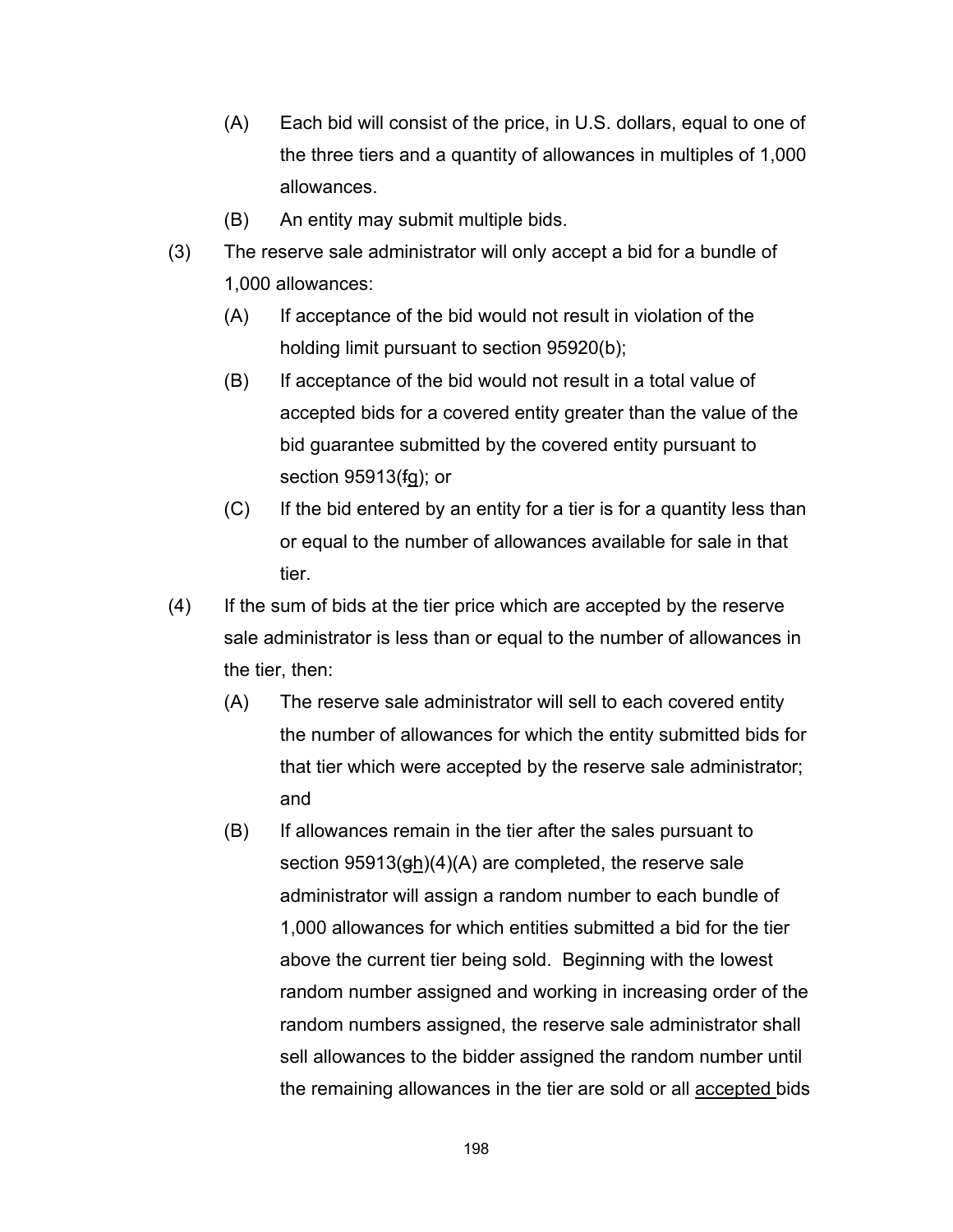- (A) Each bid will consist of the price, in U.S. dollars, equal to one of the three tiers and a quantity of allowances in multiples of 1,000 allowances.
- (B) An entity may submit multiple bids.
- (3) The reserve sale administrator will only accept a bid for a bundle of 1,000 allowances:
	- (A) If acceptance of the bid would not result in violation of the holding limit pursuant to section 95920(b);
	- (B) If acceptance of the bid would not result in a total value of accepted bids for a covered entity greater than the value of the bid guarantee submitted by the covered entity pursuant to section 95913(fg); or
	- (C) If the bid entered by an entity for a tier is for a quantity less than or equal to the number of allowances available for sale in that tier.
- (4) If the sum of bids at the tier price which are accepted by the reserve sale administrator is less than or equal to the number of allowances in the tier, then:
	- (A) The reserve sale administrator will sell to each covered entity the number of allowances for which the entity submitted bids for that tier which were accepted by the reserve sale administrator; and
	- (B) If allowances remain in the tier after the sales pursuant to section  $95913(\frac{gh}{4})(A)$  are completed, the reserve sale administrator will assign a random number to each bundle of 1,000 allowances for which entities submitted a bid for the tier above the current tier being sold. Beginning with the lowest random number assigned and working in increasing order of the random numbers assigned, the reserve sale administrator shall sell allowances to the bidder assigned the random number until the remaining allowances in the tier are sold or all accepted bids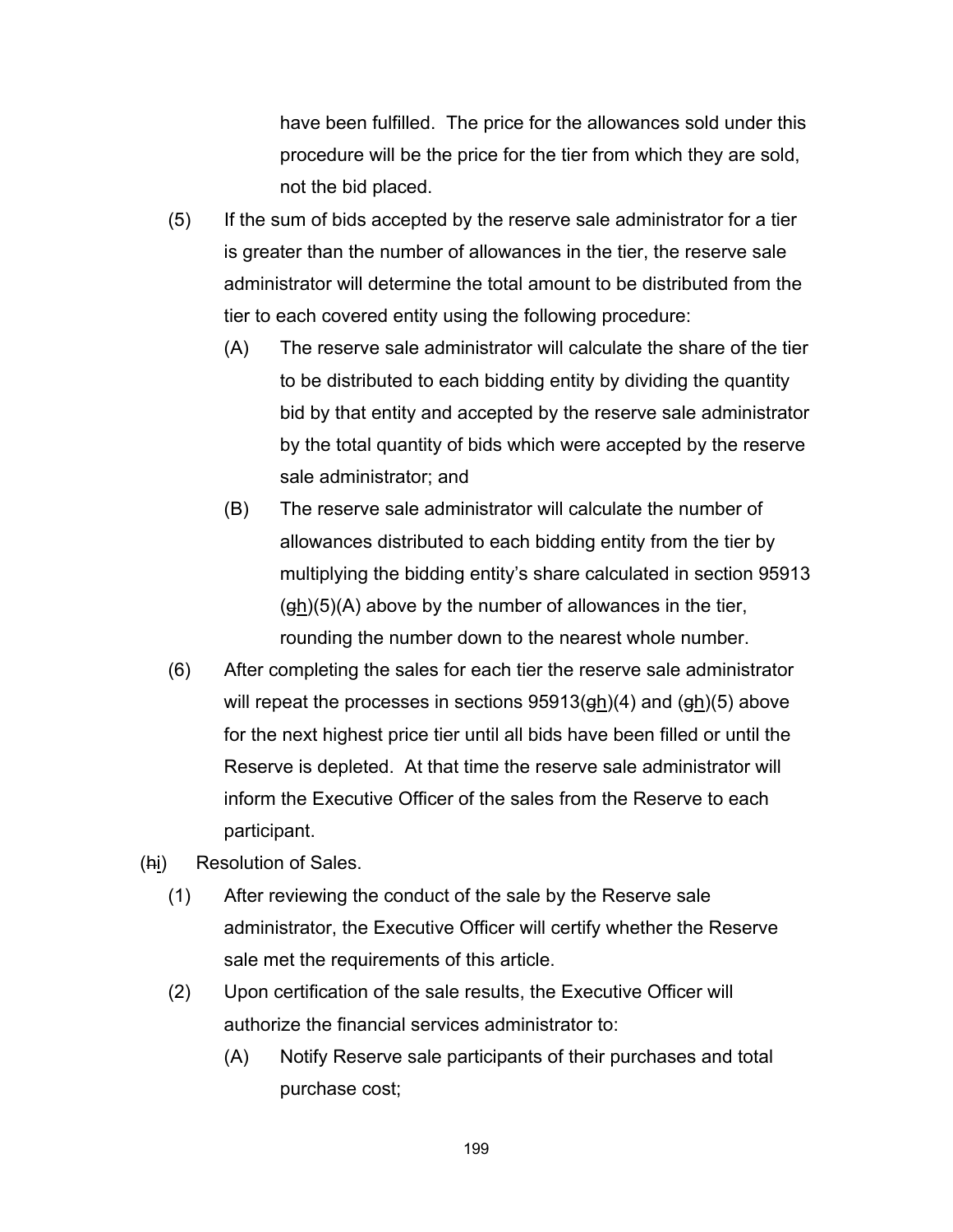have been fulfilled. The price for the allowances sold under this procedure will be the price for the tier from which they are sold, not the bid placed.

- (5) If the sum of bids accepted by the reserve sale administrator for a tier is greater than the number of allowances in the tier, the reserve sale administrator will determine the total amount to be distributed from the tier to each covered entity using the following procedure:
	- (A) The reserve sale administrator will calculate the share of the tier to be distributed to each bidding entity by dividing the quantity bid by that entity and accepted by the reserve sale administrator by the total quantity of bids which were accepted by the reserve sale administrator; and
	- (B) The reserve sale administrator will calculate the number of allowances distributed to each bidding entity from the tier by multiplying the bidding entity's share calculated in section 95913  $(gh)(5)(A)$  above by the number of allowances in the tier, rounding the number down to the nearest whole number.
- (6) After completing the sales for each tier the reserve sale administrator will repeat the processes in sections 95913(gh)(4) and (gh)(5) above for the next highest price tier until all bids have been filled or until the Reserve is depleted. At that time the reserve sale administrator will inform the Executive Officer of the sales from the Reserve to each participant.
- (hi) Resolution of Sales.
	- (1) After reviewing the conduct of the sale by the Reserve sale administrator, the Executive Officer will certify whether the Reserve sale met the requirements of this article.
	- (2) Upon certification of the sale results, the Executive Officer will authorize the financial services administrator to:
		- (A) Notify Reserve sale participants of their purchases and total purchase cost;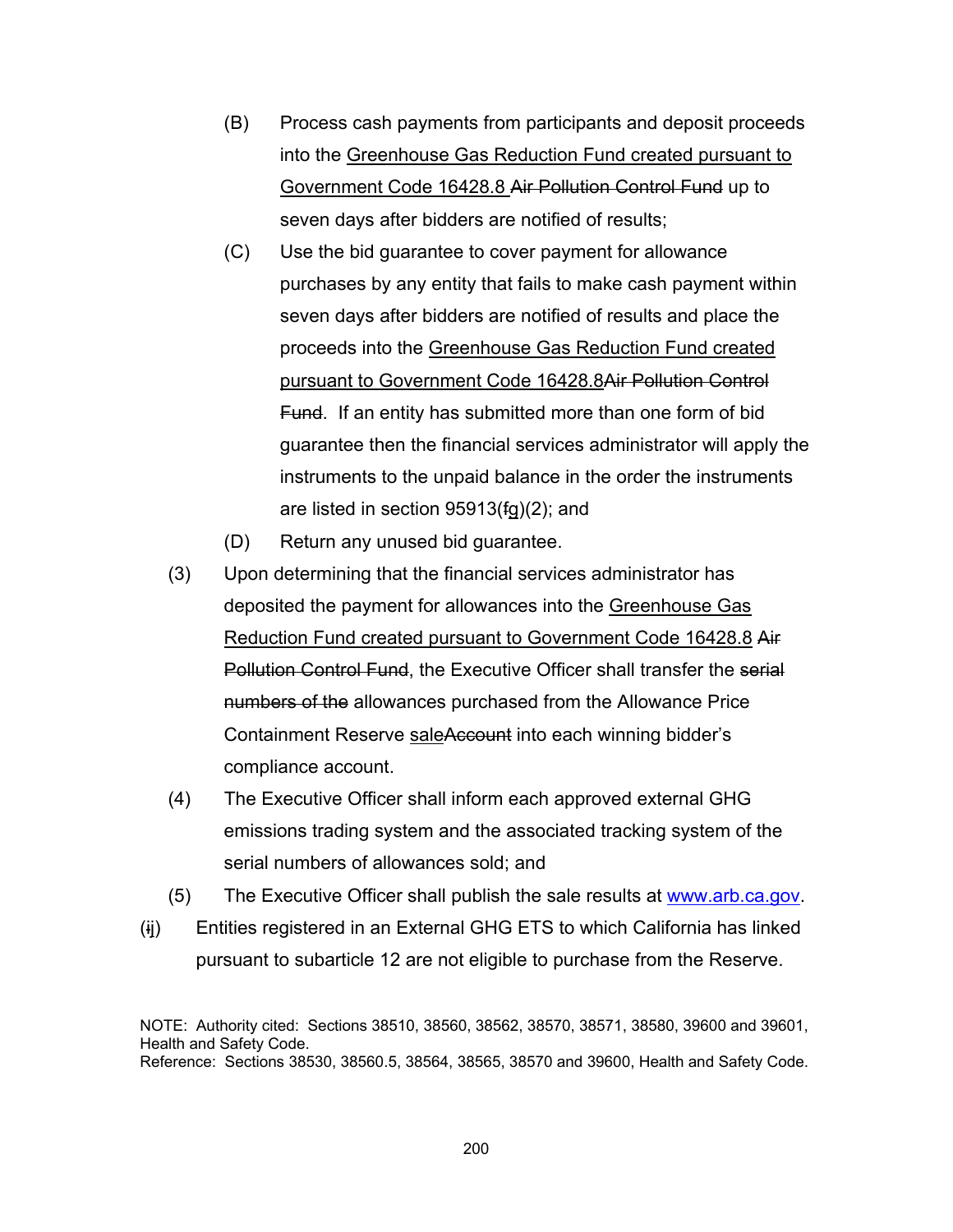- (B) Process cash payments from participants and deposit proceeds into the Greenhouse Gas Reduction Fund created pursuant to Government Code 16428.8 Air Pollution Control Fund up to seven days after bidders are notified of results;
- (C) Use the bid guarantee to cover payment for allowance purchases by any entity that fails to make cash payment within seven days after bidders are notified of results and place the proceeds into the Greenhouse Gas Reduction Fund created pursuant to Government Code 16428.8Air Pollution Control Fund. If an entity has submitted more than one form of bid guarantee then the financial services administrator will apply the instruments to the unpaid balance in the order the instruments are listed in section 95913(fg)(2); and
- (D) Return any unused bid guarantee.
- (3) Upon determining that the financial services administrator has deposited the payment for allowances into the Greenhouse Gas Reduction Fund created pursuant to Government Code 16428.8 Air Pollution Control Fund, the Executive Officer shall transfer the serial numbers of the allowances purchased from the Allowance Price Containment Reserve saleAccount into each winning bidder's compliance account.
- (4) The Executive Officer shall inform each approved external GHG emissions trading system and the associated tracking system of the serial numbers of allowances sold; and
- (5) The Executive Officer shall publish the sale results at www.arb.ca.gov.
- (ij) Entities registered in an External GHG ETS to which California has linked pursuant to subarticle 12 are not eligible to purchase from the Reserve.

NOTE: Authority cited: Sections 38510, 38560, 38562, 38570, 38571, 38580, 39600 and 39601, Health and Safety Code. Reference: Sections 38530, 38560.5, 38564, 38565, 38570 and 39600, Health and Safety Code.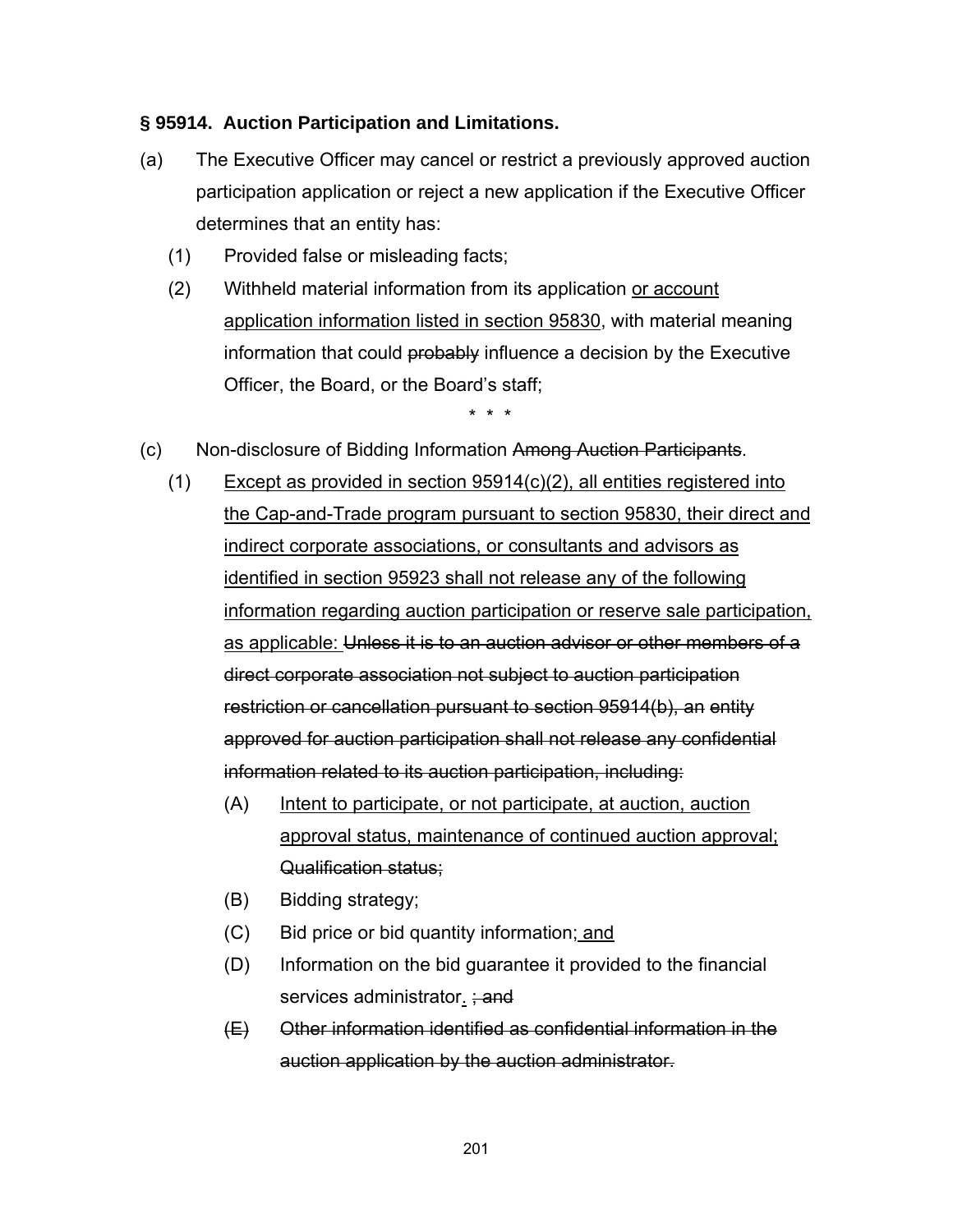### **§ 95914. Auction Participation and Limitations.**

- (a) The Executive Officer may cancel or restrict a previously approved auction participation application or reject a new application if the Executive Officer determines that an entity has:
	- (1) Provided false or misleading facts;
	- (2) Withheld material information from its application or account application information listed in section 95830, with material meaning information that could probably influence a decision by the Executive Officer, the Board, or the Board's staff;

- (c) Non-disclosure of Bidding Information Among Auction Participants.
	- (1) Except as provided in section 95914(c)(2), all entities registered into the Cap-and-Trade program pursuant to section 95830, their direct and indirect corporate associations, or consultants and advisors as identified in section 95923 shall not release any of the following information regarding auction participation or reserve sale participation, as applicable: Unless it is to an auction advisor or other members of a direct corporate association not subject to auction participation restriction or cancellation pursuant to section 95914(b), an entity approved for auction participation shall not release any confidential information related to its auction participation, including:
		- (A) Intent to participate, or not participate, at auction, auction approval status, maintenance of continued auction approval; Qualification status;
		- (B) Bidding strategy;
		- (C) Bid price or bid quantity information; and
		- (D) Information on the bid guarantee it provided to the financial services administrator.  $\div$  and
		- (E) Other information identified as confidential information in the auction application by the auction administrator.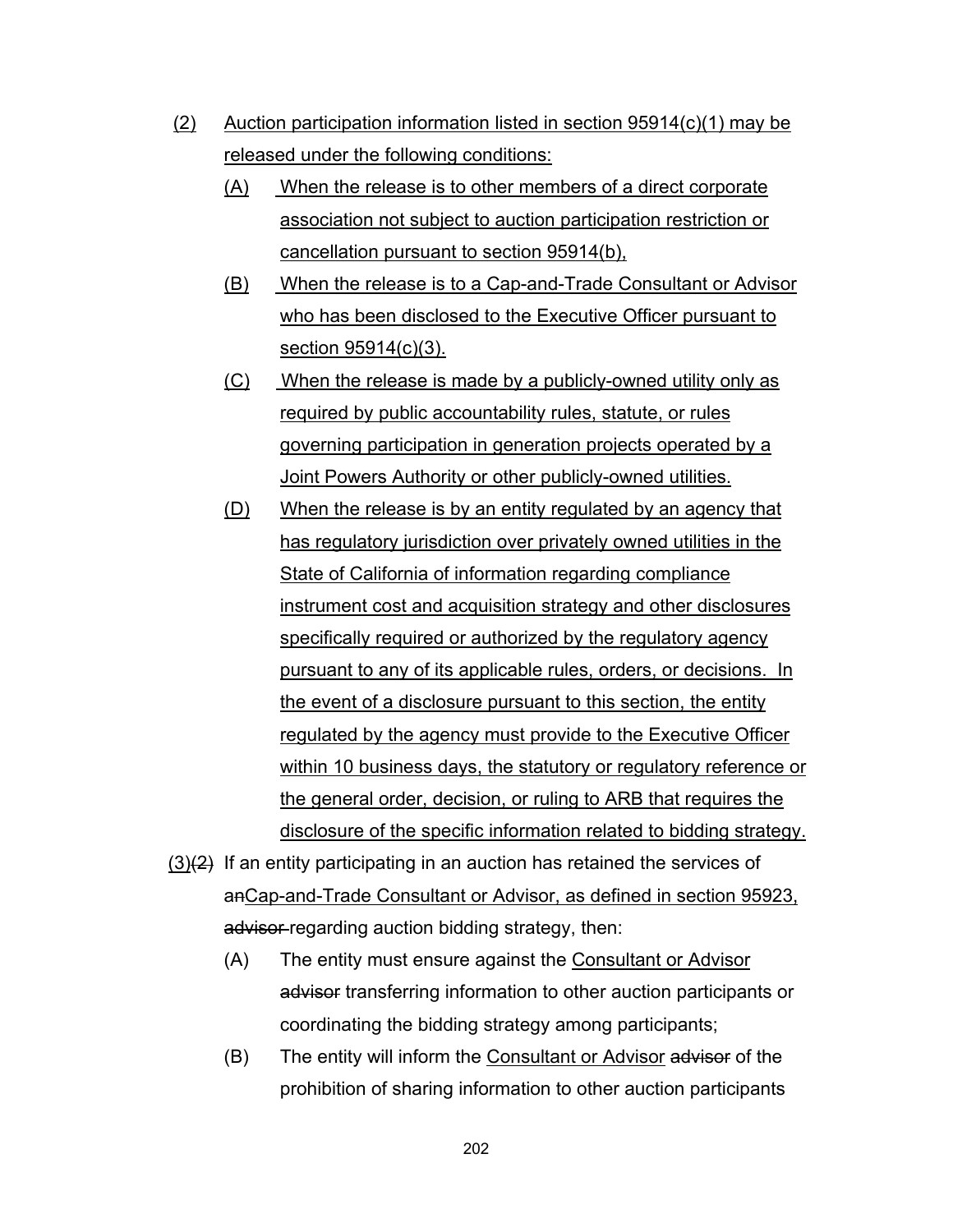- (2) Auction participation information listed in section 95914(c)(1) may be released under the following conditions:
	- (A) When the release is to other members of a direct corporate association not subject to auction participation restriction or cancellation pursuant to section 95914(b),
	- (B) When the release is to a Cap-and-Trade Consultant or Advisor who has been disclosed to the Executive Officer pursuant to section 95914(c)(3).
	- (C) When the release is made by a publicly-owned utility only as required by public accountability rules, statute, or rules governing participation in generation projects operated by a Joint Powers Authority or other publicly-owned utilities.
	- (D) When the release is by an entity regulated by an agency that has regulatory jurisdiction over privately owned utilities in the State of California of information regarding compliance instrument cost and acquisition strategy and other disclosures specifically required or authorized by the regulatory agency pursuant to any of its applicable rules, orders, or decisions. In the event of a disclosure pursuant to this section, the entity regulated by the agency must provide to the Executive Officer within 10 business days, the statutory or regulatory reference or the general order, decision, or ruling to ARB that requires the disclosure of the specific information related to bidding strategy.
- $(3)(2)$  If an entity participating in an auction has retained the services of anCap-and-Trade Consultant or Advisor, as defined in section 95923, advisor regarding auction bidding strategy, then:
	- (A) The entity must ensure against the Consultant or Advisor advisor transferring information to other auction participants or coordinating the bidding strategy among participants;
	- (B) The entity will inform the Consultant or Advisor advisor of the prohibition of sharing information to other auction participants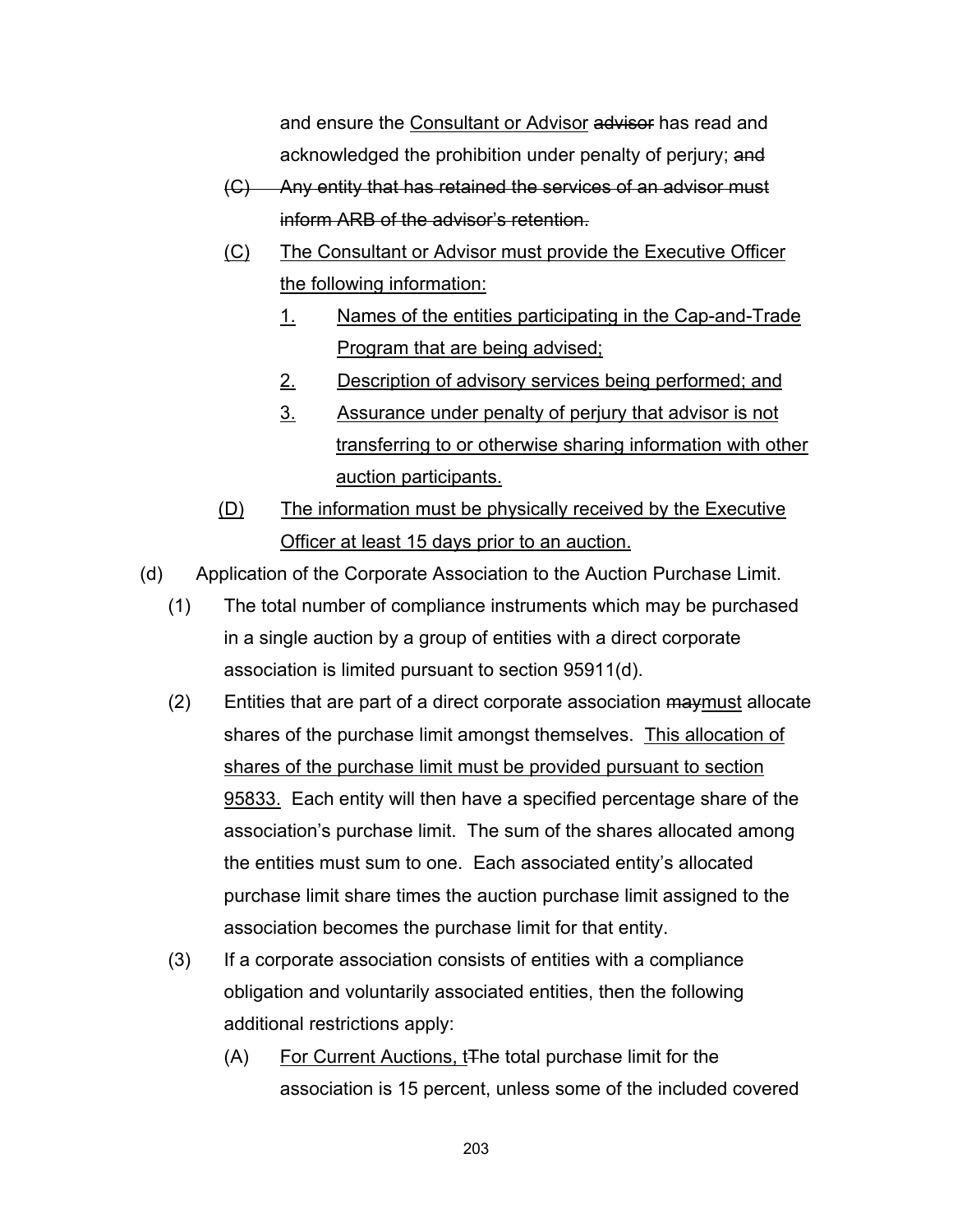and ensure the Consultant or Advisor advisor has read and acknowledged the prohibition under penalty of perjury; and

- (C) Any entity that has retained the services of an advisor must inform ARB of the advisor's retention.
- (C) The Consultant or Advisor must provide the Executive Officer the following information:
	- 1. Names of the entities participating in the Cap-and-Trade Program that are being advised;
	- 2. Description of advisory services being performed; and
	- 3. Assurance under penalty of perjury that advisor is not transferring to or otherwise sharing information with other auction participants.
- (D) The information must be physically received by the Executive Officer at least 15 days prior to an auction.
- (d) Application of the Corporate Association to the Auction Purchase Limit.
	- (1) The total number of compliance instruments which may be purchased in a single auction by a group of entities with a direct corporate association is limited pursuant to section 95911(d).
	- (2) Entities that are part of a direct corporate association may must allocate shares of the purchase limit amongst themselves. This allocation of shares of the purchase limit must be provided pursuant to section 95833. Each entity will then have a specified percentage share of the association's purchase limit. The sum of the shares allocated among the entities must sum to one. Each associated entity's allocated purchase limit share times the auction purchase limit assigned to the association becomes the purchase limit for that entity.
	- (3) If a corporate association consists of entities with a compliance obligation and voluntarily associated entities, then the following additional restrictions apply:
		- (A) For Current Auctions, tThe total purchase limit for the association is 15 percent, unless some of the included covered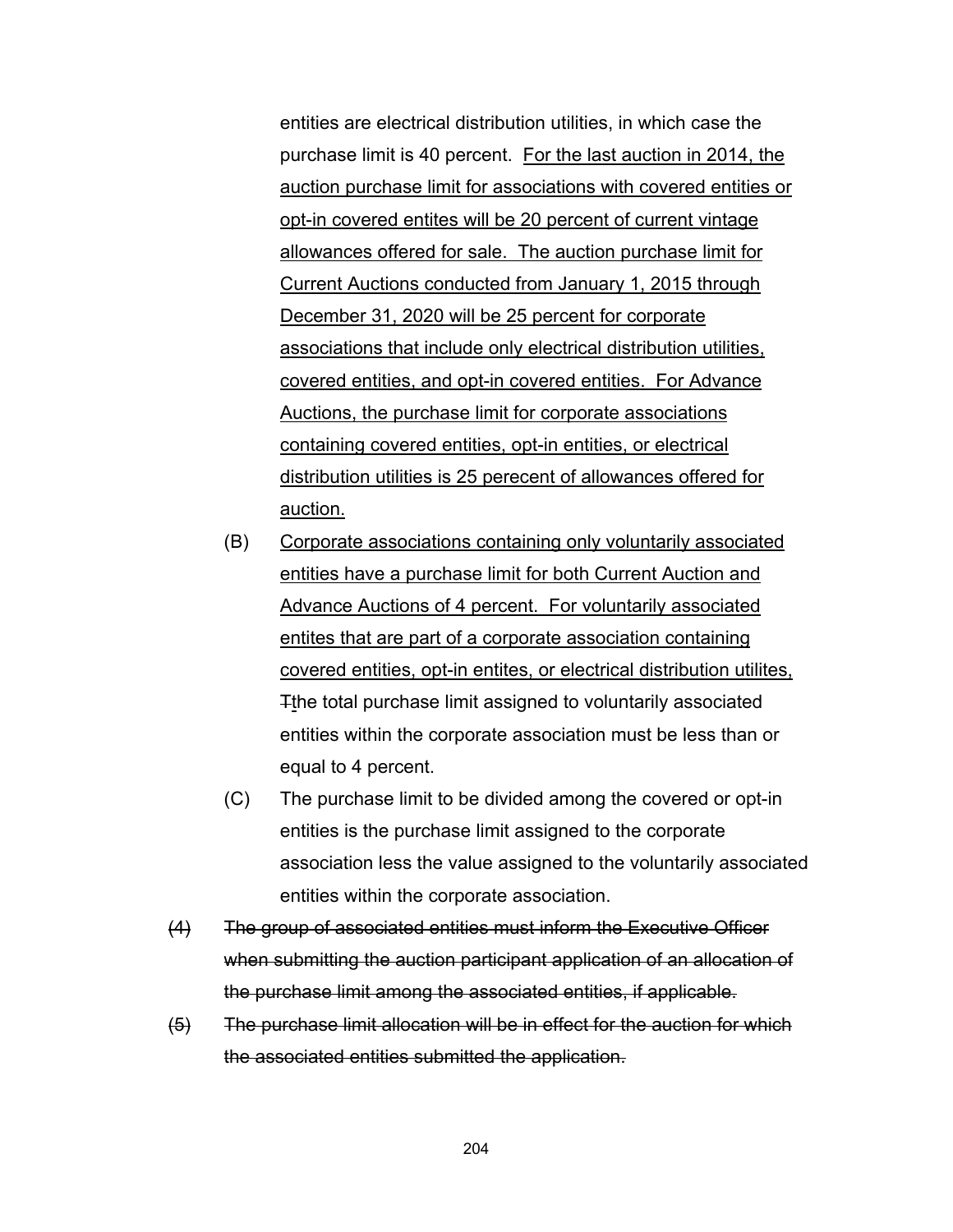entities are electrical distribution utilities, in which case the purchase limit is 40 percent. For the last auction in 2014, the auction purchase limit for associations with covered entities or opt-in covered entites will be 20 percent of current vintage allowances offered for sale. The auction purchase limit for Current Auctions conducted from January 1, 2015 through December 31, 2020 will be 25 percent for corporate associations that include only electrical distribution utilities, covered entities, and opt-in covered entities. For Advance Auctions, the purchase limit for corporate associations containing covered entities, opt-in entities, or electrical distribution utilities is 25 perecent of allowances offered for auction.

- (B) Corporate associations containing only voluntarily associated entities have a purchase limit for both Current Auction and Advance Auctions of 4 percent. For voluntarily associated entites that are part of a corporate association containing covered entities, opt-in entites, or electrical distribution utilites, Tthe total purchase limit assigned to voluntarily associated entities within the corporate association must be less than or equal to 4 percent.
- (C) The purchase limit to be divided among the covered or opt-in entities is the purchase limit assigned to the corporate association less the value assigned to the voluntarily associated entities within the corporate association.
- (4) The group of associated entities must inform the Executive Officer when submitting the auction participant application of an allocation of the purchase limit among the associated entities, if applicable.
- (5) The purchase limit allocation will be in effect for the auction for which the associated entities submitted the application.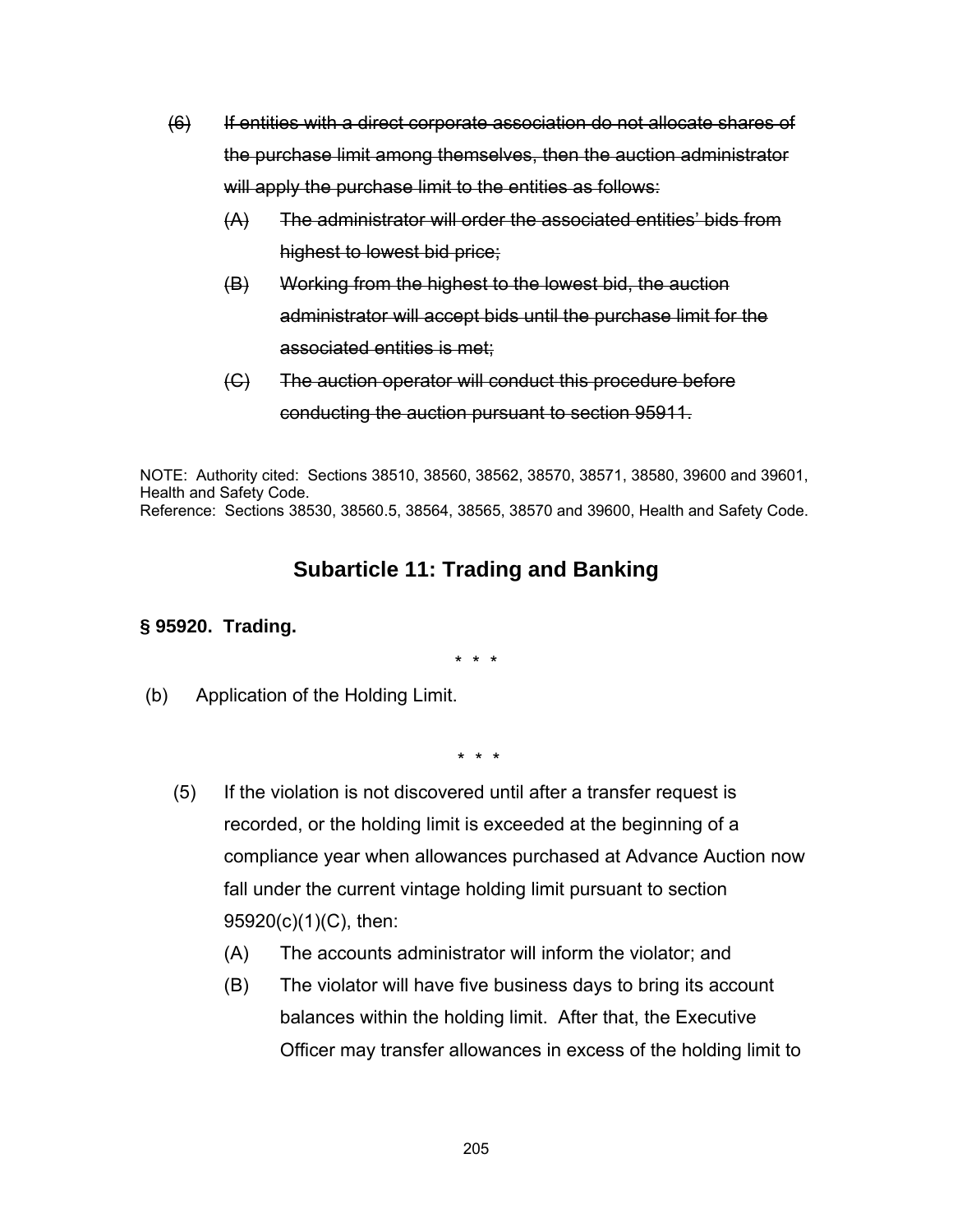- (6) If entities with a direct corporate association do not allocate shares of the purchase limit among themselves, then the auction administrator will apply the purchase limit to the entities as follows:
	- (A) The administrator will order the associated entities' bids from highest to lowest bid price;
	- (B) Working from the highest to the lowest bid, the auction administrator will accept bids until the purchase limit for the associated entities is met;
	- (C) The auction operator will conduct this procedure before conducting the auction pursuant to section 95911.

NOTE: Authority cited: Sections 38510, 38560, 38562, 38570, 38571, 38580, 39600 and 39601, Health and Safety Code. Reference: Sections 38530, 38560.5, 38564, 38565, 38570 and 39600, Health and Safety Code.

# **Subarticle 11: Trading and Banking**

### **§ 95920. Trading.**

\* \* \*

(b) Application of the Holding Limit.

- (5) If the violation is not discovered until after a transfer request is recorded, or the holding limit is exceeded at the beginning of a compliance year when allowances purchased at Advance Auction now fall under the current vintage holding limit pursuant to section 95920(c)(1)(C), then:
	- (A) The accounts administrator will inform the violator; and
	- (B) The violator will have five business days to bring its account balances within the holding limit. After that, the Executive Officer may transfer allowances in excess of the holding limit to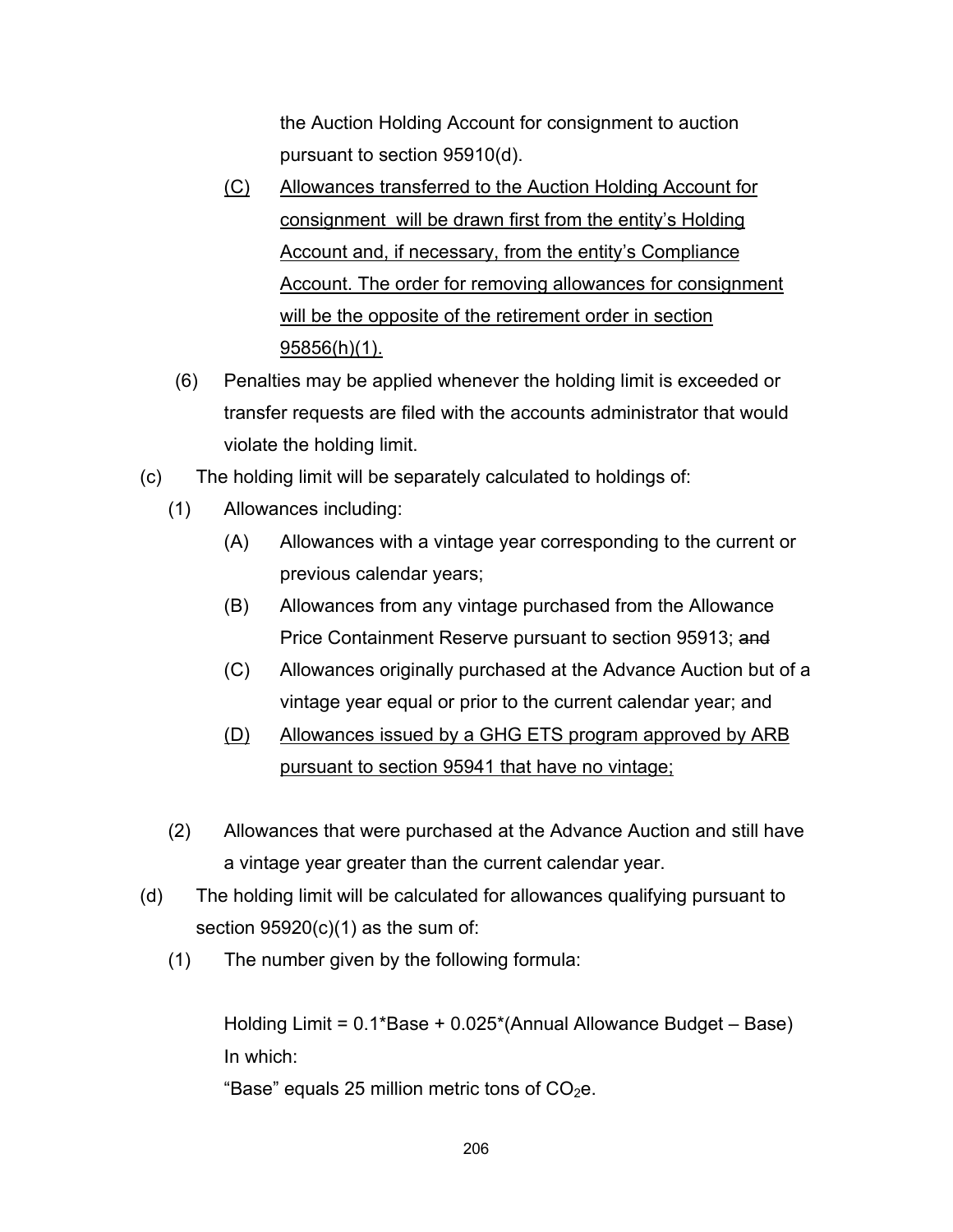the Auction Holding Account for consignment to auction pursuant to section 95910(d).

- (C) Allowances transferred to the Auction Holding Account for consignment will be drawn first from the entity's Holding Account and, if necessary, from the entity's Compliance Account. The order for removing allowances for consignment will be the opposite of the retirement order in section 95856(h)(1).
- (6) Penalties may be applied whenever the holding limit is exceeded or transfer requests are filed with the accounts administrator that would violate the holding limit.
- (c) The holding limit will be separately calculated to holdings of:
	- (1) Allowances including:
		- (A) Allowances with a vintage year corresponding to the current or previous calendar years;
		- (B) Allowances from any vintage purchased from the Allowance Price Containment Reserve pursuant to section 95913; and
		- (C) Allowances originally purchased at the Advance Auction but of a vintage year equal or prior to the current calendar year; and
		- (D) Allowances issued by a GHG ETS program approved by ARB pursuant to section 95941 that have no vintage;
	- (2) Allowances that were purchased at the Advance Auction and still have a vintage year greater than the current calendar year.
- (d) The holding limit will be calculated for allowances qualifying pursuant to section  $95920(c)(1)$  as the sum of:
	- (1) The number given by the following formula:

Holding Limit = 0.1\*Base + 0.025\*(Annual Allowance Budget – Base) In which:

"Base" equals 25 million metric tons of  $CO<sub>2</sub>e$ .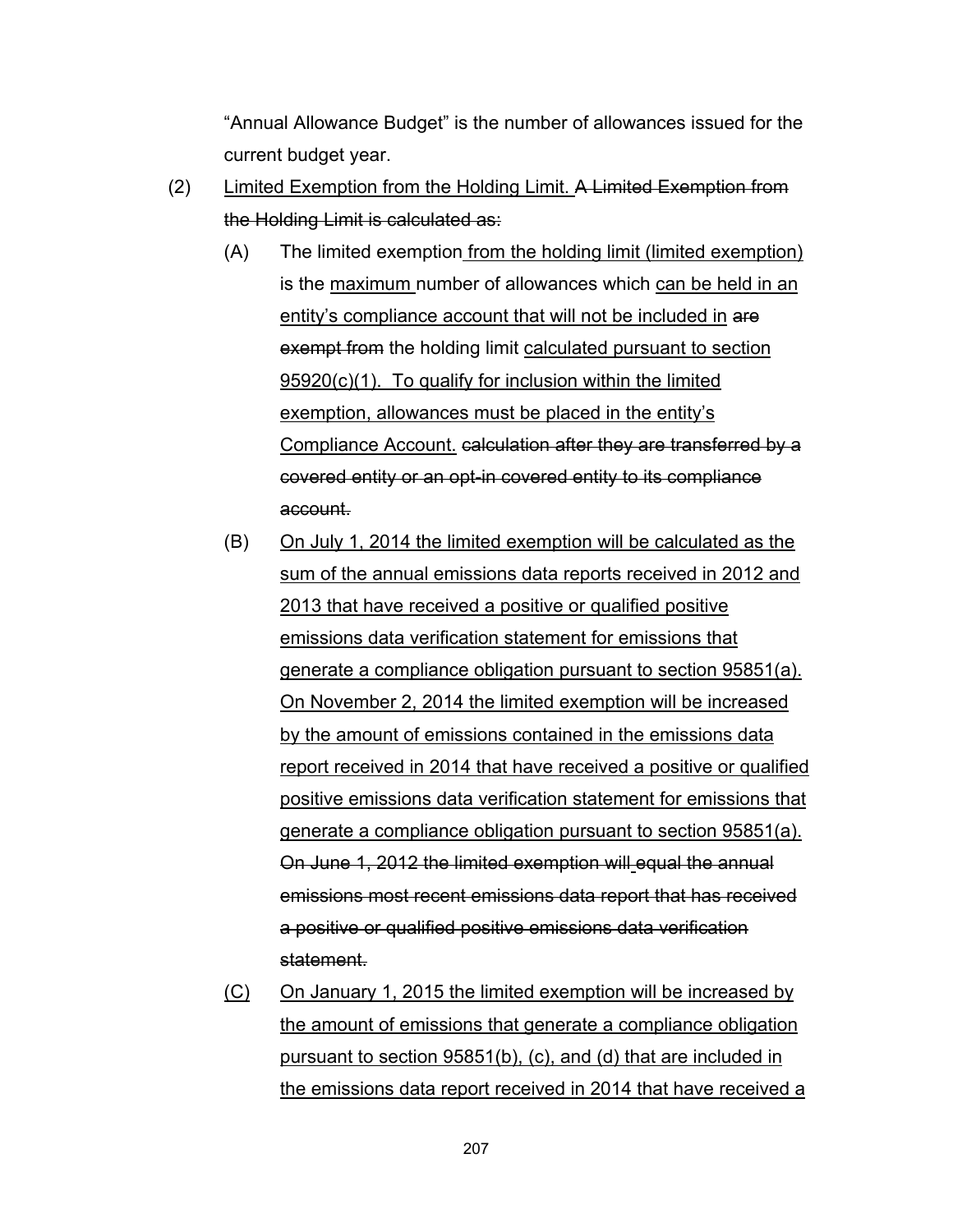"Annual Allowance Budget" is the number of allowances issued for the current budget year.

- (2) Limited Exemption from the Holding Limit. A Limited Exemption from the Holding Limit is calculated as:
	- (A) The limited exemption from the holding limit (limited exemption) is the maximum number of allowances which can be held in an entity's compliance account that will not be included in are exempt from the holding limit calculated pursuant to section 95920(c)(1). To qualify for inclusion within the limited exemption, allowances must be placed in the entity's Compliance Account. calculation after they are transferred by a covered entity or an opt-in covered entity to its compliance account.
	- (B) On July 1, 2014 the limited exemption will be calculated as the sum of the annual emissions data reports received in 2012 and 2013 that have received a positive or qualified positive emissions data verification statement for emissions that generate a compliance obligation pursuant to section 95851(a). On November 2, 2014 the limited exemption will be increased by the amount of emissions contained in the emissions data report received in 2014 that have received a positive or qualified positive emissions data verification statement for emissions that generate a compliance obligation pursuant to section 95851(a). On June 1, 2012 the limited exemption will equal the annual emissions most recent emissions data report that has received a positive or qualified positive emissions data verification statement.
	- (C) On January 1, 2015 the limited exemption will be increased by the amount of emissions that generate a compliance obligation pursuant to section 95851(b), (c), and (d) that are included in the emissions data report received in 2014 that have received a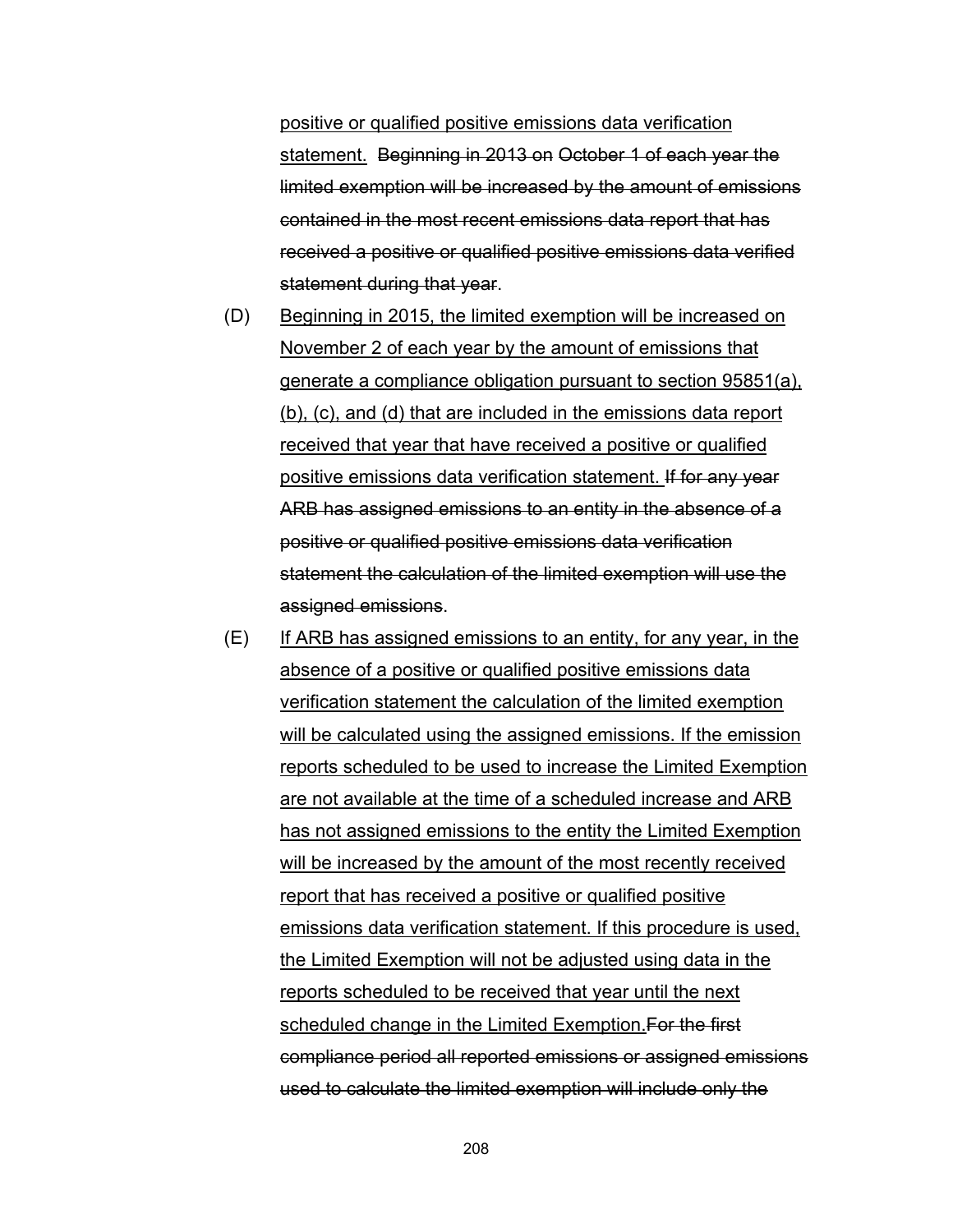positive or qualified positive emissions data verification statement. Beginning in 2013 on October 1 of each year the limited exemption will be increased by the amount of emissions contained in the most recent emissions data report that has received a positive or qualified positive emissions data verified statement during that year.

- (D) Beginning in 2015, the limited exemption will be increased on November 2 of each year by the amount of emissions that generate a compliance obligation pursuant to section 95851(a), (b), (c), and (d) that are included in the emissions data report received that year that have received a positive or qualified positive emissions data verification statement. If for any year ARB has assigned emissions to an entity in the absence of a positive or qualified positive emissions data verification statement the calculation of the limited exemption will use the assigned emissions.
- (E) If ARB has assigned emissions to an entity, for any year, in the absence of a positive or qualified positive emissions data verification statement the calculation of the limited exemption will be calculated using the assigned emissions. If the emission reports scheduled to be used to increase the Limited Exemption are not available at the time of a scheduled increase and ARB has not assigned emissions to the entity the Limited Exemption will be increased by the amount of the most recently received report that has received a positive or qualified positive emissions data verification statement. If this procedure is used, the Limited Exemption will not be adjusted using data in the reports scheduled to be received that year until the next scheduled change in the Limited Exemption. For the first compliance period all reported emissions or assigned emissions used to calculate the limited exemption will include only the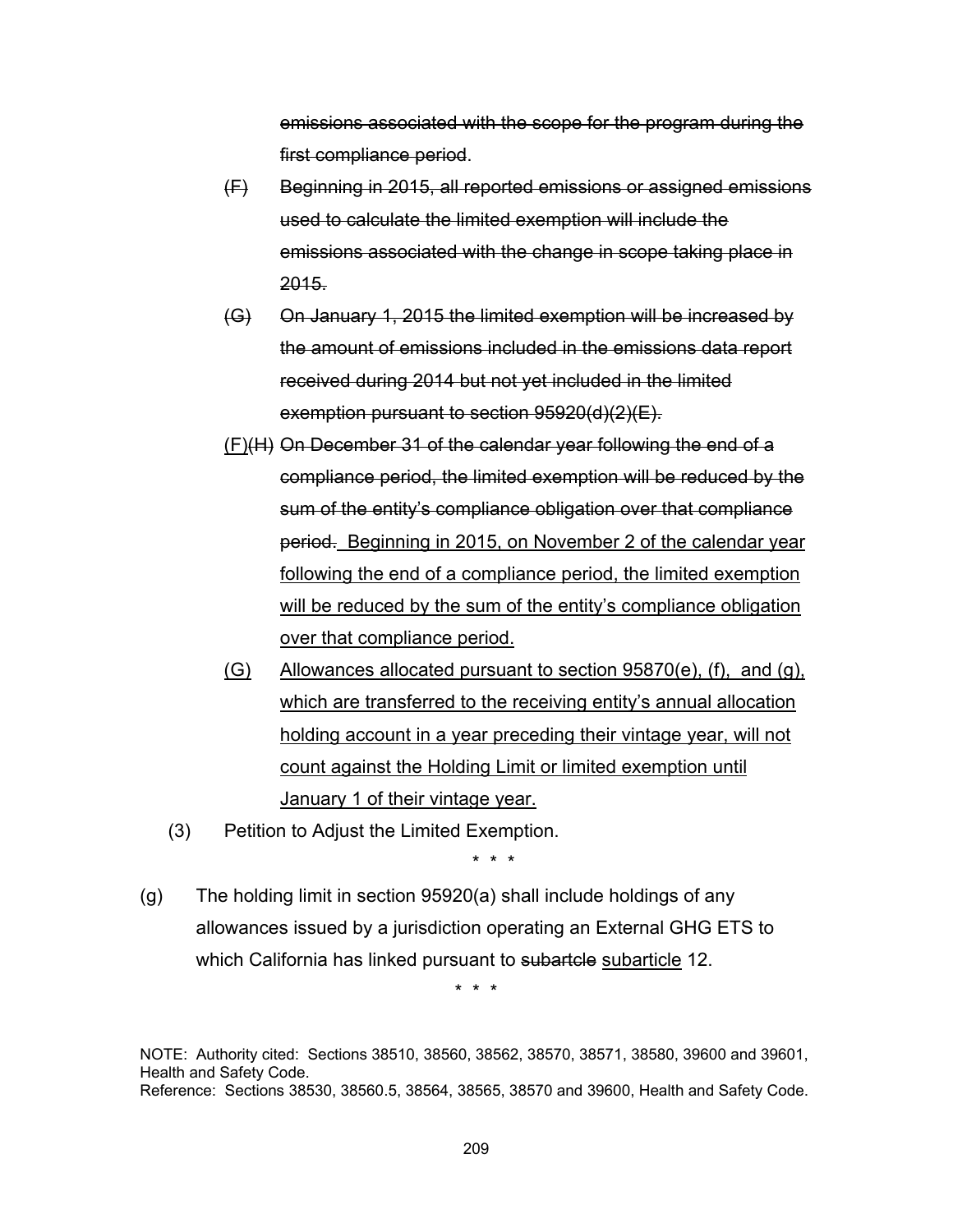emissions associated with the scope for the program during the first compliance period.

- (F) Beginning in 2015, all reported emissions or assigned emissions used to calculate the limited exemption will include the emissions associated with the change in scope taking place in 2015.
- (G) On January 1, 2015 the limited exemption will be increased by the amount of emissions included in the emissions data report received during 2014 but not yet included in the limited exemption pursuant to section 95920(d)(2)(E).
- (F)(H) On December 31 of the calendar year following the end of a compliance period, the limited exemption will be reduced by the sum of the entity's compliance obligation over that compliance period. Beginning in 2015, on November 2 of the calendar year following the end of a compliance period, the limited exemption will be reduced by the sum of the entity's compliance obligation over that compliance period.
- $(G)$  Allowances allocated pursuant to section 95870 $(e)$ ,  $(f)$ , and  $(g)$ , which are transferred to the receiving entity's annual allocation holding account in a year preceding their vintage year, will not count against the Holding Limit or limited exemption until January 1 of their vintage year.
- (3) Petition to Adjust the Limited Exemption.

\* \* \*

(g) The holding limit in section 95920(a) shall include holdings of any allowances issued by a jurisdiction operating an External GHG ETS to which California has linked pursuant to subartele subarticle 12.

\* \* \*

NOTE: Authority cited: Sections 38510, 38560, 38562, 38570, 38571, 38580, 39600 and 39601, Health and Safety Code. Reference: Sections 38530, 38560.5, 38564, 38565, 38570 and 39600, Health and Safety Code.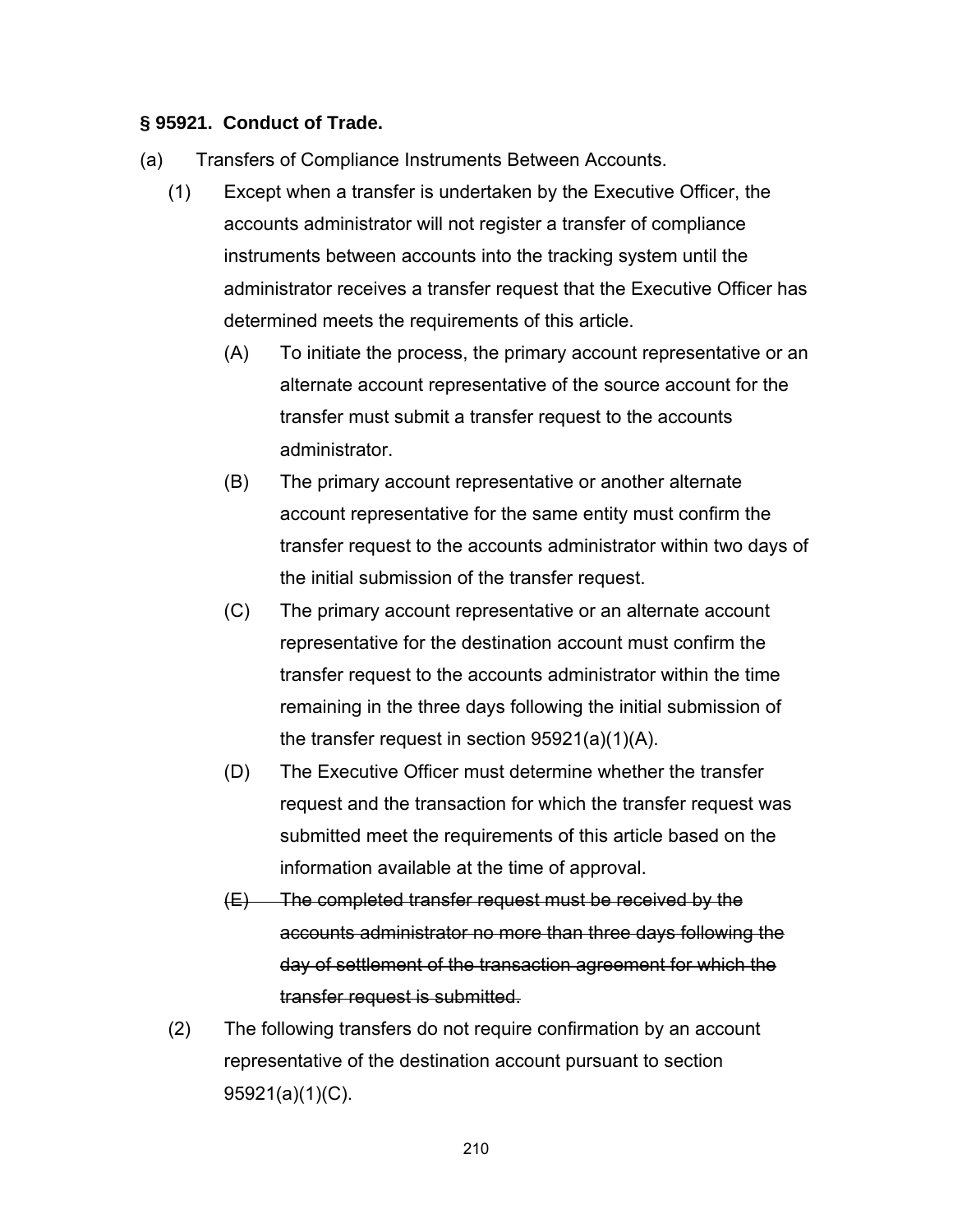#### **§ 95921. Conduct of Trade.**

- (a) Transfers of Compliance Instruments Between Accounts.
	- (1) Except when a transfer is undertaken by the Executive Officer, the accounts administrator will not register a transfer of compliance instruments between accounts into the tracking system until the administrator receives a transfer request that the Executive Officer has determined meets the requirements of this article.
		- (A) To initiate the process, the primary account representative or an alternate account representative of the source account for the transfer must submit a transfer request to the accounts administrator.
		- (B) The primary account representative or another alternate account representative for the same entity must confirm the transfer request to the accounts administrator within two days of the initial submission of the transfer request.
		- (C) The primary account representative or an alternate account representative for the destination account must confirm the transfer request to the accounts administrator within the time remaining in the three days following the initial submission of the transfer request in section 95921(a)(1)(A).
		- (D) The Executive Officer must determine whether the transfer request and the transaction for which the transfer request was submitted meet the requirements of this article based on the information available at the time of approval.
		- $(E)$  The completed transfer request must be received by the accounts administrator no more than three days following the day of settlement of the transaction agreement for which the transfer request is submitted.
	- (2) The following transfers do not require confirmation by an account representative of the destination account pursuant to section 95921(a)(1)(C).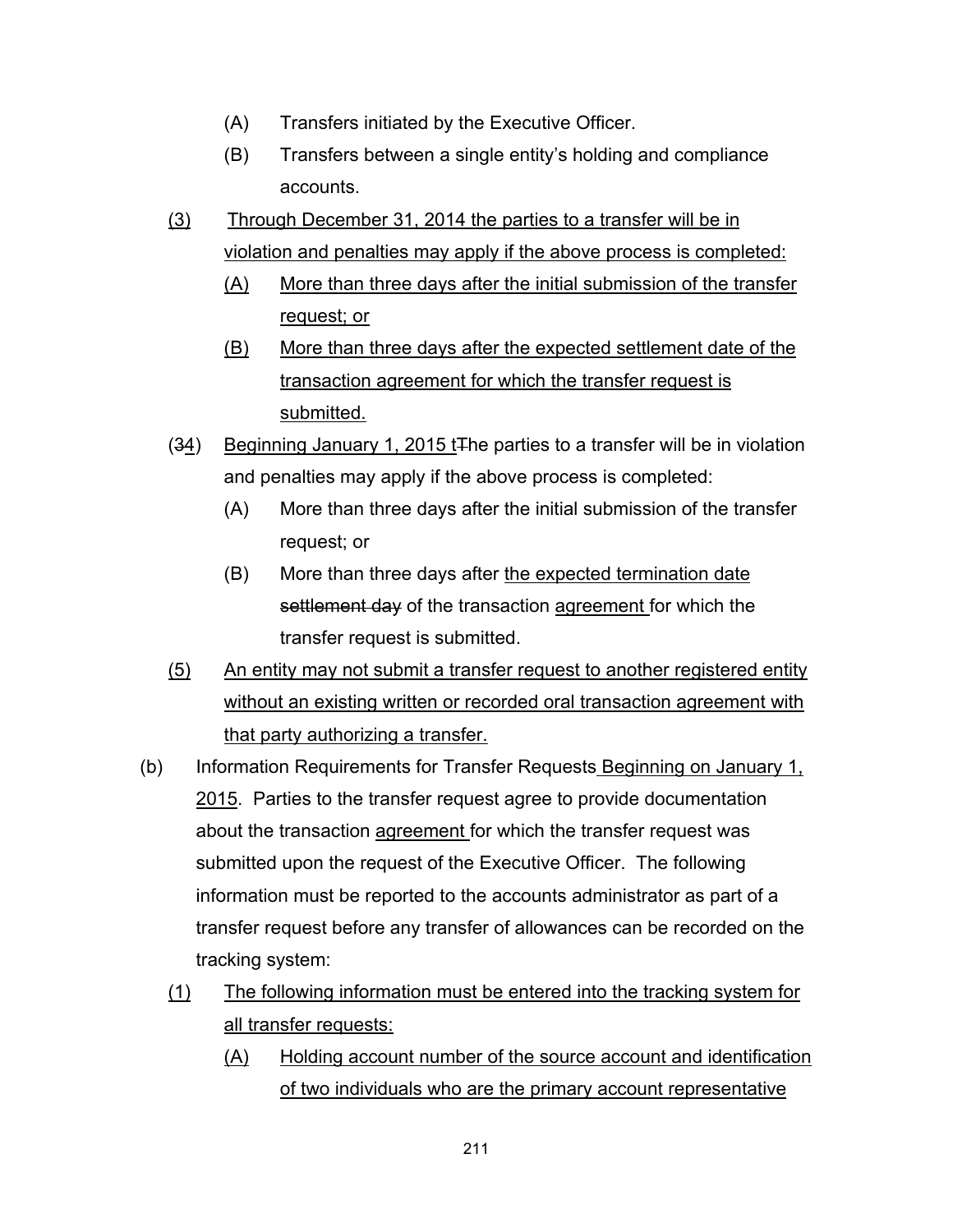- (A) Transfers initiated by the Executive Officer.
- (B) Transfers between a single entity's holding and compliance accounts.
- (3) Through December 31, 2014 the parties to a transfer will be in violation and penalties may apply if the above process is completed:
	- (A) More than three days after the initial submission of the transfer request; or
	- (B) More than three days after the expected settlement date of the transaction agreement for which the transfer request is submitted.
- (34) Beginning January 1, 2015 tThe parties to a transfer will be in violation and penalties may apply if the above process is completed:
	- (A) More than three days after the initial submission of the transfer request; or
	- (B) More than three days after the expected termination date settlement day of the transaction agreement for which the transfer request is submitted.
- (5) An entity may not submit a transfer request to another registered entity without an existing written or recorded oral transaction agreement with that party authorizing a transfer.
- (b) Information Requirements for Transfer Requests Beginning on January 1, 2015. Parties to the transfer request agree to provide documentation about the transaction agreement for which the transfer request was submitted upon the request of the Executive Officer. The following information must be reported to the accounts administrator as part of a transfer request before any transfer of allowances can be recorded on the tracking system:
	- (1) The following information must be entered into the tracking system for all transfer requests:
		- (A) Holding account number of the source account and identification of two individuals who are the primary account representative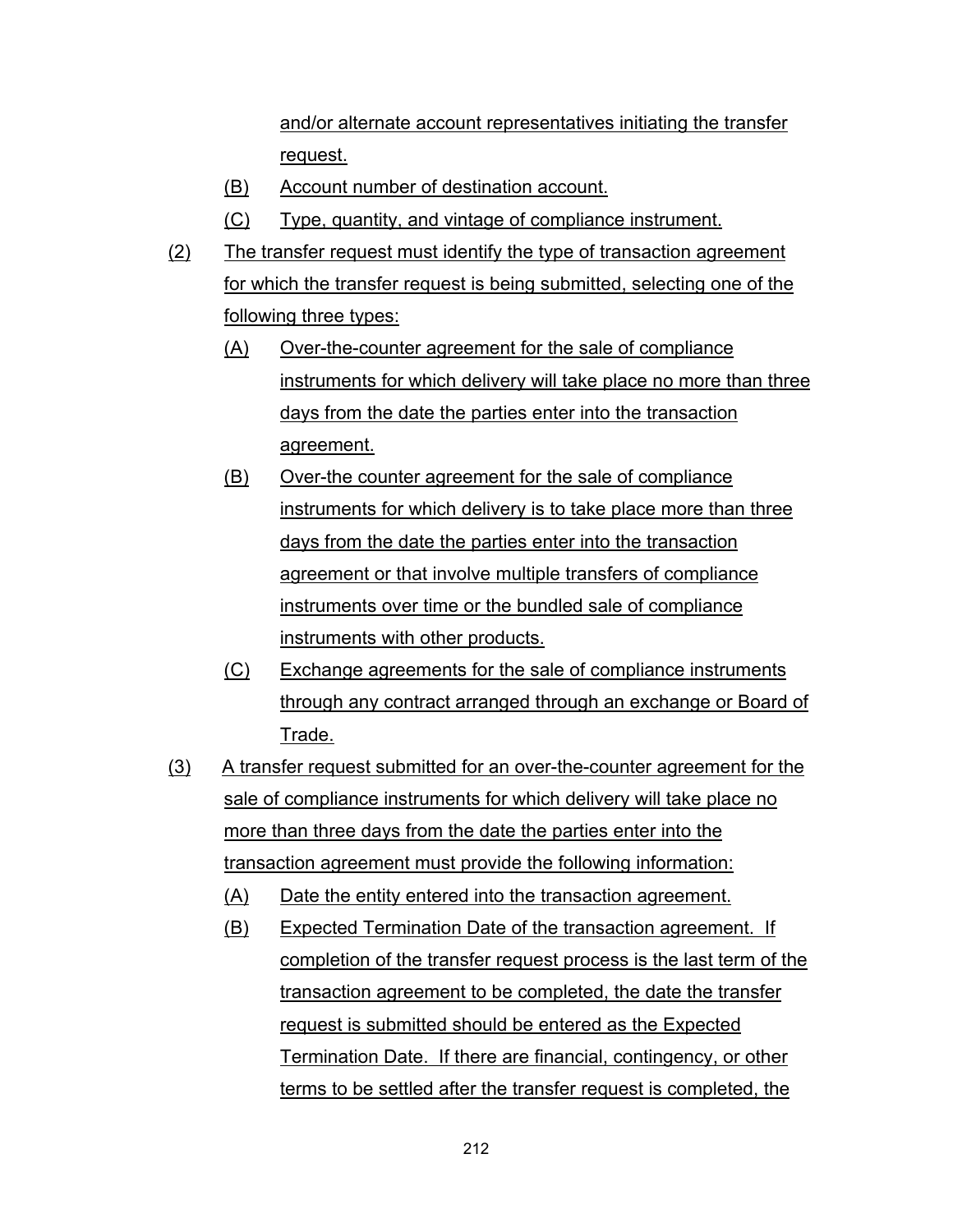and/or alternate account representatives initiating the transfer request.

- (B) Account number of destination account.
- (C) Type, quantity, and vintage of compliance instrument.
- (2) The transfer request must identify the type of transaction agreement for which the transfer request is being submitted, selecting one of the following three types:
	- (A) Over-the-counter agreement for the sale of compliance instruments for which delivery will take place no more than three days from the date the parties enter into the transaction agreement.
	- (B) Over-the counter agreement for the sale of compliance instruments for which delivery is to take place more than three days from the date the parties enter into the transaction agreement or that involve multiple transfers of compliance instruments over time or the bundled sale of compliance instruments with other products.
	- (C) Exchange agreements for the sale of compliance instruments through any contract arranged through an exchange or Board of Trade.
- (3) A transfer request submitted for an over-the-counter agreement for the sale of compliance instruments for which delivery will take place no more than three days from the date the parties enter into the transaction agreement must provide the following information:
	- (A) Date the entity entered into the transaction agreement.
	- (B) Expected Termination Date of the transaction agreement. If completion of the transfer request process is the last term of the transaction agreement to be completed, the date the transfer request is submitted should be entered as the Expected Termination Date. If there are financial, contingency, or other terms to be settled after the transfer request is completed, the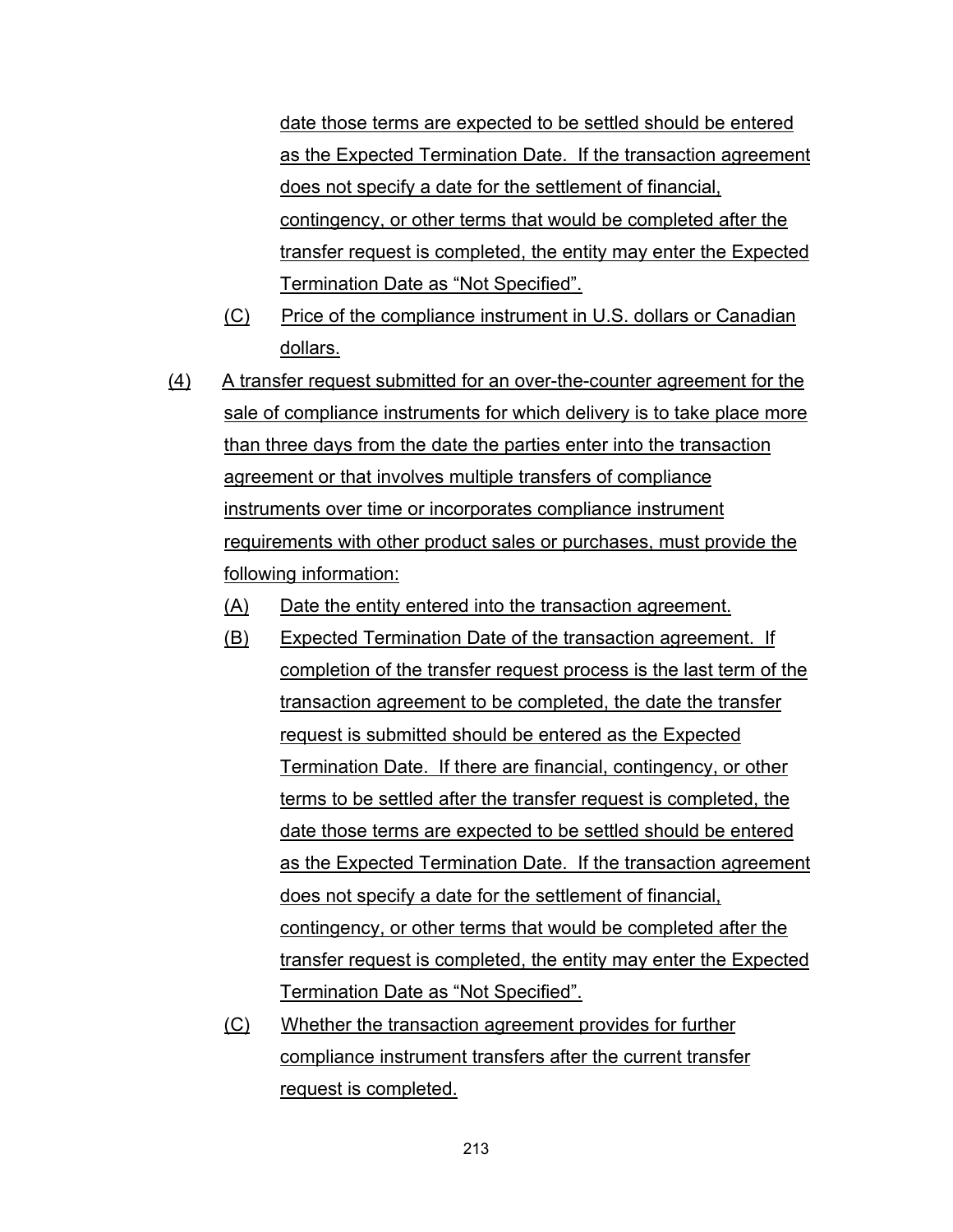date those terms are expected to be settled should be entered as the Expected Termination Date. If the transaction agreement does not specify a date for the settlement of financial, contingency, or other terms that would be completed after the transfer request is completed, the entity may enter the Expected Termination Date as "Not Specified".

- (C) Price of the compliance instrument in U.S. dollars or Canadian dollars.
- (4) A transfer request submitted for an over-the-counter agreement for the sale of compliance instruments for which delivery is to take place more than three days from the date the parties enter into the transaction agreement or that involves multiple transfers of compliance instruments over time or incorporates compliance instrument requirements with other product sales or purchases, must provide the following information:
	- (A) Date the entity entered into the transaction agreement.
	- (B) Expected Termination Date of the transaction agreement. If completion of the transfer request process is the last term of the transaction agreement to be completed, the date the transfer request is submitted should be entered as the Expected Termination Date. If there are financial, contingency, or other terms to be settled after the transfer request is completed, the date those terms are expected to be settled should be entered as the Expected Termination Date. If the transaction agreement does not specify a date for the settlement of financial, contingency, or other terms that would be completed after the transfer request is completed, the entity may enter the Expected Termination Date as "Not Specified".
	- (C) Whether the transaction agreement provides for further compliance instrument transfers after the current transfer request is completed.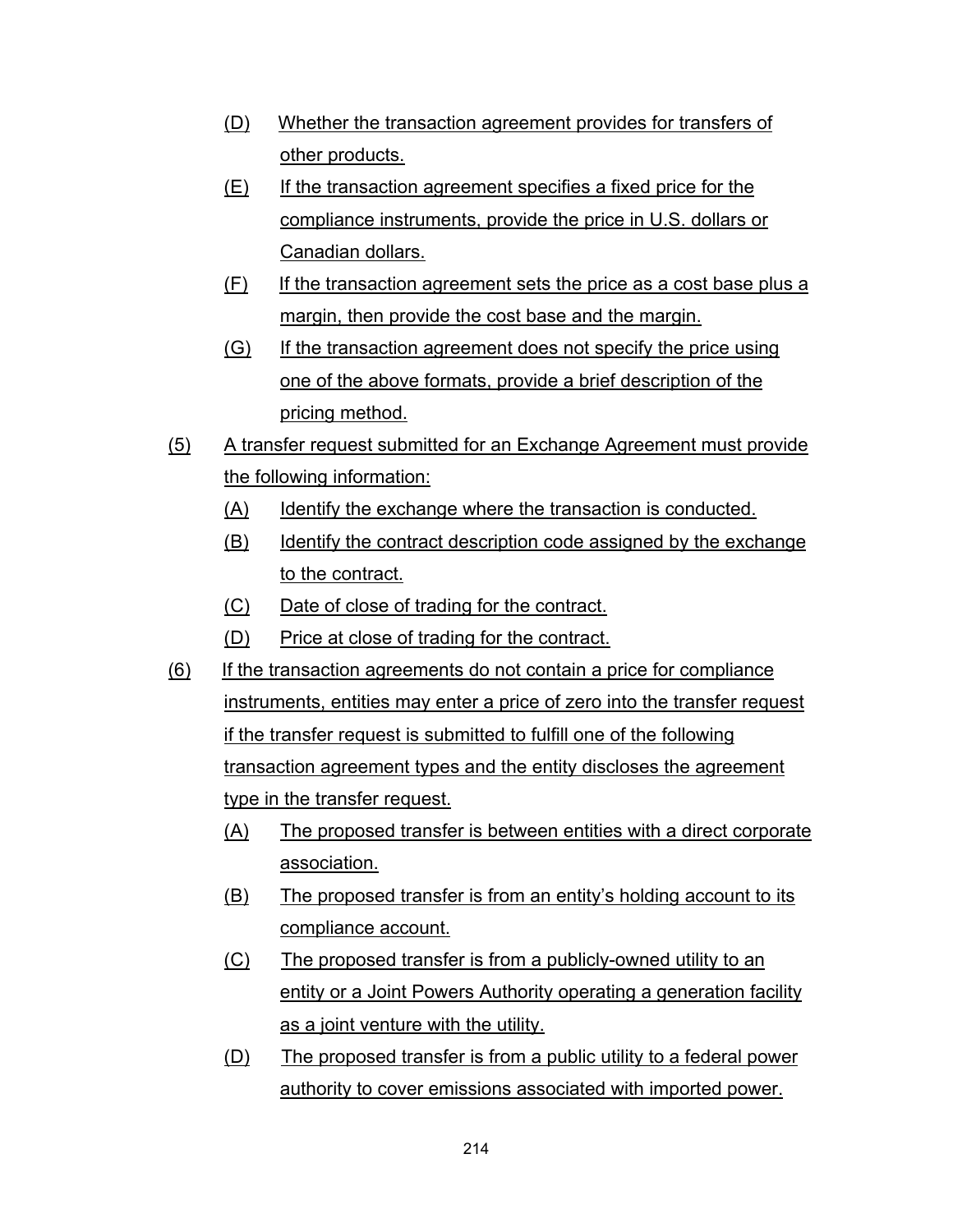- (D) Whether the transaction agreement provides for transfers of other products.
- (E) If the transaction agreement specifies a fixed price for the compliance instruments, provide the price in U.S. dollars or Canadian dollars.
- (F) If the transaction agreement sets the price as a cost base plus a margin, then provide the cost base and the margin.
- (G) If the transaction agreement does not specify the price using one of the above formats, provide a brief description of the pricing method.
- (5) A transfer request submitted for an Exchange Agreement must provide the following information:
	- (A) Identify the exchange where the transaction is conducted.
	- (B) Identify the contract description code assigned by the exchange to the contract.
	- (C) Date of close of trading for the contract.
	- (D) Price at close of trading for the contract.
- (6) If the transaction agreements do not contain a price for compliance instruments, entities may enter a price of zero into the transfer request if the transfer request is submitted to fulfill one of the following transaction agreement types and the entity discloses the agreement type in the transfer request.
	- (A) The proposed transfer is between entities with a direct corporate association.
	- (B) The proposed transfer is from an entity's holding account to its compliance account.
	- (C) The proposed transfer is from a publicly-owned utility to an entity or a Joint Powers Authority operating a generation facility as a joint venture with the utility.
	- (D) The proposed transfer is from a public utility to a federal power authority to cover emissions associated with imported power.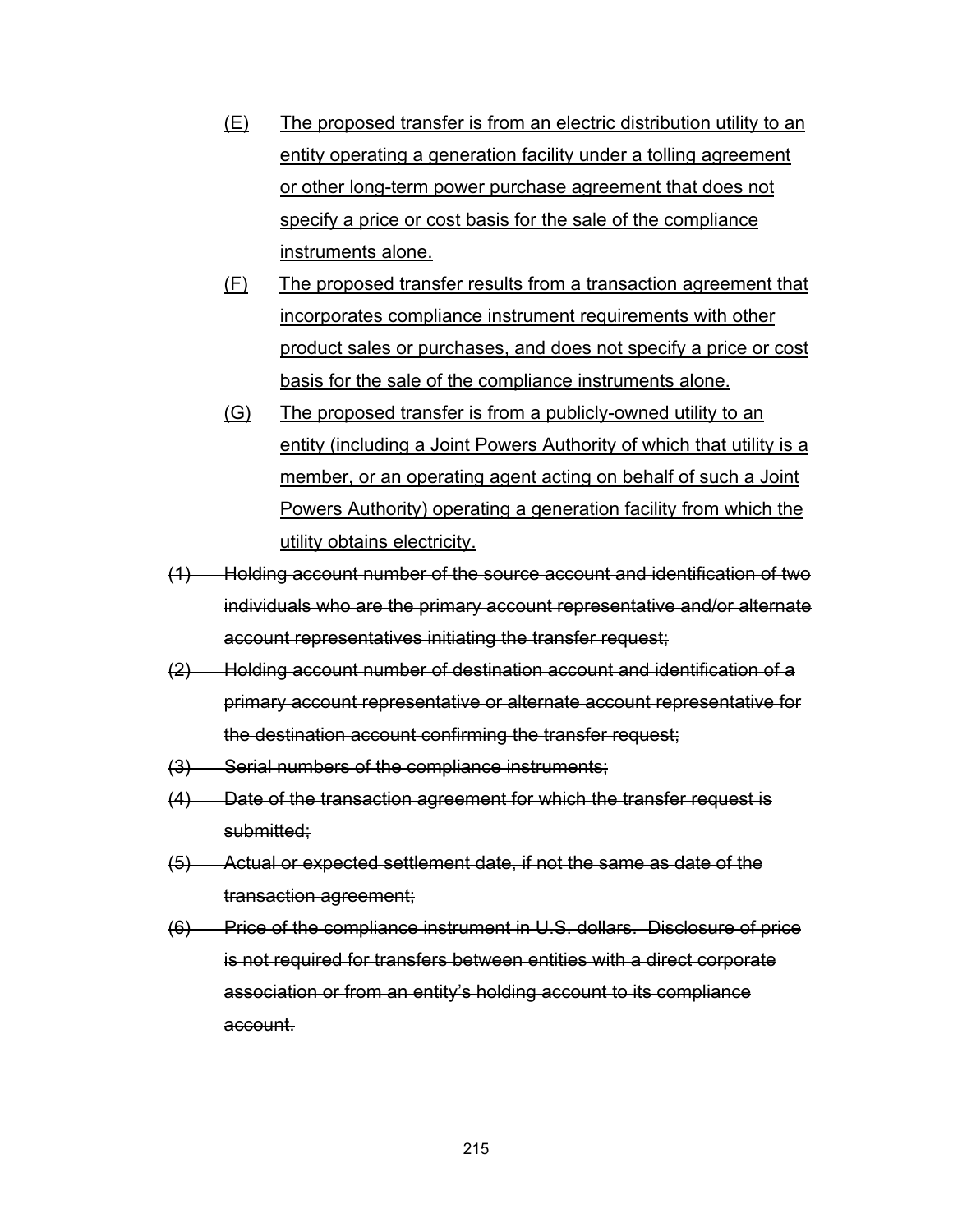- (E) The proposed transfer is from an electric distribution utility to an entity operating a generation facility under a tolling agreement or other long-term power purchase agreement that does not specify a price or cost basis for the sale of the compliance instruments alone.
- (F) The proposed transfer results from a transaction agreement that incorporates compliance instrument requirements with other product sales or purchases, and does not specify a price or cost basis for the sale of the compliance instruments alone.
- (G) The proposed transfer is from a publicly-owned utility to an entity (including a Joint Powers Authority of which that utility is a member, or an operating agent acting on behalf of such a Joint Powers Authority) operating a generation facility from which the utility obtains electricity.
- (1) Holding account number of the source account and identification of two individuals who are the primary account representative and/or alternate account representatives initiating the transfer request;
- (2) Holding account number of destination account and identification of a primary account representative or alternate account representative for the destination account confirming the transfer request;
- (3) Serial numbers of the compliance instruments;
- (4) Date of the transaction agreement for which the transfer request is submitted:
- (5) Actual or expected settlement date, if not the same as date of the transaction agreement;
- (6) Price of the compliance instrument in U.S. dollars. Disclosure of price is not required for transfers between entities with a direct corporate association or from an entity's holding account to its compliance account.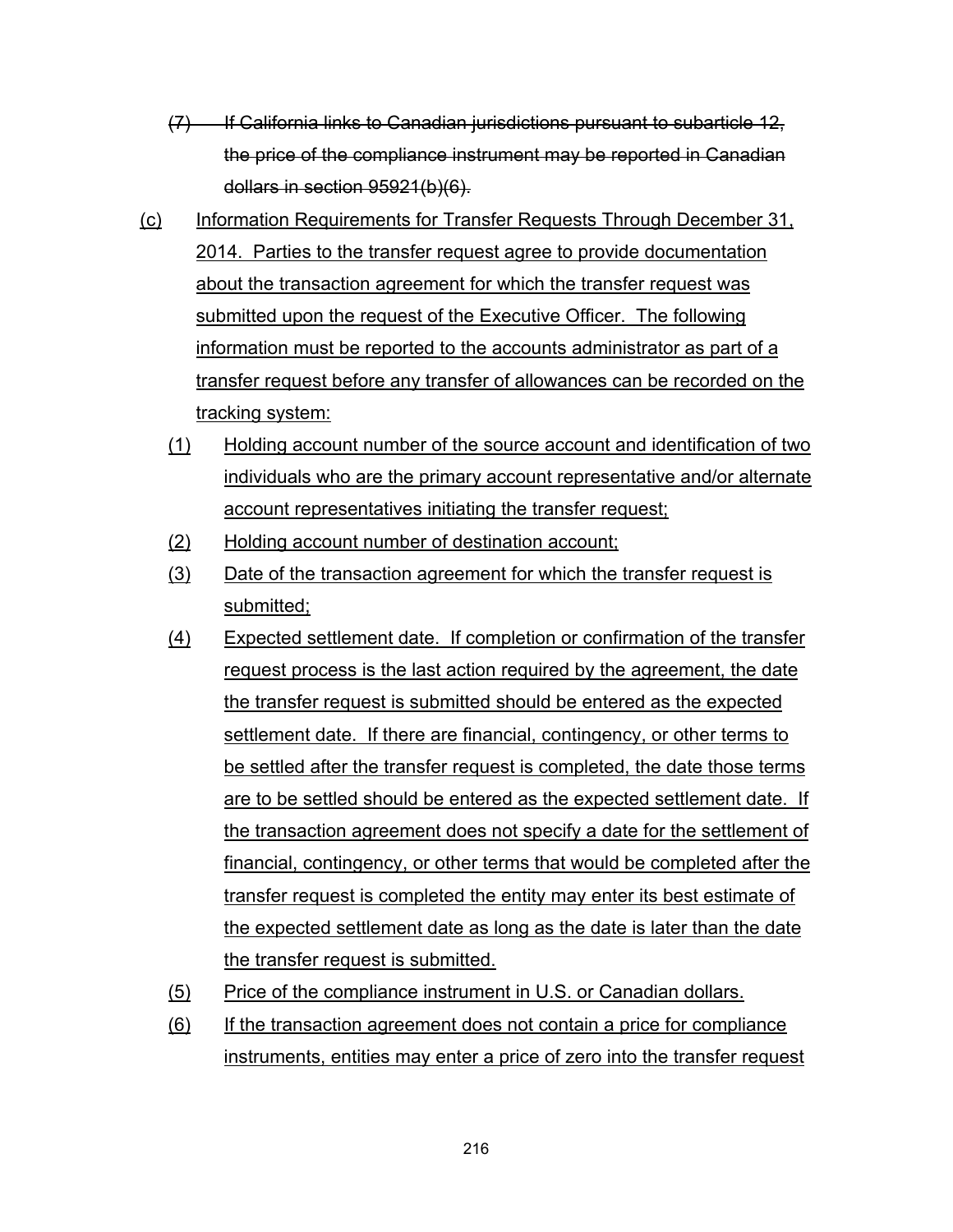- (7) If California links to Canadian jurisdictions pursuant to subarticle 12, the price of the compliance instrument may be reported in Canadian dollars in section 95921(b)(6).
- (c) Information Requirements for Transfer Requests Through December 31, 2014. Parties to the transfer request agree to provide documentation about the transaction agreement for which the transfer request was submitted upon the request of the Executive Officer. The following information must be reported to the accounts administrator as part of a transfer request before any transfer of allowances can be recorded on the tracking system:
	- (1) Holding account number of the source account and identification of two individuals who are the primary account representative and/or alternate account representatives initiating the transfer request;
	- (2) Holding account number of destination account;
	- (3) Date of the transaction agreement for which the transfer request is submitted;
	- (4) Expected settlement date. If completion or confirmation of the transfer request process is the last action required by the agreement, the date the transfer request is submitted should be entered as the expected settlement date. If there are financial, contingency, or other terms to be settled after the transfer request is completed, the date those terms are to be settled should be entered as the expected settlement date. If the transaction agreement does not specify a date for the settlement of financial, contingency, or other terms that would be completed after the transfer request is completed the entity may enter its best estimate of the expected settlement date as long as the date is later than the date the transfer request is submitted.
	- (5) Price of the compliance instrument in U.S. or Canadian dollars.
	- (6) If the transaction agreement does not contain a price for compliance instruments, entities may enter a price of zero into the transfer request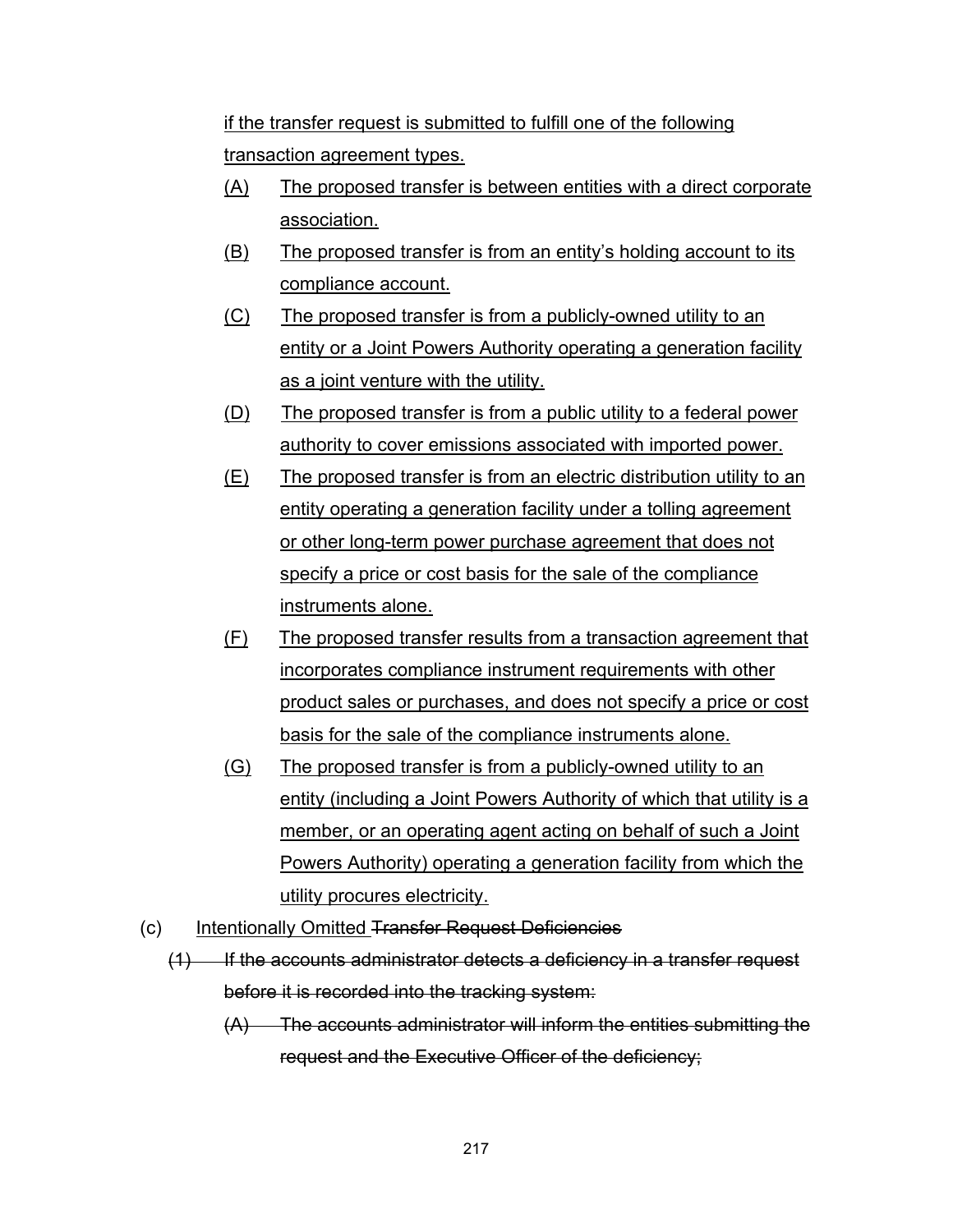if the transfer request is submitted to fulfill one of the following transaction agreement types.

- (A) The proposed transfer is between entities with a direct corporate association.
- (B) The proposed transfer is from an entity's holding account to its compliance account.
- (C) The proposed transfer is from a publicly-owned utility to an entity or a Joint Powers Authority operating a generation facility as a joint venture with the utility.
- (D) The proposed transfer is from a public utility to a federal power authority to cover emissions associated with imported power.
- (E) The proposed transfer is from an electric distribution utility to an entity operating a generation facility under a tolling agreement or other long-term power purchase agreement that does not specify a price or cost basis for the sale of the compliance instruments alone.
- (F) The proposed transfer results from a transaction agreement that incorporates compliance instrument requirements with other product sales or purchases, and does not specify a price or cost basis for the sale of the compliance instruments alone.
- (G) The proposed transfer is from a publicly-owned utility to an entity (including a Joint Powers Authority of which that utility is a member, or an operating agent acting on behalf of such a Joint Powers Authority) operating a generation facility from which the utility procures electricity.
- (c) Intentionally Omitted Transfer Request Deficiencies
	- (1) If the accounts administrator detects a deficiency in a transfer request before it is recorded into the tracking system:
		- (A) The accounts administrator will inform the entities submitting the request and the Executive Officer of the deficiency;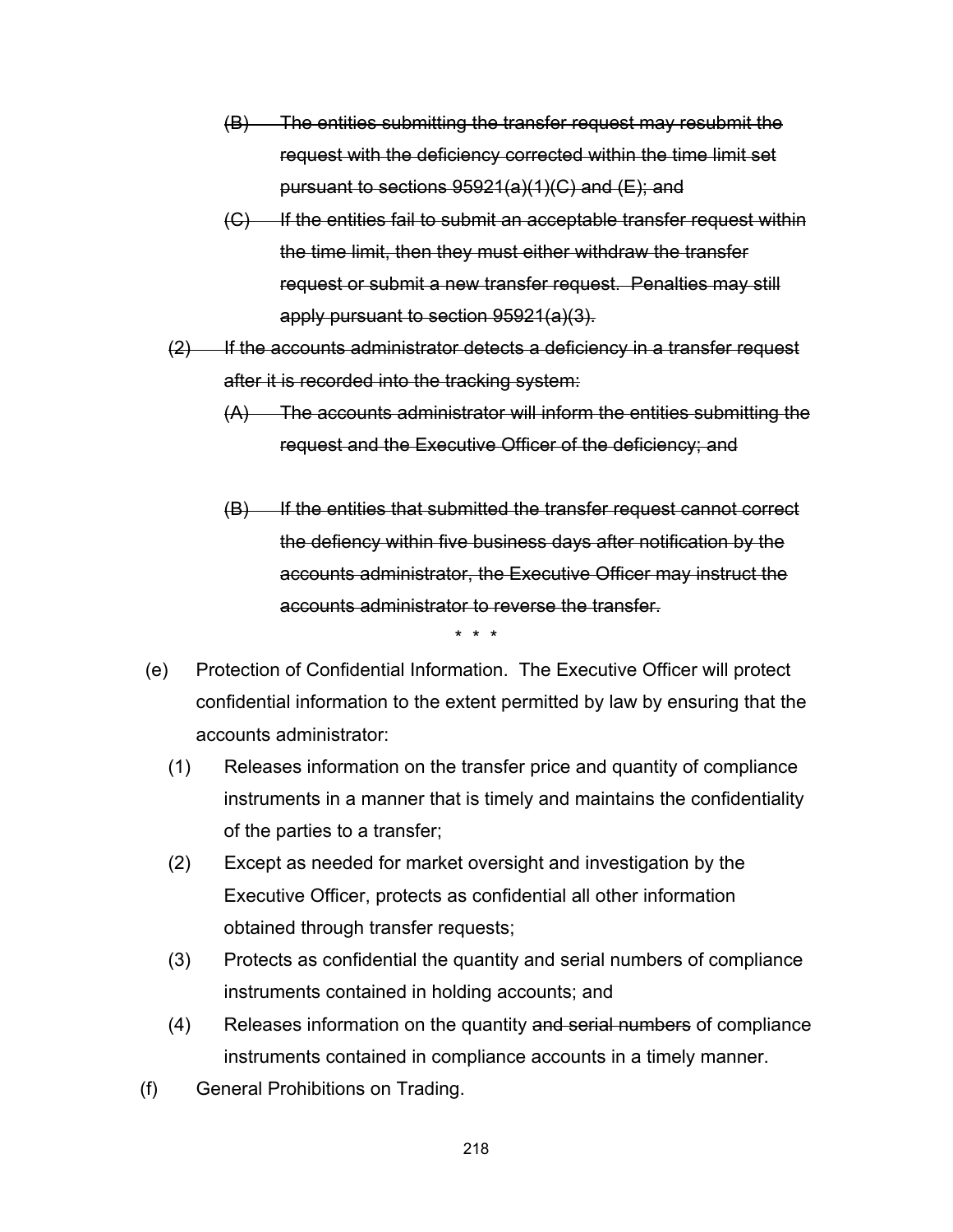- (B) The entities submitting the transfer request may resubmit the request with the deficiency corrected within the time limit set pursuant to sections 95921(a)(1)(C) and (E); and
- $(C)$  If the entities fail to submit an acceptable transfer request within the time limit, then they must either withdraw the transfer request or submit a new transfer request. Penalties may still apply pursuant to section 95921(a)(3).
- $(2)$  If the accounts administrator detects a deficiency in a transfer request after it is recorded into the tracking system:
	- (A) The accounts administrator will inform the entities submitting the request and the Executive Officer of the deficiency; and
	- (B) If the entities that submitted the transfer request cannot correct the defiency within five business days after notification by the accounts administrator, the Executive Officer may instruct the accounts administrator to reverse the transfer.

\* \* \*

- (e) Protection of Confidential Information. The Executive Officer will protect confidential information to the extent permitted by law by ensuring that the accounts administrator:
	- (1) Releases information on the transfer price and quantity of compliance instruments in a manner that is timely and maintains the confidentiality of the parties to a transfer;
	- (2) Except as needed for market oversight and investigation by the Executive Officer, protects as confidential all other information obtained through transfer requests;
	- (3) Protects as confidential the quantity and serial numbers of compliance instruments contained in holding accounts; and
	- (4) Releases information on the quantity and serial numbers of compliance instruments contained in compliance accounts in a timely manner.
- (f) General Prohibitions on Trading.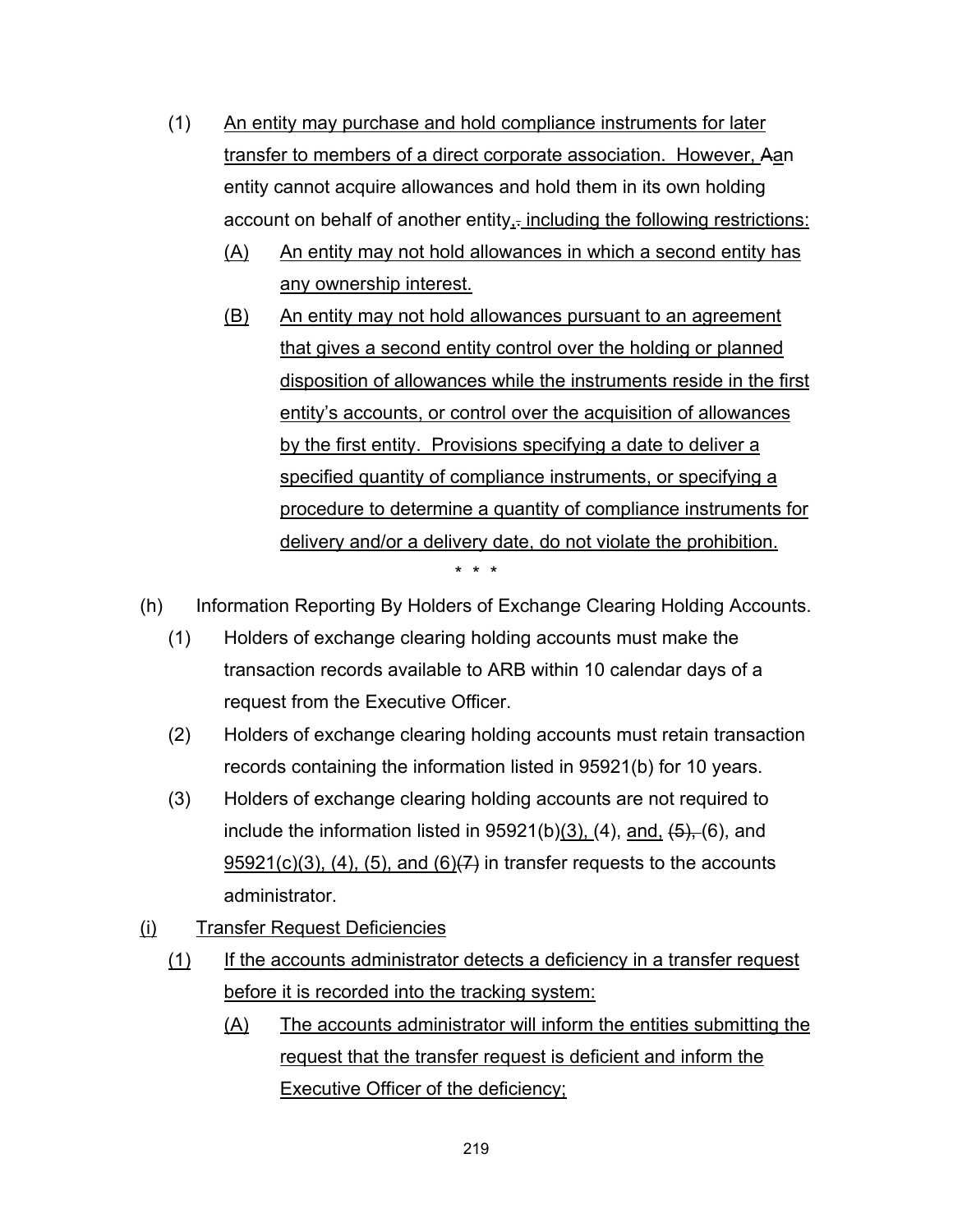- (1) An entity may purchase and hold compliance instruments for later transfer to members of a direct corporate association. However, Aan entity cannot acquire allowances and hold them in its own holding account on behalf of another entity<sub>1</sub>. including the following restrictions:
	- (A) An entity may not hold allowances in which a second entity has any ownership interest.
	- (B) An entity may not hold allowances pursuant to an agreement that gives a second entity control over the holding or planned disposition of allowances while the instruments reside in the first entity's accounts, or control over the acquisition of allowances by the first entity. Provisions specifying a date to deliver a specified quantity of compliance instruments, or specifying a procedure to determine a quantity of compliance instruments for delivery and/or a delivery date, do not violate the prohibition. \* \* \*
- (h) Information Reporting By Holders of Exchange Clearing Holding Accounts.
	- (1) Holders of exchange clearing holding accounts must make the transaction records available to ARB within 10 calendar days of a request from the Executive Officer.
	- (2) Holders of exchange clearing holding accounts must retain transaction records containing the information listed in 95921(b) for 10 years.
	- (3) Holders of exchange clearing holding accounts are not required to include the information listed in  $95921(b)(3)$ , (4), and,  $\overline{(5)}$ , (6), and  $95921(c)(3)$ , (4), (5), and (6) $(7)$  in transfer requests to the accounts administrator.
- (i) Transfer Request Deficiencies
	- (1) If the accounts administrator detects a deficiency in a transfer request before it is recorded into the tracking system:
		- (A) The accounts administrator will inform the entities submitting the request that the transfer request is deficient and inform the Executive Officer of the deficiency;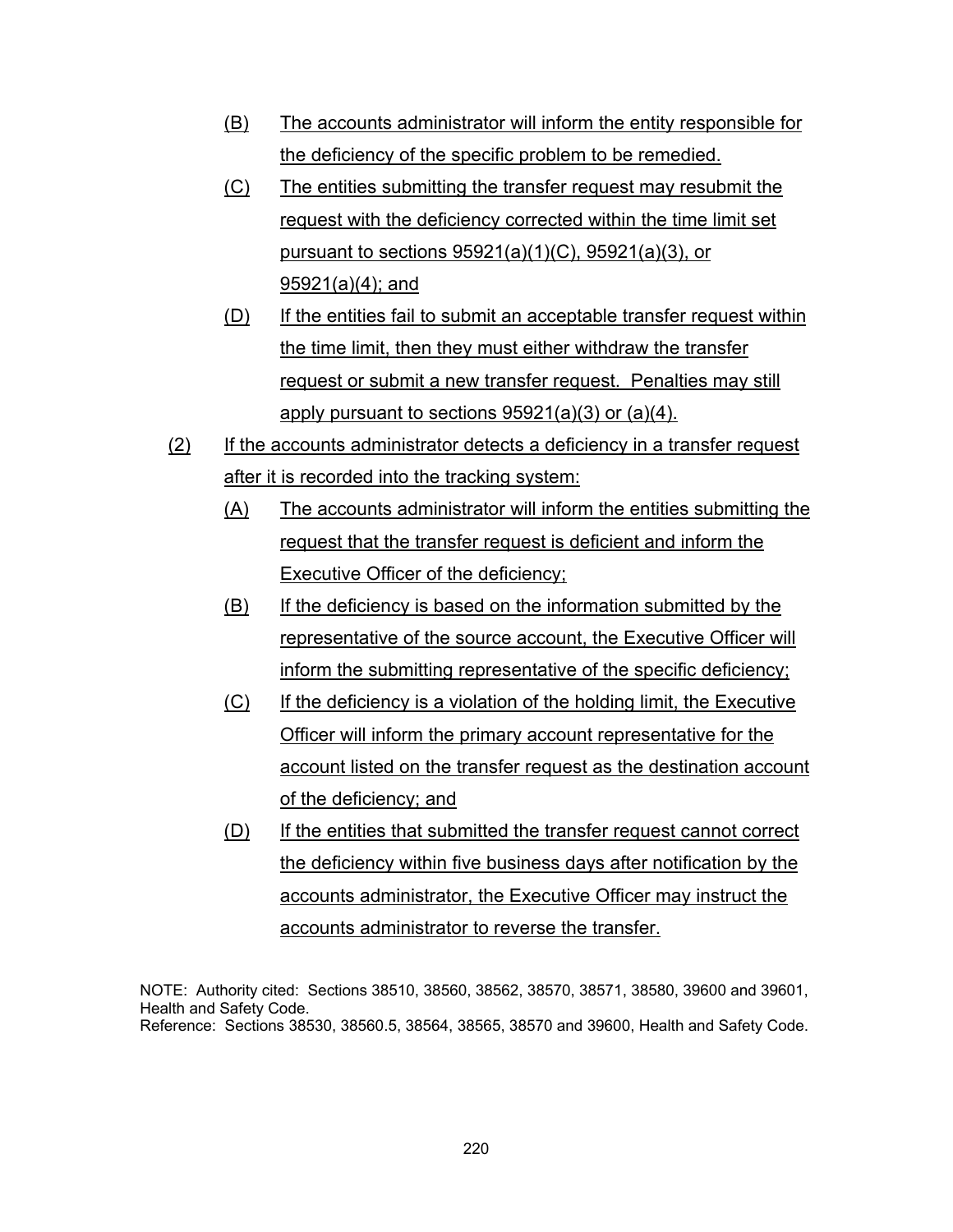- (B) The accounts administrator will inform the entity responsible for the deficiency of the specific problem to be remedied.
- (C) The entities submitting the transfer request may resubmit the request with the deficiency corrected within the time limit set pursuant to sections 95921(a)(1)(C), 95921(a)(3), or 95921(a)(4); and
- (D) If the entities fail to submit an acceptable transfer request within the time limit, then they must either withdraw the transfer request or submit a new transfer request. Penalties may still apply pursuant to sections 95921(a)(3) or (a)(4).
- (2) If the accounts administrator detects a deficiency in a transfer request after it is recorded into the tracking system:
	- (A) The accounts administrator will inform the entities submitting the request that the transfer request is deficient and inform the Executive Officer of the deficiency;
	- (B) If the deficiency is based on the information submitted by the representative of the source account, the Executive Officer will inform the submitting representative of the specific deficiency;
	- (C) If the deficiency is a violation of the holding limit, the Executive Officer will inform the primary account representative for the account listed on the transfer request as the destination account of the deficiency; and
	- (D) If the entities that submitted the transfer request cannot correct the deficiency within five business days after notification by the accounts administrator, the Executive Officer may instruct the accounts administrator to reverse the transfer.

NOTE: Authority cited: Sections 38510, 38560, 38562, 38570, 38571, 38580, 39600 and 39601, Health and Safety Code. Reference: Sections 38530, 38560.5, 38564, 38565, 38570 and 39600, Health and Safety Code.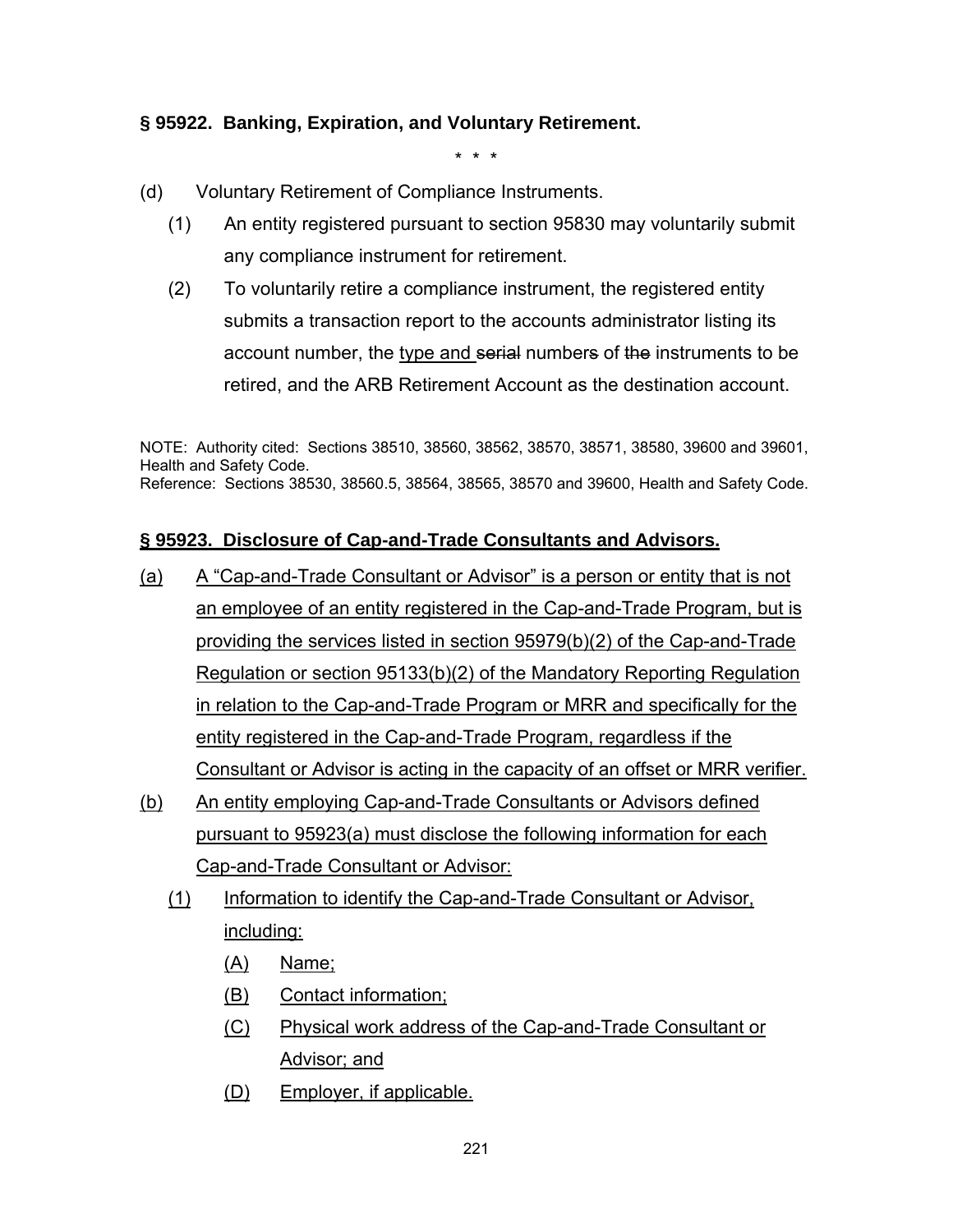### **§ 95922. Banking, Expiration, and Voluntary Retirement.**

\* \* \*

- (d) Voluntary Retirement of Compliance Instruments.
	- (1) An entity registered pursuant to section 95830 may voluntarily submit any compliance instrument for retirement.
	- (2) To voluntarily retire a compliance instrument, the registered entity submits a transaction report to the accounts administrator listing its account number, the type and serial numbers of the instruments to be retired, and the ARB Retirement Account as the destination account.

NOTE: Authority cited: Sections 38510, 38560, 38562, 38570, 38571, 38580, 39600 and 39601, Health and Safety Code. Reference: Sections 38530, 38560.5, 38564, 38565, 38570 and 39600, Health and Safety Code.

### **§ 95923. Disclosure of Cap-and-Trade Consultants and Advisors.**

- (a) A "Cap-and-Trade Consultant or Advisor" is a person or entity that is not an employee of an entity registered in the Cap-and-Trade Program, but is providing the services listed in section 95979(b)(2) of the Cap-and-Trade Regulation or section 95133(b)(2) of the Mandatory Reporting Regulation in relation to the Cap-and-Trade Program or MRR and specifically for the entity registered in the Cap-and-Trade Program, regardless if the Consultant or Advisor is acting in the capacity of an offset or MRR verifier.
- (b) An entity employing Cap-and-Trade Consultants or Advisors defined pursuant to 95923(a) must disclose the following information for each Cap-and-Trade Consultant or Advisor:
	- (1) Information to identify the Cap-and-Trade Consultant or Advisor, including:
		- (A) Name;
		- (B) Contact information;
		- (C) Physical work address of the Cap-and-Trade Consultant or Advisor; and
		- (D) Employer, if applicable.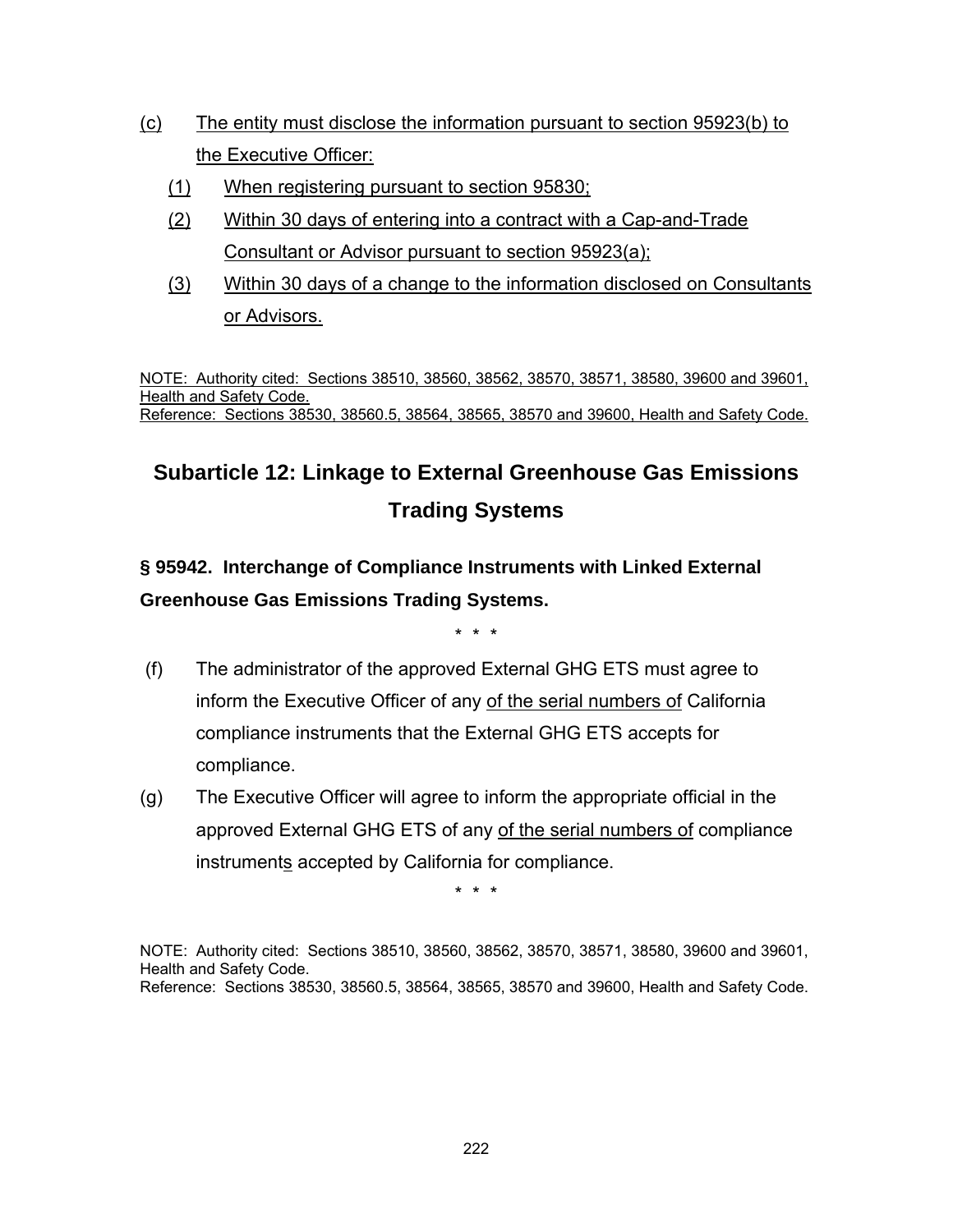- (c) The entity must disclose the information pursuant to section 95923(b) to the Executive Officer:
	- (1) When registering pursuant to section 95830;
	- (2) Within 30 days of entering into a contract with a Cap-and-Trade Consultant or Advisor pursuant to section 95923(a);
	- (3) Within 30 days of a change to the information disclosed on Consultants or Advisors.

NOTE: Authority cited: Sections 38510, 38560, 38562, 38570, 38571, 38580, 39600 and 39601, Health and Safety Code. Reference: Sections 38530, 38560.5, 38564, 38565, 38570 and 39600, Health and Safety Code.

# **Subarticle 12: Linkage to External Greenhouse Gas Emissions Trading Systems**

**§ 95942. Interchange of Compliance Instruments with Linked External Greenhouse Gas Emissions Trading Systems.**

\* \* \*

- (f) The administrator of the approved External GHG ETS must agree to inform the Executive Officer of any of the serial numbers of California compliance instruments that the External GHG ETS accepts for compliance.
- (g) The Executive Officer will agree to inform the appropriate official in the approved External GHG ETS of any of the serial numbers of compliance instruments accepted by California for compliance.

\* \* \*

NOTE: Authority cited: Sections 38510, 38560, 38562, 38570, 38571, 38580, 39600 and 39601, Health and Safety Code. Reference: Sections 38530, 38560.5, 38564, 38565, 38570 and 39600, Health and Safety Code.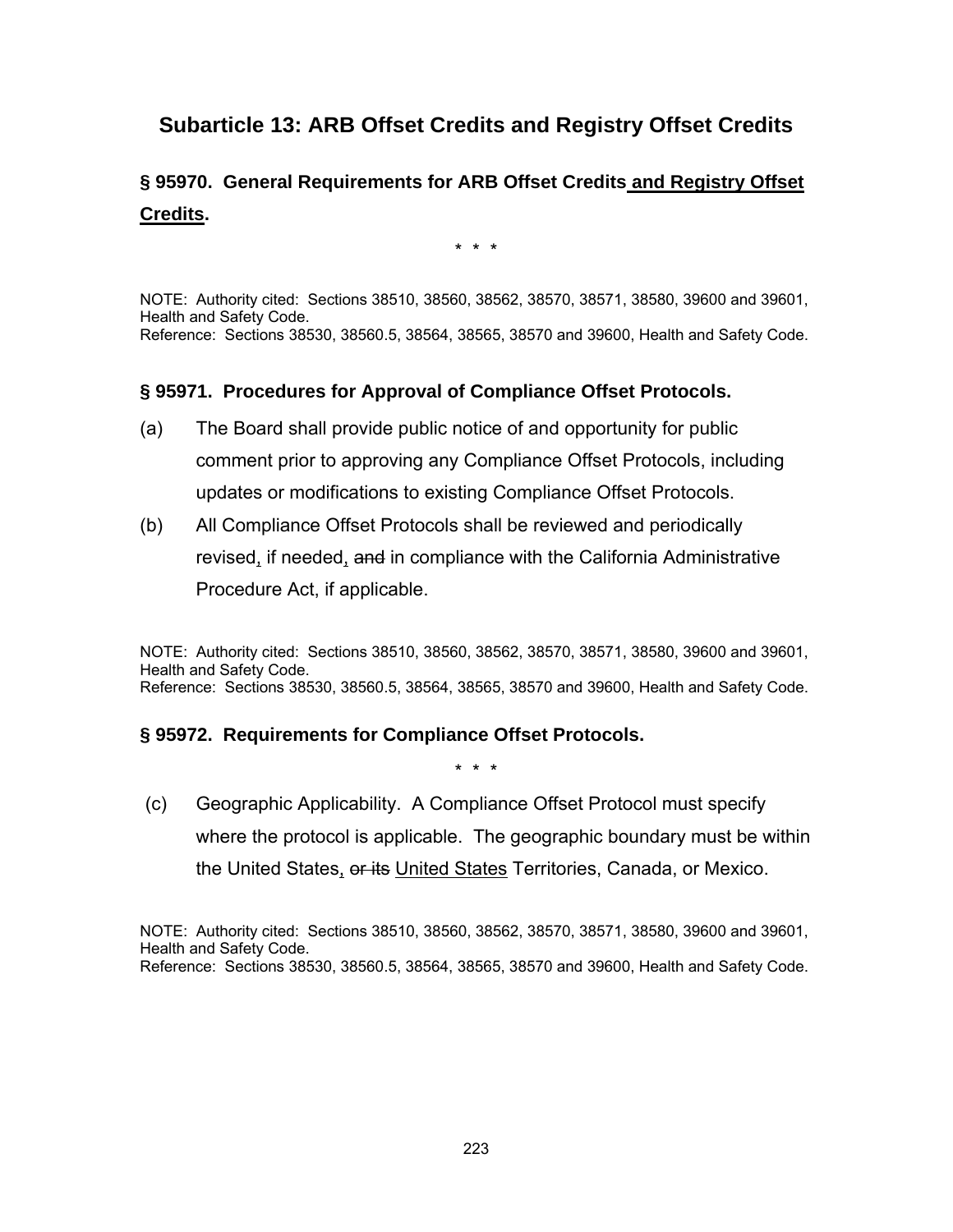### **Subarticle 13: ARB Offset Credits and Registry Offset Credits**

### **§ 95970. General Requirements for ARB Offset Credits and Registry Offset Credits.**

\* \* \*

NOTE: Authority cited: Sections 38510, 38560, 38562, 38570, 38571, 38580, 39600 and 39601, Health and Safety Code. Reference: Sections 38530, 38560.5, 38564, 38565, 38570 and 39600, Health and Safety Code.

#### **§ 95971. Procedures for Approval of Compliance Offset Protocols.**

- (a) The Board shall provide public notice of and opportunity for public comment prior to approving any Compliance Offset Protocols, including updates or modifications to existing Compliance Offset Protocols.
- (b) All Compliance Offset Protocols shall be reviewed and periodically revised, if needed, and in compliance with the California Administrative Procedure Act, if applicable.

NOTE: Authority cited: Sections 38510, 38560, 38562, 38570, 38571, 38580, 39600 and 39601, Health and Safety Code. Reference: Sections 38530, 38560.5, 38564, 38565, 38570 and 39600, Health and Safety Code.

#### **§ 95972. Requirements for Compliance Offset Protocols.**

\* \* \*

 (c) Geographic Applicability. A Compliance Offset Protocol must specify where the protocol is applicable. The geographic boundary must be within the United States, or its United States Territories, Canada, or Mexico.

NOTE: Authority cited: Sections 38510, 38560, 38562, 38570, 38571, 38580, 39600 and 39601, Health and Safety Code. Reference: Sections 38530, 38560.5, 38564, 38565, 38570 and 39600, Health and Safety Code.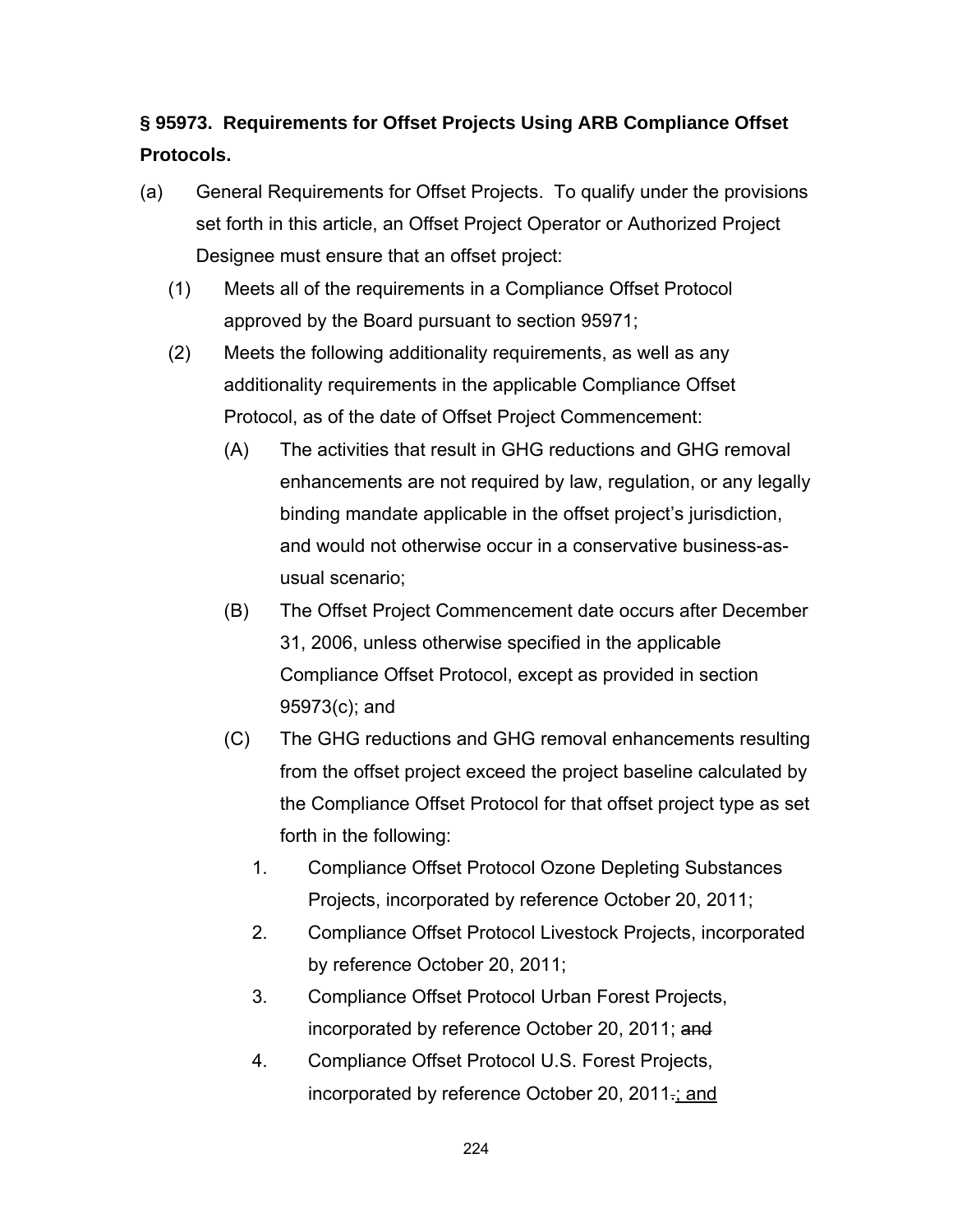## **§ 95973. Requirements for Offset Projects Using ARB Compliance Offset Protocols.**

- (a) General Requirements for Offset Projects. To qualify under the provisions set forth in this article, an Offset Project Operator or Authorized Project Designee must ensure that an offset project:
	- (1) Meets all of the requirements in a Compliance Offset Protocol approved by the Board pursuant to section 95971;
	- (2) Meets the following additionality requirements, as well as any additionality requirements in the applicable Compliance Offset Protocol, as of the date of Offset Project Commencement:
		- (A) The activities that result in GHG reductions and GHG removal enhancements are not required by law, regulation, or any legally binding mandate applicable in the offset project's jurisdiction, and would not otherwise occur in a conservative business-asusual scenario;
		- (B) The Offset Project Commencement date occurs after December 31, 2006, unless otherwise specified in the applicable Compliance Offset Protocol, except as provided in section 95973(c); and
		- (C) The GHG reductions and GHG removal enhancements resulting from the offset project exceed the project baseline calculated by the Compliance Offset Protocol for that offset project type as set forth in the following:
			- 1. Compliance Offset Protocol Ozone Depleting Substances Projects, incorporated by reference October 20, 2011;
			- 2. Compliance Offset Protocol Livestock Projects, incorporated by reference October 20, 2011;
			- 3. Compliance Offset Protocol Urban Forest Projects, incorporated by reference October 20, 2011; and
			- 4. Compliance Offset Protocol U.S. Forest Projects, incorporated by reference October 20, 2011.; and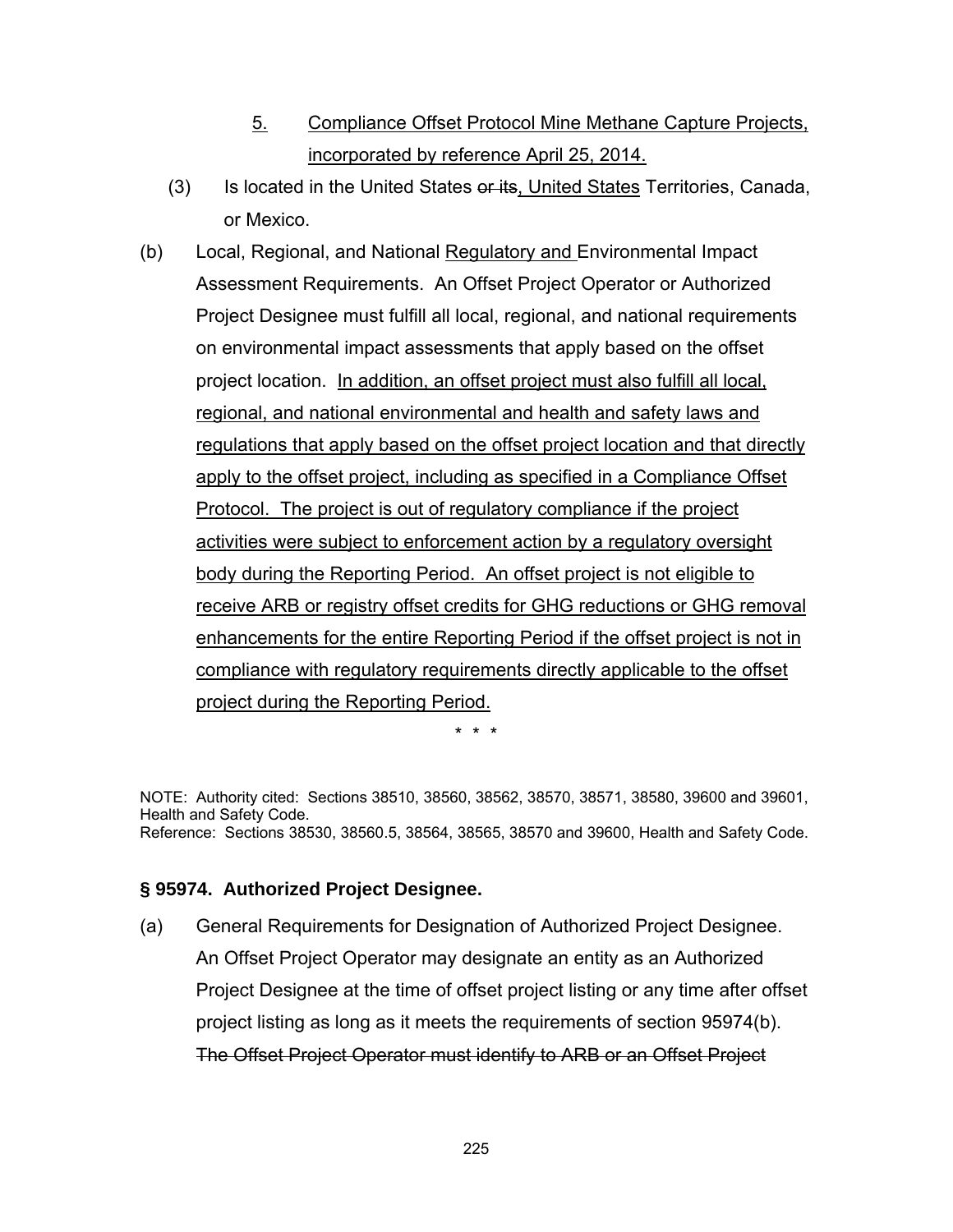- 5. Compliance Offset Protocol Mine Methane Capture Projects, incorporated by reference April 25, 2014.
- (3) Is located in the United States or its, United States Territories, Canada, or Mexico.
- (b) Local, Regional, and National Regulatory and Environmental Impact Assessment Requirements. An Offset Project Operator or Authorized Project Designee must fulfill all local, regional, and national requirements on environmental impact assessments that apply based on the offset project location. In addition, an offset project must also fulfill all local, regional, and national environmental and health and safety laws and regulations that apply based on the offset project location and that directly apply to the offset project, including as specified in a Compliance Offset Protocol. The project is out of regulatory compliance if the project activities were subject to enforcement action by a regulatory oversight body during the Reporting Period. An offset project is not eligible to receive ARB or registry offset credits for GHG reductions or GHG removal enhancements for the entire Reporting Period if the offset project is not in compliance with regulatory requirements directly applicable to the offset project during the Reporting Period.

\* \* \*

NOTE: Authority cited: Sections 38510, 38560, 38562, 38570, 38571, 38580, 39600 and 39601, Health and Safety Code. Reference: Sections 38530, 38560.5, 38564, 38565, 38570 and 39600, Health and Safety Code.

### **§ 95974. Authorized Project Designee.**

(a) General Requirements for Designation of Authorized Project Designee. An Offset Project Operator may designate an entity as an Authorized Project Designee at the time of offset project listing or any time after offset project listing as long as it meets the requirements of section 95974(b). The Offset Project Operator must identify to ARB or an Offset Project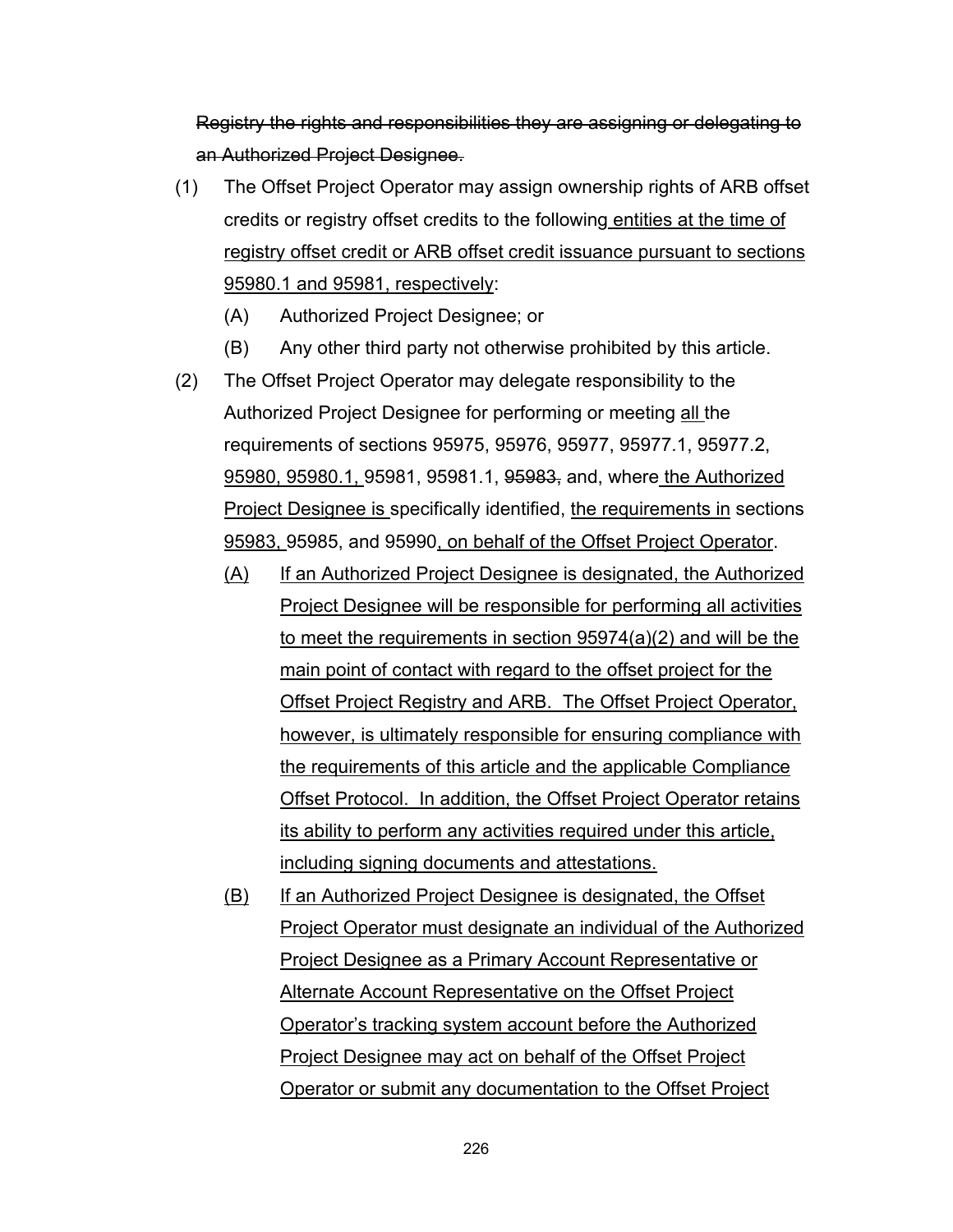Registry the rights and responsibilities they are assigning or delegating to an Authorized Project Designee.

- (1) The Offset Project Operator may assign ownership rights of ARB offset credits or registry offset credits to the following entities at the time of registry offset credit or ARB offset credit issuance pursuant to sections 95980.1 and 95981, respectively:
	- (A) Authorized Project Designee; or
	- (B) Any other third party not otherwise prohibited by this article.
- (2) The Offset Project Operator may delegate responsibility to the Authorized Project Designee for performing or meeting all the requirements of sections 95975, 95976, 95977, 95977.1, 95977.2, 95980, 95980.1, 95981, 95981.1, 95983, and, where the Authorized **Project Designee is specifically identified, the requirements in sections** 95983, 95985, and 95990, on behalf of the Offset Project Operator.
	- (A) If an Authorized Project Designee is designated, the Authorized Project Designee will be responsible for performing all activities to meet the requirements in section 95974(a)(2) and will be the main point of contact with regard to the offset project for the Offset Project Registry and ARB. The Offset Project Operator, however, is ultimately responsible for ensuring compliance with the requirements of this article and the applicable Compliance Offset Protocol. In addition, the Offset Project Operator retains its ability to perform any activities required under this article, including signing documents and attestations.
	- (B) If an Authorized Project Designee is designated, the Offset Project Operator must designate an individual of the Authorized Project Designee as a Primary Account Representative or Alternate Account Representative on the Offset Project Operator's tracking system account before the Authorized Project Designee may act on behalf of the Offset Project Operator or submit any documentation to the Offset Project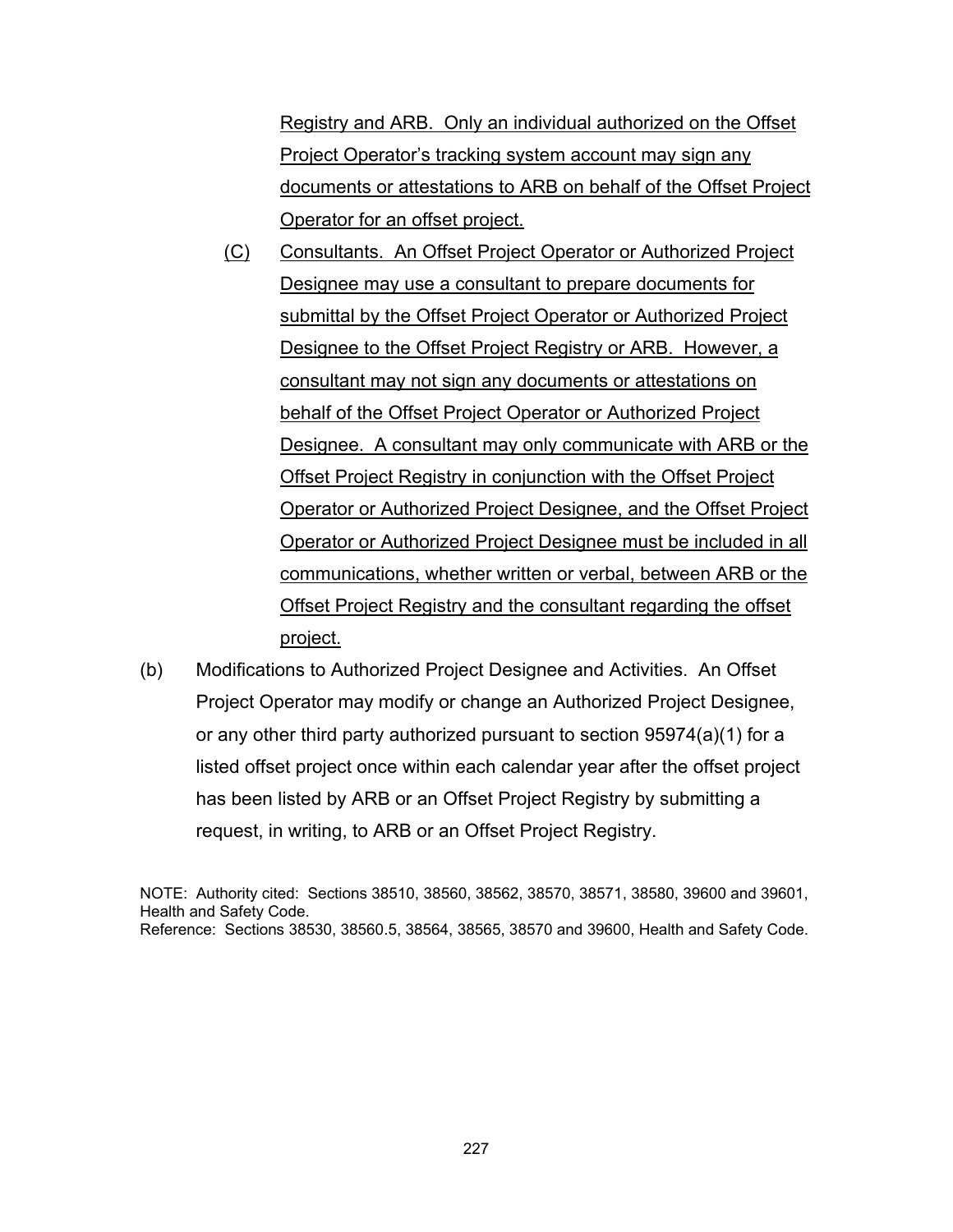Registry and ARB. Only an individual authorized on the Offset Project Operator's tracking system account may sign any documents or attestations to ARB on behalf of the Offset Project Operator for an offset project.

- (C) Consultants. An Offset Project Operator or Authorized Project Designee may use a consultant to prepare documents for submittal by the Offset Project Operator or Authorized Project Designee to the Offset Project Registry or ARB. However, a consultant may not sign any documents or attestations on behalf of the Offset Project Operator or Authorized Project Designee. A consultant may only communicate with ARB or the Offset Project Registry in conjunction with the Offset Project Operator or Authorized Project Designee, and the Offset Project Operator or Authorized Project Designee must be included in all communications, whether written or verbal, between ARB or the Offset Project Registry and the consultant regarding the offset project.
- (b) Modifications to Authorized Project Designee and Activities. An Offset Project Operator may modify or change an Authorized Project Designee, or any other third party authorized pursuant to section 95974(a)(1) for a listed offset project once within each calendar year after the offset project has been listed by ARB or an Offset Project Registry by submitting a request, in writing, to ARB or an Offset Project Registry.

NOTE: Authority cited: Sections 38510, 38560, 38562, 38570, 38571, 38580, 39600 and 39601, Health and Safety Code. Reference: Sections 38530, 38560.5, 38564, 38565, 38570 and 39600, Health and Safety Code.

227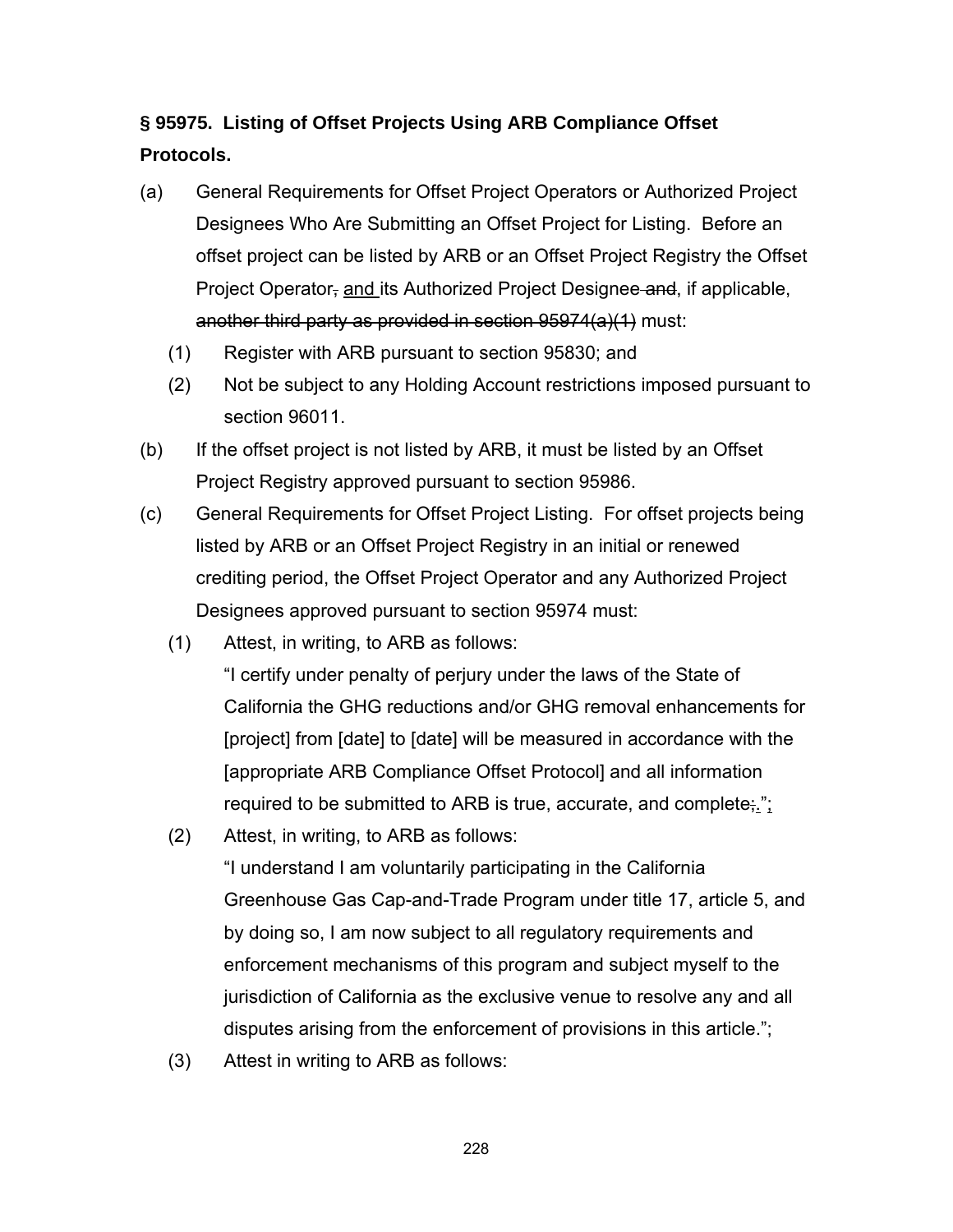## **§ 95975. Listing of Offset Projects Using ARB Compliance Offset Protocols.**

- (a) General Requirements for Offset Project Operators or Authorized Project Designees Who Are Submitting an Offset Project for Listing. Before an offset project can be listed by ARB or an Offset Project Registry the Offset Project Operator, and its Authorized Project Designee and, if applicable, another third party as provided in section 95974(a)(1) must:
	- (1) Register with ARB pursuant to section 95830; and
	- (2) Not be subject to any Holding Account restrictions imposed pursuant to section 96011.
- (b) If the offset project is not listed by ARB, it must be listed by an Offset Project Registry approved pursuant to section 95986.
- (c) General Requirements for Offset Project Listing. For offset projects being listed by ARB or an Offset Project Registry in an initial or renewed crediting period, the Offset Project Operator and any Authorized Project Designees approved pursuant to section 95974 must:
	- (1) Attest, in writing, to ARB as follows:
		- "I certify under penalty of perjury under the laws of the State of California the GHG reductions and/or GHG removal enhancements for [project] from [date] to [date] will be measured in accordance with the [appropriate ARB Compliance Offset Protocol] and all information required to be submitted to ARB is true, accurate, and complete;.";
	- (2) Attest, in writing, to ARB as follows: "I understand I am voluntarily participating in the California Greenhouse Gas Cap-and-Trade Program under title 17, article 5, and by doing so, I am now subject to all regulatory requirements and enforcement mechanisms of this program and subject myself to the jurisdiction of California as the exclusive venue to resolve any and all disputes arising from the enforcement of provisions in this article.";
	- (3) Attest in writing to ARB as follows: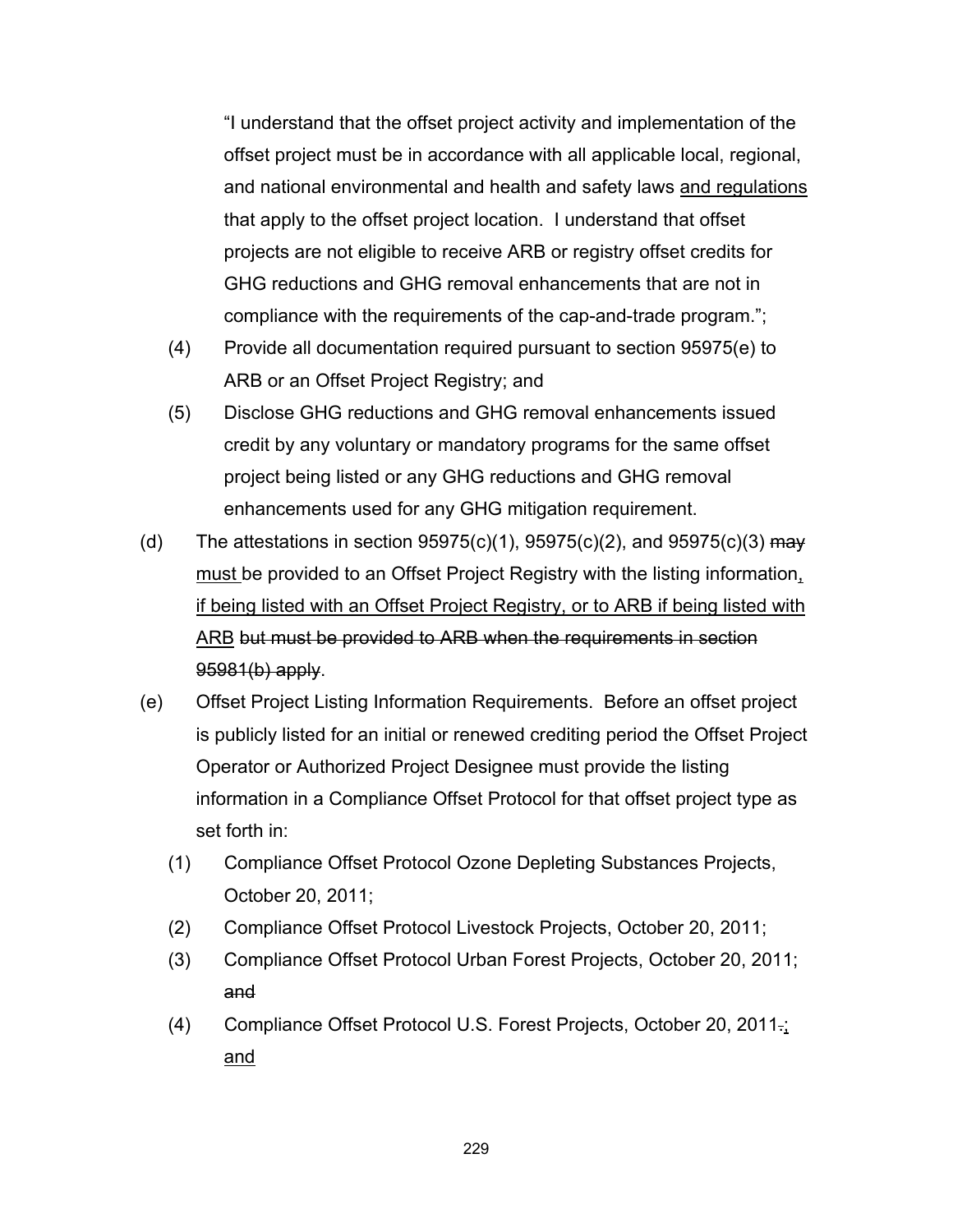"I understand that the offset project activity and implementation of the offset project must be in accordance with all applicable local, regional, and national environmental and health and safety laws and regulations that apply to the offset project location. I understand that offset projects are not eligible to receive ARB or registry offset credits for GHG reductions and GHG removal enhancements that are not in compliance with the requirements of the cap-and-trade program.";

- (4) Provide all documentation required pursuant to section 95975(e) to ARB or an Offset Project Registry; and
- (5) Disclose GHG reductions and GHG removal enhancements issued credit by any voluntary or mandatory programs for the same offset project being listed or any GHG reductions and GHG removal enhancements used for any GHG mitigation requirement.
- (d) The attestations in section  $95975(c)(1)$ ,  $95975(c)(2)$ , and  $95975(c)(3)$  may must be provided to an Offset Project Registry with the listing information, if being listed with an Offset Project Registry, or to ARB if being listed with ARB but must be provided to ARB when the requirements in section 95981(b) apply.
- (e) Offset Project Listing Information Requirements. Before an offset project is publicly listed for an initial or renewed crediting period the Offset Project Operator or Authorized Project Designee must provide the listing information in a Compliance Offset Protocol for that offset project type as set forth in:
	- (1) Compliance Offset Protocol Ozone Depleting Substances Projects, October 20, 2011;
	- (2) Compliance Offset Protocol Livestock Projects, October 20, 2011;
	- (3) Compliance Offset Protocol Urban Forest Projects, October 20, 2011; and
	- (4) Compliance Offset Protocol U.S. Forest Projects, October 20, 2011.; and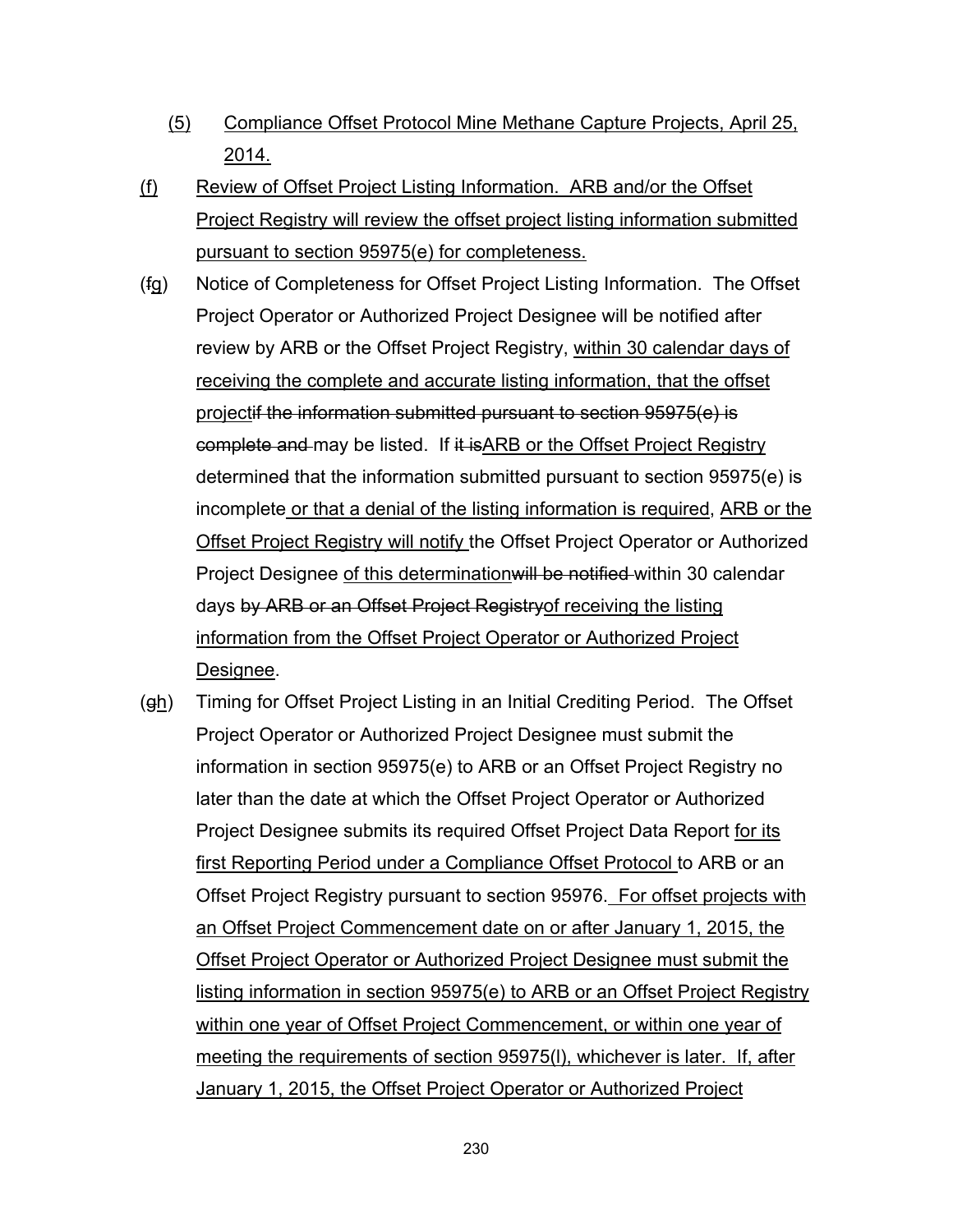- (5) Compliance Offset Protocol Mine Methane Capture Projects, April 25, 2014.
- (f) Review of Offset Project Listing Information. ARB and/or the Offset Project Registry will review the offset project listing information submitted pursuant to section 95975(e) for completeness.
- (fg) Notice of Completeness for Offset Project Listing Information. The Offset Project Operator or Authorized Project Designee will be notified after review by ARB or the Offset Project Registry, within 30 calendar days of receiving the complete and accurate listing information, that the offset projectif the information submitted pursuant to section 95975(e) is complete and may be listed. If it isARB or the Offset Project Registry determined that the information submitted pursuant to section 95975(e) is incomplete or that a denial of the listing information is required, ARB or the Offset Project Registry will notify the Offset Project Operator or Authorized Project Designee of this determination will be notified within 30 calendar days by ARB or an Offset Project Registry of receiving the listing information from the Offset Project Operator or Authorized Project Designee.
- (gh) Timing for Offset Project Listing in an Initial Crediting Period. The Offset Project Operator or Authorized Project Designee must submit the information in section 95975(e) to ARB or an Offset Project Registry no later than the date at which the Offset Project Operator or Authorized Project Designee submits its required Offset Project Data Report for its first Reporting Period under a Compliance Offset Protocol to ARB or an Offset Project Registry pursuant to section 95976. For offset projects with an Offset Project Commencement date on or after January 1, 2015, the Offset Project Operator or Authorized Project Designee must submit the listing information in section 95975(e) to ARB or an Offset Project Registry within one year of Offset Project Commencement, or within one year of meeting the requirements of section 95975(l), whichever is later. If, after January 1, 2015, the Offset Project Operator or Authorized Project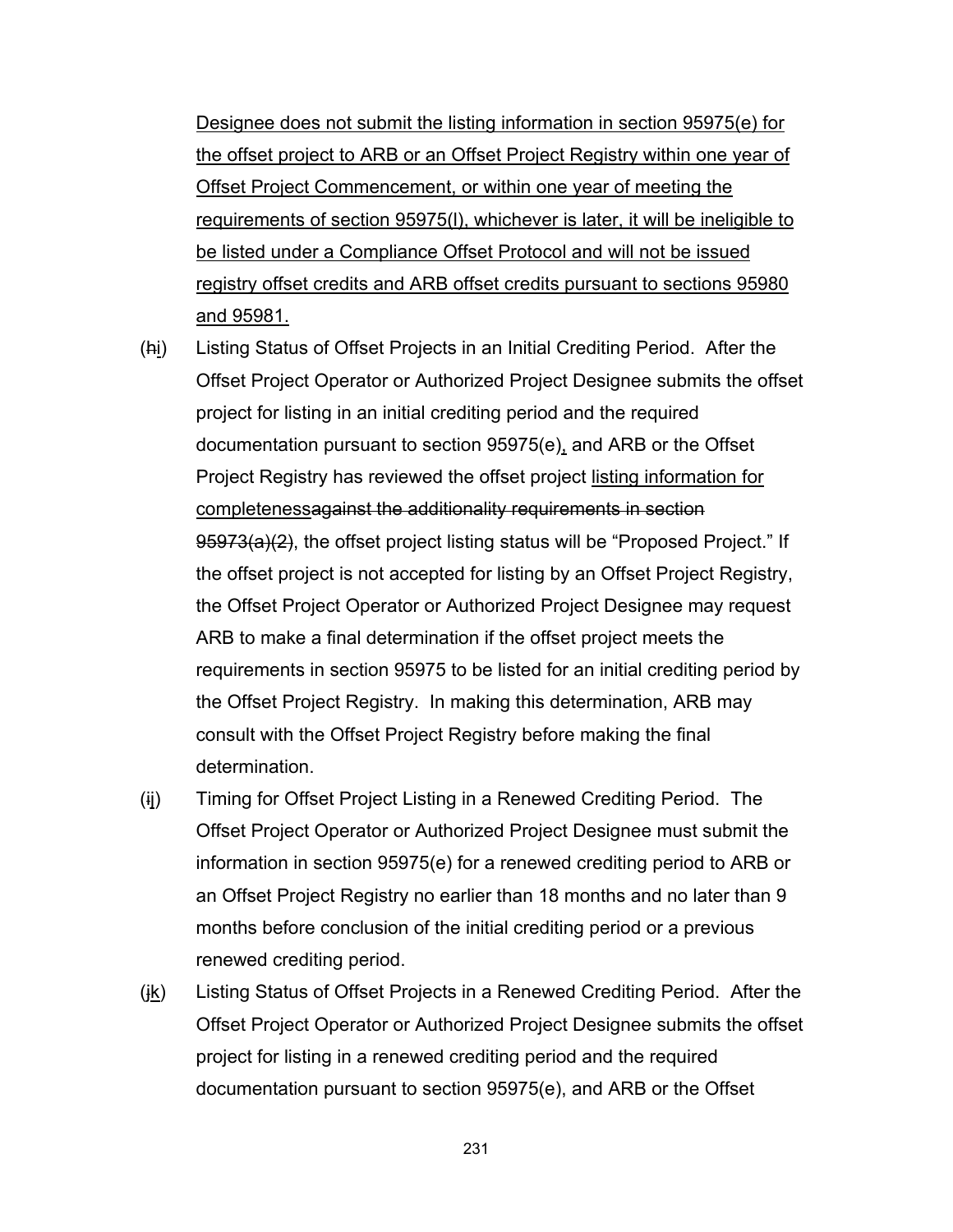Designee does not submit the listing information in section 95975(e) for the offset project to ARB or an Offset Project Registry within one year of Offset Project Commencement, or within one year of meeting the requirements of section 95975(l), whichever is later, it will be ineligible to be listed under a Compliance Offset Protocol and will not be issued registry offset credits and ARB offset credits pursuant to sections 95980 and 95981.

- (hi) Listing Status of Offset Projects in an Initial Crediting Period. After the Offset Project Operator or Authorized Project Designee submits the offset project for listing in an initial crediting period and the required documentation pursuant to section 95975(e), and ARB or the Offset Project Registry has reviewed the offset project listing information for completenessagainst the additionality requirements in section 95973(a)(2), the offset project listing status will be "Proposed Project." If the offset project is not accepted for listing by an Offset Project Registry, the Offset Project Operator or Authorized Project Designee may request ARB to make a final determination if the offset project meets the requirements in section 95975 to be listed for an initial crediting period by the Offset Project Registry. In making this determination, ARB may consult with the Offset Project Registry before making the final determination.
- (ij) Timing for Offset Project Listing in a Renewed Crediting Period. The Offset Project Operator or Authorized Project Designee must submit the information in section 95975(e) for a renewed crediting period to ARB or an Offset Project Registry no earlier than 18 months and no later than 9 months before conclusion of the initial crediting period or a previous renewed crediting period.
- $(i<sub>k</sub>)$  Listing Status of Offset Projects in a Renewed Crediting Period. After the Offset Project Operator or Authorized Project Designee submits the offset project for listing in a renewed crediting period and the required documentation pursuant to section 95975(e), and ARB or the Offset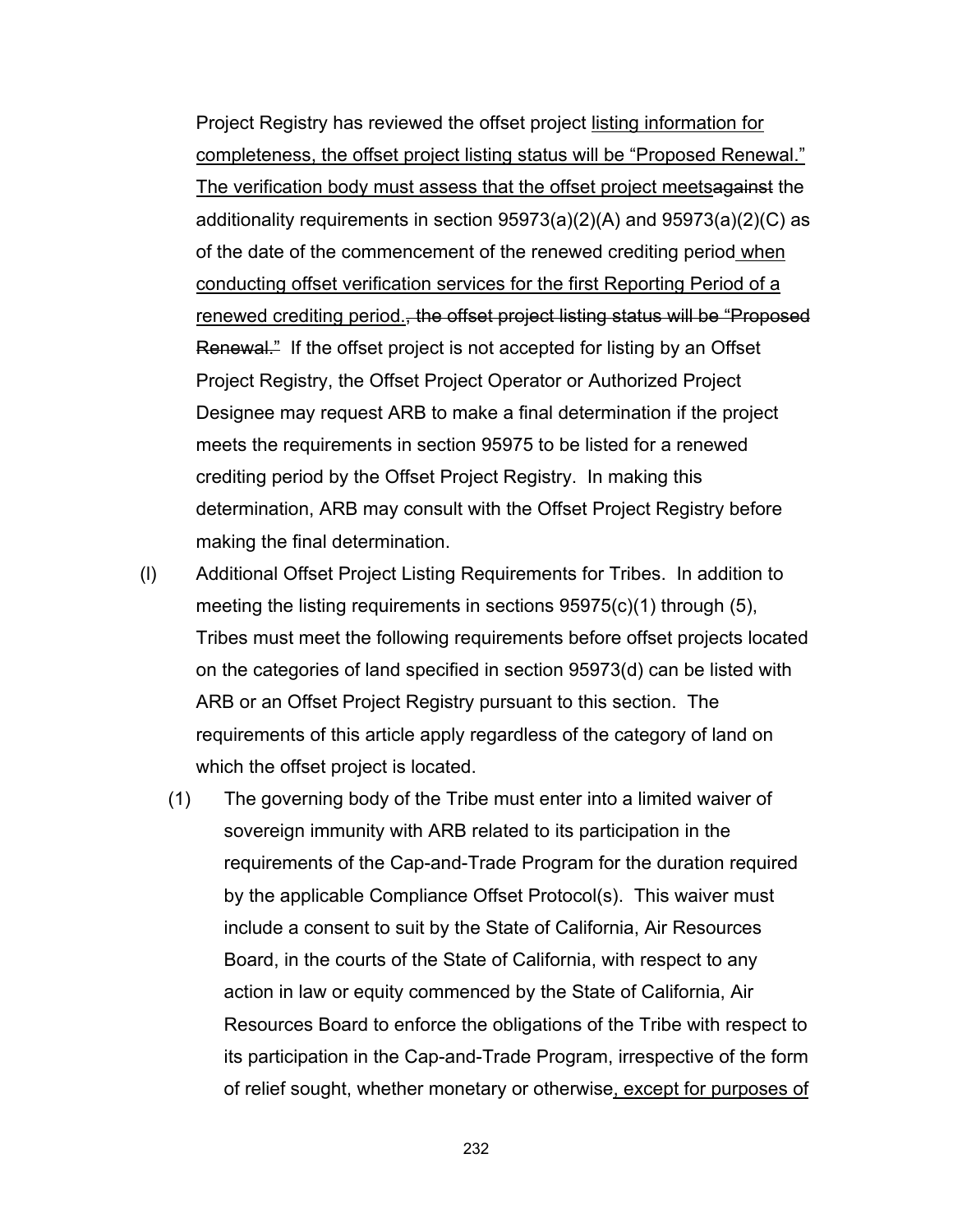Project Registry has reviewed the offset project listing information for completeness, the offset project listing status will be "Proposed Renewal." The verification body must assess that the offset project meetsagainst the additionality requirements in section 95973(a)(2)(A) and 95973(a)(2)(C) as of the date of the commencement of the renewed crediting period when conducting offset verification services for the first Reporting Period of a renewed crediting period., the offset project listing status will be "Proposed Renewal." If the offset project is not accepted for listing by an Offset Project Registry, the Offset Project Operator or Authorized Project Designee may request ARB to make a final determination if the project meets the requirements in section 95975 to be listed for a renewed crediting period by the Offset Project Registry. In making this determination, ARB may consult with the Offset Project Registry before making the final determination.

- (l) Additional Offset Project Listing Requirements for Tribes. In addition to meeting the listing requirements in sections 95975(c)(1) through (5), Tribes must meet the following requirements before offset projects located on the categories of land specified in section 95973(d) can be listed with ARB or an Offset Project Registry pursuant to this section. The requirements of this article apply regardless of the category of land on which the offset project is located.
	- (1) The governing body of the Tribe must enter into a limited waiver of sovereign immunity with ARB related to its participation in the requirements of the Cap-and-Trade Program for the duration required by the applicable Compliance Offset Protocol(s). This waiver must include a consent to suit by the State of California, Air Resources Board, in the courts of the State of California, with respect to any action in law or equity commenced by the State of California, Air Resources Board to enforce the obligations of the Tribe with respect to its participation in the Cap-and-Trade Program, irrespective of the form of relief sought, whether monetary or otherwise, except for purposes of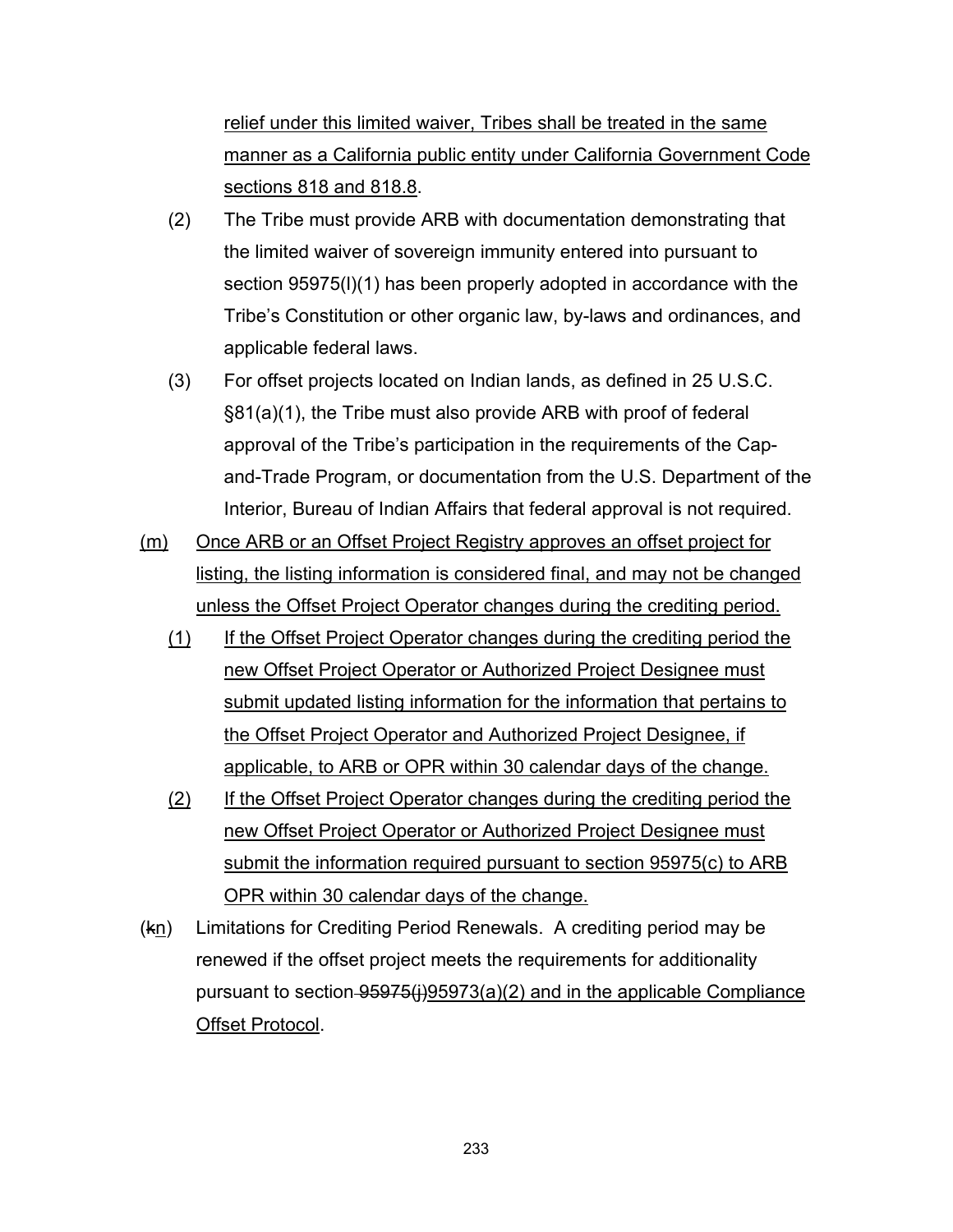relief under this limited waiver, Tribes shall be treated in the same manner as a California public entity under California Government Code sections 818 and 818.8.

- (2) The Tribe must provide ARB with documentation demonstrating that the limited waiver of sovereign immunity entered into pursuant to section 95975(I)(1) has been properly adopted in accordance with the Tribe's Constitution or other organic law, by-laws and ordinances, and applicable federal laws.
- (3) For offset projects located on Indian lands, as defined in 25 U.S.C. §81(a)(1), the Tribe must also provide ARB with proof of federal approval of the Tribe's participation in the requirements of the Capand-Trade Program, or documentation from the U.S. Department of the Interior, Bureau of Indian Affairs that federal approval is not required.
- (m) Once ARB or an Offset Project Registry approves an offset project for listing, the listing information is considered final, and may not be changed unless the Offset Project Operator changes during the crediting period.
	- (1) If the Offset Project Operator changes during the crediting period the new Offset Project Operator or Authorized Project Designee must submit updated listing information for the information that pertains to the Offset Project Operator and Authorized Project Designee, if applicable, to ARB or OPR within 30 calendar days of the change.
	- (2) If the Offset Project Operator changes during the crediting period the new Offset Project Operator or Authorized Project Designee must submit the information required pursuant to section 95975(c) to ARB OPR within 30 calendar days of the change.
- $(k<sub>n</sub>)$  Limitations for Crediting Period Renewals. A crediting period may be renewed if the offset project meets the requirements for additionality pursuant to section-95975(i)95973(a)(2) and in the applicable Compliance Offset Protocol.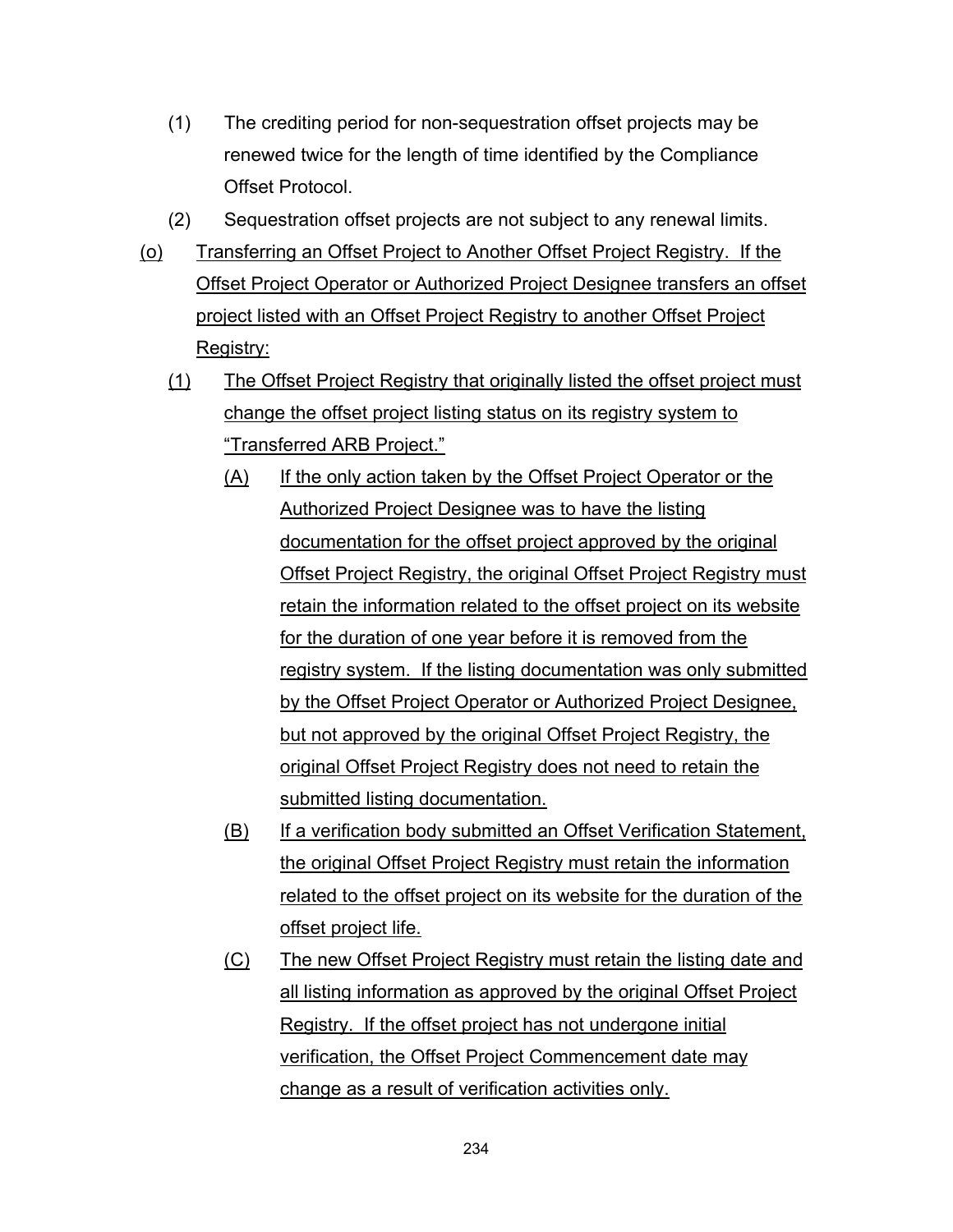- (1) The crediting period for non-sequestration offset projects may be renewed twice for the length of time identified by the Compliance Offset Protocol.
- (2) Sequestration offset projects are not subject to any renewal limits.
- (o) Transferring an Offset Project to Another Offset Project Registry. If the Offset Project Operator or Authorized Project Designee transfers an offset project listed with an Offset Project Registry to another Offset Project Registry:
	- (1) The Offset Project Registry that originally listed the offset project must change the offset project listing status on its registry system to "Transferred ARB Project."
		- (A) If the only action taken by the Offset Project Operator or the Authorized Project Designee was to have the listing documentation for the offset project approved by the original Offset Project Registry, the original Offset Project Registry must retain the information related to the offset project on its website for the duration of one year before it is removed from the registry system. If the listing documentation was only submitted by the Offset Project Operator or Authorized Project Designee, but not approved by the original Offset Project Registry, the original Offset Project Registry does not need to retain the submitted listing documentation.
		- (B) If a verification body submitted an Offset Verification Statement, the original Offset Project Registry must retain the information related to the offset project on its website for the duration of the offset project life.
		- (C) The new Offset Project Registry must retain the listing date and all listing information as approved by the original Offset Project Registry. If the offset project has not undergone initial verification, the Offset Project Commencement date may change as a result of verification activities only.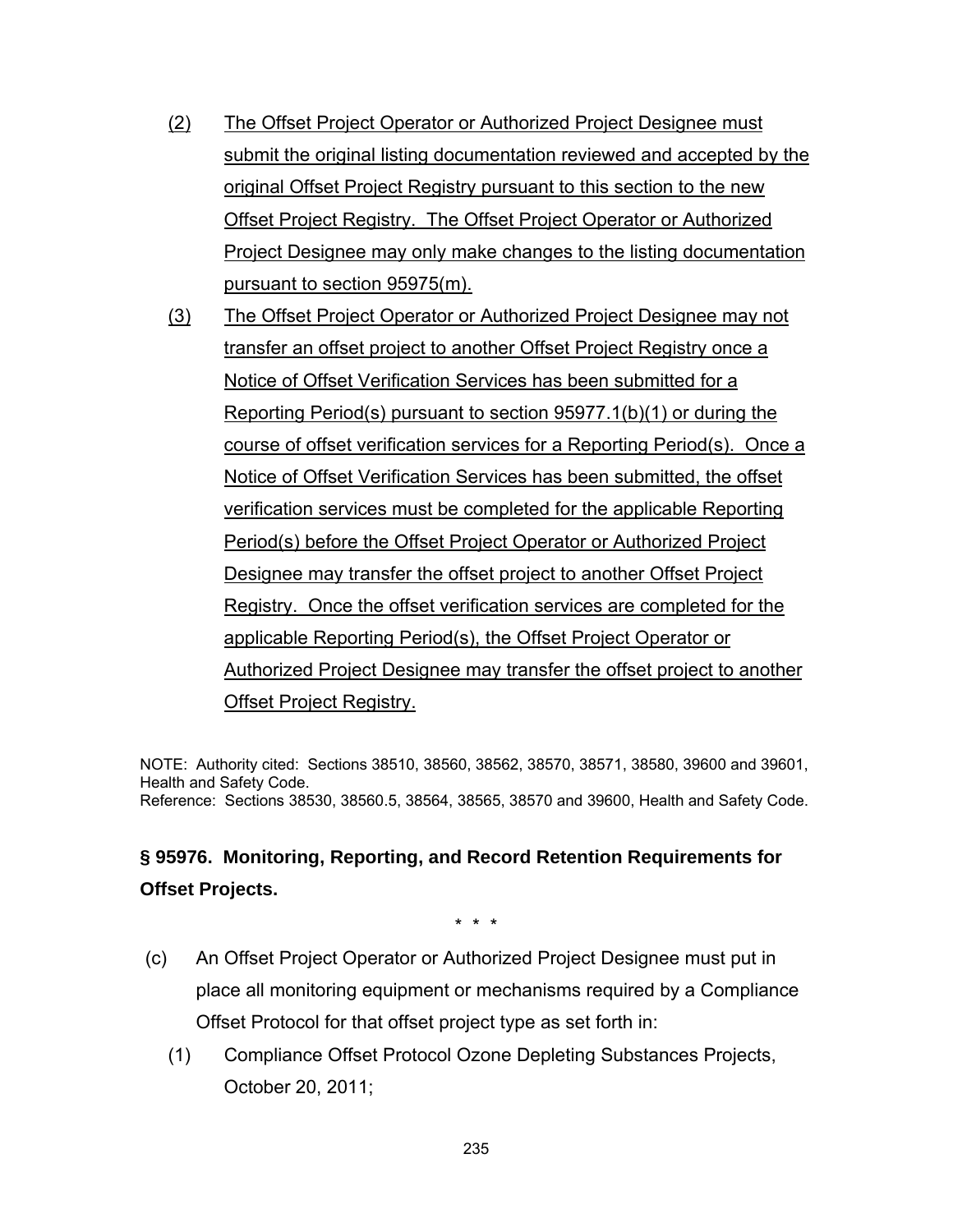- (2) The Offset Project Operator or Authorized Project Designee must submit the original listing documentation reviewed and accepted by the original Offset Project Registry pursuant to this section to the new Offset Project Registry. The Offset Project Operator or Authorized Project Designee may only make changes to the listing documentation pursuant to section 95975(m).
- (3) The Offset Project Operator or Authorized Project Designee may not transfer an offset project to another Offset Project Registry once a Notice of Offset Verification Services has been submitted for a Reporting Period(s) pursuant to section 95977.1(b)(1) or during the course of offset verification services for a Reporting Period(s). Once a Notice of Offset Verification Services has been submitted, the offset verification services must be completed for the applicable Reporting Period(s) before the Offset Project Operator or Authorized Project Designee may transfer the offset project to another Offset Project Registry. Once the offset verification services are completed for the applicable Reporting Period(s), the Offset Project Operator or Authorized Project Designee may transfer the offset project to another Offset Project Registry.

NOTE: Authority cited: Sections 38510, 38560, 38562, 38570, 38571, 38580, 39600 and 39601, Health and Safety Code. Reference: Sections 38530, 38560.5, 38564, 38565, 38570 and 39600, Health and Safety Code.

### **§ 95976. Monitoring, Reporting, and Record Retention Requirements for Offset Projects.**

\* \* \*

- (c) An Offset Project Operator or Authorized Project Designee must put in place all monitoring equipment or mechanisms required by a Compliance Offset Protocol for that offset project type as set forth in:
	- (1) Compliance Offset Protocol Ozone Depleting Substances Projects, October 20, 2011;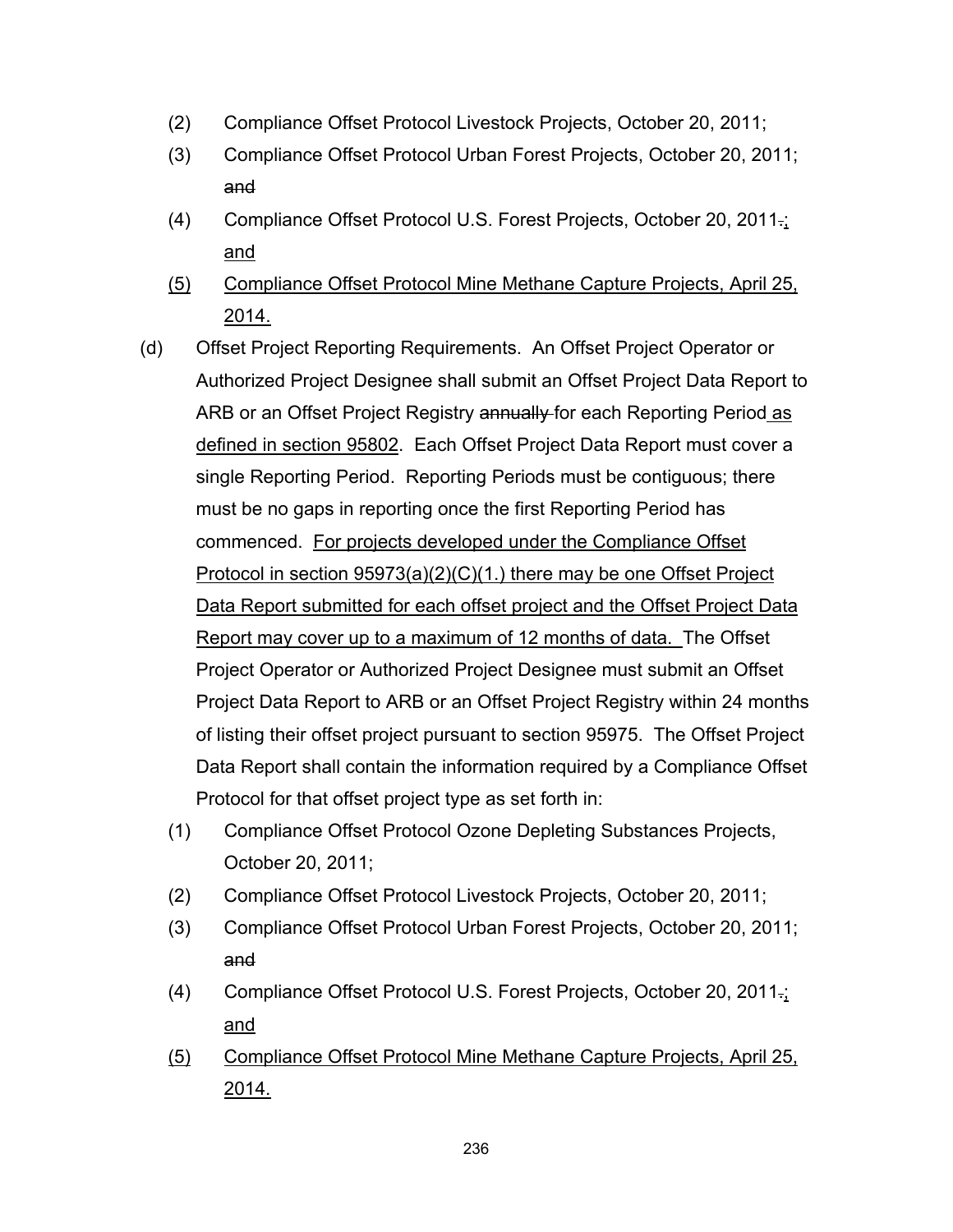- (2) Compliance Offset Protocol Livestock Projects, October 20, 2011;
- (3) Compliance Offset Protocol Urban Forest Projects, October 20, 2011; and
- (4) Compliance Offset Protocol U.S. Forest Projects, October 20, 2011.; and
- (5) Compliance Offset Protocol Mine Methane Capture Projects, April 25, 2014.
- (d) Offset Project Reporting Requirements. An Offset Project Operator or Authorized Project Designee shall submit an Offset Project Data Report to ARB or an Offset Project Registry annually for each Reporting Period as defined in section 95802. Each Offset Project Data Report must cover a single Reporting Period. Reporting Periods must be contiguous; there must be no gaps in reporting once the first Reporting Period has commenced. For projects developed under the Compliance Offset Protocol in section 95973(a)(2)(C)(1.) there may be one Offset Project Data Report submitted for each offset project and the Offset Project Data Report may cover up to a maximum of 12 months of data. The Offset Project Operator or Authorized Project Designee must submit an Offset Project Data Report to ARB or an Offset Project Registry within 24 months of listing their offset project pursuant to section 95975. The Offset Project Data Report shall contain the information required by a Compliance Offset Protocol for that offset project type as set forth in:
	- (1) Compliance Offset Protocol Ozone Depleting Substances Projects, October 20, 2011;
	- (2) Compliance Offset Protocol Livestock Projects, October 20, 2011;
	- (3) Compliance Offset Protocol Urban Forest Projects, October 20, 2011; and
	- (4) Compliance Offset Protocol U.S. Forest Projects, October 20, 2011.; and
	- (5) Compliance Offset Protocol Mine Methane Capture Projects, April 25, 2014.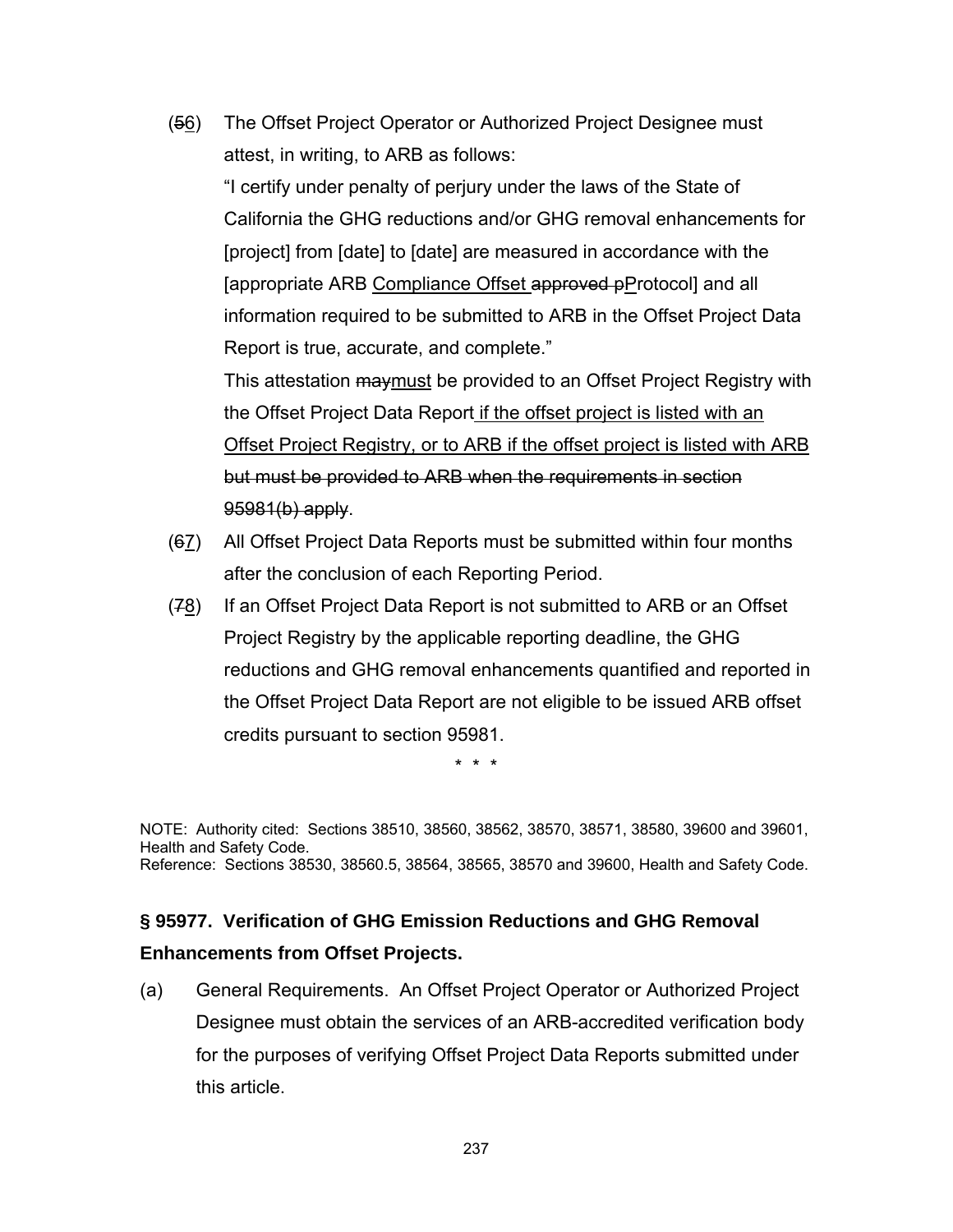(56) The Offset Project Operator or Authorized Project Designee must attest, in writing, to ARB as follows:

"I certify under penalty of perjury under the laws of the State of California the GHG reductions and/or GHG removal enhancements for [project] from [date] to [date] are measured in accordance with the [appropriate ARB Compliance Offset approved pProtocol] and all information required to be submitted to ARB in the Offset Project Data Report is true, accurate, and complete."

This attestation may must be provided to an Offset Project Registry with the Offset Project Data Report if the offset project is listed with an Offset Project Registry, or to ARB if the offset project is listed with ARB but must be provided to ARB when the requirements in section  $95981(b)$  apply.

- (67) All Offset Project Data Reports must be submitted within four months after the conclusion of each Reporting Period.
- $(78)$  If an Offset Project Data Report is not submitted to ARB or an Offset Project Registry by the applicable reporting deadline, the GHG reductions and GHG removal enhancements quantified and reported in the Offset Project Data Report are not eligible to be issued ARB offset credits pursuant to section 95981.

\* \* \*

NOTE: Authority cited: Sections 38510, 38560, 38562, 38570, 38571, 38580, 39600 and 39601, Health and Safety Code. Reference: Sections 38530, 38560.5, 38564, 38565, 38570 and 39600, Health and Safety Code.

# **§ 95977. Verification of GHG Emission Reductions and GHG Removal**

### **Enhancements from Offset Projects.**

(a) General Requirements. An Offset Project Operator or Authorized Project Designee must obtain the services of an ARB-accredited verification body for the purposes of verifying Offset Project Data Reports submitted under this article.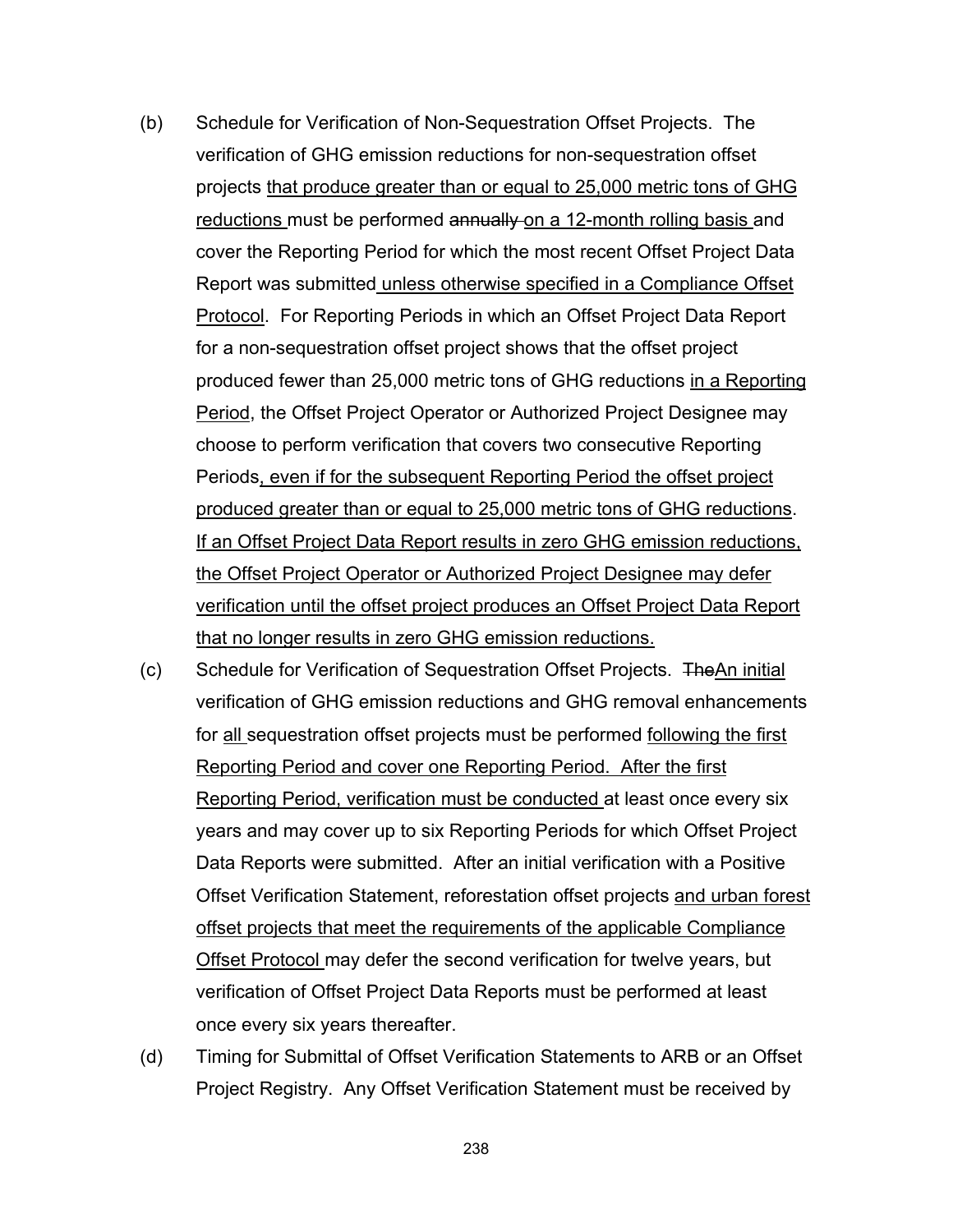- (b) Schedule for Verification of Non-Sequestration Offset Projects. The verification of GHG emission reductions for non-sequestration offset projects that produce greater than or equal to 25,000 metric tons of GHG reductions must be performed annually on a 12-month rolling basis and cover the Reporting Period for which the most recent Offset Project Data Report was submitted unless otherwise specified in a Compliance Offset Protocol. For Reporting Periods in which an Offset Project Data Report for a non-sequestration offset project shows that the offset project produced fewer than 25,000 metric tons of GHG reductions in a Reporting Period, the Offset Project Operator or Authorized Project Designee may choose to perform verification that covers two consecutive Reporting Periods, even if for the subsequent Reporting Period the offset project produced greater than or equal to 25,000 metric tons of GHG reductions. If an Offset Project Data Report results in zero GHG emission reductions, the Offset Project Operator or Authorized Project Designee may defer verification until the offset project produces an Offset Project Data Report that no longer results in zero GHG emission reductions.
- (c) Schedule for Verification of Sequestration Offset Projects. TheAn initial verification of GHG emission reductions and GHG removal enhancements for all sequestration offset projects must be performed following the first Reporting Period and cover one Reporting Period. After the first Reporting Period, verification must be conducted at least once every six years and may cover up to six Reporting Periods for which Offset Project Data Reports were submitted. After an initial verification with a Positive Offset Verification Statement, reforestation offset projects and urban forest offset projects that meet the requirements of the applicable Compliance Offset Protocol may defer the second verification for twelve years, but verification of Offset Project Data Reports must be performed at least once every six years thereafter.
- (d) Timing for Submittal of Offset Verification Statements to ARB or an Offset Project Registry. Any Offset Verification Statement must be received by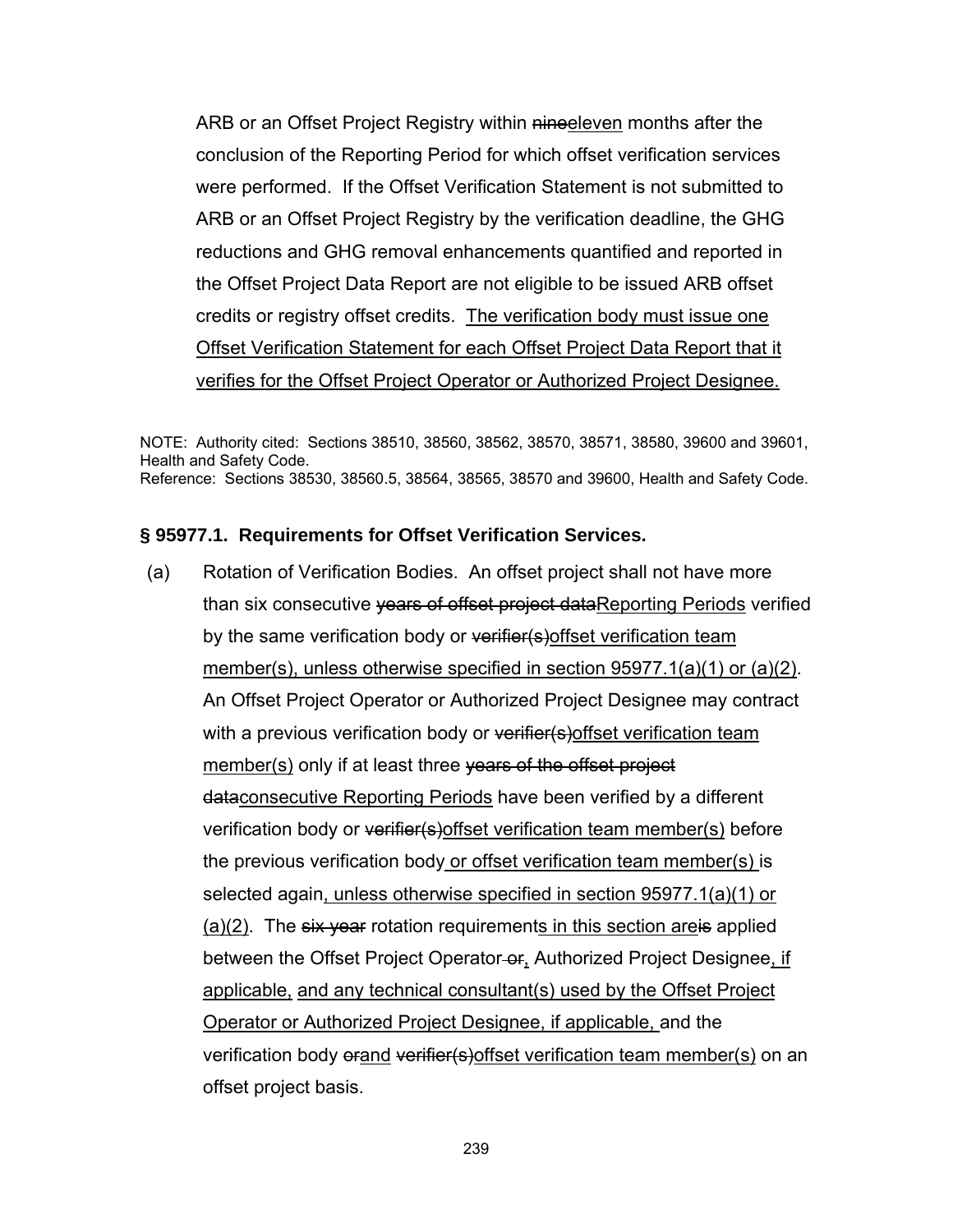ARB or an Offset Project Registry within nineeleven months after the conclusion of the Reporting Period for which offset verification services were performed. If the Offset Verification Statement is not submitted to ARB or an Offset Project Registry by the verification deadline, the GHG reductions and GHG removal enhancements quantified and reported in the Offset Project Data Report are not eligible to be issued ARB offset credits or registry offset credits. The verification body must issue one Offset Verification Statement for each Offset Project Data Report that it verifies for the Offset Project Operator or Authorized Project Designee.

NOTE: Authority cited: Sections 38510, 38560, 38562, 38570, 38571, 38580, 39600 and 39601, Health and Safety Code. Reference: Sections 38530, 38560.5, 38564, 38565, 38570 and 39600, Health and Safety Code.

#### **§ 95977.1. Requirements for Offset Verification Services.**

(a) Rotation of Verification Bodies. An offset project shall not have more than six consecutive vears of offset project dataReporting Periods verified by the same verification body or verifier(s) offset verification team member(s), unless otherwise specified in section 95977.1(a)(1) or (a)(2). An Offset Project Operator or Authorized Project Designee may contract with a previous verification body or verifier(s) offset verification team member(s) only if at least three years of the offset project dataconsecutive Reporting Periods have been verified by a different verification body or verifier(s) offset verification team member(s) before the previous verification body or offset verification team member(s) is selected again, unless otherwise specified in section 95977.1(a)(1) or  $(a)(2)$ . The six year rotation requirements in this section are is applied between the Offset Project Operator-or, Authorized Project Designee, if applicable, and any technical consultant(s) used by the Offset Project Operator or Authorized Project Designee, if applicable, and the verification body orand verifier(s) offset verification team member(s) on an offset project basis.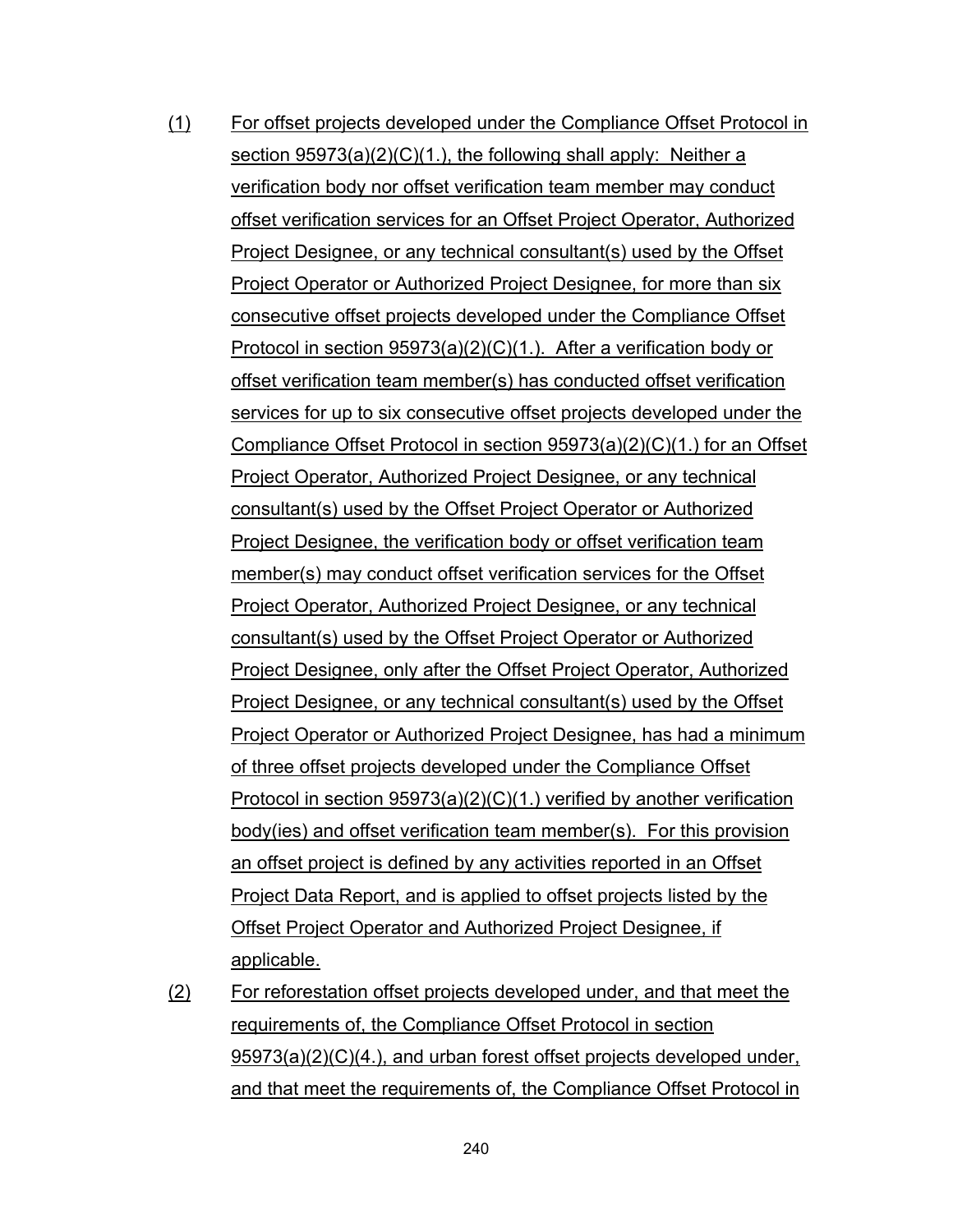- (1) For offset projects developed under the Compliance Offset Protocol in section 95973(a)(2)(C)(1.), the following shall apply: Neither a verification body nor offset verification team member may conduct offset verification services for an Offset Project Operator, Authorized Project Designee, or any technical consultant(s) used by the Offset Project Operator or Authorized Project Designee, for more than six consecutive offset projects developed under the Compliance Offset Protocol in section 95973(a)(2)(C)(1.). After a verification body or offset verification team member(s) has conducted offset verification services for up to six consecutive offset projects developed under the Compliance Offset Protocol in section 95973(a)(2)(C)(1.) for an Offset Project Operator, Authorized Project Designee, or any technical consultant(s) used by the Offset Project Operator or Authorized Project Designee, the verification body or offset verification team member(s) may conduct offset verification services for the Offset Project Operator, Authorized Project Designee, or any technical consultant(s) used by the Offset Project Operator or Authorized Project Designee, only after the Offset Project Operator, Authorized Project Designee, or any technical consultant(s) used by the Offset Project Operator or Authorized Project Designee, has had a minimum of three offset projects developed under the Compliance Offset Protocol in section 95973(a)(2)(C)(1.) verified by another verification body(ies) and offset verification team member(s). For this provision an offset project is defined by any activities reported in an Offset Project Data Report, and is applied to offset projects listed by the Offset Project Operator and Authorized Project Designee, if applicable.
- (2) For reforestation offset projects developed under, and that meet the requirements of, the Compliance Offset Protocol in section 95973(a)(2)(C)(4.), and urban forest offset projects developed under, and that meet the requirements of, the Compliance Offset Protocol in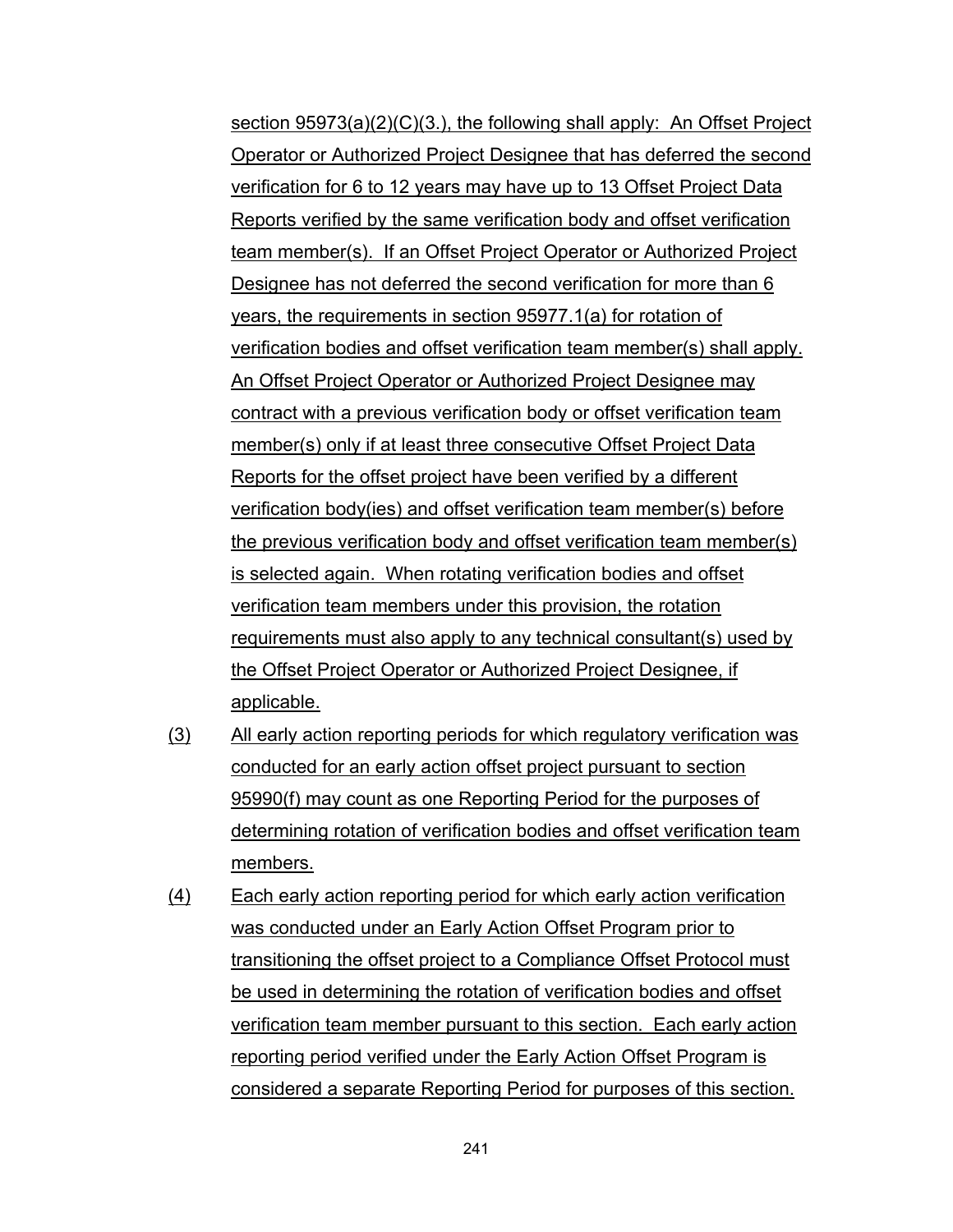section 95973(a)(2)(C)(3.), the following shall apply: An Offset Project Operator or Authorized Project Designee that has deferred the second verification for 6 to 12 years may have up to 13 Offset Project Data Reports verified by the same verification body and offset verification team member(s). If an Offset Project Operator or Authorized Project Designee has not deferred the second verification for more than 6 years, the requirements in section 95977.1(a) for rotation of verification bodies and offset verification team member(s) shall apply. An Offset Project Operator or Authorized Project Designee may contract with a previous verification body or offset verification team member(s) only if at least three consecutive Offset Project Data Reports for the offset project have been verified by a different verification body(ies) and offset verification team member(s) before the previous verification body and offset verification team member(s) is selected again. When rotating verification bodies and offset verification team members under this provision, the rotation requirements must also apply to any technical consultant(s) used by the Offset Project Operator or Authorized Project Designee, if applicable.

- (3) All early action reporting periods for which regulatory verification was conducted for an early action offset project pursuant to section 95990(f) may count as one Reporting Period for the purposes of determining rotation of verification bodies and offset verification team members.
- (4) Each early action reporting period for which early action verification was conducted under an Early Action Offset Program prior to transitioning the offset project to a Compliance Offset Protocol must be used in determining the rotation of verification bodies and offset verification team member pursuant to this section. Each early action reporting period verified under the Early Action Offset Program is considered a separate Reporting Period for purposes of this section.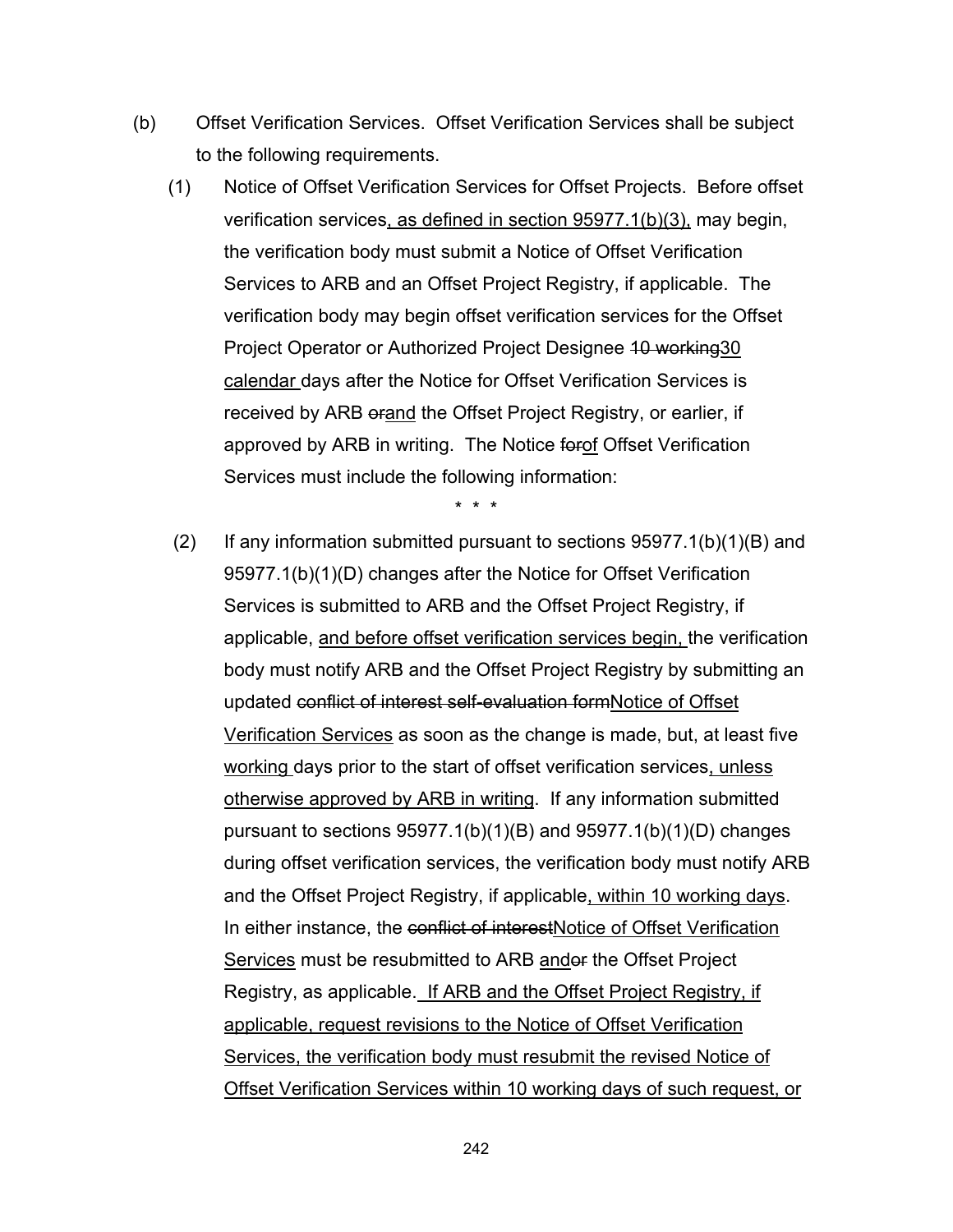- (b) Offset Verification Services. Offset Verification Services shall be subject to the following requirements.
	- (1) Notice of Offset Verification Services for Offset Projects. Before offset verification services, as defined in section 95977.1(b)(3), may begin, the verification body must submit a Notice of Offset Verification Services to ARB and an Offset Project Registry, if applicable. The verification body may begin offset verification services for the Offset Project Operator or Authorized Project Designee 10 working 30 calendar days after the Notice for Offset Verification Services is received by ARB orand the Offset Project Registry, or earlier, if approved by ARB in writing. The Notice forof Offset Verification Services must include the following information:

\* \* \*

(2) If any information submitted pursuant to sections  $95977.1(b)(1)(B)$  and 95977.1(b)(1)(D) changes after the Notice for Offset Verification Services is submitted to ARB and the Offset Project Registry, if applicable, and before offset verification services begin, the verification body must notify ARB and the Offset Project Registry by submitting an updated conflict of interest self-evaluation formNotice of Offset Verification Services as soon as the change is made, but, at least five working days prior to the start of offset verification services, unless otherwise approved by ARB in writing. If any information submitted pursuant to sections 95977.1(b)(1)(B) and 95977.1(b)(1)(D) changes during offset verification services, the verification body must notify ARB and the Offset Project Registry, if applicable, within 10 working days. In either instance, the conflict of interestNotice of Offset Verification Services must be resubmitted to ARB andor the Offset Project Registry, as applicable. If ARB and the Offset Project Registry, if applicable, request revisions to the Notice of Offset Verification Services, the verification body must resubmit the revised Notice of Offset Verification Services within 10 working days of such request, or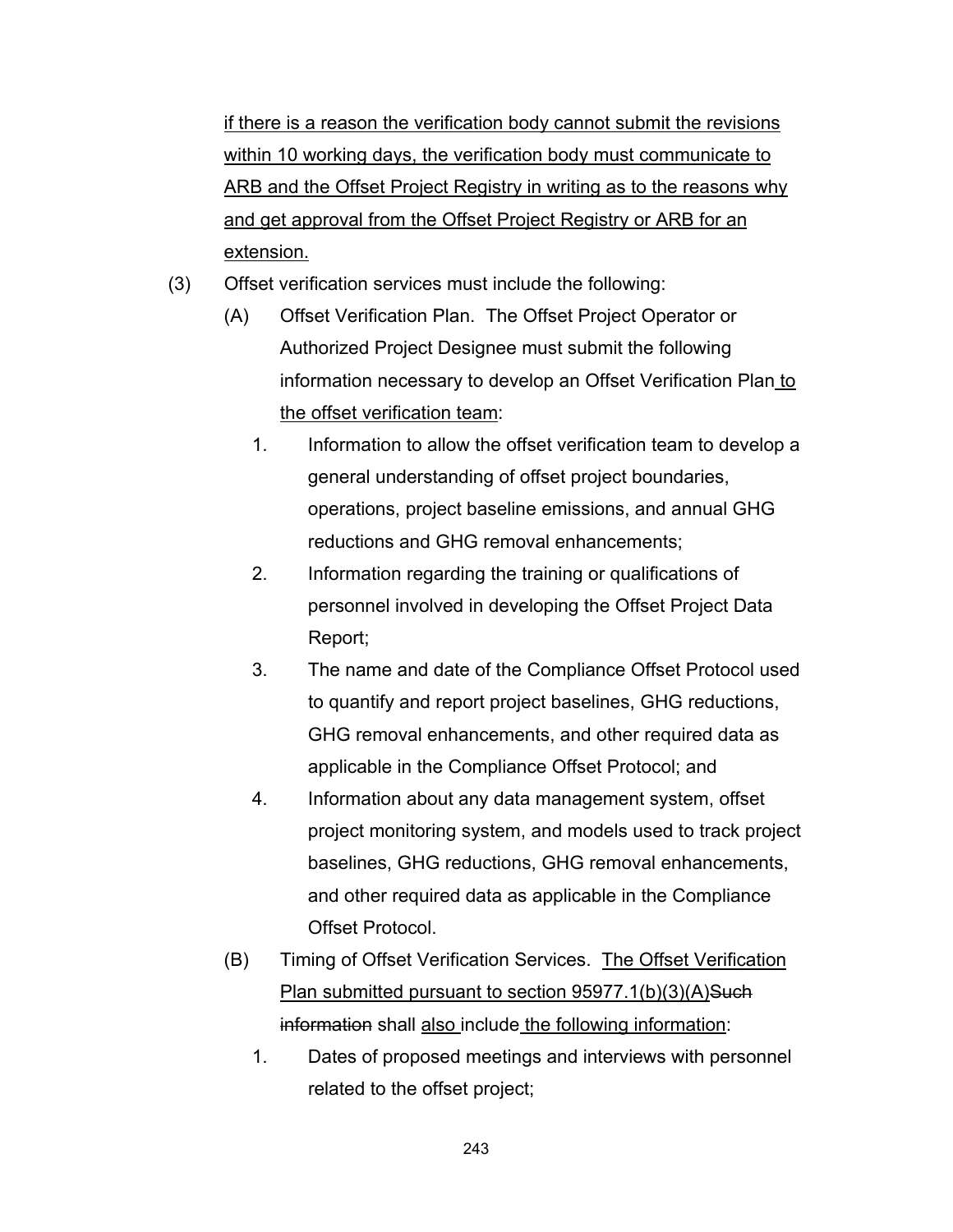if there is a reason the verification body cannot submit the revisions within 10 working days, the verification body must communicate to ARB and the Offset Project Registry in writing as to the reasons why and get approval from the Offset Project Registry or ARB for an extension.

- (3) Offset verification services must include the following:
	- (A) Offset Verification Plan. The Offset Project Operator or Authorized Project Designee must submit the following information necessary to develop an Offset Verification Plan to the offset verification team:
		- 1. Information to allow the offset verification team to develop a general understanding of offset project boundaries, operations, project baseline emissions, and annual GHG reductions and GHG removal enhancements;
		- 2. Information regarding the training or qualifications of personnel involved in developing the Offset Project Data Report;
		- 3. The name and date of the Compliance Offset Protocol used to quantify and report project baselines, GHG reductions, GHG removal enhancements, and other required data as applicable in the Compliance Offset Protocol; and
		- 4. Information about any data management system, offset project monitoring system, and models used to track project baselines, GHG reductions, GHG removal enhancements, and other required data as applicable in the Compliance Offset Protocol.
	- (B) Timing of Offset Verification Services. The Offset Verification Plan submitted pursuant to section 95977.1(b)(3)(A)Such information shall also include the following information:
		- 1. Dates of proposed meetings and interviews with personnel related to the offset project;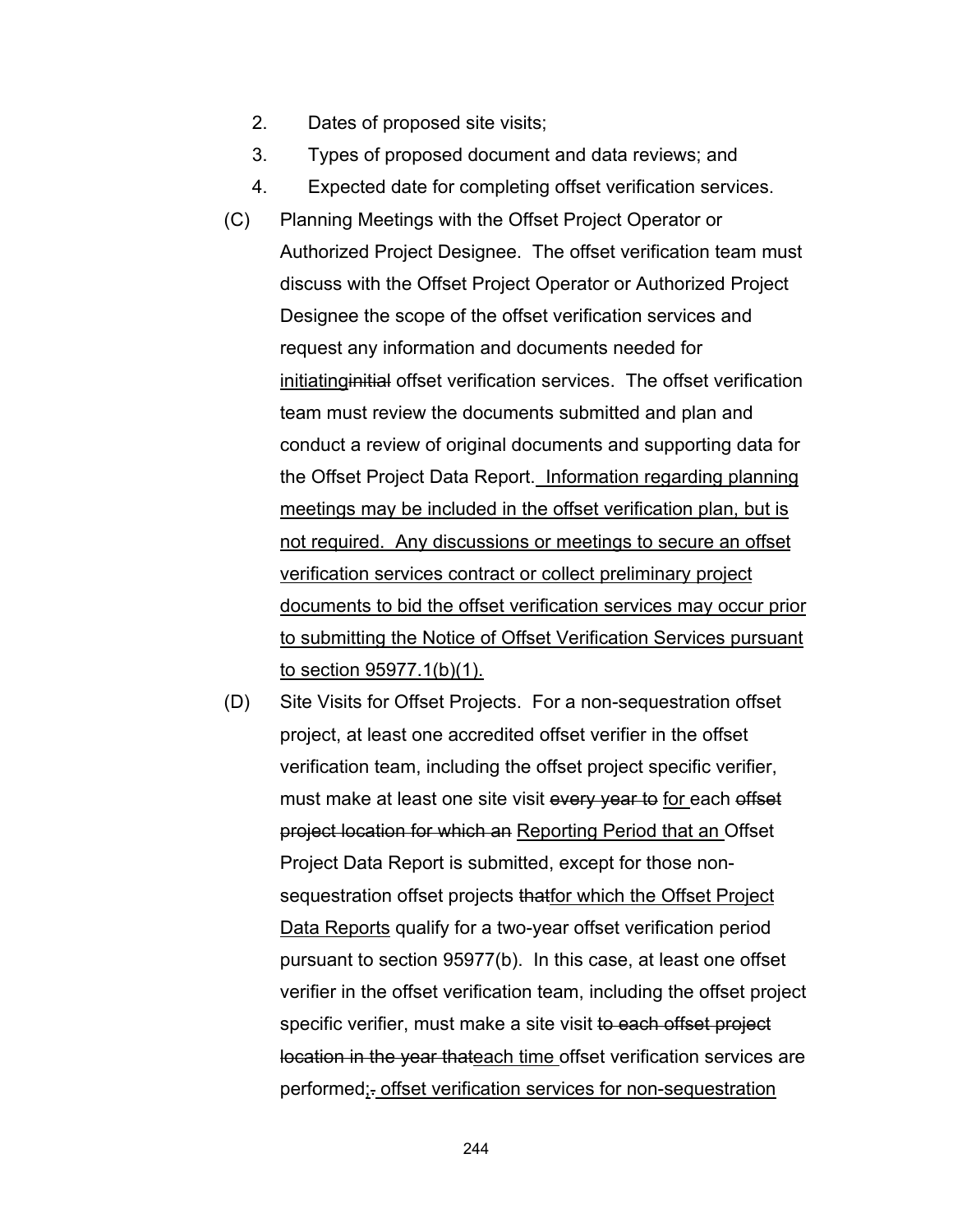- 2. Dates of proposed site visits;
- 3. Types of proposed document and data reviews; and
- 4. Expected date for completing offset verification services.
- (C) Planning Meetings with the Offset Project Operator or Authorized Project Designee. The offset verification team must discuss with the Offset Project Operator or Authorized Project Designee the scope of the offset verification services and request any information and documents needed for initiatinginitial offset verification services. The offset verification team must review the documents submitted and plan and conduct a review of original documents and supporting data for the Offset Project Data Report. Information regarding planning meetings may be included in the offset verification plan, but is not required. Any discussions or meetings to secure an offset verification services contract or collect preliminary project documents to bid the offset verification services may occur prior to submitting the Notice of Offset Verification Services pursuant to section 95977.1(b)(1).
- (D) Site Visits for Offset Projects. For a non-sequestration offset project, at least one accredited offset verifier in the offset verification team, including the offset project specific verifier, must make at least one site visit every year to for each offset project location for which an Reporting Period that an Offset Project Data Report is submitted, except for those nonsequestration offset projects thatfor which the Offset Project Data Reports qualify for a two-year offset verification period pursuant to section 95977(b). In this case, at least one offset verifier in the offset verification team, including the offset project specific verifier, must make a site visit to each offset project location in the year thateach time offset verification services are performed;. offset verification services for non-sequestration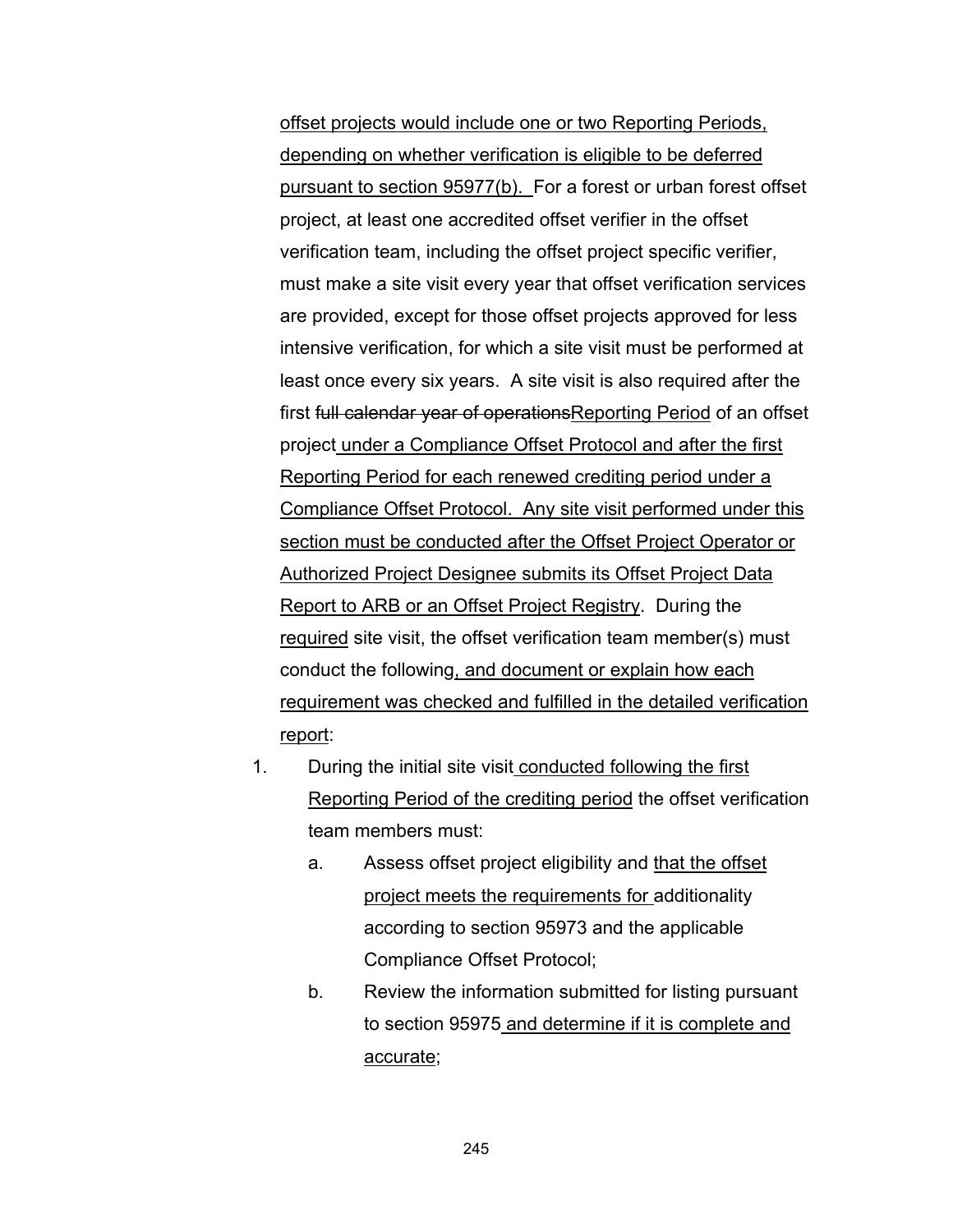offset projects would include one or two Reporting Periods, depending on whether verification is eligible to be deferred pursuant to section 95977(b). For a forest or urban forest offset project, at least one accredited offset verifier in the offset verification team, including the offset project specific verifier, must make a site visit every year that offset verification services are provided, except for those offset projects approved for less intensive verification, for which a site visit must be performed at least once every six years. A site visit is also required after the first full calendar year of operations Reporting Period of an offset project under a Compliance Offset Protocol and after the first Reporting Period for each renewed crediting period under a Compliance Offset Protocol. Any site visit performed under this section must be conducted after the Offset Project Operator or Authorized Project Designee submits its Offset Project Data Report to ARB or an Offset Project Registry. During the required site visit, the offset verification team member(s) must conduct the following, and document or explain how each requirement was checked and fulfilled in the detailed verification report:

- 1. During the initial site visit conducted following the first Reporting Period of the crediting period the offset verification team members must:
	- a. Assess offset project eligibility and that the offset project meets the requirements for additionality according to section 95973 and the applicable Compliance Offset Protocol;
	- b. Review the information submitted for listing pursuant to section 95975 and determine if it is complete and accurate;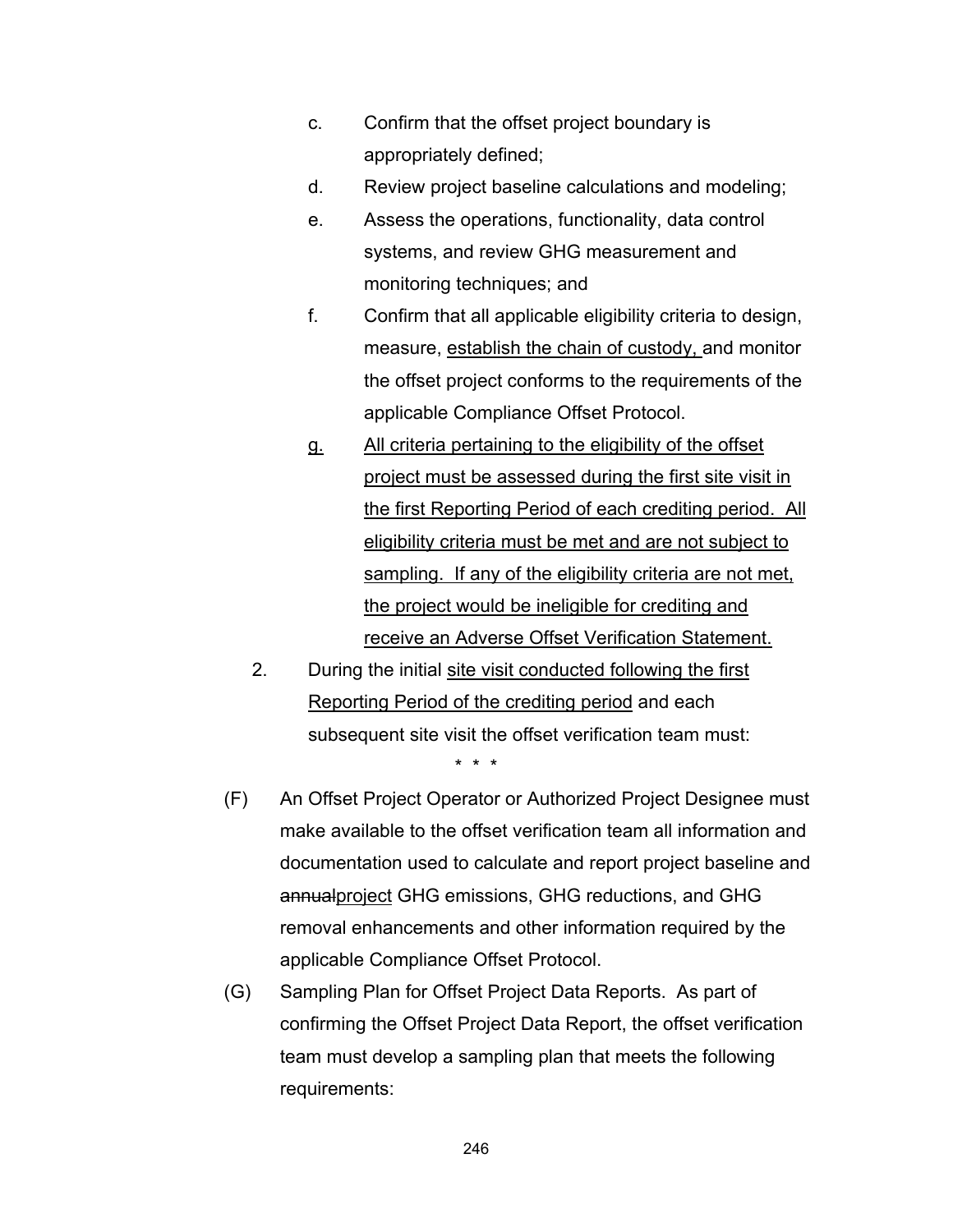- c. Confirm that the offset project boundary is appropriately defined;
- d. Review project baseline calculations and modeling;
- e. Assess the operations, functionality, data control systems, and review GHG measurement and monitoring techniques; and
- f. Confirm that all applicable eligibility criteria to design, measure, establish the chain of custody, and monitor the offset project conforms to the requirements of the applicable Compliance Offset Protocol.
- g. All criteria pertaining to the eligibility of the offset project must be assessed during the first site visit in the first Reporting Period of each crediting period. All eligibility criteria must be met and are not subject to sampling. If any of the eligibility criteria are not met, the project would be ineligible for crediting and receive an Adverse Offset Verification Statement.
- 2. During the initial site visit conducted following the first Reporting Period of the crediting period and each subsequent site visit the offset verification team must: \* \* \*
- (F) An Offset Project Operator or Authorized Project Designee must make available to the offset verification team all information and documentation used to calculate and report project baseline and annualproject GHG emissions, GHG reductions, and GHG removal enhancements and other information required by the applicable Compliance Offset Protocol.
- (G) Sampling Plan for Offset Project Data Reports. As part of confirming the Offset Project Data Report, the offset verification team must develop a sampling plan that meets the following requirements: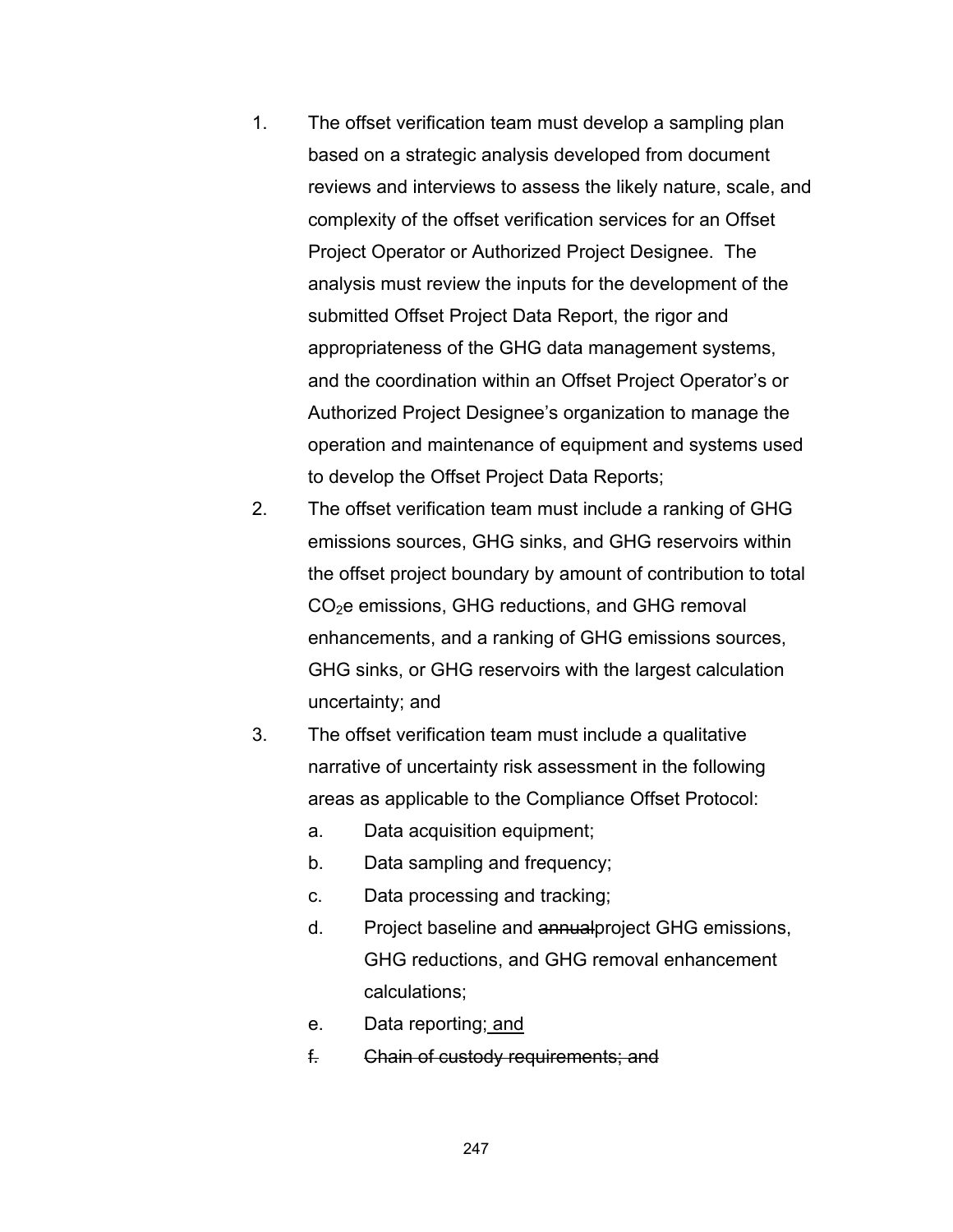- 1. The offset verification team must develop a sampling plan based on a strategic analysis developed from document reviews and interviews to assess the likely nature, scale, and complexity of the offset verification services for an Offset Project Operator or Authorized Project Designee. The analysis must review the inputs for the development of the submitted Offset Project Data Report, the rigor and appropriateness of the GHG data management systems, and the coordination within an Offset Project Operator's or Authorized Project Designee's organization to manage the operation and maintenance of equipment and systems used to develop the Offset Project Data Reports;
- 2. The offset verification team must include a ranking of GHG emissions sources, GHG sinks, and GHG reservoirs within the offset project boundary by amount of contribution to total CO2e emissions, GHG reductions, and GHG removal enhancements, and a ranking of GHG emissions sources, GHG sinks, or GHG reservoirs with the largest calculation uncertainty; and
- 3. The offset verification team must include a qualitative narrative of uncertainty risk assessment in the following areas as applicable to the Compliance Offset Protocol:
	- a. Data acquisition equipment;
	- b. Data sampling and frequency;
	- c. Data processing and tracking;
	- d. Project baseline and annualproject GHG emissions, GHG reductions, and GHG removal enhancement calculations;
	- e. Data reporting; and
	- f. Chain of custody requirements; and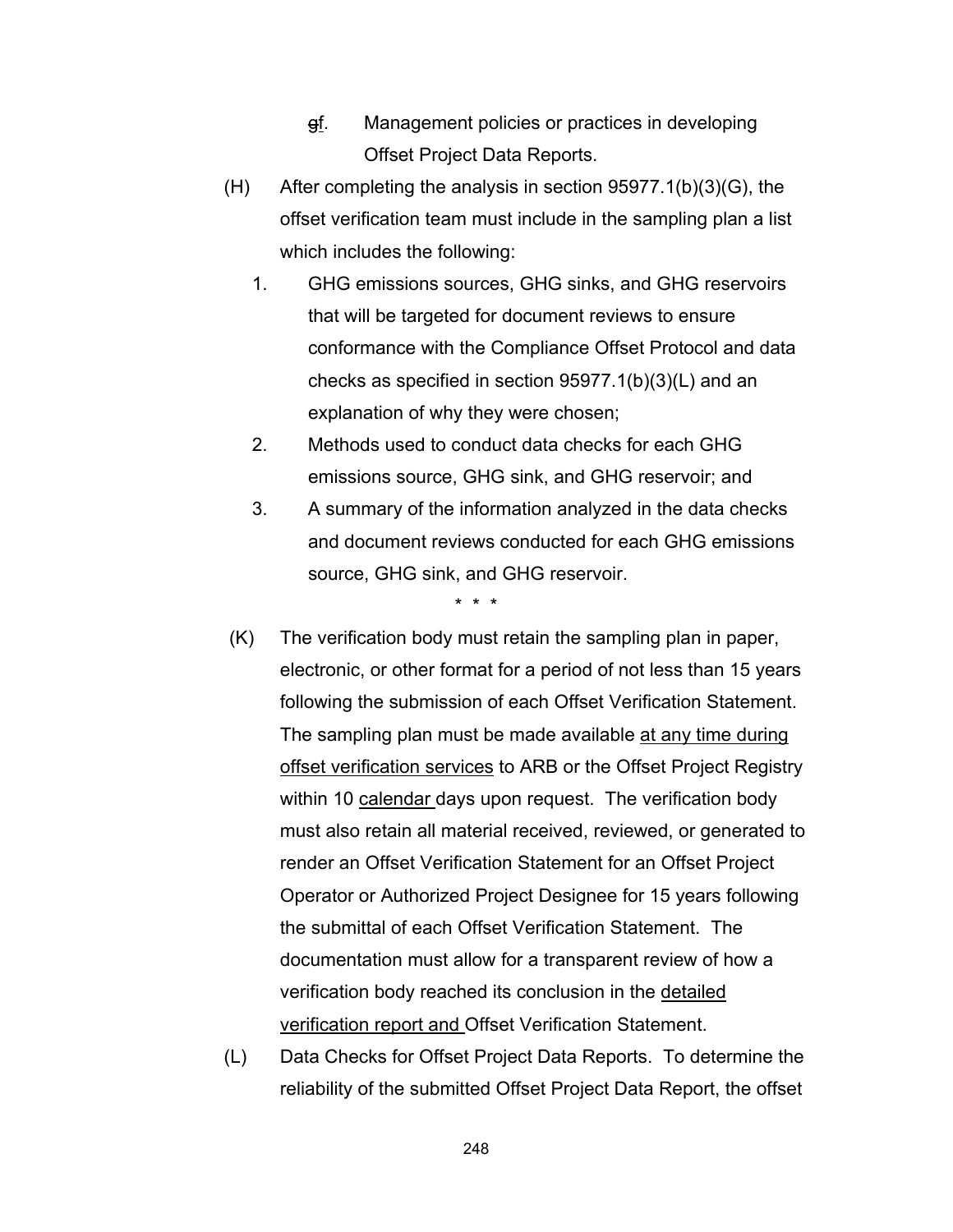- gf. Management policies or practices in developing Offset Project Data Reports.
- (H) After completing the analysis in section 95977.1(b)(3)(G), the offset verification team must include in the sampling plan a list which includes the following:
	- 1. GHG emissions sources, GHG sinks, and GHG reservoirs that will be targeted for document reviews to ensure conformance with the Compliance Offset Protocol and data checks as specified in section 95977.1(b)(3)(L) and an explanation of why they were chosen;
	- 2. Methods used to conduct data checks for each GHG emissions source, GHG sink, and GHG reservoir; and
	- 3. A summary of the information analyzed in the data checks and document reviews conducted for each GHG emissions source, GHG sink, and GHG reservoir.

\* \* \*

- (K) The verification body must retain the sampling plan in paper, electronic, or other format for a period of not less than 15 years following the submission of each Offset Verification Statement. The sampling plan must be made available at any time during offset verification services to ARB or the Offset Project Registry within 10 calendar days upon request. The verification body must also retain all material received, reviewed, or generated to render an Offset Verification Statement for an Offset Project Operator or Authorized Project Designee for 15 years following the submittal of each Offset Verification Statement. The documentation must allow for a transparent review of how a verification body reached its conclusion in the detailed verification report and Offset Verification Statement.
- (L) Data Checks for Offset Project Data Reports. To determine the reliability of the submitted Offset Project Data Report, the offset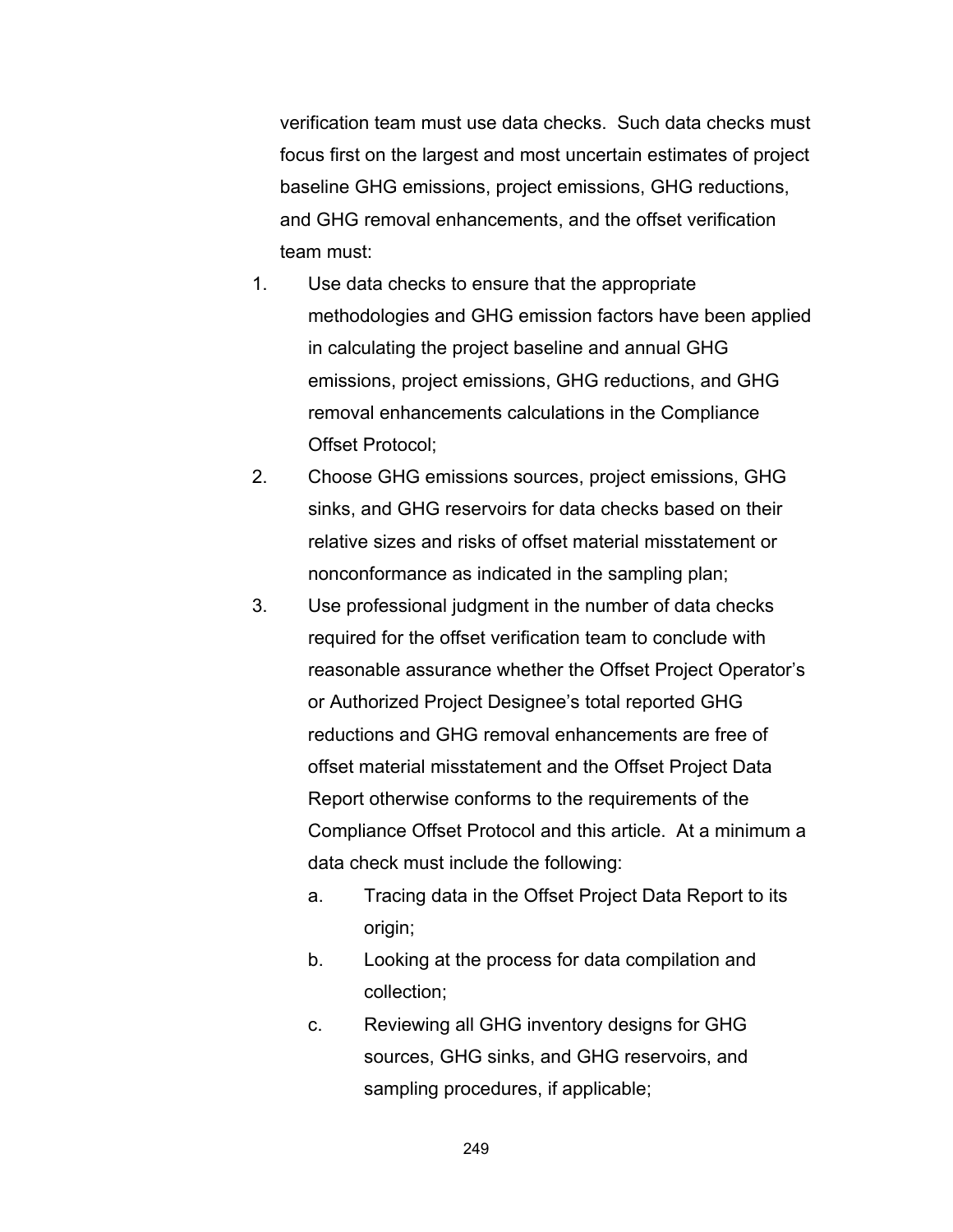verification team must use data checks. Such data checks must focus first on the largest and most uncertain estimates of project baseline GHG emissions, project emissions, GHG reductions, and GHG removal enhancements, and the offset verification team must:

- 1. Use data checks to ensure that the appropriate methodologies and GHG emission factors have been applied in calculating the project baseline and annual GHG emissions, project emissions, GHG reductions, and GHG removal enhancements calculations in the Compliance Offset Protocol;
- 2. Choose GHG emissions sources, project emissions, GHG sinks, and GHG reservoirs for data checks based on their relative sizes and risks of offset material misstatement or nonconformance as indicated in the sampling plan;
- 3. Use professional judgment in the number of data checks required for the offset verification team to conclude with reasonable assurance whether the Offset Project Operator's or Authorized Project Designee's total reported GHG reductions and GHG removal enhancements are free of offset material misstatement and the Offset Project Data Report otherwise conforms to the requirements of the Compliance Offset Protocol and this article. At a minimum a data check must include the following:
	- a. Tracing data in the Offset Project Data Report to its origin;
	- b. Looking at the process for data compilation and collection;
	- c. Reviewing all GHG inventory designs for GHG sources, GHG sinks, and GHG reservoirs, and sampling procedures, if applicable;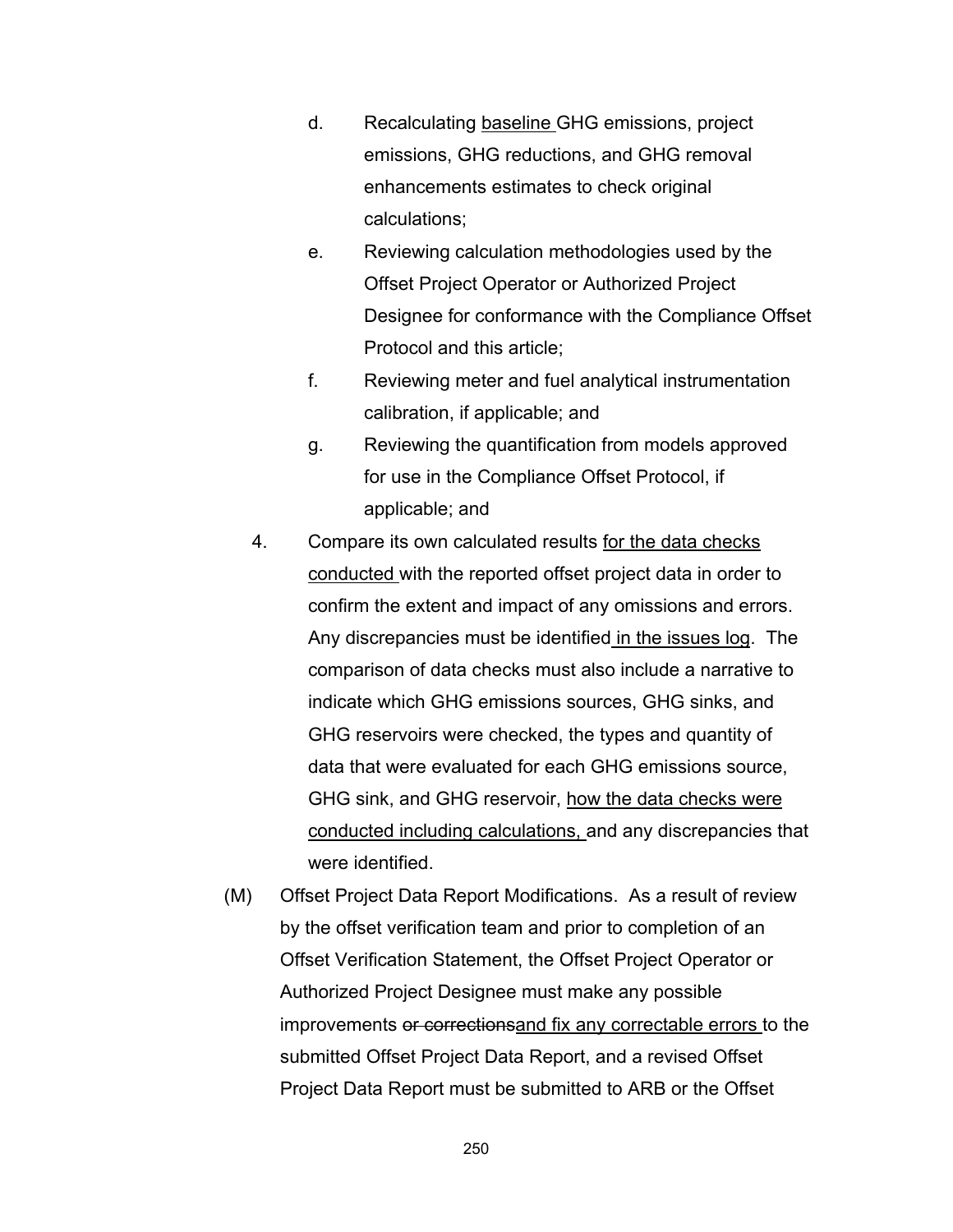- d. Recalculating baseline GHG emissions, project emissions, GHG reductions, and GHG removal enhancements estimates to check original calculations;
- e. Reviewing calculation methodologies used by the Offset Project Operator or Authorized Project Designee for conformance with the Compliance Offset Protocol and this article;
- f. Reviewing meter and fuel analytical instrumentation calibration, if applicable; and
- g. Reviewing the quantification from models approved for use in the Compliance Offset Protocol, if applicable; and
- 4. Compare its own calculated results for the data checks conducted with the reported offset project data in order to confirm the extent and impact of any omissions and errors. Any discrepancies must be identified in the issues log. The comparison of data checks must also include a narrative to indicate which GHG emissions sources, GHG sinks, and GHG reservoirs were checked, the types and quantity of data that were evaluated for each GHG emissions source, GHG sink, and GHG reservoir, how the data checks were conducted including calculations, and any discrepancies that were identified.
- (M) Offset Project Data Report Modifications. As a result of review by the offset verification team and prior to completion of an Offset Verification Statement, the Offset Project Operator or Authorized Project Designee must make any possible improvements or correctionsand fix any correctable errors to the submitted Offset Project Data Report, and a revised Offset Project Data Report must be submitted to ARB or the Offset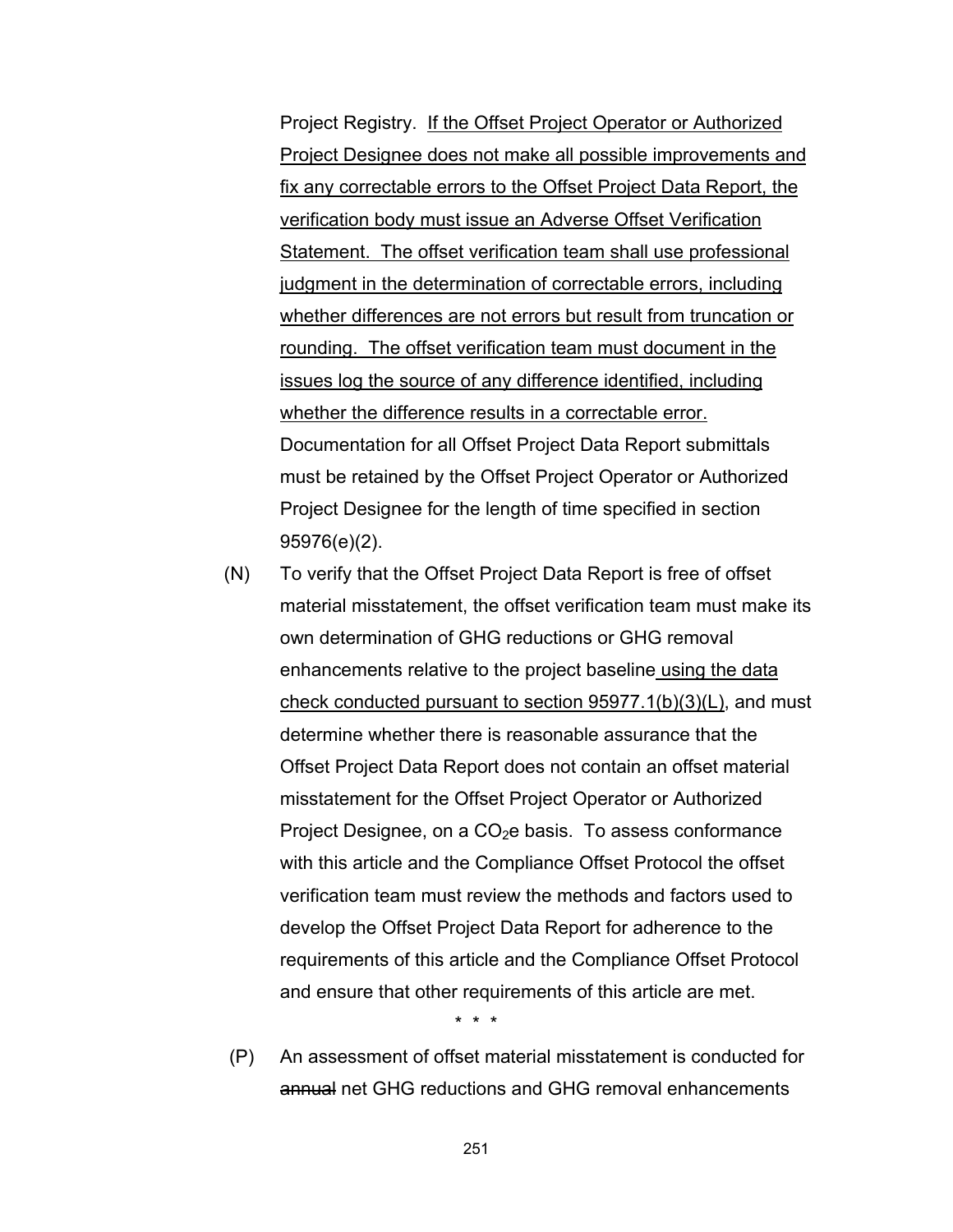Project Registry. If the Offset Project Operator or Authorized Project Designee does not make all possible improvements and fix any correctable errors to the Offset Project Data Report, the verification body must issue an Adverse Offset Verification Statement. The offset verification team shall use professional judgment in the determination of correctable errors, including whether differences are not errors but result from truncation or rounding. The offset verification team must document in the issues log the source of any difference identified, including whether the difference results in a correctable error. Documentation for all Offset Project Data Report submittals must be retained by the Offset Project Operator or Authorized Project Designee for the length of time specified in section 95976(e)(2).

(N) To verify that the Offset Project Data Report is free of offset material misstatement, the offset verification team must make its own determination of GHG reductions or GHG removal enhancements relative to the project baseline using the data check conducted pursuant to section 95977.1(b)(3)(L), and must determine whether there is reasonable assurance that the Offset Project Data Report does not contain an offset material misstatement for the Offset Project Operator or Authorized Project Designee, on a  $CO<sub>2</sub>e$  basis. To assess conformance with this article and the Compliance Offset Protocol the offset verification team must review the methods and factors used to develop the Offset Project Data Report for adherence to the requirements of this article and the Compliance Offset Protocol and ensure that other requirements of this article are met.

\* \* \*

 (P) An assessment of offset material misstatement is conducted for annual net GHG reductions and GHG removal enhancements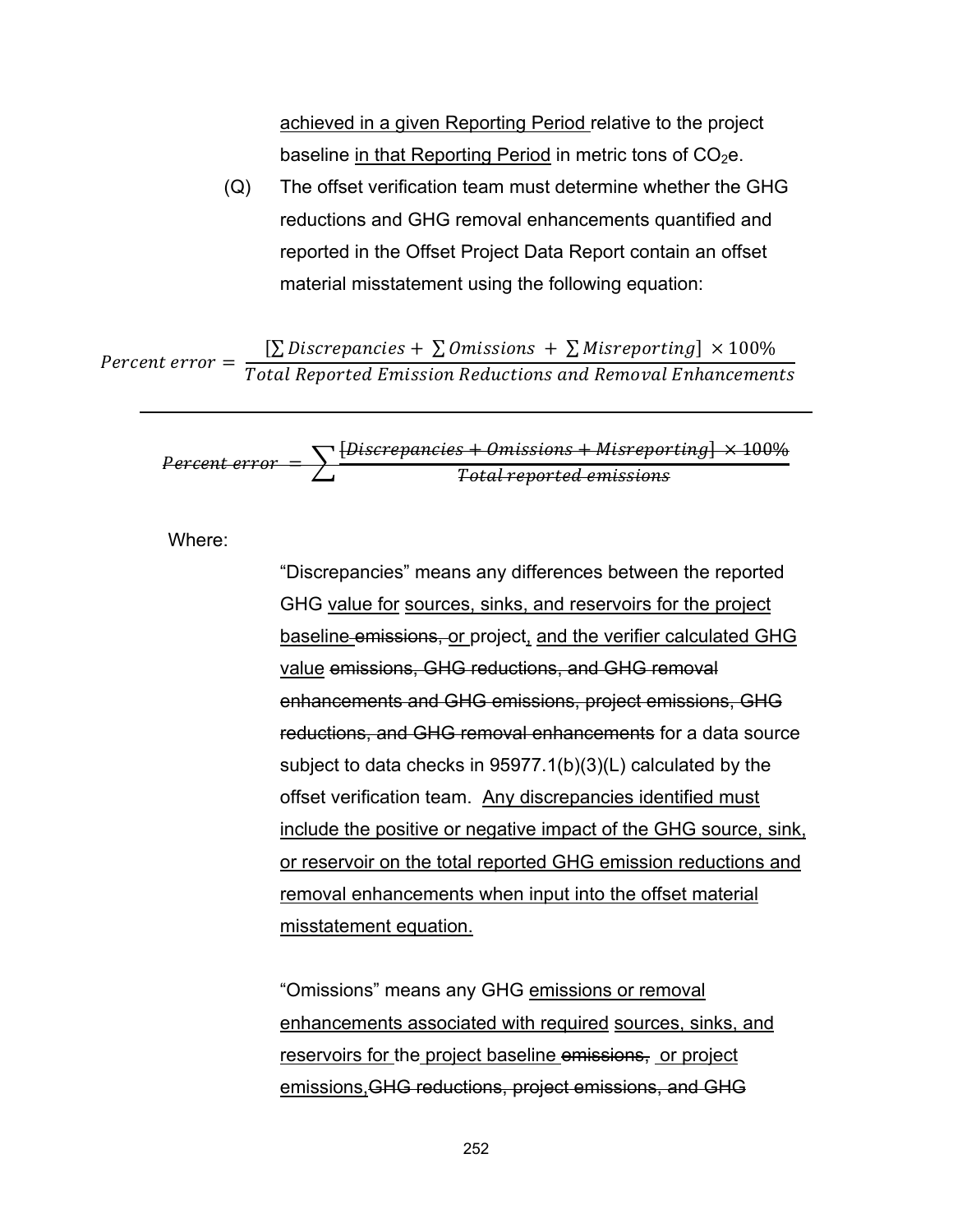achieved in a given Reporting Period relative to the project baseline in that Reporting Period in metric tons of  $CO<sub>2</sub>e$ .

(Q) The offset verification team must determine whether the GHG reductions and GHG removal enhancements quantified and reported in the Offset Project Data Report contain an offset material misstatement using the following equation:

Percent error =  $\sum D$ iscrepancies +  $\sum D$ missions +  $\sum M$ isreporting  $\vert \times 100\% \vert$ Total Reported Emission Reductions and Removal Enhancements

$$
Percent error = \sum \frac{[Discrepancies + Omissions + Misreporting] \times 100\%}{Total reported emissions}
$$

Where:

"Discrepancies" means any differences between the reported GHG value for sources, sinks, and reservoirs for the project baseline emissions, or project, and the verifier calculated GHG value emissions, GHG reductions, and GHG removal enhancements and GHG emissions, project emissions, GHG reductions, and GHG removal enhancements for a data source subject to data checks in 95977.1(b)(3)(L) calculated by the offset verification team. Any discrepancies identified must include the positive or negative impact of the GHG source, sink, or reservoir on the total reported GHG emission reductions and removal enhancements when input into the offset material misstatement equation.

"Omissions" means any GHG emissions or removal enhancements associated with required sources, sinks, and reservoirs for the project baseline emissions, or project emissions,GHG reductions, project emissions, and GHG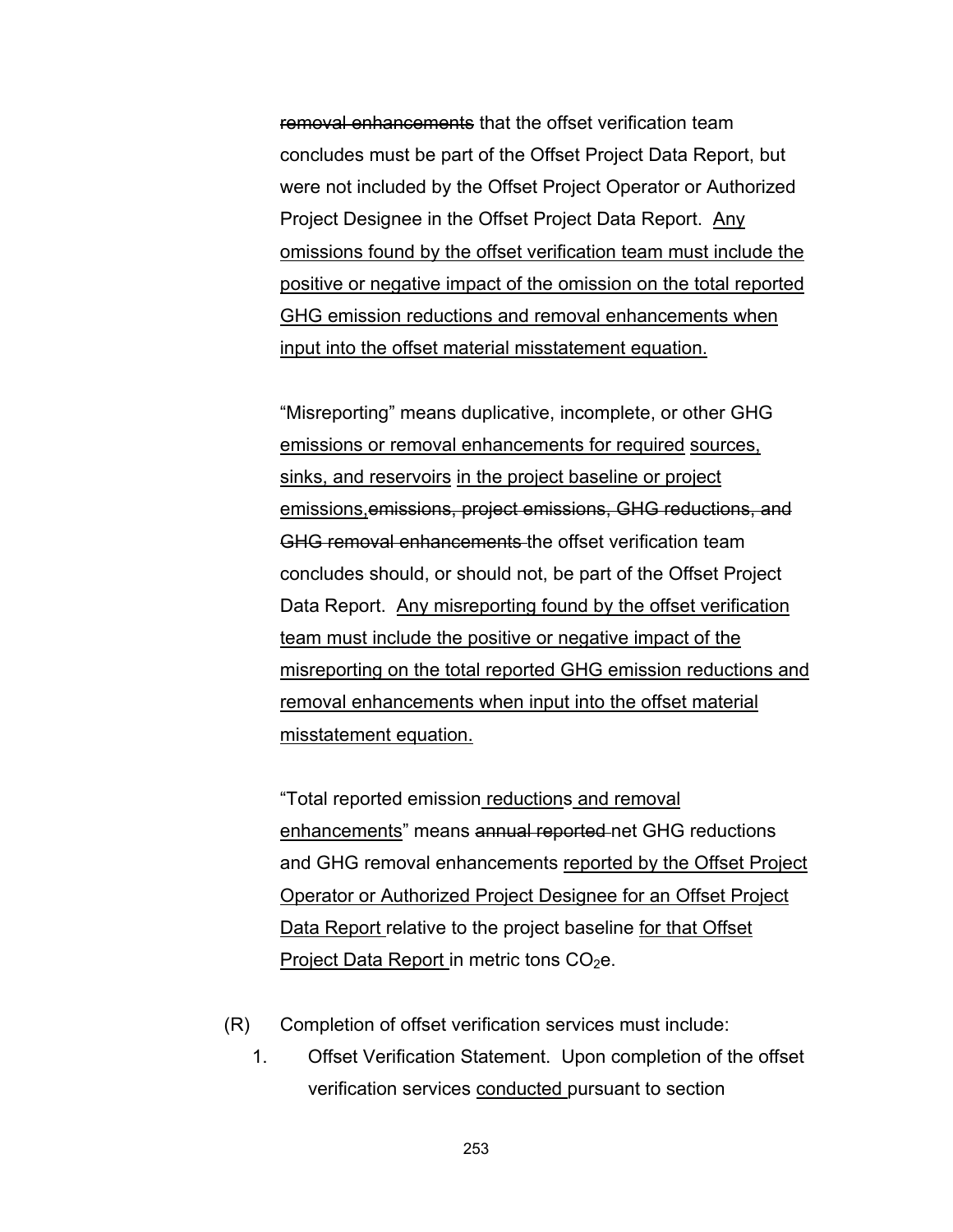removal enhancements that the offset verification team concludes must be part of the Offset Project Data Report, but were not included by the Offset Project Operator or Authorized Project Designee in the Offset Project Data Report. Any omissions found by the offset verification team must include the positive or negative impact of the omission on the total reported GHG emission reductions and removal enhancements when input into the offset material misstatement equation.

"Misreporting" means duplicative, incomplete, or other GHG emissions or removal enhancements for required sources, sinks, and reservoirs in the project baseline or project emissions,emissions, project emissions, GHG reductions, and GHG removal enhancements the offset verification team concludes should, or should not, be part of the Offset Project Data Report. Any misreporting found by the offset verification team must include the positive or negative impact of the misreporting on the total reported GHG emission reductions and removal enhancements when input into the offset material misstatement equation.

"Total reported emission reductions and removal enhancements" means annual reported net GHG reductions and GHG removal enhancements reported by the Offset Project Operator or Authorized Project Designee for an Offset Project Data Report relative to the project baseline for that Offset Project Data Report in metric tons  $CO<sub>2</sub>e$ .

- (R) Completion of offset verification services must include:
	- 1. Offset Verification Statement. Upon completion of the offset verification services conducted pursuant to section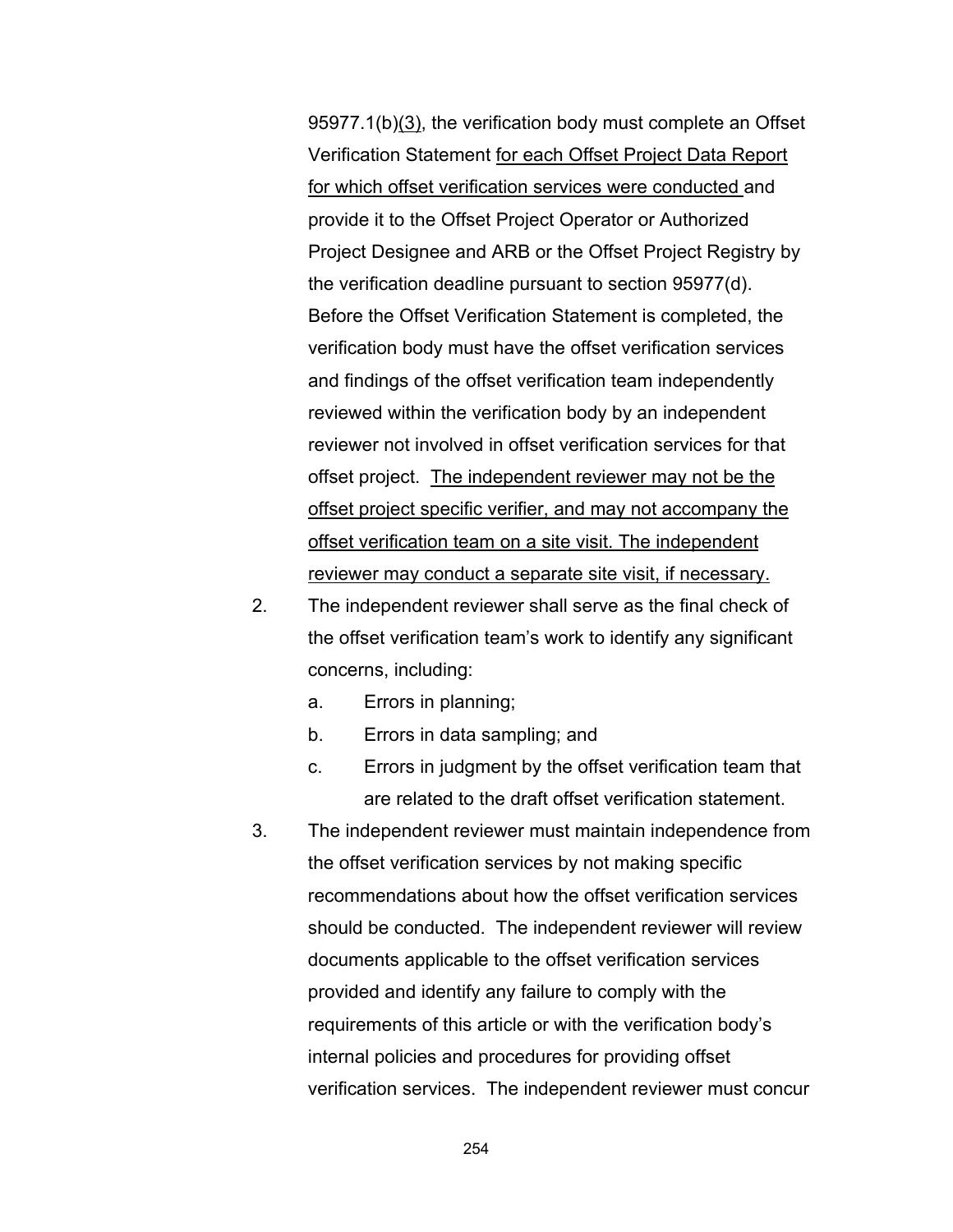95977.1(b)(3), the verification body must complete an Offset Verification Statement for each Offset Project Data Report for which offset verification services were conducted and provide it to the Offset Project Operator or Authorized Project Designee and ARB or the Offset Project Registry by the verification deadline pursuant to section 95977(d). Before the Offset Verification Statement is completed, the verification body must have the offset verification services and findings of the offset verification team independently reviewed within the verification body by an independent reviewer not involved in offset verification services for that offset project. The independent reviewer may not be the offset project specific verifier, and may not accompany the offset verification team on a site visit. The independent reviewer may conduct a separate site visit, if necessary.

- 2. The independent reviewer shall serve as the final check of the offset verification team's work to identify any significant concerns, including:
	- a. Errors in planning;
	- b. Errors in data sampling; and
	- c. Errors in judgment by the offset verification team that are related to the draft offset verification statement.
- 3. The independent reviewer must maintain independence from the offset verification services by not making specific recommendations about how the offset verification services should be conducted. The independent reviewer will review documents applicable to the offset verification services provided and identify any failure to comply with the requirements of this article or with the verification body's internal policies and procedures for providing offset verification services. The independent reviewer must concur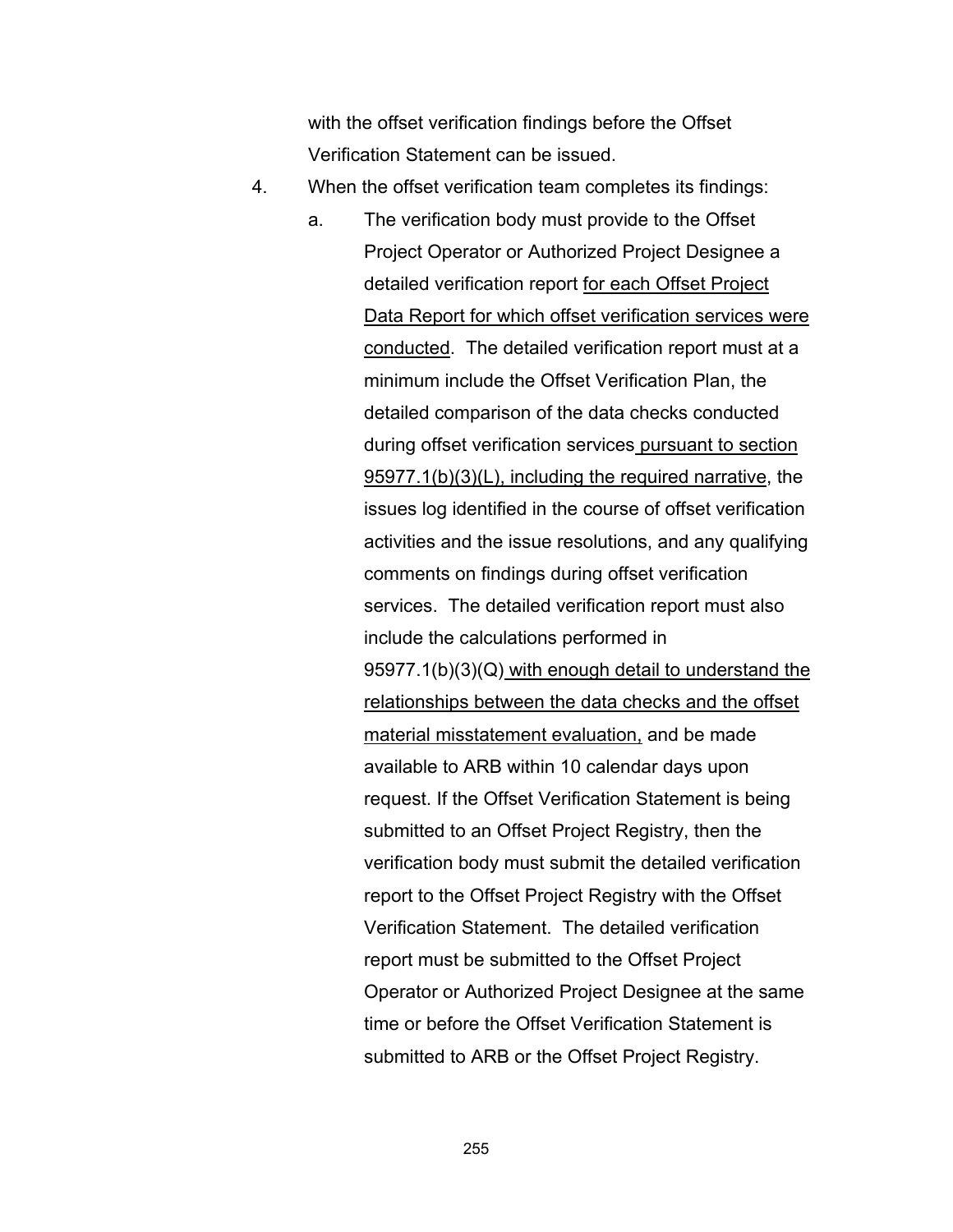with the offset verification findings before the Offset Verification Statement can be issued.

- 4. When the offset verification team completes its findings:
	- a. The verification body must provide to the Offset Project Operator or Authorized Project Designee a detailed verification report for each Offset Project Data Report for which offset verification services were conducted. The detailed verification report must at a minimum include the Offset Verification Plan, the detailed comparison of the data checks conducted during offset verification services pursuant to section 95977.1(b)(3)(L), including the required narrative, the issues log identified in the course of offset verification activities and the issue resolutions, and any qualifying comments on findings during offset verification services. The detailed verification report must also include the calculations performed in 95977.1(b)(3)(Q) with enough detail to understand the relationships between the data checks and the offset material misstatement evaluation, and be made available to ARB within 10 calendar days upon request. If the Offset Verification Statement is being submitted to an Offset Project Registry, then the verification body must submit the detailed verification report to the Offset Project Registry with the Offset Verification Statement. The detailed verification report must be submitted to the Offset Project Operator or Authorized Project Designee at the same time or before the Offset Verification Statement is submitted to ARB or the Offset Project Registry.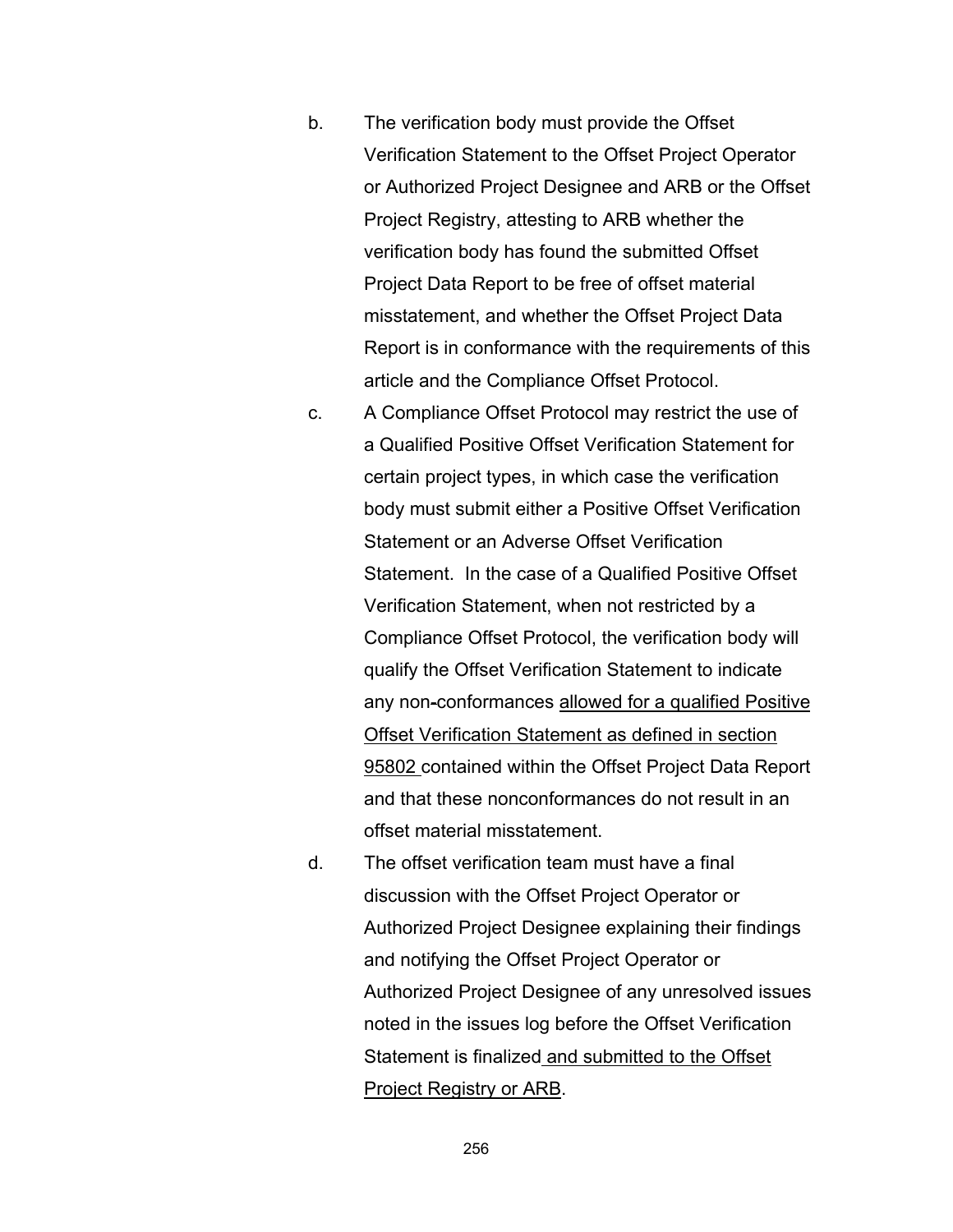- b. The verification body must provide the Offset Verification Statement to the Offset Project Operator or Authorized Project Designee and ARB or the Offset Project Registry, attesting to ARB whether the verification body has found the submitted Offset Project Data Report to be free of offset material misstatement, and whether the Offset Project Data Report is in conformance with the requirements of this article and the Compliance Offset Protocol.
- c. A Compliance Offset Protocol may restrict the use of a Qualified Positive Offset Verification Statement for certain project types, in which case the verification body must submit either a Positive Offset Verification Statement or an Adverse Offset Verification Statement. In the case of a Qualified Positive Offset Verification Statement, when not restricted by a Compliance Offset Protocol, the verification body will qualify the Offset Verification Statement to indicate any non-conformances allowed for a qualified Positive Offset Verification Statement as defined in section 95802 contained within the Offset Project Data Report and that these nonconformances do not result in an offset material misstatement.
- d. The offset verification team must have a final discussion with the Offset Project Operator or Authorized Project Designee explaining their findings and notifying the Offset Project Operator or Authorized Project Designee of any unresolved issues noted in the issues log before the Offset Verification Statement is finalized and submitted to the Offset Project Registry or ARB.

256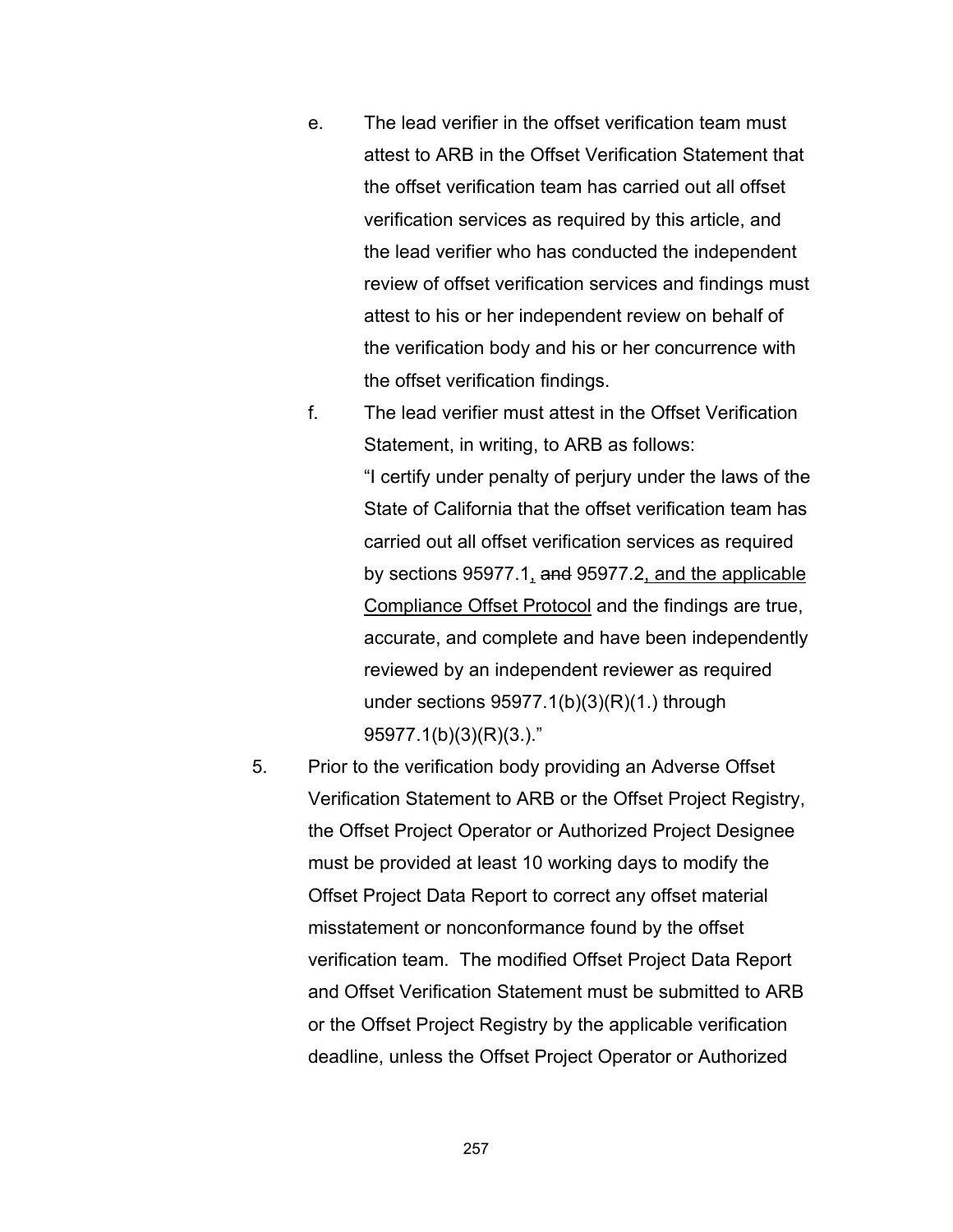- e. The lead verifier in the offset verification team must attest to ARB in the Offset Verification Statement that the offset verification team has carried out all offset verification services as required by this article, and the lead verifier who has conducted the independent review of offset verification services and findings must attest to his or her independent review on behalf of the verification body and his or her concurrence with the offset verification findings.
- f. The lead verifier must attest in the Offset Verification Statement, in writing, to ARB as follows: "I certify under penalty of perjury under the laws of the State of California that the offset verification team has carried out all offset verification services as required by sections 95977.1, and 95977.2, and the applicable Compliance Offset Protocol and the findings are true, accurate, and complete and have been independently reviewed by an independent reviewer as required under sections  $95977.1(b)(3)(R)(1.)$  through 95977.1(b)(3)(R)(3.)."
- 5. Prior to the verification body providing an Adverse Offset Verification Statement to ARB or the Offset Project Registry, the Offset Project Operator or Authorized Project Designee must be provided at least 10 working days to modify the Offset Project Data Report to correct any offset material misstatement or nonconformance found by the offset verification team. The modified Offset Project Data Report and Offset Verification Statement must be submitted to ARB or the Offset Project Registry by the applicable verification deadline, unless the Offset Project Operator or Authorized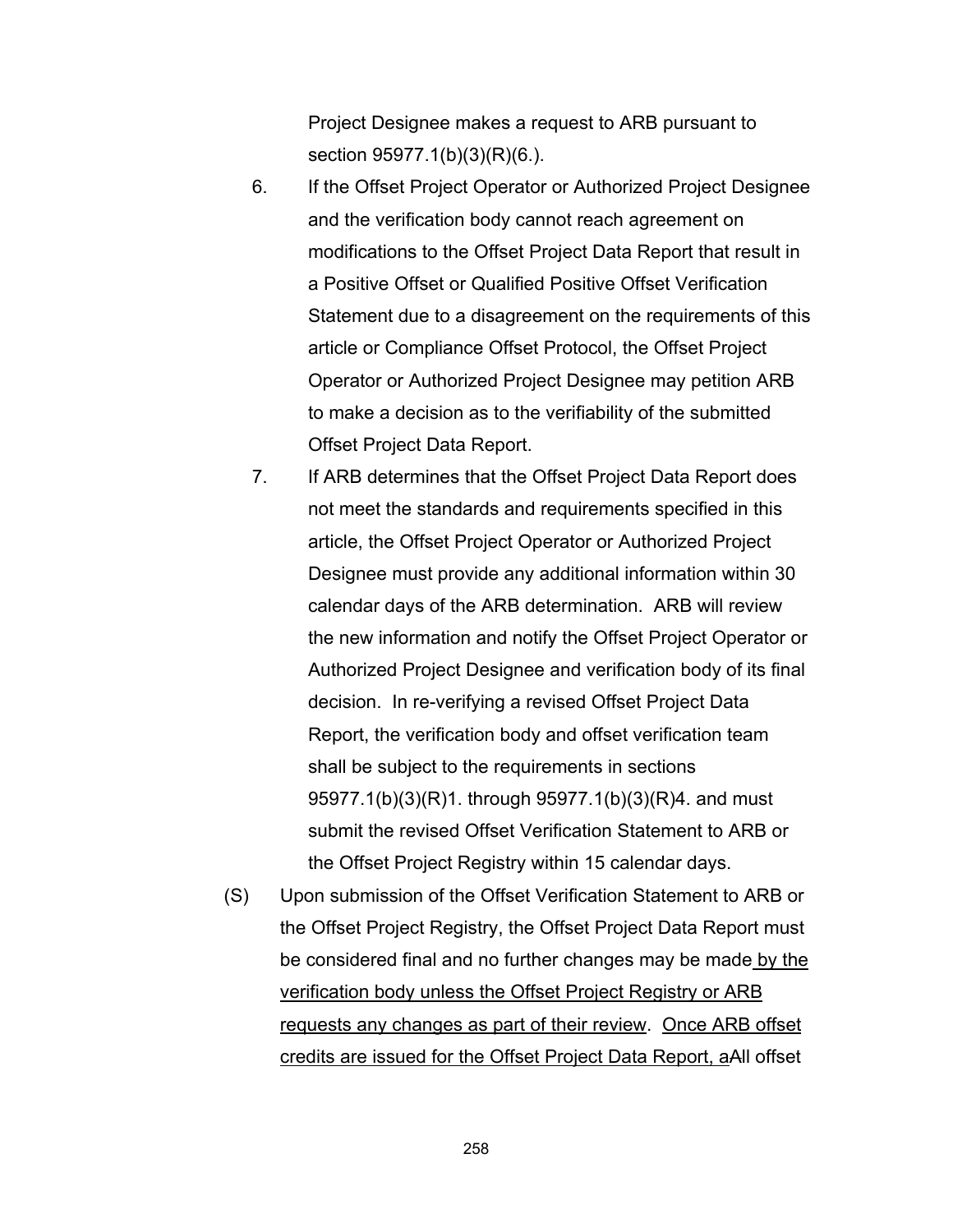Project Designee makes a request to ARB pursuant to section 95977.1(b)(3)(R)(6.).

- 6. If the Offset Project Operator or Authorized Project Designee and the verification body cannot reach agreement on modifications to the Offset Project Data Report that result in a Positive Offset or Qualified Positive Offset Verification Statement due to a disagreement on the requirements of this article or Compliance Offset Protocol, the Offset Project Operator or Authorized Project Designee may petition ARB to make a decision as to the verifiability of the submitted Offset Project Data Report.
- 7. If ARB determines that the Offset Project Data Report does not meet the standards and requirements specified in this article, the Offset Project Operator or Authorized Project Designee must provide any additional information within 30 calendar days of the ARB determination. ARB will review the new information and notify the Offset Project Operator or Authorized Project Designee and verification body of its final decision. In re-verifying a revised Offset Project Data Report, the verification body and offset verification team shall be subject to the requirements in sections 95977.1(b)(3)(R)1. through 95977.1(b)(3)(R)4. and must submit the revised Offset Verification Statement to ARB or the Offset Project Registry within 15 calendar days.
- (S) Upon submission of the Offset Verification Statement to ARB or the Offset Project Registry, the Offset Project Data Report must be considered final and no further changes may be made by the verification body unless the Offset Project Registry or ARB requests any changes as part of their review. Once ARB offset credits are issued for the Offset Project Data Report, aAll offset

258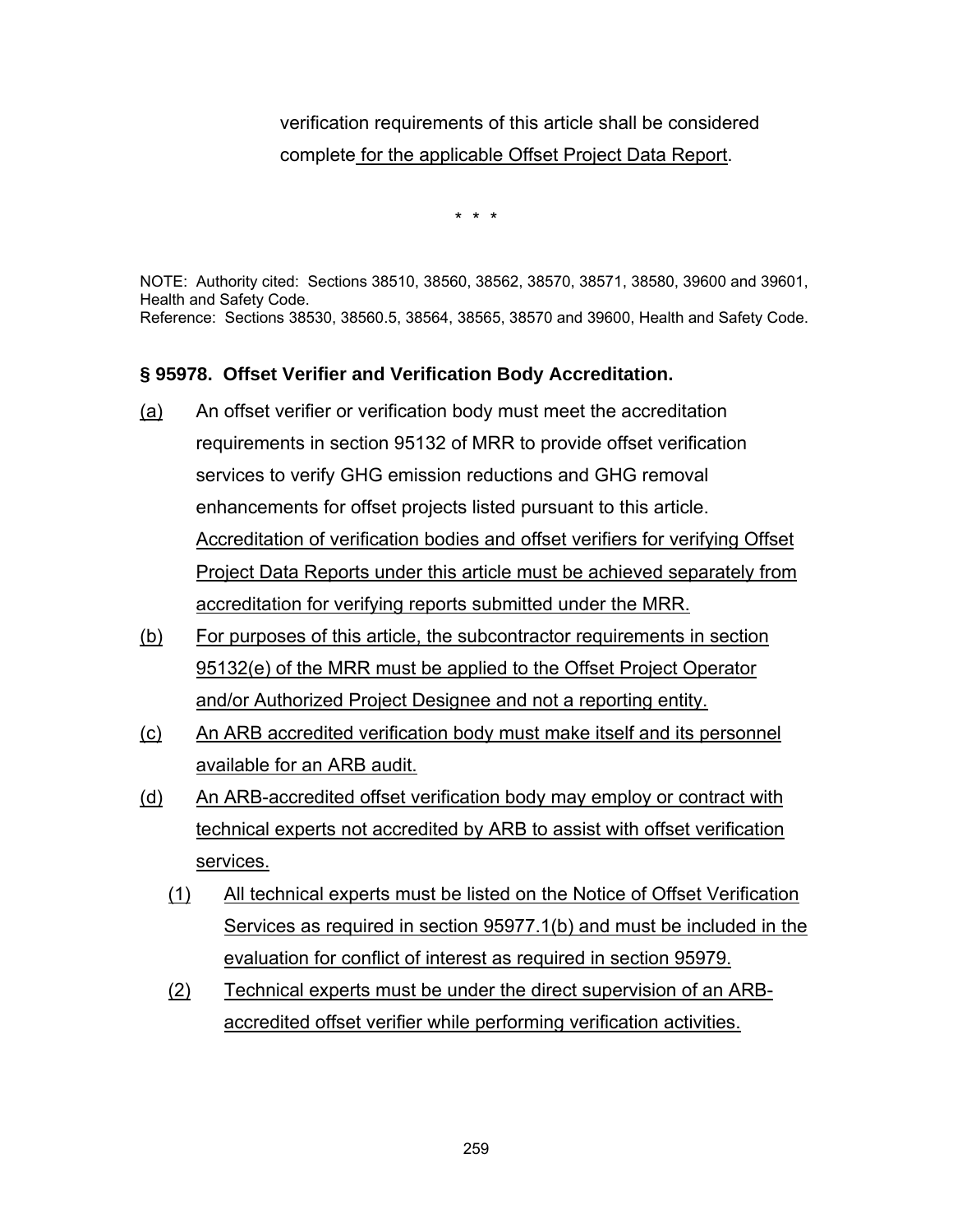# verification requirements of this article shall be considered complete for the applicable Offset Project Data Report.

\* \* \*

NOTE: Authority cited: Sections 38510, 38560, 38562, 38570, 38571, 38580, 39600 and 39601, Health and Safety Code. Reference: Sections 38530, 38560.5, 38564, 38565, 38570 and 39600, Health and Safety Code.

### **§ 95978. Offset Verifier and Verification Body Accreditation.**

- (a) An offset verifier or verification body must meet the accreditation requirements in section 95132 of MRR to provide offset verification services to verify GHG emission reductions and GHG removal enhancements for offset projects listed pursuant to this article. Accreditation of verification bodies and offset verifiers for verifying Offset Project Data Reports under this article must be achieved separately from accreditation for verifying reports submitted under the MRR.
- (b) For purposes of this article, the subcontractor requirements in section 95132(e) of the MRR must be applied to the Offset Project Operator and/or Authorized Project Designee and not a reporting entity.
- (c) An ARB accredited verification body must make itself and its personnel available for an ARB audit.
- (d) An ARB-accredited offset verification body may employ or contract with technical experts not accredited by ARB to assist with offset verification services.
	- (1) All technical experts must be listed on the Notice of Offset Verification Services as required in section 95977.1(b) and must be included in the evaluation for conflict of interest as required in section 95979.
	- (2) Technical experts must be under the direct supervision of an ARBaccredited offset verifier while performing verification activities.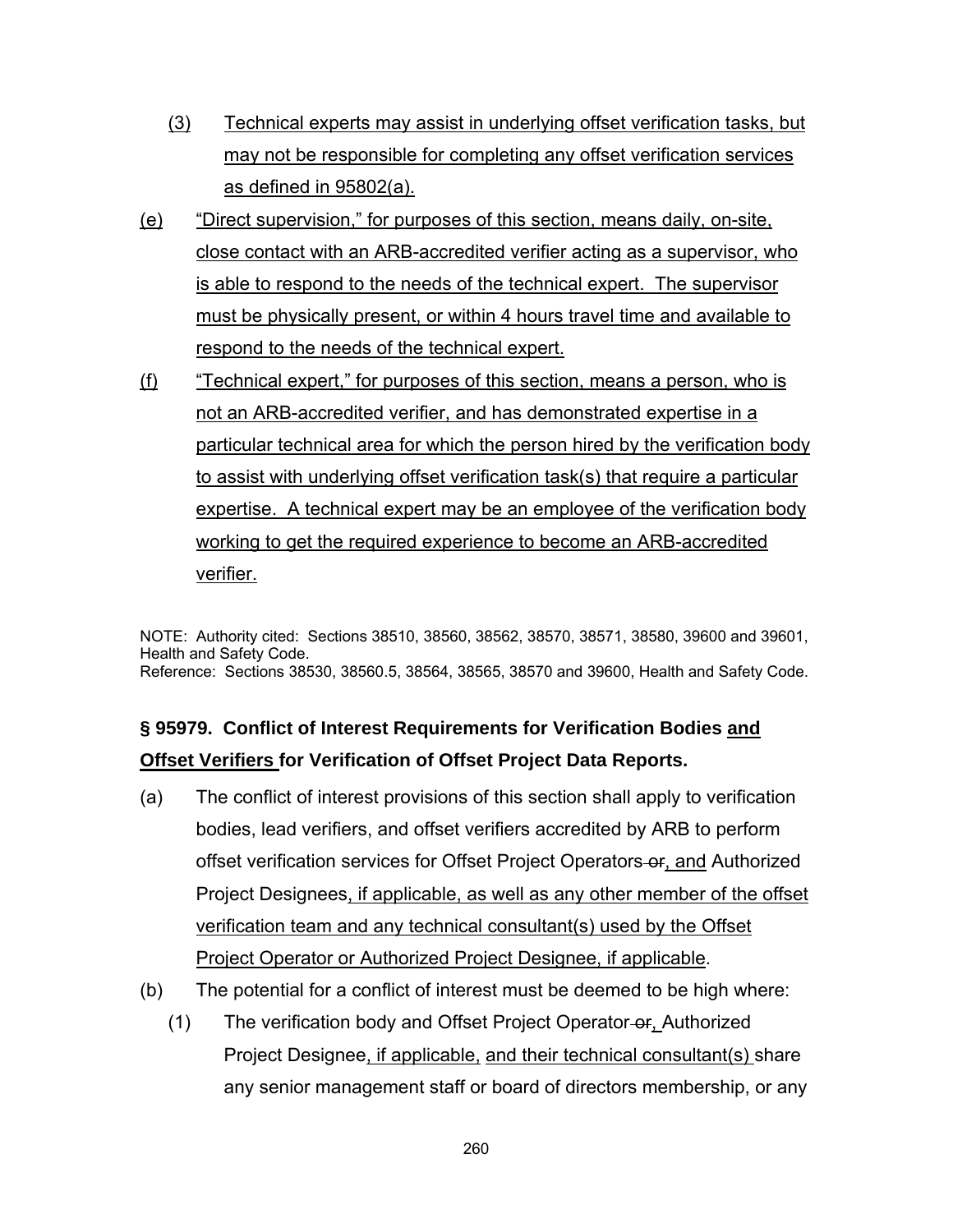- (3) Technical experts may assist in underlying offset verification tasks, but may not be responsible for completing any offset verification services as defined in 95802(a).
- (e) "Direct supervision," for purposes of this section, means daily, on-site, close contact with an ARB-accredited verifier acting as a supervisor, who is able to respond to the needs of the technical expert. The supervisor must be physically present, or within 4 hours travel time and available to respond to the needs of the technical expert.
- (f) "Technical expert," for purposes of this section, means a person, who is not an ARB-accredited verifier, and has demonstrated expertise in a particular technical area for which the person hired by the verification body to assist with underlying offset verification task(s) that require a particular expertise. A technical expert may be an employee of the verification body working to get the required experience to become an ARB-accredited verifier.

NOTE: Authority cited: Sections 38510, 38560, 38562, 38570, 38571, 38580, 39600 and 39601, Health and Safety Code. Reference: Sections 38530, 38560.5, 38564, 38565, 38570 and 39600, Health and Safety Code.

# **§ 95979. Conflict of Interest Requirements for Verification Bodies and Offset Verifiers for Verification of Offset Project Data Reports.**

- (a) The conflict of interest provisions of this section shall apply to verification bodies, lead verifiers, and offset verifiers accredited by ARB to perform offset verification services for Offset Project Operators or, and Authorized Project Designees, if applicable, as well as any other member of the offset verification team and any technical consultant(s) used by the Offset Project Operator or Authorized Project Designee, if applicable.
- (b) The potential for a conflict of interest must be deemed to be high where:
	- (1) The verification body and Offset Project Operator-or, Authorized Project Designee, if applicable, and their technical consultant(s) share any senior management staff or board of directors membership, or any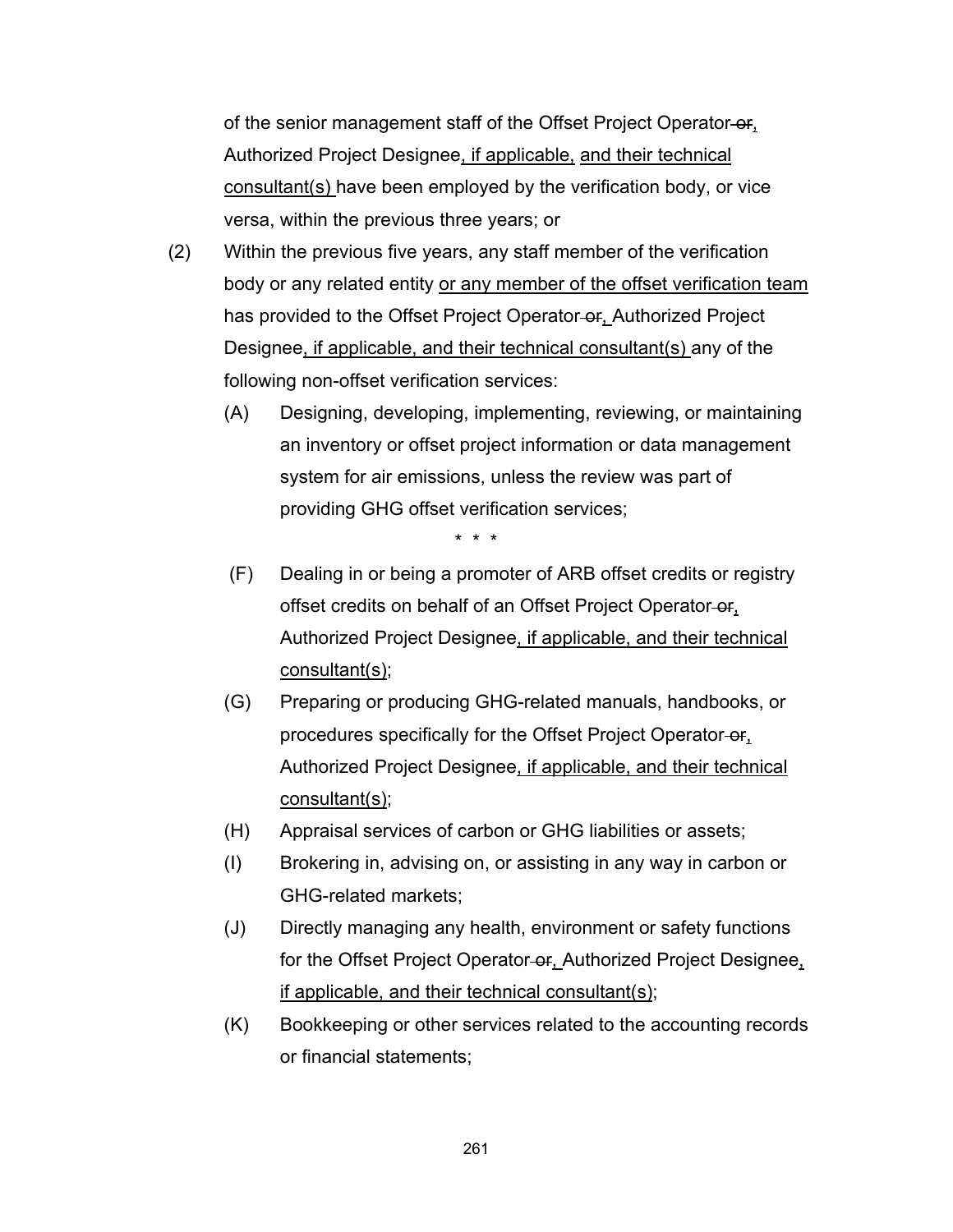of the senior management staff of the Offset Project Operator-or, Authorized Project Designee, if applicable, and their technical consultant(s) have been employed by the verification body, or vice versa, within the previous three years; or

- (2) Within the previous five years, any staff member of the verification body or any related entity or any member of the offset verification team has provided to the Offset Project Operator-or, Authorized Project Designee, if applicable, and their technical consultant(s) any of the following non-offset verification services:
	- (A) Designing, developing, implementing, reviewing, or maintaining an inventory or offset project information or data management system for air emissions, unless the review was part of providing GHG offset verification services;

- (F) Dealing in or being a promoter of ARB offset credits or registry offset credits on behalf of an Offset Project Operator-or, Authorized Project Designee, if applicable, and their technical consultant(s);
- (G) Preparing or producing GHG-related manuals, handbooks, or procedures specifically for the Offset Project Operator-or, Authorized Project Designee, if applicable, and their technical consultant(s);
- (H) Appraisal services of carbon or GHG liabilities or assets;
- (I) Brokering in, advising on, or assisting in any way in carbon or GHG-related markets;
- (J) Directly managing any health, environment or safety functions for the Offset Project Operator-or, Authorized Project Designee, if applicable, and their technical consultant(s);
- (K) Bookkeeping or other services related to the accounting records or financial statements;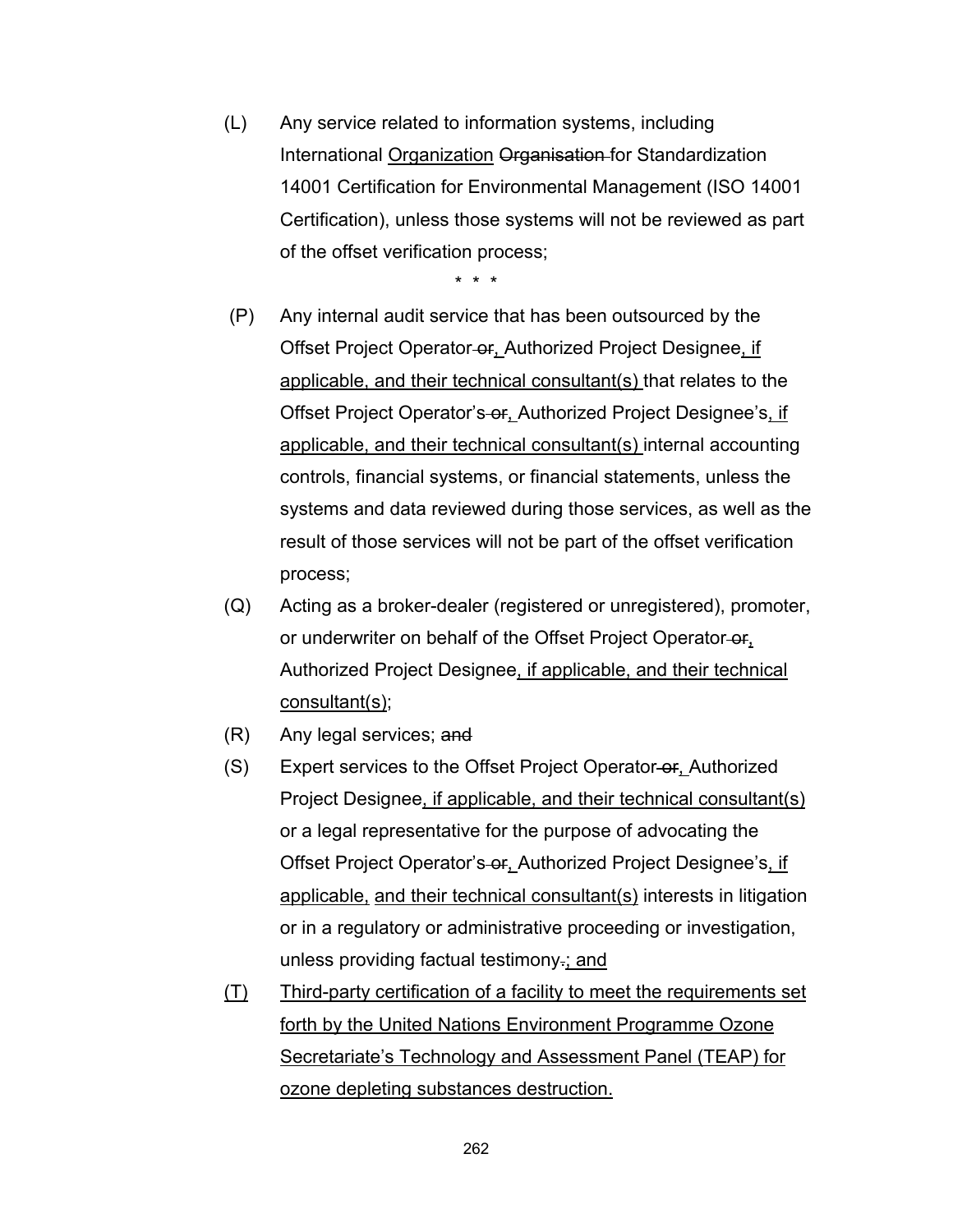(L) Any service related to information systems, including International Organization Organisation for Standardization 14001 Certification for Environmental Management (ISO 14001 Certification), unless those systems will not be reviewed as part of the offset verification process;

- (P) Any internal audit service that has been outsourced by the Offset Project Operator or, Authorized Project Designee, if applicable, and their technical consultant(s) that relates to the Offset Project Operator's or, Authorized Project Designee's, if applicable, and their technical consultant(s) internal accounting controls, financial systems, or financial statements, unless the systems and data reviewed during those services, as well as the result of those services will not be part of the offset verification process;
- (Q) Acting as a broker-dealer (registered or unregistered), promoter, or underwriter on behalf of the Offset Project Operator-or, Authorized Project Designee, if applicable, and their technical consultant(s);
- (R) Any legal services; and
- (S) Expert services to the Offset Project Operator or, Authorized Project Designee, if applicable, and their technical consultant(s) or a legal representative for the purpose of advocating the Offset Project Operator's or, Authorized Project Designee's, if applicable, and their technical consultant(s) interests in litigation or in a regulatory or administrative proceeding or investigation, unless providing factual testimony.; and
- (T) Third-party certification of a facility to meet the requirements set forth by the United Nations Environment Programme Ozone Secretariate's Technology and Assessment Panel (TEAP) for ozone depleting substances destruction.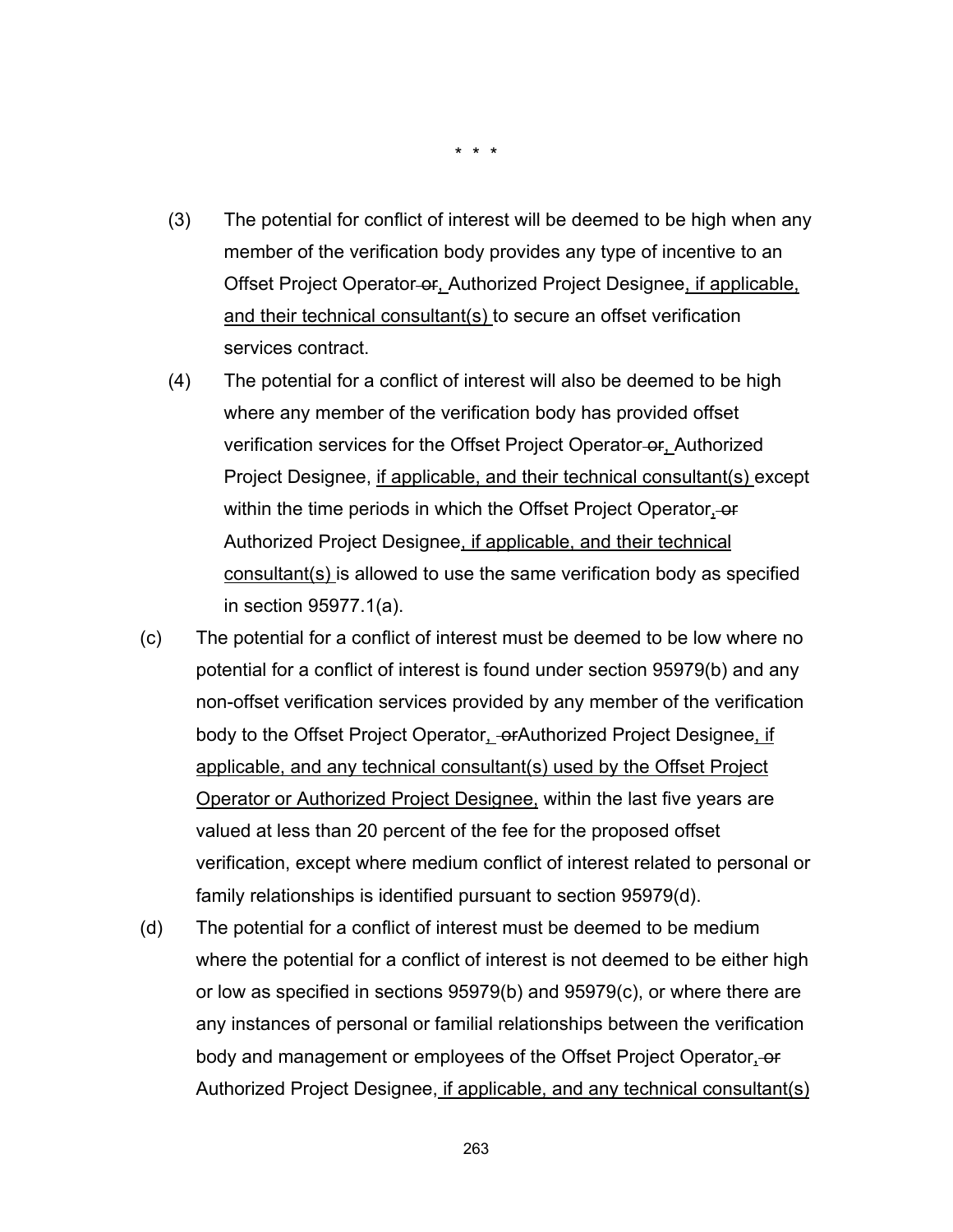- (3) The potential for conflict of interest will be deemed to be high when any member of the verification body provides any type of incentive to an Offset Project Operator-or, Authorized Project Designee, if applicable, and their technical consultant(s) to secure an offset verification services contract.
- (4) The potential for a conflict of interest will also be deemed to be high where any member of the verification body has provided offset verification services for the Offset Project Operator-or, Authorized Project Designee, if applicable, and their technical consultant(s) except within the time periods in which the Offset Project Operator, or Authorized Project Designee, if applicable, and their technical consultant(s) is allowed to use the same verification body as specified in section 95977.1(a).
- (c) The potential for a conflict of interest must be deemed to be low where no potential for a conflict of interest is found under section 95979(b) and any non-offset verification services provided by any member of the verification body to the Offset Project Operator, or Authorized Project Designee, if applicable, and any technical consultant(s) used by the Offset Project Operator or Authorized Project Designee, within the last five years are valued at less than 20 percent of the fee for the proposed offset verification, except where medium conflict of interest related to personal or family relationships is identified pursuant to section 95979(d).
- (d) The potential for a conflict of interest must be deemed to be medium where the potential for a conflict of interest is not deemed to be either high or low as specified in sections 95979(b) and 95979(c), or where there are any instances of personal or familial relationships between the verification body and management or employees of the Offset Project Operator, or Authorized Project Designee, if applicable, and any technical consultant(s)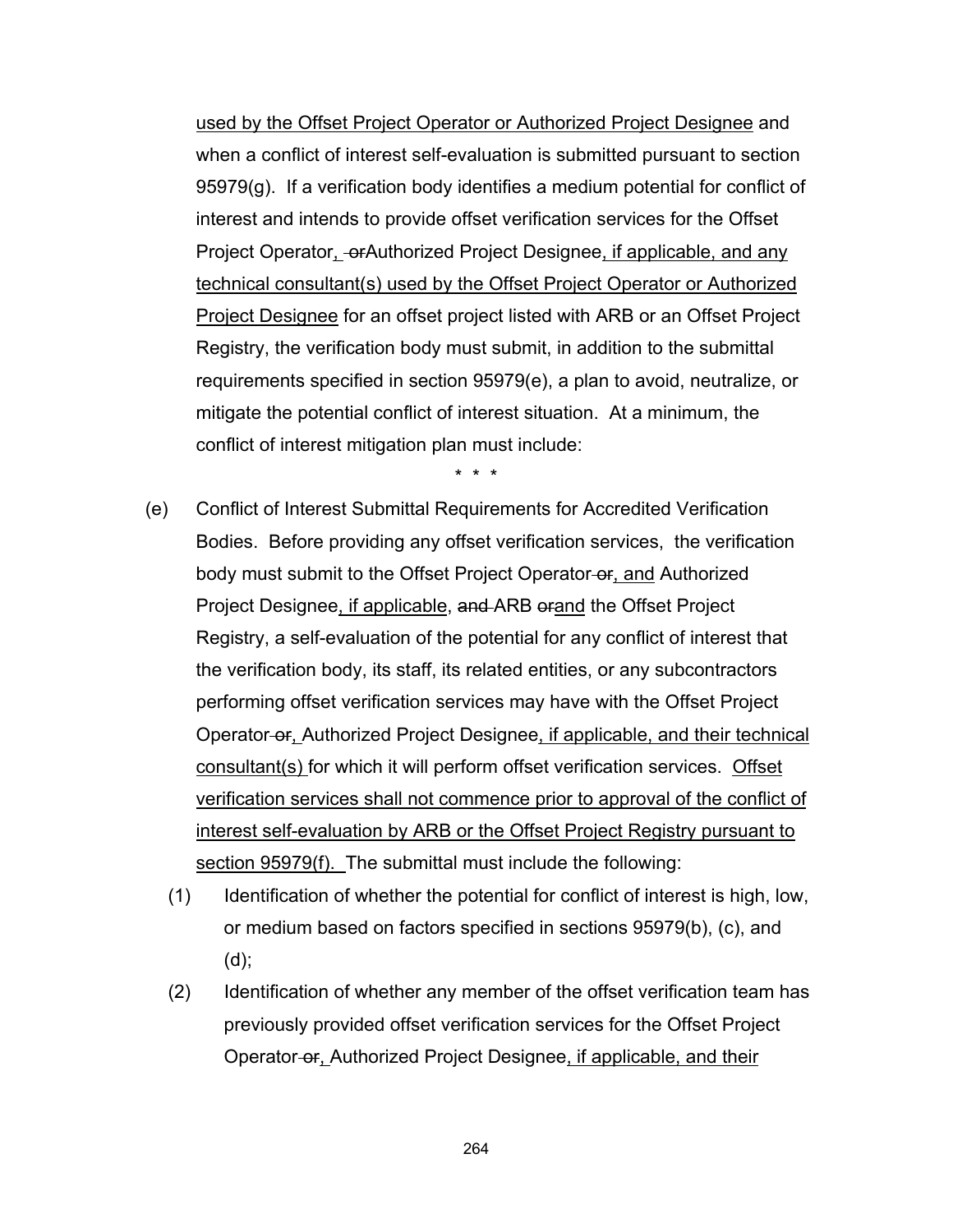used by the Offset Project Operator or Authorized Project Designee and when a conflict of interest self-evaluation is submitted pursuant to section 95979(g). If a verification body identifies a medium potential for conflict of interest and intends to provide offset verification services for the Offset Project Operator, or Authorized Project Designee, if applicable, and any technical consultant(s) used by the Offset Project Operator or Authorized Project Designee for an offset project listed with ARB or an Offset Project Registry, the verification body must submit, in addition to the submittal requirements specified in section 95979(e), a plan to avoid, neutralize, or mitigate the potential conflict of interest situation. At a minimum, the conflict of interest mitigation plan must include:

- (e) Conflict of Interest Submittal Requirements for Accredited Verification Bodies. Before providing any offset verification services, the verification body must submit to the Offset Project Operator-or, and Authorized Project Designee, if applicable, and ARB orand the Offset Project Registry, a self-evaluation of the potential for any conflict of interest that the verification body, its staff, its related entities, or any subcontractors performing offset verification services may have with the Offset Project Operator-or, Authorized Project Designee, if applicable, and their technical consultant(s) for which it will perform offset verification services. Offset verification services shall not commence prior to approval of the conflict of interest self-evaluation by ARB or the Offset Project Registry pursuant to section 95979(f). The submittal must include the following:
	- (1) Identification of whether the potential for conflict of interest is high, low, or medium based on factors specified in sections 95979(b), (c), and (d);
	- (2) Identification of whether any member of the offset verification team has previously provided offset verification services for the Offset Project Operator or, Authorized Project Designee, if applicable, and their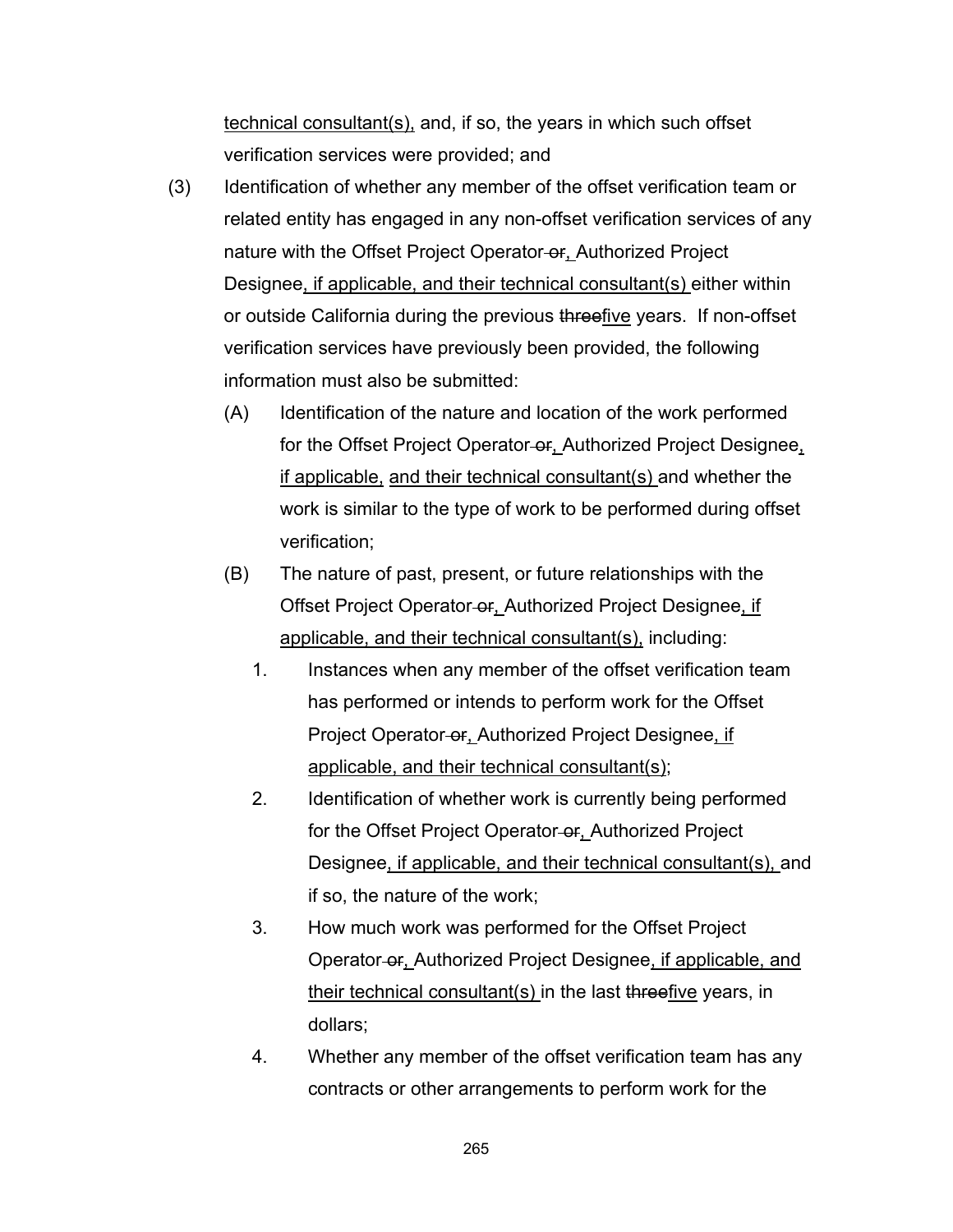technical consultant(s), and, if so, the years in which such offset verification services were provided; and

- (3) Identification of whether any member of the offset verification team or related entity has engaged in any non-offset verification services of any nature with the Offset Project Operator-or, Authorized Project Designee, if applicable, and their technical consultant(s) either within or outside California during the previous threefive years. If non-offset verification services have previously been provided, the following information must also be submitted:
	- (A) Identification of the nature and location of the work performed for the Offset Project Operator-or, Authorized Project Designee, if applicable, and their technical consultant(s) and whether the work is similar to the type of work to be performed during offset verification;
	- (B) The nature of past, present, or future relationships with the Offset Project Operator or, Authorized Project Designee, if applicable, and their technical consultant(s), including:
		- 1. Instances when any member of the offset verification team has performed or intends to perform work for the Offset Project Operator-or, Authorized Project Designee, if applicable, and their technical consultant(s);
		- 2. Identification of whether work is currently being performed for the Offset Project Operator-or, Authorized Project Designee, if applicable, and their technical consultant(s), and if so, the nature of the work;
		- 3. How much work was performed for the Offset Project Operator-or, Authorized Project Designee, if applicable, and their technical consultant(s) in the last threefive years, in dollars;
		- 4. Whether any member of the offset verification team has any contracts or other arrangements to perform work for the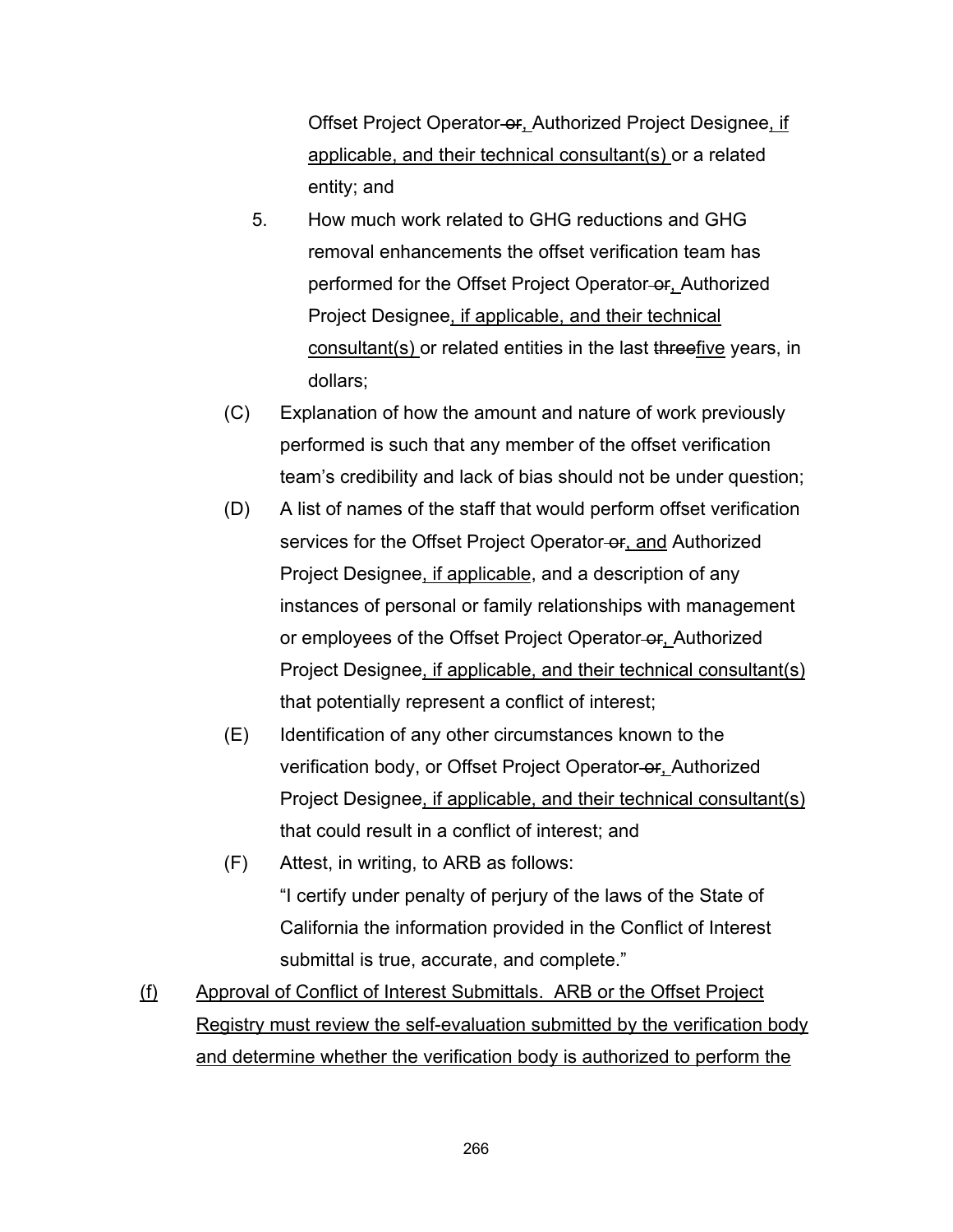Offset Project Operator-or, Authorized Project Designee, if applicable, and their technical consultant(s) or a related entity; and

- 5. How much work related to GHG reductions and GHG removal enhancements the offset verification team has performed for the Offset Project Operator-or, Authorized Project Designee, if applicable, and their technical consultant(s) or related entities in the last threefive years, in dollars;
- (C) Explanation of how the amount and nature of work previously performed is such that any member of the offset verification team's credibility and lack of bias should not be under question;
- (D) A list of names of the staff that would perform offset verification services for the Offset Project Operator-or, and Authorized Project Designee, if applicable, and a description of any instances of personal or family relationships with management or employees of the Offset Project Operator-or, Authorized Project Designee, if applicable, and their technical consultant(s) that potentially represent a conflict of interest;
- (E) Identification of any other circumstances known to the verification body, or Offset Project Operator-or, Authorized Project Designee, if applicable, and their technical consultant(s) that could result in a conflict of interest; and
- (F) Attest, in writing, to ARB as follows: "I certify under penalty of perjury of the laws of the State of California the information provided in the Conflict of Interest submittal is true, accurate, and complete."
- (f) Approval of Conflict of Interest Submittals. ARB or the Offset Project Registry must review the self-evaluation submitted by the verification body and determine whether the verification body is authorized to perform the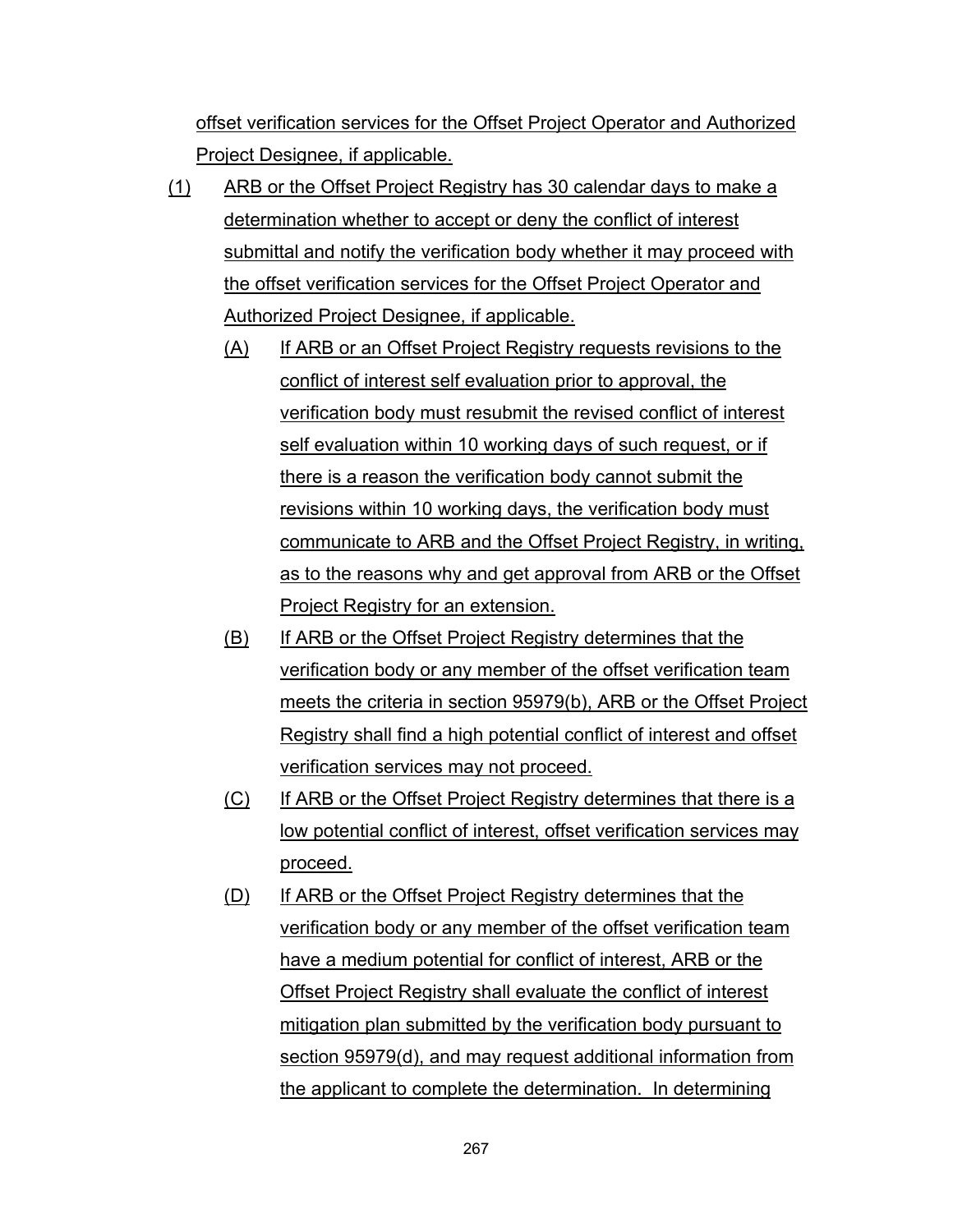offset verification services for the Offset Project Operator and Authorized Project Designee, if applicable.

- (1) ARB or the Offset Project Registry has 30 calendar days to make a determination whether to accept or deny the conflict of interest submittal and notify the verification body whether it may proceed with the offset verification services for the Offset Project Operator and Authorized Project Designee, if applicable.
	- (A) If ARB or an Offset Project Registry requests revisions to the conflict of interest self evaluation prior to approval, the verification body must resubmit the revised conflict of interest self evaluation within 10 working days of such request, or if there is a reason the verification body cannot submit the revisions within 10 working days, the verification body must communicate to ARB and the Offset Project Registry, in writing, as to the reasons why and get approval from ARB or the Offset Project Registry for an extension.
	- (B) If ARB or the Offset Project Registry determines that the verification body or any member of the offset verification team meets the criteria in section 95979(b), ARB or the Offset Project Registry shall find a high potential conflict of interest and offset verification services may not proceed.
	- (C) If ARB or the Offset Project Registry determines that there is a low potential conflict of interest, offset verification services may proceed.
	- (D) If ARB or the Offset Project Registry determines that the verification body or any member of the offset verification team have a medium potential for conflict of interest, ARB or the Offset Project Registry shall evaluate the conflict of interest mitigation plan submitted by the verification body pursuant to section 95979(d), and may request additional information from the applicant to complete the determination. In determining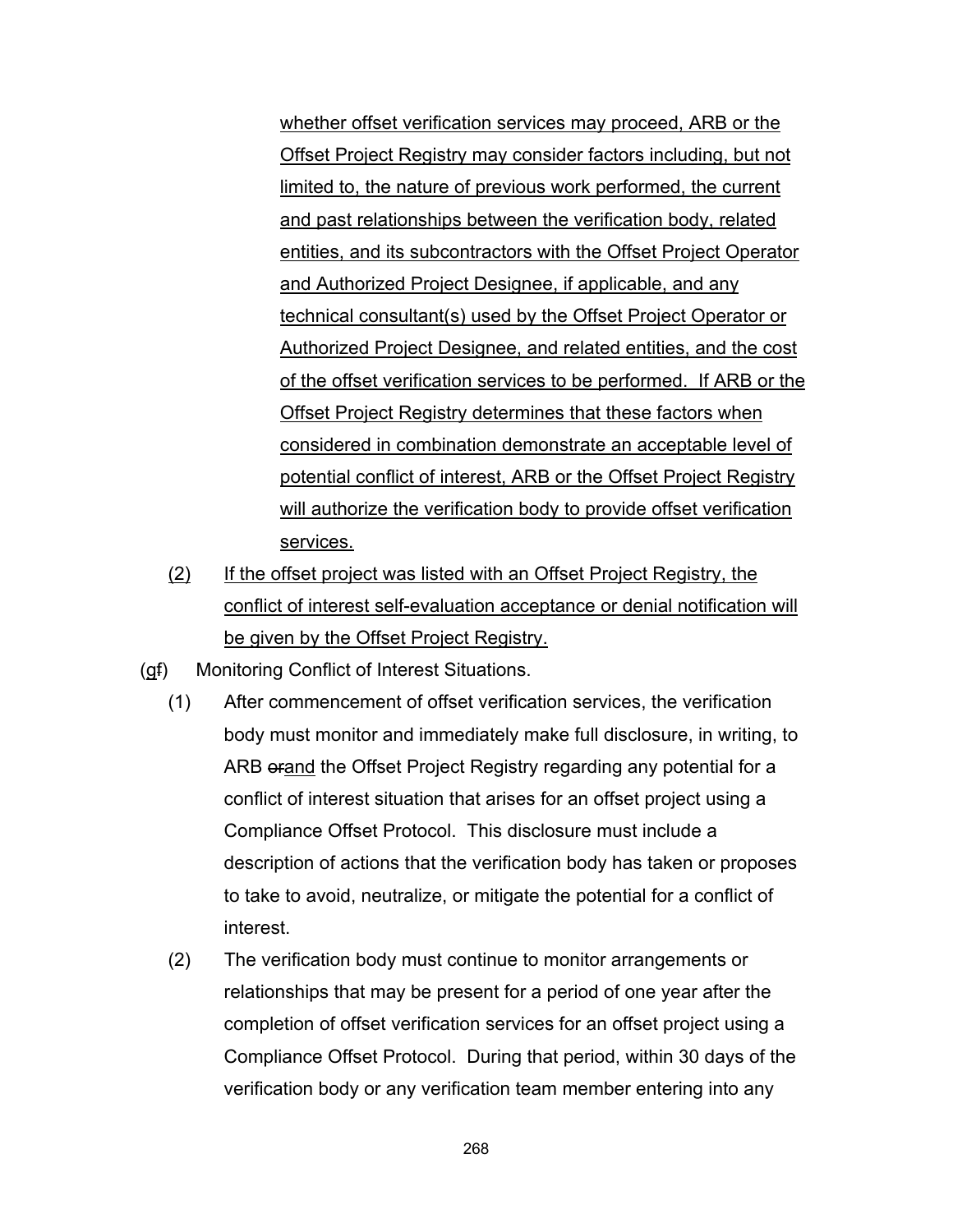whether offset verification services may proceed, ARB or the Offset Project Registry may consider factors including, but not limited to, the nature of previous work performed, the current and past relationships between the verification body, related entities, and its subcontractors with the Offset Project Operator and Authorized Project Designee, if applicable, and any technical consultant(s) used by the Offset Project Operator or Authorized Project Designee, and related entities, and the cost of the offset verification services to be performed. If ARB or the Offset Project Registry determines that these factors when considered in combination demonstrate an acceptable level of potential conflict of interest, ARB or the Offset Project Registry will authorize the verification body to provide offset verification services.

- (2) If the offset project was listed with an Offset Project Registry, the conflict of interest self-evaluation acceptance or denial notification will be given by the Offset Project Registry.
- (gf) Monitoring Conflict of Interest Situations.
	- (1) After commencement of offset verification services, the verification body must monitor and immediately make full disclosure, in writing, to ARB orand the Offset Project Registry regarding any potential for a conflict of interest situation that arises for an offset project using a Compliance Offset Protocol. This disclosure must include a description of actions that the verification body has taken or proposes to take to avoid, neutralize, or mitigate the potential for a conflict of interest.
	- (2) The verification body must continue to monitor arrangements or relationships that may be present for a period of one year after the completion of offset verification services for an offset project using a Compliance Offset Protocol. During that period, within 30 days of the verification body or any verification team member entering into any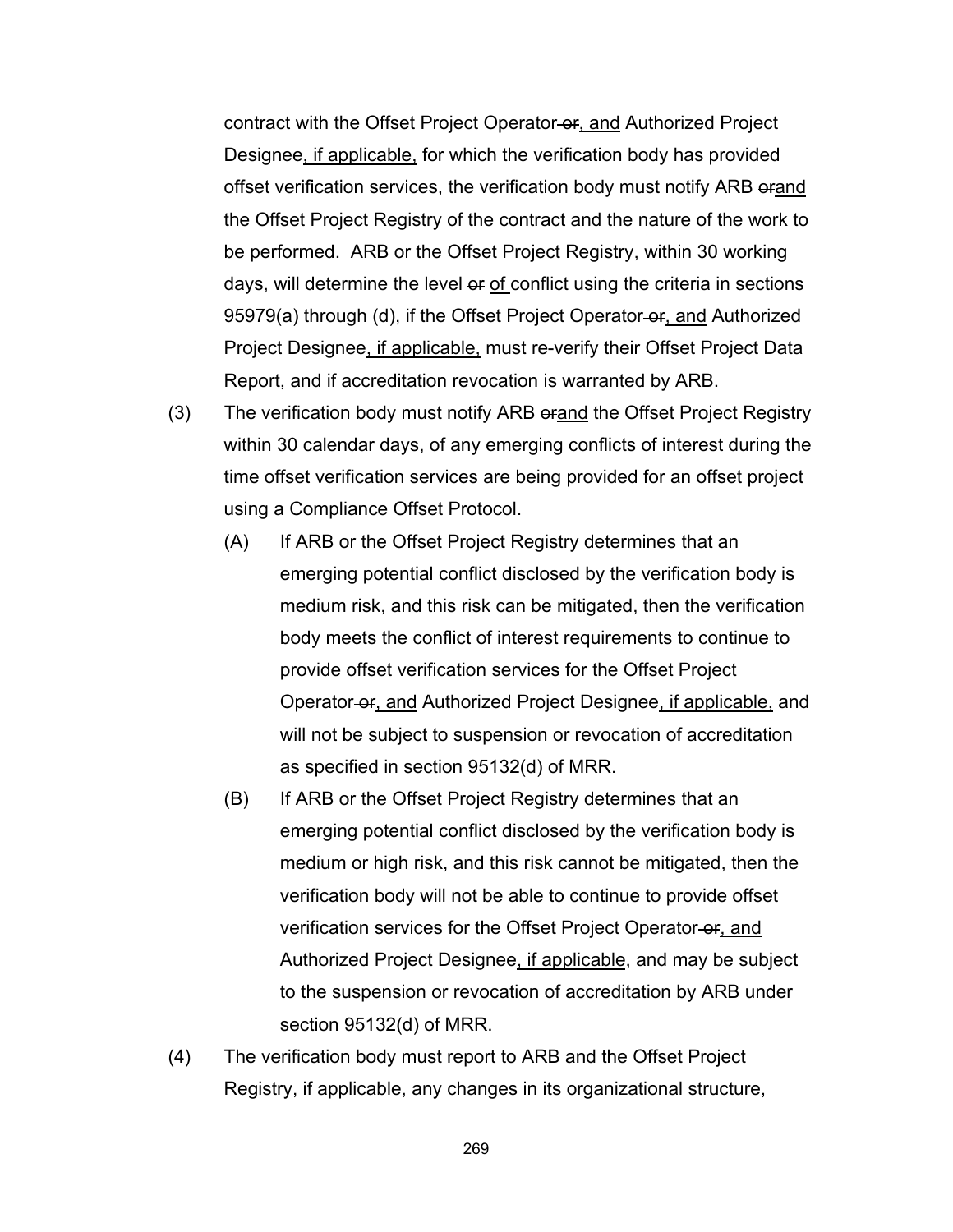contract with the Offset Project Operator-or, and Authorized Project Designee, if applicable, for which the verification body has provided offset verification services, the verification body must notify ARB orand the Offset Project Registry of the contract and the nature of the work to be performed. ARB or the Offset Project Registry, within 30 working days, will determine the level or of conflict using the criteria in sections 95979(a) through (d), if the Offset Project Operator-or, and Authorized Project Designee, if applicable, must re-verify their Offset Project Data Report, and if accreditation revocation is warranted by ARB.

- (3) The verification body must notify ARB orand the Offset Project Registry within 30 calendar days, of any emerging conflicts of interest during the time offset verification services are being provided for an offset project using a Compliance Offset Protocol.
	- (A) If ARB or the Offset Project Registry determines that an emerging potential conflict disclosed by the verification body is medium risk, and this risk can be mitigated, then the verification body meets the conflict of interest requirements to continue to provide offset verification services for the Offset Project Operator or, and Authorized Project Designee, if applicable, and will not be subject to suspension or revocation of accreditation as specified in section 95132(d) of MRR.
	- (B) If ARB or the Offset Project Registry determines that an emerging potential conflict disclosed by the verification body is medium or high risk, and this risk cannot be mitigated, then the verification body will not be able to continue to provide offset verification services for the Offset Project Operator-or, and Authorized Project Designee, if applicable, and may be subject to the suspension or revocation of accreditation by ARB under section 95132(d) of MRR.
- (4) The verification body must report to ARB and the Offset Project Registry, if applicable, any changes in its organizational structure,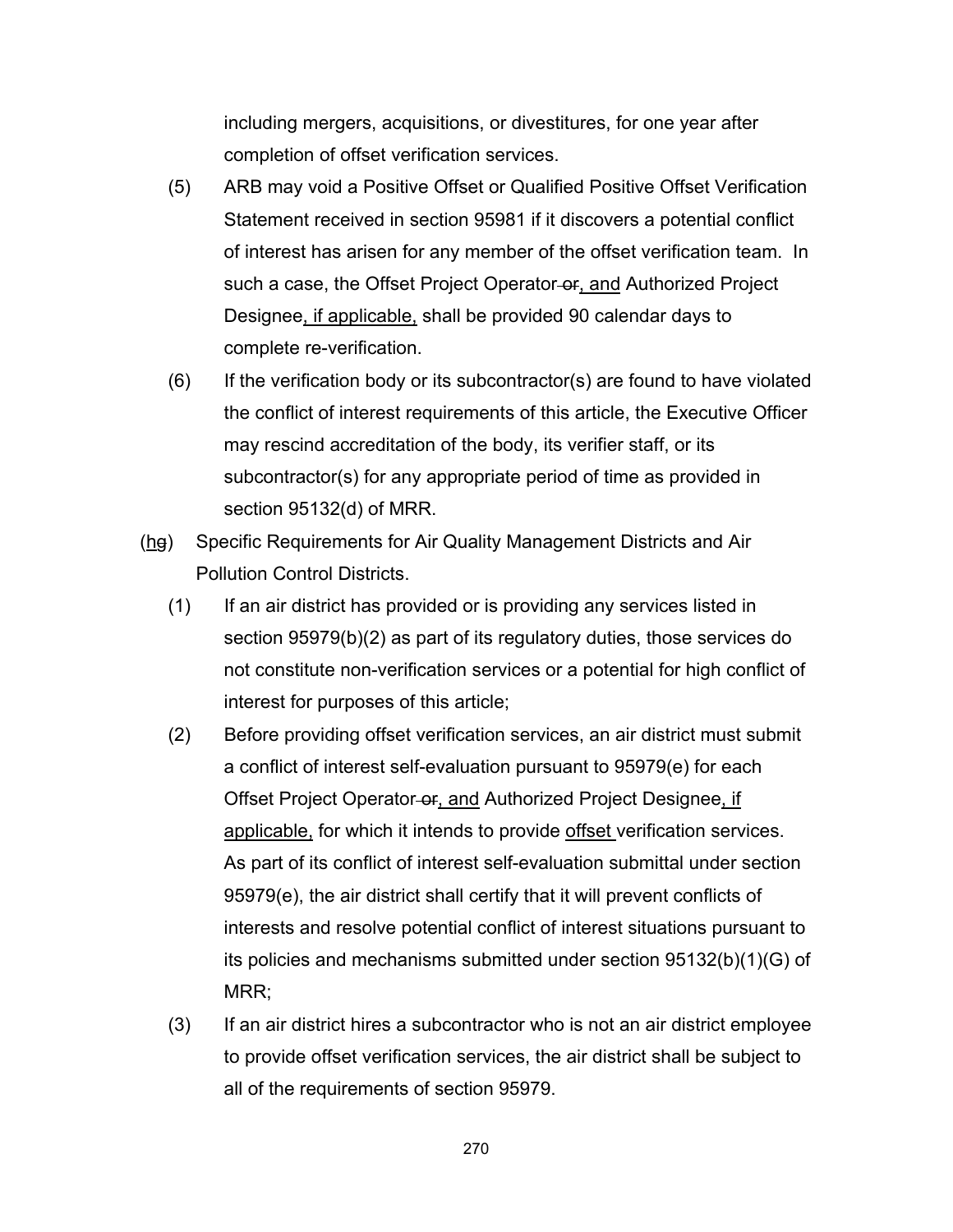including mergers, acquisitions, or divestitures, for one year after completion of offset verification services.

- (5) ARB may void a Positive Offset or Qualified Positive Offset Verification Statement received in section 95981 if it discovers a potential conflict of interest has arisen for any member of the offset verification team. In such a case, the Offset Project Operator-or, and Authorized Project Designee, if applicable, shall be provided 90 calendar days to complete re-verification.
- (6) If the verification body or its subcontractor(s) are found to have violated the conflict of interest requirements of this article, the Executive Officer may rescind accreditation of the body, its verifier staff, or its subcontractor(s) for any appropriate period of time as provided in section 95132(d) of MRR.
- (hg) Specific Requirements for Air Quality Management Districts and Air Pollution Control Districts.
	- (1) If an air district has provided or is providing any services listed in section 95979(b)(2) as part of its regulatory duties, those services do not constitute non-verification services or a potential for high conflict of interest for purposes of this article;
	- (2) Before providing offset verification services, an air district must submit a conflict of interest self-evaluation pursuant to 95979(e) for each Offset Project Operator-or, and Authorized Project Designee, if applicable, for which it intends to provide offset verification services. As part of its conflict of interest self-evaluation submittal under section 95979(e), the air district shall certify that it will prevent conflicts of interests and resolve potential conflict of interest situations pursuant to its policies and mechanisms submitted under section 95132(b)(1)(G) of MRR;
	- (3) If an air district hires a subcontractor who is not an air district employee to provide offset verification services, the air district shall be subject to all of the requirements of section 95979.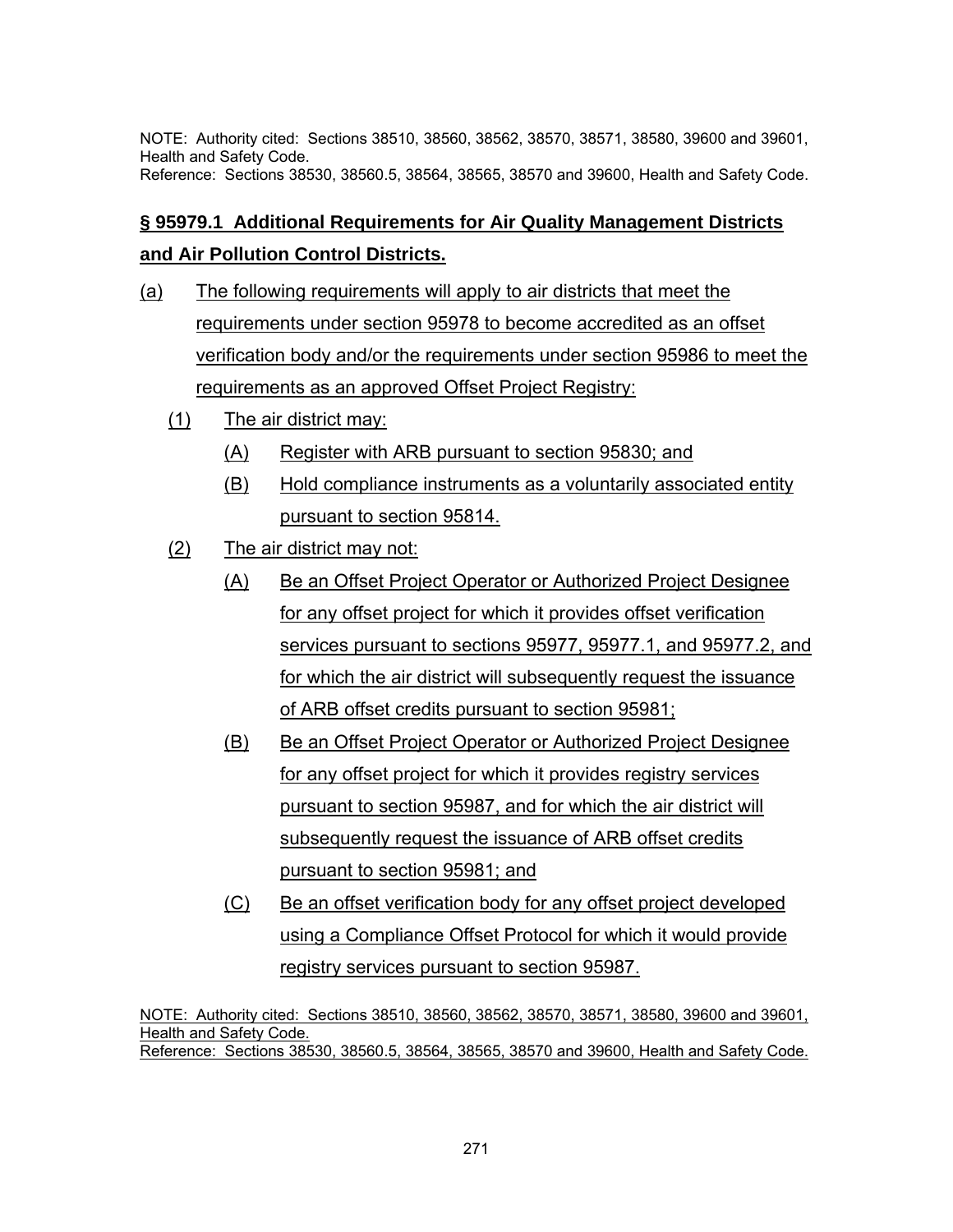NOTE: Authority cited: Sections 38510, 38560, 38562, 38570, 38571, 38580, 39600 and 39601, Health and Safety Code. Reference: Sections 38530, 38560.5, 38564, 38565, 38570 and 39600, Health and Safety Code.

# **§ 95979.1 Additional Requirements for Air Quality Management Districts and Air Pollution Control Districts.**

- (a) The following requirements will apply to air districts that meet the requirements under section 95978 to become accredited as an offset verification body and/or the requirements under section 95986 to meet the requirements as an approved Offset Project Registry:
	- (1) The air district may:
		- (A) Register with ARB pursuant to section 95830; and
		- (B) Hold compliance instruments as a voluntarily associated entity pursuant to section 95814.
	- (2) The air district may not:
		- (A) Be an Offset Project Operator or Authorized Project Designee for any offset project for which it provides offset verification services pursuant to sections 95977, 95977.1, and 95977.2, and for which the air district will subsequently request the issuance of ARB offset credits pursuant to section 95981;
		- (B) Be an Offset Project Operator or Authorized Project Designee for any offset project for which it provides registry services pursuant to section 95987, and for which the air district will subsequently request the issuance of ARB offset credits pursuant to section 95981; and
		- (C) Be an offset verification body for any offset project developed using a Compliance Offset Protocol for which it would provide registry services pursuant to section 95987.

NOTE: Authority cited: Sections 38510, 38560, 38562, 38570, 38571, 38580, 39600 and 39601, Health and Safety Code. Reference: Sections 38530, 38560.5, 38564, 38565, 38570 and 39600, Health and Safety Code.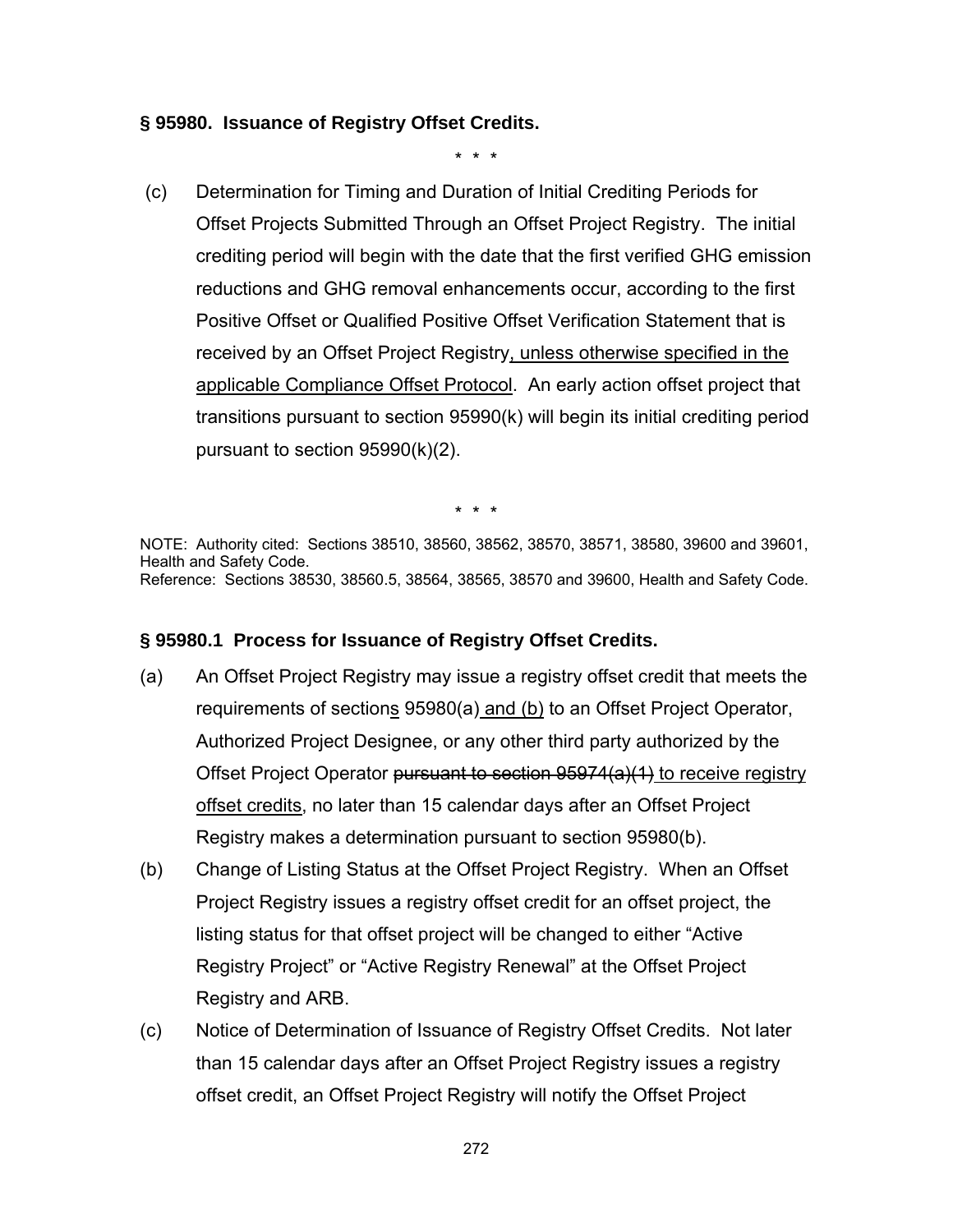### **§ 95980. Issuance of Registry Offset Credits.**

\* \* \*

 (c) Determination for Timing and Duration of Initial Crediting Periods for Offset Projects Submitted Through an Offset Project Registry. The initial crediting period will begin with the date that the first verified GHG emission reductions and GHG removal enhancements occur, according to the first Positive Offset or Qualified Positive Offset Verification Statement that is received by an Offset Project Registry, unless otherwise specified in the applicable Compliance Offset Protocol. An early action offset project that transitions pursuant to section 95990(k) will begin its initial crediting period pursuant to section 95990(k)(2).

\* \* \*

NOTE: Authority cited: Sections 38510, 38560, 38562, 38570, 38571, 38580, 39600 and 39601, Health and Safety Code. Reference: Sections 38530, 38560.5, 38564, 38565, 38570 and 39600, Health and Safety Code.

### **§ 95980.1 Process for Issuance of Registry Offset Credits.**

- (a) An Offset Project Registry may issue a registry offset credit that meets the requirements of sections 95980(a) and (b) to an Offset Project Operator, Authorized Project Designee, or any other third party authorized by the Offset Project Operator pursuant to section 95974(a)(1) to receive registry offset credits, no later than 15 calendar days after an Offset Project Registry makes a determination pursuant to section 95980(b).
- (b) Change of Listing Status at the Offset Project Registry. When an Offset Project Registry issues a registry offset credit for an offset project, the listing status for that offset project will be changed to either "Active Registry Project" or "Active Registry Renewal" at the Offset Project Registry and ARB.
- (c) Notice of Determination of Issuance of Registry Offset Credits. Not later than 15 calendar days after an Offset Project Registry issues a registry offset credit, an Offset Project Registry will notify the Offset Project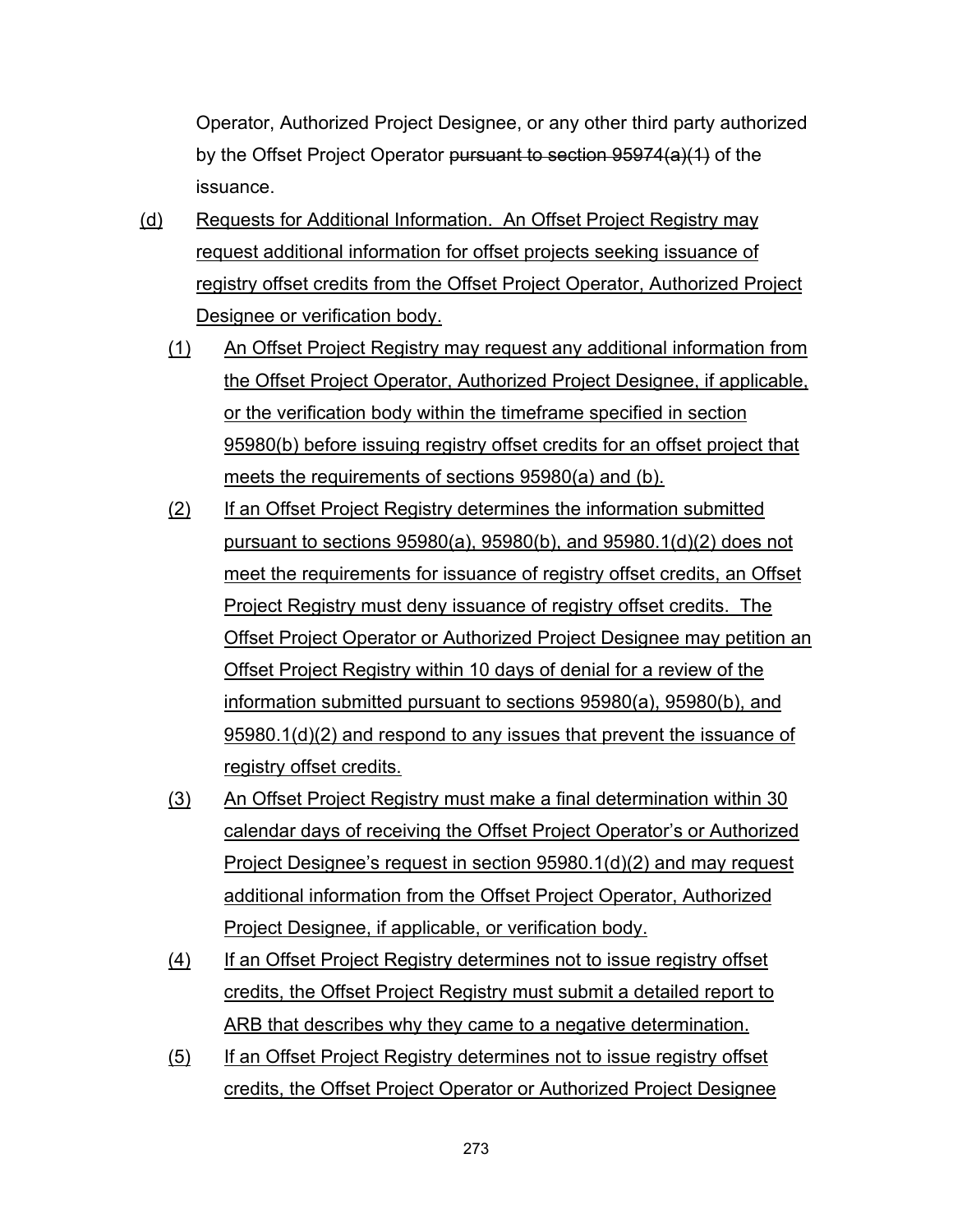Operator, Authorized Project Designee, or any other third party authorized by the Offset Project Operator pursuant to section 95974(a)(1) of the issuance.

- (d) Requests for Additional Information. An Offset Project Registry may request additional information for offset projects seeking issuance of registry offset credits from the Offset Project Operator, Authorized Project Designee or verification body.
	- (1) An Offset Project Registry may request any additional information from the Offset Project Operator, Authorized Project Designee, if applicable, or the verification body within the timeframe specified in section 95980(b) before issuing registry offset credits for an offset project that meets the requirements of sections 95980(a) and (b).
	- (2) If an Offset Project Registry determines the information submitted pursuant to sections 95980(a), 95980(b), and 95980.1(d)(2) does not meet the requirements for issuance of registry offset credits, an Offset Project Registry must deny issuance of registry offset credits. The Offset Project Operator or Authorized Project Designee may petition an Offset Project Registry within 10 days of denial for a review of the information submitted pursuant to sections 95980(a), 95980(b), and 95980.1(d)(2) and respond to any issues that prevent the issuance of registry offset credits.
	- (3) An Offset Project Registry must make a final determination within 30 calendar days of receiving the Offset Project Operator's or Authorized Project Designee's request in section 95980.1(d)(2) and may request additional information from the Offset Project Operator, Authorized Project Designee, if applicable, or verification body.
	- (4) If an Offset Project Registry determines not to issue registry offset credits, the Offset Project Registry must submit a detailed report to ARB that describes why they came to a negative determination.
	- (5) If an Offset Project Registry determines not to issue registry offset credits, the Offset Project Operator or Authorized Project Designee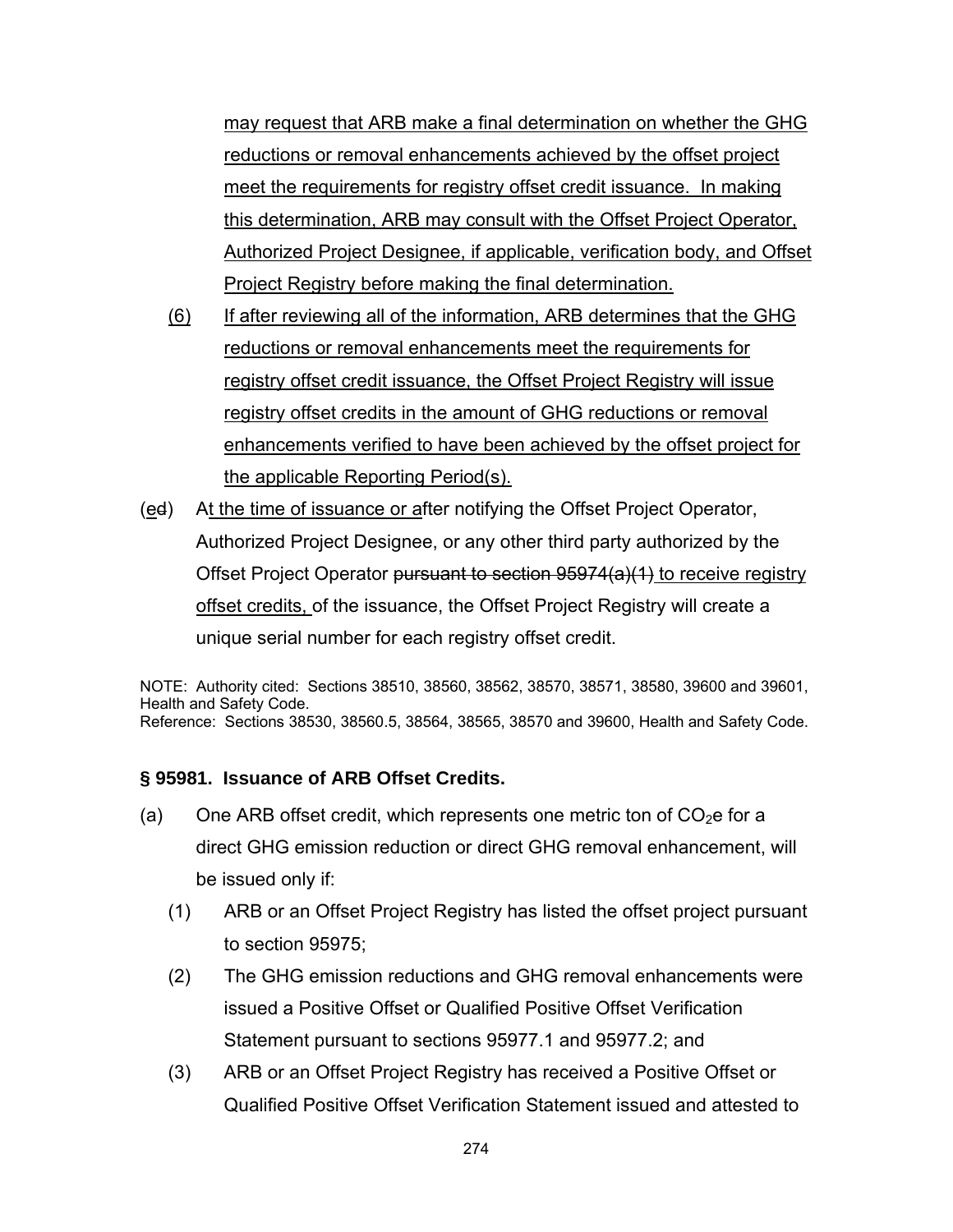may request that ARB make a final determination on whether the GHG reductions or removal enhancements achieved by the offset project meet the requirements for registry offset credit issuance. In making this determination, ARB may consult with the Offset Project Operator, Authorized Project Designee, if applicable, verification body, and Offset Project Registry before making the final determination.

- (6) If after reviewing all of the information, ARB determines that the GHG reductions or removal enhancements meet the requirements for registry offset credit issuance, the Offset Project Registry will issue registry offset credits in the amount of GHG reductions or removal enhancements verified to have been achieved by the offset project for the applicable Reporting Period(s).
- (ed) At the time of issuance or after notifying the Offset Project Operator, Authorized Project Designee, or any other third party authorized by the Offset Project Operator <del>pursuant to section 95974(a)(1)</del> to receive registry offset credits, of the issuance, the Offset Project Registry will create a unique serial number for each registry offset credit.

NOTE: Authority cited: Sections 38510, 38560, 38562, 38570, 38571, 38580, 39600 and 39601, Health and Safety Code. Reference: Sections 38530, 38560.5, 38564, 38565, 38570 and 39600, Health and Safety Code.

## **§ 95981. Issuance of ARB Offset Credits.**

- (a) One ARB offset credit, which represents one metric ton of  $CO<sub>2</sub>e$  for a direct GHG emission reduction or direct GHG removal enhancement, will be issued only if:
	- (1) ARB or an Offset Project Registry has listed the offset project pursuant to section 95975;
	- (2) The GHG emission reductions and GHG removal enhancements were issued a Positive Offset or Qualified Positive Offset Verification Statement pursuant to sections 95977.1 and 95977.2; and
	- (3) ARB or an Offset Project Registry has received a Positive Offset or Qualified Positive Offset Verification Statement issued and attested to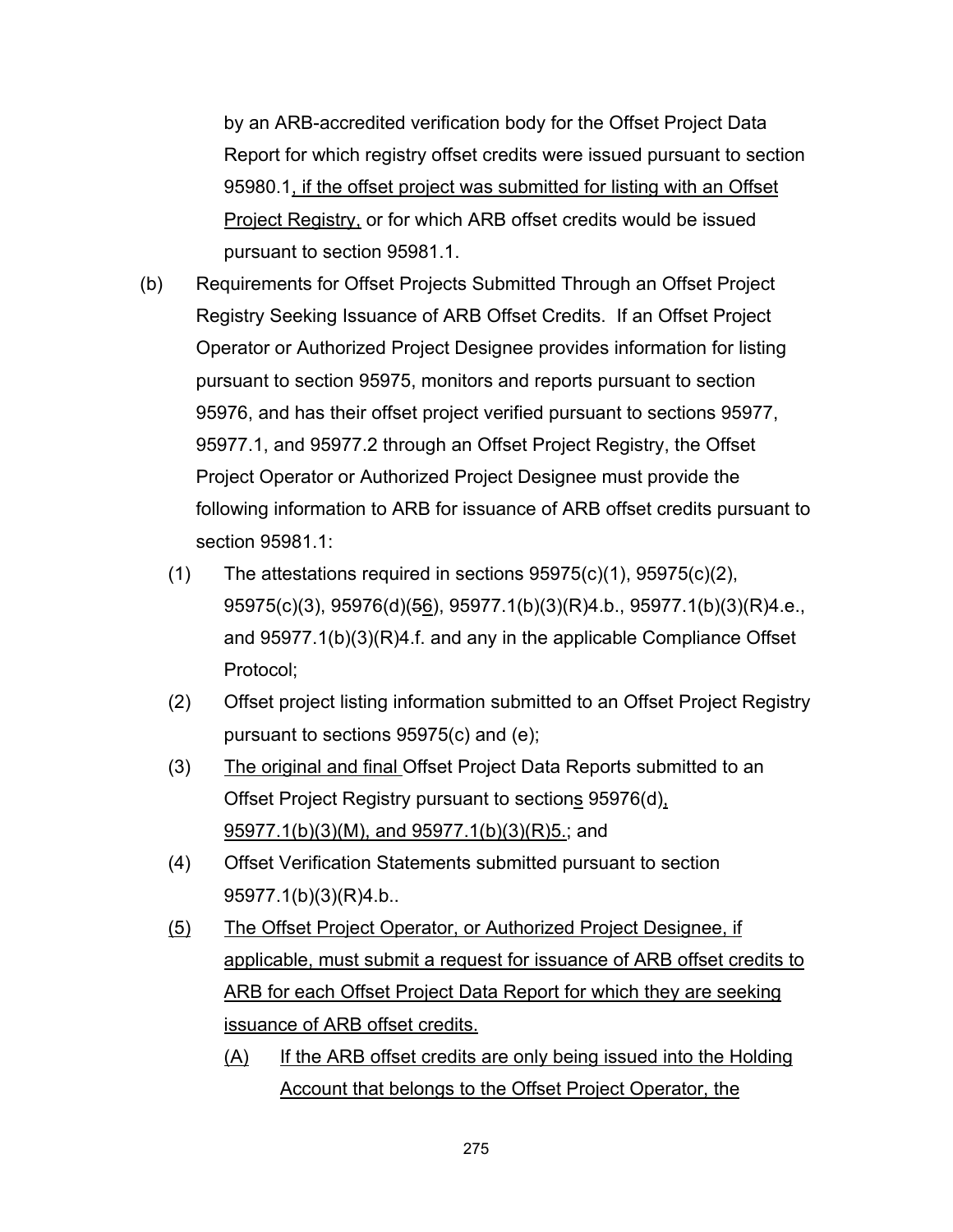by an ARB-accredited verification body for the Offset Project Data Report for which registry offset credits were issued pursuant to section 95980.1, if the offset project was submitted for listing with an Offset Project Registry, or for which ARB offset credits would be issued pursuant to section 95981.1.

- (b) Requirements for Offset Projects Submitted Through an Offset Project Registry Seeking Issuance of ARB Offset Credits. If an Offset Project Operator or Authorized Project Designee provides information for listing pursuant to section 95975, monitors and reports pursuant to section 95976, and has their offset project verified pursuant to sections 95977, 95977.1, and 95977.2 through an Offset Project Registry, the Offset Project Operator or Authorized Project Designee must provide the following information to ARB for issuance of ARB offset credits pursuant to section 95981.1:
	- $(1)$  The attestations required in sections  $95975(c)(1)$ ,  $95975(c)(2)$ , 95975(c)(3), 95976(d)(56), 95977.1(b)(3)(R)4.b., 95977.1(b)(3)(R)4.e., and 95977.1(b)(3)(R)4.f. and any in the applicable Compliance Offset Protocol;
	- (2) Offset project listing information submitted to an Offset Project Registry pursuant to sections 95975(c) and (e);
	- (3) The original and final Offset Project Data Reports submitted to an Offset Project Registry pursuant to sections 95976(d), 95977.1(b)(3)(M), and 95977.1(b)(3)(R)5.; and
	- (4) Offset Verification Statements submitted pursuant to section 95977.1(b)(3)(R)4.b..
	- (5) The Offset Project Operator, or Authorized Project Designee, if applicable, must submit a request for issuance of ARB offset credits to ARB for each Offset Project Data Report for which they are seeking issuance of ARB offset credits.
		- (A) If the ARB offset credits are only being issued into the Holding Account that belongs to the Offset Project Operator, the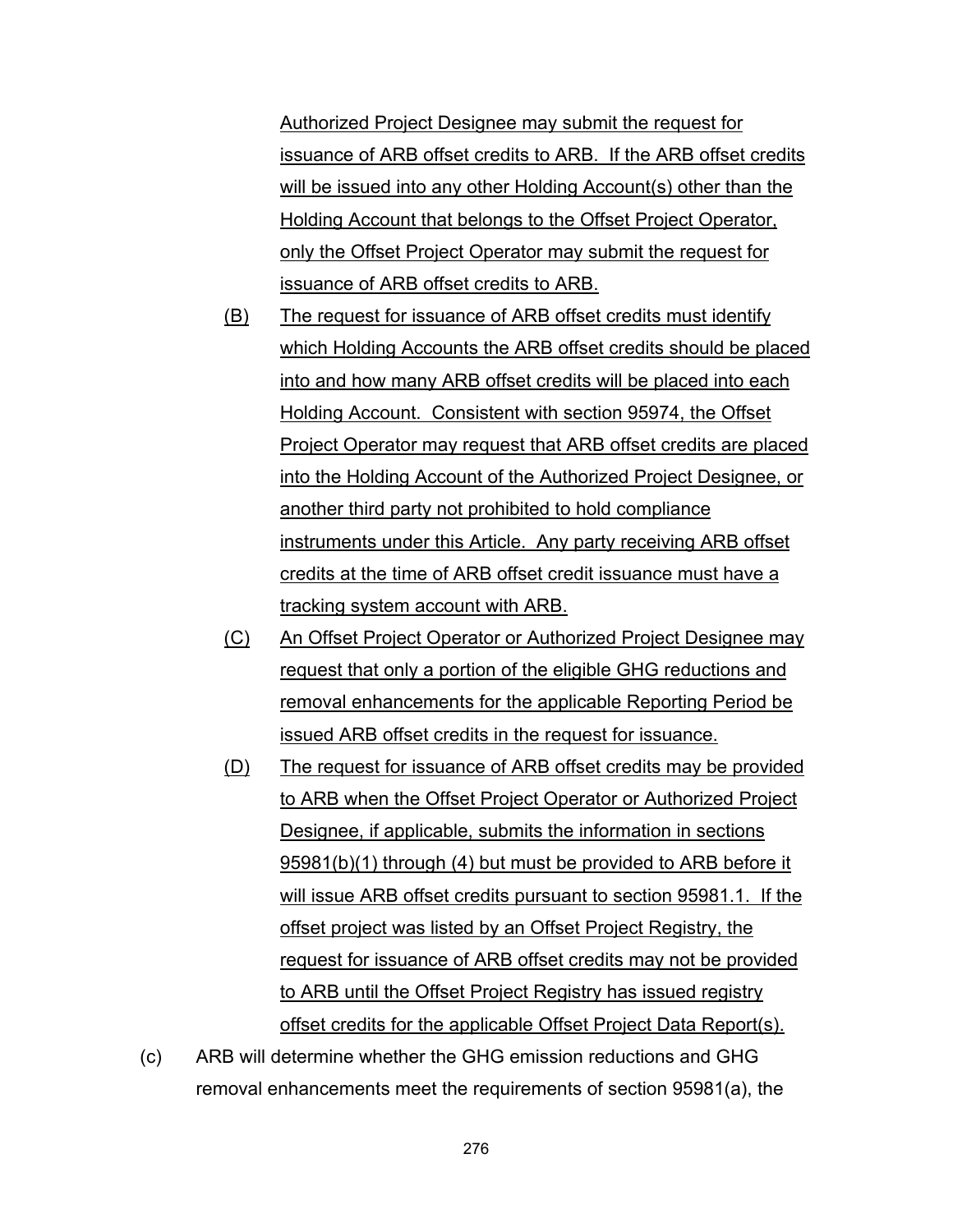Authorized Project Designee may submit the request for issuance of ARB offset credits to ARB. If the ARB offset credits will be issued into any other Holding Account(s) other than the Holding Account that belongs to the Offset Project Operator, only the Offset Project Operator may submit the request for issuance of ARB offset credits to ARB.

- (B) The request for issuance of ARB offset credits must identify which Holding Accounts the ARB offset credits should be placed into and how many ARB offset credits will be placed into each Holding Account. Consistent with section 95974, the Offset Project Operator may request that ARB offset credits are placed into the Holding Account of the Authorized Project Designee, or another third party not prohibited to hold compliance instruments under this Article. Any party receiving ARB offset credits at the time of ARB offset credit issuance must have a tracking system account with ARB.
- (C) An Offset Project Operator or Authorized Project Designee may request that only a portion of the eligible GHG reductions and removal enhancements for the applicable Reporting Period be issued ARB offset credits in the request for issuance.
- (D) The request for issuance of ARB offset credits may be provided to ARB when the Offset Project Operator or Authorized Project Designee, if applicable, submits the information in sections 95981(b)(1) through (4) but must be provided to ARB before it will issue ARB offset credits pursuant to section 95981.1. If the offset project was listed by an Offset Project Registry, the request for issuance of ARB offset credits may not be provided to ARB until the Offset Project Registry has issued registry offset credits for the applicable Offset Project Data Report(s).
- (c) ARB will determine whether the GHG emission reductions and GHG removal enhancements meet the requirements of section 95981(a), the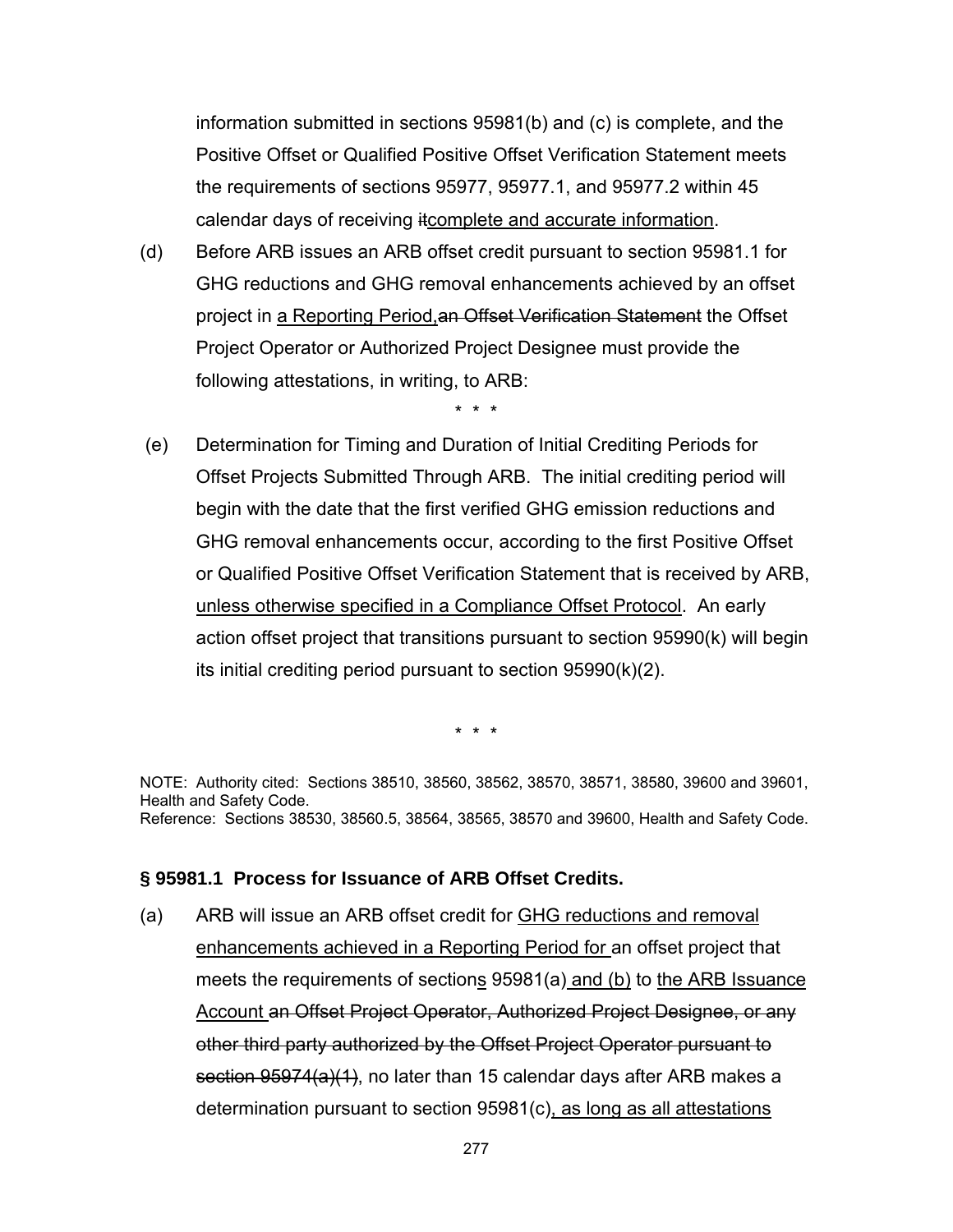information submitted in sections 95981(b) and (c) is complete, and the Positive Offset or Qualified Positive Offset Verification Statement meets the requirements of sections 95977, 95977.1, and 95977.2 within 45 calendar days of receiving itcomplete and accurate information.

(d) Before ARB issues an ARB offset credit pursuant to section 95981.1 for GHG reductions and GHG removal enhancements achieved by an offset project in a Reporting Period, an Offset Verification Statement the Offset Project Operator or Authorized Project Designee must provide the following attestations, in writing, to ARB:

\* \* \*

 (e) Determination for Timing and Duration of Initial Crediting Periods for Offset Projects Submitted Through ARB. The initial crediting period will begin with the date that the first verified GHG emission reductions and GHG removal enhancements occur, according to the first Positive Offset or Qualified Positive Offset Verification Statement that is received by ARB, unless otherwise specified in a Compliance Offset Protocol. An early action offset project that transitions pursuant to section 95990(k) will begin its initial crediting period pursuant to section 95990(k)(2).

\* \* \*

NOTE: Authority cited: Sections 38510, 38560, 38562, 38570, 38571, 38580, 39600 and 39601, Health and Safety Code. Reference: Sections 38530, 38560.5, 38564, 38565, 38570 and 39600, Health and Safety Code.

## **§ 95981.1 Process for Issuance of ARB Offset Credits.**

(a) ARB will issue an ARB offset credit for GHG reductions and removal enhancements achieved in a Reporting Period for an offset project that meets the requirements of sections 95981(a) and (b) to the ARB Issuance Account an Offset Project Operator, Authorized Project Designee, or any other third party authorized by the Offset Project Operator pursuant to section 95974(a)(1), no later than 15 calendar days after ARB makes a determination pursuant to section 95981(c), as long as all attestations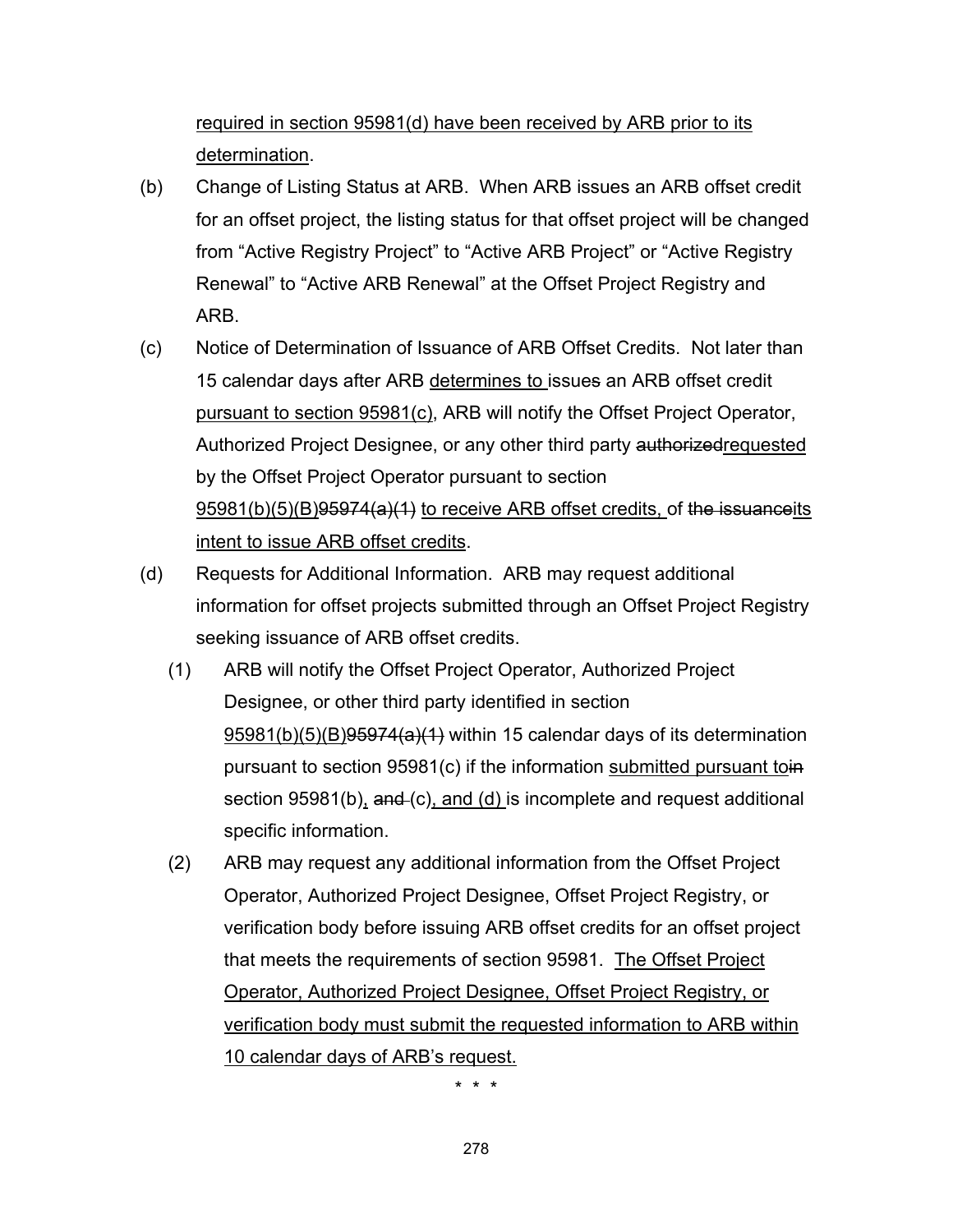required in section 95981(d) have been received by ARB prior to its determination.

- (b) Change of Listing Status at ARB. When ARB issues an ARB offset credit for an offset project, the listing status for that offset project will be changed from "Active Registry Project" to "Active ARB Project" or "Active Registry Renewal" to "Active ARB Renewal" at the Offset Project Registry and ARB.
- (c) Notice of Determination of Issuance of ARB Offset Credits. Not later than 15 calendar days after ARB determines to issues an ARB offset credit pursuant to section 95981(c), ARB will notify the Offset Project Operator, Authorized Project Designee, or any other third party authorized requested by the Offset Project Operator pursuant to section 95981(b)(5)(B)95974(a)(1) to receive ARB offset credits, of the issuanceits intent to issue ARB offset credits.
- (d) Requests for Additional Information. ARB may request additional information for offset projects submitted through an Offset Project Registry seeking issuance of ARB offset credits.
	- (1) ARB will notify the Offset Project Operator, Authorized Project Designee, or other third party identified in section  $95981(b)(5)(B)95974(a)(1)$  within 15 calendar days of its determination pursuant to section 95981(c) if the information submitted pursuant toin section 95981(b), and (c), and (d) is incomplete and request additional specific information.
	- (2) ARB may request any additional information from the Offset Project Operator, Authorized Project Designee, Offset Project Registry, or verification body before issuing ARB offset credits for an offset project that meets the requirements of section 95981. The Offset Project Operator, Authorized Project Designee, Offset Project Registry, or verification body must submit the requested information to ARB within 10 calendar days of ARB's request.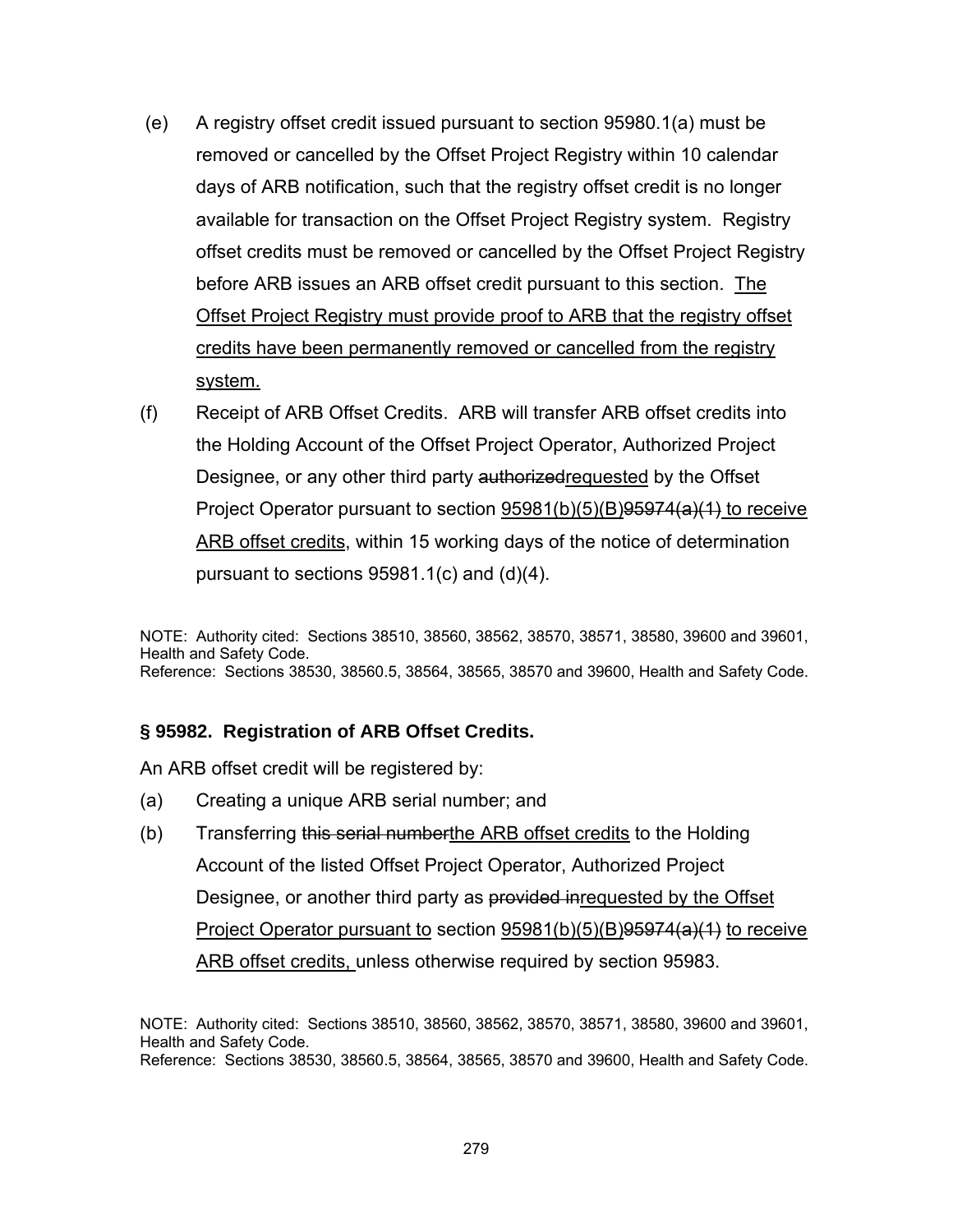- (e) A registry offset credit issued pursuant to section 95980.1(a) must be removed or cancelled by the Offset Project Registry within 10 calendar days of ARB notification, such that the registry offset credit is no longer available for transaction on the Offset Project Registry system. Registry offset credits must be removed or cancelled by the Offset Project Registry before ARB issues an ARB offset credit pursuant to this section. The Offset Project Registry must provide proof to ARB that the registry offset credits have been permanently removed or cancelled from the registry system.
- (f) Receipt of ARB Offset Credits. ARB will transfer ARB offset credits into the Holding Account of the Offset Project Operator, Authorized Project Designee, or any other third party authorized requested by the Offset Project Operator pursuant to section 95981(b)(5)(B)95974(a)(1) to receive ARB offset credits, within 15 working days of the notice of determination pursuant to sections 95981.1(c) and (d)(4).

NOTE: Authority cited: Sections 38510, 38560, 38562, 38570, 38571, 38580, 39600 and 39601, Health and Safety Code. Reference: Sections 38530, 38560.5, 38564, 38565, 38570 and 39600, Health and Safety Code.

### **§ 95982. Registration of ARB Offset Credits.**

An ARB offset credit will be registered by:

- (a) Creating a unique ARB serial number; and
- (b) Transferring this serial numberthe ARB offset credits to the Holding Account of the listed Offset Project Operator, Authorized Project Designee, or another third party as provided inrequested by the Offset Project Operator pursuant to section 95981(b)(5)(B)<del>95974(a)(1)</del> to receive ARB offset credits, unless otherwise required by section 95983.

NOTE: Authority cited: Sections 38510, 38560, 38562, 38570, 38571, 38580, 39600 and 39601, Health and Safety Code. Reference: Sections 38530, 38560.5, 38564, 38565, 38570 and 39600, Health and Safety Code.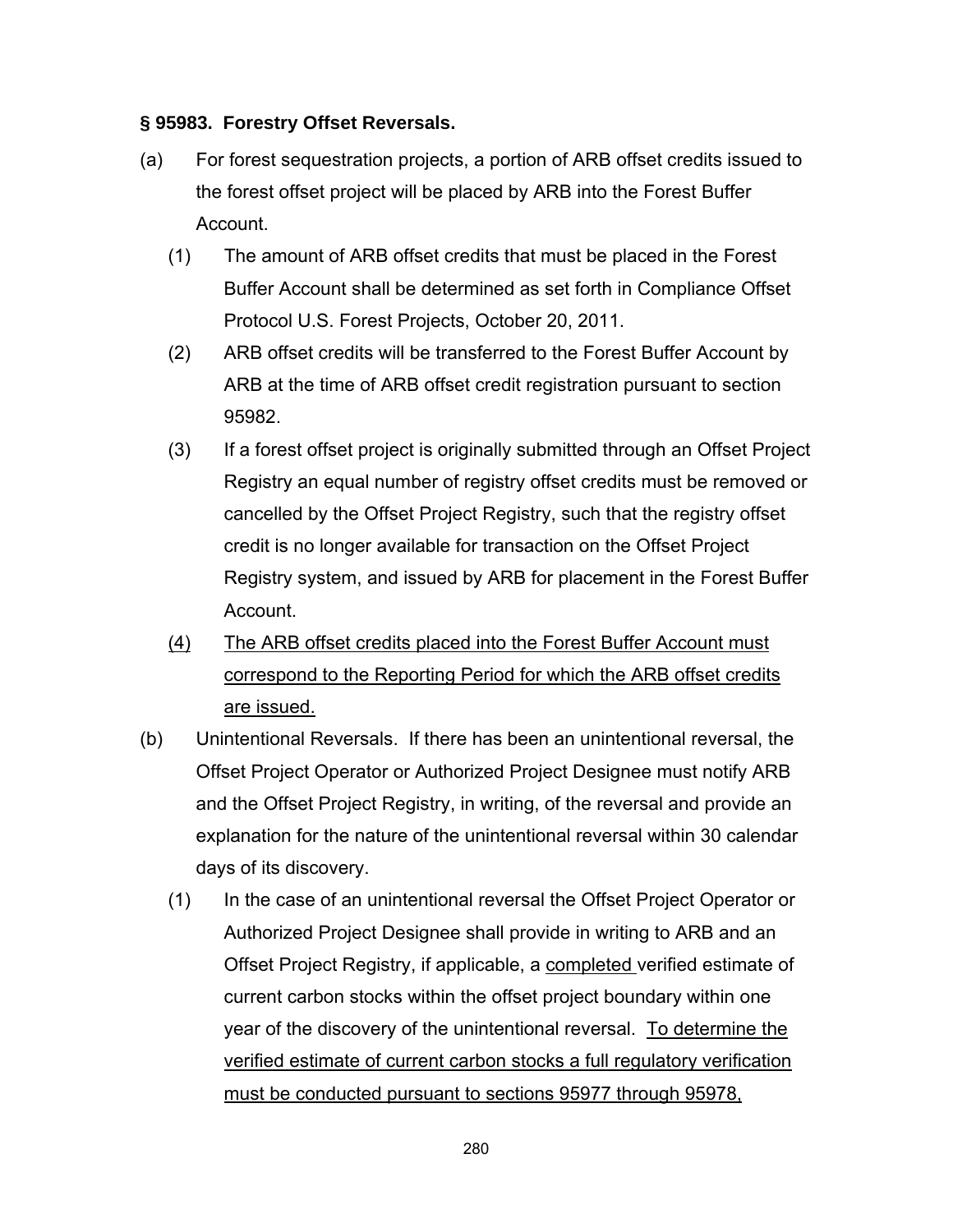### **§ 95983. Forestry Offset Reversals.**

- (a) For forest sequestration projects, a portion of ARB offset credits issued to the forest offset project will be placed by ARB into the Forest Buffer Account.
	- (1) The amount of ARB offset credits that must be placed in the Forest Buffer Account shall be determined as set forth in Compliance Offset Protocol U.S. Forest Projects, October 20, 2011.
	- (2) ARB offset credits will be transferred to the Forest Buffer Account by ARB at the time of ARB offset credit registration pursuant to section 95982.
	- (3) If a forest offset project is originally submitted through an Offset Project Registry an equal number of registry offset credits must be removed or cancelled by the Offset Project Registry, such that the registry offset credit is no longer available for transaction on the Offset Project Registry system, and issued by ARB for placement in the Forest Buffer Account.
	- (4) The ARB offset credits placed into the Forest Buffer Account must correspond to the Reporting Period for which the ARB offset credits are issued.
- (b) Unintentional Reversals. If there has been an unintentional reversal, the Offset Project Operator or Authorized Project Designee must notify ARB and the Offset Project Registry, in writing, of the reversal and provide an explanation for the nature of the unintentional reversal within 30 calendar days of its discovery.
	- (1) In the case of an unintentional reversal the Offset Project Operator or Authorized Project Designee shall provide in writing to ARB and an Offset Project Registry, if applicable, a completed verified estimate of current carbon stocks within the offset project boundary within one year of the discovery of the unintentional reversal. To determine the verified estimate of current carbon stocks a full regulatory verification must be conducted pursuant to sections 95977 through 95978,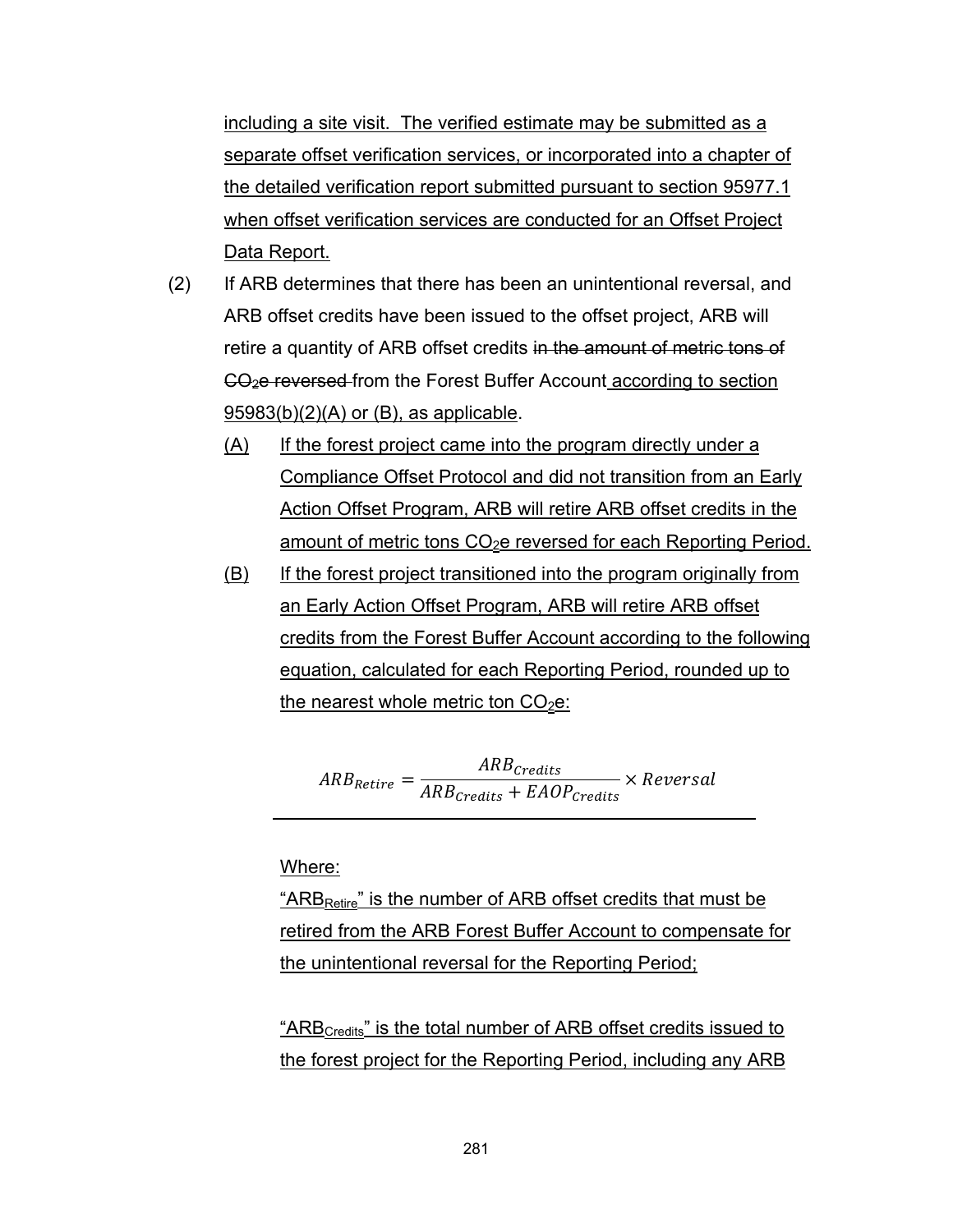including a site visit. The verified estimate may be submitted as a separate offset verification services, or incorporated into a chapter of the detailed verification report submitted pursuant to section 95977.1 when offset verification services are conducted for an Offset Project Data Report.

- (2) If ARB determines that there has been an unintentional reversal, and ARB offset credits have been issued to the offset project, ARB will retire a quantity of ARB offset credits in the amount of metric tons of CO2e reversed from the Forest Buffer Account according to section 95983(b)(2)(A) or (B), as applicable.
	- (A) If the forest project came into the program directly under a Compliance Offset Protocol and did not transition from an Early Action Offset Program, ARB will retire ARB offset credits in the amount of metric tons  $CO<sub>2</sub>e$  reversed for each Reporting Period.
	- (B) If the forest project transitioned into the program originally from an Early Action Offset Program, ARB will retire ARB offset credits from the Forest Buffer Account according to the following equation, calculated for each Reporting Period, rounded up to the nearest whole metric ton  $CO<sub>2</sub>e$ :

 $ARB_{Retire} = \frac{ARB_{credits}}{APB}$  $\mathit{ARB}_{\mathit{Credits}} + \mathit{EAOP}_{\mathit{Credits}}$ ݈ܽݏݎ݁ݒܴ݁ ൈ

Where:

"ARB<sub>Retire</sub>" is the number of ARB offset credits that must be retired from the ARB Forest Buffer Account to compensate for the unintentional reversal for the Reporting Period;

"ARB<sub>Credits</sub>" is the total number of ARB offset credits issued to the forest project for the Reporting Period, including any ARB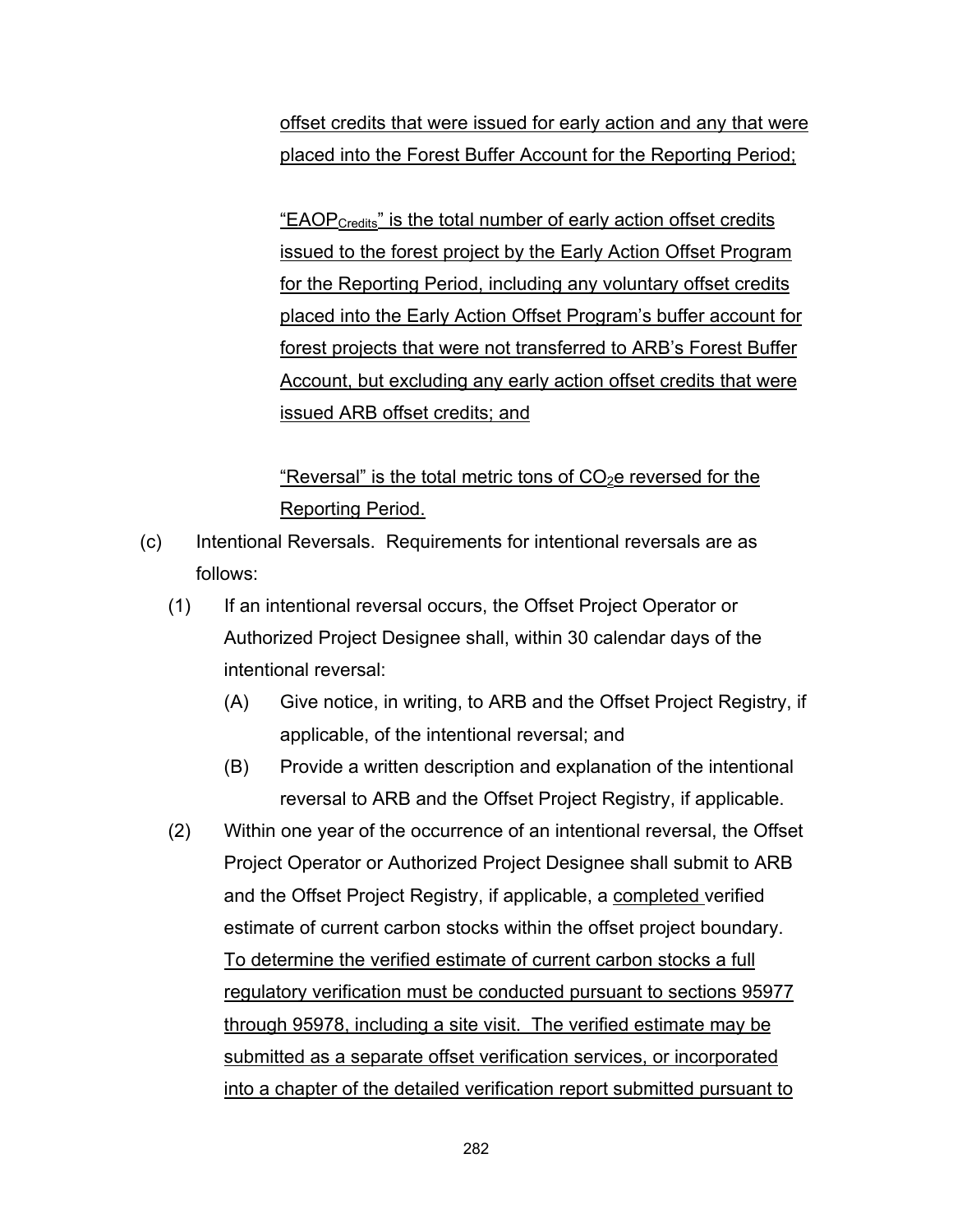offset credits that were issued for early action and any that were placed into the Forest Buffer Account for the Reporting Period;

<u>"EAOP<sub>Credits</sub>" is the total number of early action offset credits</u> issued to the forest project by the Early Action Offset Program for the Reporting Period, including any voluntary offset credits placed into the Early Action Offset Program's buffer account for forest projects that were not transferred to ARB's Forest Buffer Account, but excluding any early action offset credits that were issued ARB offset credits; and

# "Reversal" is the total metric tons of  $CO<sub>2</sub>e$  reversed for the Reporting Period.

- (c) Intentional Reversals. Requirements for intentional reversals are as follows:
	- (1) If an intentional reversal occurs, the Offset Project Operator or Authorized Project Designee shall, within 30 calendar days of the intentional reversal:
		- (A) Give notice, in writing, to ARB and the Offset Project Registry, if applicable, of the intentional reversal; and
		- (B) Provide a written description and explanation of the intentional reversal to ARB and the Offset Project Registry, if applicable.
	- (2) Within one year of the occurrence of an intentional reversal, the Offset Project Operator or Authorized Project Designee shall submit to ARB and the Offset Project Registry, if applicable, a completed verified estimate of current carbon stocks within the offset project boundary. To determine the verified estimate of current carbon stocks a full regulatory verification must be conducted pursuant to sections 95977 through 95978, including a site visit. The verified estimate may be submitted as a separate offset verification services, or incorporated into a chapter of the detailed verification report submitted pursuant to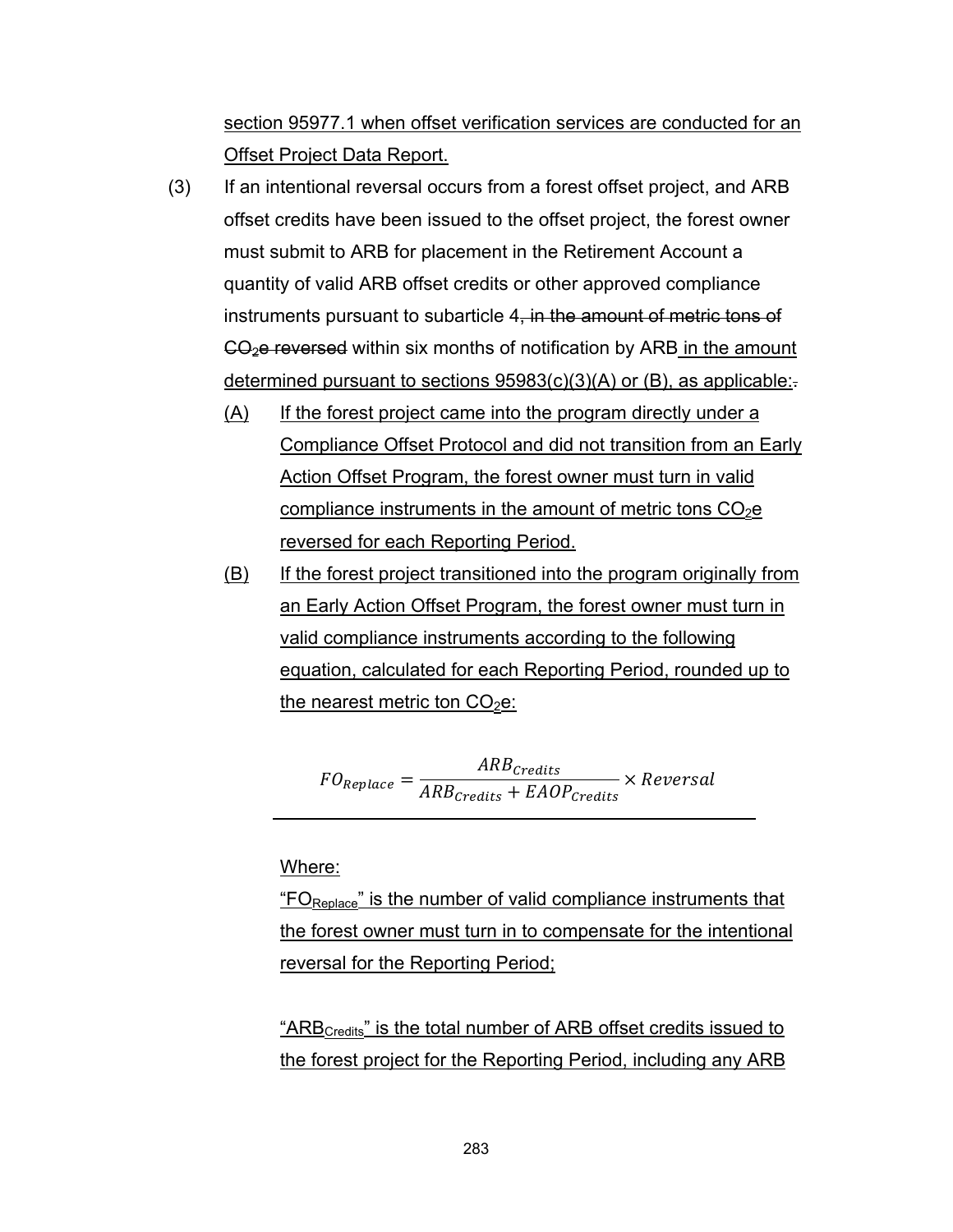section 95977.1 when offset verification services are conducted for an Offset Project Data Report.

- (3) If an intentional reversal occurs from a forest offset project, and ARB offset credits have been issued to the offset project, the forest owner must submit to ARB for placement in the Retirement Account a quantity of valid ARB offset credits or other approved compliance instruments pursuant to subarticle 4, in the amount of metric tons of  $CO<sub>2</sub>e$  reversed within six months of notification by ARB in the amount determined pursuant to sections  $95983(c)(3)(A)$  or (B), as applicable:
	- (A) If the forest project came into the program directly under a Compliance Offset Protocol and did not transition from an Early Action Offset Program, the forest owner must turn in valid compliance instruments in the amount of metric tons  $CO<sub>2</sub>e$ reversed for each Reporting Period.
	- (B) If the forest project transitioned into the program originally from an Early Action Offset Program, the forest owner must turn in valid compliance instruments according to the following equation, calculated for each Reporting Period, rounded up to the nearest metric ton  $CO<sub>2</sub>e$ :

 $FO_{Replace} = \frac{ARB_{credits}}{APB}$  $\mathit{ARB}_{\mathit{Credits}} + \mathit{EAOP}_{\mathit{Credits}}$ ݈ܽݏݎ݁ݒܴ݁ ൈ

Where:

" $FO<sub>Replace</sub>$ " is the number of valid compliance instruments that the forest owner must turn in to compensate for the intentional reversal for the Reporting Period;

"ARB<sub>Credits</sub>" is the total number of ARB offset credits issued to the forest project for the Reporting Period, including any ARB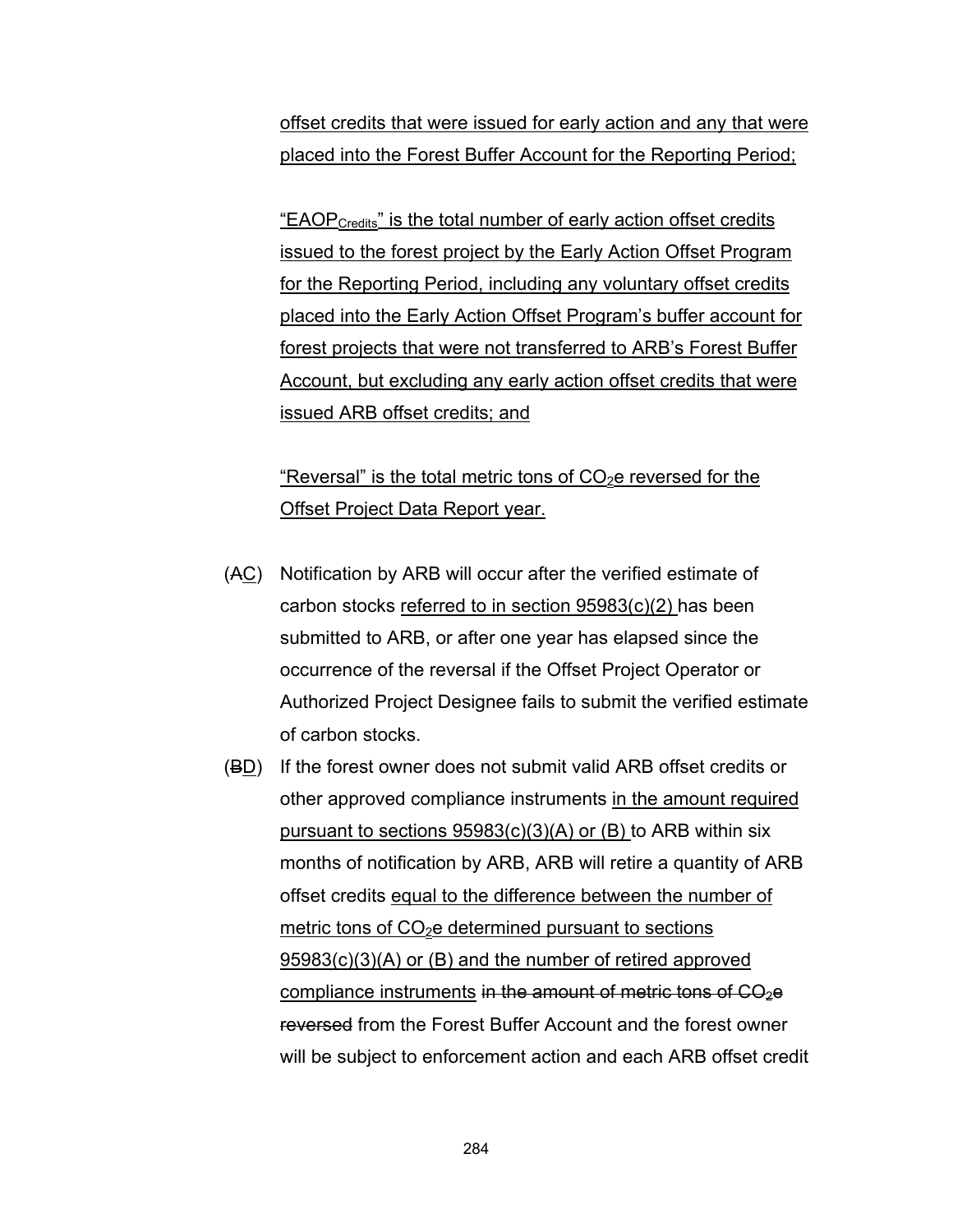offset credits that were issued for early action and any that were placed into the Forest Buffer Account for the Reporting Period;

<u>"EAOP<sub>Credits</sub>" is the total number of early action offset credits</u> issued to the forest project by the Early Action Offset Program for the Reporting Period, including any voluntary offset credits placed into the Early Action Offset Program's buffer account for forest projects that were not transferred to ARB's Forest Buffer Account, but excluding any early action offset credits that were issued ARB offset credits; and

# "Reversal" is the total metric tons of  $CO<sub>2</sub>e$  reversed for the Offset Project Data Report year.

- (AC) Notification by ARB will occur after the verified estimate of carbon stocks referred to in section 95983(c)(2) has been submitted to ARB, or after one year has elapsed since the occurrence of the reversal if the Offset Project Operator or Authorized Project Designee fails to submit the verified estimate of carbon stocks.
- (BD) If the forest owner does not submit valid ARB offset credits or other approved compliance instruments in the amount required pursuant to sections 95983(c)(3)(A) or (B) to ARB within six months of notification by ARB, ARB will retire a quantity of ARB offset credits equal to the difference between the number of metric tons of  $CO<sub>2</sub>e$  determined pursuant to sections 95983(c)(3)(A) or (B) and the number of retired approved compliance instruments in the amount of metric tons of  $CO<sub>2</sub>e$ reversed from the Forest Buffer Account and the forest owner will be subject to enforcement action and each ARB offset credit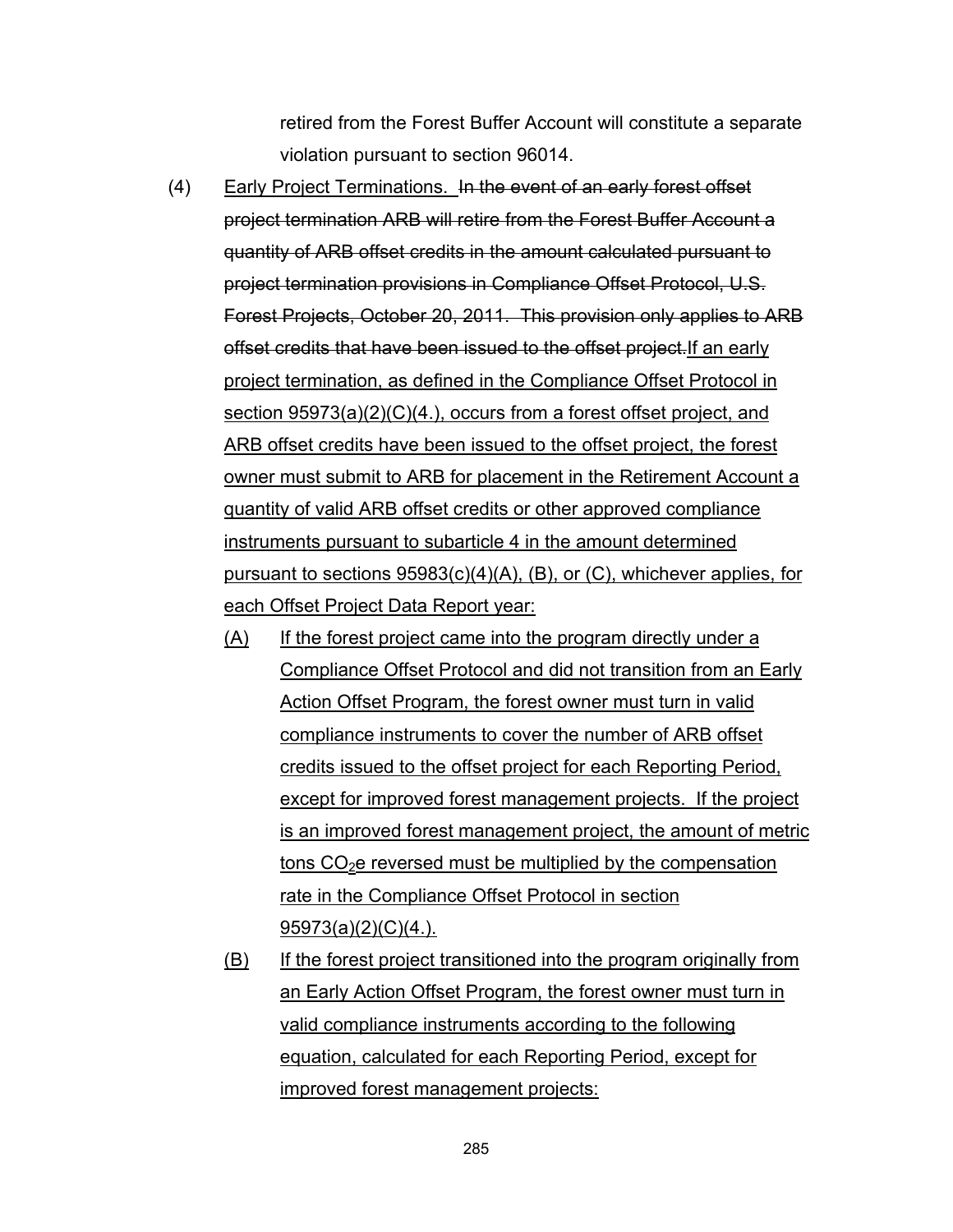retired from the Forest Buffer Account will constitute a separate violation pursuant to section 96014.

- (4) Early Project Terminations. In the event of an early forest offset project termination ARB will retire from the Forest Buffer Account a quantity of ARB offset credits in the amount calculated pursuant to project termination provisions in Compliance Offset Protocol, U.S. Forest Projects, October 20, 2011. This provision only applies to ARB offset credits that have been issued to the offset project.If an early project termination, as defined in the Compliance Offset Protocol in section 95973(a)(2)(C)(4.), occurs from a forest offset project, and ARB offset credits have been issued to the offset project, the forest owner must submit to ARB for placement in the Retirement Account a quantity of valid ARB offset credits or other approved compliance instruments pursuant to subarticle 4 in the amount determined pursuant to sections 95983(c)(4)(A), (B), or (C), whichever applies, for each Offset Project Data Report year:
	- (A) If the forest project came into the program directly under a Compliance Offset Protocol and did not transition from an Early Action Offset Program, the forest owner must turn in valid compliance instruments to cover the number of ARB offset credits issued to the offset project for each Reporting Period, except for improved forest management projects. If the project is an improved forest management project, the amount of metric tons  $CO<sub>2</sub>e$  reversed must be multiplied by the compensation rate in the Compliance Offset Protocol in section 95973(a)(2)(C)(4.).
	- (B) If the forest project transitioned into the program originally from an Early Action Offset Program, the forest owner must turn in valid compliance instruments according to the following equation, calculated for each Reporting Period, except for improved forest management projects: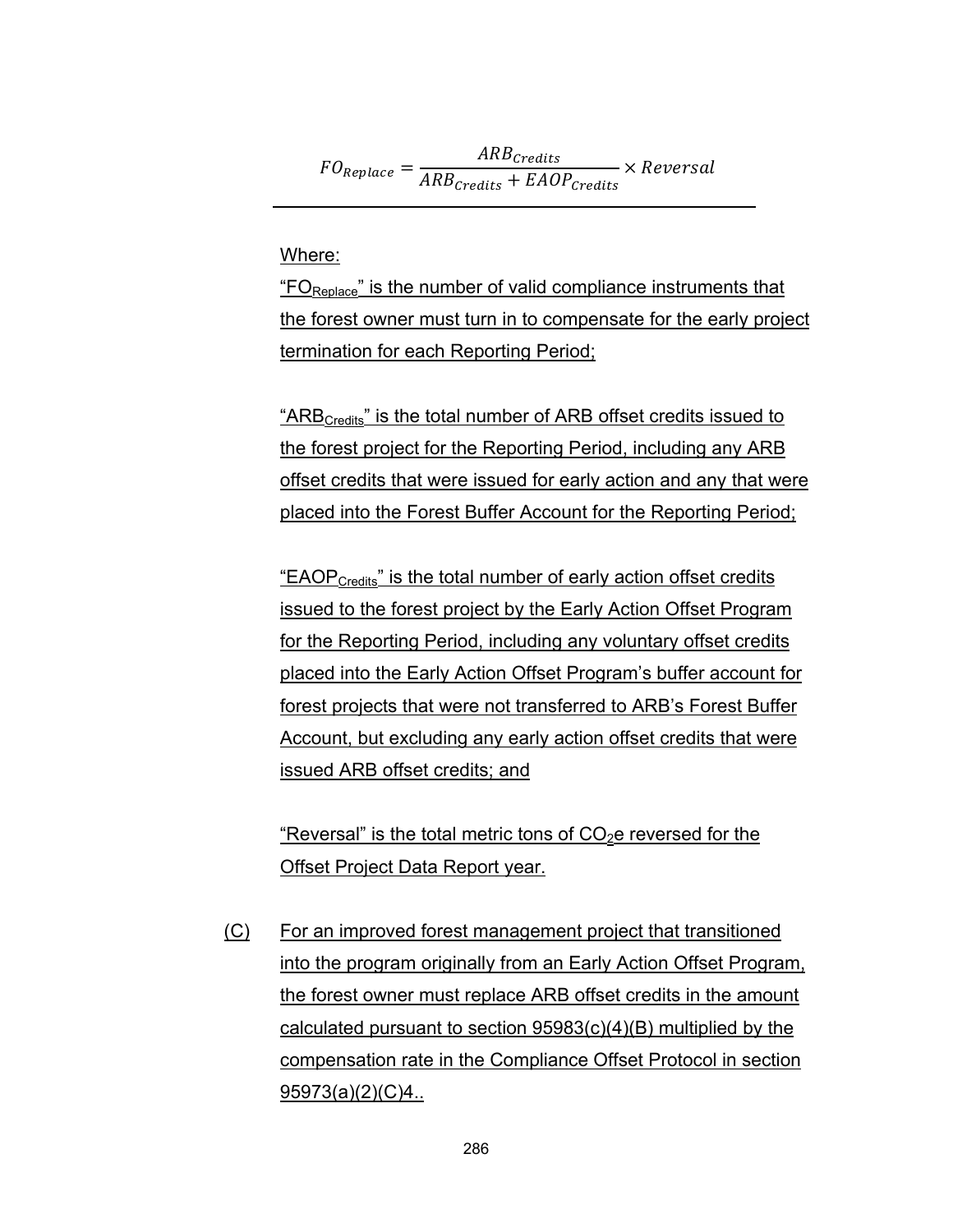$FO_{Replace} = \frac{ARB_{credits}}{APB}$  $\mathit{ARB}_{\mathit{Credits}} + \mathit{EAOP}_{\mathit{Credits}}$ ݈ܽݏݎ݁ݒܴ݁ ൈ

Where:

"FOReplace" is the number of valid compliance instruments that the forest owner must turn in to compensate for the early project termination for each Reporting Period;

"ARB<sub>Credits</sub>" is the total number of ARB offset credits issued to the forest project for the Reporting Period, including any ARB offset credits that were issued for early action and any that were placed into the Forest Buffer Account for the Reporting Period;

"EAOPCredits" is the total number of early action offset credits issued to the forest project by the Early Action Offset Program for the Reporting Period, including any voluntary offset credits placed into the Early Action Offset Program's buffer account for forest projects that were not transferred to ARB's Forest Buffer Account, but excluding any early action offset credits that were issued ARB offset credits; and

"Reversal" is the total metric tons of  $CO<sub>2</sub>e$  reversed for the Offset Project Data Report year.

(C) For an improved forest management project that transitioned into the program originally from an Early Action Offset Program, the forest owner must replace ARB offset credits in the amount calculated pursuant to section 95983(c)(4)(B) multiplied by the compensation rate in the Compliance Offset Protocol in section 95973(a)(2)(C)4..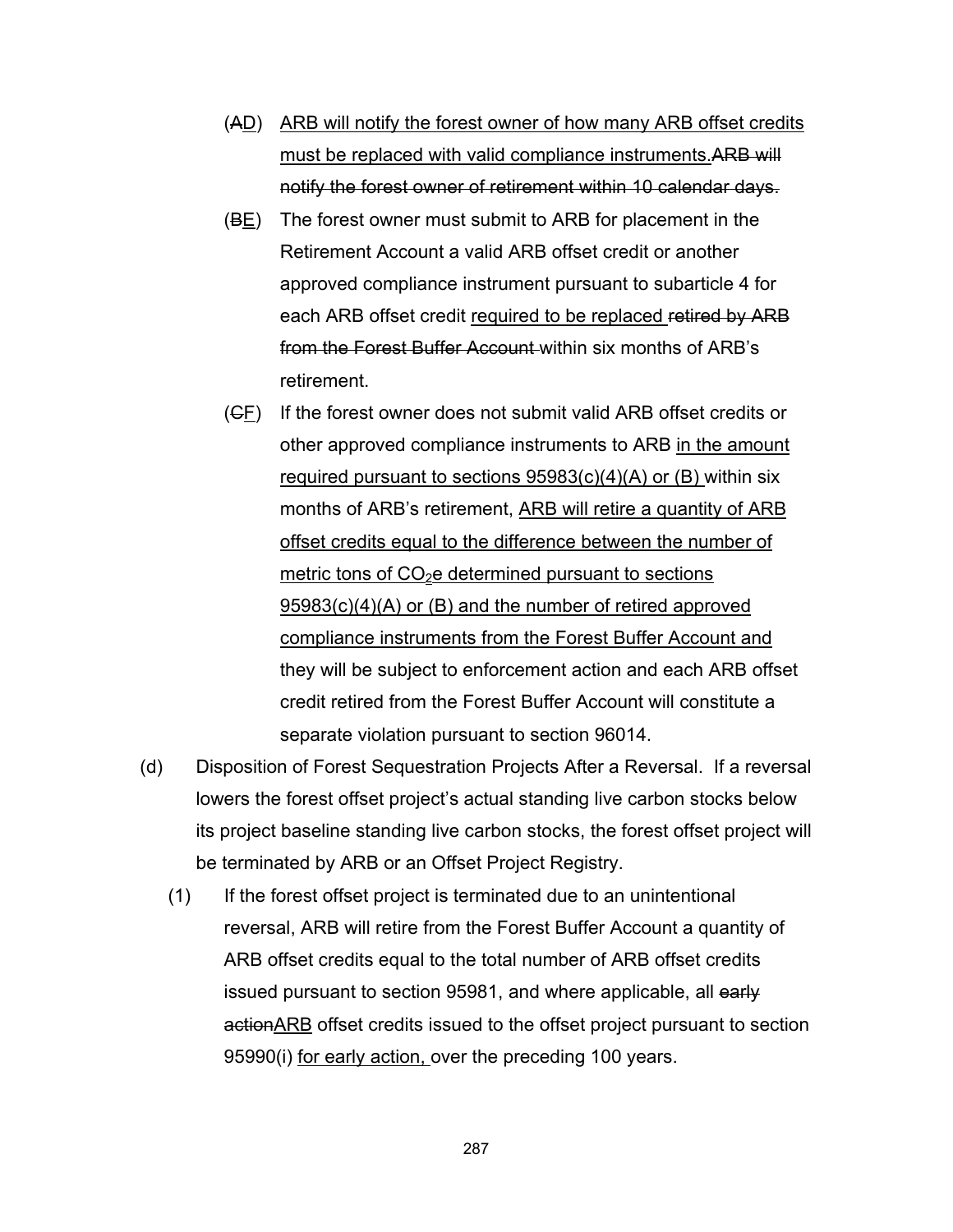- (AD) ARB will notify the forest owner of how many ARB offset credits must be replaced with valid compliance instruments.ARB will notify the forest owner of retirement within 10 calendar days.
- (BE) The forest owner must submit to ARB for placement in the Retirement Account a valid ARB offset credit or another approved compliance instrument pursuant to subarticle 4 for each ARB offset credit required to be replaced retired by ARB from the Forest Buffer Account within six months of ARB's retirement.
- (CF) If the forest owner does not submit valid ARB offset credits or other approved compliance instruments to ARB in the amount required pursuant to sections  $95983(c)(4)(A)$  or (B) within six months of ARB's retirement, ARB will retire a quantity of ARB offset credits equal to the difference between the number of metric tons of  $CO<sub>2</sub>e$  determined pursuant to sections 95983(c)(4)(A) or (B) and the number of retired approved compliance instruments from the Forest Buffer Account and they will be subject to enforcement action and each ARB offset credit retired from the Forest Buffer Account will constitute a separate violation pursuant to section 96014.
- (d) Disposition of Forest Sequestration Projects After a Reversal. If a reversal lowers the forest offset project's actual standing live carbon stocks below its project baseline standing live carbon stocks, the forest offset project will be terminated by ARB or an Offset Project Registry.
	- (1) If the forest offset project is terminated due to an unintentional reversal, ARB will retire from the Forest Buffer Account a quantity of ARB offset credits equal to the total number of ARB offset credits issued pursuant to section 95981, and where applicable, all early action ARB offset credits issued to the offset project pursuant to section 95990(i) for early action, over the preceding 100 years.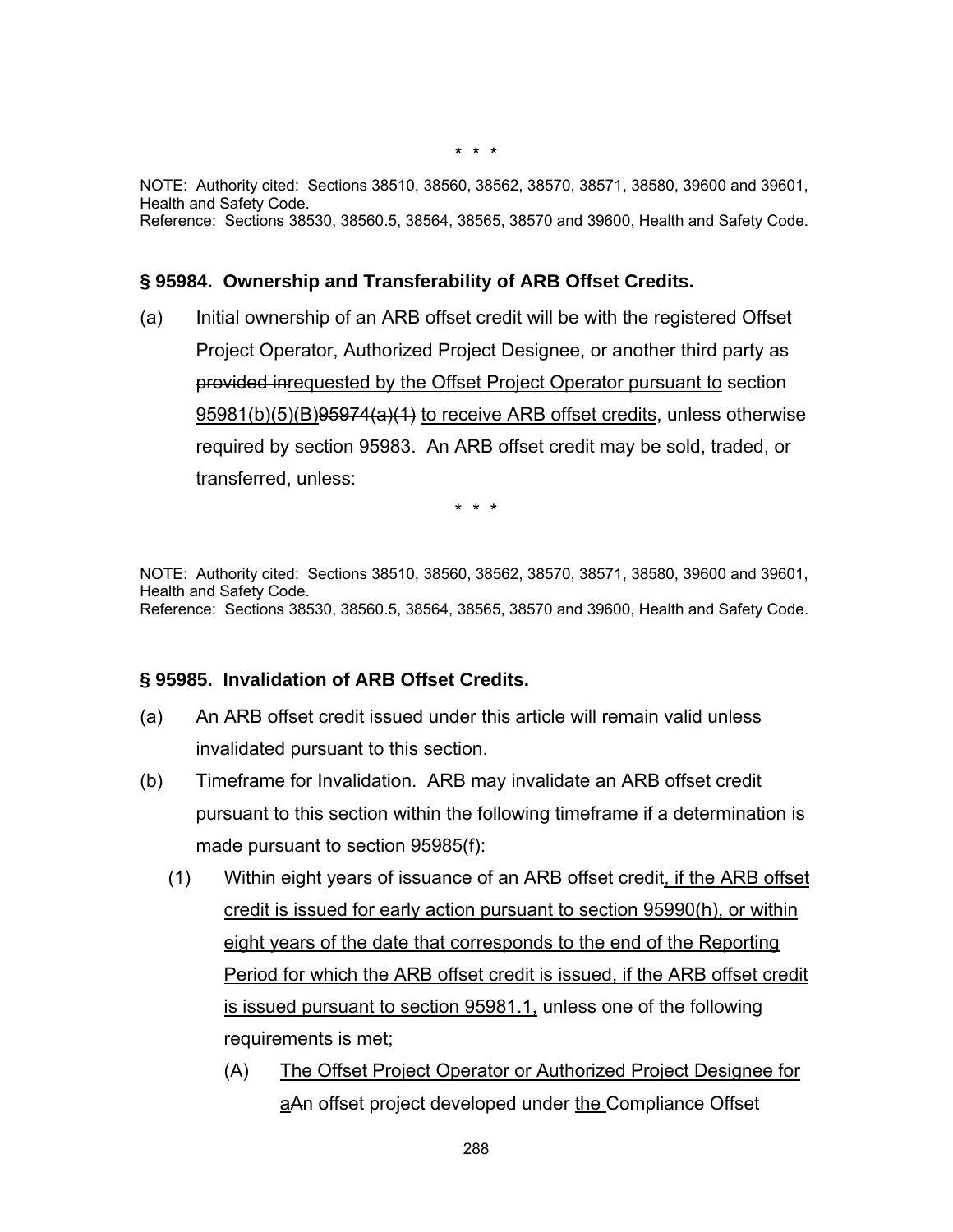NOTE: Authority cited: Sections 38510, 38560, 38562, 38570, 38571, 38580, 39600 and 39601, Health and Safety Code. Reference: Sections 38530, 38560.5, 38564, 38565, 38570 and 39600, Health and Safety Code.

#### **§ 95984. Ownership and Transferability of ARB Offset Credits.**

(a) Initial ownership of an ARB offset credit will be with the registered Offset Project Operator, Authorized Project Designee, or another third party as provided inrequested by the Offset Project Operator pursuant to section 95981(b)(5)(B)95974(a)(1) to receive ARB offset credits, unless otherwise required by section 95983. An ARB offset credit may be sold, traded, or transferred, unless:

\* \* \*

NOTE: Authority cited: Sections 38510, 38560, 38562, 38570, 38571, 38580, 39600 and 39601, Health and Safety Code. Reference: Sections 38530, 38560.5, 38564, 38565, 38570 and 39600, Health and Safety Code.

#### **§ 95985. Invalidation of ARB Offset Credits.**

- (a) An ARB offset credit issued under this article will remain valid unless invalidated pursuant to this section.
- (b) Timeframe for Invalidation. ARB may invalidate an ARB offset credit pursuant to this section within the following timeframe if a determination is made pursuant to section 95985(f):
	- (1) Within eight years of issuance of an ARB offset credit, if the ARB offset credit is issued for early action pursuant to section 95990(h), or within eight years of the date that corresponds to the end of the Reporting Period for which the ARB offset credit is issued, if the ARB offset credit is issued pursuant to section 95981.1, unless one of the following requirements is met;
		- (A) The Offset Project Operator or Authorized Project Designee for aAn offset project developed under the Compliance Offset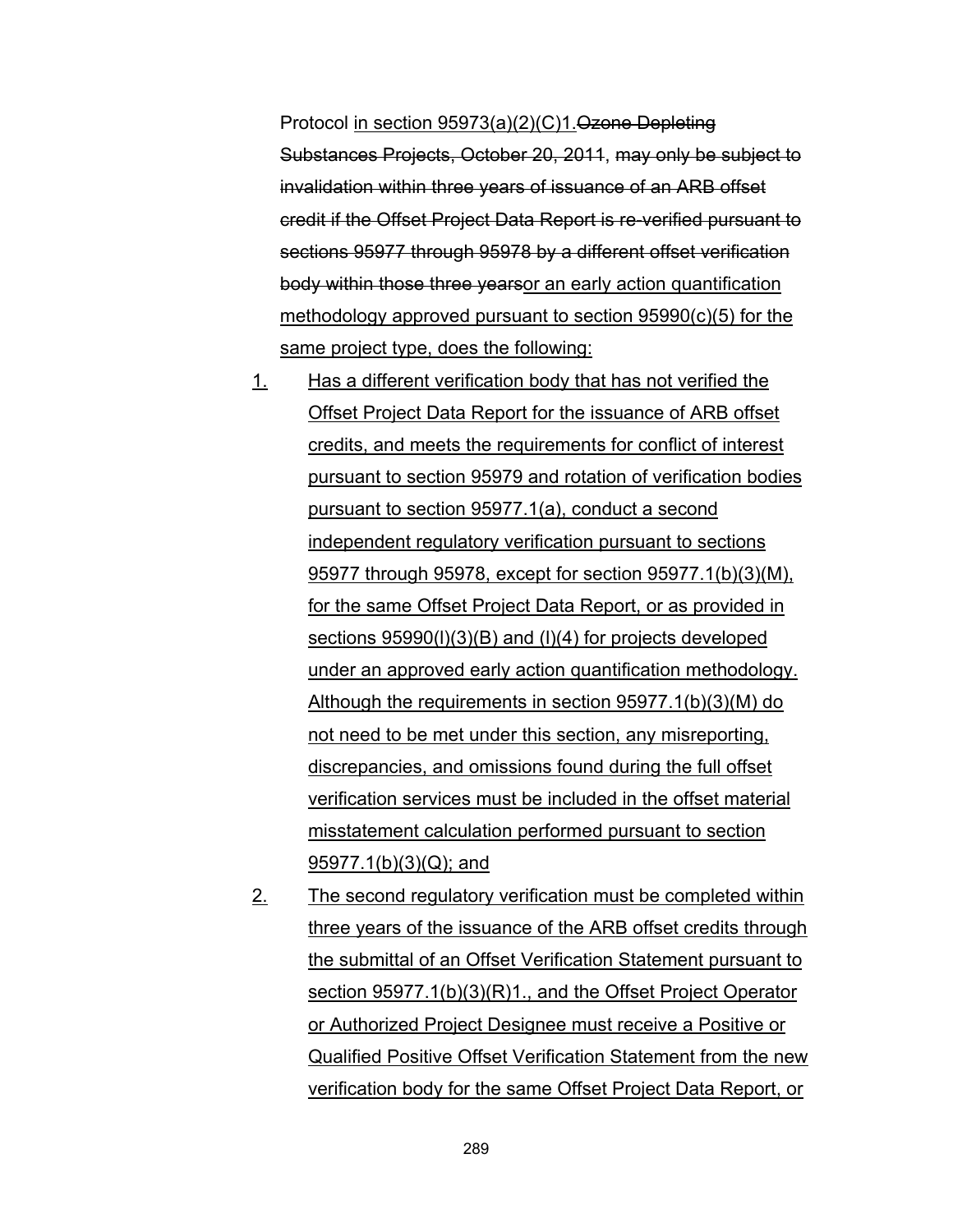Protocol in section 95973(a)(2)(C)1.Ozone Depleting Substances Projects, October 20, 2011, may only be subject to invalidation within three years of issuance of an ARB offset credit if the Offset Project Data Report is re-verified pursuant to sections 95977 through 95978 by a different offset verification body within those three yearsor an early action quantification methodology approved pursuant to section 95990(c)(5) for the same project type, does the following:

- 1. Has a different verification body that has not verified the Offset Project Data Report for the issuance of ARB offset credits, and meets the requirements for conflict of interest pursuant to section 95979 and rotation of verification bodies pursuant to section 95977.1(a), conduct a second independent regulatory verification pursuant to sections 95977 through 95978, except for section 95977.1(b)(3)(M), for the same Offset Project Data Report, or as provided in sections 95990(l)(3)(B) and (l)(4) for projects developed under an approved early action quantification methodology. Although the requirements in section 95977.1(b)(3)(M) do not need to be met under this section, any misreporting, discrepancies, and omissions found during the full offset verification services must be included in the offset material misstatement calculation performed pursuant to section 95977.1(b)(3)(Q); and
- 2. The second regulatory verification must be completed within three years of the issuance of the ARB offset credits through the submittal of an Offset Verification Statement pursuant to section 95977.1(b)(3)(R)1., and the Offset Project Operator or Authorized Project Designee must receive a Positive or Qualified Positive Offset Verification Statement from the new verification body for the same Offset Project Data Report, or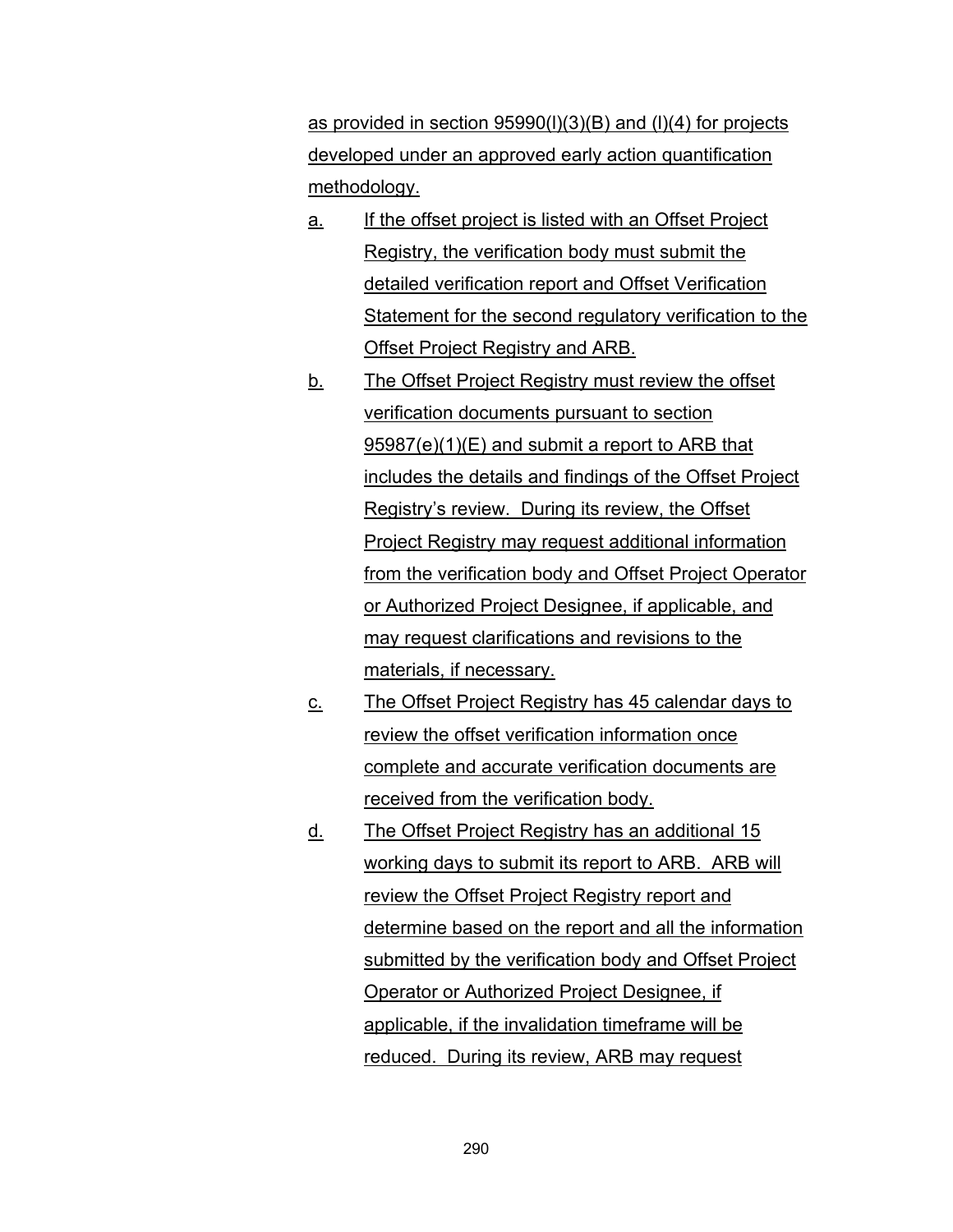as provided in section 95990(l)(3)(B) and (l)(4) for projects developed under an approved early action quantification methodology.

- a. If the offset project is listed with an Offset Project Registry, the verification body must submit the detailed verification report and Offset Verification Statement for the second regulatory verification to the Offset Project Registry and ARB.
- b. The Offset Project Registry must review the offset verification documents pursuant to section 95987(e)(1)(E) and submit a report to ARB that includes the details and findings of the Offset Project Registry's review. During its review, the Offset Project Registry may request additional information from the verification body and Offset Project Operator or Authorized Project Designee, if applicable, and may request clarifications and revisions to the materials, if necessary.
- c. The Offset Project Registry has 45 calendar days to review the offset verification information once complete and accurate verification documents are received from the verification body.
- d. The Offset Project Registry has an additional 15 working days to submit its report to ARB. ARB will review the Offset Project Registry report and determine based on the report and all the information submitted by the verification body and Offset Project Operator or Authorized Project Designee, if applicable, if the invalidation timeframe will be reduced. During its review, ARB may request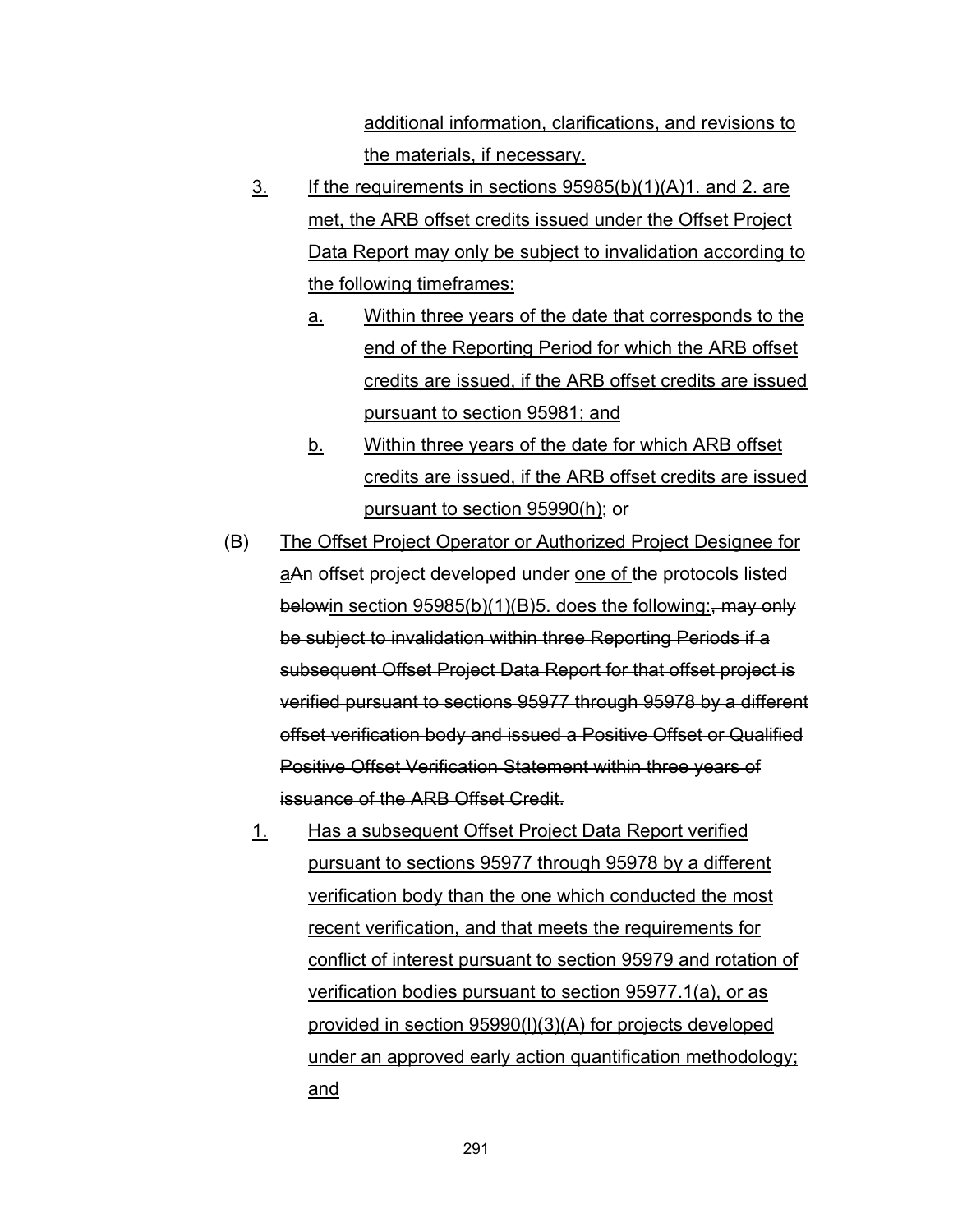additional information, clarifications, and revisions to the materials, if necessary.

- $\frac{3}{2}$  If the requirements in sections 95985(b)(1)(A)1. and 2. are met, the ARB offset credits issued under the Offset Project Data Report may only be subject to invalidation according to the following timeframes:
	- a. Within three years of the date that corresponds to the end of the Reporting Period for which the ARB offset credits are issued, if the ARB offset credits are issued pursuant to section 95981; and
	- b. Within three years of the date for which ARB offset credits are issued, if the ARB offset credits are issued pursuant to section 95990(h); or
- (B) The Offset Project Operator or Authorized Project Designee for aAn offset project developed under one of the protocols listed belowin section  $95985(b)(1)(B)5$ . does the following:, may only be subject to invalidation within three Reporting Periods if a subsequent Offset Project Data Report for that offset project is verified pursuant to sections 95977 through 95978 by a different offset verification body and issued a Positive Offset or Qualified Positive Offset Verification Statement within three years of issuance of the ARB Offset Credit.
	- 1. Has a subsequent Offset Project Data Report verified pursuant to sections 95977 through 95978 by a different verification body than the one which conducted the most recent verification, and that meets the requirements for conflict of interest pursuant to section 95979 and rotation of verification bodies pursuant to section 95977.1(a), or as provided in section 95990(l)(3)(A) for projects developed under an approved early action quantification methodology; and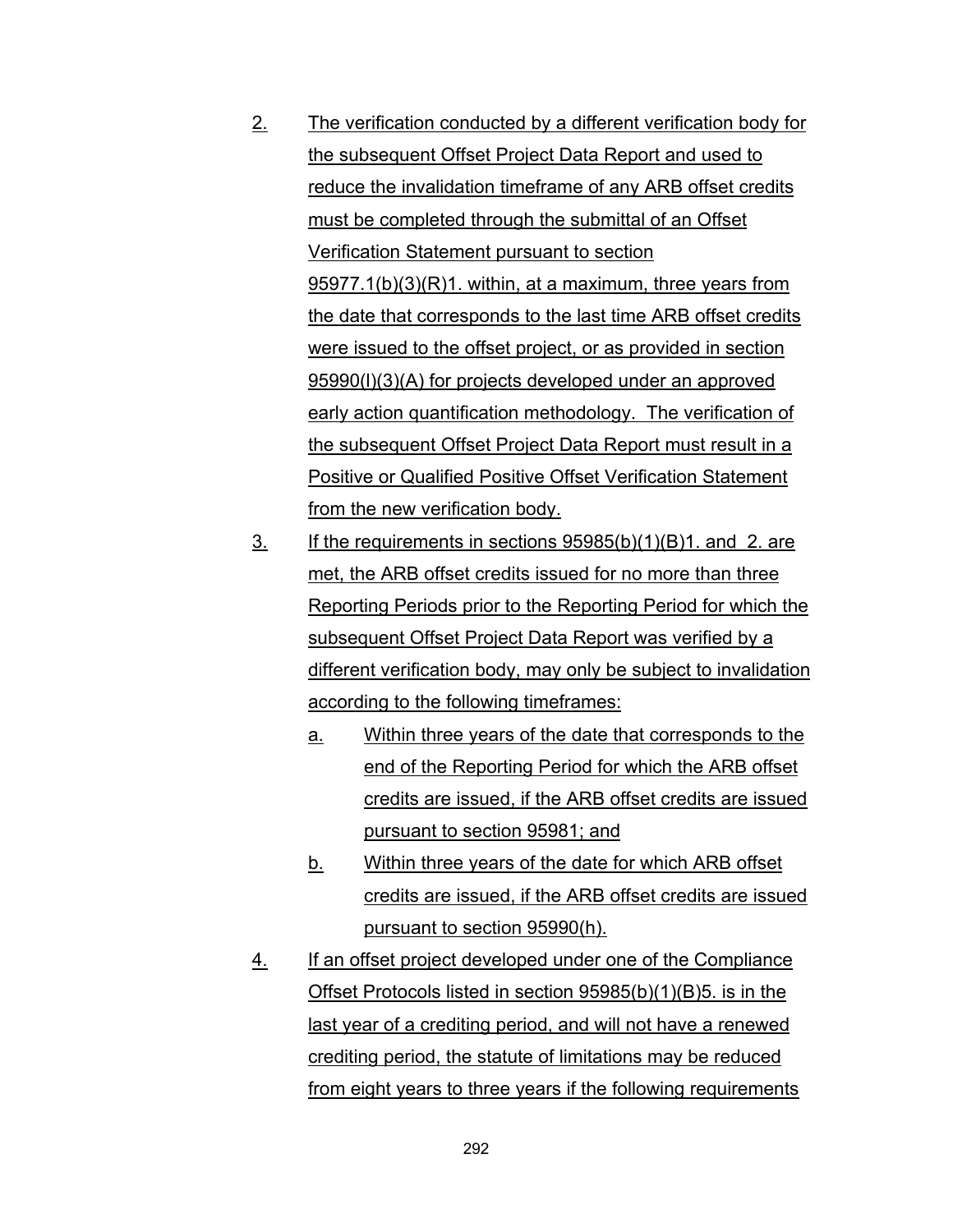- 2. The verification conducted by a different verification body for the subsequent Offset Project Data Report and used to reduce the invalidation timeframe of any ARB offset credits must be completed through the submittal of an Offset Verification Statement pursuant to section 95977.1(b)(3)(R)1. within, at a maximum, three years from the date that corresponds to the last time ARB offset credits were issued to the offset project, or as provided in section 95990(l)(3)(A) for projects developed under an approved early action quantification methodology. The verification of the subsequent Offset Project Data Report must result in a Positive or Qualified Positive Offset Verification Statement from the new verification body.
- 3. If the requirements in sections 95985(b)(1)(B)1. and 2. are met, the ARB offset credits issued for no more than three Reporting Periods prior to the Reporting Period for which the subsequent Offset Project Data Report was verified by a different verification body, may only be subject to invalidation according to the following timeframes:
	- a. Within three years of the date that corresponds to the end of the Reporting Period for which the ARB offset credits are issued, if the ARB offset credits are issued pursuant to section 95981; and
	- b. Within three years of the date for which ARB offset credits are issued, if the ARB offset credits are issued pursuant to section 95990(h).
- 4. If an offset project developed under one of the Compliance Offset Protocols listed in section 95985(b)(1)(B)5. is in the last year of a crediting period, and will not have a renewed crediting period, the statute of limitations may be reduced from eight years to three years if the following requirements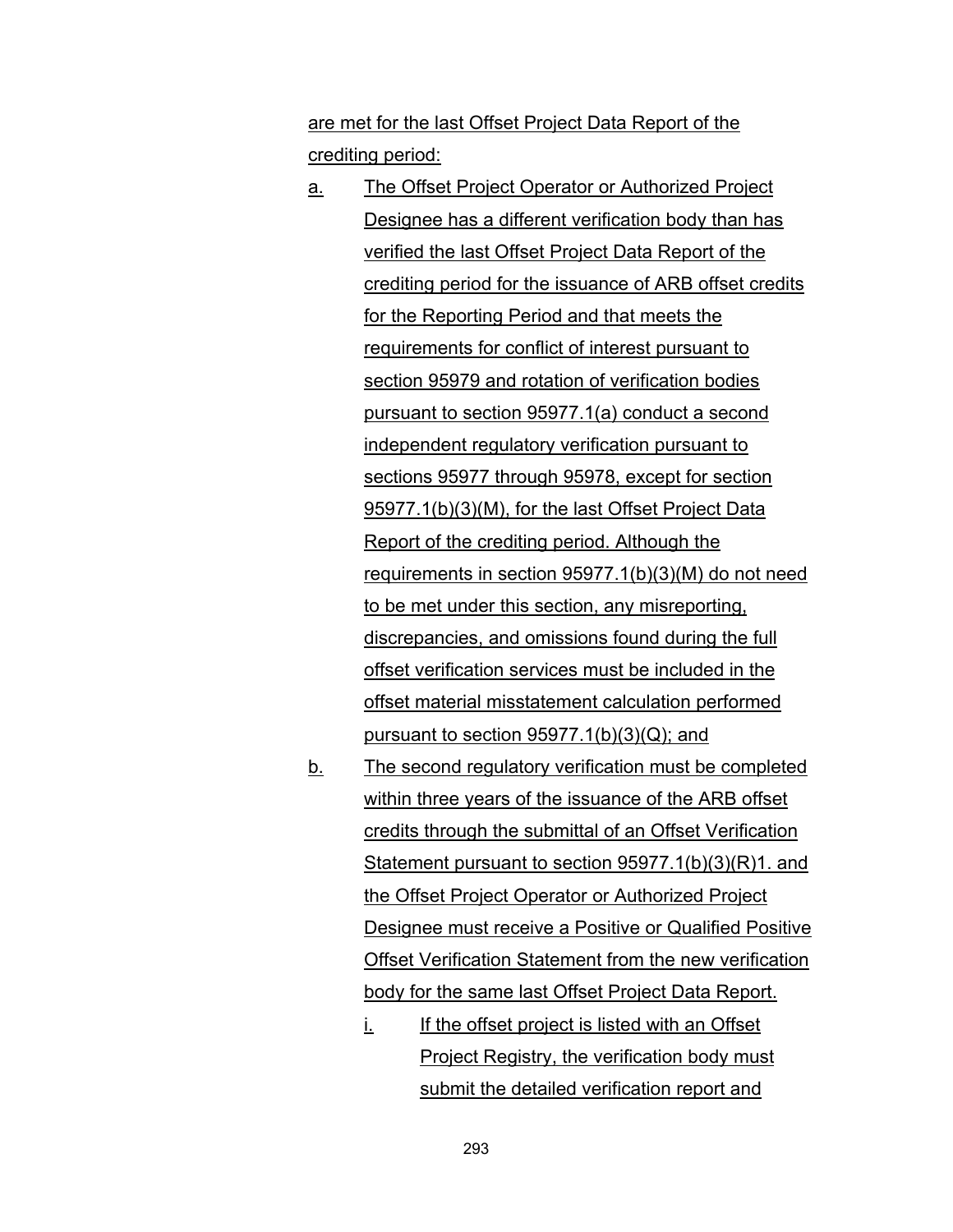are met for the last Offset Project Data Report of the crediting period:

- a. The Offset Project Operator or Authorized Project Designee has a different verification body than has verified the last Offset Project Data Report of the crediting period for the issuance of ARB offset credits for the Reporting Period and that meets the requirements for conflict of interest pursuant to section 95979 and rotation of verification bodies pursuant to section 95977.1(a) conduct a second independent regulatory verification pursuant to sections 95977 through 95978, except for section 95977.1(b)(3)(M), for the last Offset Project Data Report of the crediting period. Although the requirements in section 95977.1(b)(3)(M) do not need to be met under this section, any misreporting, discrepancies, and omissions found during the full offset verification services must be included in the offset material misstatement calculation performed pursuant to section  $95977.1(b)(3)(Q)$ ; and
- b. The second regulatory verification must be completed within three years of the issuance of the ARB offset credits through the submittal of an Offset Verification Statement pursuant to section 95977.1(b)(3)(R)1. and the Offset Project Operator or Authorized Project Designee must receive a Positive or Qualified Positive Offset Verification Statement from the new verification body for the same last Offset Project Data Report.
	- i. If the offset project is listed with an Offset Project Registry, the verification body must submit the detailed verification report and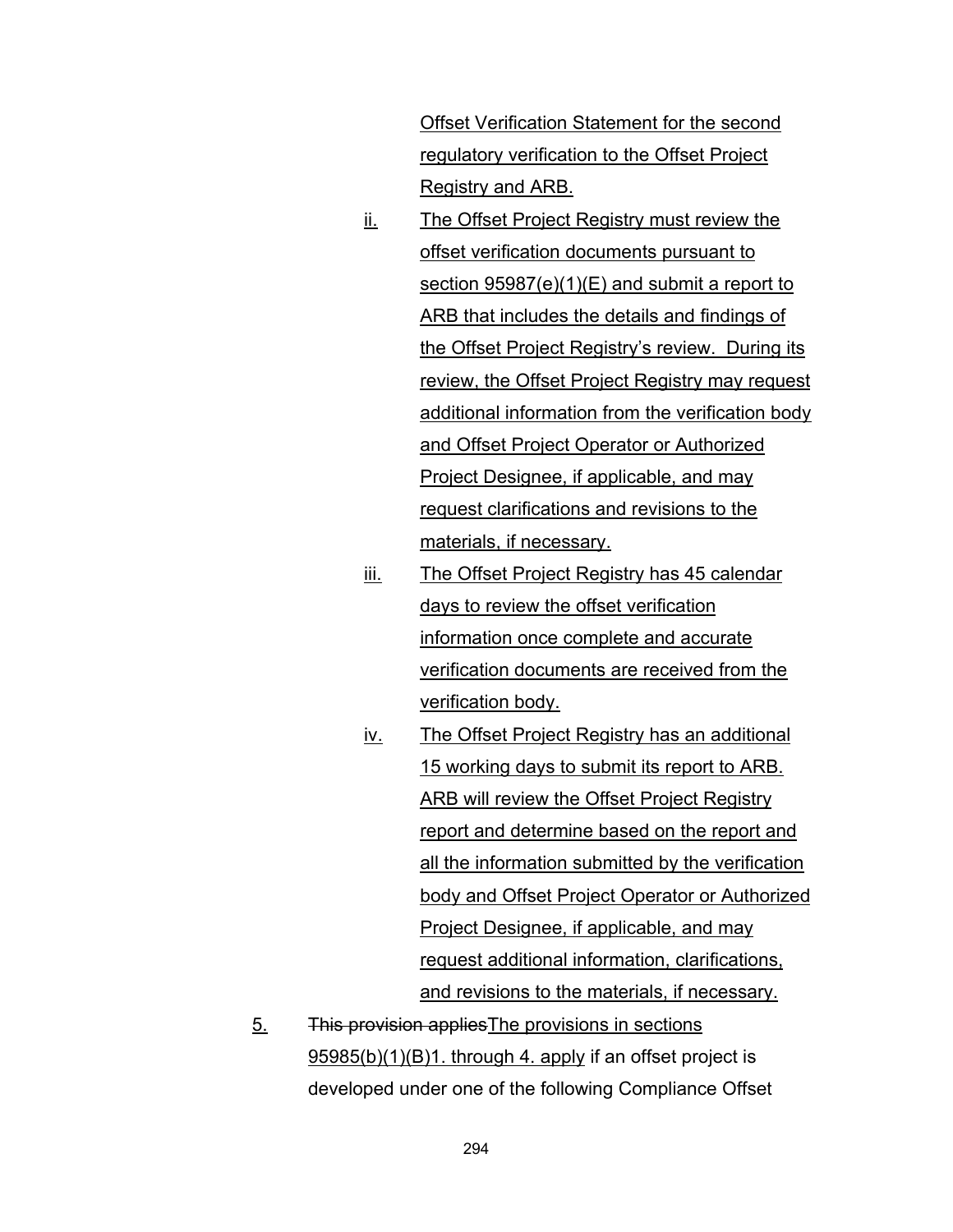Offset Verification Statement for the second regulatory verification to the Offset Project Registry and ARB.

- ii. The Offset Project Registry must review the offset verification documents pursuant to section 95987(e)(1)(E) and submit a report to ARB that includes the details and findings of the Offset Project Registry's review. During its review, the Offset Project Registry may request additional information from the verification body and Offset Project Operator or Authorized Project Designee, if applicable, and may request clarifications and revisions to the materials, if necessary.
- iii. The Offset Project Registry has 45 calendar days to review the offset verification information once complete and accurate verification documents are received from the verification body.
- iv. The Offset Project Registry has an additional 15 working days to submit its report to ARB. ARB will review the Offset Project Registry report and determine based on the report and all the information submitted by the verification body and Offset Project Operator or Authorized Project Designee, if applicable, and may request additional information, clarifications, and revisions to the materials, if necessary.
- 5. This provision appliesThe provisions in sections 95985(b)(1)(B)1. through 4. apply if an offset project is developed under one of the following Compliance Offset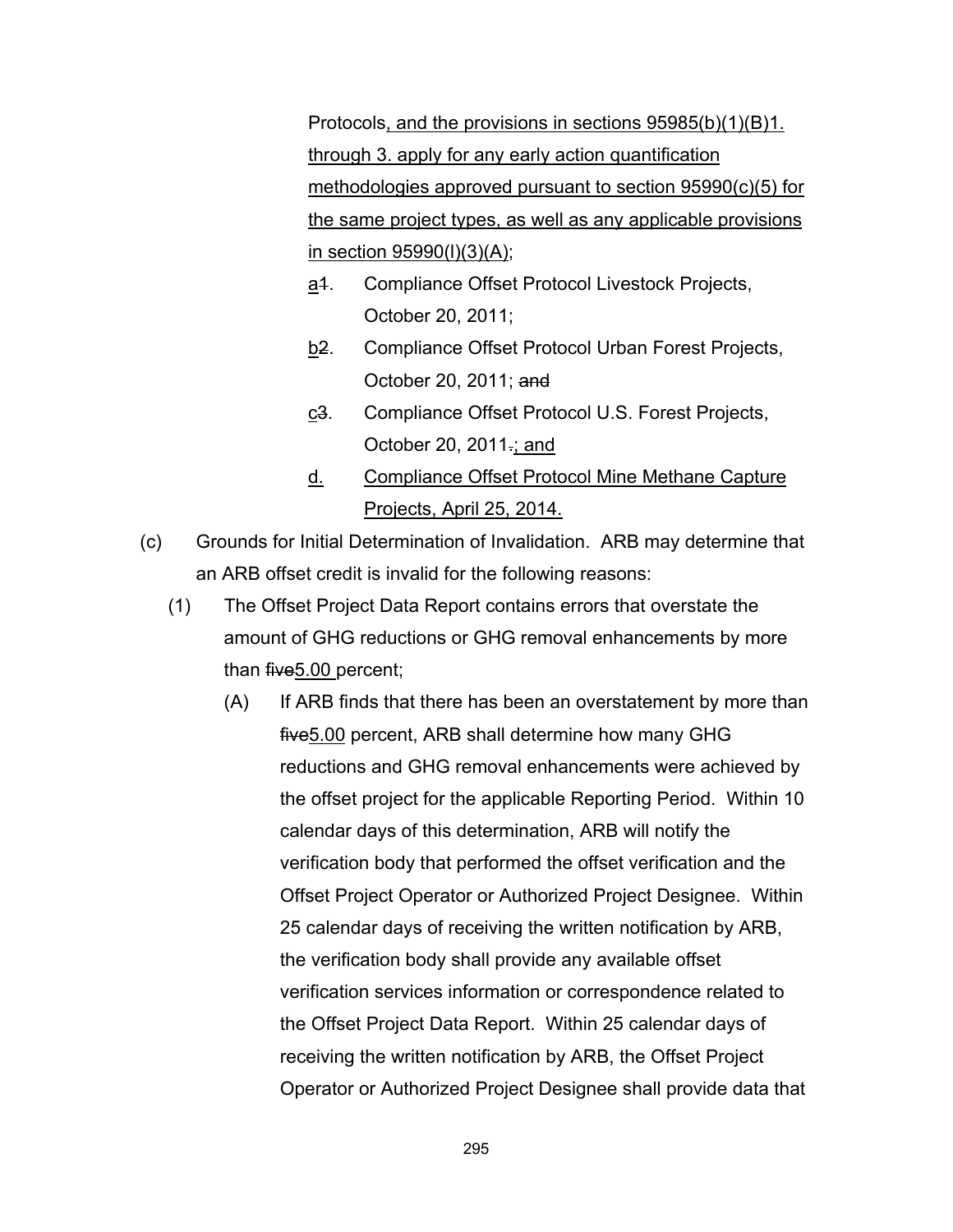Protocols, and the provisions in sections 95985(b)(1)(B)1. through 3. apply for any early action quantification methodologies approved pursuant to section 95990(c)(5) for the same project types, as well as any applicable provisions in section 95990(l)(3)(A);

- a<sup>4</sup>. Compliance Offset Protocol Livestock Projects, October 20, 2011;
- b<sub>2</sub>. Compliance Offset Protocol Urban Forest Projects, October 20, 2011; and
- c<sub>3</sub>. Compliance Offset Protocol U.S. Forest Projects, October 20, 2011.; and
- d. Compliance Offset Protocol Mine Methane Capture Projects, April 25, 2014.
- (c) Grounds for Initial Determination of Invalidation. ARB may determine that an ARB offset credit is invalid for the following reasons:
	- (1) The Offset Project Data Report contains errors that overstate the amount of GHG reductions or GHG removal enhancements by more than five5.00 percent;
		- (A) If ARB finds that there has been an overstatement by more than five5.00 percent, ARB shall determine how many GHG reductions and GHG removal enhancements were achieved by the offset project for the applicable Reporting Period. Within 10 calendar days of this determination, ARB will notify the verification body that performed the offset verification and the Offset Project Operator or Authorized Project Designee. Within 25 calendar days of receiving the written notification by ARB, the verification body shall provide any available offset verification services information or correspondence related to the Offset Project Data Report. Within 25 calendar days of receiving the written notification by ARB, the Offset Project Operator or Authorized Project Designee shall provide data that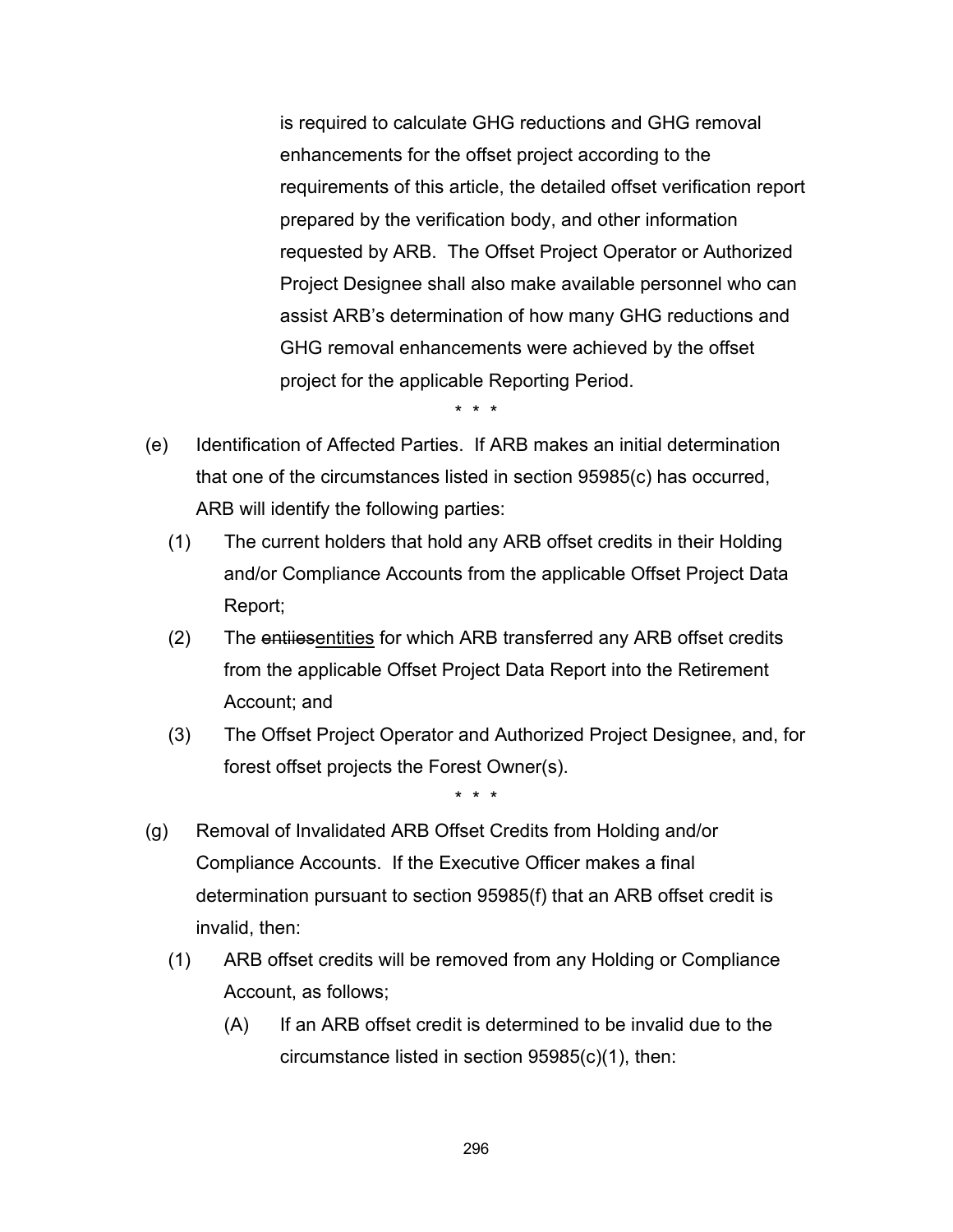is required to calculate GHG reductions and GHG removal enhancements for the offset project according to the requirements of this article, the detailed offset verification report prepared by the verification body, and other information requested by ARB. The Offset Project Operator or Authorized Project Designee shall also make available personnel who can assist ARB's determination of how many GHG reductions and GHG removal enhancements were achieved by the offset project for the applicable Reporting Period.

\* \* \*

- (e) Identification of Affected Parties. If ARB makes an initial determination that one of the circumstances listed in section 95985(c) has occurred, ARB will identify the following parties:
	- (1) The current holders that hold any ARB offset credits in their Holding and/or Compliance Accounts from the applicable Offset Project Data Report;
	- (2) The entiiesentities for which ARB transferred any ARB offset credits from the applicable Offset Project Data Report into the Retirement Account; and
	- (3) The Offset Project Operator and Authorized Project Designee, and, for forest offset projects the Forest Owner(s).

- (g) Removal of Invalidated ARB Offset Credits from Holding and/or Compliance Accounts. If the Executive Officer makes a final determination pursuant to section 95985(f) that an ARB offset credit is invalid, then:
	- (1) ARB offset credits will be removed from any Holding or Compliance Account, as follows;
		- (A) If an ARB offset credit is determined to be invalid due to the circumstance listed in section 95985(c)(1), then: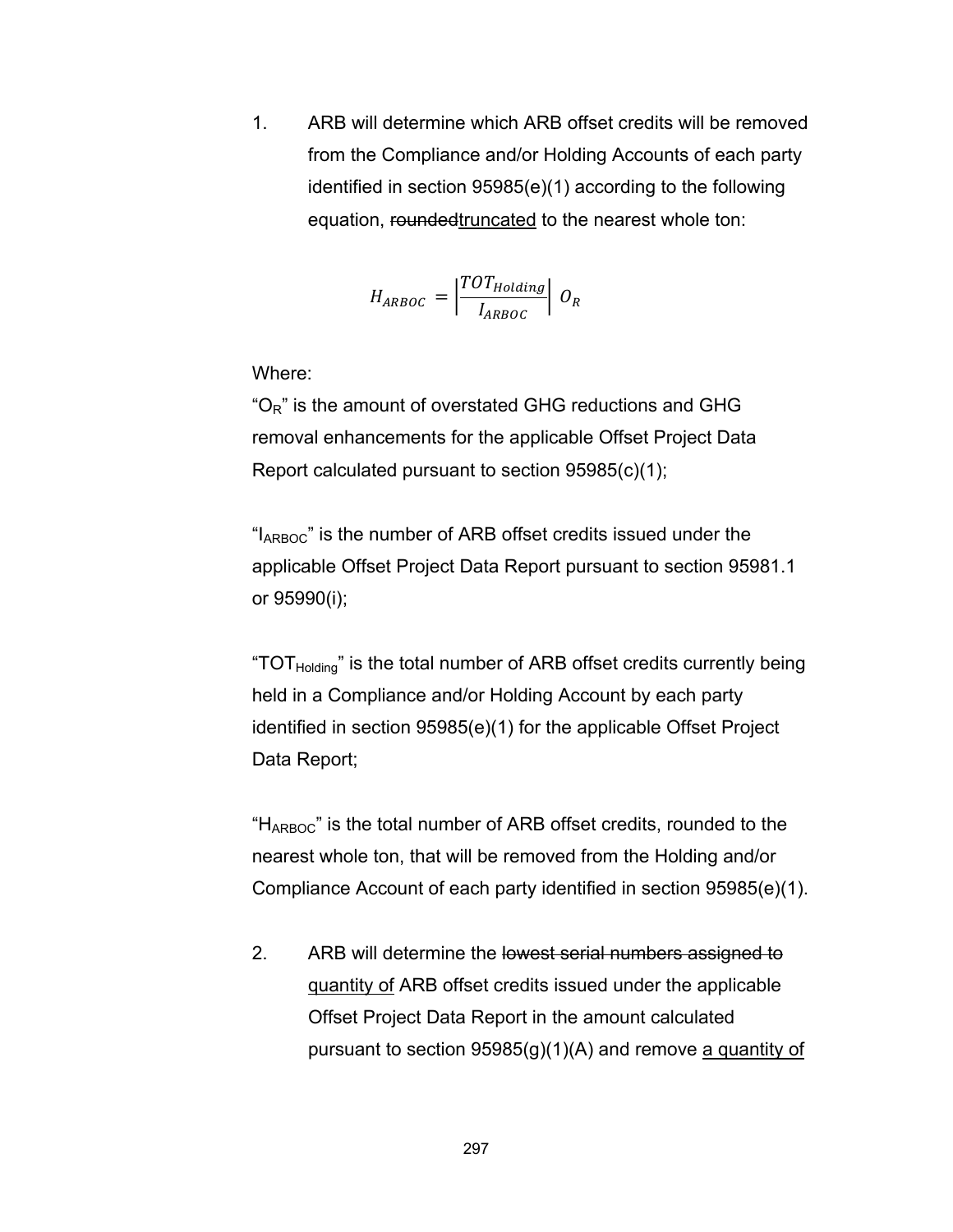1. ARB will determine which ARB offset credits will be removed from the Compliance and/or Holding Accounts of each party identified in section 95985(e)(1) according to the following equation, roundedtruncated to the nearest whole ton:

$$
H_{ARBOC} = \left| \frac{TOT_{Holding}}{I_{ARBOC}} \right| O_R
$$

Where:

" $O<sub>R</sub>$ " is the amount of overstated GHG reductions and GHG removal enhancements for the applicable Offset Project Data Report calculated pursuant to section 95985(c)(1);

"I<sub>ARBOC</sub>" is the number of ARB offset credits issued under the applicable Offset Project Data Report pursuant to section 95981.1 or 95990(i);

"TOT $_{\text{Holding}}$ " is the total number of ARB offset credits currently being held in a Compliance and/or Holding Account by each party identified in section 95985(e)(1) for the applicable Offset Project Data Report;

" $H_{ARBOC}$ " is the total number of ARB offset credits, rounded to the nearest whole ton, that will be removed from the Holding and/or Compliance Account of each party identified in section 95985(e)(1).

2. ARB will determine the lowest serial numbers assigned to quantity of ARB offset credits issued under the applicable Offset Project Data Report in the amount calculated pursuant to section  $95985(g)(1)(A)$  and remove a quantity of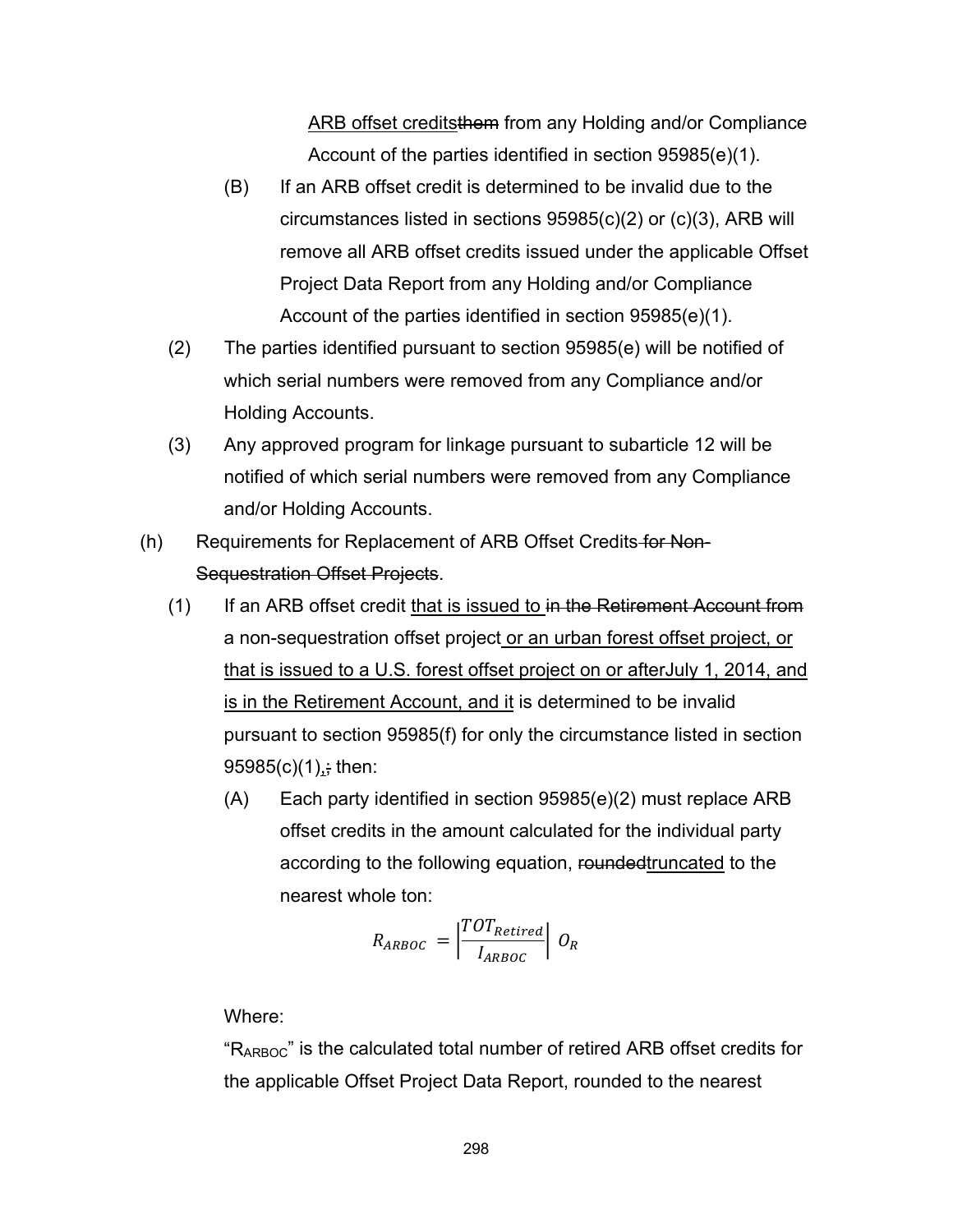ARB offset creditsthem from any Holding and/or Compliance Account of the parties identified in section 95985(e)(1).

- (B) If an ARB offset credit is determined to be invalid due to the circumstances listed in sections 95985(c)(2) or (c)(3), ARB will remove all ARB offset credits issued under the applicable Offset Project Data Report from any Holding and/or Compliance Account of the parties identified in section 95985(e)(1).
- (2) The parties identified pursuant to section 95985(e) will be notified of which serial numbers were removed from any Compliance and/or Holding Accounts.
- (3) Any approved program for linkage pursuant to subarticle 12 will be notified of which serial numbers were removed from any Compliance and/or Holding Accounts.
- (h) Requirements for Replacement of ARB Offset Credits for Non-Sequestration Offset Projects.
	- $(1)$  If an ARB offset credit that is issued to in the Retirement Account from a non-sequestration offset project or an urban forest offset project, or that is issued to a U.S. forest offset project on or afterJuly 1, 2014, and is in the Retirement Account, and it is determined to be invalid pursuant to section 95985(f) for only the circumstance listed in section  $95985(c)(1)$ ; then:
		- (A) Each party identified in section 95985(e)(2) must replace ARB offset credits in the amount calculated for the individual party according to the following equation, roundedtruncated to the nearest whole ton:

$$
R_{ARBOC} = \left| \frac{TOT_{Retired}}{I_{ARBOC}} \right| O_R
$$

## Where:

"RARBOC" is the calculated total number of retired ARB offset credits for the applicable Offset Project Data Report, rounded to the nearest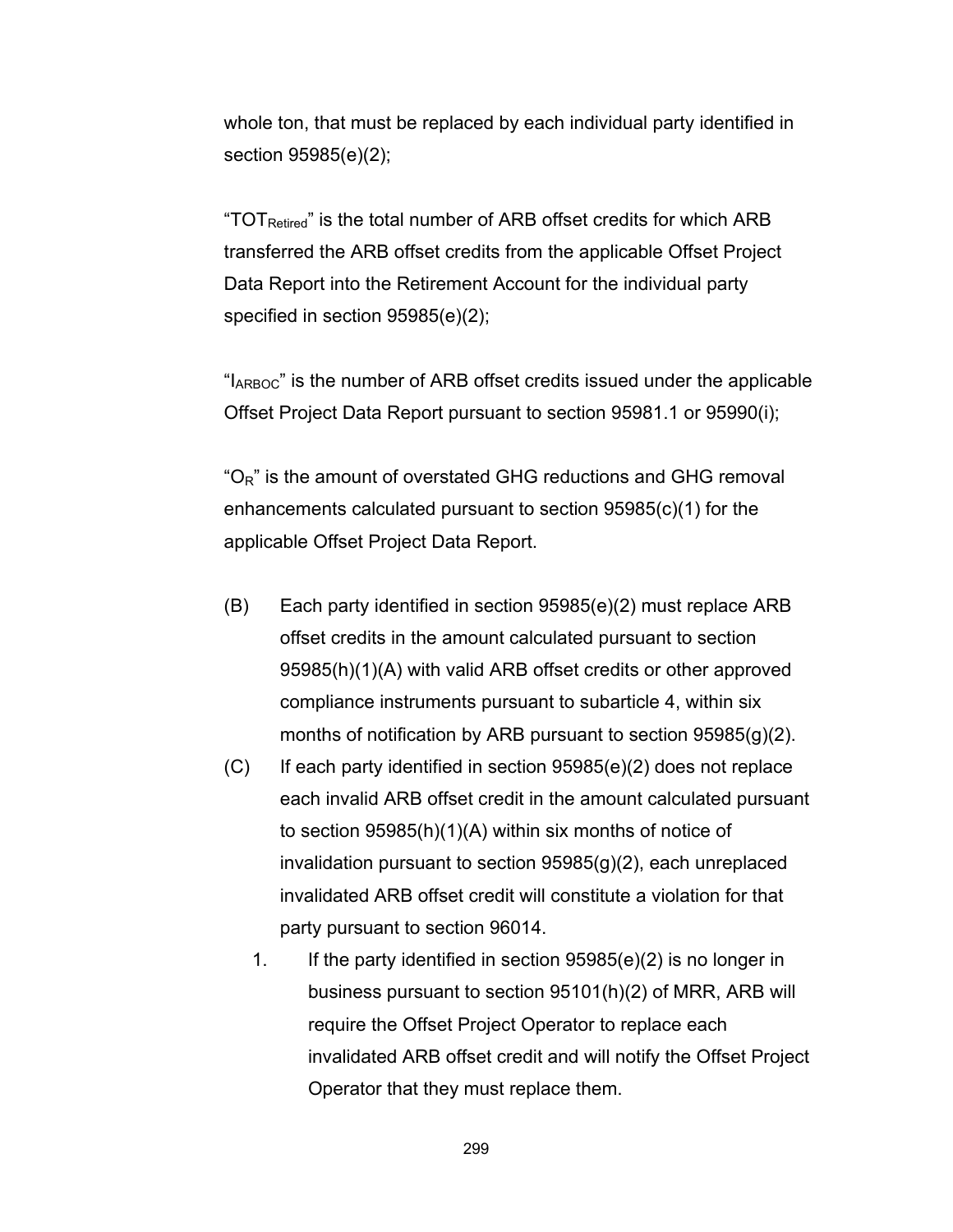whole ton, that must be replaced by each individual party identified in section 95985(e)(2);

"TOT $_{\rm Retired}$ " is the total number of ARB offset credits for which ARB transferred the ARB offset credits from the applicable Offset Project Data Report into the Retirement Account for the individual party specified in section 95985(e)(2);

"I<sub>ARBOC</sub>" is the number of ARB offset credits issued under the applicable Offset Project Data Report pursuant to section 95981.1 or 95990(i);

 $^{\circ}$ O<sub>R</sub>" is the amount of overstated GHG reductions and GHG removal enhancements calculated pursuant to section 95985(c)(1) for the applicable Offset Project Data Report.

- (B) Each party identified in section 95985(e)(2) must replace ARB offset credits in the amount calculated pursuant to section 95985(h)(1)(A) with valid ARB offset credits or other approved compliance instruments pursuant to subarticle 4, within six months of notification by ARB pursuant to section 95985(g)(2).
- $(C)$  If each party identified in section 95985 $(e)(2)$  does not replace each invalid ARB offset credit in the amount calculated pursuant to section 95985(h)(1)(A) within six months of notice of invalidation pursuant to section 95985(g)(2), each unreplaced invalidated ARB offset credit will constitute a violation for that party pursuant to section 96014.
	- 1. If the party identified in section 95985(e)(2) is no longer in business pursuant to section 95101(h)(2) of MRR, ARB will require the Offset Project Operator to replace each invalidated ARB offset credit and will notify the Offset Project Operator that they must replace them.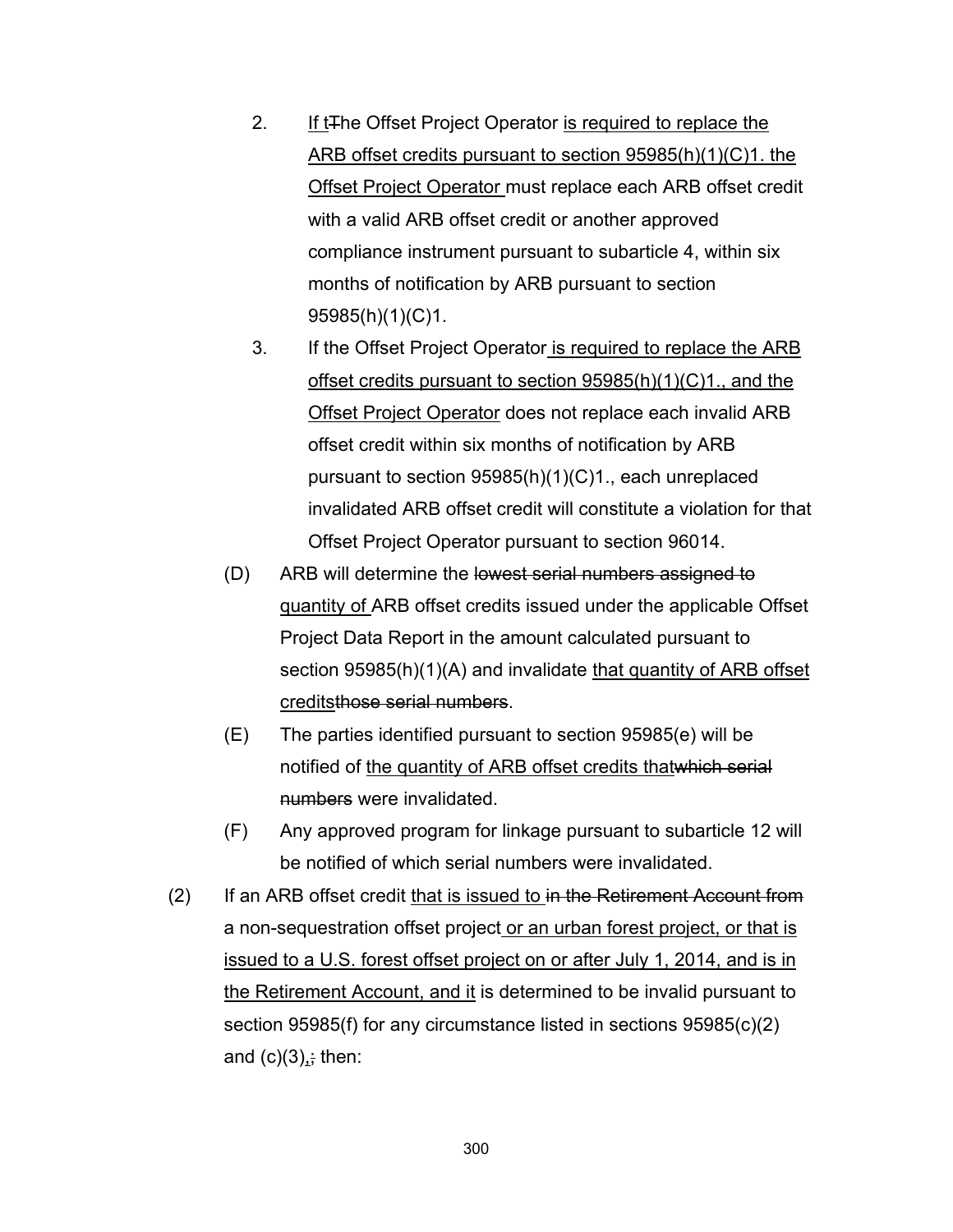- 2. If t<sub>The</sub> Offset Project Operator is required to replace the ARB offset credits pursuant to section 95985(h)(1)(C)1. the Offset Project Operator must replace each ARB offset credit with a valid ARB offset credit or another approved compliance instrument pursuant to subarticle 4, within six months of notification by ARB pursuant to section 95985(h)(1)(C)1.
- 3. If the Offset Project Operator is required to replace the ARB offset credits pursuant to section 95985(h)(1)(C)1., and the Offset Project Operator does not replace each invalid ARB offset credit within six months of notification by ARB pursuant to section 95985(h)(1)(C)1., each unreplaced invalidated ARB offset credit will constitute a violation for that Offset Project Operator pursuant to section 96014.
- (D) ARB will determine the lowest serial numbers assigned to quantity of ARB offset credits issued under the applicable Offset Project Data Report in the amount calculated pursuant to section 95985(h)(1)(A) and invalidate that quantity of ARB offset creditsthose serial numbers.
- (E) The parties identified pursuant to section 95985(e) will be notified of the quantity of ARB offset credits thatwhich serial numbers were invalidated.
- (F) Any approved program for linkage pursuant to subarticle 12 will be notified of which serial numbers were invalidated.
- $(2)$  If an ARB offset credit that is issued to in the Retirement Account from a non-sequestration offset project or an urban forest project, or that is issued to a U.S. forest offset project on or after July 1, 2014, and is in the Retirement Account, and it is determined to be invalid pursuant to section 95985(f) for any circumstance listed in sections 95985(c)(2) and  $(c)(3)$ ; then: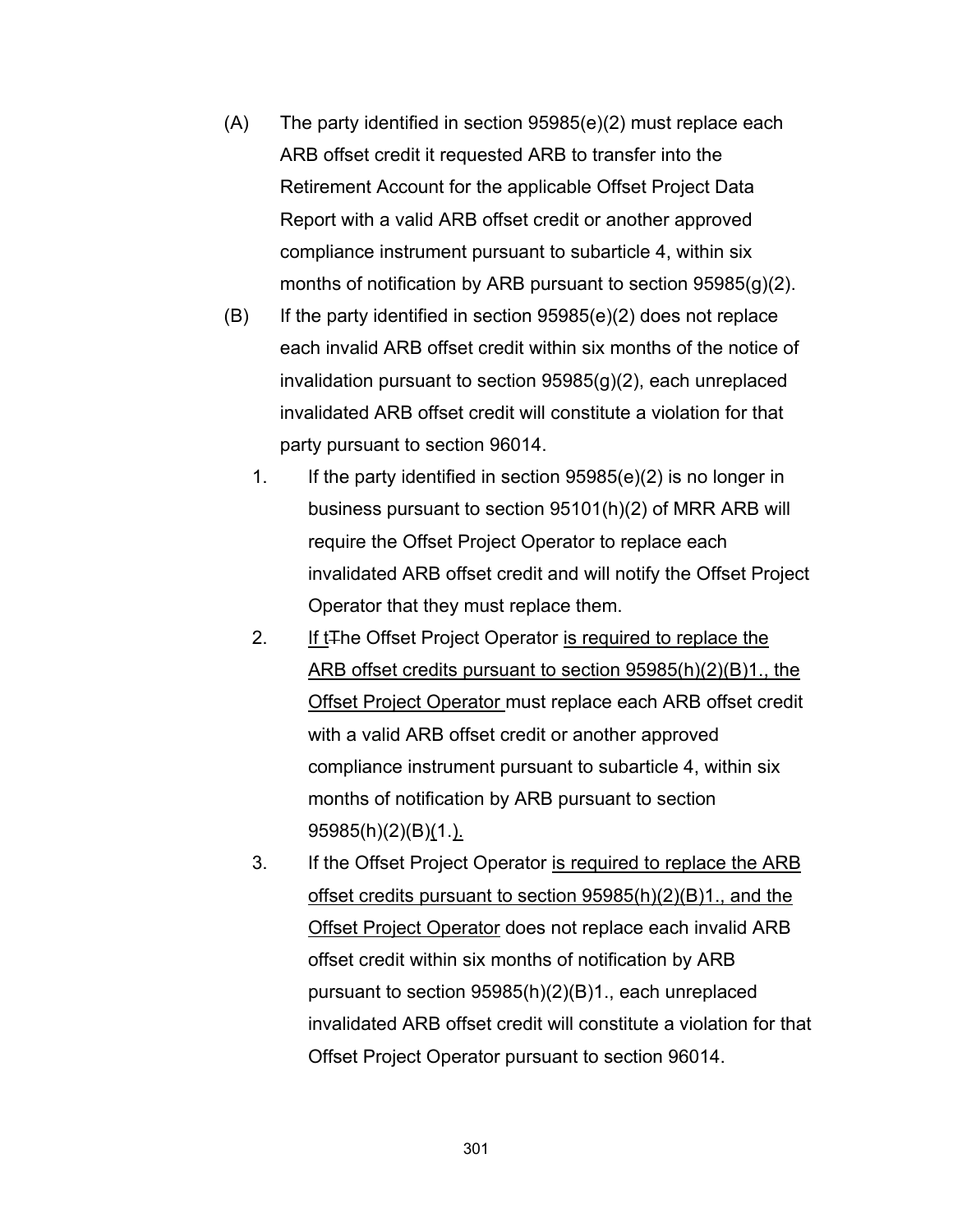- (A) The party identified in section 95985(e)(2) must replace each ARB offset credit it requested ARB to transfer into the Retirement Account for the applicable Offset Project Data Report with a valid ARB offset credit or another approved compliance instrument pursuant to subarticle 4, within six months of notification by ARB pursuant to section 95985(g)(2).
- $(B)$  If the party identified in section 95985(e)(2) does not replace each invalid ARB offset credit within six months of the notice of invalidation pursuant to section 95985(g)(2), each unreplaced invalidated ARB offset credit will constitute a violation for that party pursuant to section 96014.
	- 1. If the party identified in section 95985(e)(2) is no longer in business pursuant to section 95101(h)(2) of MRR ARB will require the Offset Project Operator to replace each invalidated ARB offset credit and will notify the Offset Project Operator that they must replace them.
	- 2. If t<sub>The</sub> Offset Project Operator is required to replace the ARB offset credits pursuant to section 95985(h)(2)(B)1., the Offset Project Operator must replace each ARB offset credit with a valid ARB offset credit or another approved compliance instrument pursuant to subarticle 4, within six months of notification by ARB pursuant to section 95985(h)(2)(B)(1.).
	- 3. If the Offset Project Operator is required to replace the ARB offset credits pursuant to section 95985(h)(2)(B)1., and the Offset Project Operator does not replace each invalid ARB offset credit within six months of notification by ARB pursuant to section 95985(h)(2)(B)1., each unreplaced invalidated ARB offset credit will constitute a violation for that Offset Project Operator pursuant to section 96014.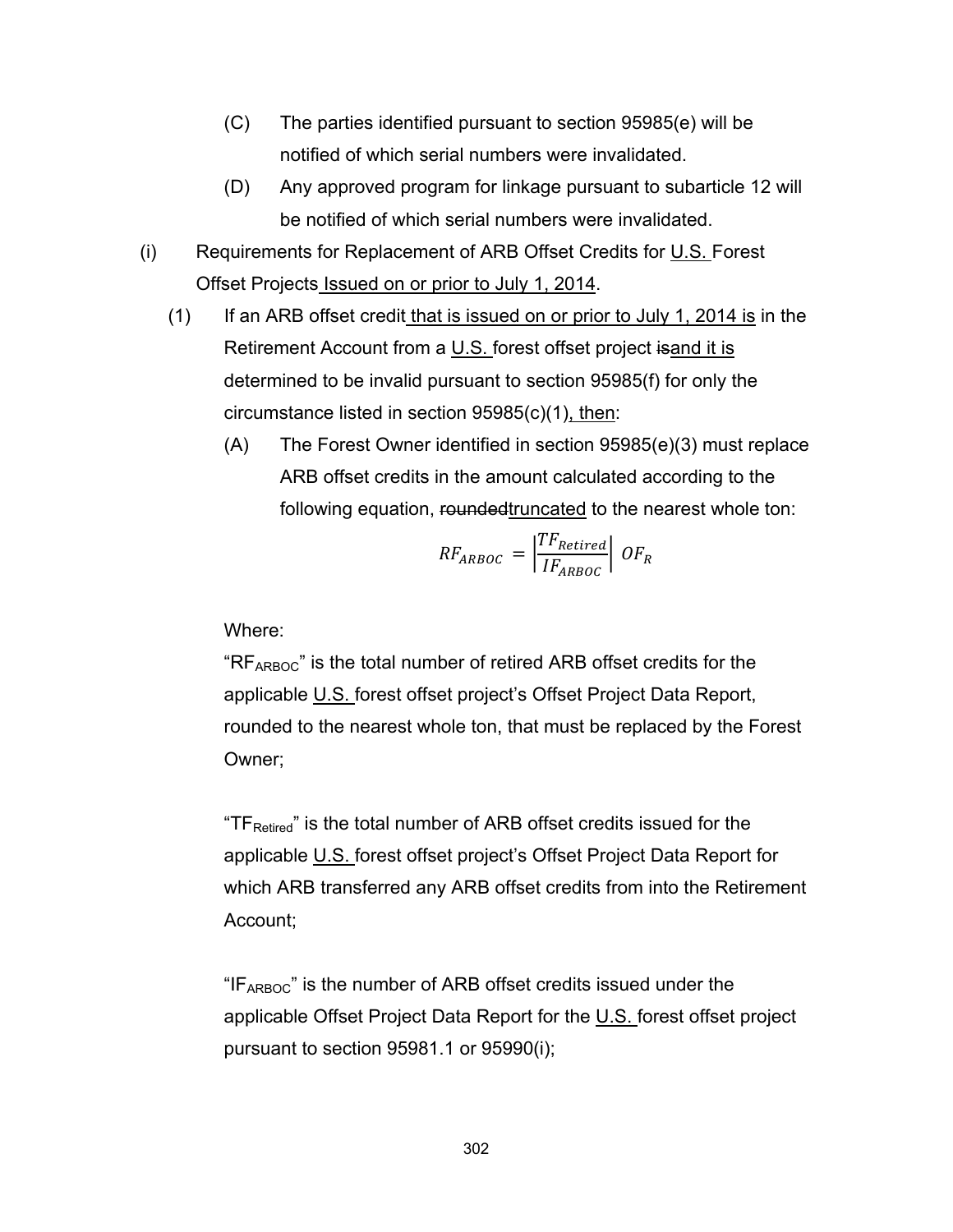- (C) The parties identified pursuant to section 95985(e) will be notified of which serial numbers were invalidated.
- (D) Any approved program for linkage pursuant to subarticle 12 will be notified of which serial numbers were invalidated.
- (i) Requirements for Replacement of ARB Offset Credits for U.S. Forest Offset Projects Issued on or prior to July 1, 2014.
	- (1) If an ARB offset credit that is issued on or prior to July 1, 2014 is in the Retirement Account from a U.S. forest offset project is and it is determined to be invalid pursuant to section 95985(f) for only the circumstance listed in section 95985(c)(1), then:
		- (A) The Forest Owner identified in section 95985(e)(3) must replace ARB offset credits in the amount calculated according to the following equation, rounded truncated to the nearest whole ton:

$$
RF_{ARBOC} = \left| \frac{TF_{Retired}}{IF_{ARBOC}} \right| \, OF_R
$$

Where:

" $RF_{ARBOC}$ " is the total number of retired ARB offset credits for the applicable U.S. forest offset project's Offset Project Data Report, rounded to the nearest whole ton, that must be replaced by the Forest Owner;

"TF<sub>Retired</sub>" is the total number of ARB offset credits issued for the applicable U.S. forest offset project's Offset Project Data Report for which ARB transferred any ARB offset credits from into the Retirement Account;

" $IF_{ARBOC}$ " is the number of ARB offset credits issued under the applicable Offset Project Data Report for the U.S. forest offset project pursuant to section 95981.1 or 95990(i);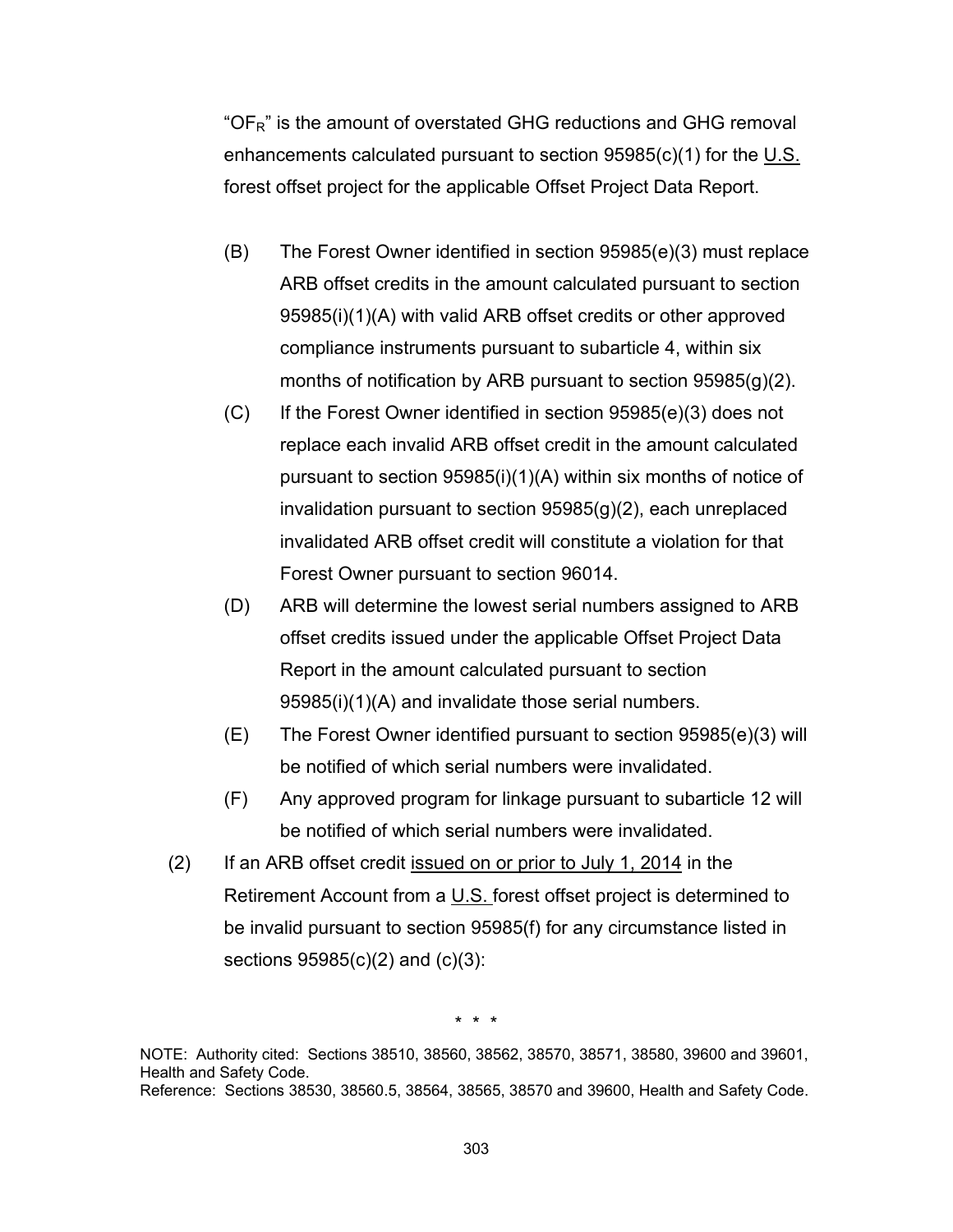"OF<sub>R</sub>" is the amount of overstated GHG reductions and GHG removal enhancements calculated pursuant to section 95985(c)(1) for the U.S. forest offset project for the applicable Offset Project Data Report.

- (B) The Forest Owner identified in section 95985(e)(3) must replace ARB offset credits in the amount calculated pursuant to section 95985(i)(1)(A) with valid ARB offset credits or other approved compliance instruments pursuant to subarticle 4, within six months of notification by ARB pursuant to section 95985(g)(2).
- (C) If the Forest Owner identified in section 95985(e)(3) does not replace each invalid ARB offset credit in the amount calculated pursuant to section 95985(i)(1)(A) within six months of notice of invalidation pursuant to section 95985(g)(2), each unreplaced invalidated ARB offset credit will constitute a violation for that Forest Owner pursuant to section 96014.
- (D) ARB will determine the lowest serial numbers assigned to ARB offset credits issued under the applicable Offset Project Data Report in the amount calculated pursuant to section 95985(i)(1)(A) and invalidate those serial numbers.
- (E) The Forest Owner identified pursuant to section 95985(e)(3) will be notified of which serial numbers were invalidated.
- (F) Any approved program for linkage pursuant to subarticle 12 will be notified of which serial numbers were invalidated.
- (2) If an ARB offset credit issued on or prior to July 1, 2014 in the Retirement Account from a U.S. forest offset project is determined to be invalid pursuant to section 95985(f) for any circumstance listed in sections 95985(c)(2) and (c)(3):

\* \* \*

NOTE: Authority cited: Sections 38510, 38560, 38562, 38570, 38571, 38580, 39600 and 39601, Health and Safety Code. Reference: Sections 38530, 38560.5, 38564, 38565, 38570 and 39600, Health and Safety Code.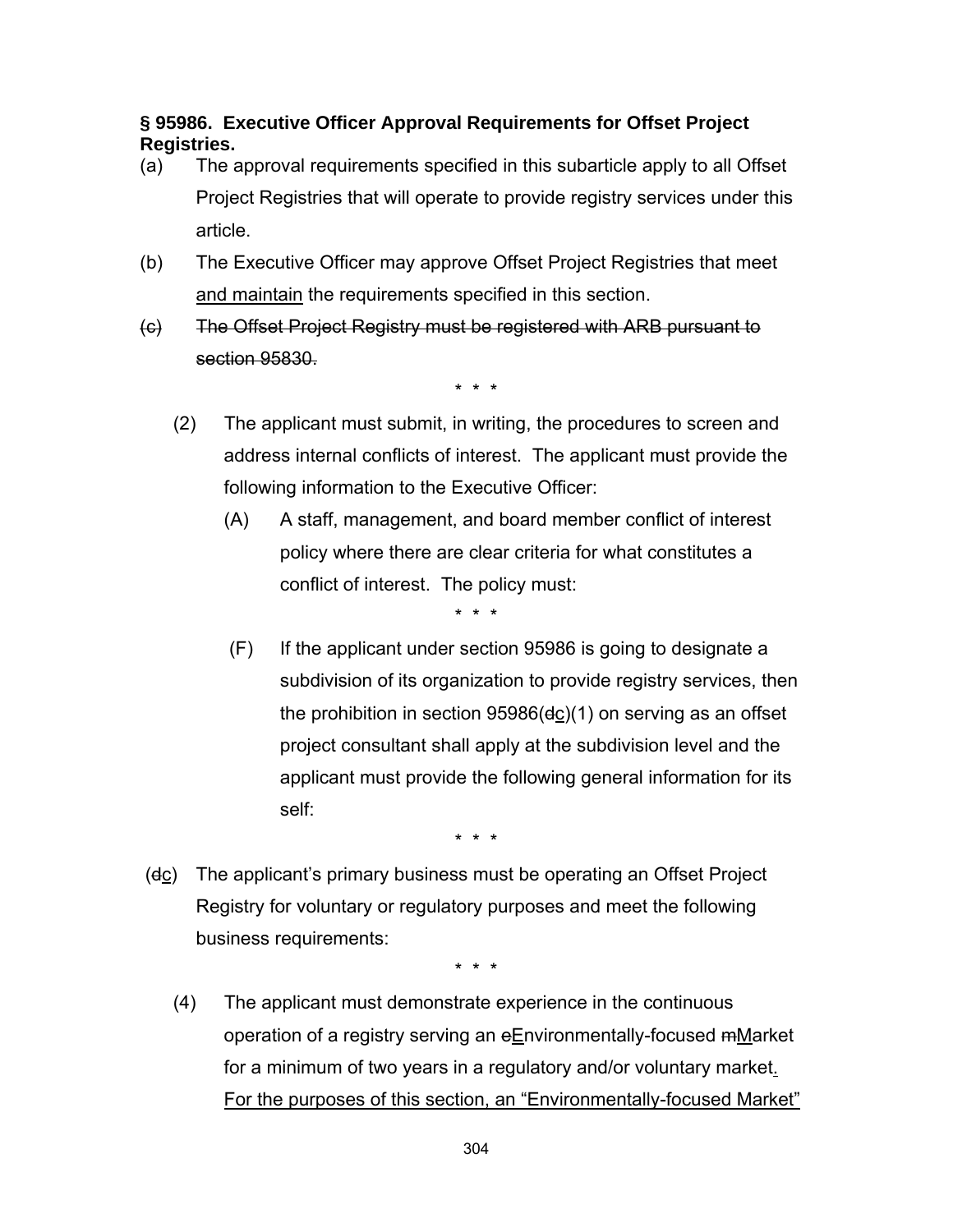### **§ 95986. Executive Officer Approval Requirements for Offset Project Registries.**

- (a) The approval requirements specified in this subarticle apply to all Offset Project Registries that will operate to provide registry services under this article.
- (b) The Executive Officer may approve Offset Project Registries that meet and maintain the requirements specified in this section.
- (c) The Offset Project Registry must be registered with ARB pursuant to section 95830.

\* \* \*

- (2) The applicant must submit, in writing, the procedures to screen and address internal conflicts of interest. The applicant must provide the following information to the Executive Officer:
	- (A) A staff, management, and board member conflict of interest policy where there are clear criteria for what constitutes a conflict of interest. The policy must:

\* \* \*

 (F) If the applicant under section 95986 is going to designate a subdivision of its organization to provide registry services, then the prohibition in section 95986(dc)(1) on serving as an offset project consultant shall apply at the subdivision level and the applicant must provide the following general information for its self:

\* \* \*

 (dc) The applicant's primary business must be operating an Offset Project Registry for voluntary or regulatory purposes and meet the following business requirements:

\* \* \*

 (4) The applicant must demonstrate experience in the continuous operation of a registry serving an eEnvironmentally-focused mMarket for a minimum of two years in a regulatory and/or voluntary market. For the purposes of this section, an "Environmentally-focused Market"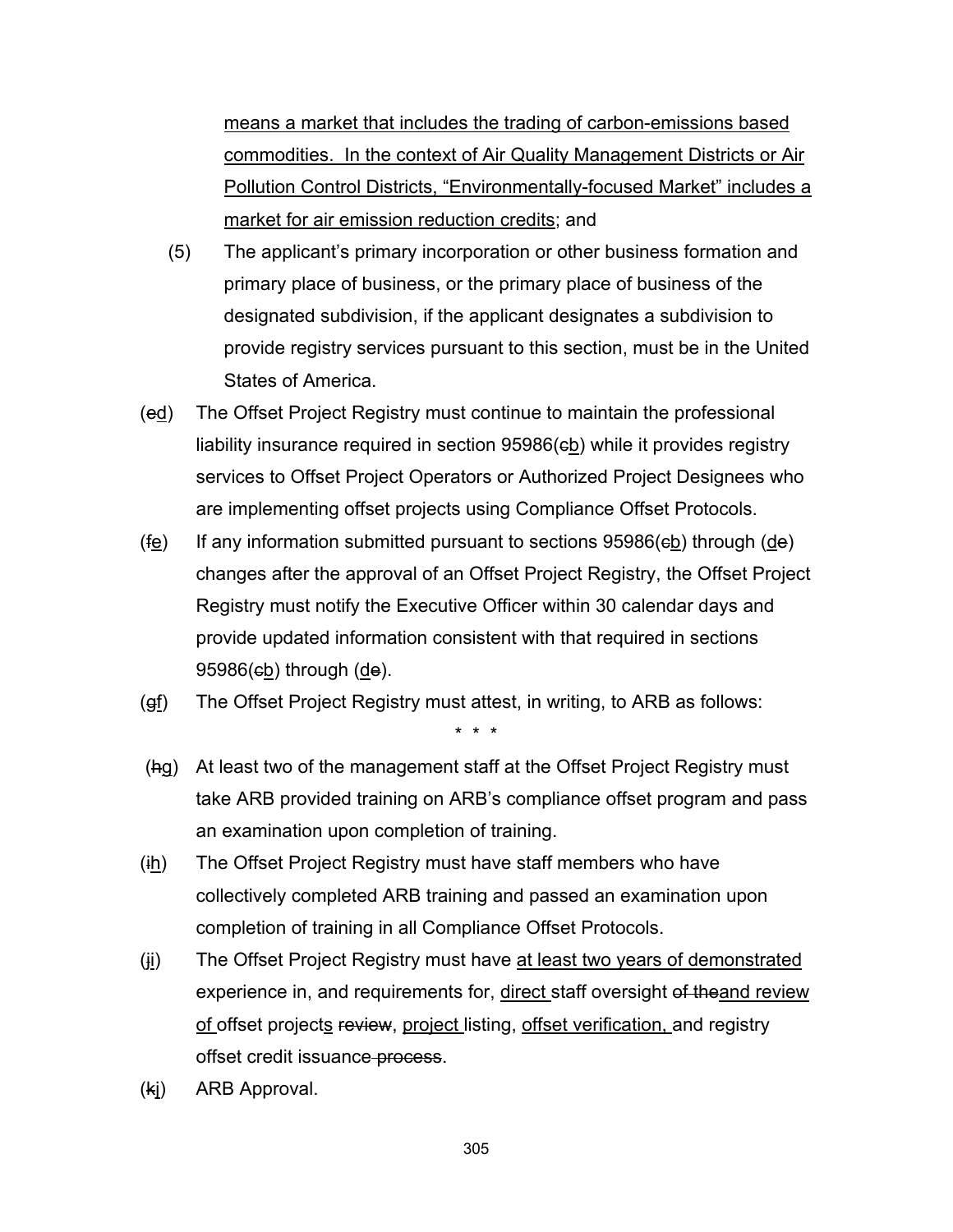means a market that includes the trading of carbon-emissions based commodities. In the context of Air Quality Management Districts or Air Pollution Control Districts, "Environmentally-focused Market" includes a market for air emission reduction credits; and

- (5) The applicant's primary incorporation or other business formation and primary place of business, or the primary place of business of the designated subdivision, if the applicant designates a subdivision to provide registry services pursuant to this section, must be in the United States of America.
- (ed) The Offset Project Registry must continue to maintain the professional liability insurance required in section 95986(eb) while it provides registry services to Offset Project Operators or Authorized Project Designees who are implementing offset projects using Compliance Offset Protocols.
- (fe) If any information submitted pursuant to sections  $95986$ (eb) through (de) changes after the approval of an Offset Project Registry, the Offset Project Registry must notify the Executive Officer within 30 calendar days and provide updated information consistent with that required in sections  $95986$ ( $eb$ ) through ( $de$ ).
- $(gf)$  The Offset Project Registry must attest, in writing, to ARB as follows:
- (hg) At least two of the management staff at the Offset Project Registry must take ARB provided training on ARB's compliance offset program and pass an examination upon completion of training.

- $(ih)$  The Offset Project Registry must have staff members who have collectively completed ARB training and passed an examination upon completion of training in all Compliance Offset Protocols.
- (ii) The Offset Project Registry must have at least two years of demonstrated experience in, and requirements for, direct staff oversight of theand review of offset projects review, project listing, offset verification, and registry offset credit issuance process.
- (kj) ARB Approval.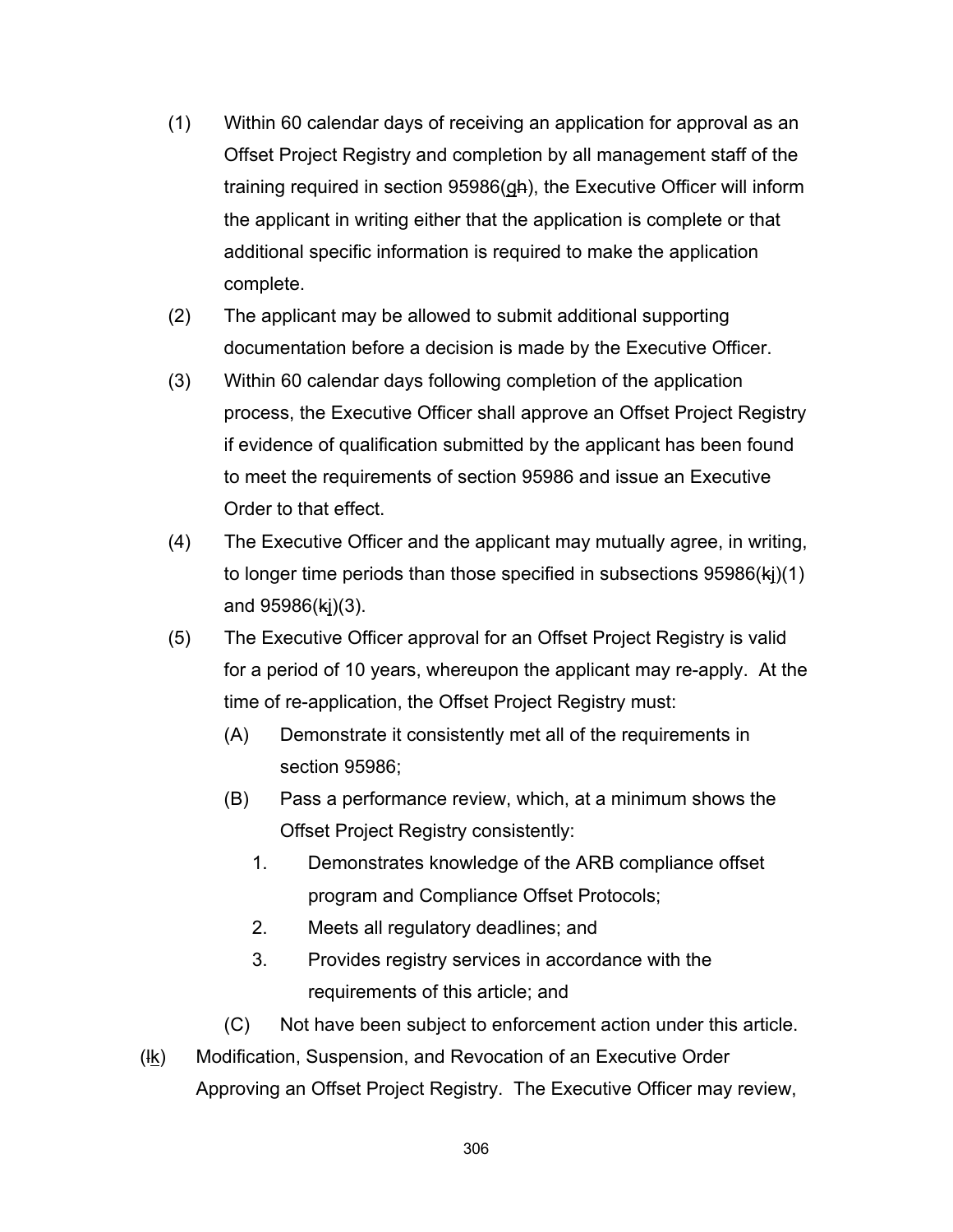- (1) Within 60 calendar days of receiving an application for approval as an Offset Project Registry and completion by all management staff of the training required in section 95986(gh), the Executive Officer will inform the applicant in writing either that the application is complete or that additional specific information is required to make the application complete.
- (2) The applicant may be allowed to submit additional supporting documentation before a decision is made by the Executive Officer.
- (3) Within 60 calendar days following completion of the application process, the Executive Officer shall approve an Offset Project Registry if evidence of qualification submitted by the applicant has been found to meet the requirements of section 95986 and issue an Executive Order to that effect.
- (4) The Executive Officer and the applicant may mutually agree, in writing, to longer time periods than those specified in subsections  $95986(ki)(1)$ and 95986(kj)(3).
- (5) The Executive Officer approval for an Offset Project Registry is valid for a period of 10 years, whereupon the applicant may re-apply. At the time of re-application, the Offset Project Registry must:
	- (A) Demonstrate it consistently met all of the requirements in section 95986;
	- (B) Pass a performance review, which, at a minimum shows the Offset Project Registry consistently:
		- 1. Demonstrates knowledge of the ARB compliance offset program and Compliance Offset Protocols;
		- 2. Meets all regulatory deadlines; and
		- 3. Provides registry services in accordance with the requirements of this article; and
	- (C) Not have been subject to enforcement action under this article.
- $(l_k)$  Modification, Suspension, and Revocation of an Executive Order Approving an Offset Project Registry. The Executive Officer may review,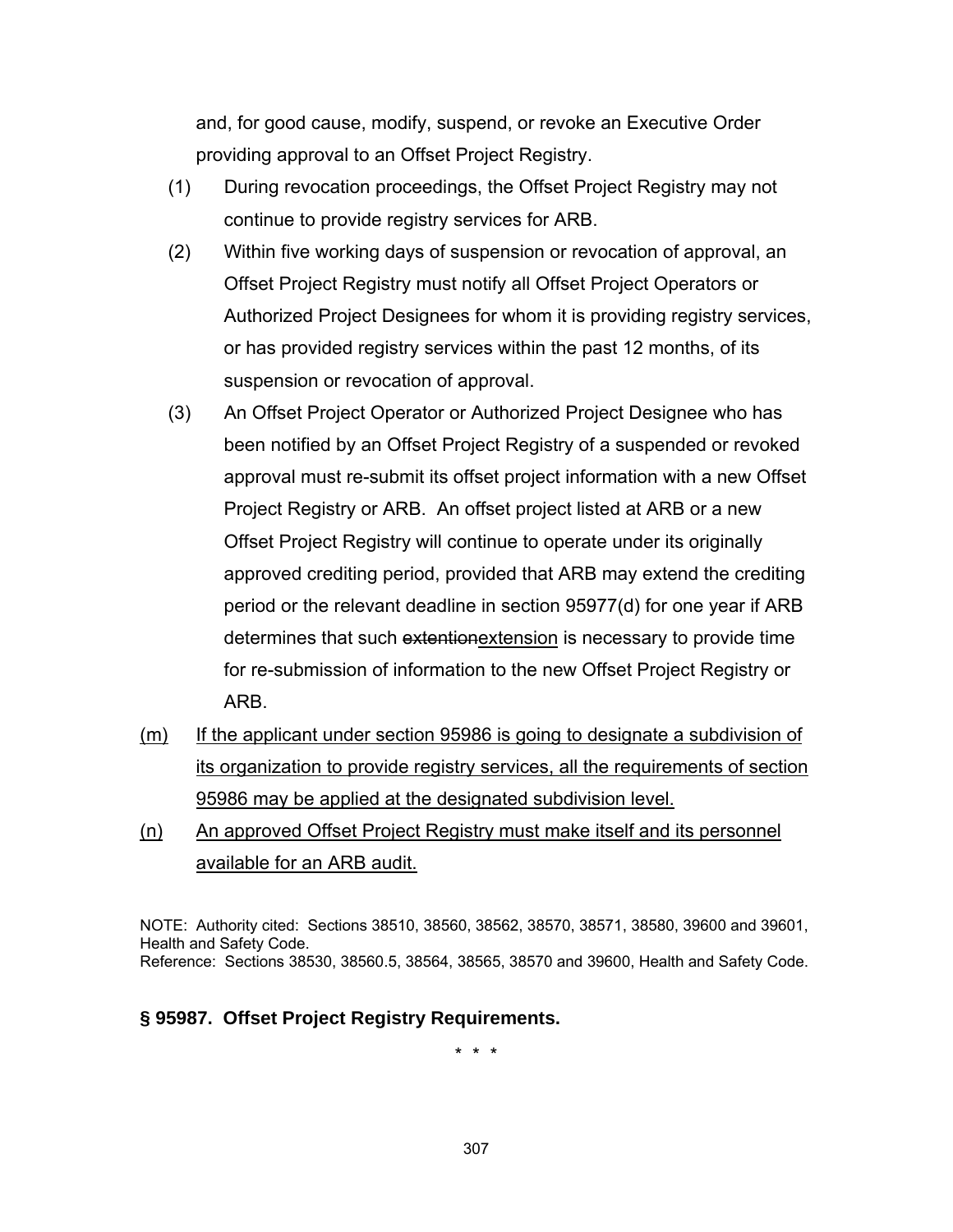and, for good cause, modify, suspend, or revoke an Executive Order providing approval to an Offset Project Registry.

- (1) During revocation proceedings, the Offset Project Registry may not continue to provide registry services for ARB.
- (2) Within five working days of suspension or revocation of approval, an Offset Project Registry must notify all Offset Project Operators or Authorized Project Designees for whom it is providing registry services, or has provided registry services within the past 12 months, of its suspension or revocation of approval.
- (3) An Offset Project Operator or Authorized Project Designee who has been notified by an Offset Project Registry of a suspended or revoked approval must re-submit its offset project information with a new Offset Project Registry or ARB. An offset project listed at ARB or a new Offset Project Registry will continue to operate under its originally approved crediting period, provided that ARB may extend the crediting period or the relevant deadline in section 95977(d) for one year if ARB determines that such extentionextension is necessary to provide time for re-submission of information to the new Offset Project Registry or ARB.
- (m) If the applicant under section 95986 is going to designate a subdivision of its organization to provide registry services, all the requirements of section 95986 may be applied at the designated subdivision level.
- (n) An approved Offset Project Registry must make itself and its personnel available for an ARB audit.

NOTE: Authority cited: Sections 38510, 38560, 38562, 38570, 38571, 38580, 39600 and 39601, Health and Safety Code. Reference: Sections 38530, 38560.5, 38564, 38565, 38570 and 39600, Health and Safety Code.

#### **§ 95987. Offset Project Registry Requirements.**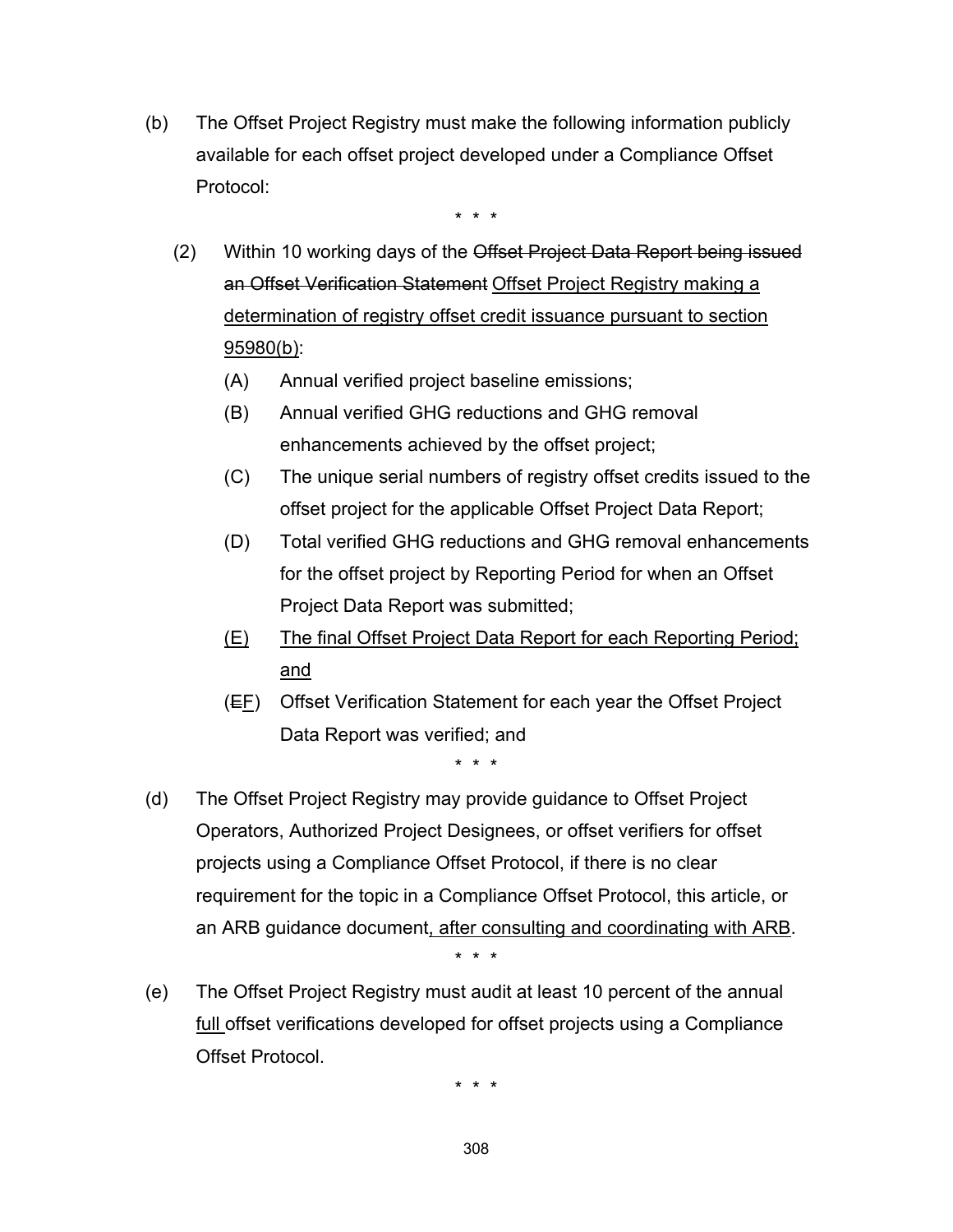(b) The Offset Project Registry must make the following information publicly available for each offset project developed under a Compliance Offset Protocol:

\* \* \*

- (2) Within 10 working days of the Offset Project Data Report being issued an Offset Verification Statement Offset Project Registry making a determination of registry offset credit issuance pursuant to section 95980(b):
	- (A) Annual verified project baseline emissions;
	- (B) Annual verified GHG reductions and GHG removal enhancements achieved by the offset project;
	- (C) The unique serial numbers of registry offset credits issued to the offset project for the applicable Offset Project Data Report;
	- (D) Total verified GHG reductions and GHG removal enhancements for the offset project by Reporting Period for when an Offset Project Data Report was submitted;
	- (E) The final Offset Project Data Report for each Reporting Period; and
	- $(E_F)$  Offset Verification Statement for each year the Offset Project Data Report was verified; and

\* \* \*

 (d) The Offset Project Registry may provide guidance to Offset Project Operators, Authorized Project Designees, or offset verifiers for offset projects using a Compliance Offset Protocol, if there is no clear requirement for the topic in a Compliance Offset Protocol, this article, or an ARB guidance document, after consulting and coordinating with ARB.

\* \* \*

 (e) The Offset Project Registry must audit at least 10 percent of the annual full offset verifications developed for offset projects using a Compliance Offset Protocol.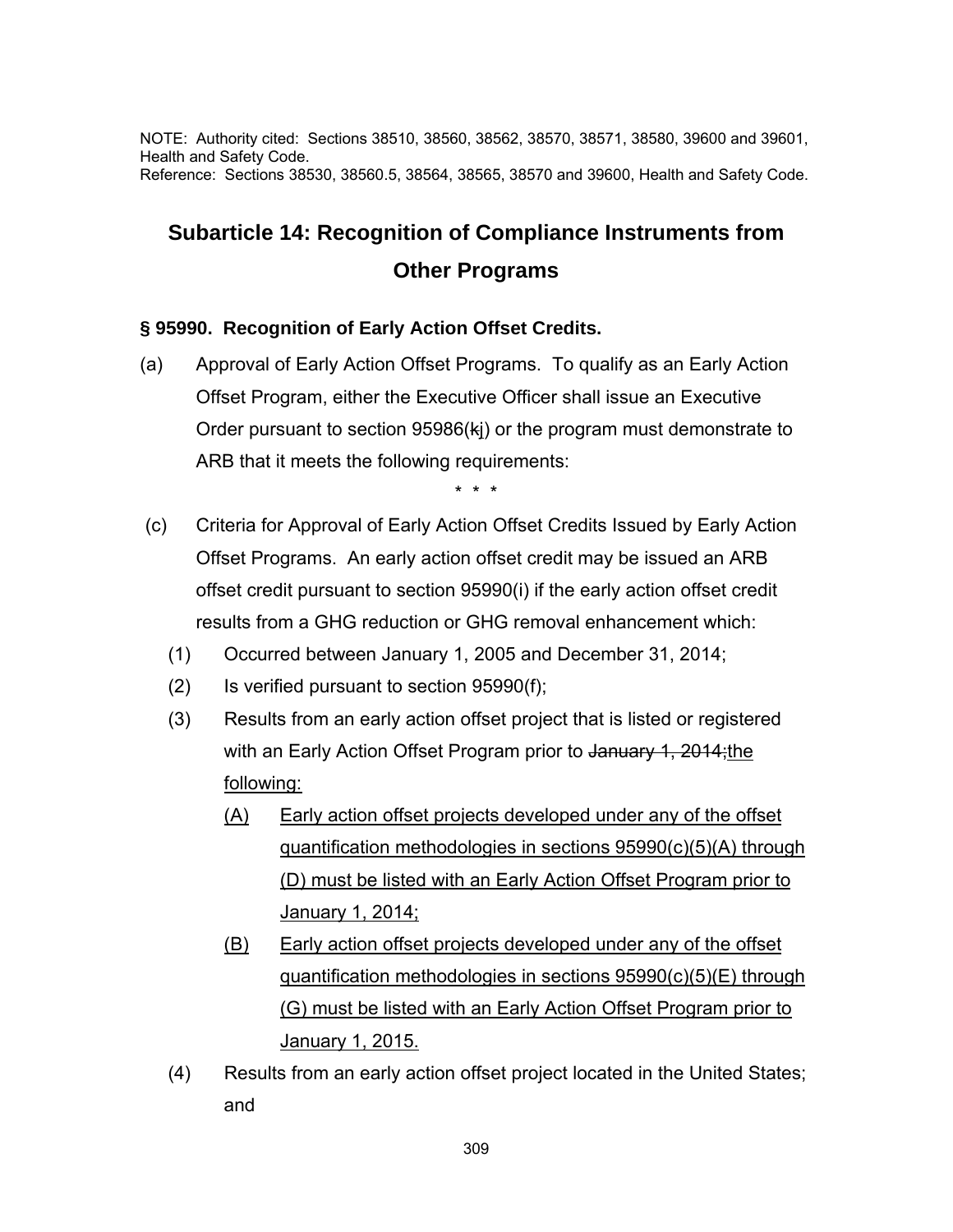NOTE: Authority cited: Sections 38510, 38560, 38562, 38570, 38571, 38580, 39600 and 39601, Health and Safety Code. Reference: Sections 38530, 38560.5, 38564, 38565, 38570 and 39600, Health and Safety Code.

# **Subarticle 14: Recognition of Compliance Instruments from Other Programs**

#### **§ 95990. Recognition of Early Action Offset Credits.**

(a) Approval of Early Action Offset Programs. To qualify as an Early Action Offset Program, either the Executive Officer shall issue an Executive Order pursuant to section 95986(kj) or the program must demonstrate to ARB that it meets the following requirements:

- (c) Criteria for Approval of Early Action Offset Credits Issued by Early Action Offset Programs. An early action offset credit may be issued an ARB offset credit pursuant to section 95990(i) if the early action offset credit results from a GHG reduction or GHG removal enhancement which:
	- (1) Occurred between January 1, 2005 and December 31, 2014;
	- (2) Is verified pursuant to section 95990(f);
	- (3) Results from an early action offset project that is listed or registered with an Early Action Offset Program prior to January 1, 2014; the following:
		- (A) Early action offset projects developed under any of the offset quantification methodologies in sections 95990(c)(5)(A) through (D) must be listed with an Early Action Offset Program prior to January 1, 2014;
		- (B) Early action offset projects developed under any of the offset quantification methodologies in sections 95990(c)(5)(E) through (G) must be listed with an Early Action Offset Program prior to January 1, 2015.
	- (4) Results from an early action offset project located in the United States; and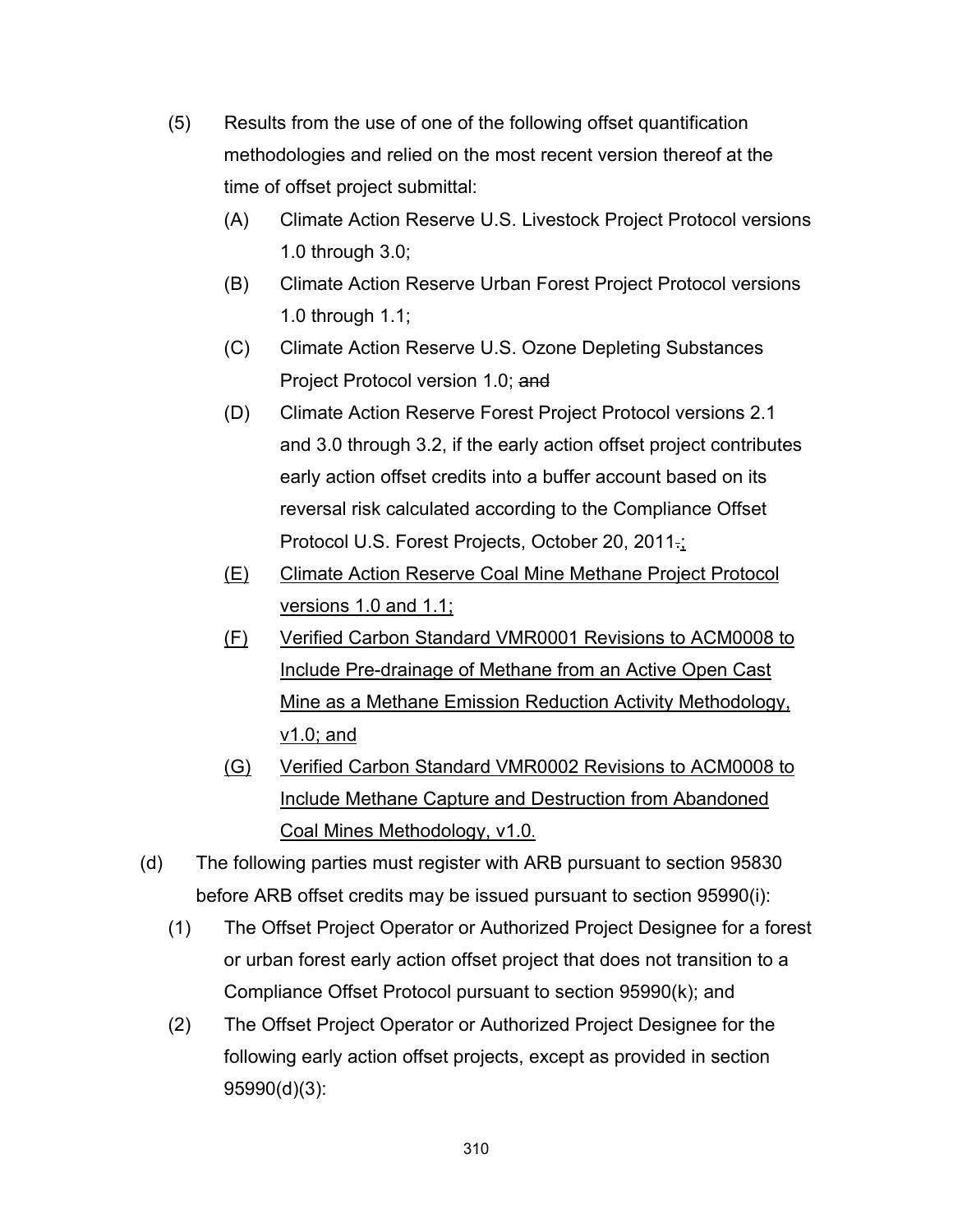- (5) Results from the use of one of the following offset quantification methodologies and relied on the most recent version thereof at the time of offset project submittal:
	- (A) Climate Action Reserve U.S. Livestock Project Protocol versions 1.0 through 3.0;
	- (B) Climate Action Reserve Urban Forest Project Protocol versions 1.0 through 1.1;
	- (C) Climate Action Reserve U.S. Ozone Depleting Substances Project Protocol version 1.0; and
	- (D) Climate Action Reserve Forest Project Protocol versions 2.1 and 3.0 through 3.2, if the early action offset project contributes early action offset credits into a buffer account based on its reversal risk calculated according to the Compliance Offset Protocol U.S. Forest Projects, October 20, 2011.;
	- (E) Climate Action Reserve Coal Mine Methane Project Protocol versions 1.0 and 1.1;
	- (F) Verified Carbon Standard VMR0001 Revisions to ACM0008 to Include Pre-drainage of Methane from an Active Open Cast Mine as a Methane Emission Reduction Activity Methodology, v1.0; and
	- (G) Verified Carbon Standard VMR0002 Revisions to ACM0008 to Include Methane Capture and Destruction from Abandoned Coal Mines Methodology, v1.0.
- (d) The following parties must register with ARB pursuant to section 95830 before ARB offset credits may be issued pursuant to section 95990(i):
	- (1) The Offset Project Operator or Authorized Project Designee for a forest or urban forest early action offset project that does not transition to a Compliance Offset Protocol pursuant to section 95990(k); and
	- (2) The Offset Project Operator or Authorized Project Designee for the following early action offset projects, except as provided in section 95990(d)(3):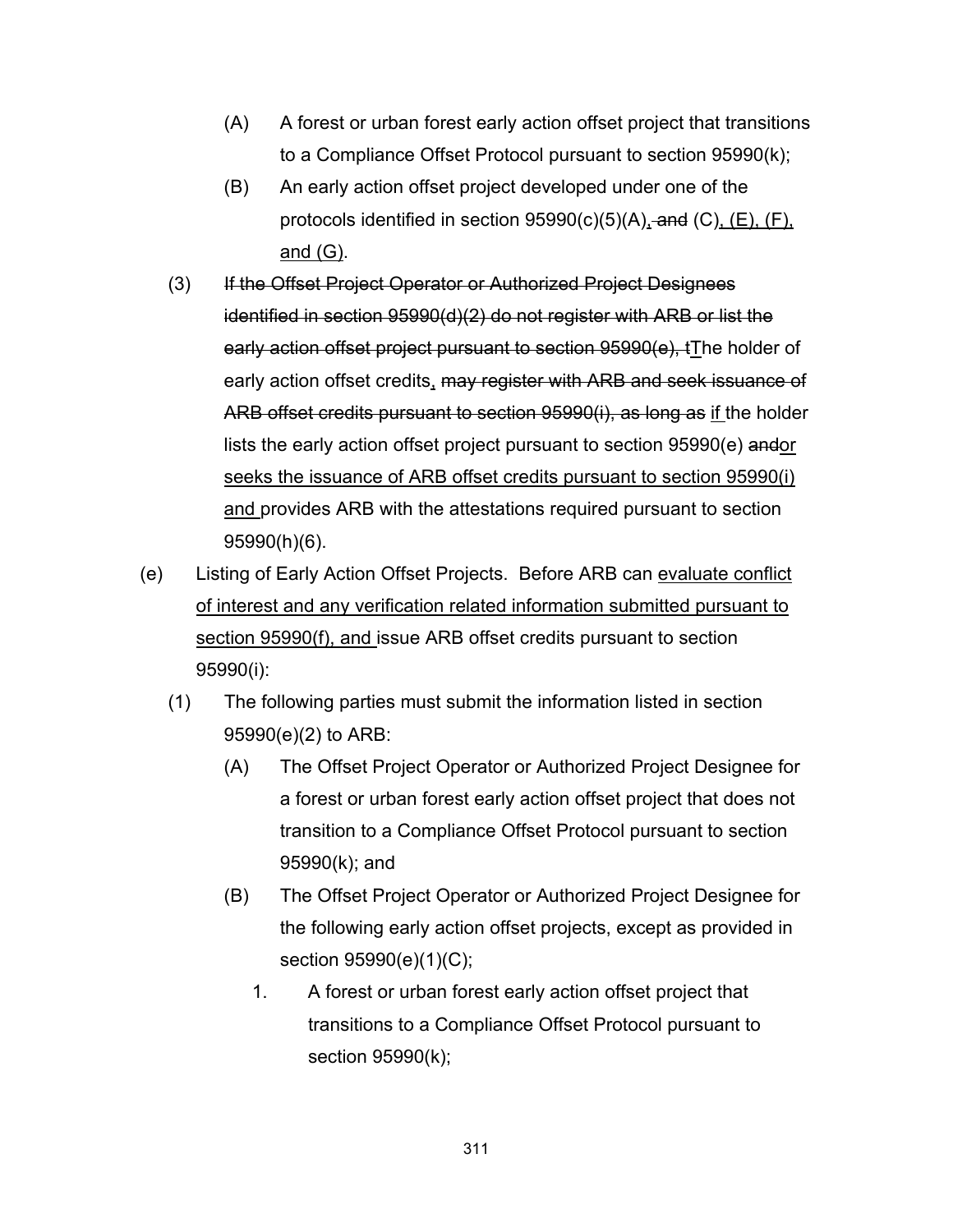- (A) A forest or urban forest early action offset project that transitions to a Compliance Offset Protocol pursuant to section 95990(k);
- (B) An early action offset project developed under one of the protocols identified in section  $95990(c)(5)(A)$ , and  $(C)$ ,  $(E)$ ,  $(F)$ , and (G).
- (3) If the Offset Project Operator or Authorized Project Designees identified in section 95990(d)(2) do not register with ARB or list the early action offset project pursuant to section 95990(e), tThe holder of early action offset credits, may register with ARB and seek issuance of ARB offset credits pursuant to section 95990(i), as long as if the holder lists the early action offset project pursuant to section 95990(e) andor seeks the issuance of ARB offset credits pursuant to section 95990(i) and provides ARB with the attestations required pursuant to section 95990(h)(6).
- (e) Listing of Early Action Offset Projects. Before ARB can evaluate conflict of interest and any verification related information submitted pursuant to section 95990(f), and issue ARB offset credits pursuant to section 95990(i):
	- (1) The following parties must submit the information listed in section 95990(e)(2) to ARB:
		- (A) The Offset Project Operator or Authorized Project Designee for a forest or urban forest early action offset project that does not transition to a Compliance Offset Protocol pursuant to section 95990(k); and
		- (B) The Offset Project Operator or Authorized Project Designee for the following early action offset projects, except as provided in section 95990(e)(1)(C);
			- 1. A forest or urban forest early action offset project that transitions to a Compliance Offset Protocol pursuant to section 95990(k);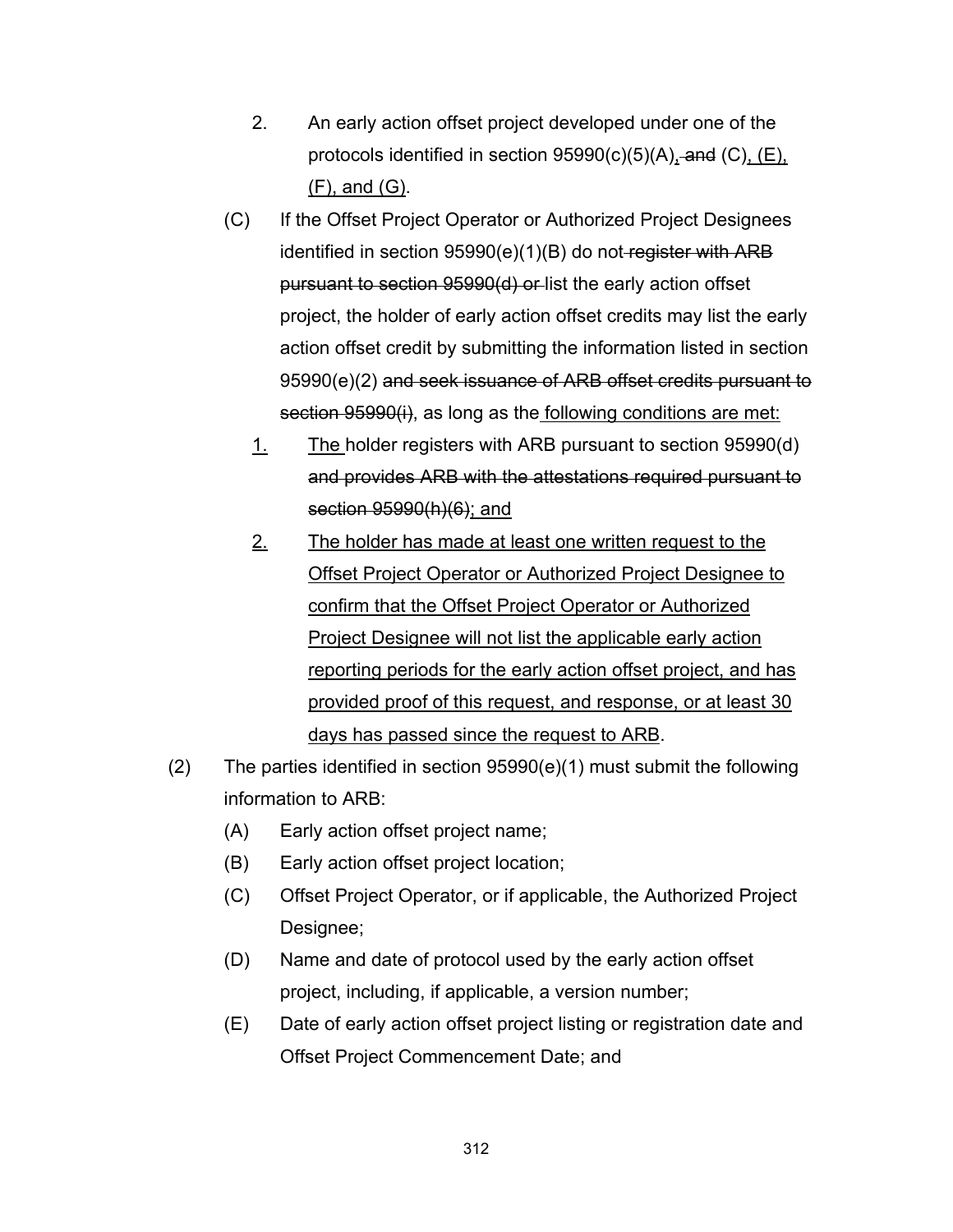- 2. An early action offset project developed under one of the protocols identified in section  $95990(c)(5)(A)$ , and  $(C)$ ,  $(E)$ , (F), and (G).
- (C) If the Offset Project Operator or Authorized Project Designees identified in section 95990(e)(1)(B) do not register with ARB pursuant to section 95990(d) or list the early action offset project, the holder of early action offset credits may list the early action offset credit by submitting the information listed in section 95990(e)(2) and seek issuance of ARB offset credits pursuant to section 95990(i), as long as the following conditions are met:
	- 1. The holder registers with ARB pursuant to section 95990(d) and provides ARB with the attestations required pursuant to section 95990(h)(6); and
	- 2. The holder has made at least one written request to the Offset Project Operator or Authorized Project Designee to confirm that the Offset Project Operator or Authorized Project Designee will not list the applicable early action reporting periods for the early action offset project, and has provided proof of this request, and response, or at least 30 days has passed since the request to ARB.
- (2) The parties identified in section 95990(e)(1) must submit the following information to ARB:
	- (A) Early action offset project name;
	- (B) Early action offset project location;
	- (C) Offset Project Operator, or if applicable, the Authorized Project Designee;
	- (D) Name and date of protocol used by the early action offset project, including, if applicable, a version number;
	- (E) Date of early action offset project listing or registration date and Offset Project Commencement Date; and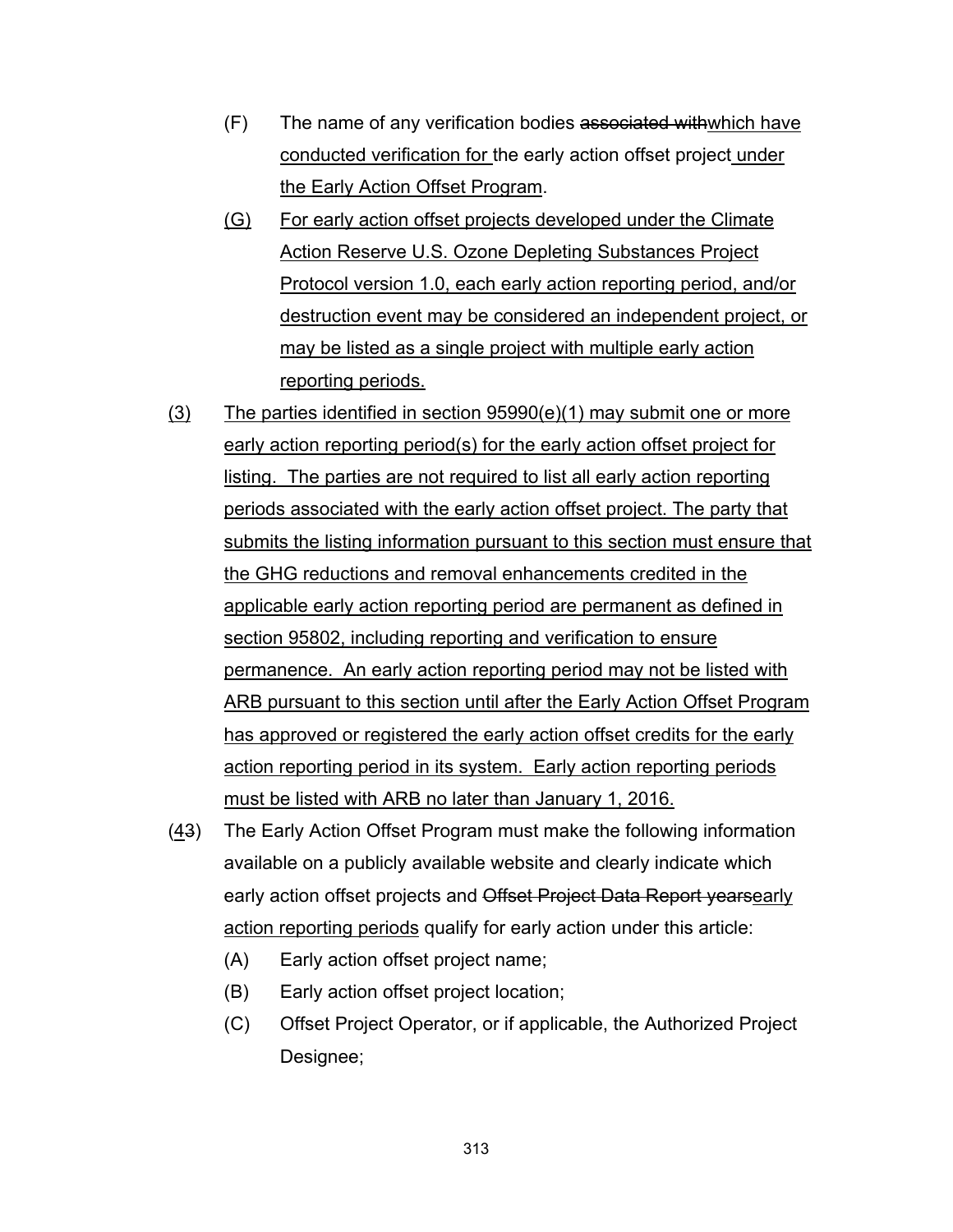- (F) The name of any verification bodies associated withwhich have conducted verification for the early action offset project under the Early Action Offset Program.
- (G) For early action offset projects developed under the Climate Action Reserve U.S. Ozone Depleting Substances Project Protocol version 1.0, each early action reporting period, and/or destruction event may be considered an independent project, or may be listed as a single project with multiple early action reporting periods.
- $(3)$  The parties identified in section 95990(e)(1) may submit one or more early action reporting period(s) for the early action offset project for listing. The parties are not required to list all early action reporting periods associated with the early action offset project. The party that submits the listing information pursuant to this section must ensure that the GHG reductions and removal enhancements credited in the applicable early action reporting period are permanent as defined in section 95802, including reporting and verification to ensure permanence. An early action reporting period may not be listed with ARB pursuant to this section until after the Early Action Offset Program has approved or registered the early action offset credits for the early action reporting period in its system. Early action reporting periods must be listed with ARB no later than January 1, 2016.
- (43) The Early Action Offset Program must make the following information available on a publicly available website and clearly indicate which early action offset projects and Offset Project Data Report yearsearly action reporting periods qualify for early action under this article:
	- (A) Early action offset project name;
	- (B) Early action offset project location;
	- (C) Offset Project Operator, or if applicable, the Authorized Project Designee;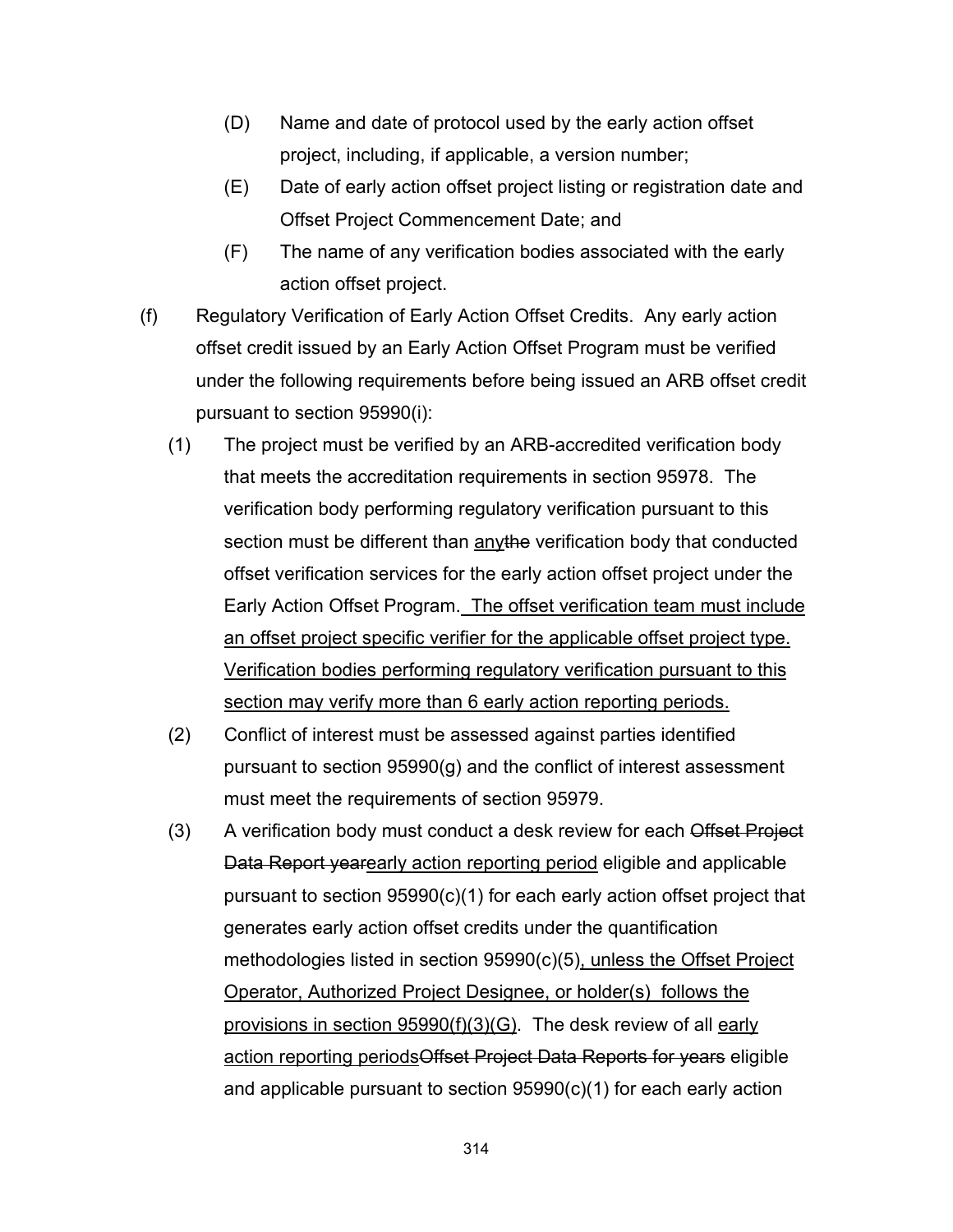- (D) Name and date of protocol used by the early action offset project, including, if applicable, a version number;
- (E) Date of early action offset project listing or registration date and Offset Project Commencement Date; and
- (F) The name of any verification bodies associated with the early action offset project.
- (f) Regulatory Verification of Early Action Offset Credits. Any early action offset credit issued by an Early Action Offset Program must be verified under the following requirements before being issued an ARB offset credit pursuant to section 95990(i):
	- (1) The project must be verified by an ARB-accredited verification body that meets the accreditation requirements in section 95978. The verification body performing regulatory verification pursuant to this section must be different than anythe verification body that conducted offset verification services for the early action offset project under the Early Action Offset Program. The offset verification team must include an offset project specific verifier for the applicable offset project type. Verification bodies performing regulatory verification pursuant to this section may verify more than 6 early action reporting periods.
	- (2) Conflict of interest must be assessed against parties identified pursuant to section 95990(g) and the conflict of interest assessment must meet the requirements of section 95979.
	- (3) A verification body must conduct a desk review for each Offset Project Data Report yearearly action reporting period eligible and applicable pursuant to section 95990(c)(1) for each early action offset project that generates early action offset credits under the quantification methodologies listed in section 95990(c)(5), unless the Offset Project Operator, Authorized Project Designee, or holder(s) follows the provisions in section 95990(f)(3)(G). The desk review of all early action reporting periodsOffset Project Data Reports for years eligible and applicable pursuant to section 95990(c)(1) for each early action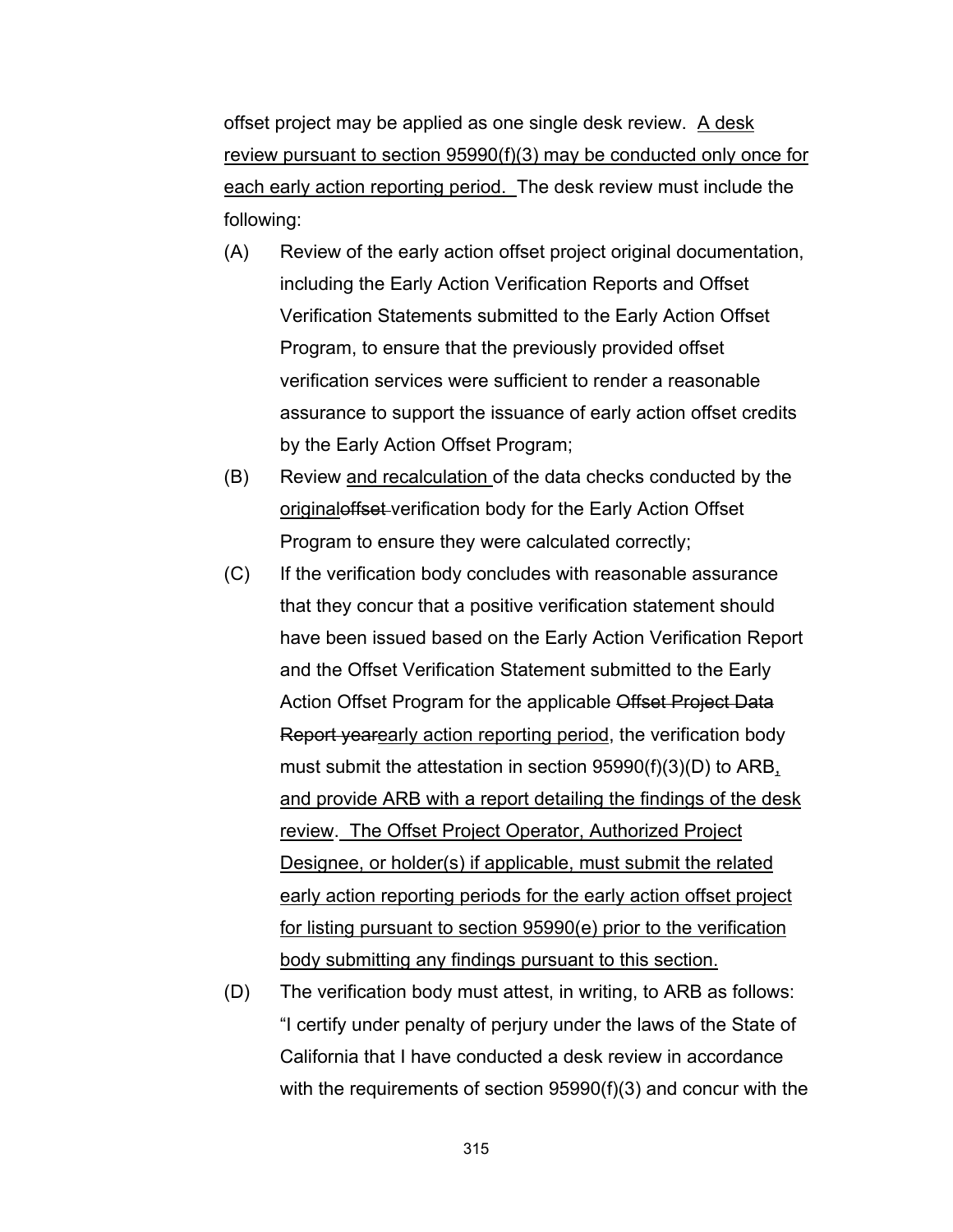offset project may be applied as one single desk review. A desk review pursuant to section 95990(f)(3) may be conducted only once for each early action reporting period. The desk review must include the following:

- (A) Review of the early action offset project original documentation, including the Early Action Verification Reports and Offset Verification Statements submitted to the Early Action Offset Program, to ensure that the previously provided offset verification services were sufficient to render a reasonable assurance to support the issuance of early action offset credits by the Early Action Offset Program;
- (B) Review and recalculation of the data checks conducted by the original offset verification body for the Early Action Offset Program to ensure they were calculated correctly;
- (C) If the verification body concludes with reasonable assurance that they concur that a positive verification statement should have been issued based on the Early Action Verification Report and the Offset Verification Statement submitted to the Early Action Offset Program for the applicable Offset Project Data Report yearearly action reporting period, the verification body must submit the attestation in section 95990(f)(3)(D) to ARB, and provide ARB with a report detailing the findings of the desk review. The Offset Project Operator, Authorized Project Designee, or holder(s) if applicable, must submit the related early action reporting periods for the early action offset project for listing pursuant to section 95990(e) prior to the verification body submitting any findings pursuant to this section.
- (D) The verification body must attest, in writing, to ARB as follows: "I certify under penalty of perjury under the laws of the State of California that I have conducted a desk review in accordance with the requirements of section 95990(f)(3) and concur with the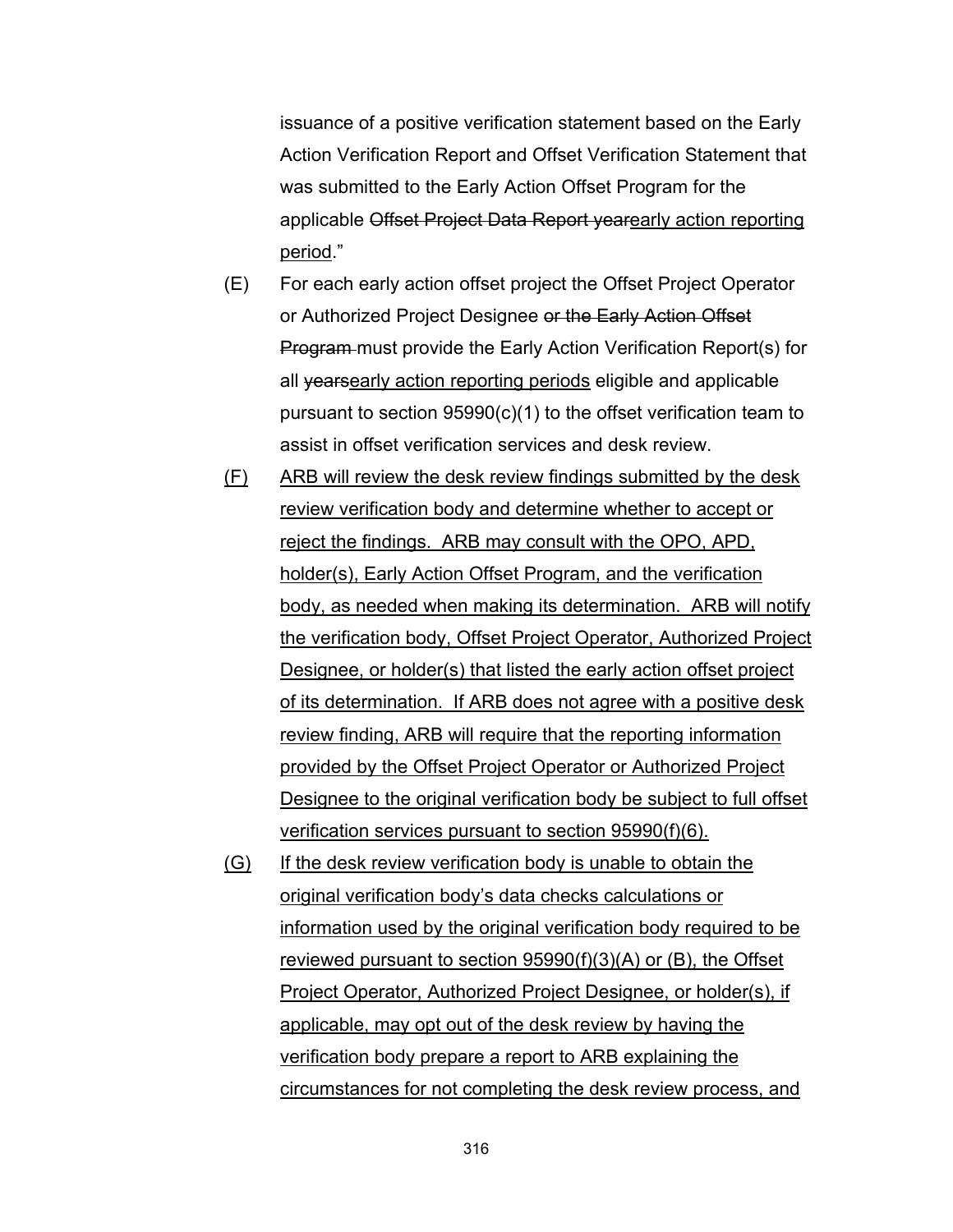issuance of a positive verification statement based on the Early Action Verification Report and Offset Verification Statement that was submitted to the Early Action Offset Program for the applicable Offset Project Data Report yearearly action reporting period."

- (E) For each early action offset project the Offset Project Operator or Authorized Project Designee or the Early Action Offset Program must provide the Early Action Verification Report(s) for all yearsearly action reporting periods eligible and applicable pursuant to section 95990(c)(1) to the offset verification team to assist in offset verification services and desk review.
- (F) ARB will review the desk review findings submitted by the desk review verification body and determine whether to accept or reject the findings. ARB may consult with the OPO, APD, holder(s), Early Action Offset Program, and the verification body, as needed when making its determination. ARB will notify the verification body, Offset Project Operator, Authorized Project Designee, or holder(s) that listed the early action offset project of its determination. If ARB does not agree with a positive desk review finding, ARB will require that the reporting information provided by the Offset Project Operator or Authorized Project Designee to the original verification body be subject to full offset verification services pursuant to section 95990(f)(6).
- (G) If the desk review verification body is unable to obtain the original verification body's data checks calculations or information used by the original verification body required to be reviewed pursuant to section 95990(f)(3)(A) or (B), the Offset Project Operator, Authorized Project Designee, or holder(s), if applicable, may opt out of the desk review by having the verification body prepare a report to ARB explaining the circumstances for not completing the desk review process, and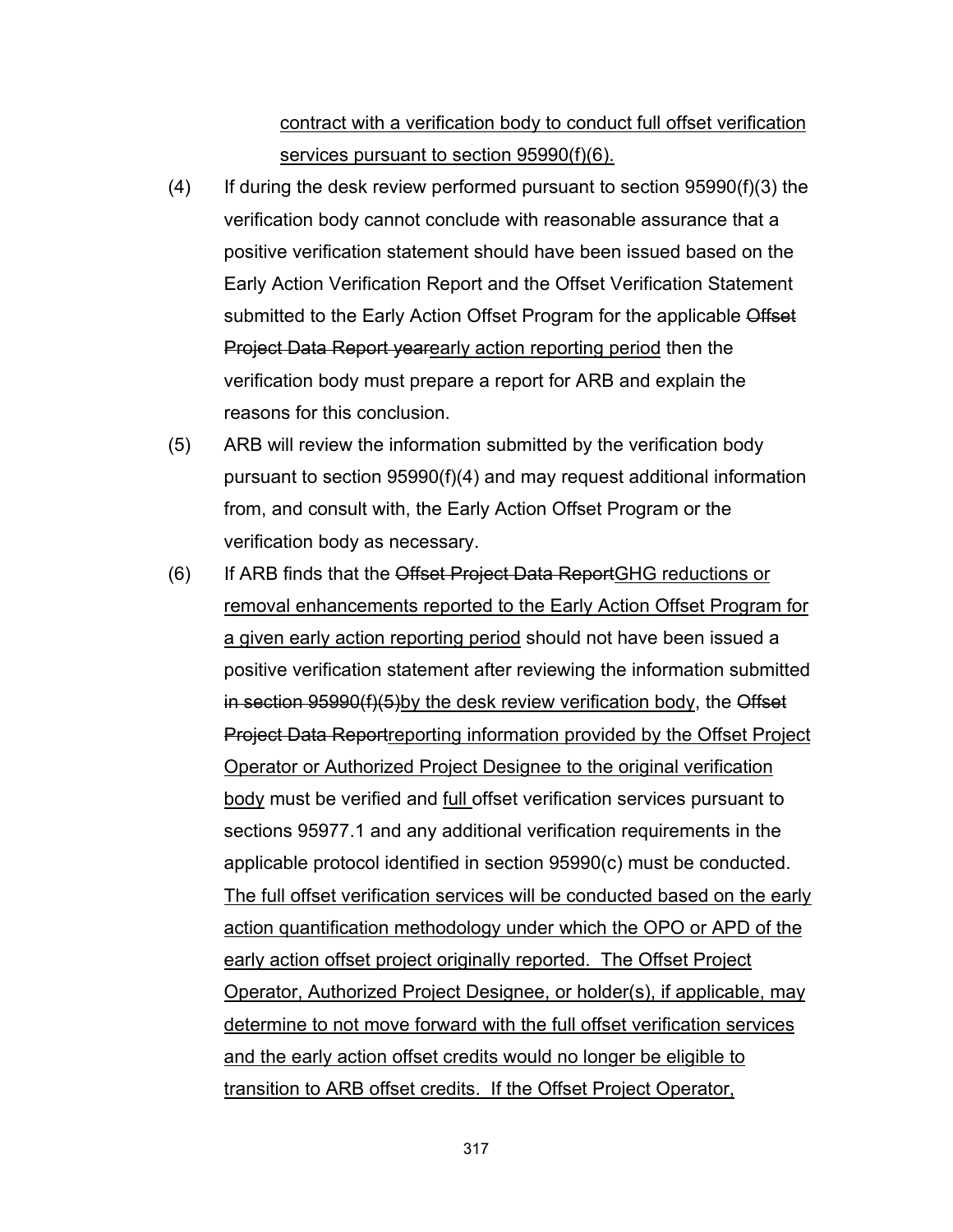contract with a verification body to conduct full offset verification services pursuant to section 95990(f)(6).

- $(4)$  If during the desk review performed pursuant to section 95990(f)(3) the verification body cannot conclude with reasonable assurance that a positive verification statement should have been issued based on the Early Action Verification Report and the Offset Verification Statement submitted to the Early Action Offset Program for the applicable Offset Project Data Report yearearly action reporting period then the verification body must prepare a report for ARB and explain the reasons for this conclusion.
- (5) ARB will review the information submitted by the verification body pursuant to section 95990(f)(4) and may request additional information from, and consult with, the Early Action Offset Program or the verification body as necessary.
- (6) If ARB finds that the Offset Project Data ReportGHG reductions or removal enhancements reported to the Early Action Offset Program for a given early action reporting period should not have been issued a positive verification statement after reviewing the information submitted in section 95990(f)(5)by the desk review verification body, the Offset Project Data Reportreporting information provided by the Offset Project Operator or Authorized Project Designee to the original verification body must be verified and full offset verification services pursuant to sections 95977.1 and any additional verification requirements in the applicable protocol identified in section 95990(c) must be conducted. The full offset verification services will be conducted based on the early action quantification methodology under which the OPO or APD of the early action offset project originally reported. The Offset Project Operator, Authorized Project Designee, or holder(s), if applicable, may determine to not move forward with the full offset verification services and the early action offset credits would no longer be eligible to transition to ARB offset credits. If the Offset Project Operator,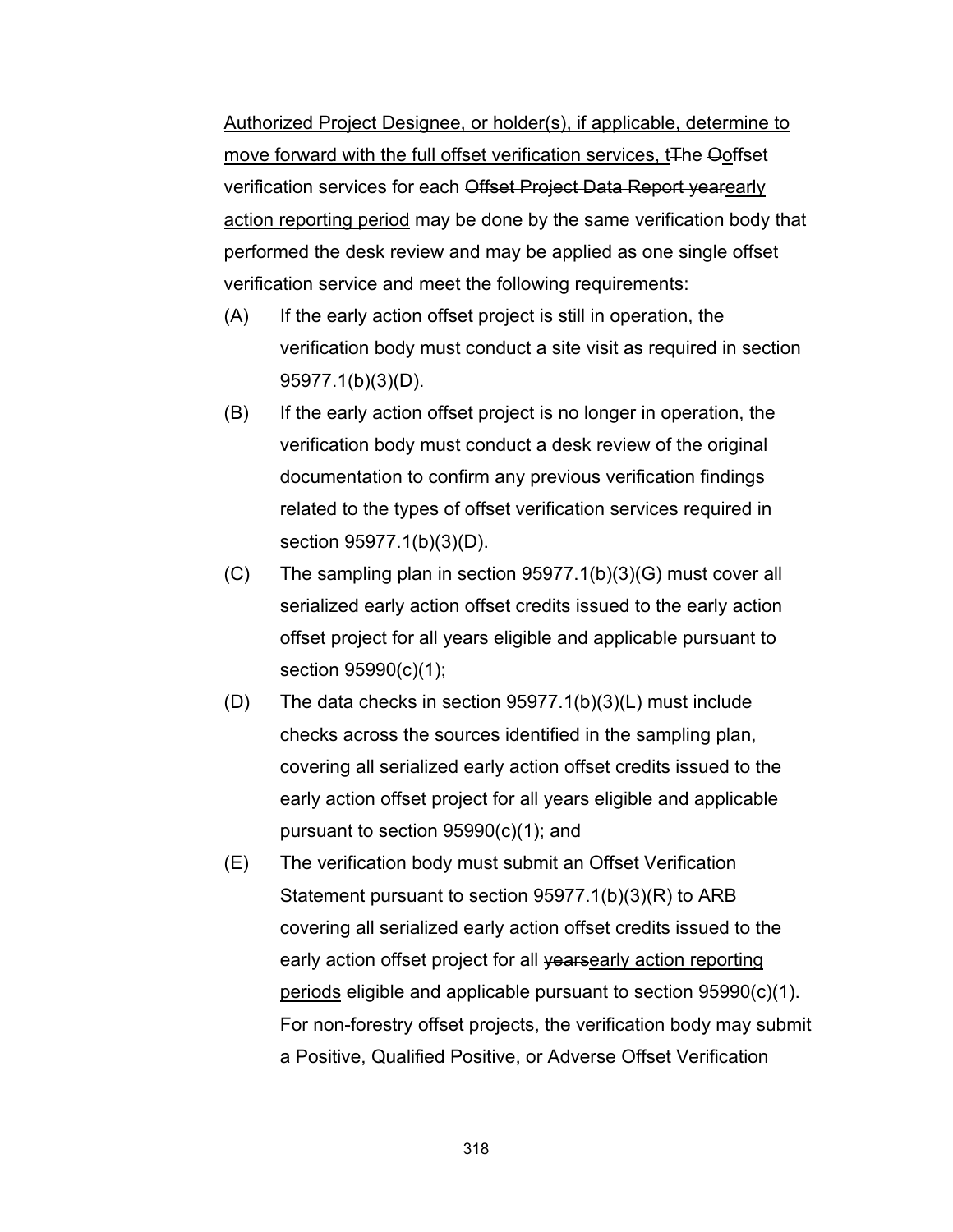Authorized Project Designee, or holder(s), if applicable, determine to move forward with the full offset verification services, t<sub>The Ooffset</sub> verification services for each Offset Project Data Report yearearly action reporting period may be done by the same verification body that performed the desk review and may be applied as one single offset verification service and meet the following requirements:

- (A) If the early action offset project is still in operation, the verification body must conduct a site visit as required in section 95977.1(b)(3)(D).
- (B) If the early action offset project is no longer in operation, the verification body must conduct a desk review of the original documentation to confirm any previous verification findings related to the types of offset verification services required in section 95977.1(b)(3)(D).
- (C) The sampling plan in section 95977.1(b)(3)(G) must cover all serialized early action offset credits issued to the early action offset project for all years eligible and applicable pursuant to section 95990(c)(1);
- (D) The data checks in section 95977.1(b)(3)(L) must include checks across the sources identified in the sampling plan, covering all serialized early action offset credits issued to the early action offset project for all years eligible and applicable pursuant to section 95990(c)(1); and
- (E) The verification body must submit an Offset Verification Statement pursuant to section 95977.1(b)(3)(R) to ARB covering all serialized early action offset credits issued to the early action offset project for all vearsearly action reporting periods eligible and applicable pursuant to section 95990(c)(1). For non-forestry offset projects, the verification body may submit a Positive, Qualified Positive, or Adverse Offset Verification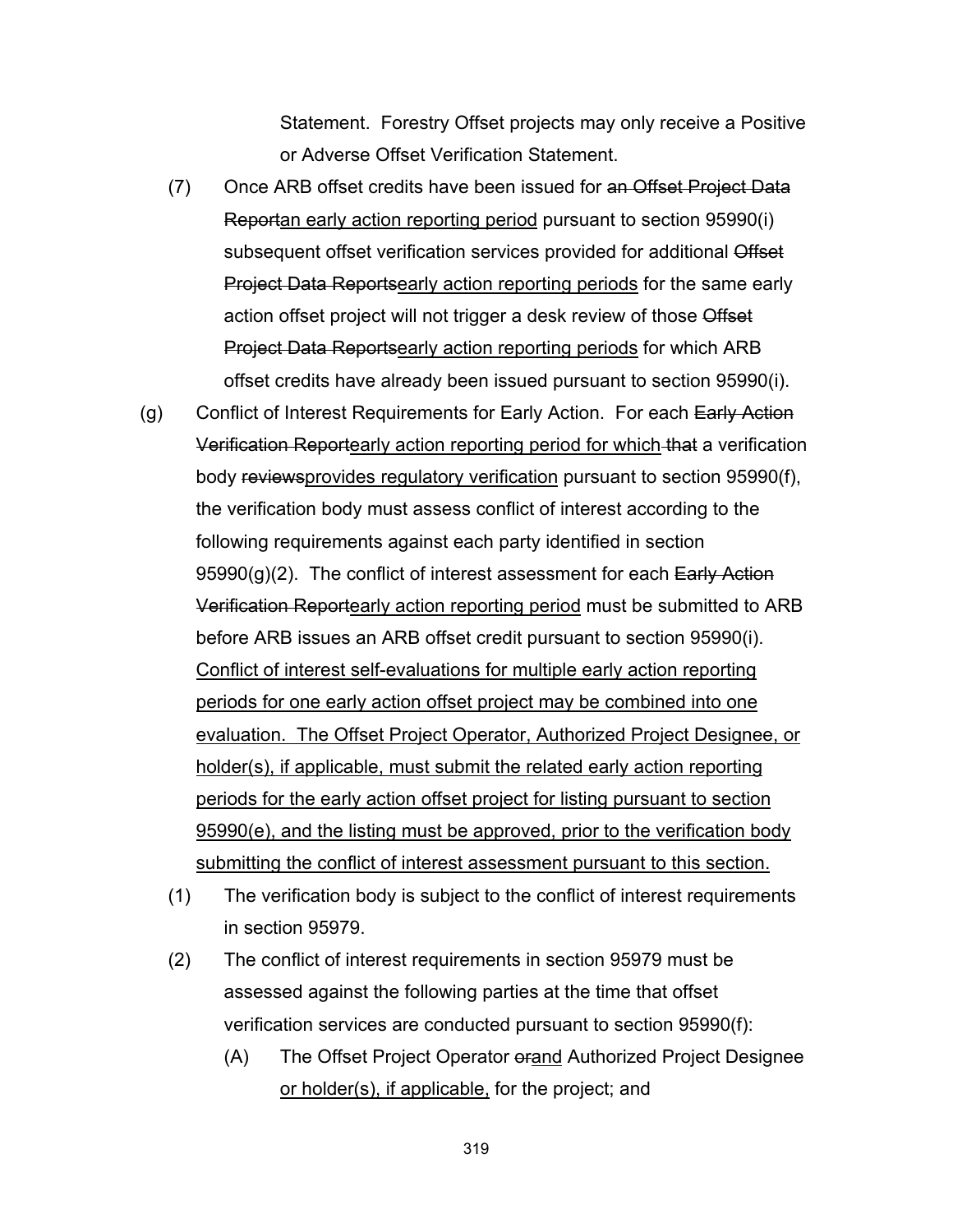Statement. Forestry Offset projects may only receive a Positive or Adverse Offset Verification Statement.

- (7) Once ARB offset credits have been issued for an Offset Project Data Reportan early action reporting period pursuant to section 95990(i) subsequent offset verification services provided for additional Offset Project Data Reportsearly action reporting periods for the same early action offset project will not trigger a desk review of those Offset Project Data Reportsearly action reporting periods for which ARB offset credits have already been issued pursuant to section 95990(i).
- (g) Conflict of Interest Requirements for Early Action. For each Early Action Verification Reportearly action reporting period for which that a verification body reviewsprovides regulatory verification pursuant to section 95990(f), the verification body must assess conflict of interest according to the following requirements against each party identified in section  $95990(q)(2)$ . The conflict of interest assessment for each Early Action Verification Reportearly action reporting period must be submitted to ARB before ARB issues an ARB offset credit pursuant to section 95990(i). Conflict of interest self-evaluations for multiple early action reporting periods for one early action offset project may be combined into one evaluation. The Offset Project Operator, Authorized Project Designee, or holder(s), if applicable, must submit the related early action reporting periods for the early action offset project for listing pursuant to section 95990(e), and the listing must be approved, prior to the verification body submitting the conflict of interest assessment pursuant to this section.
	- (1) The verification body is subject to the conflict of interest requirements in section 95979.
	- (2) The conflict of interest requirements in section 95979 must be assessed against the following parties at the time that offset verification services are conducted pursuant to section 95990(f):
		- (A) The Offset Project Operator orand Authorized Project Designee or holder(s), if applicable, for the project; and
			- 319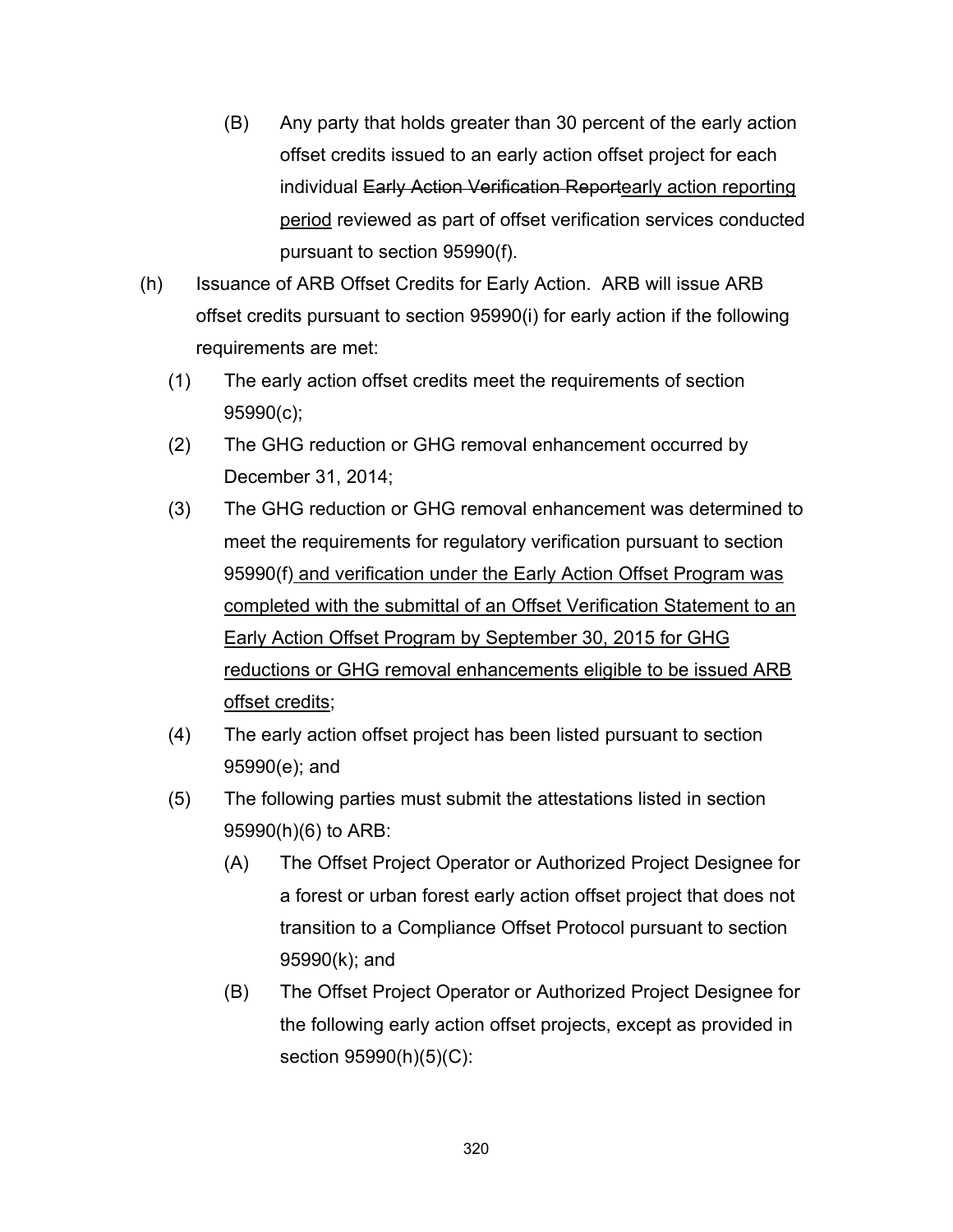- (B) Any party that holds greater than 30 percent of the early action offset credits issued to an early action offset project for each individual Early Action Verification Reportearly action reporting period reviewed as part of offset verification services conducted pursuant to section 95990(f).
- (h) Issuance of ARB Offset Credits for Early Action. ARB will issue ARB offset credits pursuant to section 95990(i) for early action if the following requirements are met:
	- (1) The early action offset credits meet the requirements of section 95990(c);
	- (2) The GHG reduction or GHG removal enhancement occurred by December 31, 2014;
	- (3) The GHG reduction or GHG removal enhancement was determined to meet the requirements for regulatory verification pursuant to section 95990(f) and verification under the Early Action Offset Program was completed with the submittal of an Offset Verification Statement to an Early Action Offset Program by September 30, 2015 for GHG reductions or GHG removal enhancements eligible to be issued ARB offset credits;
	- (4) The early action offset project has been listed pursuant to section 95990(e); and
	- (5) The following parties must submit the attestations listed in section 95990(h)(6) to ARB:
		- (A) The Offset Project Operator or Authorized Project Designee for a forest or urban forest early action offset project that does not transition to a Compliance Offset Protocol pursuant to section 95990(k); and
		- (B) The Offset Project Operator or Authorized Project Designee for the following early action offset projects, except as provided in section 95990(h)(5)(C):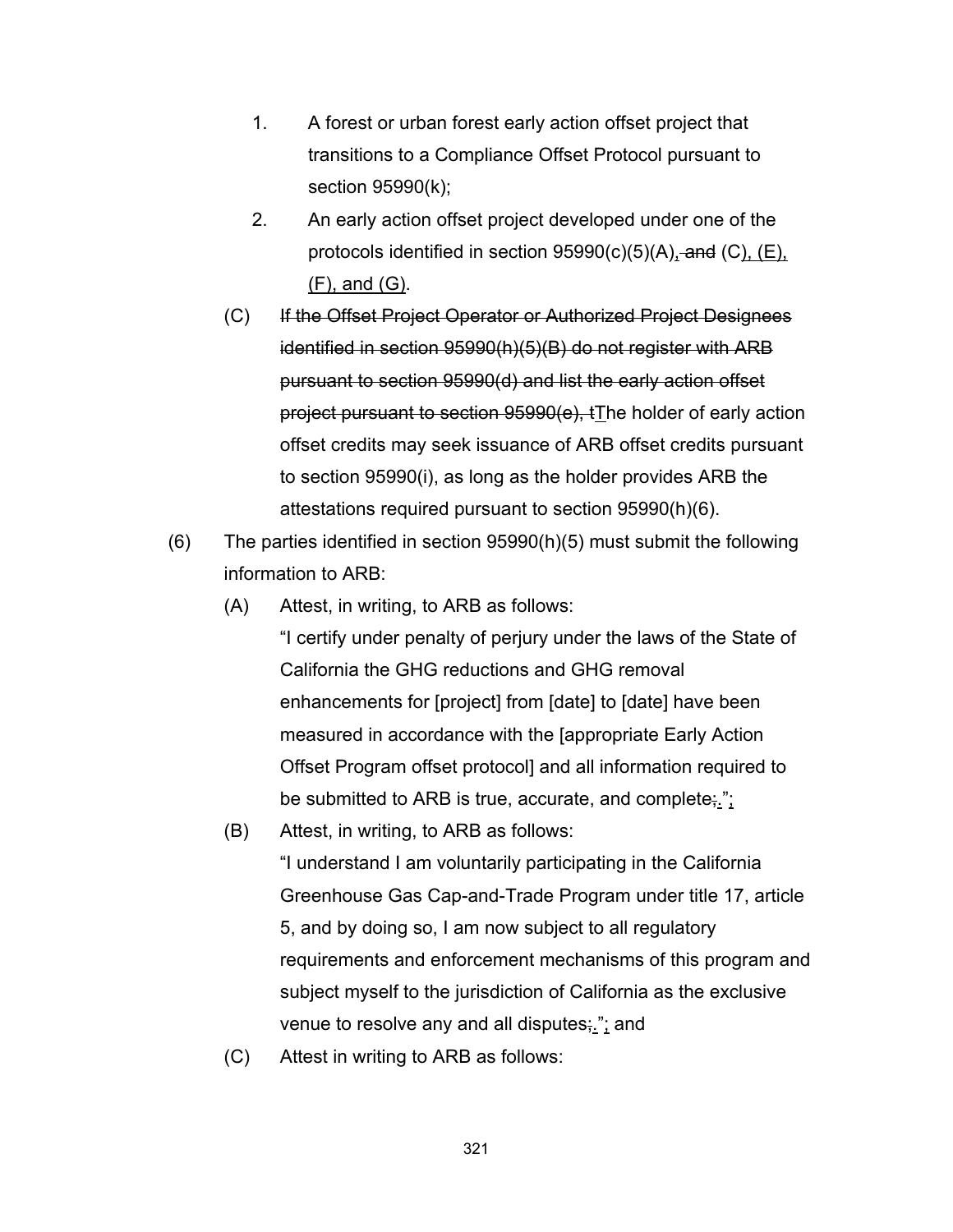- 1. A forest or urban forest early action offset project that transitions to a Compliance Offset Protocol pursuant to section 95990(k);
- 2. An early action offset project developed under one of the protocols identified in section  $95990(c)(5)(A)$ , and  $(C)$ ,  $(E)$ , (F), and (G).
- (C) If the Offset Project Operator or Authorized Project Designees identified in section 95990(h)(5)(B) do not register with ARB pursuant to section 95990(d) and list the early action offset project pursuant to section 95990(e), tThe holder of early action offset credits may seek issuance of ARB offset credits pursuant to section 95990(i), as long as the holder provides ARB the attestations required pursuant to section 95990(h)(6).
- (6) The parties identified in section 95990(h)(5) must submit the following information to ARB:
	- (A) Attest, in writing, to ARB as follows:

"I certify under penalty of perjury under the laws of the State of California the GHG reductions and GHG removal enhancements for [project] from [date] to [date] have been measured in accordance with the [appropriate Early Action Offset Program offset protocol] and all information required to be submitted to ARB is true, accurate, and complete;.";

(B) Attest, in writing, to ARB as follows:

"I understand I am voluntarily participating in the California Greenhouse Gas Cap-and-Trade Program under title 17, article 5, and by doing so, I am now subject to all regulatory requirements and enforcement mechanisms of this program and subject myself to the jurisdiction of California as the exclusive venue to resolve any and all disputes; "; and

(C) Attest in writing to ARB as follows: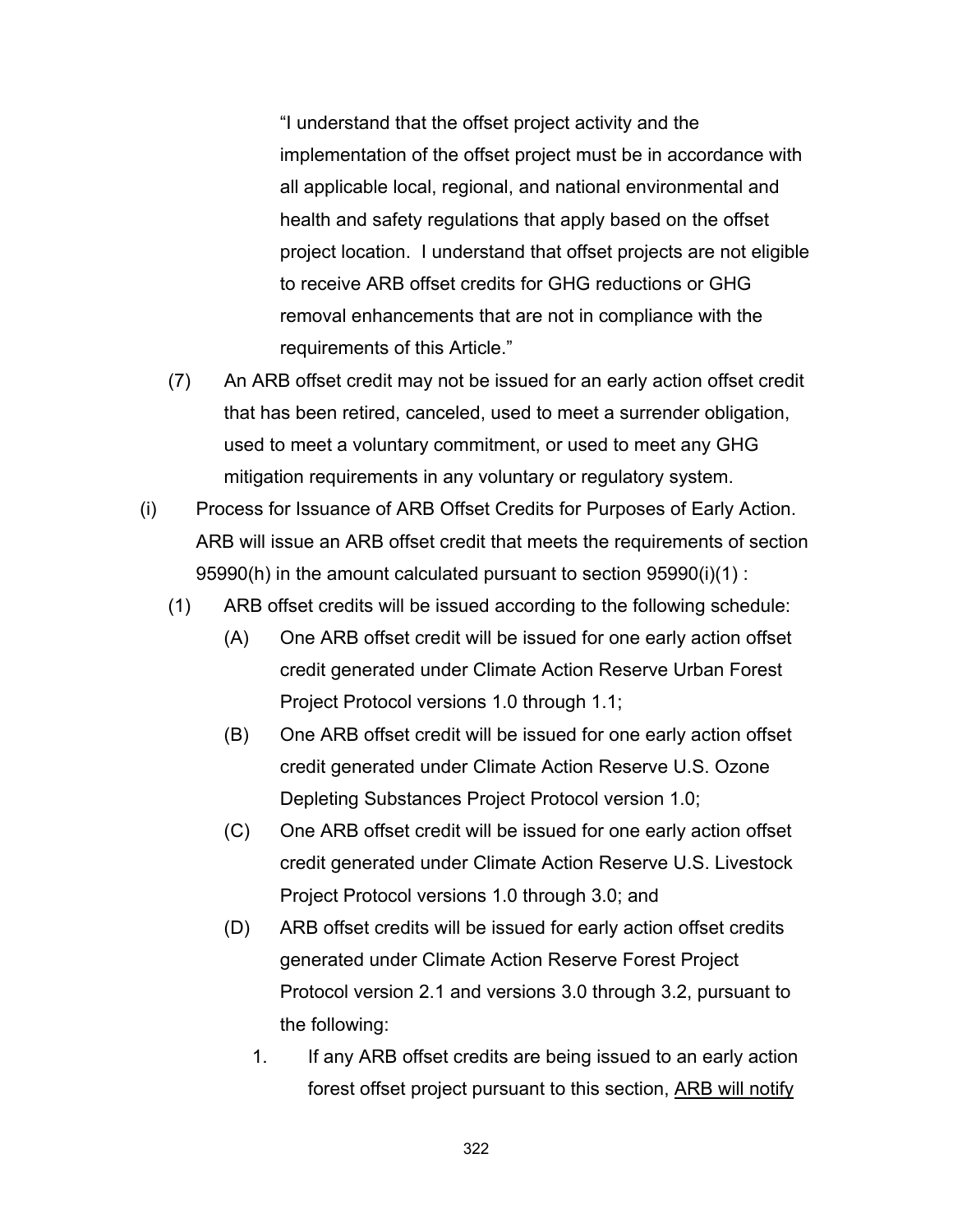"I understand that the offset project activity and the implementation of the offset project must be in accordance with all applicable local, regional, and national environmental and health and safety regulations that apply based on the offset project location. I understand that offset projects are not eligible to receive ARB offset credits for GHG reductions or GHG removal enhancements that are not in compliance with the requirements of this Article."

- (7) An ARB offset credit may not be issued for an early action offset credit that has been retired, canceled, used to meet a surrender obligation, used to meet a voluntary commitment, or used to meet any GHG mitigation requirements in any voluntary or regulatory system.
- (i) Process for Issuance of ARB Offset Credits for Purposes of Early Action. ARB will issue an ARB offset credit that meets the requirements of section 95990(h) in the amount calculated pursuant to section 95990(i)(1) :
	- (1) ARB offset credits will be issued according to the following schedule:
		- (A) One ARB offset credit will be issued for one early action offset credit generated under Climate Action Reserve Urban Forest Project Protocol versions 1.0 through 1.1;
		- (B) One ARB offset credit will be issued for one early action offset credit generated under Climate Action Reserve U.S. Ozone Depleting Substances Project Protocol version 1.0;
		- (C) One ARB offset credit will be issued for one early action offset credit generated under Climate Action Reserve U.S. Livestock Project Protocol versions 1.0 through 3.0; and
		- (D) ARB offset credits will be issued for early action offset credits generated under Climate Action Reserve Forest Project Protocol version 2.1 and versions 3.0 through 3.2, pursuant to the following:
			- 1. If any ARB offset credits are being issued to an early action forest offset project pursuant to this section, ARB will notify
				- 322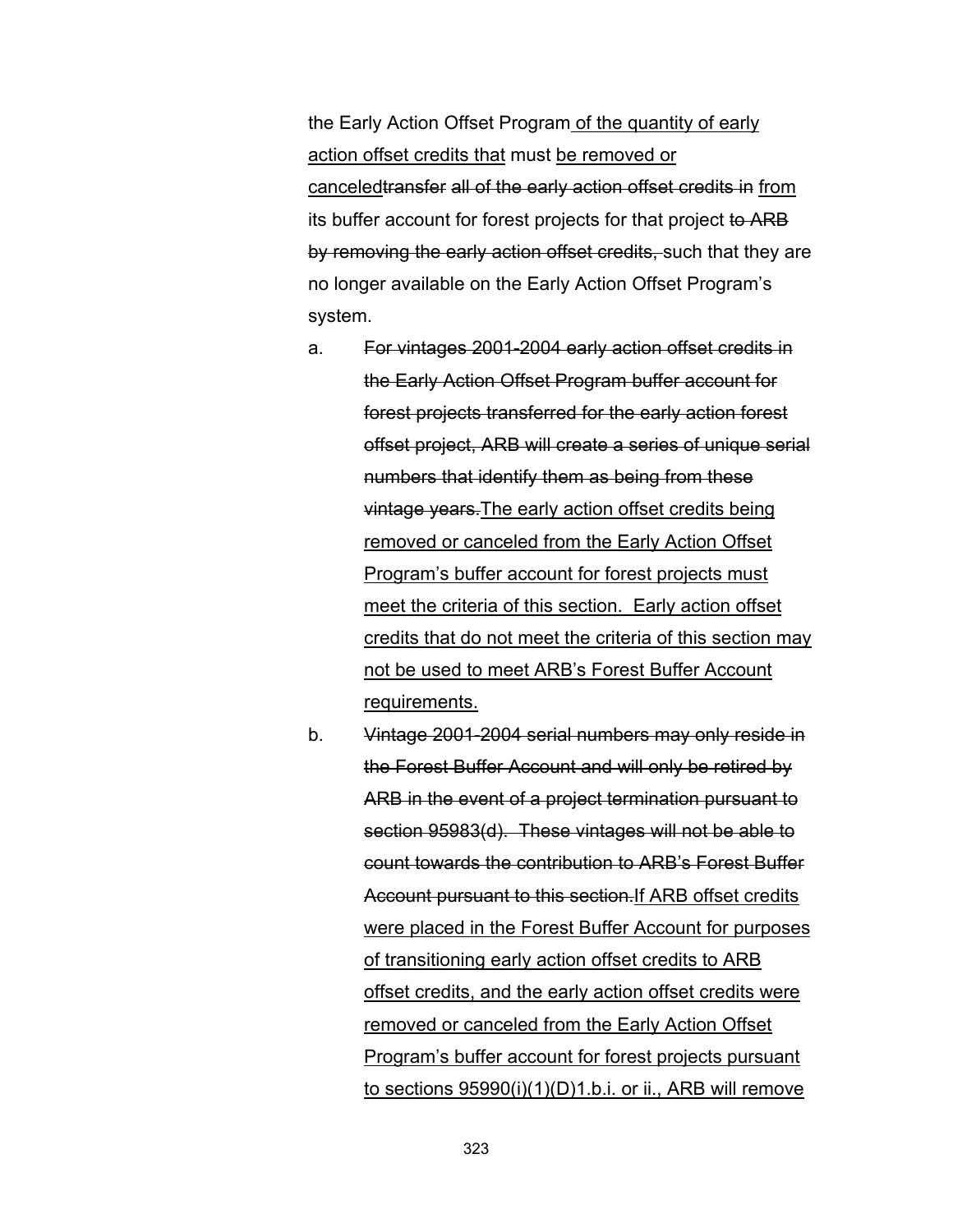the Early Action Offset Program of the quantity of early action offset credits that must be removed or canceledtransfer all of the early action offset credits in from its buffer account for forest projects for that project to ARB by removing the early action offset credits, such that they are no longer available on the Early Action Offset Program's system.

- a. For vintages 2001-2004 early action offset credits in the Early Action Offset Program buffer account for forest projects transferred for the early action forest offset project, ARB will create a series of unique serial numbers that identify them as being from these vintage years.The early action offset credits being removed or canceled from the Early Action Offset Program's buffer account for forest projects must meet the criteria of this section. Early action offset credits that do not meet the criteria of this section may not be used to meet ARB's Forest Buffer Account requirements.
- b. Vintage 2001-2004 serial numbers may only reside in the Forest Buffer Account and will only be retired by ARB in the event of a project termination pursuant to section 95983(d). These vintages will not be able to count towards the contribution to ARB's Forest Buffer Account pursuant to this section.If ARB offset credits were placed in the Forest Buffer Account for purposes of transitioning early action offset credits to ARB offset credits, and the early action offset credits were removed or canceled from the Early Action Offset Program's buffer account for forest projects pursuant to sections 95990(i)(1)(D)1.b.i. or ii., ARB will remove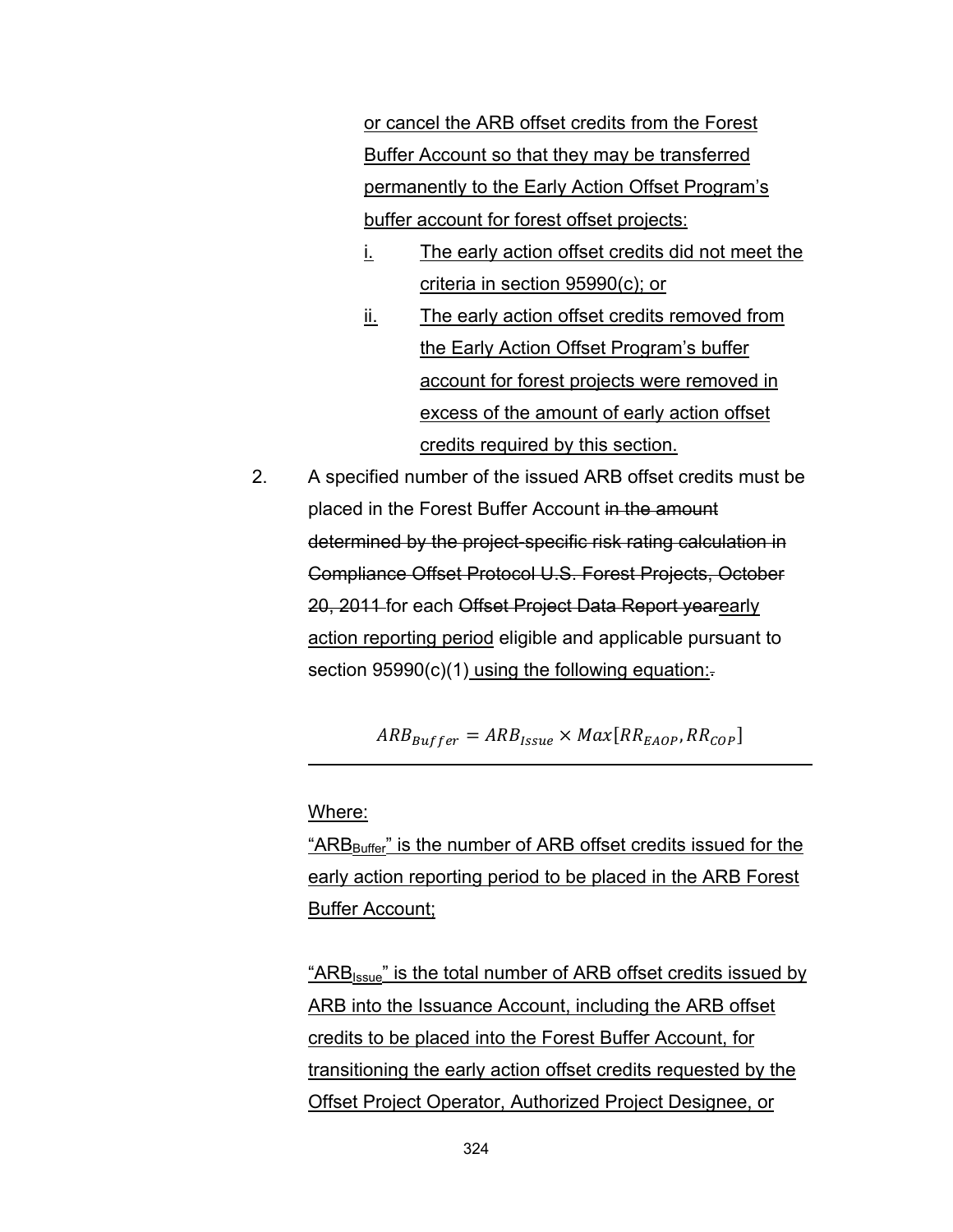or cancel the ARB offset credits from the Forest Buffer Account so that they may be transferred permanently to the Early Action Offset Program's buffer account for forest offset projects:

- i. The early action offset credits did not meet the criteria in section 95990(c); or
- ii. The early action offset credits removed from the Early Action Offset Program's buffer account for forest projects were removed in excess of the amount of early action offset credits required by this section.
- 2. A specified number of the issued ARB offset credits must be placed in the Forest Buffer Account in the amount determined by the project-specific risk rating calculation in Compliance Offset Protocol U.S. Forest Projects, October 20, 2011 for each Offset Project Data Report yearearly action reporting period eligible and applicable pursuant to section  $95990(c)(1)$  using the following equation:

 $ARB_{Buffer} = ARB_{lssue} \times Max[RR_{EADP}, RR_{COP}]$ 

Where:

" $ARB<sub>Buffer</sub>$ " is the number of ARB offset credits issued for the early action reporting period to be placed in the ARB Forest Buffer Account;

"ARB<sub>Issue</sub>" is the total number of ARB offset credits issued by ARB into the Issuance Account, including the ARB offset credits to be placed into the Forest Buffer Account, for transitioning the early action offset credits requested by the Offset Project Operator, Authorized Project Designee, or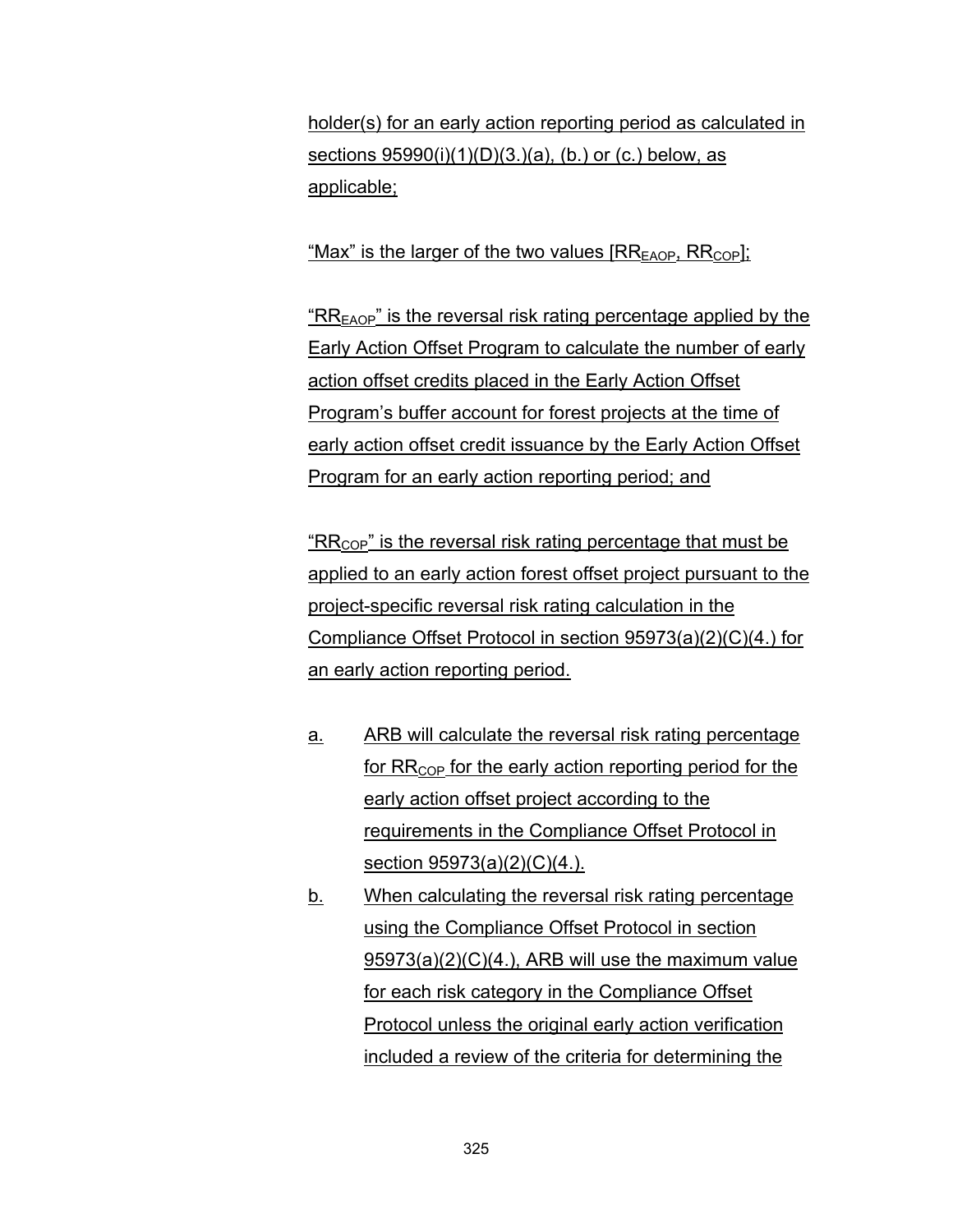holder(s) for an early action reporting period as calculated in sections 95990(i)(1)(D)(3.)(a), (b.) or (c.) below, as applicable;

"Max" is the larger of the two values  $[RR_{FAOP}, RR_{COP}]$ ;

" $RR<sub>EAOP</sub>$ " is the reversal risk rating percentage applied by the Early Action Offset Program to calculate the number of early action offset credits placed in the Early Action Offset Program's buffer account for forest projects at the time of early action offset credit issuance by the Early Action Offset Program for an early action reporting period; and

 $R_{\text{COP}}$ " is the reversal risk rating percentage that must be applied to an early action forest offset project pursuant to the project-specific reversal risk rating calculation in the Compliance Offset Protocol in section 95973(a)(2)(C)(4.) for an early action reporting period.

- a. ARB will calculate the reversal risk rating percentage for  $RR_{\text{COP}}$  for the early action reporting period for the early action offset project according to the requirements in the Compliance Offset Protocol in section 95973(a)(2)(C)(4.).
- b. When calculating the reversal risk rating percentage using the Compliance Offset Protocol in section 95973(a)(2)(C)(4.), ARB will use the maximum value for each risk category in the Compliance Offset Protocol unless the original early action verification included a review of the criteria for determining the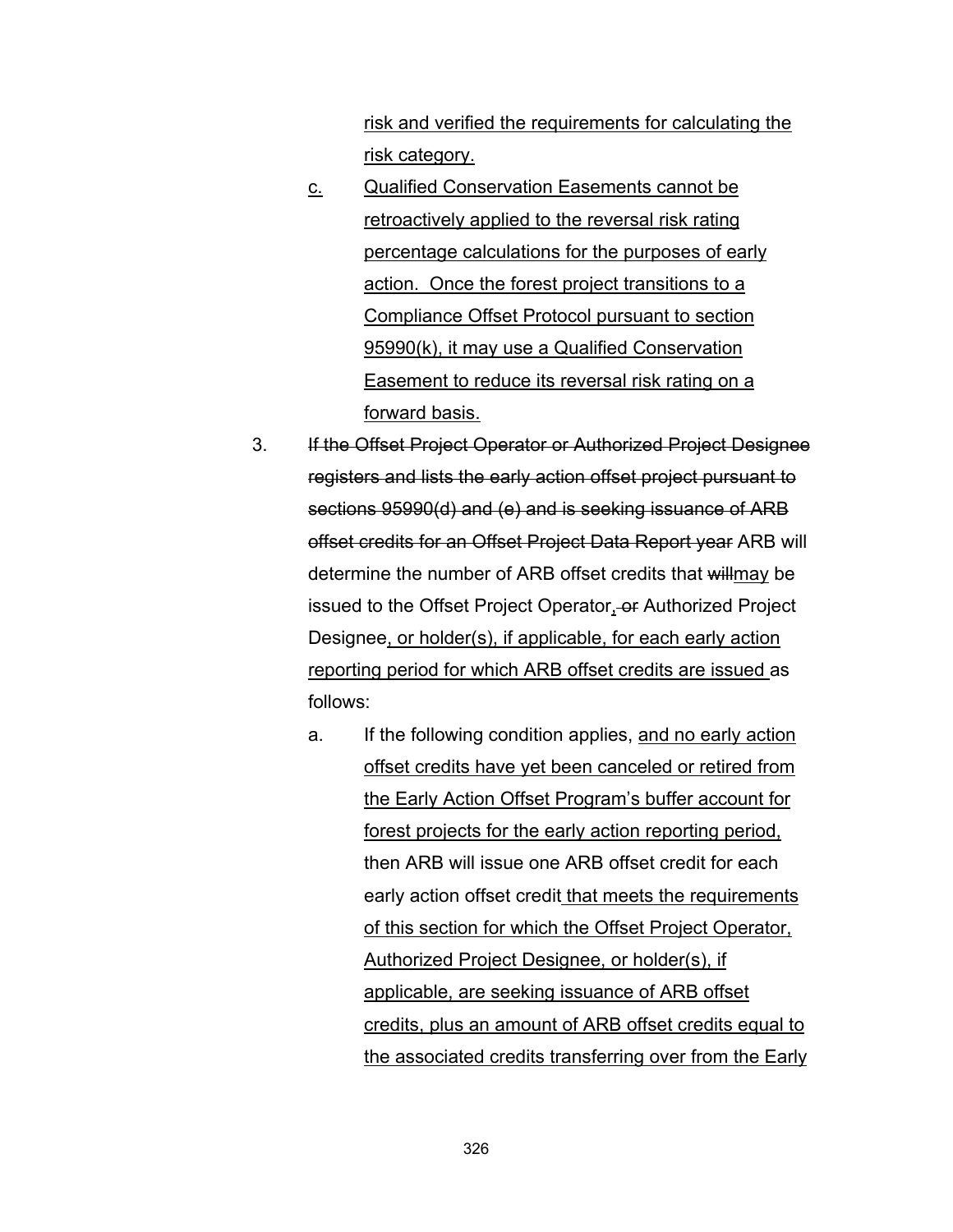risk and verified the requirements for calculating the risk category.

- c. Qualified Conservation Easements cannot be retroactively applied to the reversal risk rating percentage calculations for the purposes of early action. Once the forest project transitions to a Compliance Offset Protocol pursuant to section 95990(k), it may use a Qualified Conservation Easement to reduce its reversal risk rating on a forward basis.
- 3. If the Offset Project Operator or Authorized Project Designee registers and lists the early action offset project pursuant to sections 95990(d) and (e) and is seeking issuance of ARB offset credits for an Offset Project Data Report year ARB will determine the number of ARB offset credits that willmay be issued to the Offset Project Operator, or Authorized Project Designee, or holder(s), if applicable, for each early action reporting period for which ARB offset credits are issued as follows:
	- a. If the following condition applies, and no early action offset credits have yet been canceled or retired from the Early Action Offset Program's buffer account for forest projects for the early action reporting period, then ARB will issue one ARB offset credit for each early action offset credit that meets the requirements of this section for which the Offset Project Operator, Authorized Project Designee, or holder(s), if applicable, are seeking issuance of ARB offset credits, plus an amount of ARB offset credits equal to the associated credits transferring over from the Early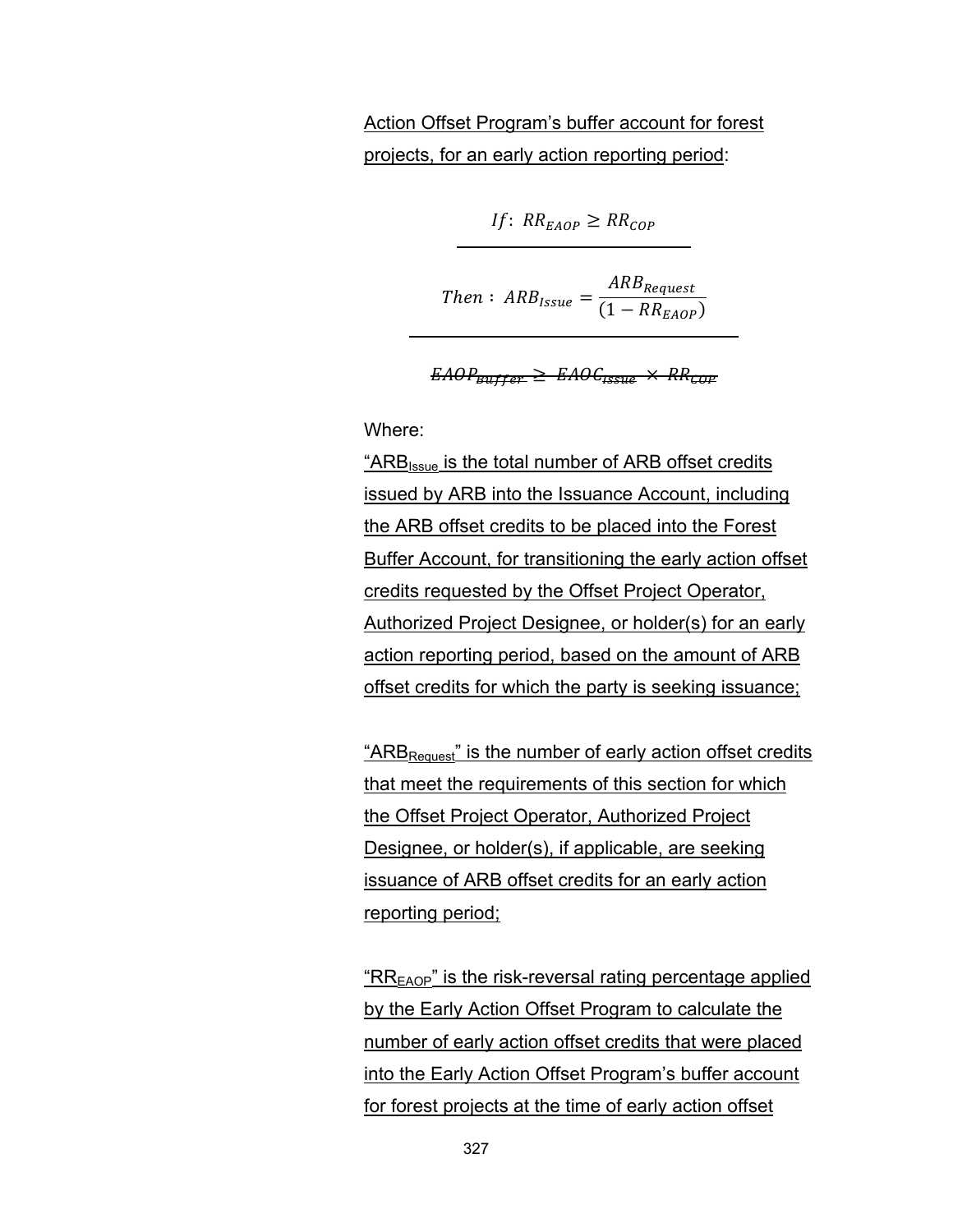# Action Offset Program's buffer account for forest projects, for an early action reporting period:

If: 
$$
RR_{E AOP} \geq RR_{COP}
$$

Then: 
$$
ARB_{Issue} = \frac{ARB_{Request}}{(1 - RR_{EAOP})}
$$

$$
EAOP_{\text{Buffer}} \geq EAOC_{\text{issue}} \times RR_{\text{COP}}
$$

Where:

" $ARB<sub>issue</sub>$  is the total number of ARB offset credits issued by ARB into the Issuance Account, including the ARB offset credits to be placed into the Forest Buffer Account, for transitioning the early action offset credits requested by the Offset Project Operator, Authorized Project Designee, or holder(s) for an early action reporting period, based on the amount of ARB offset credits for which the party is seeking issuance;

"ARB<sub>Request</sub>" is the number of early action offset credits that meet the requirements of this section for which the Offset Project Operator, Authorized Project Designee, or holder(s), if applicable, are seeking issuance of ARB offset credits for an early action reporting period;

 $R_{EAOP}$ " is the risk-reversal rating percentage applied by the Early Action Offset Program to calculate the number of early action offset credits that were placed into the Early Action Offset Program's buffer account for forest projects at the time of early action offset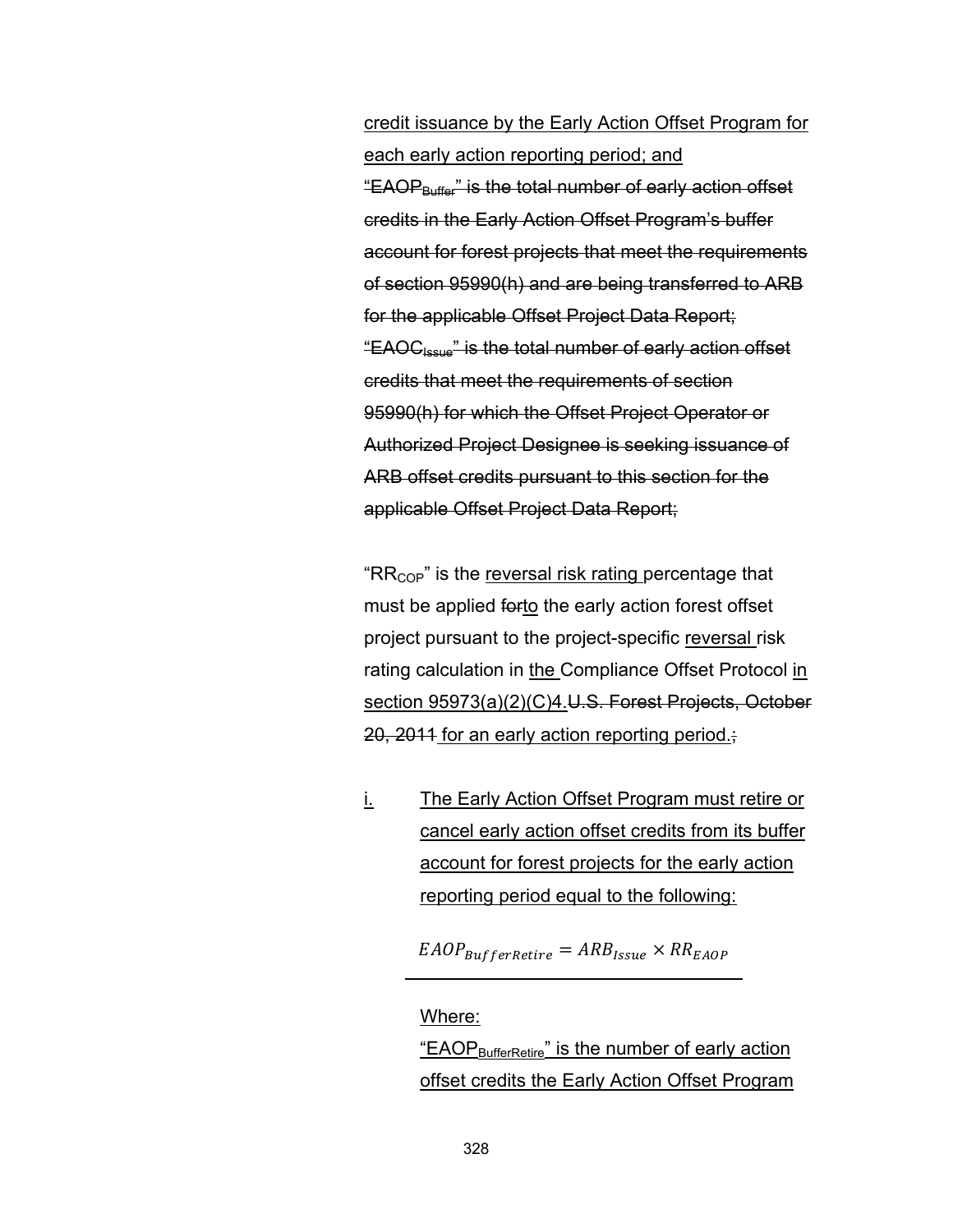credit issuance by the Early Action Offset Program for each early action reporting period; and "EAOP<sub>Buffer</sub>" is the total number of early action offset credits in the Early Action Offset Program's buffer account for forest projects that meet the requirements of section 95990(h) and are being transferred to ARB for the applicable Offset Project Data Report; "EAOCIssue" is the total number of early action offset credits that meet the requirements of section 95990(h) for which the Offset Project Operator or Authorized Project Designee is seeking issuance of ARB offset credits pursuant to this section for the applicable Offset Project Data Report;

" $RR_{\text{COP}}$ " is the reversal risk rating percentage that must be applied forto the early action forest offset project pursuant to the project-specific reversal risk rating calculation in the Compliance Offset Protocol in section 95973(a)(2)(C)4.U.S. Forest Projects, October 20, 2011 for an early action reporting period.;

i. The Early Action Offset Program must retire or cancel early action offset credits from its buffer account for forest projects for the early action reporting period equal to the following:

 $E AOP_{BufferRetire} = ARB_{Issue} \times RR_{E AOP}$ 

#### Where:

"EAOP<sub>BufferRetire</sub>" is the number of early action offset credits the Early Action Offset Program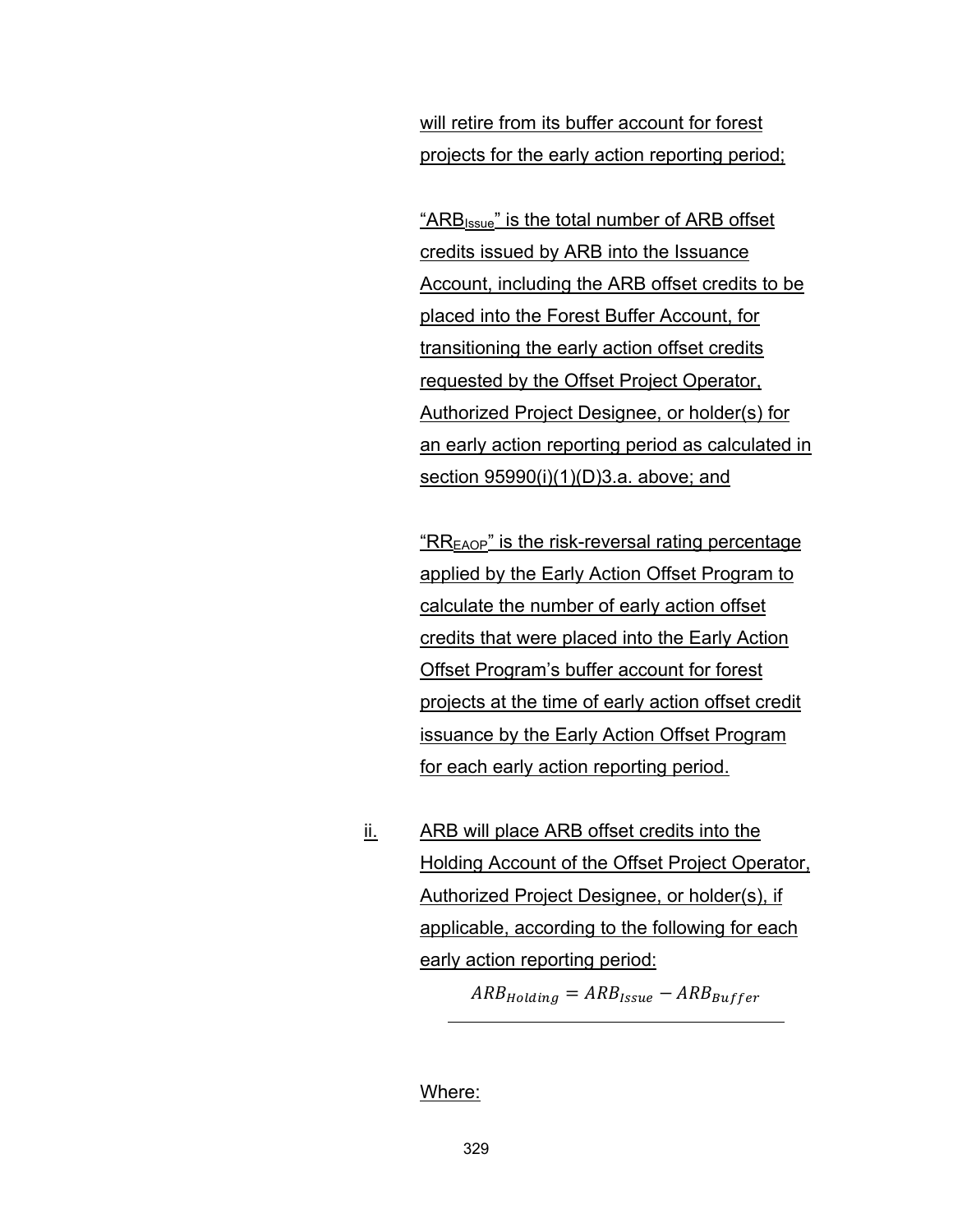will retire from its buffer account for forest projects for the early action reporting period;

"ARBIssue" is the total number of ARB offset credits issued by ARB into the Issuance Account, including the ARB offset credits to be placed into the Forest Buffer Account, for transitioning the early action offset credits requested by the Offset Project Operator, Authorized Project Designee, or holder(s) for an early action reporting period as calculated in section 95990(i)(1)(D)3.a. above; and

" $RR<sub>EAOP</sub>$ " is the risk-reversal rating percentage applied by the Early Action Offset Program to calculate the number of early action offset credits that were placed into the Early Action Offset Program's buffer account for forest projects at the time of early action offset credit issuance by the Early Action Offset Program for each early action reporting period.

ii. ARB will place ARB offset credits into the Holding Account of the Offset Project Operator, Authorized Project Designee, or holder(s), if applicable, according to the following for each early action reporting period:

 $ARB_{Holding} = ARB_{Issue} - ARB_{Buffer}$ 

Where: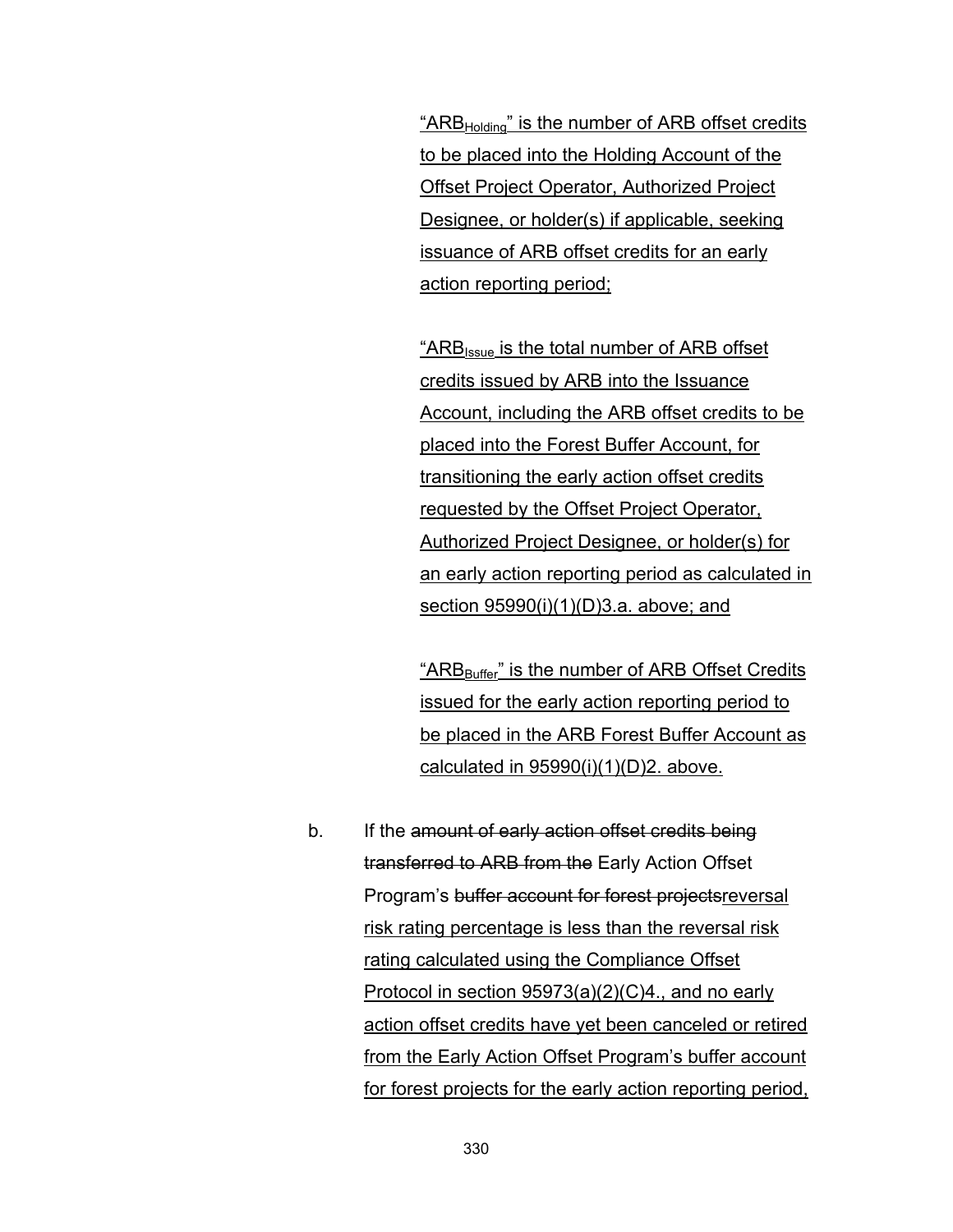"ARB<sub>Holding</sub>" is the number of ARB offset credits to be placed into the Holding Account of the Offset Project Operator, Authorized Project Designee, or holder(s) if applicable, seeking issuance of ARB offset credits for an early action reporting period;

"ARB<sub>Issue</sub> is the total number of ARB offset credits issued by ARB into the Issuance Account, including the ARB offset credits to be placed into the Forest Buffer Account, for transitioning the early action offset credits requested by the Offset Project Operator, Authorized Project Designee, or holder(s) for an early action reporting period as calculated in section 95990(i)(1)(D)3.a. above; and

"ARB<sub>Buffer</sub>" is the number of ARB Offset Credits issued for the early action reporting period to be placed in the ARB Forest Buffer Account as calculated in  $95990(i)(1)(D)2$ . above.

b. If the amount of early action offset credits being transferred to ARB from the Early Action Offset Program's buffer account for forest projectsreversal risk rating percentage is less than the reversal risk rating calculated using the Compliance Offset Protocol in section 95973(a)(2)(C)4., and no early action offset credits have yet been canceled or retired from the Early Action Offset Program's buffer account for forest projects for the early action reporting period,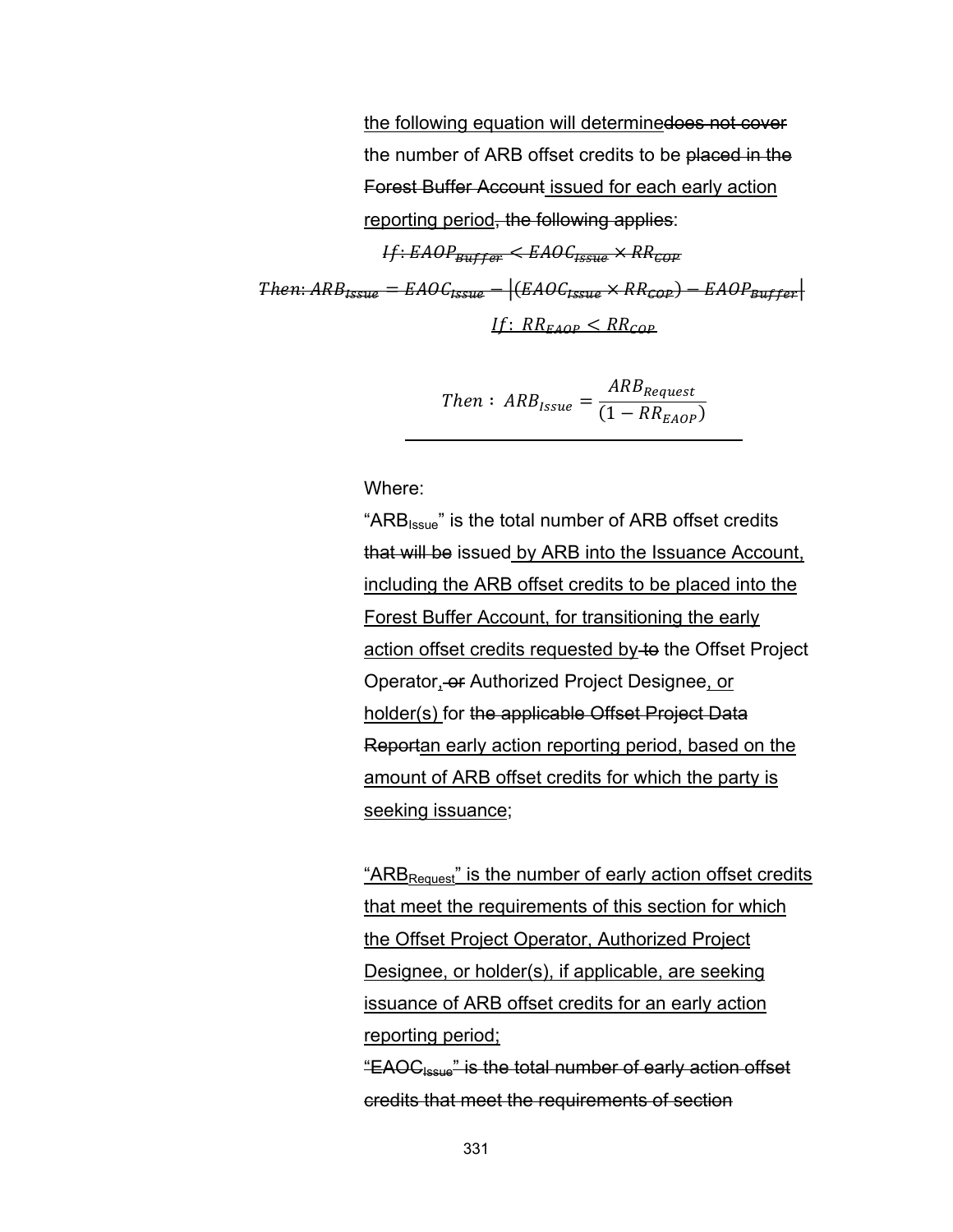the following equation will determinedoes not cover the number of ARB offset credits to be placed in the Forest Buffer Account issued for each early action reporting period, the following applies:  $H: EAOP_{Euffer} \le EAOC_{LSSHe} \times RR_{GIP}$  $\text{Then:} ABB_{\text{LSS16}} = \text{EAOC}_{\text{LSS16}} - |(\text{EAOC}_{\text{LSS16}} \times RR_{\text{GDP}}) - \text{EAOP}_{\text{Ruffer}}|$ If:  $RR_{FADP}$   $\leq RR_{COP}$ 

Then: 
$$
ARB_{Issue} = \frac{ARB_{Request}}{(1 - RR_{E AOP})}
$$

Where:

"ARB<sub>Issue</sub>" is the total number of ARB offset credits that will be issued by ARB into the Issuance Account, including the ARB offset credits to be placed into the Forest Buffer Account, for transitioning the early action offset credits requested by to the Offset Project Operator, or Authorized Project Designee, or holder(s) for the applicable Offset Project Data Reportan early action reporting period, based on the amount of ARB offset credits for which the party is seeking issuance;

"ARB<sub>Request</sub>" is the number of early action offset credits that meet the requirements of this section for which the Offset Project Operator, Authorized Project Designee, or holder(s), if applicable, are seeking issuance of ARB offset credits for an early action reporting period;

"EAOCIssue" is the total number of early action offset credits that meet the requirements of section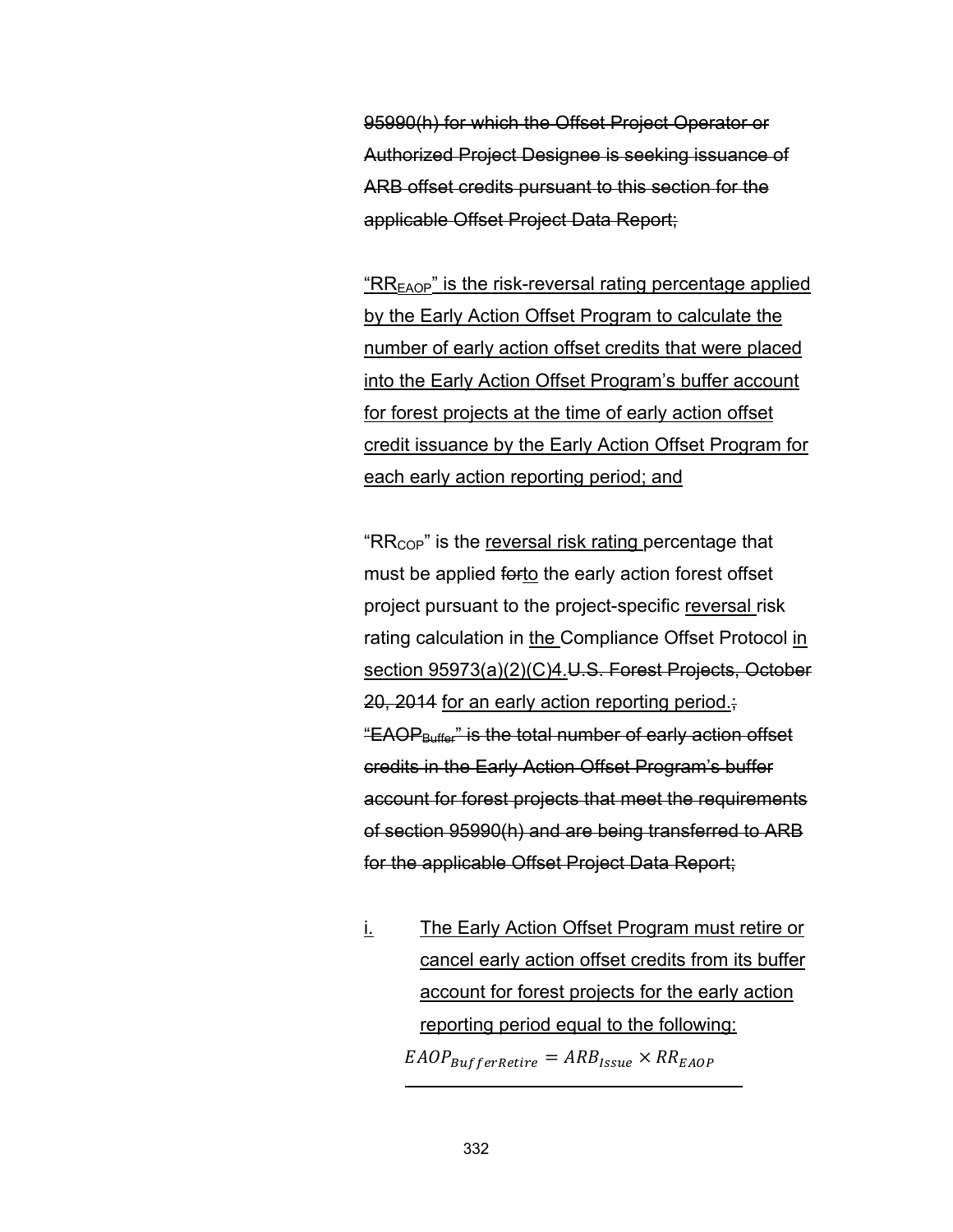95990(h) for which the Offset Project Operator or Authorized Project Designee is seeking issuance of ARB offset credits pursuant to this section for the applicable Offset Project Data Report;

 $R_{\text{EAOP}}$ " is the risk-reversal rating percentage applied by the Early Action Offset Program to calculate the number of early action offset credits that were placed into the Early Action Offset Program's buffer account for forest projects at the time of early action offset credit issuance by the Early Action Offset Program for each early action reporting period; and

" $RR_{\text{COP}}$ " is the reversal risk rating percentage that must be applied forto the early action forest offset project pursuant to the project-specific reversal risk rating calculation in the Compliance Offset Protocol in section 95973(a)(2)(C)4.U.S. Forest Projects, October 20, 2014 for an early action reporting period.; "EAOP $_{\text{Buffer}}$ " is the total number of early action offset credits in the Early Action Offset Program's buffer account for forest projects that meet the requirements of section 95990(h) and are being transferred to ARB for the applicable Offset Project Data Report;

i. The Early Action Offset Program must retire or cancel early action offset credits from its buffer account for forest projects for the early action reporting period equal to the following:  $E AOP_{Buffer$ <sub>Retire</sub> =  $ARB_{Issue} \times RR_{E AOP}$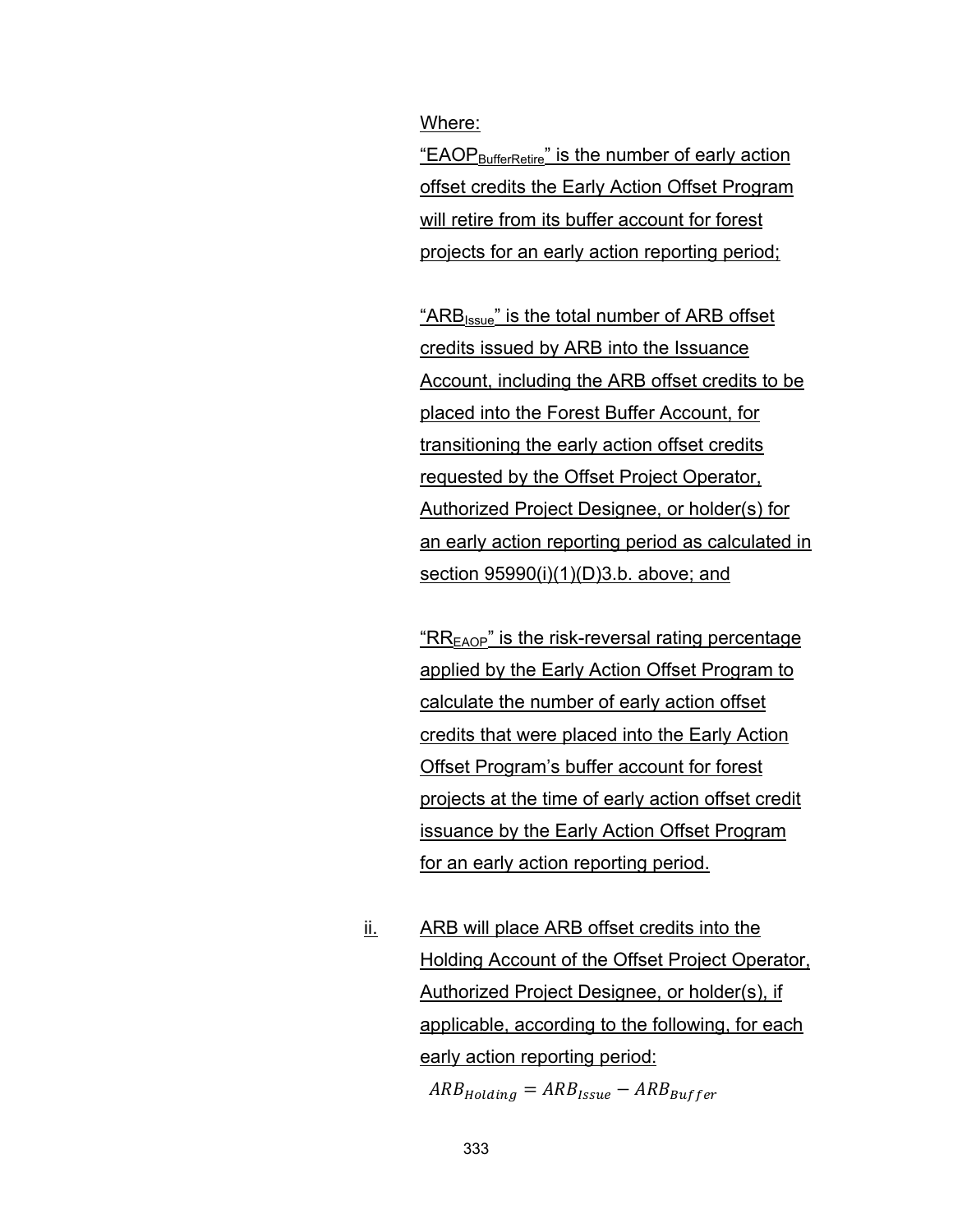Where:

"EAOP<sub>BufferRetire</sub>" is the number of early action offset credits the Early Action Offset Program will retire from its buffer account for forest projects for an early action reporting period;

"ARB<sub>Issue</sub>" is the total number of ARB offset credits issued by ARB into the Issuance Account, including the ARB offset credits to be placed into the Forest Buffer Account, for transitioning the early action offset credits requested by the Offset Project Operator, Authorized Project Designee, or holder(s) for an early action reporting period as calculated in section 95990(i)(1)(D)3.b. above; and

" $RR<sub>EAOP</sub>$ " is the risk-reversal rating percentage applied by the Early Action Offset Program to calculate the number of early action offset credits that were placed into the Early Action Offset Program's buffer account for forest projects at the time of early action offset credit issuance by the Early Action Offset Program for an early action reporting period.

ii. ARB will place ARB offset credits into the Holding Account of the Offset Project Operator, Authorized Project Designee, or holder(s), if applicable, according to the following, for each early action reporting period:  $ARB_{Holding} = ARB_{Issue} - ARB_{Ruffer}$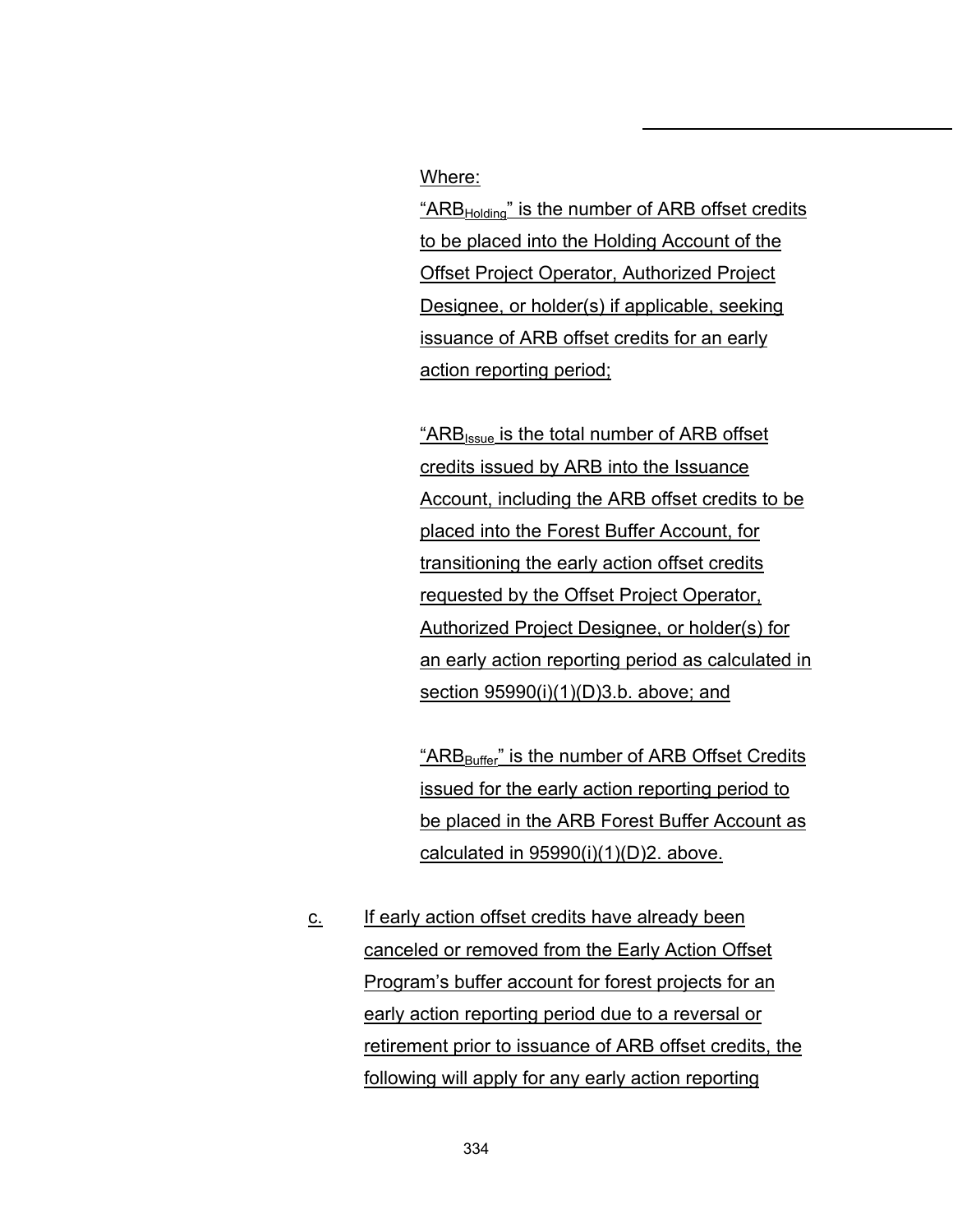#### Where:

" $ARB<sub>Holding</sub>$ " is the number of ARB offset credits to be placed into the Holding Account of the Offset Project Operator, Authorized Project Designee, or holder(s) if applicable, seeking issuance of ARB offset credits for an early action reporting period;

"ARBIssue is the total number of ARB offset credits issued by ARB into the Issuance Account, including the ARB offset credits to be placed into the Forest Buffer Account, for transitioning the early action offset credits requested by the Offset Project Operator, Authorized Project Designee, or holder(s) for an early action reporting period as calculated in section 95990(i)(1)(D)3.b. above; and

"ARB<sub>Buffer</sub>" is the number of ARB Offset Credits issued for the early action reporting period to be placed in the ARB Forest Buffer Account as calculated in 95990(i)(1)(D)2. above.

c. If early action offset credits have already been canceled or removed from the Early Action Offset Program's buffer account for forest projects for an early action reporting period due to a reversal or retirement prior to issuance of ARB offset credits, the following will apply for any early action reporting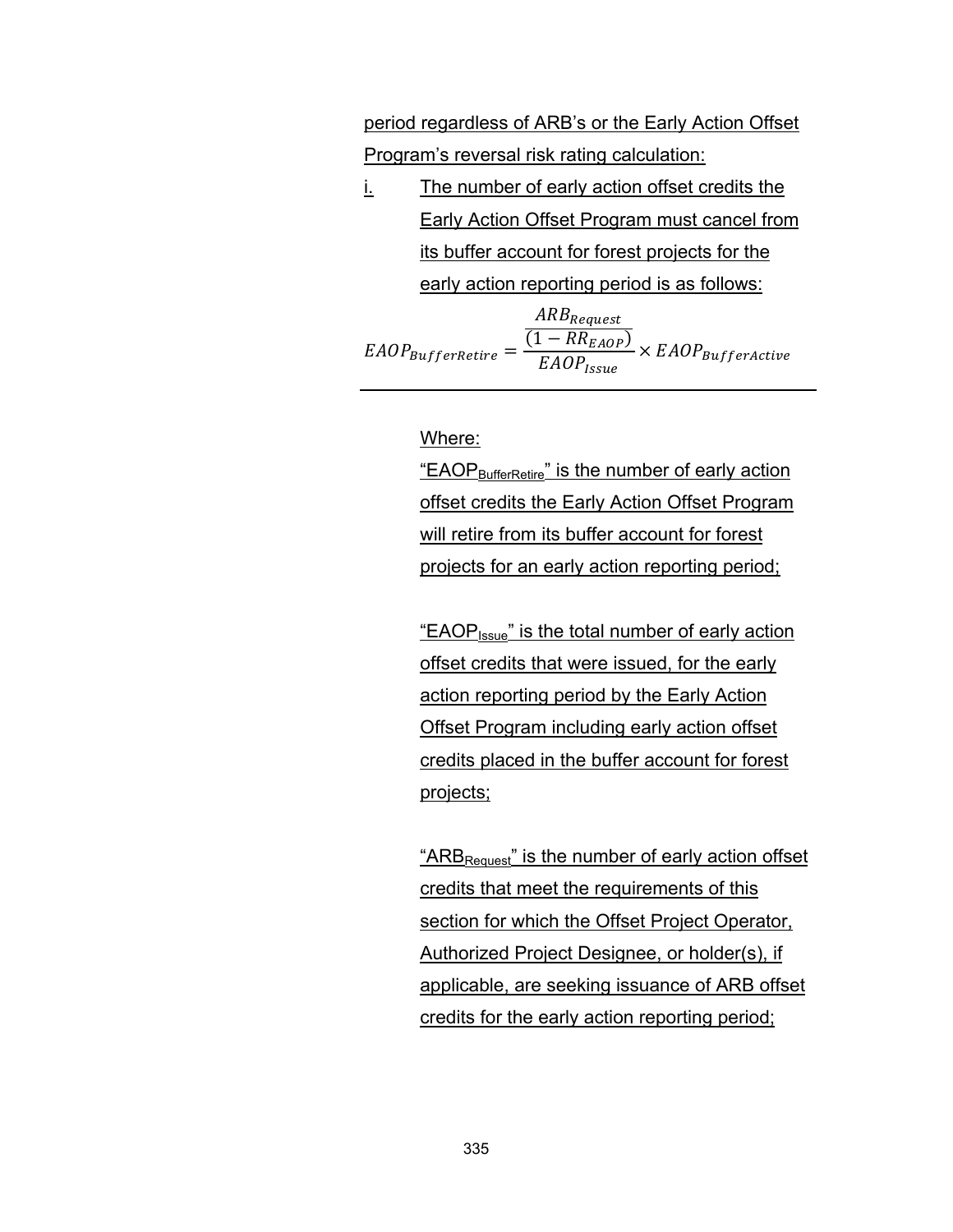period regardless of ARB's or the Early Action Offset Program's reversal risk rating calculation:

i. The number of early action offset credits the Early Action Offset Program must cancel from its buffer account for forest projects for the early action reporting period is as follows:

$$
E AOP_{BufferRetire} = \frac{\frac{ARB_{Request}}{(1 - RR_{E AOP})}}{E AOP_{issue}} \times E AOP_{BufferActive}
$$

#### Where:

"EAOP $_{\text{BufferRetire}}$ " is the number of early action offset credits the Early Action Offset Program will retire from its buffer account for forest projects for an early action reporting period;

"EAOP<sub>Issue</sub>" is the total number of early action offset credits that were issued, for the early action reporting period by the Early Action Offset Program including early action offset credits placed in the buffer account for forest projects;

" $ARB<sub>Request</sub>$ " is the number of early action offset credits that meet the requirements of this section for which the Offset Project Operator, Authorized Project Designee, or holder(s), if applicable, are seeking issuance of ARB offset credits for the early action reporting period;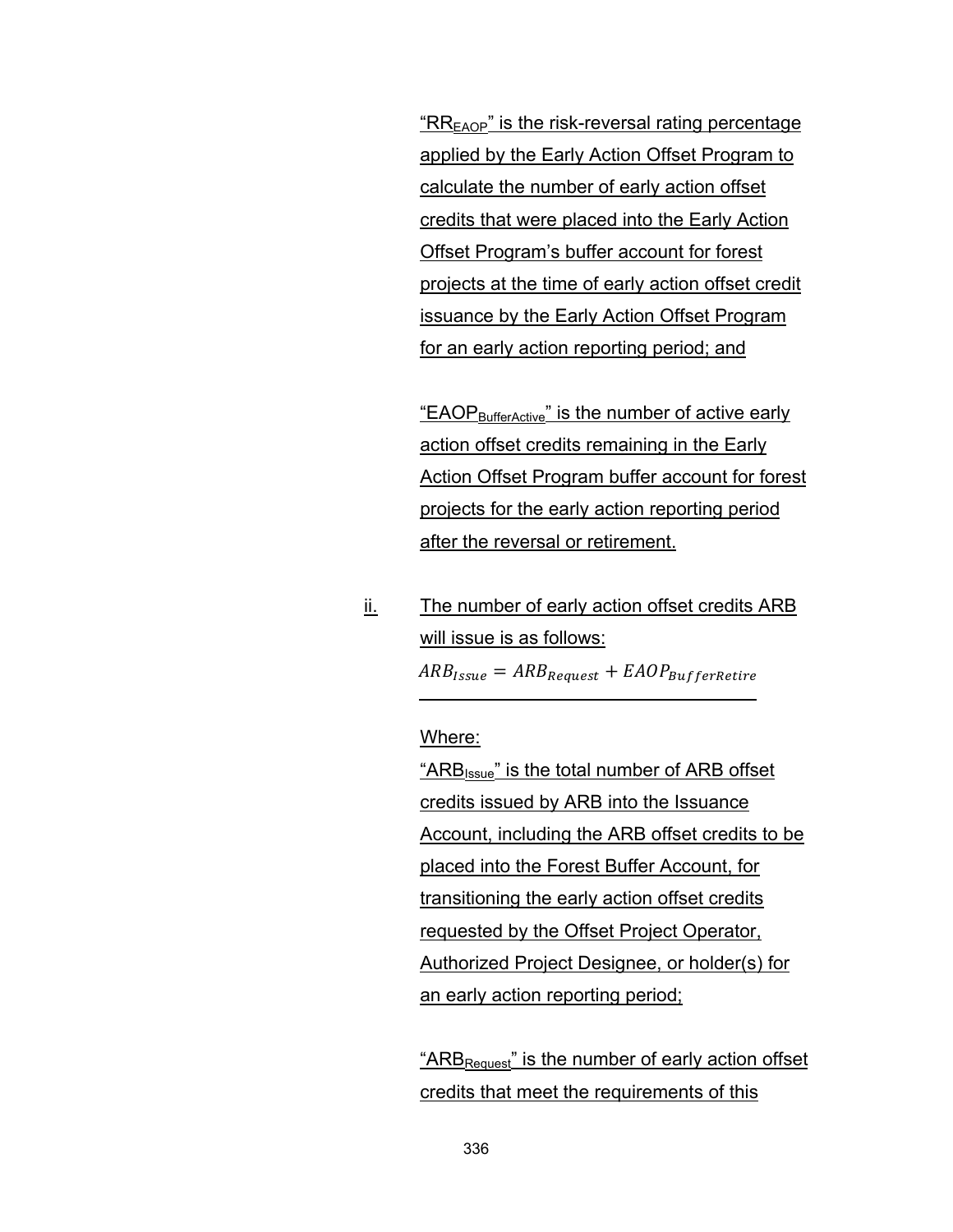" $RR<sub>FAOP</sub>$ " is the risk-reversal rating percentage applied by the Early Action Offset Program to calculate the number of early action offset credits that were placed into the Early Action Offset Program's buffer account for forest projects at the time of early action offset credit issuance by the Early Action Offset Program for an early action reporting period; and

"EAOP $_{\text{BufferActive}}$ " is the number of active early action offset credits remaining in the Early Action Offset Program buffer account for forest projects for the early action reporting period after the reversal or retirement.

ii. The number of early action offset credits ARB will issue is as follows:  $ARB_{\text{Issue}} = ARB_{\text{Request}} + EAOP_{\text{BufferRetire}}$ 

Where:

"ARB<sub>Issue</sub>" is the total number of ARB offset credits issued by ARB into the Issuance Account, including the ARB offset credits to be placed into the Forest Buffer Account, for transitioning the early action offset credits requested by the Offset Project Operator, Authorized Project Designee, or holder(s) for an early action reporting period;

"ARB<sub>Request</sub>" is the number of early action offset credits that meet the requirements of this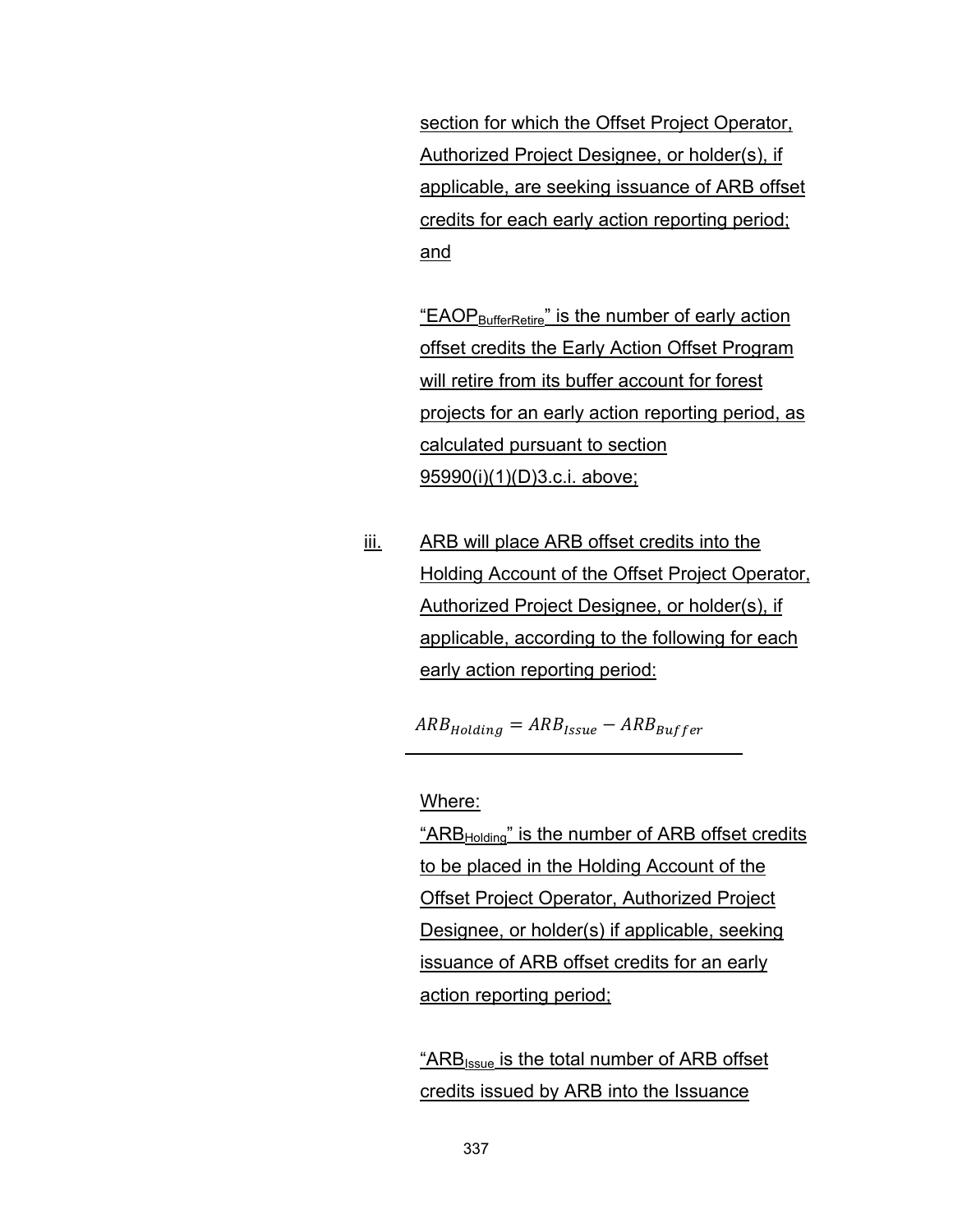section for which the Offset Project Operator, Authorized Project Designee, or holder(s), if applicable, are seeking issuance of ARB offset credits for each early action reporting period; and

"EAOP $_{\text{BufferRetire}}$ " is the number of early action offset credits the Early Action Offset Program will retire from its buffer account for forest projects for an early action reporting period, as calculated pursuant to section 95990(i)(1)(D)3.c.i. above;

iii. ARB will place ARB offset credits into the Holding Account of the Offset Project Operator, Authorized Project Designee, or holder(s), if applicable, according to the following for each early action reporting period:

 $ARB_{Holding} = ARB_{Issue} - ARB_{Buffer}$ 

Where:

"ARB<sub>Holding</sub>" is the number of ARB offset credits to be placed in the Holding Account of the Offset Project Operator, Authorized Project Designee, or holder(s) if applicable, seeking issuance of ARB offset credits for an early action reporting period;

"ARB<sub>Issue</sub> is the total number of ARB offset credits issued by ARB into the Issuance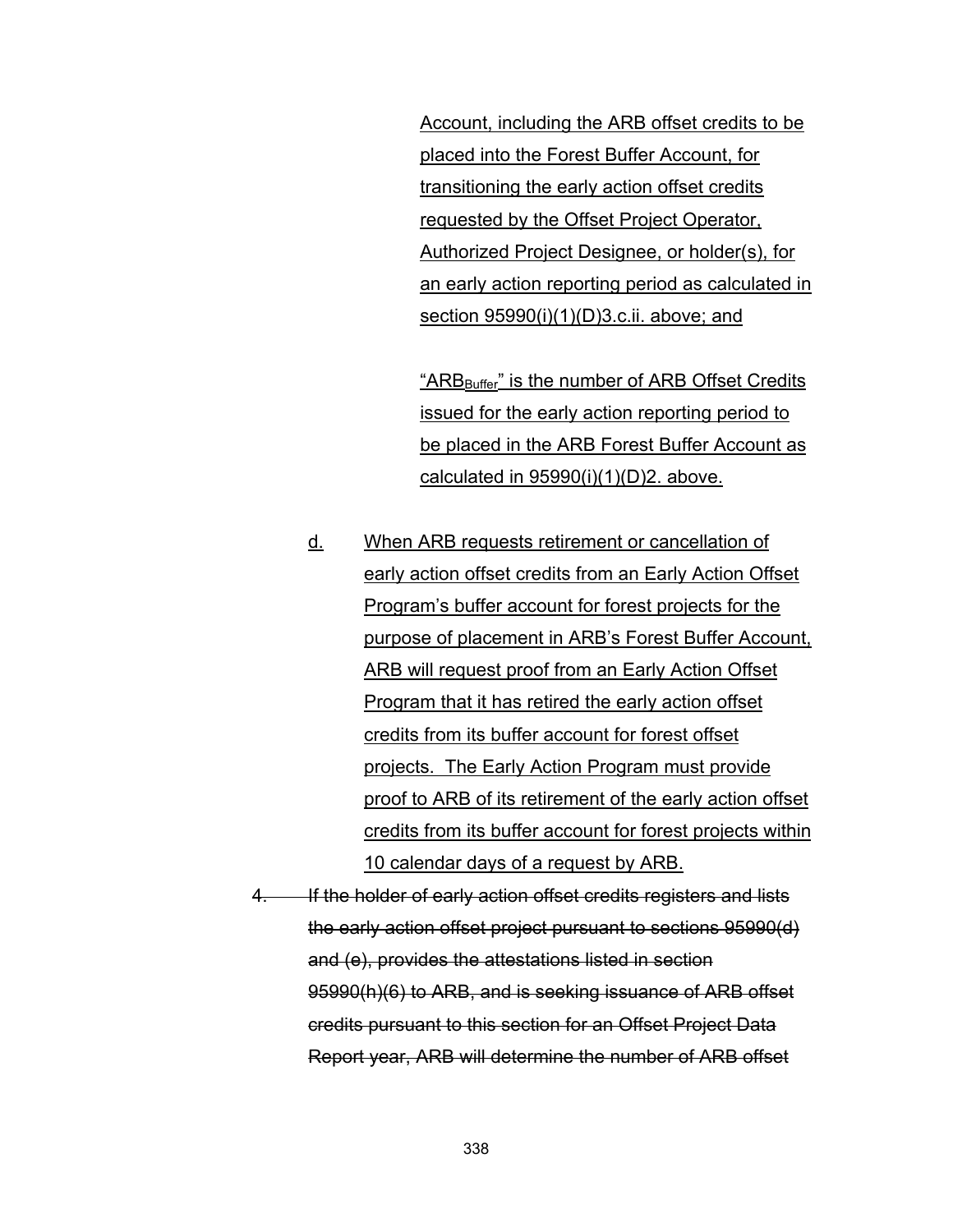Account, including the ARB offset credits to be placed into the Forest Buffer Account, for transitioning the early action offset credits requested by the Offset Project Operator, Authorized Project Designee, or holder(s), for an early action reporting period as calculated in section 95990(i)(1)(D)3.c.ii. above; and

"ARB<sub>Buffer</sub>" is the number of ARB Offset Credits issued for the early action reporting period to be placed in the ARB Forest Buffer Account as calculated in  $95990(i)(1)(D)2$ . above.

- d. When ARB requests retirement or cancellation of early action offset credits from an Early Action Offset Program's buffer account for forest projects for the purpose of placement in ARB's Forest Buffer Account, ARB will request proof from an Early Action Offset Program that it has retired the early action offset credits from its buffer account for forest offset projects. The Early Action Program must provide proof to ARB of its retirement of the early action offset credits from its buffer account for forest projects within 10 calendar days of a request by ARB.
- 4. If the holder of early action offset credits registers and lists the early action offset project pursuant to sections 95990(d) and (e), provides the attestations listed in section 95990(h)(6) to ARB, and is seeking issuance of ARB offset credits pursuant to this section for an Offset Project Data Report year, ARB will determine the number of ARB offset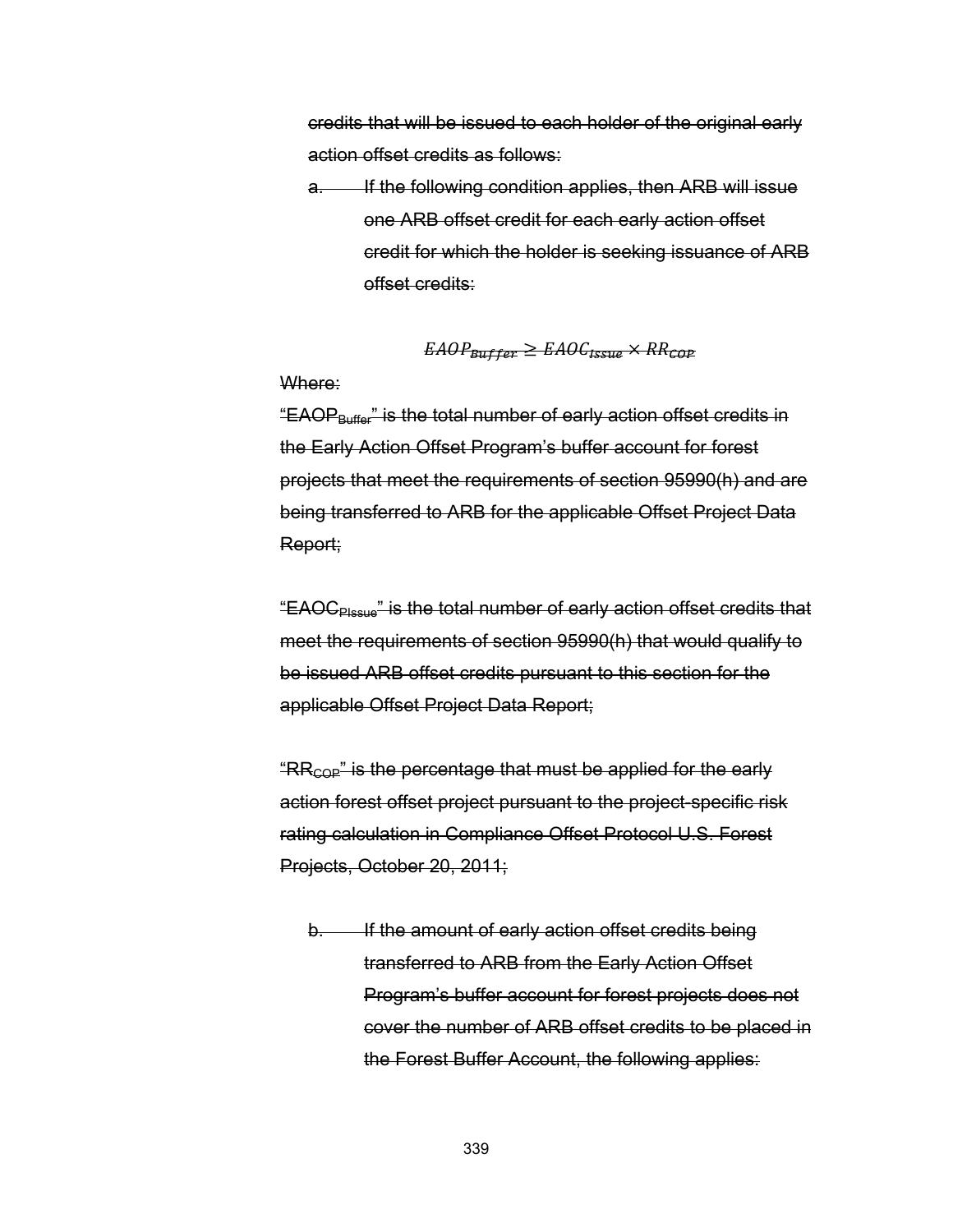credits that will be issued to each holder of the original early action offset credits as follows:

a. If the following condition applies, then ARB will issue one ARB offset credit for each early action offset credit for which the holder is seeking issuance of ARB offset credits:

$$
EAOP_{Buffer} \geq EAOC_{Issue} \times RR_{COP}
$$

#### Where:

"EAOP<sub>Buffer</sub>" is the total number of early action offset credits in the Early Action Offset Program's buffer account for forest projects that meet the requirements of section 95990(h) and are being transferred to ARB for the applicable Offset Project Data Report;

"EAOCPIssue" is the total number of early action offset credits that meet the requirements of section 95990(h) that would qualify to be issued ARB offset credits pursuant to this section for the applicable Offset Project Data Report;

"RR<sub>COP</sub>" is the percentage that must be applied for the early action forest offset project pursuant to the project-specific risk rating calculation in Compliance Offset Protocol U.S. Forest Projects, October 20, 2011;

b. If the amount of early action offset credits being transferred to ARB from the Early Action Offset Program's buffer account for forest projects does not cover the number of ARB offset credits to be placed in the Forest Buffer Account, the following applies: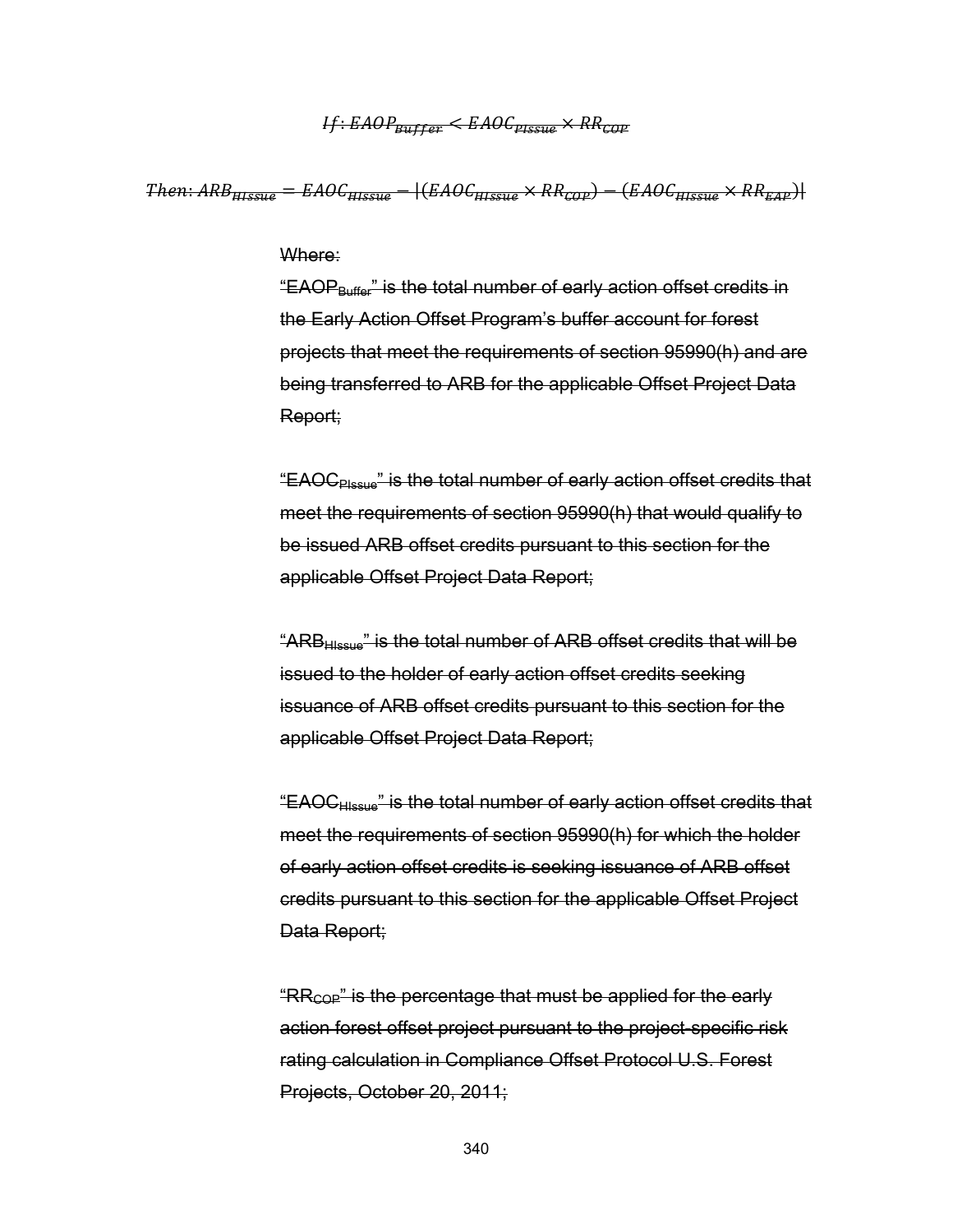# $H: EAOP_{Buffer} < EAOC_{pre, max} \times RR_{conv}$

 $Then: ARB<sub>Hresus</sub> = EAOC<sub>Hresus</sub> - | (EAOC<sub>Hresus</sub> × RR<sub>cap</sub>) - (EAOC<sub>Hresus</sub> × RR<sub>exp</sub>)|$ 

#### Where:

"EAOPBuffer" is the total number of early action offset credits in the Early Action Offset Program's buffer account for forest projects that meet the requirements of section 95990(h) and are being transferred to ARB for the applicable Offset Project Data Report;

"EAOCPIssue" is the total number of early action offset credits that meet the requirements of section 95990(h) that would qualify to be issued ARB offset credits pursuant to this section for the applicable Offset Project Data Report;

"ARBHIssue" is the total number of ARB offset credits that will be issued to the holder of early action offset credits seeking issuance of ARB offset credits pursuant to this section for the applicable Offset Project Data Report;

"EAOCHIssue" is the total number of early action offset credits that meet the requirements of section 95990(h) for which the holder of early action offset credits is seeking issuance of ARB offset credits pursuant to this section for the applicable Offset Project Data Report;

" $RR_{COP}$ " is the percentage that must be applied for the early action forest offset project pursuant to the project-specific risk rating calculation in Compliance Offset Protocol U.S. Forest Projects, October 20, 2011;

340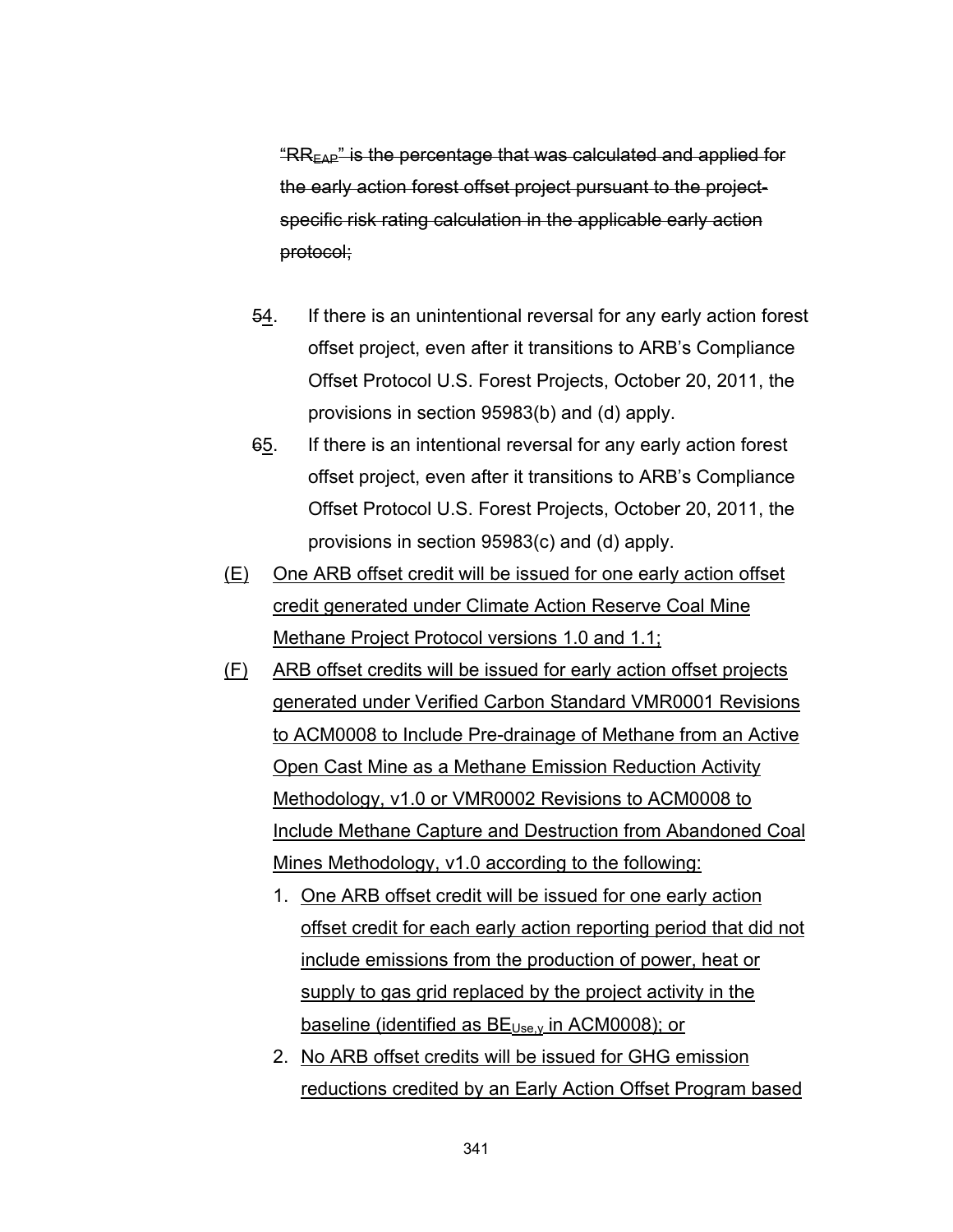"RREAP" is the percentage that was calculated and applied for the early action forest offset project pursuant to the projectspecific risk rating calculation in the applicable early action protocol;

- 54. If there is an unintentional reversal for any early action forest offset project, even after it transitions to ARB's Compliance Offset Protocol U.S. Forest Projects, October 20, 2011, the provisions in section 95983(b) and (d) apply.
- 65. If there is an intentional reversal for any early action forest offset project, even after it transitions to ARB's Compliance Offset Protocol U.S. Forest Projects, October 20, 2011, the provisions in section 95983(c) and (d) apply.
- (E) One ARB offset credit will be issued for one early action offset credit generated under Climate Action Reserve Coal Mine Methane Project Protocol versions 1.0 and 1.1;
- (F) ARB offset credits will be issued for early action offset projects generated under Verified Carbon Standard VMR0001 Revisions to ACM0008 to Include Pre-drainage of Methane from an Active Open Cast Mine as a Methane Emission Reduction Activity Methodology, v1.0 or VMR0002 Revisions to ACM0008 to Include Methane Capture and Destruction from Abandoned Coal Mines Methodology, v1.0 according to the following:
	- 1. One ARB offset credit will be issued for one early action offset credit for each early action reporting period that did not include emissions from the production of power, heat or supply to gas grid replaced by the project activity in the baseline (identified as  $BE_{Use, y}$  in ACM0008); or
	- 2. No ARB offset credits will be issued for GHG emission reductions credited by an Early Action Offset Program based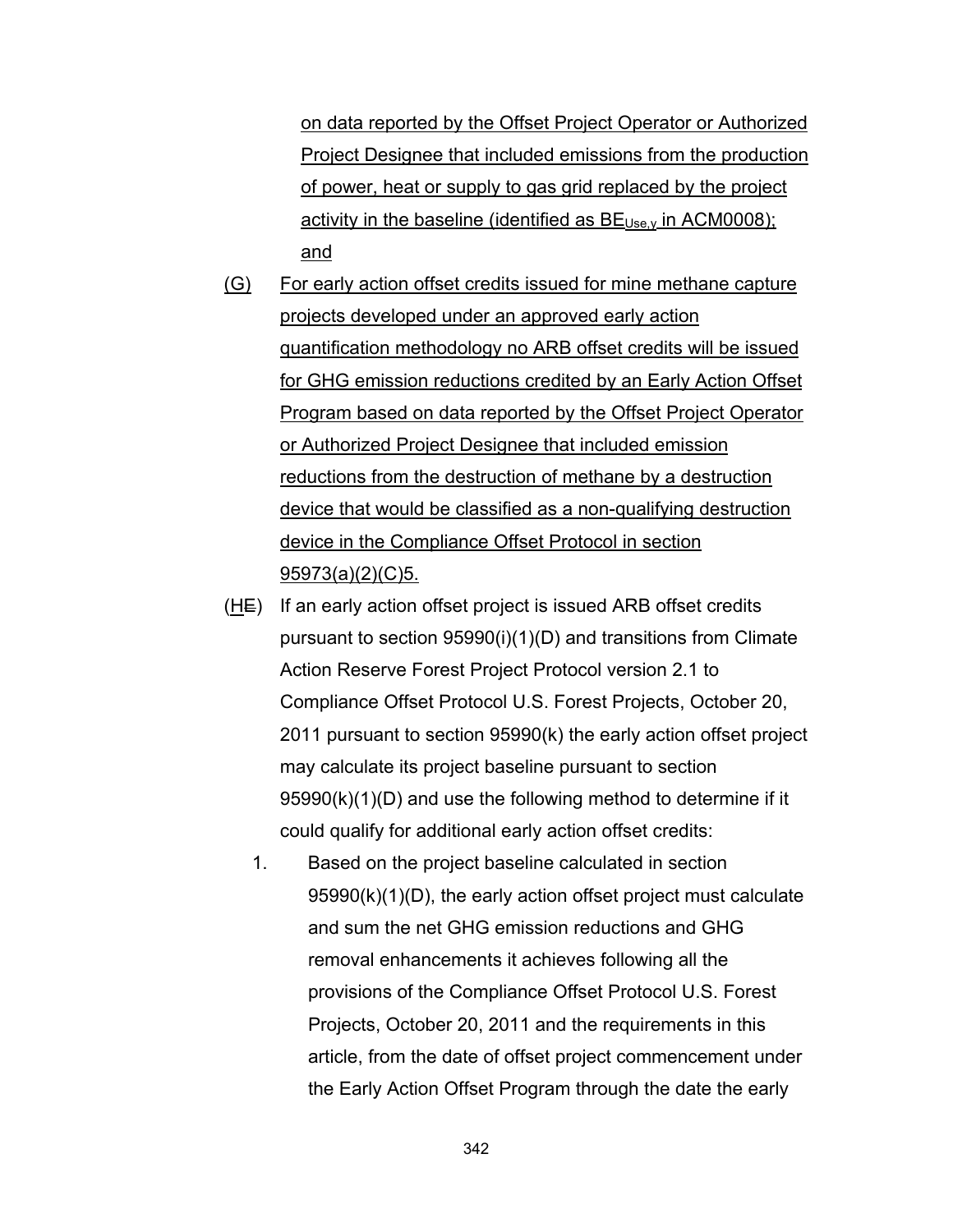on data reported by the Offset Project Operator or Authorized Project Designee that included emissions from the production of power, heat or supply to gas grid replaced by the project activity in the baseline (identified as  $BE_{Use, y}$  in ACM0008); and

- (G) For early action offset credits issued for mine methane capture projects developed under an approved early action quantification methodology no ARB offset credits will be issued for GHG emission reductions credited by an Early Action Offset Program based on data reported by the Offset Project Operator or Authorized Project Designee that included emission reductions from the destruction of methane by a destruction device that would be classified as a non-qualifying destruction device in the Compliance Offset Protocol in section 95973(a)(2)(C)5.
- $(HE)$  If an early action offset project is issued ARB offset credits pursuant to section 95990(i)(1)(D) and transitions from Climate Action Reserve Forest Project Protocol version 2.1 to Compliance Offset Protocol U.S. Forest Projects, October 20, 2011 pursuant to section 95990(k) the early action offset project may calculate its project baseline pursuant to section 95990(k)(1)(D) and use the following method to determine if it could qualify for additional early action offset credits:
	- 1. Based on the project baseline calculated in section 95990(k)(1)(D), the early action offset project must calculate and sum the net GHG emission reductions and GHG removal enhancements it achieves following all the provisions of the Compliance Offset Protocol U.S. Forest Projects, October 20, 2011 and the requirements in this article, from the date of offset project commencement under the Early Action Offset Program through the date the early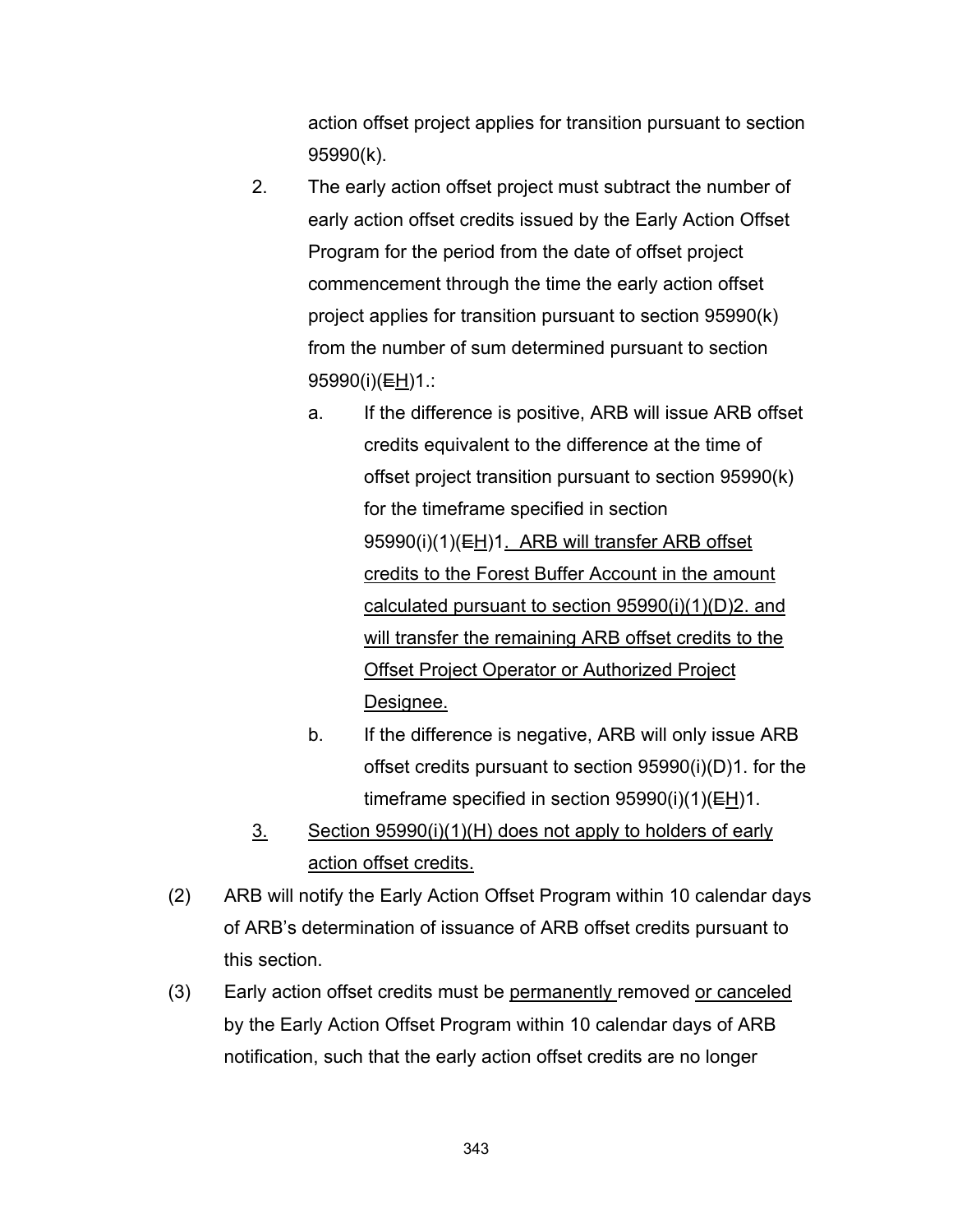action offset project applies for transition pursuant to section 95990(k).

- 2. The early action offset project must subtract the number of early action offset credits issued by the Early Action Offset Program for the period from the date of offset project commencement through the time the early action offset project applies for transition pursuant to section 95990(k) from the number of sum determined pursuant to section 95990(i)(EH)1.:
	- a. If the difference is positive, ARB will issue ARB offset credits equivalent to the difference at the time of offset project transition pursuant to section 95990(k) for the timeframe specified in section 95990(i)(1)(EH)1. ARB will transfer ARB offset credits to the Forest Buffer Account in the amount calculated pursuant to section 95990(i)(1)(D)2. and will transfer the remaining ARB offset credits to the Offset Project Operator or Authorized Project Designee.
	- b. If the difference is negative, ARB will only issue ARB offset credits pursuant to section 95990(i)(D)1. for the timeframe specified in section  $95990(i)(1)(EH)1$ .
- 3. Section 95990(i)(1)(H) does not apply to holders of early action offset credits.
- (2) ARB will notify the Early Action Offset Program within 10 calendar days of ARB's determination of issuance of ARB offset credits pursuant to this section.
- (3) Early action offset credits must be permanently removed or canceled by the Early Action Offset Program within 10 calendar days of ARB notification, such that the early action offset credits are no longer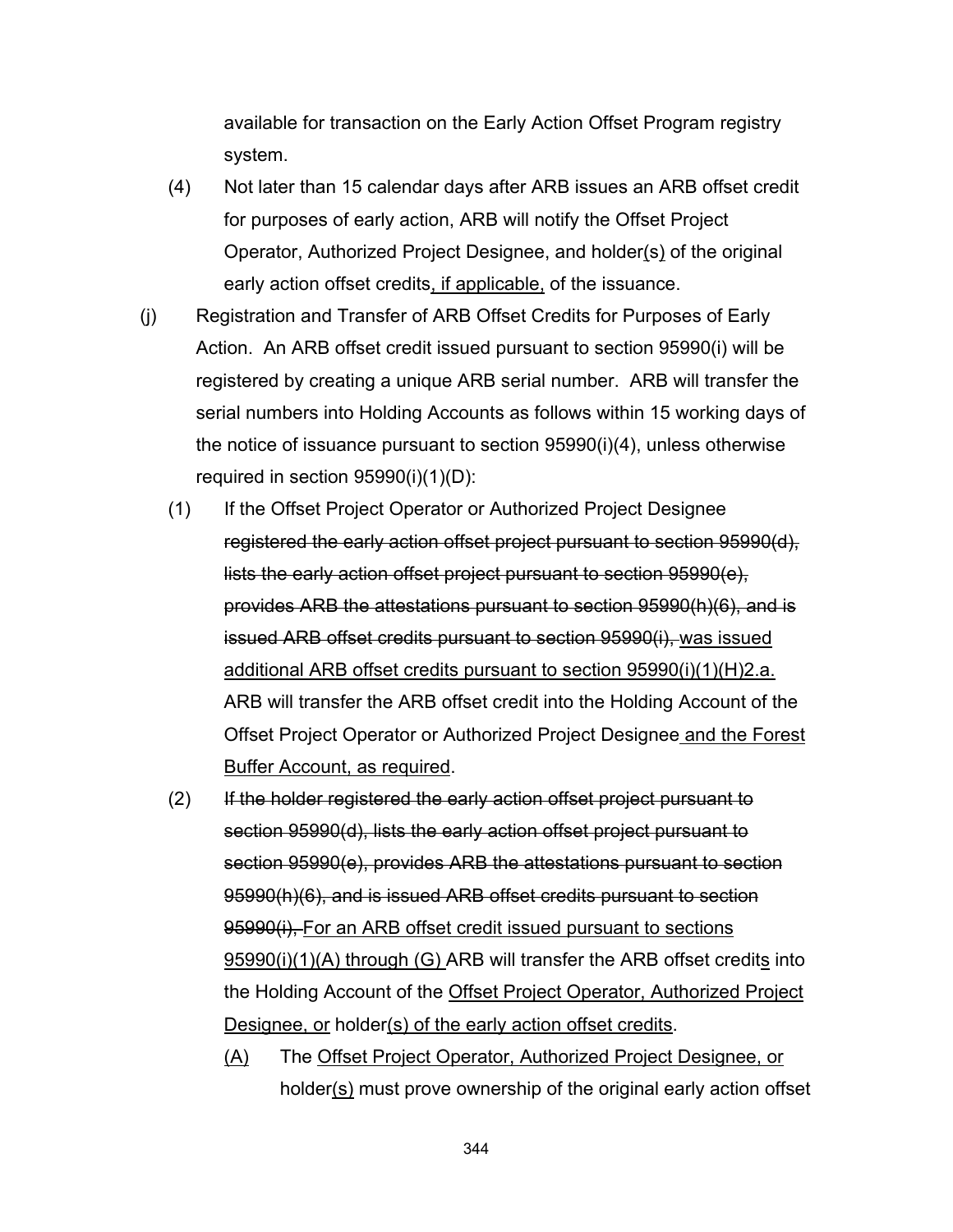available for transaction on the Early Action Offset Program registry system.

- (4) Not later than 15 calendar days after ARB issues an ARB offset credit for purposes of early action, ARB will notify the Offset Project Operator, Authorized Project Designee, and holder(s) of the original early action offset credits, if applicable, of the issuance.
- (j) Registration and Transfer of ARB Offset Credits for Purposes of Early Action. An ARB offset credit issued pursuant to section 95990(i) will be registered by creating a unique ARB serial number. ARB will transfer the serial numbers into Holding Accounts as follows within 15 working days of the notice of issuance pursuant to section 95990(i)(4), unless otherwise required in section 95990(i)(1)(D):
	- (1) If the Offset Project Operator or Authorized Project Designee registered the early action offset project pursuant to section 95990(d), lists the early action offset project pursuant to section 95990(e), provides ARB the attestations pursuant to section 95990(h)(6), and is issued ARB offset credits pursuant to section 95990(i), was issued additional ARB offset credits pursuant to section 95990(i)(1)(H)2.a. ARB will transfer the ARB offset credit into the Holding Account of the Offset Project Operator or Authorized Project Designee and the Forest Buffer Account, as required.
	- (2) If the holder registered the early action offset project pursuant to section 95990(d), lists the early action offset project pursuant to section 95990(e), provides ARB the attestations pursuant to section 95990(h)(6), and is issued ARB offset credits pursuant to section 95990(i), For an ARB offset credit issued pursuant to sections 95990(i)(1)(A) through (G) ARB will transfer the ARB offset credits into the Holding Account of the Offset Project Operator, Authorized Project Designee, or holder(s) of the early action offset credits.

(A) The Offset Project Operator, Authorized Project Designee, or holder(s) must prove ownership of the original early action offset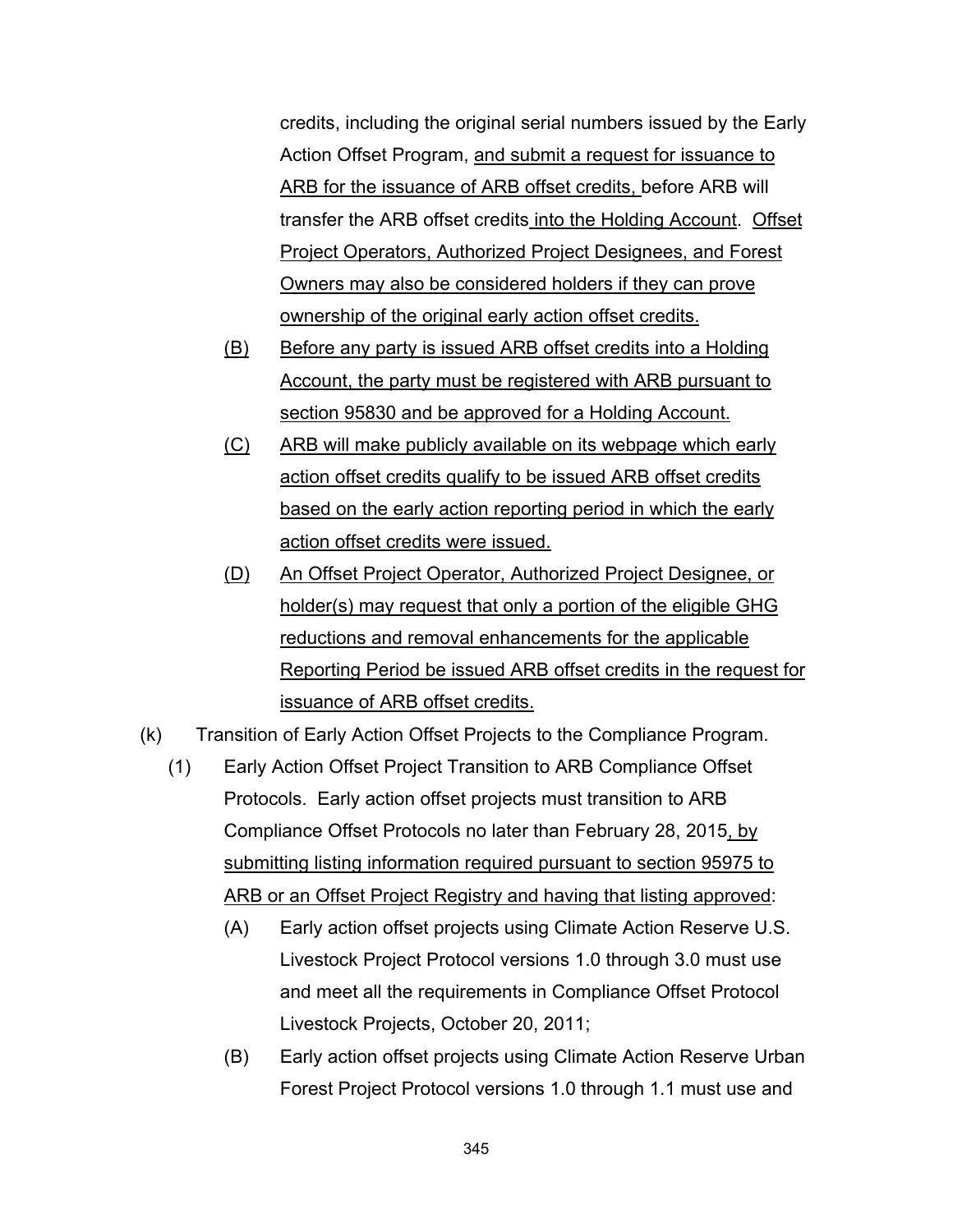credits, including the original serial numbers issued by the Early Action Offset Program, and submit a request for issuance to ARB for the issuance of ARB offset credits, before ARB will transfer the ARB offset credits into the Holding Account. Offset Project Operators, Authorized Project Designees, and Forest Owners may also be considered holders if they can prove ownership of the original early action offset credits.

- (B) Before any party is issued ARB offset credits into a Holding Account, the party must be registered with ARB pursuant to section 95830 and be approved for a Holding Account.
- (C) ARB will make publicly available on its webpage which early action offset credits qualify to be issued ARB offset credits based on the early action reporting period in which the early action offset credits were issued.
- (D) An Offset Project Operator, Authorized Project Designee, or holder(s) may request that only a portion of the eligible GHG reductions and removal enhancements for the applicable Reporting Period be issued ARB offset credits in the request for issuance of ARB offset credits.
- (k) Transition of Early Action Offset Projects to the Compliance Program.
	- (1) Early Action Offset Project Transition to ARB Compliance Offset Protocols. Early action offset projects must transition to ARB Compliance Offset Protocols no later than February 28, 2015, by submitting listing information required pursuant to section 95975 to ARB or an Offset Project Registry and having that listing approved:
		- (A) Early action offset projects using Climate Action Reserve U.S. Livestock Project Protocol versions 1.0 through 3.0 must use and meet all the requirements in Compliance Offset Protocol Livestock Projects, October 20, 2011;
		- (B) Early action offset projects using Climate Action Reserve Urban Forest Project Protocol versions 1.0 through 1.1 must use and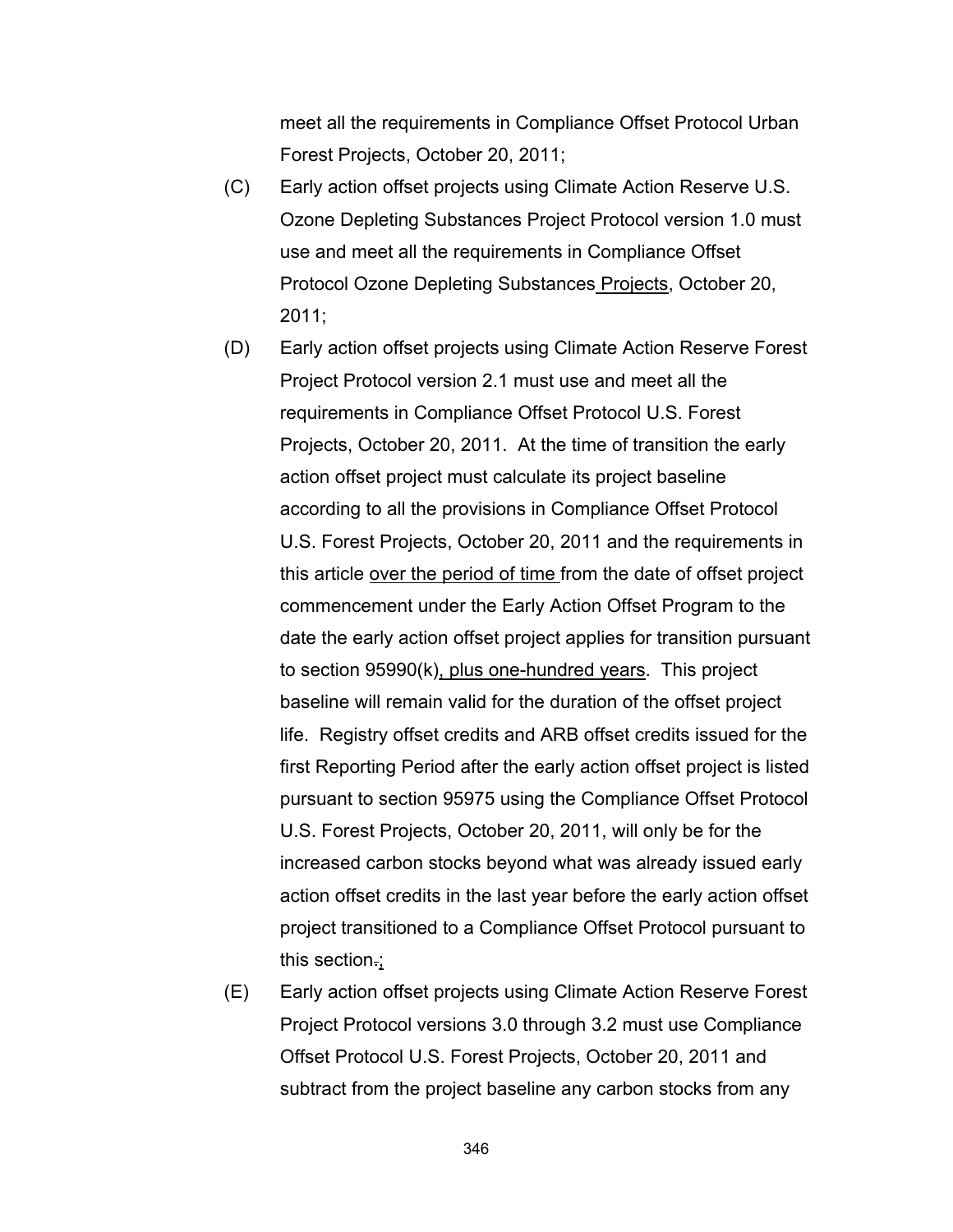meet all the requirements in Compliance Offset Protocol Urban Forest Projects, October 20, 2011;

- (C) Early action offset projects using Climate Action Reserve U.S. Ozone Depleting Substances Project Protocol version 1.0 must use and meet all the requirements in Compliance Offset Protocol Ozone Depleting Substances Projects, October 20, 2011;
- (D) Early action offset projects using Climate Action Reserve Forest Project Protocol version 2.1 must use and meet all the requirements in Compliance Offset Protocol U.S. Forest Projects, October 20, 2011. At the time of transition the early action offset project must calculate its project baseline according to all the provisions in Compliance Offset Protocol U.S. Forest Projects, October 20, 2011 and the requirements in this article over the period of time from the date of offset project commencement under the Early Action Offset Program to the date the early action offset project applies for transition pursuant to section 95990(k), plus one-hundred years. This project baseline will remain valid for the duration of the offset project life. Registry offset credits and ARB offset credits issued for the first Reporting Period after the early action offset project is listed pursuant to section 95975 using the Compliance Offset Protocol U.S. Forest Projects, October 20, 2011, will only be for the increased carbon stocks beyond what was already issued early action offset credits in the last year before the early action offset project transitioned to a Compliance Offset Protocol pursuant to this section.;
- (E) Early action offset projects using Climate Action Reserve Forest Project Protocol versions 3.0 through 3.2 must use Compliance Offset Protocol U.S. Forest Projects, October 20, 2011 and subtract from the project baseline any carbon stocks from any

346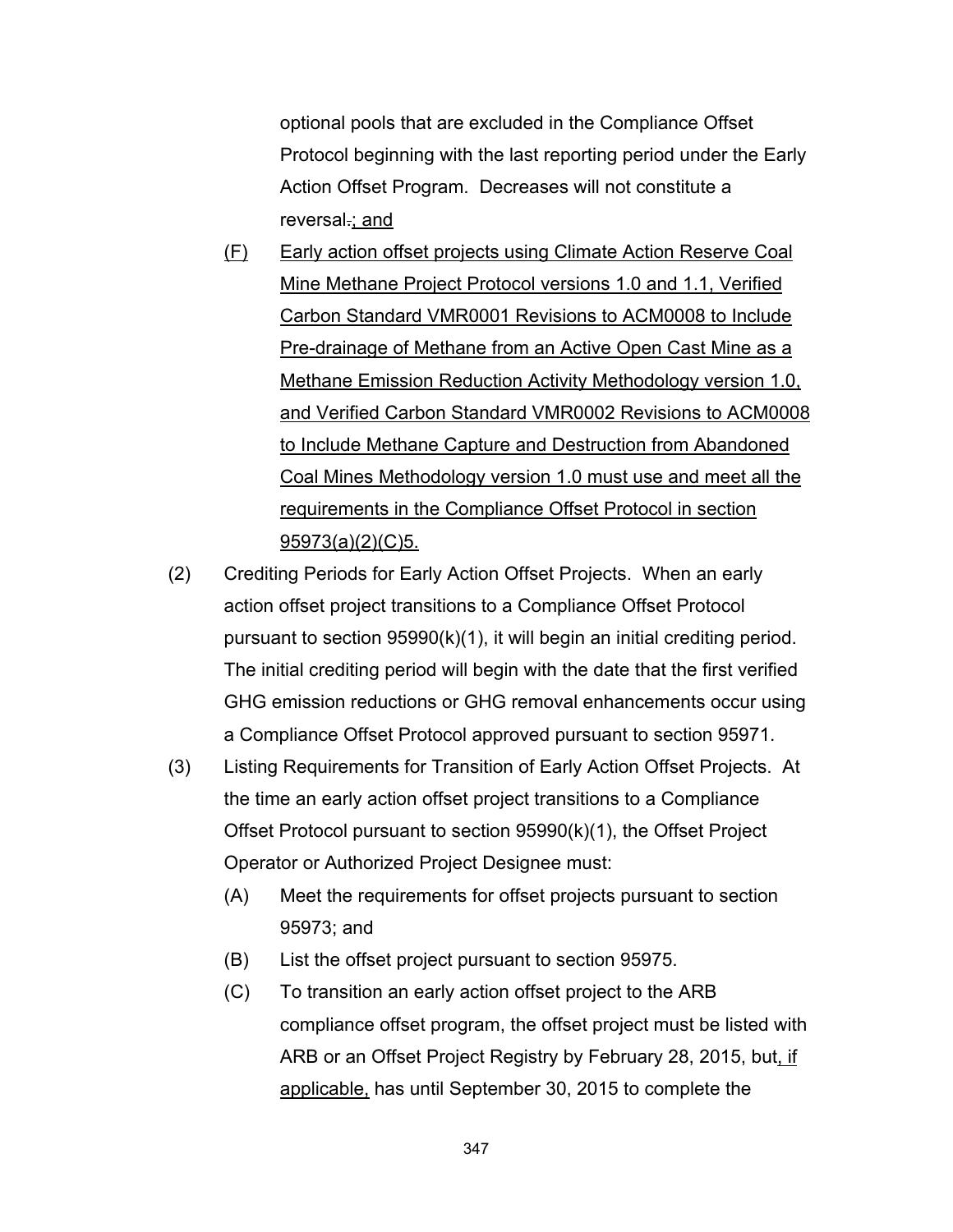optional pools that are excluded in the Compliance Offset Protocol beginning with the last reporting period under the Early Action Offset Program. Decreases will not constitute a reversal.; and

- (F) Early action offset projects using Climate Action Reserve Coal Mine Methane Project Protocol versions 1.0 and 1.1, Verified Carbon Standard VMR0001 Revisions to ACM0008 to Include Pre-drainage of Methane from an Active Open Cast Mine as a Methane Emission Reduction Activity Methodology version 1.0, and Verified Carbon Standard VMR0002 Revisions to ACM0008 to Include Methane Capture and Destruction from Abandoned Coal Mines Methodology version 1.0 must use and meet all the requirements in the Compliance Offset Protocol in section 95973(a)(2)(C)5.
- (2) Crediting Periods for Early Action Offset Projects. When an early action offset project transitions to a Compliance Offset Protocol pursuant to section 95990(k)(1), it will begin an initial crediting period. The initial crediting period will begin with the date that the first verified GHG emission reductions or GHG removal enhancements occur using a Compliance Offset Protocol approved pursuant to section 95971.
- (3) Listing Requirements for Transition of Early Action Offset Projects. At the time an early action offset project transitions to a Compliance Offset Protocol pursuant to section 95990(k)(1), the Offset Project Operator or Authorized Project Designee must:
	- (A) Meet the requirements for offset projects pursuant to section 95973; and
	- (B) List the offset project pursuant to section 95975.
	- (C) To transition an early action offset project to the ARB compliance offset program, the offset project must be listed with ARB or an Offset Project Registry by February 28, 2015, but, if applicable, has until September 30, 2015 to complete the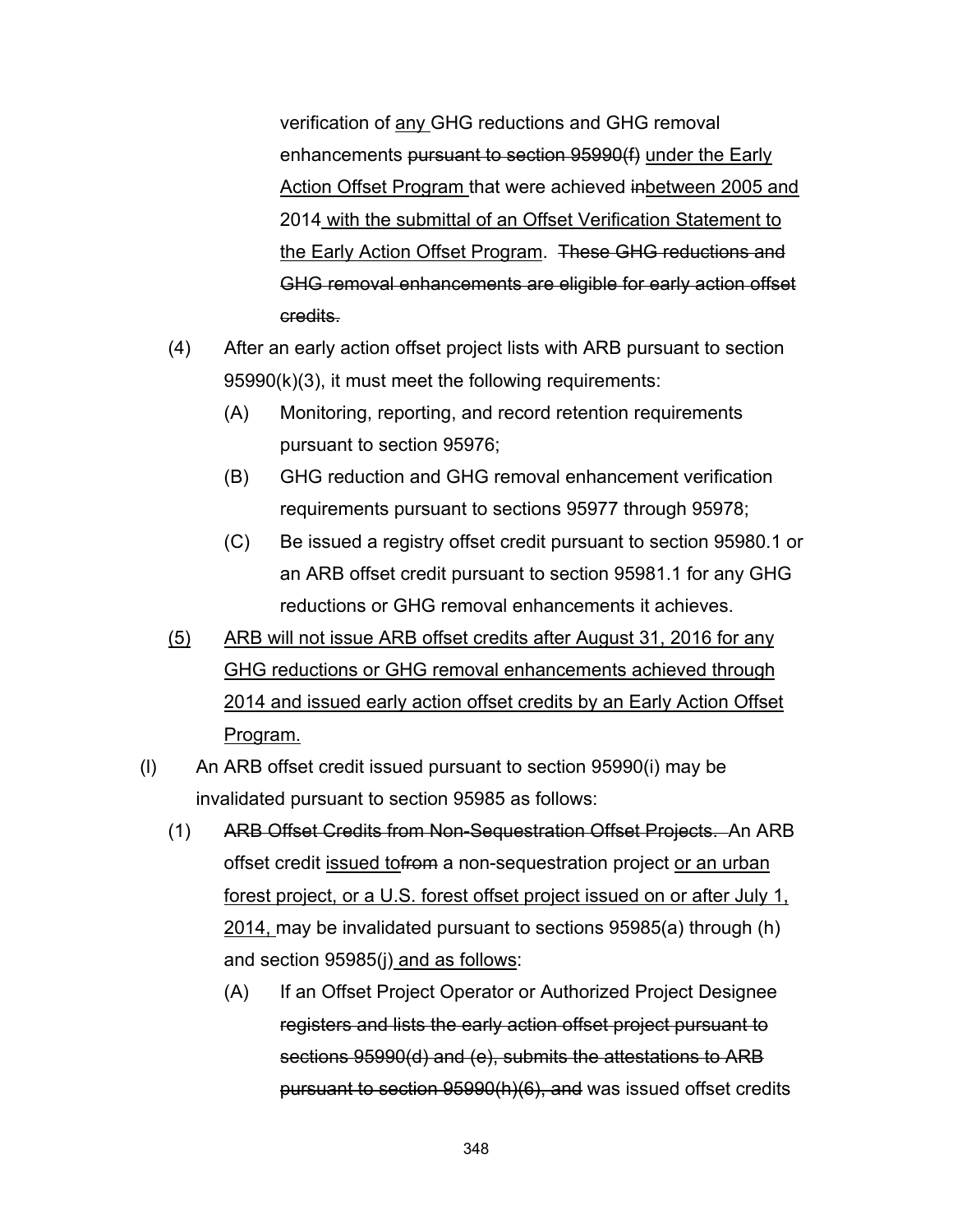verification of any GHG reductions and GHG removal enhancements pursuant to section 95990(f) under the Early Action Offset Program that were achieved inbetween 2005 and 2014 with the submittal of an Offset Verification Statement to the Early Action Offset Program. These GHG reductions and GHG removal enhancements are eligible for early action offset credits.

- (4) After an early action offset project lists with ARB pursuant to section 95990(k)(3), it must meet the following requirements:
	- (A) Monitoring, reporting, and record retention requirements pursuant to section 95976;
	- (B) GHG reduction and GHG removal enhancement verification requirements pursuant to sections 95977 through 95978;
	- (C) Be issued a registry offset credit pursuant to section 95980.1 or an ARB offset credit pursuant to section 95981.1 for any GHG reductions or GHG removal enhancements it achieves.
- (5) ARB will not issue ARB offset credits after August 31, 2016 for any GHG reductions or GHG removal enhancements achieved through 2014 and issued early action offset credits by an Early Action Offset Program.
- (l) An ARB offset credit issued pursuant to section 95990(i) may be invalidated pursuant to section 95985 as follows:
	- (1) ARB Offset Credits from Non-Sequestration Offset Projects. An ARB offset credit issued to from a non-sequestration project or an urban forest project, or a U.S. forest offset project issued on or after July 1, 2014, may be invalidated pursuant to sections 95985(a) through (h) and section 95985(j) and as follows:
		- (A) If an Offset Project Operator or Authorized Project Designee registers and lists the early action offset project pursuant to sections 95990(d) and (e), submits the attestations to ARB pursuant to section 95990(h)(6), and was issued offset credits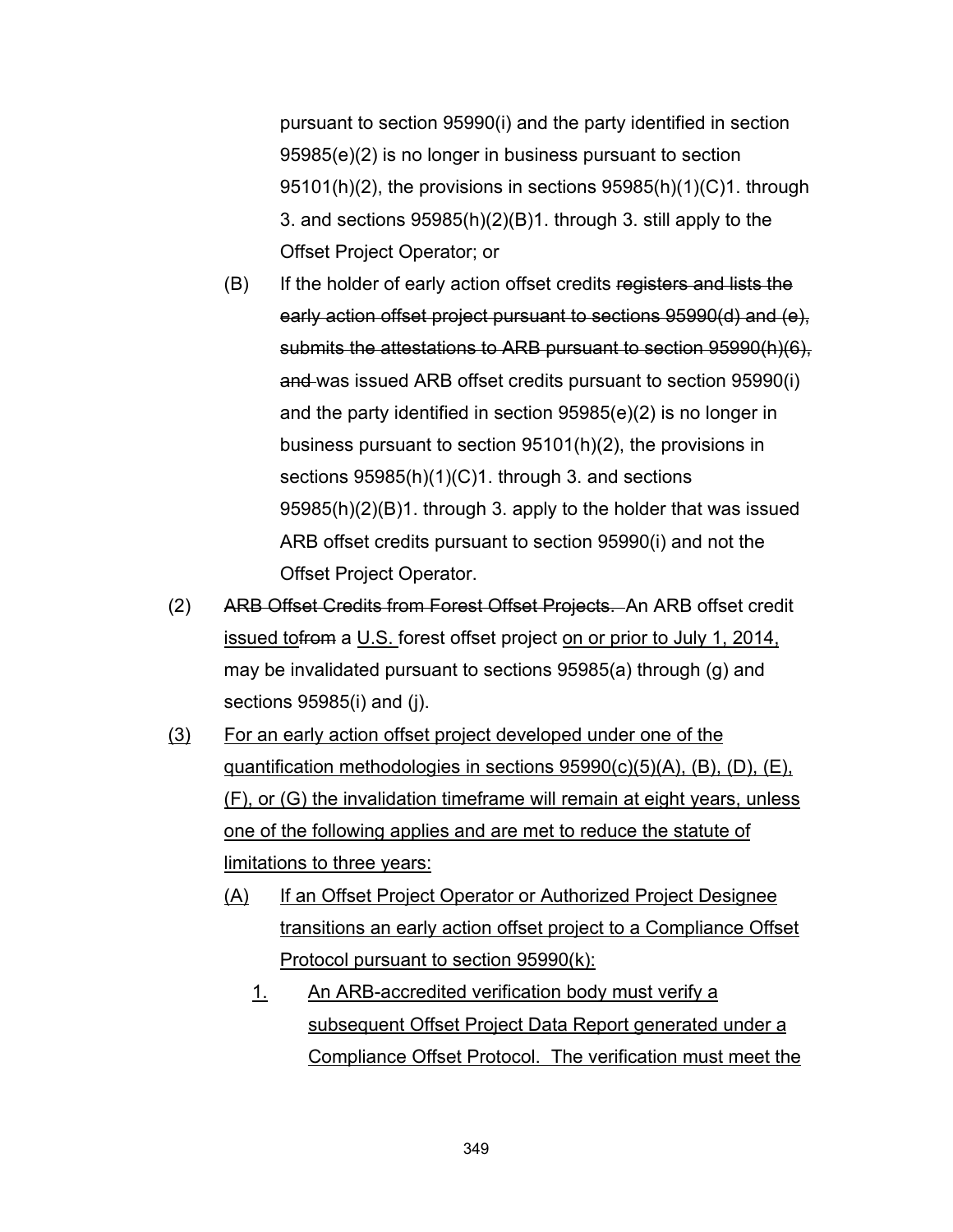pursuant to section 95990(i) and the party identified in section 95985(e)(2) is no longer in business pursuant to section 95101(h)(2), the provisions in sections 95985(h)(1)(C)1. through 3. and sections 95985(h)(2)(B)1. through 3. still apply to the Offset Project Operator; or

- (B) If the holder of early action offset credits registers and lists the early action offset project pursuant to sections 95990(d) and (e), submits the attestations to ARB pursuant to section 95990(h)(6), and was issued ARB offset credits pursuant to section 95990(i) and the party identified in section 95985(e)(2) is no longer in business pursuant to section 95101(h)(2), the provisions in sections 95985(h)(1)(C)1. through 3. and sections 95985(h)(2)(B)1. through 3. apply to the holder that was issued ARB offset credits pursuant to section 95990(i) and not the Offset Project Operator.
- (2) ARB Offset Credits from Forest Offset Projects. An ARB offset credit issued tofrom a U.S. forest offset project on or prior to July 1, 2014, may be invalidated pursuant to sections 95985(a) through (g) and sections 95985(i) and (j).
- (3) For an early action offset project developed under one of the quantification methodologies in sections 95990(c)(5)(A), (B), (D), (E), (F), or (G) the invalidation timeframe will remain at eight years, unless one of the following applies and are met to reduce the statute of limitations to three years:
	- (A) If an Offset Project Operator or Authorized Project Designee transitions an early action offset project to a Compliance Offset Protocol pursuant to section 95990(k):
		- 1. An ARB-accredited verification body must verify a subsequent Offset Project Data Report generated under a Compliance Offset Protocol. The verification must meet the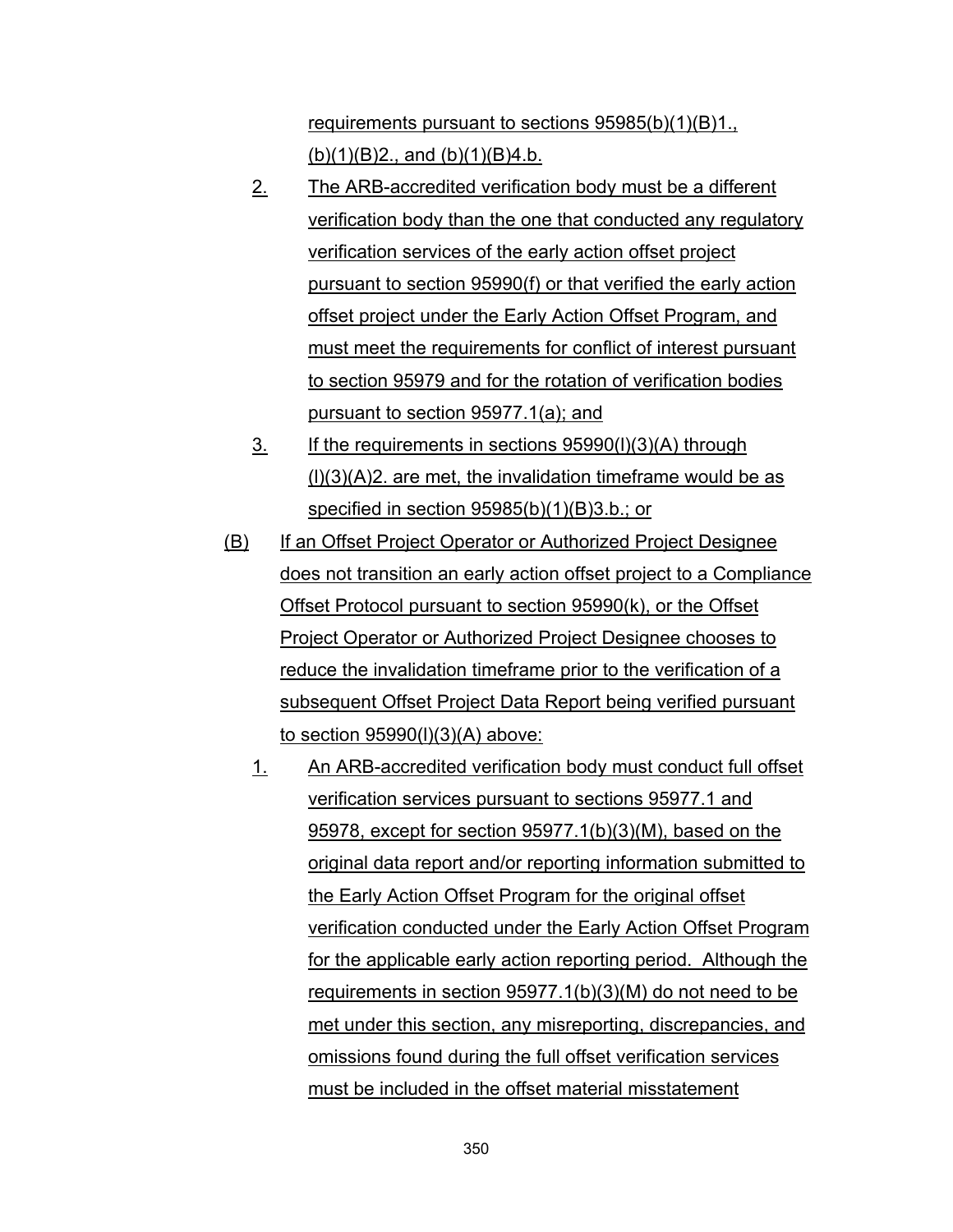requirements pursuant to sections 95985(b)(1)(B)1., (b)(1)(B)2., and (b)(1)(B)4.b.

- 2. The ARB-accredited verification body must be a different verification body than the one that conducted any regulatory verification services of the early action offset project pursuant to section 95990(f) or that verified the early action offset project under the Early Action Offset Program, and must meet the requirements for conflict of interest pursuant to section 95979 and for the rotation of verification bodies pursuant to section 95977.1(a); and
- 3. If the requirements in sections 95990(l)(3)(A) through  $(1)(3)(A)2$ . are met, the invalidation timeframe would be as specified in section 95985(b)(1)(B)3.b.; or
- (B) If an Offset Project Operator or Authorized Project Designee does not transition an early action offset project to a Compliance Offset Protocol pursuant to section 95990(k), or the Offset Project Operator or Authorized Project Designee chooses to reduce the invalidation timeframe prior to the verification of a subsequent Offset Project Data Report being verified pursuant to section 95990(l)(3)(A) above:
	- 1. An ARB-accredited verification body must conduct full offset verification services pursuant to sections 95977.1 and 95978, except for section 95977.1(b)(3)(M), based on the original data report and/or reporting information submitted to the Early Action Offset Program for the original offset verification conducted under the Early Action Offset Program for the applicable early action reporting period. Although the requirements in section 95977.1(b)(3)(M) do not need to be met under this section, any misreporting, discrepancies, and omissions found during the full offset verification services must be included in the offset material misstatement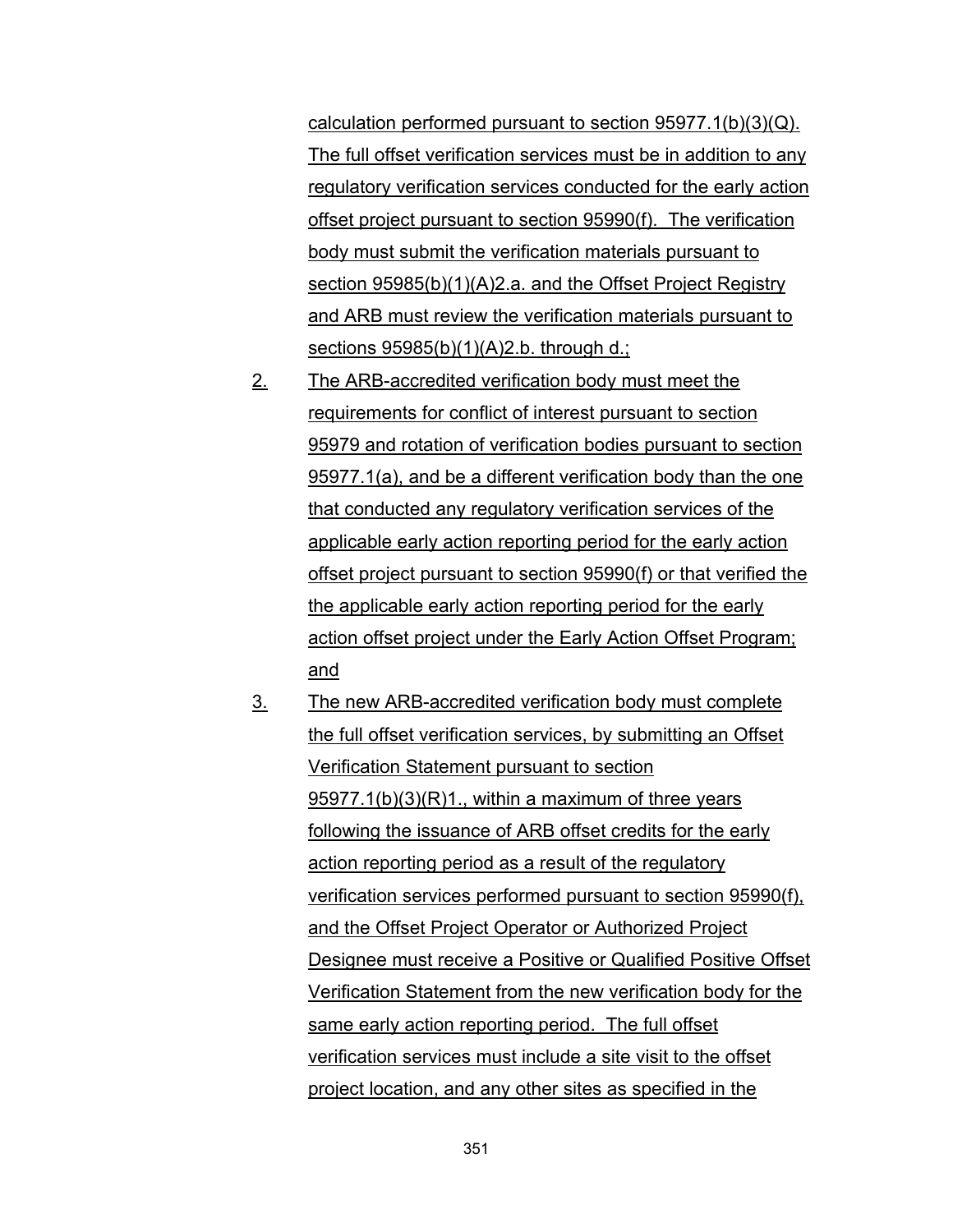calculation performed pursuant to section 95977.1(b)(3)(Q). The full offset verification services must be in addition to any regulatory verification services conducted for the early action offset project pursuant to section 95990(f). The verification body must submit the verification materials pursuant to section 95985(b)(1)(A)2.a. and the Offset Project Registry and ARB must review the verification materials pursuant to sections 95985(b)(1)(A)2.b. through d.;

- 2. The ARB-accredited verification body must meet the requirements for conflict of interest pursuant to section 95979 and rotation of verification bodies pursuant to section 95977.1(a), and be a different verification body than the one that conducted any regulatory verification services of the applicable early action reporting period for the early action offset project pursuant to section 95990(f) or that verified the the applicable early action reporting period for the early action offset project under the Early Action Offset Program; and
- 3. The new ARB-accredited verification body must complete the full offset verification services, by submitting an Offset Verification Statement pursuant to section 95977.1(b)(3)(R)1., within a maximum of three years following the issuance of ARB offset credits for the early action reporting period as a result of the regulatory verification services performed pursuant to section 95990(f), and the Offset Project Operator or Authorized Project Designee must receive a Positive or Qualified Positive Offset Verification Statement from the new verification body for the same early action reporting period. The full offset verification services must include a site visit to the offset project location, and any other sites as specified in the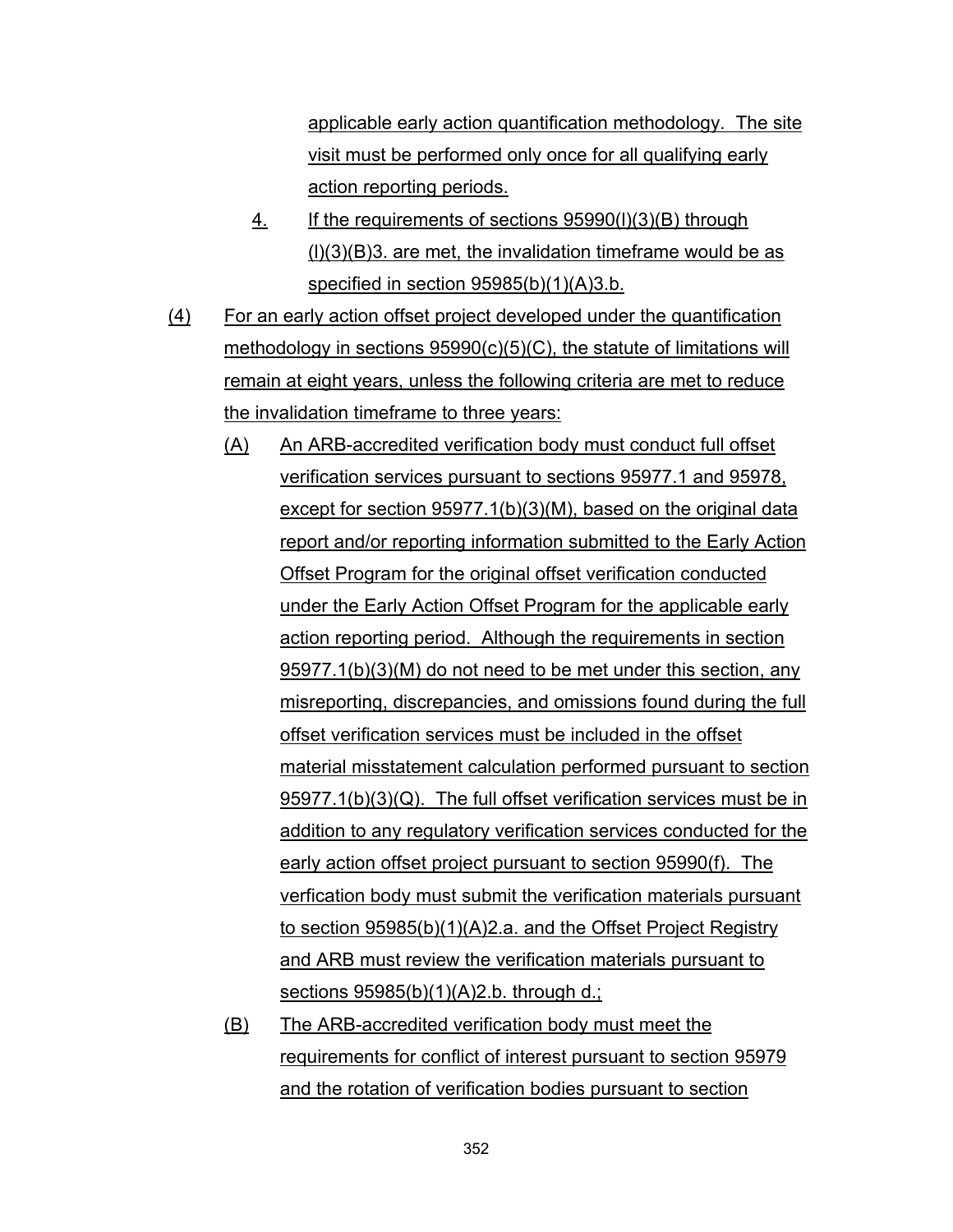applicable early action quantification methodology. The site visit must be performed only once for all qualifying early action reporting periods.

- 4. If the requirements of sections 95990(l)(3)(B) through  $(l)(3)(B)3$ . are met, the invalidation timeframe would be as specified in section 95985(b)(1)(A)3.b.
- (4) For an early action offset project developed under the quantification methodology in sections 95990(c)(5)(C), the statute of limitations will remain at eight years, unless the following criteria are met to reduce the invalidation timeframe to three years:
	- (A) An ARB-accredited verification body must conduct full offset verification services pursuant to sections 95977.1 and 95978, except for section 95977.1(b)(3)(M), based on the original data report and/or reporting information submitted to the Early Action Offset Program for the original offset verification conducted under the Early Action Offset Program for the applicable early action reporting period. Although the requirements in section 95977.1(b)(3)(M) do not need to be met under this section, any misreporting, discrepancies, and omissions found during the full offset verification services must be included in the offset material misstatement calculation performed pursuant to section 95977.1(b)(3)(Q). The full offset verification services must be in addition to any regulatory verification services conducted for the early action offset project pursuant to section 95990(f). The verfication body must submit the verification materials pursuant to section 95985(b)(1)(A)2.a. and the Offset Project Registry and ARB must review the verification materials pursuant to sections 95985(b)(1)(A)2.b. through d.;
	- (B) The ARB-accredited verification body must meet the requirements for conflict of interest pursuant to section 95979 and the rotation of verification bodies pursuant to section

352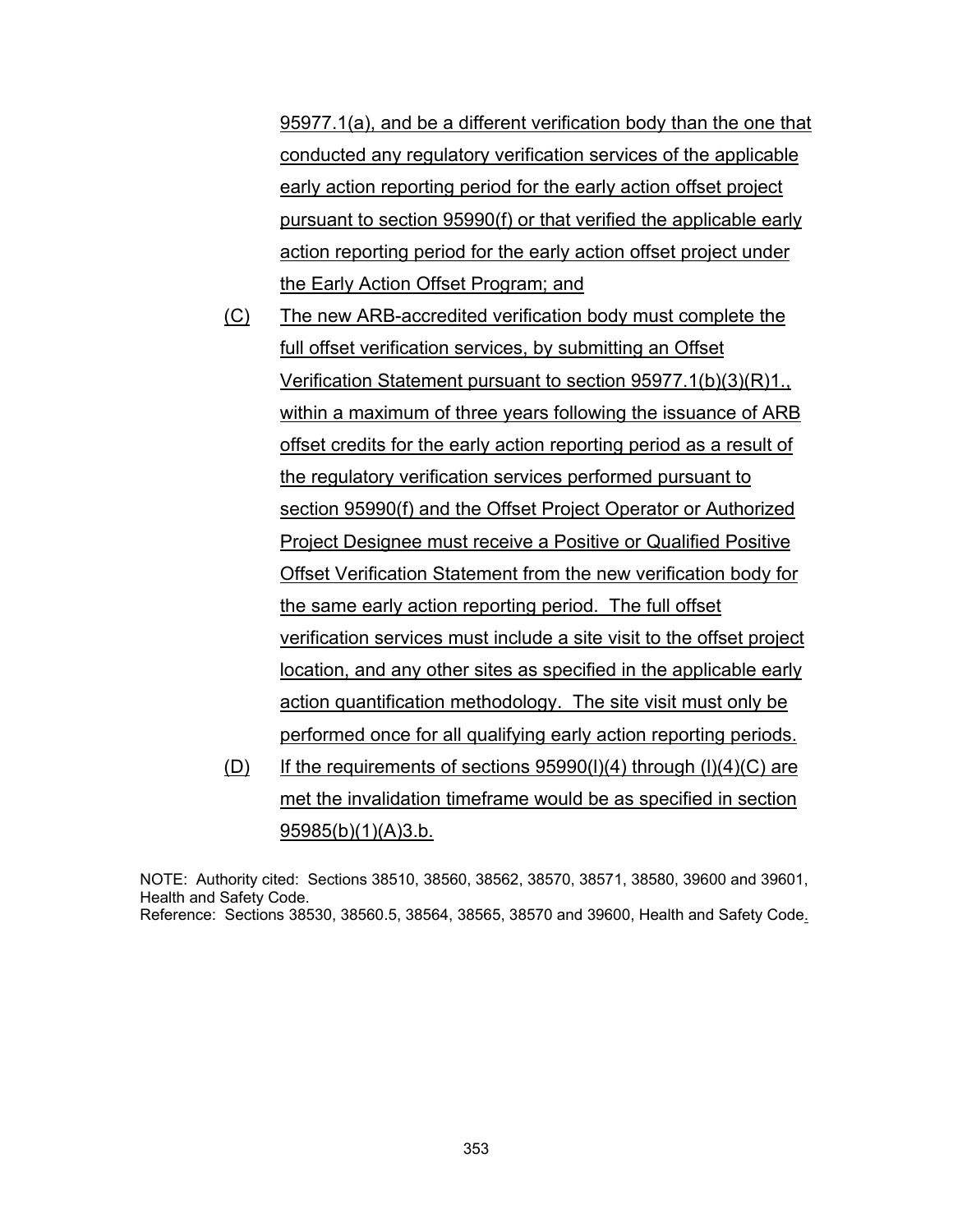95977.1(a), and be a different verification body than the one that conducted any regulatory verification services of the applicable early action reporting period for the early action offset project pursuant to section 95990(f) or that verified the applicable early action reporting period for the early action offset project under the Early Action Offset Program; and

- (C) The new ARB-accredited verification body must complete the full offset verification services, by submitting an Offset Verification Statement pursuant to section 95977.1(b)(3)(R)1., within a maximum of three years following the issuance of ARB offset credits for the early action reporting period as a result of the regulatory verification services performed pursuant to section 95990(f) and the Offset Project Operator or Authorized Project Designee must receive a Positive or Qualified Positive Offset Verification Statement from the new verification body for the same early action reporting period. The full offset verification services must include a site visit to the offset project location, and any other sites as specified in the applicable early action quantification methodology. The site visit must only be performed once for all qualifying early action reporting periods.
- (D) If the requirements of sections  $95990(1)(4)$  through  $(1)(4)(C)$  are met the invalidation timeframe would be as specified in section 95985(b)(1)(A)3.b.

NOTE: Authority cited: Sections 38510, 38560, 38562, 38570, 38571, 38580, 39600 and 39601, Health and Safety Code. Reference: Sections 38530, 38560.5, 38564, 38565, 38570 and 39600, Health and Safety Code.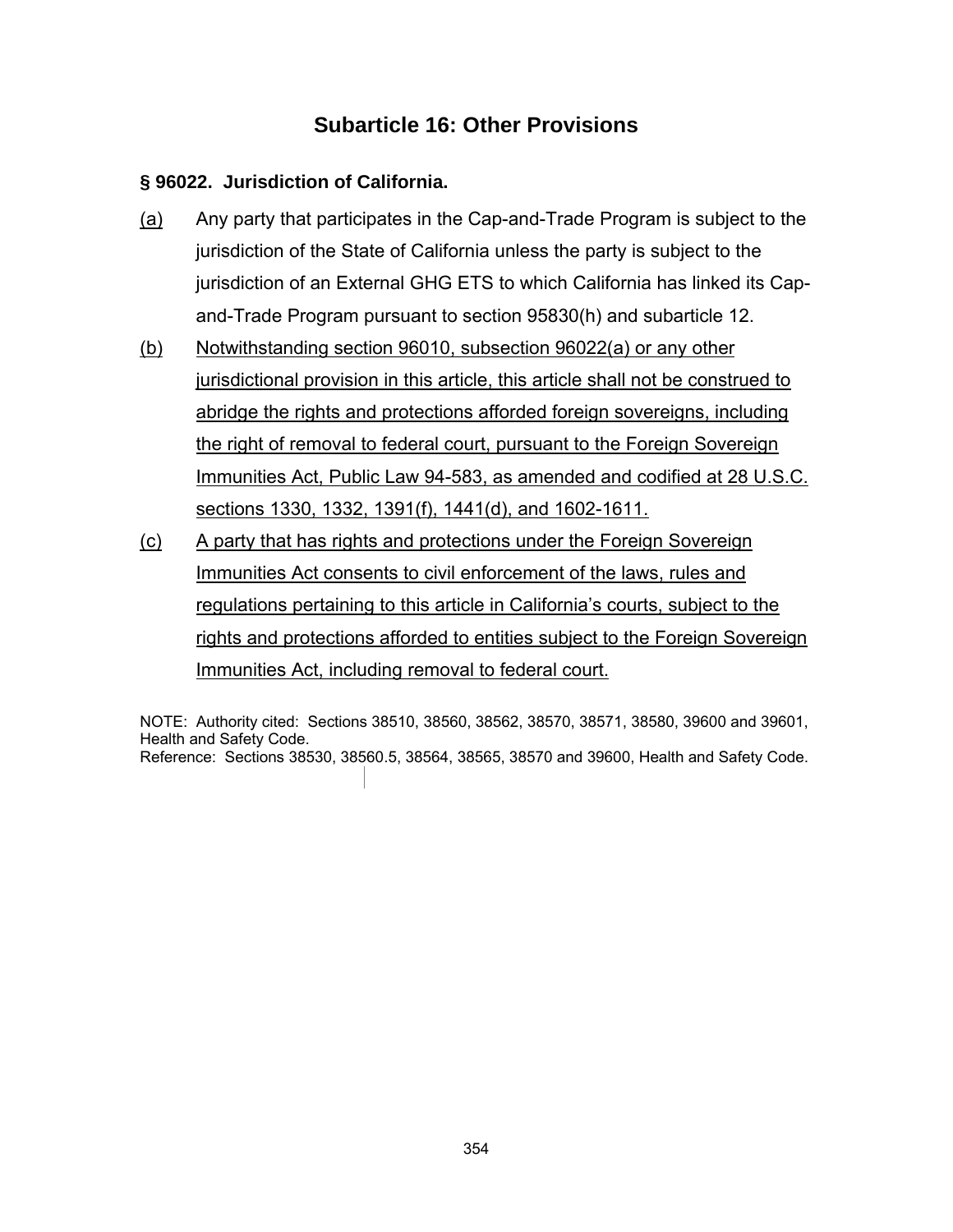# **Subarticle 16: Other Provisions**

### **§ 96022. Jurisdiction of California.**

- (a) Any party that participates in the Cap-and-Trade Program is subject to the jurisdiction of the State of California unless the party is subject to the jurisdiction of an External GHG ETS to which California has linked its Capand-Trade Program pursuant to section 95830(h) and subarticle 12.
- (b) Notwithstanding section 96010, subsection 96022(a) or any other jurisdictional provision in this article, this article shall not be construed to abridge the rights and protections afforded foreign sovereigns, including the right of removal to federal court, pursuant to the Foreign Sovereign Immunities Act, Public Law 94-583, as amended and codified at 28 U.S.C. sections 1330, 1332, 1391(f), 1441(d), and 1602-1611.
- (c) A party that has rights and protections under the Foreign Sovereign Immunities Act consents to civil enforcement of the laws, rules and regulations pertaining to this article in California's courts, subject to the rights and protections afforded to entities subject to the Foreign Sovereign Immunities Act, including removal to federal court.

NOTE: Authority cited: Sections 38510, 38560, 38562, 38570, 38571, 38580, 39600 and 39601, Health and Safety Code. Reference: Sections 38530, 38560.5, 38564, 38565, 38570 and 39600, Health and Safety Code.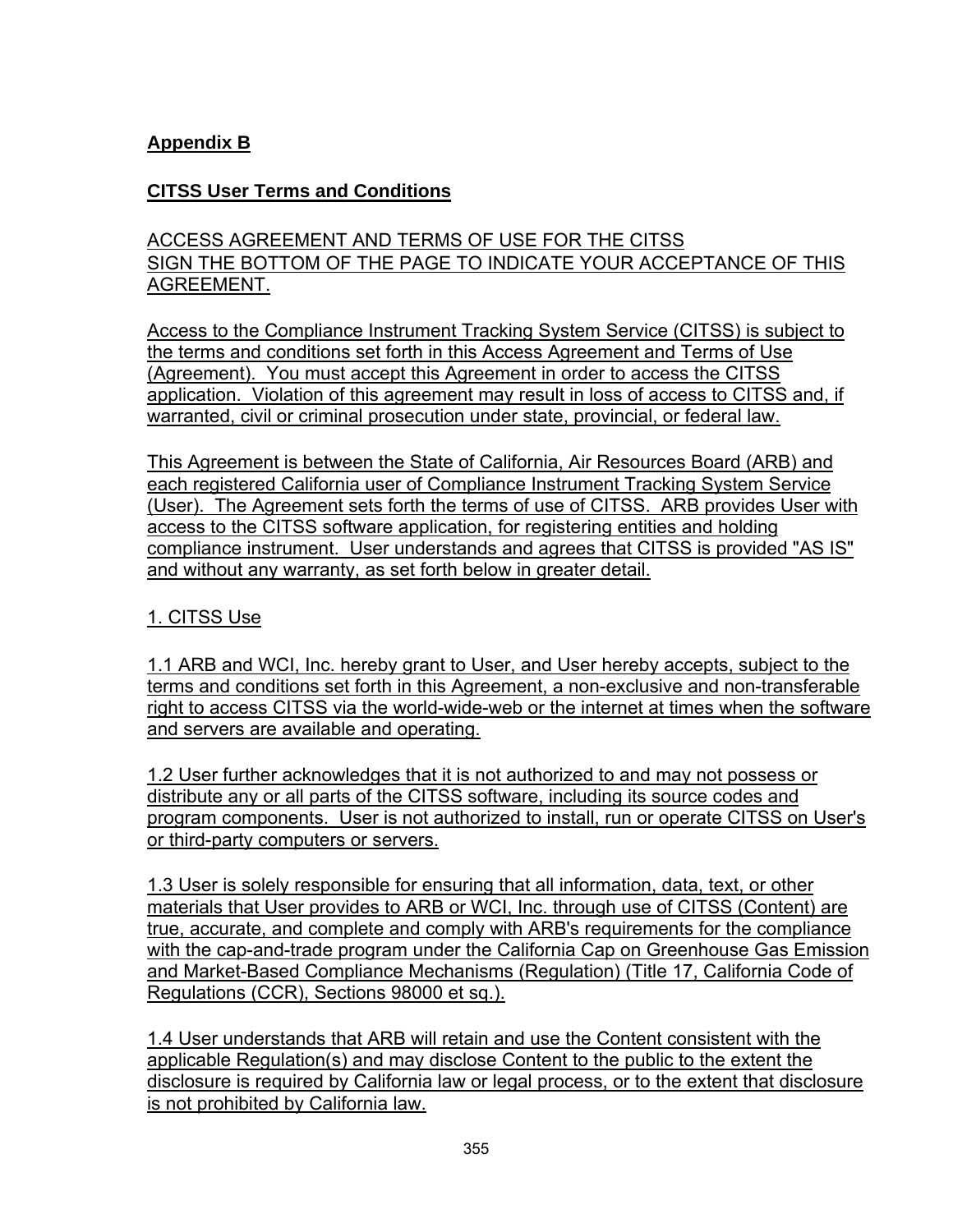# **Appendix B**

### **CITSS User Terms and Conditions**

# ACCESS AGREEMENT AND TERMS OF USE FOR THE CITSS SIGN THE BOTTOM OF THE PAGE TO INDICATE YOUR ACCEPTANCE OF THIS AGREEMENT.

Access to the Compliance Instrument Tracking System Service (CITSS) is subject to the terms and conditions set forth in this Access Agreement and Terms of Use (Agreement). You must accept this Agreement in order to access the CITSS application. Violation of this agreement may result in loss of access to CITSS and, if warranted, civil or criminal prosecution under state, provincial, or federal law.

This Agreement is between the State of California, Air Resources Board (ARB) and each registered California user of Compliance Instrument Tracking System Service (User). The Agreement sets forth the terms of use of CITSS. ARB provides User with access to the CITSS software application, for registering entities and holding compliance instrument. User understands and agrees that CITSS is provided "AS IS" and without any warranty, as set forth below in greater detail.

### 1. CITSS Use

1.1 ARB and WCI, Inc. hereby grant to User, and User hereby accepts, subject to the terms and conditions set forth in this Agreement, a non-exclusive and non-transferable right to access CITSS via the world-wide-web or the internet at times when the software and servers are available and operating.

1.2 User further acknowledges that it is not authorized to and may not possess or distribute any or all parts of the CITSS software, including its source codes and program components. User is not authorized to install, run or operate CITSS on User's or third-party computers or servers.

1.3 User is solely responsible for ensuring that all information, data, text, or other materials that User provides to ARB or WCI, Inc. through use of CITSS (Content) are true, accurate, and complete and comply with ARB's requirements for the compliance with the cap-and-trade program under the California Cap on Greenhouse Gas Emission and Market-Based Compliance Mechanisms (Regulation) (Title 17, California Code of Regulations (CCR), Sections 98000 et sq.).

1.4 User understands that ARB will retain and use the Content consistent with the applicable Regulation(s) and may disclose Content to the public to the extent the disclosure is required by California law or legal process, or to the extent that disclosure is not prohibited by California law.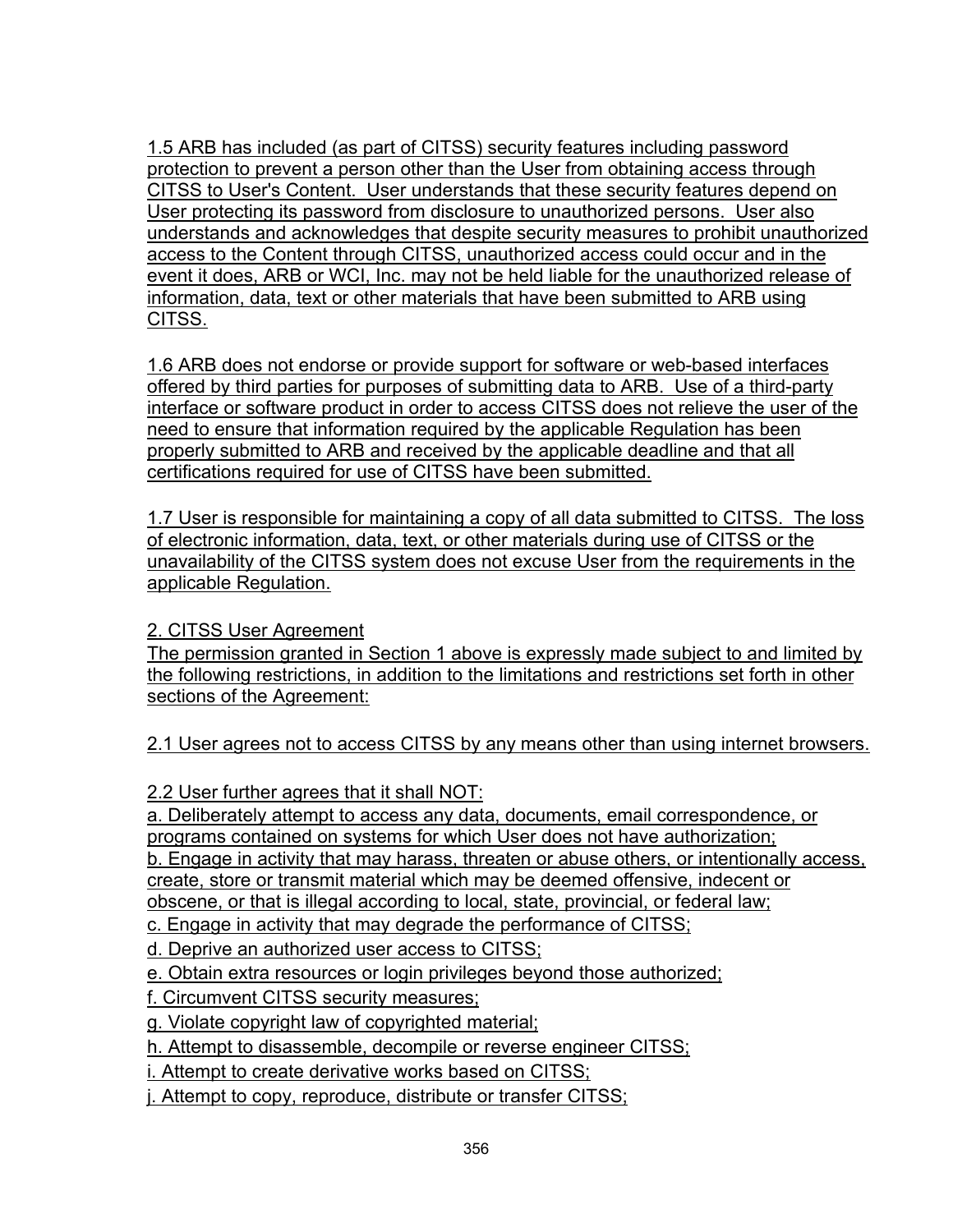1.5 ARB has included (as part of CITSS) security features including password protection to prevent a person other than the User from obtaining access through CITSS to User's Content. User understands that these security features depend on User protecting its password from disclosure to unauthorized persons. User also understands and acknowledges that despite security measures to prohibit unauthorized access to the Content through CITSS, unauthorized access could occur and in the event it does, ARB or WCI, Inc. may not be held liable for the unauthorized release of information, data, text or other materials that have been submitted to ARB using CITSS.

1.6 ARB does not endorse or provide support for software or web-based interfaces offered by third parties for purposes of submitting data to ARB. Use of a third-party interface or software product in order to access CITSS does not relieve the user of the need to ensure that information required by the applicable Regulation has been properly submitted to ARB and received by the applicable deadline and that all certifications required for use of CITSS have been submitted.

1.7 User is responsible for maintaining a copy of all data submitted to CITSS. The loss of electronic information, data, text, or other materials during use of CITSS or the unavailability of the CITSS system does not excuse User from the requirements in the applicable Regulation.

# 2. CITSS User Agreement

The permission granted in Section 1 above is expressly made subject to and limited by the following restrictions, in addition to the limitations and restrictions set forth in other sections of the Agreement:

2.1 User agrees not to access CITSS by any means other than using internet browsers.

2.2 User further agrees that it shall NOT:

a. Deliberately attempt to access any data, documents, email correspondence, or programs contained on systems for which User does not have authorization;

b. Engage in activity that may harass, threaten or abuse others, or intentionally access, create, store or transmit material which may be deemed offensive, indecent or

obscene, or that is illegal according to local, state, provincial, or federal law;

c. Engage in activity that may degrade the performance of CITSS;

d. Deprive an authorized user access to CITSS;

e. Obtain extra resources or login privileges beyond those authorized;

f. Circumvent CITSS security measures;

g. Violate copyright law of copyrighted material;

h. Attempt to disassemble, decompile or reverse engineer CITSS;

i. Attempt to create derivative works based on CITSS;

j. Attempt to copy, reproduce, distribute or transfer CITSS;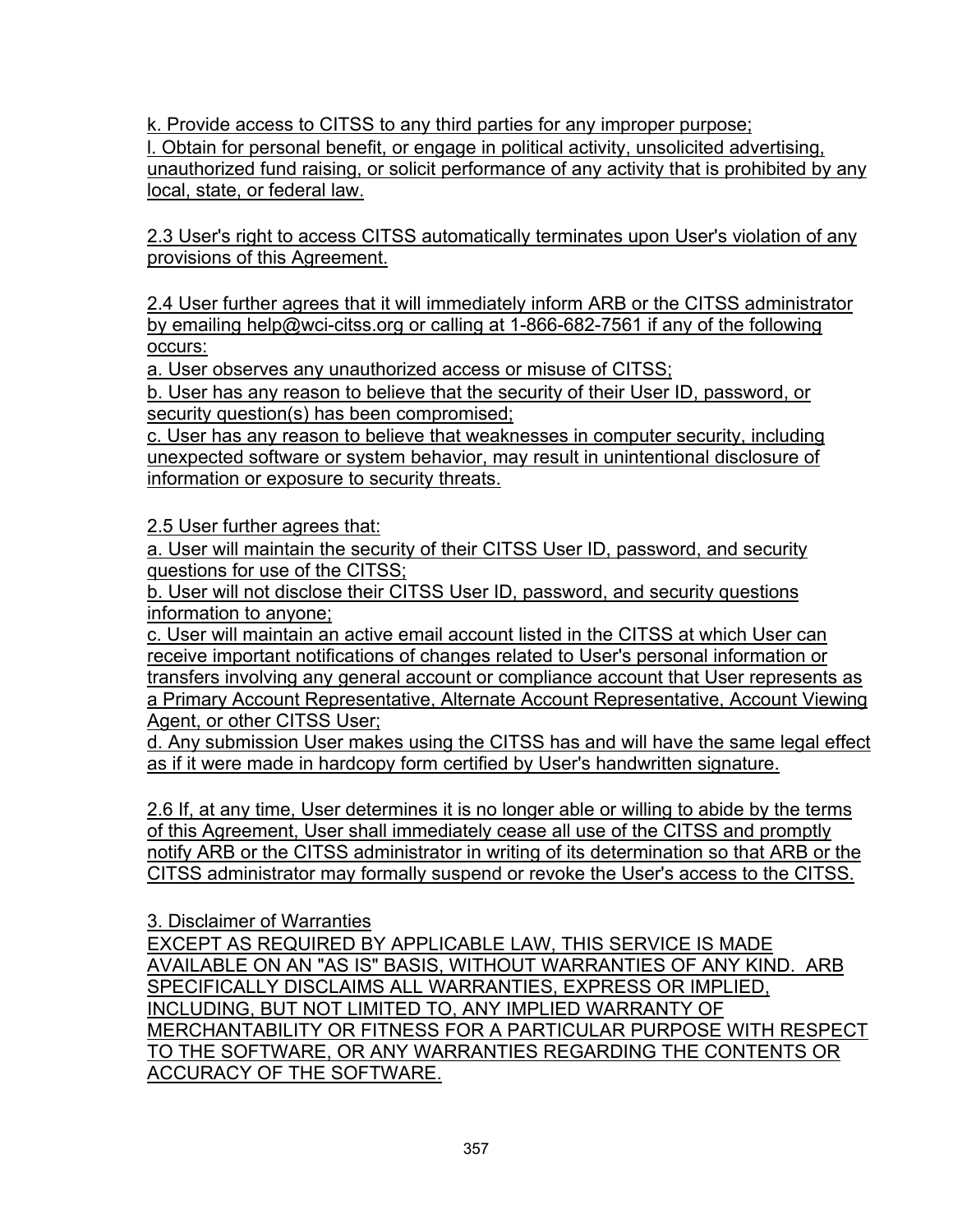k. Provide access to CITSS to any third parties for any improper purpose;

l. Obtain for personal benefit, or engage in political activity, unsolicited advertising, unauthorized fund raising, or solicit performance of any activity that is prohibited by any local, state, or federal law.

2.3 User's right to access CITSS automatically terminates upon User's violation of any provisions of this Agreement.

2.4 User further agrees that it will immediately inform ARB or the CITSS administrator by emailing help@wci-citss.org or calling at 1-866-682-7561 if any of the following occurs:

a. User observes any unauthorized access or misuse of CITSS;

b. User has any reason to believe that the security of their User ID, password, or security question(s) has been compromised;

c. User has any reason to believe that weaknesses in computer security, including unexpected software or system behavior, may result in unintentional disclosure of information or exposure to security threats.

2.5 User further agrees that:

a. User will maintain the security of their CITSS User ID, password, and security questions for use of the CITSS;

b. User will not disclose their CITSS User ID, password, and security questions information to anyone;

c. User will maintain an active email account listed in the CITSS at which User can receive important notifications of changes related to User's personal information or transfers involving any general account or compliance account that User represents as a Primary Account Representative, Alternate Account Representative, Account Viewing Agent, or other CITSS User;

d. Any submission User makes using the CITSS has and will have the same legal effect as if it were made in hardcopy form certified by User's handwritten signature.

2.6 If, at any time, User determines it is no longer able or willing to abide by the terms of this Agreement, User shall immediately cease all use of the CITSS and promptly notify ARB or the CITSS administrator in writing of its determination so that ARB or the CITSS administrator may formally suspend or revoke the User's access to the CITSS.

3. Disclaimer of Warranties

EXCEPT AS REQUIRED BY APPLICABLE LAW, THIS SERVICE IS MADE AVAILABLE ON AN "AS IS" BASIS, WITHOUT WARRANTIES OF ANY KIND. ARB SPECIFICALLY DISCLAIMS ALL WARRANTIES, EXPRESS OR IMPLIED, INCLUDING, BUT NOT LIMITED TO, ANY IMPLIED WARRANTY OF MERCHANTABILITY OR FITNESS FOR A PARTICULAR PURPOSE WITH RESPECT TO THE SOFTWARE, OR ANY WARRANTIES REGARDING THE CONTENTS OR ACCURACY OF THE SOFTWARE.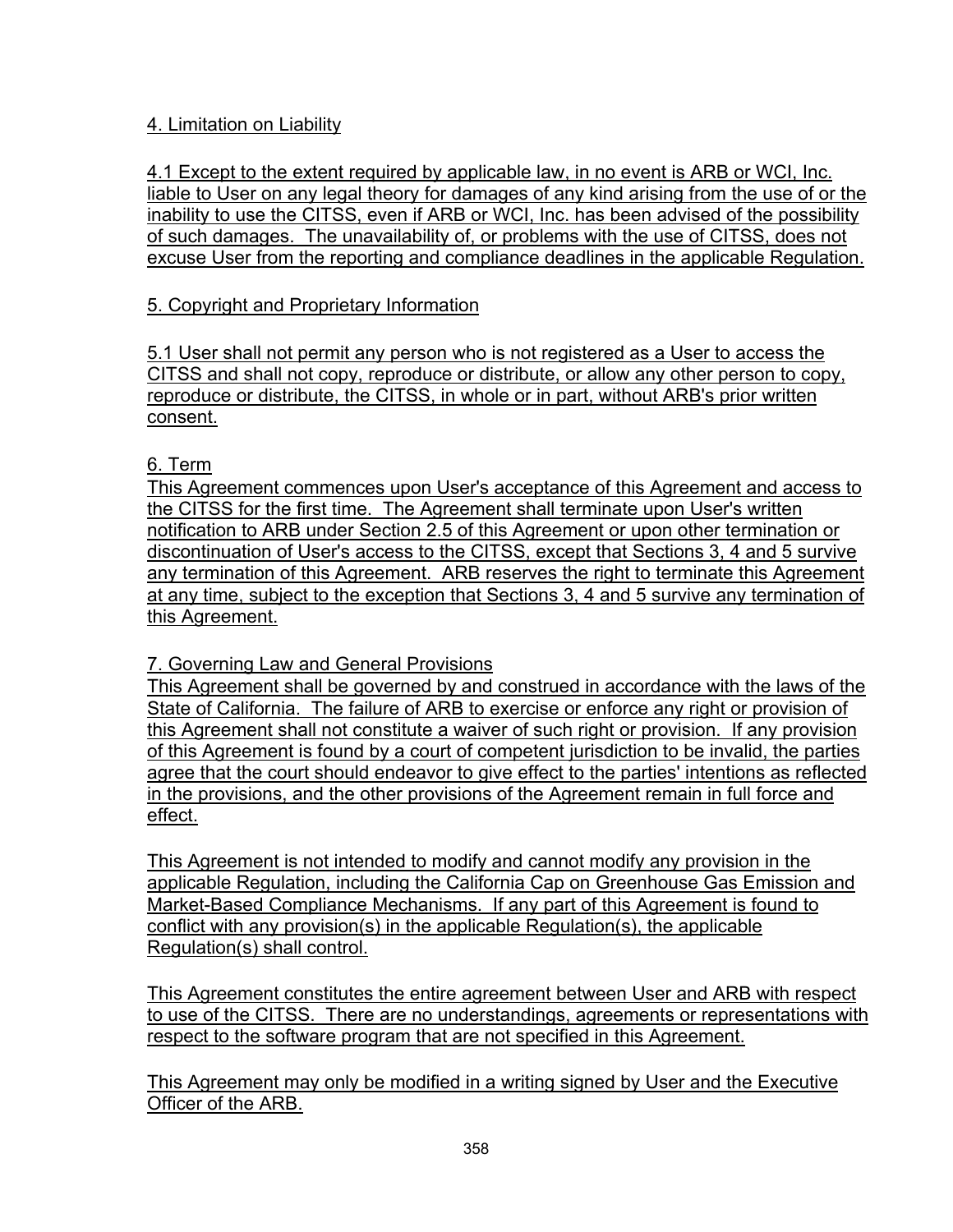## 4. Limitation on Liability

4.1 Except to the extent required by applicable law, in no event is ARB or WCI, Inc. liable to User on any legal theory for damages of any kind arising from the use of or the inability to use the CITSS, even if ARB or WCI, Inc. has been advised of the possibility of such damages. The unavailability of, or problems with the use of CITSS, does not excuse User from the reporting and compliance deadlines in the applicable Regulation.

# 5. Copyright and Proprietary Information

5.1 User shall not permit any person who is not registered as a User to access the CITSS and shall not copy, reproduce or distribute, or allow any other person to copy, reproduce or distribute, the CITSS, in whole or in part, without ARB's prior written consent.

### 6. Term

This Agreement commences upon User's acceptance of this Agreement and access to the CITSS for the first time. The Agreement shall terminate upon User's written notification to ARB under Section 2.5 of this Agreement or upon other termination or discontinuation of User's access to the CITSS, except that Sections 3, 4 and 5 survive any termination of this Agreement. ARB reserves the right to terminate this Agreement at any time, subject to the exception that Sections 3, 4 and 5 survive any termination of this Agreement.

### 7. Governing Law and General Provisions

This Agreement shall be governed by and construed in accordance with the laws of the State of California. The failure of ARB to exercise or enforce any right or provision of this Agreement shall not constitute a waiver of such right or provision. If any provision of this Agreement is found by a court of competent jurisdiction to be invalid, the parties agree that the court should endeavor to give effect to the parties' intentions as reflected in the provisions, and the other provisions of the Agreement remain in full force and effect.

This Agreement is not intended to modify and cannot modify any provision in the applicable Regulation, including the California Cap on Greenhouse Gas Emission and Market-Based Compliance Mechanisms. If any part of this Agreement is found to conflict with any provision(s) in the applicable Regulation(s), the applicable Regulation(s) shall control.

This Agreement constitutes the entire agreement between User and ARB with respect to use of the CITSS. There are no understandings, agreements or representations with respect to the software program that are not specified in this Agreement.

This Agreement may only be modified in a writing signed by User and the Executive Officer of the ARB.